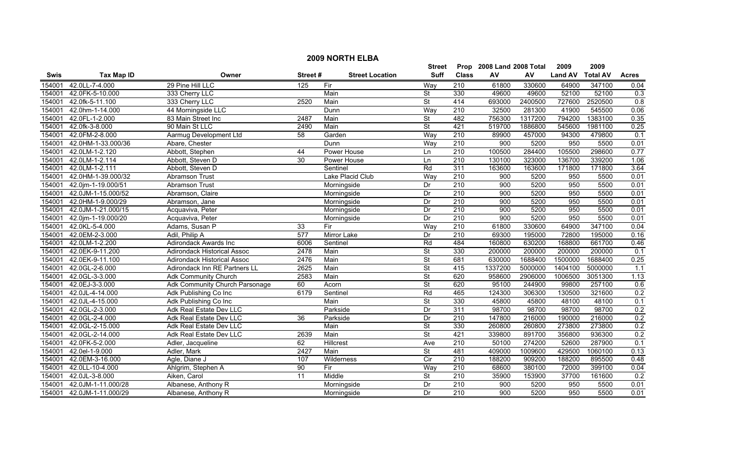|             |                    |                                    |                  |                        | <b>Street</b>            |                  | Prop 2008 Land 2008 Total |         | 2009           | 2009            |                  |
|-------------|--------------------|------------------------------------|------------------|------------------------|--------------------------|------------------|---------------------------|---------|----------------|-----------------|------------------|
| <b>Swis</b> | <b>Tax Map ID</b>  | Owner                              | Street#          | <b>Street Location</b> | <b>Suff</b>              | <b>Class</b>     | AV                        | AV      | <b>Land AV</b> | <b>Total AV</b> | <b>Acres</b>     |
| 154001      | 42.0LL-7-4.000     | 29 Pine Hill LLC                   | 125              | Fir                    | Way                      | 210              | 61800                     | 330600  | 64900          | 347100          | 0.04             |
| 154001      | 42.0FK-5-10.000    | 333 Cherry LLC                     |                  | Main                   | $\overline{\mathsf{St}}$ | 330              | 49600                     | 49600   | 52100          | 52100           | 0.3              |
| 154001      | 42.0fk-5-11.100    | 333 Cherry LLC                     | 2520             | Main                   | <b>St</b>                | 414              | 693000                    | 2400500 | 727600         | 2520500         | 0.8              |
| 154001      | 42.0hm-1-14.000    | 44 Morningside LLC                 |                  | Dunn                   | Way                      | 210              | 32500                     | 281300  | 41900          | 545500          | 0.06             |
| 154001      | 42.0FL-1-2.000     | 83 Main Street Inc                 | 2487             | Main                   | $\overline{\mathsf{St}}$ | 482              | 756300                    | 1317200 | 794200         | 1383100         | 0.35             |
| 154001      | 42.0fk-3-8.000     | 90 Main St LLC                     | 2490             | Main                   | <b>St</b>                | 421              | 519700                    | 1886800 | 545600         | 1981100         | 0.25             |
| 154001      | 42.0FM-2-8.000     | Aarmug Development Ltd             | 58               | Garden                 | Way                      | $\overline{210}$ | 89900                     | 457000  | 94300          | 479800          | $\overline{0.1}$ |
| 154001      | 42.0HM-1-33.000/36 | Abare, Chester                     |                  | Dunn                   | Way                      | $\overline{210}$ | 900                       | 5200    | 950            | 5500            | 0.01             |
| 154001      | 42.0LM-1-2.120     | Abbott, Stephen                    | 44               | Power House            | Ln                       | $\overline{210}$ | 100500                    | 284400  | 105500         | 298600          | 0.77             |
| 154001      | 42.0LM-1-2.114     | Abbott, Steven D                   | 30               | Power House            | Ln                       | $\overline{210}$ | 130100                    | 323000  | 136700         | 339200          | 1.06             |
| 154001      | 42.0LM-1-2.111     | Abbott, Steven D                   |                  | Sentinel               | Rd                       | 311              | 163600                    | 163600  | 171800         | 171800          | 3.64             |
| 154001      | 42.0HM-1-39.000/32 | Abramson Trust                     |                  | Lake Placid Club       | Way                      | 210              | 900                       | 5200    | 950            | 5500            | 0.01             |
| 154001      | 42.0jm-1-19.000/51 | Abramson Trust                     |                  | Morningside            | Dr                       | 210              | 900                       | 5200    | 950            | 5500            | 0.01             |
| 154001      | 42.0JM-1-15.000/52 | Abramson, Claire                   |                  | Morningside            | Dr                       | 210              | 900                       | 5200    | 950            | 5500            | 0.01             |
| 154001      | 42.0HM-1-9.000/29  | Abramson, Jane                     |                  | Morningside            | Dr                       | 210              | 900                       | 5200    | 950            | 5500            | 0.01             |
| 154001      | 42.0JM-1-21.000/15 | Acquaviva, Peter                   |                  | Morningside            | Dr                       | 210              | 900                       | 5200    | 950            | 5500            | 0.01             |
| 154001      | 42.0jm-1-19.000/20 | Acquaviva, Peter                   |                  | Morningside            | Dr                       | 210              | 900                       | 5200    | 950            | 5500            | 0.01             |
| 154001      | 42.0KL-5-4.000     | Adams, Susan P                     | 33               | Fir                    | Way                      | 210              | 61800                     | 330600  | 64900          | 347100          | 0.04             |
| 154001      | 42.0EM-2-3.000     | Adil, Philip A                     | $\overline{577}$ | Mirror Lake            | Dr                       | $\overline{210}$ | 69300                     | 195000  | 72800          | 195000          | 0.16             |
| 154001      | 42.0LM-1-2.200     | Adirondack Awards Inc              | 6006             | Sentinel               | Rd                       | 484              | 160800                    | 630200  | 168800         | 661700          | 0.46             |
| 154001      | 42.0EK-9-11.200    | <b>Adirondack Historical Assoc</b> | 2478             | Main                   | $\overline{\mathsf{St}}$ | 330              | 200000                    | 200000  | 200000         | 200000          | 0.1              |
| 154001      | 42.0EK-9-11.100    | <b>Adirondack Historical Assoc</b> | 2476             | Main                   | $\overline{\mathsf{St}}$ | 681              | 630000                    | 1688400 | 1500000        | 1688400         | 0.25             |
| 154001      | 42.0GL-2-6.000     | Adirondack Inn RE Partners LL      | 2625             | Main                   | $\overline{\mathsf{St}}$ | 415              | 1337200                   | 5000000 | 1404100        | 5000000         | $\overline{1.1}$ |
| 154001      | 42.0GL-3-3.000     | Adk Community Church               | 2583             | Main                   | $\overline{\mathsf{St}}$ | 620              | 958600                    | 2906000 | 1006500        | 3051300         | 1.13             |
| 154001      | 42.0EJ-3-3.000     | Adk Community Church Parsonage     | 60               | Acorn                  | <b>St</b>                | 620              | 95100                     | 244900  | 99800          | 257100          | 0.6              |
| 154001      | 42.0JL-4-14.000    | Adk Publishing Co Inc              | 6179             | Sentinel               | Rd                       | 465              | 124300                    | 306300  | 130500         | 321600          | 0.2              |
| 154001      | 42.0JL-4-15.000    | Adk Publishing Co Inc              |                  | Main                   | $\overline{\mathsf{St}}$ | 330              | 45800                     | 45800   | 48100          | 48100           | 0.1              |
| 154001      | 42.0GL-2-3.000     | Adk Real Estate Dev LLC            |                  | Parkside               | Dr                       | 311              | 98700                     | 98700   | 98700          | 98700           | 0.2              |
| 154001      | 42.0GL-2-4.000     | Adk Real Estate Dev LLC            | 36               | Parkside               | Dr                       | 210              | 147800                    | 216000  | 190000         | 216000          | 0.2              |
| 154001      | 42.0GL-2-15.000    | Adk Real Estate Dev LLC            |                  | Main                   | $\overline{\mathsf{St}}$ | 330              | 260800                    | 260800  | 273800         | 273800          | 0.2              |
| 154001      | 42.0GL-2-14.000    | Adk Real Estate Dev LLC            | 2639             | Main                   | $\overline{\mathsf{St}}$ | 421              | 339800                    | 891700  | 356800         | 936300          | 0.2              |
| 154001      | 42.0FK-5-2.000     | Adler, Jacqueline                  | 62               | <b>Hillcrest</b>       | Ave                      | 210              | 50100                     | 274200  | 52600          | 287900          | 0.1              |
| 154001      | 42.0el-1-9.000     | Adler, Mark                        | 2427             | Main                   | St                       | 481              | 409000                    | 1009600 | 429500         | 1060100         | 0.13             |
| 154001      | 42.0EM-3-16.000    | Agle, Diane J                      | 107              | Wilderness             | $\overline{C}$           | $\overline{210}$ | 188200                    | 909200  | 188200         | 895500          | 0.48             |
| 154001      | 42.0LL-10-4.000    | Ahlgrim, Stephen A                 | 90               | Fir                    | Way                      | 210              | 68600                     | 380100  | 72000          | 399100          | 0.04             |
| 154001      | 42.0JL-3-8.000     | Aiken, Carol                       | 11               | Middle                 | St                       | 210              | 35900                     | 153900  | 37700          | 161600          | 0.2              |
| 154001      | 42.0JM-1-11.000/28 | Albanese, Anthony R                |                  | Morningside            | Dr                       | 210              | 900                       | 5200    | 950            | 5500            | 0.01             |
| 154001      | 42.0JM-1-11.000/29 | Albanese, Anthony R                |                  | Morningside            | Dr                       | 210              | 900                       | 5200    | 950            | 5500            | 0.01             |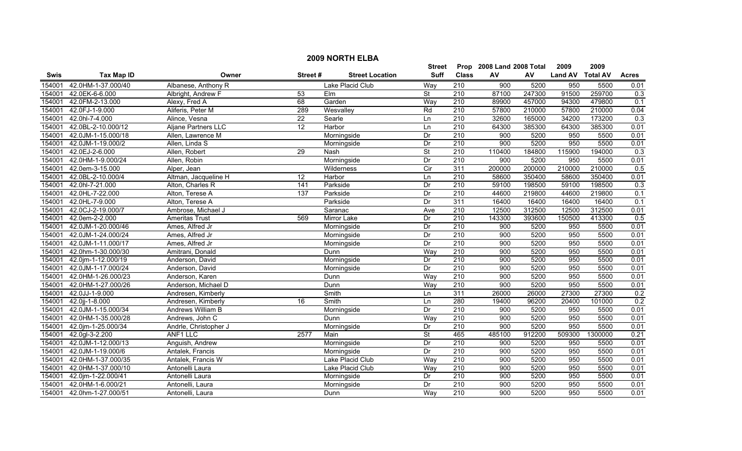|             | <b>2009 NORTH ELBA</b> |                            |                 |                        |                          |                  |                           |        |                  |         |                  |  |
|-------------|------------------------|----------------------------|-----------------|------------------------|--------------------------|------------------|---------------------------|--------|------------------|---------|------------------|--|
|             |                        |                            |                 |                        | Street                   |                  | Prop 2008 Land 2008 Total |        | 2009             | 2009    |                  |  |
| <b>Swis</b> | <b>Tax Map ID</b>      | Owner                      | Street#         | <b>Street Location</b> | <b>Suff</b>              | <b>Class</b>     | AV                        | AV     | Land AV Total AV |         | <b>Acres</b>     |  |
| 154001      | 42.0HM-1-37.000/40     | Albanese, Anthony R        |                 | Lake Placid Club       | Way                      | 210              | 900                       | 5200   | 950              | 5500    | 0.01             |  |
| 154001      | 42.0EK-6-6.000         | Albright, Andrew F         | 53              | Elm                    | St                       | $\overline{210}$ | 87100                     | 247300 | 91500            | 259700  | 0.3              |  |
| 154001      | 42.0FM-2-13.000        | Alexy, Fred A              | 68              | Garden                 | Way                      | 210              | 89900                     | 457000 | 94300            | 479800  | 0.1              |  |
| 154001      | 42.0FJ-1-9.000         | Aliferis, Peter M          | 289             | Wesvalley              | Rd                       | 210              | 57800                     | 210000 | 57800            | 210000  | 0.04             |  |
| 154001      | 42.0hl-7-4.000         | Alince, Vesna              | 22              | Searle                 | Ln                       | 210              | 32600                     | 165000 | 34200            | 173200  | $\overline{0.3}$ |  |
| 154001      | 42.0BL-2-10.000/12     | <b>Aljane Partners LLC</b> | 12              | Harbor                 | Ln                       | 210              | 64300                     | 385300 | 64300            | 385300  | 0.01             |  |
| 154001      | 42.0JM-1-15.000/18     | Allen, Lawrence M          |                 | Morningside            | Dr                       | 210              | 900                       | 5200   | 950              | 5500    | 0.01             |  |
| 154001      | 42.0JM-1-19.000/2      | Allen, Linda S             |                 | Morningside            | Dr                       | 210              | 900                       | 5200   | 950              | 5500    | 0.01             |  |
| 154001      | 42.0EJ-2-6.000         | Allen, Robert              | 29              | Nash                   | $\overline{\mathsf{St}}$ | 210              | 110400                    | 184800 | 115900           | 194000  | 0.3              |  |
| 154001      | 42.0HM-1-9.000/24      | Allen, Robin               |                 | Morningside            | Dr                       | 210              | 900                       | 5200   | 950              | 5500    | 0.01             |  |
| 154001      | 42.0em-3-15.000        | Alper, Jean                |                 | Wilderness             | $\overline{C}$ ir        | 311              | 200000                    | 200000 | 210000           | 210000  | 0.5              |  |
| 154001      | 42.0BL-2-10.000/4      | Altman, Jacqueline H       | $\overline{12}$ | Harbor                 | Ln                       | $\overline{210}$ | 58600                     | 350400 | 58600            | 350400  | 0.01             |  |
| 154001      | 42.0hl-7-21.000        | Alton, Charles R           | 141             | Parkside               | Dr                       | $\overline{210}$ | 59100                     | 198500 | 59100            | 198500  | 0.3              |  |
| 154001      | 42.0HL-7-22.000        | Alton, Terese A            | 137             | Parkside               | Dr                       | $\overline{210}$ | 44600                     | 219800 | 44600            | 219800  | 0.1              |  |
| 154001      | 42.0HL-7-9.000         | Alton, Terese A            |                 | Parkside               | Dr                       | 311              | 16400                     | 16400  | 16400            | 16400   | 0.1              |  |
| 154001      | 42.0CJ-2-19.000/7      | Ambrose, Michael J         |                 | Saranac                | Ave                      | $\overline{210}$ | 12500                     | 312500 | 12500            | 312500  | 0.01             |  |
| 154001      | 42.0em-2-2.000         | <b>Ameritas Trust</b>      | 569             | <b>Mirror Lake</b>     | Dr                       | 210              | 143300                    | 393600 | 150500           | 413300  | 0.5              |  |
| 154001      | 42.0JM-1-20.000/46     | Ames, Alfred Jr            |                 | Morningside            | Dr                       | 210              | 900                       | 5200   | 950              | 5500    | 0.01             |  |
| 154001      | 42.0JM-1-24.000/24     | Ames, Alfred Jr            |                 | Morningside            | Dr                       | 210              | 900                       | 5200   | 950              | 5500    | 0.01             |  |
| 154001      | 42.0JM-1-11.000/17     | Ames, Alfred Jr            |                 | Morningside            | Dr                       | 210              | 900                       | 5200   | 950              | 5500    | 0.01             |  |
| 154001      | 42.0hm-1-30.000/30     | Amitrani, Donald           |                 | Dunn                   | Way                      | 210              | 900                       | 5200   | 950              | 5500    | 0.01             |  |
| 154001      | 42.0jm-1-12.000/19     | Anderson, David            |                 | Morningside            | Dr                       | 210              | 900                       | 5200   | 950              | 5500    | 0.01             |  |
| 154001      | 42.0JM-1-17.000/24     | Anderson, David            |                 | Morningside            | Dr                       | 210              | $\overline{900}$          | 5200   | 950              | 5500    | 0.01             |  |
| 154001      | 42.0HM-1-26.000/23     | Anderson, Karen            |                 | Dunn                   | Way                      | $\overline{210}$ | 900                       | 5200   | 950              | 5500    | 0.01             |  |
| 154001      | 42.0HM-1-27.000/26     | Anderson, Michael D        |                 | Dunn                   | Way                      | $\overline{210}$ | 900                       | 5200   | 950              | 5500    | 0.01             |  |
| 154001      | 42.0JJ-1-9.000         | Andresen, Kimberly         |                 | Smith                  | Ln                       | 311              | 26000                     | 26000  | 27300            | 27300   | 0.2              |  |
| 154001      | 42.0jj-1-8.000         | Andresen, Kimberly         | $\overline{16}$ | Smith                  | Ln                       | 280              | 19400                     | 96200  | 20400            | 101000  | 0.2              |  |
| 154001      | 42.0JM-1-15.000/34     | Andrews William B          |                 | Morningside            | Dr                       | 210              | $\overline{900}$          | 5200   | 950              | 5500    | 0.01             |  |
| 154001      | 42.0HM-1-35.000/28     | Andrews, John C            |                 | Dunn                   | Way                      | 210              | 900                       | 5200   | 950              | 5500    | 0.01             |  |
| 154001      | 42.0jm-1-25.000/34     | Andrle, Christopher J      |                 | Morningside            | Dr                       | 210              | 900                       | 5200   | 950              | 5500    | 0.01             |  |
| 154001      | 42.0gl-3-2.200         | ANF1 LLC                   | 2577            | Main                   | <b>St</b>                | 465              | 485100                    | 912200 | 509300           | 1300000 | 0.21             |  |
| 154001      | 42.0JM-1-12.000/13     | Anguish, Andrew            |                 | Morningside            | Dr                       | 210              | 900                       | 5200   | 950              | 5500    | 0.01             |  |
| 154001      | 42.0JM-1-19.000/6      | Antalek, Francis           |                 | Morningside            | Dr                       | 210              | 900                       | 5200   | 950              | 5500    | 0.01             |  |
| 154001      | 42.0HM-1-37.000/35     | Antalek, Francis W         |                 | Lake Placid Club       | Way                      | 210              | $\overline{900}$          | 5200   | 950              | 5500    | 0.01             |  |
| 154001      | 42.0HM-1-37.000/10     | Antonelli Laura            |                 | Lake Placid Club       | Way                      | 210              | 900                       | 5200   | 950              | 5500    | 0.01             |  |
| 154001      | 42.0jm-1-22.000/41     | Antonelli Laura            |                 | Morningside            | Dr                       | $\overline{210}$ | 900                       | 5200   | 950              | 5500    | 0.01             |  |
| 154001      | 42.0HM-1-6.000/21      | Antonelli, Laura           |                 | Morningside            | Dr                       | 210              | 900                       | 5200   | 950              | 5500    | 0.01             |  |
| 154001      | 42.0hm-1-27.000/51     | Antonelli. Laura           |                 | Dunn                   | Wav                      | 210              | 900                       | 5200   | 950              | 5500    | 0.01             |  |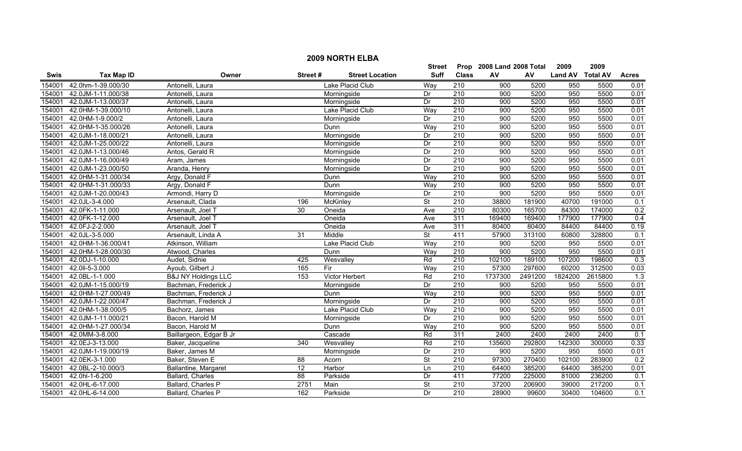|             | <b>2009 NORTH ELBA</b> |                                |                  |                        |                          |                  |                           |         |                  |         |              |  |  |
|-------------|------------------------|--------------------------------|------------------|------------------------|--------------------------|------------------|---------------------------|---------|------------------|---------|--------------|--|--|
|             |                        |                                |                  |                        | Street                   |                  | Prop 2008 Land 2008 Total |         | 2009             | 2009    |              |  |  |
| <b>Swis</b> | <b>Tax Map ID</b>      | Owner                          | Street#          | <b>Street Location</b> | <b>Suff</b>              | <b>Class</b>     | AV                        | AV      | Land AV Total AV |         | <b>Acres</b> |  |  |
| 154001      | 42.0hm-1-39.000/30     | Antonelli, Laura               |                  | Lake Placid Club       | Way                      | 210              | 900                       | 5200    | 950              | 5500    | 0.01         |  |  |
| 154001      | 42.0JM-1-11.000/38     | Antonelli, Laura               |                  | Morningside            | Dr                       | $\overline{210}$ | 900                       | 5200    | 950              | 5500    | 0.01         |  |  |
| 154001      | 42.0JM-1-13.000/37     | Antonelli, Laura               |                  | Morningside            | Dr                       | 210              | 900                       | 5200    | 950              | 5500    | 0.01         |  |  |
| 154001      | 42.0HM-1-39.000/10     | Antonelli, Laura               |                  | Lake Placid Club       | Way                      | 210              | 900                       | 5200    | 950              | 5500    | 0.01         |  |  |
| 154001      | 42.0HM-1-9.000/2       | Antonelli, Laura               |                  | Morningside            | Dr                       | 210              | 900                       | 5200    | 950              | 5500    | 0.01         |  |  |
| 154001      | 42.0HM-1-35.000/26     | Antonelli, Laura               |                  | Dunn                   | Way                      | 210              | 900                       | 5200    | 950              | 5500    | 0.01         |  |  |
| 154001      | 42.0JM-1-18.000/21     | Antonelli, Laura               |                  | Morningside            | Dr                       | 210              | 900                       | 5200    | 950              | 5500    | 0.01         |  |  |
| 154001      | 42.0JM-1-25.000/22     | Antonelli, Laura               |                  | Morningside            | Dr                       | 210              | 900                       | 5200    | 950              | 5500    | 0.01         |  |  |
| 154001      | 42.0JM-1-13.000/46     | Antos, Gerald R                |                  | Morningside            | Dr                       | 210              | 900                       | 5200    | 950              | 5500    | 0.01         |  |  |
| 154001      | 42.0JM-1-16.000/49     | Aram, James                    |                  | Morningside            | Dr                       | 210              | 900                       | 5200    | 950              | 5500    | 0.01         |  |  |
| 154001      | 42.0JM-1-23.000/50     | Aranda, Henry                  |                  | Morningside            | Dr                       | 210              | 900                       | 5200    | 950              | 5500    | 0.01         |  |  |
| 154001      | 42.0HM-1-31.000/34     | Argy, Donald F                 |                  | Dunn                   | Way                      | $\overline{210}$ | 900                       | 5200    | 950              | 5500    | 0.01         |  |  |
| 154001      | 42.0HM-1-31.000/33     | Argy, Donald F                 |                  | Dunn                   | Way                      | $\overline{210}$ | 900                       | 5200    | 950              | 5500    | 0.01         |  |  |
| 154001      | 42.0JM-1-20.000/43     | Armondi, Harry D               |                  | Morningside            | Dr                       | $\overline{210}$ | 900                       | 5200    | 950              | 5500    | 0.01         |  |  |
| 154001      | 42.0JL-3-4.000         | Arsenault, Clada               | 196              | McKinley               | $\overline{\mathsf{St}}$ | $\overline{210}$ | 38800                     | 181900  | 40700            | 191000  | 0.1          |  |  |
| 154001      | 42.0FK-1-11.000        | Arsenault, Joel T              | $\overline{30}$  | Oneida                 | Ave                      | 210              | 80300                     | 165700  | 84300            | 174000  | 0.2          |  |  |
| 154001      | 42.0FK-1-12.000        | Arsenault, Joel T              |                  | Oneida                 | Ave                      | 311              | 169400                    | 169400  | 177900           | 177900  | 0.4          |  |  |
| 154001      | 42.0FJ-2-2.000         | Arsenault, Joel T              |                  | Oneida                 | Ave                      | 311              | 80400                     | 80400   | 84400            | 84400   | 0.19         |  |  |
| 154001      | 42.0JL-3-5.000         | Arsenault, Linda A             | 31               | Middle                 | <b>St</b>                | 411              | 57900                     | 313100  | 60800            | 328800  | 0.1          |  |  |
| 154001      | 42.0HM-1-36.000/41     | Atkinson, William              |                  | Lake Placid Club       | Way                      | 210              | 900                       | 5200    | 950              | 5500    | 0.01         |  |  |
| 154001      | 42.0HM-1-28.000/30     | Atwood, Charles                |                  | Dunn                   | Way                      | $\overline{210}$ | 900                       | 5200    | 950              | 5500    | 0.01         |  |  |
| 154001      | 42.0DJ-1-10.000        | Audet, Sidnie                  | 425              | Wesvalley              | Rd                       | $\overline{210}$ | 102100                    | 189100  | 107200           | 198600  | 0.3          |  |  |
| 154001      | 42.0II-5-3.000         | Ayoub, Gilbert J               | 165              | Fir                    | Way                      | 210              | 57300                     | 297600  | 60200            | 312500  | 0.03         |  |  |
| 154001      | 42.0BL-1-1.000         | <b>B&amp;J NY Holdings LLC</b> | 153              | <b>Victor Herbert</b>  | Rd                       | $\overline{210}$ | 1737300                   | 2491200 | 1824200          | 2615800 | 1.3          |  |  |
| 154001      | 42.0JM-1-15.000/19     | Bachman, Frederick J           |                  | Morningside            | Dr                       | 210              | 900                       | 5200    | 950              | 5500    | 0.01         |  |  |
| 154001      | 42.0HM-1-27.000/49     | Bachman, Frederick J           |                  | Dunn                   | Way                      | 210              | 900                       | 5200    | 950              | 5500    | 0.01         |  |  |
| 154001      | 42.0JM-1-22.000/47     | Bachman, Frederick J           |                  | Morningside            | Dr                       | 210              | 900                       | 5200    | 950              | 5500    | 0.01         |  |  |
| 154001      | 42.0HM-1-38.000/5      | Bachorz, James                 |                  | Lake Placid Club       | Way                      | 210              | 900                       | 5200    | 950              | 5500    | 0.01         |  |  |
| 154001      | 42.0JM-1-11.000/21     | Bacon, Harold M                |                  | Morningside            | Dr                       | 210              | 900                       | 5200    | 950              | 5500    | 0.01         |  |  |
| 154001      | 42.0HM-1-27.000/34     | Bacon, Harold M                |                  | Dunn                   | Way                      | 210              | 900                       | 5200    | 950              | 5500    | 0.01         |  |  |
| 154001      | 42.0MM-3-8.000         | Baillargeon, Edgar B Jr        |                  | Cascade                | Rd                       | 311              | 2400                      | 2400    | 2400             | 2400    | 0.1          |  |  |
| 154001      | 42.0EJ-3-13.000        | Baker, Jacqueline              | $\overline{340}$ | Wesvalley              | Rd                       | 210              | 135600                    | 292800  | 142300           | 300000  | 0.33         |  |  |
| 154001      | 42.0JM-1-19.000/19     | Baker, James M                 |                  | Morningside            | Dr                       | 210              | 900                       | 5200    | 950              | 5500    | 0.01         |  |  |
| 154001      | 42.0EK-3-1.000         | Baker, Steven E                | $\overline{88}$  | Acorn                  | $\overline{\mathsf{St}}$ | 210              | 97300                     | 270400  | 102100           | 283900  | 0.2          |  |  |
| 154001      | 42.0BL-2-10.000/3      | Ballantine, Margaret           | $\overline{12}$  | Harbor                 | Ln                       | 210              | 64400                     | 385200  | 64400            | 385200  | 0.01         |  |  |
| 154001      | 42.0hl-1-6.200         | Ballard, Charles               | 88               | Parkside               | Dr                       | 411              | 77200                     | 225000  | 81000            | 236200  | 0.1          |  |  |
| 154001      | 42.0HL-6-17.000        | Ballard, Charles P             | 2751             | Main                   | <b>St</b>                | 210              | 37200                     | 206900  | 39000            | 217200  | 0.1          |  |  |
| 154001      | 42.0HL-6-14.000        | Ballard, Charles P             | 162              | Parkside               | Dr                       | 210              | 28900                     | 99600   | 30400            | 104600  | 0.1          |  |  |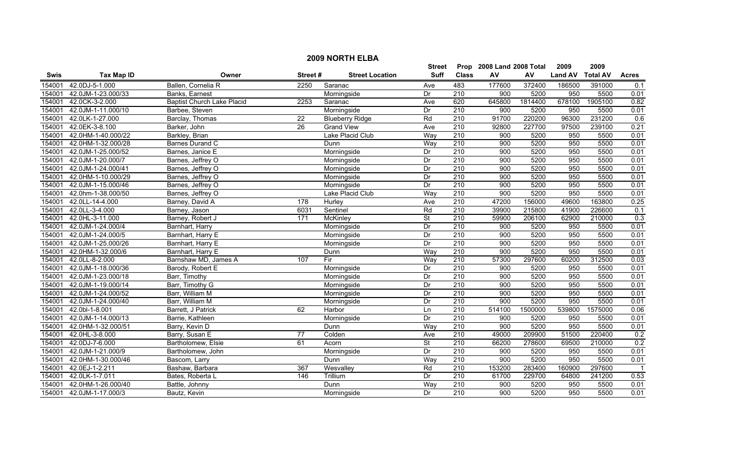|             | <b>2009 NORTH ELBA</b> |                                   |         |                        |                          |                  |                           |         |                |                 |                |  |
|-------------|------------------------|-----------------------------------|---------|------------------------|--------------------------|------------------|---------------------------|---------|----------------|-----------------|----------------|--|
|             |                        |                                   |         |                        | <b>Street</b>            |                  | Prop 2008 Land 2008 Total |         | 2009           | 2009            |                |  |
| <b>Swis</b> | <b>Tax Map ID</b>      | Owner                             | Street# | <b>Street Location</b> | <b>Suff</b>              | <b>Class</b>     | ${\sf AV}$                | AV      | <b>Land AV</b> | <b>Total AV</b> | <b>Acres</b>   |  |
| 154001      | 42.0DJ-5-1.000         | Ballen, Cornelia R                | 2250    | Saranac                | Ave                      | 483              | 177600                    | 372400  | 186500         | 391000          | 0.1            |  |
| 154001      | 42.0JM-1-23.000/33     | Banks, Earnest                    |         | Morningside            | Dr                       | $\overline{210}$ | 900                       | 5200    | 950            | 5500            | 0.01           |  |
| 154001      | 42.0CK-3-2.000         | <b>Baptist Church Lake Placid</b> | 2253    | Saranac                | Ave                      | 620              | 645800                    | 1814400 | 678100         | 1905100         | 0.82           |  |
| 154001      | 42.0JM-1-11.000/10     | Barbee, Steven                    |         | Morningside            | Dr                       | 210              | 900                       | 5200    | 950            | 5500            | 0.01           |  |
| 154001      | 42.0LK-1-27.000        | Barclay, Thomas                   | 22      | <b>Blueberry Ridge</b> | Rd                       | 210              | 91700                     | 220200  | 96300          | 231200          | 0.6            |  |
| 154001      | 42.0EK-3-8.100         | Barker, John                      | 26      | <b>Grand View</b>      | Ave                      | 210              | 92800                     | 227700  | 97500          | 239100          | 0.21           |  |
| 154001      | 42.0HM-1-40.000/22     | Barkley, Brian                    |         | Lake Placid Club       | Way                      | 210              | 900                       | 5200    | 950            | 5500            | 0.01           |  |
| 154001      | 42.0HM-1-32.000/28     | <b>Barnes Durand C</b>            |         | Dunn                   | Way                      | 210              | 900                       | 5200    | 950            | 5500            | 0.01           |  |
| 154001      | 42.0JM-1-25.000/52     | Barnes, Janice E                  |         | Morningside            | Dr                       | $\overline{210}$ | 900                       | 5200    | 950            | 5500            | 0.01           |  |
| 154001      | 42.0JM-1-20.000/7      | Barnes, Jeffrey O                 |         | Morningside            | Dr                       | 210              | 900                       | 5200    | 950            | 5500            | 0.01           |  |
| 154001      | 42.0JM-1-24.000/41     | Barnes, Jeffrey O                 |         | Morningside            | Dr                       | 210              | 900                       | 5200    | 950            | 5500            | 0.01           |  |
| 154001      | 42.0HM-1-10.000/29     | Barnes, Jeffrey O                 |         | Morningside            | Dr                       | 210              | 900                       | 5200    | 950            | 5500            | 0.01           |  |
| 154001      | 42.0JM-1-15.000/46     | Barnes, Jeffrey O                 |         | Morningside            | Dr                       | 210              | 900                       | 5200    | 950            | 5500            | 0.01           |  |
| 154001      | 42.0hm-1-38.000/50     | Barnes, Jeffrey O                 |         | Lake Placid Club       | Way                      | 210              | 900                       | 5200    | 950            | 5500            | 0.01           |  |
| 154001      | 42.0LL-14-4.000        | Barney, David A                   | 178     | Hurley                 | Ave                      | 210              | 47200                     | 156000  | 49600          | 163800          | 0.25           |  |
| 154001      | 42.0LL-3-4.000         | Barney, Jason                     | 6031    | Sentinel               | Rd                       | 210              | 39900                     | 215800  | 41900          | 226600          | 0.1            |  |
| 154001      | 42.0HL-3-11.000        | Barney, Robert J                  | 171     | <b>McKinley</b>        | $\overline{\mathsf{St}}$ | 210              | 59900                     | 206100  | 62900          | 210000          | 0.3            |  |
| 154001      | 42.0JM-1-24.000/4      | Barnhart, Harry                   |         | Morningside            | Dr                       | 210              | 900                       | 5200    | 950            | 5500            | 0.01           |  |
| 154001      | 42.0JM-1-24.000/5      | Barnhart, Harry E                 |         | Morningside            | Dr                       | 210              | 900                       | 5200    | 950            | 5500            | 0.01           |  |
| 154001      | 42.0JM-1-25.000/26     | Barnhart, Harry E                 |         | Morningside            | Dr                       | 210              | 900                       | 5200    | 950            | 5500            | 0.01           |  |
| 154001      | 42.0HM-1-32.000/6      | Barnhart, Harry E                 |         | Dunn                   | Way                      | 210              | 900                       | 5200    | 950            | 5500            | 0.01           |  |
| 154001      | 42.0LL-8-2.000         | Barnshaw MD, James A              | 107     | Fir                    | Way                      | 210              | 57300                     | 297600  | 60200          | 312500          | 0.03           |  |
| 154001      | 42.0JM-1-18.000/36     | Barody, Robert E                  |         | Morningside            | Dr                       | 210              | 900                       | 5200    | 950            | 5500            | 0.01           |  |
| 154001      | 42.0JM-1-23.000/18     | Barr, Timothy                     |         | Morningside            | Dr                       | 210              | 900                       | 5200    | 950            | 5500            | 0.01           |  |
| 154001      | 42.0JM-1-19.000/14     | Barr, Timothy G                   |         | Morningside            | Dr                       | $\overline{210}$ | 900                       | 5200    | 950            | 5500            | 0.01           |  |
| 154001      | 42.0JM-1-24.000/52     | Barr, William M                   |         | Morningside            | Dr                       | 210              | 900                       | 5200    | 950            | 5500            | 0.01           |  |
| 154001      | 42.0JM-1-24.000/40     | Barr, William M                   |         | Morningside            | Dr                       | 210              | 900                       | 5200    | 950            | 5500            | 0.01           |  |
| 154001      | 42.0bl-1-8.001         | Barrett, J Patrick                | 62      | Harbor                 | Ln                       | $\overline{210}$ | 514100                    | 1500000 | 539800         | 1575000         | 0.06           |  |
| 154001      | 42.0JM-1-14.000/13     | Barrie, Kathleen                  |         | Morningside            | Dr                       | 210              | 900                       | 5200    | 950            | 5500            | 0.01           |  |
| 154001      | 42.0HM-1-32.000/51     | Barry, Kevin D                    |         | Dunn                   | Way                      | 210              | 900                       | 5200    | 950            | 5500            | 0.01           |  |
| 154001      | 42.0HL-3-8.000         | Barry, Susan E                    | 77      | Colden                 | Ave                      | 210              | 49000                     | 209900  | 51500          | 220400          | 0.2            |  |
| 154001      | 42.0DJ-7-6.000         | Bartholomew, Elsie                | 61      | Acorn                  | <b>St</b>                | 210              | 66200                     | 278600  | 69500          | 210000          | 0.2            |  |
| 154001      | 42.0JM-1-21.000/9      | Bartholomew, John                 |         | Morningside            | Dr                       | 210              | 900                       | 5200    | 950            | 5500            | 0.01           |  |
| 154001      | 42.0HM-1-30.000/46     | Bascom, Larry                     |         | Dunn                   | Way                      | 210              | 900                       | 5200    | 950            | 5500            | 0.01           |  |
| 154001      | 42.0EJ-1-2.211         | Bashaw, Barbara                   | 367     | Wesvalley              | Rd                       | $\overline{210}$ | 153200                    | 283400  | 160900         | 297600          | $\overline{1}$ |  |
| 154001      | 42.0LK-1-7.011         | Bates, Roberta L                  | 146     | Trillium               | Dr                       | 210              | 61700                     | 229700  | 64800          | 241200          | 0.53           |  |
| 154001      | 42.0HM-1-26.000/40     | Battle, Johnny                    |         | Dunn                   | Way                      | 210              | 900                       | 5200    | 950            | 5500            | 0.01           |  |
| 154001      | 42.0JM-1-17.000/3      | Bautz, Kevin                      |         | Morningside            | Dr                       | $\overline{210}$ | 900                       | 5200    | 950            | 5500            | 0.01           |  |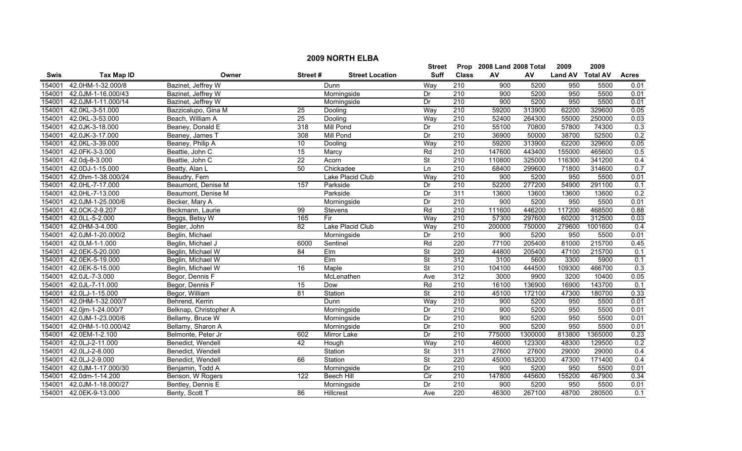|        | <b>2009 NORTH ELBA</b> |                        |                 |                        |                          |                  |                           |         |                  |         |              |  |
|--------|------------------------|------------------------|-----------------|------------------------|--------------------------|------------------|---------------------------|---------|------------------|---------|--------------|--|
|        |                        |                        |                 |                        | <b>Street</b>            |                  | Prop 2008 Land 2008 Total |         | 2009             | 2009    |              |  |
| Swis   | <b>Tax Map ID</b>      | Owner                  | Street#         | <b>Street Location</b> | <b>Suff</b>              | <b>Class</b>     | AV                        | AV      | Land AV Total AV |         | <b>Acres</b> |  |
| 154001 | 42.0HM-1-32.000/8      | Bazinet, Jeffrey W     |                 | Dunn                   | Way                      | 210              | 900                       | 5200    | 950              | 5500    | 0.01         |  |
| 154001 | 42.0JM-1-16.000/43     | Bazinet, Jeffrey W     |                 | Morningside            | Dr                       | $\overline{210}$ | $\overline{900}$          | 5200    | 950              | 5500    | 0.01         |  |
| 154001 | 42.0JM-1-11.000/14     | Bazinet, Jeffrey W     |                 | Morningside            | Dr                       | 210              | 900                       | 5200    | 950              | 5500    | 0.01         |  |
| 154001 | 42.0KL-3-51.000        | Bazzicalupo, Gina M    | 25              | Dooling                | Way                      | 210              | 59200                     | 313900  | 62200            | 329600  | 0.05         |  |
| 154001 | 42.0KL-3-53.000        | Beach, William A       | 25              | Dooling                | Way                      | 210              | 52400                     | 264300  | 55000            | 250000  | 0.03         |  |
| 154001 | 42.0JK-3-18.000        | Beaney, Donald E       | 318             | <b>Mill Pond</b>       | Dr                       | 210              | 55100                     | 70800   | 57800            | 74300   | 0.3          |  |
| 154001 | 42.0JK-3-17.000        | Beaney, James T        | 308             | <b>Mill Pond</b>       | Dr                       | 210              | 36900                     | 50000   | 38700            | 52500   | 0.2          |  |
| 154001 | 42.0KL-3-39.000        | Beaney, Philip A       | 10              | Dooling                | Way                      | 210              | 59200                     | 313900  | 62200            | 329600  | 0.05         |  |
| 154001 | 42.0FK-3-3.000         | Beattie, John C        | 15              | Marcy                  | Rd                       | 210              | 147600                    | 443400  | 155000           | 465600  | 0.5          |  |
| 154001 | 42.0dj-8-3.000         | Beattie, John C        | $\overline{22}$ | Acorn                  | $\overline{\mathsf{St}}$ | 210              | 110800                    | 325000  | 116300           | 341200  | 0.4          |  |
| 154001 | 42.0DJ-1-15.000        | Beatty, Alan L         | 50              | Chickadee              | Ln                       | $\overline{210}$ | 68400                     | 299600  | 71800            | 314600  | 0.7          |  |
| 154001 | 42.0hm-1-38.000/24     | Beaudry, Fern          |                 | Lake Placid Club       | Way                      | 210              | 900                       | 5200    | 950              | 5500    | 0.01         |  |
| 154001 | 42.0HL-7-17.000        | Beaumont, Denise M     | 157             | Parkside               | Dr                       | $\overline{210}$ | 52200                     | 277200  | 54900            | 291100  | 0.1          |  |
| 154001 | 42.0HL-7-13.000        | Beaumont, Denise M     |                 | Parkside               | Dr                       | 311              | 13600                     | 13600   | 13600            | 13600   | 0.2          |  |
| 154001 | 42.0JM-1-25.000/6      | Becker, Mary A         |                 | Morningside            | Dr                       | $\overline{210}$ | 900                       | 5200    | 950              | 5500    | 0.01         |  |
| 154001 | 42.0CK-2-9.207         | Beckmann, Laurie       | $\overline{99}$ | Stevens                | Rd                       | 210              | 111600                    | 446200  | 117200           | 468500  | 0.88         |  |
| 154001 | 42.0LL-5-2.000         | Beggs, Betsy W         | 165             | Fir                    | Way                      | 210              | 57300                     | 297600  | 60200            | 312500  | 0.03         |  |
| 154001 | 42.0HM-3-4.000         | Begier, John           | 82              | Lake Placid Club       | Way                      | 210              | 200000                    | 750000  | 279600           | 1001600 | 0.4          |  |
| 154001 | 42.0JM-1-20.000/2      | Beglin, Michael        |                 | Morningside            | Dr                       | 210              | 900                       | 5200    | 950              | 5500    | 0.01         |  |
| 154001 | 42.0LM-1-1.000         | Beglin, Michael J      | 6000            | Sentinel               | Rd                       | 220              | 77100                     | 205400  | 81000            | 215700  | 0.45         |  |
| 154001 | 42.0EK-5-20.000        | Beglin, Michael W      | 84              | Elm                    | <b>St</b>                | 220              | 44800                     | 205400  | 47100            | 215700  | 0.1          |  |
| 154001 | 42.0EK-5-19.000        | Beglin, Michael W      |                 | $E$ Im                 | <b>St</b>                | 312              | 3100                      | 5600    | 3300             | 5900    | 0.1          |  |
| 154001 | 42.0EK-5-15.000        | Beglin, Michael W      | 16              | Maple                  | $\overline{\mathsf{St}}$ | 210              | 104100                    | 444500  | 109300           | 466700  | 0.3          |  |
| 154001 | 42.0JL-7-3.000         | Begor, Dennis F        |                 | McLenathen             | Ave                      | 312              | 3000                      | 9900    | 3200             | 10400   | 0.05         |  |
| 154001 | 42.0JL-7-11.000        | Begor, Dennis F        | 15              | Dow                    | Rd                       | $\overline{210}$ | 16100                     | 136900  | 16900            | 143700  | 0.1          |  |
| 154001 | 42.0LJ-1-15.000        | Begor, William         | 81              | Station                | $\overline{\mathsf{St}}$ | 210              | 45100                     | 172100  | 47300            | 180700  | 0.33         |  |
| 154001 | 42.0HM-1-32.000/7      | Behrend, Kerrin        |                 | Dunn                   | Way                      | 210              | $\overline{900}$          | 5200    | 950              | 5500    | 0.01         |  |
| 154001 | 42.0jm-1-24.000/7      | Belknap, Christopher A |                 | Morningside            | Dr                       | $\overline{210}$ | $\overline{900}$          | 5200    | 950              | 5500    | 0.01         |  |
| 154001 | 42.0JM-1-23.000/6      | Bellamy, Bruce W       |                 | Morningside            | Dr                       | 210              | 900                       | 5200    | 950              | 5500    | 0.01         |  |
| 154001 | 42.0HM-1-10.000/42     | Bellamy, Sharon A      |                 | Morningside            | Dr                       | 210              | 900                       | 5200    | 950              | 5500    | 0.01         |  |
| 154001 | 42.0EM-1-2.100         | Belmonte, Peter Jr     | 602             | Mirror Lake            | Dr                       | 210              | 775000                    | 1300000 | 813800           | 1365000 | 0.23         |  |
| 154001 | 42.0LJ-2-11.000        | Benedict, Wendell      | 42              | Hough                  | Way                      | 210              | 46000                     | 123300  | 48300            | 129500  | 0.2          |  |
| 154001 | 42.0LJ-2-8.000         | Benedict, Wendell      |                 | Station                | <b>St</b>                | 311              | 27600                     | 27600   | 29000            | 29000   | 0.4          |  |
| 154001 | 42.0LJ-2-9.000         | Benedict, Wendell      | 66              | Station                | $\overline{\mathsf{St}}$ | 220              | 45000                     | 163200  | 47300            | 171400  | 0.4          |  |
| 154001 | 42.0JM-1-17.000/30     | Benjamin, Todd A       |                 | Morningside            | Dr                       | 210              | 900                       | 5200    | 950              | 5500    | 0.01         |  |
| 154001 | 42.0dm-1-14.200        | Benson, W Rogers       | 122             | <b>Beech Hill</b>      | $\overline{C}$           | $\overline{210}$ | 147800                    | 445600  | 155200           | 467900  | 0.34         |  |
| 154001 | 42.0JM-1-18.000/27     | Bentley, Dennis E      |                 | Morningside            | Dr                       | 210              | 900                       | 5200    | 950              | 5500    | 0.01         |  |
| 154001 | 42.0EK-9-13.000        | Benty, Scott T         | 86              | Hillcrest              | Ave                      | 220              | 46300                     | 267100  | 48700            | 280500  | 0.1          |  |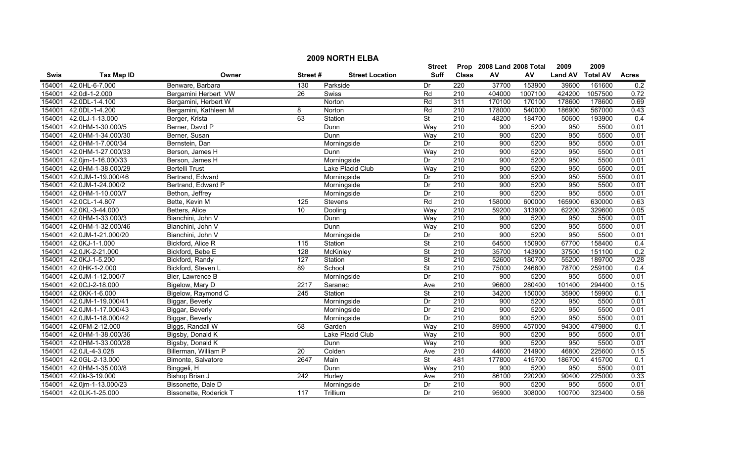|             |                    |                        |                |                        | <b>Street</b>            |                  | Prop 2008 Land 2008 Total |         | 2009           | 2009            |              |
|-------------|--------------------|------------------------|----------------|------------------------|--------------------------|------------------|---------------------------|---------|----------------|-----------------|--------------|
| <b>Swis</b> | <b>Tax Map ID</b>  | Owner                  | Street#        | <b>Street Location</b> | <b>Suff</b>              | <b>Class</b>     | AV                        | AV      | <b>Land AV</b> | <b>Total AV</b> | <b>Acres</b> |
| 154001      | 42.0HL-6-7.000     | Benware, Barbara       | 130            | Parkside               | Dr                       | 220              | 37700                     | 153900  | 39600          | 161600          | 0.2          |
| 154001      | 42.0dl-1-2.000     | Bergamini Herbert VW   | 26             | Swiss                  | Rd                       | 210              | 404000                    | 1007100 | 424200         | 1057500         | 0.72         |
| 154001      | 42.0DL-1-4.100     | Bergamini, Herbert W   |                | Norton                 | Rd                       | 311              | 170100                    | 170100  | 178600         | 178600          | 0.69         |
| 154001      | 42.0DL-1-4.200     | Bergamini, Kathleen M  | 8              | Norton                 | Rd                       | 210              | 178000                    | 540000  | 186900         | 567000          | 0.43         |
| 154001      | 42.0LJ-1-13.000    | Berger, Krista         | 63             | Station                | $\overline{\mathsf{St}}$ | 210              | 48200                     | 184700  | 50600          | 193900          | 0.4          |
| 154001      | 42.0HM-1-30.000/5  | Berner, David P        |                | Dunn                   | Way                      | 210              | 900                       | 5200    | 950            | 5500            | 0.01         |
| 154001      | 42.0HM-1-34.000/30 | Berner, Susan          |                | Dunn                   | Way                      | 210              | 900                       | 5200    | 950            | 5500            | 0.01         |
| 154001      | 42.0HM-1-7.000/34  | Bernstein, Dan         |                | Morningside            | Dr                       | 210              | 900                       | 5200    | 950            | 5500            | 0.01         |
| 154001      | 42.0HM-1-27.000/33 | Berson, James H        |                | Dunn                   | Way                      | 210              | 900                       | 5200    | 950            | 5500            | 0.01         |
| 154001      | 42.0jm-1-16.000/33 | Berson, James H        |                | Morningside            | Dr                       | 210              | 900                       | 5200    | 950            | 5500            | 0.01         |
| 154001      | 42.0HM-1-38.000/29 | <b>Bertelli Trust</b>  |                | Lake Placid Club       | Way                      | $\overline{210}$ | 900                       | 5200    | 950            | 5500            | 0.01         |
| 154001      | 42.0JM-1-19.000/46 | Bertrand, Edward       |                | Morningside            | Dr                       | $\overline{210}$ | $\overline{900}$          | 5200    | 950            | 5500            | 0.01         |
| 154001      | 42.0JM-1-24.000/2  | Bertrand, Edward P     |                | Morningside            | Dr                       | $\overline{210}$ | 900                       | 5200    | 950            | 5500            | 0.01         |
| 154001      | 42.0HM-1-10.000/7  | Bethon, Jeffrey        |                | Morningside            | Dr                       | $\overline{210}$ | 900                       | 5200    | 950            | 5500            | 0.01         |
| 154001      | 42.0CL-1-4.807     | Bette, Kevin M         | $\frac{1}{25}$ | Stevens                | Rd                       | 210              | 158000                    | 600000  | 165900         | 630000          | 0.63         |
| 154001      | 42.0KL-3-44.000    | Betters, Alice         | 10             | Dooling                | Way                      | $\overline{210}$ | 59200                     | 313900  | 62200          | 329600          | 0.05         |
| 154001      | 42.0HM-1-33.000/3  | Bianchini, John V      |                | Dunn                   | Way                      | 210              | 900                       | 5200    | 950            | 5500            | 0.01         |
| 154001      | 42.0HM-1-32.000/46 | Bianchini, John V      |                | Dunn                   | Way                      | 210              | 900                       | 5200    | 950            | 5500            | 0.01         |
| 154001      | 42.0JM-1-21.000/20 | Bianchini, John V      |                | Morningside            | Dr                       | 210              | 900                       | 5200    | 950            | 5500            | 0.01         |
| 154001      | 42.0KJ-1-1.000     | Bickford, Alice R      | 115            | Station                | $\overline{\mathsf{St}}$ | 210              | 64500                     | 150900  | 67700          | 158400          | 0.4          |
| 154001      | 42.0JK-2-21.000    | Bickford, Bebe E       | 128            | <b>McKinley</b>        | <b>St</b>                | $\overline{210}$ | 35700                     | 143900  | 37500          | 151100          | 0.2          |
| 154001      | 42.0KJ-1-5.200     | Bickford, Randy        | 127            | Station                | $\overline{\mathsf{St}}$ | $\overline{210}$ | 52600                     | 180700  | 55200          | 189700          | 0.28         |
| 154001      | 42.0HK-1-2.000     | Bickford, Steven L     | 89             | School                 | $\overline{\mathsf{St}}$ | 210              | 75000                     | 246800  | 78700          | 259100          | 0.4          |
| 154001      | 42.0JM-1-12.000/7  | Bier, Lawrence B       |                | Morningside            | Dr                       | $\overline{210}$ | 900                       | 5200    | 950            | 5500            | 0.01         |
| 154001      | 42.0CJ-2-18.000    | Bigelow, Mary D        | 2217           | Saranac                | Ave                      | $\overline{210}$ | 96600                     | 280400  | 101400         | 294400          | 0.15         |
| 154001      | 42.0KK-1-6.000     | Bigelow, Raymond C     | 245            | Station                | <b>St</b>                | $\overline{210}$ | 34200                     | 150000  | 35900          | 159900          | 0.1          |
| 154001      | 42.0JM-1-19.000/41 | Biggar, Beverly        |                | Morningside            | Dr                       | $\overline{210}$ | 900                       | 5200    | 950            | 5500            | 0.01         |
| 154001      | 42.0JM-1-17.000/43 | Biggar, Beverly        |                | Morningside            | Dr                       | $\overline{210}$ | 900                       | 5200    | 950            | 5500            | 0.01         |
| 154001      | 42.0JM-1-18.000/42 | Biggar, Beverly        |                | Morningside            | Dr                       | 210              | 900                       | 5200    | 950            | 5500            | 0.01         |
| 154001      | 42.0FM-2-12.000    | Biggs, Randall W       | 68             | Garden                 | Way                      | 210              | 89900                     | 457000  | 94300          | 479800          | 0.1          |
| 154001      | 42.0HM-1-38.000/36 | Bigsby, Donald K       |                | Lake Placid Club       | Way                      | 210              | 900                       | 5200    | 950            | 5500            | 0.01         |
| 154001      | 42.0HM-1-33.000/28 | Bigsby, Donald K       |                | Dunn                   | Way                      | 210              | 900                       | 5200    | 950            | 5500            | 0.01         |
| 154001      | 42.0JL-4-3.028     | Billerman, William P   | 20             | Colden                 | Ave                      | 210              | 44600                     | 214900  | 46800          | 225600          | 0.15         |
| 154001      | 42.0GL-2-13.000    | Bimonte, Salvatore     | 2647           | Main                   | <b>St</b>                | 481              | 177800                    | 415700  | 186700         | 415700          | 0.1          |
| 154001      | 42.0HM-1-35.000/8  | Binggeli, H            |                | Dunn                   | Way                      | $\overline{210}$ | 900                       | 5200    | 950            | 5500            | 0.01         |
| 154001      | 42.0kl-3-19.000    | Bishop Brian J         | 242            | Hurley                 | Ave                      | 210              | 86100                     | 220200  | 90400          | 225000          | 0.33         |
| 154001      | 42.0jm-1-13.000/23 | Bissonette, Dale D     |                | Morningside            | Dr                       | $\overline{210}$ | 900                       | 5200    | 950            | 5500            | 0.01         |
| 154001      | 42.0LK-1-25.000    | Bissonette, Roderick T | 117            | Trillium               | Dr                       | 210              | 95900                     | 308000  | 100700         | 323400          | 0.56         |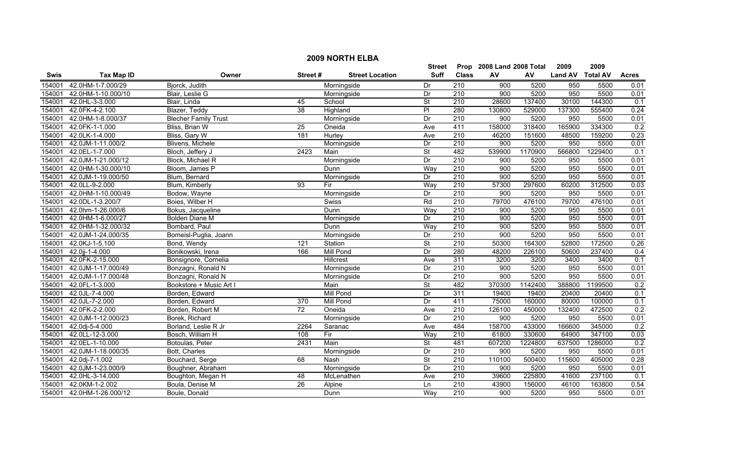|             |                    |                             |                 |                        | <b>Street</b>            |                  | Prop 2008 Land 2008 Total |         | 2009           | 2009            |              |
|-------------|--------------------|-----------------------------|-----------------|------------------------|--------------------------|------------------|---------------------------|---------|----------------|-----------------|--------------|
| <b>Swis</b> | <b>Tax Map ID</b>  | Owner                       | Street#         | <b>Street Location</b> | <b>Suff</b>              | <b>Class</b>     | AV                        | AV      | <b>Land AV</b> | <b>Total AV</b> | <b>Acres</b> |
| 154001      | 42.0HM-1-7.000/29  | Bjorck, Judith              |                 | Morningside            | Dr                       | 210              | 900                       | 5200    | 950            | 5500            | 0.01         |
| 154001      | 42.0HM-1-10.000/10 | Blair, Leslie G             |                 | Morningside            | Dr                       | $\overline{210}$ | 900                       | 5200    | 950            | 5500            | 0.01         |
| 154001      | 42.0HL-3-3.000     | Blair, Linda                | 45              | School                 | <b>St</b>                | $\overline{210}$ | 28600                     | 137400  | 30100          | 144300          | 0.1          |
| 154001      | 42.0FK-4-2.100     | Blazer, Teddy               | 38              | Highland               | $\overline{P}$           | 280              | 130800                    | 529000  | 137300         | 555400          | 0.24         |
| 154001      | 42.0HM-1-8.000/37  | <b>Blecher Family Trust</b> |                 | Morningside            | $\overline{Dr}$          | 210              | 900                       | 5200    | 950            | 5500            | 0.01         |
| 154001      | 42.0FK-1-1.000     | Bliss, Brian W              | 25              | Oneida                 | Ave                      | 411              | 158000                    | 318400  | 165900         | 334300          | 0.2          |
| 154001      | 42.0LK-1-4.000     | Bliss, Gary W               | 181             | Hurley                 | Ave                      | 210              | 46200                     | 151600  | 48500          | 159200          | 0.23         |
| 154001      | 42.0JM-1-11.000/2  | Blivens, Michele            |                 | Morningside            | Dr                       | 210              | 900                       | 5200    | 950            | 5500            | 0.01         |
| 154001      | 42.0EL-1-7.000     | Bloch, Jeffery J            | 2423            | Main                   | <b>St</b>                | 482              | 539900                    | 1170900 | 566800         | 1229400         | 0.1          |
| 154001      | 42.0JM-1-21.000/12 | Block, Michael R            |                 | Morningside            | Dr                       | $\overline{210}$ | 900                       | 5200    | 950            | 5500            | 0.01         |
| 154001      | 42.0HM-1-30.000/10 | Bloom, James P              |                 | Dunn                   | Way                      | 210              | 900                       | 5200    | 950            | 5500            | 0.01         |
| 154001      | 42.0JM-1-19.000/50 | Blum, Bernard               |                 | Morningside            | Dr                       | 210              | 900                       | 5200    | 950            | 5500            | 0.01         |
| 154001      | 42.0LL-9-2.000     | Blum, Kimberly              | 93              | Fir                    | Way                      | $\overline{210}$ | 57300                     | 297600  | 60200          | 312500          | 0.03         |
| 154001      | 42.0HM-1-10.000/49 | Bodow, Wayne                |                 | Morningside            | Dr                       | $\overline{210}$ | 900                       | 5200    | 950            | 5500            | 0.01         |
| 154001      | 42.0DL-1-3.200/7   | Boies, Wilber H             |                 | Swiss                  | Rd                       | 210              | 79700                     | 476100  | 79700          | 476100          | 0.01         |
| 154001      | 42.0hm-1-26.000/6  | Bokus, Jacqueline           |                 | Dunn                   | Way                      | $\overline{210}$ | 900                       | 5200    | 950            | 5500            | 0.01         |
| 154001      | 42.0HM-1-6.000/27  | <b>Bolden Diane M</b>       |                 | Morningside            | Dr                       | 210              | 900                       | 5200    | 950            | 5500            | 0.01         |
| 154001      | 42.0HM-1-32.000/32 | Bombard, Paul               |                 | Dunn                   | Way                      | 210              | 900                       | 5200    | 950            | 5500            | 0.01         |
| 154001      | 42.0JM-1-24.000/35 | Bomeisl-Puglia, Joann       |                 | Morningside            | Dr                       | 210              | 900                       | 5200    | 950            | 5500            | 0.01         |
| 154001      | 42.0KJ-1-5.100     | Bond, Wendy                 | 121             | Station                | <b>St</b>                | 210              | 50300                     | 164300  | 52800          | 172500          | 0.26         |
| 154001      | 42.0jj-1-4.000     | Bonikowski, Irena           | 166             | <b>Mill Pond</b>       | Dr                       | 280              | 48200                     | 226100  | 50600          | 237400          | 0.4          |
| 154001      | 42.0FK-2-15.000    | Bonsignore, Cornelia        |                 | Hillcrest              | Ave                      | 311              | 3200                      | 3200    | 3400           | 3400            | 0.1          |
| 154001      | 42.0JM-1-17.000/49 | Bonzagni, Ronald N          |                 | Morningside            | Dr                       | $\overline{210}$ | 900                       | 5200    | 950            | 5500            | 0.01         |
| 154001      | 42.0JM-1-17.000/48 | Bonzagni, Ronald N          |                 | Morningside            | Dr                       | $\overline{210}$ | 900                       | 5200    | 950            | 5500            | 0.01         |
| 154001      | 42.0FL-1-3.000     | Bookstore + Music Art I     |                 | Main                   | $\overline{\mathsf{St}}$ | 482              | 370300                    | 1142400 | 388800         | 1199500         | 0.2          |
| 154001      | 42.0JL-7-4.000     | Borden, Edward              |                 | Mill Pond              | Dr                       | 311              | 19400                     | 19400   | 20400          | 20400           | 0.1          |
| 154001      | 42.0JL-7-2.000     | Borden, Edward              | 370             | <b>Mill Pond</b>       | Dr                       | 411              | 75000                     | 160000  | 80000          | 100000          | 0.1          |
| 154001      | 42.0FK-2-2.000     | Borden, Robert M            | 72              | Oneida                 | Ave                      | $\overline{210}$ | 126100                    | 450000  | 132400         | 472500          | 0.2          |
| 154001      | 42.0JM-1-12.000/23 | Borek, Richard              |                 | Morningside            | Dr                       | 210              | 900                       | 5200    | 950            | 5500            | 0.01         |
| 154001      | 42.0dj-5-4.000     | Borland, Leslie R Jr        | 2264            | Saranac                | Ave                      | 484              | 158700                    | 433000  | 166600         | 345000          | 0.2          |
| 154001      | 42.0LL-12-3.000    | Bosch, William H            | 108             | Fir                    | Way                      | 210              | 61800                     | 330600  | 64900          | 347100          | 0.03         |
| 154001      | 42.0EL-1-10.000    | Botoulas, Peter             | 2431            | Main                   | <b>St</b>                | 481              | 607200                    | 1224800 | 637500         | 1286000         | 0.2          |
| 154001      | 42.0JM-1-18.000/35 | Bott, Charles               |                 | Morningside            | Dr                       | 210              | 900                       | 5200    | 950            | 5500            | 0.01         |
| 154001      | 42.0dj-7-1.002     | Bouchard, Serge             | 68              | Nash                   | <b>St</b>                | $\overline{210}$ | 110100                    | 500400  | 115600         | 405000          | 0.28         |
| 154001      | 42.0JM-1-23.000/9  | Boughner, Abraham           |                 | Morningside            | Dr                       | $\overline{210}$ | 900                       | 5200    | 950            | 5500            | 0.01         |
| 154001      | 42.0HL-3-14.000    | Boughton, Megan H           | 48              | McLenathen             | Ave                      | 210              | 39600                     | 225800  | 41600          | 237100          | 0.1          |
| 154001      | 42.0KM-1-2.002     | Boula, Denise M             | $\overline{26}$ | Alpine                 | Ln                       | $\overline{210}$ | 43900                     | 156000  | 46100          | 163800          | 0.54         |
| 154001      | 42.0HM-1-26.000/12 | Boule, Donald               |                 | Dunn                   | Way                      | 210              | 900                       | 5200    | 950            | 5500            | 0.01         |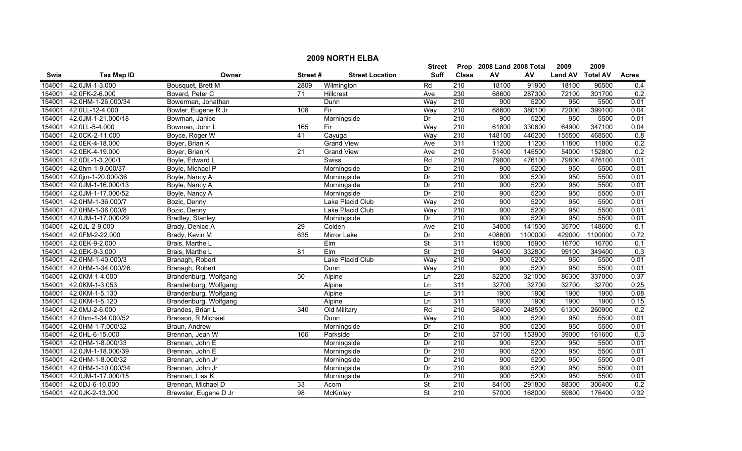|             |                    |                       |                 |                        | <b>Street</b>            |                  | Prop 2008 Land 2008 Total |         | 2009           | 2009            |              |
|-------------|--------------------|-----------------------|-----------------|------------------------|--------------------------|------------------|---------------------------|---------|----------------|-----------------|--------------|
| <b>Swis</b> | <b>Tax Map ID</b>  | Owner                 | Street#         | <b>Street Location</b> | Suff                     | <b>Class</b>     | AV                        | AV      | <b>Land AV</b> | <b>Total AV</b> | <b>Acres</b> |
| 154001      | 42.0JM-1-3.000     | Bousquet, Brett M     | 2809            | Wilmington             | Rd                       | 210              | 18100                     | 91900   | 18100          | 96500           | 0.4          |
| 154001      | 42.0FK-2-6.000     | Bovard, Peter C       | $\overline{71}$ | Hillcrest              | Ave                      | 230              | 68600                     | 287300  | 72100          | 301700          | 0.2          |
| 154001      | 42.0HM-1-26.000/34 | Bowerman, Jonathan    |                 | Dunn                   | Way                      | $\overline{210}$ | $\overline{900}$          | 5200    | 950            | 5500            | 0.01         |
| 154001      | 42.0LL-12-4.000    | Bowler, Eugene R Jr   | 108             | Fir                    | Way                      | 210              | 68600                     | 380100  | 72000          | 399100          | 0.04         |
| 154001      | 42.0JM-1-21.000/18 | Bowman, Janice        |                 | Morningside            | Dr                       | 210              | 900                       | 5200    | 950            | 5500            | 0.01         |
| 154001      | 42.0LL-5-4.000     | Bowman, John L        | 165             | Fir                    | Way                      | 210              | 61800                     | 330600  | 64900          | 347100          | 0.04         |
| 154001      | 42.0CK-2-11.000    | Boyce, Roger W        | 41              | Cayuga                 | Way                      | 210              | 148100                    | 446200  | 155500         | 468500          | 0.8          |
| 154001      | 42.0EK-4-18.000    | Boyer, Brian K        |                 | <b>Grand View</b>      | Ave                      | 311              | 11200                     | 11200   | 11800          | 11800           | 0.2          |
| 154001      | 42.0EK-4-19.000    | Boyer, Brian K        | 21              | <b>Grand View</b>      | Ave                      | 210              | 51400                     | 145500  | 54000          | 152800          | 0.2          |
| 154001      | 42.0DL-1-3.200/1   | Boyle, Edward L       |                 | <b>Swiss</b>           | Rd                       | 210              | 79800                     | 476100  | 79800          | 476100          | 0.01         |
| 154001      | 42.0hm-1-9.000/37  | Boyle, Michael P      |                 | Morningside            | Dr                       | $\overline{210}$ | 900                       | 5200    | 950            | 5500            | 0.01         |
| 154001      | 42.0jm-1-20.000/36 | Boyle, Nancy A        |                 | Morningside            | Dr                       | 210              | $\overline{900}$          | 5200    | 950            | 5500            | 0.01         |
| 154001      | 42.0JM-1-16.000/13 | Boyle, Nancy A        |                 | Morningside            | Dr                       | 210              | 900                       | 5200    | 950            | 5500            | 0.01         |
| 154001      | 42.0JM-1-17.000/52 | Boyle, Nancy A        |                 | Morningside            | Dr                       | $\overline{210}$ | 900                       | 5200    | 950            | 5500            | 0.01         |
| 154001      | 42.0HM-1-36.000/7  | Bozic, Denny          |                 | Lake Placid Club       | Way                      | $\overline{210}$ | 900                       | 5200    | 950            | 5500            | 0.01         |
| 154001      | 42.0HM-1-36.000/8  | Bozic, Denny          |                 | Lake Placid Club       | Way                      | 210              | 900                       | 5200    | 950            | 5500            | 0.01         |
| 154001      | 42.0JM-1-17.000/29 | Bradley, Stanley      |                 | Morningside            | Dr                       | 210              | 900                       | 5200    | 950            | 5500            | 0.01         |
| 154001      | 42.0JL-2-9.000     | Brady, Denice A       | 29              | Colden                 | Ave                      | 210              | 34000                     | 141500  | 35700          | 148600          | 0.1          |
| 154001      | 42.0FM-2-22.000    | Brady, Kevin M        | 635             | <b>Mirror Lake</b>     | Dr                       | 210              | 408600                    | 1100000 | 429000         | 1100000         | 0.72         |
| 154001      | 42.0EK-9-2.000     | Brais, Marthe L       |                 | Elm                    | $\overline{\mathsf{St}}$ | 311              | 15900                     | 15900   | 16700          | 16700           | 0.1          |
| 154001      | 42.0EK-9-3.000     | Brais, Marthe L       | 81              | Elm                    | $\overline{\mathsf{St}}$ | $\overline{210}$ | 94400                     | 332800  | 99100          | 349400          | 0.3          |
| 154001      | 42.0HM-1-40.000/3  | Branagh, Robert       |                 | Lake Placid Club       | Way                      | 210              | 900                       | 5200    | 950            | 5500            | 0.01         |
| 154001      | 42.0HM-1-34.000/26 | Branagh, Robert       |                 | Dunn                   | Way                      | $\overline{210}$ | 900                       | 5200    | 950            | 5500            | 0.01         |
| 154001      | 42.0KM-1-4.000     | Brandenburg, Wolfgang | 50              | Alpine                 | Ln                       | 220              | 82200                     | 321000  | 86300          | 337000          | 0.37         |
| 154001      | 42.0KM-1-3.053     | Brandenburg, Wolfgang |                 | Alpine                 | Ln                       | 311              | 32700                     | 32700   | 32700          | 32700           | 0.25         |
| 154001      | 42.0KM-1-5.130     | Brandenburg, Wolfgang |                 | Alpine                 | Ln                       | 311              | 1900                      | 1900    | 1900           | 1900            | 0.08         |
| 154001      | 42.0KM-1-5.120     | Brandenburg, Wolfgang |                 | Alpine                 | Ln                       | 311              | 1900                      | 1900    | 1900           | 1900            | 0.15         |
| 154001      | 42.0MJ-2-6.000     | Brandes, Brian L      | 340             | Old Military           | Rd                       | 210              | 58400                     | 248500  | 61300          | 260900          | 0.2          |
| 154001      | 42.0hm-1-34.000/52 | Branson, R Michael    |                 | Dunn                   | Way                      | 210              | 900                       | 5200    | 950            | 5500            | 0.01         |
| 154001      | 42.0HM-1-7.000/32  | Braun, Andrew         |                 | Morningside            | Dr                       | 210              | 900                       | 5200    | 950            | 5500            | 0.01         |
| 154001      | 42.0HL-6-15.000    | Brennan, Jean W       | 166             | Parkside               | Dr                       | 210              | 37100                     | 153900  | 39000          | 161600          | 0.3          |
| 154001      | 42.0HM-1-8.000/33  | Brennan, John E       |                 | Morningside            | Dr                       | 210              | 900                       | 5200    | 950            | 5500            | 0.01         |
| 154001      | 42.0JM-1-18.000/39 | Brennan, John E       |                 | Morningside            | Dr                       | 210              | 900                       | 5200    | 950            | 5500            | 0.01         |
| 154001      | 42.0HM-1-8.000/32  | Brennan, John Jr      |                 | Morningside            | Dr                       | $\overline{210}$ | 900                       | 5200    | 950            | 5500            | 0.01         |
| 154001      | 42.0HM-1-10.000/34 | Brennan, John Jr      |                 | Morningside            | Dr                       | $\overline{210}$ | 900                       | 5200    | 950            | 5500            | 0.01         |
| 154001      | 42.0JM-1-17.000/15 | Brennan, Lisa K       |                 | Morningside            | Dr                       | 210              | 900                       | 5200    | 950            | 5500            | 0.01         |
| 154001      | 42.0DJ-6-10.000    | Brennan, Michael D    | 33              | Acorn                  | St                       | $\overline{210}$ | 84100                     | 291800  | 88300          | 306400          | 0.2          |
| 154001      | 42.0JK-2-13.000    | Brewster, Eugene D Jr | $\overline{98}$ | McKinley               | <b>St</b>                | 210              | 57000                     | 168000  | 59800          | 176400          | 0.32         |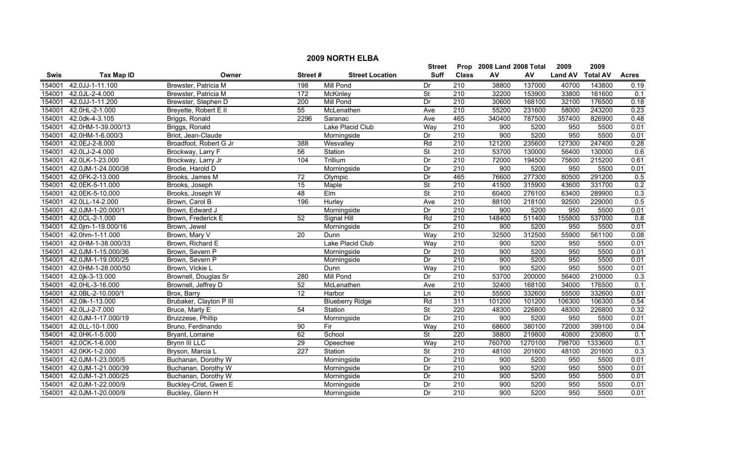|             |                    |                         |                  |                        | <b>Street</b>            |                  | Prop 2008 Land 2008 Total |         | 2009           | 2009            |                  |
|-------------|--------------------|-------------------------|------------------|------------------------|--------------------------|------------------|---------------------------|---------|----------------|-----------------|------------------|
| <b>Swis</b> | <b>Tax Map ID</b>  | Owner                   | Street#          | <b>Street Location</b> | <b>Suff</b>              | <b>Class</b>     | AV                        | AV      | <b>Land AV</b> | <b>Total AV</b> | <b>Acres</b>     |
| 54001       | 42.0JJ-1-11.100    | Brewster, Patricia M    | 198              | <b>Mill Pond</b>       | Dr                       | 210              | 38800                     | 137000  | 40700          | 143800          | 0.19             |
| 154001      | 42.0JL-2-4.000     | Brewster, Patricia M    | 172              | McKinley               | $\overline{\mathsf{St}}$ | $\overline{210}$ | 32200                     | 153900  | 33800          | 161600          | 0.1              |
| 154001      | 42.0JJ-1-11.200    | Brewster, Stephen D     | $\overline{200}$ | <b>Mill Pond</b>       | Dr                       | $\overline{210}$ | 30600                     | 168100  | 32100          | 176500          | 0.18             |
| 154001      | 42.0HL-2-1.000     | Breyette, Robert E II   | 55               | McLenathen             | Ave                      | 210              | 55200                     | 231600  | 58000          | 243200          | 0.23             |
| 154001      | 42.0dk-4-3.105     | Briggs, Ronald          | 2296             | Saranac                | Ave                      | 465              | 340400                    | 787500  | 357400         | 826900          | 0.48             |
| 154001      | 42.0HM-1-39.000/13 | Briggs, Ronald          |                  | Lake Placid Club       | Way                      | 210              | 900                       | 5200    | 950            | 5500            | 0.01             |
| 154001      | 42.0HM-1-6.000/3   | Briot, Jean-Claude      |                  | Morningside            | Dr                       | 210              | 900                       | 5200    | 950            | 5500            | 0.01             |
| 154001      | 42.0EJ-2-8.000     | Broadfoot, Robert G Jr  | 388              | Wesvalley              | Rd                       | 210              | 121200                    | 235600  | 127300         | 247400          | 0.28             |
| 154001      | 42.0LJ-2-4.000     | Brockway, Larry F       | 56               | Station                | $\overline{\mathsf{St}}$ | $\overline{210}$ | 53700                     | 130000  | 56400          | 130000          | $\overline{0.6}$ |
| 154001      | 42.0LK-1-23.000    | Brockway, Larry Jr      | 104              | Trillium               | $\overline{Dr}$          | 210              | 72000                     | 194500  | 75600          | 215200          | 0.61             |
| 154001      | 42.0JM-1-24.000/38 | Brodie, Harold D        |                  | Morningside            | Dr                       | 210              | 900                       | 5200    | 950            | 5500            | 0.01             |
| 154001      | 42.0FK-2-13.000    | Brooks, James M         | 72               | Olympic                | Dr                       | 465              | 76600                     | 277300  | 80500          | 291200          | 0.5              |
| 154001      | 42.0EK-5-11.000    | Brooks, Joseph          | 15               | Maple                  | <b>St</b>                | $\overline{210}$ | 41500                     | 315900  | 43600          | 331700          | 0.2              |
| 154001      | 42.0EK-5-10.000    | Brooks, Joseph W        | $\overline{48}$  | EIm                    | <b>St</b>                | 210              | 60400                     | 276100  | 63400          | 289900          | 0.3              |
| 154001      | 42.0LL-14-2.000    | Brown, Carol B          | 196              | Hurley                 | Ave                      | 210              | 88100                     | 218100  | 92500          | 229000          | 0.5              |
| 154001      | 42.0JM-1-20.000/1  | Brown, Edward J         |                  | Morningside            | Dr                       | 210              | 900                       | 5200    | 950            | 5500            | 0.01             |
| 154001      | 42.0CL-2-1.000     | Brown, Frederick E      | 52               | Signal Hill            | Rd                       | 210              | 148400                    | 511400  | 155800         | 537000          | 0.8              |
| 154001      | 42.0m-1-19.000/16  | Brown, Jewel            |                  | Morningside            | Dr                       | 210              | 900                       | 5200    | 950            | 5500            | 0.01             |
| 154001      | 42.0hm-1-11.000    | Brown, Mary V           | $\overline{20}$  | Dunn                   | Way                      | 210              | 32500                     | 312500  | 55900          | 561100          | 0.08             |
| 154001      | 42.0HM-1-38.000/33 | Brown, Richard E        |                  | Lake Placid Club       | Way                      | 210              | 900                       | 5200    | 950            | 5500            | 0.01             |
| 154001      | 42.0JM-1-15.000/36 | Brown, Severn P         |                  | Morningside            | Dr                       | $\overline{210}$ | 900                       | 5200    | 950            | 5500            | 0.01             |
| 154001      | 42.0JM-1-19.000/25 | Brown, Severn P         |                  | Morningside            | Dr                       | $\overline{210}$ | 900                       | 5200    | 950            | 5500            | 0.01             |
| 154001      | 42.0HM-1-28.000/50 | Brown, Vickie L         |                  | Dunn                   | Way                      | $\overline{210}$ | 900                       | 5200    | 950            | 5500            | 0.01             |
| 154001      | 42.0jk-3-13.000    | Brownell, Douglas Sr    | 280              | Mill Pond              | Dr                       | 210              | 53700                     | 200000  | 56400          | 210000          | 0.3              |
| 154001      | 42.0HL-3-16.000    | Brownell, Jeffrey D     | 52               | McLenathen             | Ave                      | 210              | 32400                     | 168100  | 34000          | 176500          | 0.1              |
| 154001      | 42.0BL-2-10.000/1  | Brox, Barry             | $\overline{12}$  | Harbor                 | Ln                       | $\overline{210}$ | 55500                     | 332600  | 55500          | 332600          | 0.01             |
| 154001      | 42.0lk-1-13.000    | Brubaker, Clayton P III |                  | <b>Blueberry Ridge</b> | Rd                       | 311              | 101200                    | 101200  | 106300         | 106300          | 0.54             |
| 154001      | 42.0LJ-2-7.000     | Bruce, Marty E          | 54               | Station                | <b>St</b>                | 220              | 48300                     | 226800  | 48300          | 226800          | 0.32             |
| 154001      | 42.0JM-1-17.000/19 | Bruizzese, Phillip      |                  | Morningside            | Dr                       | 210              | 900                       | 5200    | 950            | 5500            | 0.01             |
| 154001      | 42.0LL-10-1.000    | Bruno, Ferdinando       | 90               | Fir                    | Way                      | 210              | 68600                     | 380100  | 72000          | 399100          | 0.04             |
| 154001      | 42.0HK-1-5.000     | Bryant, Lorraine        | 62               | School                 | $\overline{\mathsf{St}}$ | 220              | 38800                     | 219800  | 40800          | 230800          | 0.1              |
| 154001      | 42.0CK-1-6.000     | Brynn III LLC           | 29               | Opeechee               | Way                      | 210              | 760700                    | 1270100 | 798700         | 1333600         | 0.1              |
| 154001      | 42.0KK-1-2.000     | Bryson, Marcia L        | 227              | Station                | $\overline{\mathsf{St}}$ | 210              | 48100                     | 201600  | 48100          | 201600          | 0.3              |
| 154001      | 42.0JM-1-23.000/5  | Buchanan, Dorothy W     |                  | Morningside            | Dr                       | $\overline{210}$ | 900                       | 5200    | 950            | 5500            | 0.01             |
| 154001      | 42.0JM-1-21.000/39 | Buchanan, Dorothy W     |                  | Morningside            | Dr                       | $\overline{210}$ | 900                       | 5200    | 950            | 5500            | 0.01             |
| 154001      | 42.0JM-1-21.000/25 | Buchanan, Dorothy W     |                  | Morningside            | Dr                       | 210              | 900                       | 5200    | 950            | 5500            | 0.01             |
| 154001      | 42.0JM-1-22.000/9  | Buckley-Crist, Gwen E   |                  | Morningside            | Dr                       | $\overline{210}$ | 900                       | 5200    | 950            | 5500            | 0.01             |
| 154001      | 42.0JM-1-20.000/9  | Buckley, Glenn H        |                  | Morningside            | Dr                       | 210              | 900                       | 5200    | 950            | 5500            | 0.01             |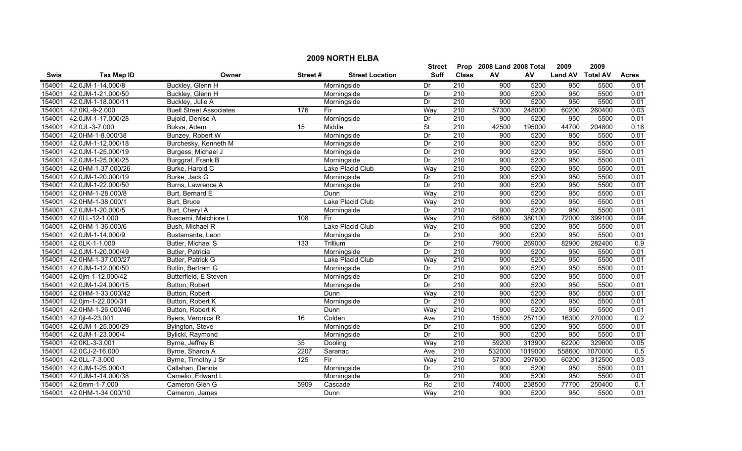|             | <b>2009 NORTH ELBA</b> |                                |                |                        |             |                  |                           |         |                  |         |              |  |  |
|-------------|------------------------|--------------------------------|----------------|------------------------|-------------|------------------|---------------------------|---------|------------------|---------|--------------|--|--|
|             |                        |                                |                |                        | Street      |                  | Prop 2008 Land 2008 Total |         | 2009             | 2009    |              |  |  |
| <b>Swis</b> | <b>Tax Map ID</b>      | Owner                          | Street#        | <b>Street Location</b> | <b>Suff</b> | <b>Class</b>     | AV                        | AV      | Land AV Total AV |         | <b>Acres</b> |  |  |
| 154001      | 42.0JM-1-14.000/8      | Buckley, Glenn H               |                | Morningside            | Dr          | 210              | 900                       | 5200    | 950              | 5500    | 0.01         |  |  |
| 154001      | 42.0JM-1-21.000/50     | Buckley, Glenn H               |                | Morningside            | Dr          | $\overline{210}$ | 900                       | 5200    | 950              | 5500    | 0.01         |  |  |
| 154001      | 42.0JM-1-18.000/11     | Buckley, Julie A               |                | Morningside            | Dr          | 210              | 900                       | 5200    | 950              | 5500    | 0.01         |  |  |
| 154001      | 42.0KL-9-2.000         | <b>Buell Street Associates</b> | 176            | Fir                    | Way         | 210              | 57300                     | 248000  | 60200            | 260400  | 0.03         |  |  |
| 154001      | 42.0JM-1-17.000/28     | Bujold, Denise A               |                | Morningside            | Dr          | 210              | 900                       | 5200    | 950              | 5500    | 0.01         |  |  |
| 154001      | 42.0JL-3-7.000         | Bukva, Adem                    | 15             | Middle                 | <b>St</b>   | 210              | 42500                     | 195000  | 44700            | 204800  | 0.18         |  |  |
| 154001      | 42.0HM-1-8.000/38      | Bunzey, Robert W               |                | Morningside            | Dr          | 210              | 900                       | 5200    | 950              | 5500    | 0.01         |  |  |
| 154001      | 42.0JM-1-12.000/18     | Burchesky, Kenneth M           |                | Morningside            | Dr          | 210              | 900                       | 5200    | 950              | 5500    | 0.01         |  |  |
| 154001      | 42.0JM-1-25.000/19     | Burgess, Michael J             |                | Morningside            | Dr          | $\overline{210}$ | 900                       | 5200    | 950              | 5500    | 0.01         |  |  |
| 154001      | 42.0JM-1-25.000/25     | Burggraf, Frank B              |                | Morningside            | Dr          | 210              | 900                       | 5200    | 950              | 5500    | 0.01         |  |  |
| 154001      | 42.0HM-1-37.000/26     | Burke, Harold C                |                | Lake Placid Club       | Way         | 210              | 900                       | 5200    | 950              | 5500    | 0.01         |  |  |
| 154001      | 42.0JM-1-20.000/19     | Burke, Jack G                  |                | Morningside            | Dr          | 210              | 900                       | 5200    | 950              | 5500    | 0.01         |  |  |
| 154001      | 42.0JM-1-22.000/50     | Burns, Lawrence A              |                | Morningside            | Dr          | 210              | 900                       | 5200    | 950              | 5500    | 0.01         |  |  |
| 154001      | 42.0HM-1-28.000/8      | Burt, Bernard E                |                | Dunn                   | Way         | 210              | 900                       | 5200    | 950              | 5500    | 0.01         |  |  |
| 154001      | 42.0HM-1-38.000/1      | Burt, Bruce                    |                | Lake Placid Club       | Way         | $\overline{210}$ | 900                       | 5200    | 950              | 5500    | 0.01         |  |  |
| 154001      | 42.0JM-1-20.000/5      | Burt, Cheryl A                 |                | Morningside            | Dr          | 210              | 900                       | 5200    | 950              | 5500    | 0.01         |  |  |
| 154001      | 42.0LL-12-1.000        | Buscemi, Melchiore L           | 108            | Fir                    | Way         | 210              | 68600                     | 380100  | 72000            | 399100  | 0.04         |  |  |
| 154001      | 42.0HM-1-36.000/6      | Bush, Michael R                |                | Lake Placid Club       | Way         | 210              | 900                       | 5200    | 950              | 5500    | 0.01         |  |  |
| 154001      | 42.0JM-1-14.000/9      | Bustamante, Leon               |                | Morningside            | Dr          | 210              | 900                       | 5200    | 950              | 5500    | 0.01         |  |  |
| 154001      | 42.0LK-1-1.000         | Butler, Michael S              | 133            | Trillium               | Dr          | 210              | 79000                     | 269000  | 82900            | 282400  | 0.9          |  |  |
| 154001      | 42.0JM-1-20.000/49     | Butler, Patricia               |                | Morningside            | Dr          | 210              | 900                       | 5200    | 950              | 5500    | 0.01         |  |  |
| 154001      | 42.0HM-1-37.000/27     | Butler, Patrick G              |                | Lake Placid Club       | Way         | 210              | 900                       | 5200    | 950              | 5500    | 0.01         |  |  |
| 154001      | 42.0JM-1-12.000/50     | Butlin, Bertram G              |                | Morningside            | Dr          | 210              | 900                       | 5200    | 950              | 5500    | 0.01         |  |  |
| 154001      | 42.0jm-1-12.000/42     | Butterfield, E Steven          |                | Morningside            | Dr          | 210              | 900                       | 5200    | 950              | 5500    | 0.01         |  |  |
| 154001      | 42.0JM-1-24.000/15     | Button, Robert                 |                | Morningside            | Dr          | $\overline{210}$ | 900                       | 5200    | 950              | 5500    | 0.01         |  |  |
| 154001      | 42.0HM-1-33.000/42     | Button, Robert                 |                | Dunn                   | Way         | 210              | 900                       | 5200    | 950              | 5500    | 0.01         |  |  |
| 154001      | 42.0jm-1-22.000/31     | Button, Robert K               |                | Morningside            | Dr          | 210              | 900                       | 5200    | 950              | 5500    | 0.01         |  |  |
| 154001      | 42.0HM-1-26.000/46     | Button, Robert K               |                | Dunn                   | Way         | $\overline{210}$ | 900                       | 5200    | 950              | 5500    | 0.01         |  |  |
| 154001      | 42.0jl-4-23.001        | Byers, Veronica R              | 16             | Colden                 | Ave         | 210              | 15500                     | 257100  | 16300            | 270000  | 0.2          |  |  |
| 154001      | 42.0JM-1-25.000/29     | Byington, Steve                |                | Morningside            | Dr          | 210              | 900                       | 5200    | 950              | 5500    | 0.01         |  |  |
| 154001      | 42.0JM-1-23.000/4      | Bylicki, Raymond               |                | Morningside            | Dr          | 210              | 900                       | 5200    | 950              | 5500    | 0.01         |  |  |
| 154001      | 42.0KL-3-3.001         | Byrne, Jeffrey B               | 35             | Dooling                | Way         | 210              | 59200                     | 313900  | 62200            | 329600  | 0.05         |  |  |
| 154001      | 42.0CJ-2-16.000        | Byrne, Sharon A                | 2207           | Saranac                | Ave         | 210              | 532000                    | 1019000 | 558600           | 1070000 | 0.5          |  |  |
| 154001      | 42.0LL-7-3.000         | Byrne, Timothy J Sr            | $\frac{1}{25}$ | Fir                    | Way         | 210              | 57300                     | 297600  | 60200            | 312500  | 0.03         |  |  |
| 154001      | 42.0JM-1-25.000/1      | Callahan, Dennis               |                | Morningside            | Dr          | 210              | 900                       | 5200    | 950              | 5500    | 0.01         |  |  |
| 154001      | 42.0JM-1-14.000/38     | Camelio, Edward L              |                | Morningside            | Dr          | 210              | 900                       | 5200    | 950              | 5500    | 0.01         |  |  |
| 154001      | 42.0mm-1-7.000         | Cameron Glen G                 | 5909           | Cascade                | Rd          | 210              | 74000                     | 238500  | 77700            | 250400  | 0.1          |  |  |
| 154001      | 42.0HM-1-34.000/10     | Cameron, James                 |                | Dunn                   | Way         | $\overline{210}$ | 900                       | 5200    | 950              | 5500    | 0.01         |  |  |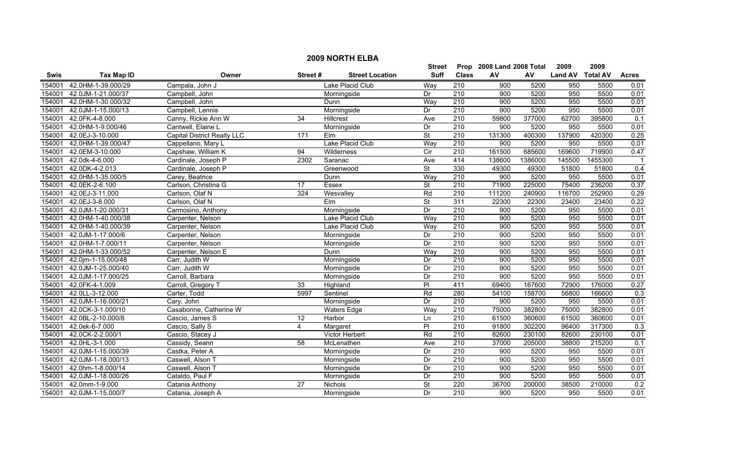|             | <b>2009 NORTH ELBA</b> |                                    |                 |                        |                          |                  |                           |         |                  |         |                  |  |
|-------------|------------------------|------------------------------------|-----------------|------------------------|--------------------------|------------------|---------------------------|---------|------------------|---------|------------------|--|
|             |                        |                                    |                 |                        | Street                   |                  | Prop 2008 Land 2008 Total |         | 2009             | 2009    |                  |  |
| <b>Swis</b> | <b>Tax Map ID</b>      | Owner                              | Street#         | <b>Street Location</b> | <b>Suff</b>              | <b>Class</b>     | AV                        | AV      | Land AV Total AV |         | <b>Acres</b>     |  |
| 154001      | 42.0HM-1-39.000/29     | Campala, John J                    |                 | Lake Placid Club       | Way                      | 210              | 900                       | 5200    | 950              | 5500    | 0.01             |  |
| 154001      | 42.0JM-1-21.000/37     | Campbell, John                     |                 | Morningside            | Dr                       | $\overline{210}$ | 900                       | 5200    | 950              | 5500    | 0.01             |  |
| 154001      | 42.0HM-1-30.000/32     | Campbell, John                     |                 | Dunn                   | Way                      | 210              | 900                       | 5200    | 950              | 5500    | 0.01             |  |
| 154001      | 42.0JM-1-15.000/13     | Campbell, Lennis                   |                 | Morningside            | Dr                       | 210              | 900                       | 5200    | 950              | 5500    | 0.01             |  |
| 154001      | 42.0FK-4-8.000         | Canny, Rickie Ann W                | 34              | Hillcrest              | Ave                      | 210              | 59800                     | 377000  | 62700            | 395800  | 0.1              |  |
| 154001      | 42.0HM-1-9.000/46      | Cantwell, Elaine L                 |                 | Morningside            | Dr                       | 210              | 900                       | 5200    | 950              | 5500    | 0.01             |  |
| 154001      | 42.0EJ-3-10.000        | <b>Capital District Realty LLC</b> | 171             | Elm                    | <b>St</b>                | 210              | 131300                    | 400300  | 137900           | 420300  | 0.25             |  |
| 154001      | 42.0HM-1-39.000/47     | Cappellano, Mary L                 |                 | Lake Placid Club       | Way                      | 210              | 900                       | 5200    | 950              | 5500    | 0.01             |  |
| 154001      | 42.0EM-3-10.000        | Capshaw, William K                 | 94              | Wilderness             | $\overline{C}$           | 210              | 161500                    | 685600  | 169600           | 719900  | 0.47             |  |
| 154001      | 42.0dk-4-6.000         | Cardinale, Joseph P                | 2302            | Saranac                | Ave                      | 414              | 138600                    | 1386000 | 145500           | 1455300 |                  |  |
| 154001      | 42.0DK-4-2.013         | Cardinale, Joseph P                |                 | Greenwood              | $\overline{\mathsf{St}}$ | 330              | 49300                     | 49300   | 51800            | 51800   | 0.4              |  |
| 154001      | 42.0HM-1-35.000/5      | Carey, Beatrice                    |                 | Dunn                   | Way                      | 210              | 900                       | 5200    | 950              | 5500    | 0.01             |  |
| 154001      | 42.0EK-2-6.100         | Carlson, Christina G               | 17              | Essex                  | St                       | $\overline{210}$ | 71900                     | 225000  | 75400            | 236200  | 0.37             |  |
| 154001      | 42.0EJ-3-11.000        | Carlson, Olaf N                    | 324             | Wesvalley              | Rd                       | $\overline{210}$ | 111200                    | 240900  | 116700           | 252900  | 0.29             |  |
| 154001      | 42.0EJ-3-8.000         | Carlson, Olaf N                    |                 | Elm                    | $\overline{\mathsf{St}}$ | 311              | 22300                     | 22300   | 23400            | 23400   | 0.22             |  |
| 154001      | 42.0JM-1-20.000/31     | Carmosino, Anthony                 |                 | Morningside            | Dr                       | 210              | 900                       | 5200    | 950              | 5500    | 0.01             |  |
| 154001      | 42.0HM-1-40.000/38     | Carpenter, Nelson                  |                 | Lake Placid Club       | Way                      | 210              | 900                       | 5200    | 950              | 5500    | 0.01             |  |
| 154001      | 42.0HM-1-40.000/39     | Carpenter, Nelson                  |                 | Lake Placid Club       | Way                      | 210              | 900                       | 5200    | 950              | 5500    | 0.01             |  |
| 154001      | 42.0JM-1-17.000/6      | Carpenter, Nelson                  |                 | Morningside            | Dr                       | 210              | 900                       | 5200    | 950              | 5500    | 0.01             |  |
| 154001      | 42.0HM-1-7.000/11      | Carpenter, Nelson                  |                 | Morningside            | Dr                       | 210              | 900                       | 5200    | 950              | 5500    | 0.01             |  |
| 154001      | 42.0HM-1-33.000/52     | Carpenter, Nelson E                |                 | Dunn                   | Way                      | $\overline{210}$ | 900                       | 5200    | 950              | 5500    | 0.01             |  |
| 154001      | 42.0jm-1-15.000/48     | Carr, Judith W                     |                 | Morningside            | Dr                       | $\overline{210}$ | 900                       | 5200    | 950              | 5500    | 0.01             |  |
| 154001      | 42.0JM-1-25.000/40     | Carr, Judith W                     |                 | Morningside            | Dr                       | 210              | 900                       | 5200    | 950              | 5500    | 0.01             |  |
| 154001      | 42.0JM-1-17.000/25     | Carroll, Barbara                   |                 | Morningside            | Dr                       | $\overline{210}$ | 900                       | 5200    | 950              | 5500    | 0.01             |  |
| 154001      | 42.0FK-4-1.009         | Carroll, Gregory T                 | 33              | Highland               | $\overline{P}$           | 411              | 69400                     | 167600  | 72900            | 176000  | 0.27             |  |
| 154001      | 42.0LL-3-12.000        | Carter, Todd                       | 5997            | Sentinel               | Rd                       | 280              | 54100                     | 158700  | 56800            | 166600  | $\overline{0.3}$ |  |
| 154001      | 42.0JM-1-16.000/21     | Cary, John                         |                 | Morningside            | Dr                       | $\overline{210}$ | 900                       | 5200    | 950              | 5500    | 0.01             |  |
| 154001      | 42.0CK-3-1.000/10      | Casabonne, Catherine W             |                 | <b>Waters Edge</b>     | Way                      | 210              | 75000                     | 382800  | 75000            | 382800  | 0.01             |  |
| 154001      | 42.0BL-2-10.000/8      | Cascio, James S                    | 12              | Harbor                 | Ln                       | 210              | 61500                     | 360600  | 61500            | 360600  | 0.01             |  |
| 154001      | 42.0ek-6-7.000         | Cascio, Sally S                    | 4               | Margaret               | PI                       | 210              | 91800                     | 302200  | 96400            | 317300  | 0.3              |  |
| 154001      | 42.0CK-2-2.000/1       | Cascio, Stacey J                   |                 | Victor Herbert         | Rd                       | 210              | 82600                     | 230100  | 82600            | 230100  | 0.01             |  |
| 154001      | 42.0HL-3-1.000         | Cassidy, Seann                     | $\overline{58}$ | McLenathen             | Ave                      | 210              | 37000                     | 205000  | 38800            | 215200  | 0.1              |  |
| 154001      | 42.0JM-1-15.000/39     | Castka, Peter A                    |                 | Morningside            | Dr                       | 210              | 900                       | 5200    | 950              | 5500    | 0.01             |  |
| 154001      | 42.0JM-1-18.000/13     | Caswell, Alson T                   |                 | Morningside            | Dr                       | 210              | 900                       | 5200    | 950              | 5500    | 0.01             |  |
| 154001      | 42.0hm-1-8.000/14      | Caswell, Alson 7                   |                 | Morningside            | Dr                       | 210              | 900                       | 5200    | 950              | 5500    | 0.01             |  |
| 154001      | 42.0JM-1-18.000/26     | Cataldo, Paul F                    |                 | Morningside            | Dr                       | $\overline{210}$ | 900                       | 5200    | 950              | 5500    | 0.01             |  |
| 154001      | 42.0mm-1-9.000         | Catania Anthony                    | 27              | Nichols                | <b>St</b>                | 220              | 36700                     | 200000  | 38500            | 210000  | 0.2              |  |
| 154001      | 42.0JM-1-15.000/7      | Catania, Joseph A                  |                 | Morningside            | Dr                       | 210              | 900                       | 5200    | 950              | 5500    | 0.01             |  |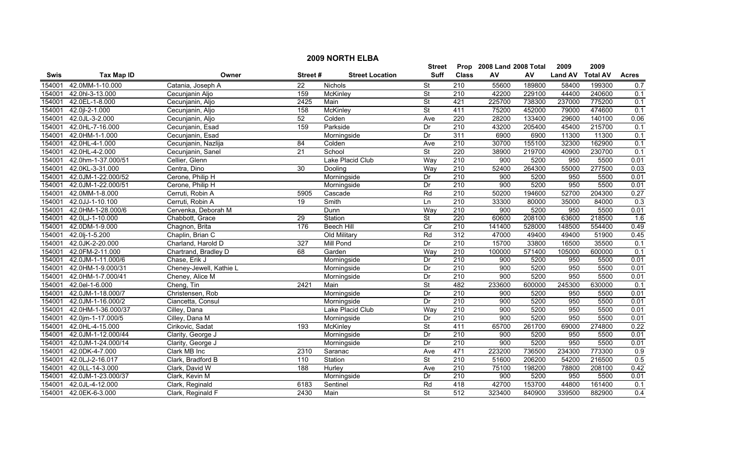|             | <b>2009 NORTH ELBA</b> |                         |                 |                        |                          |                  |                           |        |                |                 |                  |  |
|-------------|------------------------|-------------------------|-----------------|------------------------|--------------------------|------------------|---------------------------|--------|----------------|-----------------|------------------|--|
|             |                        |                         |                 |                        | Street                   |                  | Prop 2008 Land 2008 Total |        | 2009           | 2009            |                  |  |
| <b>Swis</b> | <b>Tax Map ID</b>      | Owner                   | Street#         | <b>Street Location</b> | <b>Suff</b>              | <b>Class</b>     | AV                        | AV     | <b>Land AV</b> | <b>Total AV</b> | <b>Acres</b>     |  |
| 154001      | 42.0MM-1-10.000        | Catania, Joseph A       | $\overline{22}$ | Nichols                | <b>St</b>                | 210              | 55600                     | 189800 | 58400          | 199300          | 0.7              |  |
| 154001      | 42.0hl-3-13.000        | Cecunjanin Aljo         | 159             | McKinley               | <b>St</b>                | 210              | 42200                     | 229100 | 44400          | 240600          | 0.1              |  |
| 154001      | 42.0EL-1-8.000         | Cecunjanin, Aljo        | 2425            | Main                   | $\overline{\mathsf{St}}$ | 421              | 225700                    | 738300 | 237000         | 775200          | 0.1              |  |
| 154001      | 42.0jl-2-1.000         | Cecunjanin, Aljo        | 158             | <b>McKinley</b>        | $\overline{\mathsf{St}}$ | 411              | 75200                     | 452000 | 79000          | 474600          | 0.1              |  |
| 154001      | 42.0JL-3-2.000         | Cecunjanin, Aljo        | 52              | Colden                 | Ave                      | 220              | 28200                     | 133400 | 29600          | 140100          | 0.06             |  |
| 154001      | 42.0HL-7-16.000        | Cecunjanin, Esad        | 159             | Parkside               | Dr                       | 210              | 43200                     | 205400 | 45400          | 215700          | 0.1              |  |
| 154001      | 42.0HM-1-1.000         | Cecunjanin, Esad        |                 | Morningside            | Dr                       | 311              | 6900                      | 6900   | 11300          | 11300           | 0.1              |  |
| 154001      | 42.0HL-4-1.000         | Cecunjanin, Nazlija     | 84              | Colden                 | Ave                      | 210              | 30700                     | 155100 | 32300          | 162900          | 0.1              |  |
| 154001      | 42.0HL-4-2.000         | Cecunjanin, Sanel       | 21              | School                 | $\overline{\mathsf{St}}$ | 220              | 38900                     | 219700 | 40900          | 230700          | 0.1              |  |
| 154001      | 42.0hm-1-37.000/51     | Cellier, Glenn          |                 | Lake Placid Club       | Way                      | 210              | 900                       | 5200   | 950            | 5500            | 0.01             |  |
| 154001      | 42.0KL-3-31.000        | Centra, Dino            | 30              | Dooling                | Way                      | 210              | 52400                     | 264300 | 55000          | 277500          | 0.03             |  |
| 154001      | 42.0JM-1-22.000/52     | Cerone, Philip H        |                 | Morningside            | Dr                       | 210              | 900                       | 5200   | 950            | 5500            | 0.01             |  |
| 154001      | 42.0JM-1-22.000/51     | Cerone, Philip H        |                 | Morningside            | Dr                       | $\overline{210}$ | 900                       | 5200   | 950            | 5500            | 0.01             |  |
| 154001      | 42.0MM-1-8.000         | Cerruti, Robin A        | 5905            | Cascade                | Rd                       | $\overline{210}$ | 50200                     | 194600 | 52700          | 204300          | 0.27             |  |
| 154001      | 42.0JJ-1-10.100        | Cerruti, Robin A        | 19              | Smith                  | Ln                       | $\overline{210}$ | 33300                     | 80000  | 35000          | 84000           | $\overline{0.3}$ |  |
| 154001      | 42.0HM-1-28.000/6      | Cervenka, Deborah M     |                 | Dunn                   | Way                      | 210              | 900                       | 5200   | 950            | 5500            | 0.01             |  |
| 154001      | 42.0LJ-1-10.000        | Chabbott, Grace         | 29              | Station                | $\overline{\mathsf{St}}$ | 220              | 60600                     | 208100 | 63600          | 218500          | 1.6              |  |
| 154001      | 42.0DM-1-9.000         | Chagnon, Brita          | 176             | <b>Beech Hill</b>      | Cir                      | 210              | 141400                    | 528000 | 148500         | 554400          | 0.49             |  |
| 154001      | 42.0lj-1-5.200         | Chaplin, Brian C        |                 | Old Military           | Rd                       | 312              | 47000                     | 49400  | 49400          | 51900           | 0.45             |  |
| 154001      | 42.0JK-2-20.000        | Charland, Harold D      | 327             | <b>Mill Pond</b>       | Dr                       | 210              | 15700                     | 33800  | 16500          | 35500           | 0.1              |  |
| 154001      | 42.0FM-2-11.000        | Chartrand, Bradley D    | 68              | Garden                 | Way                      | 210              | 100000                    | 571400 | 105000         | 600000          | 0.1              |  |
| 154001      | 42.0JM-1-11.000/6      | Chase, Erik J           |                 | Morningside            | Dr                       | $\overline{210}$ | 900                       | 5200   | 950            | 5500            | 0.01             |  |
| 154001      | 42.0HM-1-9.000/31      | Cheney-Jewell, Kathie L |                 | Morningside            | Dr                       | 210              | 900                       | 5200   | 950            | 5500            | 0.01             |  |
| 154001      | 42.0HM-1-7.000/41      | Cheney, Alice M         |                 | Morningside            | Dr                       | $\overline{210}$ | 900                       | 5200   | 950            | 5500            | 0.01             |  |
| 154001      | 42.0el-1-6.000         | Cheng, Tin              | 2421            | Main                   | $\overline{\mathsf{St}}$ | 482              | 233600                    | 600000 | 245300         | 630000          | 0.1              |  |
| 154001      | 42.0JM-1-18.000/7      | Christensen, Rob        |                 | Morningside            | Dr                       | 210              | 900                       | 5200   | 950            | 5500            | 0.01             |  |
| 154001      | 42.0JM-1-16.000/2      | Ciancetta, Consul       |                 | Morningside            | Dr                       | 210              | 900                       | 5200   | 950            | 5500            | 0.01             |  |
| 154001      | 42.0HM-1-36.000/37     | Cilley, Dana            |                 | Lake Placid Club       | Way                      | 210              | 900                       | 5200   | 950            | 5500            | 0.01             |  |
| 154001      | 42.0jm-1-17.000/5      | Cilley, Dana M          |                 | Morningside            | Dr                       | 210              | 900                       | 5200   | 950            | 5500            | 0.01             |  |
| 154001      | 42.0HL-4-15.000        | Cirikovic, Sadat        | 193             | McKinley               | <b>St</b>                | 411              | 65700                     | 261700 | 69000          | 274800          | 0.22             |  |
| 154001      | 42.0JM-1-12.000/44     | Clarity, George J       |                 | Morningside            | Dr                       | 210              | 900                       | 5200   | 950            | 5500            | 0.01             |  |
| 154001      | 42.0JM-1-24.000/14     | Clarity, George J       |                 | Morningside            | Dr                       | 210              | 900                       | 5200   | 950            | 5500            | 0.01             |  |
| 154001      | 42.0DK-4-7.000         | Clark MB Inc            | 2310            | Saranac                | Ave                      | 471              | 223200                    | 736500 | 234300         | 773300          | 0.9              |  |
| 154001      | 42.0LJ-2-16.017        | Clark, Bradford B       | 110             | Station                | $\overline{\mathsf{St}}$ | $\overline{210}$ | 51600                     | 206200 | 54200          | 216500          | 0.5              |  |
| 154001      | 42.0LL-14-3.000        | Clark, David W          | 188             | Hurley                 | Ave                      | 210              | 75100                     | 198200 | 78800          | 208100          | 0.42             |  |
| 154001      | 42.0JM-1-23.000/37     | Clark, Kevin M          |                 | Morningside            | Dr                       | 210              | 900                       | 5200   | 950            | 5500            | 0.01             |  |
| 154001      | 42.0JL-4-12.000        | Clark, Reginald         | 6183            | Sentinel               | Rd                       | 418              | 42700                     | 153700 | 44800          | 161400          | 0.1              |  |
| 154001      | 42.0EK-6-3.000         | Clark, Reginald F       | 2430            | Main                   | St                       | 512              | 323400                    | 840900 | 339500         | 882900          | 0.4              |  |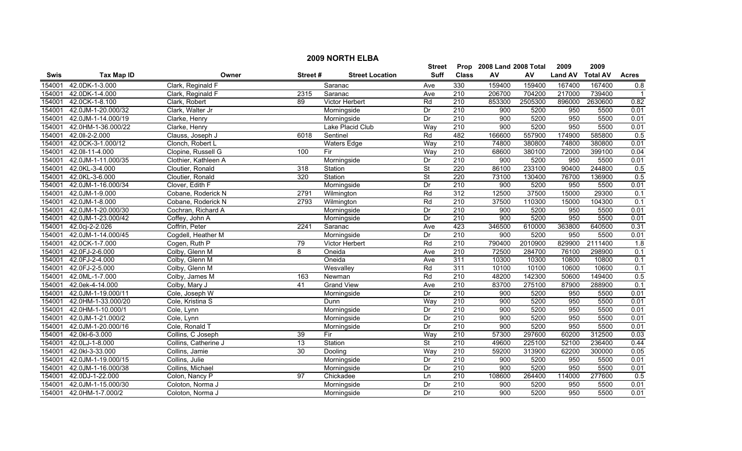|             | <b>2009 NORTH ELBA</b> |                      |         |                        |                          |                  |                           |            |                |                 |              |  |
|-------------|------------------------|----------------------|---------|------------------------|--------------------------|------------------|---------------------------|------------|----------------|-----------------|--------------|--|
|             |                        |                      |         |                        | <b>Street</b>            |                  | Prop 2008 Land 2008 Total |            | 2009           | 2009            |              |  |
| <b>Swis</b> | <b>Tax Map ID</b>      | Owner                | Street# | <b>Street Location</b> | <b>Suff</b>              | <b>Class</b>     | AV                        | ${\sf AV}$ | <b>Land AV</b> | <b>Total AV</b> | <b>Acres</b> |  |
| 154001      | 42.0DK-1-3.000         | Clark, Reginald F    |         | Saranac                | Ave                      | 330              | 159400                    | 159400     | 167400         | 167400          | 0.8          |  |
| 154001      | 42.0DK-1-4.000         | Clark, Reginald F    | 2315    | Saranac                | Ave                      | $\overline{210}$ | 206700                    | 704200     | 217000         | 739400          |              |  |
| 154001      | 42.0CK-1-8.100         | Clark, Robert        | 89      | Victor Herbert         | Rd                       | 210              | 853300                    | 2505300    | 896000         | 2630600         | 0.82         |  |
| 154001      | 42.0JM-1-20.000/32     | Clark, Walter Jr     |         | Morningside            | Dr                       | 210              | 900                       | 5200       | 950            | 5500            | 0.01         |  |
| 154001      | 42.0JM-1-14.000/19     | Clarke, Henry        |         | Morningside            | Dr                       | 210              | 900                       | 5200       | 950            | 5500            | 0.01         |  |
| 154001      | 42.0HM-1-36.000/22     | Clarke, Henry        |         | Lake Placid Club       | Way                      | 210              | 900                       | 5200       | 950            | 5500            | 0.01         |  |
| 154001      | 42.0II-2-2.000         | Clauss, Joseph J     | 6018    | Sentinel               | Rd                       | 482              | 166600                    | 557900     | 174900         | 585800          | 0.5          |  |
| 154001      | 42.0CK-3-1.000/12      | Clonch, Robert L     |         | <b>Waters Edge</b>     | Way                      | 210              | 74800                     | 380800     | 74800          | 380800          | 0.01         |  |
| 154001      | 42.0II-11-4.000        | Clopine, Russell G   | 100     | Fir                    | Way                      | 210              | 68600                     | 380100     | 72000          | 399100          | 0.04         |  |
| 154001      | 42.0JM-1-11.000/35     | Clothier, Kathleen A |         | Morningside            | Dr                       | 210              | 900                       | 5200       | 950            | 5500            | 0.01         |  |
| 154001      | 42.0KL-3-4.000         | Cloutier, Ronald     | 318     | Station                | $\overline{\mathsf{St}}$ | 220              | 86100                     | 233100     | 90400          | 244800          | 0.5          |  |
| 154001      | 42.0KL-3-6.000         | Cloutier, Ronald     | 320     | Station                | <b>St</b>                | 220              | 73100                     | 130400     | 76700          | 136900          | 0.5          |  |
| 154001      | 42.0JM-1-16.000/34     | Clover, Edith F      |         | Morningside            | Dr                       | $\overline{210}$ | 900                       | 5200       | 950            | 5500            | 0.01         |  |
| 154001      | 42.0JM-1-9.000         | Cobane, Roderick N   | 2791    | Wilmington             | Rd                       | 312              | 12500                     | 37500      | 15000          | 29300           | 0.1          |  |
| 154001      | 42.0JM-1-8.000         | Cobane, Roderick N   | 2793    | Wilmington             | Rd                       | $\overline{210}$ | 37500                     | 110300     | 15000          | 104300          | 0.1          |  |
| 154001      | 42.0JM-1-20.000/30     | Cochran, Richard A   |         | Morningside            | Dr                       | 210              | 900                       | 5200       | 950            | 5500            | 0.01         |  |
| 154001      | 42.0JM-1-23.000/42     | Coffey, John A       |         | Morningside            | Dr                       | 210              | 900                       | 5200       | 950            | 5500            | 0.01         |  |
| 154001      | 42.0cj-2-2.026         | Coffrin, Peter       | 2241    | Saranac                | Ave                      | 423              | 346500                    | 610000     | 363800         | 640500          | 0.31         |  |
| 154001      | 42.0JM-1-14.000/45     | Cogdell, Heather M   |         | Morningside            | Dr                       | 210              | 900                       | 5200       | 950            | 5500            | 0.01         |  |
| 154001      | 42.0CK-1-7.000         | Cogen, Ruth P        | 79      | Victor Herbert         | Rd                       | 210              | 790400                    | 2010900    | 829900         | 2111400         | 1.8          |  |
| 154001      | 42.0FJ-2-6.000         | Colby, Glenn M       | 8       | Oneida                 | Ave                      | $\overline{210}$ | 72500                     | 284700     | 76100          | 298900          | 0.1          |  |
| 154001      | 42.0FJ-2-4.000         | Colby, Glenn M       |         | Oneida                 | Ave                      | 311              | 10300                     | 10300      | 10800          | 10800           | 0.1          |  |
| 154001      | 42.0FJ-2-5.000         | Colby, Glenn M       |         | Wesvalley              | Rd                       | 311              | 10100                     | 10100      | 10600          | 10600           | 0.1          |  |
| 154001      | 42.0ML-1-7.000         | Colby, James M       | 163     | Newman                 | Rd                       | $\overline{210}$ | 48200                     | 142300     | 50600          | 149400          | 0.5          |  |
| 154001      | 42.0ek-4-14.000        | Colby, Mary J        | 41      | <b>Grand View</b>      | Ave                      | $\overline{210}$ | 83700                     | 275100     | 87900          | 288900          | 0.1          |  |
| 154001      | 42.0JM-1-19.000/11     | Cole, Joseph W       |         | Morningside            | Dr                       | 210              | 900                       | 5200       | 950            | 5500            | 0.01         |  |
| 154001      | 42.0HM-1-33.000/20     | Cole, Kristina S     |         | Dunn                   | Way                      | $\overline{210}$ | 900                       | 5200       | 950            | 5500            | 0.01         |  |
| 154001      | 42.0HM-1-10.000/1      | Cole, Lynn           |         | Morningside            | Dr                       | $\overline{210}$ | 900                       | 5200       | 950            | 5500            | 0.01         |  |
| 154001      | 42.0JM-1-21.000/2      | Cole, Lynn           |         | Morningside            | Dr                       | 210              | 900                       | 5200       | 950            | 5500            | 0.01         |  |
| 154001      | 42.0JM-1-20.000/16     | Cole, Ronald T       |         | Morningside            | Dr                       | 210              | 900                       | 5200       | 950            | 5500            | 0.01         |  |
| 154001      | 42.0kl-6-3.000         | Collins, C Joseph    | 39      | Fir                    | Way                      | 210              | 57300                     | 297600     | 60200          | 312500          | 0.03         |  |
| 154001      | 42.0LJ-1-8.000         | Collins, Catherine J | 13      | Station                | $\overline{\mathsf{St}}$ | 210              | 49600                     | 225100     | 52100          | 236400          | 0.44         |  |
| 154001      | 42.0kl-3-33.000        | Collins, Jamie       | 30      | Dooling                | Way                      | 210              | 59200                     | 313900     | 62200          | 300000          | 0.05         |  |
| 154001      | 42.0JM-1-19.000/15     | Collins, Julie       |         | Morningside            | Dr                       | 210              | 900                       | 5200       | 950            | 5500            | 0.01         |  |
| 154001      | 42.0JM-1-16.000/38     | Collins, Michael     |         | Morningside            | $\overline{Dr}$          | 210              | 900                       | 5200       | 950            | 5500            | 0.01         |  |
| 154001      | 42.0DJ-1-22.000        | Colon, Nancy P       | 97      | Chickadee              | Ln                       | $\overline{210}$ | 108600                    | 264400     | 114000         | 277600          | 0.5          |  |
| 154001      | 42.0JM-1-15.000/30     | Coloton, Norma J     |         | Morningside            | Dr                       | 210              | 900                       | 5200       | 950            | 5500            | 0.01         |  |
| 154001      | 42.0HM-1-7.000/2       | Coloton, Norma J     |         | Morningside            | Dr                       | 210              | 900                       | 5200       | 950            | 5500            | 0.01         |  |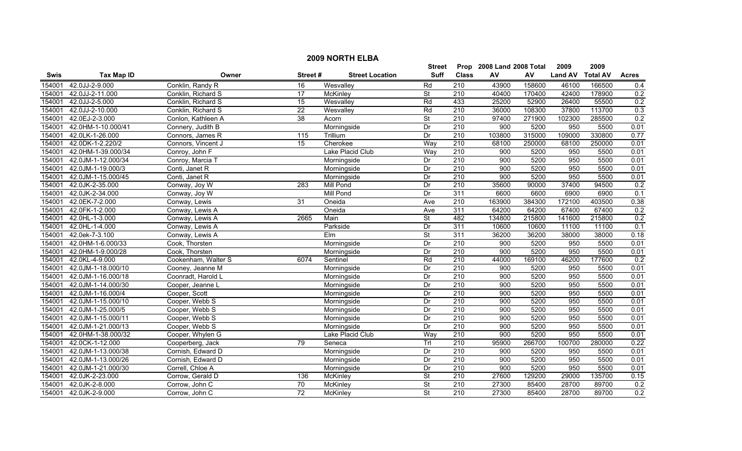|        | <b>2009 NORTH ELBA</b> |                     |                 |                        |                          |                  |                           |        |                |                 |              |  |
|--------|------------------------|---------------------|-----------------|------------------------|--------------------------|------------------|---------------------------|--------|----------------|-----------------|--------------|--|
|        |                        |                     |                 |                        | Street                   |                  | Prop 2008 Land 2008 Total |        | 2009           | 2009            |              |  |
| Swis   | <b>Tax Map ID</b>      | Owner               | Street#         | <b>Street Location</b> | <b>Suff</b>              | <b>Class</b>     | AV                        | AV     | <b>Land AV</b> | <b>Total AV</b> | <b>Acres</b> |  |
| 154001 | 42.0JJ-2-9.000         | Conklin, Randy R    | 16              | Wesvalley              | Rd                       | 210              | 43900                     | 158600 | 46100          | 166500          | 0.4          |  |
| 154001 | 42.0JJ-2-11.000        | Conklin, Richard S  | $\overline{17}$ | McKinley               | $\overline{\mathsf{St}}$ | $\overline{210}$ | 40400                     | 170400 | 42400          | 178900          | 0.2          |  |
| 154001 | 42.0JJ-2-5.000         | Conklin, Richard S  | $\overline{15}$ | Wesvalley              | Rd                       | 433              | 25200                     | 52900  | 26400          | 55500           | 0.2          |  |
| 154001 | 42.0JJ-2-10.000        | Conklin, Richard S  | $\overline{22}$ | Wesvalley              | Rd                       | 210              | 36000                     | 108300 | 37800          | 113700          | 0.3          |  |
| 154001 | 42.0EJ-2-3.000         | Conlon, Kathleen A  | 38              | Acorn                  | <b>St</b>                | 210              | 97400                     | 271900 | 102300         | 285500          | 0.2          |  |
| 154001 | 42.0HM-1-10.000/41     | Connery, Judith B   |                 | Morningside            | Dr                       | 210              | 900                       | 5200   | 950            | 5500            | 0.01         |  |
| 154001 | 42.0LK-1-26.000        | Connors, James R    | 115             | Trillium               | Dr                       | 210              | 103800                    | 315000 | 109000         | 330800          | 0.77         |  |
| 154001 | 42.0DK-1-2.220/2       | Connors, Vincent J  | 15              | Cherokee               | Way                      | 210              | 68100                     | 250000 | 68100          | 250000          | 0.01         |  |
| 154001 | 42.0HM-1-39.000/34     | Conroy, John F      |                 | Lake Placid Club       | Way                      | 210              | 900                       | 5200   | 950            | 5500            | 0.01         |  |
| 154001 | 42.0JM-1-12.000/34     | Conroy, Marcia T    |                 | Morningside            | Dr                       | 210              | 900                       | 5200   | 950            | 5500            | 0.01         |  |
| 154001 | 42.0JM-1-19.000/3      | Conti, Janet R      |                 | Morningside            | Dr                       | 210              | 900                       | 5200   | 950            | 5500            | 0.01         |  |
| 154001 | 42.0JM-1-15.000/45     | Conti, Janet R      |                 | Morningside            | Dr                       | 210              | 900                       | 5200   | 950            | 5500            | 0.01         |  |
| 154001 | 42.0JK-2-35.000        | Conway, Joy W       | 283             | Mill Pond              | Dr                       | $\overline{210}$ | 35600                     | 90000  | 37400          | 94500           | 0.2          |  |
| 154001 | 42.0JK-2-34.000        | Conway, Joy W       |                 | <b>Mill Pond</b>       | Dr                       | 311              | 6600                      | 6600   | 6900           | 6900            | 0.1          |  |
| 154001 | 42.0EK-7-2.000         | Conway, Lewis       | 31              | Oneida                 | Ave                      | $\overline{210}$ | 163900                    | 384300 | 172100         | 403500          | 0.38         |  |
| 154001 | 42.0FK-1-2.000         | Conway, Lewis A     |                 | Oneida                 | Ave                      | 311              | 64200                     | 64200  | 67400          | 67400           | 0.2          |  |
| 154001 | 42.0HL-1-3.000         | Conway, Lewis A     | 2665            | Main                   | $\overline{\mathsf{St}}$ | 482              | 134800                    | 215800 | 141600         | 215800          | 0.2          |  |
| 154001 | 42.0HL-1-4.000         | Conway, Lewis A     |                 | Parkside               | Dr                       | 311              | 10600                     | 10600  | 11100          | 11100           | 0.1          |  |
| 154001 | 42.0ek-7-3.100         | Conway, Lewis A     |                 | Elm                    | $\overline{\mathsf{St}}$ | 311              | 36200                     | 36200  | 38000          | 38000           | 0.18         |  |
| 154001 | 42.0HM-1-6.000/33      | Cook, Thorsten      |                 | Morningside            | Dr                       | 210              | 900                       | 5200   | 950            | 5500            | 0.01         |  |
| 154001 | 42.0HM-1-9.000/28      | Cook, Thorsten      |                 | Morningside            | Dr                       | $\overline{210}$ | 900                       | 5200   | 950            | 5500            | 0.01         |  |
| 154001 | 42.0KL-4-9.000         | Cookenham, Walter S | 6074            | Sentinel               | Rd                       | $\overline{210}$ | 44000                     | 169100 | 46200          | 177600          | 0.2          |  |
| 154001 | 42.0JM-1-18.000/10     | Cooney, Jeanne M    |                 | Morningside            | Dr                       | $\overline{210}$ | 900                       | 5200   | 950            | 5500            | 0.01         |  |
| 154001 | 42.0JM-1-16.000/18     | Coonradt, Harold L  |                 | Morningside            | Dr                       | $\overline{210}$ | 900                       | 5200   | 950            | 5500            | 0.01         |  |
| 154001 | 42.0JM-1-14.000/30     | Cooper, Jeanne L    |                 | Morningside            | Dr                       | $\overline{210}$ | 900                       | 5200   | 950            | 5500            | 0.01         |  |
| 154001 | 42.0JM-1-16.000/4      | Cooper, Scott       |                 | Morningside            | Dr                       | 210              | 900                       | 5200   | 950            | 5500            | 0.01         |  |
| 154001 | 42.0JM-1-15.000/10     | Cooper, Webb S      |                 | Morningside            | Dr                       | $\overline{210}$ | 900                       | 5200   | 950            | 5500            | 0.01         |  |
| 154001 | 42.0JM-1-25.000/5      | Cooper, Webb S      |                 | Morningside            | Dr                       | $\overline{210}$ | 900                       | 5200   | 950            | 5500            | 0.01         |  |
| 154001 | 42.0JM-1-15.000/11     | Cooper, Webb S      |                 | Morningside            | Dr                       | 210              | 900                       | 5200   | 950            | 5500            | 0.01         |  |
| 154001 | 42.0JM-1-21.000/13     | Cooper, Webb S      |                 | Morningside            | Dr                       | 210              | 900                       | 5200   | 950            | 5500            | 0.01         |  |
| 154001 | 42.0HM-1-38.000/32     | Cooper, Whylen G    |                 | Lake Placid Club       | Way                      | 210              | 900                       | 5200   | 950            | 5500            | 0.01         |  |
| 154001 | 42.0CK-1-12.000        | Cooperberg, Jack    | $\overline{79}$ | Seneca                 | Trl                      | 210              | 95900                     | 266700 | 100700         | 280000          | 0.22         |  |
| 154001 | 42.0JM-1-13.000/38     | Cornish, Edward D   |                 | Morningside            | Dr                       | 210              | 900                       | 5200   | 950            | 5500            | 0.01         |  |
| 154001 | 42.0JM-1-13.000/26     | Cornish, Edward D   |                 | Morningside            | Dr                       | 210              | 900                       | 5200   | 950            | 5500            | 0.01         |  |
| 154001 | 42.0JM-1-21.000/30     | Correll, Chloe A    |                 | Morningside            | Dr                       | 210              | 900                       | 5200   | 950            | 5500            | 0.01         |  |
| 154001 | 42.0JK-2-23.000        | Corrow, Gerald D    | 136             | McKinley               | <b>St</b>                | 210              | 27600                     | 129200 | 29000          | 135700          | 0.15         |  |
| 154001 | 42.0JK-2-8.000         | Corrow, John C      | $\overline{70}$ | <b>McKinley</b>        | <b>St</b>                | 210              | 27300                     | 85400  | 28700          | 89700           | 0.2          |  |
| 154001 | 42.0JK-2-9.000         | Corrow, John C      | $\overline{72}$ | McKinley               | <b>St</b>                | 210              | 27300                     | 85400  | 28700          | 89700           | 0.2          |  |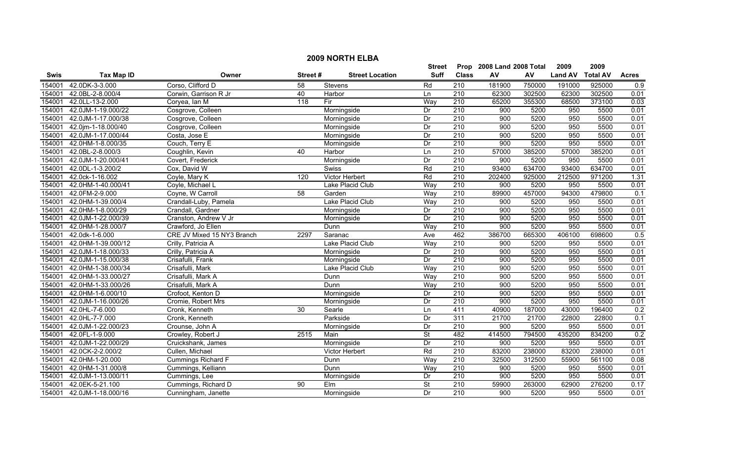|             | <b>2009 NORTH ELBA</b>    |                            |                 |                        |           |                  |                           |        |                |                 |                  |  |
|-------------|---------------------------|----------------------------|-----------------|------------------------|-----------|------------------|---------------------------|--------|----------------|-----------------|------------------|--|
|             |                           |                            |                 |                        | Street    |                  | Prop 2008 Land 2008 Total |        | 2009           | 2009            |                  |  |
| <b>Swis</b> | <b>Tax Map ID</b>         | Owner                      | Street#         | <b>Street Location</b> | Suff      | <b>Class</b>     | ${\sf AV}$                | AV     | <b>Land AV</b> | <b>Total AV</b> | <b>Acres</b>     |  |
| 154001      | 42.0DK-3-3.000            | Corso, Clifford D          | 58              | Stevens                | Rd        | 210              | 181900                    | 750000 | 191000         | 925000          | 0.9              |  |
| 154001      | 42.0BL-2-8.000/4          | Corwin, Garrison R Jr      | 40              | Harbor                 | Ln        | $\overline{210}$ | 62300                     | 302500 | 62300          | 302500          | 0.01             |  |
| 154001      | 42.0LL-13-2.000           | Coryea, Ian M              | 118             | Fir                    | Way       | 210              | 65200                     | 355300 | 68500          | 373100          | 0.03             |  |
| 154001      | 42.0JM-1-19.000/22        | Cosgrove, Colleen          |                 | Morningside            | Dr        | 210              | 900                       | 5200   | 950            | 5500            | 0.01             |  |
| 154001      | 42.0JM-1-17.000/38        | Cosgrove, Colleen          |                 | Morningside            | Dr        | 210              | 900                       | 5200   | 950            | 5500            | 0.01             |  |
| 154001      | 42.0jm-1-18.000/40        | Cosgrove, Colleen          |                 | Morningside            | Dr        | 210              | 900                       | 5200   | 950            | 5500            | 0.01             |  |
| 154001      | 42.0JM-1-17.000/44        | Costa, Jose E              |                 | Morningside            | Dr        | 210              | 900                       | 5200   | 950            | 5500            | 0.01             |  |
| 154001      | 42.0HM-1-8.000/35         | Couch, Terry E             |                 | Morningside            | Dr        | 210              | 900                       | 5200   | 950            | 5500            | 0.01             |  |
| 154001      | 42.0BL-2-8.000/3          | Coughlin, Kevin            | 40              | Harbor                 | Ln        | 210              | 57000                     | 385200 | 57000          | 385200          | 0.01             |  |
| 154001      | 42.0JM-1-20.000/41        | Covert, Frederick          |                 | Morningside            | Dr        | 210              | 900                       | 5200   | 950            | 5500            | 0.01             |  |
| 154001      | 42.0DL-1-3.200/2          | Cox, David W               |                 | Swiss                  | Rd        | 210              | 93400                     | 634700 | 93400          | 634700          | 0.01             |  |
| 154001      | 42.0ck-1-16.002           | Coyle, Mary K              | 120             | Victor Herbert         | Rd        | 210              | 202400                    | 925000 | 212500         | 971200          | 1.31             |  |
| 154001      | 42.0HM-1-40.000/41        | Coyle, Michael L           |                 | Lake Placid Club       | Way       | 210              | 900                       | 5200   | 950            | 5500            | 0.01             |  |
| 154001      | 42.0FM-2-9.000            | Coyne, W Carroll           | 58              | Garden                 | Way       | $\overline{210}$ | 89900                     | 457000 | 94300          | 479800          | $\overline{0.1}$ |  |
| 154001      | 42.0HM-1-39.000/4         | Crandall-Luby, Pamela      |                 | Lake Placid Club       | Way       | 210              | 900                       | 5200   | 950            | 5500            | 0.01             |  |
| 154001      | 42.0HM-1-8.000/29         | Crandall, Gardner          |                 | Morningside            | Dr        | 210              | 900                       | 5200   | 950            | 5500            | 0.01             |  |
| 154001      | 42.0JM-1-22.000/39        | Cranston, Andrew V Jr      |                 | Morningside            | Dr        | 210              | 900                       | 5200   | 950            | 5500            | 0.01             |  |
| 154001      | 42.0HM-1-28.000/7         | Crawford, Jo Ellen         |                 | Dunn                   | Way       | 210              | 900                       | 5200   | 950            | 5500            | 0.01             |  |
| 154001      | 42.0dk-1-6.000            | CRE JV Mixed 15 NY3 Branch | 2297            | Saranac                | Ave       | 462              | 386700                    | 665300 | 406100         | 698600          | 0.5              |  |
| 154001      | 42.0HM-1-39.000/12        | Crilly, Patricia A         |                 | Lake Placid Club       | Way       | 210              | 900                       | 5200   | 950            | 5500            | 0.01             |  |
| 154001      | 42.0JM-1-18.000/33        | Crilly, Patricia A         |                 | Morningside            | Dr        | 210              | 900                       | 5200   | 950            | 5500            | 0.01             |  |
| 154001      | 42.0JM-1-15.000/38        | Crisafulli, Frank          |                 | Morningside            | Dr        | 210              | 900                       | 5200   | 950            | 5500            | 0.01             |  |
| 154001      | 42.0HM-1-38.000/34        | Crisafulli, Mark           |                 | Lake Placid Club       | Way       | 210              | 900                       | 5200   | 950            | 5500            | 0.01             |  |
| 154001      | 42.0HM-1-33.000/27        | Crisafulli, Mark A         |                 | Dunn                   | Way       | $\overline{210}$ | 900                       | 5200   | 950            | 5500            | 0.01             |  |
| 154001      | 42.0HM-1-33.000/26        | Crisafulli, Mark A         |                 | Dunn                   | Wav       | 210              | 900                       | 5200   | 950            | 5500            | 0.01             |  |
| 154001      | 42.0HM-1-6.000/10         | Crofoot, Kenton D          |                 | Morningside            | Dr        | 210              | 900                       | 5200   | 950            | 5500            | 0.01             |  |
| 154001      | 42.0JM-1-16.000/26        | Cromie, Robert Mrs         |                 | Morningside            | Dr        | 210              | 900                       | 5200   | 950            | 5500            | 0.01             |  |
| 154001      | 42.0HL-7-6.000            | Cronk, Kenneth             | $\overline{30}$ | Searle                 | Ln        | 411              | 40900                     | 187000 | 43000          | 196400          | 0.2              |  |
| 154001      | 42.0HL-7-7.000            | Cronk, Kenneth             |                 | Parkside               | Dr        | 311              | 21700                     | 21700  | 22800          | 22800           | 0.1              |  |
| 154001      | 42.0JM-1-22.000/23        | Crounse, John A            |                 | Morningside            | Dr        | 210              | 900                       | 5200   | 950            | 5500            | 0.01             |  |
| 154001      | 42.0FL-1-9.000            | Crowley, Robert J          | 2515            | Main                   | <b>St</b> | 482              | 414500                    | 794500 | 435200         | 834200          | 0.2              |  |
| 154001      | 42.0JM-1-22.000/29        | Cruickshank, James         |                 | Morningside            | Dr        | 210              | 900                       | 5200   | 950            | 5500            | 0.01             |  |
| 154001      | 42.0CK-2-2.000/2          | Cullen, Michael            |                 | Victor Herbert         | Rd        | 210              | 83200                     | 238000 | 83200          | 238000          | 0.01             |  |
| 154001      | 42.0HM-1-20.000           | <b>Cummings Richard F</b>  |                 | Dunn                   | Way       | 210              | 32500                     | 312500 | 55900          | 561100          | 0.08             |  |
| 154001      | 42.0HM-1-31.000/8         | Cummings, Kelliann         |                 | Dunn                   | Way       | $\overline{210}$ | 900                       | 5200   | 950            | 5500            | 0.01             |  |
| 154001      | 42.0JM-1-13.000/11        | Cummings, Lee              |                 | Morningside            | Dr        | 210              | 900                       | 5200   | 950            | 5500            | 0.01             |  |
| 154001      | 42.0EK-5-21.100           | Cummings, Richard D        | 90              | Elm                    | St        | $\overline{210}$ | 59900                     | 263000 | 62900          | 276200          | 0.17             |  |
|             | 154001 42.0JM-1-18.000/16 | Cunningham, Janette        |                 | Morningside            | Dr        | $\overline{210}$ | 900                       | 5200   | 950            | 5500            | 0.01             |  |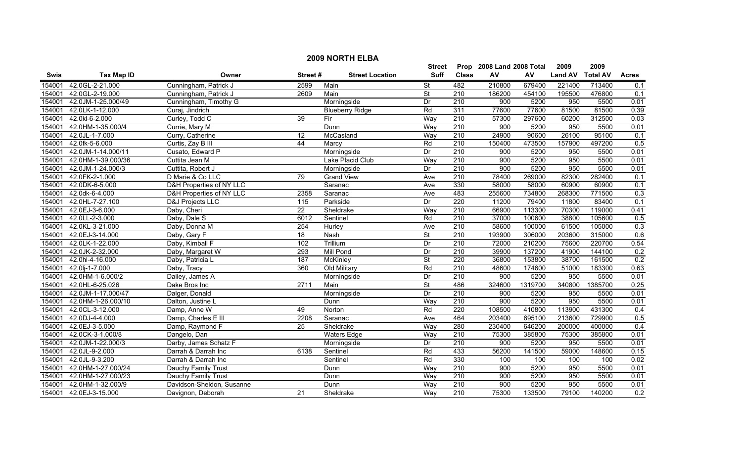|             | <b>2009 NORTH ELBA</b>                                 |                                     |                 |                        |                          |                  |        |         |                |                 |              |  |  |
|-------------|--------------------------------------------------------|-------------------------------------|-----------------|------------------------|--------------------------|------------------|--------|---------|----------------|-----------------|--------------|--|--|
|             | 2009<br>2008 Land 2008 Total<br>2009<br>Street<br>Prop |                                     |                 |                        |                          |                  |        |         |                |                 |              |  |  |
| <b>Swis</b> | <b>Tax Map ID</b>                                      | Owner                               | Street#         | <b>Street Location</b> | <b>Suff</b>              | <b>Class</b>     | AV     | AV      | <b>Land AV</b> | <b>Total AV</b> | <b>Acres</b> |  |  |
| 154001      | 42.0GL-2-21.000                                        | Cunningham, Patrick J               | 2599            | Main                   | <b>St</b>                | 482              | 210800 | 679400  | 221400         | 713400          | 0.1          |  |  |
| 154001      | 42.0GL-2-19.000                                        | Cunningham, Patrick J               | 2609            | Main                   | $\overline{\mathsf{St}}$ | 210              | 186200 | 454100  | 195500         | 476800          | 0.1          |  |  |
| 154001      | 42.0JM-1-25.000/49                                     | Cunningham, Timothy G               |                 | Morningside            | Dr                       | $\overline{210}$ | 900    | 5200    | 950            | 5500            | 0.01         |  |  |
| 154001      | 42.0LK-1-12.000                                        | Curaj, Jindrich                     |                 | <b>Blueberry Ridge</b> | Rd                       | 311              | 77600  | 77600   | 81500          | 81500           | 0.39         |  |  |
| 154001      | 42.0kl-6-2.000                                         | Curley, Todd C                      | 39              | Fir                    | Way                      | 210              | 57300  | 297600  | 60200          | 312500          | 0.03         |  |  |
| 154001      | 42.0HM-1-35.000/4                                      | Currie, Mary M                      |                 | Dunn                   | Way                      | 210              | 900    | 5200    | 950            | 5500            | 0.01         |  |  |
| 154001      | 42.0JL-1-7.000                                         | Curry, Catherine                    | 12              | McCasland              | Way                      | 210              | 24900  | 90600   | 26100          | 95100           | 0.1          |  |  |
| 154001      | 42.0fk-5-6.000                                         | Curtis, Zay B III                   | 44              | Marcy                  | Rd                       | 210              | 150400 | 473500  | 157900         | 497200          | 0.5          |  |  |
| 154001      | 42.0JM-1-14.000/11                                     | Cusato, Edward P                    |                 | Morningside            | Dr                       | $\overline{210}$ | 900    | 5200    | 950            | 5500            | 0.01         |  |  |
| 154001      | 42.0HM-1-39.000/36                                     | Cuttita Jean M                      |                 | Lake Placid Club       | Way                      | 210              | 900    | 5200    | 950            | 5500            | 0.01         |  |  |
| 154001      | 42.0JM-1-24.000/3                                      | Cuttita, Robert J                   |                 | Morningside            | Dr                       | 210              | 900    | 5200    | 950            | 5500            | 0.01         |  |  |
| 154001      | 42.0FK-2-1.000                                         | D Marie & Co LLC                    | 79              | <b>Grand View</b>      | Ave                      | $\overline{210}$ | 78400  | 269000  | 82300          | 282400          | 0.1          |  |  |
| 154001      | 42.0DK-6-5.000                                         | <b>D&amp;H Properties of NY LLC</b> |                 | Saranac                | Ave                      | 330              | 58000  | 58000   | 60900          | 60900           | 0.1          |  |  |
| 154001      | 42.0dk-6-4.000                                         | D&H Properties of NY LLC            | 2358            | Saranac                | Ave                      | 483              | 255600 | 734800  | 268300         | 771500          | 0.3          |  |  |
| 154001      | 42.0HL-7-27.100                                        | <b>D&amp;J Projects LLC</b>         | 115             | Parkside               | Dr                       | 220              | 11200  | 79400   | 11800          | 83400           | 0.1          |  |  |
| 154001      | 42.0EJ-3-6.000                                         | Daby, Cheri                         | $\overline{22}$ | Sheldrake              | Way                      | 210              | 66900  | 113300  | 70300          | 119000          | 0.41         |  |  |
| 154001      | 42.0LL-2-3.000                                         | Daby, Dale S                        | 6012            | Sentinel               | Rd                       | 210              | 37000  | 100600  | 38800          | 105600          | 0.5          |  |  |
| 154001      | 42.0KL-3-21.000                                        | Daby, Donna M                       | 254             | Hurley                 | Ave                      | 210              | 58600  | 100000  | 61500          | 105000          | 0.3          |  |  |
| 154001      | 42.0EJ-3-14.000                                        | Daby, Gary F                        | 18              | <b>Nash</b>            | $\overline{\mathsf{St}}$ | 210              | 193900 | 306000  | 203600         | 315000          | 0.6          |  |  |
| 154001      | 42.0LK-1-22.000                                        | Daby, Kimball F                     | 102             | Trillium               | Dr                       | 210              | 72000  | 210200  | 75600          | 220700          | 0.54         |  |  |
| 154001      | 42.0JK-2-32.000                                        | Daby, Margaret W                    | 293             | <b>Mill Pond</b>       | Dr                       | $\overline{210}$ | 39900  | 137200  | 41900          | 144100          | 0.2          |  |  |
| 154001      | 42.0hl-4-16.000                                        | Daby, Patricia L                    | 187             | McKinley               | <b>St</b>                | 220              | 36800  | 153800  | 38700          | 161500          | 0.2          |  |  |
| 154001      | 42.0lj-1-7.000                                         | Daby, Tracy                         | 360             | Old Military           | Rd                       | 210              | 48600  | 174600  | 51000          | 183300          | 0.63         |  |  |
| 154001      | 42.0HM-1-6.000/2                                       | Dailey, James A                     |                 | Morningside            | Dr                       | 210              | 900    | 5200    | 950            | 5500            | 0.01         |  |  |
| 154001      | 42.0HL-6-25.026                                        | Dake Bros Inc                       | 2711            | Main                   | <b>St</b>                | 486              | 324600 | 1319700 | 340800         | 1385700         | 0.25         |  |  |
| 154001      | 42.0JM-1-17.000/47                                     | Dalger, Donald                      |                 | Morningside            | Dr                       | 210              | 900    | 5200    | 950            | 5500            | 0.01         |  |  |
| 154001      | 42.0HM-1-26.000/10                                     | Dalton, Justine L                   |                 | Dunn                   | Way                      | 210              | 900    | 5200    | 950            | 5500            | 0.01         |  |  |
| 154001      | 42.0CL-3-12.000                                        | Damp, Anne W                        | 49              | Norton                 | Rd                       | 220              | 108500 | 410800  | 113900         | 431300          | 0.4          |  |  |
| 154001      | 42.0DJ-4-4.000                                         | Damp, Charles E III                 | 2208            | Saranac                | Ave                      | 464              | 203400 | 695100  | 213600         | 729900          | 0.5          |  |  |
| 154001      | 42.0EJ-3-5.000                                         | Damp, Raymond F                     | 25              | Sheldrake              | Way                      | 280              | 230400 | 646200  | 200000         | 400000          | 0.4          |  |  |
| 154001      | 42.0CK-3-1.000/8                                       | Dangelo, Dan                        |                 | <b>Waters Edge</b>     | Way                      | 210              | 75300  | 385800  | 75300          | 385800          | 0.01         |  |  |
| 154001      | 42.0JM-1-22.000/3                                      | Darby, James Schatz F               |                 | Morningside            | Dr                       | 210              | 900    | 5200    | 950            | 5500            | 0.01         |  |  |
| 154001      | 42.0JL-9-2.000                                         | Darrah & Darrah Inc                 | 6138            | Sentinel               | Rd                       | 433              | 56200  | 141500  | 59000          | 148600          | 0.15         |  |  |
| 154001      | 42.0JL-9-3.200                                         | Darrah & Darrah Inc                 |                 | Sentinel               | Rd                       | 330              | 100    | 100     | 100            | 100             | 0.02         |  |  |
| 154001      | 42.0HM-1-27.000/24                                     | Dauchy Family Trust                 |                 | Dunn                   | Way                      | 210              | 900    | 5200    | 950            | 5500            | 0.01         |  |  |
| 154001      | 42.0HM-1-27.000/23                                     | Dauchy Family Trust                 |                 | Dunn                   | Way                      | $\overline{210}$ | 900    | 5200    | 950            | 5500            | 0.01         |  |  |
| 154001      | 42.0HM-1-32.000/9                                      | Davidson-Sheldon, Susanne           |                 | Dunn                   | Way                      | 210              | 900    | 5200    | 950            | 5500            | 0.01         |  |  |
| 154001      | 42.0EJ-3-15.000                                        | Davignon, Deborah                   | 21              | Sheldrake              | Way                      | $\overline{210}$ | 75300  | 133500  | 79100          | 140200          | 0.2          |  |  |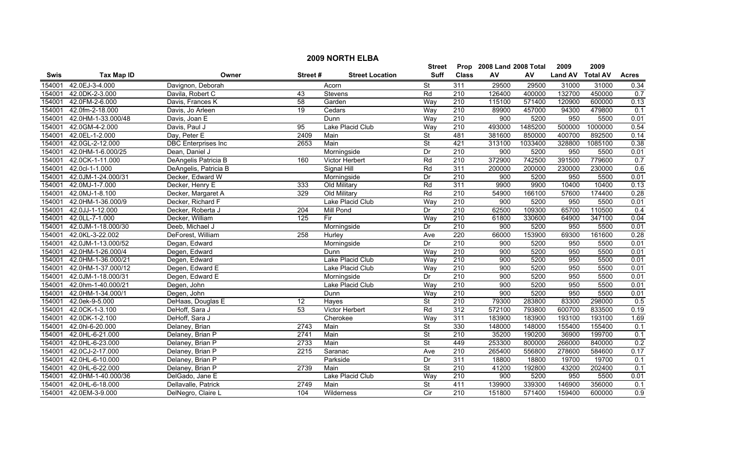|             | <b>2009 NORTH ELBA</b> |                            |         |                        |                          |                  |                           |            |                |                 |                  |  |
|-------------|------------------------|----------------------------|---------|------------------------|--------------------------|------------------|---------------------------|------------|----------------|-----------------|------------------|--|
|             |                        |                            |         |                        | Street                   |                  | Prop 2008 Land 2008 Total |            | 2009           | 2009            |                  |  |
| <b>Swis</b> | <b>Tax Map ID</b>      | Owner                      | Street# | <b>Street Location</b> | <b>Suff</b>              | <b>Class</b>     | AV                        | ${\sf AV}$ | <b>Land AV</b> | <b>Total AV</b> | <b>Acres</b>     |  |
| 154001      | 42.0EJ-3-4.000         | Davignon, Deborah          |         | Acorn                  | $\overline{\mathsf{St}}$ | 311              | 29500                     | 29500      | 31000          | 31000           | 0.34             |  |
| 154001      | 42.0DK-2-3.000         | Davila, Robert C           | 43      | Stevens                | Rd                       | $\overline{210}$ | 126400                    | 400000     | 132700         | 450000          | 0.7              |  |
| 154001      | 42.0FM-2-6.000         | Davis, Frances K           | 58      | Garden                 | Way                      | 210              | 115100                    | 571400     | 120900         | 600000          | 0.13             |  |
| 154001      | 42.0fm-2-18.000        | Davis, Jo Arleen           | 19      | Cedars                 | Way                      | 210              | 89900                     | 457000     | 94300          | 479800          | 0.1              |  |
| 154001      | 42.0HM-1-33.000/48     | Davis, Joan E              |         | Dunn                   | Way                      | 210              | 900                       | 5200       | 950            | 5500            | 0.01             |  |
| 154001      | 42.0GM-4-2.000         | Davis, Paul J              | 95      | Lake Placid Club       | Way                      | 210              | 493000                    | 1485200    | 500000         | 1000000         | 0.54             |  |
| 154001      | 42.0EL-1-2.000         | Day, Peter E               | 2409    | Main                   | <b>St</b>                | 481              | 381600                    | 850000     | 400700         | 892500          | 0.14             |  |
| 154001      | 42.0GL-2-12.000        | <b>DBC</b> Enterprises Inc | 2653    | Main                   | $\overline{\mathsf{St}}$ | 421              | 313100                    | 1033400    | 328800         | 1085100         | 0.38             |  |
| 154001      | 42.0HM-1-6.000/25      | Dean, Daniel J             |         | Morningside            | Dr                       | 210              | 900                       | 5200       | 950            | 5500            | 0.01             |  |
| 154001      | 42.0CK-1-11.000        | DeAngelis Patricia B       | 160     | Victor Herbert         | Rd                       | 210              | 372900                    | 742500     | 391500         | 779600          | 0.7              |  |
| 154001      | 42.0cl-1-1.000         | DeAngelis, Patricia B      |         | Signal Hill            | Rd                       | 311              | 200000                    | 200000     | 230000         | 230000          | 0.6              |  |
| 154001      | 42.0JM-1-24.000/31     | Decker, Edward W           |         | Morningside            | Dr                       | $\overline{210}$ | 900                       | 5200       | 950            | 5500            | 0.01             |  |
| 154001      | 42.0MJ-1-7.000         | Decker, Henry E            | 333     | Old Military           | Rd                       | 311              | 9900                      | 9900       | 10400          | 10400           | 0.13             |  |
| 154001      | 42.0MJ-1-8.100         | Decker, Margaret A         | 329     | Old Military           | Rd                       | $\overline{210}$ | 54900                     | 166100     | 57600          | 174400          | 0.28             |  |
| 154001      | 42.0HM-1-36.000/9      | Decker, Richard F          |         | Lake Placid Club       | Way                      | $\overline{210}$ | 900                       | 5200       | 950            | 5500            | 0.01             |  |
| 154001      | 42.0JJ-1-12.000        | Decker, Roberta J          | 204     | Mill Pond              | Dr                       | $\overline{210}$ | 62500                     | 109300     | 65700          | 110500          | 0.4              |  |
| 154001      | 42.0LL-7-1.000         | Decker, William            | 125     | Fir                    | Way                      | 210              | 61800                     | 330600     | 64900          | 347100          | 0.04             |  |
| 154001      | 42.0JM-1-18.000/30     | Deeb, Michael J            |         | Morningside            | Dr                       | 210              | 900                       | 5200       | 950            | 5500            | 0.01             |  |
| 154001      | 42.0KL-3-22.002        | DeForest, William          | 258     | Hurley                 | Ave                      | 220              | 66000                     | 153900     | 69300          | 161600          | 0.28             |  |
| 154001      | 42.0JM-1-13.000/52     | Degan, Edward              |         | Morningside            | Dr                       | 210              | 900                       | 5200       | 950            | 5500            | 0.01             |  |
| 154001      | 42.0HM-1-26.000/4      | Degen, Edward              |         | Dunn                   | Way                      | 210              | 900                       | 5200       | 950            | 5500            | 0.01             |  |
| 154001      | 42.0HM-1-36.000/21     | Degen, Edward              |         | Lake Placid Club       | Way                      | 210              | 900                       | 5200       | 950            | 5500            | 0.01             |  |
| 154001      | 42.0HM-1-37.000/12     | Degen, Edward E            |         | Lake Placid Club       | Way                      | 210              | 900                       | 5200       | 950            | 5500            | 0.01             |  |
| 154001      | 42.0JM-1-18.000/31     | Degen, Edward E            |         | Morningside            | Dr                       | $\overline{210}$ | 900                       | 5200       | 950            | 5500            | 0.01             |  |
| 154001      | 42.0hm-1-40.000/21     | Degen, John                |         | Lake Placid Club       | Way                      | $\overline{210}$ | 900                       | 5200       | 950            | 5500            | 0.01             |  |
| 154001      | 42.0HM-1-34.000/1      | Degen, John                |         | Dunn                   | Way                      | 210              | 900                       | 5200       | 950            | 5500            | 0.01             |  |
| 154001      | 42.0ek-9-5.000         | DeHaas, Douglas E          | 12      | Hayes                  | $\overline{\mathsf{St}}$ | 210              | 79300                     | 283800     | 83300          | 298000          | 0.5              |  |
| 154001      | 42.0CK-1-3.100         | DeHoff, Sara J             | 53      | Victor Herbert         | Rd                       | $\overline{312}$ | 572100                    | 793800     | 600700         | 833500          | 0.19             |  |
| 154001      | 42.0DK-1-2.100         | DeHoff, Sara J             |         | Cherokee               | Way                      | 311              | 183900                    | 183900     | 193100         | 193100          | 1.69             |  |
| 154001      | 42.0hl-6-20.000        | Delaney, Brian             | 2743    | Main                   | <b>St</b>                | 330              | 148000                    | 148000     | 155400         | 155400          | 0.1              |  |
| 154001      | 42.0HL-6-21.000        | Delaney, Brian P           | 2741    | Main                   | <b>St</b>                | 210              | 35200                     | 190200     | 36900          | 199700          | 0.1              |  |
| 154001      | 42.0HL-6-23.000        | Delaney, Brian P           | 2733    | Main                   | <b>St</b>                | 449              | 253300                    | 800000     | 266000         | 840000          | 0.2              |  |
| 154001      | 42.0CJ-2-17.000        | Delaney, Brian P           | 2215    | Saranac                | Ave                      | 210              | 265400                    | 556800     | 278600         | 584600          | 0.17             |  |
| 154001      | 42.0HL-6-10.000        | Delaney, Brian P           |         | Parkside               | $\overline{Dr}$          | 311              | 18800                     | 18800      | 19700          | 19700           | 0.1              |  |
| 154001      | 42.0HL-6-22.000        | Delaney, Brian P           | 2739    | Main                   | <b>St</b>                | $\overline{210}$ | 41200                     | 192800     | 43200          | 202400          | 0.1              |  |
| 154001      | 42.0HM-1-40.000/36     | DelGado, Jane E            |         | Lake Placid Club       | Way                      | 210              | 900                       | 5200       | 950            | 5500            | 0.01             |  |
| 154001      | 42.0HL-6-18.000        | Dellavalle, Patrick        | 2749    | Main                   | $\overline{\mathsf{St}}$ | 411              | 139900                    | 339300     | 146900         | 356000          | 0.1              |  |
| 154001      | 42.0EM-3-9.000         | DelNegro, Claire L         | 104     | Wilderness             | Cir                      | $\overline{210}$ | 151800                    | 571400     | 159400         | 600000          | $\overline{0.9}$ |  |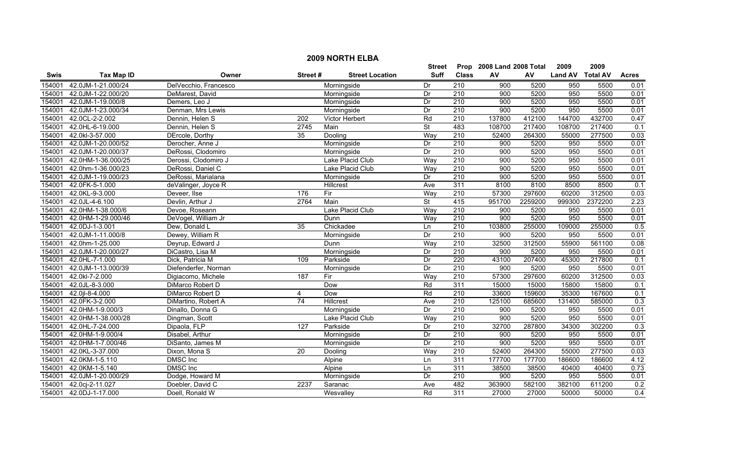|             | <b>2009 NORTH ELBA</b> |                       |                  |                        |                          |                  |                           |         |                  |         |              |  |
|-------------|------------------------|-----------------------|------------------|------------------------|--------------------------|------------------|---------------------------|---------|------------------|---------|--------------|--|
|             |                        |                       |                  |                        | <b>Street</b>            |                  | Prop 2008 Land 2008 Total |         | 2009             | 2009    |              |  |
| <b>Swis</b> | <b>Tax Map ID</b>      | Owner                 | Street#          | <b>Street Location</b> | <b>Suff</b>              | <b>Class</b>     | AV                        | AV      | Land AV Total AV |         | <b>Acres</b> |  |
| 154001      | 42.0JM-1-21.000/24     | DelVecchio, Francesco |                  | Morningside            | Dr                       | $\overline{210}$ | 900                       | 5200    | 950              | 5500    | 0.01         |  |
| 154001      | 42.0JM-1-22.000/20     | DeMarest, David       |                  | Morningside            | Dr                       | $\overline{210}$ | 900                       | 5200    | 950              | 5500    | 0.01         |  |
| 154001      | 42.0JM-1-19.000/8      | Demers, Leo J         |                  | Morningside            | Dr                       | 210              | 900                       | 5200    | 950              | 5500    | 0.01         |  |
| 154001      | 42.0JM-1-23.000/34     | Denman, Mrs Lewis     |                  | Morningside            | Dr                       | 210              | 900                       | 5200    | 950              | 5500    | 0.01         |  |
| 154001      | 42.0CL-2-2.002         | Dennin, Helen S       | 202              | <b>Victor Herbert</b>  | Rd                       | 210              | 137800                    | 412100  | 144700           | 432700  | 0.47         |  |
| 154001      | 42.0HL-6-19.000        | Dennin, Helen S       | 2745             | Main                   | $\overline{\mathsf{St}}$ | 483              | 108700                    | 217400  | 108700           | 217400  | 0.1          |  |
| 154001      | 42.0kl-3-57.000        | DErcole, Dorthy       | 35               | Dooling                | Way                      | 210              | 52400                     | 264300  | 55000            | 277500  | 0.03         |  |
| 154001      | 42.0JM-1-20.000/52     | Derocher, Anne J      |                  | Morningside            | Dr                       | 210              | 900                       | 5200    | 950              | 5500    | 0.01         |  |
| 154001      | 42.0JM-1-20.000/37     | DeRossi, Clodomiro    |                  | Morningside            | Dr                       | $\overline{210}$ | 900                       | 5200    | 950              | 5500    | 0.01         |  |
| 154001      | 42.0HM-1-36.000/25     | Derossi, Clodomiro J  |                  | Lake Placid Club       | Way                      | 210              | 900                       | 5200    | 950              | 5500    | 0.01         |  |
| 154001      | 42.0hm-1-36.000/23     | DeRossi, Daniel C     |                  | Lake Placid Club       | Way                      | 210              | 900                       | 5200    | 950              | 5500    | 0.01         |  |
| 154001      | 42.0JM-1-19.000/23     | DeRossi, Marialana    |                  | Morningside            | Dr                       | 210              | $\overline{900}$          | 5200    | 950              | 5500    | 0.01         |  |
| 154001      | 42.0FK-5-1.000         | deValinger, Joyce R   |                  | Hillcrest              | Ave                      | 311              | 8100                      | 8100    | 8500             | 8500    | 0.1          |  |
| 154001      | 42.0KL-9-3.000         | Deveer, Ilse          | 176              | Fir                    | Way                      | 210              | 57300                     | 297600  | 60200            | 312500  | 0.03         |  |
| 154001      | 42.0JL-4-6.100         | Devlin, Arthur J      | 2764             | Main                   | $\overline{\mathsf{St}}$ | 415              | 951700                    | 2259200 | 999300           | 2372200 | 2.23         |  |
| 154001      | 42.0HM-1-38.000/6      | Devoe, Roseann        |                  | Lake Placid Club       | Way                      | 210              | 900                       | 5200    | 950              | 5500    | 0.01         |  |
| 154001      | 42.0HM-1-29.000/46     | DeVogel, William Jr   |                  | Dunn                   | Way                      | 210              | 900                       | 5200    | 950              | 5500    | 0.01         |  |
| 154001      | 42.0DJ-1-3.001         | Dew, Donald L         | 35               | Chickadee              | Ln                       | 210              | 103800                    | 255000  | 109000           | 255000  | 0.5          |  |
| 154001      | 42.0JM-1-11.000/8      | Dewey, William R      |                  | Morningside            | Dr                       | 210              | 900                       | 5200    | 950              | 5500    | 0.01         |  |
| 154001      | 42.0hm-1-25.000        | Deyrup, Edward J      |                  | Dunn                   | Way                      | 210              | 32500                     | 312500  | 55900            | 561100  | 0.08         |  |
| 154001      | 42.0JM-1-20.000/27     | DiCastro, Lisa M      |                  | Morningside            | Dr                       | 210              | $\overline{900}$          | 5200    | 950              | 5500    | 0.01         |  |
| 154001      | 42.0HL-7-1.000         | Dick, Patricia M      | 109              | Parkside               | Dr                       | 220              | 43100                     | 207400  | 45300            | 217800  | 0.1          |  |
| 154001      | 42.0JM-1-13.000/39     | Diefenderfer, Norman  |                  | Morningside            | Dr                       | 210              | 900                       | 5200    | 950              | 5500    | 0.01         |  |
| 154001      | 42.0kl-7-2.000         | Digiacomo, Michele    | 187              | Fir                    | Way                      | 210              | 57300                     | 297600  | 60200            | 312500  | 0.03         |  |
| 154001      | 42.0JL-8-3.000         | DiMarco Robert D      |                  | Dow                    | Rd                       | 311              | 15000                     | 15000   | 15800            | 15800   | 0.1          |  |
| 154001      | 42.0jl-8-4.000         | DiMarco Robert D      | 4                | Dow                    | Rd                       | 210              | 33600                     | 159600  | 35300            | 167600  | 0.1          |  |
| 154001      | 42.0FK-3-2.000         | DiMartino, Robert A   | $\overline{74}$  | <b>Hillcrest</b>       | Ave                      | 210              | 125100                    | 685600  | 131400           | 585000  | 0.3          |  |
| 154001      | 42.0HM-1-9.000/3       | Dinallo, Donna G      |                  | Morningside            | Dr                       | $\overline{210}$ | 900                       | 5200    | 950              | 5500    | 0.01         |  |
| 154001      | 42.0HM-1-38.000/28     | Dingman, Scott        |                  | Lake Placid Club       | Way                      | 210              | 900                       | 5200    | 950              | 5500    | 0.01         |  |
| 154001      | 42.0HL-7-24.000        | Dipaola, FLP          | $\overline{127}$ | Parkside               | Dr                       | 210              | 32700                     | 287800  | 34300            | 302200  | 0.3          |  |
| 154001      | 42.0HM-1-9.000/4       | Disabel, Arthur       |                  | Morningside            | Dr                       | 210              | 900                       | 5200    | 950              | 5500    | 0.01         |  |
| 154001      | 42.0HM-1-7.000/46      | DiSanto, James M      |                  | Morningside            | Dr                       | 210              | 900                       | 5200    | 950              | 5500    | 0.01         |  |
| 154001      | 42.0KL-3-37.000        | Dixon, Mona S         | $\overline{20}$  | Dooling                | Way                      | 210              | 52400                     | 264300  | 55000            | 277500  | 0.03         |  |
| 154001      | 42.0KM-1-5.110         | <b>DMSC</b> Inc       |                  | Alpine                 | Ln                       | 311              | 177700                    | 177700  | 186600           | 186600  | 4.12         |  |
| 154001      | 42.0KM-1-5.140         | <b>DMSC</b> Inc       |                  | Alpine                 | Ln                       | 311              | 38500                     | 38500   | 40400            | 40400   | 0.73         |  |
| 154001      | 42.0JM-1-20.000/29     | Dodge, Howard M       |                  | Morningside            | Dr                       | 210              | 900                       | 5200    | 950              | 5500    | 0.01         |  |
| 154001      | 42.0cj-2-11.027        | Doebler, David C      | 2237             | Saranac                | Ave                      | 482              | 363900                    | 582100  | 382100           | 611200  | 0.2          |  |
| 154001      | 42.0DJ-1-17.000        | Doell, Ronald W       |                  | Wesvalley              | Rd                       | 311              | 27000                     | 27000   | 50000            | 50000   | 0.4          |  |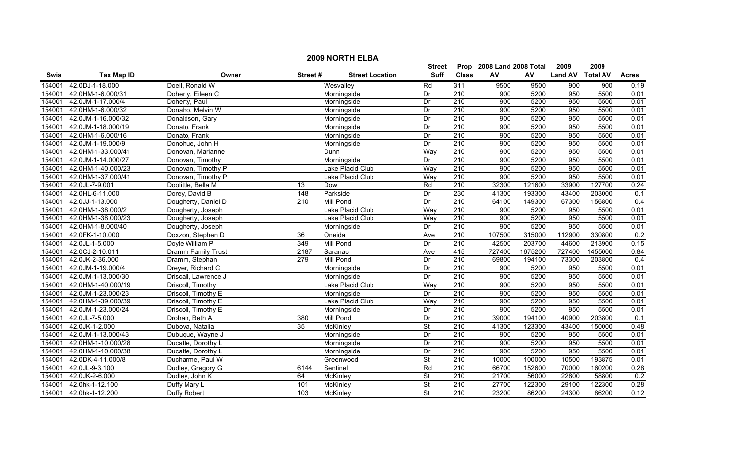|        | <b>2009 NORTH ELBA</b> |                      |                 |                        |                          |                  |                           |         |                  |                  |                  |  |  |
|--------|------------------------|----------------------|-----------------|------------------------|--------------------------|------------------|---------------------------|---------|------------------|------------------|------------------|--|--|
|        |                        |                      |                 |                        | Street                   |                  | Prop 2008 Land 2008 Total |         | 2009             | 2009             |                  |  |  |
| Swis   | <b>Tax Map ID</b>      | Owner                | Street#         | <b>Street Location</b> | <b>Suff</b>              | <b>Class</b>     | AV                        | AV      | Land AV Total AV |                  | <b>Acres</b>     |  |  |
| 154001 | 42.0DJ-1-18.000        | Doell, Ronald W      |                 | Wesvalley              | Rd                       | 311              | 9500                      | 9500    | 900              | $\overline{900}$ | 0.19             |  |  |
| 154001 | 42.0HM-1-6.000/31      | Doherty, Eileen C    |                 | Morningside            | Dr                       | 210              | 900                       | 5200    | 950              | 5500             | 0.01             |  |  |
| 154001 | 42.0JM-1-17.000/4      | Doherty, Paul        |                 | Morningside            | Dr                       | 210              | 900                       | 5200    | 950              | 5500             | 0.01             |  |  |
| 154001 | 42.0HM-1-6.000/32      | Donaho, Melvin W     |                 | Morningside            | Dr                       | 210              | 900                       | 5200    | 950              | 5500             | 0.01             |  |  |
| 154001 | 42.0JM-1-16.000/32     | Donaldson, Gary      |                 | Morningside            | Dr                       | 210              | 900                       | 5200    | 950              | 5500             | 0.01             |  |  |
| 154001 | 42.0JM-1-18.000/19     | Donato, Frank        |                 | Morningside            | Dr                       | 210              | 900                       | 5200    | 950              | 5500             | 0.01             |  |  |
| 154001 | 42.0HM-1-6.000/16      | Donato, Frank        |                 | Morningside            | Dr                       | 210              | 900                       | 5200    | 950              | 5500             | 0.01             |  |  |
| 154001 | 42.0JM-1-19.000/9      | Donohue, John H      |                 | Morningside            | Dr                       | 210              | 900                       | 5200    | 950              | 5500             | 0.01             |  |  |
| 154001 | 42.0HM-1-33.000/41     | Donovan, Marianne    |                 | Dunn                   | Way                      | 210              | 900                       | 5200    | 950              | 5500             | 0.01             |  |  |
| 154001 | 42.0JM-1-14.000/27     | Donovan, Timothy     |                 | Morningside            | Dr                       | 210              | 900                       | 5200    | 950              | 5500             | 0.01             |  |  |
| 154001 | 42.0HM-1-40.000/23     | Donovan, Timothy P   |                 | Lake Placid Club       | Way                      | 210              | 900                       | 5200    | 950              | 5500             | 0.01             |  |  |
| 154001 | 42.0HM-1-37.000/41     | Donovan, Timothy P   |                 | Lake Placid Club       | Way                      | 210              | 900                       | 5200    | 950              | 5500             | 0.01             |  |  |
| 154001 | 42.0JL-7-9.001         | Doolittle, Bella M   | $\overline{13}$ | Dow                    | Rd                       | 210              | 32300                     | 121600  | 33900            | 127700           | 0.24             |  |  |
| 154001 | 42.0HL-6-11.000        | Dorey, David B       | 148             | Parkside               | Dr                       | 230              | 41300                     | 193300  | 43400            | 203000           | 0.1              |  |  |
| 154001 | 42.0JJ-1-13.000        | Dougherty, Daniel D  | 210             | <b>Mill Pond</b>       | Dr                       | 210              | 64100                     | 149300  | 67300            | 156800           | 0.4              |  |  |
| 154001 | 42.0HM-1-38.000/2      | Dougherty, Joseph    |                 | Lake Placid Club       | Way                      | 210              | 900                       | 5200    | 950              | 5500             | 0.01             |  |  |
| 154001 | 42.0HM-1-38.000/23     | Dougherty, Joseph    |                 | Lake Placid Club       | Way                      | 210              | 900                       | 5200    | 950              | 5500             | 0.01             |  |  |
| 154001 | 42.0HM-1-8.000/40      | Dougherty, Joseph    |                 | Morningside            | Dr                       | 210              | 900                       | 5200    | 950              | 5500             | 0.01             |  |  |
| 154001 | 42.0FK-1-10.000        | Doxzon, Stephen D    | 36              | Oneida                 | Ave                      | 210              | 107500                    | 315000  | 112900           | 330800           | 0.2              |  |  |
| 154001 | 42.0JL-1-5.000         | Doyle William P      | 349             | <b>Mill Pond</b>       | Dr                       | 210              | 42500                     | 203700  | 44600            | 213900           | 0.15             |  |  |
| 154001 | 42.0CJ-2-10.011        | Dramm Family Trust   | 2187            | Saranac                | Ave                      | 415              | 727400                    | 1675200 | 727400           | 1455000          | 0.84             |  |  |
| 154001 | 42.0JK-2-36.000        | Dramm, Stephan       | 279             | <b>Mill Pond</b>       | Dr                       | $\overline{210}$ | 69800                     | 194100  | 73300            | 203800           | $\overline{0.4}$ |  |  |
| 154001 | 42.0JM-1-19.000/4      | Dreyer, Richard C    |                 | Morningside            | Dr                       | 210              | 900                       | 5200    | 950              | 5500             | 0.01             |  |  |
| 154001 | 42.0JM-1-13.000/30     | Driscall, Lawrence J |                 | Morningside            | Dr                       | $\overline{210}$ | 900                       | 5200    | 950              | 5500             | 0.01             |  |  |
| 154001 | 42.0HM-1-40.000/19     | Driscoll, Timothy    |                 | Lake Placid Club       | Way                      | 210              | 900                       | 5200    | 950              | 5500             | 0.01             |  |  |
| 154001 | 42.0JM-1-23.000/23     | Driscoll, Timothy E  |                 | Morningside            | Dr                       | 210              | 900                       | 5200    | 950              | 5500             | 0.01             |  |  |
| 154001 | 42.0HM-1-39.000/39     | Driscoll, Timothy E  |                 | Lake Placid Club       | Way                      | 210              | 900                       | 5200    | 950              | 5500             | 0.01             |  |  |
| 154001 | 42.0JM-1-23.000/24     | Driscoll, Timothy E  |                 | Morningside            | Dr                       | 210              | 900                       | 5200    | 950              | 5500             | 0.01             |  |  |
| 154001 | 42.0JL-7-5.000         | Drohan, Beth A       | 380             | Mill Pond              | Dr                       | 210              | 39000                     | 194100  | 40900            | 203800           | 0.1              |  |  |
| 154001 | 42.0JK-1-2.000         | Dubova, Natalia      | 35              | <b>McKinley</b>        | $\overline{\mathsf{St}}$ | 210              | 41300                     | 123300  | 43400            | 150000           | 0.48             |  |  |
| 154001 | 42.0JM-1-13.000/43     | Dubuque, Wayne J     |                 | Morningside            | Dr                       | 210              | 900                       | 5200    | 950              | 5500             | 0.01             |  |  |
| 154001 | 42.0HM-1-10.000/28     | Ducatte, Dorothy L   |                 | Morningside            | Dr                       | 210              | 900                       | 5200    | 950              | 5500             | 0.01             |  |  |
| 154001 | 42.0HM-1-10.000/38     | Ducatte, Dorothy L   |                 | Morningside            | Dr                       | 210              | 900                       | 5200    | 950              | 5500             | 0.01             |  |  |
| 154001 | 42.0DK-4-11.000/8      | Ducharme, Paul W     |                 | Greenwood              | $\overline{\mathsf{St}}$ | 210              | 10000                     | 100000  | 10500            | 193875           | 0.01             |  |  |
| 154001 | 42.0JL-9-3.100         | Dudley, Gregory G    | 6144            | Sentinel               | Rd                       | $\overline{210}$ | 66700                     | 152600  | 70000            | 160200           | 0.28             |  |  |
| 154001 | 42.0JK-2-6.000         | Dudley, John K       | 64              | McKinley               | <b>St</b>                | 210              | 21700                     | 56000   | 22800            | 58800            | 0.2              |  |  |
| 154001 | 42.0hk-1-12.100        | Duffy Mary L         | 101             | McKinley               | <b>St</b>                | $\overline{210}$ | 27700                     | 122300  | 29100            | 122300           | 0.28             |  |  |
|        | 154001 42.0hk-1-12.200 | Duffy Robert         | 103             | McKinley               | $\overline{\mathsf{St}}$ | 210              | 23200                     | 86200   | 24300            | 86200            | 0.12             |  |  |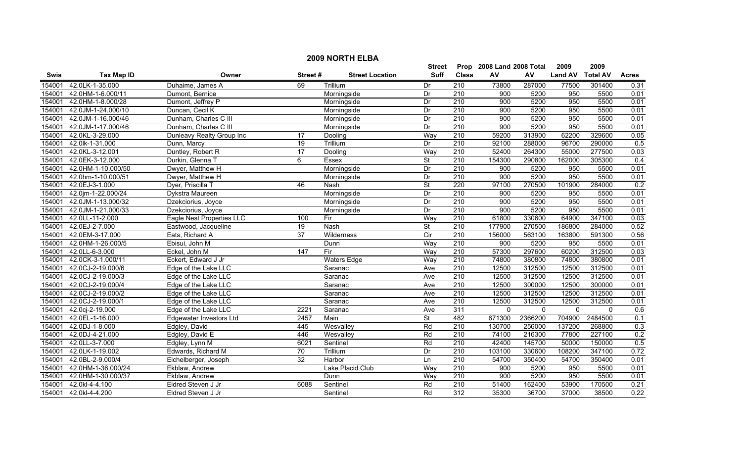|             | <b>2009 NORTH ELBA</b> |                                |                 |                        |                           |                  |              |          |                |                 |              |  |
|-------------|------------------------|--------------------------------|-----------------|------------------------|---------------------------|------------------|--------------|----------|----------------|-----------------|--------------|--|
|             |                        |                                | Street          |                        | Prop 2008 Land 2008 Total |                  | 2009         | 2009     |                |                 |              |  |
| <b>Swis</b> | <b>Tax Map ID</b>      | Owner                          | Street#         | <b>Street Location</b> | <b>Suff</b>               | <b>Class</b>     | AV           | AV       | <b>Land AV</b> | <b>Total AV</b> | <b>Acres</b> |  |
| 154001      | 42.0LK-1-35.000        | Duhaime, James A               | 69              | Trillium               | Dr                        | $\overline{210}$ | 73800        | 287000   | 77500          | 301400          | 0.31         |  |
| 154001      | 42.0HM-1-6.000/11      | Dumont, Bernice                |                 | Morningside            | Dr                        | $\overline{210}$ | 900          | 5200     | 950            | 5500            | 0.01         |  |
| 154001      | 42.0HM-1-8.000/28      | Dumont, Jeffrey P              |                 | Morningside            | Dr                        | 210              | 900          | 5200     | 950            | 5500            | 0.01         |  |
| 154001      | 42.0JM-1-24.000/10     | Duncan, Cecil K                |                 | Morningside            | Dr                        | 210              | 900          | 5200     | 950            | 5500            | 0.01         |  |
| 154001      | 42.0JM-1-16.000/46     | Dunham, Charles C III          |                 | Morningside            | Dr                        | 210              | 900          | 5200     | 950            | 5500            | 0.01         |  |
| 154001      | 42.0JM-1-17.000/46     | Dunham, Charles C III          |                 | Morningside            | Dr                        | 210              | 900          | 5200     | 950            | 5500            | 0.01         |  |
| 154001      | 42.0KL-3-29.000        | Dunleavy Realty Group Inc      | 17              | Dooling                | Way                       | 210              | 59200        | 313900   | 62200          | 329600          | 0.05         |  |
| 154001      | 42.0lk-1-31.000        | Dunn, Marcy                    | 19              | Trillium               | Dr                        | 210              | 92100        | 288000   | 96700          | 290000          | 0.5          |  |
| 154001      | 42.0KL-3-12.001        | Duntley, Robert R              | 17              | Dooling                | Way                       | 210              | 52400        | 264300   | 55000          | 277500          | 0.03         |  |
| 154001      | 42.0EK-3-12.000        | Durkin, Glenna T               | 6               | Essex                  | $\overline{\mathsf{St}}$  | 210              | 154300       | 290800   | 162000         | 305300          | 0.4          |  |
| 154001      | 42.0HM-1-10.000/50     | Dwyer, Matthew H               |                 | Morningside            | Dr                        | 210              | 900          | 5200     | 950            | 5500            | 0.01         |  |
| 154001      | 42.0hm-1-10.000/51     | Dwyer, Matthew H               |                 | Morningside            | $\overline{Dr}$           | 210              | 900          | 5200     | 950            | 5500            | 0.01         |  |
| 154001      | 42.0EJ-3-1.000         | Dyer, Priscilla T              | 46              | Nash                   | <b>St</b>                 | 220              | 97100        | 270500   | 101900         | 284000          | 0.2          |  |
| 154001      | 42.0jm-1-22.000/24     | Dykstra Maureen                |                 | Morningside            | Dr                        | $\overline{210}$ | 900          | 5200     | 950            | 5500            | 0.01         |  |
| 154001      | 42.0JM-1-13.000/32     | Dzekciorius, Joyce             |                 | Morningside            | Dr                        | $\overline{210}$ | 900          | 5200     | 950            | 5500            | 0.01         |  |
| 154001      | 42.0JM-1-21.000/33     | Dzekciorius, Joyce             |                 | Morningside            | Dr                        | 210              | 900          | 5200     | 950            | 5500            | 0.01         |  |
| 154001      | 42.0LL-11-2.000        | Eagle Nest Properties LLC      | 100             | Fir                    | Way                       | 210              | 61800        | 330600   | 64900          | 347100          | 0.03         |  |
| 154001      | 42.0EJ-2-7.000         | Eastwood, Jacqueline           | 19              | Nash                   | $\overline{\mathsf{St}}$  | 210              | 177900       | 270500   | 186800         | 284000          | 0.52         |  |
| 154001      | 42.0EM-3-17.000        | Eats, Richard A                | 37              | <b>Wilderness</b>      | Cir                       | 210              | 156000       | 563100   | 163800         | 591300          | 0.56         |  |
| 154001      | 42.0HM-1-26.000/5      | Ebisui, John M                 |                 | Dunn                   | Way                       | 210              | 900          | 5200     | 950            | 5500            | 0.01         |  |
| 154001      | 42.0LL-6-3.000         | Eckel, John M                  | 147             | Fir                    | Way                       | $\overline{210}$ | 57300        | 297600   | 60200          | 312500          | 0.03         |  |
| 154001      | 42.0CK-3-1.000/11      | Eckert, Edward J Jr            |                 | <b>Waters Edge</b>     | Way                       | $\overline{210}$ | 74800        | 380800   | 74800          | 380800          | 0.01         |  |
| 154001      | 42.0CJ-2-19.000/6      | Edge of the Lake LLC           |                 | Saranac                | Ave                       | $\overline{210}$ | 12500        | 312500   | 12500          | 312500          | 0.01         |  |
| 154001      | 42.0CJ-2-19.000/3      | Edge of the Lake LLC           |                 | Saranac                | Ave                       | $\overline{210}$ | 12500        | 312500   | 12500          | 312500          | 0.01         |  |
| 154001      | 42.0CJ-2-19.000/4      | Edge of the Lake LLC           |                 | Saranac                | Ave                       | $\overline{210}$ | 12500        | 300000   | 12500          | 300000          | 0.01         |  |
| 154001      | 42.0CJ-2-19.000/2      | Edge of the Lake LLC           |                 | Saranac                | Ave                       | 210              | 12500        | 312500   | 12500          | 312500          | 0.01         |  |
| 154001      | 42.0CJ-2-19.000/1      | Edge of the Lake LLC           |                 | Saranac                | Ave                       | $\overline{210}$ | 12500        | 312500   | 12500          | 312500          | 0.01         |  |
| 154001      | 42.0cj-2-19.000        | Edge of the Lake LLC           | 2221            | Saranac                | Ave                       | 311              | $\mathbf{0}$ | $\Omega$ | $\mathbf 0$    | $\mathbf{0}$    | 0.6          |  |
| 154001      | 42.0EL-1-16.000        | <b>Edgewater Investors Ltd</b> | 2457            | Main                   | $\overline{\mathsf{St}}$  | 482              | 671300       | 2366200  | 704900         | 2484500         | 0.1          |  |
| 154001      | 42.0DJ-1-8.000         | Edgley, David                  | 445             | Wesvalley              | Rd                        | 210              | 130700       | 256000   | 137200         | 268800          | 0.3          |  |
| 154001      | 42.0DJ-4-21.000        | Edgley, David E                | 446             | Wesvalley              | Rd                        | 210              | 74100        | 216300   | 77800          | 227100          | 0.2          |  |
| 154001      | 42.0LL-3-7.000         | Edgley, Lynn M                 | 6021            | Sentinel               | Rd                        | 210              | 42400        | 145700   | 50000          | 150000          | 0.5          |  |
| 154001      | 42.0LK-1-19.002        | Edwards, Richard M             | $\overline{70}$ | Trillium               | $\overline{Dr}$           | 210              | 103100       | 330600   | 108200         | 347100          | 0.72         |  |
| 154001      | 42.0BL-2-9.000/4       | Eichelberger, Joseph           | $\overline{32}$ | Harbor                 | Ln                        | 210              | 54700        | 350400   | 54700          | 350400          | 0.01         |  |
| 154001      | 42.0HM-1-36.000/24     | Ekblaw, Andrew                 |                 | Lake Placid Club       | Way                       | 210              | 900          | 5200     | 950            | 5500            | 0.01         |  |
| 154001      | 42.0HM-1-30.000/37     | Ekblaw, Andrew                 |                 | Dunn                   | Way                       | 210              | 900          | 5200     | 950            | 5500            | 0.01         |  |
| 154001      | 42.0kl-4-4.100         | Eldred Steven J Jr             | 6088            | Sentinel               | Rd                        | 210              | 51400        | 162400   | 53900          | 170500          | 0.21         |  |
| 154001      | 42.0kl-4-4.200         | Eldred Steven J Jr             |                 | Sentinel               | Rd                        | 312              | 35300        | 36700    | 37000          | 38500           | 0.22         |  |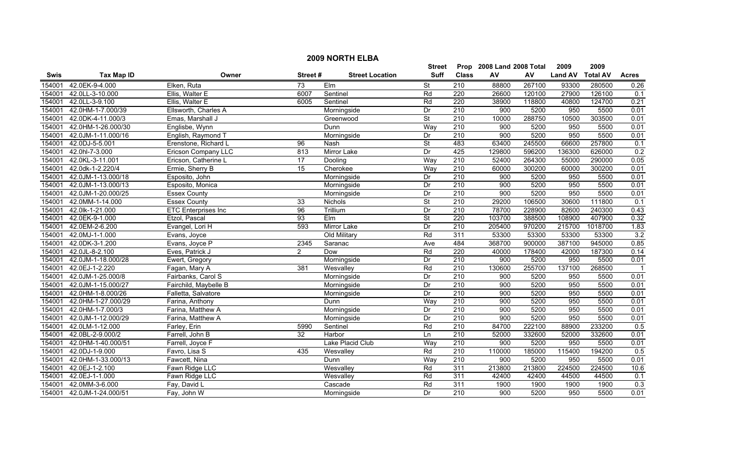|        | <b>2009 NORTH ELBA</b>    |                            |                 |                        |                          |                           |        |        |                |                 |                |  |
|--------|---------------------------|----------------------------|-----------------|------------------------|--------------------------|---------------------------|--------|--------|----------------|-----------------|----------------|--|
|        |                           |                            |                 | Street                 |                          | Prop 2008 Land 2008 Total |        | 2009   | 2009           |                 |                |  |
| Swis   | <b>Tax Map ID</b>         | Owner                      | Street#         | <b>Street Location</b> | <b>Suff</b>              | <b>Class</b>              | AV     | AV     | <b>Land AV</b> | <b>Total AV</b> | <b>Acres</b>   |  |
| 154001 | 42.0EK-9-4.000            | Elken, Ruta                | $\overline{73}$ | $E$ Im                 | $\overline{\mathsf{St}}$ | 210                       | 88800  | 267100 | 93300          | 280500          | 0.26           |  |
| 154001 | 42.0LL-3-10.000           | Ellis, Walter E            | 6007            | Sentinel               | Rd                       | 220                       | 26600  | 120100 | 27900          | 126100          | 0.1            |  |
| 154001 | 42.0LL-3-9.100            | Ellis, Walter E            | 6005            | Sentinel               | Rd                       | 220                       | 38900  | 118800 | 40800          | 124700          | 0.21           |  |
| 154001 | 42.0HM-1-7.000/39         | Ellsworth, Charles A       |                 | Morningside            | $\overline{Dr}$          | 210                       | 900    | 5200   | 950            | 5500            | 0.01           |  |
| 154001 | 42.0DK-4-11.000/3         | Emas, Marshall J           |                 | Greenwood              | <b>St</b>                | 210                       | 10000  | 288750 | 10500          | 303500          | 0.01           |  |
| 154001 | 42.0HM-1-26.000/30        | Englisbe, Wynn             |                 | Dunn                   | Way                      | 210                       | 900    | 5200   | 950            | 5500            | 0.01           |  |
| 154001 | 42.0JM-1-11.000/16        | English, Raymond T         |                 | Morningside            | Dr                       | 210                       | 900    | 5200   | 950            | 5500            | 0.01           |  |
| 154001 | 42.0DJ-5-5.001            | Erenstone, Richard L       | 96              | Nash                   | <b>St</b>                | 483                       | 63400  | 245500 | 66600          | 257800          | 0.1            |  |
| 154001 | 42.0hl-7-3.000            | Ericson Company LLC        | 813             | Mirror Lake            | Dr                       | 425                       | 129800 | 596200 | 136300         | 626000          | 0.2            |  |
| 154001 | 42.0KL-3-11.001           | Ericson, Catherine L       | 17              | Dooling                | Way                      | 210                       | 52400  | 264300 | 55000          | 290000          | 0.05           |  |
| 154001 | 42.0dk-1-2.220/4          | Ermie, Sherry B            | 15              | Cherokee               | Way                      | $\overline{210}$          | 60000  | 300200 | 60000          | 300200          | 0.01           |  |
| 154001 | 42.0JM-1-13.000/18        | Esposito, John             |                 | Morningside            | Dr                       | 210                       | 900    | 5200   | 950            | 5500            | 0.01           |  |
| 154001 | 42.0JM-1-13.000/13        | Esposito, Monica           |                 | Morningside            | Dr                       | $\overline{210}$          | 900    | 5200   | 950            | 5500            | 0.01           |  |
| 154001 | 42.0JM-1-20.000/25        | <b>Essex County</b>        |                 | Morningside            | $\overline{Dr}$          | 210                       | 900    | 5200   | 950            | 5500            | 0.01           |  |
| 154001 | 42.0MM-1-14.000           | <b>Essex County</b>        | 33              | Nichols                | $\overline{\mathsf{St}}$ | 210                       | 29200  | 106500 | 30600          | 111800          | 0.1            |  |
| 154001 | 42.0lk-1-21.000           | <b>ETC Enterprises Inc</b> | $\overline{96}$ | Trillium               | Dr                       | 210                       | 78700  | 228900 | 82600          | 240300          | 0.43           |  |
| 154001 | 42.0EK-9-1.000            | Etzol, Pascal              | 93              | Elm                    | <b>St</b>                | 220                       | 103700 | 388500 | 108900         | 407900          | 0.32           |  |
| 154001 | 42.0EM-2-6.200            | Evangel, Lori H            | 593             | Mirror Lake            | Dr                       | 210                       | 205400 | 970200 | 215700         | 1018700         | 1.83           |  |
| 154001 | 42.0MJ-1-1.000            | Evans, Joyce               |                 | Old Military           | Rd                       | 311                       | 53300  | 53300  | 53300          | 53300           | 3.2            |  |
| 154001 | 42.0DK-3-1.200            | Evans, Joyce P             | 2345            | Saranac                | Ave                      | 484                       | 368700 | 900000 | 387100         | 945000          | 0.85           |  |
| 154001 | 42.0JL-8-2.100            | Eves, Patrick J            | $\overline{2}$  | Dow                    | Rd                       | 220                       | 40000  | 178400 | 42000          | 187300          | 0.14           |  |
| 154001 | 42.0JM-1-18.000/28        | Ewert, Gregory             |                 | Morningside            | Dr                       | 210                       | 900    | 5200   | 950            | 5500            | 0.01           |  |
| 154001 | 42.0EJ-1-2.220            | Fagan, Mary A              | 381             | Wesvalley              | Rd                       | 210                       | 130600 | 255700 | 137100         | 268500          | $\overline{1}$ |  |
| 154001 | 42.0JM-1-25.000/8         | Fairbanks, Carol S         |                 | Morningside            | Dr                       | $\overline{210}$          | 900    | 5200   | 950            | 5500            | 0.01           |  |
| 154001 | 42.0JM-1-15.000/27        | Fairchild, Maybelle B      |                 | Morningside            | Dr                       | 210                       | 900    | 5200   | 950            | 5500            | 0.01           |  |
| 154001 | 42.0HM-1-8.000/26         | Falletta, Salvatore        |                 | Morningside            | Dr                       | 210                       | 900    | 5200   | 950            | 5500            | 0.01           |  |
| 154001 | 42.0HM-1-27.000/29        | Farina, Anthony            |                 | Dunn                   | Way                      | 210                       | 900    | 5200   | 950            | 5500            | 0.01           |  |
| 154001 | 42.0HM-1-7.000/3          | Farina, Matthew A          |                 | Morningside            | Dr                       | 210                       | 900    | 5200   | 950            | 5500            | 0.01           |  |
| 154001 | 42.0JM-1-12.000/29        | Farina, Matthew A          |                 | Morningside            | Dr                       | 210                       | 900    | 5200   | 950            | 5500            | 0.01           |  |
| 154001 | 42.0LM-1-12.000           | Farley, Erin               | 5990            | Sentinel               | Rd                       | 210                       | 84700  | 222100 | 88900          | 233200          | 0.5            |  |
| 154001 | 42.0BL-2-9.000/2          | Farrell, John B            | 32              | Harbor                 | Ln                       | 210                       | 52000  | 332600 | 52000          | 332600          | 0.01           |  |
| 154001 | 42.0HM-1-40.000/51        | Farrell, Joyce F           |                 | Lake Placid Club       | Way                      | 210                       | 900    | 5200   | 950            | 5500            | 0.01           |  |
| 154001 | 42.0DJ-1-9.000            | Favro, Lisa S              | 435             | Wesvalley              | Rd                       | 210                       | 110000 | 185000 | 115400         | 194200          | 0.5            |  |
| 154001 | 42.0HM-1-33.000/13        | Fawcett, Nina              |                 | Dunn                   | Way                      | 210                       | 900    | 5200   | 950            | 5500            | 0.01           |  |
| 154001 | 42.0EJ-1-2.100            | Fawn Ridge LLC             |                 | Wesvalley              | Rd                       | $\overline{311}$          | 213800 | 213800 | 224500         | 224500          | 10.6           |  |
| 154001 | 42.0EJ-1-1.000            | Fawn Ridge LLC             |                 | Wesvalley              | Rd                       | 311                       | 42400  | 42400  | 44500          | 44500           | 0.1            |  |
| 154001 | 42.0MM-3-6.000            | Fay, David L               |                 | Cascade                | Rd                       | 311                       | 1900   | 1900   | 1900           | 1900            | 0.3            |  |
|        | 154001 42.0JM-1-24.000/51 | Fay, John W                |                 | Morningside            | Dr                       | $\overline{210}$          | 900    | 5200   | 950            | 5500            | 0.01           |  |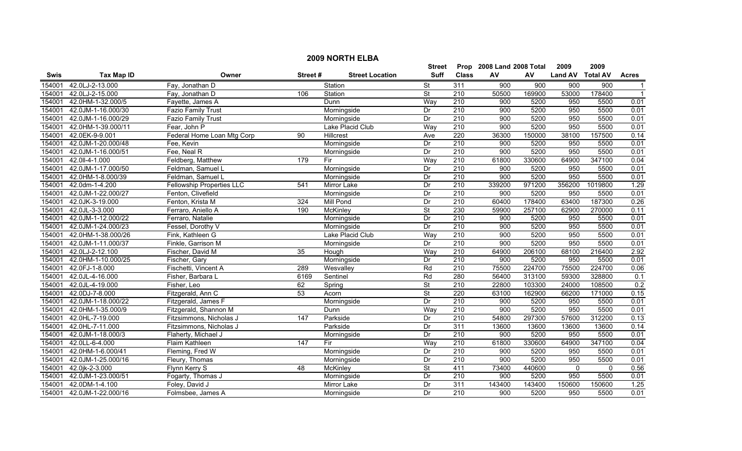|             | <b>2009 NORTH ELBA</b> |                                  |                  |                        |                          |                           |        |        |                  |             |                |  |
|-------------|------------------------|----------------------------------|------------------|------------------------|--------------------------|---------------------------|--------|--------|------------------|-------------|----------------|--|
|             |                        |                                  |                  | Street                 |                          | Prop 2008 Land 2008 Total |        | 2009   | 2009             |             |                |  |
| <b>Swis</b> | <b>Tax Map ID</b>      | Owner                            | Street#          | <b>Street Location</b> | <b>Suff</b>              | <b>Class</b>              | AV     | AV     | Land AV Total AV |             | <b>Acres</b>   |  |
| 154001      | 42.0LJ-2-13.000        | Fay, Jonathan D                  |                  | Station                | St                       | 311                       | 900    | 900    | 900              | 900         | -1             |  |
| 154001      | 42.0LJ-2-15.000        | Fay, Jonathan D                  | 106              | Station                | St                       | $\overline{210}$          | 50500  | 169900 | 53000            | 178400      | $\overline{1}$ |  |
| 154001      | 42.0HM-1-32.000/5      | Fayette, James A                 |                  | Dunn                   | Way                      | 210                       | 900    | 5200   | 950              | 5500        | 0.01           |  |
| 154001      | 42.0JM-1-16.000/30     | <b>Fazio Family Trust</b>        |                  | Morningside            | Dr                       | 210                       | 900    | 5200   | 950              | 5500        | 0.01           |  |
| 154001      | 42.0JM-1-16.000/29     | Fazio Family Trust               |                  | Morningside            | Dr                       | 210                       | 900    | 5200   | 950              | 5500        | 0.01           |  |
| 154001      | 42.0HM-1-39.000/11     | Fear, John P                     |                  | Lake Placid Club       | Way                      | 210                       | 900    | 5200   | 950              | 5500        | 0.01           |  |
| 154001      | 42.0EK-9-9.001         | Federal Home Loan Mtg Corp       | 90               | <b>Hillcrest</b>       | Ave                      | 220                       | 36300  | 150000 | 38100            | 157500      | 0.14           |  |
| 154001      | 42.0JM-1-20.000/48     | Fee, Kevin                       |                  | Morningside            | Dr                       | 210                       | 900    | 5200   | 950              | 5500        | 0.01           |  |
| 154001      | 42.0JM-1-16.000/51     | Fee, Neal R                      |                  | Morningside            | Dr                       | 210                       | 900    | 5200   | 950              | 5500        | 0.01           |  |
| 154001      | 42.0II-4-1.000         | Feldberg, Matthew                | 179              | Fir                    | Way                      | 210                       | 61800  | 330600 | 64900            | 347100      | 0.04           |  |
| 154001      | 42.0JM-1-17.000/50     | Feldman, Samuel L                |                  | Morningside            | Dr                       | 210                       | 900    | 5200   | 950              | 5500        | 0.01           |  |
| 154001      | 42.0HM-1-8.000/39      | Feldman, Samuel L                |                  | Morningside            | Dr                       | 210                       | 900    | 5200   | 950              | 5500        | 0.01           |  |
| 154001      | 42.0dm-1-4.200         | <b>Fellowship Properties LLC</b> | 541              | Mirror Lake            | Dr                       | $\overline{210}$          | 339200 | 971200 | 356200           | 1019800     | 1.29           |  |
| 154001      | 42.0JM-1-22.000/27     | Fenton, Clivefield               |                  | Morningside            | Dr                       | $\overline{210}$          | 900    | 5200   | 950              | 5500        | 0.01           |  |
| 154001      | 42.0JK-3-19.000        | Fenton, Krista M                 | 324              | Mill Pond              | Dr                       | $\overline{210}$          | 60400  | 178400 | 63400            | 187300      | 0.26           |  |
| 154001      | 42.0JL-3-3.000         | Ferraro, Aniello A               | 190              | <b>McKinley</b>        | $\overline{\mathsf{St}}$ | 230                       | 59900  | 257100 | 62900            | 270000      | 0.11           |  |
| 154001      | 42.0JM-1-12.000/22     | Ferraro, Natalie                 |                  | Morningside            | Dr                       | 210                       | 900    | 5200   | 950              | 5500        | 0.01           |  |
| 154001      | 42.0JM-1-24.000/23     | Fessel, Dorothy V                |                  | Morningside            | Dr                       | 210                       | 900    | 5200   | 950              | 5500        | 0.01           |  |
| 154001      | 42.0HM-1-38.000/26     | Fink, Kathleen G                 |                  | Lake Placid Club       | Way                      | 210                       | 900    | 5200   | 950              | 5500        | 0.01           |  |
| 154001      | 42.0JM-1-11.000/37     | Finkle, Garrison M               |                  | Morningside            | Dr                       | 210                       | 900    | 5200   | 950              | 5500        | 0.01           |  |
| 154001      | 42.0LJ-2-12.100        | Fischer, David M                 | 35               | Hough                  | Way                      | 210                       | 64900  | 206100 | 68100            | 216400      | 2.92           |  |
| 154001      | 42.0HM-1-10.000/25     | Fischer, Gary                    |                  | Morningside            | Dr                       | $\overline{210}$          | 900    | 5200   | 950              | 5500        | 0.01           |  |
| 154001      | 42.0FJ-1-8.000         | Fischetti, Vincent A             | 289              | Wesvalley              | Rd                       | 210                       | 75500  | 224700 | 75500            | 224700      | 0.06           |  |
| 154001      | 42.0JL-4-16.000        | Fisher, Barbara L                | 6169             | Sentinel               | Rd                       | 280                       | 56400  | 313100 | 59300            | 328800      | 0.1            |  |
| 154001      | 42.0JL-4-19.000        | Fisher, Leo                      | 62               | Spring                 | $\overline{\mathsf{St}}$ | $\overline{210}$          | 22800  | 103300 | 24000            | 108500      | 0.2            |  |
| 154001      | 42.0DJ-7-8.000         | Fitzgerald, Ann C                | 53               | Acorn                  | $\overline{\mathsf{St}}$ | 220                       | 63100  | 162900 | 66200            | 171000      | 0.15           |  |
| 154001      | 42.0JM-1-18.000/22     | Fitzgerald, James F              |                  | Morningside            | Dr                       | 210                       | 900    | 5200   | 950              | 5500        | 0.01           |  |
| 154001      | 42.0HM-1-35.000/9      | Fitzgerald, Shannon M            |                  | Dunn                   | Way                      | 210                       | 900    | 5200   | 950              | 5500        | 0.01           |  |
| 154001      | 42.0HL-7-19.000        | Fitzsimmons, Nicholas J          | 147              | Parkside               | Dr                       | 210                       | 54800  | 297300 | 57600            | 312200      | 0.13           |  |
| 154001      | 42.0HL-7-11.000        | Fitzsimmons, Nicholas J          |                  | Parkside               | Dr                       | 311                       | 13600  | 13600  | 13600            | 13600       | 0.14           |  |
| 154001      | 42.0JM-1-18.000/3      | Flaherty, Michael J              |                  | Morningside            | Dr                       | 210                       | 900    | 5200   | 950              | 5500        | 0.01           |  |
| 154001      | 42.0LL-6-4.000         | Flaim Kathleen                   | $\overline{147}$ | Fir                    | Way                      | 210                       | 61800  | 330600 | 64900            | 347100      | 0.04           |  |
| 154001      | 42.0HM-1-6.000/41      | Fleming, Fred W                  |                  | Morningside            | Dr                       | 210                       | 900    | 5200   | 950              | 5500        | 0.01           |  |
| 154001      | 42.0JM-1-25.000/16     | Fleury, Thomas                   |                  | Morningside            | Dr                       | 210                       | 900    | 5200   | 950              | 5500        | 0.01           |  |
| 154001      | 42.0jk-2-3.000         | Flynn Kerry S                    | 48               | McKinley               | <b>St</b>                | 411                       | 73400  | 440600 | 0                | $\mathbf 0$ | 0.56           |  |
| 154001      | 42.0JM-1-23.000/51     | Fogarty, Thomas J                |                  | Morningside            | Dr                       | 210                       | 900    | 5200   | 950              | 5500        | 0.01           |  |
| 154001      | 42.0DM-1-4.100         | Foley, David J                   |                  | Mirror Lake            | Dr                       | 311                       | 143400 | 143400 | 150600           | 150600      | 1.25           |  |
| 154001      | 42.0JM-1-22.000/16     | Folmsbee, James A                |                  | Morningside            | Dr                       | 210                       | 900    | 5200   | 950              | 5500        | 0.01           |  |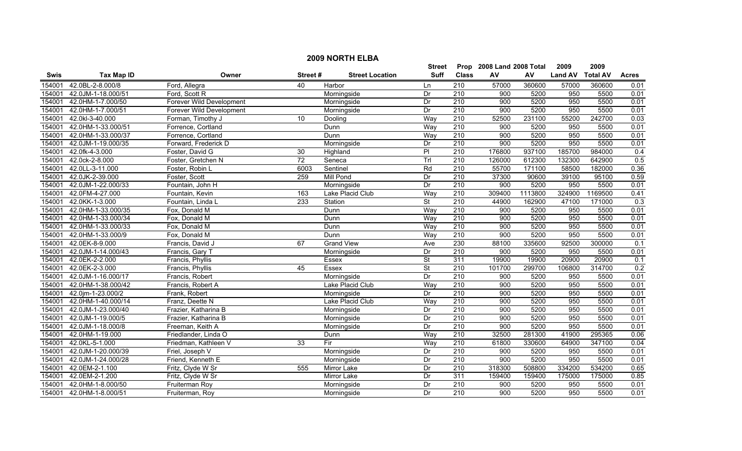|        | <b>2009 NORTH ELBA</b>   |                          |                 |                        |                          |                  |                           |         |                |                 |              |  |  |
|--------|--------------------------|--------------------------|-----------------|------------------------|--------------------------|------------------|---------------------------|---------|----------------|-----------------|--------------|--|--|
|        |                          |                          |                 |                        | Street                   |                  | Prop 2008 Land 2008 Total |         | 2009           | 2009            |              |  |  |
| Swis   | <b>Tax Map ID</b>        | Owner                    | Street#         | <b>Street Location</b> | <b>Suff</b>              | <b>Class</b>     | AV                        | AV      | <b>Land AV</b> | <b>Total AV</b> | <b>Acres</b> |  |  |
| 154001 | 42.0BL-2-8.000/8         | Ford, Allegra            | 40              | Harbor                 | Ln                       | 210              | 57000                     | 360600  | 57000          | 360600          | 0.01         |  |  |
| 154001 | 42.0JM-1-18.000/51       | Ford, Scott R            |                 | Morningside            | Dr                       | 210              | 900                       | 5200    | 950            | 5500            | 0.01         |  |  |
| 154001 | 42.0HM-1-7.000/50        | Forever Wild Development |                 | Morningside            | Dr                       | 210              | 900                       | 5200    | 950            | 5500            | 0.01         |  |  |
| 154001 | 42.0HM-1-7.000/51        | Forever Wild Development |                 | Morningside            | Dr                       | 210              | 900                       | 5200    | 950            | 5500            | 0.01         |  |  |
| 154001 | 42.0kl-3-40.000          | Forman, Timothy J        | 10              | Dooling                | Way                      | 210              | 52500                     | 231100  | 55200          | 242700          | 0.03         |  |  |
| 154001 | 42.0HM-1-33.000/51       | Forrence, Cortland       |                 | Dunn                   | Way                      | 210              | 900                       | 5200    | 950            | 5500            | 0.01         |  |  |
| 154001 | 42.0HM-1-33.000/37       | Forrence, Cortland       |                 | Dunn                   | Way                      | 210              | 900                       | 5200    | 950            | 5500            | 0.01         |  |  |
| 154001 | 42.0JM-1-19.000/35       | Forward, Frederick D     |                 | Morningside            | Dr                       | 210              | 900                       | 5200    | 950            | 5500            | 0.01         |  |  |
| 154001 | 42.0fk-4-3.000           | Foster, David G          | 30              | Highland               | $\overline{P}$           | 210              | 176800                    | 937100  | 185700         | 984000          | 0.4          |  |  |
| 154001 | 42.0ck-2-8.000           | Foster, Gretchen N       | $\overline{72}$ | Seneca                 | Trl                      | $\overline{210}$ | 126000                    | 612300  | 132300         | 642900          | 0.5          |  |  |
| 154001 | 42.0LL-3-11.000          | Foster, Robin L          | 6003            | Sentinel               | Rd                       | $\overline{210}$ | 55700                     | 171100  | 58500          | 182000          | 0.36         |  |  |
| 154001 | 42.0JK-2-39.000          | Foster, Scott            | 259             | Mill Pond              | Dr                       | 210              | 37300                     | 90600   | 39100          | 95100           | 0.59         |  |  |
| 154001 | 42.0JM-1-22.000/33       | Fountain, John H         |                 | Morningside            | Dr                       | 210              | 900                       | 5200    | 950            | 5500            | 0.01         |  |  |
| 154001 | 42.0FM-4-27.000          | Fountain, Kevin          | 163             | Lake Placid Club       | Way                      | $\overline{210}$ | 309400                    | 1113800 | 324900         | 1169500         | 0.41         |  |  |
| 154001 | 42.0KK-1-3.000           | Fountain, Linda L        | 233             | Station                | $\overline{\mathsf{St}}$ | 210              | 44900                     | 162900  | 47100          | 171000          | 0.3          |  |  |
| 154001 | 42.0HM-1-33.000/35       | Fox, Donald M            |                 | Dunn                   | Way                      | 210              | 900                       | 5200    | 950            | 5500            | 0.01         |  |  |
| 154001 | 42.0HM-1-33.000/34       | Fox, Donald M            |                 | Dunn                   | Way                      | 210              | 900                       | 5200    | 950            | 5500            | 0.01         |  |  |
| 154001 | 42.0HM-1-33.000/33       | Fox, Donald M            |                 | Dunn                   | Way                      | 210              | 900                       | 5200    | 950            | 5500            | 0.01         |  |  |
| 154001 | 42.0HM-1-33.000/9        | Fox, Donald M            |                 | Dunn                   | Way                      | 210              | 900                       | 5200    | 950            | 5500            | 0.01         |  |  |
| 154001 | 42.0EK-8-9.000           | Francis, David J         | 67              | <b>Grand View</b>      | Ave                      | 230              | 88100                     | 335600  | 92500          | 300000          | 0.1          |  |  |
| 154001 | 42.0JM-1-14.000/43       | Francis, Gary T          |                 | Morningside            | Dr                       | 210              | 900                       | 5200    | 950            | 5500            | 0.01         |  |  |
| 154001 | 42.0EK-2-2.000           | Francis, Phyllis         |                 | Essex                  | $\overline{\mathsf{St}}$ | 311              | 19900                     | 19900   | 20900          | 20900           | 0.1          |  |  |
| 154001 | 42.0EK-2-3.000           | Francis, Phyllis         | 45              | Essex                  | <b>St</b>                | $\overline{210}$ | 101700                    | 299700  | 106800         | 314700          | 0.2          |  |  |
| 154001 | 42.0JM-1-16.000/17       | Francis, Robert          |                 | Morningside            | Dr                       | $\overline{210}$ | 900                       | 5200    | 950            | 5500            | 0.01         |  |  |
| 154001 | 42.0HM-1-38.000/42       | Francis, Robert A        |                 | Lake Placid Club       | Way                      | 210              | 900                       | 5200    | 950            | 5500            | 0.01         |  |  |
| 154001 | 42.0jm-1-23.000/2        | Frank, Robert            |                 | Morningside            | Dr                       | 210              | 900                       | 5200    | 950            | 5500            | 0.01         |  |  |
| 154001 | 42.0HM-1-40.000/14       | Franz, Deette N          |                 | Lake Placid Club       | Way                      | 210              | 900                       | 5200    | 950            | 5500            | 0.01         |  |  |
| 154001 | 42.0JM-1-23.000/40       | Frazier, Katharina B     |                 | Morningside            | Dr                       | 210              | 900                       | 5200    | 950            | 5500            | 0.01         |  |  |
| 154001 | 42.0JM-1-19.000/5        | Frazier, Katharina B     |                 | Morningside            | Dr                       | 210              | 900                       | 5200    | 950            | 5500            | 0.01         |  |  |
| 154001 | 42.0JM-1-18.000/8        | Freeman, Keith A         |                 | Morningside            | Dr                       | 210              | 900                       | 5200    | 950            | 5500            | 0.01         |  |  |
| 154001 | 42.0HM-1-19.000          | Friedlander, Linda O     |                 | Dunn                   | Way                      | 210              | 32500                     | 281300  | 41900          | 295365          | 0.06         |  |  |
| 154001 | 42.0KL-5-1.000           | Friedman, Kathleen V     | $\overline{33}$ | Fir                    | Way                      | 210              | 61800                     | 330600  | 64900          | 347100          | 0.04         |  |  |
| 154001 | 42.0JM-1-20.000/39       | Friel, Joseph V          |                 | Morningside            | Dr                       | 210              | 900                       | 5200    | 950            | 5500            | 0.01         |  |  |
| 154001 | 42.0JM-1-24.000/28       | Friend, Kenneth E        |                 | Morningside            | Dr                       | 210              | 900                       | 5200    | 950            | 5500            | 0.01         |  |  |
| 154001 | 42.0EM-2-1.100           | Fritz, Clyde W Sr        | 555             | Mirror Lake            | Dr                       | $\overline{210}$ | 318300                    | 508800  | 334200         | 534200          | 0.65         |  |  |
| 154001 | 42.0EM-2-1.200           | Fritz, Clyde W Sr        |                 | Mirror Lake            | Dr                       | 311              | 159400                    | 159400  | 175000         | 175000          | 0.85         |  |  |
| 154001 | 42.0HM-1-8.000/50        | Fruiterman Roy           |                 | Morningside            | Dr                       | 210              | 900                       | 5200    | 950            | 5500            | 0.01         |  |  |
|        | 154001 42.0HM-1-8.000/51 | Fruiterman, Roy          |                 | Morningside            | Dr                       | 210              | 900                       | 5200    | 950            | 5500            | 0.01         |  |  |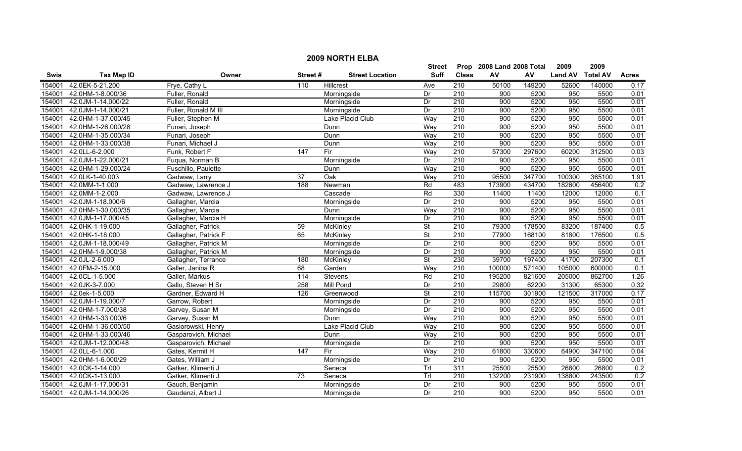|             | <b>2009 NORTH ELBA</b> |                      |                 |                        |                          |                  |                           |        |                |                 |                   |  |
|-------------|------------------------|----------------------|-----------------|------------------------|--------------------------|------------------|---------------------------|--------|----------------|-----------------|-------------------|--|
|             |                        |                      |                 |                        | Street                   |                  | Prop 2008 Land 2008 Total |        | 2009           | 2009            |                   |  |
| <b>Swis</b> | <b>Tax Map ID</b>      | Owner                | Street#         | <b>Street Location</b> | <b>Suff</b>              | <b>Class</b>     | ${\sf AV}$                | AV     | <b>Land AV</b> | <b>Total AV</b> | <b>Acres</b>      |  |
| 154001      | 42.0EK-5-21.200        | Frye, Cathy L        | 110             | Hillcrest              | Ave                      | 210              | 50100                     | 149200 | 52600          | 140000          | 0.17              |  |
| 154001      | 42.0HM-1-8.000/36      | Fuller, Ronald       |                 | Morningside            | Dr                       | $\overline{210}$ | 900                       | 5200   | 950            | 5500            | 0.01              |  |
| 154001      | 42.0JM-1-14.000/22     | Fuller, Ronald       |                 | Morningside            | Dr                       | 210              | 900                       | 5200   | 950            | 5500            | 0.01              |  |
| 154001      | 42.0JM-1-14.000/21     | Fuller, Ronald M III |                 | Morningside            | Dr                       | 210              | 900                       | 5200   | 950            | 5500            | 0.01              |  |
| 154001      | 42.0HM-1-37.000/45     | Fuller, Stephen M    |                 | Lake Placid Club       | Way                      | 210              | 900                       | 5200   | 950            | 5500            | 0.01              |  |
| 154001      | 42.0HM-1-26.000/28     | Funari, Joseph       |                 | Dunn                   | Way                      | 210              | 900                       | 5200   | 950            | 5500            | 0.01              |  |
| 154001      | 42.0HM-1-35.000/34     | Funari, Joseph       |                 | Dunn                   | Way                      | 210              | 900                       | 5200   | 950            | 5500            | 0.01              |  |
| 154001      | 42.0HM-1-33.000/38     | Funari, Michael J    |                 | Dunn                   | Way                      | 210              | 900                       | 5200   | 950            | 5500            | 0.01              |  |
| 154001      | 42.0LL-6-2.000         | Funk, Robert F       | 147             | Fir                    | Way                      | $\overline{210}$ | 57300                     | 297600 | 60200          | 312500          | 0.03              |  |
| 154001      | 42.0JM-1-22.000/21     | Fuqua, Norman B      |                 | Morningside            | Dr                       | 210              | 900                       | 5200   | 950            | 5500            | 0.01              |  |
| 154001      | 42.0HM-1-29.000/24     | Fuschillo, Paulette  |                 | Dunn                   | Way                      | 210              | 900                       | 5200   | 950            | 5500            | 0.01              |  |
| 154001      | 42.0LK-1-40.003        | Gadwaw, Larry        | 37              | Oak                    | Way                      | 210              | 95500                     | 347700 | 100300         | 365100          | 1.91              |  |
| 154001      | 42.0MM-1-1.000         | Gadwaw, Lawrence J   | 188             | Newman                 | Rd                       | 483              | 173900                    | 434700 | 182600         | 456400          | 0.2               |  |
| 154001      | 42.0MM-1-2.000         | Gadwaw, Lawrence J   |                 | Cascade                | Rd                       | 330              | 11400                     | 11400  | 12000          | 12000           | 0.1               |  |
| 154001      | 42.0JM-1-18.000/6      | Gallagher, Marcia    |                 | Morningside            | Dr                       | 210              | 900                       | 5200   | 950            | 5500            | 0.01              |  |
| 154001      | 42.0HM-1-30.000/35     | Gallagher, Marcia    |                 | Dunn                   | Way                      | 210              | 900                       | 5200   | 950            | 5500            | 0.01              |  |
| 154001      | 42.0JM-1-17.000/45     | Gallagher, Marcia H  |                 | Morningside            | Dr                       | 210              | 900                       | 5200   | 950            | 5500            | 0.01              |  |
| 154001      | 42.0HK-1-19.000        | Gallagher, Patrick   | 59              | McKinley               | $\overline{\mathsf{St}}$ | 210              | 79300                     | 178500 | 83200          | 187400          | 0.5               |  |
| 154001      | 42.0HK-1-18.000        | Gallagher, Patrick F | 65              | <b>McKinley</b>        | $\overline{\mathsf{St}}$ | 210              | 77900                     | 168100 | 81800          | 176500          | 0.5               |  |
| 154001      | 42.0JM-1-18.000/49     | Gallagher, Patrick M |                 | Morningside            | Dr                       | 210              | 900                       | 5200   | 950            | 5500            | 0.01              |  |
| 154001      | 42.0HM-1-9.000/38      | Gallagher, Patrick M |                 | Morningside            | Dr                       | 210              | 900                       | 5200   | 950            | 5500            | 0.01              |  |
| 154001      | 42.0JL-2-6.000         | Gallagher, Terrance  | 180             | McKinley               | $\overline{\mathsf{St}}$ | 230              | 39700                     | 197400 | 41700          | 207300          | 0.1               |  |
| 154001      | 42.0FM-2-15.000        | Galler, Janina R     | 68              | Garden                 | Way                      | 210              | 100000                    | 571400 | 105000         | 600000          | 0.1               |  |
| 154001      | 42.0CL-1-5.000         | Galler, Markus       | 114             | <b>Stevens</b>         | Rd                       | $\overline{210}$ | 195200                    | 821600 | 205000         | 862700          | 1.26              |  |
| 154001      | 42.0JK-3-7.000         | Gallo, Steven H Sr   | 258             | <b>Mill Pond</b>       | Dr                       | 210              | 29800                     | 62200  | 31300          | 65300           | 0.32              |  |
| 154001      | 42.0ek-1-5.000         | Gardner, Edward H    | 126             | Greenwood              | $\overline{\mathsf{St}}$ | 210              | 115700                    | 301900 | 121500         | 317000          | 0.17              |  |
| 154001      | 42.0JM-1-19.000/7      | Garrow, Robert       |                 | Morningside            | Dr                       | 210              | 900                       | 5200   | 950            | 5500            | $\overline{0.01}$ |  |
| 154001      | 42.0HM-1-7.000/38      | Garvey, Susan M      |                 | Morningside            | Dr                       | 210              | 900                       | 5200   | 950            | 5500            | 0.01              |  |
| 154001      | 42.0HM-1-33.000/6      | Garvey, Susan M      |                 | Dunn                   | Way                      | 210              | 900                       | 5200   | 950            | 5500            | 0.01              |  |
| 154001      | 42.0HM-1-36.000/50     | Gasiorowski, Henry   |                 | Lake Placid Club       | Way                      | 210              | 900                       | 5200   | 950            | 5500            | 0.01              |  |
| 154001      | 42.0HM-1-33.000/46     | Gasparovich, Michael |                 | Dunn                   | Wav                      | 210              | 900                       | 5200   | 950            | 5500            | 0.01              |  |
| 154001      | 42.0JM-1-12.000/48     | Gasparovich, Michael |                 | Morningside            | Dr                       | 210              | 900                       | 5200   | 950            | 5500            | 0.01              |  |
| 154001      | 42.0LL-6-1.000         | Gates, Kermit H      | 147             | Fir                    | Way                      | 210              | 61800                     | 330600 | 64900          | 347100          | 0.04              |  |
| 154001      | 42.0HM-1-6.000/29      | Gates, William J     |                 | Morningside            | Dr                       | 210              | 900                       | 5200   | 950            | 5500            | 0.01              |  |
| 154001      | 42.0CK-1-14.000        | Gatker, Klimenti J   |                 | Seneca                 | Trl                      | 311              | 25500                     | 25500  | 26800          | 26800           | 0.2               |  |
| 154001      | 42.0CK-1-13.000        | Gatker, Klimenti J   | $\overline{73}$ | Seneca                 | Trl                      | 210              | 132200                    | 231900 | 138800         | 243500          | 0.2               |  |
| 154001      | 42.0JM-1-17.000/31     | Gauch, Benjamin      |                 | Morningside            | Dr                       | $\overline{210}$ | 900                       | 5200   | 950            | 5500            | 0.01              |  |
| 154001      | 42.0JM-1-14.000/26     | Gaudenzi, Albert J   |                 | Morningside            | Dr                       | $\overline{210}$ | 900                       | 5200   | 950            | 5500            | 0.01              |  |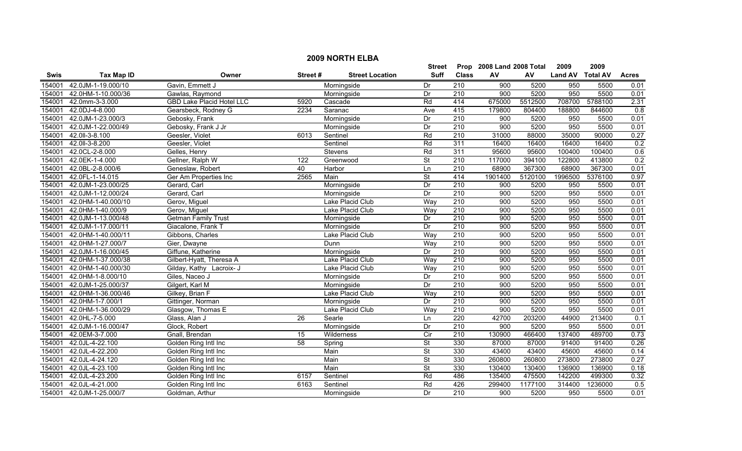|             | <b>2009 NORTH ELBA</b> |                                  |               |                        |                           |                  |                  |         |                |                 |              |  |
|-------------|------------------------|----------------------------------|---------------|------------------------|---------------------------|------------------|------------------|---------|----------------|-----------------|--------------|--|
|             |                        |                                  | <b>Street</b> |                        | Prop 2008 Land 2008 Total |                  | 2009             | 2009    |                |                 |              |  |
| <b>Swis</b> | <b>Tax Map ID</b>      | Owner                            | Street#       | <b>Street Location</b> | <b>Suff</b>               | <b>Class</b>     | AV               | AV      | <b>Land AV</b> | <b>Total AV</b> | <b>Acres</b> |  |
| 154001      | 42.0JM-1-19.000/10     | Gavin, Emmett J                  |               | Morningside            | Dr                        | $\overline{210}$ | $\overline{900}$ | 5200    | 950            | 5500            | 0.01         |  |
| 154001      | 42.0HM-1-10.000/36     | Gawlas, Raymond                  |               | Morningside            | Dr                        | $\overline{210}$ | 900              | 5200    | 950            | 5500            | 0.01         |  |
| 154001      | 42.0mm-3-3.000         | <b>GBD Lake Placid Hotel LLC</b> | 5920          | Cascade                | Rd                        | 414              | 675000           | 5512500 | 708700         | 5788100         | 2.31         |  |
| 154001      | 42.0DJ-4-8.000         | Gearsbeck, Rodney G              | 2234          | Saranac                | Ave                       | 415              | 179800           | 804400  | 188800         | 844600          | 0.8          |  |
| 154001      | 42.0JM-1-23.000/3      | Gebosky, Frank                   |               | Morningside            | Dr                        | 210              | 900              | 5200    | 950            | 5500            | 0.01         |  |
| 154001      | 42.0JM-1-22.000/49     | Gebosky, Frank J Jr              |               | Morningside            | Dr                        | 210              | 900              | 5200    | 950            | 5500            | 0.01         |  |
| 154001      | 42.0II-3-8.100         | Geesler, Violet                  | 6013          | Sentinel               | Rd                        | 210              | 31000            | 88000   | 35000          | 90000           | 0.27         |  |
| 154001      | 42.0II-3-8.200         | Geesler, Violet                  |               | Sentinel               | Rd                        | 311              | 16400            | 16400   | 16400          | 16400           | 0.2          |  |
| 154001      | 42.0CL-2-8.000         | Gelles, Henry                    |               | Stevens                | Rd                        | 311              | 95600            | 95600   | 100400         | 100400          | 0.6          |  |
| 154001      | 42.0EK-1-4.000         | Gellner, Ralph W                 | 122           | Greenwood              | <b>St</b>                 | 210              | 117000           | 394100  | 122800         | 413800          | 0.2          |  |
| 154001      | 42.0BL-2-8.000/6       | Geneslaw, Robert                 | 40            | Harbor                 | Ln                        | 210              | 68900            | 367300  | 68900          | 367300          | 0.01         |  |
| 154001      | 42.0FL-1-14.015        | Ger Am Properties Inc            | 2565          | Main                   | $\overline{\mathsf{St}}$  | 414              | 1901400          | 5120100 | 1996500        | 5376100         | 0.97         |  |
| 154001      | 42.0JM-1-23.000/25     | Gerard, Carl                     |               | Morningside            | Dr                        | $\overline{210}$ | 900              | 5200    | 950            | 5500            | 0.01         |  |
| 154001      | 42.0JM-1-12.000/24     | Gerard, Carl                     |               | Morningside            | Dr                        | 210              | 900              | 5200    | 950            | 5500            | 0.01         |  |
| 154001      | 42.0HM-1-40.000/10     | Gerov, Miguel                    |               | Lake Placid Club       | Way                       | 210              | 900              | 5200    | 950            | 5500            | 0.01         |  |
| 154001      | 42.0HM-1-40.000/9      | Gerov, Miguel                    |               | Lake Placid Club       | Way                       | $\overline{210}$ | 900              | 5200    | 950            | 5500            | 0.01         |  |
| 154001      | 42.0JM-1-13.000/48     | <b>Getman Family Trust</b>       |               | Morningside            | Dr                        | 210              | 900              | 5200    | 950            | 5500            | 0.01         |  |
| 154001      | 42.0JM-1-17.000/11     | Giacalone, Frank T               |               | Morningside            | Dr                        | 210              | 900              | 5200    | 950            | 5500            | 0.01         |  |
| 154001      | 42.0HM-1-40.000/11     | Gibbons, Charles                 |               | Lake Placid Club       | Way                       | 210              | 900              | 5200    | 950            | 5500            | 0.01         |  |
| 154001      | 42.0HM-1-27.000/7      | Gier, Dwayne                     |               | Dunn                   | Way                       | 210              | 900              | 5200    | 950            | 5500            | 0.01         |  |
| 154001      | 42.0JM-1-16.000/45     | Giffune, Katherine               |               | Morningside            | Dr                        | 210              | 900              | 5200    | 950            | 5500            | 0.01         |  |
| 154001      | 42.0HM-1-37.000/38     | Gilbert-Hyatt, Theresa A         |               | Lake Placid Club       | Way                       | 210              | 900              | 5200    | 950            | 5500            | 0.01         |  |
| 154001      | 42.0HM-1-40.000/30     | Gilday, Kathy Lacroix- J         |               | Lake Placid Club       | Way                       | 210              | 900              | 5200    | 950            | 5500            | 0.01         |  |
| 154001      | 42.0HM-1-8.000/10      | Giles, Naceo J                   |               | Morningside            | Dr                        | $\overline{210}$ | 900              | 5200    | 950            | 5500            | 0.01         |  |
| 154001      | 42.0JM-1-25.000/37     | Gilgert, Karl M                  |               | Morningside            | Dr                        | 210              | 900              | 5200    | 950            | 5500            | 0.01         |  |
| 154001      | 42.0HM-1-36.000/46     | Gilkey, Brian F                  |               | Lake Placid Club       | Way                       | $\overline{210}$ | 900              | 5200    | 950            | 5500            | 0.01         |  |
| 154001      | 42.0HM-1-7.000/1       | Gittinger, Norman                |               | Morningside            | Dr                        | 210              | 900              | 5200    | 950            | 5500            | 0.01         |  |
| 154001      | 42.0HM-1-36.000/29     | Glasgow, Thomas E                |               | Lake Placid Club       | Way                       | $\overline{210}$ | 900              | 5200    | 950            | 5500            | 0.01         |  |
| 154001      | 42.0HL-7-5.000         | Glass, Alan J                    | 26            | Searle                 | Ln                        | 220              | 42700            | 203200  | 44900          | 213400          | 0.1          |  |
| 154001      | 42.0JM-1-16.000/47     | Glock, Robert                    |               | Morningside            | Dr                        | 210              | 900              | 5200    | 950            | 5500            | 0.01         |  |
| 154001      | 42.0EM-3-7.000         | Gnall, Brendan                   | 15            | Wilderness             | Cir                       | 210              | 130900           | 466400  | 137400         | 489700          | 0.73         |  |
| 154001      | 42.0JL-4-22.100        | Golden Ring Intl Inc             | 58            | Spring                 | <b>St</b>                 | 330              | 87000            | 87000   | 91400          | 91400           | 0.26         |  |
| 154001      | 42.0JL-4-22.200        | Golden Ring Intl Inc             |               | Main                   | $\overline{\mathsf{St}}$  | 330              | 43400            | 43400   | 45600          | 45600           | 0.14         |  |
| 154001      | 42.0JL-4-24.120        | Golden Ring Intl Inc             |               | Main                   | $\overline{\mathsf{St}}$  | 330              | 260800           | 260800  | 273800         | 273800          | 0.27         |  |
| 154001      | 42.0JL-4-23.100        | Golden Ring Intl Inc             |               | Main                   | St                        | 330              | 130400           | 130400  | 136900         | 136900          | 0.18         |  |
| 154001      | 42.0JL-4-23.200        | Golden Ring Intl Inc             | 6157          | Sentinel               | Rd                        | 486              | 135400           | 475500  | 142200         | 499300          | 0.32         |  |
| 154001      | 42.0JL-4-21.000        | Golden Ring Intl Inc             | 6163          | Sentinel               | Rd                        | 426              | 299400           | 1177100 | 314400         | 1236000         | 0.5          |  |
| 154001      | 42.0JM-1-25.000/7      | Goldman, Arthur                  |               | Morningside            | Dr                        | $\overline{210}$ | 900              | 5200    | 950            | 5500            | 0.01         |  |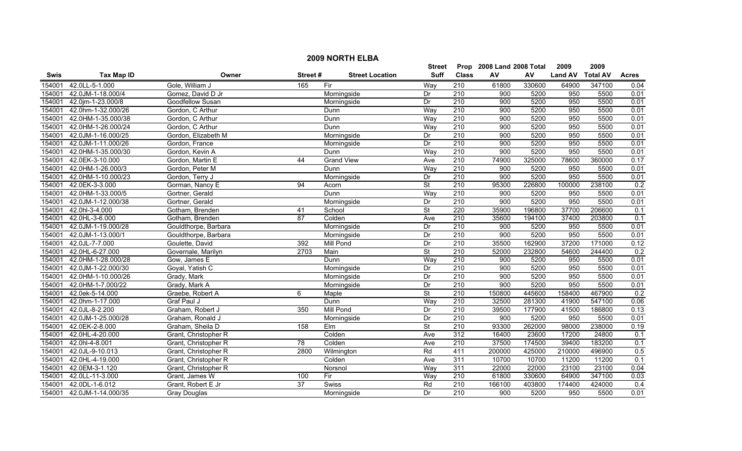|             | <b>2009 NORTH ELBA</b> |                      |                 |                        |                          |                  |                           |        |                |                 |              |  |
|-------------|------------------------|----------------------|-----------------|------------------------|--------------------------|------------------|---------------------------|--------|----------------|-----------------|--------------|--|
|             |                        |                      |                 |                        | <b>Street</b>            |                  | Prop 2008 Land 2008 Total |        | 2009           | 2009            |              |  |
| <b>Swis</b> | <b>Tax Map ID</b>      | Owner                | Street#         | <b>Street Location</b> | <b>Suff</b>              | <b>Class</b>     | ${\sf AV}$                | AV     | <b>Land AV</b> | <b>Total AV</b> | <b>Acres</b> |  |
| 154001      | 42.0LL-5-1.000         | Gole, William J      | 165             | Fir                    | Way                      | 210              | 61800                     | 330600 | 64900          | 347100          | 0.04         |  |
| 154001      | 42.0JM-1-18.000/4      | Gomez, David D Jr    |                 | Morningside            | Dr                       | $\overline{210}$ | 900                       | 5200   | 950            | 5500            | 0.01         |  |
| 154001      | 42.0jm-1-23.000/8      | Goodfellow Susan     |                 | Morningside            | Dr                       | 210              | 900                       | 5200   | 950            | 5500            | 0.01         |  |
| 154001      | 42.0hm-1-32.000/26     | Gordon, C Arthur     |                 | Dunn                   | Way                      | 210              | 900                       | 5200   | 950            | 5500            | 0.01         |  |
| 154001      | 42.0HM-1-35.000/38     | Gordon, C Arthur     |                 | Dunn                   | Way                      | 210              | 900                       | 5200   | 950            | 5500            | 0.01         |  |
| 154001      | 42.0HM-1-26.000/24     | Gordon, C Arthur     |                 | Dunn                   | Way                      | 210              | 900                       | 5200   | 950            | 5500            | 0.01         |  |
| 154001      | 42.0JM-1-16.000/25     | Gordon, Elizabeth M  |                 | Morningside            | Dr                       | 210              | 900                       | 5200   | 950            | 5500            | 0.01         |  |
| 154001      | 42.0JM-1-11.000/26     | Gordon, France       |                 | Morningside            | Dr                       | 210              | 900                       | 5200   | 950            | 5500            | 0.01         |  |
| 154001      | 42.0HM-1-35.000/30     | Gordon, Kevin A      |                 | Dunn                   | Way                      | $\overline{210}$ | 900                       | 5200   | 950            | 5500            | 0.01         |  |
| 154001      | 42.0EK-3-10.000        | Gordon, Martin E     | 44              | <b>Grand View</b>      | Ave                      | 210              | 74900                     | 325000 | 78600          | 360000          | 0.17         |  |
| 154001      | 42.0HM-1-26.000/3      | Gordon, Peter M      |                 | Dunn                   | Way                      | 210              | 900                       | 5200   | 950            | 5500            | 0.01         |  |
| 154001      | 42.0HM-1-10.000/23     | Gordon, Terry J      |                 | Morningside            | Dr                       | $\overline{210}$ | 900                       | 5200   | 950            | 5500            | 0.01         |  |
| 154001      | 42.0EK-3-3.000         | Gorman, Nancy E      | 94              | Acorn                  | St                       | 210              | 95300                     | 226800 | 100000         | 238100          | 0.2          |  |
| 154001      | 42.0HM-1-33.000/5      | Gortner, Gerald      |                 | Dunn                   | Way                      | 210              | 900                       | 5200   | 950            | 5500            | 0.01         |  |
| 154001      | 42.0JM-1-12.000/38     | Gortner, Gerald      |                 | Morningside            | Dr                       | $\overline{210}$ | 900                       | 5200   | 950            | 5500            | 0.01         |  |
| 154001      | 42.0hl-3-4.000         | Gotham, Brenden      | 41              | School                 | $\overline{\mathsf{St}}$ | 220              | 35900                     | 196800 | 37700          | 206600          | 0.1          |  |
| 154001      | 42.0HL-3-6.000         | Gotham, Brenden      | 87              | Colden                 | Ave                      | 210              | 35600                     | 194100 | 37400          | 203800          | 0.1          |  |
| 154001      | 42.0JM-1-19.000/28     | Gouldthorpe, Barbara |                 | Morningside            | Dr                       | 210              | 900                       | 5200   | 950            | 5500            | 0.01         |  |
| 154001      | 42.0JM-1-13.000/1      | Gouldthorpe, Barbara |                 | Morningside            | Dr                       | 210              | 900                       | 5200   | 950            | 5500            | 0.01         |  |
| 154001      | 42.0JL-7-7.000         | Goulette, David      | 392             | Mill Pond              | Dr                       | 210              | 35500                     | 162900 | 37200          | 171000          | 0.12         |  |
| 154001      | 42.0HL-6-27.000        | Governale, Marilyn   | 2703            | Main                   | $\overline{\mathsf{St}}$ | 210              | 52000                     | 232800 | 54600          | 244400          | 0.2          |  |
| 154001      | 42.0HM-1-28.000/28     | Gow, James E         |                 | Dunn                   | Way                      | 210              | 900                       | 5200   | 950            | 5500            | 0.01         |  |
| 154001      | 42.0JM-1-22.000/30     | Goyal, Yatish C      |                 | Morningside            | Dr                       | 210              | 900                       | 5200   | 950            | 5500            | 0.01         |  |
| 154001      | 42.0HM-1-10.000/26     | Grady, Mark          |                 | Morningside            | Dr                       | 210              | 900                       | 5200   | 950            | 5500            | 0.01         |  |
| 154001      | 42.0HM-1-7.000/22      | Grady, Mark A        |                 | Morningside            | Dr                       | $\overline{210}$ | 900                       | 5200   | 950            | 5500            | 0.01         |  |
| 154001      | 42.0ek-5-14.000        | Graebe, Robert A     | 6               | Maple                  | <b>St</b>                | 210              | 150800                    | 445600 | 158400         | 467900          | 0.2          |  |
| 154001      | 42.0hm-1-17.000        | Graf Paul J          |                 | Dunn                   | Way                      | 210              | 32500                     | 281300 | 41900          | 547100          | 0.06         |  |
| 154001      | 42.0JL-8-2.200         | Graham, Robert J     | 350             | <b>Mill Pond</b>       | Dr                       | $\overline{210}$ | 39500                     | 177900 | 41500          | 186800          | 0.13         |  |
| 154001      | 42.0JM-1-25.000/28     | Graham, Ronald J     |                 | Morningside            | Dr                       | 210              | 900                       | 5200   | 950            | 5500            | 0.01         |  |
| 154001      | 42.0EK-2-8.000         | Graham, Sheila D     | 158             | EIm                    | <b>St</b>                | 210              | 93300                     | 262000 | 98000          | 238000          | 0.19         |  |
| 154001      | 42.0HL-4-20.000        | Grant, Christopher R |                 | Colden                 | Ave                      | 312              | 16400                     | 23600  | 17200          | 24800           | 0.1          |  |
| 154001      | 42.0hl-4-8.001         | Grant, Christopher R | 78              | Colden                 | Ave                      | 210              | 37500                     | 174500 | 39400          | 183200          | 0.1          |  |
| 154001      | 42.0JL-9-10.013        | Grant, Christopher R | 2800            | Wilmington             | Rd                       | 411              | 200000                    | 425000 | 210000         | 496900          | 0.5          |  |
| 154001      | 42.0HL-4-19.000        | Grant, Christopher R |                 | Colden                 | Ave                      | 311              | 10700                     | 10700  | 11200          | 11200           | 0.1          |  |
| 154001      | 42.0EM-3-1.120         | Grant, Christopher R |                 | Norsnol                | Way                      | 311              | 22000                     | 22000  | 23100          | 23100           | 0.04         |  |
| 154001      | 42.0LL-11-3.000        | Grant, James W       | 100             | Fir                    | Way                      | 210              | 61800                     | 330600 | 64900          | 347100          | 0.03         |  |
| 154001      | 42.0DL-1-6.012         | Grant, Robert E Jr   | $\overline{37}$ | Swiss                  | Rd                       | 210              | 166100                    | 403800 | 174400         | 424000          | 0.4          |  |
| 154001      | 42.0JM-1-14.000/35     | <b>Gray Douglas</b>  |                 | Morningside            | Dr                       | $\overline{210}$ | 900                       | 5200   | 950            | 5500            | 0.01         |  |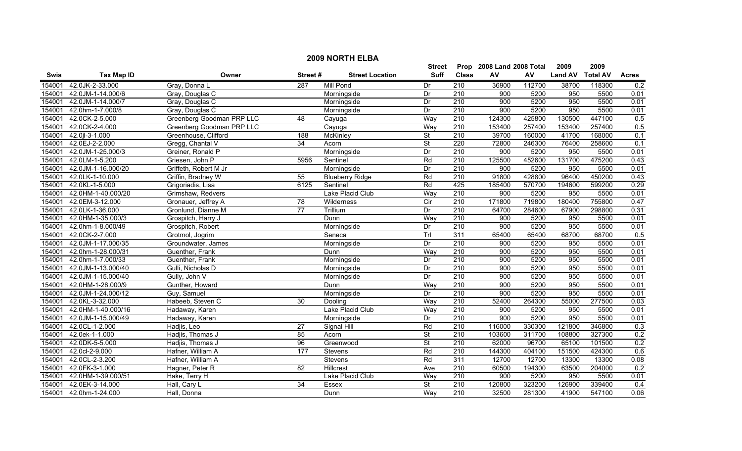|             | <b>2009 NORTH ELBA</b> |                           |                 |                        |                           |                  |            |        |                |                 |                  |  |
|-------------|------------------------|---------------------------|-----------------|------------------------|---------------------------|------------------|------------|--------|----------------|-----------------|------------------|--|
|             |                        |                           | <b>Street</b>   |                        | Prop 2008 Land 2008 Total |                  | 2009       | 2009   |                |                 |                  |  |
| <b>Swis</b> | <b>Tax Map ID</b>      | Owner                     | Street#         | <b>Street Location</b> | <b>Suff</b>               | <b>Class</b>     | ${\sf AV}$ | AV     | <b>Land AV</b> | <b>Total AV</b> | <b>Acres</b>     |  |
| 154001      | 42.0JK-2-33.000        | Gray, Donna L             | 287             | <b>Mill Pond</b>       | Dr                        | 210              | 36900      | 112700 | 38700          | 118300          | 0.2              |  |
| 154001      | 42.0JM-1-14.000/6      | Gray, Douglas C           |                 | Morningside            | Dr                        | $\overline{210}$ | 900        | 5200   | 950            | 5500            | 0.01             |  |
| 154001      | 42.0JM-1-14.000/7      | Gray, Douglas C           |                 | Morningside            | Dr                        | 210              | 900        | 5200   | 950            | 5500            | 0.01             |  |
| 154001      | 42.0hm-1-7.000/8       | Gray, Douglas C           |                 | Morningside            | Dr                        | 210              | 900        | 5200   | 950            | 5500            | 0.01             |  |
| 154001      | 42.0CK-2-5.000         | Greenberg Goodman PRP LLC | 48              | Cayuga                 | Way                       | 210              | 124300     | 425800 | 130500         | 447100          | 0.5              |  |
| 154001      | 42.0CK-2-4.000         | Greenberg Goodman PRP LLC |                 | Cayuga                 | Way                       | 210              | 153400     | 257400 | 153400         | 257400          | 0.5              |  |
| 154001      | 42.0jl-3-1.000         | Greenhouse, Clifford      | 188             | McKinley               | $\overline{\mathsf{St}}$  | 210              | 39700      | 160000 | 41700          | 168000          | 0.1              |  |
| 154001      | 42.0EJ-2-2.000         | Gregg, Chantal V          | 34              | Acorn                  | $\overline{\mathsf{St}}$  | 220              | 72800      | 246300 | 76400          | 258600          | 0.1              |  |
| 154001      | 42.0JM-1-25.000/3      | Greiner, Ronald P         |                 | Morningside            | Dr                        | $\overline{210}$ | 900        | 5200   | 950            | 5500            | 0.01             |  |
| 154001      | 42.0LM-1-5.200         | Griesen, John P           | 5956            | Sentinel               | Rd                        | 210              | 125500     | 452600 | 131700         | 475200          | 0.43             |  |
| 154001      | 42.0JM-1-16.000/20     | Griffeth, Robert M Jr     |                 | Morningside            | Dr                        | 210              | 900        | 5200   | 950            | 5500            | 0.01             |  |
| 154001      | 42.0LK-1-10.000        | Griffin, Bradney W        | 55              | <b>Blueberry Ridge</b> | Rd                        | 210              | 91800      | 428800 | 96400          | 450200          | 0.43             |  |
| 154001      | 42.0KL-1-5.000         | Grigoriadis, Lisa         | 6125            | Sentinel               | Rd                        | 425              | 185400     | 570700 | 194600         | 599200          | 0.29             |  |
| 154001      | 42.0HM-1-40.000/20     | Grimshaw, Redvers         |                 | Lake Placid Club       | Way                       | 210              | 900        | 5200   | 950            | 5500            | 0.01             |  |
| 154001      | 42.0EM-3-12.000        | Gronauer, Jeffrey A       | $\overline{78}$ | Wilderness             | $\overline{C}$            | $\overline{210}$ | 171800     | 719800 | 180400         | 755800          | 0.47             |  |
| 154001      | 42.0LK-1-36.000        | Gronlund, Dianne M        | $\overline{77}$ | Trillium               | Dr                        | $\overline{210}$ | 64700      | 284600 | 67900          | 298800          | 0.31             |  |
| 154001      | 42.0HM-1-35.000/3      | Grospitch, Harry J        |                 | Dunn                   | Way                       | 210              | 900        | 5200   | 950            | 5500            | 0.01             |  |
| 154001      | 42.0hm-1-8.000/49      | Grospitch, Robert         |                 | Morningside            | Dr                        | 210              | 900        | 5200   | 950            | 5500            | 0.01             |  |
| 154001      | 42.0CK-2-7.000         | Grotmol, Jogrim           |                 | Seneca                 | Trl                       | 311              | 65400      | 65400  | 68700          | 68700           | 0.5              |  |
| 154001      | 42.0JM-1-17.000/35     | Groundwater, James        |                 | Morningside            | Dr                        | 210              | 900        | 5200   | 950            | 5500            | 0.01             |  |
| 154001      | 42.0hm-1-28.000/31     | Guenther, Frank           |                 | Dunn                   | Way                       | 210              | 900        | 5200   | 950            | 5500            | 0.01             |  |
| 154001      | 42.0hm-1-7.000/33      | Guenther, Frank           |                 | Morningside            | Dr                        | 210              | 900        | 5200   | 950            | 5500            | 0.01             |  |
| 154001      | 42.0JM-1-13.000/40     | Gulli, Nicholas D         |                 | Morningside            | Dr                        | 210              | 900        | 5200   | 950            | 5500            | 0.01             |  |
| 154001      | 42.0JM-1-15.000/40     | Gully, John V             |                 | Morningside            | Dr                        | 210              | 900        | 5200   | 950            | 5500            | 0.01             |  |
| 154001      | 42.0HM-1-28.000/9      | Gunther, Howard           |                 | Dunn                   | Way                       | $\overline{210}$ | 900        | 5200   | 950            | 5500            | 0.01             |  |
| 154001      | 42.0JM-1-24.000/12     | Guy, Samuel               |                 | Morningside            | Dr                        | 210              | 900        | 5200   | 950            | 5500            | 0.01             |  |
| 154001      | 42.0KL-3-32.000        | Habeeb, Steven C          | 30              | Dooling                | Way                       | 210              | 52400      | 264300 | 55000          | 277500          | 0.03             |  |
| 154001      | 42.0HM-1-40.000/16     | Hadaway, Karen            |                 | Lake Placid Club       | Way                       | $\overline{210}$ | 900        | 5200   | 950            | 5500            | 0.01             |  |
| 154001      | 42.0JM-1-15.000/49     | Hadaway, Karen            |                 | Morningside            | Dr                        | 210              | 900        | 5200   | 950            | 5500            | 0.01             |  |
| 154001      | 42.0CL-1-2.000         | Hadjis, Leo               | $\overline{27}$ | Signal Hill            | Rd                        | 210              | 116000     | 330300 | 121800         | 346800          | 0.3              |  |
| 154001      | 42.0ek-1-1.000         | Hadjis, Thomas J          | 85              | Acorn                  | <b>St</b>                 | 210              | 103600     | 311700 | 108800         | 327300          | 0.2              |  |
| 154001      | 42.0DK-5-5.000         | Hadjis, Thomas J          | 96              | Greenwood              | <b>St</b>                 | 210              | 62000      | 96700  | 65100          | 101500          | 0.2              |  |
| 154001      | 42.0cl-2-9.000         | Hafner, William A         | 177             | Stevens                | Rd                        | 210              | 144300     | 404100 | 151500         | 424300          | 0.6              |  |
| 154001      | 42.0CL-2-3.200         | Hafner, William A         |                 | Stevens                | Rd                        | 311              | 12700      | 12700  | 13300          | 13300           | 0.08             |  |
| 154001      | 42.0FK-3-1.000         | Hagner, Peter R           | $\overline{82}$ | Hillcrest              | Ave                       | $\overline{210}$ | 60500      | 194300 | 63500          | 204000          | 0.2              |  |
| 154001      | 42.0HM-1-39.000/51     | Hake, Terry H             |                 | Lake Placid Club       | Way                       | 210              | 900        | 5200   | 950            | 5500            | 0.01             |  |
| 154001      | 42.0EK-3-14.000        | Hall, Cary L              | 34              | Essex                  | $\overline{\mathsf{St}}$  | 210              | 120800     | 323200 | 126900         | 339400          | $\overline{0.4}$ |  |
| 154001      | 42.0hm-1-24.000        | Hall, Donna               |                 | Dunn                   | Way                       | $\overline{210}$ | 32500      | 281300 | 41900          | 547100          | 0.06             |  |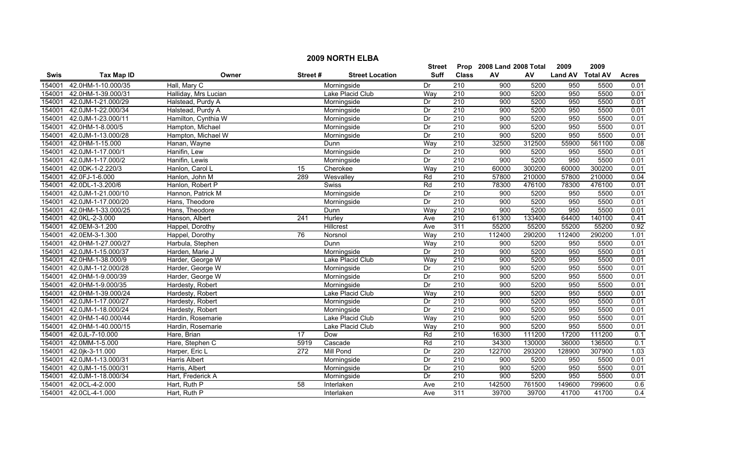|             |                    |                      |                 |                        | <b>Street</b> |                  | Prop 2008 Land 2008 Total |        | 2009             | 2009   |              |
|-------------|--------------------|----------------------|-----------------|------------------------|---------------|------------------|---------------------------|--------|------------------|--------|--------------|
| <b>Swis</b> | <b>Tax Map ID</b>  | Owner                | Street#         | <b>Street Location</b> | <b>Suff</b>   | <b>Class</b>     | AV                        | AV     | Land AV Total AV |        | <b>Acres</b> |
| 154001      | 42.0HM-1-10.000/35 | Hall, Mary C         |                 | Morningside            | Dr            | $\overline{210}$ | 900                       | 5200   | 950              | 5500   | 0.01         |
| 154001      | 42.0HM-1-39.000/31 | Halliday, Mrs Lucian |                 | Lake Placid Club       | Way           | $\overline{210}$ | 900                       | 5200   | 950              | 5500   | 0.01         |
| 154001      | 42.0JM-1-21.000/29 | Halstead, Purdy A    |                 | Morningside            | Dr            | 210              | 900                       | 5200   | 950              | 5500   | 0.01         |
| 154001      | 42.0JM-1-22.000/34 | Halstead, Purdy A    |                 | Morningside            | Dr            | 210              | 900                       | 5200   | 950              | 5500   | 0.01         |
| 154001      | 42.0JM-1-23.000/11 | Hamilton, Cynthia W  |                 | Morningside            | Dr            | 210              | 900                       | 5200   | 950              | 5500   | 0.01         |
| 154001      | 42.0HM-1-8.000/5   | Hampton, Michael     |                 | Morningside            | Dr            | 210              | 900                       | 5200   | 950              | 5500   | 0.01         |
| 154001      | 42.0JM-1-13.000/28 | Hampton, Michael W   |                 | Morningside            | Dr            | 210              | 900                       | 5200   | 950              | 5500   | 0.01         |
| 154001      | 42.0HM-1-15.000    | Hanan, Wayne         |                 | Dunn                   | Way           | 210              | 32500                     | 312500 | 55900            | 561100 | 0.08         |
| 154001      | 42.0JM-1-17.000/1  | Hanifin, Lew         |                 | Morningside            | Dr            | $\overline{210}$ | 900                       | 5200   | 950              | 5500   | 0.01         |
| 154001      | 42.0JM-1-17.000/2  | Hanifin, Lewis       |                 | Morningside            | Dr            | $\overline{210}$ | 900                       | 5200   | 950              | 5500   | 0.01         |
| 154001      | 42.0DK-1-2.220/3   | Hanlon, Carol L      | 15              | Cherokee               | Way           | 210              | 60000                     | 300200 | 60000            | 300200 | 0.01         |
| 154001      | 42.0FJ-1-6.000     | Hanlon, John M       | 289             | Wesvalley              | Rd            | 210              | 57800                     | 210000 | 57800            | 210000 | 0.04         |
| 154001      | 42.0DL-1-3.200/6   | Hanlon, Robert P     |                 | Swiss                  | Rd            | $\overline{210}$ | 78300                     | 476100 | 78300            | 476100 | 0.01         |
| 154001      | 42.0JM-1-21.000/10 | Hannon, Patrick M    |                 | Morningside            | Dr            | $\overline{210}$ | 900                       | 5200   | 950              | 5500   | 0.01         |
| 154001      | 42.0JM-1-17.000/20 | Hans, Theodore       |                 | Morningside            | Dr            | 210              | 900                       | 5200   | 950              | 5500   | 0.01         |
| 154001      | 42.0HM-1-33.000/25 | Hans, Theodore       |                 | Dunn                   | Way           | $\overline{210}$ | 900                       | 5200   | 950              | 5500   | 0.01         |
| 154001      | 42.0KL-2-3.000     | Hanson, Albert       | 241             | Hurley                 | Ave           | 210              | 61300                     | 133400 | 64400            | 140100 | 0.41         |
| 154001      | 42.0EM-3-1.200     | Happel, Dorothy      |                 | Hillcrest              | Ave           | 311              | 55200                     | 55200  | 55200            | 55200  | 0.92         |
| 154001      | 42.0EM-3-1.300     | Happel, Dorothy      | 76              | Norsnol                | Way           | 210              | 112400                    | 290200 | 112400           | 290200 | 1.01         |
| 154001      | 42.0HM-1-27.000/27 | Harbula, Stephen     |                 | Dunn                   | Way           | 210              | 900                       | 5200   | 950              | 5500   | 0.01         |
| 154001      | 42.0JM-1-15.000/37 | Harden, Marie J      |                 | Morningside            | Dr            | $\overline{210}$ | 900                       | 5200   | 950              | 5500   | 0.01         |
| 154001      | 42.0HM-1-38.000/9  | Harder, George W     |                 | Lake Placid Club       | Way           | 210              | 900                       | 5200   | 950              | 5500   | 0.01         |
| 154001      | 42.0JM-1-12.000/28 | Harder, George W     |                 | Morningside            | Dr            | 210              | 900                       | 5200   | 950              | 5500   | 0.01         |
| 154001      | 42.0HM-1-9.000/39  | Harder, George W     |                 | Morningside            | Dr            | 210              | 900                       | 5200   | 950              | 5500   | 0.01         |
| 154001      | 42.0HM-1-9.000/35  | Hardesty, Robert     |                 | Morningside            | Dr            | 210              | 900                       | 5200   | 950              | 5500   | 0.01         |
| 154001      | 42.0HM-1-39.000/24 | Hardesty, Robert     |                 | Lake Placid Club       | Way           | 210              | 900                       | 5200   | 950              | 5500   | 0.01         |
| 154001      | 42.0JM-1-17.000/27 | Hardesty, Robert     |                 | Morningside            | Dr            | $\overline{210}$ | 900                       | 5200   | 950              | 5500   | 0.01         |
| 154001      | 42.0JM-1-18.000/24 | Hardesty, Robert     |                 | Morningside            | Dr            | $\overline{210}$ | 900                       | 5200   | 950              | 5500   | 0.01         |
| 154001      | 42.0HM-1-40.000/44 | Hardin, Rosemarie    |                 | Lake Placid Club       | Way           | 210              | 900                       | 5200   | 950              | 5500   | 0.01         |
| 154001      | 42.0HM-1-40.000/15 | Hardin, Rosemarie    |                 | Lake Placid Club       | Way           | 210              | 900                       | 5200   | 950              | 5500   | 0.01         |
| 154001      | 42.0JL-7-10.000    | Hare, Brian          | $\overline{17}$ | Dow                    | Rd            | 210              | 16300                     | 111200 | 17200            | 111200 | 0.1          |
| 154001      | 42.0MM-1-5.000     | Hare, Stephen C      | 5919            | Cascade                | Rd            | 210              | 34300                     | 130000 | 36000            | 136500 | 0.1          |
| 154001      | 42.0jk-3-11.000    | Harper, Eric L       | 272             | <b>Mill Pond</b>       | Dr            | 220              | 122700                    | 293200 | 128900           | 307900 | 1.03         |
| 154001      | 42.0JM-1-13.000/31 | <b>Harris Albert</b> |                 | Morningside            | Dr            | $\overline{210}$ | 900                       | 5200   | 950              | 5500   | 0.01         |
| 154001      | 42.0JM-1-15.000/31 | Harris, Albert       |                 | Morningside            | Dr            | $\overline{210}$ | 900                       | 5200   | 950              | 5500   | 0.01         |
| 154001      | 42.0JM-1-18.000/34 | Hart, Frederick A    |                 | Morningside            | Dr            | 210              | 900                       | 5200   | 950              | 5500   | 0.01         |
| 154001      | 42.0CL-4-2.000     | Hart, Ruth P         | 58              | Interlaken             | Ave           | $\overline{210}$ | 142500                    | 761500 | 149600           | 799600 | 0.6          |
| 154001      | 42.0CL-4-1.000     | Hart, Ruth P         |                 | Interlaken             | Ave           | 311              | 39700                     | 39700  | 41700            | 41700  | 0.4          |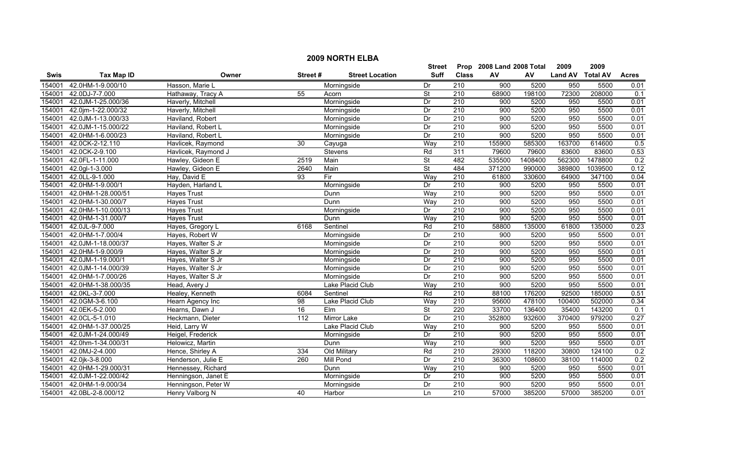|        | <b>2009 NORTH ELBA</b>   |                     |                 |                        |                          |                  |                           |         |                  |         |              |  |
|--------|--------------------------|---------------------|-----------------|------------------------|--------------------------|------------------|---------------------------|---------|------------------|---------|--------------|--|
|        |                          |                     |                 |                        | Street                   |                  | Prop 2008 Land 2008 Total |         | 2009             | 2009    |              |  |
| Swis   | <b>Tax Map ID</b>        | Owner               | Street#         | <b>Street Location</b> | Suff                     | <b>Class</b>     | AV                        | AV      | Land AV Total AV |         | <b>Acres</b> |  |
| 154001 | 42.0HM-1-9.000/10        | Hasson, Marie L     |                 | Morningside            | Dr                       | 210              | 900                       | 5200    | 950              | 5500    | 0.01         |  |
| 154001 | 42.0DJ-7-7.000           | Hathaway, Tracy A   | 55              | Acorn                  | <b>St</b>                | 210              | 68900                     | 198100  | 72300            | 208000  | 0.1          |  |
| 154001 | 42.0JM-1-25.000/36       | Haverly, Mitchell   |                 | Morningside            | Dr                       | 210              | 900                       | 5200    | 950              | 5500    | 0.01         |  |
| 154001 | 42.0jm-1-22.000/32       | Haverly, Mitchell   |                 | Morningside            | Dr                       | 210              | 900                       | 5200    | 950              | 5500    | 0.01         |  |
| 154001 | 42.0JM-1-13.000/33       | Haviland, Robert    |                 | Morningside            | Dr                       | 210              | 900                       | 5200    | 950              | 5500    | 0.01         |  |
| 154001 | 42.0JM-1-15.000/22       | Haviland, Robert L  |                 | Morningside            | Dr                       | 210              | 900                       | 5200    | 950              | 5500    | 0.01         |  |
| 154001 | 42.0HM-1-6.000/23        | Haviland, Robert L  |                 | Morningside            | Dr                       | 210              | 900                       | 5200    | 950              | 5500    | 0.01         |  |
| 154001 | 42.0CK-2-12.110          | Havlicek, Raymond   | 30              | Cayuga                 | Way                      | 210              | 155900                    | 585300  | 163700           | 614600  | 0.5          |  |
| 154001 | 42.0CK-2-9.100           | Havlicek, Raymond J |                 | Stevens                | Rd                       | 311              | 79600                     | 79600   | 83600            | 83600   | 0.53         |  |
| 154001 | 42.0FL-1-11.000          | Hawley, Gideon E    | 2519            | Main                   | <b>St</b>                | 482              | 535500                    | 1408400 | 562300           | 1478800 | 0.2          |  |
| 154001 | 42.0gl-1-3.000           | Hawley, Gideon E    | 2640            | Main                   | $\overline{\mathsf{St}}$ | 484              | 371200                    | 990000  | 389800           | 1039500 | 0.12         |  |
| 154001 | 42.0LL-9-1.000           | Hay, David E        | 93              | Fir                    | Way                      | 210              | 61800                     | 330600  | 64900            | 347100  | 0.04         |  |
| 154001 | 42.0HM-1-9.000/1         | Hayden, Harland L   |                 | Morningside            | Dr                       | 210              | 900                       | 5200    | 950              | 5500    | 0.01         |  |
| 154001 | 42.0HM-1-28.000/51       | <b>Hayes Trust</b>  |                 | Dunn                   | Way                      | $\overline{210}$ | 900                       | 5200    | 950              | 5500    | 0.01         |  |
| 154001 | 42.0HM-1-30.000/7        | <b>Hayes Trust</b>  |                 | Dunn                   | Way                      | $\overline{210}$ | 900                       | 5200    | 950              | 5500    | 0.01         |  |
| 154001 | 42.0HM-1-10.000/13       | <b>Hayes Trust</b>  |                 | Morningside            | Dr                       | 210              | 900                       | 5200    | 950              | 5500    | 0.01         |  |
| 154001 | 42.0HM-1-31.000/7        | <b>Hayes Trust</b>  |                 | Dunn                   | Way                      | 210              | 900                       | 5200    | 950              | 5500    | 0.01         |  |
| 154001 | 42.0JL-9-7.000           | Hayes, Gregory L    | 6168            | Sentinel               | Rd                       | 210              | 58800                     | 135000  | 61800            | 135000  | 0.23         |  |
| 154001 | 42.0HM-1-7.000/4         | Hayes, Robert W     |                 | Morningside            | Dr                       | 210              | 900                       | 5200    | 950              | 5500    | 0.01         |  |
| 154001 | 42.0JM-1-18.000/37       | Hayes, Walter S Jr  |                 | Morningside            | Dr                       | 210              | 900                       | 5200    | 950              | 5500    | 0.01         |  |
| 154001 | 42.0HM-1-9.000/9         | Hayes, Walter S Jr  |                 | Morningside            | Dr                       | 210              | 900                       | 5200    | 950              | 5500    | 0.01         |  |
| 154001 | 42.0JM-1-19.000/1        | Hayes, Walter S Jr  |                 | Morningside            | Dr                       | 210              | 900                       | 5200    | 950              | 5500    | 0.01         |  |
| 154001 | 42.0JM-1-14.000/39       | Hayes, Walter S Jr  |                 | Morningside            | Dr                       | 210              | 900                       | 5200    | 950              | 5500    | 0.01         |  |
| 154001 | 42.0HM-1-7.000/26        | Hayes, Walter S Jr  |                 | Morningside            | Dr                       | $\overline{210}$ | 900                       | 5200    | 950              | 5500    | 0.01         |  |
| 154001 | 42.0HM-1-38.000/35       | Head, Avery J       |                 | Lake Placid Club       | Way                      | 210              | 900                       | 5200    | 950              | 5500    | 0.01         |  |
| 154001 | 42.0KL-3-7.000           | Healey, Kenneth     | 6084            | Sentinel               | Rd                       | 210              | 88100                     | 176200  | 92500            | 185000  | 0.51         |  |
| 154001 | 42.0GM-3-6.100           | Hearn Agency Inc    | $\overline{98}$ | Lake Placid Club       | Way                      | 210              | 95600                     | 478100  | 100400           | 502000  | 0.34         |  |
| 154001 | 42.0EK-5-2.000           | Hearns, Dawn J      | 16              | $E$ Im                 | $\overline{\mathsf{St}}$ | $\overline{220}$ | 33700                     | 136400  | 35400            | 143200  | 0.1          |  |
| 154001 | 42.0CL-5-1.010           | Heckmann, Dieter    | 112             | <b>Mirror Lake</b>     | Dr                       | 210              | 352800                    | 932600  | 370400           | 979200  | 0.27         |  |
| 154001 | 42.0HM-1-37.000/25       | Heid, Larry W       |                 | Lake Placid Club       | Way                      | 210              | 900                       | 5200    | 950              | 5500    | 0.01         |  |
| 154001 | 42.0JM-1-24.000/49       | Heigel, Frederick   |                 | Morningside            | Dr                       | 210              | 900                       | 5200    | 950              | 5500    | 0.01         |  |
| 154001 | 42.0hm-1-34.000/31       | Helowicz, Martin    |                 | Dunn                   | Way                      | 210              | 900                       | 5200    | 950              | 5500    | 0.01         |  |
| 154001 | 42.0MJ-2-4.000           | Hence, Shirley A    | 334             | Old Military           | Rd                       | 210              | 29300                     | 118200  | 30800            | 124100  | 0.2          |  |
| 154001 | 42.0jk-3-8.000           | Henderson, Julie E  | 260             | <b>Mill Pond</b>       | Dr                       | 210              | 36300                     | 108600  | 38100            | 114000  | 0.2          |  |
| 154001 | 42.0HM-1-29.000/31       | Hennessey, Richard  |                 | Dunn                   | Way                      | $\overline{210}$ | 900                       | 5200    | 950              | 5500    | 0.01         |  |
| 154001 | 42.0JM-1-22.000/42       | Henningson, Janet E |                 | Morningside            | Dr                       | 210              | 900                       | 5200    | 950              | 5500    | 0.01         |  |
| 154001 | 42.0HM-1-9.000/34        | Henningson, Peter W |                 | Morningside            | Dr                       | $\overline{210}$ | 900                       | 5200    | 950              | 5500    | 0.01         |  |
|        | 154001 42.0BL-2-8.000/12 | Henry Valborg N     | 40              | Harbor                 | Ln                       | 210              | 57000                     | 385200  | 57000            | 385200  | 0.01         |  |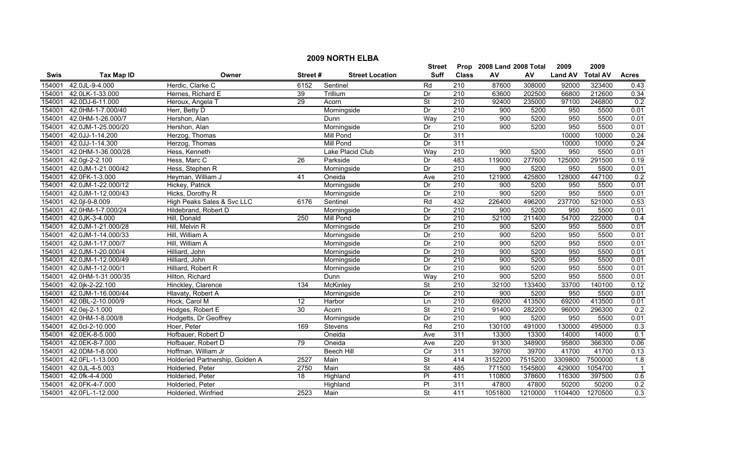|             | <b>2009 NORTH ELBA</b> |                                 |                   |                        |                          |                  |                           |         |                |                 |                         |  |
|-------------|------------------------|---------------------------------|-------------------|------------------------|--------------------------|------------------|---------------------------|---------|----------------|-----------------|-------------------------|--|
|             |                        |                                 |                   |                        | <b>Street</b>            |                  | Prop 2008 Land 2008 Total |         | 2009           | 2009            |                         |  |
| <b>Swis</b> | <b>Tax Map ID</b>      | Owner                           | Street#           | <b>Street Location</b> | <b>Suff</b>              | <b>Class</b>     | AV                        | AV      | <b>Land AV</b> | <b>Total AV</b> | <b>Acres</b>            |  |
| 154001      | 42.0JL-9-4.000         | Herdic, Clarke C                | $61\overline{52}$ | Sentinel               | Rd                       | 210              | 87600                     | 308000  | 92000          | 323400          | 0.43                    |  |
| 154001      | 42.0LK-1-33.000        | Hernes, Richard E               | 39                | Trillium               | Dr                       | $\overline{210}$ | 63600                     | 202500  | 66800          | 212600          | 0.34                    |  |
| 154001      | 42.0DJ-6-11.000        | Heroux, Angela T                | 29                | Acorn                  | $\overline{\mathsf{St}}$ | 210              | 92400                     | 235000  | 97100          | 246800          | 0.2                     |  |
| 154001      | 42.0HM-1-7.000/40      | Herr, Betty D                   |                   | Morningside            | Dr                       | 210              | 900                       | 5200    | 950            | 5500            | 0.01                    |  |
| 154001      | 42.0HM-1-26.000/7      | Hershon, Alan                   |                   | Dunn                   | Way                      | 210              | 900                       | 5200    | 950            | 5500            | 0.01                    |  |
| 154001      | 42.0JM-1-25.000/20     | Hershon, Alan                   |                   | Morningside            | Dr                       | 210              | 900                       | 5200    | 950            | 5500            | 0.01                    |  |
| 154001      | 42.0JJ-1-14.200        | Herzog, Thomas                  |                   | Mill Pond              | Dr                       | 311              |                           |         | 10000          | 10000           | 0.24                    |  |
| 154001      | 42.0JJ-1-14.300        | Herzog, Thomas                  |                   | <b>Mill Pond</b>       | Dr                       | 311              |                           |         | 10000          | 10000           | 0.24                    |  |
| 154001      | 42.0HM-1-36.000/28     | Hess, Kenneth                   |                   | Lake Placid Club       | Way                      | 210              | 900                       | 5200    | 950            | 5500            | 0.01                    |  |
| 154001      | 42.0gl-2-2.100         | Hess, Marc C                    | $\overline{26}$   | Parkside               | Dr                       | 483              | 119000                    | 277600  | 125000         | 291500          | 0.19                    |  |
| 154001      | 42.0JM-1-21.000/42     | Hess, Stephen R                 |                   | Morningside            | Dr                       | 210              | 900                       | 5200    | 950            | 5500            | 0.01                    |  |
| 154001      | 42.0FK-1-3.000         | Heyman, William J               | 41                | Oneida                 | Ave                      | 210              | 121900                    | 425800  | 128000         | 447100          | 0.2                     |  |
| 154001      | 42.0JM-1-22.000/12     | Hickey, Patrick                 |                   | Morningside            | Dr                       | 210              | 900                       | 5200    | 950            | 5500            | 0.01                    |  |
| 154001      | 42.0JM-1-12.000/43     | Hicks, Dorothy R                |                   | Morningside            | Dr                       | $\overline{210}$ | 900                       | 5200    | 950            | 5500            | 0.01                    |  |
| 154001      | 42.0 l-9-8.009         | High Peaks Sales & Svc LLC      | 6176              | Sentinel               | Rd                       | 432              | 226400                    | 496200  | 237700         | 521000          | 0.53                    |  |
| 154001      | 42.0HM-1-7.000/24      | Hildebrand, Robert D            |                   | Morningside            | Dr                       | 210              | 900                       | 5200    | 950            | 5500            | 0.01                    |  |
| 154001      | 42.0JK-3-4.000         | Hill, Donald                    | 250               | <b>Mill Pond</b>       | Dr                       | 210              | 52100                     | 211400  | 54700          | 222000          | 0.4                     |  |
| 154001      | 42.0JM-1-21.000/28     | Hill, Melvin R                  |                   | Morningside            | Dr                       | 210              | 900                       | 5200    | 950            | 5500            | 0.01                    |  |
| 154001      | 42.0JM-1-14.000/33     | Hill, William A                 |                   | Morningside            | Dr                       | 210              | 900                       | 5200    | 950            | 5500            | 0.01                    |  |
| 154001      | 42.0JM-1-17.000/7      | Hill, William A                 |                   | Morningside            | Dr                       | 210              | 900                       | 5200    | 950            | 5500            | 0.01                    |  |
| 154001      | 42.0JM-1-20.000/4      | Hilliard, John                  |                   | Morningside            | Dr                       | $\overline{210}$ | 900                       | 5200    | 950            | 5500            | 0.01                    |  |
| 154001      | 42.0JM-1-12.000/49     | Hilliard, John                  |                   | Morningside            | Dr                       | $\overline{210}$ | 900                       | 5200    | 950            | 5500            | 0.01                    |  |
| 154001      | 42.0JM-1-12.000/1      | Hilliard, Robert R              |                   | Morningside            | Dr                       | 210              | 900                       | 5200    | 950            | 5500            | 0.01                    |  |
| 154001      | 42.0HM-1-31.000/35     | Hilton, Richard                 |                   | Dunn                   | Way                      | $\overline{210}$ | 900                       | 5200    | 950            | 5500            | 0.01                    |  |
| 154001      | 42.0jk-2-22.100        | Hinckley, Clarence              | 134               | <b>McKinley</b>        | St                       | 210              | 32100                     | 133400  | 33700          | 140100          | 0.12                    |  |
| 154001      | 42.0JM-1-16.000/44     | Hlavaty, Robert A               |                   | Morningside            | Dr                       | 210              | 900                       | 5200    | 950            | 5500            | 0.01                    |  |
| 154001      | 42.0BL-2-10.000/9      | Hock, Carol M                   | $\overline{12}$   | Harbor                 | Ln                       | $\overline{210}$ | 69200                     | 413500  | 69200          | 413500          | 0.01                    |  |
| 154001      | 42.0ej-2-1.000         | Hodges, Robert E                | 30                | Acorn                  | <b>St</b>                | 210              | 91400                     | 282200  | 96000          | 296300          | 0.2                     |  |
| 154001      | 42.0HM-1-8.000/8       | Hodgetts, Dr Geoffrey           |                   | Morningside            | Dr                       | 210              | 900                       | 5200    | 950            | 5500            | 0.01                    |  |
| 154001      | 42.0cl-2-10.000        | Hoer, Peter                     | 169               | <b>Stevens</b>         | Rd                       | 210              | 130100                    | 491000  | 130000         | 495000          | 0.3                     |  |
| 154001      | 42.0EK-8-5.000         | Hofbauer, Robert D              |                   | Oneida                 | Ave                      | 311              | 13300                     | 13300   | 14000          | 14000           | 0.1                     |  |
| 154001      | 42.0EK-8-7.000         | Hofbauer, Robert D              | $\overline{79}$   | Oneida                 | Ave                      | 220              | 91300                     | 348900  | 95800          | 366300          | 0.06                    |  |
| 154001      | 42.0DM-1-8.000         | Hoffman, William Jr             |                   | <b>Beech Hill</b>      | Cir                      | 311              | 39700                     | 39700   | 41700          | 41700           | 0.13                    |  |
| 154001      | 42.0FL-1-13.000        | Holderied Partnership, Golden A | 2527              | Main                   | $\overline{\mathsf{St}}$ | 414              | 3152200                   | 7515200 | 3309800        | 7500000         | 1.8                     |  |
| 154001      | 42.0JL-4-5.003         | Holderied, Peter                | 2750              | Main                   | $\overline{\mathsf{St}}$ | 485              | 771500                    | 1545800 | 429000         | 1054700         | $\overline{\mathbf{1}}$ |  |
| 154001      | 42.0fk-4-4.000         | Holderied, Peter                | 18                | Highland               | P                        | 411              | 110800                    | 378600  | 116300         | 397500          | 0.6                     |  |
| 154001      | 42.0FK-4-7.000         | Holderied, Peter                |                   | Highland               | $\overline{P}$           | 311              | 47800                     | 47800   | 50200          | 50200           | 0.2                     |  |
| 154001      | 42.0FL-1-12.000        | Holderied, Winfried             | 2523              | Main                   | St                       | 411              | 1051800                   | 1210000 | 1104400        | 1270500         | 0.3                     |  |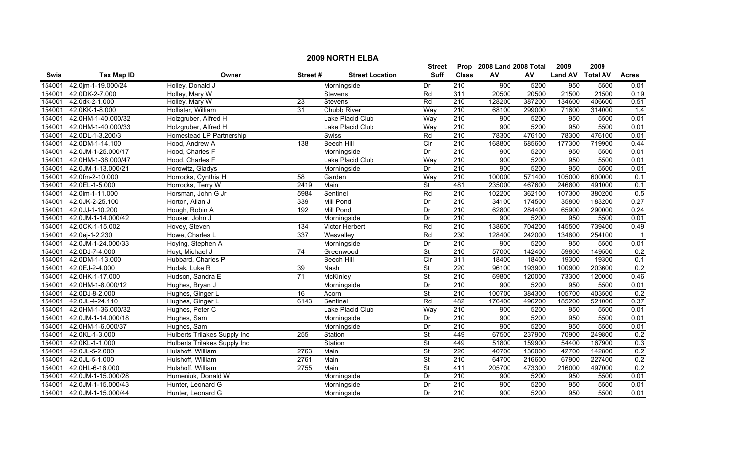|             | <b>2009 NORTH ELBA</b> |                              |                 |                        |                          |                           |                  |        |                |                 |              |  |
|-------------|------------------------|------------------------------|-----------------|------------------------|--------------------------|---------------------------|------------------|--------|----------------|-----------------|--------------|--|
|             |                        |                              |                 | <b>Street</b>          |                          | Prop 2008 Land 2008 Total |                  | 2009   | 2009           |                 |              |  |
| <b>Swis</b> | <b>Tax Map ID</b>      | Owner                        | Street#         | <b>Street Location</b> | <b>Suff</b>              | <b>Class</b>              | AV               | AV     | <b>Land AV</b> | <b>Total AV</b> | <b>Acres</b> |  |
| 154001      | 42.0jm-1-19.000/24     | Holley, Donald J             |                 | Morningside            | Dr                       | $\overline{210}$          | $\overline{900}$ | 5200   | 950            | 5500            | 0.01         |  |
| 154001      | 42.0DK-2-7.000         | Holley, Mary W               |                 | Stevens                | Rd                       | 311                       | 20500            | 20500  | 21500          | 21500           | 0.19         |  |
| 154001      | 42.0dk-2-1.000         | Holley, Mary W               | 23              | Stevens                | Rd                       | 210                       | 128200           | 387200 | 134600         | 406600          | 0.51         |  |
| 154001      | 42.0KK-1-8.000         | Hollister, William           | 31              | <b>Chubb River</b>     | Way                      | 210                       | 68100            | 299000 | 71600          | 314000          | 1.4          |  |
| 154001      | 42.0HM-1-40.000/32     | Holzgruber, Alfred H         |                 | Lake Placid Club       | Way                      | 210                       | 900              | 5200   | 950            | 5500            | 0.01         |  |
| 154001      | 42.0HM-1-40.000/33     | Holzgruber, Alfred H         |                 | Lake Placid Club       | Way                      | 210                       | 900              | 5200   | 950            | 5500            | 0.01         |  |
| 154001      | 42.0DL-1-3.200/3       | Homestead LP Partnership     |                 | Swiss                  | Rd                       | 210                       | 78300            | 476100 | 78300          | 476100          | 0.01         |  |
| 154001      | 42.0DM-1-14.100        | Hood, Andrew A               | 138             | <b>Beech Hill</b>      | Cir                      | 210                       | 168800           | 685600 | 177300         | 719900          | 0.44         |  |
| 154001      | 42.0JM-1-25.000/17     | Hood, Charles F              |                 | Morningside            | Dr                       | 210                       | 900              | 5200   | 950            | 5500            | 0.01         |  |
| 154001      | 42.0HM-1-38.000/47     | Hood, Charles F              |                 | Lake Placid Club       | Way                      | $\overline{210}$          | 900              | 5200   | 950            | 5500            | 0.01         |  |
| 154001      | 42.0JM-1-13.000/21     | Horowitz, Gladys             |                 | Morningside            | Dr                       | 210                       | 900              | 5200   | 950            | 5500            | 0.01         |  |
| 154001      | 42.0fm-2-10.000        | Horrocks, Cynthia H          | 58              | Garden                 | Way                      | 210                       | 100000           | 571400 | 105000         | 600000          | 0.1          |  |
| 154001      | 42.0EL-1-5.000         | Horrocks, Terry W            | 2419            | Main                   | $\overline{\mathsf{St}}$ | 481                       | 235000           | 467600 | 246800         | 491000          | 0.1          |  |
| 154001      | 42.0lm-1-11.000        | Horsman, John G Jr           | 5984            | Sentinel               | Rd                       | 210                       | 102200           | 362100 | 107300         | 380200          | 0.5          |  |
| 154001      | 42.0JK-2-25.100        | Horton, Allan J              | 339             | Mill Pond              | Dr                       | 210                       | 34100            | 174500 | 35800          | 183200          | 0.27         |  |
| 154001      | 42.0JJ-1-10.200        | Hough, Robin A               | 192             | <b>Mill Pond</b>       | Dr                       | $\overline{210}$          | 62800            | 284400 | 65900          | 290000          | 0.24         |  |
| 154001      | 42.0JM-1-14.000/42     | Houser, John J               |                 | Morningside            | Dr                       | 210                       | 900              | 5200   | 950            | 5500            | 0.01         |  |
| 154001      | 42.0CK-1-15.002        | Hovey, Steven                | 134             | <b>Victor Herbert</b>  | Rd                       | 210                       | 138600           | 704200 | 145500         | 739400          | 0.49         |  |
| 154001      | 42.0ej-1-2.230         | Howe, Charles L              | 337             | Wesvalley              | Rd                       | 230                       | 128400           | 242000 | 134800         | 254100          |              |  |
| 154001      | 42.0JM-1-24.000/33     | Hoying, Stephen A            |                 | Morningside            | Dr                       | 210                       | 900              | 5200   | 950            | 5500            | 0.01         |  |
| 154001      | 42.0DJ-7-4.000         | Hoyt, Michael J              | 74              | Greenwood              | $\overline{\mathsf{St}}$ | 210                       | 57000            | 142400 | 59800          | 149500          | 0.2          |  |
| 154001      | 42.0DM-1-13.000        | Hubbard, Charles P           |                 | <b>Beech Hill</b>      | Cir                      | 311                       | 18400            | 18400  | 19300          | 19300           | 0.1          |  |
| 154001      | 42.0EJ-2-4.000         | Hudak, Luke R                | 39              | Nash                   | $\overline{\mathsf{St}}$ | 220                       | 96100            | 193900 | 100900         | 203600          | 0.2          |  |
| 154001      | 42.0HK-1-17.000        | Hudson, Sandra E             | $\overline{71}$ | McKinley               | <b>St</b>                | $\overline{210}$          | 69800            | 120000 | 73300          | 120000          | 0.46         |  |
| 154001      | 42.0HM-1-8.000/12      | Hughes, Bryan J              |                 | Morningside            | Dr                       | 210                       | 900              | 5200   | 950            | 5500            | 0.01         |  |
| 154001      | 42.0DJ-8-2.000         | Hughes, Ginger L             | 16              | Acorn                  | $\overline{\mathsf{St}}$ | 210                       | 100700           | 384300 | 105700         | 403500          | 0.2          |  |
| 154001      | 42.0JL-4-24.110        | Hughes, Ginger L             | 6143            | Sentinel               | Rd                       | 482                       | 176400           | 496200 | 185200         | 521000          | 0.37         |  |
| 154001      | 42.0HM-1-36.000/32     | Hughes, Peter C              |                 | Lake Placid Club       | Way                      | $\overline{210}$          | 900              | 5200   | 950            | 5500            | 0.01         |  |
| 154001      | 42.0JM-1-14.000/18     | Hughes, Sam                  |                 | Morningside            | Dr                       | 210                       | 900              | 5200   | 950            | 5500            | 0.01         |  |
| 154001      | 42.0HM-1-6.000/37      | Hughes, Sam                  |                 | Morningside            | Dr                       | 210                       | 900              | 5200   | 950            | 5500            | 0.01         |  |
| 154001      | 42.0KL-1-3.000         | Hulberts Trilakes Supply Inc | 255             | Station                | $\overline{\mathsf{St}}$ | 449                       | 67500            | 237900 | 70900          | 249800          | 0.2          |  |
| 154001      | 42.0KL-1-1.000         | Hulberts Trilakes Supply Inc |                 | Station                | $\overline{\mathsf{St}}$ | 449                       | 51800            | 159900 | 54400          | 167900          | 0.3          |  |
| 154001      | 42.0JL-5-2.000         | Hulshoff, William            | 2763            | Main                   | $\overline{\mathsf{St}}$ | 220                       | 40700            | 136000 | 42700          | 142800          | 0.2          |  |
| 154001      | 42.0JL-5-1.000         | Hulshoff, William            | 2761            | Main                   | $\overline{\mathsf{St}}$ | 210                       | 64700            | 216600 | 67900          | 227400          | 0.2          |  |
| 154001      | 42.0HL-6-16.000        | Hulshoff, William            | 2755            | Main                   | $\overline{\mathsf{St}}$ | 411                       | 205700           | 473300 | 216000         | 497000          | 0.2          |  |
| 154001      | 42.0JM-1-15.000/28     | Humeniuk, Donald W           |                 | Morningside            | Dr                       | 210                       | 900              | 5200   | 950            | 5500            | 0.01         |  |
| 154001      | 42.0JM-1-15.000/43     | Hunter, Leonard G            |                 | Morningside            | Dr                       | $\overline{210}$          | 900              | 5200   | 950            | 5500            | 0.01         |  |
| 154001      | 42.0JM-1-15.000/44     | Hunter, Leonard G            |                 | Morningside            | Dr                       | 210                       | 900              | 5200   | 950            | 5500            | 0.01         |  |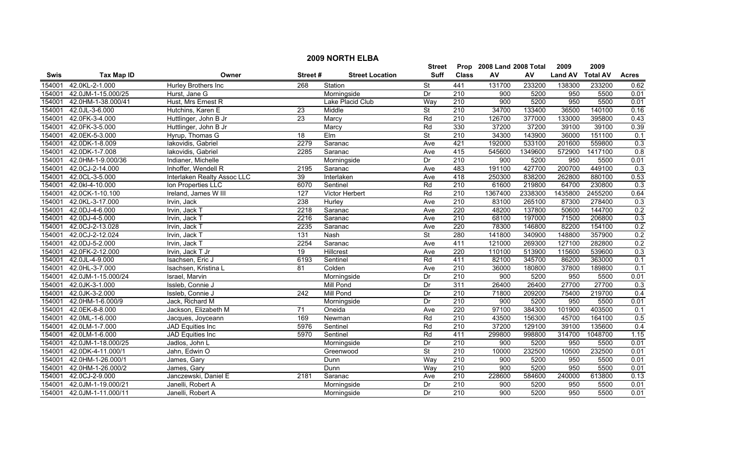|             | <b>2009 NORTH ELBA</b> |                             |                  |                        |                          |                  |                           |         |                |                 |                  |  |
|-------------|------------------------|-----------------------------|------------------|------------------------|--------------------------|------------------|---------------------------|---------|----------------|-----------------|------------------|--|
|             |                        |                             |                  |                        | Street                   |                  | Prop 2008 Land 2008 Total |         | 2009           | 2009            |                  |  |
| <b>Swis</b> | <b>Tax Map ID</b>      | Owner                       | Street#          | <b>Street Location</b> | <b>Suff</b>              | <b>Class</b>     | AV                        | AV      | <b>Land AV</b> | <b>Total AV</b> | <b>Acres</b>     |  |
| 154001      | 42.0KL-2-1.000         | Hurley Brothers Inc         | 268              | Station                | $\overline{\mathsf{St}}$ | 441              | 131700                    | 233200  | 138300         | 233200          | 0.62             |  |
| 154001      | 42.0JM-1-15.000/25     | Hurst, Jane G               |                  | Morningside            | Dr                       | $\overline{210}$ | 900                       | 5200    | 950            | 5500            | 0.01             |  |
| 154001      | 42.0HM-1-38.000/41     | Hust, Mrs Ernest R          |                  | Lake Placid Club       | Way                      | $\overline{210}$ | 900                       | 5200    | 950            | 5500            | 0.01             |  |
| 154001      | 42.0JL-3-6.000         | Hutchins, Karen E           | 23               | Middle                 | $\overline{\mathsf{St}}$ | 210              | 34700                     | 133400  | 36500          | 140100          | 0.16             |  |
| 154001      | 42.0FK-3-4.000         | Huttlinger, John B Jr       | 23               | Marcy                  | Rd                       | 210              | 126700                    | 377000  | 133000         | 395800          | 0.43             |  |
| 154001      | 42.0FK-3-5.000         | Huttlinger, John B Jr       |                  | Marcy                  | Rd                       | 330              | 37200                     | 37200   | 39100          | 39100           | 0.39             |  |
| 154001      | 42.0EK-5-3.000         | Hyrup, Thomas G             | 18               | <b>Elm</b>             | <b>St</b>                | 210              | 34300                     | 143900  | 36000          | 151100          | 0.1              |  |
| 154001      | 42.0DK-1-8.009         | lakovidis, Gabriel          | 2279             | Saranac                | Ave                      | 421              | 192000                    | 533100  | 201600         | 559800          | 0.3              |  |
| 154001      | 42.0DK-1-7.008         | lakovidis, Gabriel          | 2285             | Saranac                | Ave                      | 415              | 545600                    | 1349600 | 572900         | 1417100         | 0.8              |  |
| 154001      | 42.0HM-1-9.000/36      | Indianer, Michelle          |                  | Morningside            | Dr                       | 210              | 900                       | 5200    | 950            | 5500            | 0.01             |  |
| 154001      | 42.0CJ-2-14.000        | Inhoffer, Wendell R         | 2195             | Saranac                | Ave                      | 483              | 191100                    | 427700  | 200700         | 449100          | $\overline{0.3}$ |  |
| 154001      | 42.0CL-3-5.000         | Interlaken Realty Assoc LLC | 39               | Interlaken             | Ave                      | 418              | 250300                    | 838200  | 262800         | 880100          | 0.53             |  |
| 154001      | 42.0kl-4-10.000        | Ion Properties LLC          | 6070             | Sentinel               | Rd                       | $\overline{210}$ | 61600                     | 219800  | 64700          | 230800          | 0.3              |  |
| 154001      | 42.0CK-1-10.100        | Ireland, James W III        | 127              | Victor Herbert         | Rd                       | 210              | 1367400                   | 2338300 | 1435800        | 2455200         | 0.64             |  |
| 154001      | 42.0KL-3-17.000        | Irvin, Jack                 | 238              | Hurley                 | Ave                      | $\overline{210}$ | 83100                     | 265100  | 87300          | 278400          | 0.3              |  |
| 154001      | 42.0DJ-4-6.000         | Irvin, Jack T               | 2218             | Saranac                | Ave                      | 220              | 48200                     | 137800  | 50600          | 144700          | 0.2              |  |
| 154001      | 42.0DJ-4-5.000         | Irvin, Jack T               | 2216             | Saranac                | Ave                      | 210              | 68100                     | 197000  | 71500          | 206800          | 0.3              |  |
| 154001      | 42.0CJ-2-13.028        | Irvin, Jack T               | 2235             | Saranac                | Ave                      | 220              | 78300                     | 146800  | 82200          | 154100          | 0.2              |  |
| 154001      | 42.0CJ-2-12.024        | Irvin, Jack T               | 131              | Nash                   | $\overline{\mathsf{St}}$ | 280              | 141800                    | 340900  | 148800         | 357900          | 0.2              |  |
| 154001      | 42.0DJ-5-2.000         | Irvin, Jack T               | 2254             | Saranac                | Ave                      | 411              | 121000                    | 269300  | 127100         | 282800          | 0.2              |  |
| 154001      | 42.0FK-2-12.000        | Irvin, Jack T Jr            | $\overline{19}$  | Hillcrest              | Ave                      | 220              | 110100                    | 513900  | 115600         | 539600          | 0.3              |  |
| 154001      | 42.0JL-4-9.000         | Isachsen, Eric J            | 6193             | Sentinel               | Rd                       | 411              | 82100                     | 345700  | 86200          | 363000          | 0.1              |  |
| 154001      | 42.0HL-3-7.000         | Isachsen, Kristina L        | 81               | Colden                 | Ave                      | 210              | 36000                     | 180800  | 37800          | 189800          | 0.1              |  |
| 154001      | 42.0JM-1-15.000/24     | Israel, Marvin              |                  | Morningside            | Dr                       | 210              | 900                       | 5200    | 950            | 5500            | 0.01             |  |
| 154001      | 42.0JK-3-1.000         | Issleb, Connie J            |                  | <b>Mill Pond</b>       | Dr                       | 311              | 26400                     | 26400   | 27700          | 27700           | 0.3              |  |
| 154001      | 42.0JK-3-2.000         | Issleb, Connie J            | $\overline{242}$ | Mill Pond              | $\overline{Dr}$          | 210              | 71800                     | 209200  | 75400          | 219700          | 0.4              |  |
| 154001      | 42.0HM-1-6.000/9       | Jack, Richard M             |                  | Morningside            | Dr                       | 210              | 900                       | 5200    | 950            | 5500            | 0.01             |  |
| 154001      | 42.0EK-8-8.000         | Jackson, Elizabeth M        | $\overline{71}$  | Oneida                 | Ave                      | 220              | 97100                     | 384300  | 101900         | 403500          | 0.1              |  |
| 154001      | 42.0ML-1-6.000         | Jacques, Joyceann           | 169              | Newman                 | Rd                       | 210              | 43500                     | 156300  | 45700          | 164100          | 0.5              |  |
| 154001      | 42.0LM-1-7.000         | JAD Equities Inc            | 5976             | Sentinel               | Rd                       | 210              | 37200                     | 129100  | 39100          | 135600          | 0.4              |  |
| 154001      | 42.0LM-1-6.000         | JAD Equities Inc            | 5970             | Sentinel               | Rd                       | 411              | 299800                    | 998800  | 314700         | 1048700         | 1.15             |  |
| 154001      | 42.0JM-1-18.000/25     | Jadlos, John L              |                  | Morningside            | Dr                       | 210              | 900                       | 5200    | 950            | 5500            | 0.01             |  |
| 154001      | 42.0DK-4-11.000/1      | Jahn, Edwin O               |                  | Greenwood              | <b>St</b>                | 210              | 10000                     | 232500  | 10500          | 232500          | 0.01             |  |
| 154001      | 42.0HM-1-26.000/1      | James, Gary                 |                  | Dunn                   | Way                      | 210              | 900                       | 5200    | 950            | 5500            | 0.01             |  |
| 154001      | 42.0HM-1-26.000/2      | James, Gary                 |                  | Dunn                   | Way                      | $\overline{210}$ | 900                       | 5200    | 950            | 5500            | 0.01             |  |
| 154001      | 42.0CJ-2-9.000         | Janczewski, Daniel E        | 2181             | Saranac                | Ave                      | 210              | 228600                    | 584600  | 240000         | 613800          | 0.13             |  |
| 154001      | 42.0JM-1-19.000/21     | Janelli, Robert A           |                  | Morningside            | Dr                       | 210              | 900                       | 5200    | 950            | 5500            | 0.01             |  |
| 154001      | 42.0JM-1-11.000/11     | Janelli, Robert A           |                  | Morningside            | Dr                       | $\overline{210}$ | 900                       | 5200    | 950            | 5500            | 0.01             |  |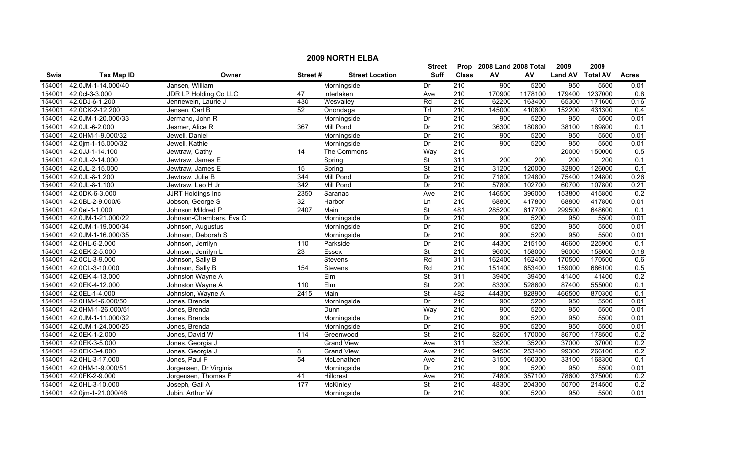|             | <b>2009 NORTH ELBA</b> |                         |                  |                        |                          |                  |                           |         |                  |         |                  |  |
|-------------|------------------------|-------------------------|------------------|------------------------|--------------------------|------------------|---------------------------|---------|------------------|---------|------------------|--|
|             |                        |                         |                  |                        | <b>Street</b>            |                  | Prop 2008 Land 2008 Total |         | 2009             | 2009    |                  |  |
| <b>Swis</b> | <b>Tax Map ID</b>      | Owner                   | Street#          | <b>Street Location</b> | <b>Suff</b>              | <b>Class</b>     | AV                        | AV      | Land AV Total AV |         | <b>Acres</b>     |  |
| 154001      | 42.0JM-1-14.000/40     | Jansen, William         |                  | Morningside            | Dr                       | 210              | 900                       | 5200    | 950              | 5500    | 0.01             |  |
| 154001      | 42.0cl-3-3.000         | JDR LP Holding Co LLC   | 47               | Interlaken             | Ave                      | $\overline{210}$ | 170900                    | 1178100 | 179400           | 1237000 | $\overline{0.8}$ |  |
| 154001      | 42.0DJ-6-1.200         | Jennewein, Laurie J     | 430              | Wesvalley              | Rd                       | 210              | 62200                     | 163400  | 65300            | 171600  | 0.16             |  |
| 154001      | 42.0CK-2-12.200        | Jensen, Carl B          | 52               | Onondaga               | Tr                       | 210              | 145000                    | 410800  | 152200           | 431300  | 0.4              |  |
| 154001      | 42.0JM-1-20.000/33     | Jermano, John R         |                  | Morningside            | Dr                       | 210              | 900                       | 5200    | 950              | 5500    | 0.01             |  |
| 154001      | 42.0JL-6-2.000         | Jesmer, Alice R         | 367              | <b>Mill Pond</b>       | Dr                       | 210              | 36300                     | 180800  | 38100            | 189800  | 0.1              |  |
| 154001      | 42.0HM-1-9.000/32      | Jewell, Daniel          |                  | Morningside            | Dr                       | 210              | 900                       | 5200    | 950              | 5500    | 0.01             |  |
| 154001      | 42.0jm-1-15.000/32     | Jewell, Kathie          |                  | Morningside            | Dr                       | 210              | 900                       | 5200    | 950              | 5500    | 0.01             |  |
| 154001      | 42.0JJ-1-14.100        | Jewtraw, Cathy          | 14               | The Commons            | Way                      | 210              |                           |         | 20000            | 150000  | 0.5              |  |
| 154001      | 42.0JL-2-14.000        | Jewtraw, James E        |                  | Spring                 | <b>St</b>                | 311              | 200                       | 200     | 200              | 200     | 0.1              |  |
| 154001      | 42.0JL-2-15.000        | Jewtraw, James E        | 15               | Spring                 | $\overline{\mathsf{St}}$ | 210              | 31200                     | 120000  | 32800            | 126000  | 0.1              |  |
| 154001      | 42.0JL-8-1.200         | Jewtraw, Julie B        | 344              | <b>Mill Pond</b>       | Dr                       | 210              | 71800                     | 124800  | 75400            | 124800  | 0.26             |  |
| 154001      | 42.0JL-8-1.100         | Jewtraw, Leo H Jr       | $\overline{342}$ | <b>Mill Pond</b>       | Dr                       | 210              | 57800                     | 102700  | 60700            | 107800  | 0.21             |  |
| 154001      | 42.0DK-6-3.000         | JJRT Holdings Inc       | 2350             | Saranac                | Ave                      | 210              | 146500                    | 396000  | 153800           | 415800  | 0.2              |  |
| 154001      | 42.0BL-2-9.000/6       | Jobson, George S        | 32               | Harbor                 | Ln                       | $\overline{210}$ | 68800                     | 417800  | 68800            | 417800  | 0.01             |  |
| 154001      | 42.0el-1-1.000         | Johnson Mildred P       | 2407             | Main                   | <b>St</b>                | 481              | 285200                    | 617700  | 299500           | 648600  | 0.1              |  |
| 154001      | 42.0JM-1-21.000/22     | Johnson-Chambers, Eva C |                  | Morningside            | Dr                       | 210              | 900                       | 5200    | 950              | 5500    | 0.01             |  |
| 154001      | 42.0JM-1-19.000/34     | Johnson, Augustus       |                  | Morningside            | Dr                       | 210              | 900                       | 5200    | 950              | 5500    | 0.01             |  |
| 154001      | 42.0JM-1-16.000/35     | Johnson, Deborah S      |                  | Morningside            | Dr                       | 210              | 900                       | 5200    | 950              | 5500    | 0.01             |  |
| 154001      | 42.0HL-6-2.000         | Johnson, Jerrilyn       | 110              | Parkside               | Dr                       | 210              | 44300                     | 215100  | 46600            | 225900  | 0.1              |  |
| 154001      | 42.0EK-2-5.000         | Johnson, Jerrilyn L     | $\overline{23}$  | Essex                  | $\overline{\mathsf{St}}$ | 210              | 96000                     | 158000  | 96000            | 158000  | 0.18             |  |
| 154001      | 42.0CL-3-9.000         | Johnson, Sally B        |                  | Stevens                | Rd                       | 311              | 162400                    | 162400  | 170500           | 170500  | 0.6              |  |
| 154001      | 42.0CL-3-10.000        | Johnson, Sally B        | 154              | Stevens                | Rd                       | $\overline{210}$ | 151400                    | 653400  | 159000           | 686100  | 0.5              |  |
| 154001      | 42.0EK-4-13.000        | Johnston Wayne A        |                  | Elm                    | St                       | 311              | 39400                     | 39400   | 41400            | 41400   | 0.2              |  |
| 154001      | 42.0EK-4-12.000        | Johnston Wayne A        | 110              | Elm                    | St                       | 220              | 83300                     | 528600  | 87400            | 555000  | 0.1              |  |
| 154001      | 42.0EL-1-4.000         | Johnston, Wayne A       | 2415             | Main                   | $\overline{\mathsf{St}}$ | 482              | 444300                    | 828900  | 466500           | 870300  | 0.1              |  |
| 154001      | 42.0HM-1-6.000/50      | Jones, Brenda           |                  | Morningside            | Dr                       | 210              | 900                       | 5200    | 950              | 5500    | 0.01             |  |
| 154001      | 42.0HM-1-26.000/51     | Jones, Brenda           |                  | Dunn                   | Way                      | $\overline{210}$ | 900                       | 5200    | 950              | 5500    | 0.01             |  |
| 154001      | 42.0JM-1-11.000/32     | Jones, Brenda           |                  | Morningside            | Dr                       | 210              | 900                       | 5200    | 950              | 5500    | 0.01             |  |
| 154001      | 42.0JM-1-24.000/25     | Jones, Brenda           |                  | Morningside            | Dr                       | 210              | 900                       | 5200    | 950              | 5500    | 0.01             |  |
| 154001      | 42.0EK-1-2.000         | Jones, David W          | 114              | Greenwood              | <b>St</b>                | 210              | 82600                     | 170000  | 86700            | 178500  | 0.2              |  |
| 154001      | 42.0EK-3-5.000         | Jones, Georgia J        |                  | <b>Grand View</b>      | Ave                      | 311              | 35200                     | 35200   | 37000            | 37000   | 0.2              |  |
| 154001      | 42.0EK-3-4.000         | Jones, Georgia J        | 8                | <b>Grand View</b>      | Ave                      | 210              | 94500                     | 253400  | 99300            | 266100  | 0.2              |  |
| 154001      | 42.0HL-3-17.000        | Jones, Paul F           | 54               | McLenathen             | Ave                      | 210              | 31500                     | 160300  | 33100            | 168300  | 0.1              |  |
| 154001      | 42.0HM-1-9.000/51      | Jorgensen, Dr Virginia  |                  | Morningside            | Dr                       | $\overline{210}$ | 900                       | 5200    | 950              | 5500    | 0.01             |  |
| 154001      | 42.0FK-2-9.000         | Jorgensen, Thomas F     | 41               | Hillcrest              | Ave                      | 210              | 74800                     | 357100  | 78600            | 375000  | 0.2              |  |
| 154001      | 42.0HL-3-10.000        | Joseph, Gail A          | 177              | McKinley               | $\overline{\mathsf{St}}$ | 210              | 48300                     | 204300  | 50700            | 214500  | 0.2              |  |
| 154001      | 42.0jm-1-21.000/46     | Jubin, Arthur W         |                  | Morningside            | Dr                       | $\overline{210}$ | 900                       | 5200    | 950              | 5500    | 0.01             |  |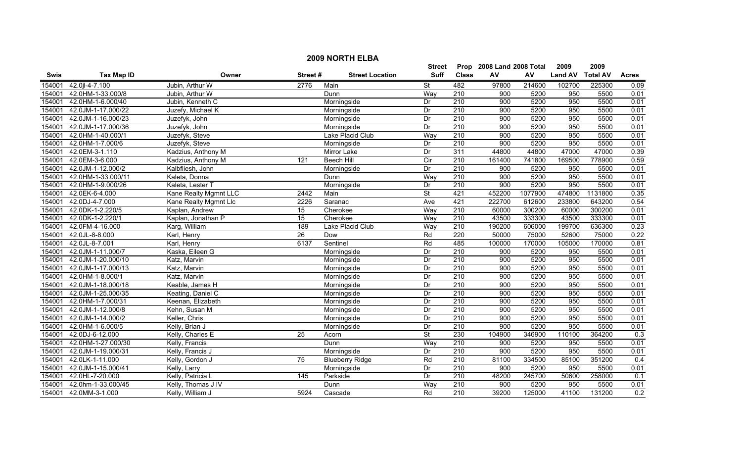|             | <b>2009 NORTH ELBA</b> |                       |                 |                        |                          |                  |                           |         |                |                 |              |  |
|-------------|------------------------|-----------------------|-----------------|------------------------|--------------------------|------------------|---------------------------|---------|----------------|-----------------|--------------|--|
|             |                        |                       |                 |                        | Street                   |                  | Prop 2008 Land 2008 Total |         | 2009           | 2009            |              |  |
| <b>Swis</b> | <b>Tax Map ID</b>      | Owner                 | Street#         | <b>Street Location</b> | <b>Suff</b>              | <b>Class</b>     | ${\sf AV}$                | AV      | <b>Land AV</b> | <b>Total AV</b> | <b>Acres</b> |  |
| 154001      | 42.0jl-4-7.100         | Jubin, Arthur W       | 2776            | Main                   | St                       | 482              | 97800                     | 214600  | 102700         | 225300          | 0.09         |  |
| 154001      | 42.0HM-1-33.000/8      | Jubin, Arthur W       |                 | Dunn                   | Way                      | $\overline{210}$ | 900                       | 5200    | 950            | 5500            | 0.01         |  |
| 154001      | 42.0HM-1-6.000/40      | Jubin, Kenneth C      |                 | Morningside            | Dr                       | 210              | 900                       | 5200    | 950            | 5500            | 0.01         |  |
| 154001      | 42.0JM-1-17.000/22     | Juzefy, Michael K     |                 | Morningside            | Dr                       | 210              | 900                       | 5200    | 950            | 5500            | 0.01         |  |
| 154001      | 42.0JM-1-16.000/23     | Juzefyk, John         |                 | Morningside            | Dr                       | 210              | 900                       | 5200    | 950            | 5500            | 0.01         |  |
| 154001      | 42.0JM-1-17.000/36     | Juzefyk, John         |                 | Morningside            | Dr                       | 210              | 900                       | 5200    | 950            | 5500            | 0.01         |  |
| 154001      | 42.0HM-1-40.000/1      | Juzefyk, Steve        |                 | Lake Placid Club       | Way                      | 210              | 900                       | 5200    | 950            | 5500            | 0.01         |  |
| 154001      | 42.0HM-1-7.000/6       | Juzefyk, Steve        |                 | Morningside            | Dr                       | 210              | 900                       | 5200    | 950            | 5500            | 0.01         |  |
| 154001      | 42.0EM-3-1.110         | Kadzius, Anthony M    |                 | Mirror Lake            | Dr                       | 311              | 44800                     | 44800   | 47000          | 47000           | 0.39         |  |
| 154001      | 42.0EM-3-6.000         | Kadzius, Anthony M    | 121             | <b>Beech Hill</b>      | Cir                      | 210              | 161400                    | 741800  | 169500         | 778900          | 0.59         |  |
| 154001      | 42.0JM-1-12.000/2      | Kalbfliesh, John      |                 | Morningside            | Dr                       | 210              | 900                       | 5200    | 950            | 5500            | 0.01         |  |
| 154001      | 42.0HM-1-33.000/11     | Kaleta, Donna         |                 | Dunn                   | Way                      | $\overline{210}$ | 900                       | 5200    | 950            | 5500            | 0.01         |  |
| 154001      | 42.0HM-1-9.000/26      | Kaleta, Lester T      |                 | Morningside            | Dr                       | 210              | 900                       | 5200    | 950            | 5500            | 0.01         |  |
| 154001      | 42.0EK-6-4.000         | Kane Realty Mgmnt LLC | 2442            | Main                   | $\overline{\mathsf{St}}$ | 421              | 452200                    | 1077900 | 474800         | 1131800         | 0.35         |  |
| 154001      | 42.0DJ-4-7.000         | Kane Realty Mgmnt Llc | 2226            | Saranac                | Ave                      | 421              | 222700                    | 612600  | 233800         | 643200          | 0.54         |  |
| 154001      | 42.0DK-1-2.220/5       | Kaplan, Andrew        | $\overline{15}$ | Cherokee               | Way                      | $\overline{210}$ | 60000                     | 300200  | 60000          | 300200          | 0.01         |  |
| 154001      | 42.0DK-1-2.220/1       | Kaplan, Jonathan P    | 15              | Cherokee               | Way                      | 210              | 43500                     | 333300  | 43500          | 333300          | 0.01         |  |
| 154001      | 42.0FM-4-16.000        | Karg, William         | 189             | Lake Placid Club       | Way                      | 210              | 190200                    | 606000  | 199700         | 636300          | 0.23         |  |
| 154001      | 42.0JL-8-8.000         | Karl, Henry           | 26              | Dow                    | Rd                       | $\overline{220}$ | 50000                     | 75000   | 52600          | 75000           | 0.22         |  |
| 154001      | 42.0JL-8-7.001         | Karl, Henry           | 6137            | Sentinel               | Rd                       | 485              | 100000                    | 170000  | 105000         | 170000          | 0.81         |  |
| 154001      | 42.0JM-1-11.000/7      | Kaska, Eileen G       |                 | Morningside            | Dr                       | 210              | 900                       | 5200    | 950            | 5500            | 0.01         |  |
| 154001      | 42.0JM-1-20.000/10     | Katz, Marvin          |                 | Morningside            | Dr                       | 210              | 900                       | 5200    | 950            | 5500            | 0.01         |  |
| 154001      | 42.0JM-1-17.000/13     | Katz, Marvin          |                 | Morningside            | Dr                       | 210              | 900                       | 5200    | 950            | 5500            | 0.01         |  |
| 154001      | 42.0HM-1-8.000/1       | Katz, Marvin          |                 | Morningside            | Dr                       | 210              | 900                       | 5200    | 950            | 5500            | 0.01         |  |
| 154001      | 42.0JM-1-18.000/18     | Keable, James H       |                 | Morningside            | Dr                       | $\overline{210}$ | 900                       | 5200    | 950            | 5500            | 0.01         |  |
| 154001      | 42.0JM-1-25.000/35     | Keating, Daniel C     |                 | Morningside            | Dr                       | 210              | 900                       | 5200    | 950            | 5500            | 0.01         |  |
| 154001      | 42.0HM-1-7.000/31      | Keenan, Elizabeth     |                 | Morningside            | Dr                       | 210              | 900                       | 5200    | 950            | 5500            | 0.01         |  |
| 154001      | 42.0JM-1-12.000/8      | Kehn, Susan M         |                 | Morningside            | Dr                       | $\overline{210}$ | 900                       | 5200    | 950            | 5500            | 0.01         |  |
| 154001      | 42.0JM-1-14.000/2      | Keller, Chris         |                 | Morningside            | Dr                       | 210              | 900                       | 5200    | 950            | 5500            | 0.01         |  |
| 154001      | 42.0HM-1-6.000/5       | Kelly, Brian J        |                 | Morningside            | Dr                       | 210              | 900                       | 5200    | 950            | 5500            | 0.01         |  |
| 154001      | 42.0DJ-6-12.000        | Kelly, Charles E      | 25              | Acorn                  | <b>St</b>                | 230              | 104900                    | 346900  | 110100         | 364200          | 0.3          |  |
| 154001      | 42.0HM-1-27.000/30     | Kelly, Francis        |                 | Dunn                   | Way                      | 210              | 900                       | 5200    | 950            | 5500            | 0.01         |  |
| 154001      | 42.0JM-1-19.000/31     | Kelly, Francis J      |                 | Morningside            | Dr                       | 210              | 900                       | 5200    | 950            | 5500            | 0.01         |  |
| 154001      | 42.0LK-1-11.000        | Kelly, Gordon J       | 75              | <b>Blueberry Ridge</b> | Rd                       | 210              | 81100                     | 334500  | 85100          | 351200          | 0.4          |  |
| 154001      | 42.0JM-1-15.000/41     | Kelly, Larry          |                 | Morningside            | Dr                       | 210              | 900                       | 5200    | 950            | 5500            | 0.01         |  |
| 154001      | 42.0HL-7-20.000        | Kelly, Patricia L     | 145             | Parkside               | Dr                       | 210              | 48200                     | 245700  | 50600          | 258000          | 0.1          |  |
| 154001      | 42.0hm-1-33.000/45     | Kelly, Thomas J IV    |                 | Dunn                   | Way                      | 210              | 900                       | 5200    | 950            | 5500            | 0.01         |  |
| 154001      | 42.0MM-3-1.000         | Kelly, William J      | 5924            | Cascade                | Rd                       | $\overline{210}$ | 39200                     | 125000  | 41100          | 131200          | 0.2          |  |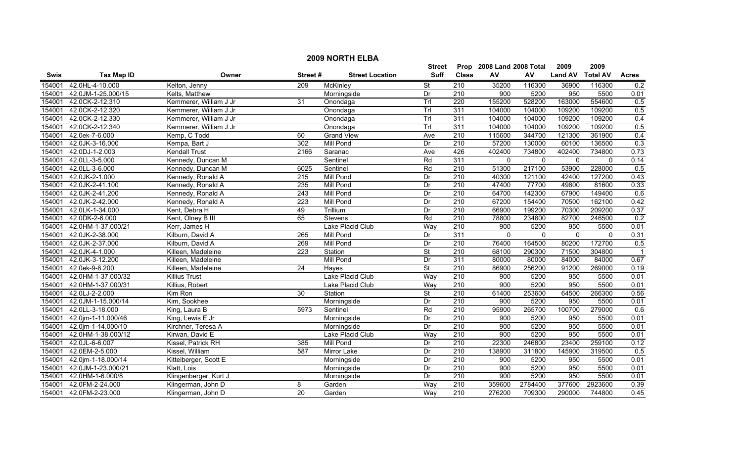|             | <b>2009 NORTH ELBA</b> |                        |                  |                        |                          |                  |                           |              |                |                 |              |  |
|-------------|------------------------|------------------------|------------------|------------------------|--------------------------|------------------|---------------------------|--------------|----------------|-----------------|--------------|--|
|             |                        |                        |                  |                        | <b>Street</b>            |                  | Prop 2008 Land 2008 Total |              | 2009           | 2009            |              |  |
| <b>Swis</b> | <b>Tax Map ID</b>      | Owner                  | Street#          | <b>Street Location</b> | Suff                     | <b>Class</b>     | ${\sf AV}$                | AV           | <b>Land AV</b> | <b>Total AV</b> | <b>Acres</b> |  |
| 154001      | 42.0HL-4-10.000        | Kelton, Jenny          | 209              | McKinley               | $\overline{\mathsf{St}}$ | $\overline{210}$ | 35200                     | 116300       | 36900          | 116300          | 0.2          |  |
| 154001      | 42.0JM-1-25.000/15     | Kelts, Matthew         |                  | Morningside            | Dr                       | 210              | 900                       | 5200         | 950            | 5500            | 0.01         |  |
| 154001      | 42.0CK-2-12.310        | Kemmerer, William J Jr | 31               | Onondaga               | Trl                      | 220              | 155200                    | 528200       | 163000         | 554600          | 0.5          |  |
| 154001      | 42.0CK-2-12.320        | Kemmerer, William J Jr |                  | Onondaga               | Trl                      | 311              | 104000                    | 104000       | 109200         | 109200          | 0.5          |  |
| 154001      | 42.0CK-2-12.330        | Kemmerer, William J Jr |                  | Onondaga               | Trl                      | 311              | 104000                    | 104000       | 109200         | 109200          | 0.4          |  |
| 154001      | 42.0CK-2-12.340        | Kemmerer, William J Jr |                  | Onondaga               | Trl                      | 311              | 104000                    | 104000       | 109200         | 109200          | 0.5          |  |
| 154001      | 42.0ek-7-6.000         | Kemp, C Todd           | 60               | <b>Grand View</b>      | Ave                      | 210              | 115600                    | 344700       | 121300         | 361900          | 0.4          |  |
| 154001      | 42.0JK-3-16.000        | Kempa, Bart J          | 302              | Mill Pond              | Dr                       | 210              | 57200                     | 130000       | 60100          | 136500          | 0.3          |  |
| 154001      | 42.0DJ-1-2.003         | Kendall Trust          | 2166             | Saranac                | Ave                      | 426              | 402400                    | 734800       | 402400         | 734800          | 0.73         |  |
| 154001      | 42.0LL-3-5.000         | Kennedy, Duncan M      |                  | Sentinel               | Rd                       | 311              | $\mathbf{0}$              | $\mathbf{0}$ | $\mathbf{0}$   | $\mathbf{0}$    | 0.14         |  |
| 154001      | 42.0LL-3-6.000         | Kennedy, Duncan M      | 6025             | Sentinel               | Rd                       | $\overline{210}$ | 51300                     | 217100       | 53900          | 228000          | 0.5          |  |
| 154001      | 42.0JK-2-1.000         | Kennedy, Ronald A      | 215              | Mill Pond              | Dr                       | 210              | 40300                     | 121100       | 42400          | 127200          | 0.43         |  |
| 154001      | 42.0JK-2-41.100        | Kennedy, Ronald A      | 235              | Mill Pond              | Dr                       | $\overline{210}$ | 47400                     | 77700        | 49800          | 81600           | 0.33         |  |
| 154001      | 42.0JK-2-41.200        | Kennedy, Ronald A      | $\overline{243}$ | Mill Pond              | Dr                       | $\overline{210}$ | 64700                     | 142300       | 67900          | 149400          | 0.6          |  |
| 154001      | 42.0JK-2-42.000        | Kennedy, Ronald A      | 223              | Mill Pond              | Dr                       | $\overline{210}$ | 67200                     | 154400       | 70500          | 162100          | 0.42         |  |
| 154001      | 42.0LK-1-34.000        | Kent, Debra H          | 49               | Trillium               | Dr                       | $\overline{210}$ | 66900                     | 199200       | 70300          | 209200          | 0.37         |  |
| 154001      | 42.0DK-2-6.000         | Kent, Olney B III      | 65               | Stevens                | Rd                       | 210              | 78800                     | 234800       | 82700          | 246500          | 0.2          |  |
| 154001      | 42.0HM-1-37.000/21     | Kerr, James H          |                  | Lake Placid Club       | Way                      | 210              | 900                       | 5200         | 950            | 5500            | 0.01         |  |
| 154001      | 42.0JK-2-38.000        | Kilburn, David A       | 265              | Mill Pond              | Dr                       | 311              | $\mathbf 0$               | $\mathbf{0}$ | $\mathbf{0}$   | $\mathbf{0}$    | 0.31         |  |
| 154001      | 42.0JK-2-37.000        | Kilburn, David A       | 269              | <b>Mill Pond</b>       | Dr                       | 210              | 76400                     | 164500       | 80200          | 172700          | 0.5          |  |
| 154001      | 42.0JK-4-1.000         | Killeen, Madeleine     | $\overline{223}$ | Station                | $\overline{\mathsf{St}}$ | 210              | 68100                     | 290300       | 71500          | 304800          |              |  |
| 154001      | 42.0JK-3-12.200        | Killeen, Madeleine     |                  | Mill Pond              | Dr                       | 311              | 80000                     | 80000        | 84000          | 84000           | 0.67         |  |
| 154001      | 42.0ek-9-8.200         | Killeen, Madeleine     | 24               | Hayes                  | $\overline{\mathsf{St}}$ | 210              | 86900                     | 256200       | 91200          | 269000          | 0.19         |  |
| 154001      | 42.0HM-1-37.000/32     | <b>Killius Trust</b>   |                  | Lake Placid Club       | Way                      | $\overline{210}$ | 900                       | 5200         | 950            | 5500            | 0.01         |  |
| 154001      | 42.0HM-1-37.000/31     | Killius, Robert        |                  | Lake Placid Club       | Way                      | 210              | 900                       | 5200         | 950            | 5500            | 0.01         |  |
| 154001      | 42.0LJ-2-2.000         | Kim Ron                | 30               | Station                | <b>St</b>                | 210              | 61400                     | 253600       | 64500          | 266300          | 0.56         |  |
| 154001      | 42.0JM-1-15.000/14     | Kim, Sookhee           |                  | Morningside            | Dr                       | $\overline{210}$ | 900                       | 5200         | 950            | 5500            | 0.01         |  |
| 154001      | 42.0LL-3-18.000        | King, Laura B          | 5973             | Sentinel               | Rd                       | 210              | 95900                     | 265700       | 100700         | 279000          | 0.6          |  |
| 154001      | 42.0jm-1-11.000/46     | King, Lewis E Jr       |                  | Morningside            | Dr                       | 210              | 900                       | 5200         | 950            | 5500            | 0.01         |  |
| 154001      | 42.0jm-1-14.000/10     | Kirchner, Teresa A     |                  | Morningside            | Dr                       | 210              | 900                       | 5200         | 950            | 5500            | 0.01         |  |
| 154001      | 42.0HM-1-38.000/12     | Kirwan, David E        |                  | Lake Placid Club       | Way                      | 210              | 900                       | 5200         | 950            | 5500            | 0.01         |  |
| 154001      | 42.0JL-6-6.007         | Kissel, Patrick RH     | 385              | <b>Mill Pond</b>       | Dr                       | 210              | 22300                     | 246800       | 23400          | 259100          | 0.12         |  |
| 154001      | 42.0EM-2-5.000         | Kissel, William        | 587              | Mirror Lake            | Dr                       | 210              | 138900                    | 311800       | 145900         | 319500          | 0.5          |  |
| 154001      | 42.0jm-1-18.000/14     | Kittelberger, Scott E  |                  | Morningside            | Dr                       | 210              | 900                       | 5200         | 950            | 5500            | 0.01         |  |
| 154001      | 42.0JM-1-23.000/21     | Klatt, Lois            |                  | Morningside            | Dr                       | $\overline{210}$ | 900                       | 5200         | 950            | 5500            | 0.01         |  |
| 154001      | 42.0HM-1-6.000/8       | Klingenberger, Kurt J  |                  | Morningside            | Dr                       | $\overline{210}$ | 900                       | 5200         | 950            | 5500            | 0.01         |  |
| 154001      | 42.0FM-2-24.000        | Klingerman, John D     | 8                | Garden                 | Way                      | 210              | 359600                    | 2784400      | 377600         | 2923600         | 0.39         |  |
|             | 154001 42.0FM-2-23.000 | Klingerman, John D     | 20               | Garden                 | Way                      | $\overline{210}$ | 276200                    | 709300       | 290000         | 744800          | 0.45         |  |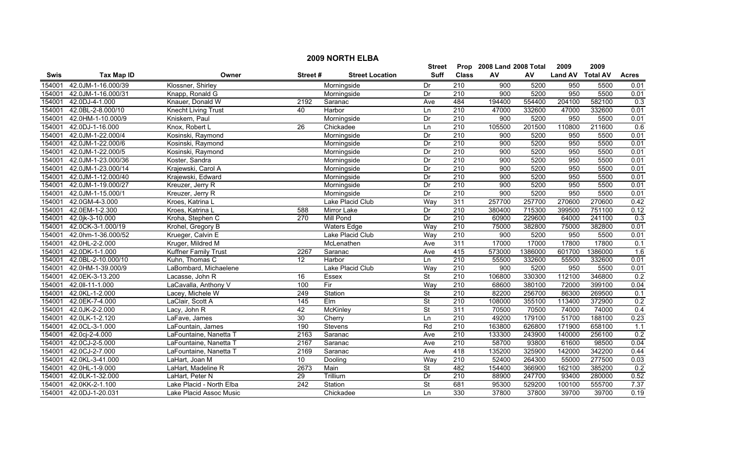|             | <b>2009 NORTH ELBA</b> |                          |                 |                        |                          |                  |                           |         |                  |         |                  |  |  |
|-------------|------------------------|--------------------------|-----------------|------------------------|--------------------------|------------------|---------------------------|---------|------------------|---------|------------------|--|--|
|             |                        |                          |                 |                        | Street                   |                  | Prop 2008 Land 2008 Total |         | 2009             | 2009    |                  |  |  |
| <b>Swis</b> | <b>Tax Map ID</b>      | Owner                    | Street#         | <b>Street Location</b> | <b>Suff</b>              | <b>Class</b>     | AV                        | AV      | Land AV Total AV |         | <b>Acres</b>     |  |  |
| 154001      | 42.0JM-1-16.000/39     | Klossner, Shirley        |                 | Morningside            | Dr                       | 210              | 900                       | 5200    | 950              | 5500    | 0.01             |  |  |
| 154001      | 42.0JM-1-16.000/31     | Knapp, Ronald G          |                 | Morningside            | Dr                       | 210              | 900                       | 5200    | 950              | 5500    | 0.01             |  |  |
| 154001      | 42.0DJ-4-1.000         | Knauer, Donald W         | 2192            | Saranac                | Ave                      | 484              | 194400                    | 554400  | 204100           | 582100  | 0.3              |  |  |
| 154001      | 42.0BL-2-8.000/10      | Knecht Living Trust      | 40              | Harbor                 | Ln                       | 210              | 47000                     | 332600  | 47000            | 332600  | 0.01             |  |  |
| 154001      | 42.0HM-1-10.000/9      | Kniskern, Paul           |                 | Morningside            | Dr                       | 210              | 900                       | 5200    | 950              | 5500    | 0.01             |  |  |
| 154001      | 42.0DJ-1-16.000        | Knox, Robert L           | 26              | Chickadee              | Ln                       | 210              | 105500                    | 201500  | 110800           | 211600  | 0.6              |  |  |
| 154001      | 42.0JM-1-22.000/4      | Kosinski, Raymond        |                 | Morningside            | Dr                       | 210              | 900                       | 5200    | 950              | 5500    | 0.01             |  |  |
| 154001      | 42.0JM-1-22.000/6      | Kosinski, Raymond        |                 | Morningside            | Dr                       | 210              | 900                       | 5200    | 950              | 5500    | 0.01             |  |  |
| 154001      | 42.0JM-1-22.000/5      | Kosinski, Raymond        |                 | Morningside            | Dr                       | 210              | 900                       | 5200    | 950              | 5500    | 0.01             |  |  |
| 154001      | 42.0JM-1-23.000/36     | Koster, Sandra           |                 | Morningside            | Dr                       | 210              | 900                       | 5200    | 950              | 5500    | 0.01             |  |  |
| 154001      | 42.0JM-1-23.000/14     | Krajewski, Carol A       |                 | Morningside            | Dr                       | 210              | 900                       | 5200    | 950              | 5500    | 0.01             |  |  |
| 154001      | 42.0JM-1-12.000/40     | Krajewski, Edward        |                 | Morningside            | Dr                       | 210              | 900                       | 5200    | 950              | 5500    | 0.01             |  |  |
| 154001      | 42.0JM-1-19.000/27     | Kreuzer, Jerry R         |                 | Morningside            | Dr                       | $\overline{210}$ | 900                       | 5200    | 950              | 5500    | 0.01             |  |  |
| 154001      | 42.0JM-1-15.000/1      | Kreuzer, Jerry R         |                 | Morningside            | Dr                       | 210              | 900                       | 5200    | 950              | 5500    | 0.01             |  |  |
| 154001      | 42.0GM-4-3.000         | Kroes, Katrina L         |                 | Lake Placid Club       | Way                      | 311              | 257700                    | 257700  | 270600           | 270600  | 0.42             |  |  |
| 154001      | 42.0EM-1-2.300         | Kroes, Katrina L         | 588             | <b>Mirror Lake</b>     | Dr                       | 210              | 380400                    | 715300  | 399500           | 751100  | 0.12             |  |  |
| 154001      | 42.0jk-3-10.000        | Kroha, Stephen C         | 270             | <b>Mill Pond</b>       | Dr                       | 210              | 60900                     | 229600  | 64000            | 241100  | 0.3              |  |  |
| 154001      | 42.0CK-3-1.000/19      | Krohel, Gregory B        |                 | <b>Waters Edge</b>     | Way                      | 210              | 75000                     | 382800  | 75000            | 382800  | 0.01             |  |  |
| 154001      | 42.0hm-1-36.000/52     | Krueger, Calvin E        |                 | Lake Placid Club       | Way                      | 210              | 900                       | 5200    | 950              | 5500    | 0.01             |  |  |
| 154001      | 42.0HL-2-2.000         | Kruger, Mildred M        |                 | McLenathen             | Ave                      | 311              | 17000                     | 17000   | 17800            | 17800   | 0.1              |  |  |
| 154001      | 42.0DK-1-1.000         | Kuffner Family Trust     | 2267            | Saranac                | Ave                      | 415              | 573000                    | 1386000 | 601700           | 1386000 | 1.6              |  |  |
| 154001      | 42.0BL-2-10.000/10     | Kuhn, Thomas C           | 12              | Harbor                 | Ln                       | 210              | 55500                     | 332600  | 55500            | 332600  | 0.01             |  |  |
| 154001      | 42.0HM-1-39.000/9      | LaBombard, Michaelene    |                 | Lake Placid Club       | Way                      | 210              | 900                       | 5200    | 950              | 5500    | 0.01             |  |  |
| 154001      | 42.0EK-3-13.200        | Lacasse, John R          | 16              | <b>Essex</b>           | <b>St</b>                | $\overline{210}$ | 106800                    | 330300  | 112100           | 346800  | $\overline{0.2}$ |  |  |
| 154001      | 42.0II-11-1.000        | LaCavalla, Anthony V     | 100             | Fir                    | Way                      | 210              | 68600                     | 380100  | 72000            | 399100  | 0.04             |  |  |
| 154001      | 42.0KL-1-2.000         | Lacey, Michele W         | 249             | Station                | $\overline{\mathsf{St}}$ | 210              | 82200                     | 256700  | 86300            | 269500  | 0.1              |  |  |
| 154001      | 42.0EK-7-4.000         | LaClair, Scott A         | $\frac{145}{ }$ | $E$ Im                 | $\overline{\mathsf{St}}$ | 210              | 108000                    | 355100  | 113400           | 372900  | 0.2              |  |  |
| 154001      | 42.0JK-2-2.000         | Lacy, John R             | 42              | <b>McKinley</b>        | $\overline{\mathsf{St}}$ | 311              | 70500                     | 70500   | 74000            | 74000   | $\overline{0.4}$ |  |  |
| 154001      | 42.0LK-1-2.120         | LaFave, James            | 30              | Cherry                 | $\overline{\ln}$         | 210              | 49200                     | 179100  | 51700            | 188100  | 0.23             |  |  |
| 154001      | 42.0CL-3-1.000         | LaFountain, James        | 190             | Stevens                | Rd                       | 210              | 163800                    | 626800  | 171900           | 658100  | 1.1              |  |  |
| 154001      | 42.0cj-2-4.000         | LaFountaine, Nanetta T   | 2163            | Saranac                | Ave                      | 210              | 133300                    | 243900  | 140000           | 256100  | 0.2              |  |  |
| 154001      | 42.0CJ-2-5.000         | LaFountaine, Nanetta T   | 2167            | Saranac                | Ave                      | 210              | 58700                     | 93800   | 61600            | 98500   | 0.04             |  |  |
| 154001      | 42.0CJ-2-7.000         | LaFountaine, Nanetta T   | 2169            | Saranac                | Ave                      | 418              | 135200                    | 325900  | 142000           | 342200  | 0.44             |  |  |
| 154001      | 42.0KL-3-41.000        | LaHart, Joan M           | 10              | Dooling                | Way                      | 210              | 52400                     | 264300  | 55000            | 277500  | 0.03             |  |  |
| 154001      | 42.0HL-1-9.000         | LaHart, Madeline R       | 2673            | Main                   | <b>St</b>                | 482              | 154400                    | 366900  | 162100           | 385200  | 0.2              |  |  |
| 154001      | 42.0LK-1-32.000        | LaHart, Peter N          | $\overline{29}$ | Trillium               | Dr                       | 210              | 88900                     | 247700  | 93400            | 280000  | 0.52             |  |  |
| 154001      | 42.0KK-2-1.100         | Lake Placid - North Elba | 242             | Station                | <b>St</b>                | 681              | 95300                     | 529200  | 100100           | 555700  | 7.37             |  |  |
|             | 154001 42.0DJ-1-20.031 | Lake Placid Assoc Music  |                 | Chickadee              | Ln                       | 330              | 37800                     | 37800   | 39700            | 39700   | 0.19             |  |  |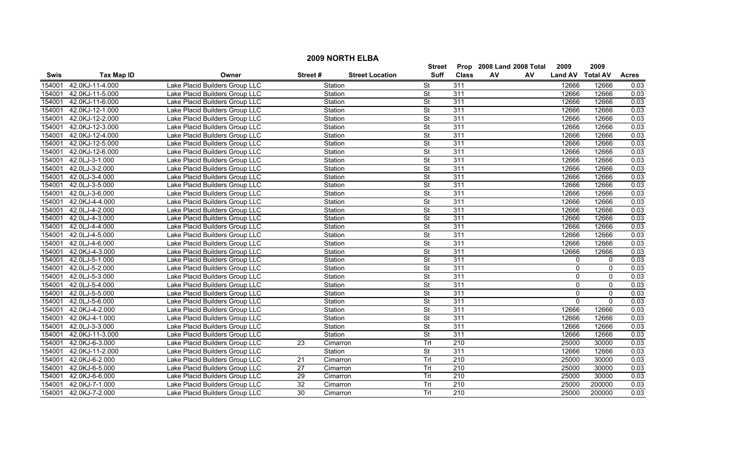|             |                   |                                |                 |          |                        | <b>Street</b>            |                  |    | Prop 2008 Land 2008 Total | 2009           | 2009            |              |
|-------------|-------------------|--------------------------------|-----------------|----------|------------------------|--------------------------|------------------|----|---------------------------|----------------|-----------------|--------------|
| <b>Swis</b> | <b>Tax Map ID</b> | Owner                          | Street#         |          | <b>Street Location</b> | Suff                     | <b>Class</b>     | AV | AV                        | <b>Land AV</b> | <b>Total AV</b> | <b>Acres</b> |
| 154001      | 42.0KJ-11-4.000   | Lake Placid Builders Group LLC |                 | Station  |                        | <b>St</b>                | 311              |    |                           | 12666          | 12666           | 0.03         |
| 154001      | 42.0KJ-11-5.000   | Lake Placid Builders Group LLC |                 | Station  |                        | St                       | 311              |    |                           | 12666          | 12666           | 0.03         |
| 154001      | 42.0KJ-11-6.000   | Lake Placid Builders Group LLC |                 | Station  |                        | <b>St</b>                | 311              |    |                           | 12666          | 12666           | 0.03         |
| 154001      | 42.0KJ-12-1.000   | Lake Placid Builders Group LLC |                 | Station  |                        | <b>St</b>                | 311              |    |                           | 12666          | 12666           | 0.03         |
| 154001      | 42.0KJ-12-2.000   | Lake Placid Builders Group LLC |                 | Station  |                        | $\overline{\mathsf{St}}$ | 311              |    |                           | 12666          | 12666           | 0.03         |
| 154001      | 42.0KJ-12-3.000   | Lake Placid Builders Group LLC |                 | Station  |                        | St                       | 311              |    |                           | 12666          | 12666           | 0.03         |
| 154001      | 42.0KJ-12-4.000   | Lake Placid Builders Group LLC |                 | Station  |                        | <b>St</b>                | 311              |    |                           | 12666          | 12666           | 0.03         |
| 154001      | 42.0KJ-12-5.000   | Lake Placid Builders Group LLC |                 | Station  |                        | $\overline{\mathsf{St}}$ | 311              |    |                           | 12666          | 12666           | 0.03         |
| 154001      | 42.0KJ-12-6.000   | Lake Placid Builders Group LLC |                 | Station  |                        | $\overline{\mathsf{St}}$ | 311              |    |                           | 12666          | 12666           | 0.03         |
| 154001      | 42.0LJ-3-1.000    | Lake Placid Builders Group LLC |                 | Station  |                        | $\overline{\mathsf{St}}$ | $\overline{311}$ |    |                           | 12666          | 12666           | 0.03         |
| 154001      | 42.0LJ-3-2.000    | Lake Placid Builders Group LLC |                 | Station  |                        | St                       | 311              |    |                           | 12666          | 12666           | 0.03         |
| 154001      | 42.0LJ-3-4.000    | Lake Placid Builders Group LLC |                 | Station  |                        | $\overline{\mathsf{St}}$ | 311              |    |                           | 12666          | 12666           | 0.03         |
| 154001      | 42.0LJ-3-5.000    | Lake Placid Builders Group LLC |                 | Station  |                        | $\overline{\mathsf{St}}$ | 311              |    |                           | 12666          | 12666           | 0.03         |
| 154001      | 42.0LJ-3-6.000    | Lake Placid Builders Group LLC |                 | Station  |                        | <b>St</b>                | 311              |    |                           | 12666          | 12666           | 0.03         |
| 154001      | 42.0KJ-4-4.000    | Lake Placid Builders Group LLC |                 | Station  |                        | St                       | 311              |    |                           | 12666          | 12666           | 0.03         |
| 154001      | 42.0LJ-4-2.000    | Lake Placid Builders Group LLC |                 | Station  |                        | $\overline{\mathsf{St}}$ | 311              |    |                           | 12666          | 12666           | 0.03         |
| 154001      | 42.0LJ-4-3.000    | Lake Placid Builders Group LLC |                 | Station  |                        | <b>St</b>                | 311              |    |                           | 12666          | 12666           | 0.03         |
| 154001      | 42.0LJ-4-4.000    | Lake Placid Builders Group LLC |                 | Station  |                        | <b>St</b>                | 311              |    |                           | 12666          | 12666           | 0.03         |
| 154001      | 42.0LJ-4-5.000    | Lake Placid Builders Group LLC |                 | Station  |                        | St                       | 311              |    |                           | 12666          | 12666           | 0.03         |
| 154001      | 42.0LJ-4-6.000    | Lake Placid Builders Group LLC |                 | Station  |                        | $\overline{\mathsf{St}}$ | 311              |    |                           | 12666          | 12666           | 0.03         |
| 154001      | 42.0KJ-4-3.000    | Lake Placid Builders Group LLC |                 | Station  |                        | St                       | 311              |    |                           | 12666          | 12666           | 0.03         |
| 154001      | 42.0LJ-5-1.000    | Lake Placid Builders Group LLC |                 | Station  |                        | St                       | 311              |    |                           | 0              | 0               | 0.03         |
| 154001      | 42.0LJ-5-2.000    | Lake Placid Builders Group LLC |                 | Station  |                        | $\overline{\mathsf{St}}$ | 311              |    |                           | $\overline{0}$ | $\mathsf 0$     | 0.03         |
| 154001      | 42.0LJ-5-3.000    | Lake Placid Builders Group LLC |                 | Station  |                        | St                       | 311              |    |                           | 0              | $\mathbf 0$     | 0.03         |
| 154001      | 42.0LJ-5-4.000    | Lake Placid Builders Group LLC |                 | Station  |                        | $\overline{\mathsf{St}}$ | 311              |    |                           | $\overline{0}$ | $\mathbf{0}$    | 0.03         |
| 154001      | 42.0LJ-5-5.000    | Lake Placid Builders Group LLC |                 | Station  |                        | $\overline{\mathsf{St}}$ | 311              |    |                           | $\mathbf 0$    | $\mathbf 0$     | 0.03         |
| 154001      | 42.0LJ-5-6.000    | Lake Placid Builders Group LLC |                 | Station  |                        | $\overline{\mathsf{St}}$ | 311              |    |                           | $\mathbf 0$    | $\mathbf{0}$    | 0.03         |
| 154001      | 42.0KJ-4-2.000    | Lake Placid Builders Group LLC |                 | Station  |                        | $\overline{\mathsf{St}}$ | 311              |    |                           | 12666          | 12666           | 0.03         |
| 154001      | 42.0KJ-4-1.000    | Lake Placid Builders Group LLC |                 | Station  |                        | <b>St</b>                | 311              |    |                           | 12666          | 12666           | 0.03         |
| 154001      | 42.0LJ-3-3.000    | Lake Placid Builders Group LLC |                 | Station  |                        | <b>St</b>                | 311              |    |                           | 12666          | 12666           | 0.03         |
| 154001      | 42.0KJ-11-3.000   | Lake Placid Builders Group LLC |                 | Station  |                        | <b>St</b>                | 311              |    |                           | 12666          | 12666           | 0.03         |
| 154001      | 42.0KJ-6-3.000    | Lake Placid Builders Group LLC | 23              | Cimarron |                        | Trl                      | 210              |    |                           | 25000          | 30000           | 0.03         |
| 154001      | 42.0KJ-11-2.000   | Lake Placid Builders Group LLC |                 | Station  |                        | St                       | 311              |    |                           | 12666          | 12666           | 0.03         |
| 154001      | 42.0KJ-6-2.000    | Lake Placid Builders Group LLC | 21              | Cimarron |                        | Trl                      | $\overline{210}$ |    |                           | 25000          | 30000           | 0.03         |
| 154001      | 42.0KJ-6-5.000    | Lake Placid Builders Group LLC | $\overline{27}$ | Cimarron |                        | Tr                       | $\overline{210}$ |    |                           | 25000          | 30000           | 0.03         |
| 154001      | 42.0KJ-6-6.000    | Lake Placid Builders Group LLC | 29              | Cimarron |                        | Trl                      | 210              |    |                           | 25000          | 30000           | 0.03         |
| 154001      | 42.0KJ-7-1.000    | Lake Placid Builders Group LLC | $\overline{32}$ | Cimarron |                        | Trl                      | $\overline{210}$ |    |                           | 25000          | 200000          | 0.03         |
| 154001      | 42.0KJ-7-2.000    | Lake Placid Builders Group LLC | 30              | Cimarron |                        | Tr                       | 210              |    |                           | 25000          | 200000          | 0.03         |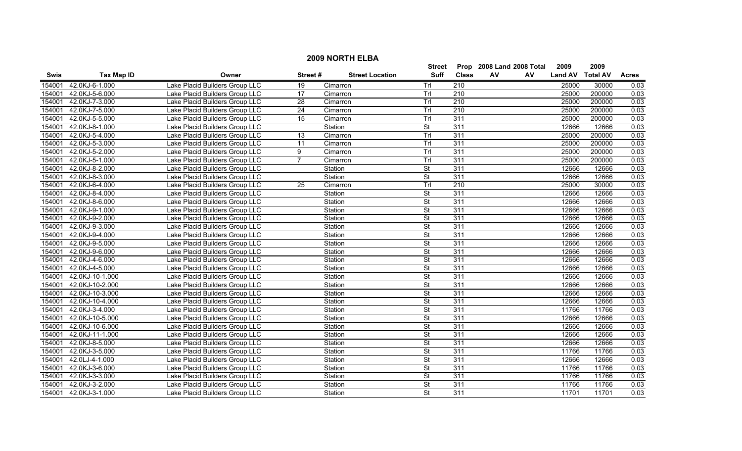|        | <b>2009 NORTH ELBA</b>                                        |                                |                 |                        |                          |                  |          |                |                 |              |  |  |
|--------|---------------------------------------------------------------|--------------------------------|-----------------|------------------------|--------------------------|------------------|----------|----------------|-----------------|--------------|--|--|
|        | 2009<br>2008 Land 2008 Total<br>2009<br><b>Street</b><br>Prop |                                |                 |                        |                          |                  |          |                |                 |              |  |  |
| Swis   | <b>Tax Map ID</b>                                             | Owner                          | Street#         | <b>Street Location</b> | Suff                     | <b>Class</b>     | AV<br>AV | <b>Land AV</b> | <b>Total AV</b> | <b>Acres</b> |  |  |
| 154001 | 42.0KJ-6-1.000                                                | Lake Placid Builders Group LLC | $\overline{19}$ | Cimarron               | Trl                      | 210              |          | 25000          | 30000           | 0.03         |  |  |
| 154001 | 42.0KJ-5-6.000                                                | Lake Placid Builders Group LLC | 17              | Cimarron               | Trl                      | 210              |          | 25000          | 200000          | 0.03         |  |  |
| 154001 | 42.0KJ-7-3.000                                                | Lake Placid Builders Group LLC | $\overline{28}$ | Cimarron               | Trl                      | $\overline{210}$ |          | 25000          | 200000          | 0.03         |  |  |
| 154001 | 42.0KJ-7-5.000                                                | Lake Placid Builders Group LLC | $\overline{24}$ | Cimarron               | TrI                      | 210              |          | 25000          | 200000          | 0.03         |  |  |
| 154001 | 42.0KJ-5-5.000                                                | Lake Placid Builders Group LLC | 15              | Cimarron               | Trl                      | 311              |          | 25000          | 200000          | 0.03         |  |  |
| 154001 | 42.0KJ-8-1.000                                                | Lake Placid Builders Group LLC |                 | Station                | $\overline{\mathsf{St}}$ | 311              |          | 12666          | 12666           | 0.03         |  |  |
| 154001 | 42.0KJ-5-4.000                                                | Lake Placid Builders Group LLC | 13              | Cimarron               | Trl                      | 311              |          | 25000          | 200000          | 0.03         |  |  |
| 154001 | 42.0KJ-5-3.000                                                | Lake Placid Builders Group LLC | 11              | Cimarron               | Trl                      | 311              |          | 25000          | 200000          | 0.03         |  |  |
| 154001 | 42.0KJ-5-2.000                                                | Lake Placid Builders Group LLC | 9               | Cimarron               | Trl                      | 311              |          | 25000          | 200000          | 0.03         |  |  |
| 154001 | 42.0KJ-5-1.000                                                | Lake Placid Builders Group LLC | $\overline{7}$  | Cimarron               | Trl                      | 311              |          | 25000          | 200000          | 0.03         |  |  |
| 154001 | 42.0KJ-8-2.000                                                | Lake Placid Builders Group LLC |                 | Station                | $\overline{\mathsf{St}}$ | 311              |          | 12666          | 12666           | 0.03         |  |  |
| 154001 | 42.0KJ-8-3.000                                                | Lake Placid Builders Group LLC |                 | Station                | $\overline{\mathsf{St}}$ | 311              |          | 12666          | 12666           | 0.03         |  |  |
| 154001 | 42.0KJ-6-4.000                                                | Lake Placid Builders Group LLC | $\overline{25}$ | Cimarron               | Trl                      | 210              |          | 25000          | 30000           | 0.03         |  |  |
| 154001 | 42.0KJ-8-4.000                                                | Lake Placid Builders Group LLC |                 | Station                | $\overline{\mathsf{St}}$ | 311              |          | 12666          | 12666           | 0.03         |  |  |
| 154001 | 42.0KJ-8-6.000                                                | Lake Placid Builders Group LLC |                 | Station                | $\overline{\mathsf{St}}$ | 311              |          | 12666          | 12666           | 0.03         |  |  |
| 154001 | 42.0KJ-9-1.000                                                | Lake Placid Builders Group LLC |                 | Station                | $\overline{\mathsf{St}}$ | 311              |          | 12666          | 12666           | 0.03         |  |  |
| 154001 | 42.0KJ-9-2.000                                                | Lake Placid Builders Group LLC |                 | Station                | <b>St</b>                | 311              |          | 12666          | 12666           | 0.03         |  |  |
| 154001 | 42.0KJ-9-3.000                                                | Lake Placid Builders Group LLC |                 | Station                | <b>St</b>                | 311              |          | 12666          | 12666           | 0.03         |  |  |
| 154001 | 42.0KJ-9-4.000                                                | Lake Placid Builders Group LLC |                 | Station                | $\overline{\mathsf{St}}$ | 311              |          | 12666          | 12666           | 0.03         |  |  |
| 154001 | 42.0KJ-9-5.000                                                | Lake Placid Builders Group LLC |                 | Station                | <b>St</b>                | 311              |          | 12666          | 12666           | 0.03         |  |  |
| 154001 | 42.0KJ-9-6.000                                                | Lake Placid Builders Group LLC |                 | Station                | St                       | 311              |          | 12666          | 12666           | 0.03         |  |  |
| 154001 | 42.0KJ-4-6.000                                                | Lake Placid Builders Group LLC |                 | Station                | $\overline{\mathsf{St}}$ | 311              |          | 12666          | 12666           | 0.03         |  |  |
| 154001 | 42.0KJ-4-5.000                                                | Lake Placid Builders Group LLC |                 | Station                | <b>St</b>                | 311              |          | 12666          | 12666           | 0.03         |  |  |
| 154001 | 42.0KJ-10-1.000                                               | Lake Placid Builders Group LLC |                 | Station                | <b>St</b>                | $\overline{311}$ |          | 12666          | 12666           | 0.03         |  |  |
| 154001 | 42.0KJ-10-2.000                                               | Lake Placid Builders Group LLC |                 | Station                | $\overline{\mathsf{St}}$ | 311              |          | 12666          | 12666           | 0.03         |  |  |
| 154001 | 42.0KJ-10-3.000                                               | Lake Placid Builders Group LLC |                 | Station                | <b>St</b>                | 311              |          | 12666          | 12666           | 0.03         |  |  |
| 154001 | 42.0KJ-10-4.000                                               | Lake Placid Builders Group LLC |                 | Station                | $\overline{\mathsf{St}}$ | 311              |          | 12666          | 12666           | 0.03         |  |  |
| 154001 | 42.0KJ-3-4.000                                                | Lake Placid Builders Group LLC |                 | Station                | $\overline{\mathsf{St}}$ | 311              |          | 11766          | 11766           | 0.03         |  |  |
| 154001 | 42.0KJ-10-5.000                                               | Lake Placid Builders Group LLC |                 | Station                | <b>St</b>                | 311              |          | 12666          | 12666           | 0.03         |  |  |
| 154001 | 42.0KJ-10-6.000                                               | Lake Placid Builders Group LLC |                 | Station                | St                       | 311              |          | 12666          | 12666           | 0.03         |  |  |
| 154001 | 42.0KJ-11-1.000                                               | Lake Placid Builders Group LLC |                 | Station                | <b>St</b>                | 311              |          | 12666          | 12666           | 0.03         |  |  |
| 154001 | 42.0KJ-8-5.000                                                | Lake Placid Builders Group LLC |                 | Station                | <b>St</b>                | 311              |          | 12666          | 12666           | 0.03         |  |  |
| 154001 | 42.0KJ-3-5.000                                                | Lake Placid Builders Group LLC |                 | Station                | <b>St</b>                | 311              |          | 11766          | 11766           | 0.03         |  |  |
| 154001 | 42.0LJ-4-1.000                                                | Lake Placid Builders Group LLC |                 | Station                | <b>St</b>                | 311              |          | 12666          | 12666           | 0.03         |  |  |
| 154001 | 42.0KJ-3-6.000                                                | Lake Placid Builders Group LLC |                 | Station                | $\overline{\mathsf{St}}$ | 311              |          | 11766          | 11766           | 0.03         |  |  |
| 154001 | 42.0KJ-3-3.000                                                | Lake Placid Builders Group LLC |                 | Station                | $\overline{\mathsf{St}}$ | 311              |          | 11766          | 11766           | 0.03         |  |  |
| 154001 | 42.0KJ-3-2.000                                                | Lake Placid Builders Group LLC |                 | Station                | St                       | 311              |          | 11766          | 11766           | 0.03         |  |  |
|        | 154001 42.0KJ-3-1.000                                         | Lake Placid Builders Group LLC |                 | Station                | St                       | 311              |          | 11701          | 11701           | 0.03         |  |  |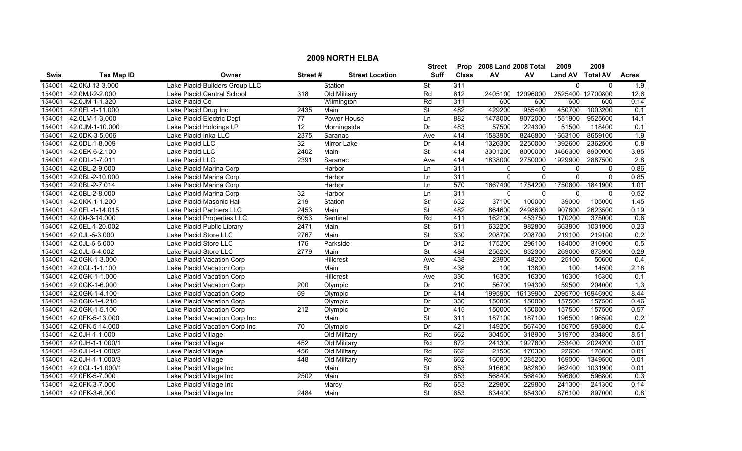|        | <b>2009 NORTH ELBA</b> |                                |                  |                        |                          |              |                           |          |                  |                  |                  |  |
|--------|------------------------|--------------------------------|------------------|------------------------|--------------------------|--------------|---------------------------|----------|------------------|------------------|------------------|--|
|        |                        |                                |                  |                        | <b>Street</b>            |              | Prop 2008 Land 2008 Total |          | 2009             | 2009             |                  |  |
| Swis   | <b>Tax Map ID</b>      | Owner                          | Street#          | <b>Street Location</b> | Suff                     | <b>Class</b> | AV                        | AV       | Land AV Total AV |                  | <b>Acres</b>     |  |
| 154001 | 42.0KJ-13-3.000        | Lake Placid Builders Group LLC |                  | Station                | <b>St</b>                | 311          |                           |          | $\mathbf 0$      | $\mathbf 0$      | 1.9              |  |
| 154001 | 42.0MJ-2-2.000         | Lake Placid Central School     | 318              | Old Military           | Rd                       | 612          | 2405100                   | 12096000 |                  | 2525400 12700800 | 12.6             |  |
| 154001 | 42.0JM-1-1.320         | Lake Placid Co                 |                  | Wilmington             | Rd                       | 311          | 600                       | 600      | 600              | 600              | 0.14             |  |
| 154001 | 42.0EL-1-11.000        | Lake Placid Drug Inc           | 2435             | Main                   | <b>St</b>                | 482          | 429200                    | 955400   | 450700           | 1003200          | 0.1              |  |
| 154001 | 42.0LM-1-3.000         | Lake Placid Electric Dept      | 77               | Power House            | Ln                       | 882          | 1478000                   | 9072000  | 1551900          | 9525600          | 14.1             |  |
| 154001 | 42.0JM-1-10.000        | Lake Placid Holdings LP        | 12               | Morningside            | Dr                       | 483          | 57500                     | 224300   | 51500            | 118400           | 0.1              |  |
| 154001 | 42.0DK-3-5.006         | Lake Placid Inka LLC           | 2375             | Saranac                | Ave                      | 414          | 1583900                   | 8246800  | 1663100          | 8659100          | 1.9              |  |
| 154001 | 42.0DL-1-8.009         | Lake Placid LLC                | 32               | <b>Mirror Lake</b>     | Dr                       | 414          | 1326300                   | 2250000  | 1392600          | 2362500          | 0.8              |  |
| 154001 | 42.0EK-6-2.100         | Lake Placid LLC                | 2402             | Main                   | $\overline{\mathsf{St}}$ | 414          | 3301200                   | 8000000  | 3466300          | 8900000          | 3.85             |  |
| 154001 | 42.0DL-1-7.011         | Lake Placid LLC                | 2391             | Saranac                | Ave                      | 414          | 1838000                   | 2750000  | 1929900          | 2887500          | $\overline{2.8}$ |  |
| 154001 | 42.0BL-2-9.000         | Lake Placid Marina Corp        |                  | Harbor                 | Ln                       | 311          | $\mathbf 0$               | $\Omega$ | $\mathbf 0$      | $\mathbf{0}$     | 0.86             |  |
| 154001 | 42.0BL-2-10.000        | Lake Placid Marina Corp        |                  | Harbor                 | Ln                       | 311          | $\Omega$                  | $\Omega$ | $\mathbf{0}$     | $\Omega$         | 0.85             |  |
| 154001 | 42.0BL-2-7.014         | Lake Placid Marina Corp        |                  | Harbor                 | Ln                       | 570          | 1667400                   | 1754200  | 1750800          | 1841900          | 1.01             |  |
| 154001 | 42.0BL-2-8.000         | Lake Placid Marina Corp        | 32               | Harbor                 | Ln                       | 311          | $\mathbf 0$               | 0        | $\mathbf 0$      | $\mathbf{0}$     | 0.52             |  |
| 154001 | 42.0KK-1-1.200         | Lake Placid Masonic Hall       | 219              | Station                | $\overline{\mathsf{St}}$ | 632          | 37100                     | 100000   | 39000            | 105000           | 1.45             |  |
| 154001 | 42.0EL-1-14.015        | Lake Placid Partners LLC       | 2453             | Main                   | $\overline{\mathsf{St}}$ | 482          | 864600                    | 2498600  | 907800           | 2623500          | 0.19             |  |
| 154001 | 42.0kl-3-14.000        | Lake Placid Properties LLC     | 6053             | Sentinel               | Rd                       | 411          | 162100                    | 453750   | 170200           | 375000           | 0.6              |  |
| 154001 | 42.0EL-1-20.002        | Lake Placid Public Library     | 2471             | Main                   | <b>St</b>                | 611          | 632200                    | 982800   | 663800           | 1031900          | 0.23             |  |
| 154001 | 42.0JL-5-3.000         | Lake Placid Store LLC          | 2767             | Main                   | <b>St</b>                | 330          | 208700                    | 208700   | 219100           | 219100           | 0.2              |  |
| 154001 | 42.0JL-5-6.000         | Lake Placid Store LLC          | 176              | Parkside               | Dr                       | 312          | 175200                    | 296100   | 184000           | 310900           | 0.5              |  |
| 154001 | 42.0JL-5-4.002         | Lake Placid Store LLC          | 2779             | Main                   | $\overline{\mathsf{St}}$ | 484          | 256200                    | 832300   | 269000           | 873900           | 0.29             |  |
| 154001 | 42.0GK-1-3.000         | Lake Placid Vacation Corp      |                  | Hillcrest              | Ave                      | 438          | 23900                     | 48200    | 25100            | 50600            | 0.4              |  |
| 154001 | 42.0GL-1-1.100         | Lake Placid Vacation Corp      |                  | Main                   | $\overline{\mathsf{St}}$ | 438          | 100                       | 13800    | 100              | 14500            | 2.18             |  |
| 154001 | 42.0GK-1-1.000         | Lake Placid Vacation Corp      |                  | Hillcrest              | Ave                      | 330          | 16300                     | 16300    | 16300            | 16300            | 0.1              |  |
| 154001 | 42.0GK-1-6.000         | Lake Placid Vacation Corp      | 200              | Olympic                | Dr                       | 210          | 56700                     | 194300   | 59500            | 204000           | 1.3              |  |
| 154001 | 42.0GK-1-4.100         | Lake Placid Vacation Corp      | 69               | Olympic                | Dr                       | 414          | 1995900                   | 16139900 | 2095700          | 16946900         | 8.44             |  |
| 154001 | 42.0GK-1-4.210         | Lake Placid Vacation Corp      |                  | Olympic                | Dr                       | 330          | 150000                    | 150000   | 157500           | 157500           | 0.46             |  |
| 154001 | 42.0GK-1-5.100         | Lake Placid Vacation Corp      | $\overline{212}$ | Olympic                | Dr                       | 415          | 150000                    | 150000   | 157500           | 157500           | 0.57             |  |
| 154001 | 42.0FK-5-13.000        | Lake Placid Vacation Corp Inc  |                  | Main                   | <b>St</b>                | 311          | 187100                    | 187100   | 196500           | 196500           | 0.2              |  |
| 154001 | 42.0FK-5-14.000        | Lake Placid Vacation Corp Inc  | 70               | Olympic                | Dr                       | 421          | 149200                    | 567400   | 156700           | 595800           | 0.4              |  |
| 154001 | 42.0JH-1-1.000         | Lake Placid Village            |                  | Old Military           | Rd                       | 662          | 304500                    | 318900   | 319700           | 334800           | 8.51             |  |
| 154001 | 42.0JH-1-1.000/1       | Lake Placid Village            | 452              | Old Military           | Rd                       | 872          | 241300                    | 1927800  | 253400           | 2024200          | 0.01             |  |
| 154001 | 42.0JH-1-1.000/2       | Lake Placid Village            | 456              | Old Military           | Rd                       | 662          | 21500                     | 170300   | 22600            | 178800           | 0.01             |  |
| 154001 | 42.0JH-1-1.000/3       | Lake Placid Village            | 448              | Old Military           | Rd                       | 662          | 160900                    | 1285200  | 169000           | 1349500          | 0.01             |  |
| 154001 | 42.0GL-1-1.000/1       | Lake Placid Village Inc        |                  | Main                   | <b>St</b>                | 653          | 916600                    | 982800   | 962400           | 1031900          | 0.01             |  |
| 154001 | 42.0FK-5-7.000         | Lake Placid Village Inc        | 2502             | Main                   | St                       | 653          | 568400                    | 568400   | 596800           | 596800           | 0.3              |  |
| 154001 | 42.0FK-3-7.000         | Lake Placid Village Inc        |                  | Marcy                  | Rd                       | 653          | 229800                    | 229800   | 241300           | 241300           | 0.14             |  |
| 154001 | 42.0FK-3-6.000         | Lake Placid Village Inc        | 2484             | Main                   | <b>St</b>                | 653          | 834400                    | 854300   | 876100           | 897000           | $\overline{0.8}$ |  |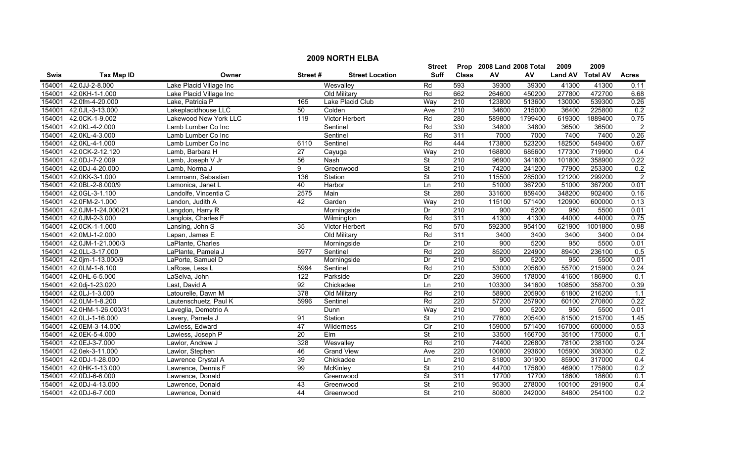|        | <b>2009 NORTH ELBA</b> |                         |                  |                        |                          |                  |                           |         |                |                 |                  |  |
|--------|------------------------|-------------------------|------------------|------------------------|--------------------------|------------------|---------------------------|---------|----------------|-----------------|------------------|--|
|        |                        |                         |                  |                        | Street                   |                  | Prop 2008 Land 2008 Total |         | 2009           | 2009            |                  |  |
| Swis   | <b>Tax Map ID</b>      | Owner                   | Street#          | <b>Street Location</b> | <b>Suff</b>              | <b>Class</b>     | AV                        | AV      | <b>Land AV</b> | <b>Total AV</b> | <b>Acres</b>     |  |
| 154001 | 42.0JJ-2-8.000         | Lake Placid Village Inc |                  | Wesvalley              | Rd                       | 593              | 39300                     | 39300   | 41300          | 41300           | 0.11             |  |
| 154001 | 42.0KH-1-1.000         | Lake Placid Village Inc |                  | Old Military           | Rd                       | 662              | 264600                    | 450200  | 277800         | 472700          | 6.68             |  |
| 154001 | 42.0fm-4-20.000        | Lake, Patricia P        | 165              | Lake Placid Club       | Way                      | 210              | 123800                    | 513600  | 130000         | 539300          | 0.26             |  |
| 154001 | 42.0JL-3-13.000        | Lakeplacidhouse LLC     | 50               | Colden                 | Ave                      | 210              | 34600                     | 215000  | 36400          | 225800          | 0.2              |  |
| 154001 | 42.0CK-1-9.002         | Lakewood New York LLC   | 119              | <b>Victor Herbert</b>  | Rd                       | 280              | 589800                    | 1799400 | 619300         | 1889400         | 0.75             |  |
| 154001 | 42.0KL-4-2.000         | Lamb Lumber Co Inc      |                  | Sentinel               | Rd                       | 330              | 34800                     | 34800   | 36500          | 36500           | $\overline{2}$   |  |
| 154001 | 42.0KL-4-3.000         | Lamb Lumber Co Inc      |                  | Sentinel               | Rd                       | 311              | 7000                      | 7000    | 7400           | 7400            | 0.26             |  |
| 154001 | 42.0KL-4-1.000         | Lamb Lumber Co Inc      | 6110             | Sentinel               | Rd                       | 444              | 173800                    | 523200  | 182500         | 549400          | 0.67             |  |
| 154001 | 42.0CK-2-12.120        | Lamb, Barbara H         | $\overline{27}$  | Cayuga                 | Way                      | 210              | 168800                    | 685600  | 177300         | 719900          | 0.4              |  |
| 154001 | 42.0DJ-7-2.009         | Lamb, Joseph V Jr       | 56               | Nash                   | <b>St</b>                | $\overline{210}$ | 96900                     | 341800  | 101800         | 358900          | 0.22             |  |
| 154001 | 42.0DJ-4-20.000        | Lamb. Norma J           | 9                | Greenwood              | $\overline{\mathsf{St}}$ | $\overline{210}$ | 74200                     | 241200  | 77900          | 253300          | 0.2              |  |
| 154001 | 42.0KK-3-1.000         | Lammann, Sebastian      | 136              | Station                | <b>St</b>                | 210              | 115500                    | 285000  | 121200         | 299200          | $\overline{2}$   |  |
| 154001 | 42.0BL-2-8.000/9       | Lamonica, Janet L       | 40               | Harbor                 | Ln                       | $\overline{210}$ | 51000                     | 367200  | 51000          | 367200          | 0.01             |  |
| 154001 | 42.0GL-3-1.100         | Landolfe, Vincentia C   | 2575             | Main                   | $\overline{\mathsf{St}}$ | 280              | 331600                    | 859400  | 348200         | 902400          | 0.16             |  |
| 154001 | 42.0FM-2-1.000         | Landon, Judith A        | 42               | Garden                 | Way                      | 210              | 115100                    | 571400  | 120900         | 600000          | 0.13             |  |
| 154001 | 42.0JM-1-24.000/21     | Langdon, Harry R        |                  | Morningside            | Dr                       | $\overline{210}$ | 900                       | 5200    | 950            | 5500            | 0.01             |  |
| 154001 | 42.0JM-2-3.000         | Langlois, Charles F     |                  | Wilmington             | Rd                       | 311              | 41300                     | 41300   | 44000          | 44000           | 0.75             |  |
| 154001 | 42.0CK-1-1.000         | Lansing, John S         | 35               | Victor Herbert         | Rd                       | 570              | 592300                    | 954100  | 621900         | 1001800         | 0.98             |  |
| 154001 | 42.0MJ-1-2.000         | Lapan, James E          |                  | Old Military           | Rd                       | 311              | 3400                      | 3400    | 3400           | 3400            | 0.04             |  |
| 154001 | 42.0JM-1-21.000/3      | LaPlante, Charles       |                  | Morningside            | Dr                       | 210              | 900                       | 5200    | 950            | 5500            | 0.01             |  |
| 154001 | 42.0LL-3-17.000        | LaPlante, Pamela J      | 5977             | Sentinel               | Rd                       | 220              | 85200                     | 224900  | 89400          | 236100          | 0.5              |  |
| 154001 | 42.0jm-1-13.000/9      | LaPorte, Samuel D       |                  | Morningside            | Dr                       | 210              | 900                       | 5200    | 950            | 5500            | 0.01             |  |
| 154001 | 42.0LM-1-8.100         | LaRose, Lesa L          | 5994             | Sentinel               | Rd                       | 210              | 53000                     | 205600  | 55700          | 215900          | 0.24             |  |
| 154001 | 42.0HL-6-5.000         | LaSelva, John           | 122              | Parkside               | Dr                       | 220              | 39600                     | 178000  | 41600          | 186900          | 0.1              |  |
| 154001 | 42.0dj-1-23.020        | Last, David A           | 92               | Chickadee              | Ln                       | 210              | 103300                    | 341600  | 108500         | 358700          | 0.39             |  |
| 154001 | 42.0LJ-1-3.000         | Latourelle, Dawn M      | $\overline{378}$ | Old Military           | Rd                       | 210              | 58900                     | 205900  | 61800          | 216200          | 1.1              |  |
| 154001 | 42.0LM-1-8.200         | Lautenschuetz, Paul K   | 5996             | Sentinel               | Rd                       | 220              | 57200                     | 257900  | 60100          | 270800          | 0.22             |  |
| 154001 | 42.0HM-1-26.000/31     | Laveglia, Demetrio A    |                  | Dunn                   | Way                      | $\overline{210}$ | 900                       | 5200    | 950            | 5500            | 0.01             |  |
| 154001 | 42.0LJ-1-16.000        | Lavery, Pamela J        | 91               | Station                | <b>St</b>                | 210              | 77600                     | 205400  | 81500          | 215700          | 1.45             |  |
| 154001 | 42.0EM-3-14.000        | Lawless, Edward         | 47               | Wilderness             | Cir                      | 210              | 159000                    | 571400  | 167000         | 600000          | 0.53             |  |
| 154001 | 42.0EK-5-4.000         | Lawless, Joseph P       | 20               | Elm                    | $\overline{\mathsf{St}}$ | 210              | 33500                     | 166700  | 35100          | 175000          | $\overline{0.1}$ |  |
| 154001 | 42.0EJ-3-7.000         | Lawlor, Andrew J        | 328              | Wesvalley              | Rd                       | 210              | 74400                     | 226800  | 78100          | 238100          | 0.24             |  |
| 154001 | 42.0ek-3-11.000        | Lawlor, Stephen         | 46               | <b>Grand View</b>      | Ave                      | 220              | 100800                    | 293600  | 105900         | 308300          | 0.2              |  |
| 154001 | 42.0DJ-1-28.000        | Lawrence Crystal A      | 39               | Chickadee              | Ln                       | 210              | 81800                     | 301900  | 85900          | 317000          | 0.4              |  |
| 154001 | 42.0HK-1-13.000        | Lawrence, Dennis F      | $\overline{99}$  | McKinley               | <b>St</b>                | $\overline{210}$ | 44700                     | 175800  | 46900          | 175800          | 0.2              |  |
| 154001 | 42.0DJ-6-6.000         | Lawrence, Donald        |                  | Greenwood              | <b>St</b>                | 311              | 17700                     | 17700   | 18600          | 18600           | 0.1              |  |
| 154001 | 42.0DJ-4-13.000        | Lawrence, Donald        | 43               | Greenwood              | <b>St</b>                | 210              | 95300                     | 278000  | 100100         | 291900          | 0.4              |  |
|        | 154001 42.0DJ-6-7.000  | Lawrence, Donald        | 44               | Greenwood              | $\overline{\mathsf{St}}$ | $\overline{210}$ | 80800                     | 242000  | 84800          | 254100          | 0.2              |  |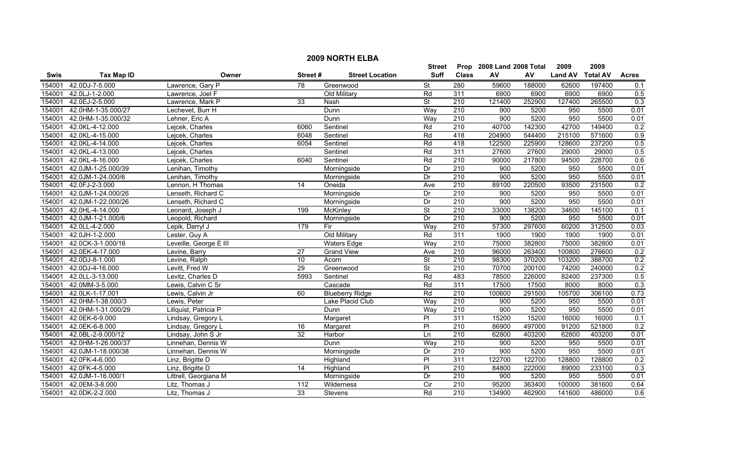|             | <b>2009 NORTH ELBA</b> |                        |                 |                        |                          |                  |                           |        |                |                 |              |  |
|-------------|------------------------|------------------------|-----------------|------------------------|--------------------------|------------------|---------------------------|--------|----------------|-----------------|--------------|--|
|             |                        |                        |                 |                        | Street                   |                  | Prop 2008 Land 2008 Total |        | 2009           | 2009            |              |  |
| <b>Swis</b> | <b>Tax Map ID</b>      | Owner                  | Street#         | <b>Street Location</b> | <b>Suff</b>              | <b>Class</b>     | AV                        | AV     | <b>Land AV</b> | <b>Total AV</b> | <b>Acres</b> |  |
| 154001      | 42.0DJ-7-5.000         | Lawrence, Gary P       | $\overline{78}$ | Greenwood              | $\overline{\mathsf{St}}$ | 280              | 59600                     | 188000 | 62600          | 197400          | 0.1          |  |
| 154001      | 42.0LJ-1-2.000         | Lawrence, Joel F       |                 | Old Military           | Rd                       | 311              | 6900                      | 6900   | 6900           | 6900            | 0.5          |  |
| 154001      | 42.0EJ-2-5.000         | Lawrence, Mark P       | 33              | Nash                   | $\overline{\mathsf{St}}$ | 210              | 121400                    | 252900 | 127400         | 265500          | 0.3          |  |
| 154001      | 42.0HM-1-35.000/27     | Lechevet, Burr H       |                 | Dunn                   | Way                      | 210              | 900                       | 5200   | 950            | 5500            | 0.01         |  |
| 154001      | 42.0HM-1-35.000/32     | Lehner, Eric A         |                 | Dunn                   | Way                      | 210              | 900                       | 5200   | 950            | 5500            | 0.01         |  |
| 154001      | 42.0KL-4-12.000        | Lejcek, Charles        | 6060            | Sentinel               | Rd                       | 210              | 40700                     | 142300 | 42700          | 149400          | 0.2          |  |
| 154001      | 42.0KL-4-15.000        | Lejcek, Charles        | 6048            | Sentinel               | Rd                       | 418              | 204900                    | 544400 | 215100         | 571600          | 0.9          |  |
| 154001      | 42.0KL-4-14.000        | Lejcek, Charles        | 6054            | Sentinel               | Rd                       | 418              | 122500                    | 225900 | 128600         | 237200          | 0.5          |  |
| 154001      | 42.0KL-4-13.000        | Lejcek, Charles        |                 | Sentinel               | Rd                       | 311              | 27600                     | 27600  | 29000          | 29000           | 0.5          |  |
| 154001      | 42.0KL-4-16.000        | Lejcek, Charles        | 6040            | Sentinel               | Rd                       | 210              | 90000                     | 217800 | 94500          | 228700          | 0.6          |  |
| 154001      | 42.0JM-1-25.000/39     | Lenihan, Timothy       |                 | Morningside            | Dr                       | 210              | 900                       | 5200   | 950            | 5500            | 0.01         |  |
| 154001      | 42.0JM-1-24.000/6      | Lenihan, Timothy       |                 | Morningside            | Dr                       | 210              | 900                       | 5200   | 950            | 5500            | 0.01         |  |
| 154001      | 42.0FJ-2-3.000         | Lennon, H Thomas       | 14              | Oneida                 | Ave                      | $\overline{210}$ | 89100                     | 220500 | 93500          | 231500          | 0.2          |  |
| 154001      | 42.0JM-1-24.000/26     | Lenseth, Richard C     |                 | Morningside            | Dr                       | 210              | 900                       | 5200   | 950            | 5500            | 0.01         |  |
| 154001      | 42.0JM-1-22.000/26     | Lenseth, Richard C     |                 | Morningside            | Dr                       | $\overline{210}$ | 900                       | 5200   | 950            | 5500            | 0.01         |  |
| 154001      | 42.0HL-4-14.000        | Leonard, Joseph J      | 199             | <b>McKinley</b>        | <b>St</b>                | $\overline{210}$ | 33000                     | 138200 | 34600          | 145100          | 0.1          |  |
| 154001      | 42.0JM-1-21.000/6      | Leopold, Richard       |                 | Morningside            | Dr                       | 210              | 900                       | 5200   | 950            | 5500            | 0.01         |  |
| 154001      | 42.0LL-4-2.000         | Lepik, Darryl J        | 179             | Fir                    | Way                      | 210              | 57300                     | 297600 | 60200          | 312500          | 0.03         |  |
| 154001      | 42.0JH-1-2.000         | Lester, Guy A          |                 | Old Military           | Rd                       | 311              | 1900                      | 1900   | 1900           | 1900            | 0.01         |  |
| 154001      | 42.0CK-3-1.000/16      | Leveille, George E III |                 | <b>Waters Edge</b>     | Way                      | 210              | 75000                     | 382800 | 75000          | 382800          | 0.01         |  |
| 154001      | 42.0EK-4-17.000        | Levine, Barry          | $\overline{27}$ | <b>Grand View</b>      | Ave                      | 210              | 96000                     | 263400 | 100800         | 276600          | 0.2          |  |
| 154001      | 42.0DJ-8-1.000         | Levine, Ralph          | 10              | Acorn                  | $\overline{\mathsf{St}}$ | 210              | 98300                     | 370200 | 103200         | 388700          | 0.2          |  |
| 154001      | 42.0DJ-4-16.000        | Levitt, Fred W         | 29              | Greenwood              | $\overline{\mathsf{St}}$ | 210              | 70700                     | 200100 | 74200          | 240000          | 0.2          |  |
| 154001      | 42.0LL-3-13.000        | Levitz, Charles D      | 5993            | Sentinel               | Rd                       | 483              | 78500                     | 226000 | 82400          | 237300          | 0.5          |  |
| 154001      | 42.0MM-3-5.000         | Lewis, Calvin C Sr     |                 | Cascade                | Rd                       | 311              | 17500                     | 17500  | 8000           | 8000            | 0.3          |  |
| 154001      | 42.0LK-1-17.001        | Lewis, Calvin Jr       | 60              | <b>Blueberry Ridge</b> | Rd                       | 210              | 100600                    | 291500 | 105700         | 306100          | 0.73         |  |
| 154001      | 42.0HM-1-38.000/3      | Lewis, Peter           |                 | Lake Placid Club       | Way                      | 210              | 900                       | 5200   | 950            | 5500            | 0.01         |  |
| 154001      | 42.0HM-1-31.000/29     | Lillquist, Patricia P  |                 | Dunn                   | Way                      | $\overline{210}$ | 900                       | 5200   | 950            | 5500            | 0.01         |  |
| 154001      | 42.0EK-6-9.000         | Lindsay, Gregory L     |                 | Margaret               | P                        | 311              | 15200                     | 15200  | 16000          | 16000           | 0.1          |  |
| 154001      | 42.0EK-6-8.000         | Lindsay, Gregory L     | 16              | Margaret               | $\overline{P}$           | 210              | 86900                     | 497000 | 91200          | 521800          | 0.2          |  |
| 154001      | 42.0BL-2-9.000/12      | Lindsay, John S Jr     | 32              | Harbor                 | Ln                       | 210              | 62800                     | 403200 | 62800          | 403200          | 0.01         |  |
| 154001      | 42.0HM-1-26.000/37     | Linnehan, Dennis W     |                 | Dunn                   | Way                      | 210              | 900                       | 5200   | 950            | 5500            | 0.01         |  |
| 154001      | 42.0JM-1-18.000/38     | Linnehan, Dennis W     |                 | Morningside            | Dr                       | 210              | 900                       | 5200   | 950            | 5500            | 0.01         |  |
| 154001      | 42.0FK-4-6.000         | Linz, Brigitte D       |                 | Highland               | $\overline{P}$           | 311              | 122700                    | 122700 | 128800         | 128800          | 0.2          |  |
| 154001      | 42.0FK-4-5.000         | Linz, Brigitte D       | $\overline{14}$ | Highland               | P                        | $\overline{210}$ | 84800                     | 222000 | 89000          | 233100          | 0.3          |  |
| 154001      | 42.0JM-1-16.000/1      | Littrell, Georgiana M  |                 | Morningside            | Dr                       | 210              | 900                       | 5200   | 950            | 5500            | 0.01         |  |
| 154001      | 42.0EM-3-8.000         | Litz, Thomas J         | 112             | Wilderness             | Cir                      | 210              | 95200                     | 363400 | 100000         | 381600          | 0.64         |  |
| 154001      | 42.0DK-2-2.000         | Litz, Thomas J         | $\overline{33}$ | Stevens                | Rd                       | $\overline{210}$ | 134900                    | 462900 | 141600         | 486000          | 0.6          |  |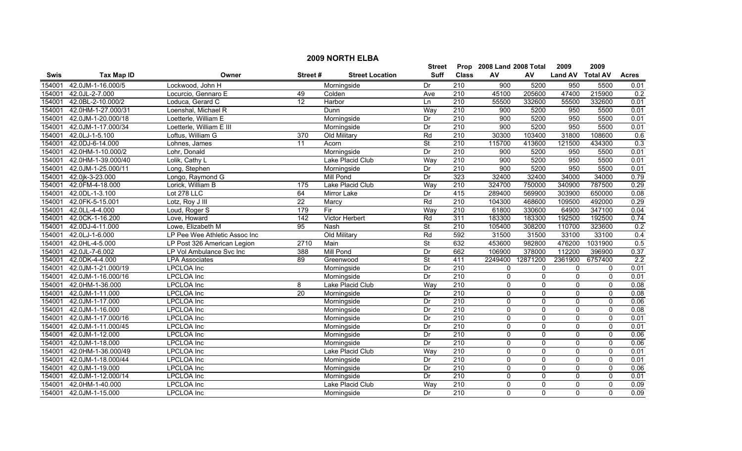|             |                    |                               |                 |                        | <b>Street</b>            |                  | Prop 2008 Land 2008 Total |                | 2009             | 2009           |              |
|-------------|--------------------|-------------------------------|-----------------|------------------------|--------------------------|------------------|---------------------------|----------------|------------------|----------------|--------------|
| <b>Swis</b> | <b>Tax Map ID</b>  | Owner                         | Street#         | <b>Street Location</b> | Suff                     | <b>Class</b>     | AV                        | AV             | Land AV Total AV |                | <b>Acres</b> |
| 154001      | 42.0JM-1-16.000/5  | Lockwood, John H              |                 | Morningside            | Dr                       | 210              | 900                       | 5200           | 950              | 5500           | 0.01         |
| 154001      | 42.0JL-2-7.000     | Locurcio, Gennaro E           | 49              | Colden                 | Ave                      | 210              | 45100                     | 205600         | 47400            | 215900         | 0.2          |
| 154001      | 42.0BL-2-10.000/2  | Loduca, Gerard C              | $\overline{12}$ | Harbor                 | Ln                       | $\overline{210}$ | 55500                     | 332600         | 55500            | 332600         | 0.01         |
| 154001      | 42.0HM-1-27.000/31 | Loenshal, Michael R           |                 | <b>Dunn</b>            | Way                      | 210              | 900                       | 5200           | 950              | 5500           | 0.01         |
| 154001      | 42.0JM-1-20.000/18 | Loetterle, William E          |                 | Morningside            | Dr                       | 210              | 900                       | 5200           | 950              | 5500           | 0.01         |
| 154001      | 42.0JM-1-17.000/34 | Loetterle, William E III      |                 | Morningside            | Dr                       | 210              | 900                       | 5200           | 950              | 5500           | 0.01         |
| 154001      | 42.0LJ-1-5.100     | Loftus, William G             | 370             | Old Military           | Rd                       | 210              | 30300                     | 103400         | 31800            | 108600         | 0.6          |
| 154001      | 42.0DJ-6-14.000    | Lohnes, James                 | 11              | Acorn                  | $\overline{\mathsf{St}}$ | 210              | 115700                    | 413600         | 121500           | 434300         | 0.3          |
| 154001      | 42.0HM-1-10.000/2  | Lohr, Donald                  |                 | Morningside            | Dr                       | 210              | 900                       | 5200           | 950              | 5500           | 0.01         |
| 154001      | 42.0HM-1-39.000/40 | Lolik, Cathy L                |                 | Lake Placid Club       | Way                      | $\overline{210}$ | 900                       | 5200           | 950              | 5500           | 0.01         |
| 154001      | 42.0JM-1-25.000/11 | Long, Stephen                 |                 | Morningside            | Dr                       | $\overline{210}$ | 900                       | 5200           | 950              | 5500           | 0.01         |
| 154001      | 42.0jk-3-23.000    | Longo, Raymond G              |                 | <b>Mill Pond</b>       | Dr                       | 323              | 32400                     | 32400          | 34000            | 34000          | 0.79         |
| 154001      | 42.0FM-4-18.000    | Lorick, William B             | 175             | Lake Placid Club       | Way                      | $\overline{210}$ | 324700                    | 750000         | 340900           | 787500         | 0.29         |
| 154001      | 42.0DL-1-3.100     | Lot 278 LLC                   | 64              | Mirror Lake            | Dr                       | 415              | 289400                    | 569900         | 303900           | 650000         | 0.08         |
| 154001      | 42.0FK-5-15.001    | Lotz, Roy J III               | 22              | Marcy                  | Rd                       | $\overline{210}$ | 104300                    | 468600         | 109500           | 492000         | 0.29         |
| 154001      | 42.0LL-4-4.000     | Loud, Roger S                 | 179             | Fir                    | Way                      | 210              | 61800                     | 330600         | 64900            | 347100         | 0.04         |
| 154001      | 42.0CK-1-16.200    | Love, Howard                  | 142             | <b>Victor Herbert</b>  | Rd                       | 311              | 183300                    | 183300         | 192500           | 192500         | 0.74         |
| 154001      | 42.0DJ-4-11.000    | Lowe, Elizabeth M             | 95              | <b>Nash</b>            | <b>St</b>                | 210              | 105400                    | 308200         | 110700           | 323600         | 0.2          |
| 154001      | 42.0LJ-1-6.000     | LP Pee Wee Athletic Assoc Inc |                 | Old Military           | Rd                       | 592              | 31500                     | 31500          | 33100            | 33100          | 0.4          |
| 154001      | 42.0HL-4-5.000     | LP Post 326 American Legion   | 2710            | Main                   | St                       | 632              | 453600                    | 982800         | 476200           | 1031900        | 0.5          |
| 154001      | 42.0JL-7-6.002     | LP Vol Ambulance Svc Inc      | 388             | <b>Mill Pond</b>       | Dr                       | 662              | 106900                    | 378000         | 112200           | 396900         | 0.37         |
| 154001      | 42.0DK-4-4.000     | <b>LPA Associates</b>         | 89              | Greenwood              | $\overline{\mathsf{St}}$ | 411              | 2249400                   | 12871200       | 2361900          | 6757400        | 2.2          |
| 154001      | 42.0JM-1-21.000/19 | <b>LPCLOA</b> Inc             |                 | Morningside            | Dr                       | 210              | 0                         | 0              | 0                | 0              | 0.01         |
| 154001      | 42.0JM-1-16.000/16 | LPCLOA Inc                    |                 | Morningside            | Dr                       | $\overline{210}$ | $\Omega$                  | 0              | $\mathbf 0$      | $\mathbf 0$    | 0.01         |
| 154001      | 42.0HM-1-36.000    | <b>LPCLOA</b> Inc             | 8               | Lake Placid Club       | Way                      | 210              | $\Omega$                  | $\overline{0}$ | 0                | $\mathbf 0$    | 0.08         |
| 154001      | 42.0JM-1-11.000    | <b>LPCLOA</b> Inc             | 20              | Morningside            | Dr                       | 210              | $\mathbf{0}$              | 0              | $\Omega$         | $\overline{0}$ | 0.08         |
| 154001      | 42.0JM-1-17.000    | LPCLOA Inc                    |                 | Morningside            | Dr                       | 210              | $\Omega$                  | 0              | $\mathbf{0}$     | $\mathbf 0$    | 0.06         |
| 154001      | 42.0JM-1-16.000    | LPCLOA Inc                    |                 | Morningside            | Dr                       | $\overline{210}$ | $\Omega$                  | $\mathbf{0}$   | $\mathbf{0}$     | $\mathbf{0}$   | 0.08         |
| 154001      | 42.0JM-1-17.000/16 | <b>LPCLOA</b> Inc             |                 | Morningside            | Dr                       | 210              | $\Omega$                  | 0              | 0                | $\mathbf 0$    | 0.01         |
| 154001      | 42.0JM-1-11.000/45 | <b>LPCLOA</b> Inc             |                 | Morningside            | Dr                       | 210              | 0                         | $\mathbf 0$    | $\mathbf 0$      | $\mathbf 0$    | 0.01         |
| 154001      | 42.0JM-1-12.000    | <b>LPCLOA</b> Inc             |                 | Morningside            | Dr                       | 210              | $\Omega$                  | 0              | $\mathbf 0$      | $\mathbf 0$    | 0.06         |
| 154001      | 42.0JM-1-18.000    | <b>LPCLOA</b> Inc             |                 | Morningside            | Dr                       | 210              | 0                         | $\overline{0}$ | $\overline{0}$   | $\overline{0}$ | 0.06         |
| 154001      | 42.0HM-1-36.000/49 | <b>LPCLOA</b> Inc             |                 | Lake Placid Club       | Way                      | 210              | $\Omega$                  | $\Omega$       | $\Omega$         | $\mathbf{0}$   | 0.01         |
| 154001      | 42.0JM-1-18.000/44 | <b>LPCLOA</b> Inc             |                 | Morningside            | Dr                       | $\overline{210}$ | $\Omega$                  | 0              | $\Omega$         | $\mathbf{0}$   | 0.01         |
| 154001      | 42.0JM-1-19.000    | <b>LPCLOA</b> Inc             |                 | Morningside            | Dr                       | $\overline{210}$ | $\Omega$                  | $\mathbf{0}$   | $\Omega$         | $\mathbf{0}$   | 0.06         |
| 154001      | 42.0JM-1-12.000/14 | <b>LPCLOA</b> Inc             |                 | Morningside            | Dr                       | 210              | 0                         | 0              | 0                | 0              | 0.01         |
| 154001      | 42.0HM-1-40.000    | LPCLOA Inc                    |                 | Lake Placid Club       | Way                      | $\overline{210}$ | $\Omega$                  | 0              | $\mathbf{0}$     | $\mathbf 0$    | 0.09         |
| 154001      | 42.0JM-1-15.000    | <b>LPCLOA</b> Inc             |                 | Morningside            | Dr                       | 210              | $\Omega$                  | $\Omega$       | $\Omega$         | $\Omega$       | 0.09         |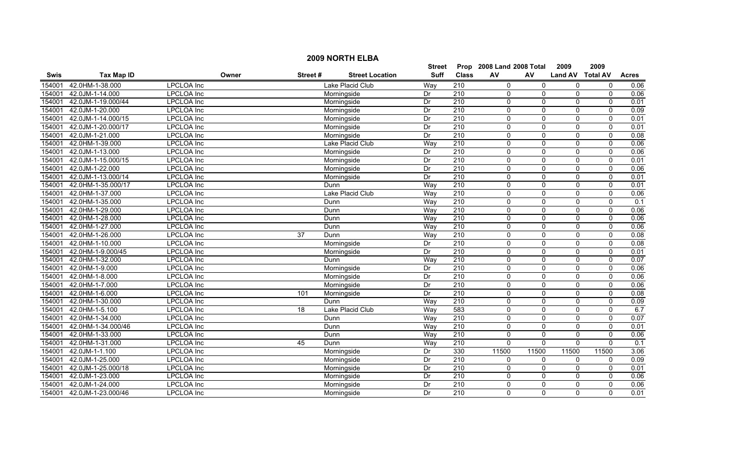|             |                           |                   |                 |                        | <b>Street</b> |                  | Prop 2008 Land 2008 Total |                | 2009             | 2009         |                  |
|-------------|---------------------------|-------------------|-----------------|------------------------|---------------|------------------|---------------------------|----------------|------------------|--------------|------------------|
| <b>Swis</b> | <b>Tax Map ID</b>         | Owner             | Street#         | <b>Street Location</b> | <b>Suff</b>   | <b>Class</b>     | AV                        | AV             | Land AV Total AV |              | <b>Acres</b>     |
| 154001      | 42.0HM-1-38.000           | <b>LPCLOA</b> Inc |                 | Lake Placid Club       | Way           | $\overline{210}$ | $\Omega$                  | 0              | 0                | 0            | 0.06             |
| 154001      | 42.0JM-1-14.000           | <b>LPCLOA</b> Inc |                 | Morningside            | Dr            | 210              | $\Omega$                  | 0              | 0                | $\mathbf 0$  | 0.06             |
| 154001      | 42.0JM-1-19.000/44        | <b>LPCLOA</b> Inc |                 | Morningside            | Dr            | 210              | $\Omega$                  | $\overline{0}$ | 0                | $\mathbf{0}$ | 0.01             |
| 154001      | 42.0JM-1-20.000           | <b>LPCLOA</b> Inc |                 | Morningside            | Dr            | 210              | $\Omega$                  | $\Omega$       | 0                | $\mathbf 0$  | 0.09             |
| 154001      | 42.0JM-1-14.000/15        | <b>LPCLOA</b> Inc |                 | Morningside            | Dr            | 210              | $\Omega$                  | $\Omega$       | $\Omega$         | $\Omega$     | 0.01             |
| 154001      | 42.0JM-1-20.000/17        | <b>LPCLOA</b> Inc |                 | Morningside            | Dr            | 210              | $\Omega$                  | $\mathbf{0}$   | $\Omega$         | $\mathbf 0$  | 0.01             |
| 154001      | 42.0JM-1-21.000           | <b>LPCLOA</b> Inc |                 | Morningside            | Dr            | 210              | 0                         | 0              | $\mathbf 0$      | $\mathbf 0$  | 0.08             |
| 154001      | 42.0HM-1-39.000           | <b>LPCLOA</b> Inc |                 | Lake Placid Club       | Way           | 210              | $\Omega$                  | 0              | $\mathbf 0$      | 0            | 0.06             |
| 154001      | 42.0JM-1-13.000           | <b>LPCLOA</b> Inc |                 | Morningside            | Dr            | 210              | $\Omega$                  | 0              | 0                | $\mathbf{0}$ | 0.06             |
| 154001      | 42.0JM-1-15.000/15        | <b>LPCLOA</b> Inc |                 | Morningside            | Dr            | 210              | $\Omega$                  | $\mathbf{0}$   | $\Omega$         | $\mathbf{0}$ | 0.01             |
| 154001      | 42.0JM-1-22.000           | <b>LPCLOA</b> Inc |                 | Morningside            | Dr            | 210              | $\Omega$                  | $\Omega$       | $\Omega$         | $\mathbf{0}$ | 0.06             |
| 154001      | 42.0JM-1-13.000/14        | <b>LPCLOA</b> Inc |                 | Morningside            | Dr            | $\overline{210}$ | $\Omega$                  | 0              | 0                | $\mathbf 0$  | 0.01             |
| 154001      | 42.0HM-1-35.000/17        | LPCLOA Inc        |                 | Dunn                   | Way           | $\overline{210}$ | $\Omega$                  | 0              | 0                | $\mathbf 0$  | 0.01             |
| 154001      | 42.0HM-1-37.000           | LPCLOA Inc        |                 | Lake Placid Club       | Way           | $\overline{210}$ | $\Omega$                  | 0              | $\mathbf 0$      | $\mathbf 0$  | 0.06             |
| 154001      | 42.0HM-1-35.000           | LPCLOA Inc        |                 | Dunn                   | Way           | 210              | $\Omega$                  | $\mathbf{0}$   | $\mathbf{0}$     | $\mathbf 0$  | $\overline{0.1}$ |
| 154001      | 42.0HM-1-29.000           | <b>LPCLOA</b> Inc |                 | Dunn                   | Way           | 210              | 0                         | 0              | 0                | $\mathbf 0$  | 0.06             |
| 154001      | 42.0HM-1-28.000           | <b>LPCLOA</b> Inc |                 | Dunn                   | Way           | 210              | $\mathbf{0}$              | $\overline{0}$ | 0                | $\mathbf 0$  | 0.06             |
| 154001      | 42.0HM-1-27.000           | <b>LPCLOA</b> Inc |                 | Dunn                   | Way           | 210              | $\Omega$                  | $\Omega$       | $\Omega$         | $\mathbf{0}$ | 0.06             |
| 154001      | 42.0HM-1-26.000           | <b>LPCLOA</b> Inc | 37              | Dunn                   | Way           | 210              | $\Omega$                  | $\Omega$       | $\Omega$         | $\mathbf 0$  | 0.08             |
| 154001      | 42.0HM-1-10.000           | <b>LPCLOA</b> Inc |                 | Morningside            | Dr            | 210              | $\Omega$                  | $\mathbf{0}$   | $\mathbf{0}$     | $\mathbf{0}$ | 0.08             |
| 154001      | 42.0HM-1-9.000/45         | LPCLOA Inc        |                 | Morningside            | Dr            | $\overline{210}$ | 0                         | 0              | 0                | 0            | 0.01             |
| 154001      | 42.0HM-1-32.000           | LPCLOA Inc        |                 | Dunn                   | Way           | $\overline{210}$ | $\Omega$                  | $\Omega$       | $\mathbf 0$      | $\mathbf{0}$ | 0.07             |
| 154001      | 42.0HM-1-9.000            | LPCLOA Inc        |                 | Morningside            | Dr            | $\overline{210}$ | $\Omega$                  | 0              | 0                | $\mathbf 0$  | 0.06             |
| 154001      | 42.0HM-1-8.000            | <b>LPCLOA</b> Inc |                 | Morningside            | Dr            | 210              | $\mathbf{0}$              | 0              | $\mathbf 0$      | $\mathbf 0$  | 0.06             |
| 154001      | 42.0HM-1-7.000            | <b>LPCLOA</b> Inc |                 | Morningside            | Dr            | 210              | $\mathbf{0}$              | $\overline{0}$ | 0                | $\mathbf 0$  | 0.06             |
| 154001      | 42.0HM-1-6.000            | <b>LPCLOA</b> Inc | 101             | Morningside            | Dr            | $\overline{210}$ | $\Omega$                  | $\Omega$       | 0                | $\mathbf 0$  | 0.08             |
| 154001      | 42.0HM-1-30.000           | LPCLOA Inc        |                 | Dunn                   | Way           | $\overline{210}$ | $\Omega$                  | $\Omega$       | $\Omega$         | $\mathbf{0}$ | 0.09             |
| 154001      | 42.0HM-1-5.100            | LPCLOA Inc        | $\overline{18}$ | Lake Placid Club       | Way           | 583              | $\Omega$                  | $\mathbf{0}$   | $\mathbf{0}$     | $\mathbf 0$  | 6.7              |
| 154001      | 42.0HM-1-34.000           | <b>LPCLOA</b> Inc |                 | Dunn                   | Way           | 210              | $\Omega$                  | $\mathbf{0}$   | $\mathbf{0}$     | $\mathbf{0}$ | 0.07             |
| 154001      | 42.0HM-1-34.000/46        | <b>LPCLOA</b> Inc |                 | Dunn                   | Way           | 210              | $\Omega$                  | $\overline{0}$ | $\mathbf 0$      | $\mathbf 0$  | 0.01             |
| 154001      | 42.0HM-1-33.000           | <b>LPCLOA</b> Inc |                 | Dunn                   | Way           | 210              | $\Omega$                  | 0              | $\mathbf 0$      | $\mathbf 0$  | 0.06             |
| 154001      | 42.0HM-1-31.000           | <b>LPCLOA</b> Inc | $\overline{45}$ | Dunn                   | Way           | 210              | $\Omega$                  | $\overline{0}$ | $\overline{0}$   | $\mathbf{0}$ | 0.1              |
| 154001      | 42.0JM-1-1.100            | <b>LPCLOA</b> Inc |                 | Morningside            | Dr            | 330              | 11500                     | 11500          | 11500            | 11500        | 3.06             |
| 154001      | 42.0JM-1-25.000           | <b>LPCLOA</b> Inc |                 | Morningside            | Dr            | $\overline{210}$ | $\mathbf{0}$              | 0              | 0                | $\mathbf 0$  | 0.09             |
| 154001      | 42.0JM-1-25.000/18        | LPCLOA Inc        |                 | Morningside            | Dr            | 210              | 0                         | 0              | 0                | $\mathbf 0$  | 0.01             |
| 154001      | 42.0JM-1-23.000           | LPCLOA Inc        |                 | Morningside            | Dr            | 210              | 0                         | 0              | 0                | $\mathbf 0$  | 0.06             |
| 154001      | 42.0JM-1-24.000           | <b>LPCLOA</b> Inc |                 | Morningside            | Dr            | 210              | $\Omega$                  | $\Omega$       | $\mathbf{0}$     | $\mathbf{0}$ | 0.06             |
|             | 154001 42.0JM-1-23.000/46 | <b>LPCLOA</b> Inc |                 | Morningside            | Dr            | 210              | $\Omega$                  | $\Omega$       | $\Omega$         | $\Omega$     | 0.01             |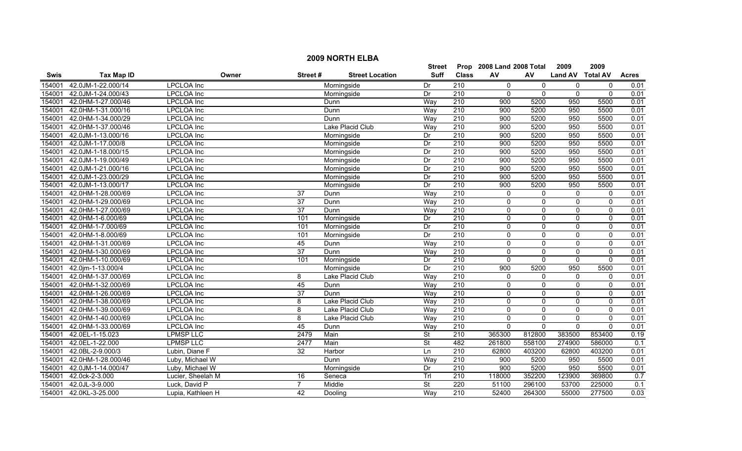|             |                    |                   |                 |                         | <b>Street</b> |                  | Prop 2008 Land 2008 Total |                | 2009             | 2009         |              |
|-------------|--------------------|-------------------|-----------------|-------------------------|---------------|------------------|---------------------------|----------------|------------------|--------------|--------------|
| <b>Swis</b> | <b>Tax Map ID</b>  | Owner             | Street#         | <b>Street Location</b>  | Suff          | <b>Class</b>     | AV                        | AV.            | Land AV Total AV |              | <b>Acres</b> |
| 154001      | 42.0JM-1-22.000/14 | <b>LPCLOA</b> Inc |                 | Morningside             | Dr            | 210              | $\mathbf{0}$              | 0              | 0                | $\mathbf 0$  | 0.01         |
| 154001      | 42.0JM-1-24.000/43 | <b>LPCLOA</b> Inc |                 | Morningside             | Dr            | $\overline{210}$ | $\Omega$                  | 0              | $\mathbf{0}$     | $\Omega$     | 0.01         |
| 154001      | 42.0HM-1-27.000/46 | <b>LPCLOA</b> Inc |                 | Dunn                    | Way           | $\overline{210}$ | 900                       | 5200           | 950              | 5500         | 0.01         |
| 154001      | 42.0HM-1-31.000/16 | <b>LPCLOA</b> Inc |                 | Dunn                    | Way           | 210              | 900                       | 5200           | 950              | 5500         | 0.01         |
| 154001      | 42.0HM-1-34.000/29 | <b>LPCLOA</b> Inc |                 | Dunn                    | Way           | 210              | 900                       | 5200           | 950              | 5500         | 0.01         |
| 154001      | 42.0HM-1-37.000/46 | <b>LPCLOA</b> Inc |                 | <b>Lake Placid Club</b> | Way           | 210              | 900                       | 5200           | 950              | 5500         | 0.01         |
| 154001      | 42.0JM-1-13.000/16 | <b>LPCLOA</b> Inc |                 | Morningside             | Dr            | 210              | 900                       | 5200           | 950              | 5500         | 0.01         |
| 154001      | 42.0JM-1-17.000/8  | <b>LPCLOA</b> Inc |                 | Morningside             | Dr            | 210              | 900                       | 5200           | 950              | 5500         | 0.01         |
| 154001      | 42.0JM-1-18.000/15 | LPCLOA Inc        |                 | Morningside             | Dr            | $\overline{210}$ | 900                       | 5200           | 950              | 5500         | 0.01         |
| 154001      | 42.0JM-1-19.000/49 | <b>LPCLOA</b> Inc |                 | Morningside             | Dr            | $\overline{210}$ | 900                       | 5200           | 950              | 5500         | 0.01         |
| 154001      | 42.0JM-1-21.000/16 | <b>LPCLOA</b> Inc |                 | Morningside             | Dr            | 210              | 900                       | 5200           | 950              | 5500         | 0.01         |
| 154001      | 42.0JM-1-23.000/29 | <b>LPCLOA</b> Inc |                 | Morningside             | Dr            | $\overline{210}$ | 900                       | 5200           | 950              | 5500         | 0.01         |
| 154001      | 42.0JM-1-13.000/17 | <b>LPCLOA Inc</b> |                 | Morningside             | Dr            | $\overline{210}$ | 900                       | 5200           | 950              | 5500         | 0.01         |
| 154001      | 42.0HM-1-28.000/69 | <b>LPCLOA</b> Inc | 37              | Dunn                    | Way           | $\overline{210}$ | $\mathbf{0}$              | 0              | $\mathbf 0$      | $\Omega$     | 0.01         |
| 154001      | 42.0HM-1-29.000/69 | LPCLOA Inc        | $\overline{37}$ | Dunn                    | Way           | $\overline{210}$ | 0                         | 0              | $\pmb{0}$        | $\pmb{0}$    | 0.01         |
| 154001      | 42.0HM-1-27.000/69 | LPCLOA Inc        | $\overline{37}$ | Dunn                    | Way           | $\overline{210}$ | 0                         | 0              | $\mathbf 0$      | $\mathbf 0$  | 0.01         |
| 154001      | 42.0HM-1-6.000/69  | <b>LPCLOA Inc</b> | 101             | Morningside             | Dr            | 210              | $\Omega$                  | $\overline{0}$ | $\overline{0}$   | $\mathbf{0}$ | 0.01         |
| 154001      | 42.0HM-1-7.000/69  | <b>LPCLOA Inc</b> | 101             | Morningside             | Dr            | 210              | $\Omega$                  | $\Omega$       | $\Omega$         | $\mathbf{0}$ | 0.01         |
| 154001      | 42.0HM-1-8.000/69  | <b>LPCLOA</b> Inc | 101             | Morningside             | Dr            | 210              | $\Omega$                  | 0              | 0                | $\mathbf 0$  | 0.01         |
| 154001      | 42.0HM-1-31.000/69 | <b>LPCLOA</b> Inc | 45              | Dunn                    | Way           | 210              | $\mathbf{0}$              | 0              | $\mathbf 0$      | $\mathbf 0$  | 0.01         |
| 154001      | 42.0HM-1-30.000/69 | <b>LPCLOA Inc</b> | $\overline{37}$ | Dunn                    | Way           | $\overline{210}$ | $\mathbf{0}$              | 0              | $\mathbf 0$      | $\mathbf 0$  | 0.01         |
| 154001      | 42.0HM-1-10.000/69 | <b>LPCLOA</b> Inc | 101             | Morningside             | Dr            | 210              | $\Omega$                  | 0              | $\mathbf 0$      | $\mathbf 0$  | 0.01         |
| 154001      | 42.0jm-1-13.000/4  | LPCLOA Inc        |                 | Morningside             | Dr            | $\overline{210}$ | 900                       | 5200           | 950              | 5500         | 0.01         |
| 154001      | 42.0HM-1-37.000/69 | <b>LPCLOA</b> Inc | 8               | Lake Placid Club        | Way           | 210              | $\Omega$                  | $\mathbf{0}$   | $\Omega$         | $\Omega$     | 0.01         |
| 154001      | 42.0HM-1-32.000/69 | <b>LPCLOA</b> Inc | 45              | Dunn                    | Way           | 210              | $\Omega$                  | $\mathbf{0}$   | $\Omega$         | $\mathbf{0}$ | 0.01         |
| 154001      | 42.0HM-1-26.000/69 | LPCLOA Inc        | 37              | Dunn                    | Way           | 210              | 0                         | 0              | 0                | 0            | 0.01         |
| 154001      | 42.0HM-1-38.000/69 | <b>LPCLOA Inc</b> | 8               | Lake Placid Club        | Way           | $\overline{210}$ | $\mathbf{0}$              | $\Omega$       | $\Omega$         | $\mathbf{0}$ | 0.01         |
| 154001      | 42.0HM-1-39.000/69 | <b>LPCLOA Inc</b> | 8               | Lake Placid Club        | Way           | $\overline{210}$ | $\mathbf{0}$              | $\mathbf{0}$   | $\mathbf{0}$     | $\mathbf{0}$ | 0.01         |
| 154001      | 42.0HM-1-40.000/69 | <b>LPCLOA</b> Inc | 8               | Lake Placid Club        | Way           | 210              | 0                         | $\mathbf 0$    | $\mathbf 0$      | $\mathbf 0$  | 0.01         |
| 154001      | 42.0HM-1-33.000/69 | <b>LPCLOA</b> Inc | 45              | Dunn                    | Way           | 210              | $\mathbf{0}$              | $\mathbf{0}$   | $\mathbf{0}$     | $\mathbf{0}$ | 0.01         |
| 154001      | 42.0EL-1-15.023    | <b>LPMSP LLC</b>  | 2479            | Main                    | <b>St</b>     | 210              | 365300                    | 812800         | 383500           | 853400       | 0.19         |
| 154001      | 42.0EL-1-22.000    | <b>LPMSP LLC</b>  | 2477            | Main                    | <b>St</b>     | 482              | 261800                    | 558100         | 274900           | 586000       | 0.1          |
| 154001      | 42.0BL-2-9.000/3   | Lubin, Diane F    | 32              | Harbor                  | Ln            | 210              | 62800                     | 403200         | 62800            | 403200       | 0.01         |
| 154001      | 42.0HM-1-28.000/46 | Luby, Michael W   |                 | Dunn                    | Way           | 210              | 900                       | 5200           | 950              | 5500         | 0.01         |
| 154001      | 42.0JM-1-14.000/47 | Luby, Michael W   |                 | Morningside             | Dr            | 210              | 900                       | 5200           | 950              | 5500         | 0.01         |
| 154001      | 42.0ck-2-3.000     | Lucier, Sheelah M | 16              | Seneca                  | Trl           | 210              | 118000                    | 352200         | 123900           | 369800       | 0.7          |
| 154001      | 42.0JL-3-9.000     | Luck, David P     | $\overline{7}$  | Middle                  | St            | 220              | 51100                     | 296100         | 53700            | 225000       | 0.1          |
| 154001      | 42.0KL-3-25.000    | Lupia, Kathleen H | 42              | Dooling                 | Way           | $\overline{210}$ | 52400                     | 264300         | 55000            | 277500       | 0.03         |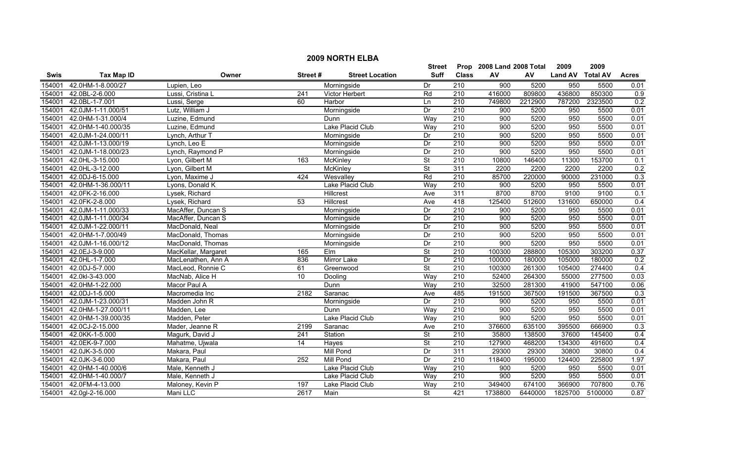|             |                    |                     |         |                        | <b>Street</b>            |                  | Prop 2008 Land 2008 Total |         | 2009             | 2009    |              |
|-------------|--------------------|---------------------|---------|------------------------|--------------------------|------------------|---------------------------|---------|------------------|---------|--------------|
| <b>Swis</b> | <b>Tax Map ID</b>  | Owner               | Street# | <b>Street Location</b> | Suff                     | <b>Class</b>     | AV                        | AV      | Land AV Total AV |         | <b>Acres</b> |
| 154001      | 42.0HM-1-8.000/27  | Lupien, Leo         |         | Morningside            | Dr                       | 210              | 900                       | 5200    | 950              | 5500    | 0.01         |
| 154001      | 42.0BL-2-6.000     | Lussi, Cristina L   | 241     | Victor Herbert         | Rd                       | $\overline{210}$ | 416000                    | 809800  | 436800           | 850300  | 0.9          |
| 154001      | 42.0BL-1-7.001     | Lussi, Serge        | 60      | Harbor                 | Ln                       | $\overline{210}$ | 749800                    | 2212900 | 787200           | 2323500 | 0.2          |
| 154001      | 42.0JM-1-11.000/51 | Lutz, William J     |         | Morningside            | Dr                       | 210              | 900                       | 5200    | 950              | 5500    | 0.01         |
| 154001      | 42.0HM-1-31.000/4  | Luzine, Edmund      |         | Dunn                   | Way                      | 210              | 900                       | 5200    | 950              | 5500    | 0.01         |
| 154001      | 42.0HM-1-40.000/35 | Luzine, Edmund      |         | Lake Placid Club       | Way                      | 210              | 900                       | 5200    | 950              | 5500    | 0.01         |
| 154001      | 42.0JM-1-24.000/11 | Lynch, Arthur T     |         | Morningside            | Dr                       | 210              | 900                       | 5200    | 950              | 5500    | 0.01         |
| 154001      | 42.0JM-1-13.000/19 | Lynch, Leo E        |         | Morningside            | Dr                       | 210              | 900                       | 5200    | 950              | 5500    | 0.01         |
| 154001      | 42.0JM-1-18.000/23 | Lynch, Raymond P    |         | Morningside            | Dr                       | $\overline{210}$ | 900                       | 5200    | 950              | 5500    | 0.01         |
| 154001      | 42.0HL-3-15.000    | Lyon, Gilbert M     | 163     | McKinley               | <b>St</b>                | $\overline{210}$ | 10800                     | 146400  | 11300            | 153700  | 0.1          |
| 154001      | 42.0HL-3-12.000    | Lyon, Gilbert M     |         | <b>McKinley</b>        | <b>St</b>                | 311              | 2200                      | 2200    | 2200             | 2200    | 0.2          |
| 154001      | 42.0DJ-6-15.000    | Lyon, Maxime J      | 424     | Wesvalley              | Rd                       | $\overline{210}$ | 85700                     | 220000  | 90000            | 231000  | 0.3          |
| 154001      | 42.0HM-1-36.000/11 | Lyons, Donald K     |         | Lake Placid Club       | Way                      | $\overline{210}$ | 900                       | 5200    | 950              | 5500    | 0.01         |
| 154001      | 42.0FK-2-16.000    | Lysek, Richard      |         | Hillcrest              | Ave                      | 311              | 8700                      | 8700    | 9100             | 9100    | 0.1          |
| 154001      | 42.0FK-2-8.000     | Lysek, Richard      | 53      | Hillcrest              | Ave                      | 418              | 125400                    | 512600  | 131600           | 650000  | 0.4          |
| 154001      | 42.0JM-1-11.000/33 | MacAffer, Duncan S  |         | Morningside            | Dr                       | $\overline{210}$ | 900                       | 5200    | 950              | 5500    | 0.01         |
| 154001      | 42.0JM-1-11.000/34 | MacAffer, Duncan S  |         | Morningside            | Dr                       | 210              | 900                       | 5200    | 950              | 5500    | 0.01         |
| 154001      | 42.0JM-1-22.000/11 | MacDonald, Neal     |         | Morningside            | Dr                       | 210              | 900                       | 5200    | 950              | 5500    | 0.01         |
| 154001      | 42.0HM-1-7.000/49  | MacDonald, Thomas   |         | Morningside            | Dr                       | 210              | 900                       | 5200    | 950              | 5500    | 0.01         |
| 154001      | 42.0JM-1-16.000/12 | MacDonald, Thomas   |         | Morningside            | Dr                       | 210              | 900                       | 5200    | 950              | 5500    | 0.01         |
| 154001      | 42.0EJ-3-9.000     | MacKellar, Margaret | 165     | Elm                    | St                       | $\overline{210}$ | 100300                    | 288800  | 105300           | 303200  | 0.37         |
| 154001      | 42.0HL-1-7.000     | MacLenathen, Ann A  | 836     | Mirror Lake            | Dr                       | 210              | 100000                    | 180000  | 105000           | 180000  | 0.2          |
| 154001      | 42.0DJ-5-7.000     | MacLeod, Ronnie C   | 61      | Greenwood              | <b>St</b>                | $\overline{210}$ | 100300                    | 261300  | 105400           | 274400  | 0.4          |
| 154001      | 42.0kl-3-43.000    | MacNab, Alice H     | 10      | Dooling                | Way                      | $\overline{210}$ | 52400                     | 264300  | 55000            | 277500  | 0.03         |
| 154001      | 42.0HM-1-22.000    | Macor Paul A        |         | Dunn                   | Way                      | 210              | 32500                     | 281300  | 41900            | 547100  | 0.06         |
| 154001      | 42.0DJ-1-5.000     | Macromedia Inc      | 2182    | Saranac                | Ave                      | 485              | 191500                    | 367500  | 191500           | 367500  | 0.3          |
| 154001      | 42.0JM-1-23.000/31 | Madden John R       |         | Morningside            | Dr                       | $\overline{210}$ | 900                       | 5200    | 950              | 5500    | 0.01         |
| 154001      | 42.0HM-1-27.000/11 | Madden, Lee         |         | Dunn                   | Way                      | $\overline{210}$ | 900                       | 5200    | 950              | 5500    | 0.01         |
| 154001      | 42.0HM-1-39.000/35 | Madden, Peter       |         | Lake Placid Club       | Way                      | 210              | 900                       | 5200    | 950              | 5500    | 0.01         |
| 154001      | 42.0CJ-2-15.000    | Mader, Jeanne R     | 2199    | Saranac                | Ave                      | 210              | 376600                    | 635100  | 395500           | 666900  | 0.3          |
| 154001      | 42.0KK-1-5.000     | Magurk, David J     | 241     | Station                | <b>St</b>                | 210              | 35800                     | 138500  | 37600            | 145400  | 0.4          |
| 154001      | 42.0EK-9-7.000     | Mahatme, Ujwala     | 14      | Hayes                  | <b>St</b>                | 210              | 127900                    | 468200  | 134300           | 491600  | 0.4          |
| 154001      | 42.0JK-3-5.000     | Makara, Paul        |         | <b>Mill Pond</b>       | Dr                       | 311              | 29300                     | 29300   | 30800            | 30800   | 0.4          |
| 154001      | 42.0JK-3-6.000     | Makara, Paul        | 252     | <b>Mill Pond</b>       | Dr                       | $\overline{210}$ | 118400                    | 195000  | 124400           | 225800  | 1.97         |
| 154001      | 42.0HM-1-40.000/6  | Male, Kenneth J     |         | Lake Placid Club       | Way                      | $\overline{210}$ | 900                       | 5200    | 950              | 5500    | 0.01         |
| 154001      | 42.0HM-1-40.000/7  | Male, Kenneth J     |         | Lake Placid Club       | Way                      | 210              | 900                       | 5200    | 950              | 5500    | 0.01         |
| 154001      | 42.0FM-4-13.000    | Maloney, Kevin P    | 197     | Lake Placid Club       | Way                      | 210              | 349400                    | 674100  | 366900           | 707800  | 0.76         |
| 154001      | 42.0ql-2-16.000    | Mani LLC            | 2617    | Main                   | $\overline{\mathsf{St}}$ | 421              | 1738800                   | 6440000 | 1825700          | 5100000 | 0.87         |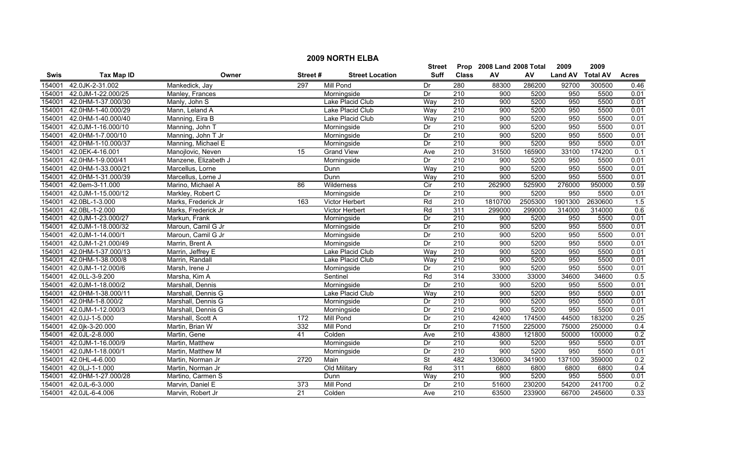|             | <b>2009 NORTH ELBA</b> |                      |         |                        |             |                  |                           |         |                |                 |                  |  |
|-------------|------------------------|----------------------|---------|------------------------|-------------|------------------|---------------------------|---------|----------------|-----------------|------------------|--|
|             |                        |                      |         |                        | Street      |                  | Prop 2008 Land 2008 Total |         | 2009           | 2009            |                  |  |
| <b>Swis</b> | <b>Tax Map ID</b>      | Owner                | Street# | <b>Street Location</b> | <b>Suff</b> | <b>Class</b>     | AV                        | AV      | <b>Land AV</b> | <b>Total AV</b> | <b>Acres</b>     |  |
| 154001      | 42.0JK-2-31.002        | Mankedick, Jay       | 297     | Mill Pond              | Dr          | 280              | 88300                     | 286200  | 92700          | 300500          | 0.46             |  |
| 154001      | 42.0JM-1-22.000/25     | Manley, Frances      |         | Morningside            | Dr          | $\overline{210}$ | 900                       | 5200    | 950            | 5500            | 0.01             |  |
| 154001      | 42.0HM-1-37.000/30     | Manly, John S        |         | Lake Placid Club       | Way         | 210              | 900                       | 5200    | 950            | 5500            | 0.01             |  |
| 154001      | 42.0HM-1-40.000/29     | Mann, Leland A       |         | Lake Placid Club       | Way         | 210              | 900                       | 5200    | 950            | 5500            | 0.01             |  |
| 154001      | 42.0HM-1-40.000/40     | Manning, Eira B      |         | Lake Placid Club       | Way         | 210              | 900                       | 5200    | 950            | 5500            | 0.01             |  |
| 154001      | 42.0JM-1-16.000/10     | Manning, John T      |         | Morningside            | Dr          | 210              | 900                       | 5200    | 950            | 5500            | 0.01             |  |
| 154001      | 42.0HM-1-7.000/10      | Manning, John T Jr   |         | Morningside            | Dr          | 210              | 900                       | 5200    | 950            | 5500            | 0.01             |  |
| 154001      | 42.0HM-1-10.000/37     | Manning, Michael E   |         | Morningside            | Dr          | 210              | 900                       | 5200    | 950            | 5500            | 0.01             |  |
| 154001      | 42.0EK-4-16.001        | Manojlovic, Neven    | 15      | <b>Grand View</b>      | Ave         | $\overline{210}$ | 31500                     | 165900  | 33100          | 174200          | 0.1              |  |
| 154001      | 42.0HM-1-9.000/41      | Manzene, Elizabeth J |         | Morningside            | Dr          | 210              | 900                       | 5200    | 950            | 5500            | 0.01             |  |
| 154001      | 42.0HM-1-33.000/21     | Marcellus, Lorne     |         | Dunn                   | Way         | 210              | 900                       | 5200    | 950            | 5500            | 0.01             |  |
| 154001      | 42.0HM-1-31.000/39     | Marcellus, Lorne J   |         | Dunn                   | Way         | $\overline{210}$ | 900                       | 5200    | 950            | 5500            | 0.01             |  |
| 154001      | 42.0em-3-11.000        | Marino, Michael A    | 86      | Wilderness             | Cir         | 210              | 262900                    | 525900  | 276000         | 950000          | 0.59             |  |
| 154001      | 42.0JM-1-15.000/12     | Markley, Robert C    |         | Morningside            | Dr          | 210              | 900                       | 5200    | 950            | 5500            | 0.01             |  |
| 154001      | 42.0BL-1-3.000         | Marks, Frederick Jr  | 163     | Victor Herbert         | Rd          | $\overline{210}$ | 1810700                   | 2505300 | 1901300        | 2630600         | $\overline{1.5}$ |  |
| 154001      | 42.0BL-1-2.000         | Marks, Frederick Jr  |         | Victor Herbert         | Rd          | 311              | 299000                    | 299000  | 314000         | 314000          | 0.6              |  |
| 154001      | 42.0JM-1-23.000/27     | Markun, Frank        |         | Morningside            | Dr          | 210              | 900                       | 5200    | 950            | 5500            | 0.01             |  |
| 154001      | 42.0JM-1-18.000/32     | Maroun, Camil G Jr   |         | Morningside            | Dr          | 210              | 900                       | 5200    | 950            | 5500            | 0.01             |  |
| 154001      | 42.0JM-1-14.000/1      | Maroun, Camil G Jr   |         | Morningside            | Dr          | 210              | 900                       | 5200    | 950            | 5500            | 0.01             |  |
| 154001      | 42.0JM-1-21.000/49     | Marrin, Brent A      |         | Morningside            | Dr          | 210              | 900                       | 5200    | 950            | 5500            | 0.01             |  |
| 154001      | 42.0HM-1-37.000/13     | Marrin, Jeffrey E    |         | Lake Placid Club       | Way         | 210              | 900                       | 5200    | 950            | 5500            | 0.01             |  |
| 154001      | 42.0HM-1-38.000/8      | Marrin, Randall      |         | Lake Placid Club       | Way         | 210              | 900                       | 5200    | 950            | 5500            | 0.01             |  |
| 154001      | 42.0JM-1-12.000/6      | Marsh, Irene J       |         | Morningside            | Dr          | 210              | 900                       | 5200    | 950            | 5500            | 0.01             |  |
| 154001      | 42.0LL-3-9.200         | Marsha, Kim A        |         | Sentinel               | Rd          | 314              | 33000                     | 33000   | 34600          | 34600           | 0.5              |  |
| 154001      | 42.0JM-1-18.000/2      | Marshall, Dennis     |         | Morningside            | Dr          | $\overline{210}$ | 900                       | 5200    | 950            | 5500            | 0.01             |  |
| 154001      | 42.0HM-1-38.000/11     | Marshall, Dennis G   |         | Lake Placid Club       | Way         | 210              | 900                       | 5200    | 950            | 5500            | 0.01             |  |
| 154001      | 42.0HM-1-8.000/2       | Marshall, Dennis G   |         | Morningside            | Dr          | 210              | 900                       | 5200    | 950            | 5500            | 0.01             |  |
| 154001      | 42.0JM-1-12.000/3      | Marshall, Dennis G   |         | Morningside            | Dr          | $\overline{210}$ | 900                       | 5200    | 950            | 5500            | 0.01             |  |
| 154001      | 42.0JJ-1-5.000         | Marshall, Scott A    | 172     | Mill Pond              | Dr          | 210              | 42400                     | 174500  | 44500          | 183200          | 0.25             |  |
| 154001      | 42.0jk-3-20.000        | Martin, Brian W      | 332     | Mill Pond              | Dr          | 210              | 71500                     | 225000  | 75000          | 250000          | 0.4              |  |
| 154001      | 42.0JL-2-8.000         | Martin, Gene         | 41      | Colden                 | Ave         | 210              | 43800                     | 121800  | 50000          | 100000          | 0.2              |  |
| 154001      | 42.0JM-1-16.000/9      | Martin, Matthew      |         | Morningside            | Dr          | 210              | 900                       | 5200    | 950            | 5500            | 0.01             |  |
| 154001      | 42.0JM-1-18.000/1      | Martin, Matthew M    |         | Morningside            | Dr          | 210              | 900                       | 5200    | 950            | 5500            | 0.01             |  |
| 154001      | 42.0HL-4-6.000         | Martin, Norman Jr    | 2720    | Main                   | St          | 482              | 130600                    | 341900  | 137100         | 359000          | 0.2              |  |
| 154001      | 42.0LJ-1-1.000         | Martin, Norman Jr    |         | Old Military           | Rd          | 311              | 6800                      | 6800    | 6800           | 6800            | 0.4              |  |
| 154001      | 42.0HM-1-27.000/28     | Martino, Carmen S    |         | Dunn                   | Way         | 210              | 900                       | 5200    | 950            | 5500            | 0.01             |  |
| 154001      | 42.0JL-6-3.000         | Marvin, Daniel E     | 373     | Mill Pond              | Dr          | 210              | 51600                     | 230200  | 54200          | 241700          | 0.2              |  |
| 154001      | 42.0JL-6-4.006         | Marvin, Robert Jr    | 21      | Colden                 | Ave         | $\overline{210}$ | 63500                     | 233900  | 66700          | 245600          | 0.33             |  |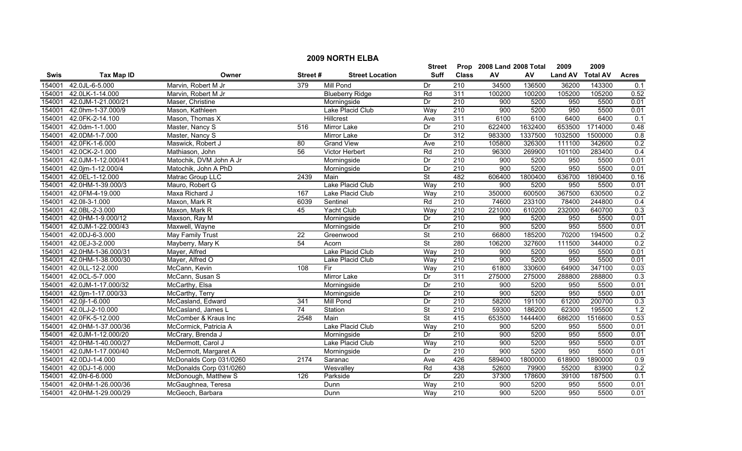|             |                    |                         |                 |                        | <b>Street</b>            |                  | Prop 2008 Land 2008 Total |         | 2009           | 2009            |              |
|-------------|--------------------|-------------------------|-----------------|------------------------|--------------------------|------------------|---------------------------|---------|----------------|-----------------|--------------|
| <b>Swis</b> | <b>Tax Map ID</b>  | Owner                   | Street#         | <b>Street Location</b> | <b>Suff</b>              | <b>Class</b>     | AV                        | AV      | <b>Land AV</b> | <b>Total AV</b> | <b>Acres</b> |
| 154001      | 42.0JL-6-5.000     | Marvin, Robert M Jr     | 379             | <b>Mill Pond</b>       | Dr                       | 210              | 34500                     | 136500  | 36200          | 143300          | 0.1          |
| 154001      | 42.0LK-1-14.000    | Marvin, Robert M Jr     |                 | <b>Blueberry Ridge</b> | Rd                       | 311              | 100200                    | 100200  | 105200         | 105200          | 0.52         |
| 154001      | 42.0JM-1-21.000/21 | Maser, Christine        |                 | Morningside            | Dr                       | $\overline{210}$ | 900                       | 5200    | 950            | 5500            | 0.01         |
| 154001      | 42.0hm-1-37.000/9  | Mason, Kathleen         |                 | Lake Placid Club       | Way                      | 210              | 900                       | 5200    | 950            | 5500            | 0.01         |
| 154001      | 42.0FK-2-14.100    | Mason, Thomas X         |                 | Hillcrest              | Ave                      | 311              | 6100                      | 6100    | 6400           | 6400            | 0.1          |
| 154001      | 42.0dm-1-1.000     | Master, Nancy S         | 516             | Mirror Lake            | Dr                       | 210              | 622400                    | 1632400 | 653500         | 1714000         | 0.48         |
| 154001      | 42.0DM-1-7.000     | Master, Nancy S         |                 | <b>Mirror Lake</b>     | Dr                       | 312              | 983300                    | 1337500 | 1032500        | 1500000         | 0.8          |
| 154001      | 42.0FK-1-6.000     | Maswick, Robert J       | 80              | <b>Grand View</b>      | Ave                      | 210              | 105800                    | 326300  | 111100         | 342600          | 0.2          |
| 154001      | 42.0CK-2-1.000     | Mathiason, John         | 56              | Victor Herbert         | Rd                       | 210              | 96300                     | 269900  | 101100         | 283400          | 0.4          |
| 154001      | 42.0JM-1-12.000/41 | Matochik, DVM John A Jr |                 | Morningside            | Dr                       | $\overline{210}$ | $\overline{900}$          | 5200    | 950            | 5500            | 0.01         |
| 154001      | 42.0jm-1-12.000/4  | Matochik, John A PhD    |                 | Morningside            | Dr                       | $\overline{210}$ | 900                       | 5200    | 950            | 5500            | 0.01         |
| 154001      | 42.0EL-1-12.000    | Matrac Group LLC        | 2439            | Main                   | <b>St</b>                | 482              | 606400                    | 1800400 | 636700         | 1890400         | 0.16         |
| 154001      | 42.0HM-1-39.000/3  | Mauro, Robert G         |                 | Lake Placid Club       | Way                      | $\overline{210}$ | 900                       | 5200    | 950            | 5500            | 0.01         |
| 154001      | 42.0FM-4-19.000    | Maxa Richard J          | 167             | Lake Placid Club       | Way                      | 210              | 350000                    | 600500  | 367500         | 630500          | 0.2          |
| 154001      | 42.0II-3-1.000     | Maxon, Mark R           | 6039            | Sentinel               | Rd                       | $\overline{210}$ | 74600                     | 233100  | 78400          | 244800          | 0.4          |
| 154001      | 42.0BL-2-3.000     | Maxon, Mark R           | 45              | Yacht Club             | Way                      | 210              | 221000                    | 610200  | 232000         | 640700          | 0.3          |
| 154001      | 42.0HM-1-9.000/12  | Maxson, Ray M           |                 | Morningside            | Dr                       | 210              | 900                       | 5200    | 950            | 5500            | 0.01         |
| 154001      | 42.0JM-1-22.000/43 | Maxwell, Wayne          |                 | Morningside            | Dr                       | 210              | 900                       | 5200    | 950            | 5500            | 0.01         |
| 154001      | 42.0DJ-6-3.000     | <b>May Family Trust</b> | $\overline{22}$ | Greenwood              | <b>St</b>                | 210              | 66800                     | 185200  | 70200          | 194500          | 0.2          |
| 154001      | 42.0EJ-3-2.000     | Mayberry, Mary K        | 54              | Acorn                  | $\overline{\mathsf{St}}$ | 280              | 106200                    | 327600  | 111500         | 344000          | 0.2          |
| 154001      | 42.0HM-1-36.000/31 | Mayer, Alfred           |                 | Lake Placid Club       | Way                      | $\overline{210}$ | 900                       | 5200    | 950            | 5500            | 0.01         |
| 154001      | 42.0HM-1-38.000/30 | Mayer, Alfred O         |                 | Lake Placid Club       | Way                      | $\overline{210}$ | 900                       | 5200    | 950            | 5500            | 0.01         |
| 154001      | 42.0LL-12-2.000    | McCann, Kevin           | 108             | Fir                    | Way                      | 210              | 61800                     | 330600  | 64900          | 347100          | 0.03         |
| 154001      | 42.0CL-5-7.000     | McCann, Susan S         |                 | Mirror Lake            | Dr                       | 311              | 275000                    | 275000  | 288800         | 288800          | 0.3          |
| 154001      | 42.0JM-1-17.000/32 | McCarthy, Elsa          |                 | Morningside            | Dr                       | $\overline{210}$ | 900                       | 5200    | 950            | 5500            | 0.01         |
| 154001      | 42.0jm-1-17.000/33 | McCarthy, Terry         |                 | Morningside            | Dr                       | 210              | 900                       | 5200    | 950            | 5500            | 0.01         |
| 154001      | 42.0jl-1-6.000     | McCasland, Edward       | 341             | Mill Pond              | Dr                       | 210              | 58200                     | 191100  | 61200          | 200700          | 0.3          |
| 154001      | 42.0LJ-2-10.000    | McCasland, James L      | 74              | Station                | St                       | $\overline{210}$ | 59300                     | 186200  | 62300          | 195500          | 1.2          |
| 154001      | 42.0FK-5-12.000    | McComber & Kraus Inc    | 2548            | Main                   | <b>St</b>                | 415              | 653500                    | 1444400 | 686200         | 1516600         | 0.53         |
| 154001      | 42.0HM-1-37.000/36 | McCormick, Patricia A   |                 | Lake Placid Club       | Way                      | 210              | 900                       | 5200    | 950            | 5500            | 0.01         |
| 154001      | 42.0JM-1-12.000/20 | McCrary, Brenda J       |                 | Morningside            | Dr                       | 210              | 900                       | 5200    | 950            | 5500            | 0.01         |
| 154001      | 42.0HM-1-40.000/27 | McDermott, Carol J      |                 | Lake Placid Club       | Way                      | 210              | 900                       | 5200    | 950            | 5500            | 0.01         |
| 154001      | 42.0JM-1-17.000/40 | McDermott, Margaret A   |                 | Morningside            | Dr                       | 210              | 900                       | 5200    | 950            | 5500            | 0.01         |
| 154001      | 42.0DJ-1-4.000     | McDonalds Corp 031/0260 | 2174            | Saranac                | Ave                      | 426              | 589400                    | 1800000 | 618900         | 1890000         | 0.9          |
| 154001      | 42.0DJ-1-6.000     | McDonalds Corp 031/0260 |                 | Wesvalley              | Rd                       | 438              | 52600                     | 79900   | 55200          | 83900           | 0.2          |
| 154001      | 42.0hl-6-6.000     | McDonough, Matthew S    | 126             | Parkside               | Dr                       | 220              | 37300                     | 178600  | 39100          | 187500          | 0.1          |
| 154001      | 42.0HM-1-26.000/36 | McGaughnea, Teresa      |                 | Dunn                   | Way                      | $\overline{210}$ | 900                       | 5200    | 950            | 5500            | 0.01         |
| 154001      | 42.0HM-1-29.000/29 | McGeoch, Barbara        |                 | Dunn                   | Way                      | 210              | 900                       | 5200    | 950            | 5500            | 0.01         |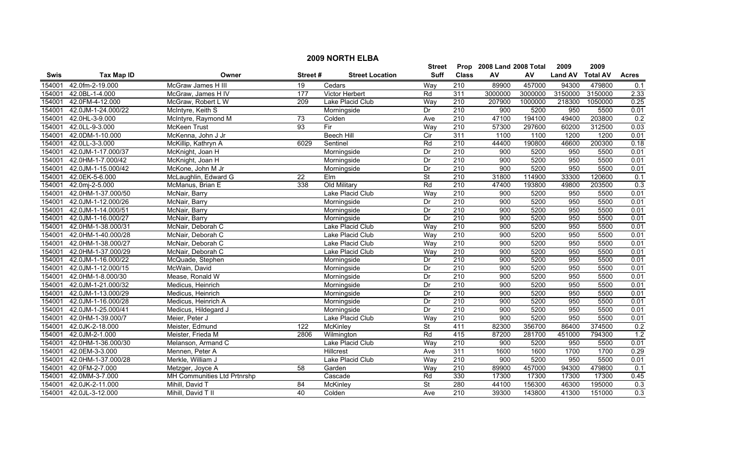|             | <b>2009 NORTH ELBA</b> |                             |                  |                        |               |                  |                           |         |                |                 |                  |
|-------------|------------------------|-----------------------------|------------------|------------------------|---------------|------------------|---------------------------|---------|----------------|-----------------|------------------|
|             |                        |                             |                  |                        | <b>Street</b> |                  | Prop 2008 Land 2008 Total |         | 2009           | 2009            |                  |
| <b>Swis</b> | <b>Tax Map ID</b>      | Owner                       | Street#          | <b>Street Location</b> | <b>Suff</b>   | <b>Class</b>     | AV                        | AV      | <b>Land AV</b> | <b>Total AV</b> | <b>Acres</b>     |
| 154001      | 42.0fm-2-19.000        | McGraw James H III          | 19               | Cedars                 | Way           | 210              | 89900                     | 457000  | 94300          | 479800          | 0.1              |
| 154001      | 42.0BL-1-4.000         | McGraw, James H IV          | 177              | <b>Victor Herbert</b>  | Rd            | 311              | 3000000                   | 3000000 | 3150000        | 3150000         | 2.33             |
| 154001      | 42.0FM-4-12.000        | McGraw, Robert L W          | 209              | Lake Placid Club       | Way           | $\overline{210}$ | 207900                    | 1000000 | 218300         | 1050000         | 0.25             |
| 154001      | 42.0JM-1-24.000/22     | McIntyre, Keith S           |                  | Morningside            | Dr            | 210              | 900                       | 5200    | 950            | 5500            | 0.01             |
| 154001      | 42.0HL-3-9.000         | McIntyre, Raymond M         | 73               | Colden                 | Ave           | 210              | 47100                     | 194100  | 49400          | 203800          | 0.2              |
| 154001      | 42.0LL-9-3.000         | <b>McKeen Trust</b>         | 93               | Fir                    | Way           | 210              | 57300                     | 297600  | 60200          | 312500          | 0.03             |
| 154001      | 42.0DM-1-10.000        | McKenna, John J Jr          |                  | <b>Beech Hill</b>      | Cir           | 311              | 1100                      | 1100    | 1200           | 1200            | 0.01             |
| 154001      | 42.0LL-3-3.000         | McKillip, Kathryn A         | 6029             | Sentinel               | Rd            | 210              | 44400                     | 190800  | 46600          | 200300          | 0.18             |
| 154001      | 42.0JM-1-17.000/37     | McKnight, Joan H            |                  | Morningside            | Dr            | $\overline{210}$ | 900                       | 5200    | 950            | 5500            | 0.01             |
| 154001      | 42.0HM-1-7.000/42      | McKnight, Joan H            |                  | Morningside            | Dr            | 210              | 900                       | 5200    | 950            | 5500            | 0.01             |
| 154001      | 42.0JM-1-15.000/42     | McKone, John M Jr           |                  | Morningside            | Dr            | 210              | 900                       | 5200    | 950            | 5500            | 0.01             |
| 154001      | 42.0EK-5-6.000         | McLaughlin, Edward G        | $\overline{22}$  | $E$ Im                 | <b>St</b>     | 210              | 31800                     | 114900  | 33300          | 120600          | 0.1              |
| 154001      | 42.0mj-2-5.000         | McManus, Brian E            | 338              | Old Military           | Rd            | $\overline{210}$ | 47400                     | 193800  | 49800          | 203500          | 0.3              |
| 154001      | 42.0HM-1-37.000/50     | McNair, Barry               |                  | Lake Placid Club       | Way           | $\overline{210}$ | 900                       | 5200    | 950            | 5500            | 0.01             |
| 154001      | 42.0JM-1-12.000/26     | McNair, Barry               |                  | Morningside            | Dr            | 210              | $\overline{900}$          | 5200    | 950            | 5500            | 0.01             |
| 154001      | 42.0JM-1-14.000/51     | McNair, Barry               |                  | Morningside            | Dr            | $\overline{210}$ | 900                       | 5200    | 950            | 5500            | 0.01             |
| 154001      | 42.0JM-1-16.000/27     | McNair, Barry               |                  | Morningside            | Dr            | 210              | 900                       | 5200    | 950            | 5500            | 0.01             |
| 154001      | 42.0HM-1-38.000/31     | McNair, Deborah C           |                  | Lake Placid Club       | Way           | 210              | 900                       | 5200    | 950            | 5500            | 0.01             |
| 154001      | 42.0HM-1-40.000/28     | McNair, Deborah C           |                  | Lake Placid Club       | Wav           | 210              | 900                       | 5200    | 950            | 5500            | 0.01             |
| 154001      | 42.0HM-1-38.000/27     | McNair, Deborah C           |                  | Lake Placid Club       | Way           | 210              | 900                       | 5200    | 950            | 5500            | 0.01             |
| 154001      | 42.0HM-1-37.000/29     | McNair, Deborah C           |                  | Lake Placid Club       | Way           | 210              | $\overline{900}$          | 5200    | 950            | 5500            | 0.01             |
| 154001      | 42.0JM-1-16.000/22     | McQuade, Stephen            |                  | Morningside            | Dr            | 210              | 900                       | 5200    | 950            | 5500            | 0.01             |
| 154001      | 42.0JM-1-12.000/15     | McWain, David               |                  | Morningside            | Dr            | 210              | 900                       | 5200    | 950            | 5500            | 0.01             |
| 154001      | 42.0HM-1-8.000/30      | Mease, Ronald W             |                  | Morningside            | Dr            | $\overline{210}$ | $\overline{900}$          | 5200    | 950            | 5500            | 0.01             |
| 154001      | 42.0JM-1-21.000/32     | Medicus, Heinrich           |                  | Morningside            | Dr            | 210              | 900                       | 5200    | 950            | 5500            | 0.01             |
| 154001      | 42.0JM-1-13.000/29     | Medicus, Heinrich           |                  | Morningside            | Dr            | 210              | 900                       | 5200    | 950            | 5500            | 0.01             |
| 154001      | 42.0JM-1-16.000/28     | Medicus, Heinrich A         |                  | Morningside            | Dr            | 210              | 900                       | 5200    | 950            | 5500            | 0.01             |
| 154001      | 42.0JM-1-25.000/41     | Medicus, Hildegard J        |                  | Morningside            | Dr            | $\overline{210}$ | 900                       | 5200    | 950            | 5500            | 0.01             |
| 154001      | 42.0HM-1-39.000/7      | Meier, Peter J              |                  | Lake Placid Club       | Way           | 210              | 900                       | 5200    | 950            | 5500            | 0.01             |
| 154001      | 42.0JK-2-18.000        | Meister, Edmund             | $\overline{122}$ | McKinley               | <b>St</b>     | 411              | 82300                     | 356700  | 86400          | 374500          | 0.2              |
| 154001      | 42.0JM-2-1.000         | Meister, Frieda M           | 2806             | Wilmington             | Rd            | 415              | 87200                     | 281700  | 451000         | 794300          | 1.2              |
| 154001      | 42.0HM-1-36.000/30     | Melanson, Armand C          |                  | Lake Placid Club       | Way           | 210              | 900                       | 5200    | 950            | 5500            | 0.01             |
| 154001      | 42.0EM-3-3.000         | Mennen, Peter A             |                  | Hillcrest              | Ave           | 311              | 1600                      | 1600    | 1700           | 1700            | 0.29             |
| 154001      | 42.0HM-1-37.000/28     | Merkle, William J           |                  | Lake Placid Club       | Way           | 210              | $\overline{900}$          | 5200    | 950            | 5500            | 0.01             |
| 154001      | 42.0FM-2-7.000         | Metzger, Joyce A            | 58               | Garden                 | Way           | 210              | 89900                     | 457000  | 94300          | 479800          | 0.1              |
| 154001      | 42.0MM-3-7.000         | MH Communities Ltd Prtnrshp |                  | Cascade                | Rd            | 330              | 17300                     | 17300   | 17300          | 17300           | 0.45             |
| 154001      | 42.0JK-2-11.000        | Mihill, David T             | 84               | McKinley               | St            | 280              | 44100                     | 156300  | 46300          | 195000          | 0.3              |
| 154001      | 42.0JL-3-12.000        | Mihill, David T II          | 40               | Colden                 | Ave           | $\overline{210}$ | 39300                     | 143800  | 41300          | 151000          | $\overline{0.3}$ |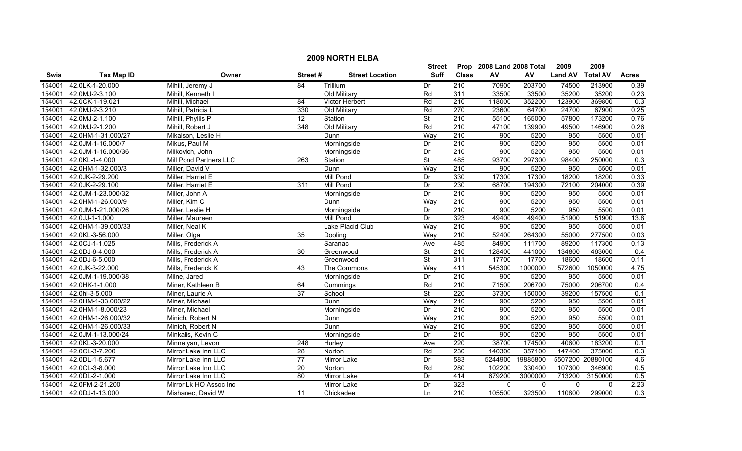|             |                    |                                 |                 |                        | <b>Street</b>            |                  | Prop 2008 Land 2008 Total |              | 2009           | 2009             |                  |
|-------------|--------------------|---------------------------------|-----------------|------------------------|--------------------------|------------------|---------------------------|--------------|----------------|------------------|------------------|
| <b>Swis</b> | <b>Tax Map ID</b>  | Owner                           | Street#         | <b>Street Location</b> | <b>Suff</b>              | <b>Class</b>     | AV                        | AV           | <b>Land AV</b> | <b>Total AV</b>  | <b>Acres</b>     |
| 154001      | 42.0LK-1-20.000    | Mihill, Jeremy J                | 84              | Trillium               | Dr                       | 210              | 70900                     | 203700       | 74500          | 213900           | 0.39             |
| 154001      | 42.0MJ-2-3.100     | Mihill, Kenneth I               |                 | Old Military           | Rd                       | 311              | 33500                     | 33500        | 35200          | 35200            | 0.23             |
| 154001      | 42.0CK-1-19.021    | Mihill, Michael                 | 84              | Victor Herbert         | Rd                       | 210              | 118000                    | 352200       | 123900         | 369800           | 0.3              |
| 154001      | 42.0MJ-2-3.210     | Mihill, Patricia L              | 330             | Old Military           | Rd                       | 270              | 23600                     | 64700        | 24700          | 67900            | 0.25             |
| 154001      | 42.0MJ-2-1.100     | Phyllis <sub>P</sub><br>Mihill. | 12              | Station                | $\overline{\mathsf{St}}$ | 210              | 55100                     | 165000       | 57800          | 173200           | 0.76             |
| 154001      | 42.0MJ-2-1.200     | Mihill, Robert J                | 348             | Old Military           | Rd                       | 210              | 47100                     | 139900       | 49500          | 146900           | 0.26             |
| 154001      | 42.0HM-1-31.000/27 | Mikalson, Leslie H              |                 | Dunn                   | Way                      | 210              | 900                       | 5200         | 950            | 5500             | 0.01             |
| 154001      | 42.0JM-1-16.000/7  | Mikus, Paul M                   |                 | Morningside            | Dr                       | 210              | 900                       | 5200         | 950            | 5500             | 0.01             |
| 154001      | 42.0JM-1-16.000/36 | Milkovich, John                 |                 | Morningside            | $\overline{Dr}$          | 210              | 900                       | 5200         | 950            | 5500             | 0.01             |
| 154001      | 42.0KL-1-4.000     | Mill Pond Partners LLC          | 263             | Station                | <b>St</b>                | 485              | 93700                     | 297300       | 98400          | 250000           | 0.3              |
| 154001      | 42.0HM-1-32.000/3  | Miller, David V                 |                 | Dunn                   | Way                      | $\overline{210}$ | 900                       | 5200         | 950            | 5500             | 0.01             |
| 154001      | 42.0JK-2-29.200    | Miller, Harriet E               |                 | <b>Mill Pond</b>       | Dr                       | 330              | 17300                     | 17300        | 18200          | 18200            | 0.33             |
| 154001      | 42.0JK-2-29.100    | Miller, Harriet E               | 311             | <b>Mill Pond</b>       | Dr                       | 230              | 68700                     | 194300       | 72100          | 204000           | 0.39             |
| 154001      | 42.0JM-1-23.000/32 | Miller, John A                  |                 | Morningside            | Dr                       | $\overline{210}$ | 900                       | 5200         | 950            | 5500             | 0.01             |
| 154001      | 42.0HM-1-26.000/9  | Miller, Kim C                   |                 | Dunn                   | Way                      | $\overline{210}$ | 900                       | 5200         | 950            | 5500             | 0.01             |
| 154001      | 42.0JM-1-21.000/26 | Miller, Leslie H                |                 | Morningside            | Dr                       | $\overline{210}$ | 900                       | 5200         | 950            | 5500             | 0.01             |
| 154001      | 42.0JJ-1-1.000     | Miller, Maureen                 |                 | <b>Mill Pond</b>       | Dr                       | 323              | 49400                     | 49400        | 51900          | 51900            | 13.8             |
| 154001      | 42.0HM-1-39.000/33 | Miller, Neal K                  |                 | Lake Placid Club       | Way                      | 210              | 900                       | 5200         | 950            | 5500             | 0.01             |
| 154001      | 42.0KL-3-56.000    | Miller, Olga                    | 35              | Dooling                | Way                      | 210              | 52400                     | 264300       | 55000          | 277500           | 0.03             |
| 154001      | 42.0CJ-1-1.025     | Mills, Frederick A              |                 | Saranac                | Ave                      | 485              | 84900                     | 111700       | 89200          | 117300           | 0.13             |
| 154001      | 42.0DJ-6-4.000     | Mills, Frederick A              | 30              | Greenwood              | <b>St</b>                | 210              | 128400                    | 441000       | 134800         | 463000           | 0.4              |
| 154001      | 42.0DJ-6-5.000     | Mills, Frederick A              |                 | Greenwood              | $\overline{\mathsf{St}}$ | 311              | 17700                     | 17700        | 18600          | 18600            | 0.11             |
| 154001      | 42.0JK-3-22.000    | Mills, Frederick K              | 43              | The Commons            | Way                      | 411              | 545300                    | 1000000      | 572600         | 1050000          | 4.75             |
| 154001      | 42.0JM-1-19.000/38 | Milne, Jared                    |                 | Morningside            | $\overline{Dr}$          | $\overline{210}$ | 900                       | 5200         | 950            | 5500             | 0.01             |
| 154001      | 42.0HK-1-1.000     | Miner, Kathleen B               | 64              | Cummings               | Rd                       | $\overline{210}$ | 71500                     | 206700       | 75000          | 206700           | 0.4              |
| 154001      | 42.0hl-3-5.000     | Miner, Laurie A                 | 37              | School                 | <b>St</b>                | 220              | 37300                     | 150000       | 39200          | 157500           | 0.1              |
| 154001      | 42.0HM-1-33.000/22 | Miner, Michael                  |                 | Dunn                   | Way                      | $\overline{210}$ | 900                       | 5200         | 950            | 5500             | 0.01             |
| 154001      | 42.0HM-1-8.000/23  | Miner, Michael                  |                 | Morningside            | Dr                       | 210              | 900                       | 5200         | 950            | 5500             | 0.01             |
| 154001      | 42.0HM-1-26.000/32 | Minich, Robert N                |                 | <b>Dunn</b>            | Way                      | 210              | 900                       | 5200         | 950            | 5500             | 0.01             |
| 154001      | 42.0HM-1-26.000/33 | Minich, Robert N                |                 | Dunn                   | Way                      | 210              | 900                       | 5200         | 950            | 5500             | 0.01             |
| 154001      | 42.0JM-1-13.000/24 | Minkalis, Kevin C               |                 | Morningside            | Dr                       | 210              | 900                       | 5200         | 950            | 5500             | 0.01             |
| 154001      | 42.0KL-3-20.000    | Minnetyan, Levon                | 248             | Hurley                 | Ave                      | 220              | 38700                     | 174500       | 40600          | 183200           | 0.1              |
| 154001      | 42.0CL-3-7.200     | Mirror Lake Inn LLC             | 28              | Norton                 | Rd                       | 230              | 140300                    | 357100       | 147400         | 375000           | 0.3              |
| 154001      | 42.0DL-1-5.677     | Mirror Lake Inn LLC             | $\overline{77}$ | Mirror Lake            | Dr                       | 583              | 5244900                   | 19885800     |                | 5507200 20880100 | 4.6              |
| 154001      | 42.0CL-3-8.000     | Mirror Lake Inn LLC             | $\overline{20}$ | Norton                 | Rd                       | 280              | 102200                    | 330400       | 107300         | 346900           | 0.5              |
| 154001      | 42.0DL-2-1.000     | Mirror Lake Inn LLC             | 80              | Mirror Lake            | Dr                       | 414              | 679200                    | 3000000      | 713200         | 3150000          | $\overline{0.5}$ |
| 154001      | 42.0FM-2-21.200    | Mirror Lk HO Assoc Inc          |                 | Mirror Lake            | Dr                       | 323              | $\mathbf{0}$              | $\mathbf{0}$ | 0              | $\mathbf{0}$     | 2.23             |
| 154001      | 42.0DJ-1-13.000    | Mishanec, David W               | 11              | Chickadee              | Ln                       | 210              | 105500                    | 323500       | 110800         | 299000           | $\overline{0.3}$ |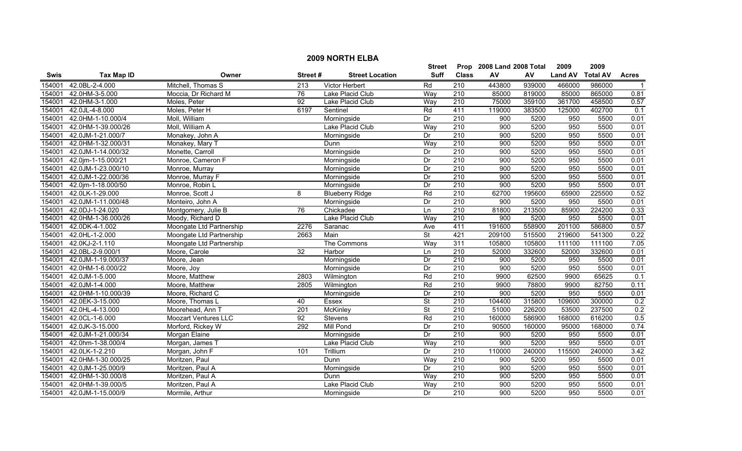|             |                    |                             |                 |                        | <b>Street</b>            |                  | Prop 2008 Land 2008 Total |        | 2009           | 2009            |              |
|-------------|--------------------|-----------------------------|-----------------|------------------------|--------------------------|------------------|---------------------------|--------|----------------|-----------------|--------------|
| <b>Swis</b> | <b>Tax Map ID</b>  | Owner                       | Street#         | <b>Street Location</b> | <b>Suff</b>              | <b>Class</b>     | AV                        | AV     | <b>Land AV</b> | <b>Total AV</b> | <b>Acres</b> |
| 154001      | 42.0BL-2-4.000     | Mitchell, Thomas S          | 213             | Victor Herbert         | Rd                       | 210              | 443800                    | 939000 | 466000         | 986000          | -1           |
| 154001      | 42.0HM-3-5.000     | Moccia, Dr Richard M        | 76              | Lake Placid Club       | Way                      | 210              | 85000                     | 819000 | 85000          | 865000          | 0.81         |
| 154001      | 42.0HM-3-1.000     | Moles, Peter                | $\overline{92}$ | Lake Placid Club       | Way                      | $\overline{210}$ | 75000                     | 359100 | 361700         | 458500          | 0.57         |
| 154001      | 42.0JL-4-8.000     | Moles, Peter H              | 6197            | Sentinel               | Rd                       | 411              | 119000                    | 383500 | 125000         | 402700          | 0.1          |
| 154001      | 42.0HM-1-10.000/4  | Moll, William               |                 | Morningside            | Dr                       | 210              | 900                       | 5200   | 950            | 5500            | 0.01         |
| 154001      | 42.0HM-1-39.000/26 | Moll, William A             |                 | Lake Placid Club       | Way                      | 210              | 900                       | 5200   | 950            | 5500            | 0.01         |
| 154001      | 42.0JM-1-21.000/7  | Monakey, John A             |                 | Morningside            | Dr                       | 210              | 900                       | 5200   | 950            | 5500            | 0.01         |
| 154001      | 42.0HM-1-32.000/31 | Monakey, Mary T             |                 | Dunn                   | Way                      | 210              | 900                       | 5200   | 950            | 5500            | 0.01         |
| 154001      | 42.0JM-1-14.000/32 | Monette, Carroll            |                 | Morningside            | Dr                       | 210              | 900                       | 5200   | 950            | 5500            | 0.01         |
| 154001      | 42.0jm-1-15.000/21 | Monroe, Cameron F           |                 | Morningside            | Dr                       | 210              | 900                       | 5200   | 950            | 5500            | 0.01         |
| 154001      | 42.0JM-1-23.000/10 | Monroe, Murray              |                 | Morningside            | Dr                       | 210              | 900                       | 5200   | 950            | 5500            | 0.01         |
| 154001      | 42.0JM-1-22.000/36 | Monroe, Murray F            |                 | Morningside            | Dr                       | 210              | 900                       | 5200   | 950            | 5500            | 0.01         |
| 154001      | 42.0jm-1-18.000/50 | Monroe, Robin L             |                 | Morningside            | Dr                       | 210              | 900                       | 5200   | 950            | 5500            | 0.01         |
| 154001      | 42.0LK-1-29.000    | Monroe, Scott J             | 8               | <b>Blueberry Ridge</b> | Rd                       | 210              | 62700                     | 195600 | 65900          | 225500          | 0.52         |
| 154001      | 42.0JM-1-11.000/48 | Monteiro, John A            |                 | Morningside            | Dr                       | $\overline{210}$ | 900                       | 5200   | 950            | 5500            | 0.01         |
| 154001      | 42.0DJ-1-24.020    | Montgomery, Julie B         | 76              | Chickadee              | Ln                       | 210              | 81800                     | 213500 | 85900          | 224200          | 0.33         |
| 154001      | 42.0HM-1-36.000/26 | Moody, Richard D            |                 | Lake Placid Club       | Way                      | 210              | 900                       | 5200   | 950            | 5500            | 0.01         |
| 154001      | 42.0DK-4-1.002     | Moongate Ltd Partnership    | 2276            | Saranac                | Ave                      | 411              | 191600                    | 558900 | 201100         | 586800          | 0.57         |
| 154001      | 42.0HL-1-2.000     | Moongate Ltd Partnership    | 2663            | Main                   | $\overline{\mathsf{St}}$ | 421              | 209100                    | 515500 | 219600         | 541300          | 0.22         |
| 154001      | 42.0KJ-2-1.110     | Moongate Ltd Partnership    |                 | The Commons            | Way                      | 311              | 105800                    | 105800 | 111100         | 111100          | 7.05         |
| 154001      | 42.0BL-2-9.000/1   | Moore, Carole               | 32              | Harbor                 | Ln                       | $\overline{210}$ | 52000                     | 332600 | 52000          | 332600          | 0.01         |
| 154001      | 42.0JM-1-19.000/37 | Moore, Jean                 |                 | Morningside            | Dr                       | 210              | 900                       | 5200   | 950            | 5500            | 0.01         |
| 154001      | 42.0HM-1-6.000/22  | Moore, Joy                  |                 | Morningside            | Dr                       | $\overline{210}$ | 900                       | 5200   | 950            | 5500            | 0.01         |
| 154001      | 42.0JM-1-5.000     | Moore, Matthew              | 2803            | Wilmington             | Rd                       | 210              | 9900                      | 62500  | 9900           | 65625           | 0.1          |
| 154001      | 42.0JM-1-4.000     | Moore, Matthew              | 2805            | Wilmington             | Rd                       | $\overline{210}$ | 9900                      | 78800  | 9900           | 82750           | 0.11         |
| 154001      | 42.0HM-1-10.000/39 | Moore, Richard C            |                 | Morningside            | Dr                       | $\overline{210}$ | 900                       | 5200   | 950            | 5500            | 0.01         |
| 154001      | 42.0EK-3-15.000    | Moore, Thomas L             | 40              | Essex                  | <b>St</b>                | $\overline{210}$ | 104400                    | 315800 | 109600         | 300000          | 0.2          |
| 154001      | 42.0HL-4-13.000    | Moorehead, Ann T            | 201             | McKinley               | <b>St</b>                | 210              | 51000                     | 226200 | 53500          | 237500          | 0.2          |
| 154001      | 42.0CL-1-6.000     | <b>Moozart Ventures LLC</b> | 92              | Stevens                | Rd                       | 210              | 160000                    | 586900 | 168000         | 616200          | 0.5          |
| 154001      | 42.0JK-3-15.000    | Morford, Rickey W           | 292             | <b>Mill Pond</b>       | Dr                       | 210              | 90500                     | 160000 | 95000          | 168000          | 0.74         |
| 154001      | 42.0JM-1-21.000/34 | Morgan Elaine               |                 | Morningside            | Dr                       | 210              | 900                       | 5200   | 950            | 5500            | 0.01         |
| 154001      | 42.0hm-1-38.000/4  | Morgan, James T             |                 | Lake Placid Club       | Way                      | 210              | 900                       | 5200   | 950            | 5500            | 0.01         |
| 154001      | 42.0LK-1-2.210     | Morgan, John F              | 101             | Trillium               | Dr                       | 210              | 110000                    | 240000 | 115500         | 240000          | 3.42         |
| 154001      | 42.0HM-1-30.000/25 | Moritzen, Paul              |                 | Dunn                   | Way                      | 210              | 900                       | 5200   | 950            | 5500            | 0.01         |
| 154001      | 42.0JM-1-25.000/9  | Moritzen, Paul A            |                 | Morningside            | Dr                       | $\overline{210}$ | 900                       | 5200   | 950            | 5500            | 0.01         |
| 154001      | 42.0HM-1-30.000/8  | Moritzen, Paul A            |                 | Dunn                   | Way                      | 210              | 900                       | 5200   | 950            | 5500            | 0.01         |
| 154001      | 42.0HM-1-39.000/5  | Moritzen, Paul A            |                 | Lake Placid Club       | Way                      | $\overline{210}$ | 900                       | 5200   | 950            | 5500            | 0.01         |
| 154001      | 42.0JM-1-15.000/9  | Mormile, Arthur             |                 | Morningside            | Dr                       | 210              | 900                       | 5200   | 950            | 5500            | 0.01         |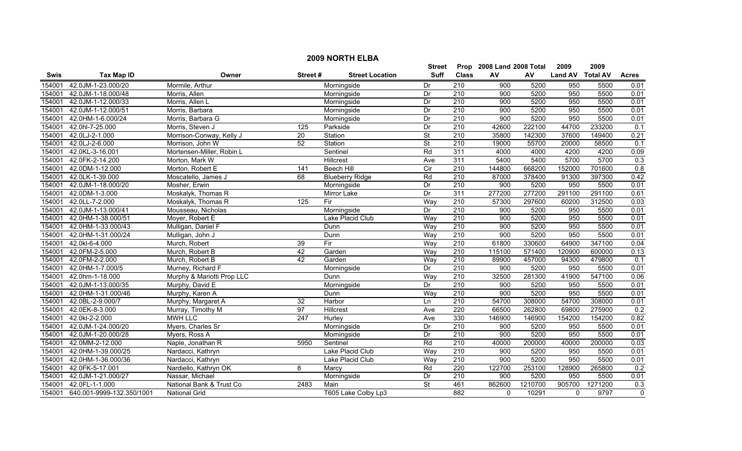|             |                           |                            |                 |                        | <b>Street</b>            |                  | Prop 2008 Land 2008 Total |         | 2009             | 2009    |                |
|-------------|---------------------------|----------------------------|-----------------|------------------------|--------------------------|------------------|---------------------------|---------|------------------|---------|----------------|
| <b>Swis</b> | <b>Tax Map ID</b>         | Owner                      | Street#         | <b>Street Location</b> | <b>Suff</b>              | <b>Class</b>     | AV                        | AV      | Land AV Total AV |         | <b>Acres</b>   |
| 154001      | 42.0JM-1-23.000/20        | Mormile, Arthur            |                 | Morningside            | Dr                       | 210              | 900                       | 5200    | 950              | 5500    | 0.01           |
| 154001      | 42.0JM-1-18.000/48        | Morris, Allen              |                 | Morningside            | Dr                       | 210              | 900                       | 5200    | 950              | 5500    | 0.01           |
| 154001      | 42.0JM-1-12.000/33        | Morris, Allen L            |                 | Morningside            | Dr                       | 210              | 900                       | 5200    | 950              | 5500    | 0.01           |
| 154001      | 42.0JM-1-12.000/51        | Morris, Barbara            |                 | Morningside            | Dr                       | 210              | 900                       | 5200    | 950              | 5500    | 0.01           |
| 154001      | 42.0HM-1-6.000/24         | Morris, Barbara G          |                 | Morningside            | Dr                       | 210              | 900                       | 5200    | 950              | 5500    | 0.01           |
| 154001      | 42.0hl-7-25.000           | Morris, Steven J           | 125             | Parkside               | Dr                       | 210              | 42600                     | 222100  | 44700            | 233200  | 0.1            |
| 154001      | 42.0LJ-2-1.000            | Morrison-Conway, Kelly J   | 20              | Station                | <b>St</b>                | 210              | 35800                     | 142300  | 37600            | 149400  | 0.21           |
| 154001      | 42.0LJ-2-6.000            | Morrison, John W           | 52              | Station                | $\overline{\mathsf{St}}$ | 210              | 19000                     | 55700   | 20000            | 58500   | 0.1            |
| 154001      | 42.0KL-3-16.001           | Mortensen-Miller, Robin L  |                 | Sentinel               | Rd                       | 311              | 4000                      | 4000    | 4200             | 4200    | 0.09           |
| 154001      | 42.0FK-2-14.200           | Morton, Mark W             |                 | Hillcrest              | Ave                      | 311              | 5400                      | 5400    | 5700             | 5700    | 0.3            |
| 154001      | 42.0DM-1-12.000           | Morton, Robert E           | 141             | <b>Beech Hill</b>      | $\overline{C}$           | 210              | 144800                    | 668200  | 152000           | 701600  | 0.8            |
| 154001      | 42.0LK-1-39.000           | Moscatello, James J        | 68              | <b>Blueberry Ridge</b> | Rd                       | $\overline{210}$ | 87000                     | 378400  | 91300            | 397300  | 0.42           |
| 154001      | 42.0JM-1-18.000/20        | Mosher, Erwin              |                 | Morningside            | Dr                       | 210              | 900                       | 5200    | 950              | 5500    | 0.01           |
| 154001      | 42.0DM-1-3.000            | Moskalyk, Thomas R         |                 | Mirror Lake            | Dr                       | 311              | 277200                    | 277200  | 291100           | 291100  | 0.61           |
| 154001      | 42.0LL-7-2.000            | Moskalyk, Thomas R         | $\frac{1}{25}$  | Fir                    | Way                      | 210              | 57300                     | 297600  | 60200            | 312500  | 0.03           |
| 154001      | 42.0JM-1-13.000/41        | Mousseau, Nicholas         |                 | Morningside            | Dr                       | $\overline{210}$ | 900                       | 5200    | 950              | 5500    | 0.01           |
| 154001      | 42.0HM-1-38.000/51        | Moyer, Robert E            |                 | Lake Placid Club       | Way                      | 210              | 900                       | 5200    | 950              | 5500    | 0.01           |
| 154001      | 42.0HM-1-33.000/43        | Mulligan, Daniel F         |                 | Dunn                   | Way                      | 210              | 900                       | 5200    | 950              | 5500    | 0.01           |
| 154001      | 42.0HM-1-31.000/24        | Mulligan, John J           |                 | Dunn                   | Way                      | 210              | 900                       | 5200    | 950              | 5500    | 0.01           |
| 154001      | 42.0kl-6-4.000            | Murch, Robert              | 39              | Fir                    | Way                      | 210              | 61800                     | 330600  | 64900            | 347100  | 0.04           |
| 154001      | 42.0FM-2-5.000            | Murch, Robert B            | 42              | Garden                 | Way                      | $\overline{210}$ | 115100                    | 571400  | 120900           | 600000  | 0.13           |
| 154001      | 42.0FM-2-2.000            | Murch, Robert B            | 42              | Garden                 | Way                      | 210              | 89900                     | 457000  | 94300            | 479800  | 0.1            |
| 154001      | 42.0HM-1-7.000/5          | Murney, Richard F          |                 | Morningside            | Dr                       | 210              | 900                       | 5200    | 950              | 5500    | 0.01           |
| 154001      | 42.0hm-1-18.000           | Murphy & Mariotti Prop LLC |                 | Dunn                   | Way                      | 210              | 32500                     | 281300  | 41900            | 547100  | 0.06           |
| 154001      | 42.0JM-1-13.000/35        | Murphy, David E            |                 | Morningside            | Dr                       | 210              | 900                       | 5200    | 950              | 5500    | 0.01           |
| 154001      | 42.0HM-1-31.000/46        | Murphy, Karen A            |                 | Dunn                   | Way                      | 210              | 900                       | 5200    | 950              | 5500    | 0.01           |
| 154001      | 42.0BL-2-9.000/7          | Murphy, Margaret A         | $\overline{32}$ | Harbor                 | Ln                       | $\overline{210}$ | 54700                     | 308000  | 54700            | 308000  | 0.01           |
| 154001      | 42.0EK-8-3.000            | Murray, Timothy M          | 97              | Hillcrest              | Ave                      | $\overline{220}$ | 66500                     | 262800  | 69800            | 275900  | 0.2            |
| 154001      | 42.0kl-2-2.000            | <b>MWH LLC</b>             | 247             | Hurley                 | Ave                      | 330              | 146900                    | 146900  | 154200           | 154200  | 0.82           |
| 154001      | 42.0JM-1-24.000/20        | Myers, Charles Sr          |                 | Morningside            | Dr                       | 210              | 900                       | 5200    | 950              | 5500    | 0.01           |
| 154001      | 42.0JM-1-20.000/28        | Myers, Ross A              |                 | Morningside            | Dr                       | 210              | 900                       | 5200    | 950              | 5500    | 0.01           |
| 154001      | 42.0MM-2-12.000           | Naple, Jonathan R          | 5950            | Sentinel               | Rd                       | 210              | 40000                     | 200000  | 40000            | 200000  | 0.03           |
| 154001      | 42.0HM-1-39.000/25        | Nardacci, Kathryn          |                 | Lake Placid Club       | Way                      | 210              | 900                       | 5200    | 950              | 5500    | 0.01           |
| 154001      | 42.0HM-1-36.000/36        | Nardacci, Kathryn          |                 | Lake Placid Club       | Way                      | $\overline{210}$ | 900                       | 5200    | 950              | 5500    | 0.01           |
| 154001      | 42.0FK-5-17.001           | Nardiello, Kathryn OK      | 8               | Marcy                  | Rd                       | $\overline{220}$ | 122700                    | 253100  | 128900           | 265800  | 0.2            |
| 154001      | 42.0JM-1-21.000/27        | Nassar, Michael            |                 | Morningside            | Dr                       | 210              | 900                       | 5200    | 950              | 5500    | 0.01           |
| 154001      | 42.0FL-1-1.000            | National Bank & Trust Co   | 2483            | Main                   | <b>St</b>                | 461              | 862600                    | 1210700 | 905700           | 1271200 | 0.3            |
| 154001      | 640.001-9999-132.350/1001 | <b>National Grid</b>       |                 | T605 Lake Colby Lp3    |                          | 882              | $\Omega$                  | 10291   | $\mathbf{0}$     | 9797    | $\overline{0}$ |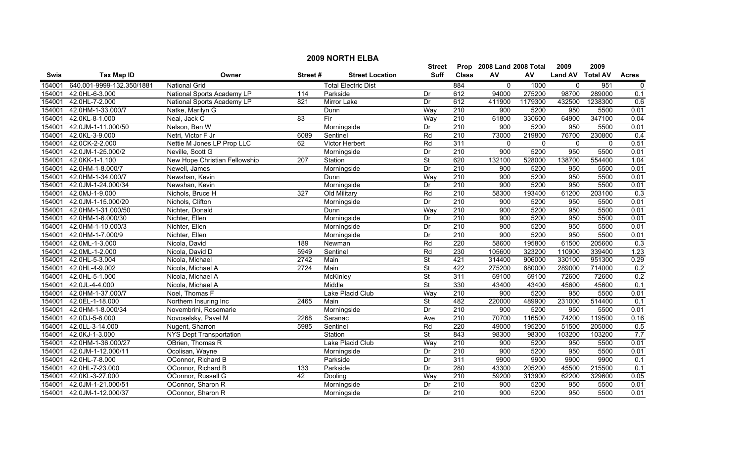|             | <b>2009 NORTH ELBA</b>    |                                |         |                            |                          |                  |                           |              |                  |              |              |  |
|-------------|---------------------------|--------------------------------|---------|----------------------------|--------------------------|------------------|---------------------------|--------------|------------------|--------------|--------------|--|
|             |                           |                                |         |                            | <b>Street</b>            |                  | Prop 2008 Land 2008 Total |              | 2009             | 2009         |              |  |
| <b>Swis</b> | <b>Tax Map ID</b>         | Owner                          | Street# | <b>Street Location</b>     | Suff                     | <b>Class</b>     | AV                        | AV           | Land AV Total AV |              | <b>Acres</b> |  |
| 154001      | 640.001-9999-132.350/1881 | <b>National Grid</b>           |         | <b>Total Electric Dist</b> |                          | 884              | $\mathbf 0$               | 1000         | $\mathbf 0$      | 951          | $\mathbf 0$  |  |
| 154001      | 42.0HL-6-3.000            | National Sports Academy LP     | 114     | Parkside                   | Dr                       | 612              | 94000                     | 275200       | 98700            | 289000       | 0.1          |  |
| 154001      | 42.0HL-7-2.000            | National Sports Academy LP     | 821     | Mirror Lake                | Dr                       | 612              | 411900                    | 1179300      | 432500           | 1238300      | 0.6          |  |
| 154001      | 42.0HM-1-33.000/7         | Natke, Marilyn G               |         | Dunn                       | Way                      | 210              | 900                       | 5200         | 950              | 5500         | 0.01         |  |
| 154001      | 42.0KL-8-1.000            | Neal, Jack C                   | 83      | Fir                        | Way                      | 210              | 61800                     | 330600       | 64900            | 347100       | 0.04         |  |
| 154001      | 42.0JM-1-11.000/50        | Nelson, Ben W                  |         | Morningside                | Dr                       | 210              | 900                       | 5200         | 950              | 5500         | 0.01         |  |
| 154001      | 42.0KL-3-9.000            | Netri, Victor F Jr             | 6089    | Sentinel                   | Rd                       | 210              | 73000                     | 219800       | 76700            | 230800       | 0.4          |  |
| 154001      | 42.0CK-2-2.000            | Nettie M Jones LP Prop LLC     | 62      | Victor Herbert             | Rd                       | 311              | $\mathbf{0}$              | $\mathbf{0}$ | $\mathbf 0$      | $\mathbf{0}$ | 0.51         |  |
| 154001      | 42.0JM-1-25.000/2         | Neville, Scott G               |         | Morningside                | Dr                       | 210              | 900                       | 5200         | 950              | 5500         | 0.01         |  |
| 154001      | 42.0KK-1-1.100            | New Hope Christian Fellowship  | 207     | Station                    | <b>St</b>                | 620              | 132100                    | 528000       | 138700           | 554400       | 1.04         |  |
| 154001      | 42.0HM-1-8.000/7          | Newell, James                  |         | Morningside                | Dr                       | 210              | 900                       | 5200         | 950              | 5500         | 0.01         |  |
| 154001      | 42.0HM-1-34.000/7         | Newshan, Kevin                 |         | Dunn                       | Way                      | 210              | 900                       | 5200         | 950              | 5500         | 0.01         |  |
| 154001      | 42.0JM-1-24.000/34        | Newshan, Kevin                 |         | Morningside                | Dr                       | 210              | 900                       | 5200         | 950              | 5500         | 0.01         |  |
| 154001      | 42.0MJ-1-9.000            | Nichols, Bruce H               | 327     | Old Military               | Rd                       | 210              | 58300                     | 193400       | 61200            | 203100       | 0.3          |  |
| 154001      | 42.0JM-1-15.000/20        | Nichols, Clifton               |         | Morningside                | Dr                       | 210              | 900                       | 5200         | 950              | 5500         | 0.01         |  |
| 154001      | 42.0HM-1-31.000/50        | Nichter, Donald                |         | Dunn                       | Way                      | 210              | 900                       | 5200         | 950              | 5500         | 0.01         |  |
| 154001      | 42.0HM-1-6.000/30         | Nichter, Ellen                 |         | Morningside                | Dr                       | 210              | 900                       | 5200         | 950              | 5500         | 0.01         |  |
| 154001      | 42.0HM-1-10.000/3         | Nichter, Ellen                 |         | Morningside                | Dr                       | 210              | 900                       | 5200         | 950              | 5500         | 0.01         |  |
| 154001      | 42.0HM-1-7.000/9          | Nichter, Ellen                 |         | Morningside                | Dr                       | 210              | 900                       | 5200         | 950              | 5500         | 0.01         |  |
| 154001      | 42.0ML-1-3.000            | Nicola, David                  | 189     | Newman                     | Rd                       | 220              | 58600                     | 195800       | 61500            | 205600       | 0.3          |  |
| 154001      | 42.0ML-1-2.000            | Nicola, David D                | 5949    | Sentinel                   | Rd                       | 230              | 105600                    | 323200       | 110900           | 339400       | 1.23         |  |
| 154001      | 42.0HL-5-3.004            | Nicola, Michael                | 2742    | Main                       | $\overline{\mathsf{St}}$ | 421              | 314400                    | 906000       | 330100           | 951300       | 0.29         |  |
| 154001      | 42.0HL-4-9.002            | Nicola, Michael A              | 2724    | Main                       | St                       | 422              | 275200                    | 680000       | 289000           | 714000       | 0.2          |  |
| 154001      | 42.0HL-5-1.000            | Nicola, Michael A              |         | McKinley                   | St                       | 311              | 69100                     | 69100        | 72600            | 72600        | 0.2          |  |
| 154001      | 42.0JL-4-4.000            | Nicola, Michael A              |         | Middle                     | St                       | 330              | 43400                     | 43400        | 45600            | 45600        | 0.1          |  |
| 154001      | 42.0HM-1-37.000/7         | Noel, Thomas F                 |         | Lake Placid Club           | Way                      | $\overline{210}$ | $\overline{900}$          | 5200         | 950              | 5500         | 0.01         |  |
| 154001      | 42.0EL-1-18.000           | Northern Insuring Inc          | 2465    | Main                       | $\overline{\mathsf{St}}$ | 482              | 220000                    | 489900       | 231000           | 514400       | 0.1          |  |
| 154001      | 42.0HM-1-8.000/34         | Novembrini, Rosemarie          |         | Morningside                | Dr                       | 210              | 900                       | 5200         | 950              | 5500         | 0.01         |  |
| 154001      | 42.0DJ-5-6.000            | Novoselsky, Pavel M            | 2268    | Saranac                    | Ave                      | 210              | 70700                     | 116500       | 74200            | 119500       | 0.16         |  |
| 154001      | 42.0LL-3-14.000           | Nugent, Sharron                | 5985    | Sentinel                   | Rd                       | 220              | 49000                     | 195200       | 51500            | 205000       | 0.5          |  |
| 154001      | 42.0KJ-1-3.000            | <b>NYS Dept Transportation</b> |         | Station                    | $\overline{\mathsf{St}}$ | 843              | 98300                     | 98300        | 103200           | 103200       | 7.7          |  |
| 154001      | 42.0HM-1-36.000/27        | OBrien, Thomas R               |         | Lake Placid Club           | Way                      | 210              | 900                       | 5200         | 950              | 5500         | 0.01         |  |
| 154001      | 42.0JM-1-12.000/11        | Ocolisan, Wayne                |         | Morningside                | Dr                       | 210              | 900                       | 5200         | 950              | 5500         | 0.01         |  |
| 154001      | 42.0HL-7-8.000            | OConnor, Richard B             |         | Parkside                   | Dr                       | 311              | 9900                      | 9900         | 9900             | 9900         | 0.1          |  |
| 154001      | 42.0HL-7-23.000           | OConnor, Richard B             | 133     | Parkside                   | Dr                       | 280              | 43300                     | 205200       | 45500            | 215500       | 0.1          |  |
| 154001      | 42.0KL-3-27.000           | OConnor, Russell G             | 42      | Dooling                    | Way                      | $\overline{210}$ | 59200                     | 313900       | 62200            | 329600       | 0.05         |  |
| 154001      | 42.0JM-1-21.000/51        | OConnor, Sharon R              |         | Morningside                | Dr                       | $\overline{210}$ | 900                       | 5200         | 950              | 5500         | 0.01         |  |
| 154001      | 42.0JM-1-12.000/37        | OConnor, Sharon R              |         | Morningside                | Dr                       | 210              | 900                       | 5200         | 950              | 5500         | 0.01         |  |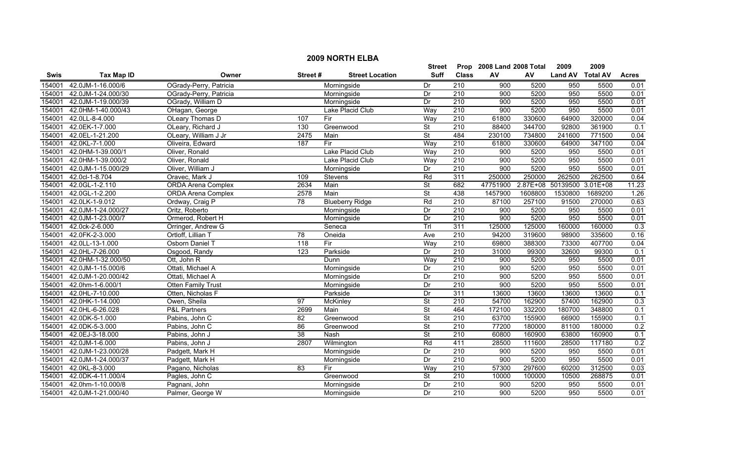|             | <b>2009 NORTH ELBA</b>    |                           |                  |                        |                          |                  |                           |         |                            |         |              |  |
|-------------|---------------------------|---------------------------|------------------|------------------------|--------------------------|------------------|---------------------------|---------|----------------------------|---------|--------------|--|
|             |                           |                           |                  |                        | Street                   |                  | Prop 2008 Land 2008 Total |         | 2009                       | 2009    |              |  |
| <b>Swis</b> | <b>Tax Map ID</b>         | Owner                     | Street#          | <b>Street Location</b> | <b>Suff</b>              | <b>Class</b>     | AV                        | AV      | Land AV Total AV           |         | <b>Acres</b> |  |
| 154001      | 42.0JM-1-16.000/6         | OGrady-Perry, Patricia    |                  | Morningside            | Dr                       | 210              | 900                       | 5200    | 950                        | 5500    | 0.01         |  |
| 154001      | 42.0JM-1-24.000/30        | OGrady-Perry, Patricia    |                  | Morningside            | Dr                       | $\overline{210}$ | 900                       | 5200    | 950                        | 5500    | 0.01         |  |
| 154001      | 42.0JM-1-19.000/39        | OGrady, William D         |                  | Morningside            | Dr                       | 210              | 900                       | 5200    | 950                        | 5500    | 0.01         |  |
| 154001      | 42.0HM-1-40.000/43        | OHagan, George            |                  | Lake Placid Club       | Way                      | 210              | 900                       | 5200    | 950                        | 5500    | 0.01         |  |
| 154001      | 42.0LL-8-4.000            | OLeary Thomas D           | 107              | Fir                    | Way                      | 210              | 61800                     | 330600  | 64900                      | 320000  | 0.04         |  |
| 154001      | 42.0EK-1-7.000            | OLeary, Richard J         | 130              | Greenwood              | <b>St</b>                | 210              | 88400                     | 344700  | 92800                      | 361900  | 0.1          |  |
| 154001      | 42.0EL-1-21.200           | OLeary, William J Jr      | 2475             | Main                   | $\overline{\mathsf{St}}$ | 484              | 230100                    | 734800  | 241600                     | 771500  | 0.04         |  |
| 154001      | 42.0KL-7-1.000            | Oliveira, Edward          | 187              | Fir                    | Way                      | 210              | 61800                     | 330600  | 64900                      | 347100  | 0.04         |  |
| 154001      | 42.0HM-1-39.000/1         | Oliver, Ronald            |                  | Lake Placid Club       | Way                      | 210              | 900                       | 5200    | 950                        | 5500    | 0.01         |  |
| 154001      | 42.0HM-1-39.000/2         | Oliver, Ronald            |                  | Lake Placid Club       | Way                      | 210              | 900                       | 5200    | 950                        | 5500    | 0.01         |  |
| 154001      | 42.0JM-1-15.000/29        | Oliver, William J         |                  | Morningside            | Dr                       | 210              | $\overline{900}$          | 5200    | 950                        | 5500    | 0.01         |  |
| 154001      | 42.0cl-1-8.704            | Oravec, Mark J            | 109              | <b>Stevens</b>         | Rd                       | 311              | 250000                    | 250000  | 262500                     | 262500  | 0.64         |  |
| 154001      | 42.0GL-1-2.110            | <b>ORDA</b> Arena Complex | 2634             | Main                   | $\overline{\mathsf{St}}$ | 682              | 47751900                  |         | 2.87E+08 50139500 3.01E+08 |         | 11.23        |  |
| 154001      | 42.0GL-1-2.200            | <b>ORDA Arena Complex</b> | 2578             | Main                   | $\overline{\mathsf{St}}$ | 438              | 1457900                   | 1608800 | 1530800                    | 1689200 | 1.26         |  |
| 154001      | 42.0LK-1-9.012            | Ordway, Craig P           | $\overline{78}$  | <b>Blueberry Ridge</b> | Rd                       | 210              | 87100                     | 257100  | 91500                      | 270000  | 0.63         |  |
| 154001      | 42.0JM-1-24.000/27        | Oritz, Roberto            |                  | Morningside            | Dr                       | $\overline{210}$ | 900                       | 5200    | 950                        | 5500    | 0.01         |  |
| 154001      | 42.0JM-1-23.000/7         | Ormerod, Robert H         |                  | Morningside            | Dr                       | 210              | 900                       | 5200    | 950                        | 5500    | 0.01         |  |
| 154001      | 42.0ck-2-6.000            | Orringer, Andrew G        |                  | Seneca                 | Trl                      | 311              | 125000                    | 125000  | 160000                     | 160000  | 0.3          |  |
| 154001      | 42.0FK-2-3.000            | Ortloff, Lillian T        | 78               | Oneida                 | Ave                      | 210              | 94200                     | 319600  | 98900                      | 335600  | 0.16         |  |
| 154001      | 42.0LL-13-1.000           | Osborn Daniel T           | 118              | Fir                    | Way                      | 210              | 69800                     | 388300  | 73300                      | 407700  | 0.04         |  |
| 154001      | 42.0HL-7-26.000           | Osgood, Randy             | $\overline{123}$ | Parkside               | Dr                       | 210              | 31000                     | 99300   | 32600                      | 99300   | 0.1          |  |
| 154001      | 42.0HM-1-32.000/50        | Ott, John R               |                  | Dunn                   | Way                      | 210              | $\overline{900}$          | 5200    | 950                        | 5500    | 0.01         |  |
| 154001      | 42.0JM-1-15.000/6         | Ottati, Michael A         |                  | Morningside            | Dr                       | 210              | 900                       | 5200    | 950                        | 5500    | 0.01         |  |
| 154001      | 42.0JM-1-20.000/42        | Ottati, Michael A         |                  | Morningside            | Dr                       | $\overline{210}$ | 900                       | 5200    | 950                        | 5500    | 0.01         |  |
| 154001      | 42.0hm-1-6.000/1          | <b>Otten Family Trust</b> |                  | Morningside            | Dr                       | 210              | 900                       | 5200    | 950                        | 5500    | 0.01         |  |
| 154001      | 42.0HL-7-10.000           | Otten, Nicholas F         |                  | Parkside               | Dr                       | 311              | 13600                     | 13600   | 13600                      | 13600   | 0.1          |  |
| 154001      | 42.0HK-1-14.000           | Owen, Sheila              | 97               | <b>McKinley</b>        | $\overline{\mathsf{St}}$ | 210              | 54700                     | 162900  | 57400                      | 162900  | 0.3          |  |
| 154001      | 42.0HL-6-26.028           | <b>P&amp;L Partners</b>   | 2699             | Main                   | $\overline{\mathsf{St}}$ | 464              | 172100                    | 332200  | 180700                     | 348800  | 0.1          |  |
| 154001      | 42.0DK-5-1.000            | Pabins, John C            | 82               | Greenwood              | $\overline{\mathsf{St}}$ | 210              | 63700                     | 155900  | 66900                      | 155900  | 0.1          |  |
| 154001      | 42.0DK-5-3.000            | Pabins, John C            | 86               | Greenwood              | $\overline{\mathsf{St}}$ | 210              | 77200                     | 180000  | 81100                      | 180000  | 0.2          |  |
| 154001      | 42.0EJ-3-18.000           | Pabins, John J            | 38               | Nash                   | St                       | 210              | 60800                     | 160900  | 63800                      | 160900  | 0.1          |  |
| 154001      | 42.0JM-1-6.000            | Pabins, John J            | 2807             | Wilmington             | Rd                       | 411              | 28500                     | 111600  | 28500                      | 117180  | 0.2          |  |
| 154001      | 42.0JM-1-23.000/28        | Padgett, Mark H           |                  | Morningside            | Dr                       | 210              | 900                       | 5200    | 950                        | 5500    | 0.01         |  |
| 154001      | 42.0JM-1-24.000/37        | Padgett, Mark H           |                  | Morningside            | Dr                       | 210              | 900                       | 5200    | 950                        | 5500    | 0.01         |  |
| 154001      | 42.0KL-8-3.000            | Pagano, Nicholas          | 83               | Fir                    | Way                      | $\overline{210}$ | 57300                     | 297600  | 60200                      | 312500  | 0.03         |  |
| 154001      | 42.0DK-4-11.000/4         | Pagles, John C            |                  | Greenwood              | St                       | 210              | 10000                     | 100000  | 10500                      | 268875  | 0.01         |  |
| 154001      | 42.0hm-1-10.000/8         | Pagnani, John             |                  | Morningside            | Dr                       | $\overline{210}$ | 900                       | 5200    | 950                        | 5500    | 0.01         |  |
|             | 154001 42.0JM-1-21.000/40 | Palmer, George W          |                  | Morningside            | Dr                       | 210              | 900                       | 5200    | 950                        | 5500    | 0.01         |  |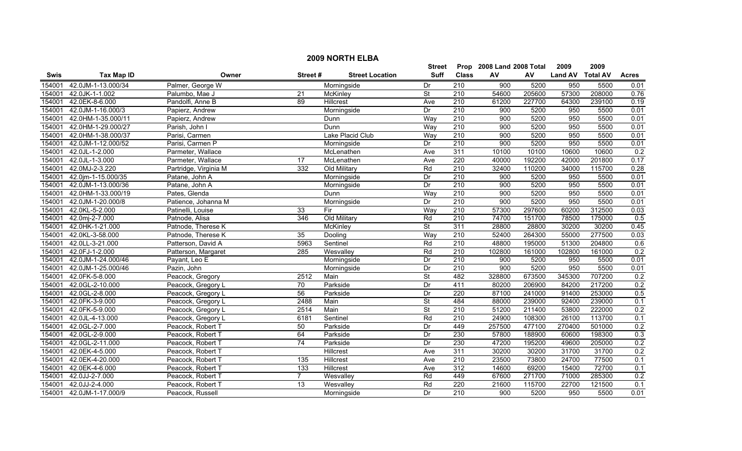|        | <b>2009 NORTH ELBA</b> |                       |                 |                        |                          |                  |                           |        |                  |        |              |  |
|--------|------------------------|-----------------------|-----------------|------------------------|--------------------------|------------------|---------------------------|--------|------------------|--------|--------------|--|
|        |                        |                       |                 |                        | <b>Street</b>            |                  | Prop 2008 Land 2008 Total |        | 2009             | 2009   |              |  |
| Swis   | <b>Tax Map ID</b>      | Owner                 | Street#         | <b>Street Location</b> | <b>Suff</b>              | <b>Class</b>     | AV                        | AV     | Land AV Total AV |        | <b>Acres</b> |  |
| 154001 | 42.0JM-1-13.000/34     | Palmer, George W      |                 | Morningside            | Dr                       | 210              | 900                       | 5200   | 950              | 5500   | 0.01         |  |
| 154001 | 42.0JK-1-1.002         | Palumbo, Mae J        | 21              | McKinley               | St                       | $\overline{210}$ | 54600                     | 205600 | 57300            | 208000 | 0.76         |  |
| 154001 | 42.0EK-8-6.000         | Pandolfi, Anne B      | $\overline{89}$ | <b>Hillcrest</b>       | Ave                      | 210              | 61200                     | 227700 | 64300            | 239100 | 0.19         |  |
| 154001 | 42.0JM-1-16.000/3      | Papierz, Andrew       |                 | Morningside            | Dr                       | 210              | 900                       | 5200   | 950              | 5500   | 0.01         |  |
| 154001 | 42.0HM-1-35.000/11     | Papierz, Andrew       |                 | Dunn                   | Way                      | 210              | 900                       | 5200   | 950              | 5500   | 0.01         |  |
| 154001 | 42.0HM-1-29.000/27     | Parish, John I        |                 | Dunn                   | Way                      | 210              | 900                       | 5200   | 950              | 5500   | 0.01         |  |
| 154001 | 42.0HM-1-38.000/37     | Parisi, Carmen        |                 | Lake Placid Club       | Wav                      | 210              | 900                       | 5200   | 950              | 5500   | 0.01         |  |
| 154001 | 42.0JM-1-12.000/52     | Parisi, Carmen P      |                 | Morningside            | Dr                       | 210              | 900                       | 5200   | 950              | 5500   | 0.01         |  |
| 154001 | 42.0JL-1-2.000         | Parmeter, Wallace     |                 | McLenathen             | Ave                      | 311              | 10100                     | 10100  | 10600            | 10600  | 0.2          |  |
| 154001 | 42.0JL-1-3.000         | Parmeter, Wallace     | $\overline{17}$ | McLenathen             | Ave                      | 220              | 40000                     | 192200 | 42000            | 201800 | 0.17         |  |
| 154001 | 42.0MJ-2-3.220         | Partridge, Virginia M | 332             | Old Military           | Rd                       | 210              | 32400                     | 110200 | 34000            | 115700 | 0.28         |  |
| 154001 | 42.0jm-1-15.000/35     | Patane, John A        |                 | Morningside            | Dr                       | $\overline{210}$ | 900                       | 5200   | 950              | 5500   | 0.01         |  |
| 154001 | 42.0JM-1-13.000/36     | Patane, John A        |                 | Morningside            | Dr                       | $\overline{210}$ | 900                       | 5200   | 950              | 5500   | 0.01         |  |
| 154001 | 42.0HM-1-33.000/19     | Pates, Glenda         |                 | Dunn                   | Way                      | $\overline{210}$ | 900                       | 5200   | 950              | 5500   | 0.01         |  |
| 154001 | 42.0JM-1-20.000/8      | Patience, Johanna M   |                 | Morningside            | Dr                       | $\overline{210}$ | 900                       | 5200   | 950              | 5500   | 0.01         |  |
| 154001 | 42.0KL-5-2.000         | Patinelli, Louise     | $\overline{33}$ | Fir                    | Way                      | 210              | 57300                     | 297600 | 60200            | 312500 | 0.03         |  |
| 154001 | 42.0mj-2-7.000         | Patnode, Alisa        | 346             | Old Military           | Rd                       | 210              | 74700                     | 151700 | 78500            | 175000 | 0.5          |  |
| 154001 | 42.0HK-1-21.000        | Patnode, Therese K    |                 | <b>McKinley</b>        | $\overline{\mathsf{St}}$ | 311              | 28800                     | 28800  | 30200            | 30200  | 0.45         |  |
| 154001 | 42.0KL-3-58.000        | Patnode, Therese K    | 35              | Dooling                | Way                      | 210              | 52400                     | 264300 | 55000            | 277500 | 0.03         |  |
| 154001 | 42.0LL-3-21.000        | Patterson, David A    | 5963            | Sentinel               | Rd                       | 210              | 48800                     | 195000 | 51300            | 204800 | 0.6          |  |
| 154001 | 42.0FJ-1-2.000         | Patterson, Margaret   | 285             | Wesvalley              | Rd                       | $\overline{210}$ | 102800                    | 161000 | 102800           | 161000 | 0.2          |  |
| 154001 | 42.0JM-1-24.000/46     | Payant, Leo E         |                 | Morningside            | Dr                       | $\overline{210}$ | 900                       | 5200   | 950              | 5500   | 0.01         |  |
| 154001 | 42.0JM-1-25.000/46     | Pazin, John           |                 | Morningside            | Dr                       | $\overline{210}$ | $\overline{900}$          | 5200   | 950              | 5500   | 0.01         |  |
| 154001 | 42.0FK-5-8.000         | Peacock, Gregory      | 2512            | Main                   | <b>St</b>                | 482              | 328800                    | 673500 | 345300           | 707200 | 0.2          |  |
| 154001 | 42.0GL-2-10.000        | Peacock, Gregory L    | $\overline{70}$ | Parkside               | Dr                       | 411              | 80200                     | 206900 | 84200            | 217200 | 0.2          |  |
| 154001 | 42.0GL-2-8.000         | Peacock, Gregory L    | 56              | Parkside               | Dr                       | 220              | 87100                     | 241000 | 91400            | 253000 | 0.5          |  |
| 154001 | 42.0FK-3-9.000         | Peacock, Gregory L    | 2488            | Main                   | St                       | 484              | 88000                     | 239000 | 92400            | 239000 | 0.1          |  |
| 154001 | 42.0FK-5-9.000         | Peacock, Gregory L    | 2514            | Main                   | St                       | $\overline{210}$ | 51200                     | 211400 | 53800            | 222000 | 0.2          |  |
| 154001 | 42.0JL-4-13.000        | Peacock, Gregory L    | 6181            | Sentinel               | Rd                       | 210              | 24900                     | 108300 | 26100            | 113700 | 0.1          |  |
| 154001 | 42.0GL-2-7.000         | Peacock, Robert T     | 50              | Parkside               | Dr                       | 449              | 257500                    | 477100 | 270400           | 501000 | 0.2          |  |
| 154001 | 42.0GL-2-9.000         | Peacock, Robert T     | 64              | Parkside               | Dr                       | 230              | 57800                     | 188900 | 60600            | 198300 | 0.3          |  |
| 154001 | 42.0GL-2-11.000        | Peacock, Robert T     | 74              | Parkside               | Dr                       | 230              | 47200                     | 195200 | 49600            | 205000 | 0.2          |  |
| 154001 | 42.0EK-4-5.000         | Peacock, Robert T     |                 | Hillcrest              | Ave                      | 311              | 30200                     | 30200  | 31700            | 31700  | 0.2          |  |
| 154001 | 42.0EK-4-20.000        | Peacock, Robert T     | 135             | Hillcrest              | Ave                      | $\overline{210}$ | 23500                     | 73800  | 24700            | 77500  | 0.1          |  |
| 154001 | 42.0EK-4-6.000         | Peacock, Robert T     | 133             | Hillcrest              | Ave                      | 312              | 14600                     | 69200  | 15400            | 72700  | 0.1          |  |
| 154001 | 42.0JJ-2-7.000         | Peacock, Robert T     | $\overline{7}$  | Wesvalley              | Rd                       | 449              | 67600                     | 271700 | 71000            | 285300 | 0.2          |  |
| 154001 | 42.0JJ-2-4.000         | Peacock, Robert T     | 13              | Wesvalley              | Rd                       | 220              | 21600                     | 115700 | 22700            | 121500 | 0.1          |  |
| 154001 | 42.0JM-1-17.000/9      | Peacock. Russell      |                 | Morningside            | Dr                       | 210              | 900                       | 5200   | 950              | 5500   | 0.01         |  |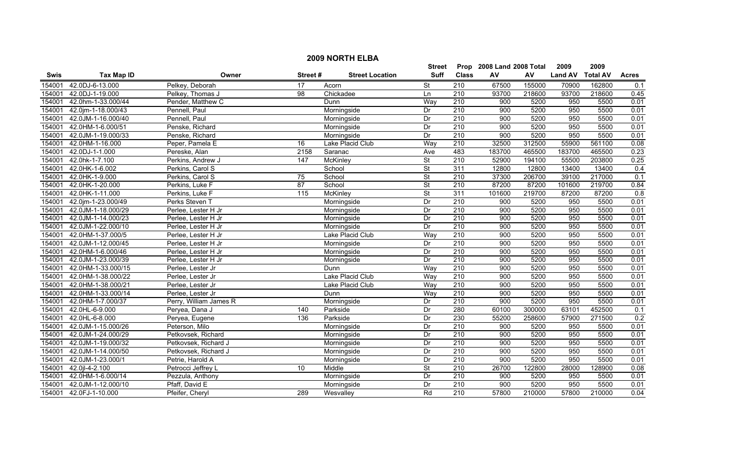|        | <b>2009 NORTH ELBA</b> |                        |                   |                        |                          |                  |                           |        |                |                 |                  |  |  |
|--------|------------------------|------------------------|-------------------|------------------------|--------------------------|------------------|---------------------------|--------|----------------|-----------------|------------------|--|--|
|        |                        |                        |                   |                        | Street                   |                  | Prop 2008 Land 2008 Total |        | 2009           | 2009            |                  |  |  |
| Swis   | <b>Tax Map ID</b>      | Owner                  | Street#           | <b>Street Location</b> | Suff                     | <b>Class</b>     | AV                        | AV     | <b>Land AV</b> | <b>Total AV</b> | <b>Acres</b>     |  |  |
| 154001 | 42.0DJ-6-13.000        | Pelkey, Deborah        | 17                | Acorn                  | $\overline{\mathsf{St}}$ | 210              | 67500                     | 155000 | 70900          | 162800          | 0.1              |  |  |
| 154001 | 42.0DJ-1-19.000        | Pelkey, Thomas J       | 98                | Chickadee              | Ln                       | $\overline{210}$ | 93700                     | 218600 | 93700          | 218600          | 0.45             |  |  |
| 154001 | 42.0hm-1-33.000/44     | Pender, Matthew C      |                   | Dunn                   | Way                      | 210              | 900                       | 5200   | 950            | 5500            | 0.01             |  |  |
| 154001 | 42.0jm-1-18.000/43     | Pennell, Paul          |                   | Morningside            | Dr                       | 210              | 900                       | 5200   | 950            | 5500            | 0.01             |  |  |
| 154001 | 42.0JM-1-16.000/40     | Pennell, Paul          |                   | Morningside            | Dr                       | 210              | 900                       | 5200   | 950            | 5500            | 0.01             |  |  |
| 154001 | 42.0HM-1-6.000/51      | Penske, Richard        |                   | Morningside            | Dr                       | 210              | 900                       | 5200   | 950            | 5500            | 0.01             |  |  |
| 154001 | 42.0JM-1-19.000/33     | Penske, Richard        |                   | Morningside            | Dr                       | 210              | 900                       | 5200   | 950            | 5500            | 0.01             |  |  |
| 154001 | 42.0HM-1-16.000        | Peper, Pamela E        | 16                | Lake Placid Club       | Way                      | 210              | 32500                     | 312500 | 55900          | 561100          | 0.08             |  |  |
| 154001 | 42.0DJ-1-1.000         | Pereske, Alan          | 2158              | Saranac                | Ave                      | 483              | 183700                    | 465500 | 183700         | 465500          | 0.23             |  |  |
| 154001 | 42.0hk-1-7.100         | Perkins, Andrew J      | 147               | McKinley               | St                       | 210              | 52900                     | 194100 | 55500          | 203800          | 0.25             |  |  |
| 154001 | 42.0HK-1-6.002         | Perkins, Carol S       |                   | School                 | $\overline{\mathsf{St}}$ | 311              | 12800                     | 12800  | 13400          | 13400           | 0.4              |  |  |
| 154001 | 42.0HK-1-9.000         | Perkins, Carol S       | 75                | School                 | <b>St</b>                | 210              | 37300                     | 206700 | 39100          | 217000          | 0.1              |  |  |
| 154001 | 42.0HK-1-20.000        | Perkins, Luke F        | 87                | School                 | $\overline{\mathsf{St}}$ | $\overline{210}$ | 87200                     | 87200  | 101600         | 219700          | 0.84             |  |  |
| 154001 | 42.0HK-1-11.000        | Perkins, Luke F        | $\frac{115}{115}$ | <b>McKinley</b>        | $\overline{\mathsf{St}}$ | 311              | 101600                    | 219700 | 87200          | 87200           | $\overline{0.8}$ |  |  |
| 154001 | 42.0jm-1-23.000/49     | Perks Steven T         |                   | Morningside            | Dr                       | $\overline{210}$ | 900                       | 5200   | 950            | 5500            | 0.01             |  |  |
| 154001 | 42.0JM-1-18.000/29     | Perlee, Lester H Jr    |                   | Morningside            | Dr                       | 210              | 900                       | 5200   | 950            | 5500            | 0.01             |  |  |
| 154001 | 42.0JM-1-14.000/23     | Perlee, Lester H Jr    |                   | Morningside            | Dr                       | 210              | 900                       | 5200   | 950            | 5500            | 0.01             |  |  |
| 154001 | 42.0JM-1-22.000/10     | Perlee, Lester H Jr    |                   | Morningside            | Dr                       | 210              | 900                       | 5200   | 950            | 5500            | 0.01             |  |  |
| 154001 | 42.0HM-1-37.000/5      | Perlee, Lester H Jr    |                   | Lake Placid Club       | Way                      | 210              | 900                       | 5200   | 950            | 5500            | 0.01             |  |  |
| 154001 | 42.0JM-1-12.000/45     | Perlee, Lester H Jr    |                   | Morningside            | Dr                       | 210              | 900                       | 5200   | 950            | 5500            | 0.01             |  |  |
| 154001 | 42.0HM-1-6.000/46      | Perlee, Lester H Jr    |                   | Morningside            | Dr                       | 210              | 900                       | 5200   | 950            | 5500            | 0.01             |  |  |
| 154001 | 42.0JM-1-23.000/39     | Perlee, Lester H Jr    |                   | Morningside            | Dr                       | 210              | 900                       | 5200   | 950            | 5500            | 0.01             |  |  |
| 154001 | 42.0HM-1-33.000/15     | Perlee, Lester Jr      |                   | Dunn                   | Way                      | 210              | 900                       | 5200   | 950            | 5500            | 0.01             |  |  |
| 154001 | 42.0HM-1-38.000/22     | Perlee, Lester Jr      |                   | Lake Placid Club       | Way                      | $\overline{210}$ | 900                       | 5200   | 950            | 5500            | 0.01             |  |  |
| 154001 | 42.0HM-1-38.000/21     | Perlee, Lester Jr      |                   | Lake Placid Club       | Way                      | 210              | 900                       | 5200   | 950            | 5500            | 0.01             |  |  |
| 154001 | 42.0HM-1-33.000/14     | Perlee, Lester Jr      |                   | Dunn                   | Way                      | 210              | 900                       | 5200   | 950            | 5500            | 0.01             |  |  |
| 154001 | 42.0HM-1-7.000/37      | Perry, William James R |                   | Morningside            | Dr                       | 210              | 900                       | 5200   | 950            | 5500            | 0.01             |  |  |
| 154001 | 42.0HL-6-9.000         | Peryea, Dana J         | 140               | Parkside               | Dr                       | 280              | 60100                     | 300000 | 63101          | 452500          | 0.1              |  |  |
| 154001 | 42.0HL-6-8.000         | Peryea, Eugene         | 136               | Parkside               | Dr                       | 230              | 55200                     | 258600 | 57900          | 271500          | 0.2              |  |  |
| 154001 | 42.0JM-1-15.000/26     | Peterson, Milo         |                   | Morningside            | Dr                       | 210              | 900                       | 5200   | 950            | 5500            | 0.01             |  |  |
| 154001 | 42.0JM-1-24.000/29     | Petkovsek, Richard     |                   | Morningside            | Dr                       | 210              | 900                       | 5200   | 950            | 5500            | 0.01             |  |  |
| 154001 | 42.0JM-1-19.000/32     | Petkovsek, Richard J   |                   | Morningside            | Dr                       | 210              | 900                       | 5200   | 950            | 5500            | 0.01             |  |  |
| 154001 | 42.0JM-1-14.000/50     | Petkovsek, Richard J   |                   | Morningside            | Dr                       | 210              | 900                       | 5200   | 950            | 5500            | 0.01             |  |  |
| 154001 | 42.0JM-1-23.000/1      | Petrie, Harold A       |                   | Morningside            | Dr                       | 210              | 900                       | 5200   | 950            | 5500            | 0.01             |  |  |
| 154001 | 42.0jl-4-2.100         | Petrocci Jeffrey L     | 10                | Middle                 | St                       | $\overline{210}$ | 26700                     | 122800 | 28000          | 128900          | 0.08             |  |  |
| 154001 | 42.0HM-1-6.000/14      | Pezzula, Anthony       |                   | Morningside            | Dr                       | 210              | 900                       | 5200   | 950            | 5500            | 0.01             |  |  |
| 154001 | 42.0JM-1-12.000/10     | Pfaff, David E         |                   | Morningside            | Dr                       | $\overline{210}$ | 900                       | 5200   | 950            | 5500            | 0.01             |  |  |
|        | 154001 42.0FJ-1-10.000 | Pfeifer, Chervl        | 289               | Wesvalley              | Rd                       | 210              | 57800                     | 210000 | 57800          | 210000          | 0.04             |  |  |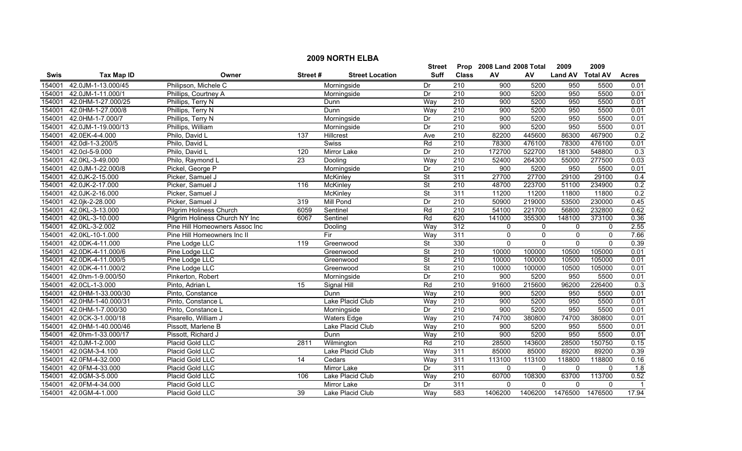|             |                    |                                |                 |                        | <b>Street</b>            |                  | Prop 2008 Land 2008 Total |                | 2009           | 2009            |                  |
|-------------|--------------------|--------------------------------|-----------------|------------------------|--------------------------|------------------|---------------------------|----------------|----------------|-----------------|------------------|
| <b>Swis</b> | <b>Tax Map ID</b>  | Owner                          | Street#         | <b>Street Location</b> | <b>Suff</b>              | <b>Class</b>     | AV                        | AV             | <b>Land AV</b> | <b>Total AV</b> | <b>Acres</b>     |
| 154001      | 42.0JM-1-13.000/45 | Philipson, Michele C           |                 | Morningside            | Dr                       | 210              | 900                       | 5200           | 950            | 5500            | 0.01             |
| 154001      | 42.0JM-1-11.000/1  | Phillips, Courtney A           |                 | Morningside            | Dr                       | $\overline{210}$ | 900                       | 5200           | 950            | 5500            | 0.01             |
| 154001      | 42.0HM-1-27.000/25 | Phillips, Terry N              |                 | Dunn                   | Way                      | $\overline{210}$ | 900                       | 5200           | 950            | 5500            | 0.01             |
| 154001      | 42.0HM-1-27.000/8  | Phillips, Terry N              |                 | Dunn                   | Way                      | 210              | 900                       | 5200           | 950            | 5500            | 0.01             |
| 154001      | 42.0HM-1-7.000/7   | Phillips, Terry N              |                 | Morningside            | Dr                       | 210              | 900                       | 5200           | 950            | 5500            | 0.01             |
| 154001      | 42.0JM-1-19.000/13 | Phillips, William              |                 | Morningside            | Dr                       | 210              | 900                       | 5200           | 950            | 5500            | 0.01             |
| 154001      | 42.0EK-4-4.000     | Philo, David L                 | 137             | Hillcrest              | Ave                      | 210              | 82200                     | 445600         | 86300          | 467900          | 0.2              |
| 154001      | 42.0dl-1-3.200/5   | Philo, David L                 |                 | <b>Swiss</b>           | Rd                       | 210              | 78300                     | 476100         | 78300          | 476100          | 0.01             |
| 154001      | 42.0cl-5-9.000     | Philo, David L                 | 120             | Mirror Lake            | Dr                       | 210              | 172700                    | 522700         | 181300         | 548800          | $\overline{0.3}$ |
| 154001      | 42.0KL-3-49.000    | Philo, Raymond L               | 23              | Dooling                | Way                      | $\overline{210}$ | 52400                     | 264300         | 55000          | 277500          | 0.03             |
| 154001      | 42.0JM-1-22.000/8  | Pickel, George P               |                 | Morningside            | Dr                       | $\overline{210}$ | 900                       | 5200           | 950            | 5500            | 0.01             |
| 154001      | 42.0JK-2-15.000    | Picker, Samuel J               |                 | McKinley               | St                       | 311              | 27700                     | 27700          | 29100          | 29100           | 0.4              |
| 154001      | 42.0JK-2-17.000    | Picker, Samuel J               | 116             | McKinley               | St                       | $\overline{210}$ | 48700                     | 223700         | 51100          | 234900          | 0.2              |
| 154001      | 42.0JK-2-16.000    | Picker, Samuel J               |                 | <b>McKinley</b>        | $\overline{\mathsf{St}}$ | 311              | 11200                     | 11200          | 11800          | 11800           | 0.2              |
| 154001      | 42.0jk-2-28.000    | Picker, Samuel J               | 319             | Mill Pond              | Dr                       | 210              | 50900                     | 219000         | 53500          | 230000          | 0.45             |
| 154001      | 42.0KL-3-13.000    | Pilgrim Holiness Church        | 6059            | Sentinel               | Rd                       | 210              | 54100                     | 221700         | 56800          | 232800          | 0.62             |
| 154001      | 42.0KL-3-10.000    | Pilgrim Holiness Church NY Inc | 6067            | Sentinel               | Rd                       | 620              | 141000                    | 355300         | 148100         | 373100          | 0.36             |
| 154001      | 42.0KL-3-2.002     | Pine Hill Homeowners Assoc Inc |                 | Dooling                | Way                      | 312              | $\mathbf{0}$              | $\mathbf 0$    | $\mathbf 0$    | $\Omega$        | 2.55             |
| 154001      | 42.0KL-10-1.000    | Pine Hill Homeowners Inc II    |                 | $\overline{F}$         | Way                      | 311              | $\Omega$                  | $\mathbf{0}$   | $\mathbf{0}$   | $\mathbf{0}$    | 7.66             |
| 154001      | 42.0DK-4-11.000    | Pine Lodge LLC                 | 119             | Greenwood              | St                       | 330              | $\mathbf{0}$              | $\overline{0}$ | $\overline{0}$ | $\mathbf{0}$    | 0.39             |
| 154001      | 42.0DK-4-11.000/6  | Pine Lodge LLC                 |                 | Greenwood              | St                       | $\overline{210}$ | 10000                     | 100000         | 10500          | 105000          | 0.01             |
| 154001      | 42.0DK-4-11.000/5  | Pine Lodge LLC                 |                 | Greenwood              | St                       | $\overline{210}$ | 10000                     | 100000         | 10500          | 105000          | 0.01             |
| 154001      | 42.0DK-4-11.000/2  | Pine Lodge LLC                 |                 | Greenwood              | $\overline{\mathsf{St}}$ | 210              | 10000                     | 100000         | 10500          | 105000          | 0.01             |
| 154001      | 42.0hm-1-9.000/50  | Pinkerton, Robert              |                 | Morningside            | Dr                       | $\overline{210}$ | 900                       | 5200           | 950            | 5500            | 0.01             |
| 154001      | 42.0CL-1-3.000     | Pinto, Adrian L                | 15              | Signal Hill            | Rd                       | 210              | 91600                     | 215600         | 96200          | 226400          | $\overline{0.3}$ |
| 154001      | 42.0HM-1-33.000/30 | Pinto, Constance               |                 | Dunn                   | Way                      | 210              | $\overline{900}$          | 5200           | 950            | 5500            | 0.01             |
| 154001      | 42.0HM-1-40.000/31 | Pinto, Constance L             |                 | Lake Placid Club       | Way                      | 210              | 900                       | 5200           | 950            | 5500            | 0.01             |
| 154001      | 42.0HM-1-7.000/30  | Pinto, Constance L             |                 | Morningside            | Dr                       | $\overline{210}$ | $\overline{900}$          | 5200           | 950            | 5500            | 0.01             |
| 154001      | 42.0CK-3-1.000/18  | Pisarello, William J           |                 | <b>Waters Edge</b>     | Way                      | 210              | 74700                     | 380800         | 74700          | 380800          | 0.01             |
| 154001      | 42.0HM-1-40.000/46 | Pissott, Marlene B             |                 | Lake Placid Club       | Way                      | 210              | 900                       | 5200           | 950            | 5500            | 0.01             |
| 154001      | 42.0hm-1-33.000/17 | Pissott, Richard J             |                 | Dunn                   | Way                      | 210              | 900                       | 5200           | 950            | 5500            | 0.01             |
| 154001      | 42.0JM-1-2.000     | Placid Gold LLC                | 2811            | Wilmington             | Rd                       | 210              | 28500                     | 143600         | 28500          | 150750          | 0.15             |
| 154001      | 42.0GM-3-4.100     | Placid Gold LLC                |                 | Lake Placid Club       | Way                      | 311              | 85000                     | 85000          | 89200          | 89200           | 0.39             |
| 154001      | 42.0FM-4-32.000    | Placid Gold LLC                | $\overline{14}$ | Cedars                 | Way                      | 311              | 113100                    | 113100         | 118800         | 118800          | 0.16             |
| 154001      | 42.0FM-4-33.000    | Placid Gold LLC                |                 | Mirror Lake            | Dr                       | 311              | $\Omega$                  | $\Omega$       | $\Omega$       | $\Omega$        | 1.8              |
| 154001      | 42.0GM-3-5.000     | Placid Gold LLC                | 106             | Lake Placid Club       | Way                      | 210              | 60700                     | 108300         | 63700          | 113700          | 0.52             |
| 154001      | 42.0FM-4-34.000    | Placid Gold LLC                |                 | Mirror Lake            | Dr                       | 311              | $\Omega$                  | $\mathbf{0}$   | $\mathbf{0}$   | $\Omega$        | $\overline{1}$   |
| 154001      | 42.0GM-4-1.000     | Placid Gold LLC                | 39              | Lake Placid Club       | Way                      | 583              | 1406200                   | 1406200        | 1476500        | 1476500         | 17.94            |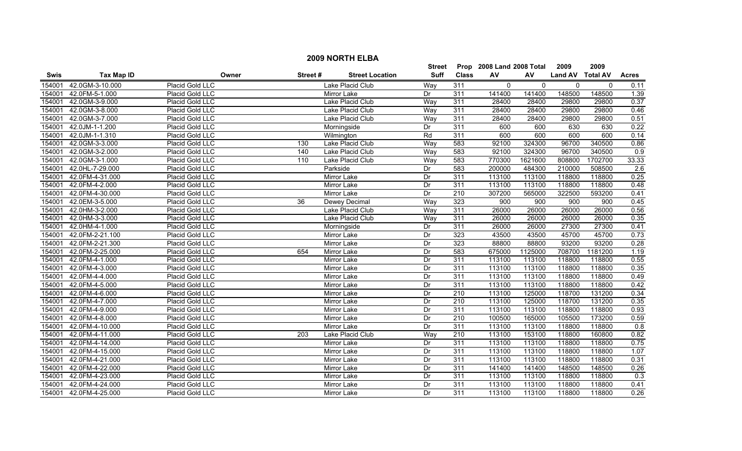|        | <b>2009 NORTH ELBA</b> |                        |         |                        |               |                  |                           |          |                  |         |                  |
|--------|------------------------|------------------------|---------|------------------------|---------------|------------------|---------------------------|----------|------------------|---------|------------------|
|        |                        |                        |         |                        | <b>Street</b> |                  | Prop 2008 Land 2008 Total |          | 2009             | 2009    |                  |
| Swis   | <b>Tax Map ID</b>      | Owner                  | Street# | <b>Street Location</b> | Suff          | <b>Class</b>     | AV                        | AV       | Land AV Total AV |         | <b>Acres</b>     |
| 154001 | 42.0GM-3-10.000        | Placid Gold LLC        |         | Lake Placid Club       | Way           | 311              | $\mathbf 0$               | $\Omega$ | $\mathbf 0$      | 0       | 0.11             |
| 154001 | 42.0FM-5-1.000         | Placid Gold LLC        |         | Mirror Lake            | Dr            | 311              | 141400                    | 141400   | 148500           | 148500  | 1.39             |
| 154001 | 42.0GM-3-9.000         | Placid Gold LLC        |         | Lake Placid Club       | Way           | 311              | 28400                     | 28400    | 29800            | 29800   | 0.37             |
| 154001 | 42.0GM-3-8.000         | Placid Gold LLC        |         | Lake Placid Club       | Way           | 311              | 28400                     | 28400    | 29800            | 29800   | 0.46             |
| 154001 | 42.0GM-3-7.000         | Placid Gold LLC        |         | Lake Placid Club       | Way           | 311              | 28400                     | 28400    | 29800            | 29800   | 0.51             |
| 154001 | 42.0JM-1-1.200         | Placid Gold LLC        |         | Morningside            | Dr            | 311              | 600                       | 600      | 630              | 630     | 0.22             |
| 154001 | 42.0JM-1-1.310         | Placid Gold LLC        |         | Wilmington             | Rd            | 311              | 600                       | 600      | 600              | 600     | 0.14             |
| 154001 | 42.0GM-3-3.000         | Placid Gold LLC        | 130     | Lake Placid Club       | Way           | 583              | 92100                     | 324300   | 96700            | 340500  | 0.86             |
| 154001 | 42.0GM-3-2.000         | Placid Gold LLC        | 140     | Lake Placid Club       | Way           | 583              | 92100                     | 324300   | 96700            | 340500  | 0.9              |
| 154001 | 42.0GM-3-1.000         | Placid Gold LLC        | 110     | Lake Placid Club       | Way           | 583              | 770300                    | 1621600  | 808800           | 1702700 | 33.33            |
| 154001 | 42.0HL-7-29.000        | Placid Gold LLC        |         | Parkside               | Dr            | 583              | 200000                    | 484300   | 210000           | 508500  | $\overline{2.6}$ |
| 154001 | 42.0FM-4-31.000        | Placid Gold LLC        |         | Mirror Lake            | Dr            | 311              | 113100                    | 113100   | 118800           | 118800  | 0.25             |
| 154001 | 42.0FM-4-2.000         | Placid Gold LLC        |         | <b>Mirror Lake</b>     | Dr            | 311              | 113100                    | 113100   | 118800           | 118800  | 0.48             |
| 154001 | 42.0FM-4-30.000        | Placid Gold LLC        |         | <b>Mirror Lake</b>     | Dr            | $\overline{210}$ | 307200                    | 565000   | 322500           | 593200  | 0.41             |
| 154001 | 42.0EM-3-5.000         | Placid Gold LLC        | 36      | Dewey Decimal          | Way           | 323              | 900                       | 900      | 900              | 900     | 0.45             |
| 154001 | 42.0HM-3-2.000         | Placid Gold LLC        |         | Lake Placid Club       | Way           | 311              | 26000                     | 26000    | 26000            | 26000   | 0.56             |
| 154001 | 42.0HM-3-3.000         | Placid Gold LLC        |         | Lake Placid Club       | Way           | 311              | 26000                     | 26000    | 26000            | 26000   | 0.35             |
| 154001 | 42.0HM-4-1.000         | Placid Gold LLC        |         | Morningside            | Dr            | 311              | 26000                     | 26000    | 27300            | 27300   | 0.41             |
| 154001 | 42.0FM-2-21.100        | Placid Gold LLC        |         | Mirror Lake            | Dr            | 323              | 43500                     | 43500    | 45700            | 45700   | 0.73             |
| 154001 | 42.0FM-2-21.300        | Placid Gold LLC        |         | <b>Mirror Lake</b>     | Dr            | 323              | 88800                     | 88800    | 93200            | 93200   | 0.28             |
| 154001 | 42.0FM-2-25.000        | Placid Gold LLC        | 654     | <b>Mirror Lake</b>     | Dr            | 583              | 675000                    | 1125000  | 708700           | 1181200 | 1.19             |
| 154001 | 42.0FM-4-1.000         | Placid Gold LLC        |         | <b>Mirror Lake</b>     | Dr            | 311              | 113100                    | 113100   | 118800           | 118800  | 0.55             |
| 154001 | 42.0FM-4-3.000         | Placid Gold LLC        |         | Mirror Lake            | Dr            | 311              | 113100                    | 113100   | 118800           | 118800  | 0.35             |
| 154001 | 42.0FM-4-4.000         | Placid Gold LLC        |         | Mirror Lake            | Dr            | 311              | 113100                    | 113100   | 118800           | 118800  | 0.49             |
| 154001 | 42.0FM-4-5.000         | Placid Gold LLC        |         | Mirror Lake            | Dr            | 311              | 113100                    | 113100   | 118800           | 118800  | 0.42             |
| 154001 | 42.0FM-4-6.000         | Placid Gold LLC        |         | Mirror Lake            | Dr            | $\overline{210}$ | 113100                    | 125000   | 118700           | 131200  | 0.34             |
| 154001 | 42.0FM-4-7.000         | Placid Gold LLC        |         | Mirror Lake            | Dr            | $\overline{210}$ | 113100                    | 125000   | 118700           | 131200  | 0.35             |
| 154001 | 42.0FM-4-9.000         | Placid Gold LLC        |         | Mirror Lake            | Dr            | 311              | 113100                    | 113100   | 118800           | 118800  | 0.93             |
| 154001 | 42.0FM-4-8.000         | Placid Gold LLC        |         | <b>Mirror Lake</b>     | Dr            | 210              | 100500                    | 165000   | 105500           | 173200  | 0.59             |
| 154001 | 42.0FM-4-10.000        | Placid Gold LLC        |         | <b>Mirror Lake</b>     | Dr            | 311              | 113100                    | 113100   | 118800           | 118800  | 0.8              |
| 154001 | 42.0FM-4-11.000        | Placid Gold LLC        | 203     | Lake Placid Club       | Way           | 210              | 113100                    | 153100   | 118800           | 160800  | 0.82             |
| 154001 | 42.0FM-4-14.000        | Placid Gold LLC        |         | <b>Mirror Lake</b>     | Dr            | 311              | 113100                    | 113100   | 118800           | 118800  | 0.75             |
| 154001 | 42.0FM-4-15.000        | Placid Gold LLC        |         | Mirror Lake            | Dr            | 311              | 113100                    | 113100   | 118800           | 118800  | 1.07             |
| 154001 | 42.0FM-4-21.000        | Placid Gold LLC        |         | Mirror Lake            | Dr            | 311              | 113100                    | 113100   | 118800           | 118800  | 0.31             |
| 154001 | 42.0FM-4-22.000        | Placid Gold LLC        |         | Mirror Lake            | Dr            | 311              | 141400                    | 141400   | 148500           | 148500  | 0.26             |
| 154001 | 42.0FM-4-23.000        | Placid Gold LLC        |         | Mirror Lake            | Dr            | 311              | 113100                    | 113100   | 118800           | 118800  | 0.3              |
| 154001 | 42.0FM-4-24.000        | Placid Gold LLC        |         | Mirror Lake            | Dr            | 311              | 113100                    | 113100   | 118800           | 118800  | 0.41             |
|        | 154001 42.0FM-4-25.000 | <b>Placid Gold LLC</b> |         | Mirror Lake            | Dr            | 311              | 113100                    | 113100   | 118800           | 118800  | 0.26             |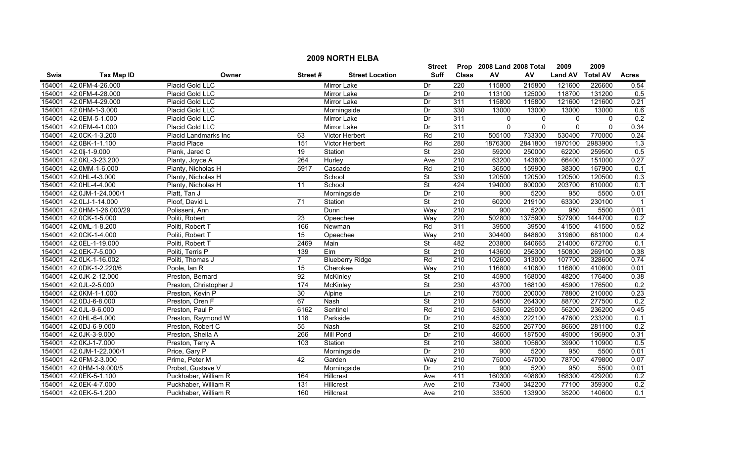|             |                    |                              |                 |                        | <b>Street</b>            |                  | Prop 2008 Land 2008 Total |          | 2009           | 2009            |                  |
|-------------|--------------------|------------------------------|-----------------|------------------------|--------------------------|------------------|---------------------------|----------|----------------|-----------------|------------------|
| <b>Swis</b> | <b>Tax Map ID</b>  | Owner                        | Street#         | <b>Street Location</b> | Suff                     | <b>Class</b>     | AV                        | AV       | <b>Land AV</b> | <b>Total AV</b> | <b>Acres</b>     |
| 154001      | 42.0FM-4-26.000    | Placid Gold LLC              |                 | Mirror Lake            | Dr                       | 220              | 115800                    | 215800   | 121600         | 226600          | 0.54             |
| 154001      | 42.0FM-4-28.000    | Placid Gold LLC              |                 | Mirror Lake            | Dr                       | $\overline{210}$ | 113100                    | 125000   | 118700         | 131200          | 0.5              |
| 154001      | 42.0FM-4-29.000    | Placid Gold LLC              |                 | Mirror Lake            | Dr                       | 311              | 115800                    | 115800   | 121600         | 121600          | 0.21             |
| 154001      | 42.0HM-1-3.000     | Placid Gold LLC              |                 | Morningside            | Dr                       | 330              | 13000                     | 13000    | 13000          | 13000           | 0.6              |
| 154001      | 42.0EM-5-1.000     | Placid Gold LLC              |                 | <b>Mirror Lake</b>     | Dr                       | 311              | $\mathbf{0}$              | 0        | $\mathbf 0$    | $\mathbf 0$     | 0.2              |
| 154001      | 42.0EM-4-1.000     | Placid Gold LLC              |                 | Mirror Lake            | Dr                       | 311              | $\mathbf{0}$              | $\Omega$ | $\mathbf{0}$   | $\mathbf{0}$    | 0.34             |
| 154001      | 42.0CK-1-3.200     | <b>Placid Landmarks Inc.</b> | 63              | <b>Victor Herbert</b>  | Rd                       | 210              | 505100                    | 733300   | 530400         | 770000          | 0.24             |
| 154001      | 42.0BK-1-1.100     | Placid Place                 | 151             | Victor Herbert         | Rd                       | 280              | 1876300                   | 2841800  | 1970100        | 2983900         | 1.3              |
| 154001      | 42.0lj-1-9.000     | Plank, Jared C               | 19              | Station                | St                       | 230              | 59200                     | 250000   | 62200          | 259500          | $\overline{0.5}$ |
| 154001      | 42.0KL-3-23.200    | Planty, Joyce A              | 264             | Hurley                 | Ave                      | $\overline{210}$ | 63200                     | 143800   | 66400          | 151000          | 0.27             |
| 154001      | 42.0MM-1-6.000     | Planty, Nicholas H           | 5917            | Cascade                | Rd                       | 210              | 36500                     | 159900   | 38300          | 167900          | 0.1              |
| 154001      | 42.0HL-4-3.000     | Planty, Nicholas H           |                 | School                 | <b>St</b>                | 330              | 120500                    | 120500   | 120500         | 120500          | 0.3              |
| 154001      | 42.0HL-4-4.000     | Planty, Nicholas H           | 11              | School                 | <b>St</b>                | 424              | 194000                    | 600000   | 203700         | 610000          | 0.1              |
| 154001      | 42.0JM-1-24.000/1  | Platt, Tan J                 |                 | Morningside            | Dr                       | $\overline{210}$ | 900                       | 5200     | 950            | 5500            | 0.01             |
| 154001      | 42.0LJ-1-14.000    | Ploof, David L               | 71              | Station                | $\overline{\mathsf{St}}$ | 210              | 60200                     | 219100   | 63300          | 230100          |                  |
| 154001      | 42.0HM-1-26.000/29 | Polisseni, Ann               |                 | Dunn                   | Way                      | $\overline{210}$ | 900                       | 5200     | 950            | 5500            | 0.01             |
| 154001      | 42.0CK-1-5.000     | Politi, Robert               | 23              | Opeechee               | Way                      | 220              | 502800                    | 1375900  | 527900         | 1444700         | 0.2              |
| 154001      | 42.0ML-1-8.200     | Politi, Robert T             | 166             | Newman                 | Rd                       | 311              | 39500                     | 39500    | 41500          | 41500           | 0.52             |
| 154001      | 42.0CK-1-4.000     | Politi, Robert T             | 15              | Opeechee               | Way                      | 210              | 304400                    | 648600   | 319600         | 681000          | 0.4              |
| 154001      | 42.0EL-1-19.000    | Politi, Robert T             | 2469            | Main                   | <b>St</b>                | 482              | 203800                    | 640665   | 214000         | 672700          | 0.1              |
| 154001      | 42.0EK-7-5.000     | Politi, Terris P             | 139             | Elm                    | $\overline{\mathsf{St}}$ | $\overline{210}$ | 143600                    | 256300   | 150800         | 269100          | 0.38             |
| 154001      | 42.0LK-1-16.002    | Politi, Thomas J             | $\overline{7}$  | <b>Blueberry Ridge</b> | Rd                       | 210              | 102600                    | 313000   | 107700         | 328600          | 0.74             |
| 154001      | 42.0DK-1-2.220/6   | Poole, Ian R                 | $\overline{15}$ | Cherokee               | Way                      | 210              | 116800                    | 410600   | 116800         | 410600          | 0.01             |
| 154001      | 42.0JK-2-12.000    | Preston, Bernard             | $\overline{92}$ | <b>McKinley</b>        | <b>St</b>                | $\overline{210}$ | 45900                     | 168000   | 48200          | 176400          | 0.38             |
| 154001      | 42.0JL-2-5.000     | Preston, Christopher J       | 174             | <b>McKinley</b>        | St                       | 230              | 43700                     | 168100   | 45900          | 176500          | 0.2              |
| 154001      | 42.0KM-1-1.000     | Preston, Kevin P             | 30              | Alpine                 | Ln                       | 210              | 75000                     | 200000   | 78800          | 210000          | 0.23             |
| 154001      | 42.0DJ-6-8.000     | Preston, Oren F              | 67              | Nash                   | <b>St</b>                | $\overline{210}$ | 84500                     | 264300   | 88700          | 277500          | 0.2              |
| 154001      | 42.0JL-9-6.000     | Preston, Paul P              | 6162            | Sentinel               | Rd                       | $\overline{210}$ | 53600                     | 225000   | 56200          | 236200          | 0.45             |
| 154001      | 42.0HL-6-4.000     | Preston, Raymond W           | 118             | Parkside               | Dr                       | 210              | 45300                     | 222100   | 47600          | 233200          | 0.1              |
| 154001      | 42.0DJ-6-9.000     | Preston, Robert C            | 55              | Nash                   | $\overline{\mathsf{St}}$ | 210              | 82500                     | 267700   | 86600          | 281100          | 0.2              |
| 154001      | 42.0JK-3-9.000     | Preston, Sheila A            | 266             | <b>Mill Pond</b>       | Dr                       | 210              | 46600                     | 187500   | 49000          | 196900          | 0.31             |
| 154001      | 42.0KJ-1-7.000     | Preston, Terry A             | 103             | Station                | <b>St</b>                | 210              | 38000                     | 105600   | 39900          | 110900          | 0.5              |
| 154001      | 42.0JM-1-22.000/1  | Price, Gary P                |                 | Morningside            | Dr                       | 210              | 900                       | 5200     | 950            | 5500            | 0.01             |
| 154001      | 42.0FM-2-3.000     | Prime, Peter M               | 42              | Garden                 | Way                      | $\overline{210}$ | 75000                     | 457000   | 78700          | 479800          | 0.07             |
| 154001      | 42.0HM-1-9.000/5   | Probst, Gustave V            |                 | Morningside            | Dr                       | 210              | 900                       | 5200     | 950            | 5500            | 0.01             |
| 154001      | 42.0EK-5-1.100     | Puckhaber, William R         | 164             | Hillcrest              | Ave                      | 411              | 160300                    | 408800   | 168300         | 429200          | 0.2              |
| 154001      | 42.0EK-4-7.000     | Puckhaber, William R         | 131             | Hillcrest              | Ave                      | $\overline{210}$ | 73400                     | 342200   | 77100          | 359300          | 0.2              |
| 154001      | 42.0EK-5-1.200     | Puckhaber, William R         | 160             | Hillcrest              | Ave                      | $\overline{210}$ | 33500                     | 133900   | 35200          | 140600          | 0.1              |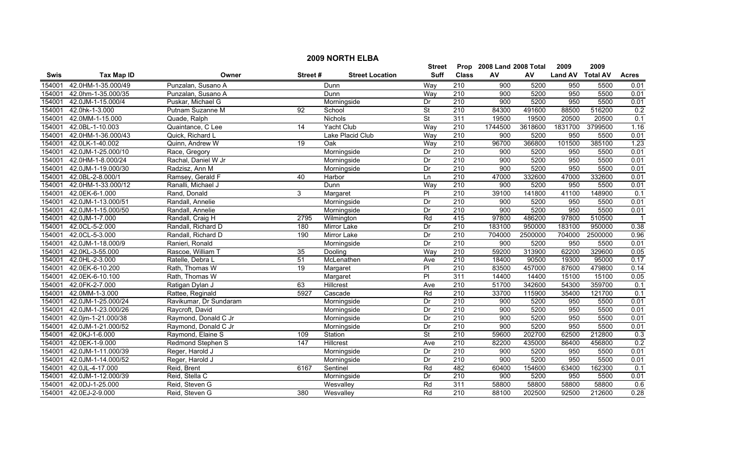|        | <b>2009 NORTH ELBA</b> |                        |         |                        |                          |                  |                              |         |                  |         |              |  |  |
|--------|------------------------|------------------------|---------|------------------------|--------------------------|------------------|------------------------------|---------|------------------|---------|--------------|--|--|
|        |                        |                        |         |                        |                          |                  | Prop<br>2008 Land 2008 Total |         | 2009             | 2009    |              |  |  |
| Swis   | <b>Tax Map ID</b>      | Owner                  | Street# | <b>Street Location</b> | <b>Suff</b>              | <b>Class</b>     | AV                           | AV      | Land AV Total AV |         | <b>Acres</b> |  |  |
| 154001 | 42.0HM-1-35.000/49     | Punzalan, Susano A     |         | Dunn                   | Way                      | 210              | 900                          | 5200    | 950              | 5500    | 0.01         |  |  |
| 154001 | 42.0hm-1-35.000/35     | Punzalan, Susano A     |         | Dunn                   | Way                      | 210              | $\overline{900}$             | 5200    | 950              | 5500    | 0.01         |  |  |
| 154001 | 42.0JM-1-15.000/4      | Puskar, Michael G      |         | Morningside            | Dr                       | $\overline{210}$ | 900                          | 5200    | 950              | 5500    | 0.01         |  |  |
| 154001 | 42.0hk-1-3.000         | Putnam Suzanne M       | 92      | School                 | $\overline{\mathsf{St}}$ | 210              | 84300                        | 491600  | 88500            | 516200  | 0.2          |  |  |
| 154001 | 42.0MM-1-15.000        | Quade, Ralph           |         | <b>Nichols</b>         | <b>St</b>                | 311              | 19500                        | 19500   | 20500            | 20500   | 0.1          |  |  |
| 154001 | 42.0BL-1-10.003        | Quaintance, C Lee      | 14      | Yacht Club             | Way                      | 210              | 1744500                      | 3618600 | 1831700          | 3799500 | 1.16         |  |  |
| 154001 | 42.0HM-1-36.000/43     | Quick, Richard L       |         | Lake Placid Club       | Way                      | 210              | 900                          | 5200    | 950              | 5500    | 0.01         |  |  |
| 154001 | 42.0LK-1-40.002        | Quinn, Andrew W        | 19      | Oak                    | Way                      | 210              | 96700                        | 366800  | 101500           | 385100  | 1.23         |  |  |
| 154001 | 42.0JM-1-25.000/10     | Race, Gregory          |         | Morningside            | Dr                       | 210              | 900                          | 5200    | 950              | 5500    | 0.01         |  |  |
| 154001 | 42.0HM-1-8.000/24      | Rachal, Daniel W Jr    |         | Morningside            | Dr                       | 210              | 900                          | 5200    | 950              | 5500    | 0.01         |  |  |
| 154001 | 42.0JM-1-19.000/30     | Radzisz, Ann M         |         | Morningside            | Dr                       | 210              | 900                          | 5200    | 950              | 5500    | 0.01         |  |  |
| 154001 | 42.0BL-2-8.000/1       | Ramsey, Gerald F       | 40      | Harbor                 | Ln                       | 210              | 47000                        | 332600  | 47000            | 332600  | 0.01         |  |  |
| 154001 | 42.0HM-1-33.000/12     | Ranalli, Michael J     |         | Dunn                   | Way                      | 210              | $\overline{900}$             | 5200    | 950              | 5500    | 0.01         |  |  |
| 154001 | 42.0EK-6-1.000         | Rand, Donald           | 3       | Margaret               | P <sub>l</sub>           | $\overline{210}$ | 39100                        | 141800  | 41100            | 148900  | 0.1          |  |  |
| 154001 | 42.0JM-1-13.000/51     | Randall, Annelie       |         | Morningside            | Dr                       | $\overline{210}$ | 900                          | 5200    | 950              | 5500    | 0.01         |  |  |
| 154001 | 42.0JM-1-15.000/50     | Randall, Annelie       |         | Morningside            | Dr                       | 210              | 900                          | 5200    | 950              | 5500    | 0.01         |  |  |
| 154001 | 42.0JM-1-7.000         | Randall, Craig H       | 2795    | Wilmington             | Rd                       | 415              | 97800                        | 486200  | 97800            | 510500  |              |  |  |
| 154001 | 42.0CL-5-2.000         | Randall, Richard D     | 180     | <b>Mirror Lake</b>     | Dr                       | 210              | 183100                       | 950000  | 183100           | 950000  | 0.38         |  |  |
| 154001 | 42.0CL-5-3.000         | Randall, Richard D     | 190     | <b>Mirror Lake</b>     | Dr                       | 210              | 704000                       | 2500000 | 704000           | 2500000 | 0.96         |  |  |
| 154001 | 42.0JM-1-18.000/9      | Ranieri, Ronald        |         | Morningside            | Dr                       | 210              | 900                          | 5200    | 950              | 5500    | 0.01         |  |  |
| 154001 | 42.0KL-3-55.000        | Rascoe, William T      | 35      | Dooling                | Way                      | $\overline{210}$ | 59200                        | 313900  | 62200            | 329600  | 0.05         |  |  |
| 154001 | 42.0HL-2-3.000         | Ratelle, Debra L       | 51      | McLenathen             | Ave                      | $\overline{210}$ | 18400                        | 90500   | 19300            | 95000   | 0.17         |  |  |
| 154001 | 42.0EK-6-10.200        | Rath, Thomas W         | 19      | Margaret               | $\overline{P}$           | 210              | 83500                        | 457000  | 87600            | 479800  | 0.14         |  |  |
| 154001 | 42.0EK-6-10.100        | Rath, Thomas W         |         | Margaret               | PI                       | 311              | 14400                        | 14400   | 15100            | 15100   | 0.05         |  |  |
| 154001 | 42.0FK-2-7.000         | Ratigan Dylan J        | 63      | Hillcrest              | Ave                      | $\overline{210}$ | 51700                        | 342600  | 54300            | 359700  | 0.1          |  |  |
| 154001 | 42.0MM-1-3.000         | Rattee, Reginald       | 5927    | Cascade                | Rd                       | 210              | 33700                        | 115900  | 35400            | 121700  | 0.1          |  |  |
| 154001 | 42.0JM-1-25.000/24     | Ravikumar, Dr Sundaram |         | Morningside            | Dr                       | 210              | 900                          | 5200    | 950              | 5500    | 0.01         |  |  |
| 154001 | 42.0JM-1-23.000/26     | Raycroft, David        |         | Morningside            | Dr                       | $\overline{210}$ | 900                          | 5200    | 950              | 5500    | 0.01         |  |  |
| 154001 | 42.0jm-1-21.000/38     | Raymond, Donald C Jr   |         | Morningside            | Dr                       | 210              | 900                          | 5200    | 950              | 5500    | 0.01         |  |  |
| 154001 | 42.0JM-1-21.000/52     | Raymond, Donald C Jr   |         | Morningside            | Dr                       | 210              | 900                          | 5200    | 950              | 5500    | 0.01         |  |  |
| 154001 | 42.0KJ-1-6.000         | Raymond, Elaine S      | 109     | Station                | $\overline{\mathsf{St}}$ | 210              | 59600                        | 202700  | 62500            | 212800  | 0.3          |  |  |
| 154001 | 42.0EK-1-9.000         | Redmond Stephen S      | 147     | Hillcrest              | Ave                      | 210              | 82200                        | 435000  | 86400            | 456800  | 0.2          |  |  |
| 154001 | 42.0JM-1-11.000/39     | Reger, Harold J        |         | Morningside            | Dr                       | 210              | 900                          | 5200    | 950              | 5500    | 0.01         |  |  |
| 154001 | 42.0JM-1-14.000/52     | Reger, Harold J        |         | Morningside            | Dr                       | 210              | 900                          | 5200    | 950              | 5500    | 0.01         |  |  |
| 154001 | 42.0JL-4-17.000        | Reid, Brent            | 6167    | Sentinel               | Rd                       | 482              | 60400                        | 154600  | 63400            | 162300  | 0.1          |  |  |
| 154001 | 42.0JM-1-12.000/39     | Reid, Stella C         |         | Morningside            | Dr                       | $\overline{210}$ | $\overline{900}$             | 5200    | 950              | 5500    | 0.01         |  |  |
| 154001 | 42.0DJ-1-25.000        | Reid, Steven G         |         | Wesvalley              | Rd                       | 311              | 58800                        | 58800   | 58800            | 58800   | 0.6          |  |  |
| 154001 | 42.0EJ-2-9.000         | Reid, Steven G         | 380     | Wesvalley              | Rd                       | $\overline{210}$ | 88100                        | 202500  | 92500            | 212600  | 0.28         |  |  |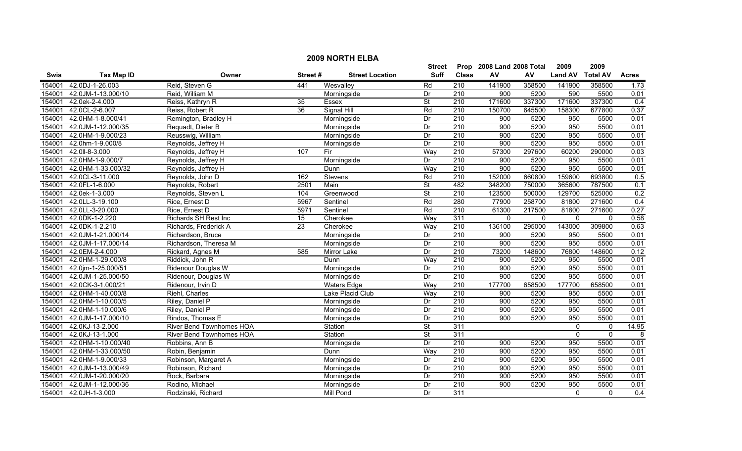| <b>2009 NORTH ELBA</b> |                       |                             |         |                        |                          |                  |                           |              |                |                 |                  |
|------------------------|-----------------------|-----------------------------|---------|------------------------|--------------------------|------------------|---------------------------|--------------|----------------|-----------------|------------------|
|                        |                       |                             |         |                        | Street                   |                  | Prop 2008 Land 2008 Total |              | 2009           | 2009            |                  |
| <b>Swis</b>            | <b>Tax Map ID</b>     | Owner                       | Street# | <b>Street Location</b> | <b>Suff</b>              | <b>Class</b>     | AV                        | ${\sf AV}$   | <b>Land AV</b> | <b>Total AV</b> | <b>Acres</b>     |
| 154001                 | 42.0DJ-1-26.003       | Reid, Steven G              | 441     | Wesvalley              | Rd                       | 210              | 141900                    | 358500       | 141900         | 358500          | 1.73             |
| 154001                 | 42.0JM-1-13.000/10    | Reid, William M             |         | Morningside            | Dr                       | 210              | 900                       | 5200         | 590            | 5500            | 0.01             |
| 154001                 | 42.0ek-2-4.000        | Reiss, Kathryn R            | 35      | Essex                  | $\overline{\mathsf{St}}$ | 210              | 171600                    | 337300       | 171600         | 337300          | 0.4              |
| 154001                 | 42.0CL-2-6.007        | Reiss, Robert R             | 36      | Signal Hill            | Rd                       | 210              | 150700                    | 645500       | 158300         | 677800          | 0.37             |
| 154001                 | 42.0HM-1-8.000/41     | Remington, Bradley H        |         | Morningside            | Dr                       | 210              | 900                       | 5200         | 950            | 5500            | 0.01             |
| 154001                 | 42.0JM-1-12.000/35    | Requadt, Dieter B           |         | Morningside            | Dr                       | 210              | 900                       | 5200         | 950            | 5500            | 0.01             |
| 154001                 | 42.0HM-1-9.000/23     | Reusswig, William           |         | Morningside            | Dr                       | 210              | 900                       | 5200         | 950            | 5500            | 0.01             |
| 154001                 | 42.0hm-1-9.000/8      | Reynolds, Jeffrey H         |         | Morningside            | Dr                       | 210              | 900                       | 5200         | 950            | 5500            | 0.01             |
| 154001                 | 42.0II-8-3.000        | Reynolds, Jeffrey H         | 107     | Fir                    | Way                      | 210              | 57300                     | 297600       | 60200          | 290000          | 0.03             |
| 154001                 | 42.0HM-1-9.000/7      | Reynolds, Jeffrey H         |         | Morningside            | Dr                       | 210              | 900                       | 5200         | 950            | 5500            | 0.01             |
| 154001                 | 42.0HM-1-33.000/32    | Reynolds, Jeffrey H         |         | <b>Dunn</b>            | Way                      | $\overline{210}$ | 900                       | 5200         | 950            | 5500            | 0.01             |
| 154001                 | 42.0CL-3-11.000       | Reynolds, John D            | 162     | Stevens                | Rd                       | 210              | 152000                    | 660800       | 159600         | 693800          | 0.5              |
| 154001                 | 42.0FL-1-6.000        | Reynolds, Robert            | 2501    | Main                   | $\overline{\mathsf{St}}$ | 482              | 348200                    | 750000       | 365600         | 787500          | 0.1              |
| 154001                 | 42.0ek-1-3.000        | Reynolds, Steven L          | 104     | Greenwood              | $\overline{\mathsf{St}}$ | 210              | 123500                    | 500000       | 129700         | 525000          | 0.2              |
| 154001                 | 42.0LL-3-19.100       | Rice, Ernest D              | 5967    | Sentinel               | Rd                       | 280              | 77900                     | 258700       | 81800          | 271600          | 0.4              |
| 154001                 | 42.0LL-3-20.000       | Rice, Ernest D              | 5971    | Sentinel               | Rd                       | 210              | 61300                     | 217500       | 81800          | 271600          | 0.27             |
| 154001                 | 42.0DK-1-2.220        | <b>Richards SH Rest Inc</b> | 15      | Cherokee               | Way                      | 311              | $\mathbf{0}$              | $\mathbf{0}$ | $\mathbf{0}$   | $\mathbf{0}$    | 0.58             |
| 154001                 | 42.0DK-1-2.210        | Richards, Frederick A       | 23      | Cherokee               | Way                      | 210              | 136100                    | 295000       | 143000         | 309800          | 0.63             |
| 154001                 | 42.0JM-1-21.000/14    | Richardson, Bruce           |         | Morningside            | Dr                       | 210              | 900                       | 5200         | 950            | 5500            | 0.01             |
| 154001                 | 42.0JM-1-17.000/14    | Richardson, Theresa M       |         | Morningside            | Dr                       | 210              | 900                       | 5200         | 950            | 5500            | 0.01             |
| 154001                 | 42.0EM-2-4.000        | Rickard, Agnes M            | 585     | Mirror Lake            | $\overline{Dr}$          | 210              | 73200                     | 148600       | 76800          | 148600          | 0.12             |
| 154001                 | 42.0HM-1-29.000/8     | Riddick, John R             |         | Dunn                   | Way                      | 210              | 900                       | 5200         | 950            | 5500            | 0.01             |
| 154001                 | 42.0jm-1-25.000/51    | Ridenour Douglas W          |         | Morningside            | Dr                       | 210              | 900                       | 5200         | 950            | 5500            | 0.01             |
| 154001                 | 42.0JM-1-25.000/50    | Ridenour, Douglas W         |         | Morningside            | Dr                       | $\overline{210}$ | 900                       | 5200         | 950            | 5500            | 0.01             |
| 154001                 | 42.0CK-3-1.000/21     | Ridenour, Irvin D           |         | <b>Waters Edge</b>     | Way                      | 210              | 177700                    | 658500       | 177700         | 658500          | 0.01             |
| 154001                 | 42.0HM-1-40.000/8     | Riehl, Charles              |         | Lake Placid Club       | Way                      | $\overline{210}$ | 900                       | 5200         | 950            | 5500            | 0.01             |
| 154001                 | 42.0HM-1-10.000/5     | Riley, Daniel P             |         | Morningside            | Dr                       | 210              | 900                       | 5200         | 950            | 5500            | 0.01             |
| 154001                 | 42.0HM-1-10.000/6     | Riley, Daniel P             |         | Morningside            | Dr                       | $\overline{210}$ | 900                       | 5200         | 950            | 5500            | 0.01             |
| 154001                 | 42.0JM-1-17.000/10    | Rindos, Thomas E            |         | Morningside            | Dr                       | 210              | 900                       | 5200         | 950            | 5500            | 0.01             |
| 154001                 | 42.0KJ-13-2.000       | River Bend Townhomes HOA    |         | Station                | $\overline{\mathsf{St}}$ | 311              |                           |              | 0              | $\mathbf 0$     | 14.95            |
| 154001                 | 42.0KJ-13-1.000       | River Bend Townhomes HOA    |         | Station                | $\overline{\mathsf{St}}$ | 311              |                           |              | $\mathbf{0}$   | $\mathbf{0}$    | 8                |
| 154001                 | 42.0HM-1-10.000/40    | Robbins, Ann B              |         | Morningside            | Dr                       | 210              | 900                       | 5200         | 950            | 5500            | 0.01             |
| 154001                 | 42.0HM-1-33.000/50    | Robin, Benjamin             |         | Dunn                   | Way                      | 210              | 900                       | 5200         | 950            | 5500            | 0.01             |
| 154001                 | 42.0HM-1-9.000/33     | Robinson, Margaret A        |         | Morningside            | Dr                       | 210              | 900                       | 5200         | 950            | 5500            | 0.01             |
| 154001                 | 42.0JM-1-13.000/49    | Robinson, Richard           |         | Morningside            | Dr                       | $\overline{210}$ | 900                       | 5200         | 950            | 5500            | 0.01             |
| 154001                 | 42.0JM-1-20.000/20    | Rock, Barbara               |         | Morningside            | Dr                       | 210              | 900                       | 5200         | 950            | 5500            | 0.01             |
| 154001                 | 42.0JM-1-12.000/36    | Rodino, Michael             |         | Morningside            | Dr                       | $\overline{210}$ | 900                       | 5200         | 950            | 5500            | 0.01             |
|                        | 154001 42.0JH-1-3.000 | Rodzinski, Richard          |         | Mill Pond              | Dr                       | 311              |                           |              | $\mathbf{0}$   | $\Omega$        | $\overline{0.4}$ |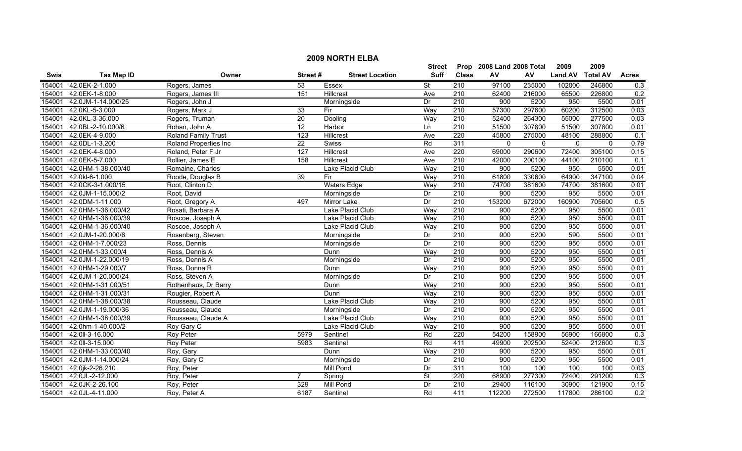|             | <b>2009 NORTH ELBA</b> |                              |                 |                        |                          |                  |                           |              |                |                 |                  |  |
|-------------|------------------------|------------------------------|-----------------|------------------------|--------------------------|------------------|---------------------------|--------------|----------------|-----------------|------------------|--|
|             |                        |                              |                 |                        | Street                   |                  | Prop 2008 Land 2008 Total |              | 2009           | 2009            |                  |  |
| <b>Swis</b> | <b>Tax Map ID</b>      | Owner                        | Street#         | <b>Street Location</b> | <b>Suff</b>              | <b>Class</b>     | AV                        | AV           | <b>Land AV</b> | <b>Total AV</b> | <b>Acres</b>     |  |
| 154001      | 42.0EK-2-1.000         | Rogers, James                | 53              | Essex                  | $\overline{\mathsf{St}}$ | 210              | 97100                     | 235000       | 102000         | 246800          | 0.3              |  |
| 154001      | 42.0EK-1-8.000         | Rogers, James III            | 151             | Hillcrest              | Ave                      | $\overline{210}$ | 62400                     | 216000       | 65500          | 226800          | 0.2              |  |
| 154001      | 42.0JM-1-14.000/25     | Rogers, John J               |                 | Morningside            | Dr                       | 210              | 900                       | 5200         | 950            | 5500            | 0.01             |  |
| 154001      | 42.0KL-5-3.000         | Rogers, Mark J               | 33              | Fir                    | Way                      | 210              | 57300                     | 297600       | 60200          | 312500          | 0.03             |  |
| 154001      | 42.0KL-3-36.000        | Rogers, Truman               | 20              | Dooling                | Way                      | 210              | 52400                     | 264300       | 55000          | 277500          | 0.03             |  |
| 154001      | 42.0BL-2-10.000/6      | Rohan, John A                | $\overline{12}$ | Harbor                 | Ln                       | 210              | 51500                     | 307800       | 51500          | 307800          | 0.01             |  |
| 154001      | 42.0EK-4-9.000         | <b>Roland Family Trust</b>   | 123             | Hillcrest              | Ave                      | 220              | 45800                     | 275000       | 48100          | 288800          | $\overline{0.1}$ |  |
| 154001      | 42.0DL-1-3.200         | <b>Roland Properties Inc</b> | $\overline{22}$ | Swiss                  | Rd                       | 311              | $\mathbf{0}$              | $\mathbf{0}$ | $\mathbf{0}$   | $\Omega$        | 0.79             |  |
| 154001      | 42.0EK-4-8.000         | Roland, Peter F Jr           | 127             | Hillcrest              | Ave                      | 220              | 69000                     | 290600       | 72400          | 305100          | 0.15             |  |
| 154001      | 42.0EK-5-7.000         | Rollier, James E             | 158             | Hillcrest              | Ave                      | 210              | 42000                     | 200100       | 44100          | 210100          | 0.1              |  |
| 154001      | 42.0HM-1-38.000/40     | Romaine, Charles             |                 | Lake Placid Club       | Way                      | 210              | 900                       | 5200         | 950            | 5500            | 0.01             |  |
| 154001      | 42.0kl-6-1.000         | Roode, Douglas B             | 39              | Fir                    | Way                      | 210              | 61800                     | 330600       | 64900          | 347100          | 0.04             |  |
| 154001      | 42.0CK-3-1.000/15      | Root, Clinton D              |                 | <b>Waters Edge</b>     | Way                      | 210              | 74700                     | 381600       | 74700          | 381600          | 0.01             |  |
| 154001      | 42.0JM-1-15.000/2      | Root, David                  |                 | Morningside            | Dr                       | 210              | 900                       | 5200         | 950            | 5500            | 0.01             |  |
| 154001      | 42.0DM-1-11.000        | Root, Gregory A              | 497             | Mirror Lake            | Dr                       | $\overline{210}$ | 153200                    | 672000       | 160900         | 705600          | $\overline{0.5}$ |  |
| 154001      | 42.0HM-1-36.000/42     | Rosati, Barbara A            |                 | Lake Placid Club       | Way                      | 210              | 900                       | 5200         | 950            | 5500            | 0.01             |  |
| 154001      | 42.0HM-1-36.000/39     | Roscoe, Joseph A             |                 | Lake Placid Club       | Way                      | 210              | 900                       | 5200         | 950            | 5500            | 0.01             |  |
| 154001      | 42.0HM-1-36.000/40     | Roscoe, Joseph A             |                 | Lake Placid Club       | Way                      | 210              | 900                       | 5200         | 950            | 5500            | 0.01             |  |
| 154001      | 42.0JM-1-20.000/6      | Rosenberg, Steven            |                 | Morningside            | Dr                       | 210              | 900                       | 5200         | 590            | 5500            | 0.01             |  |
| 154001      | 42.0HM-1-7.000/23      | Ross, Dennis                 |                 | Morningside            | Dr                       | 210              | 900                       | 5200         | 950            | 5500            | 0.01             |  |
| 154001      | 42.0HM-1-33.000/4      | Ross, Dennis A               |                 | Dunn                   | Way                      | 210              | 900                       | 5200         | 950            | 5500            | 0.01             |  |
| 154001      | 42.0JM-1-22.000/19     | Ross, Dennis A               |                 | Morningside            | Dr                       | 210              | 900                       | 5200         | 950            | 5500            | 0.01             |  |
| 154001      | 42.0HM-1-29.000/7      | Ross, Donna R                |                 | Dunn                   | Way                      | 210              | 900                       | 5200         | 950            | 5500            | 0.01             |  |
| 154001      | 42.0JM-1-20.000/24     | Ross, Steven A               |                 | Morningside            | Dr                       | 210              | 900                       | 5200         | 950            | 5500            | 0.01             |  |
| 154001      | 42.0HM-1-31.000/51     | Rothenhaus, Dr Barry         |                 | Dunn                   | Way                      | $\overline{210}$ | 900                       | 5200         | 950            | 5500            | 0.01             |  |
| 154001      | 42.0HM-1-31.000/31     | Rougier, Robert A            |                 | Dunn                   | Way                      | 210              | 900                       | 5200         | 950            | 5500            | 0.01             |  |
| 154001      | 42.0HM-1-38.000/38     | Rousseau, Claude             |                 | Lake Placid Club       | Way                      | 210              | 900                       | 5200         | 950            | 5500            | 0.01             |  |
| 154001      | 42.0JM-1-19.000/36     | Rousseau, Claude             |                 | Morningside            | Dr                       | $\overline{210}$ | 900                       | 5200         | 950            | 5500            | 0.01             |  |
| 154001      | 42.0HM-1-38.000/39     | Rousseau, Claude A           |                 | Lake Placid Club       | Way                      | 210              | 900                       | 5200         | 950            | 5500            | 0.01             |  |
| 154001      | 42.0hm-1-40.000/2      | Roy Gary C                   |                 | Lake Placid Club       | Way                      | 210              | 900                       | 5200         | 950            | 5500            | 0.01             |  |
| 154001      | 42.0II-3-16.000        | <b>Roy Peter</b>             | 5979            | Sentinel               | Rd                       | 220              | 54200                     | 158900       | 56900          | 166800          | 0.3              |  |
| 154001      | 42.0II-3-15.000        | <b>Roy Peter</b>             | 5983            | Sentinel               | Rd                       | 411              | 49900                     | 202500       | 52400          | 212600          | 0.3              |  |
| 154001      | 42.0HM-1-33.000/40     | Roy, Gary                    |                 | Dunn                   | Way                      | 210              | 900                       | 5200         | 950            | 5500            | 0.01             |  |
| 154001      | 42.0JM-1-14.000/24     | Roy, Gary C                  |                 | Morningside            | Dr                       | $\overline{210}$ | 900                       | 5200         | 950            | 5500            | 0.01             |  |
| 154001      | 42.0jk-2-26.210        | Roy, Peter                   |                 | Mill Pond              | Dr                       | 311              | 100                       | 100          | 100            | 100             | 0.03             |  |
| 154001      | 42.0JL-2-12.000        | Roy, Peter                   | $\overline{7}$  | Spring                 | <b>St</b>                | 220              | 68900                     | 277300       | 72400          | 291200          | 0.3              |  |
| 154001      | 42.0JK-2-26.100        | Roy, Peter                   | 329             | <b>Mill Pond</b>       | Dr                       | 210              | 29400                     | 116100       | 30900          | 121900          | 0.15             |  |
| 154001      | 42.0JL-4-11.000        | Roy, Peter A                 | 6187            | Sentinel               | Rd                       | 411              | 112200                    | 272500       | 117800         | 286100          | 0.2              |  |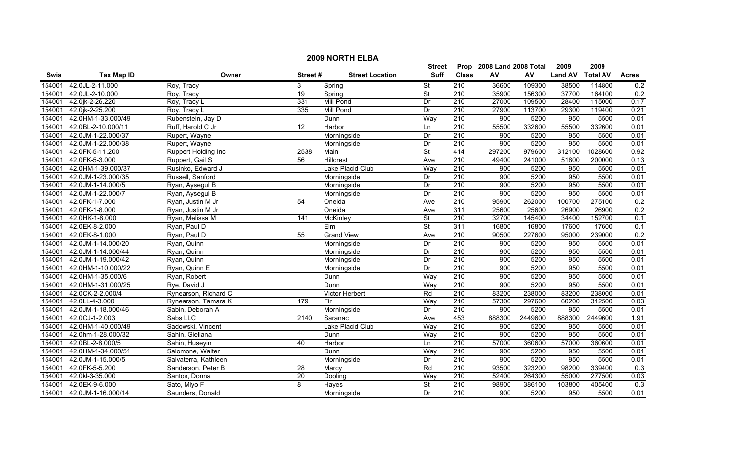|        | <b>2009 NORTH ELBA</b> |                      |                 |                        |                          |                  |                           |         |                |                 |              |  |
|--------|------------------------|----------------------|-----------------|------------------------|--------------------------|------------------|---------------------------|---------|----------------|-----------------|--------------|--|
|        |                        |                      |                 |                        | <b>Street</b>            |                  | Prop 2008 Land 2008 Total |         | 2009           | 2009            |              |  |
| Swis   | <b>Tax Map ID</b>      | Owner                | Street#         | <b>Street Location</b> | <b>Suff</b>              | <b>Class</b>     | AV                        | AV      | <b>Land AV</b> | <b>Total AV</b> | <b>Acres</b> |  |
| 154001 | 42.0JL-2-11.000        | Roy, Tracy           | 3               | Spring                 | $\overline{\mathsf{St}}$ | $\overline{210}$ | 36600                     | 109300  | 38500          | 114800          | 0.2          |  |
| 154001 | 42.0JL-2-10.000        | Roy, Tracy           | $\overline{19}$ | Spring                 | St                       | 210              | 35900                     | 156300  | 37700          | 164100          | 0.2          |  |
| 154001 | 42.0jk-2-26.220        | Roy, Tracy L         | 331             | <b>Mill Pond</b>       | Dr                       | 210              | 27000                     | 109500  | 28400          | 115000          | 0.17         |  |
| 154001 | 42.0jk-2-25.200        | Roy, Tracy L         | 335             | <b>Mill Pond</b>       | Dr                       | 210              | 27900                     | 113700  | 29300          | 119400          | 0.21         |  |
| 154001 | 42.0HM-1-33.000/49     | Rubenstein, Jay D    |                 | Dunn                   | Way                      | 210              | 900                       | 5200    | 950            | 5500            | 0.01         |  |
| 154001 | 42.0BL-2-10.000/11     | Ruff, Harold C Jr    | 12              | Harbor                 | Ln                       | 210              | 55500                     | 332600  | 55500          | 332600          | 0.01         |  |
| 154001 | 42.0JM-1-22.000/37     | Rupert, Wayne        |                 | Morningside            | Dr                       | 210              | 900                       | 5200    | 950            | 5500            | 0.01         |  |
| 154001 | 42.0JM-1-22.000/38     | Rupert, Wayne        |                 | Morningside            | Dr                       | 210              | 900                       | 5200    | 950            | 5500            | 0.01         |  |
| 154001 | 42.0FK-5-11.200        | Ruppert Holding Inc  | 2538            | Main                   | $\overline{\mathsf{St}}$ | 414              | 297200                    | 979600  | 312100         | 1028600         | 0.92         |  |
| 154001 | 42.0FK-5-3.000         | Ruppert, Gail S      | 56              | Hillcrest              | Ave                      | $\overline{210}$ | 49400                     | 241000  | 51800          | 200000          | 0.13         |  |
| 154001 | 42.0HM-1-39.000/37     | Rusinko, Edward J    |                 | Lake Placid Club       | Way                      | $\overline{210}$ | 900                       | 5200    | 950            | 5500            | 0.01         |  |
| 154001 | 42.0JM-1-23.000/35     | Russell, Sanford     |                 | Morningside            | Dr                       | 210              | 900                       | 5200    | 950            | 5500            | 0.01         |  |
| 154001 | 42.0JM-1-14.000/5      | Ryan, Aysegul B      |                 | Morningside            | Dr                       | 210              | 900                       | 5200    | 950            | 5500            | 0.01         |  |
| 154001 | 42.0JM-1-22.000/7      | Ryan, Aysegul B      |                 | Morningside            | Dr                       | 210              | 900                       | 5200    | 950            | 5500            | 0.01         |  |
| 154001 | 42.0FK-1-7.000         | Ryan, Justin M Jr    | 54              | Oneida                 | Ave                      | 210              | 95900                     | 262000  | 100700         | 275100          | 0.2          |  |
| 154001 | 42.0FK-1-8.000         | Ryan, Justin M Jr    |                 | Oneida                 | Ave                      | 311              | 25600                     | 25600   | 26900          | 26900           | 0.2          |  |
| 154001 | 42.0HK-1-8.000         | Ryan, Melissa M      | 141             | <b>McKinley</b>        | $\overline{\mathsf{St}}$ | 210              | 32700                     | 145400  | 34400          | 152700          | 0.1          |  |
| 154001 | 42.0EK-8-2.000         | Ryan, Paul D         |                 | Elm                    | $\overline{\mathsf{St}}$ | 311              | 16800                     | 16800   | 17600          | 17600           | 0.1          |  |
| 154001 | 42.0EK-8-1.000         | Ryan, Paul D         | 55              | <b>Grand View</b>      | Ave                      | 210              | 90500                     | 227600  | 95000          | 239000          | 0.2          |  |
| 154001 | 42.0JM-1-14.000/20     | Ryan, Quinn          |                 | Morningside            | Dr                       | 210              | 900                       | 5200    | 950            | 5500            | 0.01         |  |
| 154001 | 42.0JM-1-14.000/44     | Ryan, Quinn          |                 | Morningside            | Dr                       | 210              | 900                       | 5200    | 950            | 5500            | 0.01         |  |
| 154001 | 42.0JM-1-19.000/42     | Ryan, Quinn          |                 | Morningside            | Dr                       | 210              | 900                       | 5200    | 950            | 5500            | 0.01         |  |
| 154001 | 42.0HM-1-10.000/22     | Ryan, Quinn E        |                 | Morningside            | Dr                       | 210              | 900                       | 5200    | 950            | 5500            | 0.01         |  |
| 154001 | 42.0HM-1-35.000/6      | Ryan, Robert         |                 | Dunn                   | Way                      | $\overline{210}$ | 900                       | 5200    | 950            | 5500            | 0.01         |  |
| 154001 | 42.0HM-1-31.000/25     | Rye, David J         |                 | Dunn                   | Wav                      | 210              | 900                       | 5200    | 950            | 5500            | 0.01         |  |
| 154001 | 42.0CK-2-2.000/4       | Rynearson, Richard C |                 | Victor Herbert         | Rd                       | 210              | 83200                     | 238000  | 83200          | 238000          | 0.01         |  |
| 154001 | 42.0LL-4-3.000         | Rynearson, Tamara K  | 179             | Fir                    | Way                      | $\overline{210}$ | 57300                     | 297600  | 60200          | 312500          | 0.03         |  |
| 154001 | 42.0JM-1-18.000/46     | Sabin, Deborah A     |                 | Morningside            | Dr                       | 210              | 900                       | 5200    | 950            | 5500            | 0.01         |  |
| 154001 | 42.0CJ-1-2.003         | Sabs LLC             | 2140            | Saranac                | Ave                      | 453              | 888300                    | 2449600 | 888300         | 2449600         | 1.91         |  |
| 154001 | 42.0HM-1-40.000/49     | Sadowski, Vincent    |                 | Lake Placid Club       | Way                      | 210              | 900                       | 5200    | 950            | 5500            | 0.01         |  |
| 154001 | 42.0hm-1-28.000/32     | Sahin, Giellana      |                 | Dunn                   | Way                      | 210              | 900                       | 5200    | 950            | 5500            | 0.01         |  |
| 154001 | 42.0BL-2-8.000/5       | Sahin, Huseyin       | $\overline{40}$ | Harbor                 | Ln                       | 210              | 57000                     | 360600  | 57000          | 360600          | 0.01         |  |
| 154001 | 42.0HM-1-34.000/51     | Salomone, Walter     |                 | Dunn                   | Way                      | 210              | 900                       | 5200    | 950            | 5500            | 0.01         |  |
| 154001 | 42.0JM-1-15.000/5      | Salvaterra, Kathleen |                 | Morningside            | Dr                       | 210              | 900                       | 5200    | 950            | 5500            | 0.01         |  |
| 154001 | 42.0FK-5-5.200         | Sanderson, Peter B   | $\overline{28}$ | Marcy                  | Rd                       | 210              | 93500                     | 323200  | 98200          | 339400          | 0.3          |  |
| 154001 | 42.0kl-3-35.000        | Santos, Donna        | $\overline{20}$ | Dooling                | Way                      | $\overline{210}$ | 52400                     | 264300  | 55000          | 277500          | 0.03         |  |
| 154001 | 42.0EK-9-6.000         | Sato, Miyo F         | 8               | Hayes                  | St                       | 210              | 98900                     | 386100  | 103800         | 405400          | 0.3          |  |
| 154001 | 42.0JM-1-16.000/14     | Saunders, Donald     |                 | Morningside            | Dr                       | $\overline{210}$ | 900                       | 5200    | 950            | 5500            | 0.01         |  |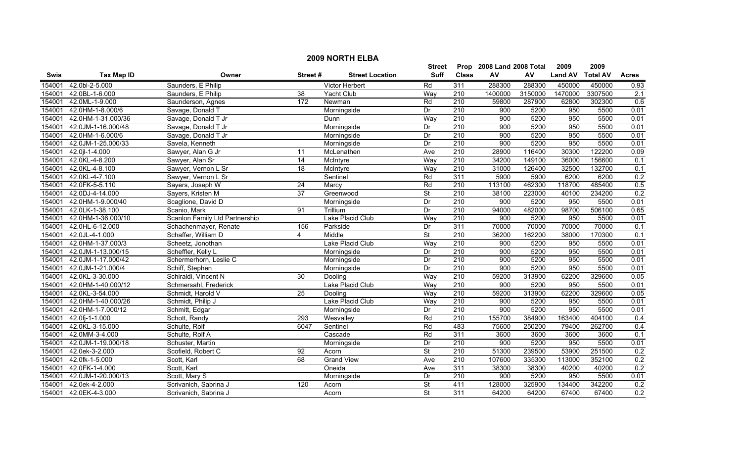|             |                    |                                |                 |                        | <b>Street</b>            |                  | Prop 2008 Land 2008 Total |         | 2009           | 2009            |              |
|-------------|--------------------|--------------------------------|-----------------|------------------------|--------------------------|------------------|---------------------------|---------|----------------|-----------------|--------------|
| <b>Swis</b> | <b>Tax Map ID</b>  | Owner                          | Street#         | <b>Street Location</b> | Suff                     | <b>Class</b>     | AV                        | AV      | <b>Land AV</b> | <b>Total AV</b> | <b>Acres</b> |
| 154001      | 42.0bl-2-5.000     | Saunders, E Philip             |                 | <b>Victor Herbert</b>  | Rd                       | 311              | 288300                    | 288300  | 450000         | 450000          | 0.93         |
| 154001      | 42.0BL-1-6.000     | Saunders, E Philip             | $\overline{38}$ | Yacht Club             | Way                      | $\overline{210}$ | 1400000                   | 3150000 | 1470000        | 3307500         | 2.1          |
| 154001      | 42.0ML-1-9.000     | Saunderson, Agnes              | 172             | Newman                 | Rd                       | $\overline{210}$ | 59800                     | 287900  | 62800          | 302300          | 0.6          |
| 154001      | 42.0HM-1-8.000/6   | Savage, Donald T               |                 | Morningside            | Dr                       | 210              | 900                       | 5200    | 950            | 5500            | 0.01         |
| 154001      | 42.0HM-1-31.000/36 | Savage, Donald T Jr            |                 | Dunn                   | Way                      | 210              | 900                       | 5200    | 950            | 5500            | 0.01         |
| 154001      | 42.0JM-1-16.000/48 | Savage, Donald T Jr            |                 | Morningside            | Dr                       | 210              | 900                       | 5200    | 950            | 5500            | 0.01         |
| 154001      | 42.0HM-1-6.000/6   | Savage, Donald T Jr            |                 | Morningside            | Dr                       | 210              | 900                       | 5200    | 950            | 5500            | 0.01         |
| 154001      | 42.0JM-1-25.000/33 | Savela, Kenneth                |                 | Morningside            | Dr                       | 210              | 900                       | 5200    | 950            | 5500            | 0.01         |
| 154001      | 42.0 l-1-4.000     | Sawyer, Alan G Jr              | 11              | McLenathen             | Ave                      | $\overline{210}$ | 28900                     | 116400  | 30300          | 122200          | 0.09         |
| 154001      | 42.0KL-4-8.200     | Sawyer, Alan Sr                | 14              | McIntyre               | Way                      | 210              | 34200                     | 149100  | 36000          | 156600          | 0.1          |
| 154001      | 42.0KL-4-8.100     | Sawyer, Vernon L Sr            | 18              | McIntyre               | Way                      | 210              | 31000                     | 126400  | 32500          | 132700          | 0.1          |
| 154001      | 42.0KL-4-7.100     | Sawyer, Vernon L Sr            |                 | Sentinel               | Rd                       | 311              | 5900                      | 5900    | 6200           | 6200            | 0.2          |
| 154001      | 42.0FK-5-5.110     | Sayers, Joseph W               | $\overline{24}$ | Marcy                  | Rd                       | 210              | 113100                    | 462300  | 118700         | 485400          | 0.5          |
| 154001      | 42.0DJ-4-14.000    | Sayers, Kristen M              | 37              | Greenwood              | St                       | $\overline{210}$ | 38100                     | 223000  | 40100          | 234200          | 0.2          |
| 154001      | 42.0HM-1-9.000/40  | Scaglione, David D             |                 | Morningside            | Dr                       | 210              | 900                       | 5200    | 950            | 5500            | 0.01         |
| 154001      | 42.0LK-1-38.100    | Scanio, Mark                   | 91              | Trillium               | Dr                       | $\overline{210}$ | 94000                     | 482000  | 98700          | 506100          | 0.65         |
| 154001      | 42.0HM-1-36.000/10 | Scanlon Family Ltd Partnership |                 | Lake Placid Club       | Way                      | 210              | 900                       | 5200    | 950            | 5500            | 0.01         |
| 154001      | 42.0HL-6-12.000    | Schachenmayer, Renate          | 156             | Parkside               | Dr                       | 311              | 70000                     | 70000   | 70000          | 70000           | 0.1          |
| 154001      | 42.0JL-4-1.000     | Schaffer, William D            | 4               | Middle                 | $\overline{\mathsf{St}}$ | 210              | 36200                     | 162200  | 38000          | 170300          | 0.1          |
| 154001      | 42.0HM-1-37.000/3  | Scheetz, Jonothan              |                 | Lake Placid Club       | Way                      | 210              | 900                       | 5200    | 950            | 5500            | 0.01         |
| 154001      | 42.0JM-1-13.000/15 | Scheffler, Kelly L             |                 | Morningside            | Dr                       | $\overline{210}$ | 900                       | 5200    | 950            | 5500            | 0.01         |
| 154001      | 42.0JM-1-17.000/42 | Schermerhorn, Leslie C         |                 | Morningside            | Dr                       | 210              | 900                       | 5200    | 950            | 5500            | 0.01         |
| 154001      | 42.0JM-1-21.000/4  | Schiff, Stephen                |                 | Morningside            | Dr                       | $\overline{210}$ | 900                       | 5200    | 950            | 5500            | 0.01         |
| 154001      | 42.0KL-3-30.000    | Schiraldi, Vincent N           | $\overline{30}$ | Dooling                | Way                      | 210              | 59200                     | 313900  | 62200          | 329600          | 0.05         |
| 154001      | 42.0HM-1-40.000/12 | Schmersahl, Frederick          |                 | Lake Placid Club       | Way                      | 210              | 900                       | 5200    | 950            | 5500            | 0.01         |
| 154001      | 42.0KL-3-54.000    | Schmidt, Harold V              | $\overline{25}$ | Dooling                | Way                      | 210              | 59200                     | 313900  | 62200          | 329600          | 0.05         |
| 154001      | 42.0HM-1-40.000/26 | Schmidt, Philip J              |                 | Lake Placid Club       | Way                      | $\overline{210}$ | 900                       | 5200    | 950            | 5500            | 0.01         |
| 154001      | 42.0HM-1-7.000/12  | Schmitt, Edgar                 |                 | Morningside            | Dr                       | $\overline{210}$ | 900                       | 5200    | 950            | 5500            | 0.01         |
| 154001      | 42.0fj-1-1.000     | Schott, Randy                  | 293             | Wesvalley              | Rd                       | 210              | 155700                    | 384900  | 163400         | 404100          | 0.4          |
| 154001      | 42.0KL-3-15.000    | Schulte, Rolf                  | 6047            | Sentinel               | Rd                       | 483              | 75600                     | 250200  | 79400          | 262700          | 0.4          |
| 154001      | 42.0MM-3-4.000     | Schulte, Rolf A                |                 | Cascade                | Rd                       | 311              | 3600                      | 3600    | 3600           | 3600            | 0.1          |
| 154001      | 42.0JM-1-19.000/18 | Schuster, Martin               |                 | Morningside            | Dr                       | 210              | 900                       | 5200    | 950            | 5500            | 0.01         |
| 154001      | 42.0ek-3-2.000     | Scofield, Robert C             | 92              | Acorn                  | $\overline{\mathsf{St}}$ | 210              | 51300                     | 239500  | 53900          | 251500          | 0.2          |
| 154001      | 42.0fk-1-5.000     | Scott, Karl                    | 68              | <b>Grand View</b>      | Ave                      | $\overline{210}$ | 107600                    | 335300  | 113000         | 352100          | 0.2          |
| 154001      | 42.0FK-1-4.000     | Scott, Karl                    |                 | Oneida                 | Ave                      | 311              | 38300                     | 38300   | 40200          | 40200           | 0.2          |
| 154001      | 42.0JM-1-20.000/13 | Scott, Mary S                  |                 | Morningside            | Dr                       | 210              | 900                       | 5200    | 950            | 5500            | 0.01         |
| 154001      | 42.0ek-4-2.000     | Scrivanich, Sabrina J          | 120             | Acorn                  | St                       | 411              | 128000                    | 325900  | 134400         | 342200          | 0.2          |
| 154001      | 42.0EK-4-3.000     | Scrivanich, Sabrina J          |                 | Acorn                  | $\overline{\mathsf{St}}$ | 311              | 64200                     | 64200   | 67400          | 67400           | 0.2          |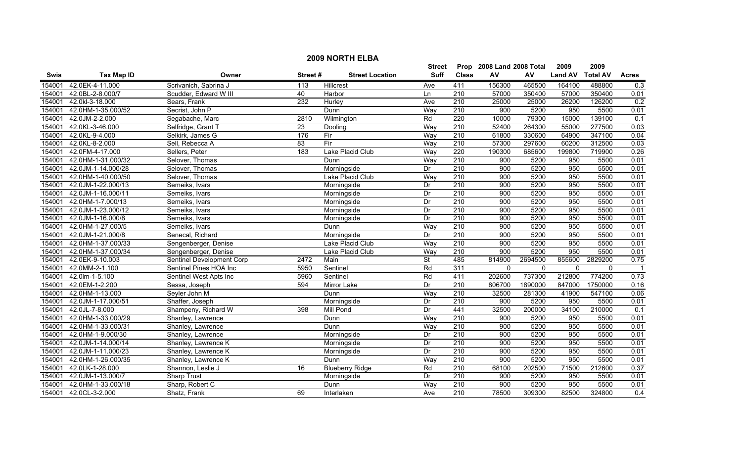|        | <b>2009 NORTH ELBA</b> |                           |         |                        |                          |                  |                           |              |                |                 |                |  |
|--------|------------------------|---------------------------|---------|------------------------|--------------------------|------------------|---------------------------|--------------|----------------|-----------------|----------------|--|
|        |                        |                           |         |                        | Street                   |                  | Prop 2008 Land 2008 Total |              | 2009           | 2009            |                |  |
| Swis   | <b>Tax Map ID</b>      | Owner                     | Street# | <b>Street Location</b> | <b>Suff</b>              | <b>Class</b>     | AV                        | AV           | <b>Land AV</b> | <b>Total AV</b> | <b>Acres</b>   |  |
| 154001 | 42.0EK-4-11.000        | Scrivanich, Sabrina J     | 113     | Hillcrest              | Ave                      | 411              | 156300                    | 465500       | 164100         | 488800          | 0.3            |  |
| 154001 | 42.0BL-2-8.000/7       | Scudder, Edward W III     | 40      | Harbor                 | Ln                       | $\overline{210}$ | 57000                     | 350400       | 57000          | 350400          | 0.01           |  |
| 154001 | 42.0kl-3-18.000        | Sears, Frank              | 232     | Hurley                 | Ave                      | 210              | 25000                     | 25000        | 26200          | 126200          | 0.2            |  |
| 154001 | 42.0HM-1-35.000/52     | Secrist, John P           |         | Dunn                   | Way                      | 210              | 900                       | 5200         | 950            | 5500            | 0.01           |  |
| 154001 | 42.0JM-2-2.000         | Segabache, Marc           | 2810    | Wilmington             | Rd                       | 220              | 10000                     | 79300        | 15000          | 139100          | 0.1            |  |
| 154001 | 42.0KL-3-46.000        | Selfridge, Grant T        | 23      | Dooling                | Way                      | 210              | 52400                     | 264300       | 55000          | 277500          | 0.03           |  |
| 154001 | 42.0KL-9-4.000         | Selkirk, James G          | 176     | Fir                    | Way                      | 210              | 61800                     | 330600       | 64900          | 347100          | 0.04           |  |
| 154001 | 42.0KL-8-2.000         | Sell, Rebecca A           | 83      | Fir                    | Way                      | 210              | 57300                     | 297600       | 60200          | 312500          | 0.03           |  |
| 154001 | 42.0FM-4-17.000        | Sellers, Peter            | 183     | Lake Placid Club       | Way                      | 220              | 190300                    | 685600       | 199800         | 719900          | 0.26           |  |
| 154001 | 42.0HM-1-31.000/32     | Selover, Thomas           |         | Dunn                   | Way                      | 210              | 900                       | 5200         | 950            | 5500            | 0.01           |  |
| 154001 | 42.0JM-1-14.000/28     | Selover, Thomas           |         | Morningside            | Dr                       | 210              | 900                       | 5200         | 950            | 5500            | 0.01           |  |
| 154001 | 42.0HM-1-40.000/50     | Selover, Thomas           |         | Lake Placid Club       | Way                      | $\overline{210}$ | 900                       | 5200         | 950            | 5500            | 0.01           |  |
| 154001 | 42.0JM-1-22.000/13     | Semeiks, Ivars            |         | Morningside            | Dr                       | 210              | 900                       | 5200         | 950            | 5500            | 0.01           |  |
| 154001 | 42.0JM-1-16.000/11     | Semeiks, Ivars            |         | Morningside            | Dr                       | 210              | 900                       | 5200         | 950            | 5500            | 0.01           |  |
| 154001 | 42.0HM-1-7.000/13      | Semeiks, Ivars            |         | Morningside            | Dr                       | 210              | 900                       | 5200         | 950            | 5500            | 0.01           |  |
| 154001 | 42.0JM-1-23.000/12     | Semeiks, Ivars            |         | Morningside            | Dr                       | 210              | 900                       | 5200         | 950            | 5500            | 0.01           |  |
| 154001 | 42.0JM-1-16.000/8      | Semeiks, Ivars            |         | Morningside            | Dr                       | 210              | 900                       | 5200         | 950            | 5500            | 0.01           |  |
| 154001 | 42.0HM-1-27.000/5      | Semeiks, Ivars            |         | Dunn                   | Way                      | 210              | 900                       | 5200         | 950            | 5500            | 0.01           |  |
| 154001 | 42.0JM-1-21.000/8      | Senecal, Richard          |         | Morningside            | Dr                       | 210              | 900                       | 5200         | 950            | 5500            | 0.01           |  |
| 154001 | 42.0HM-1-37.000/33     | Sengenberger, Denise      |         | Lake Placid Club       | Way                      | 210              | 900                       | 5200         | 950            | 5500            | 0.01           |  |
| 154001 | 42.0HM-1-37.000/34     | Sengenberger, Denise      |         | Lake Placid Club       | Way                      | 210              | 900                       | 5200         | 950            | 5500            | 0.01           |  |
| 154001 | 42.0EK-9-10.003        | Sentinel Development Corp | 2472    | Main                   | $\overline{\mathsf{St}}$ | 485              | 814900                    | 2694500      | 855600         | 2829200         | 0.75           |  |
| 154001 | 42.0MM-2-1.100         | Sentinel Pines HOA Inc    | 5950    | Sentinel               | Rd                       | 311              | $\mathbf{0}$              | $\mathbf{0}$ | $\mathbf 0$    | $\mathbf{0}$    | $\overline{1}$ |  |
| 154001 | 42.0lm-1-5.100         | Sentinel West Apts Inc    | 5960    | Sentinel               | Rd                       | 411              | 202600                    | 737300       | 212800         | 774200          | 0.73           |  |
| 154001 | 42.0EM-1-2.200         | Sessa, Joseph             | 594     | Mirror Lake            | Dr                       | 210              | 806700                    | 1890000      | 847000         | 1750000         | 0.16           |  |
| 154001 | 42.0HM-1-13.000        | Seyler John M             |         | Dunn                   | Way                      | 210              | 32500                     | 281300       | 41900          | 547100          | 0.06           |  |
| 154001 | 42.0JM-1-17.000/51     | Shaffer, Joseph           |         | Morningside            | Dr                       | 210              | $\overline{900}$          | 5200         | 950            | 5500            | 0.01           |  |
| 154001 | 42.0JL-7-8.000         | Shampeny, Richard W       | 398     | <b>Mill Pond</b>       | Dr                       | 441              | 32500                     | 200000       | 34100          | 210000          | 0.1            |  |
| 154001 | 42.0HM-1-33.000/29     | Shanley, Lawrence         |         | Dunn                   | Way                      | 210              | 900                       | 5200         | 950            | 5500            | 0.01           |  |
| 154001 | 42.0HM-1-33.000/31     | Shanley, Lawrence         |         | Dunn                   | Way                      | 210              | 900                       | 5200         | 950            | 5500            | 0.01           |  |
| 154001 | 42.0HM-1-9.000/30      | Shanley, Lawrence         |         | Morningside            | Dr                       | 210              | 900                       | 5200         | 950            | 5500            | 0.01           |  |
| 154001 | 42.0JM-1-14.000/14     | Shanley, Lawrence K       |         | Morningside            | Dr                       | 210              | 900                       | 5200         | 950            | 5500            | 0.01           |  |
| 154001 | 42.0JM-1-11.000/23     | Shanley, Lawrence K       |         | Morningside            | Dr                       | 210              | 900                       | 5200         | 950            | 5500            | 0.01           |  |
| 154001 | 42.0HM-1-26.000/35     | Shanley, Lawrence K       |         | Dunn                   | Way                      | 210              | 900                       | 5200         | 950            | 5500            | 0.01           |  |
| 154001 | 42.0LK-1-28.000        | Shannon, Leslie J         | 16      | <b>Blueberry Ridge</b> | Rd                       | $\overline{210}$ | 68100                     | 202500       | 71500          | 212600          | 0.37           |  |
| 154001 | 42.0JM-1-13.000/7      | <b>Sharp Trust</b>        |         | Morningside            | Dr                       | 210              | 900                       | 5200         | 950            | 5500            | 0.01           |  |
| 154001 | 42.0HM-1-33.000/18     | Sharp, Robert C           |         | Dunn                   | Way                      | $\overline{210}$ | 900                       | 5200         | 950            | 5500            | 0.01           |  |
| 154001 | 42.0CL-3-2.000         | Shatz, Frank              | 69      | Interlaken             | Ave                      | $\overline{210}$ | 78500                     | 309300       | 82500          | 324800          | 0.4            |  |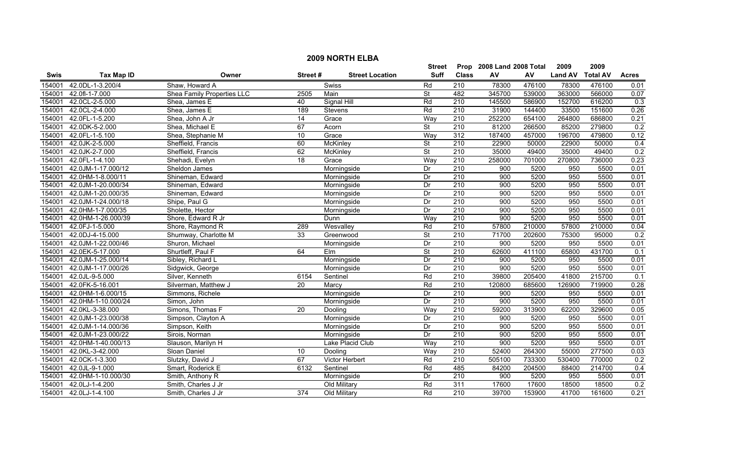|             | <b>2009 NORTH ELBA</b> |                            |         |                        |                          |                  |                           |        |                |                 |                   |  |
|-------------|------------------------|----------------------------|---------|------------------------|--------------------------|------------------|---------------------------|--------|----------------|-----------------|-------------------|--|
|             |                        |                            |         |                        | <b>Street</b>            |                  | Prop 2008 Land 2008 Total |        | 2009           | 2009            |                   |  |
| <b>Swis</b> | <b>Tax Map ID</b>      | Owner                      | Street# | <b>Street Location</b> | <b>Suff</b>              | <b>Class</b>     | AV                        | AV     | <b>Land AV</b> | <b>Total AV</b> | <b>Acres</b>      |  |
| 154001      | 42.0DL-1-3.200/4       | Shaw, Howard A             |         | Swiss                  | Rd                       | 210              | 78300                     | 476100 | 78300          | 476100          | 0.01              |  |
| 154001      | 42.0fl-1-7.000         | Shea Family Properties LLC | 2505    | Main                   | <b>St</b>                | 482              | 345700                    | 539000 | 363000         | 566000          | 0.07              |  |
| 154001      | 42.0CL-2-5.000         | Shea, James E              | 40      | Signal Hill            | Rd                       | 210              | 145500                    | 586900 | 152700         | 616200          | 0.3               |  |
| 154001      | 42.0CL-2-4.000         | Shea, James E              | 189     | Stevens                | Rd                       | 210              | 31900                     | 144400 | 33500          | 151600          | 0.26              |  |
| 154001      | 42.0FL-1-5.200         | Shea, John A Jr            | 14      | Grace                  | Way                      | 210              | 252200                    | 654100 | 264800         | 686800          | 0.21              |  |
| 154001      | 42.0DK-5-2.000         | Shea, Michael E            | 67      | Acorn                  | $\overline{\mathsf{St}}$ | 210              | 81200                     | 266500 | 85200          | 279800          | 0.2               |  |
| 154001      | 42.0FL-1-5.100         | Shea, Stephanie M          | 10      | Grace                  | Way                      | 312              | 187400                    | 457000 | 196700         | 479800          | 0.12              |  |
| 154001      | 42.0JK-2-5.000         | Sheffield, Francis         | 60      | McKinley               | <b>St</b>                | 210              | 22900                     | 50000  | 22900          | 50000           | 0.4               |  |
| 154001      | 42.0JK-2-7.000         | Sheffield, Francis         | 62      | McKinley               | $\overline{\mathsf{St}}$ | $\overline{210}$ | 35000                     | 49400  | 35000          | 49400           | 0.2               |  |
| 154001      | 42.0FL-1-4.100         | Shehadi, Evelyn            | 18      | Grace                  | Way                      | 210              | 258000                    | 701000 | 270800         | 736000          | 0.23              |  |
| 154001      | 42.0JM-1-17.000/12     | Sheldon James              |         | Morningside            | Dr                       | 210              | 900                       | 5200   | 950            | 5500            | 0.01              |  |
| 154001      | 42.0HM-1-8.000/11      | Shineman, Edward           |         | Morningside            | Dr                       | $\overline{210}$ | 900                       | 5200   | 950            | 5500            | 0.01              |  |
| 154001      | 42.0JM-1-20.000/34     | Shineman, Edward           |         | Morningside            | Dr                       | $\overline{210}$ | 900                       | 5200   | 950            | 5500            | 0.01              |  |
| 154001      | 42.0JM-1-20.000/35     | Shineman, Edward           |         | Morningside            | $\overline{Dr}$          | 210              | 900                       | 5200   | 950            | 5500            | 0.01              |  |
| 154001      | 42.0JM-1-24.000/18     | Shipe, Paul G              |         | Morningside            | Dr                       | $\overline{210}$ | 900                       | 5200   | 950            | 5500            | 0.01              |  |
| 154001      | 42.0HM-1-7.000/35      | Sholette, Hector           |         | Morningside            | Dr                       | $\overline{210}$ | 900                       | 5200   | 950            | 5500            | 0.01              |  |
| 154001      | 42.0HM-1-26.000/39     | Shore, Edward R Jr         |         | <b>Dunn</b>            | Way                      | 210              | 900                       | 5200   | 950            | 5500            | 0.01              |  |
| 154001      | 42.0FJ-1-5.000         | Shore, Raymond R           | 289     | Wesvalley              | Rd                       | 210              | 57800                     | 210000 | 57800          | 210000          | 0.04              |  |
| 154001      | 42.0DJ-4-15.000        | Shumway, Charlotte M       | 33      | Greenwood              | <b>St</b>                | 210              | 71700                     | 202600 | 75300          | 95000           | 0.2               |  |
| 154001      | 42.0JM-1-22.000/46     | Shuron, Michael            |         | Morningside            | $\overline{Dr}$          | 210              | 900                       | 5200   | 950            | 5500            | 0.01              |  |
| 154001      | 42.0EK-5-17.000        | Shurtleff, Paul F          | 64      | Elm                    | $\overline{\mathsf{St}}$ | 210              | 62600                     | 411100 | 65800          | 431700          | 0.1               |  |
| 154001      | 42.0JM-1-25.000/14     | Sibley, Richard L          |         | Morningside            | Dr                       | 210              | 900                       | 5200   | 950            | 5500            | 0.01              |  |
| 154001      | 42.0JM-1-17.000/26     | Sidgwick, George           |         | Morningside            | $\overline{Dr}$          | 210              | 900                       | 5200   | 950            | 5500            | 0.01              |  |
| 154001      | 42.0JL-9-5.000         | Silver, Kenneth            | 6154    | Sentinel               | Rd                       | 210              | 39800                     | 205400 | 41800          | 215700          | 0.1               |  |
| 154001      | 42.0FK-5-16.001        | Silverman, Matthew J       | 20      | Marcy                  | Rd                       | $\overline{210}$ | 120800                    | 685600 | 126900         | 719900          | 0.28              |  |
| 154001      | 42.0HM-1-6.000/15      | Simmons, Richele           |         | Morningside            | Dr                       | 210              | 900                       | 5200   | 950            | 5500            | 0.01              |  |
| 154001      | 42.0HM-1-10.000/24     | Simon, John                |         | Morningside            | Dr                       | 210              | 900                       | 5200   | 950            | 5500            | 0.01              |  |
| 154001      | 42.0KL-3-38.000        | Simons, Thomas F           | 20      | Dooling                | Way                      | $\overline{210}$ | 59200                     | 313900 | 62200          | 329600          | 0.05              |  |
| 154001      | 42.0JM-1-23.000/38     | Simpson, Clayton A         |         | Morningside            | Dr                       | 210              | 900                       | 5200   | 950            | 5500            | 0.01              |  |
| 154001      | 42.0JM-1-14.000/36     | Simpson, Keith             |         | Morningside            | $\overline{Dr}$          | 210              | 900                       | 5200   | 950            | 5500            | 0.01              |  |
| 154001      | 42.0JM-1-23.000/22     | Sirois, Norman             |         | Morningside            | Dr                       | 210              | 900                       | 5200   | 950            | 5500            | 0.01              |  |
| 154001      | 42.0HM-1-40.000/13     | Slauson, Marilyn H         |         | Lake Placid Club       | Way                      | 210              | 900                       | 5200   | 950            | 5500            | 0.01              |  |
| 154001      | 42.0KL-3-42.000        | Sloan Daniel               | 10      | Dooling                | Way                      | 210              | 52400                     | 264300 | 55000          | 277500          | 0.03              |  |
| 154001      | 42.0CK-1-3.300         | Slutzky, David J           | 67      | Victor Herbert         | Rd                       | 210              | 505100                    | 733300 | 530400         | 770000          | 0.2               |  |
| 154001      | 42.0JL-9-1.000         | Smart, Roderick E          | 6132    | Sentinel               | Rd                       | 485              | 84200                     | 204500 | 88400          | 214700          | 0.4               |  |
| 154001      | 42.0HM-1-10.000/30     | Smith, Anthony R           |         | Morningside            | Dr                       | 210              | 900                       | 5200   | 950            | 5500            | 0.01              |  |
| 154001      | 42.0LJ-1-4.200         | Smith, Charles J Jr        |         | Old Military           | Rd                       | 311              | 17600                     | 17600  | 18500          | 18500           | 0.2               |  |
| 154001      | 42.0LJ-1-4.100         | Smith, Charles J Jr        | 374     | Old Military           | Rd                       | $\overline{210}$ | 39700                     | 153900 | 41700          | 161600          | $\overline{0.21}$ |  |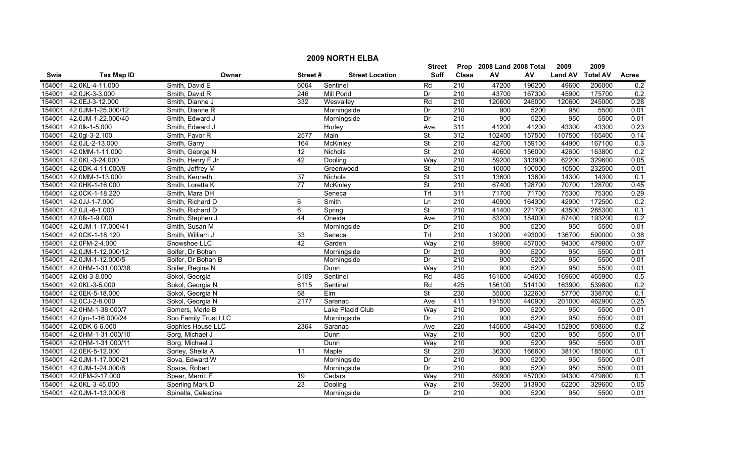|             | <b>2009 NORTH ELBA</b> |                      |                 |                        |                          |                  |                           |            |                |                 |                  |  |
|-------------|------------------------|----------------------|-----------------|------------------------|--------------------------|------------------|---------------------------|------------|----------------|-----------------|------------------|--|
|             |                        |                      |                 |                        | <b>Street</b>            |                  | Prop 2008 Land 2008 Total |            | 2009           | 2009            |                  |  |
| <b>Swis</b> | <b>Tax Map ID</b>      | Owner                | Street#         | <b>Street Location</b> | <b>Suff</b>              | <b>Class</b>     | AV                        | ${\sf AV}$ | <b>Land AV</b> | <b>Total AV</b> | <b>Acres</b>     |  |
| 154001      | 42.0KL-4-11.000        | Smith, David E       | 6064            | Sentinel               | Rd                       | 210              | 47200                     | 196200     | 49600          | 206000          | 0.2              |  |
| 154001      | 42.0JK-3-3.000         | Smith, David R       | 246             | <b>Mill Pond</b>       | Dr                       | $\overline{210}$ | 43700                     | 167300     | 45900          | 175700          | 0.2              |  |
| 154001      | 42.0EJ-3-12.000        | Smith, Dianne J      | 332             | Wesvalley              | Rd                       | 210              | 120600                    | 245000     | 120600         | 245000          | 0.28             |  |
| 154001      | 42.0JM-1-25.000/12     | Smith, Dianne R      |                 | Morningside            | Dr                       | 210              | 900                       | 5200       | 950            | 5500            | 0.01             |  |
| 154001      | 42.0JM-1-22.000/40     | Smith, Edward J      |                 | Morningside            | Dr                       | 210              | 900                       | 5200       | 950            | 5500            | 0.01             |  |
| 154001      | 42.0lk-1-5.000         | Smith, Edward J      |                 | Hurley                 | Ave                      | 311              | 41200                     | 41200      | 43300          | 43300           | 0.23             |  |
| 154001      | 42.0gl-3-2.100         | Smith, Favor R       | 2577            | Main                   | <b>St</b>                | 312              | 102400                    | 157500     | 107500         | 165400          | 0.14             |  |
| 154001      | 42.0JL-2-13.000        | Smith, Garry         | 164             | <b>McKinley</b>        | $\overline{\mathsf{St}}$ | 210              | 42700                     | 159100     | 44900          | 167100          | 0.3              |  |
| 154001      | 42.0MM-1-11.000        | Smith, George N      | $\overline{12}$ | Nichols                | $\overline{\mathsf{St}}$ | 210              | 40600                     | 156000     | 42600          | 163800          | 0.2              |  |
| 154001      | 42.0KL-3-24.000        | Smith, Henry F Jr    | 42              | Dooling                | Way                      | 210              | 59200                     | 313900     | 62200          | 329600          | 0.05             |  |
| 154001      | 42.0DK-4-11.000/9      | Smith, Jeffrey M     |                 | Greenwood              | $\overline{\mathsf{St}}$ | 210              | 10000                     | 100000     | 10500          | 232500          | 0.01             |  |
| 154001      | 42.0MM-1-13.000        | Smith, Kenneth       | $\overline{37}$ | Nichols                | <b>St</b>                | 311              | 13600                     | 13600      | 14300          | 14300           | 0.1              |  |
| 154001      | 42.0HK-1-16.000        | Smith, Loretta K     | $\overline{77}$ | <b>McKinley</b>        | <b>St</b>                | $\overline{210}$ | 67400                     | 128700     | 70700          | 128700          | 0.45             |  |
| 154001      | 42.0CK-1-18.220        | Smith, Mara DH       |                 | Seneca                 | Trl                      | 311              | 71700                     | 71700      | 75300          | 75300           | 0.29             |  |
| 154001      | 42.0JJ-1-7.000         | Smith, Richard D     | 6               | Smith                  | Ln                       | $\overline{210}$ | 40900                     | 164300     | 42900          | 172500          | $\overline{0.2}$ |  |
| 154001      | 42.0JL-6-1.000         | Smith, Richard D     | 6               | Spring                 | $\overline{\mathsf{St}}$ | 210              | 41400                     | 271700     | 43500          | 285300          | 0.1              |  |
| 154001      | 42.0fk-1-9.000         | Smith, Stephen J     | 44              | Oneida                 | Ave                      | 210              | 83200                     | 184000     | 87400          | 193200          | 0.2              |  |
| 154001      | 42.0JM-1-17.000/41     | Smith, Susan M       |                 | Morningside            | Dr                       | 210              | 900                       | 5200       | 950            | 5500            | 0.01             |  |
| 154001      | 42.0CK-1-18.120        | Smith, William J     | 33              | Seneca                 | Trl                      | 210              | 130200                    | 493000     | 136700         | 590000          | 0.38             |  |
| 154001      | 42.0FM-2-4.000         | Snowshoe LLC         | 42              | Garden                 | Way                      | 210              | 89900                     | 457000     | 94300          | 479800          | 0.07             |  |
| 154001      | 42.0JM-1-12.000/12     | Soifer, Dr Bohan     |                 | Morningside            | Dr                       | 210              | 900                       | 5200       | 950            | 5500            | 0.01             |  |
| 154001      | 42.0JM-1-12.000/5      | Soifer, Dr Bohan B   |                 | Morningside            | Dr                       | $\overline{210}$ | 900                       | 5200       | 950            | 5500            | 0.01             |  |
| 154001      | 42.0HM-1-31.000/38     | Soifer, Regina N     |                 | Dunn                   | Way                      | $\overline{210}$ | 900                       | 5200       | 950            | 5500            | 0.01             |  |
| 154001      | 42.0kl-3-8.000         | Sokol, Georgia       | 6109            | Sentinel               | Rd                       | 485              | 161600                    | 404600     | 169600         | 465900          | 0.5              |  |
| 154001      | 42.0KL-3-5.000         | Sokol, Georgia N     | 6115            | Sentinel               | Rd                       | 425              | 156100                    | 514100     | 163900         | 539800          | 0.2              |  |
| 154001      | 42.0EK-5-18.000        | Sokol, Georgia N     | 68              | $E$ Im                 | $\overline{\mathsf{St}}$ | 230              | 55000                     | 322600     | 57700          | 338700          | 0.1              |  |
| 154001      | 42.0CJ-2-8.000         | Sokol, Georgia N     | 2177            | Saranac                | Ave                      | 411              | 191500                    | 440900     | 201000         | 462900          | 0.25             |  |
| 154001      | 42.0HM-1-38.000/7      | Somers, Merle B      |                 | Lake Placid Club       | Way                      | $\overline{210}$ | 900                       | 5200       | 950            | 5500            | 0.01             |  |
| 154001      | 42.0jm-1-16.000/24     | Soo Family Trust LLC |                 | Morningside            | Dr                       | 210              | 900                       | 5200       | 950            | 5500            | 0.01             |  |
| 154001      | 42.0DK-6-6.000         | Sophies House LLC    | 2364            | Saranac                | Ave                      | 220              | 145600                    | 484400     | 152900         | 508600          | 0.2              |  |
| 154001      | 42.0HM-1-31.000/10     | Sorg, Michael J      |                 | Dunn                   | Way                      | 210              | 900                       | 5200       | 950            | 5500            | 0.01             |  |
| 154001      | 42.0HM-1-31.000/11     | Sorg, Michael J      |                 | Dunn                   | Way                      | 210              | 900                       | 5200       | 950            | 5500            | 0.01             |  |
| 154001      | 42.0EK-5-12.000        | Sorley, Sheila A     | 11              | Maple                  | <b>St</b>                | 220              | 36300                     | 166600     | 38100          | 185000          | 0.1              |  |
| 154001      | 42.0JM-1-17.000/21     | Sova, Edward W       |                 | Morningside            | Dr                       | 210              | 900                       | 5200       | 950            | 5500            | 0.01             |  |
| 154001      | 42.0JM-1-24.000/8      | Space, Robert        |                 | Morningside            | Dr                       | 210              | 900                       | 5200       | 950            | 5500            | 0.01             |  |
| 154001      | 42.0FM-2-17.000        | Spear, Merritt F     | 19              | Cedars                 | Way                      | $\overline{210}$ | 89900                     | 457000     | 94300          | 479800          | $\overline{0.1}$ |  |
| 154001      | 42.0KL-3-45.000        | Sperling Mark D      | $\overline{23}$ | Dooling                | Way                      | 210              | 59200                     | 313900     | 62200          | 329600          | 0.05             |  |
| 154001      | 42.0JM-1-13.000/8      | Spinella, Celestina  |                 | Morningside            | Dr                       | 210              | 900                       | 5200       | 950            | 5500            | 0.01             |  |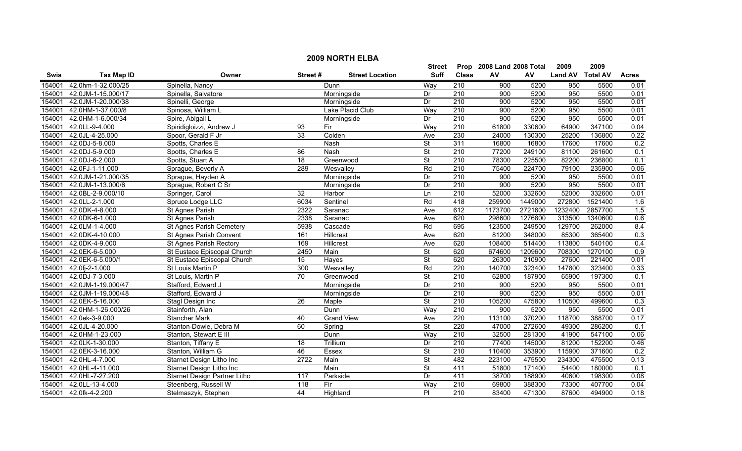|             | <b>2009 NORTH ELBA</b> |                                |                 |                        |                          |                  |                           |         |                |                 |                  |  |  |
|-------------|------------------------|--------------------------------|-----------------|------------------------|--------------------------|------------------|---------------------------|---------|----------------|-----------------|------------------|--|--|
|             |                        |                                |                 |                        | Street                   |                  | Prop 2008 Land 2008 Total |         | 2009           | 2009            |                  |  |  |
| <b>Swis</b> | <b>Tax Map ID</b>      | Owner                          | Street#         | <b>Street Location</b> | <b>Suff</b>              | <b>Class</b>     | AV                        | AV      | <b>Land AV</b> | <b>Total AV</b> | <b>Acres</b>     |  |  |
| 154001      | 42.0hm-1-32.000/25     | Spinella, Nancy                |                 | Dunn                   | Way                      | 210              | 900                       | 5200    | 950            | 5500            | 0.01             |  |  |
| 154001      | 42.0JM-1-15.000/17     | Spinella, Salvatore            |                 | Morningside            | Dr                       | $\overline{210}$ | 900                       | 5200    | 950            | 5500            | 0.01             |  |  |
| 154001      | 42.0JM-1-20.000/38     | Spinelli, George               |                 | Morningside            | Dr                       | 210              | 900                       | 5200    | 950            | 5500            | 0.01             |  |  |
| 154001      | 42.0HM-1-37.000/8      | Spinosa, William L             |                 | Lake Placid Club       | Way                      | 210              | 900                       | 5200    | 950            | 5500            | 0.01             |  |  |
| 154001      | 42.0HM-1-6.000/34      | Spire, Abigail L               |                 | Morningside            | Dr                       | 210              | 900                       | 5200    | 950            | 5500            | 0.01             |  |  |
| 154001      | 42.0LL-9-4.000         | Spiridigloizzi, Andrew J       | 93              | Fir                    | Way                      | 210              | 61800                     | 330600  | 64900          | 347100          | 0.04             |  |  |
| 154001      | 42.0JL-4-25.000        | Spoor, Gerald F Jr             | 33              | Colden                 | Ave                      | 230              | 24000                     | 130300  | 25200          | 136800          | 0.22             |  |  |
| 154001      | 42.0DJ-5-8.000         | Spotts, Charles E              |                 | Nash                   | $\overline{\mathsf{St}}$ | 311              | 16800                     | 16800   | 17600          | 17600           | 0.2              |  |  |
| 154001      | 42.0DJ-5-9.000         | Spotts, Charles E              | 86              | Nash                   | $\overline{\mathsf{St}}$ | 210              | 77200                     | 249100  | 81100          | 261600          | 0.1              |  |  |
| 154001      | 42.0DJ-6-2.000         | Spotts, Stuart A               | $\overline{18}$ | Greenwood              | <b>St</b>                | $\overline{210}$ | 78300                     | 225500  | 82200          | 236800          | 0.1              |  |  |
| 154001      | 42.0FJ-1-11.000        | Sprague, Beverly A             | 289             | Wesvalley              | Rd                       | 210              | 75400                     | 224700  | 79100          | 235900          | 0.06             |  |  |
| 154001      | 42.0JM-1-21.000/35     | Sprague, Hayden A              |                 | Morningside            | Dr                       | 210              | 900                       | 5200    | 950            | 5500            | 0.01             |  |  |
| 154001      | 42.0JM-1-13.000/6      | Sprague, Robert C Sr           |                 | Morningside            | Dr                       | $\overline{210}$ | 900                       | 5200    | 950            | 5500            | 0.01             |  |  |
| 154001      | 42.0BL-2-9.000/10      | Springer, Carol                | $\overline{32}$ | Harbor                 | Ln                       | 210              | 52000                     | 332600  | 52000          | 332600          | 0.01             |  |  |
| 154001      | 42.0LL-2-1.000         | Spruce Lodge LLC               | 6034            | Sentinel               | Rd                       | 418              | 259900                    | 1449000 | 272800         | 1521400         | 1.6              |  |  |
| 154001      | 42.0DK-4-8.000         | St Agnes Parish                | 2322            | Saranac                | Ave                      | 612              | 1173700                   | 2721600 | 1232400        | 2857700         | 1.5              |  |  |
| 154001      | 42.0DK-6-1.000         | <b>St Agnes Parish</b>         | 2338            | Saranac                | Ave                      | 620              | 298600                    | 1276800 | 313500         | 1340600         | 0.6              |  |  |
| 154001      | 42.0LM-1-4.000         | St Agnes Parish Cemetery       | 5938            | Cascade                | Rd                       | 695              | 123500                    | 249500  | 129700         | 262000          | 8.4              |  |  |
| 154001      | 42.0DK-4-10.000        | St Agnes Parish Convent        | 161             | Hillcrest              | Ave                      | 620              | 81200                     | 348000  | 85300          | 365400          | 0.3              |  |  |
| 154001      | 42.0DK-4-9.000         | <b>St Agnes Parish Rectory</b> | 169             | <b>Hillcrest</b>       | Ave                      | 620              | 108400                    | 514400  | 113800         | 540100          | 0.4              |  |  |
| 154001      | 42.0EK-6-5.000         | St Eustace Episcopal Church    | 2450            | Main                   | $\overline{\mathsf{St}}$ | 620              | 674600                    | 1209600 | 708300         | 1270100         | 0.9              |  |  |
| 154001      | 42.0EK-6-5.000/1       | St Eustace Episcopal Church    | $\overline{15}$ | Hayes                  | $\overline{\mathsf{St}}$ | 620              | 26300                     | 210900  | 27600          | 221400          | 0.01             |  |  |
| 154001      | 42.0fj-2-1.000         | St Louis Martin P              | 300             | Wesvalley              | Rd                       | 220              | 140700                    | 323400  | 147800         | 323400          | 0.33             |  |  |
| 154001      | 42.0DJ-7-3.000         | St Louis, Martin P             | 70              | Greenwood              | <b>St</b>                | $\overline{210}$ | 62800                     | 187900  | 65900          | 197300          | $\overline{0.1}$ |  |  |
| 154001      | 42.0JM-1-19.000/47     | Stafford, Edward J             |                 | Morningside            | Dr                       | 210              | 900                       | 5200    | 950            | 5500            | 0.01             |  |  |
| 154001      | 42.0JM-1-19.000/48     | Stafford, Edward J             |                 | Morningside            | Dr                       | 210              | 900                       | 5200    | 950            | 5500            | 0.01             |  |  |
| 154001      | 42.0EK-5-16.000        | Stagl Design Inc               | $\overline{26}$ | Maple                  | $\overline{\mathsf{St}}$ | 210              | 105200                    | 475800  | 110500         | 499600          | $\overline{0.3}$ |  |  |
| 154001      | 42.0HM-1-26.000/26     | Stainforth, Alan               |                 | Dunn                   | Way                      | 210              | 900                       | 5200    | 950            | 5500            | 0.01             |  |  |
| 154001      | 42.0ek-3-9.000         | <b>Stancher Mark</b>           | 40              | <b>Grand View</b>      | Ave                      | 220              | 113100                    | 370200  | 118700         | 388700          | 0.17             |  |  |
| 154001      | 42.0JL-4-20.000        | Stanton-Dowie, Debra M         | 60              | Spring                 | $\overline{\mathsf{St}}$ | 220              | 47000                     | 272600  | 49300          | 286200          | 0.1              |  |  |
| 154001      | 42.0HM-1-23.000        | Stanton, Stewart E III         |                 | Dunn                   | Way                      | 210              | 32500                     | 281300  | 41900          | 547100          | 0.06             |  |  |
| 154001      | 42.0LK-1-30.000        | Stanton, Tiffany E             | 18              | Trillium               | Dr                       | 210              | 77400                     | 145000  | 81200          | 152200          | 0.46             |  |  |
| 154001      | 42.0EK-3-16.000        | Stanton, William G             | 46              | Essex                  | <b>St</b>                | 210              | 110400                    | 353900  | 115900         | 371600          | 0.2              |  |  |
| 154001      | 42.0HL-4-7.000         | Starnet Design Litho Inc       | 2722            | Main                   | $\overline{\mathsf{St}}$ | 482              | 223100                    | 475500  | 234300         | 475500          | 0.13             |  |  |
| 154001      | 42.0HL-4-11.000        | Starnet Design Litho Inc       |                 | Main                   | <b>St</b>                | 411              | 51800                     | 171400  | 54400          | 180000          | 0.1              |  |  |
| 154001      | 42.0HL-7-27.200        | Starnet Design Partner Litho   | 117             | Parkside               | Dr                       | 411              | 38700                     | 188900  | 40600          | 198300          | 0.08             |  |  |
| 154001      | 42.0LL-13-4.000        | Steenberg, Russell W           | 118             | Fir                    | Way                      | $\overline{210}$ | 69800                     | 388300  | 73300          | 407700          | 0.04             |  |  |
| 154001      | 42.0fk-4-2.200         | Stelmaszyk, Stephen            | 44              | Highland               | PI                       | 210              | 83400                     | 471300  | 87600          | 494900          | 0.18             |  |  |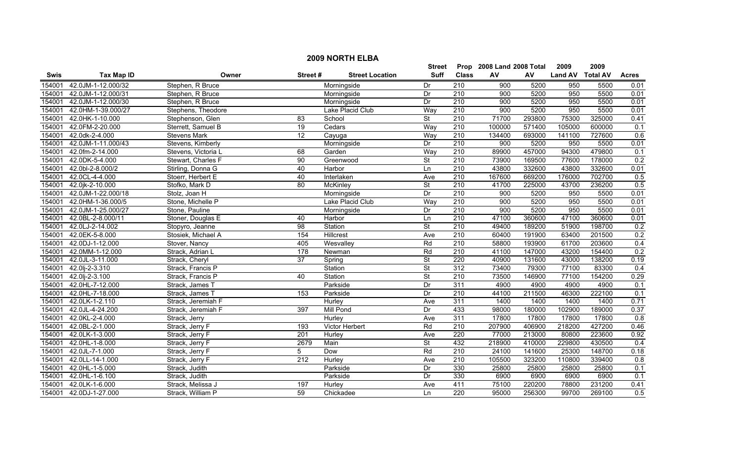|             | <b>2009 NORTH ELBA</b> |                     |                  |                        |                          |                  |                           |        |                  |        |              |  |
|-------------|------------------------|---------------------|------------------|------------------------|--------------------------|------------------|---------------------------|--------|------------------|--------|--------------|--|
|             |                        |                     |                  |                        | <b>Street</b>            |                  | Prop 2008 Land 2008 Total |        | 2009             | 2009   |              |  |
| <b>Swis</b> | <b>Tax Map ID</b>      | Owner               | Street#          | <b>Street Location</b> | <b>Suff</b>              | <b>Class</b>     | AV                        | AV     | Land AV Total AV |        | <b>Acres</b> |  |
| 154001      | 42.0JM-1-12.000/32     | Stephen, R Bruce    |                  | Morningside            | Dr                       | $\overline{210}$ | 900                       | 5200   | 950              | 5500   | 0.01         |  |
| 154001      | 42.0JM-1-12.000/31     | Stephen, R Bruce    |                  | Morningside            | Dr                       | $\overline{210}$ | 900                       | 5200   | 950              | 5500   | 0.01         |  |
| 154001      | 42.0JM-1-12.000/30     | Stephen, R Bruce    |                  | Morningside            | Dr                       | 210              | 900                       | 5200   | 950              | 5500   | 0.01         |  |
| 154001      | 42.0HM-1-39.000/27     | Stephens, Theodore  |                  | Lake Placid Club       | Way                      | 210              | 900                       | 5200   | 950              | 5500   | 0.01         |  |
| 154001      | 42.0HK-1-10.000        | Stephenson, Glen    | 83               | School                 | $\overline{\mathsf{St}}$ | 210              | 71700                     | 293800 | 75300            | 325000 | 0.41         |  |
| 154001      | 42.0FM-2-20.000        | Sterrett, Samuel B  | 19               | Cedars                 | Way                      | 210              | 100000                    | 571400 | 105000           | 600000 | 0.1          |  |
| 154001      | 42.0dk-2-4.000         | <b>Stevens Mark</b> | 12               | Cayuga                 | Way                      | 210              | 134400                    | 693000 | 141100           | 727600 | 0.6          |  |
| 154001      | 42.0JM-1-11.000/43     | Stevens, Kimberly   |                  | Morningside            | Dr                       | 210              | 900                       | 5200   | 950              | 5500   | 0.01         |  |
| 154001      | 42.0fm-2-14.000        | Stevens, Victoria L | 68               | Garden                 | Way                      | $\overline{210}$ | 89900                     | 457000 | 94300            | 479800 | 0.1          |  |
| 154001      | 42.0DK-5-4.000         | Stewart, Charles F  | 90               | Greenwood              | St                       | 210              | 73900                     | 169500 | 77600            | 178000 | 0.2          |  |
| 154001      | 42.0bl-2-8.000/2       | Stirling, Donna G   | 40               | Harbor                 | Ln                       | 210              | 43800                     | 332600 | 43800            | 332600 | 0.01         |  |
| 154001      | 42.0CL-4-4.000         | Stoerr, Herbert E   | 40               | Interlaken             | Ave                      | 210              | 167600                    | 669200 | 176000           | 702700 | 0.5          |  |
| 154001      | 42.0jk-2-10.000        | Stofko, Mark D      | $\overline{80}$  | <b>McKinley</b>        | <b>St</b>                | 210              | 41700                     | 225000 | 43700            | 236200 | 0.5          |  |
| 154001      | 42.0JM-1-22.000/18     | Stolz, Joan H       |                  | Morningside            | Dr                       | 210              | 900                       | 5200   | 950              | 5500   | 0.01         |  |
| 154001      | 42.0HM-1-36.000/5      | Stone, Michelle P   |                  | Lake Placid Club       | Way                      | $\overline{210}$ | 900                       | 5200   | 950              | 5500   | 0.01         |  |
| 154001      | 42.0JM-1-25.000/27     | Stone, Pauline      |                  | Morningside            | Dr                       | 210              | 900                       | 5200   | 950              | 5500   | 0.01         |  |
| 154001      | 42.0BL-2-8.000/11      | Stoner, Douglas E   | 40               | Harbor                 | Ln                       | 210              | 47100                     | 360600 | 47100            | 360600 | 0.01         |  |
| 154001      | 42.0LJ-2-14.002        | Stopyro, Jeanne     | 98               | Station                | <b>St</b>                | 210              | 49400                     | 189200 | 51900            | 198700 | 0.2          |  |
| 154001      | 42.0EK-5-8.000         | Stosiek, Michael A  | 154              | Hillcrest              | Ave                      | 210              | 60400                     | 191900 | 63400            | 201500 | 0.2          |  |
| 154001      | 42.0DJ-1-12.000        | Stover, Nancy       | 405              | Wesvalley              | Rd                       | 210              | 58800                     | 193900 | 61700            | 203600 | 0.4          |  |
| 154001      | 42.0MM-1-12.000        | Strack, Adrian L    | 178              | Newman                 | Rd                       | 210              | 41100                     | 147000 | 43200            | 154400 | 0.2          |  |
| 154001      | 42.0JL-3-11.000        | Strack, Cheryl      | 37               | Spring                 | $\overline{\mathsf{St}}$ | 220              | 40900                     | 131600 | 43000            | 138200 | 0.19         |  |
| 154001      | 42.0lj-2-3.310         | Strack, Francis P   |                  | Station                | <b>St</b>                | 312              | 73400                     | 79300  | 77100            | 83300  | 0.4          |  |
| 154001      | 42.0lj-2-3.100         | Strack, Francis P   | 40               | Station                | St                       | 210              | 73500                     | 146900 | 77100            | 154200 | 0.29         |  |
| 154001      | 42.0HL-7-12.000        | Strack, James T     |                  | Parkside               | Dr                       | 311              | 4900                      | 4900   | 4900             | 4900   | 0.1          |  |
| 154001      | 42.0HL-7-18.000        | Strack, James T     | 153              | Parkside               | Dr                       | 210              | 44100                     | 211500 | 46300            | 222100 | 0.1          |  |
| 154001      | 42.0LK-1-2.110         | Strack, Jeremiah F  |                  | Hurley                 | Ave                      | 311              | 1400                      | 1400   | 1400             | 1400   | 0.71         |  |
| 154001      | 42.0JL-4-24.200        | Strack, Jeremiah F  | 397              | <b>Mill Pond</b>       | Dr                       | 433              | 98000                     | 180000 | 102900           | 189000 | 0.37         |  |
| 154001      | 42.0KL-2-4.000         | Strack, Jerry       |                  | <b>Hurley</b>          | Ave                      | 311              | 17800                     | 17800  | 17800            | 17800  | 0.8          |  |
| 154001      | 42.0BL-2-1.000         | Strack, Jerry F     | 193              | <b>Victor Herbert</b>  | Rd                       | 210              | 207900                    | 406900 | 218200           | 427200 | 0.46         |  |
| 154001      | 42.0LK-1-3.000         | Strack, Jerry F     | 201              | Hurley                 | Ave                      | 220              | 77000                     | 213000 | 80800            | 223600 | 0.92         |  |
| 154001      | 42.0HL-1-8.000         | Strack, Jerry F     | 2679             | Main                   | <b>St</b>                | 432              | 218900                    | 410000 | 229800           | 430500 | 0.4          |  |
| 154001      | 42.0JL-7-1.000         | Strack, Jerry F     | 5                | Dow                    | Rd                       | 210              | 24100                     | 141600 | 25300            | 148700 | 0.18         |  |
| 154001      | 42.0LL-14-1.000        | Strack, Jerry F     | $\overline{212}$ | Hurley                 | Ave                      | 210              | 105500                    | 323200 | 110800           | 339400 | 0.8          |  |
| 154001      | 42.0HL-1-5.000         | Strack, Judith      |                  | Parkside               | Dr                       | 330              | 25800                     | 25800  | 25800            | 25800  | 0.1          |  |
| 154001      | 42.0HL-1-6.100         | Strack, Judith      |                  | Parkside               | Dr                       | 330              | 6900                      | 6900   | 6900             | 6900   | 0.1          |  |
| 154001      | 42.0LK-1-6.000         | Strack, Melissa J   | 197              | Hurley                 | Ave                      | 411              | 75100                     | 220200 | 78800            | 231200 | 0.41         |  |
| 154001      | 42.0DJ-1-27.000        | Strack, William P   | 59               | Chickadee              | Ln                       | $\overline{220}$ | 95000                     | 256300 | 99700            | 269100 | 0.5          |  |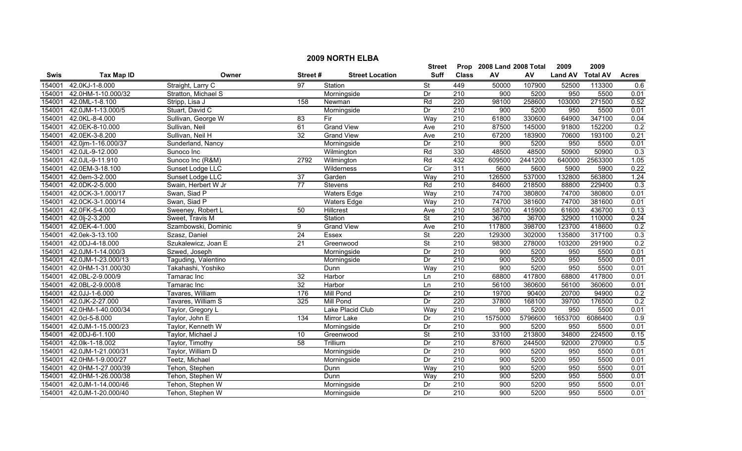|             | <b>2009 NORTH ELBA</b> |                     |                 |                        |                          |                  |                           |         |                |                 |              |  |
|-------------|------------------------|---------------------|-----------------|------------------------|--------------------------|------------------|---------------------------|---------|----------------|-----------------|--------------|--|
|             |                        |                     |                 |                        | <b>Street</b>            |                  | Prop 2008 Land 2008 Total |         | 2009           | 2009            |              |  |
| <b>Swis</b> | <b>Tax Map ID</b>      | Owner               | Street#         | <b>Street Location</b> | Suff                     | <b>Class</b>     | AV                        | AV      | <b>Land AV</b> | <b>Total AV</b> | <b>Acres</b> |  |
| 154001      | 42.0KJ-1-8.000         | Straight, Larry C   | 97              | Station                | $\overline{\mathsf{St}}$ | 449              | 50000                     | 107900  | 52500          | 113300          | 0.6          |  |
| 154001      | 42.0HM-1-10.000/32     | Stratton, Michael S |                 | Morningside            | Dr                       | $\overline{210}$ | 900                       | 5200    | 950            | 5500            | 0.01         |  |
| 154001      | 42.0ML-1-8.100         | Stripp, Lisa J      | 158             | Newman                 | Rd                       | 220              | 98100                     | 258600  | 103000         | 271500          | 0.52         |  |
| 154001      | 42.0JM-1-13.000/5      | Stuart, David C     |                 | Morningside            | Dr                       | 210              | 900                       | 5200    | 950            | 5500            | 0.01         |  |
| 154001      | 42.0KL-8-4.000         | Sullivan, George W  | 83              | Fir                    | Way                      | 210              | 61800                     | 330600  | 64900          | 347100          | 0.04         |  |
| 154001      | 42.0EK-8-10.000        | Sullivan, Neil      | 61              | <b>Grand View</b>      | Ave                      | 210              | 87500                     | 145000  | 91800          | 152200          | 0.2          |  |
| 154001      | 42.0EK-3-8.200         | Sullivan, Neil H    | 32              | <b>Grand View</b>      | Ave                      | 210              | 67200                     | 183900  | 70600          | 193100          | 0.21         |  |
| 154001      | 42.0jm-1-16.000/37     | Sunderland, Nancy   |                 | Morningside            | Dr                       | 210              | 900                       | 5200    | 950            | 5500            | 0.01         |  |
| 154001      | 42.0JL-9-12.000        | Sunoco Inc          |                 | Wilmington             | Rd                       | 330              | 48500                     | 48500   | 50900          | 50900           | 0.3          |  |
| 154001      | 42.0JL-9-11.910        | Sunoco Inc (R&M)    | 2792            | Wilmington             | Rd                       | 432              | 609500                    | 2441200 | 640000         | 2563300         | 1.05         |  |
| 154001      | 42.0EM-3-18.100        | Sunset Lodge LLC    |                 | Wilderness             | $\overline{C}$           | 311              | 5600                      | 5600    | 5900           | 5900            | 0.22         |  |
| 154001      | 42.0em-3-2.000         | Sunset Lodge LLC    | $\overline{37}$ | Garden                 | Way                      | 210              | 126500                    | 537000  | 132800         | 563800          | 1.24         |  |
| 154001      | 42.0DK-2-5.000         | Swain, Herbert W Jr | $\overline{77}$ | Stevens                | Rd                       | 210              | 84600                     | 218500  | 88800          | 229400          | 0.3          |  |
| 154001      | 42.0CK-3-1.000/17      | Swan, Siad P        |                 | <b>Waters Edge</b>     | Way                      | 210              | 74700                     | 380800  | 74700          | 380800          | 0.01         |  |
| 154001      | 42.0CK-3-1.000/14      | Swan, Siad P        |                 | <b>Waters Edge</b>     | Way                      | 210              | 74700                     | 381600  | 74700          | 381600          | 0.01         |  |
| 154001      | 42.0FK-5-4.000         | Sweeney, Robert L   | 50              | Hillcrest              | Ave                      | 210              | 58700                     | 415900  | 61600          | 436700          | 0.13         |  |
| 154001      | 42.0lj-2-3.200         | Sweet, Travis M     |                 | Station                | $\overline{\mathsf{St}}$ | 210              | 36700                     | 36700   | 32900          | 110000          | 0.24         |  |
| 154001      | 42.0EK-4-1.000         | Szambowski, Dominic | 9               | <b>Grand View</b>      | Ave                      | 210              | 117800                    | 398700  | 123700         | 418600          | 0.2          |  |
| 154001      | 42.0ek-3-13.100        | Szasz, Daniel       | 24              | Essex                  | $\overline{\mathsf{St}}$ | 220              | 129300                    | 302000  | 135800         | 317100          | 0.3          |  |
| 154001      | 42.0DJ-4-18.000        | Szukalewicz, Joan E | 21              | Greenwood              | $\overline{\mathsf{St}}$ | 210              | 98300                     | 278000  | 103200         | 291900          | 0.2          |  |
| 154001      | 42.0JM-1-14.000/3      | Szwed, Joseph       |                 | Morningside            | Dr                       | 210              | $\overline{900}$          | 5200    | 950            | 5500            | 0.01         |  |
| 154001      | 42.0JM-1-23.000/13     | Taguding, Valentino |                 | Morningside            | Dr                       | 210              | 900                       | 5200    | 950            | 5500            | 0.01         |  |
| 154001      | 42.0HM-1-31.000/30     | Takahashi, Yoshiko  |                 | Dunn                   | Way                      | 210              | 900                       | 5200    | 950            | 5500            | 0.01         |  |
| 154001      | 42.0BL-2-9.000/9       | Tamarac Inc         | 32              | Harbor                 | Ln                       | $\overline{210}$ | 68800                     | 417800  | 68800          | 417800          | 0.01         |  |
| 154001      | 42.0BL-2-9.000/8       | Tamarac Inc         | 32              | Harbor                 | Ln                       | 210              | 56100                     | 360600  | 56100          | 360600          | 0.01         |  |
| 154001      | 42.0JJ-1-6.000         | Tavares, William    | 176             | <b>Mill Pond</b>       | Dr                       | 210              | 19700                     | 90400   | 20700          | 94900           | 0.2          |  |
| 154001      | 42.0JK-2-27.000        | Tavares, William S  | 325             | <b>Mill Pond</b>       | Dr                       | 220              | 37800                     | 168100  | 39700          | 176500          | 0.2          |  |
| 154001      | 42.0HM-1-40.000/34     | Taylor, Gregory L   |                 | Lake Placid Club       | Way                      | $\overline{210}$ | 900                       | 5200    | 950            | 5500            | 0.01         |  |
| 154001      | 42.0cl-5-8.000         | Taylor, John E      | 134             | <b>Mirror Lake</b>     | Dr                       | 210              | 1575000                   | 5796600 | 1653700        | 6086400         | 0.9          |  |
| 154001      | 42.0JM-1-15.000/23     | Taylor, Kenneth W   |                 | Morningside            | Dr                       | 210              | 900                       | 5200    | 950            | 5500            | 0.01         |  |
| 154001      | 42.0DJ-6-1.100         | Taylor, Michael J   | 10              | Greenwood              | $\overline{\mathsf{St}}$ | 210              | 33100                     | 213800  | 34800          | 224500          | 0.15         |  |
| 154001      | 42.0lk-1-18.002        | Taylor, Timothy     | 58              | Trillium               | Dr                       | 210              | 87600                     | 244500  | 92000          | 270900          | 0.5          |  |
| 154001      | 42.0JM-1-21.000/31     | Taylor, William D   |                 | Morningside            | Dr                       | 210              | 900                       | 5200    | 950            | 5500            | 0.01         |  |
| 154001      | 42.0HM-1-9.000/27      | Teetz, Michael      |                 | Morningside            | Dr                       | 210              | 900                       | 5200    | 950            | 5500            | 0.01         |  |
| 154001      | 42.0HM-1-27.000/39     | Tehon, Stephen      |                 | Dunn                   | Way                      | 210              | 900                       | 5200    | 950            | 5500            | 0.01         |  |
| 154001      | 42.0HM-1-26.000/38     | Tehon, Stephen W    |                 | Dunn                   | Way                      | 210              | 900                       | 5200    | 950            | 5500            | 0.01         |  |
| 154001      | 42.0JM-1-14.000/46     | Tehon, Stephen W    |                 | Morningside            | Dr                       | $\overline{210}$ | 900                       | 5200    | 950            | 5500            | 0.01         |  |
| 154001      | 42.0JM-1-20.000/40     | Tehon, Stephen W    |                 | Morningside            | Dr                       | $\overline{210}$ | 900                       | 5200    | 950            | 5500            | 0.01         |  |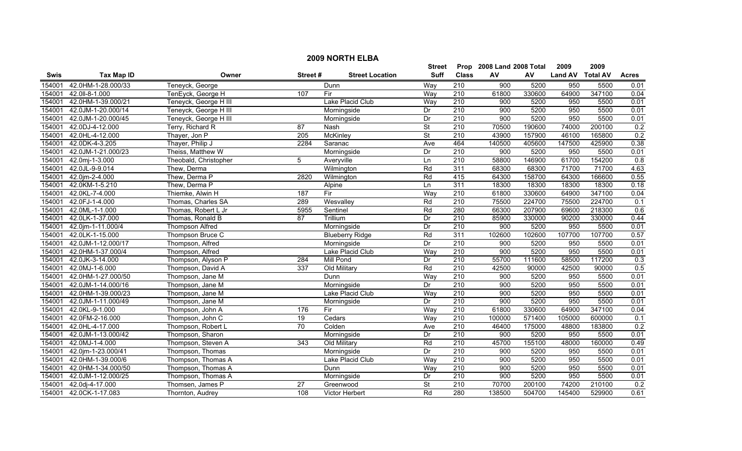|             | <b>2009 NORTH ELBA</b> |                        |                 |                        |                          |                  |                           |        |                |                 |              |  |
|-------------|------------------------|------------------------|-----------------|------------------------|--------------------------|------------------|---------------------------|--------|----------------|-----------------|--------------|--|
|             |                        |                        |                 |                        | Street                   |                  | Prop 2008 Land 2008 Total |        | 2009           | 2009            |              |  |
| <b>Swis</b> | <b>Tax Map ID</b>      | Owner                  | Street#         | <b>Street Location</b> | <b>Suff</b>              | <b>Class</b>     | AV                        | AV     | <b>Land AV</b> | <b>Total AV</b> | <b>Acres</b> |  |
| 154001      | 42.0HM-1-28.000/33     | Teneyck, George        |                 | Dunn                   | Way                      | 210              | 900                       | 5200   | 950            | 5500            | 0.01         |  |
| 154001      | 42.0II-8-1.000         | TenEyck, George H      | 107             | Fir                    | Way                      | 210              | 61800                     | 330600 | 64900          | 347100          | 0.04         |  |
| 154001      | 42.0HM-1-39.000/21     | Teneyck, George H III  |                 | Lake Placid Club       | Way                      | 210              | 900                       | 5200   | 950            | 5500            | 0.01         |  |
| 154001      | 42.0JM-1-20.000/14     | Teneyck, George H III  |                 | Morningside            | Dr                       | 210              | 900                       | 5200   | 950            | 5500            | 0.01         |  |
| 154001      | 42.0JM-1-20.000/45     | Teneyck, George H III  |                 | Morningside            | Dr                       | 210              | 900                       | 5200   | 950            | 5500            | 0.01         |  |
| 154001      | 42.0DJ-4-12.000        | Terry, Richard R       | $\overline{87}$ | Nash                   | $\overline{\mathsf{St}}$ | 210              | 70500                     | 190600 | 74000          | 200100          | 0.2          |  |
| 154001      | 42.0HL-4-12.000        | Thayer, Jon P          | 205             | <b>McKinley</b>        | <b>St</b>                | 210              | 43900                     | 157900 | 46100          | 165800          | 0.2          |  |
| 154001      | 42.0DK-4-3.205         | Thayer, Philip J       | 2284            | Saranac                | Ave                      | 464              | 140500                    | 405600 | 147500         | 425900          | 0.38         |  |
| 154001      | 42.0JM-1-21.000/23     | Theiss, Matthew W      |                 | Morningside            | Dr                       | 210              | 900                       | 5200   | 950            | 5500            | 0.01         |  |
| 154001      | 42.0mj-1-3.000         | Theobald, Christopher  | 5               | Averyville             | Ln                       | $\overline{210}$ | 58800                     | 146900 | 61700          | 154200          | 0.8          |  |
| 154001      | 42.0JL-9-9.014         | Thew, Derma            |                 | Wilmington             | Rd                       | 311              | 68300                     | 68300  | 71700          | 71700           | 4.63         |  |
| 154001      | 42.0jm-2-4.000         | Thew, Derma P          | 2820            | Wilmington             | Rd                       | 415              | 64300                     | 158700 | 64300          | 166600          | 0.55         |  |
| 154001      | 42.0KM-1-5.210         | Thew, Derma P          |                 | Alpine                 | Ln                       | 311              | 18300                     | 18300  | 18300          | 18300           | 0.18         |  |
| 154001      | 42.0KL-7-4.000         | Thiemke, Alwin H       | 187             | Fir                    | Way                      | $\overline{210}$ | 61800                     | 330600 | 64900          | 347100          | 0.04         |  |
| 154001      | 42.0FJ-1-4.000         | Thomas, Charles SA     | 289             | Wesvalley              | Rd                       | $\overline{210}$ | 75500                     | 224700 | 75500          | 224700          | 0.1          |  |
| 154001      | 42.0ML-1-1.000         | Thomas, Robert L Jr    | 5955            | Sentinel               | Rd                       | 280              | 66300                     | 207900 | 69600          | 218300          | 0.6          |  |
| 154001      | 42.0LK-1-37.000        | Thomas, Ronald B       | 87              | Trillium               | Dr                       | 210              | 85900                     | 330000 | 90200          | 330000          | 0.44         |  |
| 154001      | 42.0jm-1-11.000/4      | <b>Thompson Alfred</b> |                 | Morningside            | Dr                       | 210              | 900                       | 5200   | 950            | 5500            | 0.01         |  |
| 154001      | 42.0LK-1-15.000        | Thompson Bruce C       |                 | <b>Blueberry Ridge</b> | Rd                       | 311              | 102600                    | 102600 | 107700         | 107700          | 0.57         |  |
| 154001      | 42.0JM-1-12.000/17     | Thompson, Alfred       |                 | Morningside            | Dr                       | 210              | 900                       | 5200   | 950            | 5500            | 0.01         |  |
| 154001      | 42.0HM-1-37.000/4      | Thompson, Alfred       |                 | Lake Placid Club       | Way                      | $\overline{210}$ | 900                       | 5200   | 950            | 5500            | 0.01         |  |
| 154001      | 42.0JK-3-14.000        | Thompson, Alyson P     | 284             | <b>Mill Pond</b>       | Dr                       | $\overline{210}$ | 55700                     | 111600 | 58500          | 117200          | 0.3          |  |
| 154001      | 42.0MJ-1-6.000         | Thompson, David A      | 337             | Old Military           | Rd                       | $\overline{210}$ | 42500                     | 90000  | 42500          | 90000           | 0.5          |  |
| 154001      | 42.0HM-1-27.000/50     | Thompson, Jane M       |                 | Dunn                   | Way                      | $\overline{210}$ | 900                       | 5200   | 950            | 5500            | 0.01         |  |
| 154001      | 42.0JM-1-14.000/16     | Thompson, Jane M       |                 | Morningside            | Dr                       | $\overline{210}$ | 900                       | 5200   | 950            | 5500            | 0.01         |  |
| 154001      | 42.0HM-1-39.000/23     | Thompson, Jane M       |                 | Lake Placid Club       | Way                      | $\overline{210}$ | 900                       | 5200   | 950            | 5500            | 0.01         |  |
| 154001      | 42.0JM-1-11.000/49     | Thompson, Jane M       |                 | Morningside            | Dr                       | 210              | 900                       | 5200   | 950            | 5500            | 0.01         |  |
| 154001      | 42.0KL-9-1.000         | Thompson, John A       | 176             | Fir                    | Way                      | $\overline{210}$ | 61800                     | 330600 | 64900          | 347100          | 0.04         |  |
| 154001      | 42.0FM-2-16.000        | Thompson, John C       | 19              | Cedars                 | Way                      | 210              | 100000                    | 571400 | 105000         | 600000          | 0.1          |  |
| 154001      | 42.0HL-4-17.000        | Thompson, Robert L     | 70              | Colden                 | Ave                      | 210              | 46400                     | 175000 | 48800          | 183800          | 0.2          |  |
| 154001      | 42.0JM-1-13.000/42     | Thompson, Sharon       |                 | Morningside            | Dr                       | 210              | 900                       | 5200   | 950            | 5500            | 0.01         |  |
| 154001      | 42.0MJ-1-4.000         | Thompson, Steven A     | 343             | Old Military           | Rd                       | 210              | 45700                     | 155100 | 48000          | 160000          | 0.49         |  |
| 154001      | 42.0jm-1-23.000/41     | Thompson, Thomas       |                 | Morningside            | Dr                       | 210              | 900                       | 5200   | 950            | 5500            | 0.01         |  |
| 154001      | 42.0HM-1-39.000/6      | Thompson, Thomas A     |                 | Lake Placid Club       | Way                      | 210              | 900                       | 5200   | 950            | 5500            | 0.01         |  |
| 154001      | 42.0HM-1-34.000/50     | Thompson, Thomas A     |                 | Dunn                   | Way                      | 210              | 900                       | 5200   | 950            | 5500            | 0.01         |  |
| 154001      | 42.0JM-1-12.000/25     | Thompson, Thomas A     |                 | Morningside            | Dr                       | 210              | 900                       | 5200   | 950            | 5500            | 0.01         |  |
| 154001      | 42.0dj-4-17.000        | Thomsen, James P       | 27              | Greenwood              | <b>St</b>                | 210              | 70700                     | 200100 | 74200          | 210100          | 0.2          |  |
| 154001      | 42.0CK-1-17.083        | Thornton, Audrey       | 108             | Victor Herbert         | Rd                       | 280              | 138500                    | 504700 | 145400         | 529900          | 0.61         |  |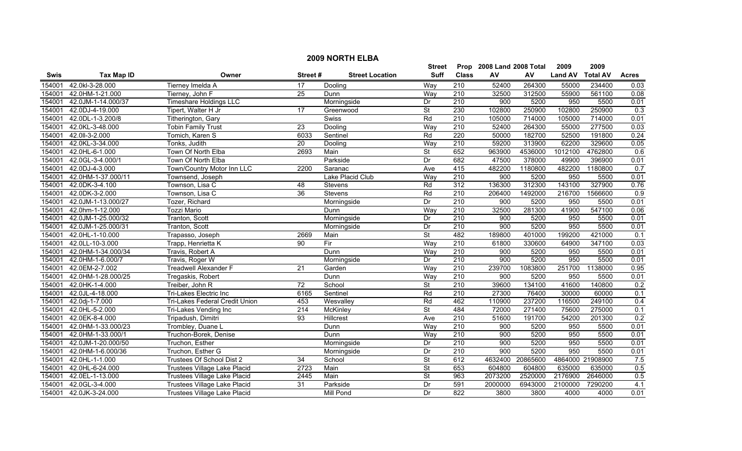|             | <b>2009 NORTH ELBA</b> |                                     |                 |                        |                          |                  |                           |          |                |                  |                  |  |
|-------------|------------------------|-------------------------------------|-----------------|------------------------|--------------------------|------------------|---------------------------|----------|----------------|------------------|------------------|--|
|             |                        |                                     |                 |                        | <b>Street</b>            |                  | Prop 2008 Land 2008 Total |          | 2009           | 2009             |                  |  |
| <b>Swis</b> | <b>Tax Map ID</b>      | Owner                               | Street#         | <b>Street Location</b> | <b>Suff</b>              | <b>Class</b>     | AV                        | AV       | <b>Land AV</b> | <b>Total AV</b>  | <b>Acres</b>     |  |
| 154001      | 42.0kl-3-28.000        | Tierney Imelda A                    | 17              | Dooling                | Way                      | $\overline{210}$ | 52400                     | 264300   | 55000          | 234400           | 0.03             |  |
| 154001      | 42.0HM-1-21.000        | Tierney, John F                     | $\overline{25}$ | Dunn                   | Way                      | 210              | 32500                     | 312500   | 55900          | 561100           | 0.08             |  |
| 154001      | 42.0JM-1-14.000/37     | Timeshare Holdings LLC              |                 | Morningside            | Dr                       | 210              | 900                       | 5200     | 950            | 5500             | 0.01             |  |
| 154001      | 42.0DJ-4-19.000        | Tipert, Walter H Jr                 | 17              | Greenwood              | $\overline{\mathsf{St}}$ | 230              | 102800                    | 250900   | 102800         | 250900           | 0.3              |  |
| 154001      | 42.0DL-1-3.200/8       | Titherington, Gary                  |                 | Swiss                  | Rd                       | 210              | 105000                    | 714000   | 105000         | 714000           | 0.01             |  |
| 154001      | 42.0KL-3-48.000        | <b>Tobin Family Trust</b>           | 23              | Dooling                | Way                      | 210              | 52400                     | 264300   | 55000          | 277500           | 0.03             |  |
| 154001      | 42.0II-3-2.000         | Tomich, Karen S                     | 6033            | Sentinel               | Rd                       | 220              | 50000                     | 182700   | 52500          | 191800           | 0.24             |  |
| 154001      | 42.0KL-3-34.000        | Tonks, Judith                       | 20              | Dooling                | Way                      | 210              | 59200                     | 313900   | 62200          | 329600           | 0.05             |  |
| 154001      | 42.0HL-6-1.000         | Town Of North Elba                  | 2693            | Main                   | $\overline{\mathsf{St}}$ | 652              | 963900                    | 4536000  | 1012100        | 4762800          | 0.6              |  |
| 154001      | 42.0GL-3-4.000/1       | Town Of North Elba                  |                 | Parkside               | Dr                       | 682              | 47500                     | 378000   | 49900          | 396900           | 0.01             |  |
| 154001      | 42.0DJ-4-3.000         | Town/Country Motor Inn LLC          | 2200            | Saranac                | Ave                      | 415              | 482200                    | 1180800  | 482200         | 1180800          | 0.7              |  |
| 154001      | 42.0HM-1-37.000/11     | Townsend, Joseph                    |                 | Lake Placid Club       | Way                      | 210              | 900                       | 5200     | 950            | 5500             | 0.01             |  |
| 154001      | 42.0DK-3-4.100         | Townson, Lisa C                     | 48              | <b>Stevens</b>         | Rd                       | $\overline{312}$ | 136300                    | 312300   | 143100         | 327900           | 0.76             |  |
| 154001      | 42.0DK-3-2.000         | Townson, Lisa C                     | $\overline{36}$ | <b>Stevens</b>         | Rd                       | $\overline{210}$ | 206400                    | 1492000  | 216700         | 1566600          | $\overline{0.9}$ |  |
| 154001      | 42.0JM-1-13.000/27     | Tozer, Richard                      |                 | Morningside            | Dr                       | 210              | 900                       | 5200     | 950            | 5500             | 0.01             |  |
| 154001      | 42.0hm-1-12.000        | <b>Tozzi Mario</b>                  |                 | Dunn                   | Way                      | $\overline{210}$ | 32500                     | 281300   | 41900          | 547100           | 0.06             |  |
| 154001      | 42.0JM-1-25.000/32     | Tranton, Scott                      |                 | Morningside            | Dr                       | 210              | 900                       | 5200     | 950            | 5500             | 0.01             |  |
| 154001      | 42.0JM-1-25.000/31     | <b>Tranton, Scott</b>               |                 | Morningside            | Dr                       | 210              | 900                       | 5200     | 950            | 5500             | 0.01             |  |
| 154001      | 42.0HL-1-10.000        | Trapasso, Joseph                    | 2669            | Main                   | $\overline{\mathsf{St}}$ | 482              | 189800                    | 401000   | 199200         | 421000           | 0.1              |  |
| 154001      | 42.0LL-10-3.000        | Trapp, Henrietta K                  | 90              | Fir                    | Way                      | 210              | 61800                     | 330600   | 64900          | 347100           | 0.03             |  |
| 154001      | 42.0HM-1-34.000/34     | Travis, Robert A                    |                 | Dunn                   | Way                      | $\overline{210}$ | 900                       | 5200     | 950            | 5500             | 0.01             |  |
| 154001      | 42.0HM-1-6.000/7       | Travis, Roger W                     |                 | Morningside            | Dr                       | $\overline{210}$ | 900                       | 5200     | 950            | 5500             | 0.01             |  |
| 154001      | 42.0EM-2-7.002         | <b>Treadwell Alexander F</b>        | $\overline{21}$ | Garden                 | Way                      | 210              | 239700                    | 1083800  | 251700         | 1138000          | 0.95             |  |
| 154001      | 42.0HM-1-28.000/25     | Tregaskis, Robert                   |                 | Dunn                   | Way                      | $\overline{210}$ | 900                       | 5200     | 950            | 5500             | 0.01             |  |
| 154001      | 42.0HK-1-4.000         | Treiber, John R                     | $\overline{72}$ | School                 | $\overline{\mathsf{St}}$ | $\overline{210}$ | 39600                     | 134100   | 41600          | 140800           | 0.2              |  |
| 154001      | 42.0JL-4-18.000        | Tri-Lakes Electric Inc              | 6165            | Sentinel               | Rd                       | 210              | 27300                     | 76400    | 30000          | 60000            | 0.1              |  |
| 154001      | 42.0dj-1-7.000         | Tri-Lakes Federal Credit Union      | 453             | Wesvalley              | Rd                       | 462              | 110900                    | 237200   | 116500         | 249100           | 0.4              |  |
| 154001      | 42.0HL-5-2.000         | Tri-Lakes Vending Inc               | 214             | McKinley               | $\overline{\mathsf{St}}$ | 484              | 72000                     | 271400   | 75600          | 275000           | 0.1              |  |
| 154001      | 42.0EK-8-4.000         | Tripadush, Dimitri                  | 93              | <b>Hillcrest</b>       | Ave                      | 210              | 51600                     | 191700   | 54200          | 201300           | 0.2              |  |
| 154001      | 42.0HM-1-33.000/23     | Trombley, Duane L                   |                 | Dunn                   | Way                      | 210              | 900                       | 5200     | 950            | 5500             | 0.01             |  |
| 154001      | 42.0HM-1-33.000/1      | Truchon-Borek, Denise               |                 | Dunn                   | Way                      | 210              | 900                       | 5200     | 950            | 5500             | 0.01             |  |
| 154001      | 42.0JM-1-20.000/50     | Truchon, Esther                     |                 | Morningside            | Dr                       | 210              | 900                       | 5200     | 950            | 5500             | 0.01             |  |
| 154001      | 42.0HM-1-6.000/36      | Truchon, Esther G                   |                 | Morningside            | $\overline{Dr}$          | 210              | 900                       | 5200     | 950            | 5500             | 0.01             |  |
| 154001      | 42.0HL-1-1.000         | Trustees Of School Dist 2           | $\overline{34}$ | School                 | $\overline{\mathsf{St}}$ | 612              | 4632400                   | 20865600 |                | 4864000 21908900 | 7.5              |  |
| 154001      | 42.0HL-6-24.000        | Trustees Village Lake Placid        | 2723            | Main                   | $\overline{\mathsf{St}}$ | 653              | 604800                    | 604800   | 635000         | 635000           | 0.5              |  |
| 154001      | 42.0EL-1-13.000        | Trustees Village Lake Placid        | 2445            | Main                   | St                       | 963              | 2073200                   | 2520000  | 2176900        | 2646000          | 0.5              |  |
| 154001      | 42.0GL-3-4.000         | Trustees Village Lake Placid        | 31              | Parkside               | Dr                       | 591              | 2000000                   | 6943000  | 2100000        | 7290200          | 4.1              |  |
| 154001      | 42.0JK-3-24.000        | <b>Trustees Village Lake Placid</b> |                 | Mill Pond              | Dr                       | 822              | 3800                      | 3800     | 4000           | 4000             | 0.01             |  |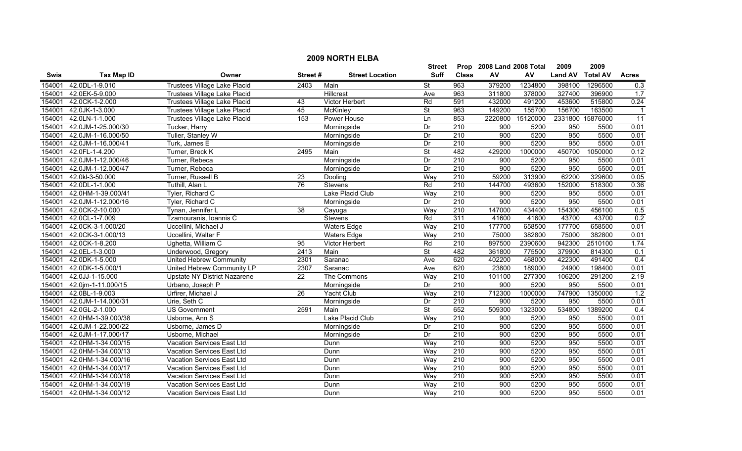|        |                    |                                     |                 |                        | <b>Street</b>            | Prop             | 2008 Land 2008 Total |          | 2009           | 2009             |                         |
|--------|--------------------|-------------------------------------|-----------------|------------------------|--------------------------|------------------|----------------------|----------|----------------|------------------|-------------------------|
| Swis   | <b>Tax Map ID</b>  | Owner                               | Street#         | <b>Street Location</b> | <b>Suff</b>              | <b>Class</b>     | AV                   | AV       | <b>Land AV</b> | <b>Total AV</b>  | <b>Acres</b>            |
| 154001 | 42.0DL-1-9.010     | Trustees Village Lake Placid        | 2403            | Main                   | St                       | 963              | 379200               | 1234800  | 398100         | 1296500          | 0.3                     |
| 154001 | 42.0EK-5-9.000     | Trustees Village Lake Placid        |                 | <b>Hillcrest</b>       | Ave                      | 963              | 311800               | 378000   | 327400         | 396900           | 1.7                     |
| 154001 | 42.0CK-1-2.000     | Trustees Village Lake Placid        | $\overline{43}$ | Victor Herbert         | Rd                       | 591              | 432000               | 491200   | 453600         | 515800           | 0.24                    |
| 154001 | 42.0JK-1-3.000     | <b>Trustees Village Lake Placid</b> | 45              | McKinley               | $\overline{\mathsf{St}}$ | 963              | 149200               | 155700   | 156700         | 163500           | $\overline{\mathbf{1}}$ |
| 154001 | 42.0LN-1-1.000     | <b>Trustees Village Lake Placid</b> | 153             | Power House            | Ln                       | 853              | 2220800              | 15120000 |                | 2331800 15876000 | $\overline{11}$         |
| 154001 | 42.0JM-1-25.000/30 | Tucker, Harry                       |                 | Morningside            | Dr                       | 210              | 900                  | 5200     | 950            | 5500             | 0.01                    |
| 154001 | 42.0JM-1-16.000/50 | Tuller, Stanley W                   |                 | Morningside            | Dr                       | $\overline{210}$ | 900                  | 5200     | 950            | 5500             | 0.01                    |
| 154001 | 42.0JM-1-16.000/41 | Turk, James E                       |                 | Morningside            | Dr                       | 210              | 900                  | 5200     | 950            | 5500             | 0.01                    |
| 154001 | 42.0FL-1-4.200     | Turner, Breck K                     | 2495            | Main                   | $\overline{\mathsf{St}}$ | 482              | 429200               | 1000000  | 450700         | 1050000          | 0.12                    |
| 154001 | 42.0JM-1-12.000/46 | Turner, Rebeca                      |                 | Morningside            | Dr                       | $\overline{210}$ | 900                  | 5200     | 950            | 5500             | 0.01                    |
| 154001 | 42.0JM-1-12.000/47 | Turner, Rebeca                      |                 | Morningside            | Dr                       | 210              | 900                  | 5200     | 950            | 5500             | 0.01                    |
| 154001 | 42.0kl-3-50.000    | Turner, Russell B                   | 23              | Dooling                | Way                      | $\overline{210}$ | 59200                | 313900   | 62200          | 329600           | 0.05                    |
| 154001 | 42.0DL-1-1.000     | Tuthill, Alan L                     | 76              | Stevens                | Rd                       | 210              | 144700               | 493600   | 152000         | 518300           | 0.36                    |
| 154001 | 42.0HM-1-39.000/41 | Tyler, Richard C                    |                 | Lake Placid Club       | Way                      | $\overline{210}$ | 900                  | 5200     | 950            | 5500             | 0.01                    |
| 154001 | 42.0JM-1-12.000/16 | Tyler, Richard C                    |                 | Morningside            | Dr                       | 210              | 900                  | 5200     | 950            | 5500             | 0.01                    |
| 154001 | 42.0CK-2-10.000    | Tynan, Jennifer L                   | 38              | Cayuga                 | Way                      | 210              | 147000               | 434400   | 154300         | 456100           | 0.5                     |
| 154001 | 42.0CL-1-7.009     | Tzamouranis, Ioannis C              |                 | <b>Stevens</b>         | Rd                       | 311              | 41600                | 41600    | 43700          | 43700            | 0.2                     |
| 154001 | 42.0CK-3-1.000/20  | Uccellini, Michael J                |                 | <b>Waters Edge</b>     | Way                      | 210              | 177700               | 658500   | 177700         | 658500           | 0.01                    |
| 154001 | 42.0CK-3-1.000/13  | Uccellini, Walter F                 |                 | <b>Waters Edge</b>     | Way                      | 210              | 75000                | 382800   | 75000          | 382800           | 0.01                    |
| 154001 | 42.0CK-1-8.200     | Ughetta, William C                  | 95              | Victor Herbert         | Rd                       | 210              | 897500               | 2390600  | 942300         | 2510100          | 1.74                    |
| 154001 | 42.0EL-1-3.000     | Underwood, Gregory                  | 2413            | Main                   | St                       | 482              | 361800               | 775500   | 379900         | 814300           | 0.1                     |
| 154001 | 42.0DK-1-5.000     | United Hebrew Community             | 2301            | Saranac                | Ave                      | 620              | 402200               | 468000   | 422300         | 491400           | $\overline{0.4}$        |
| 154001 | 42.0DK-1-5.000/1   | United Hebrew Community LP          | 2307            | Saranac                | Ave                      | 620              | 23800                | 189000   | 24900          | 198400           | 0.01                    |
| 154001 | 42.0JJ-1-15.000    | Upstate NY District Nazarene        | $\overline{22}$ | The Commons            | Way                      | $\overline{210}$ | 101100               | 277300   | 106200         | 291200           | 2.19                    |
| 154001 | 42.0jm-1-11.000/15 | Urbano, Joseph P                    |                 | Morningside            | Dr                       | 210              | 900                  | 5200     | 950            | 5500             | 0.01                    |
| 154001 | 42.0BL-1-9.003     | Urfirer, Michael J                  | $\overline{26}$ | Yacht Club             | Way                      | $\overline{210}$ | 712300               | 1000000  | 747900         | 1350000          | 1.2                     |
| 154001 | 42.0JM-1-14.000/31 | Urie, Seth C                        |                 | Morningside            | Dr                       | $\overline{210}$ | 900                  | 5200     | 950            | 5500             | 0.01                    |
| 154001 | 42.0GL-2-1.000     | <b>US Government</b>                | 2591            | Main                   | <b>St</b>                | 652              | 509300               | 1323000  | 534800         | 1389200          | 0.4                     |
| 154001 | 42.0HM-1-39.000/38 | Usborne, Ann S                      |                 | Lake Placid Club       | Way                      | 210              | 900                  | 5200     | 950            | 5500             | 0.01                    |
| 154001 | 42.0JM-1-22.000/22 | Usborne, James D                    |                 | Morningside            | Dr                       | 210              | 900                  | 5200     | 950            | 5500             | 0.01                    |
| 154001 | 42.0JM-1-17.000/17 | Usborne, Michael                    |                 | Morningside            | Dr                       | 210              | 900                  | 5200     | 950            | 5500             | 0.01                    |
| 154001 | 42.0HM-1-34.000/15 | Vacation Services East Ltd          |                 | Dunn                   | Way                      | 210              | 900                  | 5200     | 950            | 5500             | 0.01                    |
| 154001 | 42.0HM-1-34.000/13 | Vacation Services East Ltd          |                 | Dunn                   | Way                      | 210              | 900                  | 5200     | 950            | 5500             | 0.01                    |
| 154001 | 42.0HM-1-34.000/16 | Vacation Services East Ltd          |                 | Dunn                   | Way                      | 210              | 900                  | 5200     | 950            | 5500             | 0.01                    |
| 154001 | 42.0HM-1-34.000/17 | Vacation Services East Ltd          |                 | Dunn                   | Way                      | $\overline{210}$ | 900                  | 5200     | 950            | 5500             | 0.01                    |
| 154001 | 42.0HM-1-34.000/18 | Vacation Services East Ltd          |                 | Dunn                   | Way                      | 210              | 900                  | 5200     | 950            | 5500             | 0.01                    |
| 154001 | 42.0HM-1-34.000/19 | Vacation Services East Ltd          |                 | Dunn                   | Way                      | $\overline{210}$ | $\overline{900}$     | 5200     | 950            | 5500             | 0.01                    |
| 154001 | 42.0HM-1-34.000/12 | Vacation Services East Ltd          |                 | Dunn                   | Way                      | 210              | 900                  | 5200     | 950            | 5500             | 0.01                    |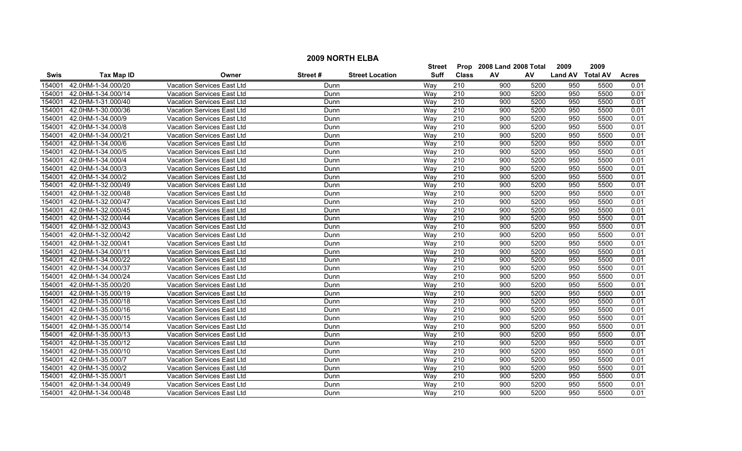|             | <b>2009 NORTH ELBA</b> |                                   |         |                        |               |                  |                           |      |                  |      |              |  |  |
|-------------|------------------------|-----------------------------------|---------|------------------------|---------------|------------------|---------------------------|------|------------------|------|--------------|--|--|
|             |                        |                                   |         |                        | <b>Street</b> |                  | Prop 2008 Land 2008 Total |      | 2009             | 2009 |              |  |  |
| <b>Swis</b> | <b>Tax Map ID</b>      | Owner                             | Street# | <b>Street Location</b> | <b>Suff</b>   | <b>Class</b>     | AV                        | AV   | Land AV Total AV |      | <b>Acres</b> |  |  |
| 154001      | 42.0HM-1-34.000/20     | <b>Vacation Services East Ltd</b> | Dunn    |                        | Way           | 210              | 900                       | 5200 | 950              | 5500 | 0.01         |  |  |
| 154001      | 42.0HM-1-34.000/14     | Vacation Services East Ltd        | Dunn    |                        | Way           | 210              | 900                       | 5200 | 950              | 5500 | 0.01         |  |  |
| 154001      | 42.0HM-1-31.000/40     | Vacation Services East Ltd        | Dunn    |                        | Way           | 210              | 900                       | 5200 | 950              | 5500 | 0.01         |  |  |
| 154001      | 42.0HM-1-30.000/36     | <b>Vacation Services East Ltd</b> | Dunn    |                        | Way           | 210              | 900                       | 5200 | 950              | 5500 | 0.01         |  |  |
| 154001      | 42.0HM-1-34.000/9      | Vacation Services East Ltd        | Dunn    |                        | Way           | 210              | 900                       | 5200 | 950              | 5500 | 0.01         |  |  |
| 154001      | 42.0HM-1-34.000/8      | Vacation Services East Ltd        | Dunn    |                        | Way           | 210              | 900                       | 5200 | 950              | 5500 | 0.01         |  |  |
| 154001      | 42.0HM-1-34.000/21     | Vacation Services East Ltd        | Dunn    |                        | Wav           | 210              | 900                       | 5200 | 950              | 5500 | 0.01         |  |  |
| 154001      | 42.0HM-1-34.000/6      | Vacation Services East Ltd        | Dunn    |                        | Way           | 210              | 900                       | 5200 | 950              | 5500 | 0.01         |  |  |
| 154001      | 42.0HM-1-34.000/5      | Vacation Services East Ltd        | Dunn    |                        | Way           | 210              | 900                       | 5200 | 950              | 5500 | 0.01         |  |  |
| 154001      | 42.0HM-1-34.000/4      | Vacation Services East Ltd        | Dunn    |                        | Way           | $\overline{210}$ | 900                       | 5200 | 950              | 5500 | 0.01         |  |  |
| 154001      | 42.0HM-1-34.000/3      | <b>Vacation Services East Ltd</b> | Dunn    |                        | Way           | $\overline{210}$ | 900                       | 5200 | 950              | 5500 | 0.01         |  |  |
| 154001      | 42.0HM-1-34.000/2      | <b>Vacation Services East Ltd</b> | Dunn    |                        | Wav           | 210              | 900                       | 5200 | 950              | 5500 | 0.01         |  |  |
| 154001      | 42.0HM-1-32.000/49     | Vacation Services East Ltd        | Dunn    |                        | Way           | $\overline{210}$ | 900                       | 5200 | 950              | 5500 | 0.01         |  |  |
| 154001      | 42.0HM-1-32.000/48     | Vacation Services East Ltd        | Dunn    |                        | Way           | $\overline{210}$ | 900                       | 5200 | 950              | 5500 | 0.01         |  |  |
| 154001      | 42.0HM-1-32.000/47     | Vacation Services East Ltd        | Dunn    |                        | Way           | $\overline{210}$ | 900                       | 5200 | 950              | 5500 | 0.01         |  |  |
| 154001      | 42.0HM-1-32.000/45     | Vacation Services East Ltd        | Dunn    |                        | Way           | 210              | 900                       | 5200 | 950              | 5500 | 0.01         |  |  |
| 154001      | 42.0HM-1-32.000/44     | <b>Vacation Services East Ltd</b> | Dunn    |                        | Way           | 210              | 900                       | 5200 | 950              | 5500 | 0.01         |  |  |
| 154001      | 42.0HM-1-32.000/43     | Vacation Services East Ltd        | Dunn    |                        | Wav           | 210              | 900                       | 5200 | 950              | 5500 | 0.01         |  |  |
| 154001      | 42.0HM-1-32.000/42     | Vacation Services East Ltd        | Dunn    |                        | Wav           | 210              | 900                       | 5200 | 950              | 5500 | 0.01         |  |  |
| 154001      | 42.0HM-1-32.000/41     | Vacation Services East Ltd        | Dunn    |                        | Way           | 210              | 900                       | 5200 | 950              | 5500 | 0.01         |  |  |
| 154001      | 42.0HM-1-34.000/11     | Vacation Services East Ltd        | Dunn    |                        | Way           | 210              | 900                       | 5200 | 950              | 5500 | 0.01         |  |  |
| 154001      | 42.0HM-1-34.000/22     | Vacation Services East Ltd        | Dunn    |                        | Way           | 210              | 900                       | 5200 | 950              | 5500 | 0.01         |  |  |
| 154001      | 42.0HM-1-34.000/37     | Vacation Services East Ltd        | Dunn    |                        | Way           | $\overline{210}$ | 900                       | 5200 | 950              | 5500 | 0.01         |  |  |
| 154001      | 42.0HM-1-34.000/24     | <b>Vacation Services East Ltd</b> | Dunn    |                        | Way           | $\overline{210}$ | 900                       | 5200 | 950              | 5500 | 0.01         |  |  |
| 154001      | 42.0HM-1-35.000/20     | Vacation Services East Ltd        | Dunn    |                        | Wav           | 210              | 900                       | 5200 | 950              | 5500 | 0.01         |  |  |
| 154001      | 42.0HM-1-35.000/19     | <b>Vacation Services East Ltd</b> | Dunn    |                        | Way           | 210              | 900                       | 5200 | 950              | 5500 | 0.01         |  |  |
| 154001      | 42.0HM-1-35.000/18     | Vacation Services East Ltd        | Dunn    |                        | Way           | $\overline{210}$ | 900                       | 5200 | 950              | 5500 | 0.01         |  |  |
| 154001      | 42.0HM-1-35.000/16     | Vacation Services East Ltd        | Dunn    |                        | Way           | $\overline{210}$ | 900                       | 5200 | 950              | 5500 | 0.01         |  |  |
| 154001      | 42.0HM-1-35.000/15     | Vacation Services East Ltd        | Dunn    |                        | Way           | 210              | 900                       | 5200 | 950              | 5500 | 0.01         |  |  |
| 154001      | 42.0HM-1-35.000/14     | Vacation Services East Ltd        | Dunn    |                        | Way           | $\overline{210}$ | 900                       | 5200 | 950              | 5500 | 0.01         |  |  |
| 154001      | 42.0HM-1-35.000/13     | <b>Vacation Services East Ltd</b> | Dunn    |                        | Wav           | 210              | 900                       | 5200 | 950              | 5500 | 0.01         |  |  |
| 154001      | 42.0HM-1-35.000/12     | <b>Vacation Services East Ltd</b> | Dunn    |                        | Way           | 210              | 900                       | 5200 | 950              | 5500 | 0.01         |  |  |
| 154001      | 42.0HM-1-35.000/10     | <b>Vacation Services East Ltd</b> | Dunn    |                        | Way           | 210              | 900                       | 5200 | 950              | 5500 | 0.01         |  |  |
| 154001      | 42.0HM-1-35.000/7      | Vacation Services East Ltd        | Dunn    |                        | Way           | 210              | 900                       | 5200 | 950              | 5500 | 0.01         |  |  |
| 154001      | 42.0HM-1-35.000/2      | Vacation Services East Ltd        | Dunn    |                        | Way           | $\overline{210}$ | 900                       | 5200 | 950              | 5500 | 0.01         |  |  |
| 154001      | 42.0HM-1-35.000/1      | Vacation Services East Ltd        | Dunn    |                        | Way           | 210              | 900                       | 5200 | 950              | 5500 | 0.01         |  |  |
| 154001      | 42.0HM-1-34.000/49     | Vacation Services East Ltd        | Dunn    |                        | Wav           | 210              | 900                       | 5200 | 950              | 5500 | 0.01         |  |  |
| 154001      | 42.0HM-1-34.000/48     | Vacation Services East Ltd        | Dunn    |                        | Wav           | 210              | 900                       | 5200 | 950              | 5500 | 0.01         |  |  |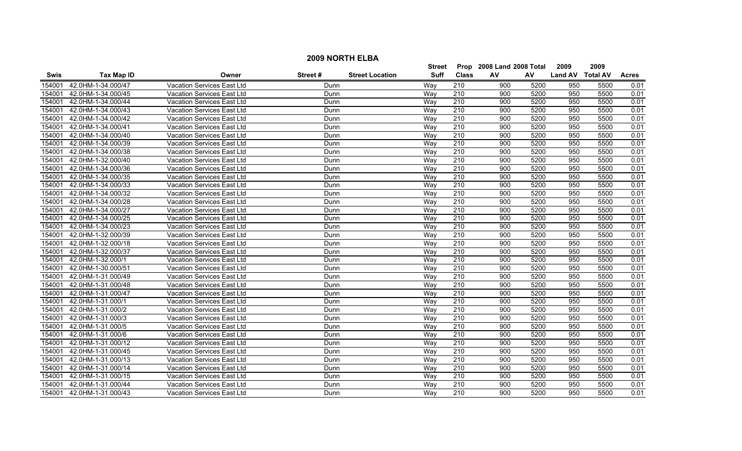|             | <b>2009 NORTH ELBA</b> |                                   |         |                        |             |                  |                           |      |                  |      |              |  |
|-------------|------------------------|-----------------------------------|---------|------------------------|-------------|------------------|---------------------------|------|------------------|------|--------------|--|
|             |                        |                                   |         |                        | Street      |                  | Prop 2008 Land 2008 Total |      | 2009             | 2009 |              |  |
| <b>Swis</b> | <b>Tax Map ID</b>      | Owner                             | Street# | <b>Street Location</b> | <b>Suff</b> | <b>Class</b>     | AV                        | AV   | Land AV Total AV |      | <b>Acres</b> |  |
| 154001      | 42.0HM-1-34.000/47     | Vacation Services East Ltd        | Dunn    |                        | Way         | 210              | 900                       | 5200 | 950              | 5500 | 0.01         |  |
| 154001      | 42.0HM-1-34.000/45     | Vacation Services East Ltd        | Dunn    |                        | Wav         | 210              | 900                       | 5200 | 950              | 5500 | 0.01         |  |
| 154001      | 42.0HM-1-34.000/44     | Vacation Services East Ltd        | Dunn    |                        | Way         | 210              | 900                       | 5200 | 950              | 5500 | 0.01         |  |
| 154001      | 42.0HM-1-34.000/43     | <b>Vacation Services East Ltd</b> | Dunn    |                        | Way         | 210              | 900                       | 5200 | 950              | 5500 | 0.01         |  |
| 154001      | 42.0HM-1-34.000/42     | <b>Vacation Services East Ltd</b> | Dunn    |                        | Way         | 210              | 900                       | 5200 | 950              | 5500 | 0.01         |  |
| 154001      | 42.0HM-1-34.000/41     | Vacation Services East Ltd        | Dunn    |                        | Way         | 210              | 900                       | 5200 | 950              | 5500 | 0.01         |  |
| 154001      | 42.0HM-1-34.000/40     | Vacation Services East Ltd        | Dunn    |                        | Way         | 210              | 900                       | 5200 | 950              | 5500 | 0.01         |  |
| 154001      | 42.0HM-1-34.000/39     | Vacation Services East Ltd        | Dunn    |                        | Way         | 210              | 900                       | 5200 | 950              | 5500 | 0.01         |  |
| 154001      | 42.0HM-1-34.000/38     | Vacation Services East Ltd        | Dunn    |                        | Way         | 210              | 900                       | 5200 | 950              | 5500 | 0.01         |  |
| 154001      | 42.0HM-1-32.000/40     | Vacation Services East Ltd        | Dunn    |                        | Way         | $\overline{210}$ | 900                       | 5200 | 950              | 5500 | 0.01         |  |
| 154001      | 42.0HM-1-34.000/36     | <b>Vacation Services East Ltd</b> | Dunn    |                        | Wav         | $\overline{210}$ | 900                       | 5200 | 950              | 5500 | 0.01         |  |
| 154001      | 42.0HM-1-34.000/35     | <b>Vacation Services East Ltd</b> | Dunn    |                        | Way         | 210              | 900                       | 5200 | 950              | 5500 | 0.01         |  |
| 154001      | 42.0HM-1-34.000/33     | <b>Vacation Services East Ltd</b> | Dunn    |                        | Way         | $\overline{210}$ | 900                       | 5200 | 950              | 5500 | 0.01         |  |
| 154001      | 42.0HM-1-34.000/32     | Vacation Services East Ltd        | Dunn    |                        | Way         | $\overline{210}$ | 900                       | 5200 | 950              | 5500 | 0.01         |  |
| 154001      | 42.0HM-1-34.000/28     | Vacation Services East Ltd        | Dunn    |                        | Way         | $\overline{210}$ | 900                       | 5200 | 950              | 5500 | 0.01         |  |
| 154001      | 42.0HM-1-34.000/27     | Vacation Services East Ltd        | Dunn    |                        | Way         | 210              | $\overline{900}$          | 5200 | 950              | 5500 | 0.01         |  |
| 154001      | 42.0HM-1-34.000/25     | <b>Vacation Services East Ltd</b> | Dunn    |                        | Way         | 210              | 900                       | 5200 | 950              | 5500 | 0.01         |  |
| 154001      | 42.0HM-1-34.000/23     | <b>Vacation Services East Ltd</b> | Dunn    |                        | Wav         | 210              | 900                       | 5200 | 950              | 5500 | 0.01         |  |
| 154001      | 42.0HM-1-32.000/39     | <b>Vacation Services East Ltd</b> | Dunn    |                        | Wav         | 210              | 900                       | 5200 | 950              | 5500 | 0.01         |  |
| 154001      | 42.0HM-1-32.000/18     | Vacation Services East Ltd        | Dunn    |                        | Way         | 210              | 900                       | 5200 | 950              | 5500 | 0.01         |  |
| 154001      | 42.0HM-1-32.000/37     | Vacation Services East Ltd        | Dunn    |                        | Way         | $\overline{210}$ | 900                       | 5200 | 950              | 5500 | 0.01         |  |
| 154001      | 42.0HM-1-32.000/1      | Vacation Services East Ltd        | Dunn    |                        | Way         | 210              | $\overline{900}$          | 5200 | 950              | 5500 | 0.01         |  |
| 154001      | 42.0HM-1-30.000/51     | Vacation Services East Ltd        | Dunn    |                        | Way         | $\overline{210}$ | $\overline{900}$          | 5200 | 950              | 5500 | 0.01         |  |
| 154001      | 42.0HM-1-31.000/49     | <b>Vacation Services East Ltd</b> | Dunn    |                        | Way         | 210              | 900                       | 5200 | 950              | 5500 | 0.01         |  |
| 154001      | 42.0HM-1-31.000/48     | <b>Vacation Services East Ltd</b> | Dunn    |                        | Wav         | 210              | 900                       | 5200 | 950              | 5500 | 0.01         |  |
| 154001      | 42.0HM-1-31.000/47     | <b>Vacation Services East Ltd</b> | Dunn    |                        | Way         | $\overline{210}$ | 900                       | 5200 | 950              | 5500 | 0.01         |  |
| 154001      | 42.0HM-1-31.000/1      | Vacation Services East Ltd        | Dunn    |                        | Way         | $\overline{210}$ | $\overline{900}$          | 5200 | 950              | 5500 | 0.01         |  |
| 154001      | 42.0HM-1-31.000/2      | Vacation Services East Ltd        | Dunn    |                        | Way         | 210              | $\overline{900}$          | 5200 | 950              | 5500 | 0.01         |  |
| 154001      | 42.0HM-1-31.000/3      | Vacation Services East Ltd        | Dunn    |                        | Way         | 210              | 900                       | 5200 | 950              | 5500 | 0.01         |  |
| 154001      | 42.0HM-1-31.000/5      | Vacation Services East Ltd        | Dunn    |                        | Way         | $\overline{210}$ | 900                       | 5200 | 950              | 5500 | 0.01         |  |
| 154001      | 42.0HM-1-31.000/6      | Vacation Services East Ltd        | Dunn    |                        | Wav         | 210              | 900                       | 5200 | 950              | 5500 | 0.01         |  |
| 154001      | 42.0HM-1-31.000/12     | <b>Vacation Services East Ltd</b> | Dunn    |                        | Way         | 210              | 900                       | 5200 | 950              | 5500 | 0.01         |  |
| 154001      | 42.0HM-1-31.000/45     | Vacation Services East Ltd        | Dunn    |                        | Wav         | $\overline{210}$ | 900                       | 5200 | 950              | 5500 | 0.01         |  |
| 154001      | 42.0HM-1-31.000/13     | Vacation Services East Ltd        | Dunn    |                        | Way         | 210              | 900                       | 5200 | 950              | 5500 | 0.01         |  |
| 154001      | 42.0HM-1-31.000/14     | Vacation Services East Ltd        | Dunn    |                        | Way         | $\overline{210}$ | 900                       | 5200 | 950              | 5500 | 0.01         |  |
| 154001      | 42.0HM-1-31.000/15     | Vacation Services East Ltd        | Dunn    |                        | Way         | 210              | 900                       | 5200 | 950              | 5500 | 0.01         |  |
| 154001      | 42.0HM-1-31.000/44     | Vacation Services East Ltd        | Dunn    |                        | Wav         | 210              | 900                       | 5200 | 950              | 5500 | 0.01         |  |
| 154001      | 42.0HM-1-31.000/43     | Vacation Services East Ltd        | Dunn    |                        | Wav         | 210              | 900                       | 5200 | 950              | 5500 | 0.01         |  |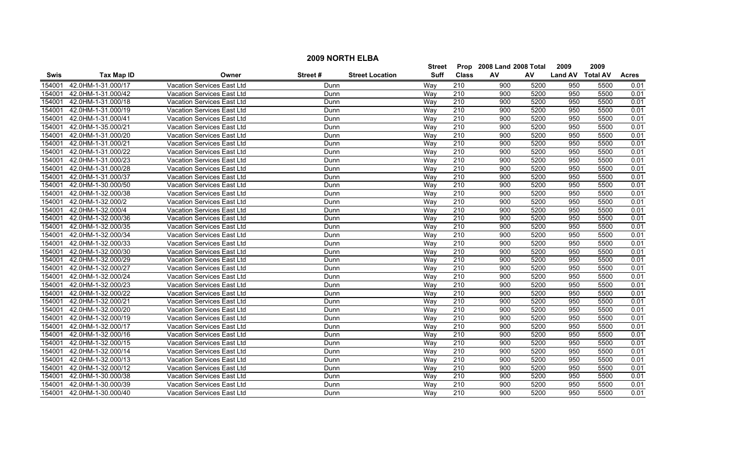|             | <b>2009 NORTH ELBA</b> |                                   |         |                        |               |                  |                           |      |                  |      |              |  |  |
|-------------|------------------------|-----------------------------------|---------|------------------------|---------------|------------------|---------------------------|------|------------------|------|--------------|--|--|
|             |                        |                                   |         |                        | <b>Street</b> |                  | Prop 2008 Land 2008 Total |      | 2009             | 2009 |              |  |  |
| <b>Swis</b> | <b>Tax Map ID</b>      | Owner                             | Street# | <b>Street Location</b> | <b>Suff</b>   | <b>Class</b>     | AV                        | AV   | Land AV Total AV |      | <b>Acres</b> |  |  |
| 154001      | 42.0HM-1-31.000/17     | <b>Vacation Services East Ltd</b> | Dunn    |                        | Way           | 210              | 900                       | 5200 | 950              | 5500 | 0.01         |  |  |
| 154001      | 42.0HM-1-31.000/42     | Vacation Services East Ltd        | Dunn    |                        | Way           | 210              | 900                       | 5200 | 950              | 5500 | 0.01         |  |  |
| 154001      | 42.0HM-1-31.000/18     | Vacation Services East Ltd        | Dunn    |                        | Way           | 210              | 900                       | 5200 | 950              | 5500 | 0.01         |  |  |
| 154001      | 42.0HM-1-31.000/19     | <b>Vacation Services East Ltd</b> | Dunn    |                        | Way           | 210              | 900                       | 5200 | 950              | 5500 | 0.01         |  |  |
| 154001      | 42.0HM-1-31.000/41     | Vacation Services East Ltd        | Dunn    |                        | Way           | 210              | 900                       | 5200 | 950              | 5500 | 0.01         |  |  |
| 154001      | 42.0HM-1-35.000/21     | Vacation Services East Ltd        | Dunn    |                        | Way           | 210              | 900                       | 5200 | 950              | 5500 | 0.01         |  |  |
| 154001      | 42.0HM-1-31.000/20     | Vacation Services East Ltd        | Dunn    |                        | Wav           | 210              | 900                       | 5200 | 950              | 5500 | 0.01         |  |  |
| 154001      | 42.0HM-1-31.000/21     | Vacation Services East Ltd        | Dunn    |                        | Way           | 210              | 900                       | 5200 | 950              | 5500 | 0.01         |  |  |
| 154001      | 42.0HM-1-31.000/22     | Vacation Services East Ltd        | Dunn    |                        | Way           | 210              | 900                       | 5200 | 950              | 5500 | 0.01         |  |  |
| 154001      | 42.0HM-1-31.000/23     | Vacation Services East Ltd        | Dunn    |                        | Way           | $\overline{210}$ | 900                       | 5200 | 950              | 5500 | 0.01         |  |  |
| 154001      | 42.0HM-1-31.000/28     | <b>Vacation Services East Ltd</b> | Dunn    |                        | Way           | $\overline{210}$ | 900                       | 5200 | 950              | 5500 | 0.01         |  |  |
| 154001      | 42.0HM-1-31.000/37     | Vacation Services East Ltd        | Dunn    |                        | Wav           | 210              | 900                       | 5200 | 950              | 5500 | 0.01         |  |  |
| 154001      | 42.0HM-1-30.000/50     | Vacation Services East Ltd        | Dunn    |                        | Way           | $\overline{210}$ | 900                       | 5200 | 950              | 5500 | 0.01         |  |  |
| 154001      | 42.0HM-1-32.000/38     | Vacation Services East Ltd        | Dunn    |                        | Way           | $\overline{210}$ | 900                       | 5200 | 950              | 5500 | 0.01         |  |  |
| 154001      | 42.0HM-1-32.000/2      | Vacation Services East Ltd        | Dunn    |                        | Way           | 210              | 900                       | 5200 | 950              | 5500 | 0.01         |  |  |
| 154001      | 42.0HM-1-32.000/4      | Vacation Services East Ltd        | Dunn    |                        | Way           | 210              | 900                       | 5200 | 950              | 5500 | 0.01         |  |  |
| 154001      | 42.0HM-1-32.000/36     | <b>Vacation Services East Ltd</b> | Dunn    |                        | Way           | 210              | 900                       | 5200 | 950              | 5500 | 0.01         |  |  |
| 154001      | 42.0HM-1-32.000/35     | Vacation Services East Ltd        | Dunn    |                        | Wav           | 210              | 900                       | 5200 | 950              | 5500 | 0.01         |  |  |
| 154001      | 42.0HM-1-32.000/34     | Vacation Services East Ltd        | Dunn    |                        | Wav           | 210              | 900                       | 5200 | 950              | 5500 | 0.01         |  |  |
| 154001      | 42.0HM-1-32.000/33     | Vacation Services East Ltd        | Dunn    |                        | Way           | 210              | 900                       | 5200 | 950              | 5500 | 0.01         |  |  |
| 154001      | 42.0HM-1-32.000/30     | Vacation Services East Ltd        | Dunn    |                        | Way           | 210              | 900                       | 5200 | 950              | 5500 | 0.01         |  |  |
| 154001      | 42.0HM-1-32.000/29     | Vacation Services East Ltd        | Dunn    |                        | Way           | 210              | 900                       | 5200 | 950              | 5500 | 0.01         |  |  |
| 154001      | 42.0HM-1-32.000/27     | Vacation Services East Ltd        | Dunn    |                        | Way           | $\overline{210}$ | 900                       | 5200 | 950              | 5500 | 0.01         |  |  |
| 154001      | 42.0HM-1-32.000/24     | <b>Vacation Services East Ltd</b> | Dunn    |                        | Way           | $\overline{210}$ | 900                       | 5200 | 950              | 5500 | 0.01         |  |  |
| 154001      | 42.0HM-1-32.000/23     | Vacation Services East Ltd        | Dunn    |                        | Wav           | 210              | 900                       | 5200 | 950              | 5500 | 0.01         |  |  |
| 154001      | 42.0HM-1-32.000/22     | <b>Vacation Services East Ltd</b> | Dunn    |                        | Way           | 210              | 900                       | 5200 | 950              | 5500 | 0.01         |  |  |
| 154001      | 42.0HM-1-32.000/21     | Vacation Services East Ltd        | Dunn    |                        | Way           | $\overline{210}$ | 900                       | 5200 | 950              | 5500 | 0.01         |  |  |
| 154001      | 42.0HM-1-32.000/20     | Vacation Services East Ltd        | Dunn    |                        | Way           | 210              | 900                       | 5200 | 950              | 5500 | 0.01         |  |  |
| 154001      | 42.0HM-1-32.000/19     | Vacation Services East Ltd        | Dunn    |                        | Way           | 210              | 900                       | 5200 | 950              | 5500 | 0.01         |  |  |
| 154001      | 42.0HM-1-32.000/17     | Vacation Services East Ltd        | Dunn    |                        | Way           | $\overline{210}$ | 900                       | 5200 | 950              | 5500 | 0.01         |  |  |
| 154001      | 42.0HM-1-32.000/16     | <b>Vacation Services East Ltd</b> | Dunn    |                        | Wav           | 210              | 900                       | 5200 | 950              | 5500 | 0.01         |  |  |
| 154001      | 42.0HM-1-32.000/15     | <b>Vacation Services East Ltd</b> | Dunn    |                        | Way           | 210              | 900                       | 5200 | 950              | 5500 | 0.01         |  |  |
| 154001      | 42.0HM-1-32.000/14     | <b>Vacation Services East Ltd</b> | Dunn    |                        | Way           | 210              | 900                       | 5200 | 950              | 5500 | 0.01         |  |  |
| 154001      | 42.0HM-1-32.000/13     | Vacation Services East Ltd        | Dunn    |                        | Way           | 210              | 900                       | 5200 | 950              | 5500 | 0.01         |  |  |
| 154001      | 42.0HM-1-32.000/12     | Vacation Services East Ltd        | Dunn    |                        | Way           | $\overline{210}$ | 900                       | 5200 | 950              | 5500 | 0.01         |  |  |
| 154001      | 42.0HM-1-30.000/38     | Vacation Services East Ltd        | Dunn    |                        | Way           | 210              | 900                       | 5200 | 950              | 5500 | 0.01         |  |  |
| 154001      | 42.0HM-1-30.000/39     | Vacation Services East Ltd        | Dunn    |                        | Wav           | 210              | 900                       | 5200 | 950              | 5500 | 0.01         |  |  |
| 154001      | 42.0HM-1-30.000/40     | Vacation Services East Ltd        | Dunn    |                        | Wav           | 210              | 900                       | 5200 | 950              | 5500 | 0.01         |  |  |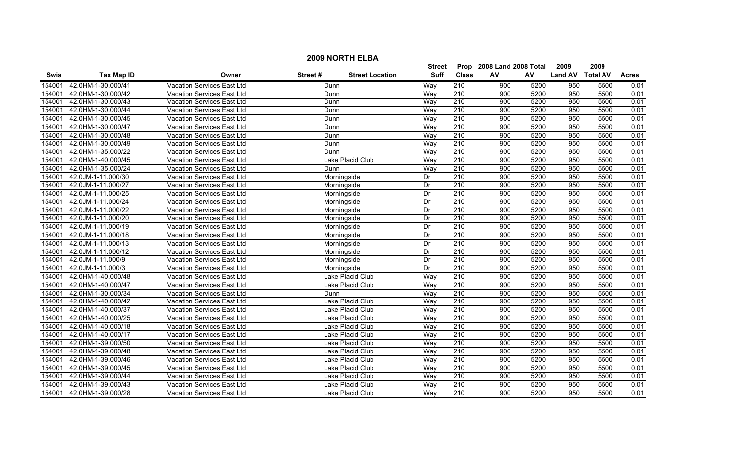|             | <b>2009 NORTH ELBA</b>                                               |                                   |               |                        |                           |                  |      |      |                  |      |              |  |  |
|-------------|----------------------------------------------------------------------|-----------------------------------|---------------|------------------------|---------------------------|------------------|------|------|------------------|------|--------------|--|--|
|             |                                                                      |                                   | <b>Street</b> |                        | Prop 2008 Land 2008 Total |                  | 2009 | 2009 |                  |      |              |  |  |
| <b>Swis</b> | <b>Tax Map ID</b>                                                    | Owner                             | Street#       | <b>Street Location</b> | <b>Suff</b>               | <b>Class</b>     | AV   | AV   | Land AV Total AV |      | <b>Acres</b> |  |  |
| 154001      | 42.0HM-1-30.000/41                                                   | <b>Vacation Services East Ltd</b> | Dunn          |                        | Way                       | $\overline{210}$ | 900  | 5200 | 950              | 5500 | 0.01         |  |  |
| 154001      | 42.0HM-1-30.000/42                                                   | Vacation Services East Ltd        | Dunn          |                        | Way                       | 210              | 900  | 5200 | 950              | 5500 | 0.01         |  |  |
| 154001      | 42.0HM-1-30.000/43                                                   | Vacation Services East Ltd        | Dunn          |                        | Way                       | 210              | 900  | 5200 | 950              | 5500 | 0.01         |  |  |
| 154001      | 42.0HM-1-30.000/44                                                   | <b>Vacation Services East Ltd</b> | Dunn          |                        | Way                       | 210              | 900  | 5200 | 950              | 5500 | 0.01         |  |  |
| 154001      | 42.0HM-1-30.000/45                                                   | Vacation Services East Ltd        | Dunn          |                        | Way                       | 210              | 900  | 5200 | 950              | 5500 | 0.01         |  |  |
| 154001      | 42.0HM-1-30.000/47                                                   | Vacation Services East Ltd        | Dunn          |                        | Way                       | 210              | 900  | 5200 | 950              | 5500 | 0.01         |  |  |
| 154001      | 42.0HM-1-30.000/48                                                   | Vacation Services East Ltd        | Dunn          |                        | Way                       | 210              | 900  | 5200 | 950              | 5500 | 0.01         |  |  |
| 154001      | 42.0HM-1-30.000/49                                                   | Vacation Services East Ltd        | Dunn          |                        | Way                       | 210              | 900  | 5200 | 950              | 5500 | 0.01         |  |  |
| 154001      | 42.0HM-1-35.000/22                                                   | Vacation Services East Ltd        | Dunn          |                        | Way                       | 210              | 900  | 5200 | 950              | 5500 | 0.01         |  |  |
| 154001      | 42.0HM-1-40.000/45<br>Lake Placid Club<br>Vacation Services East Ltd |                                   |               |                        |                           | $\overline{210}$ | 900  | 5200 | 950              | 5500 | 0.01         |  |  |
| 154001      | 42.0HM-1-35.000/24<br><b>Vacation Services East Ltd</b><br>Dunn      |                                   |               |                        |                           | $\overline{210}$ | 900  | 5200 | 950              | 5500 | 0.01         |  |  |
| 154001      | 42.0JM-1-11.000/30                                                   | Vacation Services East Ltd        |               | Morningside            | Dr                        | 210              | 900  | 5200 | 950              | 5500 | 0.01         |  |  |
| 154001      | 42.0JM-1-11.000/27                                                   | Vacation Services East Ltd        |               | Morningside            | Dr                        | $\overline{210}$ | 900  | 5200 | 950              | 5500 | 0.01         |  |  |
| 154001      | 42.0JM-1-11.000/25                                                   | Vacation Services East Ltd        |               | Morningside            | Dr                        | $\overline{210}$ | 900  | 5200 | 950              | 5500 | 0.01         |  |  |
| 154001      | 42.0JM-1-11.000/24                                                   | Vacation Services East Ltd        |               | Morningside            | Dr                        | 210              | 900  | 5200 | 950              | 5500 | 0.01         |  |  |
| 154001      | 42.0JM-1-11.000/22                                                   | Vacation Services East Ltd        |               | Morningside            | Dr                        | 210              | 900  | 5200 | 950              | 5500 | 0.01         |  |  |
| 154001      | 42.0JM-1-11.000/20                                                   | <b>Vacation Services East Ltd</b> |               | Morningside            | Dr                        | 210              | 900  | 5200 | 950              | 5500 | 0.01         |  |  |
| 154001      | 42.0JM-1-11.000/19                                                   | <b>Vacation Services East Ltd</b> |               | Morningside            | Dr                        | 210              | 900  | 5200 | 950              | 5500 | 0.01         |  |  |
| 154001      | 42.0JM-1-11.000/18                                                   | Vacation Services East Ltd        |               | Morningside            | Dr                        | 210              | 900  | 5200 | 950              | 5500 | 0.01         |  |  |
| 154001      | 42.0JM-1-11.000/13                                                   | Vacation Services East Ltd        |               | Morningside            | Dr                        | 210              | 900  | 5200 | 950              | 5500 | 0.01         |  |  |
| 154001      | 42.0JM-1-11.000/12                                                   | Vacation Services East Ltd        |               | Morningside            | Dr                        | 210              | 900  | 5200 | 950              | 5500 | 0.01         |  |  |
| 154001      | 42.0JM-1-11.000/9                                                    | Vacation Services East Ltd        |               | Morningside            | Dr                        | 210              | 900  | 5200 | 950              | 5500 | 0.01         |  |  |
| 154001      | 42.0JM-1-11.000/3                                                    | Vacation Services East Ltd        |               | Morningside            | Dr                        | 210              | 900  | 5200 | 950              | 5500 | 0.01         |  |  |
| 154001      | 42.0HM-1-40.000/48                                                   | <b>Vacation Services East Ltd</b> |               | Lake Placid Club       | Way                       | $\overline{210}$ | 900  | 5200 | 950              | 5500 | 0.01         |  |  |
| 154001      | 42.0HM-1-40.000/47                                                   | Vacation Services East Ltd        |               | Lake Placid Club       | Wav                       | 210              | 900  | 5200 | 950              | 5500 | 0.01         |  |  |
| 154001      | 42.0HM-1-30.000/34                                                   | Vacation Services East Ltd        | Dunn          |                        | Way                       | 210              | 900  | 5200 | 950              | 5500 | 0.01         |  |  |
| 154001      | 42.0HM-1-40.000/42                                                   | Vacation Services East Ltd        |               | Lake Placid Club       | Way                       | $\overline{210}$ | 900  | 5200 | 950              | 5500 | 0.01         |  |  |
| 154001      | 42.0HM-1-40.000/37                                                   | Vacation Services East Ltd        |               | Lake Placid Club       | Way                       | 210              | 900  | 5200 | 950              | 5500 | 0.01         |  |  |
| 154001      | 42.0HM-1-40.000/25                                                   | Vacation Services East Ltd        |               | Lake Placid Club       | Way                       | 210              | 900  | 5200 | 950              | 5500 | 0.01         |  |  |
| 154001      | 42.0HM-1-40.000/18                                                   | Vacation Services East Ltd        |               | Lake Placid Club       | Way                       | $\overline{210}$ | 900  | 5200 | 950              | 5500 | 0.01         |  |  |
| 154001      | 42.0HM-1-40.000/17                                                   | <b>Vacation Services East Ltd</b> |               | Lake Placid Club       | Wav                       | 210              | 900  | 5200 | 950              | 5500 | 0.01         |  |  |
| 154001      | 42.0HM-1-39.000/50                                                   | <b>Vacation Services East Ltd</b> |               | Lake Placid Club       | Way                       | 210              | 900  | 5200 | 950              | 5500 | 0.01         |  |  |
| 154001      | 42.0HM-1-39.000/48                                                   | <b>Vacation Services East Ltd</b> |               | Lake Placid Club       | Way                       | 210              | 900  | 5200 | 950              | 5500 | 0.01         |  |  |
| 154001      | 42.0HM-1-39.000/46                                                   | Vacation Services East Ltd        |               | Lake Placid Club       | Way                       | 210              | 900  | 5200 | 950              | 5500 | 0.01         |  |  |
| 154001      | 42.0HM-1-39.000/45                                                   | Vacation Services East Ltd        |               | Lake Placid Club       | Way                       | $\overline{210}$ | 900  | 5200 | 950              | 5500 | 0.01         |  |  |
| 154001      | 42.0HM-1-39.000/44                                                   | Vacation Services East Ltd        |               | Lake Placid Club       | Way                       | 210              | 900  | 5200 | 950              | 5500 | 0.01         |  |  |
| 154001      | 42.0HM-1-39.000/43                                                   | Vacation Services East Ltd        |               | Lake Placid Club       | Way                       | 210              | 900  | 5200 | 950              | 5500 | 0.01         |  |  |
| 154001      | 42.0HM-1-39.000/28                                                   | Vacation Services East Ltd        |               | Lake Placid Club       | Wav                       | 210              | 900  | 5200 | 950              | 5500 | 0.01         |  |  |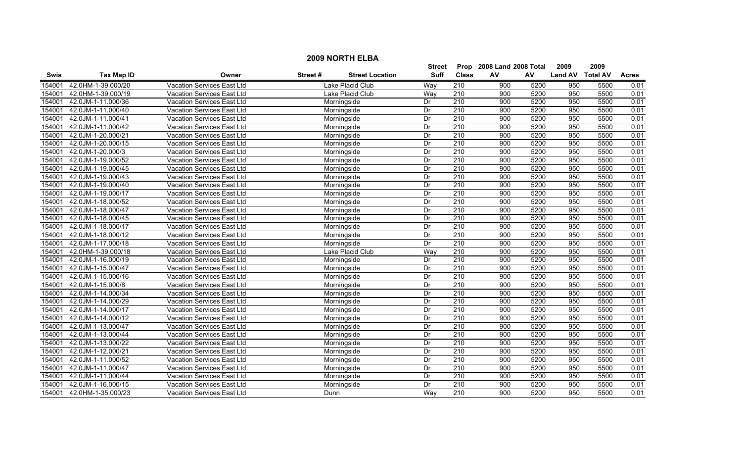|        | <b>2009 NORTH ELBA</b>                                   |                                           |         |                        |             |                           |                  |      |                  |      |              |  |
|--------|----------------------------------------------------------|-------------------------------------------|---------|------------------------|-------------|---------------------------|------------------|------|------------------|------|--------------|--|
|        |                                                          |                                           |         | Street                 |             | Prop 2008 Land 2008 Total |                  | 2009 | 2009             |      |              |  |
| Swis   | <b>Tax Map ID</b><br>Owner<br>Vacation Services East Ltd |                                           | Street# | <b>Street Location</b> | <b>Suff</b> | <b>Class</b>              | AV               | AV   | Land AV Total AV |      | <b>Acres</b> |  |
| 154001 | 42.0HM-1-39.000/20                                       |                                           |         | Lake Placid Club       | Way         | 210                       | 900              | 5200 | 950              | 5500 | 0.01         |  |
| 154001 | 42.0HM-1-39.000/19                                       | Vacation Services East Ltd                |         | Lake Placid Club       | Way         | 210                       | 900              | 5200 | 950              | 5500 | 0.01         |  |
| 154001 | 42.0JM-1-11.000/36                                       | Vacation Services East Ltd                |         | Morningside            | Dr          | 210                       | 900              | 5200 | 950              | 5500 | 0.01         |  |
| 154001 | 42.0JM-1-11.000/40                                       | <b>Vacation Services East Ltd</b>         |         | Morningside            | Dr          | 210                       | 900              | 5200 | 950              | 5500 | 0.01         |  |
| 154001 | 42.0JM-1-11.000/41                                       | Vacation Services East Ltd                |         | Morningside            | Dr          | 210                       | 900              | 5200 | 950              | 5500 | 0.01         |  |
| 154001 | 42.0JM-1-11.000/42                                       | Vacation Services East Ltd                |         | Morningside            | Dr          | 210                       | 900              | 5200 | 950              | 5500 | 0.01         |  |
| 154001 | 42.0JM-1-20.000/21                                       | Vacation Services East Ltd                |         | Morningside            | Dr          | 210                       | 900              | 5200 | 950              | 5500 | 0.01         |  |
| 154001 | 42.0JM-1-20.000/15                                       | Vacation Services East Ltd                |         | Morningside            | Dr          | 210                       | 900              | 5200 | 950              | 5500 | 0.01         |  |
| 154001 | 42.0JM-1-20.000/3                                        | Vacation Services East Ltd<br>Morningside |         |                        |             | 210                       | $\overline{900}$ | 5200 | 950              | 5500 | 0.01         |  |
| 154001 | 42.0JM-1-19.000/52                                       | Vacation Services East Ltd                |         | Morningside            | Dr          | $\overline{210}$          | 900              | 5200 | 950              | 5500 | 0.01         |  |
| 154001 | 42.0JM-1-19.000/45                                       | Vacation Services East Ltd                |         | Morningside            | Dr          | 210                       | 900              | 5200 | 950              | 5500 | 0.01         |  |
| 154001 | 42.0JM-1-19.000/43                                       | Vacation Services East Ltd                |         | Morningside            | Dr          | 210                       | 900              | 5200 | 950              | 5500 | 0.01         |  |
| 154001 | 42.0JM-1-19.000/40                                       | Vacation Services East Ltd                |         | Morningside            | Dr          | $\overline{210}$          | 900              | 5200 | 950              | 5500 | 0.01         |  |
| 154001 | 42.0JM-1-19.000/17                                       | Vacation Services East Ltd                |         | Morningside            | Dr          | $\overline{210}$          | 900              | 5200 | 950              | 5500 | 0.01         |  |
| 154001 | 42.0JM-1-18.000/52                                       | Vacation Services East Ltd                |         | Morningside            | Dr          | $\overline{210}$          | 900              | 5200 | 950              | 5500 | 0.01         |  |
| 154001 | 42.0JM-1-18.000/47                                       | Vacation Services East Ltd                |         | Morningside            | Dr          | 210                       | $\overline{900}$ | 5200 | 950              | 5500 | 0.01         |  |
| 154001 | 42.0JM-1-18.000/45                                       | Vacation Services East Ltd                |         | Morningside            | Dr          | 210                       | 900              | 5200 | 950              | 5500 | 0.01         |  |
| 154001 | 42.0JM-1-18.000/17                                       | Vacation Services East Ltd                |         | Morningside            | Dr          | 210                       | 900              | 5200 | 950              | 5500 | 0.01         |  |
| 154001 | 42.0JM-1-18.000/12                                       | Vacation Services East Ltd                |         | Morningside            | Dr          | 210                       | 900              | 5200 | 950              | 5500 | 0.01         |  |
| 154001 | 42.0JM-1-17.000/18                                       | Vacation Services East Ltd                |         | Morningside            | Dr          | 210                       | 900              | 5200 | 950              | 5500 | 0.01         |  |
| 154001 | 42.0HM-1-39.000/18                                       | Vacation Services East Ltd                |         | Lake Placid Club       | Way         | $\overline{210}$          | 900              | 5200 | 950              | 5500 | 0.01         |  |
| 154001 | 42.0JM-1-16.000/19                                       | Vacation Services East Ltd                |         | Morningside            | Dr          | 210                       | $\overline{900}$ | 5200 | 950              | 5500 | 0.01         |  |
| 154001 | 42.0JM-1-15.000/47                                       | Vacation Services East Ltd                |         | Morningside            | Dr          | $\overline{210}$          | 900              | 5200 | 950              | 5500 | 0.01         |  |
| 154001 | 42.0JM-1-15.000/16                                       | Vacation Services East Ltd                |         | Morningside            | Dr          | $\overline{210}$          | 900              | 5200 | 950              | 5500 | 0.01         |  |
| 154001 | 42.0JM-1-15.000/8                                        | Vacation Services East Ltd                |         | Morningside            | Dr          | 210                       | 900              | 5200 | 950              | 5500 | 0.01         |  |
| 154001 | 42.0JM-1-14.000/34                                       | Vacation Services East Ltd                |         | Morningside            | Dr          | 210                       | 900              | 5200 | 950              | 5500 | 0.01         |  |
| 154001 | 42.0JM-1-14.000/29                                       | Vacation Services East Ltd                |         | Morningside            | Dr          | 210                       | $\overline{900}$ | 5200 | 950              | 5500 | 0.01         |  |
| 154001 | 42.0JM-1-14.000/17                                       | Vacation Services East Ltd                |         | Morningside            | Dr          | 210                       | $\overline{900}$ | 5200 | 950              | 5500 | 0.01         |  |
| 154001 | 42.0JM-1-14.000/12                                       | Vacation Services East Ltd                |         | Morningside            | Dr          | 210                       | 900              | 5200 | 950              | 5500 | 0.01         |  |
| 154001 | 42.0JM-1-13.000/47                                       | Vacation Services East Ltd                |         | Morningside            | Dr          | $\overline{210}$          | 900              | 5200 | 950              | 5500 | 0.01         |  |
| 154001 | 42.0JM-1-13.000/44                                       | Vacation Services East Ltd                |         | Morningside            | Dr          | 210                       | 900              | 5200 | 950              | 5500 | 0.01         |  |
| 154001 | 42.0JM-1-13.000/22                                       | <b>Vacation Services East Ltd</b>         |         | Morningside            | Dr          | 210                       | 900              | 5200 | 950              | 5500 | 0.01         |  |
| 154001 | 42.0JM-1-12.000/21                                       | <b>Vacation Services East Ltd</b>         |         | Morningside            | Dr          | 210                       | 900              | 5200 | 950              | 5500 | 0.01         |  |
| 154001 | 42.0JM-1-11.000/52                                       | Vacation Services East Ltd                |         | Morningside            | Dr          | 210                       | 900              | 5200 | 950              | 5500 | 0.01         |  |
| 154001 | 42.0JM-1-11.000/47                                       | Vacation Services East Ltd                |         | Morningside            | Dr          | $\overline{210}$          | 900              | 5200 | 950              | 5500 | 0.01         |  |
| 154001 | 42.0JM-1-11.000/44                                       | Vacation Services East Ltd                |         | Morningside            | Dr          | 210                       | 900              | 5200 | 950              | 5500 | 0.01         |  |
| 154001 | 42.0JM-1-16.000/15                                       | Vacation Services East Ltd                |         | Morningside            | Dr          | $\overline{210}$          | 900              | 5200 | 950              | 5500 | 0.01         |  |
| 154001 | 42.0HM-1-35.000/23                                       | Vacation Services East Ltd                | Dunn    |                        | Wav         | 210                       | 900              | 5200 | 950              | 5500 | 0.01         |  |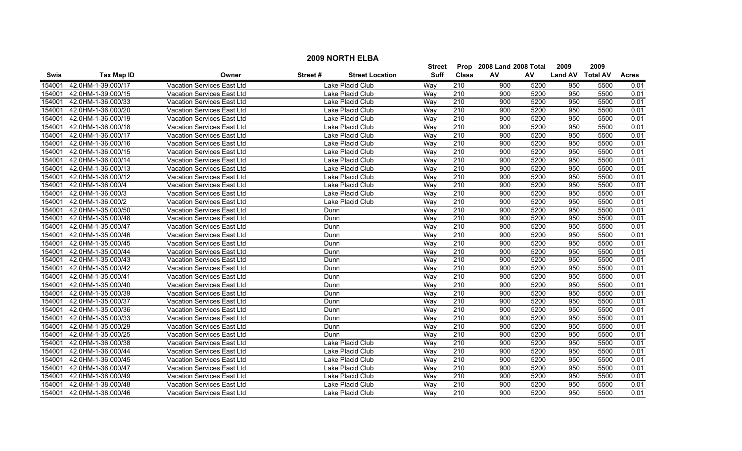|             | <b>2009 NORTH ELBA</b>    |                                   |         |                        |             |                           |     |      |                  |      |              |  |
|-------------|---------------------------|-----------------------------------|---------|------------------------|-------------|---------------------------|-----|------|------------------|------|--------------|--|
|             |                           |                                   |         | <b>Street</b>          |             | Prop 2008 Land 2008 Total |     | 2009 | 2009             |      |              |  |
| <b>Swis</b> | <b>Tax Map ID</b>         | Owner                             | Street# | <b>Street Location</b> | <b>Suff</b> | <b>Class</b>              | AV  | AV   | Land AV Total AV |      | <b>Acres</b> |  |
| 154001      | 42.0HM-1-39.000/17        | Vacation Services East Ltd        |         | Lake Placid Club       | Way         | 210                       | 900 | 5200 | 950              | 5500 | 0.01         |  |
| 154001      | 42.0HM-1-39.000/15        | Vacation Services East Ltd        |         | Lake Placid Club       | Way         | 210                       | 900 | 5200 | 950              | 5500 | 0.01         |  |
| 154001      | 42.0HM-1-36.000/33        | Vacation Services East Ltd        |         | Lake Placid Club       | Way         | 210                       | 900 | 5200 | 950              | 5500 | 0.01         |  |
| 154001      | 42.0HM-1-36.000/20        | Vacation Services East Ltd        |         | Lake Placid Club       | Way         | 210                       | 900 | 5200 | 950              | 5500 | 0.01         |  |
| 154001      | 42.0HM-1-36.000/19        | Vacation Services East Ltd        |         | Lake Placid Club       | Way         | 210                       | 900 | 5200 | 950              | 5500 | 0.01         |  |
| 154001      | 42.0HM-1-36.000/18        | Vacation Services East Ltd        |         | Lake Placid Club       | Way         | 210                       | 900 | 5200 | 950              | 5500 | 0.01         |  |
| 154001      | 42.0HM-1-36.000/17        | Vacation Services East Ltd        |         | Lake Placid Club       | Way         | 210                       | 900 | 5200 | 950              | 5500 | 0.01         |  |
| 154001      | 42.0HM-1-36.000/16        | Vacation Services East Ltd        |         | Lake Placid Club       | Way         | 210                       | 900 | 5200 | 950              | 5500 | 0.01         |  |
| 154001      | 42.0HM-1-36.000/15        | Vacation Services East Ltd        |         | Lake Placid Club       | Way         | $\overline{210}$          | 900 | 5200 | 950              | 5500 | 0.01         |  |
| 154001      | 42.0HM-1-36.000/14        | Vacation Services East Ltd        |         | Lake Placid Club       | Way         | $\overline{210}$          | 900 | 5200 | 950              | 5500 | 0.01         |  |
| 154001      | 42.0HM-1-36.000/13        | Vacation Services East Ltd        |         | Lake Placid Club       | Way         | $\overline{210}$          | 900 | 5200 | 950              | 5500 | 0.01         |  |
| 154001      | 42.0HM-1-36.000/12        | Vacation Services East Ltd        |         | Lake Placid Club       | Way         | 210                       | 900 | 5200 | 950              | 5500 | 0.01         |  |
| 154001      | 42.0HM-1-36.000/4         | Vacation Services East Ltd        |         | Lake Placid Club       | Way         | $\overline{210}$          | 900 | 5200 | 950              | 5500 | 0.01         |  |
| 154001      | 42.0HM-1-36.000/3         | Vacation Services East Ltd        |         | Lake Placid Club       | Way         | $\overline{210}$          | 900 | 5200 | 950              | 5500 | 0.01         |  |
| 154001      | 42.0HM-1-36.000/2         | Vacation Services East Ltd        |         | Lake Placid Club       | Way         | $\overline{210}$          | 900 | 5200 | 950              | 5500 | 0.01         |  |
| 154001      | 42.0HM-1-35.000/50        | Vacation Services East Ltd        | Dunn    |                        | Way         | 210                       | 900 | 5200 | 950              | 5500 | 0.01         |  |
| 154001      | 42.0HM-1-35.000/48        | Vacation Services East Ltd        | Dunn    |                        | Wav         | 210                       | 900 | 5200 | 950              | 5500 | 0.01         |  |
| 154001      | 42.0HM-1-35.000/47        | Vacation Services East Ltd        | Dunn    |                        | Wav         | 210                       | 900 | 5200 | 950              | 5500 | 0.01         |  |
| 154001      | 42.0HM-1-35.000/46        | Vacation Services East Ltd        | Dunn    |                        | Way         | 210                       | 900 | 5200 | 950              | 5500 | 0.01         |  |
| 154001      | 42.0HM-1-35.000/45        | Vacation Services East Ltd        | Dunn    |                        | Way         | 210                       | 900 | 5200 | 950              | 5500 | 0.01         |  |
| 154001      | 42.0HM-1-35.000/44        | Vacation Services East Ltd        | Dunn    |                        | Way         | $\overline{210}$          | 900 | 5200 | 950              | 5500 | 0.01         |  |
| 154001      | 42.0HM-1-35.000/43        | Vacation Services East Ltd        | Dunn    |                        | Way         | 210                       | 900 | 5200 | 950              | 5500 | 0.01         |  |
| 154001      | 42.0HM-1-35.000/42        | Vacation Services East Ltd        | Dunn    |                        | Way         | $\overline{210}$          | 900 | 5200 | 950              | 5500 | 0.01         |  |
| 154001      | 42.0HM-1-35.000/41        | Vacation Services East Ltd        | Dunn    |                        | Wav         | 210                       | 900 | 5200 | 950              | 5500 | 0.01         |  |
| 154001      | 42.0HM-1-35.000/40        | Vacation Services East Ltd        | Dunn    |                        | Wav         | 210                       | 900 | 5200 | 950              | 5500 | 0.01         |  |
| 154001      | 42.0HM-1-35.000/39        | <b>Vacation Services East Ltd</b> | Dunn    |                        | Wav         | $\overline{210}$          | 900 | 5200 | 950              | 5500 | 0.01         |  |
| 154001      | 42.0HM-1-35.000/37        | Vacation Services East Ltd        | Dunn    |                        | Way         | $\overline{210}$          | 900 | 5200 | 950              | 5500 | 0.01         |  |
| 154001      | 42.0HM-1-35.000/36        | Vacation Services East Ltd        | Dunn    |                        | Way         | $\overline{210}$          | 900 | 5200 | 950              | 5500 | 0.01         |  |
| 154001      | 42.0HM-1-35.000/33        | Vacation Services East Ltd        | Dunn    |                        | Way         | 210                       | 900 | 5200 | 950              | 5500 | 0.01         |  |
| 154001      | 42.0HM-1-35.000/29        | Vacation Services East Ltd        | Dunn    |                        | Way         | 210                       | 900 | 5200 | 950              | 5500 | 0.01         |  |
| 154001      | 42.0HM-1-35.000/25        | Vacation Services East Ltd        | Dunn    |                        | Wav         | 210                       | 900 | 5200 | 950              | 5500 | 0.01         |  |
| 154001      | 42.0HM-1-36.000/38        | <b>Vacation Services East Ltd</b> |         | Lake Placid Club       | Way         | 210                       | 900 | 5200 | 950              | 5500 | 0.01         |  |
| 154001      | 42.0HM-1-36.000/44        | <b>Vacation Services East Ltd</b> |         | Lake Placid Club       | Way         | 210                       | 900 | 5200 | 950              | 5500 | 0.01         |  |
| 154001      | 42.0HM-1-36.000/45        | Vacation Services East Ltd        |         | Lake Placid Club       | Way         | $\overline{210}$          | 900 | 5200 | 950              | 5500 | 0.01         |  |
| 154001      | 42.0HM-1-36.000/47        | Vacation Services East Ltd        |         | Lake Placid Club       | Way         | 210                       | 900 | 5200 | 950              | 5500 | 0.01         |  |
| 154001      | 42.0HM-1-38.000/49        | Vacation Services East Ltd        |         | Lake Placid Club       | Way         | 210                       | 900 | 5200 | 950              | 5500 | 0.01         |  |
| 154001      | 42.0HM-1-38.000/48        | Vacation Services East Ltd        |         | Lake Placid Club       | Way         | 210                       | 900 | 5200 | 950              | 5500 | 0.01         |  |
|             | 154001 42.0HM-1-38.000/46 | Vacation Services East Ltd        |         | Lake Placid Club       | Way         | 210                       | 900 | 5200 | 950              | 5500 | 0.01         |  |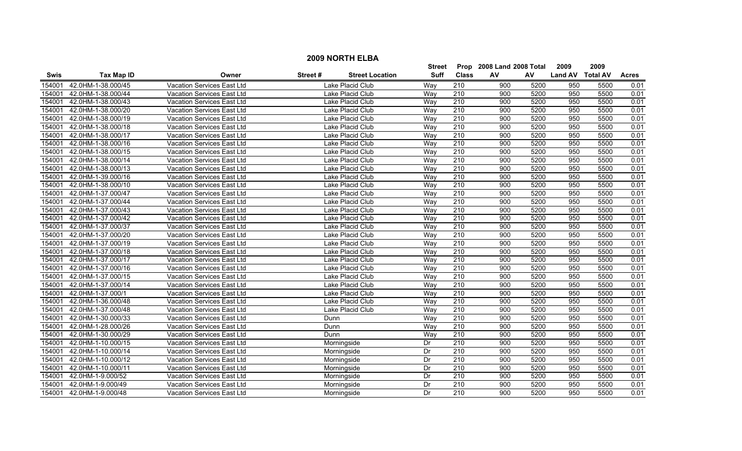|        | <b>2009 NORTH ELBA</b>   |                                   |         |                        |             |                           |     |      |                  |      |              |  |
|--------|--------------------------|-----------------------------------|---------|------------------------|-------------|---------------------------|-----|------|------------------|------|--------------|--|
|        |                          |                                   |         | <b>Street</b>          |             | Prop 2008 Land 2008 Total |     | 2009 | 2009             |      |              |  |
| Swis   | <b>Tax Map ID</b>        | Owner                             | Street# | <b>Street Location</b> | <b>Suff</b> | <b>Class</b>              | AV  | AV   | Land AV Total AV |      | <b>Acres</b> |  |
| 154001 | 42.0HM-1-38.000/45       | Vacation Services East Ltd        |         | Lake Placid Club       | Way         | 210                       | 900 | 5200 | 950              | 5500 | 0.01         |  |
| 154001 | 42.0HM-1-38.000/44       | Vacation Services East Ltd        |         | Lake Placid Club       | Way         | 210                       | 900 | 5200 | 950              | 5500 | 0.01         |  |
| 154001 | 42.0HM-1-38.000/43       | Vacation Services East Ltd        |         | Lake Placid Club       | Way         | 210                       | 900 | 5200 | 950              | 5500 | 0.01         |  |
| 154001 | 42.0HM-1-38.000/20       | Vacation Services East Ltd        |         | Lake Placid Club       | Way         | 210                       | 900 | 5200 | 950              | 5500 | 0.01         |  |
| 154001 | 42.0HM-1-38.000/19       | Vacation Services East Ltd        |         | Lake Placid Club       | Way         | 210                       | 900 | 5200 | 950              | 5500 | 0.01         |  |
| 154001 | 42.0HM-1-38.000/18       | Vacation Services East Ltd        |         | Lake Placid Club       | Way         | 210                       | 900 | 5200 | 950              | 5500 | 0.01         |  |
| 154001 | 42.0HM-1-38.000/17       | Vacation Services East Ltd        |         | Lake Placid Club       | Way         | 210                       | 900 | 5200 | 950              | 5500 | 0.01         |  |
| 154001 | 42.0HM-1-38.000/16       | Vacation Services East Ltd        |         | Lake Placid Club       | Way         | 210                       | 900 | 5200 | 950              | 5500 | 0.01         |  |
| 154001 | 42.0HM-1-38.000/15       | Vacation Services East Ltd        |         | Lake Placid Club       | Way         | $\overline{210}$          | 900 | 5200 | 950              | 5500 | 0.01         |  |
| 154001 | 42.0HM-1-38.000/14       | Vacation Services East Ltd        |         | Lake Placid Club       | Way         | 210                       | 900 | 5200 | 950              | 5500 | 0.01         |  |
| 154001 | 42.0HM-1-38.000/13       | Vacation Services East Ltd        |         | Lake Placid Club       | Way         | $\overline{210}$          | 900 | 5200 | 950              | 5500 | 0.01         |  |
| 154001 | 42.0HM-1-39.000/16       | Vacation Services East Ltd        |         | Lake Placid Club       | Way         | 210                       | 900 | 5200 | 950              | 5500 | 0.01         |  |
| 154001 | 42.0HM-1-38.000/10       | Vacation Services East Ltd        |         | Lake Placid Club       | Way         | $\overline{210}$          | 900 | 5200 | 950              | 5500 | 0.01         |  |
| 154001 | 42.0HM-1-37.000/47       | Vacation Services East Ltd        |         | Lake Placid Club       | Way         | $\overline{210}$          | 900 | 5200 | 950              | 5500 | 0.01         |  |
| 154001 | 42.0HM-1-37.000/44       | Vacation Services East Ltd        |         | Lake Placid Club       | Way         | $\overline{210}$          | 900 | 5200 | 950              | 5500 | 0.01         |  |
| 154001 | 42.0HM-1-37.000/43       | Vacation Services East Ltd        |         | Lake Placid Club       | Way         | 210                       | 900 | 5200 | 950              | 5500 | 0.01         |  |
| 154001 | 42.0HM-1-37.000/42       | Vacation Services East Ltd        |         | Lake Placid Club       | Way         | 210                       | 900 | 5200 | 950              | 5500 | 0.01         |  |
| 154001 | 42.0HM-1-37.000/37       | Vacation Services East Ltd        |         | Lake Placid Club       | Way         | 210                       | 900 | 5200 | 950              | 5500 | 0.01         |  |
| 154001 | 42.0HM-1-37.000/20       | Vacation Services East Ltd        |         | Lake Placid Club       | Way         | 210                       | 900 | 5200 | 950              | 5500 | 0.01         |  |
| 154001 | 42.0HM-1-37.000/19       | Vacation Services East Ltd        |         | Lake Placid Club       | Way         | 210                       | 900 | 5200 | 950              | 5500 | 0.01         |  |
| 154001 | 42.0HM-1-37.000/18       | Vacation Services East Ltd        |         | Lake Placid Club       | Way         | $\overline{210}$          | 900 | 5200 | 950              | 5500 | 0.01         |  |
| 154001 | 42.0HM-1-37.000/17       | Vacation Services East Ltd        |         | Lake Placid Club       | Way         | 210                       | 900 | 5200 | 950              | 5500 | 0.01         |  |
| 154001 | 42.0HM-1-37.000/16       | Vacation Services East Ltd        |         | Lake Placid Club       | Way         | 210                       | 900 | 5200 | 950              | 5500 | 0.01         |  |
| 154001 | 42.0HM-1-37.000/15       | Vacation Services East Ltd        |         | Lake Placid Club       | Way         | 210                       | 900 | 5200 | 950              | 5500 | 0.01         |  |
| 154001 | 42.0HM-1-37.000/14       | Vacation Services East Ltd        |         | Lake Placid Club       | Way         | 210                       | 900 | 5200 | 950              | 5500 | 0.01         |  |
| 154001 | 42.0HM-1-37.000/1        | <b>Vacation Services East Ltd</b> |         | Lake Placid Club       | Way         | $\overline{210}$          | 900 | 5200 | 950              | 5500 | 0.01         |  |
| 154001 | 42.0HM-1-36.000/48       | Vacation Services East Ltd        |         | Lake Placid Club       | Way         | $\overline{210}$          | 900 | 5200 | 950              | 5500 | 0.01         |  |
| 154001 | 42.0HM-1-37.000/48       | Vacation Services East Ltd        |         | Lake Placid Club       | Way         | $\overline{210}$          | 900 | 5200 | 950              | 5500 | 0.01         |  |
| 154001 | 42.0HM-1-30.000/33       | Vacation Services East Ltd        | Dunn    |                        | Way         | 210                       | 900 | 5200 | 950              | 5500 | 0.01         |  |
| 154001 | 42.0HM-1-28.000/26       | Vacation Services East Ltd        | Dunn    |                        | Way         | 210                       | 900 | 5200 | 950              | 5500 | 0.01         |  |
| 154001 | 42.0HM-1-30.000/29       | Vacation Services East Ltd        | Dunn    |                        | Wav         | 210                       | 900 | 5200 | 950              | 5500 | 0.01         |  |
| 154001 | 42.0HM-1-10.000/15       | Vacation Services East Ltd        |         | Morningside            | Dr          | 210                       | 900 | 5200 | 950              | 5500 | 0.01         |  |
| 154001 | 42.0HM-1-10.000/14       | Vacation Services East Ltd        |         | Morningside            | Dr          | 210                       | 900 | 5200 | 950              | 5500 | 0.01         |  |
| 154001 | 42.0HM-1-10.000/12       | Vacation Services East Ltd        |         | Morningside            | Dr          | 210                       | 900 | 5200 | 950              | 5500 | 0.01         |  |
| 154001 | 42.0HM-1-10.000/11       | Vacation Services East Ltd        |         | Morningside            | Dr          | $\overline{210}$          | 900 | 5200 | 950              | 5500 | 0.01         |  |
| 154001 | 42.0HM-1-9.000/52        | Vacation Services East Ltd        |         | Morningside            | Dr          | 210                       | 900 | 5200 | 950              | 5500 | 0.01         |  |
| 154001 | 42.0HM-1-9.000/49        | Vacation Services East Ltd        |         | Morningside            | Dr          | 210                       | 900 | 5200 | 950              | 5500 | 0.01         |  |
|        | 154001 42.0HM-1-9.000/48 | Vacation Services East Ltd        |         | Morninaside            | Dr          | 210                       | 900 | 5200 | 950              | 5500 | 0.01         |  |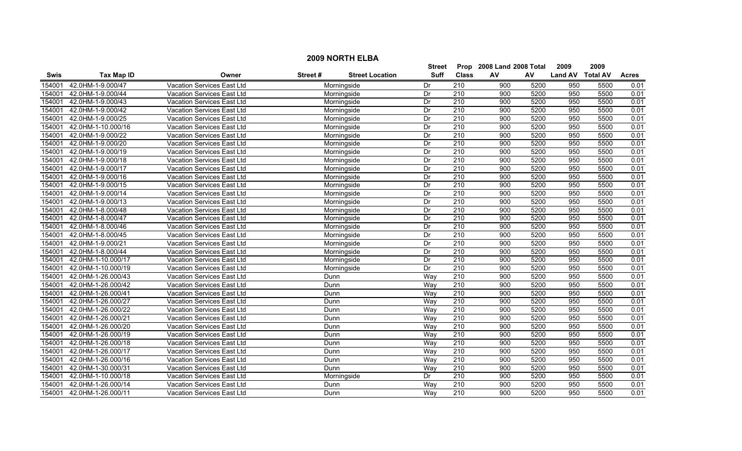|             | <b>2009 NORTH ELBA</b> |                                           |             |                        |               |                  |                           |      |                  |      |              |  |  |
|-------------|------------------------|-------------------------------------------|-------------|------------------------|---------------|------------------|---------------------------|------|------------------|------|--------------|--|--|
|             |                        |                                           |             |                        | <b>Street</b> |                  | Prop 2008 Land 2008 Total |      | 2009             | 2009 |              |  |  |
| <b>Swis</b> | <b>Tax Map ID</b>      | Owner                                     | Street#     | <b>Street Location</b> | <b>Suff</b>   | <b>Class</b>     | AV                        | AV   | Land AV Total AV |      | <b>Acres</b> |  |  |
| 154001      | 42.0HM-1-9.000/47      | <b>Vacation Services East Ltd</b>         |             | Morningside            | Dr            | $\overline{210}$ | 900                       | 5200 | 950              | 5500 | 0.01         |  |  |
| 154001      | 42.0HM-1-9.000/44      | Vacation Services East Ltd                |             | Morningside            | Dr            | 210              | 900                       | 5200 | 950              | 5500 | 0.01         |  |  |
| 154001      | 42.0HM-1-9.000/43      | Vacation Services East Ltd                |             | Morningside            | Dr            | 210              | 900                       | 5200 | 950              | 5500 | 0.01         |  |  |
| 154001      | 42.0HM-1-9.000/42      | <b>Vacation Services East Ltd</b>         |             | Morningside            | Dr            | 210              | 900                       | 5200 | 950              | 5500 | 0.01         |  |  |
| 154001      | 42.0HM-1-9.000/25      | Vacation Services East Ltd                |             | Morningside            | Dr            | 210              | 900                       | 5200 | 950              | 5500 | 0.01         |  |  |
| 154001      | 42.0HM-1-10.000/16     | Vacation Services East Ltd                |             | Morningside            | Dr            | 210              | 900                       | 5200 | 950              | 5500 | 0.01         |  |  |
| 154001      | 42.0HM-1-9.000/22      | Vacation Services East Ltd<br>Morningside |             |                        |               | 210              | 900                       | 5200 | 950              | 5500 | 0.01         |  |  |
| 154001      | 42.0HM-1-9.000/20      | Vacation Services East Ltd<br>Morningside |             |                        |               | 210              | 900                       | 5200 | 950              | 5500 | 0.01         |  |  |
| 154001      | 42.0HM-1-9.000/19      | Vacation Services East Ltd<br>Morningside |             |                        |               | 210              | 900                       | 5200 | 950              | 5500 | 0.01         |  |  |
| 154001      | 42.0HM-1-9.000/18      | Vacation Services East Ltd                | Morningside |                        |               | $\overline{210}$ | 900                       | 5200 | 950              | 5500 | 0.01         |  |  |
| 154001      | 42.0HM-1-9.000/17      | <b>Vacation Services East Ltd</b>         | Morningside |                        |               | 210              | 900                       | 5200 | 950              | 5500 | 0.01         |  |  |
| 154001      | 42.0HM-1-9.000/16      | Vacation Services East Ltd<br>Morningside |             |                        |               | 210              | 900                       | 5200 | 950              | 5500 | 0.01         |  |  |
| 154001      | 42.0HM-1-9.000/15      | Vacation Services East Ltd                |             | Morningside            | Dr            | 210              | 900                       | 5200 | 950              | 5500 | 0.01         |  |  |
| 154001      | 42.0HM-1-9.000/14      | Vacation Services East Ltd                |             | Morningside            | Dr            | $\overline{210}$ | 900                       | 5200 | 950              | 5500 | 0.01         |  |  |
| 154001      | 42.0HM-1-9.000/13      | Vacation Services East Ltd                |             | Morningside            | Dr            | 210              | 900                       | 5200 | 950              | 5500 | 0.01         |  |  |
| 154001      | 42.0HM-1-8.000/48      | Vacation Services East Ltd                |             | Morningside            | Dr            | 210              | 900                       | 5200 | 950              | 5500 | 0.01         |  |  |
| 154001      | 42.0HM-1-8.000/47      | <b>Vacation Services East Ltd</b>         |             | Morningside            | Dr            | 210              | 900                       | 5200 | 950              | 5500 | 0.01         |  |  |
| 154001      | 42.0HM-1-8.000/46      | <b>Vacation Services East Ltd</b>         |             | Morningside            | Dr            | 210              | 900                       | 5200 | 950              | 5500 | 0.01         |  |  |
| 154001      | 42.0HM-1-8.000/45      | Vacation Services East Ltd                |             | Morningside            | Dr            | 210              | 900                       | 5200 | 950              | 5500 | 0.01         |  |  |
| 154001      | 42.0HM-1-9.000/21      | Vacation Services East Ltd                |             | Morningside            | Dr            | 210              | 900                       | 5200 | 950              | 5500 | 0.01         |  |  |
| 154001      | 42.0HM-1-8.000/44      | Vacation Services East Ltd                |             | Morningside            | Dr            | 210              | 900                       | 5200 | 950              | 5500 | 0.01         |  |  |
| 154001      | 42.0HM-1-10.000/17     | Vacation Services East Ltd                |             | Morningside            | Dr            | 210              | 900                       | 5200 | 950              | 5500 | 0.01         |  |  |
| 154001      | 42.0HM-1-10.000/19     | Vacation Services East Ltd                |             | Morningside            | Dr            | 210              | 900                       | 5200 | 950              | 5500 | 0.01         |  |  |
| 154001      | 42.0HM-1-26.000/43     | <b>Vacation Services East Ltd</b>         | Dunn        |                        | Way           | $\overline{210}$ | 900                       | 5200 | 950              | 5500 | 0.01         |  |  |
| 154001      | 42.0HM-1-26.000/42     | Vacation Services East Ltd                | Dunn        |                        | Way           | 210              | 900                       | 5200 | 950              | 5500 | 0.01         |  |  |
| 154001      | 42.0HM-1-26.000/41     | Vacation Services East Ltd                | Dunn        |                        | Way           | 210              | 900                       | 5200 | 950              | 5500 | 0.01         |  |  |
| 154001      | 42.0HM-1-26.000/27     | Vacation Services East Ltd                | Dunn        |                        | Way           | 210              | 900                       | 5200 | 950              | 5500 | 0.01         |  |  |
| 154001      | 42.0HM-1-26.000/22     | Vacation Services East Ltd                | Dunn        |                        | Way           | 210              | 900                       | 5200 | 950              | 5500 | 0.01         |  |  |
| 154001      | 42.0HM-1-26.000/21     | Vacation Services East Ltd                | Dunn        |                        | Way           | 210              | 900                       | 5200 | 950              | 5500 | 0.01         |  |  |
| 154001      | 42.0HM-1-26.000/20     | Vacation Services East Ltd                | Dunn        |                        | Way           | 210              | 900                       | 5200 | 950              | 5500 | 0.01         |  |  |
| 154001      | 42.0HM-1-26.000/19     | <b>Vacation Services East Ltd</b>         | Dunn        |                        | Wav           | 210              | 900                       | 5200 | 950              | 5500 | 0.01         |  |  |
| 154001      | 42.0HM-1-26.000/18     | <b>Vacation Services East Ltd</b>         | Dunn        |                        | Way           | 210              | 900                       | 5200 | 950              | 5500 | 0.01         |  |  |
| 154001      | 42.0HM-1-26.000/17     | <b>Vacation Services East Ltd</b>         | Dunn        |                        | Way           | 210              | 900                       | 5200 | 950              | 5500 | 0.01         |  |  |
| 154001      | 42.0HM-1-26.000/16     | Vacation Services East Ltd                | Dunn        |                        | Way           | 210              | 900                       | 5200 | 950              | 5500 | 0.01         |  |  |
| 154001      | 42.0HM-1-30.000/31     | Vacation Services East Ltd                | Dunn        |                        | Way           | $\overline{210}$ | 900                       | 5200 | 950              | 5500 | 0.01         |  |  |
| 154001      | 42.0HM-1-10.000/18     | Vacation Services East Ltd                |             | Morningside            | Dr            | 210              | 900                       | 5200 | 950              | 5500 | 0.01         |  |  |
| 154001      | 42.0HM-1-26.000/14     | Vacation Services East Ltd                | Dunn        |                        | Way           | $\overline{210}$ | 900                       | 5200 | 950              | 5500 | 0.01         |  |  |
| 154001      | 42.0HM-1-26.000/11     | Vacation Services East Ltd                | Dunn        |                        | Wav           | 210              | 900                       | 5200 | 950              | 5500 | 0.01         |  |  |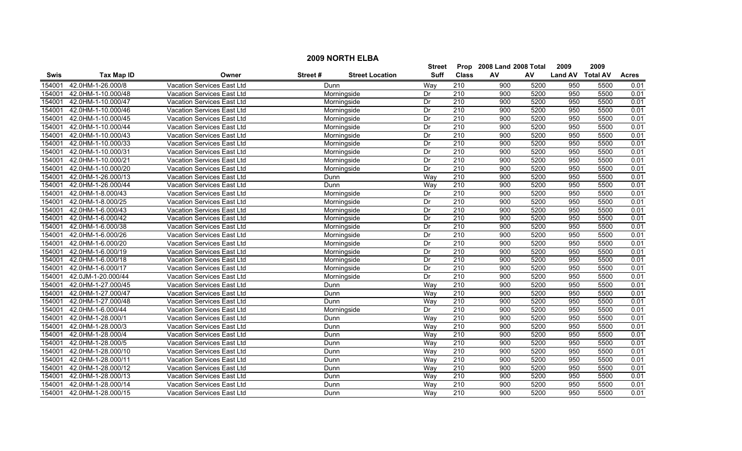|             | <b>2009 NORTH ELBA</b> |                                           |               |                        |                           |                         |      |      |                  |      |              |  |  |
|-------------|------------------------|-------------------------------------------|---------------|------------------------|---------------------------|-------------------------|------|------|------------------|------|--------------|--|--|
|             |                        |                                           | <b>Street</b> |                        | Prop 2008 Land 2008 Total |                         | 2009 | 2009 |                  |      |              |  |  |
| <b>Swis</b> | <b>Tax Map ID</b>      | Owner                                     | Street#       | <b>Street Location</b> | <b>Suff</b>               | <b>Class</b>            | AV   | AV   | Land AV Total AV |      | <b>Acres</b> |  |  |
| 154001      | 42.0HM-1-26.000/8      | <b>Vacation Services East Ltd</b>         | Dunn          |                        | Way                       | 210                     | 900  | 5200 | 950              | 5500 | 0.01         |  |  |
| 154001      | 42.0HM-1-10.000/48     | Vacation Services East Ltd                |               | Morningside            | Dr                        | 210                     | 900  | 5200 | 950              | 5500 | 0.01         |  |  |
| 154001      | 42.0HM-1-10.000/47     | Vacation Services East Ltd                |               | Morningside            | Dr                        | 210                     | 900  | 5200 | 950              | 5500 | 0.01         |  |  |
| 154001      | 42.0HM-1-10.000/46     | <b>Vacation Services East Ltd</b>         |               | Morningside            | Dr                        | 210                     | 900  | 5200 | 950              | 5500 | 0.01         |  |  |
| 154001      | 42.0HM-1-10.000/45     | Vacation Services East Ltd                |               | Morningside            | Dr                        | 210                     | 900  | 5200 | 950              | 5500 | 0.01         |  |  |
| 154001      | 42.0HM-1-10.000/44     | Vacation Services East Ltd                |               | Morningside            | Dr                        | 210                     | 900  | 5200 | 950              | 5500 | 0.01         |  |  |
| 154001      | 42.0HM-1-10.000/43     | Vacation Services East Ltd<br>Morningside |               |                        |                           | 210                     | 900  | 5200 | 950              | 5500 | 0.01         |  |  |
| 154001      | 42.0HM-1-10.000/33     | Vacation Services East Ltd<br>Morningside |               |                        |                           | 210<br>210              | 900  | 5200 | 950              | 5500 | 0.01         |  |  |
| 154001      | 42.0HM-1-10.000/31     | Vacation Services East Ltd                | Morningside   |                        |                           |                         | 900  | 5200 | 950              | 5500 | 0.01         |  |  |
| 154001      | 42.0HM-1-10.000/21     | Vacation Services East Ltd                | Morningside   |                        |                           | $\overline{210}$<br>210 | 900  | 5200 | 950              | 5500 | 0.01         |  |  |
| 154001      | 42.0HM-1-10.000/20     | <b>Vacation Services East Ltd</b>         | Morningside   |                        |                           |                         | 900  | 5200 | 950              | 5500 | 0.01         |  |  |
| 154001      | 42.0HM-1-26.000/13     | Vacation Services East Ltd<br>Dunn        |               |                        |                           |                         | 900  | 5200 | 950              | 5500 | 0.01         |  |  |
| 154001      | 42.0HM-1-26.000/44     | Vacation Services East Ltd                | Dunn          |                        | Way                       | $\overline{210}$        | 900  | 5200 | 950              | 5500 | 0.01         |  |  |
| 154001      | 42.0HM-1-8.000/43      | Vacation Services East Ltd                |               | Morningside            | Dr                        | $\overline{210}$        | 900  | 5200 | 950              | 5500 | 0.01         |  |  |
| 154001      | 42.0HM-1-8.000/25      | Vacation Services East Ltd                |               | Morningside            | Dr                        | 210                     | 900  | 5200 | 950              | 5500 | 0.01         |  |  |
| 154001      | 42.0HM-1-6.000/43      | Vacation Services East Ltd                |               | Morningside            | Dr                        | 210                     | 900  | 5200 | 950              | 5500 | 0.01         |  |  |
| 154001      | 42.0HM-1-6.000/42      | <b>Vacation Services East Ltd</b>         |               | Morningside            | Dr                        | 210                     | 900  | 5200 | 950              | 5500 | 0.01         |  |  |
| 154001      | 42.0HM-1-6.000/38      | Vacation Services East Ltd                |               | Morningside            | Dr                        | 210                     | 900  | 5200 | 950              | 5500 | 0.01         |  |  |
| 154001      | 42.0HM-1-6.000/26      | Vacation Services East Ltd                |               | Morningside            | Dr                        | 210                     | 900  | 5200 | 950              | 5500 | 0.01         |  |  |
| 154001      | 42.0HM-1-6.000/20      | Vacation Services East Ltd                |               | Morningside            | Dr                        | 210                     | 900  | 5200 | 950              | 5500 | 0.01         |  |  |
| 154001      | 42.0HM-1-6.000/19      | Vacation Services East Ltd                |               | Morningside            | Dr                        | 210                     | 900  | 5200 | 950              | 5500 | 0.01         |  |  |
| 154001      | 42.0HM-1-6.000/18      | Vacation Services East Ltd                |               | Morningside            | Dr                        | 210                     | 900  | 5200 | 950              | 5500 | 0.01         |  |  |
| 154001      | 42.0HM-1-6.000/17      | Vacation Services East Ltd                |               | Morningside            | Dr                        | 210                     | 900  | 5200 | 950              | 5500 | 0.01         |  |  |
| 154001      | 42.0JM-1-20.000/44     | <b>Vacation Services East Ltd</b>         |               | Morningside            | Dr                        | $\overline{210}$        | 900  | 5200 | 950              | 5500 | 0.01         |  |  |
| 154001      | 42.0HM-1-27.000/45     | Vacation Services East Ltd                | Dunn          |                        | Way                       | 210                     | 900  | 5200 | 950              | 5500 | 0.01         |  |  |
| 154001      | 42.0HM-1-27.000/47     | Vacation Services East Ltd                | Dunn          |                        | Way                       | 210                     | 900  | 5200 | 950              | 5500 | 0.01         |  |  |
| 154001      | 42.0HM-1-27.000/48     | Vacation Services East Ltd                | Dunn          |                        | Way                       | $\overline{210}$        | 900  | 5200 | 950              | 5500 | 0.01         |  |  |
| 154001      | 42.0HM-1-6.000/44      | Vacation Services East Ltd                |               | Morningside            | Dr                        | 210                     | 900  | 5200 | 950              | 5500 | 0.01         |  |  |
| 154001      | 42.0HM-1-28.000/1      | Vacation Services East Ltd                | Dunn          |                        | Way                       | 210                     | 900  | 5200 | 950              | 5500 | 0.01         |  |  |
| 154001      | 42.0HM-1-28.000/3      | Vacation Services East Ltd                | Dunn          |                        | Way                       | 210                     | 900  | 5200 | 950              | 5500 | 0.01         |  |  |
| 154001      | 42.0HM-1-28.000/4      | <b>Vacation Services East Ltd</b>         | Dunn          |                        | Way                       | 210                     | 900  | 5200 | 950              | 5500 | 0.01         |  |  |
| 154001      | 42.0HM-1-28.000/5      | <b>Vacation Services East Ltd</b>         | Dunn          |                        | Way                       | 210                     | 900  | 5200 | 950              | 5500 | 0.01         |  |  |
| 154001      | 42.0HM-1-28.000/10     | <b>Vacation Services East Ltd</b>         | Dunn          |                        | Way                       | 210                     | 900  | 5200 | 950              | 5500 | 0.01         |  |  |
| 154001      | 42.0HM-1-28.000/11     | Vacation Services East Ltd                | Dunn          |                        | Way                       | 210                     | 900  | 5200 | 950              | 5500 | 0.01         |  |  |
| 154001      | 42.0HM-1-28.000/12     | Vacation Services East Ltd                | Dunn          |                        | Way                       | $\overline{210}$        | 900  | 5200 | 950              | 5500 | 0.01         |  |  |
| 154001      | 42.0HM-1-28.000/13     | Vacation Services East Ltd                | Dunn          |                        | Way                       | 210                     | 900  | 5200 | 950              | 5500 | 0.01         |  |  |
| 154001      | 42.0HM-1-28.000/14     | Vacation Services East Ltd                | Dunn          |                        | Way                       | $\overline{210}$        | 900  | 5200 | 950              | 5500 | 0.01         |  |  |
| 154001      | 42.0HM-1-28.000/15     | Vacation Services East Ltd                | Dunn          |                        | Wav                       | 210                     | 900  | 5200 | 950              | 5500 | 0.01         |  |  |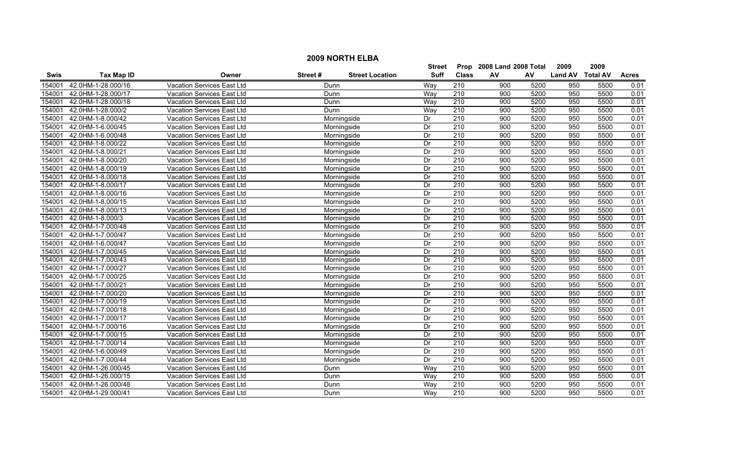|             |                    |                                   |         |                        | Street      | Prop             | 2008 Land 2008 Total |      | 2009           | 2009            |              |
|-------------|--------------------|-----------------------------------|---------|------------------------|-------------|------------------|----------------------|------|----------------|-----------------|--------------|
| <b>Swis</b> | <b>Tax Map ID</b>  | Owner                             | Street# | <b>Street Location</b> | <b>Suff</b> | <b>Class</b>     | AV                   | AV   | <b>Land AV</b> | <b>Total AV</b> | <b>Acres</b> |
| 154001      | 42.0HM-1-28.000/16 | Vacation Services East Ltd        | Dunn    |                        | Way         | 210              | 900                  | 5200 | 950            | 5500            | 0.01         |
| 154001      | 42.0HM-1-28.000/17 | Vacation Services East Ltd        | Dunn    |                        | Way         | $\overline{210}$ | 900                  | 5200 | 950            | 5500            | 0.01         |
| 154001      | 42.0HM-1-28.000/18 | <b>Vacation Services East Ltd</b> | Dunn    |                        | Way         | $\overline{210}$ | 900                  | 5200 | 950            | 5500            | 0.01         |
| 154001      | 42.0HM-1-28.000/2  | Vacation Services East Ltd        | Dunn    |                        | Way         | 210              | 900                  | 5200 | 950            | 5500            | 0.01         |
| 154001      | 42.0HM-1-8.000/42  | Vacation Services East Ltd        |         | Morningside            | Dr          | 210              | 900                  | 5200 | 950            | 5500            | 0.01         |
| 154001      | 42.0HM-1-6.000/45  | Vacation Services East Ltd        |         | Morningside            | Dr          | 210              | 900                  | 5200 | 950            | 5500            | 0.01         |
| 154001      | 42.0HM-1-6.000/48  | <b>Vacation Services East Ltd</b> |         | Morningside            | Dr          | 210              | 900                  | 5200 | 950            | 5500            | 0.01         |
| 154001      | 42.0HM-1-8.000/22  | Vacation Services East Ltd        |         | Morningside            | Dr          | 210              | 900                  | 5200 | 950            | 5500            | 0.01         |
| 154001      | 42.0HM-1-8.000/21  | Vacation Services East Ltd        |         | Morningside            | Dr          | 210              | 900                  | 5200 | 950            | 5500            | 0.01         |
| 154001      | 42.0HM-1-8.000/20  | Vacation Services East Ltd        |         | Morningside            | Dr          | 210              | 900                  | 5200 | 950            | 5500            | 0.01         |
| 154001      | 42.0HM-1-8.000/19  | Vacation Services East Ltd        |         | Morningside            | Dr          | $\overline{210}$ | $\overline{900}$     | 5200 | 950            | 5500            | 0.01         |
| 154001      | 42.0HM-1-8.000/18  | Vacation Services East Ltd        |         | Morningside            | Dr          | 210              | 900                  | 5200 | 950            | 5500            | 0.01         |
| 154001      | 42.0HM-1-8.000/17  | Vacation Services East Ltd        |         | Morningside            | Dr          | 210              | 900                  | 5200 | 950            | 5500            | 0.01         |
| 154001      | 42.0HM-1-8.000/16  | Vacation Services East Ltd        |         | Morningside            | Dr          | 210              | 900                  | 5200 | 950            | 5500            | 0.01         |
| 154001      | 42.0HM-1-8.000/15  | Vacation Services East Ltd        |         | Morningside            | Dr          | $\overline{210}$ | 900                  | 5200 | 950            | 5500            | 0.01         |
| 154001      | 42.0HM-1-8.000/13  | <b>Vacation Services East Ltd</b> |         | Morningside            | Dr          | 210              | 900                  | 5200 | 950            | 5500            | 0.01         |
| 154001      | 42.0HM-1-8.000/3   | <b>Vacation Services East Ltd</b> |         | Morningside            | Dr          | 210              | 900                  | 5200 | 950            | 5500            | 0.01         |
| 154001      | 42.0HM-1-7.000/48  | Vacation Services East Ltd        |         | Morningside            | Dr          | 210              | 900                  | 5200 | 950            | 5500            | 0.01         |
| 154001      | 42.0HM-1-7.000/47  | Vacation Services East Ltd        |         | Morningside            | Dr          | 210              | 900                  | 5200 | 950            | 5500            | 0.01         |
| 154001      | 42.0HM-1-6.000/47  | Vacation Services East Ltd        |         | Morningside            | Dr          | 210              | 900                  | 5200 | 950            | 5500            | 0.01         |
| 154001      | 42.0HM-1-7.000/45  | Vacation Services East Ltd        |         | Morningside            | Dr          | $\overline{210}$ | 900                  | 5200 | 950            | 5500            | 0.01         |
| 154001      | 42.0HM-1-7.000/43  | Vacation Services East Ltd        |         | Morningside            | Dr          | 210              | 900                  | 5200 | 950            | 5500            | 0.01         |
| 154001      | 42.0HM-1-7.000/27  | Vacation Services East Ltd        |         | Morningside            | Dr          | 210              | 900                  | 5200 | 950            | 5500            | 0.01         |
| 154001      | 42.0HM-1-7.000/25  | Vacation Services East Ltd        |         | Morningside            | Dr          | 210              | 900                  | 5200 | 950            | 5500            | 0.01         |
| 154001      | 42.0HM-1-7.000/21  | Vacation Services East Ltd        |         | Morningside            | Dr          | $\overline{210}$ | $\overline{900}$     | 5200 | 950            | 5500            | 0.01         |
| 154001      | 42.0HM-1-7.000/20  | Vacation Services East Ltd        |         | Morningside            | Dr          | 210              | $\overline{900}$     | 5200 | 950            | 5500            | 0.01         |
| 154001      | 42.0HM-1-7.000/19  | Vacation Services East Ltd        |         | Morningside            | Dr          | $\overline{210}$ | 900                  | 5200 | 950            | 5500            | 0.01         |
| 154001      | 42.0HM-1-7.000/18  | Vacation Services East Ltd        |         | Morningside            | Dr          | 210              | 900                  | 5200 | 950            | 5500            | 0.01         |
| 154001      | 42.0HM-1-7.000/17  | Vacation Services East Ltd        |         | Morningside            | Dr          | 210              | 900                  | 5200 | 950            | 5500            | 0.01         |
| 154001      | 42.0HM-1-7.000/16  | Vacation Services East Ltd        |         | Morningside            | Dr          | 210              | 900                  | 5200 | 950            | 5500            | 0.01         |
| 154001      | 42.0HM-1-7.000/15  | Vacation Services East Ltd        |         | Morningside            | Dr          | 210              | 900                  | 5200 | 950            | 5500            | 0.01         |
| 154001      | 42.0HM-1-7.000/14  | Vacation Services East Ltd        |         | Morningside            | Dr          | 210              | 900                  | 5200 | 950            | 5500            | 0.01         |
| 154001      | 42.0HM-1-6.000/49  | Vacation Services East Ltd        |         | Morningside            | Dr          | 210              | 900                  | 5200 | 950            | 5500            | 0.01         |
| 154001      | 42.0HM-1-7.000/44  | Vacation Services East Ltd        |         | Morningside            | Dr          | $\overline{210}$ | $\overline{900}$     | 5200 | 950            | 5500            | 0.01         |
| 154001      | 42.0HM-1-26.000/45 | Vacation Services East Ltd        | Dunn    |                        | Way         | 210              | 900                  | 5200 | 950            | 5500            | 0.01         |
| 154001      | 42.0HM-1-26.000/15 | Vacation Services East Ltd        | Dunn    |                        | Way         | 210              | 900                  | 5200 | 950            | 5500            | 0.01         |
| 154001      | 42.0HM-1-26.000/48 | <b>Vacation Services East Ltd</b> | Dunn    |                        | Way         | $\overline{210}$ | 900                  | 5200 | 950            | 5500            | 0.01         |
| 154001      | 42.0HM-1-29.000/41 | <b>Vacation Services East Ltd</b> | Dunn    |                        | Wav         | 210              | 900                  | 5200 | 950            | 5500            | 0.01         |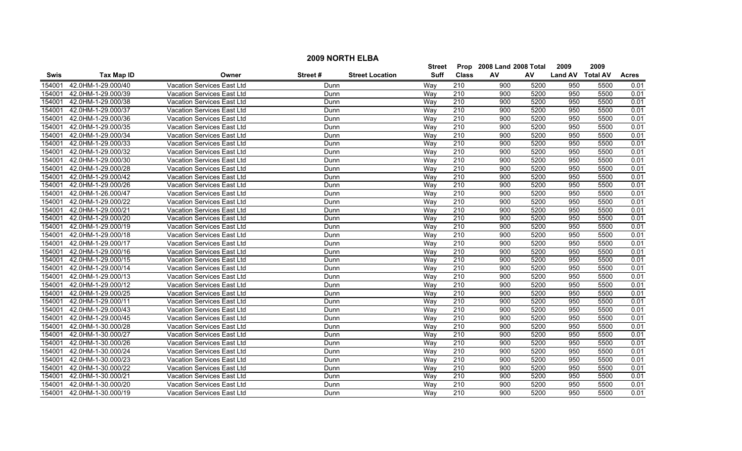|             | <b>2009 NORTH ELBA</b> |                                   |         |                        |               |                  |                           |      |                  |      |              |  |  |
|-------------|------------------------|-----------------------------------|---------|------------------------|---------------|------------------|---------------------------|------|------------------|------|--------------|--|--|
|             |                        |                                   |         |                        | <b>Street</b> |                  | Prop 2008 Land 2008 Total |      | 2009             | 2009 |              |  |  |
| <b>Swis</b> | <b>Tax Map ID</b>      | Owner                             | Street# | <b>Street Location</b> | <b>Suff</b>   | <b>Class</b>     | AV                        | AV   | Land AV Total AV |      | <b>Acres</b> |  |  |
| 154001      | 42.0HM-1-29.000/40     | <b>Vacation Services East Ltd</b> | Dunn    |                        | Way           | 210              | 900                       | 5200 | 950              | 5500 | 0.01         |  |  |
| 154001      | 42.0HM-1-29.000/39     | Vacation Services East Ltd        | Dunn    |                        | Way           | 210              | 900                       | 5200 | 950              | 5500 | 0.01         |  |  |
| 154001      | 42.0HM-1-29.000/38     | Vacation Services East Ltd        | Dunn    |                        | Way           | 210              | 900                       | 5200 | 950              | 5500 | 0.01         |  |  |
| 154001      | 42.0HM-1-29.000/37     | <b>Vacation Services East Ltd</b> | Dunn    |                        | Way           | 210              | 900                       | 5200 | 950              | 5500 | 0.01         |  |  |
| 154001      | 42.0HM-1-29.000/36     | Vacation Services East Ltd        | Dunn    |                        | Way           | 210              | 900                       | 5200 | 950              | 5500 | 0.01         |  |  |
| 154001      | 42.0HM-1-29.000/35     | Vacation Services East Ltd        | Dunn    |                        | Way           | 210              | 900                       | 5200 | 950              | 5500 | 0.01         |  |  |
| 154001      | 42.0HM-1-29.000/34     | Vacation Services East Ltd        | Dunn    |                        | Wav           | 210              | 900                       | 5200 | 950              | 5500 | 0.01         |  |  |
| 154001      | 42.0HM-1-29.000/33     | Vacation Services East Ltd        | Dunn    |                        | Way           | 210              | 900                       | 5200 | 950              | 5500 | 0.01         |  |  |
| 154001      | 42.0HM-1-29.000/32     | Vacation Services East Ltd        | Dunn    |                        | Way           | 210              | 900                       | 5200 | 950              | 5500 | 0.01         |  |  |
| 154001      | 42.0HM-1-29.000/30     | Vacation Services East Ltd        | Dunn    |                        | Way           | $\overline{210}$ | 900                       | 5200 | 950              | 5500 | 0.01         |  |  |
| 154001      | 42.0HM-1-29.000/28     | <b>Vacation Services East Ltd</b> | Dunn    |                        | Way           | $\overline{210}$ | 900                       | 5200 | 950              | 5500 | 0.01         |  |  |
| 154001      | 42.0HM-1-29.000/42     | <b>Vacation Services East Ltd</b> | Dunn    |                        | Wav           | 210              | 900                       | 5200 | 950              | 5500 | 0.01         |  |  |
| 154001      | 42.0HM-1-29.000/26     | Vacation Services East Ltd        | Dunn    |                        | Way           | $\overline{210}$ | 900                       | 5200 | 950              | 5500 | 0.01         |  |  |
| 154001      | 42.0HM-1-26.000/47     | Vacation Services East Ltd        | Dunn    |                        | Way           | $\overline{210}$ | 900                       | 5200 | 950              | 5500 | 0.01         |  |  |
| 154001      | 42.0HM-1-29.000/22     | Vacation Services East Ltd        | Dunn    |                        | Way           | $\overline{210}$ | 900                       | 5200 | 950              | 5500 | 0.01         |  |  |
| 154001      | 42.0HM-1-29.000/21     | Vacation Services East Ltd        | Dunn    |                        | Way           | 210              | 900                       | 5200 | 950              | 5500 | 0.01         |  |  |
| 154001      | 42.0HM-1-29.000/20     | <b>Vacation Services East Ltd</b> | Dunn    |                        | Way           | 210              | 900                       | 5200 | 950              | 5500 | 0.01         |  |  |
| 154001      | 42.0HM-1-29.000/19     | Vacation Services East Ltd        | Dunn    |                        | Wav           | 210              | 900                       | 5200 | 950              | 5500 | 0.01         |  |  |
| 154001      | 42.0HM-1-29.000/18     | Vacation Services East Ltd        | Dunn    |                        | Wav           | 210              | 900                       | 5200 | 950              | 5500 | 0.01         |  |  |
| 154001      | 42.0HM-1-29.000/17     | Vacation Services East Ltd        | Dunn    |                        | Way           | 210              | 900                       | 5200 | 950              | 5500 | 0.01         |  |  |
| 154001      | 42.0HM-1-29.000/16     | Vacation Services East Ltd        | Dunn    |                        | Way           | 210              | 900                       | 5200 | 950              | 5500 | 0.01         |  |  |
| 154001      | 42.0HM-1-29.000/15     | Vacation Services East Ltd        | Dunn    |                        | Way           | 210              | 900                       | 5200 | 950              | 5500 | 0.01         |  |  |
| 154001      | 42.0HM-1-29.000/14     | Vacation Services East Ltd        | Dunn    |                        | Way           | $\overline{210}$ | 900                       | 5200 | 950              | 5500 | 0.01         |  |  |
| 154001      | 42.0HM-1-29.000/13     | <b>Vacation Services East Ltd</b> | Dunn    |                        | Way           | $\overline{210}$ | 900                       | 5200 | 950              | 5500 | 0.01         |  |  |
| 154001      | 42.0HM-1-29.000/12     | Vacation Services East Ltd        | Dunn    |                        | Wav           | 210              | 900                       | 5200 | 950              | 5500 | 0.01         |  |  |
| 154001      | 42.0HM-1-29.000/25     | <b>Vacation Services East Ltd</b> | Dunn    |                        | Way           | 210              | 900                       | 5200 | 950              | 5500 | 0.01         |  |  |
| 154001      | 42.0HM-1-29.000/11     | Vacation Services East Ltd        | Dunn    |                        | Way           | $\overline{210}$ | 900                       | 5200 | 950              | 5500 | 0.01         |  |  |
| 154001      | 42.0HM-1-29.000/43     | Vacation Services East Ltd        | Dunn    |                        | Way           | $\overline{210}$ | 900                       | 5200 | 950              | 5500 | 0.01         |  |  |
| 154001      | 42.0HM-1-29.000/45     | Vacation Services East Ltd        | Dunn    |                        | Way           | 210              | 900                       | 5200 | 950              | 5500 | 0.01         |  |  |
| 154001      | 42.0HM-1-30.000/28     | Vacation Services East Ltd        | Dunn    |                        | Way           | $\overline{210}$ | 900                       | 5200 | 950              | 5500 | 0.01         |  |  |
| 154001      | 42.0HM-1-30.000/27     | <b>Vacation Services East Ltd</b> | Dunn    |                        | Wav           | 210              | 900                       | 5200 | 950              | 5500 | 0.01         |  |  |
| 154001      | 42.0HM-1-30.000/26     | <b>Vacation Services East Ltd</b> | Dunn    |                        | Way           | 210              | 900                       | 5200 | 950              | 5500 | 0.01         |  |  |
| 154001      | 42.0HM-1-30.000/24     | <b>Vacation Services East Ltd</b> | Dunn    |                        | Way           | 210              | 900                       | 5200 | 950              | 5500 | 0.01         |  |  |
| 154001      | 42.0HM-1-30.000/23     | Vacation Services East Ltd        | Dunn    |                        | Way           | 210              | 900                       | 5200 | 950              | 5500 | 0.01         |  |  |
| 154001      | 42.0HM-1-30.000/22     | Vacation Services East Ltd        | Dunn    |                        | Way           | $\overline{210}$ | 900                       | 5200 | 950              | 5500 | 0.01         |  |  |
| 154001      | 42.0HM-1-30.000/21     | Vacation Services East Ltd        | Dunn    |                        | Way           | 210              | 900                       | 5200 | 950              | 5500 | 0.01         |  |  |
| 154001      | 42.0HM-1-30.000/20     | Vacation Services East Ltd        | Dunn    |                        | Wav           | 210              | 900                       | 5200 | 950              | 5500 | 0.01         |  |  |
| 154001      | 42.0HM-1-30.000/19     | Vacation Services East Ltd        | Dunn    |                        | Wav           | 210              | 900                       | 5200 | 950              | 5500 | 0.01         |  |  |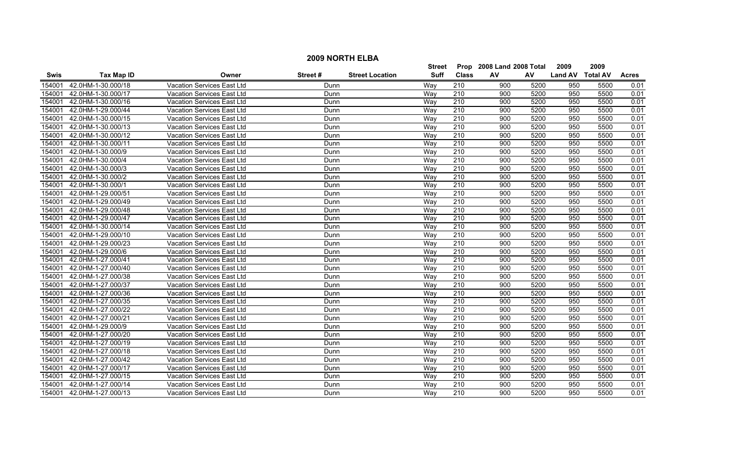|             | <b>2009 NORTH ELBA</b> |                                   |         |                        |               |                  |                           |      |                  |      |              |  |
|-------------|------------------------|-----------------------------------|---------|------------------------|---------------|------------------|---------------------------|------|------------------|------|--------------|--|
|             |                        |                                   |         |                        | <b>Street</b> |                  | Prop 2008 Land 2008 Total |      | 2009             | 2009 |              |  |
| <b>Swis</b> | <b>Tax Map ID</b>      | Owner                             | Street# | <b>Street Location</b> | <b>Suff</b>   | <b>Class</b>     | AV                        | AV   | Land AV Total AV |      | <b>Acres</b> |  |
| 154001      | 42.0HM-1-30.000/18     | <b>Vacation Services East Ltd</b> | Dunn    |                        | Way           | 210              | 900                       | 5200 | 950              | 5500 | 0.01         |  |
| 154001      | 42.0HM-1-30.000/17     | Vacation Services East Ltd        | Dunn    |                        | Way           | 210              | 900                       | 5200 | 950              | 5500 | 0.01         |  |
| 154001      | 42.0HM-1-30.000/16     | Vacation Services East Ltd        | Dunn    |                        | Way           | 210              | 900                       | 5200 | 950              | 5500 | 0.01         |  |
| 154001      | 42.0HM-1-29.000/44     | <b>Vacation Services East Ltd</b> | Dunn    |                        | Way           | 210              | 900                       | 5200 | 950              | 5500 | 0.01         |  |
| 154001      | 42.0HM-1-30.000/15     | Vacation Services East Ltd        | Dunn    |                        | Way           | 210              | 900                       | 5200 | 950              | 5500 | 0.01         |  |
| 154001      | 42.0HM-1-30.000/13     | Vacation Services East Ltd        | Dunn    |                        | Way           | 210              | 900                       | 5200 | 950              | 5500 | 0.01         |  |
| 154001      | 42.0HM-1-30.000/12     | Vacation Services East Ltd        | Dunn    |                        | Wav           | 210              | 900                       | 5200 | 950              | 5500 | 0.01         |  |
| 154001      | 42.0HM-1-30.000/11     | Vacation Services East Ltd        | Dunn    |                        | Way           | 210              | 900                       | 5200 | 950              | 5500 | 0.01         |  |
| 154001      | 42.0HM-1-30.000/9      | Vacation Services East Ltd        | Dunn    |                        | Way           | 210              | 900                       | 5200 | 950              | 5500 | 0.01         |  |
| 154001      | 42.0HM-1-30.000/4      | Vacation Services East Ltd        | Dunn    |                        | Way           | $\overline{210}$ | 900                       | 5200 | 950              | 5500 | 0.01         |  |
| 154001      | 42.0HM-1-30.000/3      | <b>Vacation Services East Ltd</b> | Dunn    |                        | Way           | $\overline{210}$ | 900                       | 5200 | 950              | 5500 | 0.01         |  |
| 154001      | 42.0HM-1-30.000/2      | <b>Vacation Services East Ltd</b> | Dunn    |                        | Wav           | 210              | 900                       | 5200 | 950              | 5500 | 0.01         |  |
| 154001      | 42.0HM-1-30.000/1      | Vacation Services East Ltd        | Dunn    |                        | Way           | $\overline{210}$ | 900                       | 5200 | 950              | 5500 | 0.01         |  |
| 154001      | 42.0HM-1-29.000/51     | Vacation Services East Ltd        | Dunn    |                        | Way           | $\overline{210}$ | 900                       | 5200 | 950              | 5500 | 0.01         |  |
| 154001      | 42.0HM-1-29.000/49     | Vacation Services East Ltd        | Dunn    |                        | Way           | 210              | 900                       | 5200 | 950              | 5500 | 0.01         |  |
| 154001      | 42.0HM-1-29.000/48     | Vacation Services East Ltd        | Dunn    |                        | Way           | 210              | 900                       | 5200 | 950              | 5500 | 0.01         |  |
| 154001      | 42.0HM-1-29.000/47     | <b>Vacation Services East Ltd</b> | Dunn    |                        | Way           | 210              | 900                       | 5200 | 950              | 5500 | 0.01         |  |
| 154001      | 42.0HM-1-30.000/14     | Vacation Services East Ltd        | Dunn    |                        | Wav           | 210              | 900                       | 5200 | 950              | 5500 | 0.01         |  |
| 154001      | 42.0HM-1-29.000/10     | Vacation Services East Ltd        | Dunn    |                        | Wav           | 210              | 900                       | 5200 | 950              | 5500 | 0.01         |  |
| 154001      | 42.0HM-1-29.000/23     | Vacation Services East Ltd        | Dunn    |                        | Way           | 210              | 900                       | 5200 | 950              | 5500 | 0.01         |  |
| 154001      | 42.0HM-1-29.000/6      | Vacation Services East Ltd        | Dunn    |                        | Way           | 210              | 900                       | 5200 | 950              | 5500 | 0.01         |  |
| 154001      | 42.0HM-1-27.000/41     | Vacation Services East Ltd        | Dunn    |                        | Way           | 210              | 900                       | 5200 | 950              | 5500 | 0.01         |  |
| 154001      | 42.0HM-1-27.000/40     | Vacation Services East Ltd        | Dunn    |                        | Way           | $\overline{210}$ | 900                       | 5200 | 950              | 5500 | 0.01         |  |
| 154001      | 42.0HM-1-27.000/38     | <b>Vacation Services East Ltd</b> | Dunn    |                        | Way           | $\overline{210}$ | 900                       | 5200 | 950              | 5500 | 0.01         |  |
| 154001      | 42.0HM-1-27.000/37     | Vacation Services East Ltd        | Dunn    |                        | Wav           | 210              | 900                       | 5200 | 950              | 5500 | 0.01         |  |
| 154001      | 42.0HM-1-27.000/36     | <b>Vacation Services East Ltd</b> | Dunn    |                        | Way           | 210              | 900                       | 5200 | 950              | 5500 | 0.01         |  |
| 154001      | 42.0HM-1-27.000/35     | Vacation Services East Ltd        | Dunn    |                        | Way           | $\overline{210}$ | 900                       | 5200 | 950              | 5500 | 0.01         |  |
| 154001      | 42.0HM-1-27.000/22     | Vacation Services East Ltd        | Dunn    |                        | Way           | $\overline{210}$ | 900                       | 5200 | 950              | 5500 | 0.01         |  |
| 154001      | 42.0HM-1-27.000/21     | Vacation Services East Ltd        | Dunn    |                        | Way           | 210              | 900                       | 5200 | 950              | 5500 | 0.01         |  |
| 154001      | 42.0HM-1-29.000/9      | Vacation Services East Ltd        | Dunn    |                        | Way           | $\overline{210}$ | 900                       | 5200 | 950              | 5500 | 0.01         |  |
| 154001      | 42.0HM-1-27.000/20     | <b>Vacation Services East Ltd</b> | Dunn    |                        | Wav           | 210              | 900                       | 5200 | 950              | 5500 | 0.01         |  |
| 154001      | 42.0HM-1-27.000/19     | <b>Vacation Services East Ltd</b> | Dunn    |                        | Way           | 210              | 900                       | 5200 | 950              | 5500 | 0.01         |  |
| 154001      | 42.0HM-1-27.000/18     | <b>Vacation Services East Ltd</b> | Dunn    |                        | Way           | 210              | 900                       | 5200 | 950              | 5500 | 0.01         |  |
| 154001      | 42.0HM-1-27.000/42     | Vacation Services East Ltd        | Dunn    |                        | Way           | 210              | 900                       | 5200 | 950              | 5500 | 0.01         |  |
| 154001      | 42.0HM-1-27.000/17     | Vacation Services East Ltd        | Dunn    |                        | Way           | $\overline{210}$ | 900                       | 5200 | 950              | 5500 | 0.01         |  |
| 154001      | 42.0HM-1-27.000/15     | Vacation Services East Ltd        | Dunn    |                        | Way           | 210              | 900                       | 5200 | 950              | 5500 | 0.01         |  |
| 154001      | 42.0HM-1-27.000/14     | Vacation Services East Ltd        | Dunn    |                        | Wav           | 210              | 900                       | 5200 | 950              | 5500 | 0.01         |  |
| 154001      | 42.0HM-1-27.000/13     | Vacation Services East Ltd        | Dunn    |                        | Wav           | 210              | 900                       | 5200 | 950              | 5500 | 0.01         |  |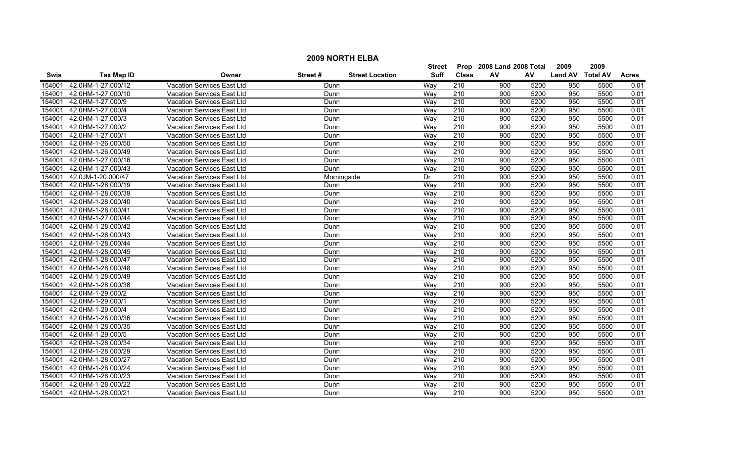|             | <b>2009 NORTH ELBA</b>                                          |                                   |         |                        |               |                                      |                           |      |                  |      |              |  |  |
|-------------|-----------------------------------------------------------------|-----------------------------------|---------|------------------------|---------------|--------------------------------------|---------------------------|------|------------------|------|--------------|--|--|
|             |                                                                 |                                   |         |                        | <b>Street</b> |                                      | Prop 2008 Land 2008 Total |      | 2009             | 2009 |              |  |  |
| <b>Swis</b> | <b>Tax Map ID</b>                                               | Owner                             | Street# | <b>Street Location</b> | <b>Suff</b>   | <b>Class</b>                         | AV                        | AV   | Land AV Total AV |      | <b>Acres</b> |  |  |
| 154001      | 42.0HM-1-27.000/12                                              | <b>Vacation Services East Ltd</b> | Dunn    |                        | Way           | 210                                  | 900                       | 5200 | 950              | 5500 | 0.01         |  |  |
| 154001      | 42.0HM-1-27.000/10                                              | Vacation Services East Ltd        | Dunn    |                        | Way           | 210                                  | 900                       | 5200 | 950              | 5500 | 0.01         |  |  |
| 154001      | 42.0HM-1-27.000/9                                               | Vacation Services East Ltd        | Dunn    |                        | Way           | 210                                  | 900                       | 5200 | 950              | 5500 | 0.01         |  |  |
| 154001      | 42.0HM-1-27.000/4                                               | <b>Vacation Services East Ltd</b> | Dunn    |                        | Way           | 210                                  | 900                       | 5200 | 950              | 5500 | 0.01         |  |  |
| 154001      | 42.0HM-1-27.000/3                                               | Vacation Services East Ltd        | Dunn    |                        | Way           | 210                                  | 900                       | 5200 | 950              | 5500 | 0.01         |  |  |
| 154001      | 42.0HM-1-27.000/2                                               | Vacation Services East Ltd        | Dunn    |                        | Way           | 210                                  | 900                       | 5200 | 950              | 5500 | 0.01         |  |  |
| 154001      | 42.0HM-1-27.000/1                                               | Vacation Services East Ltd        | Dunn    |                        | Way           | 210                                  | 900                       | 5200 | 950              | 5500 | 0.01         |  |  |
| 154001      | 42.0HM-1-26.000/50                                              | Vacation Services East Ltd        | Dunn    |                        | Way           | 210                                  | 900                       | 5200 | 950              | 5500 | 0.01         |  |  |
| 154001      | 42.0HM-1-26.000/49<br>Vacation Services East Ltd<br>Dunn        |                                   |         |                        |               | 210                                  | 900                       | 5200 | 950              | 5500 | 0.01         |  |  |
| 154001      | 42.0HM-1-27.000/16<br>Vacation Services East Ltd<br>Dunn        |                                   |         |                        |               | $\overline{210}$<br>$\overline{210}$ | 900                       | 5200 | 950              | 5500 | 0.01         |  |  |
| 154001      | 42.0HM-1-27.000/43<br><b>Vacation Services East Ltd</b><br>Dunn |                                   |         |                        |               |                                      | 900                       | 5200 | 950              | 5500 | 0.01         |  |  |
| 154001      | 42.0JM-1-20.000/47                                              | Vacation Services East Ltd        |         | Morningside            | Dr            | 210                                  | 900                       | 5200 | 950              | 5500 | 0.01         |  |  |
| 154001      | 42.0HM-1-28.000/19                                              | Vacation Services East Ltd        | Dunn    |                        | Way           | $\overline{210}$                     | 900                       | 5200 | 950              | 5500 | 0.01         |  |  |
| 154001      | 42.0HM-1-28.000/39                                              | Vacation Services East Ltd        | Dunn    |                        | Way           | $\overline{210}$                     | 900                       | 5200 | 950              | 5500 | 0.01         |  |  |
| 154001      | 42.0HM-1-28.000/40                                              | Vacation Services East Ltd        | Dunn    |                        | Way           | 210                                  | 900                       | 5200 | 950              | 5500 | 0.01         |  |  |
| 154001      | 42.0HM-1-28.000/41                                              | Vacation Services East Ltd        | Dunn    |                        | Way           | 210                                  | 900                       | 5200 | 950              | 5500 | 0.01         |  |  |
| 154001      | 42.0HM-1-27.000/44                                              | <b>Vacation Services East Ltd</b> | Dunn    |                        | Way           | 210                                  | 900                       | 5200 | 950              | 5500 | 0.01         |  |  |
| 154001      | 42.0HM-1-28.000/42                                              | Vacation Services East Ltd        | Dunn    |                        | Wav           | 210                                  | 900                       | 5200 | 950              | 5500 | 0.01         |  |  |
| 154001      | 42.0HM-1-28.000/43                                              | Vacation Services East Ltd        | Dunn    |                        | Wav           | 210                                  | 900                       | 5200 | 950              | 5500 | 0.01         |  |  |
| 154001      | 42.0HM-1-28.000/44                                              | Vacation Services East Ltd        | Dunn    |                        | Way           | 210                                  | 900                       | 5200 | 950              | 5500 | 0.01         |  |  |
| 154001      | 42.0HM-1-28.000/45                                              | Vacation Services East Ltd        | Dunn    |                        | Way           | 210                                  | 900                       | 5200 | 950              | 5500 | 0.01         |  |  |
| 154001      | 42.0HM-1-28.000/47                                              | Vacation Services East Ltd        | Dunn    |                        | Way           | 210                                  | 900                       | 5200 | 950              | 5500 | 0.01         |  |  |
| 154001      | 42.0HM-1-28.000/48                                              | Vacation Services East Ltd        | Dunn    |                        | Way           | $\overline{210}$                     | 900                       | 5200 | 950              | 5500 | 0.01         |  |  |
| 154001      | 42.0HM-1-28.000/49                                              | <b>Vacation Services East Ltd</b> | Dunn    |                        | Way           | $\overline{210}$                     | 900                       | 5200 | 950              | 5500 | 0.01         |  |  |
| 154001      | 42.0HM-1-28.000/38                                              | Vacation Services East Ltd        | Dunn    |                        | Wav           | 210                                  | 900                       | 5200 | 950              | 5500 | 0.01         |  |  |
| 154001      | 42.0HM-1-29.000/2                                               | <b>Vacation Services East Ltd</b> | Dunn    |                        | Way           | 210                                  | 900                       | 5200 | 950              | 5500 | 0.01         |  |  |
| 154001      | 42.0HM-1-29.000/1                                               | Vacation Services East Ltd        | Dunn    |                        | Way           | $\overline{210}$                     | 900                       | 5200 | 950              | 5500 | 0.01         |  |  |
| 154001      | 42.0HM-1-29.000/4                                               | Vacation Services East Ltd        | Dunn    |                        | Way           | 210                                  | 900                       | 5200 | 950              | 5500 | 0.01         |  |  |
| 154001      | 42.0HM-1-28.000/36                                              | Vacation Services East Ltd        | Dunn    |                        | Way           | 210                                  | 900                       | 5200 | 950              | 5500 | 0.01         |  |  |
| 154001      | 42.0HM-1-28.000/35                                              | Vacation Services East Ltd        | Dunn    |                        | Way           | 210                                  | 900                       | 5200 | 950              | 5500 | 0.01         |  |  |
| 154001      | 42.0HM-1-29.000/5                                               | <b>Vacation Services East Ltd</b> | Dunn    |                        | Wav           | 210                                  | 900                       | 5200 | 950              | 5500 | 0.01         |  |  |
| 154001      | 42.0HM-1-28.000/34                                              | <b>Vacation Services East Ltd</b> | Dunn    |                        | Way           | 210                                  | 900                       | 5200 | 950              | 5500 | 0.01         |  |  |
| 154001      | 42.0HM-1-28.000/29                                              | <b>Vacation Services East Ltd</b> | Dunn    |                        | Way           | 210                                  | 900                       | 5200 | 950              | 5500 | 0.01         |  |  |
| 154001      | 42.0HM-1-28.000/27                                              | Vacation Services East Ltd        | Dunn    |                        | Way           | 210                                  | 900                       | 5200 | 950              | 5500 | 0.01         |  |  |
| 154001      | 42.0HM-1-28.000/24                                              | Vacation Services East Ltd        | Dunn    |                        | Way           | $\overline{210}$                     | 900                       | 5200 | 950              | 5500 | 0.01         |  |  |
| 154001      | 42.0HM-1-28.000/23                                              | Vacation Services East Ltd        | Dunn    |                        | Way           | 210                                  | 900                       | 5200 | 950              | 5500 | 0.01         |  |  |
| 154001      | 42.0HM-1-28.000/22                                              | Vacation Services East Ltd        | Dunn    |                        | Wav           | 210                                  | 900                       | 5200 | 950              | 5500 | 0.01         |  |  |
| 154001      | 42.0HM-1-28.000/21                                              | Vacation Services East Ltd        | Dunn    |                        | Wav           | 210                                  | 900                       | 5200 | 950              | 5500 | 0.01         |  |  |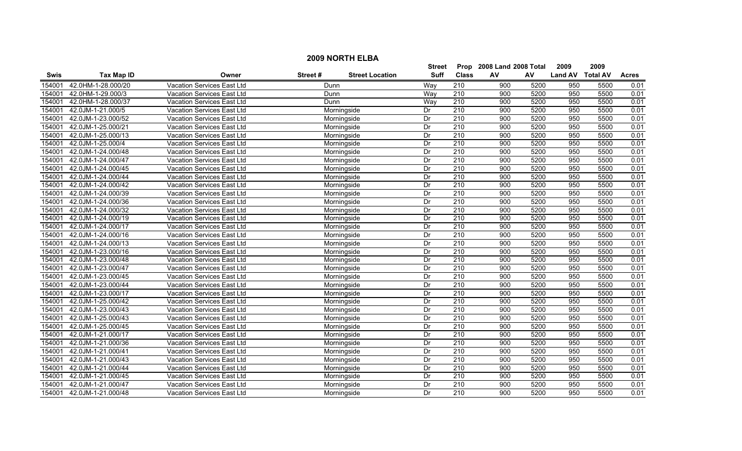|             | <b>2009 NORTH ELBA</b>                                          |                                   |             |                        |               |                  |                           |      |                  |      |              |  |  |
|-------------|-----------------------------------------------------------------|-----------------------------------|-------------|------------------------|---------------|------------------|---------------------------|------|------------------|------|--------------|--|--|
|             |                                                                 |                                   |             |                        | <b>Street</b> |                  | Prop 2008 Land 2008 Total |      | 2009             | 2009 |              |  |  |
| <b>Swis</b> | <b>Tax Map ID</b>                                               | Owner                             | Street#     | <b>Street Location</b> | <b>Suff</b>   | <b>Class</b>     | AV                        | AV   | Land AV Total AV |      | <b>Acres</b> |  |  |
| 154001      | 42.0HM-1-28.000/20                                              | Vacation Services East Ltd        | Dunn        |                        | Way           | 210              | 900                       | 5200 | 950              | 5500 | 0.01         |  |  |
| 154001      | 42.0HM-1-29.000/3                                               | Vacation Services East Ltd        | Dunn        |                        | Way           | 210              | 900                       | 5200 | 950              | 5500 | 0.01         |  |  |
| 154001      | 42.0HM-1-28.000/37                                              | Vacation Services East Ltd        | Dunn        |                        | Way           | 210              | 900                       | 5200 | 950              | 5500 | 0.01         |  |  |
| 154001      | 42.0JM-1-21.000/5                                               | <b>Vacation Services East Ltd</b> |             | Morningside            | Dr            | 210              | 900                       | 5200 | 950              | 5500 | 0.01         |  |  |
| 154001      | 42.0JM-1-23.000/52                                              | Vacation Services East Ltd        |             | Morningside            | Dr            | 210              | 900                       | 5200 | 950              | 5500 | 0.01         |  |  |
| 154001      | 42.0JM-1-25.000/21                                              | Vacation Services East Ltd        |             | Morningside            | Dr            | 210              | 900                       | 5200 | 950              | 5500 | 0.01         |  |  |
| 154001      | 42.0JM-1-25.000/13                                              | Vacation Services East Ltd        |             | Morningside            | Dr            | 210              | 900                       | 5200 | 950              | 5500 | 0.01         |  |  |
| 154001      | 42.0JM-1-25.000/4                                               | Vacation Services East Ltd        |             | Morningside            | Dr            | 210<br>210       | 900                       | 5200 | 950              | 5500 | 0.01         |  |  |
| 154001      | 42.0JM-1-24.000/48                                              | Vacation Services East Ltd        | Morningside |                        |               |                  | 900                       | 5200 | 950              | 5500 | 0.01         |  |  |
| 154001      | 42.0JM-1-24.000/47                                              | Vacation Services East Ltd        |             | Morningside            | Dr            | 210              | 900                       | 5200 | 950              | 5500 | 0.01         |  |  |
| 154001      | 42.0JM-1-24.000/45                                              | Vacation Services East Ltd        |             | Morningside            | Dr            | 210              | 900                       | 5200 | 950              | 5500 | 0.01         |  |  |
| 154001      | 42.0JM-1-24.000/44                                              | Vacation Services East Ltd        |             | Morningside            | Dr            | 210              | 900                       | 5200 | 950              | 5500 | 0.01         |  |  |
| 154001      | 42.0JM-1-24.000/42                                              | Vacation Services East Ltd        |             | Morningside            | Dr            | $\overline{210}$ | 900                       | 5200 | 950              | 5500 | 0.01         |  |  |
| 154001      | 42.0JM-1-24.000/39                                              | Vacation Services East Ltd        |             | Morningside            | Dr            | $\overline{210}$ | 900                       | 5200 | 950              | 5500 | 0.01         |  |  |
| 154001      | 42.0JM-1-24.000/36                                              | Vacation Services East Ltd        | Morningside | Dr                     | 210           | 900              | 5200                      | 950  | 5500             | 0.01 |              |  |  |
| 154001      | 42.0JM-1-24.000/32                                              | Vacation Services East Ltd        |             | Morningside            | Dr            | 210              | 900                       | 5200 | 950              | 5500 | 0.01         |  |  |
| 154001      | 42.0JM-1-24.000/19                                              | <b>Vacation Services East Ltd</b> |             | Morningside            | Dr            | 210              | 900                       | 5200 | 950              | 5500 | 0.01         |  |  |
| 154001      | 42.0JM-1-24.000/17                                              | <b>Vacation Services East Ltd</b> |             | Morningside            | Dr            | 210              | 900                       | 5200 | 950              | 5500 | 0.01         |  |  |
| 154001      | 42.0JM-1-24.000/16                                              | Vacation Services East Ltd        |             | Morningside            | Dr            | 210              | 900                       | 5200 | 950              | 5500 | 0.01         |  |  |
| 154001      | 42.0JM-1-24.000/13                                              | Vacation Services East Ltd        |             | Morningside            | Dr            | 210              | 900                       | 5200 | 950              | 5500 | 0.01         |  |  |
| 154001      | 42.0JM-1-23.000/16                                              | Vacation Services East Ltd        |             | Morningside            | Dr            | 210              | 900                       | 5200 | 950              | 5500 | 0.01         |  |  |
| 154001      | 42.0JM-1-23.000/48                                              | Vacation Services East Ltd        |             | Morningside            | Dr            | 210              | 900                       | 5200 | 950              | 5500 | 0.01         |  |  |
| 154001      | 42.0JM-1-23.000/47                                              | Vacation Services East Ltd        |             | Morningside            | Dr            | $\overline{210}$ | 900                       | 5200 | 950              | 5500 | 0.01         |  |  |
| 154001      | 42.0JM-1-23.000/45                                              | <b>Vacation Services East Ltd</b> |             | Morningside            | Dr            | $\overline{210}$ | 900                       | 5200 | 950              | 5500 | 0.01         |  |  |
| 154001      | 42.0JM-1-23.000/44                                              | Vacation Services East Ltd        |             | Morningside            | Dr            | 210              | 900                       | 5200 | 950              | 5500 | 0.01         |  |  |
| 154001      | 42.0JM-1-23.000/17                                              | Vacation Services East Ltd        |             | Morningside            | Dr            | 210              | 900                       | 5200 | 950              | 5500 | 0.01         |  |  |
| 154001      | 42.0JM-1-25.000/42                                              | Vacation Services East Ltd        |             | Morningside            | Dr            | $\overline{210}$ | 900                       | 5200 | 950              | 5500 | 0.01         |  |  |
| 154001      | 42.0JM-1-23.000/43                                              | Vacation Services East Ltd        |             | Morningside            | Dr            | 210              | 900                       | 5200 | 950              | 5500 | 0.01         |  |  |
| 154001      | 42.0JM-1-25.000/43                                              | Vacation Services East Ltd        |             | Morningside            | Dr            | 210              | 900                       | 5200 | 950              | 5500 | 0.01         |  |  |
| 154001      | 42.0JM-1-25.000/45                                              | Vacation Services East Ltd        |             | Morningside            | Dr            | $\overline{210}$ | 900                       | 5200 | 950              | 5500 | 0.01         |  |  |
| 154001      | 42.0JM-1-21.000/17                                              | <b>Vacation Services East Ltd</b> |             | Morningside            | Dr            | 210              | 900                       | 5200 | 950              | 5500 | 0.01         |  |  |
| 154001      | 42.0JM-1-21.000/36                                              | Vacation Services East Ltd        |             | Morningside            | Dr            | 210              | 900                       | 5200 | 950              | 5500 | 0.01         |  |  |
| 154001      | 42.0JM-1-21.000/41                                              | <b>Vacation Services East Ltd</b> |             | Morningside            | Dr            | 210              | 900                       | 5200 | 950              | 5500 | 0.01         |  |  |
| 154001      | 42.0JM-1-21.000/43<br>Vacation Services East Ltd<br>Morningside |                                   |             |                        | Dr            | 210              | 900                       | 5200 | 950              | 5500 | 0.01         |  |  |
| 154001      | 42.0JM-1-21.000/44<br>Vacation Services East Ltd<br>Morningside |                                   |             |                        | Dr            | $\overline{210}$ | 900                       | 5200 | 950              | 5500 | 0.01         |  |  |
| 154001      | 42.0JM-1-21.000/45                                              | Vacation Services East Ltd        |             | Morningside            | Dr            | 210              | 900                       | 5200 | 950              | 5500 | 0.01         |  |  |
| 154001      | 42.0JM-1-21.000/47                                              | Vacation Services East Ltd        |             | Morningside            | Dr            | 210              | 900                       | 5200 | 950              | 5500 | 0.01         |  |  |
| 154001      | 42.0JM-1-21.000/48                                              | Vacation Services East Ltd        |             | Morningside            | Dr            | 210              | 900                       | 5200 | 950              | 5500 | 0.01         |  |  |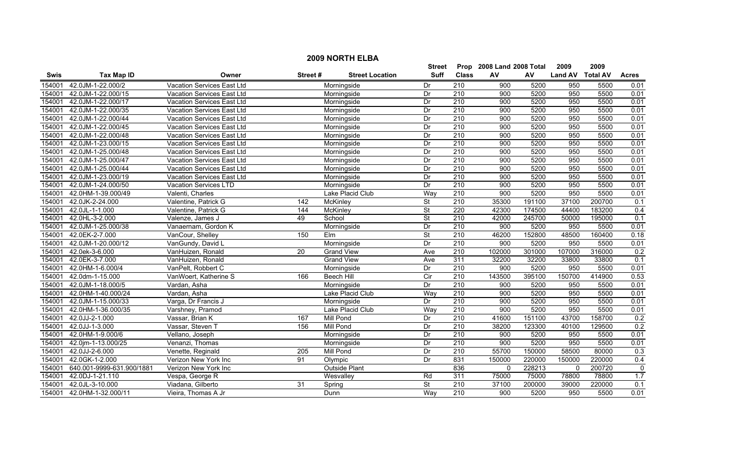|             | <b>2009 NORTH ELBA</b>    |                                   |                 |                        |                          |                  |                           |        |                  |        |              |  |
|-------------|---------------------------|-----------------------------------|-----------------|------------------------|--------------------------|------------------|---------------------------|--------|------------------|--------|--------------|--|
|             |                           |                                   |                 |                        | Street                   |                  | Prop 2008 Land 2008 Total |        | 2009             | 2009   |              |  |
| <b>Swis</b> | <b>Tax Map ID</b>         | Owner                             | Street#         | <b>Street Location</b> | <b>Suff</b>              | <b>Class</b>     | AV                        | AV     | Land AV Total AV |        | <b>Acres</b> |  |
| 154001      | 42.0JM-1-22.000/2         | <b>Vacation Services East Ltd</b> |                 | Morningside            | Dr                       | $\overline{210}$ | 900                       | 5200   | 950              | 5500   | 0.01         |  |
| 154001      | 42.0JM-1-22.000/15        | Vacation Services East Ltd        |                 | Morningside            | Dr                       | $\overline{210}$ | 900                       | 5200   | 950              | 5500   | 0.01         |  |
| 154001      | 42.0JM-1-22.000/17        | Vacation Services East Ltd        |                 | Morningside            | Dr                       | 210              | 900                       | 5200   | 950              | 5500   | 0.01         |  |
| 154001      | 42.0JM-1-22.000/35        | Vacation Services East Ltd        |                 | Morningside            | Dr                       | 210              | 900                       | 5200   | 950              | 5500   | 0.01         |  |
| 154001      | 42.0JM-1-22.000/44        | Vacation Services East Ltd        |                 | Morningside            | Dr                       | 210              | 900                       | 5200   | 950              | 5500   | 0.01         |  |
| 154001      | 42.0JM-1-22.000/45        | Vacation Services East Ltd        |                 | Morningside            | Dr                       | 210              | 900                       | 5200   | 950              | 5500   | 0.01         |  |
| 154001      | 42.0JM-1-22.000/48        | Vacation Services East Ltd        |                 | Morningside            | Dr                       | 210              | 900                       | 5200   | 950              | 5500   | 0.01         |  |
| 154001      | 42.0JM-1-23.000/15        | Vacation Services East Ltd        |                 | Morningside            | Dr                       | 210              | 900                       | 5200   | 950              | 5500   | 0.01         |  |
| 154001      | 42.0JM-1-25.000/48        | Vacation Services East Ltd        |                 | Morningside            | Dr                       | $\overline{210}$ | 900                       | 5200   | 950              | 5500   | 0.01         |  |
| 154001      | 42.0JM-1-25.000/47        | Vacation Services East Ltd        |                 | Morningside            | Dr                       | 210              | 900                       | 5200   | 950              | 5500   | 0.01         |  |
| 154001      | 42.0JM-1-25.000/44        | Vacation Services East Ltd        |                 | Morningside            | Dr                       | 210              | 900                       | 5200   | 950              | 5500   | 0.01         |  |
| 154001      | 42.0JM-1-23.000/19        | Vacation Services East Ltd        |                 | Morningside            | Dr                       | $\overline{210}$ | 900                       | 5200   | 950              | 5500   | 0.01         |  |
| 154001      | 42.0JM-1-24.000/50        | Vacation Services LTD             |                 | Morningside            | Dr                       | $\overline{210}$ | 900                       | 5200   | 950              | 5500   | 0.01         |  |
| 154001      | 42.0HM-1-39.000/49        | Valenti, Charles                  |                 | Lake Placid Club       | Way                      | 210              | 900                       | 5200   | 950              | 5500   | 0.01         |  |
| 154001      | 42.0JK-2-24.000           | Valentine, Patrick G              | 142             | McKinley               | St                       | $\overline{210}$ | 35300                     | 191100 | 37100            | 200700 | 0.1          |  |
| 154001      | 42.0JL-1-1.000            | Valentine, Patrick G              | 144             | McKinley               | <b>St</b>                | 220              | 42300                     | 174500 | 44400            | 183200 | 0.4          |  |
| 154001      | 42.0HL-3-2.000            | Valenze, James J                  | 49              | School                 | <b>St</b>                | 210              | 42000                     | 245700 | 50000            | 195000 | 0.1          |  |
| 154001      | 42.0JM-1-25.000/38        | Vanaernam, Gordon K               |                 | Morningside            | Dr                       | 210              | 900                       | 5200   | 950              | 5500   | 0.01         |  |
| 154001      | 42.0EK-2-7.000            | VanCour, Shelley                  | 150             | <b>Elm</b>             | <b>St</b>                | 210              | 46200                     | 152800 | 48500            | 160400 | 0.18         |  |
| 154001      | 42.0JM-1-20.000/12        | VanGundy, David L                 |                 | Morningside            | Dr                       | 210              | 900                       | 5200   | 950              | 5500   | 0.01         |  |
| 154001      | 42.0ek-3-6.000            | VanHuizen, Ronald                 | $\overline{20}$ | <b>Grand View</b>      | Ave                      | 210              | 102000                    | 301000 | 107000           | 316000 | 0.2          |  |
| 154001      | 42.0EK-3-7.000            | VanHuizen, Ronald                 |                 | <b>Grand View</b>      | Ave                      | 311              | 32200                     | 32200  | 33800            | 33800  | 0.1          |  |
| 154001      | 42.0HM-1-6.000/4          | VanPelt, Robbert C                |                 | Morningside            | Dr                       | $\overline{210}$ | 900                       | 5200   | 950              | 5500   | 0.01         |  |
| 154001      | 42.0dm-1-15.000           | VanWoert, Katherine S             | 166             | Beech Hill             | Cir                      | 210              | 143500                    | 395100 | 150700           | 414900 | 0.53         |  |
| 154001      | 42.0JM-1-18.000/5         | Vardan, Asha                      |                 | Morningside            | Dr                       | $\overline{210}$ | 900                       | 5200   | 950              | 5500   | 0.01         |  |
| 154001      | 42.0HM-1-40.000/24        | Vardan, Asha                      |                 | Lake Placid Club       | Way                      | 210              | 900                       | 5200   | 950              | 5500   | 0.01         |  |
| 154001      | 42.0JM-1-15.000/33        | Varga, Dr Francis J               |                 | Morningside            | Dr                       | 210              | 900                       | 5200   | 950              | 5500   | 0.01         |  |
| 154001      | 42.0HM-1-36.000/35        | Varshney, Pramod                  |                 | Lake Placid Club       | Way                      | $\overline{210}$ | 900                       | 5200   | 950              | 5500   | 0.01         |  |
| 154001      | 42.0JJ-2-1.000            | Vassar, Brian K                   | 167             | Mill Pond              | Dr                       | 210              | 41600                     | 151100 | 43700            | 158700 | 0.2          |  |
| 154001      | 42.0JJ-1-3.000            | Vassar, Steven T                  | 156             | <b>Mill Pond</b>       | Dr                       | 210              | 38200                     | 123300 | 40100            | 129500 | 0.2          |  |
| 154001      | 42.0HM-1-9.000/6          | Vellano, Joseph                   |                 | Morningside            | Dr                       | 210              | 900                       | 5200   | 950              | 5500   | 0.01         |  |
| 154001      | 42.0jm-1-13.000/25        | Venanzi, Thomas                   |                 | Morningside            | Dr                       | 210              | 900                       | 5200   | 950              | 5500   | 0.01         |  |
| 154001      | 42.0JJ-2-6.000            | Venette, Reginald                 | 205             | <b>Mill Pond</b>       | Dr                       | 210              | 55700                     | 150000 | 58500            | 80000  | 0.3          |  |
| 154001      | 42.0GK-1-2.000            | Verizon New York Inc              | 91              | Olympic                | Dr                       | 831              | 150000                    | 220000 | 150000           | 220000 | 0.4          |  |
| 154001      | 640.001-9999-631.900/1881 | Verizon New York Inc              |                 | Outside Plant          |                          | 836              | $\mathbf{0}$              | 228213 | $\mathbf 0$      | 200720 | $\mathbf 0$  |  |
| 154001      | 42.0DJ-1-21.110           | Vespa, George R                   |                 | Wesvalley              | Rd                       | 311              | 75000                     | 75000  | 78800            | 78800  | 1.7          |  |
| 154001      | 42.0JL-3-10.000           | Viadana, Gilberto                 | 31              | Spring                 | $\overline{\mathsf{St}}$ | 210              | 37100                     | 200000 | 39000            | 220000 | 0.1          |  |
| 154001      | 42.0HM-1-32.000/11        | Vieira. Thomas A Jr               |                 | Dunn                   | Way                      | $\overline{210}$ | 900                       | 5200   | 950              | 5500   | 0.01         |  |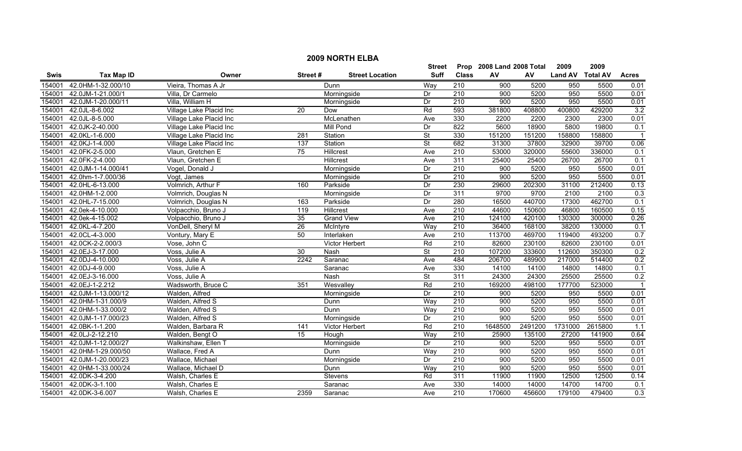|        | <b>2009 NORTH ELBA</b> |                         |         |                        |                          |                  |                           |         |                  |         |                         |  |
|--------|------------------------|-------------------------|---------|------------------------|--------------------------|------------------|---------------------------|---------|------------------|---------|-------------------------|--|
|        |                        |                         |         |                        | Street                   |                  | Prop 2008 Land 2008 Total |         | 2009             | 2009    |                         |  |
| Swis   | <b>Tax Map ID</b>      | Owner                   | Street# | <b>Street Location</b> | <b>Suff</b>              | <b>Class</b>     | AV                        | AV      | Land AV Total AV |         | <b>Acres</b>            |  |
| 154001 | 42.0HM-1-32.000/10     | Vieira, Thomas A Jr     |         | Dunn                   | Way                      | 210              | 900                       | 5200    | 950              | 5500    | 0.01                    |  |
| 154001 | 42.0JM-1-21.000/1      | Villa, Dr Carmelo       |         | Morningside            | Dr                       | 210              | 900                       | 5200    | 950              | 5500    | 0.01                    |  |
| 154001 | 42.0JM-1-20.000/11     | Villa, William H        |         | Morningside            | Dr                       | 210              | 900                       | 5200    | 950              | 5500    | 0.01                    |  |
| 154001 | 42.0JL-8-6.002         | Village Lake Placid Inc | 20      | Dow                    | Rd                       | 593              | 381800                    | 408800  | 400800           | 429200  | 3.2                     |  |
| 154001 | 42.0JL-8-5.000         | Village Lake Placid Inc |         | McLenathen             | Ave                      | 330              | 2200                      | 2200    | 2300             | 2300    | 0.01                    |  |
| 154001 | 42.0JK-2-40.000        | Village Lake Placid Inc |         | <b>Mill Pond</b>       | Dr                       | 822              | 5600                      | 18900   | 5800             | 19800   | 0.1                     |  |
| 154001 | 42.0KL-1-6.000         | Village Lake Placid Inc | 281     | Station                | $\overline{\mathsf{St}}$ | 330              | 151200                    | 151200  | 158800           | 158800  | $\overline{\mathbf{1}}$ |  |
| 154001 | 42.0KJ-1-4.000         | Village Lake Placid Inc | 137     | Station                | $\overline{\mathsf{St}}$ | 682              | 31300                     | 37800   | 32900            | 39700   | 0.06                    |  |
| 154001 | 42.0FK-2-5.000         | Vlaun, Gretchen E       | 75      | Hillcrest              | Ave                      | 210              | 53000                     | 320000  | 55600            | 336000  | 0.1                     |  |
| 154001 | 42.0FK-2-4.000         | Vlaun, Gretchen E       |         | Hillcrest              | Ave                      | 311              | 25400                     | 25400   | 26700            | 26700   | 0.1                     |  |
| 154001 | 42.0JM-1-14.000/41     | Vogel, Donald J         |         | Morningside            | Dr                       | 210              | $\overline{900}$          | 5200    | 950              | 5500    | 0.01                    |  |
| 154001 | 42.0hm-1-7.000/36      | Vogt, James             |         | Morningside            | Dr                       | $\overline{210}$ | $\overline{900}$          | 5200    | 950              | 5500    | 0.01                    |  |
| 154001 | 42.0HL-6-13.000        | Volmrich, Arthur F      | 160     | Parkside               | Dr                       | 230              | 29600                     | 202300  | 31100            | 212400  | 0.13                    |  |
| 154001 | 42.0HM-1-2.000         | Volmrich, Douglas N     |         | Morningside            | Dr                       | 311              | 9700                      | 9700    | 2100             | 2100    | 0.3                     |  |
| 154001 | 42.0HL-7-15.000        | Volmrich, Douglas N     | 163     | Parkside               | Dr                       | 280              | 16500                     | 440700  | 17300            | 462700  | 0.1                     |  |
| 154001 | 42.0ek-4-10.000        | Volpacchio, Bruno J     | 119     | Hillcrest              | Ave                      | $\overline{210}$ | 44600                     | 150600  | 46800            | 160500  | 0.15                    |  |
| 154001 | 42.0ek-4-15.002        | Volpacchio, Bruno J     | 35      | <b>Grand View</b>      | Ave                      | 210              | 124100                    | 420100  | 130300           | 300000  | 0.26                    |  |
| 154001 | 42.0KL-4-7.200         | VonDell, Sheryl M       | 26      | McIntyre               | Way                      | 210              | 36400                     | 168100  | 38200            | 130000  | 0.1                     |  |
| 154001 | 42.0CL-4-3.000         | Vontury, Mary E         | 50      | Interlaken             | Ave                      | 210              | 113700                    | 469700  | 119400           | 493200  | 0.7                     |  |
| 154001 | 42.0CK-2-2.000/3       | Vose, John C            |         | <b>Victor Herbert</b>  | Rd                       | 210              | 82600                     | 230100  | 82600            | 230100  | 0.01                    |  |
| 154001 | 42.0EJ-3-17.000        | Voss, Julie A           | 30      | Nash                   | St                       | $\overline{210}$ | 107200                    | 333600  | 112600           | 350300  | 0.2                     |  |
| 154001 | 42.0DJ-4-10.000        | Voss, Julie A           | 2242    | Saranac                | Ave                      | 484              | 206700                    | 489900  | 217000           | 514400  | 0.2                     |  |
| 154001 | 42.0DJ-4-9.000         | Voss, Julie A           |         | Saranac                | Ave                      | 330              | 14100                     | 14100   | 14800            | 14800   | 0.1                     |  |
| 154001 | 42.0EJ-3-16.000        | Voss, Julie A           |         | Nash                   | $\overline{\mathsf{St}}$ | 311              | 24300                     | 24300   | 25500            | 25500   | 0.2                     |  |
| 154001 | 42.0EJ-1-2.212         | Wadsworth, Bruce C      | 351     | Wesvalley              | Rd                       | 210              | 169200                    | 498100  | 177700           | 523000  | $\overline{\mathbf{1}}$ |  |
| 154001 | 42.0JM-1-13.000/12     | Walden, Alfred          |         | Morningside            | Dr                       | $\overline{210}$ | 900                       | 5200    | 950              | 5500    | 0.01                    |  |
| 154001 | 42.0HM-1-31.000/9      | Walden, Alfred S        |         | Dunn                   | Way                      | $\overline{210}$ | 900                       | 5200    | 950              | 5500    | 0.01                    |  |
| 154001 | 42.0HM-1-33.000/2      | Walden, Alfred S        |         | Dunn                   | Way                      | $\overline{210}$ | $\overline{900}$          | 5200    | 950              | 5500    | 0.01                    |  |
| 154001 | 42.0JM-1-17.000/23     | Walden, Alfred S        |         | Morningside            | Dr                       | 210              | 900                       | 5200    | 950              | 5500    | 0.01                    |  |
| 154001 | 42.0BK-1-1.200         | Walden, Barbara R       | 141     | <b>Victor Herbert</b>  | Rd                       | 210              | 1648500                   | 2491200 | 1731000          | 2615800 | 1.1                     |  |
| 154001 | 42.0LJ-2-12.210        | Walden, Bengt O         | 15      | Hough                  | Way                      | 210              | 25900                     | 135100  | 27200            | 141900  | 0.64                    |  |
| 154001 | 42.0JM-1-12.000/27     | Walkinshaw, Ellen T     |         | Morningside            | Dr                       | 210              | 900                       | 5200    | 950              | 5500    | 0.01                    |  |
| 154001 | 42.0HM-1-29.000/50     | Wallace, Fred A         |         | Dunn                   | Way                      | 210              | 900                       | 5200    | 950              | 5500    | 0.01                    |  |
| 154001 | 42.0JM-1-20.000/23     | Wallace, Michael        |         | Morningside            | Dr                       | $\overline{210}$ | 900                       | 5200    | 950              | 5500    | 0.01                    |  |
| 154001 | 42.0HM-1-33.000/24     | Wallace, Michael D      |         | Dunn                   | Way                      | 210              | 900                       | 5200    | 950              | 5500    | 0.01                    |  |
| 154001 | 42.0DK-3-4.200         | Walsh, Charles E        |         | Stevens                | Rd                       | 311              | 11900                     | 11900   | 12500            | 12500   | 0.14                    |  |
| 154001 | 42.0DK-3-1.100         | Walsh, Charles E        |         | Saranac                | Ave                      | 330              | 14000                     | 14000   | 14700            | 14700   | 0.1                     |  |
| 154001 | 42.0DK-3-6.007         | Walsh, Charles E        | 2359    | Saranac                | Ave                      | 210              | 170600                    | 456600  | 179100           | 479400  | 0.3                     |  |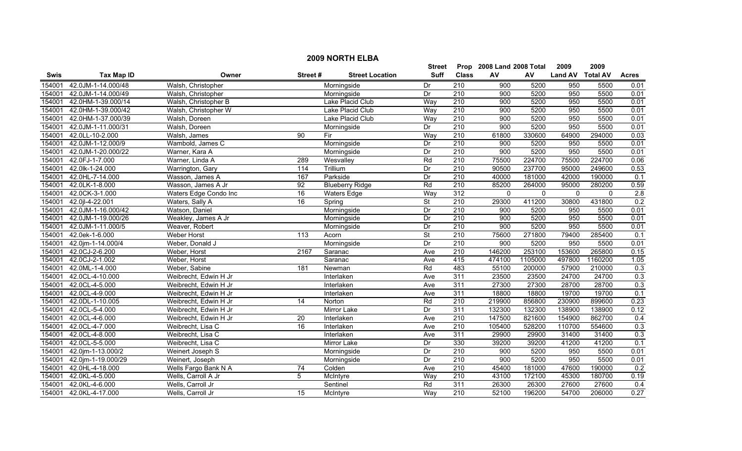|             | <b>2009 NORTH ELBA</b> |                       |                 |                        |                          |                  |                           |             |                  |             |              |  |
|-------------|------------------------|-----------------------|-----------------|------------------------|--------------------------|------------------|---------------------------|-------------|------------------|-------------|--------------|--|
|             |                        |                       |                 |                        | Street                   |                  | Prop 2008 Land 2008 Total |             | 2009             | 2009        |              |  |
| <b>Swis</b> | <b>Tax Map ID</b>      | Owner                 | Street#         | <b>Street Location</b> | Suff                     | <b>Class</b>     | AV                        | AV          | Land AV Total AV |             | <b>Acres</b> |  |
| 154001      | 42.0JM-1-14.000/48     | Walsh, Christopher    |                 | Morningside            | Dr                       | 210              | 900                       | 5200        | 950              | 5500        | 0.01         |  |
| 154001      | 42.0JM-1-14.000/49     | Walsh, Christopher    |                 | Morningside            | Dr                       | $\overline{210}$ | 900                       | 5200        | 950              | 5500        | 0.01         |  |
| 154001      | 42.0HM-1-39.000/14     | Walsh, Christopher B  |                 | Lake Placid Club       | Way                      | 210              | 900                       | 5200        | 950              | 5500        | 0.01         |  |
| 154001      | 42.0HM-1-39.000/42     | Walsh, Christopher W  |                 | Lake Placid Club       | Way                      | 210              | 900                       | 5200        | 950              | 5500        | 0.01         |  |
| 154001      | 42.0HM-1-37.000/39     | Walsh, Doreen         |                 | Lake Placid Club       | Way                      | 210              | 900                       | 5200        | 950              | 5500        | 0.01         |  |
| 154001      | 42.0JM-1-11.000/31     | Walsh, Doreen         |                 | Morningside            | Dr                       | 210              | 900                       | 5200        | 950              | 5500        | 0.01         |  |
| 154001      | 42.0LL-10-2.000        | Walsh, James          | 90              | Fir                    | Way                      | 210              | 61800                     | 330600      | 64900            | 294000      | 0.03         |  |
| 154001      | 42.0JM-1-12.000/9      | Wambold, James C      |                 | Morningside            | Dr                       | 210              | 900                       | 5200        | 950              | 5500        | 0.01         |  |
| 154001      | 42.0JM-1-20.000/22     | Warner, Kara A        |                 | Morningside            | Dr                       | 210              | 900                       | 5200        | 950              | 5500        | 0.01         |  |
| 154001      | 42.0FJ-1-7.000         | Warner, Linda A       | 289             | Wesvalley              | Rd                       | 210              | 75500                     | 224700      | 75500            | 224700      | 0.06         |  |
| 154001      | 42.0lk-1-24.000        | Warrington, Gary      | 114             | Trillium               | Dr                       | 210              | 90500                     | 237700      | 95000            | 249600      | 0.53         |  |
| 154001      | 42.0HL-7-14.000        | Wasson, James A       | 167             | Parkside               | Dr                       | 210              | 40000                     | 181000      | 42000            | 190000      | 0.1          |  |
| 154001      | 42.0LK-1-8.000         | Wasson, James A Jr    | $\overline{92}$ | <b>Blueberry Ridge</b> | Rd                       | 210              | 85200                     | 264000      | 95000            | 280200      | 0.59         |  |
| 154001      | 42.0CK-3-1.000         | Waters Edge Condo Inc | 16              | Waters Edge            | Way                      | 312              | $\mathbf{0}$              | $\mathbf 0$ | $\mathbf 0$      | $\mathbf 0$ | 2.8          |  |
| 154001      | 42.0jl-4-22.001        | Waters, Sally A       | 16              | Spring                 | $\overline{\mathsf{St}}$ | 210              | 29300                     | 411200      | 30800            | 431800      | 0.2          |  |
| 154001      | 42.0JM-1-16.000/42     | Watson, Daniel        |                 | Morningside            | Dr                       | 210              | 900                       | 5200        | 950              | 5500        | 0.01         |  |
| 154001      | 42.0JM-1-19.000/26     | Weakley, James A Jr   |                 | Morningside            | Dr                       | 210              | 900                       | 5200        | 950              | 5500        | 0.01         |  |
| 154001      | 42.0JM-1-11.000/5      | Weaver, Robert        |                 | Morningside            | Dr                       | 210              | 900                       | 5200        | 950              | 5500        | 0.01         |  |
| 154001      | 42.0ek-1-6.000         | Weber Horst           | 113             | Acorn                  | $\overline{\mathsf{St}}$ | 210              | 75600                     | 271800      | 79400            | 285400      | 0.1          |  |
| 154001      | 42.0jm-1-14.000/4      | Weber, Donald J       |                 | Morningside            | Dr                       | 210              | 900                       | 5200        | 950              | 5500        | 0.01         |  |
| 154001      | 42.0CJ-2-6.200         | Weber, Horst          | 2167            | Saranac                | Ave                      | 210              | 146200                    | 253100      | 153600           | 265800      | 0.15         |  |
| 154001      | 42.0CJ-2-1.002         | Weber, Horst          |                 | Saranac                | Ave                      | 415              | 474100                    | 1105000     | 497800           | 1160200     | 1.05         |  |
| 154001      | 42.0ML-1-4.000         | Weber, Sabine         | 181             | Newman                 | Rd                       | 483              | 55100                     | 200000      | 57900            | 210000      | 0.3          |  |
| 154001      | 42.0CL-4-10.000        | Weibrecht, Edwin H Jr |                 | Interlaken             | Ave                      | 311              | 23500                     | 23500       | 24700            | 24700       | 0.3          |  |
| 154001      | 42.0CL-4-5.000         | Weibrecht, Edwin H Jr |                 | Interlaken             | Ave                      | 311              | 27300                     | 27300       | 28700            | 28700       | 0.3          |  |
| 154001      | 42.0CL-4-9.000         | Weibrecht, Edwin H Jr |                 | Interlaken             | Ave                      | 311              | 18800                     | 18800       | 19700            | 19700       | 0.1          |  |
| 154001      | 42.0DL-1-10.005        | Weibrecht, Edwin H Jr | $\overline{14}$ | Norton                 | Rd                       | $\overline{210}$ | 219900                    | 856800      | 230900           | 899600      | 0.23         |  |
| 154001      | 42.0CL-5-4.000         | Weibrecht, Edwin H Jr |                 | <b>Mirror Lake</b>     | Dr                       | 311              | 132300                    | 132300      | 138900           | 138900      | 0.12         |  |
| 154001      | 42.0CL-4-6.000         | Weibrecht, Edwin H Jr | 20              | Interlaken             | Ave                      | 210              | 147500                    | 821600      | 154900           | 862700      | 0.4          |  |
| 154001      | 42.0CL-4-7.000         | Weibrecht, Lisa C     | $\overline{16}$ | Interlaken             | Ave                      | 210              | 105400                    | 528200      | 110700           | 554600      | 0.3          |  |
| 154001      | 42.0CL-4-8.000         | Weibrecht, Lisa C     |                 | Interlaken             | Ave                      | 311              | 29900                     | 29900       | 31400            | 31400       | 0.3          |  |
| 154001      | 42.0CL-5-5.000         | Weibrecht, Lisa C     |                 | <b>Mirror Lake</b>     | Dr                       | 330              | 39200                     | 39200       | 41200            | 41200       | 0.1          |  |
| 154001      | 42.0jm-1-13.000/2      | Weinert Joseph S      |                 | Morningside            | Dr                       | 210              | 900                       | 5200        | 950              | 5500        | 0.01         |  |
| 154001      | 42.0jm-1-19.000/29     | Weinert, Joseph       |                 | Morningside            | Dr                       | 210              | 900                       | 5200        | 950              | 5500        | 0.01         |  |
| 154001      | 42.0HL-4-18.000        | Wells Fargo Bank N A  | $\overline{74}$ | Colden                 | Ave                      | $\overline{210}$ | 45400                     | 181000      | 47600            | 190000      | 0.2          |  |
| 154001      | 42.0KL-4-5.000         | Wells, Carroll A Jr   | 5               | McIntyre               | Way                      | 210              | 43100                     | 172100      | 45300            | 180700      | 0.19         |  |
| 154001      | 42.0KL-4-6.000         | Wells, Carroll Jr     |                 | Sentinel               | Rd                       | 311              | 26300                     | 26300       | 27600            | 27600       | 0.4          |  |
|             | 154001 42.0KL-4-17.000 | Wells, Carroll Jr     | 15              | McIntyre               | Way                      | $\overline{210}$ | 52100                     | 196200      | 54700            | 206000      | 0.27         |  |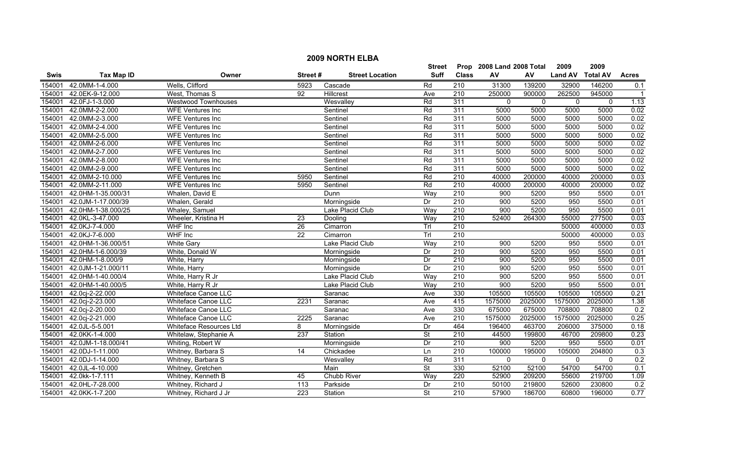|             |                    |                            |                  |                        | <b>Street</b>            |                  | Prop 2008 Land 2008 Total |             | 2009           | 2009            |              |
|-------------|--------------------|----------------------------|------------------|------------------------|--------------------------|------------------|---------------------------|-------------|----------------|-----------------|--------------|
| <b>Swis</b> | <b>Tax Map ID</b>  | Owner                      | Street#          | <b>Street Location</b> | <b>Suff</b>              | <b>Class</b>     | AV                        | AV          | <b>Land AV</b> | <b>Total AV</b> | <b>Acres</b> |
| 154001      | 42.0MM-1-4.000     | Wells, Clifford            | 5923             | Cascade                | Rd                       | $\overline{210}$ | 31300                     | 139200      | 32900          | 146200          | 0.1          |
| 154001      | 42.0EK-9-12.000    | West, Thomas S             | $\overline{92}$  | Hillcrest              | Ave                      | 210              | 250000                    | 900000      | 262500         | 945000          | -1           |
| 154001      | 42.0FJ-1-3.000     | <b>Westwood Townhouses</b> |                  | Wesvalley              | Rd                       | 311              | $\mathbf{0}$              | $\mathbf 0$ | $\mathbf{0}$   | $\mathbf{0}$    | 1.13         |
| 154001      | 42.0MM-2-2.000     | <b>WFE Ventures Inc</b>    |                  | Sentinel               | Rd                       | 311              | 5000                      | 5000        | 5000           | 5000            | 0.02         |
| 154001      | 42.0MM-2-3.000     | <b>WFE Ventures Inc</b>    |                  | Sentinel               | Rd                       | 311              | 5000                      | 5000        | 5000           | 5000            | 0.02         |
| 154001      | 42.0MM-2-4.000     | <b>WFE Ventures Inc</b>    |                  | Sentinel               | Rd                       | 311              | 5000                      | 5000        | 5000           | 5000            | 0.02         |
| 154001      | 42.0MM-2-5.000     | <b>WFE Ventures Inc</b>    |                  | Sentinel               | Rd                       | 311              | 5000                      | 5000        | 5000           | 5000            | 0.02         |
| 154001      | 42.0MM-2-6.000     | <b>WFE Ventures Inc</b>    |                  | Sentinel               | Rd                       | 311              | 5000                      | 5000        | 5000           | 5000            | 0.02         |
| 154001      | 42.0MM-2-7.000     | <b>WFE Ventures Inc</b>    |                  | Sentinel               | Rd                       | 311              | 5000                      | 5000        | 5000           | 5000            | 0.02         |
| 154001      | 42.0MM-2-8.000     | <b>WFE Ventures Inc</b>    |                  | Sentinel               | Rd                       | 311              | 5000                      | 5000        | 5000           | 5000            | 0.02         |
| 154001      | 42.0MM-2-9.000     | <b>WFE Ventures Inc</b>    |                  | Sentinel               | Rd                       | 311              | 5000                      | 5000        | 5000           | 5000            | 0.02         |
| 154001      | 42.0MM-2-10.000    | <b>WFE Ventures Inc</b>    | 5950             | Sentinel               | Rd                       | $\overline{210}$ | 40000                     | 200000      | 40000          | 200000          | 0.03         |
| 154001      | 42.0MM-2-11.000    | <b>WFE Ventures Inc</b>    | 5950             | Sentinel               | Rd                       | $\overline{210}$ | 40000                     | 200000      | 40000          | 200000          | 0.02         |
| 154001      | 42.0HM-1-35.000/31 | Whalen, David E            |                  | Dunn                   | Way                      | 210              | 900                       | 5200        | 950            | 5500            | 0.01         |
| 154001      | 42.0JM-1-17.000/39 | Whalen, Gerald             |                  | Morningside            | Dr                       | 210              | 900                       | 5200        | 950            | 5500            | 0.01         |
| 154001      | 42.0HM-1-38.000/25 | Whaley, Samuel             |                  | Lake Placid Club       | Way                      | 210              | 900                       | 5200        | 950            | 5500            | 0.01         |
| 154001      | 42.0KL-3-47.000    | Wheeler, Kristina H        | 23               | Dooling                | Way                      | 210              | 52400                     | 264300      | 55000          | 277500          | 0.03         |
| 154001      | 42.0KJ-7-4.000     | <b>WHF</b> Inc             | 26               | Cimarron               | Trl                      | 210              |                           |             | 50000          | 400000          | 0.03         |
| 154001      | 42.0KJ-7-6.000     | <b>WHF</b> Inc             | $\overline{22}$  | Cimarron               | TrI                      | 210              |                           |             | 50000          | 400000          | 0.03         |
| 154001      | 42.0HM-1-36.000/51 | <b>White Gary</b>          |                  | Lake Placid Club       | Way                      | 210              | 900                       | 5200        | 950            | 5500            | 0.01         |
| 154001      | 42.0HM-1-6.000/39  | White, Donald W            |                  | Morningside            | Dr                       | 210              | 900                       | 5200        | 950            | 5500            | 0.01         |
| 154001      | 42.0HM-1-8.000/9   | White, Harry               |                  | Morningside            | Dr                       | 210              | 900                       | 5200        | 950            | 5500            | 0.01         |
| 154001      | 42.0JM-1-21.000/11 | White, Harry               |                  | Morningside            | Dr                       | $\overline{210}$ | 900                       | 5200        | 950            | 5500            | 0.01         |
| 154001      | 42.0HM-1-40.000/4  | White, Harry R Jr          |                  | Lake Placid Club       | Way                      | 210              | 900                       | 5200        | 950            | 5500            | 0.01         |
| 154001      | 42.0HM-1-40.000/5  | White, Harry R Jr          |                  | Lake Placid Club       | Way                      | $\overline{210}$ | $\overline{900}$          | 5200        | 950            | 5500            | 0.01         |
| 154001      | 42.0cj-2-22.000    | Whiteface Canoe LLC        |                  | Saranac                | Ave                      | 330              | 105500                    | 105500      | 105500         | 105500          | 0.21         |
| 154001      | 42.0cj-2-23.000    | Whiteface Canoe LLC        | 2231             | Saranac                | Ave                      | 415              | 1575000                   | 2025000     | 1575000        | 2025000         | 1.38         |
| 154001      | 42.0cj-2-20.000    | Whiteface Canoe LLC        |                  | Saranac                | Ave                      | 330              | 675000                    | 675000      | 708800         | 708800          | 0.2          |
| 154001      | 42.0cj-2-21.000    | Whiteface Canoe LLC        | 2225             | Saranac                | Ave                      | 210              | 1575000                   | 2025000     | 1575000        | 2025000         | 0.25         |
| 154001      | 42.0JL-5-5.001     | Whiteface Resources Ltd    | 8                | Morningside            | Dr                       | 464              | 196400                    | 463700      | 206000         | 375000          | 0.18         |
| 154001      | 42.0KK-1-4.000     | Whitelaw, Stephanie A      | 237              | Station                | <b>St</b>                | 210              | 44500                     | 199800      | 46700          | 209800          | 0.23         |
| 154001      | 42.0JM-1-18.000/41 | Whiting, Robert W          |                  | Morningside            | Dr                       | 210              | 900                       | 5200        | 950            | 5500            | 0.01         |
| 154001      | 42.0DJ-1-11.000    | Whitney, Barbara S         | 14               | Chickadee              | Ln                       | 210              | 100000                    | 195000      | 105000         | 204800          | 0.3          |
| 154001      | 42.0DJ-1-14.000    | Whitney, Barbara S         |                  | Wesvalley              | Rd                       | 311              | $\mathbf{0}$              | $\Omega$    | $\mathbf{0}$   | $\Omega$        | 0.2          |
| 154001      | 42.0JL-4-10.000    | Whitney, Gretchen          |                  | Main                   | St                       | 330              | 52100                     | 52100       | 54700          | 54700           | 0.1          |
| 154001      | 42.0kk-1-7.111     | Whitney, Kenneth B         | 45               | Chubb River            | Way                      | 220              | 52900                     | 209200      | 55600          | 219700          | 1.09         |
| 154001      | 42.0HL-7-28.000    | Whitney, Richard J         | $\overline{113}$ | Parkside               | Dr                       | $\overline{210}$ | 50100                     | 219800      | 52600          | 230800          | 0.2          |
| 154001      | 42.0KK-1-7.200     | Whitney, Richard J Jr      | 223              | Station                | $\overline{\mathsf{St}}$ | $\overline{210}$ | 57900                     | 186700      | 60800          | 196000          | 0.77         |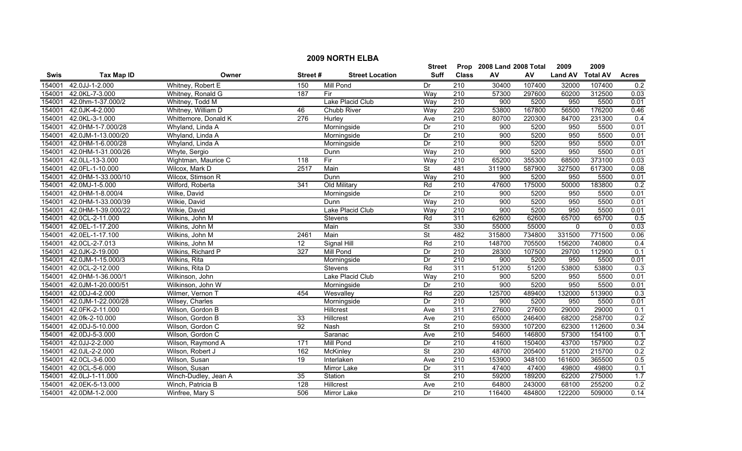|        | <b>2009 NORTH ELBA</b> |                      |         |                        |                          |                  |                           |        |                |                 |              |  |
|--------|------------------------|----------------------|---------|------------------------|--------------------------|------------------|---------------------------|--------|----------------|-----------------|--------------|--|
|        |                        |                      |         |                        | <b>Street</b>            |                  | Prop 2008 Land 2008 Total |        | 2009           | 2009            |              |  |
| Swis   | <b>Tax Map ID</b>      | Owner                | Street# | <b>Street Location</b> | <b>Suff</b>              | <b>Class</b>     | AV                        | AV     | <b>Land AV</b> | <b>Total AV</b> | <b>Acres</b> |  |
| 154001 | 42.0JJ-1-2.000         | Whitney, Robert E    | 150     | <b>Mill Pond</b>       | Dr                       | 210              | 30400                     | 107400 | 32000          | 107400          | 0.2          |  |
| 154001 | 42.0KL-7-3.000         | Whitney, Ronald G    | 187     | Fir                    | Way                      | $\overline{210}$ | 57300                     | 297600 | 60200          | 312500          | 0.03         |  |
| 154001 | 42.0hm-1-37.000/2      | Whitney, Todd M      |         | Lake Placid Club       | Way                      | 210              | 900                       | 5200   | 950            | 5500            | 0.01         |  |
| 154001 | 42.0JK-4-2.000         | Whitney, William D   | 46      | Chubb River            | Way                      | 220              | 53800                     | 167800 | 56500          | 176200          | 0.46         |  |
| 154001 | 42.0KL-3-1.000         | Whittemore, Donald K | 276     | Hurley                 | Ave                      | 210              | 80700                     | 220300 | 84700          | 231300          | 0.4          |  |
| 154001 | 42.0HM-1-7.000/28      | Whyland, Linda A     |         | Morningside            | Dr                       | 210              | 900                       | 5200   | 950            | 5500            | 0.01         |  |
| 154001 | 42.0JM-1-13.000/20     | Whyland, Linda A     |         | Morningside            | Dr                       | 210              | 900                       | 5200   | 950            | 5500            | 0.01         |  |
| 154001 | 42.0HM-1-6.000/28      | Whyland, Linda A     |         | Morningside            | Dr                       | 210              | 900                       | 5200   | 950            | 5500            | 0.01         |  |
| 154001 | 42.0HM-1-31.000/26     | Whyte, Sergio        |         | Dunn                   | Way                      | $\overline{210}$ | 900                       | 5200   | 950            | 5500            | 0.01         |  |
| 154001 | 42.0LL-13-3.000        | Wightman, Maurice C  | 118     | Fir                    | Way                      | 210              | 65200                     | 355300 | 68500          | 373100          | 0.03         |  |
| 154001 | 42.0FL-1-10.000        | Wilcox, Mark D       | 2517    | Main                   | $\overline{\mathsf{St}}$ | 481              | 311900                    | 587900 | 327500         | 617300          | 0.08         |  |
| 154001 | 42.0HM-1-33.000/10     | Wilcox, Stimson R    |         | Dunn                   | Way                      | 210              | 900                       | 5200   | 950            | 5500            | 0.01         |  |
| 154001 | 42.0MJ-1-5.000         | Wilford, Roberta     | 341     | Old Military           | Rd                       | 210              | 47600                     | 175000 | 50000          | 183800          | 0.2          |  |
| 154001 | 42.0HM-1-8.000/4       | Wilke, David         |         | Morningside            | Dr                       | 210              | 900                       | 5200   | 950            | 5500            | 0.01         |  |
| 154001 | 42.0HM-1-33.000/39     | Wilkie, David        |         | Dunn                   | Way                      | $\overline{210}$ | 900                       | 5200   | 950            | 5500            | 0.01         |  |
| 154001 | 42.0HM-1-39.000/22     | Wilkie, David        |         | Lake Placid Club       | Way                      | 210              | 900                       | 5200   | 950            | 5500            | 0.01         |  |
| 154001 | 42.0CL-2-11.000        | Wilkins, John M      |         | Stevens                | Rd                       | 311              | 62600                     | 62600  | 65700          | 65700           | 0.5          |  |
| 154001 | 42.0EL-1-17.200        | Wilkins, John M      |         | Main                   | $\overline{\mathsf{St}}$ | 330              | 55000                     | 55000  | $\mathbf{0}$   | $\mathbf{0}$    | 0.03         |  |
| 154001 | 42.0EL-1-17.100        | Wilkins, John M      | 2461    | Main                   | $\overline{\mathsf{St}}$ | 482              | 315800                    | 734800 | 331500         | 771500          | 0.06         |  |
| 154001 | 42.0CL-2-7.013         | Wilkins, John M      | 12      | Signal Hill            | Rd                       | 210              | 148700                    | 705500 | 156200         | 740800          | 0.4          |  |
| 154001 | 42.0JK-2-19.000        | Wilkins, Richard P   | 327     | <b>Mill Pond</b>       | Dr                       | 210              | 28300                     | 107500 | 29700          | 112900          | 0.1          |  |
| 154001 | 42.0JM-1-15.000/3      | Wilkins, Rita        |         | Morningside            | Dr                       | $\overline{210}$ | 900                       | 5200   | 950            | 5500            | 0.01         |  |
| 154001 | 42.0CL-2-12.000        | Wilkins, Rita D      |         | <b>Stevens</b>         | Rd                       | 311              | 51200                     | 51200  | 53800          | 53800           | 0.3          |  |
| 154001 | 42.0HM-1-36.000/1      | Wilkinson, John      |         | Lake Placid Club       | Way                      | $\overline{210}$ | 900                       | 5200   | 950            | 5500            | 0.01         |  |
| 154001 | 42.0JM-1-20.000/51     | Wilkinson, John W    |         | Morningside            | Dr                       | 210              | 900                       | 5200   | 950            | 5500            | 0.01         |  |
| 154001 | 42.0DJ-4-2.000         | Wilmer, Vernon T     | 454     | Wesvalley              | Rd                       | 220              | 125700                    | 489400 | 132000         | 513900          | 0.3          |  |
| 154001 | 42.0JM-1-22.000/28     | Wilsey, Charles      |         | Morningside            | Dr                       | 210              | 900                       | 5200   | 950            | 5500            | 0.01         |  |
| 154001 | 42.0FK-2-11.000        | Wilson, Gordon B     |         | Hillcrest              | Ave                      | 311              | 27600                     | 27600  | 29000          | 29000           | 0.1          |  |
| 154001 | 42.0fk-2-10.000        | Wilson, Gordon B     | 33      | Hillcrest              | Ave                      | 210              | 65000                     | 246400 | 68200          | 258700          | 0.2          |  |
| 154001 | 42.0DJ-5-10.000        | Wilson, Gordon C     | 92      | <b>Nash</b>            | $\overline{\mathsf{St}}$ | 210              | 59300                     | 107200 | 62300          | 112600          | 0.34         |  |
| 154001 | 42.0DJ-5-3.000         | Wilson, Gordon C     |         | Saranac                | Ave                      | 210              | 54600                     | 146800 | 57300          | 154100          | 0.1          |  |
| 154001 | 42.0JJ-2-2.000         | Wilson, Raymond A    | 171     | <b>Mill Pond</b>       | Dr                       | 210              | 41600                     | 150400 | 43700          | 157900          | 0.2          |  |
| 154001 | 42.0JL-2-2.000         | Wilson, Robert J     | 162     | McKinley               | <b>St</b>                | 230              | 48700                     | 205400 | 51200          | 215700          | 0.2          |  |
| 154001 | 42.0CL-3-6.000         | Wilson, Susan        | 19      | Interlaken             | Ave                      | 210              | 153900                    | 348100 | 161600         | 365500          | 0.5          |  |
| 154001 | 42.0CL-5-6.000         | Wilson, Susan        |         | Mirror Lake            | Dr                       | 311              | 47400                     | 47400  | 49800          | 49800           | 0.1          |  |
| 154001 | 42.0LJ-1-11.000        | Winch-Dudley, Jean A | 35      | Station                | <b>St</b>                | 210              | 59200                     | 189200 | 62200          | 275000          | 1.7          |  |
| 154001 | 42.0EK-5-13.000        | Winch, Patricia B    | 128     | <b>Hillcrest</b>       | Ave                      | $\overline{210}$ | 64800                     | 243000 | 68100          | 255200          | 0.2          |  |
|        | 154001 42.0DM-1-2.000  | Winfree, Mary S      | 506     | Mirror Lake            | Dr                       | $\overline{210}$ | 116400                    | 484800 | 122200         | 509000          | 0.14         |  |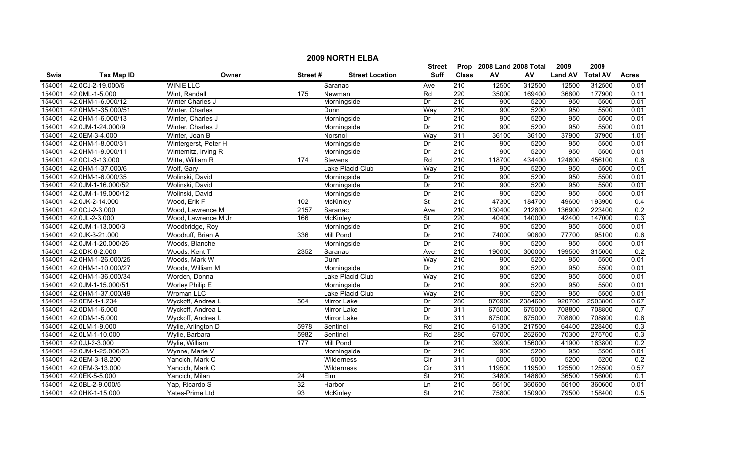|             | <b>2009 NORTH ELBA</b> |                      |                 |                        |                          |                           |        |         |                |                 |                  |  |
|-------------|------------------------|----------------------|-----------------|------------------------|--------------------------|---------------------------|--------|---------|----------------|-----------------|------------------|--|
|             |                        |                      |                 | Street                 |                          | Prop 2008 Land 2008 Total |        | 2009    | 2009           |                 |                  |  |
| <b>Swis</b> | <b>Tax Map ID</b>      | Owner                | Street#         | <b>Street Location</b> | <b>Suff</b>              | <b>Class</b>              | AV     | AV      | <b>Land AV</b> | <b>Total AV</b> | <b>Acres</b>     |  |
| 154001      | 42.0CJ-2-19.000/5      | <b>WINIE LLC</b>     |                 | Saranac                | Ave                      | 210                       | 12500  | 312500  | 12500          | 312500          | 0.01             |  |
| 154001      | 42.0ML-1-5.000         | Wint, Randall        | 175             | Newman                 | Rd                       | $\overline{220}$          | 35000  | 169400  | 36800          | 177900          | 0.11             |  |
| 154001      | 42.0HM-1-6.000/12      | Winter Charles J     |                 | Morningside            | Dr                       | 210                       | 900    | 5200    | 950            | 5500            | 0.01             |  |
| 154001      | 42.0HM-1-35.000/51     | Winter, Charles      |                 | Dunn                   | Way                      | 210                       | 900    | 5200    | 950            | 5500            | 0.01             |  |
| 154001      | 42.0HM-1-6.000/13      | Winter, Charles J    |                 | Morningside            | Dr                       | 210                       | 900    | 5200    | 950            | 5500            | 0.01             |  |
| 154001      | 42.0JM-1-24.000/9      | Winter, Charles J    |                 | Morningside            | Dr                       | 210                       | 900    | 5200    | 950            | 5500            | 0.01             |  |
| 154001      | 42.0EM-3-4.000         | Winter, Joan B       |                 | Norsnol                | Way                      | 311                       | 36100  | 36100   | 37900          | 37900           | 1.01             |  |
| 154001      | 42.0HM-1-8.000/31      | Wintergerst, Peter H |                 | Morningside            | Dr                       | 210                       | 900    | 5200    | 950            | 5500            | 0.01             |  |
| 154001      | 42.0HM-1-9.000/11      | Winternitz, Irving R |                 | Morningside            | Dr                       | 210                       | 900    | 5200    | 950            | 5500            | 0.01             |  |
| 154001      | 42.0CL-3-13.000        | Witte, William R     | 174             | Stevens                | Rd                       | 210                       | 118700 | 434400  | 124600         | 456100          | 0.6              |  |
| 154001      | 42.0HM-1-37.000/6      | Wolf, Gary           |                 | Lake Placid Club       | Way                      | 210                       | 900    | 5200    | 950            | 5500            | 0.01             |  |
| 154001      | 42.0HM-1-6.000/35      | Wolinski, David      |                 | Morningside            | Dr                       | 210                       | 900    | 5200    | 950            | 5500            | 0.01             |  |
| 154001      | 42.0JM-1-16.000/52     | Wolinski, David      |                 | Morningside            | Dr                       | $\overline{210}$          | 900    | 5200    | 950            | 5500            | 0.01             |  |
| 154001      | 42.0JM-1-19.000/12     | Wolinski, David      |                 | Morningside            | Dr                       | $\overline{210}$          | 900    | 5200    | 950            | 5500            | 0.01             |  |
| 154001      | 42.0JK-2-14.000        | Wood, Erik F         | 102             | McKinley               | St                       | $\overline{210}$          | 47300  | 184700  | 49600          | 193900          | 0.4              |  |
| 154001      | 42.0CJ-2-3.000         | Wood, Lawrence M     | 2157            | Saranac                | Ave                      | 210                       | 130400 | 212800  | 136900         | 223400          | 0.2              |  |
| 154001      | 42.0JL-2-3.000         | Wood, Lawrence M Jr  | 166             | <b>McKinley</b>        | $\overline{\mathsf{St}}$ | 220                       | 40400  | 140000  | 42400          | 147000          | 0.3              |  |
| 154001      | 42.0JM-1-13.000/3      | Woodbridge, Roy      |                 | Morningside            | Dr                       | 210                       | 900    | 5200    | 950            | 5500            | 0.01             |  |
| 154001      | 42.0JK-3-21.000        | Woodruff, Brian A    | 336             | <b>Mill Pond</b>       | Dr                       | 210                       | 74000  | 90600   | 77700          | 95100           | 0.6              |  |
| 154001      | 42.0JM-1-20.000/26     | Woods, Blanche       |                 | Morningside            | Dr                       | 210                       | 900    | 5200    | 950            | 5500            | 0.01             |  |
| 154001      | 42.0DK-6-2.000         | Woods, Kent T        | 2352            | Saranac                | Ave                      | 210                       | 190000 | 300000  | 199500         | 315000          | 0.2              |  |
| 154001      | 42.0HM-1-26.000/25     | Woods, Mark W        |                 | Dunn                   | Way                      | $\overline{210}$          | 900    | 5200    | 950            | 5500            | 0.01             |  |
| 154001      | 42.0HM-1-10.000/27     | Woods, William M     |                 | Morningside            | Dr                       | 210                       | 900    | 5200    | 950            | 5500            | 0.01             |  |
| 154001      | 42.0HM-1-36.000/34     | Worden, Donna        |                 | Lake Placid Club       | Way                      | $\overline{210}$          | 900    | 5200    | 950            | 5500            | 0.01             |  |
| 154001      | 42.0JM-1-15.000/51     | Worley Philip E      |                 | Morningside            | Dr                       | 210                       | 900    | 5200    | 950            | 5500            | 0.01             |  |
| 154001      | 42.0HM-1-37.000/49     | <b>Wroman LLC</b>    |                 | Lake Placid Club       | Way                      | 210                       | 900    | 5200    | 950            | 5500            | 0.01             |  |
| 154001      | 42.0EM-1-1.234         | Wyckoff, Andrea L    | 564             | Mirror Lake            | Dr                       | 280                       | 876900 | 2384600 | 920700         | 2503800         | 0.67             |  |
| 154001      | 42.0DM-1-6.000         | Wyckoff, Andrea L    |                 | Mirror Lake            | Dr                       | 311                       | 675000 | 675000  | 708800         | 708800          | 0.7              |  |
| 154001      | 42.0DM-1-5.000         | Wyckoff, Andrea L    |                 | <b>Mirror Lake</b>     | Dr                       | 311                       | 675000 | 675000  | 708800         | 708800          | 0.6              |  |
| 154001      | 42.0LM-1-9.000         | Wylie, Arlington D   | 5978            | Sentinel               | Rd                       | 210                       | 61300  | 217500  | 64400          | 228400          | 0.3              |  |
| 154001      | 42.0LM-1-10.000        | Wylie, Barbara       | 5982            | Sentinel               | Rd                       | 280                       | 67000  | 262600  | 70300          | 275700          | 0.3              |  |
| 154001      | 42.0JJ-2-3.000         | Wylie, William       | 177             | Mill Pond              | Dr                       | 210                       | 39900  | 156000  | 41900          | 163800          | 0.2              |  |
| 154001      | 42.0JM-1-25.000/23     | Wynne, Marie V       |                 | Morningside            | Dr                       | 210                       | 900    | 5200    | 950            | 5500            | 0.01             |  |
| 154001      | 42.0EM-3-18.200        | Yancich, Mark C      |                 | Wilderness             | $\overline{C}$           | 311                       | 5000   | 5000    | 5200           | 5200            | 0.2              |  |
| 154001      | 42.0EM-3-13.000        | Yancich, Mark C      |                 | Wilderness             | $\overline{C}$           | 311                       | 119500 | 119500  | 125500         | 125500          | 0.57             |  |
| 154001      | 42.0EK-5-5.000         | Yancich, Milan       | 24              | Elm                    | St                       | 210                       | 34800  | 148600  | 36500          | 156000          | $\overline{0.1}$ |  |
| 154001      | 42.0BL-2-9.000/5       | Yap, Ricardo S       | $\overline{32}$ | Harbor                 | Ln                       | 210                       | 56100  | 360600  | 56100          | 360600          | 0.01             |  |
| 154001      | 42.0HK-1-15.000        | Yates-Prime Ltd      | 93              | <b>McKinley</b>        | St                       | 210                       | 75800  | 150900  | 79500          | 158400          | 0.5              |  |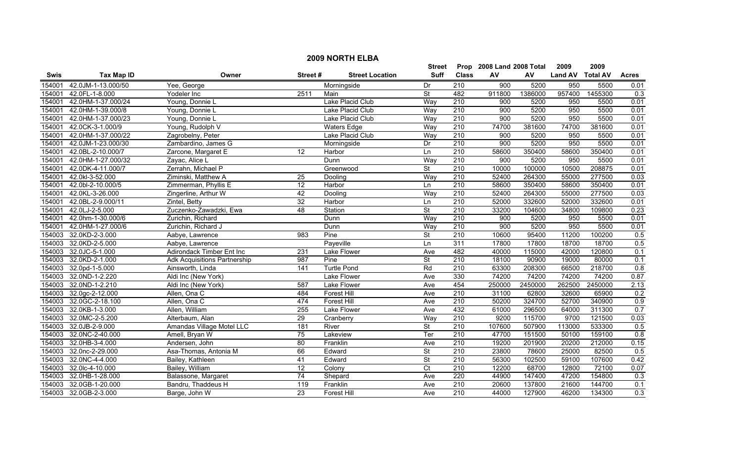|             | <b>2009 NORTH ELBA</b> |                                     |                  |                        |                          |                           |        |         |                  |         |                  |  |
|-------------|------------------------|-------------------------------------|------------------|------------------------|--------------------------|---------------------------|--------|---------|------------------|---------|------------------|--|
|             |                        |                                     |                  | Street                 |                          | Prop 2008 Land 2008 Total |        | 2009    | 2009             |         |                  |  |
| <b>Swis</b> | <b>Tax Map ID</b>      | Owner                               | Street#          | <b>Street Location</b> | <b>Suff</b>              | <b>Class</b>              | AV     | AV      | Land AV Total AV |         | <b>Acres</b>     |  |
| 154001      | 42.0JM-1-13.000/50     | Yee, George                         |                  | Morningside            | Dr                       | 210                       | 900    | 5200    | 950              | 5500    | 0.01             |  |
| 154001      | 42.0FL-1-8.000         | Yodeler Inc                         | 2511             | Main                   | St                       | 482                       | 911800 | 1386000 | 957400           | 1455300 | $\overline{0.3}$ |  |
| 154001      | 42.0HM-1-37.000/24     | Young, Donnie L                     |                  | Lake Placid Club       | Way                      | 210                       | 900    | 5200    | 950              | 5500    | 0.01             |  |
| 154001      | 42.0HM-1-39.000/8      | Young, Donnie L                     |                  | Lake Placid Club       | Way                      | 210                       | 900    | 5200    | 950              | 5500    | 0.01             |  |
| 154001      | 42.0HM-1-37.000/23     | Young, Donnie L                     |                  | Lake Placid Club       | Way                      | 210                       | 900    | 5200    | 950              | 5500    | 0.01             |  |
| 154001      | 42.0CK-3-1.000/9       | Young, Rudolph V                    |                  | <b>Waters Edge</b>     | Way                      | 210                       | 74700  | 381600  | 74700            | 381600  | 0.01             |  |
| 154001      | 42.0HM-1-37.000/22     | Zagrobelny, Peter                   |                  | Lake Placid Club       | Way                      | 210                       | 900    | 5200    | 950              | 5500    | 0.01             |  |
| 154001      | 42.0JM-1-23.000/30     | Zambardino, James G                 |                  | Morningside            | Dr                       | 210                       | 900    | 5200    | 950              | 5500    | 0.01             |  |
| 154001      | 42.0BL-2-10.000/7      | Zarcone, Margaret E                 | $\overline{12}$  | Harbor                 | Ln                       | 210                       | 58600  | 350400  | 58600            | 350400  | 0.01             |  |
| 154001      | 42.0HM-1-27.000/32     | Zayac, Alice L                      |                  | Dunn                   | Way                      | 210                       | 900    | 5200    | 950              | 5500    | 0.01             |  |
| 154001      | 42.0DK-4-11.000/7      | Zerrahn, Michael P                  |                  | Greenwood              | $\overline{\mathsf{St}}$ | 210                       | 10000  | 100000  | 10500            | 208875  | 0.01             |  |
| 154001      | 42.0kl-3-52.000        | Ziminski, Matthew A                 | 25               | Dooling                | Way                      | 210                       | 52400  | 264300  | 55000            | 277500  | 0.03             |  |
| 154001      | 42.0bl-2-10.000/5      | Zimmerman, Phyllis E                | 12               | Harbor                 | Ln                       | 210                       | 58600  | 350400  | 58600            | 350400  | 0.01             |  |
| 154001      | 42.0KL-3-26.000        | Zingerline, Arthur W                | 42               | Dooling                | Way                      | 210                       | 52400  | 264300  | 55000            | 277500  | 0.03             |  |
| 154001      | 42.0BL-2-9.000/11      | Zintel, Betty                       | 32               | Harbor                 | Ln                       | 210                       | 52000  | 332600  | 52000            | 332600  | 0.01             |  |
| 154001      | 42.0LJ-2-5.000         | Zuczenko-Zawadzki, Ewa              | 48               | Station                | $\overline{\mathsf{St}}$ | 210                       | 33200  | 104600  | 34800            | 109800  | 0.23             |  |
| 154001      | 42.0hm-1-30.000/6      | Zurichin, Richard                   |                  | Dunn                   | Way                      | 210                       | 900    | 5200    | 950              | 5500    | 0.01             |  |
| 154001      | 42.0HM-1-27.000/6      | Zurichin, Richard J                 |                  | Dunn                   | Way                      | 210                       | 900    | 5200    | 950              | 5500    | 0.01             |  |
| 154003      | 32.0KD-2-3.000         | Aabye, Lawrence                     | 983              | Pine                   | St                       | 210                       | 10600  | 95400   | 11200            | 100200  | 0.5              |  |
| 154003      | 32.0KD-2-5.000         | Aabye, Lawrence                     |                  | Payeville              | Ln                       | 311                       | 17800  | 17800   | 18700            | 18700   | 0.5              |  |
| 154003      | 32.0JC-5-1.000         | Adirondack Timber Ent Inc           | 231              | Lake Flower            | Ave                      | 482                       | 40000  | 115000  | 42000            | 120800  | 0.1              |  |
| 154003      | 32.0KD-2-1.000         | <b>Adk Acquisitions Partnership</b> | 987              | Pine                   | $\overline{\mathsf{St}}$ | 210                       | 18100  | 90900   | 19000            | 80000   | 0.1              |  |
| 154003      | 32.0pd-1-5.000         | Ainsworth, Linda                    | $\overline{141}$ | <b>Turtle Pond</b>     | Rd                       | 210                       | 63300  | 208300  | 66500            | 218700  | 0.8              |  |
| 154003      | 32.0ND-1-2.220         | Aldi Inc (New York)                 |                  | Lake Flower            | Ave                      | 330                       | 74200  | 74200   | 74200            | 74200   | 0.87             |  |
| 154003      | 32.0ND-1-2.210         | Aldi Inc (New York)                 | 587              | Lake Flower            | Ave                      | 454                       | 250000 | 2450000 | 262500           | 2450000 | 2.13             |  |
| 154003      | 32.0gc-2-12.000        | Allen, Ona C                        | 484              | Forest Hill            | Ave                      | 210                       | 31100  | 62800   | 32600            | 65900   | 0.2              |  |
| 154003      | 32.0GC-2-18.100        | Allen, Ona C                        | 474              | <b>Forest Hill</b>     | Ave                      | $\overline{210}$          | 50200  | 324700  | 52700            | 340900  | 0.9              |  |
| 154003      | 32.0KB-1-3.000         | Allen, William                      | 255              | Lake Flower            | Ave                      | 432                       | 61000  | 296500  | 64000            | 311300  | 0.7              |  |
| 154003      | 32.0MC-2-5.200         | Alterbaum, Alan                     | 29               | Cranberry              | Way                      | 210                       | 9200   | 115700  | 9700             | 121500  | 0.03             |  |
| 154003      | 32.0JB-2-9.000         | Amandas Village Motel LLC           | 181              | River                  | $\overline{\mathsf{St}}$ | 210                       | 107600 | 507900  | 113000           | 533300  | 0.5              |  |
| 154003      | 32.0NC-2-40.000        | Amell, Bryan W                      | 75               | Lakeview               | Ter                      | 210                       | 47700  | 151500  | 50100            | 159100  | 0.8              |  |
| 154003      | 32.0HB-3-4.000         | Andersen, John                      | 80               | Franklin               | Ave                      | 210                       | 19200  | 201900  | 20200            | 212000  | 0.15             |  |
| 154003      | 32.0nc-2-29.000        | Asa-Thomas, Antonia M               | 66               | Edward                 | <b>St</b>                | 210                       | 23800  | 78600   | 25000            | 82500   | 0.5              |  |
| 154003      | 32.0NC-4-4.000         | Bailey, Kathleen                    | 41               | Edward                 | $\overline{\mathsf{St}}$ | 210                       | 56300  | 102500  | 59100            | 107600  | 0.42             |  |
| 154003      | 32.0lc-4-10.000        | Bailey, William                     | $\overline{12}$  | Colony                 | $\overline{C}$           | $\overline{210}$          | 12200  | 68700   | 12800            | 72100   | 0.07             |  |
| 154003      | 32.0HB-1-28.000        | Balassone, Margaret                 | $\overline{74}$  | Shepard                | Ave                      | 220                       | 44900  | 147400  | 47200            | 154800  | 0.3              |  |
| 154003      | 32.0GB-1-20.000        | Bandru, Thaddeus H                  | 119              | Franklin               | Ave                      | $\overline{210}$          | 20600  | 137800  | 21600            | 144700  | 0.1              |  |
|             | 154003 32.0GB-2-3.000  | Barge, John W                       | $\overline{23}$  | <b>Forest Hill</b>     | Ave                      | $\overline{210}$          | 44000  | 127900  | 46200            | 134300  | 0.3              |  |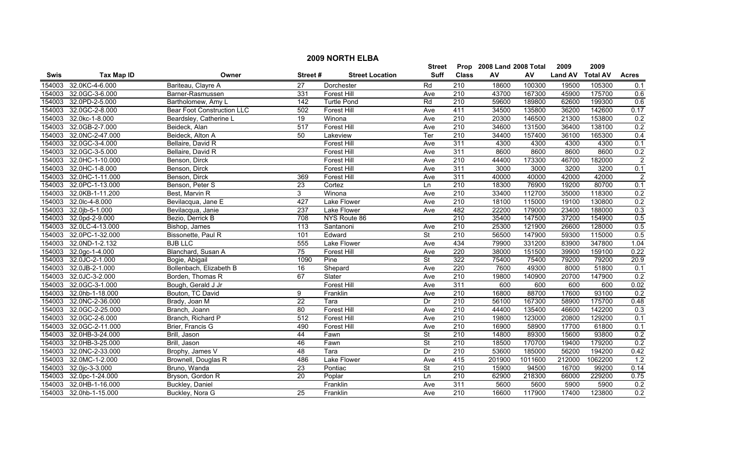|             |                   |                                   |                  |                        | <b>Street</b>            |                  | Prop 2008 Land 2008 Total |         | 2009           | 2009            |                |
|-------------|-------------------|-----------------------------------|------------------|------------------------|--------------------------|------------------|---------------------------|---------|----------------|-----------------|----------------|
| <b>Swis</b> | <b>Tax Map ID</b> | Owner                             | Street#          | <b>Street Location</b> | <b>Suff</b>              | <b>Class</b>     | AV                        | AV      | <b>Land AV</b> | <b>Total AV</b> | <b>Acres</b>   |
| 154003      | 32.0KC-4-6.000    | Bariteau, Clayre A                | 27               | Dorchester             | Rd                       | 210              | 18600                     | 100300  | 19500          | 105300          | 0.1            |
| 154003      | 32.0GC-3-6.000    | Barner-Rasmussen                  | 331              | Forest Hill            | Ave                      | 210              | 43700                     | 167300  | 45900          | 175700          | 0.6            |
| 154003      | 32.0PD-2-5.000    | Bartholomew, Amy L                | $\overline{142}$ | <b>Turtle Pond</b>     | Rd                       | $\overline{210}$ | 59600                     | 189800  | 62600          | 199300          | 0.6            |
| 154003      | 32.0GC-2-8.000    | <b>Bear Foot Construction LLC</b> | 502              | <b>Forest Hill</b>     | Ave                      | 411              | 34500                     | 135800  | 36200          | 142600          | 0.17           |
| 154003      | 32.0kc-1-8.000    | Beardsley, Catherine L            | 19               | Winona                 | Ave                      | 210              | 20300                     | 146500  | 21300          | 153800          | 0.2            |
| 154003      | 32.0GB-2-7.000    | Beideck, Alan                     | 517              | <b>Forest Hill</b>     | Ave                      | 210              | 34600                     | 131500  | 36400          | 138100          | 0.2            |
| 154003      | 32.0NC-2-47.000   | Beideck, Alton A                  | 50               | Lakeview               | Ter                      | 210              | 34400                     | 157400  | 36100          | 165300          | 0.4            |
| 154003      | 32.0GC-3-4.000    | Bellaire, David R                 |                  | <b>Forest Hill</b>     | Ave                      | 311              | 4300                      | 4300    | 4300           | 4300            | 0.1            |
| 154003      | 32.0GC-3-5.000    | Bellaire, David R                 |                  | <b>Forest Hill</b>     | Ave                      | 311              | 8600                      | 8600    | 8600           | 8600            | 0.2            |
| 154003      | 32.0HC-1-10.000   | Benson, Dirck                     |                  | <b>Forest Hill</b>     | Ave                      | $\overline{210}$ | 44400                     | 173300  | 46700          | 182000          | $\overline{2}$ |
| 154003      | 32.0HC-1-8.000    | Benson, Dirck                     |                  | <b>Forest Hill</b>     | Ave                      | 311              | 3000                      | 3000    | 3200           | 3200            | 0.1            |
| 154003      | 32.0HC-1-11.000   | Benson, Dirck                     | 369              | <b>Forest Hill</b>     | Ave                      | 311              | 40000                     | 40000   | 42000          | 42000           | $\overline{2}$ |
| 154003      | 32.0PC-1-13.000   | Benson, Peter S                   | 23               | Cortez                 | Ln                       | $\overline{210}$ | 18300                     | 76900   | 19200          | 80700           | 0.1            |
| 154003      | 32.0KB-1-11.200   | Best, Marvin R                    | 3                | Winona                 | Ave                      | $\overline{210}$ | 33400                     | 112700  | 35000          | 118300          | 0.2            |
| 154003      | 32.0lc-4-8.000    | Bevilacqua, Jane E                | 427              | Lake Flower            | Ave                      | $\overline{210}$ | 18100                     | 115000  | 19100          | 130800          | 0.2            |
| 154003      | 32.0jb-5-1.000    | Bevilacqua, Janie                 | $\overline{237}$ | Lake Flower            | Ave                      | 482              | 22200                     | 179000  | 23400          | 188000          | 0.3            |
| 154003      | 32.0pd-2-9.000    | Bezio, Derrick B                  | 708              | NYS Route 86           |                          | 210              | 35400                     | 147500  | 37200          | 154900          | 0.5            |
| 154003      | 32.0LC-4-13.000   | Bishop, James                     | 113              | Santanoni              | Ave                      | 210              | 25300                     | 121900  | 26600          | 128000          | 0.5            |
| 154003      | 32.0PC-1-32.000   | Bissonette, Paul R                | 101              | Edward                 | $\overline{\mathsf{St}}$ | 210              | 56500                     | 147900  | 59300          | 115000          | 0.5            |
| 154003      | 32.0ND-1-2.132    | <b>BJB LLC</b>                    | 555              | Lake Flower            | Ave                      | 434              | 79900                     | 331200  | 83900          | 347800          | 1.04           |
| 154003      | 32.0gc-1-4.000    | Blanchard, Susan A                | $\overline{75}$  | Forest Hill            | Ave                      | 220              | 38000                     | 151500  | 39900          | 159100          | 0.22           |
| 154003      | 32.0JC-2-1.000    | Bogie, Abigail                    | 1090             | Pine                   | <b>St</b>                | 322              | 75400                     | 75400   | 79200          | 79200           | 20.9           |
| 154003      | 32.0JB-2-1.000    | Bollenbach, Elizabeth B           | 16               | Shepard                | Ave                      | 220              | 7600                      | 49300   | 8000           | 51800           | 0.1            |
| 154003      | 32.0JC-3-2.000    | Borden, Thomas R                  | 67               | Slater                 | Ave                      | $\overline{210}$ | 19800                     | 140900  | 20700          | 147900          | 0.2            |
| 154003      | 32.0GC-3-1.000    | Bough, Gerald J Jr                |                  | <b>Forest Hill</b>     | Ave                      | 311              | 600                       | 600     | 600            | 600             | 0.02           |
| 154003      | 32.0hb-1-18.000   | Bouton, TC David                  | 9                | Franklin               | Ave                      | $\overline{210}$ | 16800                     | 88700   | 17600          | 93100           | 0.2            |
| 154003      | 32.0NC-2-36.000   | Brady, Joan M                     | 22               | Tara                   | Dr                       | 210              | 56100                     | 167300  | 58900          | 175700          | 0.48           |
| 154003      | 32.0GC-2-25.000   | Branch, Joann                     | $\overline{80}$  | Forest Hill            | Ave                      | $\overline{210}$ | 44400                     | 135400  | 46600          | 142200          | 0.3            |
| 154003      | 32.0GC-2-6.000    | Branch, Richard P                 | 512              | <b>Forest Hill</b>     | Ave                      | 210              | 19800                     | 123000  | 20800          | 129200          | 0.1            |
| 154003      | 32.0GC-2-11.000   | Brier, Francis G                  | 490              | <b>Forest Hill</b>     | Ave                      | 210              | 16900                     | 58900   | 17700          | 61800           | 0.1            |
| 154003      | 32.0HB-3-24.000   | Brill, Jason                      | 44               | Fawn                   | $\overline{\mathsf{St}}$ | 210              | 14800                     | 89300   | 15600          | 93800           | 0.2            |
| 154003      | 32.0HB-3-25.000   | Brill, Jason                      | 46               | Fawn                   | <b>St</b>                | 210              | 18500                     | 170700  | 19400          | 179200          | 0.2            |
| 154003      | 32.0NC-2-33.000   | Brophy, James V                   | 48               | Tara                   | Dr                       | 210              | 53600                     | 185000  | 56200          | 194200          | 0.42           |
| 154003      | 32.0MC-1-2.000    | Brownell, Douglas R               | 486              | Lake Flower            | Ave                      | 415              | 201900                    | 1011600 | 212000         | 1062200         | 1.2            |
| 154003      | 32.0jc-3-3.000    | Bruno, Wanda                      | $\overline{23}$  | Pontiac                | <b>St</b>                | $\overline{210}$ | 15900                     | 94500   | 16700          | 99200           | 0.14           |
| 154003      | 32.0pc-1-24.000   | Bryson, Gordon R                  | 20               | Poplar                 | Ln                       | 210              | 62900                     | 218300  | 66000          | 229200          | 0.75           |
| 154003      | 32.0HB-1-16.000   | Buckley, Daniel                   |                  | Franklin               | Ave                      | 311              | 5600                      | 5600    | 5900           | 5900            | 0.2            |
| 154003      | 32.0hb-1-15.000   | Buckley, Nora G                   | 25               | Franklin               | Ave                      | 210              | 16600                     | 117900  | 17400          | 123800          | 0.2            |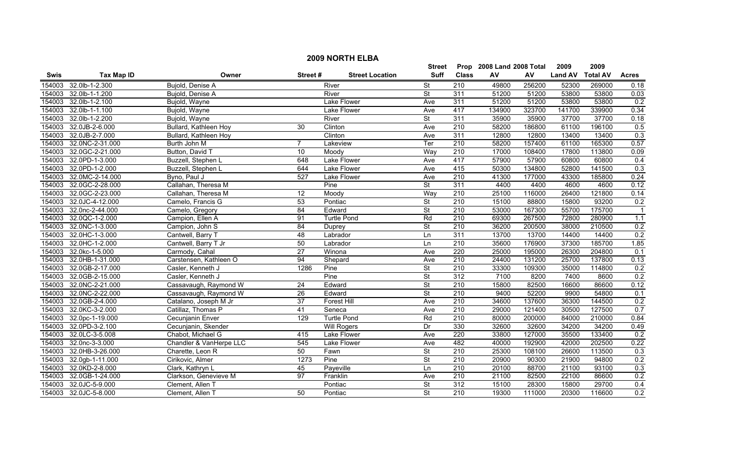|        | <b>2009 NORTH ELBA</b> |                         |                 |                        |                          |                  |                           |        |                |                 |                  |  |
|--------|------------------------|-------------------------|-----------------|------------------------|--------------------------|------------------|---------------------------|--------|----------------|-----------------|------------------|--|
|        |                        |                         |                 |                        | <b>Street</b>            |                  | Prop 2008 Land 2008 Total |        | 2009           | 2009            |                  |  |
| Swis   | <b>Tax Map ID</b>      | Owner                   | Street#         | <b>Street Location</b> | <b>Suff</b>              | <b>Class</b>     | ${\sf AV}$                | AV     | <b>Land AV</b> | <b>Total AV</b> | <b>Acres</b>     |  |
| 154003 | 32.0lb-1-2.300         | Bujold, Denise A        |                 | River                  | $\overline{\mathsf{St}}$ | $\overline{210}$ | 49800                     | 256200 | 52300          | 269000          | 0.18             |  |
| 154003 | 32.0lb-1-1.200         | Bujold, Denise A        |                 | River                  | <b>St</b>                | 311              | 51200                     | 51200  | 53800          | 53800           | 0.03             |  |
| 154003 | 32.0lb-1-2.100         | Bujold, Wayne           |                 | Lake Flower            | Ave                      | 311              | 51200                     | 51200  | 53800          | 53800           | 0.2              |  |
| 154003 | 32.0lb-1-1.100         | Bujold, Wayne           |                 | Lake Flower            | Ave                      | 417              | 134900                    | 323700 | 141700         | 339900          | 0.34             |  |
| 154003 | 32.0lb-1-2.200         | Bujold, Wayne           |                 | River                  | $\overline{\mathsf{St}}$ | 311              | 35900                     | 35900  | 37700          | 37700           | 0.18             |  |
| 154003 | 32.0JB-2-6.000         | Bullard, Kathleen Hoy   | 30              | Clinton                | Ave                      | 210              | 58200                     | 186800 | 61100          | 196100          | 0.5              |  |
| 154003 | 32.0JB-2-7.000         | Bullard, Kathleen Hoy   |                 | Clinton                | Ave                      | 311              | 12800                     | 12800  | 13400          | 13400           | 0.3              |  |
| 154003 | 32.0NC-2-31.000        | Burth John M            |                 | Lakeview               | Ter                      | 210              | 58200                     | 157400 | 61100          | 165300          | 0.57             |  |
| 154003 | 32.0GC-2-21.000        | Button, David T         | 10              | Moody                  | Way                      | 210              | 17000                     | 108400 | 17800          | 113800          | 0.09             |  |
| 154003 | 32.0PD-1-3.000         | Buzzell, Stephen L      | 648             | Lake Flower            | Ave                      | 417              | 57900                     | 57900  | 60800          | 60800           | 0.4              |  |
| 154003 | 32.0PD-1-2.000         | Buzzell, Stephen L      | 644             | Lake Flower            | Ave                      | 415              | 50300                     | 134800 | 52800          | 141500          | $\overline{0.3}$ |  |
| 154003 | 32.0MC-2-14.000        | Byno, Paul J            | 527             | Lake Flower            | Ave                      | 210              | 41300                     | 177000 | 43300          | 185800          | 0.24             |  |
| 154003 | 32.0GC-2-28.000        | Callahan, Theresa M     |                 | Pine                   | $\overline{\mathsf{St}}$ | 311              | 4400                      | 4400   | 4600           | 4600            | 0.12             |  |
| 154003 | 32.0GC-2-23.000        | Callahan, Theresa M     | $\overline{12}$ | Moody                  | Way                      | $\overline{210}$ | 25100                     | 116000 | 26400          | 121800          | 0.14             |  |
| 154003 | 32.0JC-4-12.000        | Camelo, Francis G       | 53              | Pontiac                | $\overline{\mathsf{St}}$ | 210              | 15100                     | 88800  | 15800          | 93200           | 0.2              |  |
| 154003 | 32.0nc-2-44.000        | Camelo, Gregory         | 84              | Edward                 | $\overline{\mathsf{St}}$ | 210              | 53000                     | 167300 | 55700          | 175700          | $\overline{1}$   |  |
| 154003 | 32.0QC-1-2.000         | Campion, Ellen A        | 91              | <b>Turtle Pond</b>     | Rd                       | 210              | 69300                     | 267500 | 72800          | 280900          | 1.1              |  |
| 154003 | 32.0NC-1-3.000         | Campion, John S         | 84              | Duprey                 | <b>St</b>                | 210              | 36200                     | 200500 | 38000          | 210500          | 0.2              |  |
| 154003 | 32.0HC-1-3.000         | Cantwell, Barry T       | $\overline{48}$ | Labrador               | Ln                       | 311              | 13700                     | 13700  | 14400          | 14400           | 0.2              |  |
| 154003 | 32.0HC-1-2.000         | Cantwell, Barry T Jr    | 50              | Labrador               | Ln                       | 210              | 35600                     | 176900 | 37300          | 185700          | 1.85             |  |
| 154003 | 32.0kc-1-5.000         | Carmody, Cahal          | $\overline{27}$ | Winona                 | Ave                      | 220              | 25000                     | 195000 | 26300          | 204800          | 0.1              |  |
| 154003 | 32.0HB-1-31.000        | Carstensen, Kathleen O  | 94              | Shepard                | Ave                      | 210              | 24400                     | 131200 | 25700          | 137800          | 0.13             |  |
| 154003 | 32.0GB-2-17.000        | Casler, Kenneth J       | 1286            | Pine                   | $\overline{\mathsf{St}}$ | $\overline{210}$ | 33300                     | 109300 | 35000          | 114800          | 0.2              |  |
| 154003 | 32.0GB-2-15.000        | Casler, Kenneth J       |                 | Pine                   | St                       | $\overline{312}$ | 7100                      | 8200   | 7400           | 8600            | 0.2              |  |
| 154003 | 32.0NC-2-21.000        | Cassavaugh, Raymond W   | 24              | Edward                 | <b>St</b>                | 210              | 15800                     | 82500  | 16600          | 86600           | 0.12             |  |
| 154003 | 32.0NC-2-22.000        | Cassavaugh, Raymond W   | 26              | Edward                 | $\overline{\mathsf{St}}$ | 210              | 9400                      | 52200  | 9900           | 54800           | 0.1              |  |
| 154003 | 32.0GB-2-4.000         | Catalano, Joseph M Jr   | $\overline{37}$ | <b>Forest Hill</b>     | Ave                      | $\overline{210}$ | 34600                     | 137600 | 36300          | 144500          | 0.2              |  |
| 154003 | 32.0KC-3-2.000         | Catillaz, Thomas P      | 41              | Seneca                 | Ave                      | 210              | 29000                     | 121400 | 30500          | 127500          | 0.7              |  |
| 154003 | 32.0pc-1-19.000        | Cecunjanin Enver        | 129             | <b>Turtle Pond</b>     | Rd                       | 210              | 80000                     | 200000 | 84000          | 210000          | 0.84             |  |
| 154003 | 32.0PD-3-2.100         | Cecunjanin, Skender     |                 | <b>Will Rogers</b>     | Dr                       | 330              | 32600                     | 32600  | 34200          | 34200           | 0.49             |  |
| 154003 | 32.0LC-3-5.008         | Chabot, Michael G       | 415             | Lake Flower            | Ave                      | 220              | 33800                     | 127000 | 35500          | 133400          | 0.2              |  |
| 154003 | 32.0nc-3-3.000         | Chandler & VanHerpe LLC | 545             | <b>Lake Flower</b>     | Ave                      | 482              | 40000                     | 192900 | 42000          | 202500          | 0.22             |  |
| 154003 | 32.0HB-3-26.000        | Charette, Leon R        | 50              | Fawn                   | <b>St</b>                | 210              | 25300                     | 108100 | 26600          | 113500          | 0.3              |  |
| 154003 | 32.0gb-1-11.000        | Cirikovic, Almer        | 1273            | Pine                   | $\overline{\mathsf{St}}$ | 210              | 20900                     | 90300  | 21900          | 94800           | 0.2              |  |
| 154003 | 32.0KD-2-8.000         | Clark, Kathryn L        | 45              | Payeville              | Ln                       | $\overline{210}$ | 20100                     | 88700  | 21100          | 93100           | 0.3              |  |
| 154003 | 32.0GB-1-24.000        | Clarkson, Genevieve M   | 97              | Franklin               | Ave                      | 210              | 21100                     | 82500  | 22100          | 86600           | 0.2              |  |
| 154003 | 32.0JC-5-9.000         | Clement, Allen T        |                 | Pontiac                | St                       | 312              | 15100                     | 28300  | 15800          | 29700           | 0.4              |  |
|        | 154003 32.0JC-5-8.000  | Clement. Allen T        | 50              | Pontiac                | <b>St</b>                | 210              | 19300                     | 111000 | 20300          | 116600          | 0.2              |  |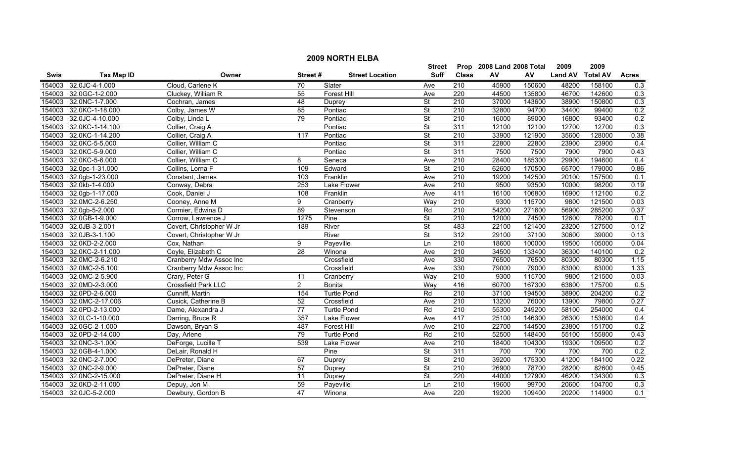| <b>2009 NORTH ELBA</b> |                        |                          |                 |                        |                          |                  |                           |        |                |                 |              |
|------------------------|------------------------|--------------------------|-----------------|------------------------|--------------------------|------------------|---------------------------|--------|----------------|-----------------|--------------|
|                        |                        |                          |                 |                        | <b>Street</b>            |                  | Prop 2008 Land 2008 Total |        | 2009           | 2009            |              |
| Swis                   | <b>Tax Map ID</b>      | Owner                    | Street#         | <b>Street Location</b> | <b>Suff</b>              | <b>Class</b>     | ${\sf AV}$                | AV     | <b>Land AV</b> | <b>Total AV</b> | <b>Acres</b> |
| 154003                 | 32.0JC-4-1.000         | Cloud, Carlene K         | $\overline{70}$ | Slater                 | Ave                      | $\overline{210}$ | 45900                     | 150600 | 48200          | 158100          | 0.3          |
| 154003                 | 32.0GC-1-2.000         | Cluckey, William R       | 55              | <b>Forest Hill</b>     | Ave                      | 220              | 44500                     | 135800 | 46700          | 142600          | 0.3          |
| 154003                 | 32.0NC-1-7.000         | Cochran, James           | 48              | Duprey                 | $\overline{\mathsf{St}}$ | 210              | 37000                     | 143600 | 38900          | 150800          | 0.3          |
| 154003                 | 32.0KC-1-18.000        | Colby, James W           | 85              | Pontiac                | <b>St</b>                | 210              | 32800                     | 94700  | 34400          | 99400           | 0.2          |
| 154003                 | 32.0JC-4-10.000        | Colby, Linda L           | 79              | Pontiac                | $\overline{\mathsf{St}}$ | 210              | 16000                     | 89000  | 16800          | 93400           | 0.2          |
| 154003                 | 32.0KC-1-14.100        | Collier, Craig A         |                 | Pontiac                | $\overline{\mathsf{St}}$ | 311              | 12100                     | 12100  | 12700          | 12700           | 0.3          |
| 154003                 | 32.0KC-1-14.200        | Collier, Craig A         | 117             | Pontiac                | $\overline{\mathsf{St}}$ | 210              | 33900                     | 121900 | 35600          | 128000          | 0.38         |
|                        | 154003 32.0KC-5-5.000  | Collier, William C       |                 | Pontiac                | <b>St</b>                | 311              | 22800                     | 22800  | 23900          | 23900           | 0.4          |
| 154003                 | 32.0KC-5-9.000         | Collier, William C       |                 | Pontiac                | $\overline{\mathsf{St}}$ | 311              | 7500                      | 7500   | 7900           | 7900            | 0.43         |
| 154003                 | 32.0KC-5-6.000         | Collier, William C       | 8               | Seneca                 | Ave                      | $\overline{210}$ | 28400                     | 185300 | 29900          | 194600          | 0.4          |
| 154003                 | 32.0pc-1-31.000        | Collins, Lorna F         | 109             | Edward                 | <b>St</b>                | $\overline{210}$ | 62600                     | 170500 | 65700          | 179000          | 0.86         |
| 154003                 | 32.0gb-1-23.000        | Constant, James          | 103             | Franklin               | Ave                      | 210              | 19200                     | 142500 | 20100          | 157500          | 0.1          |
| 154003                 | 32.0kb-1-4.000         | Conway, Debra            | 253             | <b>Lake Flower</b>     | Ave                      | $\overline{210}$ | 9500                      | 93500  | 10000          | 98200           | 0.19         |
| 154003                 | 32.0gb-1-17.000        | Cook, Daniel J           | 108             | Franklin               | Ave                      | 411              | 16100                     | 106800 | 16900          | 112100          | 0.2          |
| 154003                 | 32.0MC-2-6.250         | Cooney, Anne M           | 9               | Cranberry              | Way                      | $\overline{210}$ | 9300                      | 115700 | 9800           | 121500          | 0.03         |
| 154003                 | 32.0gb-5-2.000         | Cormier, Edwina D        | 89              | Stevenson              | Rd                       | $\overline{210}$ | 54200                     | 271600 | 56900          | 285200          | 0.37         |
|                        | 154003 32.0GB-1-9.000  | Corrow. Lawrence J       | 1275            | Pine                   | $\overline{\mathsf{St}}$ | 210              | 12000                     | 74500  | 12600          | 78200           | 0.1          |
| 154003                 | 32.0JB-3-2.001         | Covert, Christopher W Jr | 189             | River                  | $\overline{\mathsf{St}}$ | 483              | 22100                     | 121400 | 23200          | 127500          | 0.12         |
| 154003                 | 32.0JB-3-1.100         | Covert, Christopher W Jr |                 | River                  | <b>St</b>                | 312              | 29100                     | 37100  | 30600          | 39000           | 0.13         |
|                        | 154003 32.0KD-2-2.000  | Cox, Nathan              | 9               | Payeville              | Ln                       | 210              | 18600                     | 100000 | 19500          | 105000          | 0.04         |
| 154003                 | 32.0KC-2-11.000        | Coyle, Elizabeth C       | $\overline{28}$ | Winona                 | Ave                      | 210              | 34500                     | 133400 | 36300          | 140100          | 0.2          |
| 154003                 | 32.0MC-2-6.210         | Cranberry Mdw Assoc Inc  |                 | Crossfield             | Ave                      | 330              | 76500                     | 76500  | 80300          | 80300           | 1.15         |
| 154003                 | 32.0MC-2-5.100         | Cranberry Mdw Assoc Inc  |                 | Crossfield             | Ave                      | 330              | 79000                     | 79000  | 83000          | 83000           | 1.33         |
| 154003                 | 32.0MC-2-5.900         | Crary, Peter G           | 11              | Cranberry              | Way                      | $\overline{210}$ | 9300                      | 115700 | 9800           | 121500          | 0.03         |
| 154003                 | 32.0MD-2-3.000         | Crossfield Park LLC      | $\overline{2}$  | <b>Bonita</b>          | Way                      | 416              | 60700                     | 167300 | 63800          | 175700          | 0.5          |
|                        | 154003 32.0PD-2-6.000  | Cunniff, Martin          | 154             | <b>Turtle Pond</b>     | Rd                       | 210              | 37100                     | 194500 | 38900          | 204200          | 0.2          |
|                        | 154003 32.0MC-2-17.006 | Cusick, Catherine B      | 52              | Crossfield             | Ave                      | $\overline{210}$ | 13200                     | 76000  | 13900          | 79800           | 0.27         |
| 154003                 | 32.0PD-2-13.000        | Dame, Alexandra J        | 77              | <b>Turtle Pond</b>     | Rd                       | $\overline{210}$ | 55300                     | 249200 | 58100          | 254000          | 0.4          |
| 154003                 | 32.0LC-1-10.000        | Darring, Bruce R         | 357             | <b>Lake Flower</b>     | Ave                      | 417              | 25100                     | 146300 | 26300          | 153600          | 0.4          |
| 154003                 | 32.0GC-2-1.000         | Dawson, Bryan S          | 487             | <b>Forest Hill</b>     | Ave                      | 210              | 22700                     | 144500 | 23800          | 151700          | 0.2          |
|                        | 154003 32.0PD-2-14.000 | Day, Arlene              | 79              | <b>Turtle Pond</b>     | Rd                       | 210              | 52500                     | 148400 | 55100          | 155800          | 0.43         |
| 154003                 | 32.0NC-3-1.000         | DeForge, Lucille T       | 539             | <b>Lake Flower</b>     | Ave                      | 210              | 18400                     | 104300 | 19300          | 109500          | 0.2          |
| 154003                 | 32.0GB-4-1.000         | DeLair, Ronald H         |                 | Pine                   | $\overline{\mathsf{St}}$ | 311              | 700                       | 700    | 700            | 700             | 0.2          |
| 154003                 | 32.0NC-2-7.000         | DePreter, Diane          | 67              | Duprey                 | $\overline{\mathsf{St}}$ | $\overline{210}$ | 39200                     | 175300 | 41200          | 184100          | 0.22         |
| 154003                 | 32.0NC-2-9.000         | DePreter, Diane          | 57              | Duprey                 | $\overline{\mathsf{St}}$ | $\overline{210}$ | 26900                     | 78700  | 28200          | 82600           | 0.45         |
| 154003                 | 32.0NC-2-15.000        | DePreter, Diane H        | 11              | Duprey                 | <b>St</b>                | 220              | 44000                     | 127900 | 46200          | 134300          | 0.3          |
| 154003                 | 32.0KD-2-11.000        | Depuy, Jon M             | 59              | Payeville              | Ln                       | 210              | 19600                     | 99700  | 20600          | 104700          | 0.3          |
|                        | 154003 32.0JC-5-2.000  | Dewbury, Gordon B        | 47              | Winona                 | Ave                      | $\overline{220}$ | 19200                     | 109400 | 20200          | 114900          | 0.1          |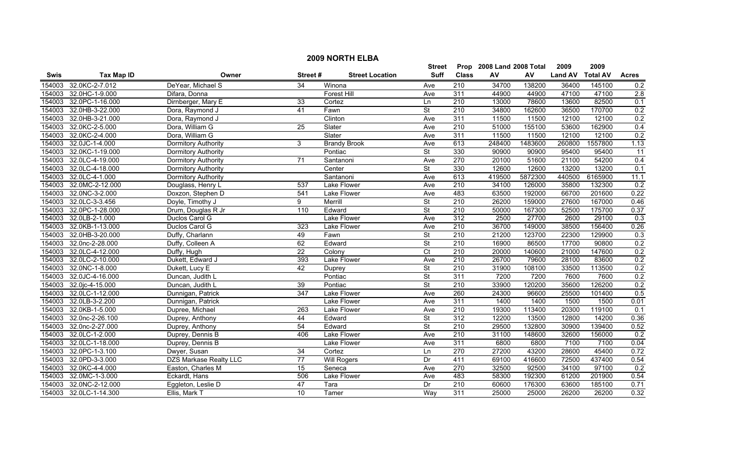|        | <b>2009 NORTH ELBA</b> |                               |                  |                        |                          |                  |                           |         |                |                 |                  |  |
|--------|------------------------|-------------------------------|------------------|------------------------|--------------------------|------------------|---------------------------|---------|----------------|-----------------|------------------|--|
|        |                        |                               |                  |                        | <b>Street</b>            |                  | Prop 2008 Land 2008 Total |         | 2009           | 2009            |                  |  |
| Swis   | <b>Tax Map ID</b>      | Owner                         | Street#          | <b>Street Location</b> | <b>Suff</b>              | <b>Class</b>     | ${\sf AV}$                | AV      | <b>Land AV</b> | <b>Total AV</b> | <b>Acres</b>     |  |
| 154003 | 32.0KC-2-7.012         | DeYear, Michael S             | $\overline{34}$  | Winona                 | Ave                      | 210              | 34700                     | 138200  | 36400          | 145100          | 0.2              |  |
| 154003 | 32.0HC-1-9.000         | Difara, Donna                 |                  | <b>Forest Hill</b>     | Ave                      | 311              | 44900                     | 44900   | 47100          | 47100           | $\overline{2.8}$ |  |
| 154003 | 32.0PC-1-16.000        | Dirnberger, Mary E            | 33               | Cortez                 | Ln                       | 210              | 13000                     | 78600   | 13600          | 82500           | 0.1              |  |
| 154003 | 32.0HB-3-22.000        | Dora, Raymond J               | 41               | Fawn                   | $\overline{\mathsf{St}}$ | 210              | 34800                     | 162600  | 36500          | 170700          | 0.2              |  |
| 154003 | 32.0HB-3-21.000        | Dora, Raymond J               |                  | Clinton                | Ave                      | 311              | 11500                     | 11500   | 12100          | 12100           | 0.2              |  |
| 154003 | 32.0KC-2-5.000         | Dora, William G               | $\overline{25}$  | Slater                 | Ave                      | 210              | 51000                     | 155100  | 53600          | 162900          | 0.4              |  |
| 154003 | 32.0KC-2-4.000         | Dora, William G               |                  | Slater                 | Ave                      | 311              | 11500                     | 11500   | 12100          | 12100           | 0.2              |  |
| 154003 | 32.0JC-1-4.000         | Dormitory Authority           | 3                | <b>Brandy Brook</b>    | Ave                      | 613              | 248400                    | 1483600 | 260800         | 1557800         | 1.13             |  |
| 154003 | 32.0KC-1-19.000        | <b>Dormitory Authority</b>    |                  | Pontiac                | $\overline{\mathsf{St}}$ | 330              | 90900                     | 90900   | 95400          | 95400           | $\overline{11}$  |  |
| 154003 | 32.0LC-4-19.000        | Dormitory Authority           | $\overline{71}$  | Santanoni              | Ave                      | 270              | 20100                     | 51600   | 21100          | 54200           | 0.4              |  |
| 154003 | 32.0LC-4-18.000        | <b>Dormitory Authority</b>    |                  | Center                 | $\overline{\mathsf{St}}$ | 330              | 12600                     | 12600   | 13200          | 13200           | 0.1              |  |
| 154003 | 32.0LC-4-1.000         | Dormitory Authority           |                  | Santanoni              | Ave                      | 613              | 419500                    | 5872300 | 440500         | 6165900         | 11.1             |  |
| 154003 | 32.0MC-2-12.000        | Douglass, Henry L             | 537              | Lake Flower            | Ave                      | $\overline{210}$ | 34100                     | 126000  | 35800          | 132300          | 0.2              |  |
| 154003 | 32.0NC-3-2.000         | Doxzon, Stephen D             | 541              | Lake Flower            | Ave                      | 483              | 63500                     | 192000  | 66700          | 201600          | 0.22             |  |
| 154003 | 32.0LC-3-3.456         | Doyle, Timothy J              | 9                | Merrill                | $\overline{\mathsf{St}}$ | $\overline{210}$ | 26200                     | 159000  | 27600          | 167000          | 0.46             |  |
| 154003 | 32.0PC-1-28.000        | Drum, Douglas R Jr            | 110              | Edward                 | $\overline{\mathsf{St}}$ | 210              | 50000                     | 167300  | 52500          | 175700          | 0.37             |  |
| 154003 | 32.0LB-2-1.000         | Duclos Carol G                |                  | <b>Lake Flower</b>     | Ave                      | 312              | 2500                      | 27700   | 2600           | 29100           | 0.3              |  |
| 154003 | 32.0KB-1-13.000        | Duclos Carol G                | 323              | <b>Lake Flower</b>     | Ave                      | 210              | 36700                     | 149000  | 38500          | 156400          | 0.26             |  |
| 154003 | 32.0HB-3-20.000        | Duffy, Charlann               | 49               | Fawn                   | St                       | 210              | 21200                     | 123700  | 22300          | 129900          | 0.3              |  |
| 154003 | 32.0nc-2-28.000        | Duffy, Colleen A              | 62               | Edward                 | $\overline{\mathsf{St}}$ | 210              | 16900                     | 86500   | 17700          | 90800           | 0.2              |  |
| 154003 | 32.0LC-4-12.000        | Duffy, Hugh                   | $\overline{22}$  | Colony                 | Ct                       | 210              | 20000                     | 140600  | 21000          | 147600          | 0.2              |  |
| 154003 | 32.0LC-2-10.000        | Dukett, Edward J              | 393              | Lake Flower            | Ave                      | $\overline{210}$ | 26700                     | 79600   | 28100          | 83600           | 0.2              |  |
| 154003 | 32.0NC-1-8.000         | Dukett, Lucy E                | 42               | Duprey                 | St                       | $\overline{210}$ | 31900                     | 108100  | 33500          | 113500          | 0.2              |  |
| 154003 | 32.0JC-4-16.000        | Duncan, Judith L              |                  | Pontiac                | $\overline{\mathsf{St}}$ | 311              | 7200                      | 7200    | 7600           | 7600            | 0.2              |  |
| 154003 | 32.0jc-4-15.000        | Duncan, Judith L              | 39               | Pontiac                | $\overline{\mathsf{St}}$ | $\overline{210}$ | 33900                     | 120200  | 35600          | 126200          | 0.2              |  |
| 154003 | 32.0LC-1-12.000        | Dunnigan, Patrick             | $\overline{347}$ | Lake Flower            | Ave                      | 260              | 24300                     | 96600   | 25500          | 101400          | 0.5              |  |
| 154003 | 32.0LB-3-2.200         | Dunnigan, Patrick             |                  | Lake Flower            | Ave                      | 311              | 1400                      | 1400    | 1500           | 1500            | 0.01             |  |
| 154003 | 32.0KB-1-5.000         | Dupree, Michael               | 263              | Lake Flower            | Ave                      | $\overline{210}$ | 19300                     | 113400  | 20300          | 119100          | 0.1              |  |
| 154003 | 32.0nc-2-26.100        | Duprey, Anthony               | 44               | Edward                 | $\overline{\mathsf{St}}$ | 312              | 12200                     | 13500   | 12800          | 14200           | 0.36             |  |
| 154003 | 32.0nc-2-27.000        | Duprey, Anthony               | 54               | Edward                 | <b>St</b>                | 210              | 29500                     | 132800  | 30900          | 139400          | 0.52             |  |
| 154003 | 32.0LC-1-2.000         | Duprey, Dennis B              | 406              | Lake Flower            | Ave                      | 210              | 31100                     | 148600  | 32600          | 156000          | 0.2              |  |
| 154003 | 32.0LC-1-18.000        | Duprey, Dennis B              |                  | Lake Flower            | Ave                      | 311              | 6800                      | 6800    | 7100           | 7100            | 0.04             |  |
| 154003 | 32.0PC-1-3.100         | Dwyer, Susan                  | 34               | Cortez                 | Ln                       | 270              | 27200                     | 43200   | 28600          | 45400           | 0.72             |  |
| 154003 | 32.0PD-3-3.000         | <b>DZS Markase Realty LLC</b> | $\overline{77}$  | <b>Will Rogers</b>     | Dr                       | 411              | 69100                     | 416600  | 72500          | 437400          | 0.54             |  |
| 154003 | 32.0KC-4-4.000         | Easton, Charles M             | 15               | Seneca                 | Ave                      | 270              | 32500                     | 92500   | 34100          | 97100           | 0.2              |  |
| 154003 | 32.0MC-1-3.000         | Eckardt, Hans                 | 506              | Lake Flower            | Ave                      | 483              | 58300                     | 192300  | 61200          | 201900          | 0.54             |  |
| 154003 | 32.0NC-2-12.000        | Eggleton, Leslie D            | 47               | Tara                   | Dr                       | 210              | 60600                     | 176300  | 63600          | 185100          | 0.71             |  |
| 154003 | 32.0LC-1-14.300        | Ellis, Mark T                 | 10               | Tamer                  | Way                      | 311              | 25000                     | 25000   | 26200          | 26200           | 0.32             |  |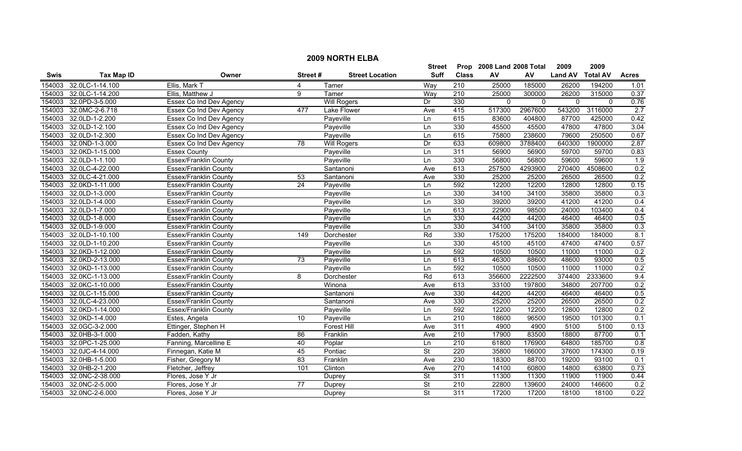|        | <b>2009 NORTH ELBA</b> |                              |                 |                        |               |              |                           |             |                     |                 |              |  |
|--------|------------------------|------------------------------|-----------------|------------------------|---------------|--------------|---------------------------|-------------|---------------------|-----------------|--------------|--|
|        |                        |                              |                 |                        | <b>Street</b> |              | Prop 2008 Land 2008 Total |             | 2009                | 2009            |              |  |
| Swis   | <b>Tax Map ID</b>      | Owner                        | Street#         | <b>Street Location</b> | <b>Suff</b>   | <b>Class</b> | ${\sf AV}$                | AV          | <b>Land AV</b>      | <b>Total AV</b> | <b>Acres</b> |  |
| 154003 | 32.0LC-1-14.100        | Ellis, Mark T                | 4               | Tamer                  | Way           | 210          | 25000                     | 185000      | 26200               | 194200          | 1.01         |  |
| 154003 | 32.0LC-1-14.200        | Ellis, Matthew J             | 9               | Tamer                  | Way           | 210          | 25000                     | 300000      | 26200               | 315000          | 0.37         |  |
| 154003 | 32.0PD-3-5.000         | Essex Co Ind Dev Agency      |                 | <b>Will Rogers</b>     | Dr            | 330          | $\mathbf 0$               | $\mathbf 0$ | $\mathsf{O}\xspace$ | $\mathbf 0$     | 0.76         |  |
| 154003 | 32.0MC-2-6.718         | Essex Co Ind Dev Agency      | 477             | <b>Lake Flower</b>     | Ave           | 415          | 517300                    | 2967600     | 543200              | 3116000         | 2.7          |  |
| 154003 | 32.0LD-1-2.200         | Essex Co Ind Dev Agency      |                 | Payeville              | Ln            | 615          | 83600                     | 404800      | 87700               | 425000          | 0.42         |  |
| 154003 | 32.0LD-1-2.100         | Essex Co Ind Dev Agency      |                 | Payeville              | Ln            | 330          | 45500                     | 45500       | 47800               | 47800           | 3.04         |  |
| 154003 | 32.0LD-1-2.300         | Essex Co Ind Dev Agency      |                 | Payeville              | Ln            | 615          | 75800                     | 238600      | 79600               | 250500          | 0.67         |  |
| 154003 | 32.0ND-1-3.000         | Essex Co Ind Dev Agency      | 78              | <b>Will Rogers</b>     | Dr            | 633          | 609800                    | 3788400     | 640300              | 1900000         | 2.87         |  |
| 154003 | 32.0KD-1-15.000        | <b>Essex County</b>          |                 | Payeville              | Ln            | 311          | 56900                     | 56900       | 59700               | 59700           | 0.83         |  |
| 154003 | 32.0LD-1-1.100         | Essex/Franklin County        |                 | Payeville              | Ln            | 330          | 56800                     | 56800       | 59600               | 59600           | 1.9          |  |
| 154003 | 32.0LC-4-22.000        | Essex/Franklin County        |                 | Santanoni              | Ave           | 613          | 257500                    | 4293900     | 270400              | 4508600         | 0.2          |  |
| 154003 | 32.0LC-4-21.000        | Essex/Franklin County        | 53              | Santanoni              | Ave           | 330          | 25200                     | 25200       | 26500               | 26500           | 0.2          |  |
| 154003 | 32.0KD-1-11.000        | Essex/Franklin County        | $\overline{24}$ | Payeville              | Ln            | 592          | 12200                     | 12200       | 12800               | 12800           | 0.15         |  |
| 154003 | 32.0LD-1-3.000         | Essex/Franklin County        |                 | Payeville              | Ln            | 330          | 34100                     | 34100       | 35800               | 35800           | 0.3          |  |
| 154003 | 32.0LD-1-4.000         | Essex/Franklin County        |                 | Payeville              | Ln            | 330          | 39200                     | 39200       | 41200               | 41200           | 0.4          |  |
| 154003 | 32.0LD-1-7.000         | <b>Essex/Franklin County</b> |                 | Payeville              | Ln            | 613          | 22900                     | 98500       | 24000               | 103400          | 0.4          |  |
| 154003 | 32.0LD-1-8.000         | <b>Essex/Franklin County</b> |                 | Payeville              | Ln            | 330          | 44200                     | 44200       | 46400               | 46400           | 0.5          |  |
| 154003 | 32.0LD-1-9.000         | <b>Essex/Franklin County</b> |                 | Payeville              | Ln            | 330          | 34100                     | 34100       | 35800               | 35800           | 0.3          |  |
| 154003 | 32.0LD-1-10.100        | Essex/Franklin County        | 149             | Dorchester             | Rd            | 330          | 175200                    | 175200      | 184000              | 184000          | 8.1          |  |
| 154003 | 32.0LD-1-10.200        | Essex/Franklin County        |                 | Payeville              | Ln            | 330          | 45100                     | 45100       | 47400               | 47400           | 0.57         |  |
| 154003 | 32.0KD-1-12.000        | Essex/Franklin County        |                 | Payeville              | Ln            | 592          | 10500                     | 10500       | 11000               | 11000           | 0.2          |  |
| 154003 | 32.0KD-2-13.000        | Essex/Franklin County        | 73              | Payeville              | Ln            | 613          | 46300                     | 88600       | 48600               | 93000           | 0.5          |  |
| 154003 | 32.0KD-1-13.000        | Essex/Franklin County        |                 | Payeville              | Ln            | 592          | 10500                     | 10500       | 11000               | 11000           | 0.2          |  |
| 154003 | 32.0KC-1-13.000        | Essex/Franklin County        | 8               | Dorchester             | Rd            | 613          | 356600                    | 2222500     | 374400              | 2333600         | 9.4          |  |
| 154003 | 32.0KC-1-10.000        | Essex/Franklin County        |                 | Winona                 | Ave           | 613          | 33100                     | 197800      | 34800               | 207700          | 0.2          |  |
| 154003 | 32.0LC-1-15.000        | Essex/Franklin County        |                 | Santanoni              | Ave           | 330          | 44200                     | 44200       | 46400               | 46400           | 0.5          |  |
| 154003 | 32.0LC-4-23.000        | Essex/Franklin County        |                 | Santanoni              | Ave           | 330          | 25200                     | 25200       | 26500               | 26500           | 0.2          |  |
| 154003 | 32.0KD-1-14.000        | Essex/Franklin County        |                 | Payeville              | Ln            | 592          | 12200                     | 12200       | 12800               | 12800           | 0.2          |  |
| 154003 | 32.0KD-1-4.000         | Estes, Angela                | 10              | Payeville              | Ln            | 210          | 18600                     | 96500       | 19500               | 101300          | 0.1          |  |
| 154003 | 32.0GC-3-2.000         | Ettinger, Stephen H          |                 | <b>Forest Hill</b>     | Ave           | 311          | 4900                      | 4900        | 5100                | 5100            | 0.13         |  |
| 154003 | 32.0HB-3-1.000         | Fadden, Kathy                | 86              | Franklin               | Ave           | 210          | 17900                     | 83500       | 18800               | 87700           | 0.1          |  |
| 154003 | 32.0PC-1-25.000        | Fanning, Marcelline E        | 40              | Poplar                 | Ln            | 210          | 61800                     | 176900      | 64800               | 185700          | 0.8          |  |
| 154003 | 32.0JC-4-14.000        | Finnegan, Katie M            | 45              | Pontiac                | <b>St</b>     | 220          | 35800                     | 166000      | 37600               | 174300          | 0.19         |  |
| 154003 | 32.0HB-1-5.000         | Fisher, Gregory M            | $\overline{83}$ | Franklin               | Ave           | 230          | 18300                     | 88700       | 19200               | 93100           | 0.1          |  |
| 154003 | 32.0HB-2-1.200         | Fletcher, Jeffrey            | 101             | Clinton                | Ave           | 270          | 14100                     | 60800       | 14800               | 63800           | 0.73         |  |
| 154003 | 32.0NC-2-38.000        | Flores, Jose Y Jr            |                 | Duprey                 | <b>St</b>     | 311          | 11300                     | 11300       | 11900               | 11900           | 0.44         |  |
| 154003 | 32.0NC-2-5.000         | Flores, Jose Y Jr            | 77              | Duprey                 | St            | 210          | 22800                     | 139600      | 24000               | 146600          | 0.2          |  |
|        | 154003 32.0NC-2-6.000  | Flores. Jose Y Jr            |                 | Duprey                 | <b>St</b>     | 311          | 17200                     | 17200       | 18100               | 18100           | 0.22         |  |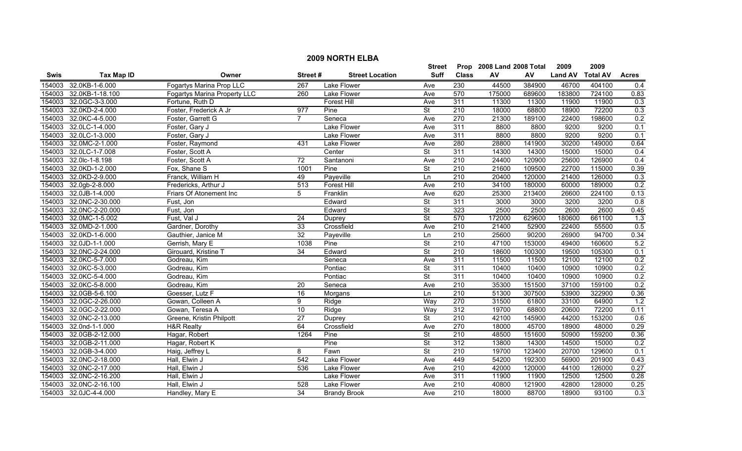|        | <b>2009 NORTH ELBA</b> |                              |                 |                        |                          |                  |                           |        |                |                 |              |  |
|--------|------------------------|------------------------------|-----------------|------------------------|--------------------------|------------------|---------------------------|--------|----------------|-----------------|--------------|--|
|        |                        |                              |                 |                        | <b>Street</b>            |                  | Prop 2008 Land 2008 Total |        | 2009           | 2009            |              |  |
| Swis   | <b>Tax Map ID</b>      | Owner                        | Street#         | <b>Street Location</b> | <b>Suff</b>              | <b>Class</b>     | AV                        | AV     | <b>Land AV</b> | <b>Total AV</b> | <b>Acres</b> |  |
| 154003 | 32.0KB-1-6.000         | Fogartys Marina Prop LLC     | 267             | Lake Flower            | Ave                      | 230              | 44500                     | 384900 | 46700          | 404100          | 0.4          |  |
| 154003 | 32.0KB-1-18.100        | Fogartys Marina Property LLC | 260             | Lake Flower            | Ave                      | 570              | 175000                    | 689600 | 183800         | 724100          | 0.83         |  |
| 154003 | 32.0GC-3-3.000         | Fortune, Ruth D              |                 | Forest Hill            | Ave                      | 311              | 11300                     | 11300  | 11900          | 11900           | 0.3          |  |
| 154003 | 32.0KD-2-4.000         | Foster, Frederick A Jr       | 977             | Pine                   | St                       | 210              | 18000                     | 68800  | 18900          | 72200           | 0.3          |  |
| 154003 | 32.0KC-4-5.000         | Foster, Garrett G            | $\overline{7}$  | Seneca                 | Ave                      | 270              | 21300                     | 189100 | 22400          | 198600          | 0.2          |  |
| 154003 | 32.0LC-1-4.000         | Foster, Gary J               |                 | Lake Flower            | Ave                      | 311              | 8800                      | 8800   | 9200           | 9200            | 0.1          |  |
| 154003 | 32.0LC-1-3.000         | Foster, Gary J               |                 | Lake Flower            | Ave                      | 311              | 8800                      | 8800   | 9200           | 9200            | 0.1          |  |
| 154003 | 32.0MC-2-1.000         | Foster, Raymond              | 431             | <b>Lake Flower</b>     | Ave                      | 280              | 28800                     | 141900 | 30200          | 149000          | 0.64         |  |
| 154003 | 32.0LC-1-7.008         | Foster, Scott A              |                 | Center                 | $\overline{\mathsf{St}}$ | 311              | 14300                     | 14300  | 15000          | 15000           | 0.4          |  |
| 154003 | 32.0lc-1-8.198         | Foster, Scott A              | $\overline{72}$ | Santanoni              | Ave                      | 210              | 24400                     | 120900 | 25600          | 126900          | 0.4          |  |
| 154003 | 32.0KD-1-2.000         | Fox, Shane S                 | 1001            | Pine                   | $\overline{\mathsf{St}}$ | 210              | 21600                     | 109500 | 22700          | 115000          | 0.39         |  |
| 154003 | 32.0KD-2-9.000         | Franck, William H            | 49              | Payeville              | Ln                       | 210              | 20400                     | 120000 | 21400          | 126000          | 0.3          |  |
| 154003 | 32.0gb-2-8.000         | Fredericks, Arthur J         | 513             | <b>Forest Hill</b>     | Ave                      | 210              | 34100                     | 180000 | 60000          | 189000          | 0.2          |  |
| 154003 | 32.0JB-1-4.000         | Friars Of Atonement Inc      | 5               | Franklin               | Ave                      | 620              | 25300                     | 213400 | 26600          | 224100          | 0.13         |  |
| 154003 | 32.0NC-2-30.000        | Fust, Jon                    |                 | Edward                 | $\overline{\mathsf{St}}$ | 311              | 3000                      | 3000   | 3200           | 3200            | 0.8          |  |
| 154003 | 32.0NC-2-20.000        | Fust, Jon                    |                 | Edward                 | $\overline{\mathsf{St}}$ | 323              | 2500                      | 2500   | 2600           | 2600            | 0.45         |  |
| 154003 | 32.0MC-1-5.002         | Fust, Val J                  | 24              | Duprey                 | <b>St</b>                | 570              | 172000                    | 629600 | 180600         | 661100          | 1.3          |  |
| 154003 | 32.0MD-2-1.000         | Gardner, Dorothy             | 33              | Crossfield             | Ave                      | $\overline{210}$ | 21400                     | 52900  | 22400          | 55500           | 0.5          |  |
| 154003 | 32.0KD-1-6.000         | Gauthier, Janice M           | 32              | Payeville              | Ln                       | 210              | 25600                     | 90200  | 26900          | 94700           | 0.34         |  |
| 154003 | 32.0JD-1-1.000         | Gerrish, Mary E              | 1038            | Pine                   | <b>St</b>                | 210              | 47100                     | 153000 | 49400          | 160600          | 5.2          |  |
| 154003 | 32.0NC-2-24.000        | Girouard, Kristine T         | 34              | Edward                 | <b>St</b>                | 210              | 18600                     | 100300 | 19500          | 105300          | 0.1          |  |
| 154003 | 32.0KC-5-7.000         | Godreau, Kim                 |                 | Seneca                 | Ave                      | 311              | 11500                     | 11500  | 12100          | 12100           | 0.2          |  |
| 154003 | 32.0KC-5-3.000         | Godreau, Kim                 |                 | Pontiac                | $\overline{\mathsf{St}}$ | 311              | 10400                     | 10400  | 10900          | 10900           | 0.2          |  |
| 154003 | 32.0KC-5-4.000         | Godreau, Kim                 |                 | Pontiac                | St                       | 311              | 10400                     | 10400  | 10900          | 10900           | 0.2          |  |
| 154003 | 32.0KC-5-8.000         | Godreau, Kim                 | 20              | Seneca                 | Ave                      | 210              | 35300                     | 151500 | 37100          | 159100          | 0.2          |  |
| 154003 | 32.0GB-5-6.100         | Goesser, Lutz F              | 16              | Morgans                | Ln                       | 210              | 51300                     | 307500 | 53900          | 322900          | 0.36         |  |
| 154003 | 32.0GC-2-26.000        | Gowan, Colleen A             | 9               | Ridge                  | Way                      | 270              | 31500                     | 61800  | 33100          | 64900           | 1.2          |  |
| 154003 | 32.0GC-2-22.000        | Gowan, Teresa A              | $\overline{10}$ | Ridge                  | Way                      | 312              | 19700                     | 68800  | 20600          | 72200           | 0.11         |  |
| 154003 | 32.0NC-2-13.000        | Greene, Kristin Philpott     | $\overline{27}$ | Duprey                 | $\overline{\mathsf{St}}$ | 210              | 42100                     | 145900 | 44200          | 153200          | 0.6          |  |
| 154003 | 32.0nd-1-1.000         | <b>H&amp;R Realty</b>        | 64              | Crossfield             | Ave                      | 270              | 18000                     | 45700  | 18900          | 48000           | 0.29         |  |
| 154003 | 32.0GB-2-12.000        | Hagar, Robert                | 1264            | Pine                   | $\overline{\mathsf{St}}$ | 210              | 48500                     | 151600 | 50900          | 159200          | 0.36         |  |
| 154003 | 32.0GB-2-11.000        | Hagar, Robert K              |                 | Pine                   | <b>St</b>                | 312              | 13800                     | 14300  | 14500          | 15000           | 0.2          |  |
| 154003 | 32.0GB-3-4.000         | Haig, Jeffrey L              | 8               | Fawn                   | St                       | 210              | 19700                     | 123400 | 20700          | 129600          | 0.1          |  |
| 154003 | 32.0NC-2-18.000        | Hall, Elwin J                | 542             | Lake Flower            | Ave                      | 449              | 54200                     | 192300 | 56900          | 201900          | 0.43         |  |
| 154003 | 32.0NC-2-17.000        | Hall, Elwin J                | 536             | Lake Flower            | Ave                      | $\overline{210}$ | 42000                     | 120000 | 44100          | 126000          | 0.27         |  |
| 154003 | 32.0NC-2-16.200        | Hall, Elwin J                |                 | Lake Flower            | Ave                      | 311              | 11900                     | 11900  | 12500          | 12500           | 0.28         |  |
| 154003 | 32.0NC-2-16.100        | Hall, Elwin J                | 528             | Lake Flower            | Ave                      | $\overline{210}$ | 40800                     | 121900 | 42800          | 128000          | 0.25         |  |
|        | 154003 32.0JC-4-4.000  | Handley, Mary E              | 34              | <b>Brandy Brook</b>    | Ave                      | 210              | 18000                     | 88700  | 18900          | 93100           | 0.3          |  |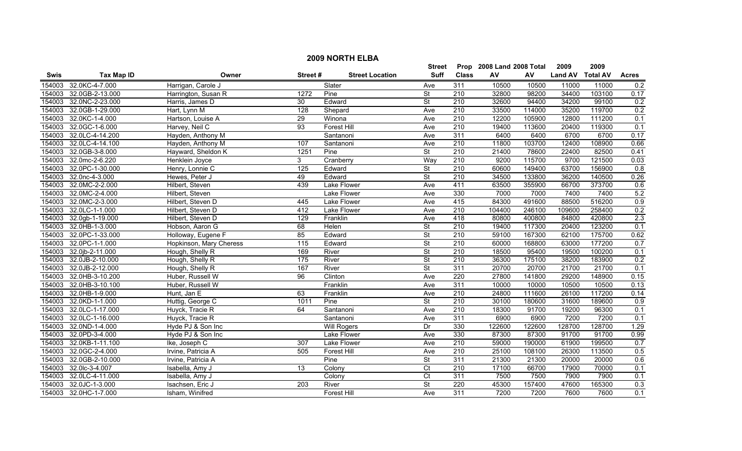|        | <b>2009 NORTH ELBA</b> |                         |                 |                        |                          |                  |                           |        |                |                 |                  |  |
|--------|------------------------|-------------------------|-----------------|------------------------|--------------------------|------------------|---------------------------|--------|----------------|-----------------|------------------|--|
|        |                        |                         |                 |                        | <b>Street</b>            |                  | Prop 2008 Land 2008 Total |        | 2009           | 2009            |                  |  |
| Swis   | <b>Tax Map ID</b>      | Owner                   | Street#         | <b>Street Location</b> | <b>Suff</b>              | <b>Class</b>     | ${\sf AV}$                | AV     | <b>Land AV</b> | <b>Total AV</b> | <b>Acres</b>     |  |
| 154003 | 32.0KC-4-7.000         | Harrigan, Carole J      |                 | Slater                 | Ave                      | 311              | 10500                     | 10500  | 11000          | 11000           | 0.2              |  |
| 154003 | 32.0GB-2-13.000        | Harrington, Susan R     | 1272            | Pine                   | <b>St</b>                | $\overline{210}$ | 32800                     | 98200  | 34400          | 103100          | 0.17             |  |
| 154003 | 32.0NC-2-23.000        | Harris, James D         | 30              | Edward                 | $\overline{\mathsf{St}}$ | 210              | 32600                     | 94400  | 34200          | 99100           | 0.2              |  |
| 154003 | 32.0GB-1-29.000        | Hart, Lynn M            | 128             | Shepard                | Ave                      | 210              | 33500                     | 114000 | 35200          | 119700          | 0.2              |  |
| 154003 | 32.0KC-1-4.000         | Hartson, Louise A       | 29              | Winona                 | Ave                      | 210              | 12200                     | 105900 | 12800          | 111200          | 0.1              |  |
| 154003 | 32.0GC-1-6.000         | Harvey, Neil C          | 93              | Forest Hill            | Ave                      | 210              | 19400                     | 113600 | 20400          | 119300          | 0.1              |  |
| 154003 | 32.0LC-4-14.200        | Hayden, Anthony M       |                 | Santanoni              | Ave                      | 311              | 6400                      | 6400   | 6700           | 6700            | 0.17             |  |
| 154003 | 32.0LC-4-14.100        | Hayden, Anthony M       | 107             | Santanoni              | Ave                      | 210              | 11800                     | 103700 | 12400          | 108900          | 0.66             |  |
| 154003 | 32.0GB-3-8.000         | Hayward, Sheldon K      | 1251            | Pine                   | $\overline{\mathsf{St}}$ | 210              | 21400                     | 78600  | 22400          | 82500           | 0.41             |  |
| 154003 | 32.0mc-2-6.220         | Henklein Joyce          | 3               | Cranberry              | Way                      | $\overline{210}$ | 9200                      | 115700 | 9700           | 121500          | 0.03             |  |
| 154003 | 32.0PC-1-30.000        | Henry, Lonnie C         | $\frac{1}{25}$  | Edward                 | <b>St</b>                | $\overline{210}$ | 60600                     | 149400 | 63700          | 156900          | $\overline{0.8}$ |  |
| 154003 | 32.0nc-4-3.000         | Hewes, Peter J          | 49              | Edward                 | <b>St</b>                | 210              | 34500                     | 133800 | 36200          | 140500          | 0.26             |  |
| 154003 | 32.0MC-2-2.000         | Hilbert, Steven         | 439             | <b>Lake Flower</b>     | Ave                      | 411              | 63500                     | 355900 | 66700          | 373700          | 0.6              |  |
| 154003 | 32.0MC-2-4.000         | Hilbert, Steven         |                 | <b>Lake Flower</b>     | Ave                      | 330              | 7000                      | 7000   | 7400           | 7400            | 5.2              |  |
| 154003 | 32.0MC-2-3.000         | Hilbert, Steven D       | 445             | Lake Flower            | Ave                      | 415              | 84300                     | 491600 | 88500          | 516200          | 0.9              |  |
| 154003 | 32.0LC-1-1.000         | Hilbert, Steven D       | 412             | <b>Lake Flower</b>     | Ave                      | $\overline{210}$ | 104400                    | 246100 | 109600         | 258400          | 0.2              |  |
| 154003 | 32.0gb-1-19.000        | Hilbert, Steven D       | 129             | Franklin               | Ave                      | 418              | 80800                     | 400800 | 84800          | 420800          | 2.3              |  |
| 154003 | 32.0HB-1-3.000         | Hobson, Aaron G         | 68              | Helen                  | <b>St</b>                | 210              | 19400                     | 117300 | 20400          | 123200          | 0.1              |  |
| 154003 | 32.0PC-1-33.000        | Holloway, Eugene F      | 85              | Edward                 | $\overline{\mathsf{St}}$ | 210              | 59100                     | 167300 | 62100          | 175700          | 0.62             |  |
| 154003 | 32.0PC-1-1.000         | Hopkinson, Mary Cheress | 115             | Edward                 | <b>St</b>                | 210              | 60000                     | 168800 | 63000          | 177200          | 0.7              |  |
| 154003 | 32.0jb-2-11.000        | Hough, Shelly R         | 169             | River                  | $\overline{\mathsf{St}}$ | 210              | 18500                     | 95400  | 19500          | 100200          | 0.1              |  |
| 154003 | 32.0JB-2-10.000        | Hough, Shelly R         | 175             | River                  | $\overline{\mathsf{St}}$ | 210              | 36300                     | 175100 | 38200          | 183900          | 0.2              |  |
| 154003 | 32.0JB-2-12.000        | Hough, Shelly R         | 167             | River                  | $\overline{\mathsf{St}}$ | 311              | 20700                     | 20700  | 21700          | 21700           | 0.1              |  |
| 154003 | 32.0HB-3-10.200        | Huber, Russell W        | 96              | Clinton                | Ave                      | $\overline{220}$ | 27800                     | 141800 | 29200          | 148900          | 0.15             |  |
| 154003 | 32.0HB-3-10.100        | Huber, Russell W        |                 | Franklin               | Ave                      | 311              | 10000                     | 10000  | 10500          | 10500           | 0.13             |  |
| 154003 | 32.0HB-1-9.000         | Hunt, Jan E             | 63              | Franklin               | Ave                      | $\overline{210}$ | 24800                     | 111600 | 26100          | 117200          | 0.14             |  |
| 154003 | 32.0KD-1-1.000         | Huttig, George C        | 1011            | Pine                   | St                       | $\overline{210}$ | 30100                     | 180600 | 31600          | 189600          | 0.9              |  |
| 154003 | 32.0LC-1-17.000        | Huyck, Tracie R         | 64              | Santanoni              | Ave                      | $\overline{210}$ | 18300                     | 91700  | 19200          | 96300           | 0.1              |  |
| 154003 | 32.0LC-1-16.000        | Huyck, Tracie R         |                 | Santanoni              | Ave                      | 311              | 6900                      | 6900   | 7200           | 7200            | 0.1              |  |
| 154003 | 32.0ND-1-4.000         | Hyde PJ & Son Inc       |                 | <b>Will Rogers</b>     | Dr                       | 330              | 122600                    | 122600 | 128700         | 128700          | 1.29             |  |
| 154003 | 32.0PD-3-4.000         | Hyde PJ & Son Inc       |                 | Lake Flower            | Ave                      | 330              | 87300                     | 87300  | 91700          | 91700           | 0.99             |  |
| 154003 | 32.0KB-1-11.100        | Ike, Joseph C           | 307             | <b>Lake Flower</b>     | Ave                      | 210              | 59000                     | 190000 | 61900          | 199500          | 0.7              |  |
| 154003 | 32.0GC-2-4.000         | Irvine, Patricia A      | 505             | <b>Forest Hill</b>     | Ave                      | 210              | 25100                     | 108100 | 26300          | 113500          | 0.5              |  |
| 154003 | 32.0GB-2-10.000        | Irvine, Patricia A      |                 | Pine                   | $\overline{\mathsf{St}}$ | 311              | 21300                     | 21300  | 20000          | 20000           | 0.6              |  |
| 154003 | 32.0lc-3-4.007         | Isabella, Amy J         | $\overline{13}$ | Colony                 | Ct                       | $\overline{210}$ | 17100                     | 66700  | 17900          | 70000           | 0.1              |  |
| 154003 | 32.0LC-4-11.000        | Isabella, Amy J         |                 | Colony                 | Ct                       | 311              | 7500                      | 7500   | 7900           | 7900            | 0.1              |  |
| 154003 | 32.0JC-1-3.000         | Isachsen, Eric J        | 203             | River                  | St                       | 220              | 45300                     | 157400 | 47600          | 165300          | 0.3              |  |
|        | 154003 32.0HC-1-7.000  | Isham, Winifred         |                 | <b>Forest Hill</b>     | Ave                      | 311              | 7200                      | 7200   | 7600           | 7600            | 0.1              |  |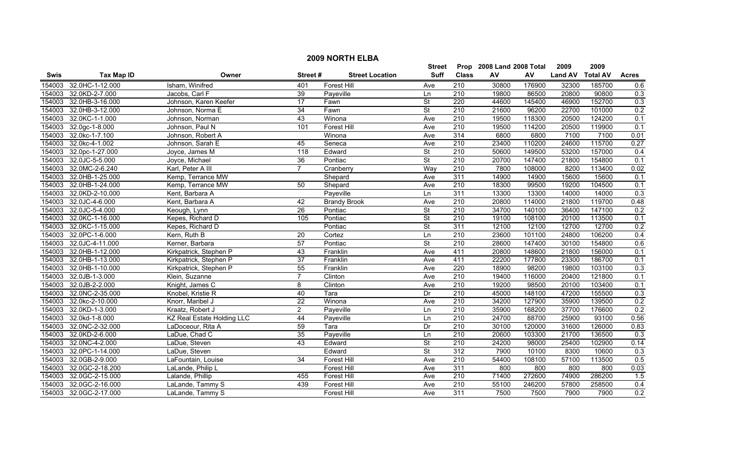|        | <b>2009 NORTH ELBA</b> |                                   |                 |                        |                          |                  |                           |        |                |                 |                  |  |
|--------|------------------------|-----------------------------------|-----------------|------------------------|--------------------------|------------------|---------------------------|--------|----------------|-----------------|------------------|--|
|        |                        |                                   |                 |                        | Street                   |                  | Prop 2008 Land 2008 Total |        | 2009           | 2009            |                  |  |
| Swis   | <b>Tax Map ID</b>      | Owner                             | Street#         | <b>Street Location</b> | <b>Suff</b>              | <b>Class</b>     | ${\sf AV}$                | AV     | <b>Land AV</b> | <b>Total AV</b> | <b>Acres</b>     |  |
| 154003 | 32.0HC-1-12.000        | Isham, Winifred                   | 401             | <b>Forest Hill</b>     | Ave                      | 210              | 30800                     | 176900 | 32300          | 185700          | 0.6              |  |
| 154003 | 32.0KD-2-7.000         | Jacobs, Carl F                    | 39              | Payeville              | Ln                       | $\overline{210}$ | 19800                     | 86500  | 20800          | 90800           | 0.3              |  |
| 154003 | 32.0HB-3-16.000        | Johnson, Karen Keefer             | $\overline{17}$ | Fawn                   | $\overline{\mathsf{St}}$ | 220              | 44600                     | 145400 | 46900          | 152700          | 0.3              |  |
| 154003 | 32.0HB-3-12.000        | Johnson, Norma E                  | 34              | Fawn                   | <b>St</b>                | 210              | 21600                     | 96200  | 22700          | 101000          | 0.2              |  |
| 154003 | 32.0KC-1-1.000         | Johnson, Norman                   | 43              | Winona                 | Ave                      | 210              | 19500                     | 118300 | 20500          | 124200          | 0.1              |  |
| 154003 | 32.0gc-1-8.000         | Johnson, Paul N                   | 101             | <b>Forest Hill</b>     | Ave                      | 210              | 19500                     | 114200 | 20500          | 119900          | 0.1              |  |
| 154003 | 32.0kc-1-7.100         | Johnson, Robert A                 |                 | Winona                 | Ave                      | 314              | 6800                      | 6800   | 7100           | 7100            | 0.01             |  |
| 154003 | 32.0kc-4-1.002         | Johnson, Sarah E                  | 45              | Seneca                 | Ave                      | 210              | 23400                     | 110200 | 24600          | 115700          | 0.27             |  |
| 154003 | 32.0pc-1-27.000        | Joyce, James M                    | 118             | Edward                 | $\overline{\mathsf{St}}$ | 210              | 50600                     | 149500 | 53200          | 157000          | 0.4              |  |
| 154003 | 32.0JC-5-5.000         | Joyce, Michael                    | 36              | Pontiac                | $\overline{\mathsf{St}}$ | 210              | 20700                     | 147400 | 21800          | 154800          | 0.1              |  |
| 154003 | 32.0MC-2-6.240         | Karl, Peter A III                 | $\overline{7}$  | Cranberry              | Way                      | 210              | 7800                      | 108000 | 8200           | 113400          | 0.02             |  |
| 154003 | 32.0HB-1-25.000        | Kemp, Terrance MW                 |                 | Shepard                | Ave                      | 311              | 14900                     | 14900  | 15600          | 15600           | 0.1              |  |
| 154003 | 32.0HB-1-24.000        | Kemp, Terrance MW                 | 50              | Shepard                | Ave                      | $\overline{210}$ | 18300                     | 99500  | 19200          | 104500          | 0.1              |  |
| 154003 | 32.0KD-2-10.000        | Kent, Barbara A                   |                 | Payeville              | Ln                       | 311              | 13300                     | 13300  | 14000          | 14000           | 0.3              |  |
| 154003 | 32.0JC-4-6.000         | Kent, Barbara A                   | 42              | <b>Brandy Brook</b>    | Ave                      | 210              | 20800                     | 114000 | 21800          | 119700          | 0.48             |  |
| 154003 | 32.0JC-5-4.000         | Keough, Lynn                      | 26              | Pontiac                | $\overline{\mathsf{St}}$ | 210              | 34700                     | 140100 | 36400          | 147100          | 0.2              |  |
| 154003 | 32.0KC-1-16.000        | Kepes, Richard D                  | 105             | Pontiac                | <b>St</b>                | 210              | 19100                     | 108100 | 20100          | 113500          | 0.1              |  |
| 154003 | 32.0KC-1-15.000        | Kepes, Richard D                  |                 | Pontiac                | $\overline{\mathsf{St}}$ | 311              | 12100                     | 12100  | 12700          | 12700           | 0.2              |  |
| 154003 | 32.0PC-1-6.000         | Kern, Ruth B                      | 20              | Cortez                 | Ln                       | 210              | 23600                     | 101100 | 24800          | 106200          | 0.4              |  |
| 154003 | 32.0JC-4-11.000        | Kerner, Barbara                   | 57              | Pontiac                | <b>St</b>                | 210              | 28600                     | 147400 | 30100          | 154800          | 0.6              |  |
| 154003 | 32.0HB-1-12.000        | Kirkpatrick, Stephen P            | 43              | Franklin               | Ave                      | 411              | 20800                     | 148600 | 21800          | 156000          | 0.1              |  |
| 154003 | 32.0HB-1-13.000        | Kirkpatrick, Stephen P            | $\overline{37}$ | Franklin               | Ave                      | 411              | 22200                     | 177800 | 23300          | 186700          | 0.1              |  |
| 154003 | 32.0HB-1-10.000        | Kirkpatrick, Stephen P            | 55              | Franklin               | Ave                      | 220              | 18900                     | 98200  | 19800          | 103100          | 0.3              |  |
| 154003 | 32.0JB-1-3.000         | Klein, Suzanne                    | $\overline{7}$  | Clinton                | Ave                      | $\overline{210}$ | 19400                     | 116000 | 20400          | 121800          | 0.1              |  |
| 154003 | 32.0JB-2-2.000         | Knight, James C                   | 8               | Clinton                | Ave                      | 210              | 19200                     | 98500  | 20100          | 103400          | 0.1              |  |
| 154003 | 32.0NC-2-35.000        | Knobel, Kristie R                 | 40              | Tara                   | Dr                       | 210              | 45000                     | 148100 | 47200          | 155500          | 0.3              |  |
| 154003 | 32.0kc-2-10.000        | Knorr, Maribel J                  | $\overline{22}$ | Winona                 | Ave                      | $\overline{210}$ | 34200                     | 127900 | 35900          | 139500          | 0.2              |  |
| 154003 | 32.0KD-1-3.000         | Kraatz, Robert J                  | $\overline{2}$  | Payeville              | Ln                       | 210              | 35900                     | 168200 | 37700          | 176600          | 0.2              |  |
| 154003 | 32.0kd-1-8.000         | <b>KZ Real Estate Holding LLC</b> | 44              | Payeville              | Ln                       | 210              | 24700                     | 88700  | 25900          | 93100           | 0.56             |  |
| 154003 | 32.0NC-2-32.000        | LaDoceour, Rita A                 | 59              | Tara                   | Dr                       | 210              | 30100                     | 120000 | 31600          | 126000          | 0.83             |  |
| 154003 | 32.0KD-2-6.000         | LaDue, Chad C                     | $\overline{35}$ | Payeville              | Ln                       | 210              | 20600                     | 103300 | 21700          | 136500          | 0.3              |  |
| 154003 | 32.0NC-4-2.000         | LaDue, Steven                     | $\overline{43}$ | Edward                 | $\overline{\mathsf{St}}$ | 210              | 24200                     | 98000  | 25400          | 102900          | 0.14             |  |
| 154003 | 32.0PC-1-14.000        | LaDue, Steven                     |                 | Edward                 | <b>St</b>                | 312              | 7900                      | 10100  | 8300           | 10600           | 0.3              |  |
| 154003 | 32.0GB-2-9.000         | LaFountain, Louise                | $\overline{34}$ | <b>Forest Hill</b>     | Ave                      | 210              | 54400                     | 108100 | 57100          | 113500          | $\overline{0.5}$ |  |
| 154003 | 32.0GC-2-18.200        | LaLande, Philip L                 |                 | Forest Hill            | Ave                      | 311              | 800                       | 800    | 800            | 800             | 0.03             |  |
| 154003 | 32.0GC-2-15.000        | Lalande, Phillip                  | 455             | Forest Hill            | Ave                      | 210              | 71400                     | 272600 | 74900          | 286200          | 1.5              |  |
| 154003 | 32.0GC-2-16.000        | LaLande, Tammy S                  | 439             | <b>Forest Hill</b>     | Ave                      | $\overline{210}$ | 55100                     | 246200 | 57800          | 258500          | 0.4              |  |
|        | 154003 32.0GC-2-17.000 | LaLande, Tammy S                  |                 | <b>Forest Hill</b>     | Ave                      | 311              | 7500                      | 7500   | 7900           | 7900            | 0.2              |  |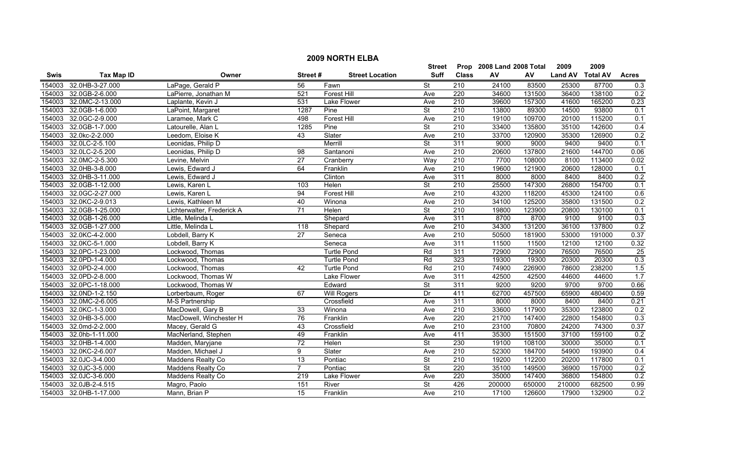|        | <b>2009 NORTH ELBA</b> |                            |                 |                        |                          |                  |                           |        |                |                 |                  |  |
|--------|------------------------|----------------------------|-----------------|------------------------|--------------------------|------------------|---------------------------|--------|----------------|-----------------|------------------|--|
|        |                        |                            |                 |                        | Street                   |                  | Prop 2008 Land 2008 Total |        | 2009           | 2009            |                  |  |
| Swis   | <b>Tax Map ID</b>      | Owner                      | Street#         | <b>Street Location</b> | <b>Suff</b>              | <b>Class</b>     | ${\sf AV}$                | AV     | <b>Land AV</b> | <b>Total AV</b> | <b>Acres</b>     |  |
| 154003 | 32.0HB-3-27.000        | LaPage, Gerald P           | 56              | Fawn                   | $\overline{\mathsf{St}}$ | 210              | 24100                     | 83500  | 25300          | 87700           | 0.3              |  |
| 154003 | 32.0GB-2-6.000         | LaPierre, Jonathan M       | 521             | Forest Hill            | Ave                      | 220              | 34600                     | 131500 | 36400          | 138100          | 0.2              |  |
| 154003 | 32.0MC-2-13.000        | Laplante, Kevin J          | 531             | Lake Flower            | Ave                      | 210              | 39600                     | 157300 | 41600          | 165200          | 0.23             |  |
| 154003 | 32.0GB-1-6.000         | LaPoint, Margaret          | 1287            | Pine                   | <b>St</b>                | 210              | 13800                     | 89300  | 14500          | 93800           | 0.1              |  |
| 154003 | 32.0GC-2-9.000         | Laramee, Mark C            | 498             | Forest Hill            | Ave                      | 210              | 19100                     | 109700 | 20100          | 115200          | 0.1              |  |
| 154003 | 32.0GB-1-7.000         | Latourelle, Alan L         | 1285            | Pine                   | <b>St</b>                | 210              | 33400                     | 135800 | 35100          | 142600          | 0.4              |  |
| 154003 | 32.0kc-2-2.000         | Leedom, Eloise K           | 43              | Slater                 | Ave                      | 210              | 33700                     | 120900 | 35300          | 126900          | 0.2              |  |
| 154003 | 32.0LC-2-5.100         | Leonidas, Philip D         |                 | Merrill                | $\overline{\mathsf{St}}$ | 311              | 9000                      | 9000   | 9400           | 9400            | 0.1              |  |
| 154003 | 32.0LC-2-5.200         | Leonidas, Philip D         | $\overline{98}$ | Santanoni              | Ave                      | 210              | 20600                     | 137800 | 21600          | 144700          | 0.06             |  |
| 154003 | 32.0MC-2-5.300         | Levine, Melvin             | $\overline{27}$ | Cranberry              | Way                      | 210              | 7700                      | 108000 | 8100           | 113400          | 0.02             |  |
| 154003 | 32.0HB-3-8.000         | Lewis, Edward J            | 64              | Franklin               | Ave                      | 210              | 19600                     | 121900 | 20600          | 128000          | 0.1              |  |
| 154003 | 32.0HB-3-11.000        | Lewis, Edward J            |                 | Clinton                | Ave                      | 311              | 8000                      | 8000   | 8400           | 8400            | 0.2              |  |
| 154003 | 32.0GB-1-12.000        | Lewis, Karen L             | 103             | Helen                  | $\overline{\mathsf{St}}$ | $\overline{210}$ | 25500                     | 147300 | 26800          | 154700          | 0.1              |  |
| 154003 | 32.0GC-2-27.000        | Lewis, Karen L             | 94              | <b>Forest Hill</b>     | Ave                      | 210              | 43200                     | 118200 | 45300          | 124100          | 0.6              |  |
| 154003 | 32.0KC-2-9.013         | Lewis, Kathleen M          | 40              | Winona                 | Ave                      | 210              | 34100                     | 125200 | 35800          | 131500          | 0.2              |  |
| 154003 | 32.0GB-1-25.000        | Lichterwalter, Frederick A | $\overline{71}$ | Helen                  | $\overline{\mathsf{St}}$ | $\overline{210}$ | 19800                     | 123900 | 20800          | 130100          | 0.1              |  |
| 154003 | 32.0GB-1-26.000        | Little, Melinda L          |                 | Shepard                | Ave                      | 311              | 8700                      | 8700   | 9100           | 9100            | 0.3              |  |
| 154003 | 32.0GB-1-27.000        | Little, Melinda L          | 118             | Shepard                | Ave                      | 210              | 34300                     | 131200 | 36100          | 137800          | 0.2              |  |
| 154003 | 32.0KC-4-2.000         | Lobdell, Barry K           | 27              | Seneca                 | Ave                      | 210              | 50500                     | 181900 | 53000          | 191000          | 0.37             |  |
| 154003 | 32.0KC-5-1.000         | Lobdell, Barry K           |                 | Seneca                 | Ave                      | 311              | 11500                     | 11500  | 12100          | 12100           | 0.32             |  |
| 154003 | 32.0PC-1-23.000        | Lockwood, Thomas           |                 | <b>Turtle Pond</b>     | Rd                       | 311              | 72900                     | 72900  | 76500          | 76500           | 25               |  |
| 154003 | 32.0PD-1-4.000         | Lockwood, Thomas           |                 | <b>Turtle Pond</b>     | Rd                       | 323              | 19300                     | 19300  | 20300          | 20300           | 0.3              |  |
| 154003 | 32.0PD-2-4.000         | Lockwood, Thomas           | 42              | <b>Turtle Pond</b>     | Rd                       | $\overline{210}$ | 74900                     | 226900 | 78600          | 238200          | 1.5              |  |
| 154003 | 32.0PD-2-8.000         | Lockwood. Thomas W         |                 | Lake Flower            | Ave                      | 311              | 42500                     | 42500  | 44600          | 44600           | 1.7              |  |
| 154003 | 32.0PC-1-18.000        | Lockwood, Thomas W         |                 | Edward                 | <b>St</b>                | 311              | 9200                      | 9200   | 9700           | 9700            | 0.66             |  |
| 154003 | 32.0ND-1-2.150         | Lorberbaum, Roger          | 67              | <b>Will Rogers</b>     | Dr                       | 411              | 62700                     | 457500 | 65900          | 480400          | 0.59             |  |
| 154003 | 32.0MC-2-6.005         | M-S Partnership            |                 | Crossfield             | Ave                      | 311              | 8000                      | 8000   | 8400           | 8400            | 0.21             |  |
| 154003 | 32.0KC-1-3.000         | MacDowell, Gary B          | 33              | Winona                 | Ave                      | $\overline{210}$ | 33600                     | 117900 | 35300          | 123800          | 0.2              |  |
| 154003 | 32.0HB-3-5.000         | MacDowell, Winchester H    | 76              | Franklin               | Ave                      | 220              | 21700                     | 147400 | 22800          | 154800          | 0.3              |  |
| 154003 | 32.0md-2-2.000         | Macey, Gerald G            | 43              | Crossfield             | Ave                      | 210              | 23100                     | 70800  | 24200          | 74300           | 0.37             |  |
| 154003 | 32.0hb-1-11.000        | MacNerland, Stephen        | 49              | Franklin               | Ave                      | 411              | 35300                     | 151500 | 37100          | 159100          | 0.2              |  |
| 154003 | 32.0HB-1-4.000         | Madden, Maryjane           | $\overline{72}$ | Helen                  | <b>St</b>                | 230              | 19100                     | 108100 | 30000          | 35000           | 0.1              |  |
| 154003 | 32.0KC-2-6.007         | Madden, Michael J          | 9               | Slater                 | Ave                      | 210              | 52300                     | 184700 | 54900          | 193900          | 0.4              |  |
| 154003 | 32.0JC-3-4.000         | Maddens Realty Co          | 13              | Pontiac                | $\overline{\mathsf{St}}$ | 210              | 19200                     | 112200 | 20200          | 117800          | 0.1              |  |
| 154003 | 32.0JC-3-5.000         | Maddens Realty Co          | $\overline{7}$  | Pontiac                | <b>St</b>                | 220              | 35100                     | 149500 | 36900          | 157000          | 0.2              |  |
| 154003 | 32.0JC-3-6.000         | Maddens Realty Co          | 219             | Lake Flower            | Ave                      | 220              | 35000                     | 147400 | 36800          | 154800          | 0.2              |  |
| 154003 | 32.0JB-2-4.515         | Magro, Paolo               | 151             | River                  | St                       | 426              | 200000                    | 650000 | 210000         | 682500          | 0.99             |  |
|        | 154003 32.0HB-1-17.000 | Mann, Brian P              | 15              | Franklin               | Ave                      | 210              | 17100                     | 126600 | 17900          | 132900          | $\overline{0.2}$ |  |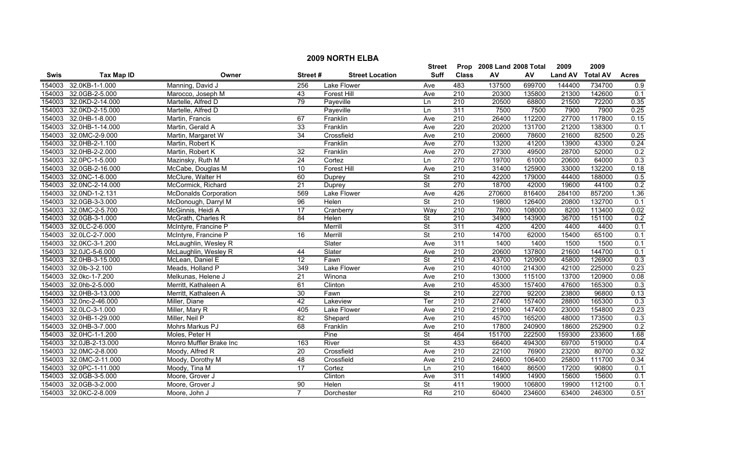|             |                   |                              |                 |                        | <b>Street</b>            |                  | Prop 2008 Land 2008 Total |        | 2009           | 2009            |                  |
|-------------|-------------------|------------------------------|-----------------|------------------------|--------------------------|------------------|---------------------------|--------|----------------|-----------------|------------------|
| <b>Swis</b> | <b>Tax Map ID</b> | Owner                        | Street#         | <b>Street Location</b> | <b>Suff</b>              | <b>Class</b>     | AV                        | AV     | <b>Land AV</b> | <b>Total AV</b> | <b>Acres</b>     |
| 154003      | 32.0KB-1-1.000    | Manning, David J             | 256             | Lake Flower            | Ave                      | 483              | 137500                    | 699700 | 144400         | 734700          | 0.9              |
| 154003      | 32.0GB-2-5.000    | Marocco, Joseph M            | 43              | <b>Forest Hill</b>     | Ave                      | 210              | 20300                     | 135800 | 21300          | 142600          | 0.1              |
| 154003      | 32.0KD-2-14.000   | Martelle, Alfred D           | 79              | Payeville              | Ln                       | $\overline{210}$ | 20500                     | 68800  | 21500          | 72200           | 0.35             |
| 154003      | 32.0KD-2-15.000   | Martelle, Alfred D           |                 | Payeville              | Ln                       | 311              | 7500                      | 7500   | 7900           | 7900            | 0.25             |
| 154003      | 32.0HB-1-8.000    | Martin, Francis              | 67              | Franklin               | Ave                      | 210              | 26400                     | 112200 | 27700          | 117800          | 0.15             |
| 154003      | 32.0HB-1-14.000   | Martin, Gerald A             | 33              | Franklin               | Ave                      | 220              | 20200                     | 131700 | 21200          | 138300          | 0.1              |
| 154003      | 32.0MC-2-9.000    | Martin, Margaret W           | 34              | Crossfield             | Ave                      | 210              | 20600                     | 78600  | 21600          | 82500           | 0.25             |
| 154003      | 32.0HB-2-1.100    | Martin, Robert K             |                 | Franklin               | Ave                      | 270              | 13200                     | 41200  | 13900          | 43300           | 0.24             |
| 154003      | 32.0HB-2-2.000    | Martin, Robert K             | $\overline{32}$ | Franklin               | Ave                      | 270              | 27300                     | 49500  | 28700          | 52000           | 0.2              |
| 154003      | 32.0PC-1-5.000    | Mazinsky, Ruth M             | 24              | Cortez                 | Ln                       | 270              | 19700                     | 61000  | 20600          | 64000           | 0.3              |
| 154003      | 32.0GB-2-16.000   | McCabe, Douglas M            | $\overline{10}$ | <b>Forest Hill</b>     | Ave                      | $\overline{210}$ | 31400                     | 125900 | 33000          | 132200          | 0.18             |
| 154003      | 32.0NC-1-6.000    | McClure, Walter H            | 60              | Duprey                 | <b>St</b>                | $\overline{210}$ | 42200                     | 179000 | 44400          | 188000          | 0.5              |
| 154003      | 32.0NC-2-14.000   | McCormick, Richard           | $\overline{21}$ | Duprey                 | <b>St</b>                | 270              | 18700                     | 42000  | 19600          | 44100           | 0.2              |
| 154003      | 32.0ND-1-2.131    | <b>McDonalds Corporation</b> | 569             | Lake Flower            | Ave                      | 426              | 270600                    | 816400 | 284100         | 857200          | 1.36             |
| 154003      | 32.0GB-3-3.000    | McDonough, Darryl M          | 96              | Helen                  | $\overline{\mathsf{St}}$ | $\overline{210}$ | 19800                     | 126400 | 20800          | 132700          | 0.1              |
| 154003      | 32.0MC-2-5.700    | McGinnis, Heidi A            | 17              | Cranberry              | Way                      | $\overline{210}$ | 7800                      | 108000 | 8200           | 113400          | 0.02             |
| 154003      | 32.0GB-3-1.000    | McGrath, Charles R           | 84              | Helen                  | $\overline{\mathsf{St}}$ | 210              | 34900                     | 143900 | 36700          | 151100          | 0.2              |
| 154003      | 32.0LC-2-6.000    | McIntyre, Francine P         |                 | Merrill                | $\overline{\mathsf{St}}$ | 311              | 4200                      | 4200   | 4400           | 4400            | 0.1              |
| 154003      | 32.0LC-2-7.000    | McIntyre, Francine P         | $\overline{16}$ | Merrill                | <b>St</b>                | 210              | 14700                     | 62000  | 15400          | 65100           | 0.1              |
| 154003      | 32.0KC-3-1.200    | McLaughlin, Wesley R         |                 | Slater                 | Ave                      | 311              | 1400                      | 1400   | 1500           | 1500            | 0.1              |
| 154003      | 32.0JC-5-6.000    | McLaughlin, Wesley R         | 44              | Slater                 | Ave                      | 210              | 20600                     | 137800 | 21600          | 144700          | 0.1              |
| 154003      | 32.0HB-3-15.000   | McLean, Daniel E             | $\overline{12}$ | Fawn                   | <b>St</b>                | $\overline{210}$ | 43700                     | 120900 | 45800          | 126900          | 0.3              |
| 154003      | 32.0lb-3-2.100    | Meads, Holland P             | 349             | Lake Flower            | Ave                      | 210              | 40100                     | 214300 | 42100          | 225000          | 0.23             |
| 154003      | 32.0kc-1-7.200    | Melkunas, Helene J           | 21              | Winona                 | Ave                      | 210              | 13000                     | 115100 | 13700          | 120900          | 0.08             |
| 154003      | 32.0hb-2-5.000    | Merritt, Kathaleen A         | 61              | Clinton                | Ave                      | 210              | 45300                     | 157400 | 47600          | 165300          | $\overline{0.3}$ |
| 154003      | 32.0HB-3-13.000   | Merritt, Kathaleen A         | 30              | Fawn                   | St                       | 210              | 22700                     | 92200  | 23800          | 96800           | 0.13             |
| 154003      | 32.0nc-2-46.000   | Miller, Diane                | 42              | Lakeview               | Ter                      | $\overline{210}$ | 27400                     | 157400 | 28800          | 165300          | 0.3              |
| 154003      | 32.0LC-3-1.000    | Miller, Mary R               | 405             | Lake Flower            | Ave                      | 210              | 21900                     | 147400 | 23000          | 154800          | 0.23             |
| 154003      | 32.0HB-1-29.000   | Miller, Neil P               | 82              | Shepard                | Ave                      | 210              | 45700                     | 165200 | 48000          | 173500          | 0.3              |
| 154003      | 32.0HB-3-7.000    | Mohrs Markus PJ              | 68              | Franklin               | Ave                      | 210              | 17800                     | 240900 | 18600          | 252900          | 0.2              |
| 154003      | 32.0HC-1-1.200    | Moles, Peter H               |                 | Pine                   | $\overline{\mathsf{St}}$ | 464              | 151700                    | 222500 | 159300         | 233600          | 1.68             |
| 154003      | 32.0JB-2-13.000   | Monro Muffler Brake Inc      | 163             | River                  | <b>St</b>                | 433              | 66400                     | 494300 | 69700          | 519000          | 0.4              |
| 154003      | 32.0MC-2-8.000    | Moody, Alfred R              | 20              | Crossfield             | Ave                      | 210              | 22100                     | 76900  | 23200          | 80700           | 0.32             |
| 154003      | 32.0MC-2-11.000   | Moody, Dorothy M             | $\overline{48}$ | Crossfield             | Ave                      | $\overline{210}$ | 24600                     | 106400 | 25800          | 111700          | 0.34             |
| 154003      | 32.0PC-1-11.000   | Moody, Tina M                | $\overline{17}$ | Cortez                 | Ln                       | 210              | 16400                     | 86500  | 17200          | 90800           | 0.1              |
| 154003      | 32.0GB-3-5.000    | Moore, Grover J              |                 | Clinton                | Ave                      | 311              | 14900                     | 14900  | 15600          | 15600           | 0.1              |
| 154003      | 32.0GB-3-2.000    | Moore, Grover J              | $\overline{90}$ | Helen                  | <b>St</b>                | 411              | 19000                     | 106800 | 19900          | 112100          | 0.1              |
| 154003      | 32.0KC-2-8.009    | Moore, John J                | $\overline{7}$  | Dorchester             | Rd                       | $\overline{210}$ | 60400                     | 234600 | 63400          | 246300          | 0.51             |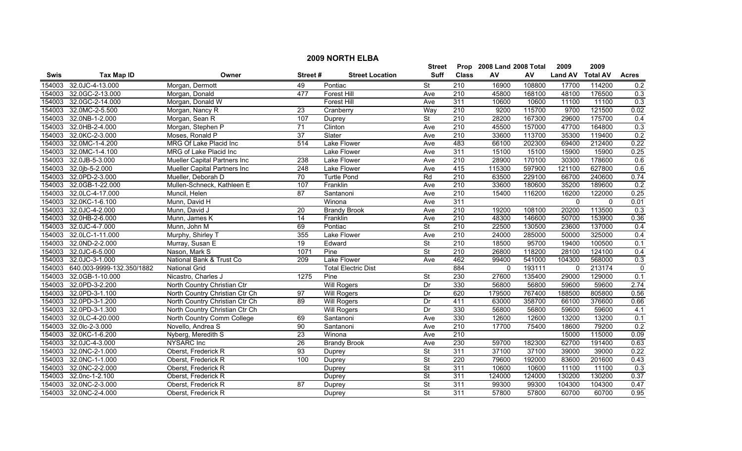|        |                           |                                      |                  |                            | <b>Street</b>            |                  | Prop 2008 Land 2008 Total |        | 2009           | 2009            |                |
|--------|---------------------------|--------------------------------------|------------------|----------------------------|--------------------------|------------------|---------------------------|--------|----------------|-----------------|----------------|
| Swis   | <b>Tax Map ID</b>         | Owner                                | Street#          | <b>Street Location</b>     | Suff                     | <b>Class</b>     | AV                        | AV     | <b>Land AV</b> | <b>Total AV</b> | <b>Acres</b>   |
| 154003 | 32.0JC-4-13.000           | Morgan, Dermott                      | 49               | Pontiac                    | <b>St</b>                | 210              | 16900                     | 108800 | 17700          | 114200          | 0.2            |
| 154003 | 32.0GC-2-13.000           | Morgan, Donald                       | 477              | <b>Forest Hill</b>         | Ave                      | 210              | 45800                     | 168100 | 48100          | 176500          | 0.3            |
| 154003 | 32.0GC-2-14.000           | Morgan, Donald W                     |                  | <b>Forest Hill</b>         | Ave                      | 311              | 10600                     | 10600  | 11100          | 11100           | 0.3            |
| 154003 | 32.0MC-2-5.500            | Morgan, Nancy R                      | 23               | Cranberry                  | Way                      | 210              | 9200                      | 115700 | 9700           | 121500          | 0.02           |
| 154003 | 32.0NB-1-2.000            | Morgan, Sean R                       | 107              | Duprey                     | $\overline{\mathsf{St}}$ | 210              | 28200                     | 167300 | 29600          | 175700          | 0.4            |
| 154003 | 32.0HB-2-4.000            | Morgan, Stephen P                    | 71               | Clinton                    | Ave                      | 210              | 45500                     | 157000 | 47700          | 164800          | 0.3            |
| 154003 | 32.0KC-2-3.000            | Moses, Ronald P                      | 37               | Slater                     | Ave                      | 210              | 33600                     | 113700 | 35300          | 119400          | 0.2            |
| 154003 | 32.0MC-1-4.200            | MRG Of Lake Placid Inc               | 514              | <b>Lake Flower</b>         | Ave                      | 483              | 66100                     | 202300 | 69400          | 212400          | 0.22           |
| 154003 | 32.0MC-1-4.100            | MRG of Lake Placid Inc               |                  | Lake Flower                | Ave                      | 311              | 15100                     | 15100  | 15900          | 15900           | 0.25           |
| 154003 | 32.0JB-5-3.000            | <b>Mueller Capital Partners Inc.</b> | 238              | Lake Flower                | Ave                      | $\overline{210}$ | 28900                     | 170100 | 30300          | 178600          | 0.6            |
| 154003 | 32.0jb-5-2.000            | Mueller Capital Partners Inc         | 248              | Lake Flower                | Ave                      | 415              | 115300                    | 597900 | 121100         | 627800          | 0.6            |
| 154003 | 32.0PD-2-3.000            | Mueller, Deborah D                   | $\overline{70}$  | <b>Turtle Pond</b>         | Rd                       | $\overline{210}$ | 63500                     | 229100 | 66700          | 240600          | 0.74           |
| 154003 | 32.0GB-1-22.000           | Mullen-Schneck, Kathleen E           | 107              | Franklin                   | Ave                      | $\overline{210}$ | 33600                     | 180600 | 35200          | 189600          | 0.2            |
| 154003 | 32.0LC-4-17.000           | Muncil, Helen                        | $\overline{87}$  | Santanoni                  | Ave                      | $\overline{210}$ | 15400                     | 116200 | 16200          | 122000          | 0.25           |
| 154003 | 32.0KC-1-6.100            | Munn, David H                        |                  | Winona                     | Ave                      | 311              |                           |        | $\mathbf 0$    | $\mathbf{0}$    | 0.01           |
| 154003 | 32.0JC-4-2.000            | Munn, David J                        | 20               | <b>Brandy Brook</b>        | Ave                      | $\overline{210}$ | 19200                     | 108100 | 20200          | 113500          | 0.3            |
| 154003 | 32.0HB-2-6.000            | Munn, James K                        | 14               | Franklin                   | Ave                      | 210              | 48300                     | 146600 | 50700          | 153900          | 0.36           |
| 154003 | 32.0JC-4-7.000            | Munn, John M                         | 69               | Pontiac                    | <b>St</b>                | 210              | 22500                     | 130500 | 23600          | 137000          | 0.4            |
| 154003 | 32.0LC-1-11.000           | Murphy, Shirley T                    | 355              | Lake Flower                | Ave                      | 210              | 24000                     | 285000 | 50000          | 325000          | 0.4            |
| 154003 | 32.0ND-2-2.000            | Murray, Susan E                      | 19               | Edward                     | $\overline{\mathsf{St}}$ | 210              | 18500                     | 95700  | 19400          | 100500          | 0.1            |
| 154003 | 32.0JC-6-5.000            | Nason, Mark S                        | 1071             | Pine                       | <b>St</b>                | $\overline{210}$ | 26800                     | 118200 | 28100          | 124100          | 0.4            |
| 154003 | 32.0JC-3-1.000            | National Bank & Trust Co             | $\overline{209}$ | Lake Flower                | Ave                      | 462              | 99400                     | 541000 | 104300         | 568000          | 0.3            |
| 154003 | 640.003-9999-132.350/1882 | <b>National Grid</b>                 |                  | <b>Total Electric Dist</b> |                          | 884              | $\mathbf 0$               | 193111 | $\mathbf 0$    | 213174          | $\overline{0}$ |
| 154003 | 32.0GB-1-10.000           | Nicastro, Charles J                  | 1275             | Pine                       | <b>St</b>                | 230              | 27600                     | 135400 | 29000          | 129000          | 0.1            |
| 154003 | 32.0PD-3-2.200            | North Country Christian Ctr          |                  | <b>Will Rogers</b>         | Dr                       | 330              | 56800                     | 56800  | 59600          | 59600           | 2.74           |
| 154003 | 32.0PD-3-1.100            | North Country Christian Ctr Ch       | 97               | <b>Will Rogers</b>         | Dr                       | 620              | 179500                    | 767400 | 188500         | 805800          | 0.56           |
| 154003 | 32.0PD-3-1.200            | North Country Christian Ctr Ch       | 89               | <b>Will Rogers</b>         | Dr                       | 411              | 63000                     | 358700 | 66100          | 376600          | 0.66           |
| 154003 | 32.0PD-3-1.300            | North Country Christian Ctr Ch       |                  | <b>Will Rogers</b>         | Dr                       | 330              | 56800                     | 56800  | 59600          | 59600           | 4.1            |
| 154003 | 32.0LC-4-20.000           | North Country Comm College           | 69               | Santanoni                  | Ave                      | 330              | 12600                     | 12600  | 13200          | 13200           | 0.1            |
| 154003 | 32.0lc-2-3.000            | Novello, Andrea S                    | 90               | Santanoni                  | Ave                      | 210              | 17700                     | 75400  | 18600          | 79200           | 0.2            |
| 154003 | 32.0KC-1-6.200            | Nyberg, Meredith S                   | 23               | Winona                     | Ave                      | 210              |                           |        | 15000          | 115000          | 0.09           |
| 154003 | 32.0JC-4-3.000            | <b>NYSARC</b> Inc                    | 26               | <b>Brandy Brook</b>        | Ave                      | 230              | 59700                     | 182300 | 62700          | 191400          | 0.63           |
| 154003 | 32.0NC-2-1.000            | Oberst, Frederick R                  | 93               | Duprey                     | <b>St</b>                | 311              | 37100                     | 37100  | 39000          | 39000           | 0.22           |
| 154003 | 32.0NC-1-1.000            | Oberst, Frederick R                  | 100              | Duprey                     | St                       | $\overline{220}$ | 79600                     | 192000 | 83600          | 201600          | 0.43           |
| 154003 | 32.0NC-2-2.000            | Oberst, Frederick R                  |                  | Duprey                     | <b>St</b>                | 311              | 10600                     | 10600  | 11100          | 11100           | 0.3            |
| 154003 | 32.0nc-1-2.100            | Oberst, Frederick R                  |                  | Duprey                     | <b>St</b>                | 311              | 124000                    | 124000 | 130200         | 130200          | 0.37           |
| 154003 | 32.0NC-2-3.000            | Oberst, Frederick R                  | 87               | Duprey                     | <b>St</b>                | 311              | 99300                     | 99300  | 104300         | 104300          | 0.47           |
| 154003 | 32.0NC-2-4.000            | Oberst, Frederick R                  |                  | Duprey                     | <b>St</b>                | 311              | 57800                     | 57800  | 60700          | 60700           | 0.95           |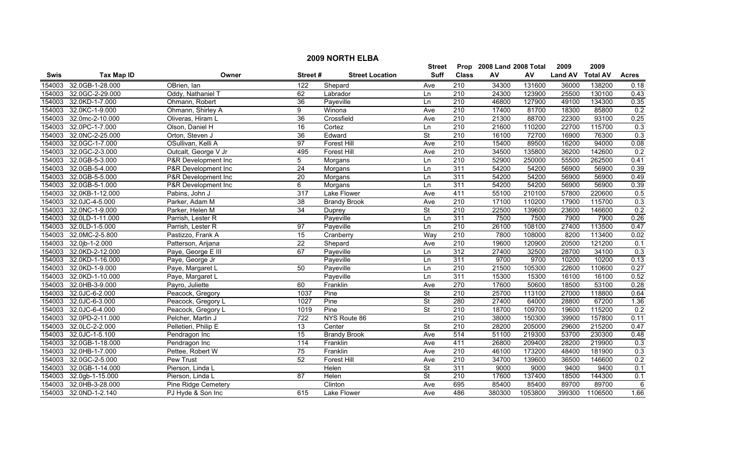|             |                   |                      |                 |                        | <b>Street</b>            |                  | Prop 2008 Land 2008 Total |         | 2009           | 2009            |              |
|-------------|-------------------|----------------------|-----------------|------------------------|--------------------------|------------------|---------------------------|---------|----------------|-----------------|--------------|
| <b>Swis</b> | <b>Tax Map ID</b> | Owner                | Street#         | <b>Street Location</b> | Suff                     | <b>Class</b>     | AV                        | AV      | <b>Land AV</b> | <b>Total AV</b> | <b>Acres</b> |
| 154003      | 32.0GB-1-28.000   | OBrien, Ian          | 122             | Shepard                | Ave                      | 210              | 34300                     | 131600  | 36000          | 138200          | 0.18         |
| 154003      | 32.0GC-2-29.000   | Oddy, Nathaniel T    | 62              | Labrador               | Ln                       | $\overline{210}$ | 24300                     | 123900  | 25500          | 130100          | 0.43         |
| 154003      | 32.0KD-1-7.000    | Ohmann, Robert       | $\overline{36}$ | Payeville              | Ln                       | 210              | 46800                     | 127900  | 49100          | 134300          | 0.35         |
| 154003      | 32.0KC-1-9.000    | Ohmann, Shirley A    | 9               | Winona                 | Ave                      | 210              | 17400                     | 81700   | 18300          | 85800           | 0.2          |
| 154003      | 32.0mc-2-10.000   | Oliveras, Hiram L    | 36              | Crossfield             | Ave                      | 210              | 21300                     | 88700   | 22300          | 93100           | 0.25         |
| 154003      | 32.0PC-1-7.000    | Olson, Daniel H      | 16              | Cortez                 | Ln                       | 210              | 21600                     | 110200  | 22700          | 115700          | 0.3          |
| 154003      | 32.0NC-2-25.000   | Orton, Steven J      | 36              | Edward                 | St                       | 210              | 16100                     | 72700   | 16900          | 76300           | 0.3          |
| 154003      | 32.0GC-1-7.000    | OSullivan, Kelli A   | 97              | <b>Forest Hill</b>     | Ave                      | 210              | 15400                     | 89500   | 16200          | 94000           | 0.08         |
| 154003      | 32.0GC-2-3.000    | Outcalt, George V Jr | 495             | Forest Hill            | Ave                      | $\overline{210}$ | 34500                     | 135800  | 36200          | 142600          | 0.2          |
| 154003      | 32.0GB-5-3.000    | P&R Development Inc  | 5               | Morgans                | Ln                       | $\overline{210}$ | 52900                     | 250000  | 55500          | 262500          | 0.41         |
| 154003      | 32.0GB-5-4.000    | P&R Development Inc  | $\overline{24}$ | Morgans                | Ln                       | 311              | 54200                     | 54200   | 56900          | 56900           | 0.39         |
| 154003      | 32.0GB-5-5.000    | P&R Development Inc  | 20              | Morgans                | Ln                       | 311              | 54200                     | 54200   | 56900          | 56900           | 0.49         |
| 154003      | 32.0GB-5-1.000    | P&R Development Inc  | 6               | Morgans                | Ln                       | 311              | 54200                     | 54200   | 56900          | 56900           | 0.39         |
| 154003      | 32.0KB-1-12.000   | Pabins, John J       | 317             | <b>Lake Flower</b>     | Ave                      | 411              | 55100                     | 210100  | 57800          | 220600          | 0.5          |
| 154003      | 32.0JC-4-5.000    | Parker, Adam M       | $\overline{38}$ | <b>Brandy Brook</b>    | Ave                      | $\overline{210}$ | 17100                     | 110200  | 17900          | 115700          | 0.3          |
| 154003      | 32.0NC-1-9.000    | Parker, Helen M      | $\overline{34}$ | Duprey                 | <b>St</b>                | $\overline{210}$ | 22500                     | 139600  | 23600          | 146600          | 0.2          |
| 154003      | 32.0LD-1-11.000   | Parrish, Lester R    |                 | Payeville              | Ln                       | 311              | 7500                      | 7500    | 7900           | 7900            | 0.26         |
| 154003      | 32.0LD-1-5.000    | Parrish, Lester R    | 97              | Payeville              | Ln                       | 210              | 26100                     | 108100  | 27400          | 113500          | 0.47         |
| 154003      | 32.0MC-2-5.800    | Pastizzo, Frank A    | $\overline{15}$ | Cranberry              | Way                      | 210              | 7800                      | 108000  | 8200           | 113400          | 0.02         |
| 154003      | 32.0jb-1-2.000    | Patterson, Arijana   | $\overline{22}$ | Shepard                | Ave                      | 210              | 19600                     | 120900  | 20500          | 121200          | 0.1          |
| 154003      | 32.0KD-2-12.000   | Paye, George E III   | 67              | Payeville              | Ln                       | 312              | 27400                     | 32500   | 28700          | 34100           | 0.3          |
| 154003      | 32.0KD-1-16.000   | Paye, George Jr      |                 | Payeville              | Ln                       | 311              | 9700                      | 9700    | 10200          | 10200           | 0.13         |
| 154003      | 32.0KD-1-9.000    | Paye, Margaret L     | 50              | Payeville              | Ln                       | $\overline{210}$ | 21500                     | 105300  | 22600          | 110600          | 0.27         |
| 154003      | 32.0KD-1-10.000   | Paye, Margaret L     |                 | Payeville              | Ln                       | $\overline{311}$ | 15300                     | 15300   | 16100          | 16100           | 0.52         |
| 154003      | 32.0HB-3-9.000    | Payro, Juliette      | 60              | Franklin               | Ave                      | 270              | 17600                     | 50600   | 18500          | 53100           | 0.28         |
| 154003      | 32.0JC-6-2.000    | Peacock, Gregory     | 1037            | Pine                   | $\overline{\mathsf{St}}$ | $\overline{210}$ | 25700                     | 113100  | 27000          | 118800          | 0.64         |
| 154003      | 32.0JC-6-3.000    | Peacock, Gregory L   | 1027            | Pine                   | <b>St</b>                | 280              | 27400                     | 64000   | 28800          | 67200           | 1.36         |
| 154003      | 32.0JC-6-4.000    | Peacock, Gregory L   | 1019            | Pine                   | <b>St</b>                | $\overline{210}$ | 18700                     | 109700  | 19600          | 115200          | 0.2          |
| 154003      | 32.0PD-2-11.000   | Pelcher, Martin J    | 722             | NYS Route 86           |                          | 210              | 38000                     | 150300  | 39900          | 157800          | 0.11         |
| 154003      | 32.0LC-2-2.000    | Pelletieri, Philip E | $\overline{13}$ | Center                 | $\overline{\mathsf{St}}$ | 210              | 28200                     | 205000  | 29600          | 215200          | 0.47         |
| 154003      | 32.0JC-1-5.100    | Pendragon Inc        | 15              | <b>Brandy Brook</b>    | Ave                      | 514              | 51100                     | 219300  | 53700          | 230300          | 0.48         |
| 154003      | 32.0GB-1-18.000   | Pendragon Inc        | 114             | Franklin               | Ave                      | 411              | 26800                     | 209400  | 28200          | 219900          | 0.3          |
| 154003      | 32.0HB-1-7.000    | Pettee, Robert W     | 75              | Franklin               | Ave                      | 210              | 46100                     | 173200  | 48400          | 181900          | 0.3          |
| 154003      | 32.0GC-2-5.000    | Pew Trust            | $\overline{52}$ | Forest Hill            | Ave                      | $\overline{210}$ | 34700                     | 139600  | 36500          | 146600          | 0.2          |
| 154003      | 32.0GB-1-14.000   | Pierson, Linda L     |                 | Helen                  | <b>St</b>                | 311              | 9000                      | 9000    | 9400           | 9400            | 0.1          |
| 154003      | 32.0gb-1-15.000   | Pierson, Linda L     | 87              | Helen                  | <b>St</b>                | 210              | 17600                     | 137400  | 18500          | 144300          | 0.1          |
| 154003      | 32.0HB-3-28.000   | Pine Ridge Cemetery  |                 | Clinton                | Ave                      | 695              | 85400                     | 85400   | 89700          | 89700           | 6            |
| 154003      | 32.0ND-1-2.140    | PJ Hyde & Son Inc    | 615             | Lake Flower            | Ave                      | 486              | 380300                    | 1053800 | 399300         | 1106500         | 1.66         |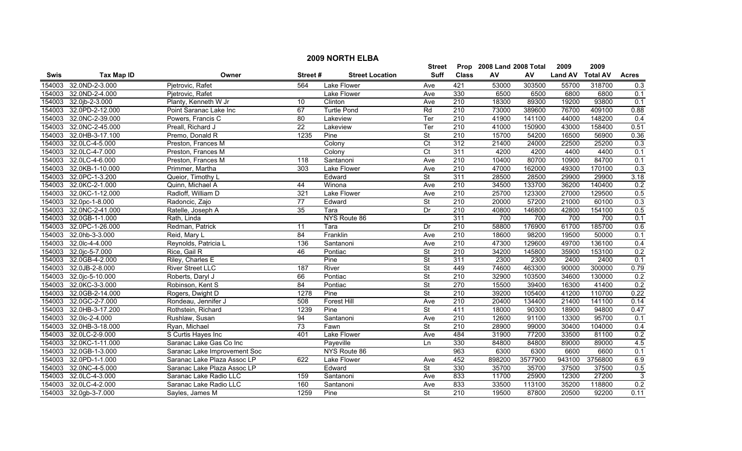|        | <b>2009 NORTH ELBA</b> |                              |                 |                        |                          |                  |                           |         |                |                 |                |  |
|--------|------------------------|------------------------------|-----------------|------------------------|--------------------------|------------------|---------------------------|---------|----------------|-----------------|----------------|--|
|        |                        |                              |                 |                        | <b>Street</b>            |                  | Prop 2008 Land 2008 Total |         | 2009           | 2009            |                |  |
| Swis   | <b>Tax Map ID</b>      | Owner                        | Street#         | <b>Street Location</b> | <b>Suff</b>              | <b>Class</b>     | ${\sf AV}$                | AV      | <b>Land AV</b> | <b>Total AV</b> | <b>Acres</b>   |  |
| 154003 | 32.0ND-2-3.000         | Pjetrovic, Rafet             | 564             | Lake Flower            | Ave                      | 421              | 53000                     | 303500  | 55700          | 318700          | 0.3            |  |
| 154003 | 32.0ND-2-4.000         | Pjetrovic, Rafet             |                 | Lake Flower            | Ave                      | 330              | 6500                      | 6500    | 6800           | 6800            | 0.1            |  |
| 154003 | 32.0jb-2-3.000         | Planty, Kenneth W Jr         | 10              | Clinton                | Ave                      | 210              | 18300                     | 89300   | 19200          | 93800           | 0.1            |  |
| 154003 | 32.0PD-2-12.000        | Point Saranac Lake Inc       | 67              | <b>Turtle Pond</b>     | Rd                       | 210              | 73000                     | 389600  | 76700          | 409100          | 0.88           |  |
| 154003 | 32.0NC-2-39.000        | Powers, Francis C            | 80              | Lakeview               | Ter                      | 210              | 41900                     | 141100  | 44000          | 148200          | 0.4            |  |
| 154003 | 32.0NC-2-45.000        | Preall, Richard J            | $\overline{22}$ | Lakeview               | Ter                      | 210              | 41000                     | 150900  | 43000          | 158400          | 0.51           |  |
| 154003 | 32.0HB-3-17.100        | Premo, Donald R              | 1235            | Pine                   | $\overline{\mathsf{St}}$ | 210              | 15700                     | 54200   | 16500          | 56900           | 0.36           |  |
| 154003 | 32.0LC-4-5.000         | Preston, Frances M           |                 | Colony                 | $\overline{C}t$          | 312              | 21400                     | 24000   | 22500          | 25200           | 0.3            |  |
| 154003 | 32.0LC-4-7.000         | Preston, Frances M           |                 | Colony                 | $\overline{C}$           | 311              | 4200                      | 4200    | 4400           | 4400            | 0.1            |  |
| 154003 | 32.0LC-4-6.000         | Preston, Frances M           | 118             | Santanoni              | Ave                      | 210              | 10400                     | 80700   | 10900          | 84700           | 0.1            |  |
| 154003 | 32.0KB-1-10.000        | Primmer, Martha              | 303             | <b>Lake Flower</b>     | Ave                      | 210              | 47000                     | 162000  | 49300          | 170100          | 0.3            |  |
| 154003 | 32.0PC-1-3.200         | Queior, Timothy L            |                 | Edward                 | $\overline{\mathsf{St}}$ | 311              | 28500                     | 28500   | 29900          | 29900           | 3.18           |  |
| 154003 | 32.0KC-2-1.000         | Quinn, Michael A             | 44              | Winona                 | Ave                      | 210              | 34500                     | 133700  | 36200          | 140400          | 0.2            |  |
| 154003 | 32.0KC-1-12.000        | Radloff, William D           | 321             | Lake Flower            | Ave                      | $\overline{210}$ | 25700                     | 123300  | 27000          | 129500          | 0.5            |  |
| 154003 | 32.0pc-1-8.000         | Radoncic, Zajo               | 77              | Edward                 | $\overline{\mathsf{St}}$ | $\overline{210}$ | 20000                     | 57200   | 21000          | 60100           | 0.3            |  |
| 154003 | 32.0NC-2-41.000        | Ratelle, Joseph A            | $\overline{35}$ | Tara                   | Dr                       | $\overline{210}$ | 40800                     | 146800  | 42800          | 154100          | 0.5            |  |
| 154003 | 32.0GB-1-1.000         | Rath, Linda                  |                 | NYS Route 86           |                          | 311              | 700                       | 700     | 700            | 700             | 0.1            |  |
| 154003 | 32.0PC-1-26.000        | Redman, Patrick              | 11              | Tara                   | Dr                       | 210              | 58800                     | 176900  | 61700          | 185700          | 0.6            |  |
| 154003 | 32.0hb-3-3.000         | Reid, Mary L                 | 84              | Franklin               | Ave                      | 210              | 18600                     | 98200   | 19500          | 50000           | 0.1            |  |
| 154003 | 32.0lc-4-4.000         | Reynolds, Patricia L         | 136             | Santanoni              | Ave                      | 210              | 47300                     | 129600  | 49700          | 136100          | 0.4            |  |
| 154003 | 32.0jc-5-7.000         | Rice, Gail R                 | 46              | Pontiac                | $\overline{\mathsf{St}}$ | 210              | 34200                     | 145800  | 35900          | 153100          | 0.2            |  |
| 154003 | 32.0GB-4-2.000         | Riley, Charles E             |                 | Pine                   | $\overline{\mathsf{St}}$ | 311              | 2300                      | 2300    | 2400           | 2400            | 0.1            |  |
| 154003 | 32.0JB-2-8.000         | <b>River Street LLC</b>      | 187             | River                  | <b>St</b>                | 449              | 74600                     | 463300  | 90000          | 300000          | 0.79           |  |
| 154003 | 32.0jc-5-10.000        | Roberts, Daryl J             | 66              | Pontiac                | <b>St</b>                | $\overline{210}$ | 32900                     | 103500  | 34600          | 130000          | 0.2            |  |
| 154003 | 32.0KC-3-3.000         | Robinson, Kent S             | 84              | Pontiac                | $\overline{\mathsf{St}}$ | 270              | 15500                     | 39400   | 16300          | 41400           | 0.2            |  |
| 154003 | 32.0GB-2-14.000        | Rogers, Dwight D             | 1278            | Pine                   | St                       | 210              | 39200                     | 105400  | 41200          | 110700          | 0.22           |  |
| 154003 | 32.0GC-2-7.000         | Rondeau, Jennifer J          | 508             | <b>Forest Hill</b>     | Ave                      | $\overline{210}$ | 20400                     | 134400  | 21400          | 141100          | 0.14           |  |
| 154003 | 32.0HB-3-17.200        | Rothstein, Richard           | 1239            | Pine                   | $\overline{\mathsf{St}}$ | 411              | 18000                     | 90300   | 18900          | 94800           | 0.47           |  |
| 154003 | 32.0lc-2-4.000         | Rushlaw, Susan               | 94              | Santanoni              | Ave                      | 210              | 12600                     | 91100   | 13300          | 95700           | 0.1            |  |
| 154003 | 32.0HB-3-18.000        | Ryan, Michael                | 73              | Fawn                   | <b>St</b>                | 210              | 28900                     | 99000   | 30400          | 104000          | 0.4            |  |
| 154003 | 32.0LC-2-9.000         | S Curtis Hayes Inc           | 401             | <b>Lake Flower</b>     | Ave                      | 484              | 31900                     | 77200   | 33500          | 81100           | 0.2            |  |
| 154003 | 32.0KC-1-11.000        | Saranac Lake Gas Co Inc      |                 | Payeville              | Ln                       | 330              | 84800                     | 84800   | 89000          | 89000           | 4.5            |  |
| 154003 | 32.0GB-1-3.000         | Saranac Lake Improvement Soc |                 | NYS Route 86           |                          | 963              | 6300                      | 6300    | 6600           | 6600            | 0.1            |  |
| 154003 | 32.0PD-1-1.000         | Saranac Lake Plaza Assoc LP  | 622             | Lake Flower            | Ave                      | 452              | 898200                    | 3577900 | 943100         | 3756800         | 6.9            |  |
| 154003 | 32.0NC-4-5.000         | Saranac Lake Plaza Assoc LP  |                 | Edward                 | <b>St</b>                | 330              | 35700                     | 35700   | 37500          | 37500           | 0.5            |  |
| 154003 | 32.0LC-4-3.000         | Saranac Lake Radio LLC       | 159             | Santanoni              | Ave                      | 833              | 11700                     | 25900   | 12300          | 27200           | $\overline{3}$ |  |
| 154003 | 32.0LC-4-2.000         | Saranac Lake Radio LLC       | 160             | Santanoni              | Ave                      | 833              | 33500                     | 113100  | 35200          | 118800          | 0.2            |  |
|        | 154003 32.0gb-3-7.000  | Savles, James M              | 1259            | Pine                   | St                       | $\overline{210}$ | 19500                     | 87800   | 20500          | 92200           | 0.11           |  |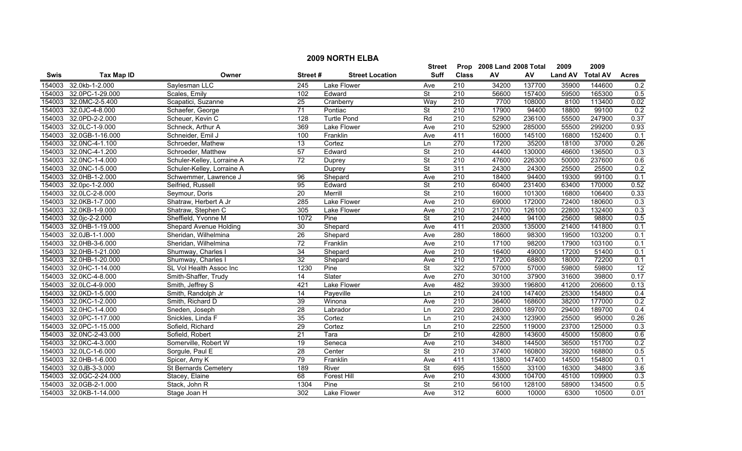|             |                   |                             |                 |                        | <b>Street</b>            |                  | Prop 2008 Land 2008 Total |        | 2009           | 2009            |                  |
|-------------|-------------------|-----------------------------|-----------------|------------------------|--------------------------|------------------|---------------------------|--------|----------------|-----------------|------------------|
| <b>Swis</b> | <b>Tax Map ID</b> | Owner                       | Street#         | <b>Street Location</b> | Suff                     | <b>Class</b>     | AV                        | AV     | <b>Land AV</b> | <b>Total AV</b> | <b>Acres</b>     |
| 154003      | 32.0kb-1-2.000    | Saylesman LLC               | 245             | Lake Flower            | Ave                      | 210              | 34200                     | 137700 | 35900          | 144600          | 0.2              |
| 154003      | 32.0PC-1-29.000   | Scales, Emily               | 102             | Edward                 | $\overline{\mathsf{St}}$ | $\overline{210}$ | 56600                     | 157400 | 59500          | 165300          | 0.5              |
| 154003      | 32.0MC-2-5.400    | Scapatici, Suzanne          | $\overline{25}$ | Cranberry              | Way                      | $\overline{210}$ | 7700                      | 108000 | 8100           | 113400          | 0.02             |
| 154003      | 32.0JC-4-8.000    | Schaefer, George            | 71              | Pontiac                | $\overline{\mathsf{St}}$ | 210              | 17900                     | 94400  | 18800          | 99100           | 0.2              |
| 154003      | 32.0PD-2-2.000    | Scheuer, Kevin C            | 128             | <b>Turtle Pond</b>     | Rd                       | 210              | 52900                     | 236100 | 55500          | 247900          | 0.37             |
| 154003      | 32.0LC-1-9.000    | Schneck, Arthur A           | 369             | <b>Lake Flower</b>     | Ave                      | 210              | 52900                     | 285000 | 55500          | 299200          | 0.93             |
| 154003      | 32.0GB-1-16.000   | Schneider, Emil J           | 100             | Franklin               | Ave                      | 411              | 16000                     | 145100 | 16800          | 152400          | 0.1              |
| 154003      | 32.0NC-4-1.100    | Schroeder, Mathew           | $\overline{13}$ | Cortez                 | Ln                       | 270              | 17200                     | 35200  | 18100          | 37000           | 0.26             |
| 154003      | 32.0NC-4-1.200    | Schroeder, Matthew          | 57              | Edward                 | <b>St</b>                | $\overline{210}$ | 44400                     | 130000 | 46600          | 136500          | $\overline{0.3}$ |
| 154003      | 32.0NC-1-4.000    | Schuler-Kelley, Lorraine A  | $\overline{72}$ | Duprey                 | $\overline{\mathsf{St}}$ | $\overline{210}$ | 47600                     | 226300 | 50000          | 237600          | 0.6              |
| 154003      | 32.0NC-1-5.000    | Schuler-Kelley, Lorraine A  |                 | Duprey                 | <b>St</b>                | 311              | 24300                     | 24300  | 25500          | 25500           | 0.2              |
| 154003      | 32.0HB-1-2.000    | Schwemmer, Lawrence J       | 96              | Shepard                | Ave                      | $\overline{210}$ | 18400                     | 94400  | 19300          | 99100           | 0.1              |
| 154003      | 32.0pc-1-2.000    | Seifried, Russell           | 95              | Edward                 | <b>St</b>                | $\overline{210}$ | 60400                     | 231400 | 63400          | 170000          | 0.52             |
| 154003      | 32.0LC-2-8.000    | Seymour, Doris              | $\overline{20}$ | Merrill                | $\overline{\mathsf{St}}$ | $\overline{210}$ | 16000                     | 101300 | 16800          | 106400          | 0.33             |
| 154003      | 32.0KB-1-7.000    | Shatraw, Herbert A Jr       | 285             | Lake Flower            | Ave                      | 210              | 69000                     | 172000 | 72400          | 180600          | 0.3              |
| 154003      | 32.0KB-1-9.000    | Shatraw, Stephen C          | 305             | Lake Flower            | Ave                      | 210              | 21700                     | 126100 | 22800          | 132400          | 0.3              |
| 154003      | 32.0jc-2-2.000    | Sheffield, Yvonne M         | 1072            | Pine                   | $\overline{\mathsf{St}}$ | 210              | 24400                     | 94100  | 25600          | 98800           | 0.5              |
| 154003      | 32.0HB-1-19.000   | Shepard Avenue Holding      | 30              | Shepard                | Ave                      | 411              | 20300                     | 135000 | 21400          | 141800          | 0.1              |
| 154003      | 32.0JB-1-1.000    | Sheridan, Wilhelmina        | 26              | Shepard                | Ave                      | 280              | 18600                     | 98300  | 19500          | 103200          | 0.1              |
| 154003      | 32.0HB-3-6.000    | Sheridan, Wilhelmina        | 72              | Franklin               | Ave                      | 210              | 17100                     | 98200  | 17900          | 103100          | 0.1              |
| 154003      | 32.0HB-1-21.000   | Shumway, Charles I          | $\overline{34}$ | Shepard                | Ave                      | 210              | 16400                     | 49000  | 17200          | 51400           | 0.1              |
| 154003      | 32.0HB-1-20.000   | Shumway, Charles I          | $\overline{32}$ | Shepard                | Ave                      | 210              | 17200                     | 68800  | 18000          | 72200           | 0.1              |
| 154003      | 32.0HC-1-14.000   | SL Vol Health Assoc Inc     | 1230            | Pine                   | $\overline{\mathsf{St}}$ | 322              | 57000                     | 57000  | 59800          | 59800           | $\overline{12}$  |
| 154003      | 32.0KC-4-8.000    | Smith-Shaffer, Trudy        | $\overline{14}$ | Slater                 | Ave                      | 270              | 30100                     | 37900  | 31600          | 39800           | 0.17             |
| 154003      | 32.0LC-4-9.000    | Smith, Jeffrey S            | 421             | Lake Flower            | Ave                      | 482              | 39300                     | 196800 | 41200          | 206600          | 0.13             |
| 154003      | 32.0KD-1-5.000    | Smith, Randolph Jr          | $\overline{14}$ | Payeville              | Ln                       | $\overline{210}$ | 24100                     | 147400 | 25300          | 154800          | 0.4              |
| 154003      | 32.0KC-1-2.000    | Smith, Richard D            | 39              | Winona                 | Ave                      | 210              | 36400                     | 168600 | 38200          | 177000          | 0.2              |
| 154003      | 32.0HC-1-4.000    | Sneden, Joseph              | $\overline{28}$ | Labrador               | Ln                       | 220              | 28000                     | 189700 | 29400          | 189700          | 0.4              |
| 154003      | 32.0PC-1-17.000   | Snickles, Linda F           | 35              | Cortez                 | Ln                       | 210              | 24300                     | 123900 | 25500          | 95000           | 0.26             |
| 154003      | 32.0PC-1-15.000   | Sofield, Richard            | 29              | Cortez                 | Ln                       | 210              | 22500                     | 119000 | 23700          | 125000          | 0.3              |
| 154003      | 32.0NC-2-43.000   | Sofield, Robert             | $\overline{21}$ | Tara                   | Dr                       | 210              | 42800                     | 143600 | 45000          | 150800          | 0.6              |
| 154003      | 32.0KC-4-3.000    | Somerville, Robert W        | 19              | Seneca                 | Ave                      | 210              | 34800                     | 144500 | 36500          | 151700          | 0.2              |
| 154003      | 32.0LC-1-6.000    | Sorgule, Paul E             | 28              | Center                 | $\overline{\mathsf{St}}$ | 210              | 37400                     | 160800 | 39200          | 168800          | 0.5              |
| 154003      | 32.0HB-1-6.000    | Spicer, Amy K               | 79              | Franklin               | Ave                      | 411              | 13800                     | 147400 | 14500          | 154800          | 0.1              |
| 154003      | 32.0JB-3-3.000    | <b>St Bernards Cemetery</b> | 189             | River                  | $\overline{\mathsf{St}}$ | 695              | 15500                     | 33100  | 16300          | 34800           | 3.6              |
| 154003      | 32.0GC-2-24.000   | Stacey, Elaine              | 68              | <b>Forest Hill</b>     | Ave                      | 210              | 43000                     | 104700 | 45100          | 109900          | 0.3              |
| 154003      | 32.0GB-2-1.000    | Stack, John R               | 1304            | Pine                   | <b>St</b>                | $\overline{210}$ | 56100                     | 128100 | 58900          | 134500          | $\overline{0.5}$ |
| 154003      | 32.0KB-1-14.000   | Stage Joan H                | 302             | Lake Flower            | Ave                      | 312              | 6000                      | 10000  | 6300           | 10500           | 0.01             |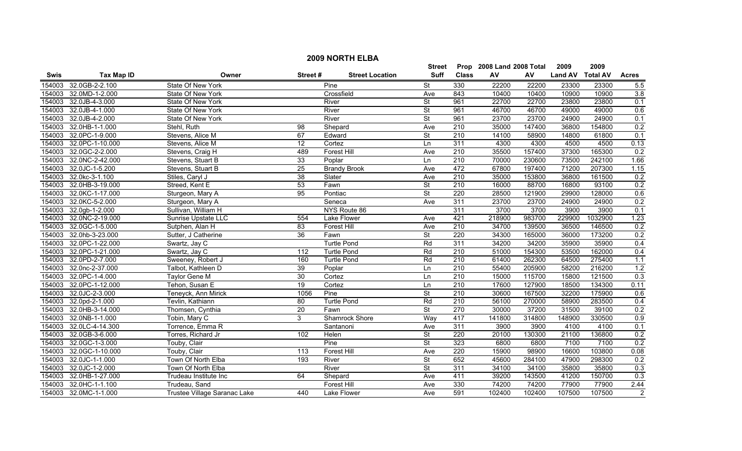|        | <b>2009 NORTH ELBA</b> |                              |                  |                        |                          |                           |            |        |                |                 |                |  |
|--------|------------------------|------------------------------|------------------|------------------------|--------------------------|---------------------------|------------|--------|----------------|-----------------|----------------|--|
|        |                        |                              |                  | <b>Street</b>          |                          | Prop 2008 Land 2008 Total |            | 2009   | 2009           |                 |                |  |
| Swis   | <b>Tax Map ID</b>      | Owner                        | Street#          | <b>Street Location</b> | <b>Suff</b>              | <b>Class</b>              | ${\sf AV}$ | AV     | <b>Land AV</b> | <b>Total AV</b> | <b>Acres</b>   |  |
| 154003 | 32.0GB-2-2.100         | State Of New York            |                  | Pine                   | $\overline{\mathsf{St}}$ | 330                       | 22200      | 22200  | 23300          | 23300           | 5.5            |  |
| 154003 | 32.0MD-1-2.000         | State Of New York            |                  | Crossfield             | Ave                      | 843                       | 10400      | 10400  | 10900          | 10900           | 3.8            |  |
| 154003 | 32.0JB-4-3.000         | State Of New York            |                  | River                  | St                       | 961                       | 22700      | 22700  | 23800          | 23800           | 0.1            |  |
| 154003 | 32.0JB-4-1.000         | State Of New York            |                  | River                  | $\overline{\mathsf{St}}$ | 961                       | 46700      | 46700  | 49000          | 49000           | 0.6            |  |
| 154003 | 32.0JB-4-2.000         | State Of New York            |                  | River                  | $\overline{\mathsf{St}}$ | 961                       | 23700      | 23700  | 24900          | 24900           | 0.1            |  |
| 154003 | 32.0HB-1-1.000         | Stehl, Ruth                  | $\overline{98}$  | Shepard                | Ave                      | 210                       | 35000      | 147400 | 36800          | 154800          | 0.2            |  |
| 154003 | 32.0PC-1-9.000         | Stevens, Alice M             | 67               | Edward                 | <b>St</b>                | 210                       | 14100      | 58900  | 14800          | 61800           | 0.1            |  |
| 154003 | 32.0PC-1-10.000        | Stevens, Alice M             | 12               | Cortez                 | Ln                       | 311                       | 4300       | 4300   | 4500           | 4500            | 0.13           |  |
|        | 154003 32.0GC-2-2.000  | Stevens, Craig H             | 489              | <b>Forest Hill</b>     | Ave                      | 210                       | 35500      | 157400 | 37300          | 165300          | 0.2            |  |
| 154003 | 32.0NC-2-42.000        | Stevens, Stuart B            | 33               | Poplar                 | Ln                       | 210                       | 70000      | 230600 | 73500          | 242100          | 1.66           |  |
| 154003 | 32.0JC-1-5.200         | Stevens, Stuart B            | $\overline{25}$  | <b>Brandy Brook</b>    | Ave                      | 472                       | 67800      | 197400 | 71200          | 207300          | 1.15           |  |
| 154003 | 32.0kc-3-1.100         | Stiles, Caryl J              | $\overline{38}$  | Slater                 | Ave                      | 210                       | 35000      | 153800 | 36800          | 161500          | 0.2            |  |
| 154003 | 32.0HB-3-19.000        | Streed, Kent E               | 53               | Fawn                   | $\overline{\mathsf{St}}$ | $\overline{210}$          | 16000      | 88700  | 16800          | 93100           | 0.2            |  |
| 154003 | 32.0KC-1-17.000        | Sturgeon, Mary A             | 95               | Pontiac                | $\overline{\mathsf{St}}$ | 220                       | 28500      | 121900 | 29900          | 128000          | 0.6            |  |
| 154003 | 32.0KC-5-2.000         | Sturgeon, Mary A             |                  | Seneca                 | Ave                      | 311                       | 23700      | 23700  | 24900          | 24900           | 0.2            |  |
|        | 154003 32.0gb-1-2.000  | Sullivan, William H          |                  | NYS Route 86           |                          | 311                       | 3700       | 3700   | 3900           | 3900            | 0.1            |  |
| 154003 | 32.0NC-2-19.000        | Sunrise Upstate LLC          | 554              | Lake Flower            | Ave                      | 421                       | 218900     | 983700 | 229900         | 1032900         | 1.23           |  |
| 154003 | 32.0GC-1-5.000         | Sutphen, Alan H              | 83               | <b>Forest Hill</b>     | Ave                      | 210                       | 34700      | 139500 | 36500          | 146500          | 0.2            |  |
|        | 154003 32.0hb-3-23.000 | Sutter, J Catherine          | 36               | Fawn                   | $\overline{\mathsf{St}}$ | 220                       | 34300      | 165000 | 36000          | 173200          | 0.2            |  |
| 154003 | 32.0PC-1-22.000        | Swartz, Jay C                |                  | <b>Turtle Pond</b>     | Rd                       | 311                       | 34200      | 34200  | 35900          | 35900           | 0.4            |  |
| 154003 | 32.0PC-1-21.000        | Swartz, Jay C                | $\overline{112}$ | <b>Turtle Pond</b>     | Rd                       | $\overline{210}$          | 51000      | 154300 | 53500          | 162000          | 0.4            |  |
| 154003 | 32.0PD-2-7.000         | Sweeney, Robert J            | 160              | <b>Turtle Pond</b>     | Rd                       | $\overline{210}$          | 61400      | 262300 | 64500          | 275400          | 1.1            |  |
| 154003 | 32.0nc-2-37.000        | Talbot, Kathleen D           | 39               | Poplar                 | Ln                       | $\overline{210}$          | 55400      | 205900 | 58200          | 216200          | 1.2            |  |
| 154003 | 32.0PC-1-4.000         | Taylor Gene M                | 30               | Cortez                 | Ln                       | $\overline{210}$          | 15000      | 115700 | 15800          | 121500          | 0.3            |  |
| 154003 | 32.0PC-1-12.000        | Tehon, Susan E               | $\overline{19}$  | Cortez                 | Ln                       | $\overline{210}$          | 17600      | 127900 | 18500          | 134300          | 0.11           |  |
| 154003 | 32.0JC-2-3.000         | Teneyck, Ann Mirick          | 1056             | Pine                   | <b>St</b>                | 210                       | 30600      | 167500 | 32200          | 175900          | 0.6            |  |
| 154003 | 32.0pd-2-1.000         | Tevlin, Kathiann             | $\overline{80}$  | <b>Turtle Pond</b>     | Rd                       | $\overline{210}$          | 56100      | 270000 | 58900          | 283500          | 0.4            |  |
|        | 154003 32.0HB-3-14.000 | Thomsen, Cynthia             | $\overline{20}$  | Fawn                   | $\overline{\mathsf{St}}$ | 270                       | 30000      | 37200  | 31500          | 39100           | 0.2            |  |
| 154003 | 32.0NB-1-1.000         | Tobin, Mary C                | 3                | <b>Shamrock Shore</b>  | Way                      | 417                       | 141800     | 314800 | 148900         | 330500          | 0.9            |  |
| 154003 | 32.0LC-4-14.300        | Torrence, Emma R             |                  | Santanoni              | Ave                      | 311                       | 3900       | 3900   | 4100           | 4100            | 0.1            |  |
| 154003 | 32.0GB-3-6.000         | Torres, Richard Jr           | 102              | Helen                  | $\overline{\mathsf{St}}$ | 220                       | 20100      | 130300 | 21100          | 136800          | 0.2            |  |
| 154003 | 32.0GC-1-3.000         | Touby, Clair                 |                  | Pine                   | <b>St</b>                | 323                       | 6800       | 6800   | 7100           | 7100            | 0.2            |  |
| 154003 | 32.0GC-1-10.000        | Touby, Clair                 | 113              | <b>Forest Hill</b>     | Ave                      | 220                       | 15900      | 98900  | 16600          | 103800          | 0.08           |  |
| 154003 | 32.0JC-1-1.000         | Town Of North Elba           | 193              | River                  | $\overline{\mathsf{St}}$ | 652                       | 45600      | 284100 | 47900          | 298300          | 0.2            |  |
| 154003 | 32.0JC-1-2.000         | Town Of North Elba           |                  | River                  | <b>St</b>                | 311                       | 34100      | 34100  | 35800          | 35800           | 0.3            |  |
| 154003 | 32.0HB-1-27.000        | Trudeau Institute Inc        | 64               | Shepard                | Ave                      | 411                       | 39200      | 143500 | 41200          | 150700          | 0.3            |  |
| 154003 | 32.0HC-1-1.100         | Trudeau, Sand                |                  | <b>Forest Hill</b>     | Ave                      | 330                       | 74200      | 74200  | 77900          | 77900           | 2.44           |  |
|        | 154003 32.0MC-1-1.000  | Trustee Village Saranac Lake | 440              | Lake Flower            | Ave                      | 591                       | 102400     | 102400 | 107500         | 107500          | $\overline{2}$ |  |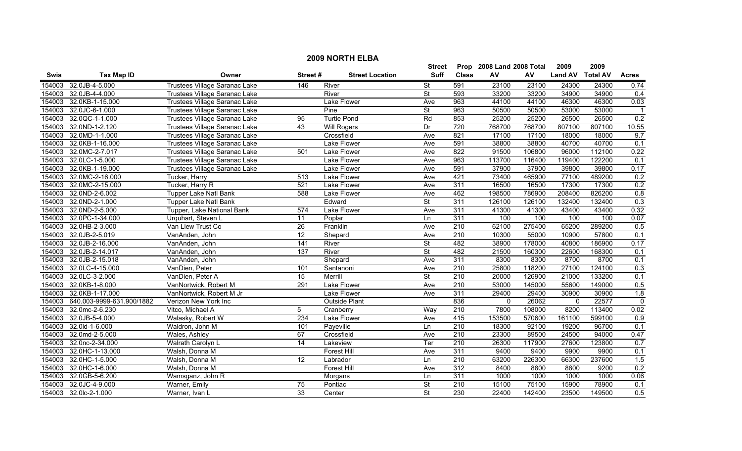|        | <b>2009 NORTH ELBA</b>    |                                      |                 |                        |                          |                  |                           |        |                |                 |              |  |
|--------|---------------------------|--------------------------------------|-----------------|------------------------|--------------------------|------------------|---------------------------|--------|----------------|-----------------|--------------|--|
|        |                           |                                      |                 |                        | <b>Street</b>            |                  | Prop 2008 Land 2008 Total |        | 2009           | 2009            |              |  |
| Swis   | <b>Tax Map ID</b>         | Owner                                | Street#         | <b>Street Location</b> | <b>Suff</b>              | <b>Class</b>     | AV                        | AV     | <b>Land AV</b> | <b>Total AV</b> | <b>Acres</b> |  |
| 154003 | 32.0JB-4-5.000            | Trustees Village Saranac Lake        | 146             | River                  | <b>St</b>                | 591              | 23100                     | 23100  | 24300          | 24300           | 0.74         |  |
| 154003 | 32.0JB-4-4.000            | Trustees Village Saranac Lake        |                 | River                  | St                       | 593              | 33200                     | 33200  | 34900          | 34900           | 0.4          |  |
| 154003 | 32.0KB-1-15.000           | Trustees Village Saranac Lake        |                 | Lake Flower            | Ave                      | 963              | 44100                     | 44100  | 46300          | 46300           | 0.03         |  |
| 154003 | 32.0JC-6-1.000            | Trustees Village Saranac Lake        |                 | Pine                   | St                       | 963              | 50500                     | 50500  | 53000          | 53000           |              |  |
| 154003 | 32.0QC-1-1.000            | Trustees Village Saranac Lake        | 95              | <b>Turtle Pond</b>     | Rd                       | 853              | 25200                     | 25200  | 26500          | 26500           | 0.2          |  |
| 154003 | 32.0ND-1-2.120            | <b>Trustees Village Saranac Lake</b> | 43              | <b>Will Rogers</b>     | Dr                       | 720              | 768700                    | 768700 | 807100         | 807100          | 10.55        |  |
| 154003 | 32.0MD-1-1.000            | Trustees Village Saranac Lake        |                 | Crossfield             | Ave                      | 821              | 17100                     | 17100  | 18000          | 18000           | 9.7          |  |
| 154003 | 32.0KB-1-16.000           | Trustees Village Saranac Lake        |                 | <b>Lake Flower</b>     | Ave                      | 591              | 38800                     | 38800  | 40700          | 40700           | 0.1          |  |
| 154003 | 32.0MC-2-7.017            | Trustees Village Saranac Lake        | 501             | Lake Flower            | Ave                      | 822              | 91500                     | 106800 | 96000          | 112100          | 0.22         |  |
| 154003 | 32.0LC-1-5.000            | Trustees Village Saranac Lake        |                 | Lake Flower            | Ave                      | 963              | 113700                    | 116400 | 119400         | 122200          | 0.1          |  |
| 154003 | 32.0KB-1-19.000           | Trustees Village Saranac Lake        |                 | Lake Flower            | Ave                      | 591              | 37900                     | 37900  | 39800          | 39800           | 0.17         |  |
| 154003 | 32.0MC-2-16.000           | Tucker, Harry                        | 513             | Lake Flower            | Ave                      | 421              | 73400                     | 465900 | 77100          | 489200          | 0.2          |  |
| 154003 | 32.0MC-2-15.000           | Tucker, Harry R                      | 521             | Lake Flower            | Ave                      | 311              | 16500                     | 16500  | 17300          | 17300           | 0.2          |  |
| 154003 | 32.0ND-2-6.002            | <b>Tupper Lake Natl Bank</b>         | 588             | Lake Flower            | Ave                      | 462              | 198500                    | 786900 | 208400         | 826200          | 0.8          |  |
| 154003 | 32.0ND-2-1.000            | <b>Tupper Lake Natl Bank</b>         |                 | Edward                 | $\overline{\mathsf{St}}$ | 311              | 126100                    | 126100 | 132400         | 132400          | 0.3          |  |
| 154003 | 32.0ND-2-5.000            | Tupper, Lake National Bank           | 574             | <b>Lake Flower</b>     | Ave                      | 311              | 41300                     | 41300  | 43400          | 43400           | 0.32         |  |
| 154003 | 32.0PC-1-34.000           | Urquhart, Steven L                   | 11              | Poplar                 | Ln                       | 311              | 100                       | 100    | 100            | 100             | 0.07         |  |
| 154003 | 32.0HB-2-3.000            | Van Liew Trust Co                    | $\overline{26}$ | Franklin               | Ave                      | 210              | 62100                     | 275400 | 65200          | 289200          | 0.5          |  |
| 154003 | 32.0JB-2-5.019            | VanAnden, John                       | 12              | Shepard                | Ave                      | 210              | 10300                     | 55000  | 10900          | 57800           | 0.1          |  |
| 154003 | 32.0JB-2-16.000           | VanAnden, John                       | 141             | River                  | <b>St</b>                | 482              | 38900                     | 178000 | 40800          | 186900          | 0.17         |  |
| 154003 | 32.0JB-2-14.017           | VanAnden, John                       | 137             | River                  | <b>St</b>                | 482              | 21500                     | 160300 | 22600          | 168300          | 0.1          |  |
| 154003 | 32.0JB-2-15.018           | VanAnden, John                       |                 | Shepard                | Ave                      | 311              | 8300                      | 8300   | 8700           | 8700            | 0.1          |  |
| 154003 | 32.0LC-4-15.000           | VanDien, Peter                       | 101             | Santanoni              | Ave                      | 210              | 25800                     | 118200 | 27100          | 124100          | 0.3          |  |
| 154003 | 32.0LC-3-2.000            | VanDien, Peter A                     | $\overline{15}$ | Merrill                | St                       | $\overline{210}$ | 20000                     | 126900 | 21000          | 133200          | 0.1          |  |
| 154003 | 32.0KB-1-8.000            | VanNortwick, Robert M                | 291             | Lake Flower            | Ave                      | 210              | 53000                     | 145000 | 55600          | 149000          | 0.5          |  |
| 154003 | 32.0KB-1-17.000           | VanNortwick, Robert M Jr             |                 | Lake Flower            | Ave                      | 311              | 29400                     | 29400  | 30900          | 30900           | 1.8          |  |
| 154003 | 640.003-9999-631.900/1882 | Verizon New York Inc                 |                 | <b>Outside Plant</b>   |                          | 836              | $\mathbf{0}$              | 26062  | $\mathbf 0$    | 22577           | $\pmb{0}$    |  |
| 154003 | 32.0mc-2-6.230            | Vitco, Michael A                     | 5               | Cranberry              | Way                      | 210              | 7800                      | 108000 | 8200           | 113400          | 0.02         |  |
| 154003 | 32.0JB-5-4.000            | Walasky, Robert W                    | 234             | <b>Lake Flower</b>     | Ave                      | 415              | 153500                    | 570600 | 161100         | 599100          | 0.9          |  |
| 154003 | 32.0ld-1-6.000            | Waldron, John M                      | 101             | Payeville              | Ln                       | 210              | 18300                     | 92100  | 19200          | 96700           | 0.1          |  |
| 154003 | 32.0md-2-5.000            | Wales, Ashley                        | 67              | Crossfield             | Ave                      | 210              | 23300                     | 89500  | 24500          | 94000           | 0.47         |  |
| 154003 | 32.0nc-2-34.000           | Walrath Carolyn L                    | 14              | Lakeview               | Ter                      | 210              | 26300                     | 117900 | 27600          | 123800          | 0.7          |  |
| 154003 | 32.0HC-1-13.000           | Walsh, Donna M                       |                 | Forest Hill            | Ave                      | 311              | 9400                      | 9400   | 9900           | 9900            | 0.1          |  |
| 154003 | 32.0HC-1-5.000            | Walsh, Donna M                       | 12              | Labrador               | Ln                       | 210              | 63200                     | 226300 | 66300          | 237600          | 1.5          |  |
| 154003 | 32.0HC-1-6.000            | Walsh, Donna M                       |                 | <b>Forest Hill</b>     | Ave                      | 312              | 8400                      | 8800   | 8800           | 9200            | 0.2          |  |
| 154003 | 32.0GB-5-6.200            | Wamsganz, John R                     |                 | Morgans                | Ln                       | 311              | 1000                      | 1000   | 1000           | 1000            | 0.06         |  |
| 154003 | 32.0JC-4-9.000            | Warner, Emily                        | 75              | Pontiac                | St                       | $\overline{210}$ | 15100                     | 75100  | 15900          | 78900           | 0.1          |  |
| 154003 | 32.0lc-2-1.000            | Warner, Ivan L                       | 33              | Center                 | St                       | 230              | 22400                     | 142400 | 23500          | 149500          | 0.5          |  |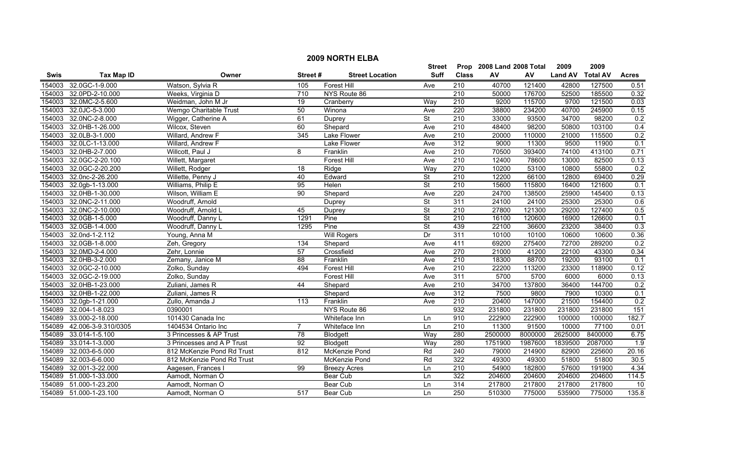|        | <b>2009 NORTH ELBA</b> |                            |                  |                        |                          |                  |                           |         |                |                 |              |  |
|--------|------------------------|----------------------------|------------------|------------------------|--------------------------|------------------|---------------------------|---------|----------------|-----------------|--------------|--|
|        |                        |                            |                  |                        | Street                   |                  | Prop 2008 Land 2008 Total |         | 2009           | 2009            |              |  |
| Swis   | <b>Tax Map ID</b>      | Owner                      | Street#          | <b>Street Location</b> | <b>Suff</b>              | <b>Class</b>     | ${\sf AV}$                | AV      | <b>Land AV</b> | <b>Total AV</b> | <b>Acres</b> |  |
| 154003 | 32.0GC-1-9.000         | Watson, Sylvia R           | 105              | Forest Hill            | Ave                      | 210              | 40700                     | 121400  | 42800          | 127500          | 0.51         |  |
| 154003 | 32.0PD-2-10.000        | Weeks, Virginia D          | 710              | NYS Route 86           |                          | $\overline{210}$ | 50000                     | 176700  | 52500          | 185500          | 0.32         |  |
| 154003 | 32.0MC-2-5.600         | Weidman, John M Jr         | $\overline{19}$  | Cranberry              | Way                      | 210              | 9200                      | 115700  | 9700           | 121500          | 0.03         |  |
| 154003 | 32.0JC-5-3.000         | Wemgo Charitable Trust     | 50               | Winona                 | Ave                      | 220              | 38800                     | 234200  | 40700          | 245900          | 0.15         |  |
| 154003 | 32.0NC-2-8.000         | Wigger, Catherine A        | 61               | Duprey                 | $\overline{\mathsf{St}}$ | 210              | 33000                     | 93500   | 34700          | 98200           | 0.2          |  |
| 154003 | 32.0HB-1-26.000        | Wilcox, Steven             | 60               | Shepard                | Ave                      | 210              | 48400                     | 98200   | 50800          | 103100          | 0.4          |  |
| 154003 | 32.0LB-3-1.000         | Willard, Andrew F          | 345              | <b>Lake Flower</b>     | Ave                      | 210              | 20000                     | 110000  | 21000          | 115500          | 0.2          |  |
| 154003 | 32.0LC-1-13.000        | Willard, Andrew F          |                  | <b>Lake Flower</b>     | Ave                      | 312              | 9000                      | 11300   | 9500           | 11900           | 0.1          |  |
| 154003 | 32.0HB-2-7.000         | Willcott, Paul J           | 8                | Franklin               | Ave                      | 210              | 70500                     | 393400  | 74100          | 413100          | 0.71         |  |
| 154003 | 32.0GC-2-20.100        | Willett, Margaret          |                  | <b>Forest Hill</b>     | Ave                      | 210              | 12400                     | 78600   | 13000          | 82500           | 0.13         |  |
| 154003 | 32.0GC-2-20.200        | Willett, Rodger            | 18               | Ridge                  | Way                      | 270              | 10200                     | 53100   | 10800          | 55800           | 0.2          |  |
| 154003 | 32.0nc-2-26.200        | Willette, Penny J          | 40               | Edward                 | <b>St</b>                | 210              | 12200                     | 66100   | 12800          | 69400           | 0.29         |  |
| 154003 | 32.0gb-1-13.000        | Williams, Philip E         | 95               | Helen                  | $\overline{\mathsf{St}}$ | 210              | 15600                     | 115800  | 16400          | 121600          | 0.1          |  |
| 154003 | 32.0HB-1-30.000        | Wilson, William E          | 90               | Shepard                | Ave                      | 220              | 24700                     | 138500  | 25900          | 145400          | 0.13         |  |
| 154003 | 32.0NC-2-11.000        | Woodruff, Arnold           |                  | Duprey                 | $\overline{\mathsf{St}}$ | 311              | 24100                     | 24100   | 25300          | 25300           | 0.6          |  |
| 154003 | 32.0NC-2-10.000        | Woodruff, Arnold L         | 45               | Duprey                 | $\overline{\mathsf{St}}$ | $\overline{210}$ | 27800                     | 121300  | 29200          | 127400          | 0.5          |  |
| 154003 | 32.0GB-1-5.000         | Woodruff, Danny L          | 1291             | Pine                   | <b>St</b>                | 210              | 16100                     | 120600  | 16900          | 126600          | 0.1          |  |
| 154003 | 32.0GB-1-4.000         | Woodruff, Danny L          | 1295             | Pine                   | $\overline{\mathsf{St}}$ | 439              | 22100                     | 36600   | 23200          | 38400           | 0.3          |  |
| 154003 | 32.0nd-1-2.112         | Young, Anna M              |                  | <b>Will Rogers</b>     | Dr                       | 311              | 10100                     | 10100   | 10600          | 10600           | 0.36         |  |
| 154003 | 32.0GB-1-8.000         | Zeh, Gregory               | 134              | Shepard                | Ave                      | 411              | 69200                     | 275400  | 72700          | 289200          | 0.2          |  |
| 154003 | 32.0MD-2-4.000         | Zehr, Lonnie               | 57               | Crossfield             | Ave                      | 270              | 21000                     | 41200   | 22100          | 43300           | 0.34         |  |
| 154003 | 32.0HB-3-2.000         | Zemany, Janice M           | 88               | Franklin               | Ave                      | 210              | 18300                     | 88700   | 19200          | 93100           | 0.1          |  |
| 154003 | 32.0GC-2-10.000        | Zolko, Sunday              | 494              | Forest Hill            | Ave                      | 210              | 22200                     | 113200  | 23300          | 118900          | 0.12         |  |
| 154003 | 32.0GC-2-19.000        | Zolko, Sunday              |                  | <b>Forest Hill</b>     | Ave                      | 311              | 5700                      | 5700    | 6000           | 6000            | 0.13         |  |
| 154003 | 32.0HB-1-23.000        | Zuliani, James R           | 44               | Shepard                | Ave                      | 210              | 34700                     | 137800  | 36400          | 144700          | 0.2          |  |
| 154003 | 32.0HB-1-22.000        | Zuliani, James R           |                  | Shepard                | Ave                      | 312              | 7500                      | 9800    | 7900           | 10300           | 0.1          |  |
| 154003 | 32.0gb-1-21.000        | Zullo, Amanda J            | $\overline{113}$ | Franklin               | Ave                      | $\overline{210}$ | 20400                     | 147000  | 21500          | 154400          | 0.2          |  |
| 154089 | 32.004-1-8.023         | 0390001                    |                  | NYS Route 86           |                          | 932              | 231800                    | 231800  | 231800         | 231800          | 151          |  |
| 154089 | 33.000-2-18.000        | 101430 Canada Inc          |                  | Whiteface Inn          | Ln                       | 910              | 222900                    | 222900  | 100000         | 100000          | 182.7        |  |
| 154089 | 42.006-3-9.310/0305    | 1404534 Ontario Inc        | 7                | Whiteface Inn          | Ln                       | 210              | 11300                     | 91500   | 10000          | 77100           | 0.01         |  |
| 154089 | 33.014-1-5.100         | 3 Princesses & AP Trust    | 78               | Blodgett               | Way                      | 280              | 2500000                   | 8000000 | 2625000        | 8400000         | 6.75         |  |
| 154089 | 33.014-1-3.000         | 3 Princesses and A P Trust | 92               | Blodgett               | Way                      | 280              | 1751900                   | 1987600 | 1839500        | 2087000         | 1.9          |  |
| 154089 | 32.003-6-5.000         | 812 McKenzie Pond Rd Trust | 812              | <b>McKenzie Pond</b>   | Rd                       | 240              | 79000                     | 214900  | 82900          | 225600          | 20.16        |  |
| 154089 | 32.003-6-6.000         | 812 McKenzie Pond Rd Trust |                  | McKenzie Pond          | Rd                       | 322              | 49300                     | 49300   | 51800          | 51800           | 30.5         |  |
| 154089 | 32.001-3-22.000        | Aagesen, Frances I         | 99               | <b>Breezy Acres</b>    | Ln                       | $\overline{210}$ | 54900                     | 182800  | 57600          | 191900          | 4.34         |  |
| 154089 | 51.000-1-33.000        | Aamodt, Norman O           |                  | Bear Cub               | Ln                       | 322              | 204600                    | 204600  | 204600         | 204600          | 114.5        |  |
| 154089 | 51.000-1-23.200        | Aamodt, Norman O           |                  | Bear Cub               | Ln                       | 314              | 217800                    | 217800  | 217800         | 217800          | 10           |  |
|        | 154089 51.000-1-23.100 | Aamodt. Norman O           | 517              | Bear Cub               | $\ln$                    | 250              | 510300                    | 775000  | 535900         | 775000          | 135.8        |  |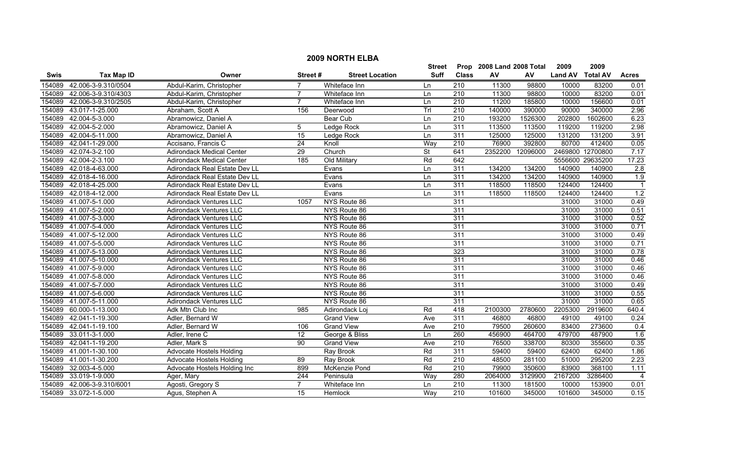|             | <b>2009 NORTH ELBA</b> |                                  |                 |                        |           |                  |                           |          |                |                  |                |  |
|-------------|------------------------|----------------------------------|-----------------|------------------------|-----------|------------------|---------------------------|----------|----------------|------------------|----------------|--|
|             |                        |                                  |                 |                        | Street    |                  | Prop 2008 Land 2008 Total |          | 2009           | 2009             |                |  |
| <b>Swis</b> | <b>Tax Map ID</b>      | Owner                            | Street#         | <b>Street Location</b> | Suff      | <b>Class</b>     | AV                        | AV       | <b>Land AV</b> | <b>Total AV</b>  | <b>Acres</b>   |  |
| 154089      | 42.006-3-9.310/0504    | Abdul-Karim, Christopher         |                 | Whiteface Inn          | Ln        | $\overline{210}$ | 11300                     | 98800    | 10000          | 83200            | 0.01           |  |
| 154089      | 42.006-3-9.310/4303    | Abdul-Karim, Christopher         | $\overline{7}$  | Whiteface Inn          | Ln        | 210              | 11300                     | 98800    | 10000          | 83200            | 0.01           |  |
| 154089      | 42.006-3-9.310/2505    | Abdul-Karim, Christopher         | $\overline{7}$  | Whiteface Inn          | Ln        | $\overline{210}$ | 11200                     | 185800   | 10000          | 156600           | 0.01           |  |
| 154089      | 43.017-1-25.000        | Abraham, Scott A                 | 156             | Deerwood               | Trl       | 210              | 140000                    | 390000   | 90000          | 340000           | 2.96           |  |
| 154089      | 42.004-5-3.000         | Abramowicz, Daniel A             |                 | Bear Cub               | Ln        | 210              | 193200                    | 1526300  | 202800         | 1602600          | 6.23           |  |
| 154089      | 42.004-5-2.000         | Abramowicz, Daniel A             | 5               | Ledge Rock             | Ln        | 311              | 113500                    | 113500   | 119200         | 119200           | 2.98           |  |
| 154089      | 42.004-5-11.000        | Abramowicz, Daniel A             | $\overline{15}$ | Ledge Rock             | Ln        | 311              | 125000                    | 125000   | 131200         | 131200           | 3.91           |  |
| 154089      | 42.041-1-29.000        | Accisano, Francis C              | $\overline{24}$ | Knoll                  | Way       | 210              | 76900                     | 392800   | 80700          | 412400           | 0.05           |  |
| 154089      | 42.074-3-2.100         | <b>Adirondack Medical Center</b> | 29              | Church                 | <b>St</b> | 641              | 2352200                   | 12096000 |                | 2469800 12700800 | 7.17           |  |
| 154089      | 42.004-2-3.100         | <b>Adirondack Medical Center</b> | 185             | Old Military           | Rd        | 642              |                           |          |                | 5556600 29635200 | 17.23          |  |
| 154089      | 42.018-4-63.000        | Adirondack Real Estate Dev LL    |                 | Evans                  | Ln        | 311              | 134200                    | 134200   | 140900         | 140900           | 2.8            |  |
| 154089      | 42.018-4-16.000        | Adirondack Real Estate Dev LL    |                 | Evans                  | Ln        | 311              | 134200                    | 134200   | 140900         | 140900           | 1.9            |  |
| 154089      | 42.018-4-25.000        | Adirondack Real Estate Dev LL    |                 | Evans                  | Ln        | 311              | 118500                    | 118500   | 124400         | 124400           | $\overline{1}$ |  |
| 154089      | 42.018-4-12.000        | Adirondack Real Estate Dev LL    |                 | Evans                  | Ln        | 311              | 118500                    | 118500   | 124400         | 124400           | 1.2            |  |
|             | 154089 41.007-5-1.000  | Adirondack Ventures LLC          | 1057            | NYS Route 86           |           | 311              |                           |          | 31000          | 31000            | 0.49           |  |
|             | 154089 41.007-5-2.000  | <b>Adirondack Ventures LLC</b>   |                 | NYS Route 86           |           | 311              |                           |          | 31000          | 31000            | 0.51           |  |
|             | 154089 41.007-5-3.000  | <b>Adirondack Ventures LLC</b>   |                 | NYS Route 86           |           | 311              |                           |          | 31000          | 31000            | 0.52           |  |
|             | 154089 41.007-5-4.000  | <b>Adirondack Ventures LLC</b>   |                 | NYS Route 86           |           | 311              |                           |          | 31000          | 31000            | 0.71           |  |
| 154089      | 41.007-5-12.000        | <b>Adirondack Ventures LLC</b>   |                 | NYS Route 86           |           | 311              |                           |          | 31000          | 31000            | 0.49           |  |
|             | 154089 41.007-5-5.000  | Adirondack Ventures LLC          |                 | NYS Route 86           |           | 311              |                           |          | 31000          | 31000            | 0.71           |  |
|             | 154089 41.007-5-13.000 | <b>Adirondack Ventures LLC</b>   |                 | NYS Route 86           |           | 323              |                           |          | 31000          | 31000            | 0.78           |  |
|             | 154089 41.007-5-10.000 | <b>Adirondack Ventures LLC</b>   |                 | NYS Route 86           |           | 311              |                           |          | 31000          | 31000            | 0.46           |  |
| 154089      | 41.007-5-9.000         | Adirondack Ventures LLC          |                 | NYS Route 86           |           | 311              |                           |          | 31000          | 31000            | 0.46           |  |
| 154089      | 41.007-5-8.000         | Adirondack Ventures LLC          |                 | NYS Route 86           |           | 311              |                           |          | 31000          | 31000            | 0.46           |  |
| 154089      | 41.007-5-7.000         | Adirondack Ventures LLC          |                 | NYS Route 86           |           | 311              |                           |          | 31000          | 31000            | 0.49           |  |
|             | 154089 41.007-5-6.000  | Adirondack Ventures LLC          |                 | NYS Route 86           |           | 311              |                           |          | 31000          | 31000            | 0.55           |  |
|             | 154089 41.007-5-11.000 | Adirondack Ventures LLC          |                 | NYS Route 86           |           | 311              |                           |          | 31000          | 31000            | 0.65           |  |
|             | 154089 60.000-1-13.000 | Adk Mtn Club Inc                 | 985             | Adirondack Loj         | Rd        | 418              | 2100300                   | 2780600  | 2205300        | 2919600          | 640.4          |  |
| 154089      | 42.041-1-19.300        | Adler, Bernard W                 |                 | <b>Grand View</b>      | Ave       | 311              | 46800                     | 46800    | 49100          | 49100            | 0.24           |  |
| 154089      | 42.041-1-19.100        | Adler, Bernard W                 | 106             | <b>Grand View</b>      | Ave       | 210              | 79500                     | 260600   | 83400          | 273600           | 0.4            |  |
| 154089      | 33.011-3-1.000         | Adler, Irene C                   | 12              | George & Bliss         | Ln        | 260              | 456900                    | 464700   | 479700         | 487900           | 1.6            |  |
| 154089      | 42.041-1-19.200        | Adler, Mark S                    | 90              | <b>Grand View</b>      | Ave       | 210              | 76500                     | 338700   | 80300          | 355600           | 0.35           |  |
| 154089      | 41.001-1-30.100        | Advocate Hostels Holding         |                 | <b>Ray Brook</b>       | Rd        | 311              | 59400                     | 59400    | 62400          | 62400            | 1.86           |  |
| 154089      | 41.001-1-30.200        | <b>Advocate Hostels Holding</b>  | 89              | Ray Brook              | Rd        | $\overline{210}$ | 48500                     | 281100   | 51000          | 295200           | 2.23           |  |
| 154089      | 32.003-4-5.000         | Advocate Hostels Holding Inc     | 899             | McKenzie Pond          | Rd        | 210              | 79900                     | 350600   | 83900          | 368100           | 1.11           |  |
| 154089      | 33.019-1-9.000         | Ager, Mary                       | 244             | Peninsula              | Way       | 280              | 2064000                   | 3129900  | 2167200        | 3286400          | $\overline{4}$ |  |
| 154089      | 42.006-3-9.310/6001    | Agosti, Gregory S                | 7               | Whiteface Inn          | Ln        | 210              | 11300                     | 181500   | 10000          | 153900           | 0.01           |  |
|             | 154089 33.072-1-5.000  | Agus, Stephen A                  | 15              | Hemlock                | Way       | 210              | 101600                    | 345000   | 101600         | 345000           | 0.15           |  |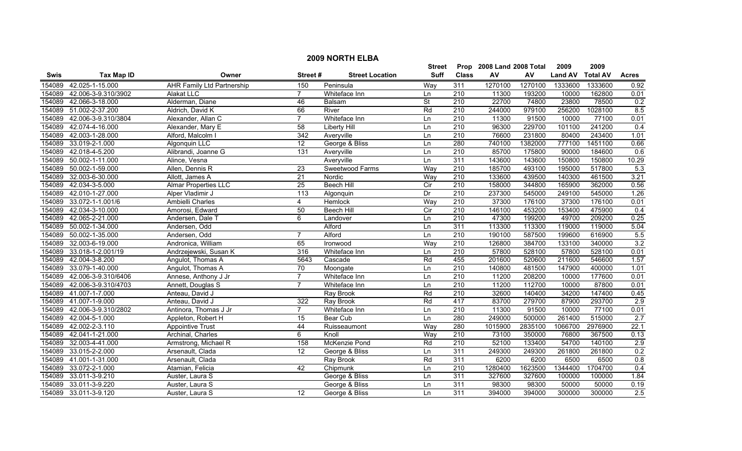| <b>2009 NORTH ELBA</b> |                     |                                   |                  |                        |                   |                  |                      |         |                |                 |                  |  |
|------------------------|---------------------|-----------------------------------|------------------|------------------------|-------------------|------------------|----------------------|---------|----------------|-----------------|------------------|--|
|                        |                     |                                   |                  |                        | <b>Street</b>     | Prop             | 2008 Land 2008 Total |         | 2009           | 2009            |                  |  |
| Swis                   | <b>Tax Map ID</b>   | Owner                             | Street#          | <b>Street Location</b> | <b>Suff</b>       | <b>Class</b>     | AV                   | AV      | <b>Land AV</b> | <b>Total AV</b> | <b>Acres</b>     |  |
| 154089                 | 42.025-1-15.000     | <b>AHR Family Ltd Partnership</b> | 150              | Peninsula              | Way               | 311              | 1270100              | 1270100 | 1333600        | 1333600         | 0.92             |  |
| 154089                 | 42.006-3-9.310/3902 | <b>Alakat LLC</b>                 | $\overline{7}$   | Whiteface Inn          | Ln                | 210              | 11300                | 193200  | 10000          | 162800          | 0.01             |  |
| 154089                 | 42.066-3-18.000     | Alderman, Diane                   | 46               | Balsam                 | St                | $\overline{210}$ | 22700                | 74800   | 23800          | 78500           | 0.2              |  |
| 154089                 | 51.002-2-37.200     | Aldrich, David K                  | 66               | River                  | Rd                | 210              | 244000               | 979100  | 256200         | 1028100         | 8.5              |  |
| 154089                 | 42.006-3-9.310/3804 | Alexander, Allan C                | $\overline{7}$   | Whiteface Inn          | Ln                | 210              | 11300                | 91500   | 10000          | 77100           | 0.01             |  |
| 154089                 | 42.074-4-16.000     | Alexander, Mary E                 | 58               | <b>Liberty Hill</b>    | Ln                | 210              | 96300                | 229700  | 101100         | 241200          | 0.4              |  |
| 154089                 | 42.003-1-28.000     | Alford, Malcolm I                 | 342              | Averyville             | Ln                | 210              | 76600                | 231800  | 80400          | 243400          | 1.01             |  |
| 154089                 | 33.019-2-1.000      | Algonquin LLC                     | 12               | George & Bliss         | Ln                | 280              | 740100               | 1382000 | 777100         | 1451100         | 0.66             |  |
| 154089                 | 42.018-4-5.200      | Alibrandi, Joanne G               | 131              | Averyville             | Ln                | 210              | 85700                | 175800  | 90000          | 184600          | 0.6              |  |
| 154089                 | 50.002-1-11.000     | Alince, Vesna                     |                  | Averyville             | Ln                | 311              | 143600               | 143600  | 150800         | 150800          | 10.29            |  |
| 154089                 | 50.002-1-59.000     | Allen, Dennis R                   | 23               | Sweetwood Farms        | Way               | 210              | 185700               | 493100  | 195000         | 517800          | 5.3              |  |
| 154089                 | 32.003-6-30.000     | Allott, James A                   | 21               | Nordic                 | Way               | $\overline{210}$ | 133600               | 439500  | 140300         | 461500          | 3.21             |  |
| 154089                 | 42.034-3-5.000      | <b>Almar Properties LLC</b>       | $\overline{25}$  | <b>Beech Hill</b>      | $\overline{C}$ ir | $\overline{210}$ | 158000               | 344800  | 165900         | 362000          | 0.56             |  |
| 154089                 | 42.010-1-27.000     | Alper Vladimir J                  | $\overline{113}$ | Algonquin              | $\overline{Dr}$   | $\overline{210}$ | 237300               | 545000  | 249100         | 545000          | 1.26             |  |
| 154089                 | 33.072-1-1.001/6    | Ambielli Charles                  | 4                | Hemlock                | Way               | 210              | 37300                | 176100  | 37300          | 176100          | 0.01             |  |
| 154089                 | 42.034-3-10.000     | Amorosi, Edward                   | 50               | <b>Beech Hill</b>      | $\overline{C}$    | 210              | 146100               | 453200  | 153400         | 475900          | $\overline{0.4}$ |  |
| 154089                 | 42.065-2-21.000     | Andersen, Dale T                  | 6                | Landover               | Ln                | 210              | 47300                | 199200  | 49700          | 209200          | 0.25             |  |
| 154089                 | 50.002-1-34.000     | Andersen, Odd                     |                  | Alford                 | Ln                | 311              | 113300               | 113300  | 119000         | 119000          | 5.04             |  |
| 154089                 | 50.002-1-35.000     | Andersen, Odd                     | $\overline{7}$   | Alford                 | Ln                | 210              | 190100               | 587500  | 199600         | 616900          | 5.5              |  |
| 154089                 | 32.003-6-19.000     | Andronica, William                | 65               | Ironwood               | Way               | $\overline{210}$ | 126800               | 384700  | 133100         | 340000          | 3.2              |  |
| 154089                 | 33.018-1-2.001/19   | Andrzejewski, Susan K             | 316              | Whiteface Inn          | Ln                | 210              | 57800                | 528100  | 57800          | 528100          | 0.01             |  |
| 154089                 | 42.004-3-8.200      | Angulot, Thomas A                 | 5643             | Cascade                | Rd                | 455              | 201600               | 520600  | 211600         | 546600          | 1.57             |  |
| 154089                 | 33.079-1-40.000     | Angulot, Thomas A                 | $\overline{70}$  | Moongate               | Ln                | 210              | 140800               | 481500  | 147900         | 400000          | 1.01             |  |
| 154089                 | 42.006-3-9.310/6406 | Annese, Anthony J Jr              | $\overline{7}$   | Whiteface Inn          | Ln                | $\overline{210}$ | 11200                | 208200  | 10000          | 177600          | 0.01             |  |
| 154089                 | 42.006-3-9.310/4703 | Annett, Douglas S                 | $\overline{7}$   | Whiteface Inn          | Ln                | $\overline{210}$ | 11200                | 112700  | 10000          | 87800           | 0.01             |  |
| 154089                 | 41.007-1-7.000      | Anteau, David J                   |                  | Ray Brook              | Rd                | 210              | 32600                | 140400  | 34200          | 147400          | 0.45             |  |
| 154089                 | 41.007-1-9.000      | Anteau, David J                   | 322              | Ray Brook              | Rd                | 417              | 83700                | 279700  | 87900          | 293700          | 2.9              |  |
| 154089                 | 42.006-3-9.310/2802 | Antinora, Thomas J Jr             | $\overline{7}$   | Whiteface Inn          | Ln                | $\overline{210}$ | 11300                | 91500   | 10000          | 77100           | 0.01             |  |
| 154089                 | 42.004-5-1.000      | Appleton, Robert H                | 15               | <b>Bear Cub</b>        | Ln                | 280              | 249000               | 500000  | 261400         | 515000          | 2.7              |  |
| 154089                 | 42.002-2-3.110      | <b>Appointive Trust</b>           | 44               | Ruisseaumont           | Way               | 280              | 1015900              | 2835100 | 1066700        | 2976900         | 22.1             |  |
| 154089                 | 42.041-1-21.000     | Archinal, Charles                 | 6                | Knoll                  | Way               | 210              | 73100                | 350000  | 76800          | 367500          | 0.13             |  |
| 154089                 | 32.003-4-41.000     | Armstrong, Michael R              | 158              | McKenzie Pond          | Rd                | 210              | 52100                | 133400  | 54700          | 140100          | 2.9              |  |
| 154089                 | 33.015-2-2.000      | Arsenault, Clada                  | 12               | George & Bliss         | Ln                | 311              | 249300               | 249300  | 261800         | 261800          | 0.2              |  |
| 154089                 | 41.001-1-31.000     | Arsenault, Clada                  |                  | <b>Ray Brook</b>       | Rd                | 311              | 6200                 | 6200    | 6500           | 6500            | 0.8              |  |
| 154089                 | 33.072-2-1.000      | Atamian, Felicia                  | 42               | Chipmunk               | Ln                | 210              | 1280400              | 1623500 | 1344400        | 1704700         | 0.4              |  |
| 154089                 | 33.011-3-9.210      | Auster, Laura S                   |                  | George & Bliss         | Ln                | 311              | 327600               | 327600  | 100000         | 100000          | 1.84             |  |
| 154089                 | 33.011-3-9.220      | Auster, Laura S                   |                  | George & Bliss         | Ln                | 311              | 98300                | 98300   | 50000          | 50000           | 0.19             |  |
| 154089                 | 33.011-3-9.120      | Auster, Laura S                   | 12               | George & Bliss         | Ln                | 311              | 394000               | 394000  | 300000         | 300000          | $\overline{2.5}$ |  |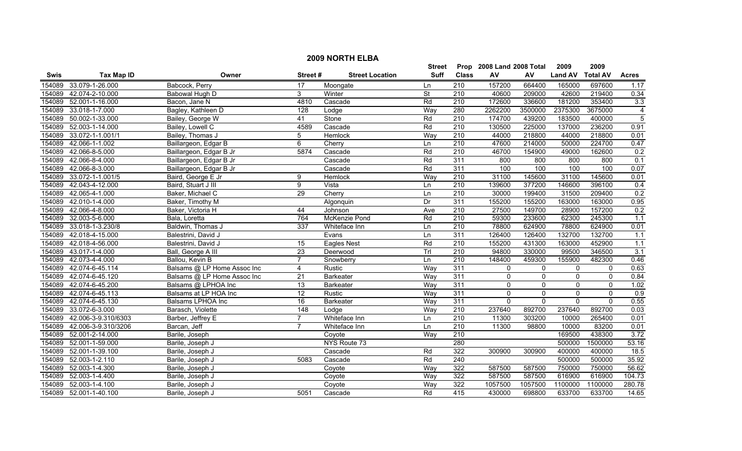| <b>2009 NORTH ELBA</b> |                        |                             |                 |                        |               |                  |                           |          |                     |                 |                |
|------------------------|------------------------|-----------------------------|-----------------|------------------------|---------------|------------------|---------------------------|----------|---------------------|-----------------|----------------|
|                        |                        |                             |                 |                        | <b>Street</b> |                  | Prop 2008 Land 2008 Total |          | 2009                | 2009            |                |
| Swis                   | <b>Tax Map ID</b>      | Owner                       | Street#         | <b>Street Location</b> | Suff          | <b>Class</b>     | ${\sf AV}$                | AV       | <b>Land AV</b>      | <b>Total AV</b> | <b>Acres</b>   |
| 154089                 | 33.079-1-26.000        | Babcock, Perry              | 17              | Moongate               | Ln            | 210              | 157200                    | 664400   | 165000              | 697600          | 1.17           |
| 154089                 | 42.074-2-10.000        | Babowal Hugh D              | 3               | Winter                 | St            | $\overline{210}$ | 40600                     | 209000   | 42600               | 219400          | 0.34           |
| 154089                 | 52.001-1-16.000        | Bacon, Jane N               | 4810            | Cascade                | Rd            | $\overline{210}$ | 172600                    | 336600   | 181200              | 353400          | 3.3            |
| 154089                 | 33.018-1-7.000         | Bagley, Kathleen D          | 128             | Lodge                  | Way           | 280              | 2262200                   | 3500000  | 2375300             | 3675000         | $\overline{4}$ |
| 154089                 | 50.002-1-33.000        | Bailey, George W            | 41              | Stone                  | Rd            | 210              | 174700                    | 439200   | 183500              | 400000          | $\overline{5}$ |
| 154089                 | 52.003-1-14.000        | Bailey, Lowell C            | 4589            | Cascade                | Rd            | 210              | 130500                    | 225000   | 137000              | 236200          | 0.91           |
| 154089                 | 33.072-1-1.001/1       | Bailey, Thomas J            | 5               | Hemlock                | Way           | 210              | 44000                     | 218800   | 44000               | 218800          | 0.01           |
| 154089                 | 42.066-1-1.002         | Baillargeon, Edgar B        | 6               | Cherry                 | Ln            | 210              | 47600                     | 214000   | 50000               | 224700          | 0.47           |
| 154089                 | 42.066-8-5.000         | Baillargeon, Edgar B Jr     | 5874            | Cascade                | Rd            | $\overline{210}$ | 46700                     | 154900   | 49000               | 162600          | 0.2            |
| 154089                 | 42.066-8-4.000         | Baillargeon, Edgar B Jr     |                 | Cascade                | Rd            | 311              | 800                       | 800      | 800                 | 800             | 0.1            |
| 154089                 | 42.066-8-3.000         | Baillargeon, Edgar B Jr     |                 | Cascade                | Rd            | 311              | 100                       | 100      | 100                 | 100             | 0.07           |
| 154089                 | 33.072-1-1.001/5       | Baird, George E Jr          | 9               | Hemlock                | Way           | 210              | 31100                     | 145600   | 31100               | 145600          | 0.01           |
| 154089                 | 42.043-4-12.000        | Baird, Stuart J III         | 9               | Vista                  | Ln            | $\overline{210}$ | 139600                    | 377200   | 146600              | 396100          | 0.4            |
| 154089                 | 42.065-4-1.000         | Baker, Michael C            | 29              | Cherry                 | Ln            | $\overline{210}$ | 30000                     | 199400   | 31500               | 209400          | 0.2            |
| 154089                 | 42.010-1-4.000         | Baker, Timothy M            |                 | Algonquin              | Dr            | 311              | 155200                    | 155200   | 163000              | 163000          | 0.95           |
| 154089                 | 42.066-4-8.000         | Baker, Victoria H           | 44              | Johnson                | Ave           | $\overline{210}$ | 27500                     | 149700   | 28900               | 157200          | 0.2            |
| 154089                 | 32.003-5-6.000         | Bala, Loretta               | 764             | McKenzie Pond          | Rd            | 210              | 59300                     | 233600   | 62300               | 245300          | 1.1            |
| 154089                 | 33.018-1-3.230/8       | Baldwin, Thomas J           | 337             | Whiteface Inn          | Ln            | 210              | 78800                     | 624900   | 78800               | 624900          | 0.01           |
| 154089                 | 42.018-4-15.000        | Balestrini, David J         |                 | Evans                  | Ln            | 311              | 126400                    | 126400   | 132700              | 132700          | 1.1            |
| 154089                 | 42.018-4-56.000        | Balestrini, David J         | 15              | <b>Eagles Nest</b>     | Rd            | 210              | 155200                    | 431300   | 163000              | 452900          | 1.1            |
| 154089                 | 43.017-1-4.000         | Ball, George A III          | $\overline{23}$ | Deerwood               | Trl           | $\overline{210}$ | 94800                     | 330000   | 99500               | 346500          | 3.1            |
| 154089                 | 42.073-4-4.000         | Ballou, Kevin B             | $\overline{7}$  | Snowberry              | Ln            | 210              | 148400                    | 459300   | 155900              | 482300          | 0.46           |
| 154089                 | 42.074-6-45.114        | Balsams @ LP Home Assoc Inc | 4               | Rustic                 | Way           | 311              | $\mathbf 0$               | 0        | 0                   | $\mathbf 0$     | 0.63           |
| 154089                 | 42.074-6-45.120        | Balsams @ LP Home Assoc Inc | 21              | <b>Barkeater</b>       | Way           | 311              | $\mathbf 0$               | 0        | 0                   | $\mathbf 0$     | 0.84           |
| 154089                 | 42.074-6-45.200        | Balsams @ LPHOA Inc         | $\overline{13}$ | Barkeater              | Way           | 311              | $\mathbf 0$               | 0        | $\mathsf{O}\xspace$ | $\mathbf 0$     | 1.02           |
| 154089                 | 42.074-6-45.113        | Balsams at LP HOA Inc       | $\overline{12}$ | Rustic                 | Way           | 311              | $\pmb{0}$                 | $\Omega$ | 0                   | $\mathbf{0}$    | 0.9            |
| 154089                 | 42.074-6-45.130        | <b>Balsams LPHOA Inc</b>    | 16              | <b>Barkeater</b>       | Way           | 311              | $\mathbf 0$               | $\Omega$ | $\mathbf 0$         | $\Omega$        | 0.55           |
| 154089                 | 33.072-6-3.000         | Barasch, Violette           | 148             | Lodge                  | Way           | $\overline{210}$ | 237640                    | 892700   | 237640              | 892700          | 0.03           |
| 154089                 | 42.006-3-9.310/6303    | Barber, Jeffrey E           | $\overline{7}$  | Whiteface Inn          | Ln            | 210              | 11300                     | 303200   | 10000               | 265400          | 0.01           |
| 154089                 | 42.006-3-9.310/3206    | Barcan, Jeff                |                 | Whiteface Inn          | Ln            | 210              | 11300                     | 98800    | 10000               | 83200           | 0.01           |
| 154089                 | 52.001-2-14.000        | Barile, Joseph              |                 | Coyote                 | Way           | 210              |                           |          | 169500              | 438300          | 3.72           |
| 154089                 | 52.001-1-59.000        | Barile, Joseph J            |                 | NYS Route 73           |               | 280              |                           |          | 500000              | 1500000         | 53.16          |
| 154089                 | 52.001-1-39.100        | Barile, Joseph J            |                 | Cascade                | Rd            | 322              | 300900                    | 300900   | 400000              | 400000          | 18.5           |
| 154089                 | 52.003-1-2.110         | Barile, Joseph J            | 5083            | Cascade                | Rd            | 240              |                           |          | 500000              | 500000          | 35.92          |
| 154089                 | 52.003-1-4.300         | Barile, Joseph J            |                 | Coyote                 | Way           | 322              | 587500                    | 587500   | 750000              | 750000          | 56.62          |
| 154089                 | 52.003-1-4.400         | Barile, Joseph J            |                 | Coyote                 | Way           | 322              | 587500                    | 587500   | 616900              | 616900          | 104.73         |
| 154089                 | 52.003-1-4.100         | Barile, Joseph J            |                 | Coyote                 | Way           | 322              | 1057500                   | 1057500  | 1100000             | 1100000         | 280.78         |
|                        | 154089 52.001-1-40.100 | Barile, Joseph J            | 5051            | Cascade                | Rd            | 415              | 430000                    | 698800   | 633700              | 633700          | 14.65          |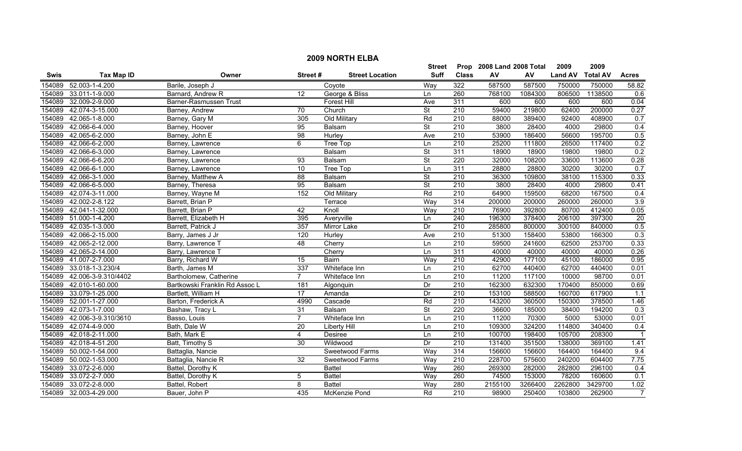|             | <b>2009 NORTH ELBA</b> |                                |                 |                        |                          |                  |                           |         |                |                 |                  |  |
|-------------|------------------------|--------------------------------|-----------------|------------------------|--------------------------|------------------|---------------------------|---------|----------------|-----------------|------------------|--|
|             |                        |                                |                 |                        | <b>Street</b>            |                  | Prop 2008 Land 2008 Total |         | 2009           | 2009            |                  |  |
| <b>Swis</b> | <b>Tax Map ID</b>      | Owner                          | Street#         | <b>Street Location</b> | <b>Suff</b>              | <b>Class</b>     | ${\sf AV}$                | AV      | <b>Land AV</b> | <b>Total AV</b> | <b>Acres</b>     |  |
| 154089      | 52.003-1-4.200         | Barile, Joseph J               |                 | Coyote                 | Way                      | 322              | 587500                    | 587500  | 750000         | 750000          | 58.82            |  |
| 154089      | 33.011-1-9.000         | Barnard, Andrew R              | 12              | George & Bliss         | Ln                       | 260              | 768100                    | 1084300 | 806500         | 1138500         | 0.6              |  |
| 154089      | 32.009-2-9.000         | Barner-Rasmussen Trust         |                 | Forest Hill            | Ave                      | 311              | 600                       | 600     | 600            | 600             | 0.04             |  |
| 154089      | 42.074-3-15.000        | Barney, Andrew                 | 70              | Church                 | <b>St</b>                | 210              | 59400                     | 219800  | 62400          | 200000          | 0.27             |  |
| 154089      | 42.065-1-8.000         | Barney, Gary M                 | 305             | Old Military           | Rd                       | 210              | 88000                     | 389400  | 92400          | 408900          | 0.7              |  |
| 154089      | 42.066-6-4.000         | Barney, Hoover                 | 95              | Balsam                 | <b>St</b>                | 210              | 3800                      | 28400   | 4000           | 29800           | 0.4              |  |
| 154089      | 42.065-6-2.000         | Barney, John E                 | 98              | Hurley                 | Ave                      | 210              | 53900                     | 186400  | 56600          | 195700          | 0.5              |  |
| 154089      | 42.066-6-2.000         | Barney, Lawrence               | 6               | Tree Top               | Ln                       | 210              | 25200                     | 111800  | 26500          | 117400          | 0.2              |  |
| 154089      | 42.066-6-3.000         | Barney, Lawrence               |                 | Balsam                 | $\overline{\mathsf{St}}$ | 311              | 18900                     | 18900   | 19800          | 19800           | 0.2              |  |
| 154089      | 42.066-6-6.200         | Barney, Lawrence               | 93              | Balsam                 | St                       | 220              | 32000                     | 108200  | 33600          | 113600          | 0.28             |  |
| 154089      | 42.066-6-1.000         | Barney, Lawrence               | 10              | Tree Top               | Ln                       | 311              | 28800                     | 28800   | 30200          | 30200           | 0.7              |  |
| 154089      | 42.066-3-1.000         | Barney, Matthew A              | 88              | Balsam                 | <b>St</b>                | 210              | 36300                     | 109800  | 38100          | 115300          | 0.33             |  |
| 154089      | 42.066-6-5.000         | Barney, Theresa                | $\overline{95}$ | Balsam                 | $\overline{\mathsf{St}}$ | $\overline{210}$ | 3800                      | 28400   | 4000           | 29800           | 0.41             |  |
| 154089      | 42.074-3-11.000        | Barney, Wayne M                | 152             | Old Military           | Rd                       | $\overline{210}$ | 64900                     | 159500  | 68200          | 167500          | 0.4              |  |
| 154089      | 42.002-2-8.122         | Barrett, Brian P               |                 | Terrace                | Way                      | 314              | 200000                    | 200000  | 260000         | 260000          | 3.9              |  |
| 154089      | 42.041-1-32.000        | Barrett, Brian P               | 42              | Knoll                  | Way                      | $\overline{210}$ | 76900                     | 392800  | 80700          | 412400          | 0.05             |  |
| 154089      | 51.000-1-4.200         | Barrett, Elizabeth H           | 395             | Averyville             | Ln                       | 240              | 196300                    | 378400  | 206100         | 397300          | 20               |  |
| 154089      | 42.035-1-3.000         | Barrett, Patrick J             | 357             | Mirror Lake            | Dr                       | 210              | 285800                    | 800000  | 300100         | 840000          | 0.5              |  |
| 154089      | 42.066-2-15.000        | Barry, James J Jr              | 120             | Hurley                 | Ave                      | 210              | 51300                     | 158400  | 53800          | 166300          | 0.3              |  |
| 154089      | 42.065-2-12.000        | Barry, Lawrence T              | 48              | Cherry                 | Ln                       | 210              | 59500                     | 241600  | 62500          | 253700          | 0.33             |  |
| 154089      | 42.065-2-14.000        | Barry, Lawrence T              |                 | Cherry                 | Ln                       | 311              | 40000                     | 40000   | 40000          | 40000           | 0.26             |  |
| 154089      | 41.007-2-7.000         | Barry, Richard W               | $\overline{15}$ | Bairn                  | Way                      | $\overline{210}$ | 42900                     | 177100  | 45100          | 186000          | 0.95             |  |
| 154089      | 33.018-1-3.230/4       | Barth, James M                 | 337             | Whiteface Inn          | Ln                       | $\overline{210}$ | 62700                     | 440400  | 62700          | 440400          | 0.01             |  |
| 154089      | 42.006-3-9.310/4402    | Bartholomew, Catherine         | $\overline{7}$  | Whiteface Inn          | Ln                       | 210              | 11200                     | 117100  | 10000          | 98700           | 0.01             |  |
| 154089      | 42.010-1-60.000        | Bartkowski Franklin Rd Assoc L | 181             | Algonquin              | Dr                       | 210              | 162300                    | 632300  | 170400         | 850000          | 0.69             |  |
| 154089      | 33.079-1-25.000        | Bartlett, William H            | 17              | Amanda                 | Dr                       | $\overline{210}$ | 153100                    | 588500  | 160700         | 617900          | $\overline{1.1}$ |  |
|             | 154089 52.001-1-27.000 | Barton, Frederick A            | 4990            | Cascade                | Rd                       | $\overline{210}$ | 143200                    | 360500  | 150300         | 378500          | 1.46             |  |
| 154089      | 42.073-1-7.000         | Bashaw, Tracy L                | $\overline{31}$ | Balsam                 | <b>St</b>                | 220              | 36600                     | 185000  | 38400          | 194200          | 0.3              |  |
| 154089      | 42.006-3-9.310/3610    | Basso, Louis                   | $\overline{7}$  | Whiteface Inn          | Ln                       | 210              | 11200                     | 70300   | 5000           | 53000           | 0.01             |  |
| 154089      | 42.074-4-9.000         | Bath, Dale W                   | 20              | Liberty Hill           | Ln                       | 210              | 109300                    | 324200  | 114800         | 340400          | 0.4              |  |
| 154089      | 42.018-2-11.000        | Bath, Mark E                   | $\overline{4}$  | Desiree                | Ln                       | 210              | 100700                    | 198400  | 105700         | 208300          |                  |  |
| 154089      | 42.018-4-51.200        | Batt, Timothy S                | 30              | Wildwood               | Dr                       | 210              | 131400                    | 351500  | 138000         | 369100          | 1.41             |  |
| 154089      | 50.002-1-54.000        | Battaglia, Nancie              |                 | Sweetwood Farms        | Way                      | 314              | 156600                    | 156600  | 164400         | 164400          | 9.4              |  |
| 154089      | 50.002-1-53.000        | Battaglia, Nancie R            | $\overline{32}$ | Sweetwood Farms        | Way                      | $\overline{210}$ | 228700                    | 575600  | 240200         | 604400          | 7.75             |  |
| 154089      | 33.072-2-6.000         | Battel, Dorothy K              |                 | <b>Battel</b>          | Way                      | 260              | 269300                    | 282000  | 282800         | 296100          | 0.4              |  |
| 154089      | 33.072-2-7.000         | Battel, Dorothy K              | 5               | <b>Battel</b>          | Way                      | 260              | 74500                     | 153000  | 78200          | 160600          | 0.1              |  |
| 154089      | 33.072-2-8.000         | Battel, Robert                 | 8               | <b>Battel</b>          | Way                      | 280              | 2155100                   | 3266400 | 2262800        | 3429700         | 1.02             |  |
|             | 154089 32.003-4-29.000 | Bauer, John P                  | 435             | McKenzie Pond          | Rd                       | 210              | 98900                     | 250400  | 103800         | 262900          | $\overline{7}$   |  |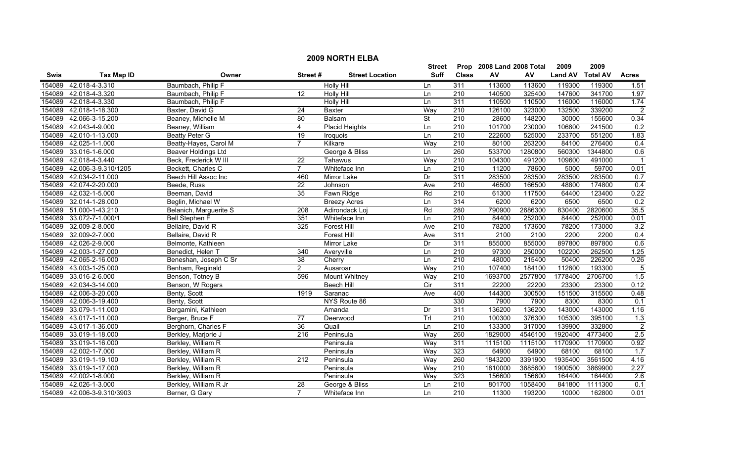|        | <b>2009 NORTH ELBA</b>     |                        |                  |                        |                          |                  |                           |         |                |                 |                  |  |  |
|--------|----------------------------|------------------------|------------------|------------------------|--------------------------|------------------|---------------------------|---------|----------------|-----------------|------------------|--|--|
|        |                            |                        |                  |                        | Street                   |                  | Prop 2008 Land 2008 Total |         | 2009           | 2009            |                  |  |  |
| Swis   | <b>Tax Map ID</b>          | Owner                  | Street#          | <b>Street Location</b> | Suff                     | <b>Class</b>     | ${\sf AV}$                | AV      | <b>Land AV</b> | <b>Total AV</b> | <b>Acres</b>     |  |  |
| 154089 | 42.018-4-3.310             | Baumbach, Philip F     |                  | <b>Holly Hill</b>      | Ln                       | 311              | 113600                    | 113600  | 119300         | 119300          | 1.51             |  |  |
| 154089 | 42.018-4-3.320             | Baumbach, Philip F     | 12               | <b>Holly Hill</b>      | Ln                       | 210              | 140500                    | 325400  | 147600         | 341700          | 1.97             |  |  |
| 154089 | 42.018-4-3.330             | Baumbach, Philip F     |                  | <b>Holly Hill</b>      | Ln                       | 311              | 110500                    | 110500  | 116000         | 116000          | 1.74             |  |  |
| 154089 | 42.018-1-18.300            | Baxter, David G        | 24               | <b>Baxter</b>          | Way                      | 210              | 126100                    | 323000  | 132500         | 339200          | $\overline{2}$   |  |  |
| 154089 | 42.066-3-15.200            | Beaney, Michelle M     | 80               | Balsam                 | $\overline{\mathsf{St}}$ | 210              | 28600                     | 148200  | 30000          | 155600          | 0.34             |  |  |
| 154089 | 42.043-4-9.000             | Beaney, William        | $\overline{4}$   | <b>Placid Heights</b>  | Ln                       | 210              | 101700                    | 230000  | 106800         | 241500          | 0.2              |  |  |
| 154089 | 42.010-1-13.000            | <b>Beatty Peter G</b>  | $\overline{19}$  | Iroquois               | Ln                       | 210              | 222600                    | 525000  | 233700         | 551200          | 1.83             |  |  |
| 154089 | 42.025-1-1.000             | Beatty-Hayes, Carol M  | $\overline{7}$   | Kilkare                | Way                      | 210              | 80100                     | 263200  | 84100          | 276400          | 0.4              |  |  |
| 154089 | 33.016-1-6.000             | Beaver Holdings Ltd    |                  | George & Bliss         | Ln                       | 260              | 533700                    | 1280800 | 560300         | 1344800         | 0.6              |  |  |
| 154089 | 42.018-4-3.440             | Beck, Frederick W III  | $\overline{22}$  | Tahawus                | Way                      | 210              | 104300                    | 491200  | 109600         | 491000          |                  |  |  |
| 154089 | 42.006-3-9.310/1205        | Beckett, Charles C     | $\overline{7}$   | Whiteface Inn          | Ln                       | $\overline{210}$ | 11200                     | 78600   | 5000           | 59700           | 0.01             |  |  |
| 154089 | 42.034-2-11.000            | Beech Hill Assoc Inc   | 460              | Mirror Lake            | Dr                       | 311              | 283500                    | 283500  | 283500         | 283500          | 0.7              |  |  |
| 154089 | 42.074-2-20.000            | Beede, Russ            | $\overline{22}$  | Johnson                | Ave                      | $\overline{210}$ | 46500                     | 166500  | 48800          | 174800          | 0.4              |  |  |
| 154089 | 42.032-1-5.000             | Beeman, David          | 35               | Fawn Ridge             | Rd                       | $\overline{210}$ | 61300                     | 117500  | 64400          | 123400          | 0.22             |  |  |
| 154089 | 32.014-1-28.000            | Beglin, Michael W      |                  | <b>Breezy Acres</b>    | Ln                       | 314              | 6200                      | 6200    | 6500           | 6500            | 0.2              |  |  |
| 154089 | 51.000-1-43.210            | Belanich, Marguerite S | $\overline{208}$ | Adirondack Loj         | Rd                       | 280              | 790900                    | 2686300 | 830400         | 2820600         | 35.5             |  |  |
| 154089 | 33.072-7-1.000/1           | <b>Bell Stephen F</b>  | 351              | Whiteface Inn          | Ln                       | 210              | 84400                     | 252000  | 84400          | 252000          | 0.01             |  |  |
| 154089 | 32.009-2-8.000             | Bellaire, David R      | 325              | <b>Forest Hill</b>     | Ave                      | 210              | 78200                     | 173600  | 78200          | 173000          | 3.2              |  |  |
| 154089 | 32.009-2-7.000             | Bellaire, David R      |                  | <b>Forest Hill</b>     | Ave                      | 311              | 2100                      | 2100    | 2200           | 2200            | 0.4              |  |  |
| 154089 | 42.026-2-9.000             | Belmonte, Kathleen     |                  | <b>Mirror Lake</b>     | Dr                       | 311              | 855000                    | 855000  | 897800         | 897800          | 0.6              |  |  |
| 154089 | 42.003-1-27.000            | Benedict, Helen T      | 340              | Averyville             | Ln                       | $\overline{210}$ | 97300                     | 250000  | 102200         | 262500          | 1.25             |  |  |
| 154089 | 42.065-2-16.000            | Beneshan, Joseph C Sr  | 38               | Cherry                 | Ln                       | $\overline{210}$ | 48000                     | 215400  | 50400          | 226200          | 0.26             |  |  |
| 154089 | 43.003-1-25.000            | Benham, Reginald       | $\overline{2}$   | Ausaroar               | Way                      | 210              | 107400                    | 184100  | 112800         | 193300          | $\overline{5}$   |  |  |
| 154089 | 33.016-2-6.000             | Benson, Totney B       | 596              | Mount Whitney          | Way                      | 210              | 1693700                   | 2577800 | 1778400        | 2706700         | $\overline{1.5}$ |  |  |
| 154089 | 42.034-3-14.000            | Benson, W Rogers       |                  | Beech Hill             | Cir                      | 311              | 22200                     | 22200   | 23300          | 23300           | 0.12             |  |  |
| 154089 | 42.006-3-20.000            | Benty, Scott           | 1919             | Saranac                | Ave                      | 400              | 144300                    | 300500  | 151500         | 315500          | 0.48             |  |  |
| 154089 | 42.006-3-19.400            | Benty, Scott           |                  | NYS Route 86           |                          | 330              | 7900                      | 7900    | 8300           | 8300            | 0.1              |  |  |
| 154089 | 33.079-1-11.000            | Bergamini, Kathleen    |                  | Amanda                 | Dr                       | 311              | 136200                    | 136200  | 143000         | 143000          | 1.16             |  |  |
| 154089 | 43.017-1-11.000            | Berger, Bruce F        | 77               | Deerwood               | Trl                      | 210              | 100300                    | 376300  | 105300         | 395100          | 1.3              |  |  |
| 154089 | 43.017-1-36.000            | Berghorn, Charles F    | 36               | Quail                  | Ln                       | 210              | 133300                    | 317000  | 139900         | 332800          | $\overline{2}$   |  |  |
| 154089 | 33.019-1-18.000            | Berkley, Marjorie J    | 216              | Peninsula              | Way                      | 260              | 1829000                   | 4546100 | 1920400        | 4773400         | 2.5              |  |  |
| 154089 | 33.019-1-16.000            | Berkley, William R     |                  | Peninsula              | Way                      | 311              | 1115100                   | 1115100 | 1170900        | 1170900         | 0.92             |  |  |
| 154089 | 42.002-1-7.000             | Berkley, William R     |                  | Peninsula              | Way                      | 323              | 64900                     | 64900   | 68100          | 68100           | 1.7              |  |  |
| 154089 | 33.019-1-19.100            | Berkley, William R     | $\overline{212}$ | Peninsula              | Way                      | 260              | 1843200                   | 3391900 | 1935400        | 3561500         | 4.16             |  |  |
| 154089 | 33.019-1-17.000            | Berkley, William R     |                  | Peninsula              | Way                      | $\overline{210}$ | 1810000                   | 3685600 | 1900500        | 3869900         | 2.27             |  |  |
| 154089 | 42.002-1-8.000             | Berkley, William R     |                  | Peninsula              | Way                      | 323              | 156600                    | 156600  | 164400         | 164400          | 2.6              |  |  |
| 154089 | 42.026-1-3.000             | Berkley, William R Jr  | 28               | George & Bliss         | Ln                       | 210              | 801700                    | 1058400 | 841800         | 1111300         | 0.1              |  |  |
|        | 154089 42.006-3-9.310/3903 | Berner, G Gary         | $\overline{7}$   | Whiteface Inn          | Ln                       | 210              | 11300                     | 193200  | 10000          | 162800          | 0.01             |  |  |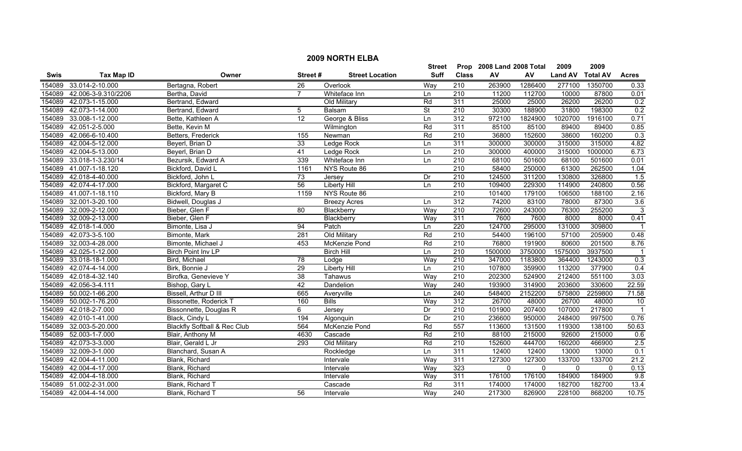|        | <b>2009 NORTH ELBA</b> |                                         |                 |                        |               |                  |                           |          |                |                 |                |  |
|--------|------------------------|-----------------------------------------|-----------------|------------------------|---------------|------------------|---------------------------|----------|----------------|-----------------|----------------|--|
|        |                        |                                         |                 |                        | <b>Street</b> |                  | Prop 2008 Land 2008 Total |          | 2009           | 2009            |                |  |
| Swis   | <b>Tax Map ID</b>      | Owner                                   | Street#         | <b>Street Location</b> | <b>Suff</b>   | <b>Class</b>     | ${\sf AV}$                | AV       | <b>Land AV</b> | <b>Total AV</b> | <b>Acres</b>   |  |
| 154089 | 33.014-2-10.000        | Bertagna, Robert                        | 26              | Overlook               | Way           | 210              | 263900                    | 1286400  | 277100         | 1350700         | 0.33           |  |
| 154089 | 42.006-3-9.310/2206    | Bertha, David                           | $\overline{7}$  | Whiteface Inn          | Ln            | $\overline{210}$ | 11200                     | 112700   | 10000          | 87800           | 0.01           |  |
| 154089 | 42.073-1-15.000        | Bertrand, Edward                        |                 | Old Military           | Rd            | 311              | 25000                     | 25000    | 26200          | 26200           | 0.2            |  |
| 154089 | 42.073-1-14.000        | Bertrand, Edward                        | 5               | Balsam                 | <b>St</b>     | 210              | 30300                     | 188900   | 31800          | 198300          | 0.2            |  |
| 154089 | 33.008-1-12.000        | Bette, Kathleen A                       | 12              | George & Bliss         | Ln            | 312              | 972100                    | 1824900  | 1020700        | 1916100         | 0.71           |  |
| 154089 | 42.051-2-5.000         | Bette, Kevin M                          |                 | Wilmington             | Rd            | 311              | 85100                     | 85100    | 89400          | 89400           | 0.85           |  |
| 154089 | 42.066-6-10.400        | Betters, Frederick                      | 155             | Newman                 | Rd            | 210              | 36800                     | 152600   | 38600          | 160200          | 0.3            |  |
| 154089 | 42.004-5-12.000        | Beyerl, Brian D                         | 33              | Ledge Rock             | Ln            | 311              | 300000                    | 300000   | 315000         | 315000          | 4.82           |  |
| 154089 | 42.004-5-13.000        | Beyerl, Brian D                         | 41              | Ledge Rock             | Ln            | 210              | 300000                    | 400000   | 315000         | 1000000         | 6.73           |  |
| 154089 | 33.018-1-3.230/14      | Bezursik, Edward A                      | 339             | Whiteface Inn          | Ln            | $\overline{210}$ | 68100                     | 501600   | 68100          | 501600          | 0.01           |  |
| 154089 | 41.007-1-18.120        | Bickford, David L                       | 1161            | NYS Route 86           |               | $\overline{210}$ | 58400                     | 250000   | 61300          | 262500          | 1.04           |  |
| 154089 | 42.018-4-40.000        | Bickford, John L                        | 73              | Jersey                 | Dr            | 210              | 124500                    | 311200   | 130800         | 326800          | 1.5            |  |
| 154089 | 42.074-4-17.000        | Bickford, Margaret C                    | 56              | <b>Liberty Hill</b>    | Ln            | $\overline{210}$ | 109400                    | 229300   | 114900         | 240800          | 0.56           |  |
| 154089 | 41.007-1-18.110        | Bickford, Mary B                        | 1159            | NYS Route 86           |               | $\overline{210}$ | 101400                    | 179100   | 106500         | 188100          | 2.16           |  |
| 154089 | 32.001-3-20.100        | Bidwell, Douglas J                      |                 | <b>Breezy Acres</b>    | Ln            | 312              | 74200                     | 83100    | 78000          | 87300           | 3.6            |  |
| 154089 | 32.009-2-12.000        | Bieber, Glen F                          | $\overline{80}$ | Blackberry             | Way           | $\overline{210}$ | 72600                     | 243000   | 76300          | 255200          | 3              |  |
| 154089 | 32.009-2-13.000        | Bieber, Glen F                          |                 | Blackberry             | Way           | 311              | 7600                      | 7600     | 8000           | 8000            | 0.41           |  |
| 154089 | 42.018-1-4.000         | Bimonte, Lisa J                         | 94              | Patch                  | Ln            | 220              | 124700                    | 295000   | 131000         | 309800          |                |  |
| 154089 | 42.073-3-5.100         | Bimonte, Mark                           | 281             | Old Military           | Rd            | 210              | 54400                     | 196100   | 57100          | 205900          | 0.48           |  |
| 154089 | 32.003-4-28.000        | Bimonte, Michael J                      | 453             | McKenzie Pond          | Rd            | 210              | 76800                     | 191900   | 80600          | 201500          | 8.76           |  |
| 154089 | 42.025-1-12.000        | Birch Point Inv LP                      |                 | <b>Birch Hill</b>      | Ln            | 210              | 1500000                   | 3750000  | 1575000        | 3937500         |                |  |
| 154089 | 33.018-18-1.000        | Bird, Michael                           | 78              | Lodge                  | Way           | 210              | 347000                    | 1183800  | 364400         | 1243000         | 0.3            |  |
| 154089 | 42.074-4-14.000        | Birk, Bonnie J                          | 29              | <b>Liberty Hill</b>    | Ln            | 210              | 107800                    | 359900   | 113200         | 377900          | 0.4            |  |
| 154089 | 42.018-4-32.140        | Birofka, Genevieve Y                    | 38              | Tahawus                | Way           | $\overline{210}$ | 202300                    | 524900   | 212400         | 551100          | 3.03           |  |
| 154089 | 42.056-3-4.111         | Bishop, Gary L                          | 42              | Dandelion              | Way           | 240              | 193900                    | 314900   | 203600         | 330600          | 22.59          |  |
| 154089 | 50.002-1-66.200        | Bissell, Arthur D III                   | 665             | Averyville             | Ln            | 240              | 548400                    | 2152200  | 575800         | 2259800         | 71.58          |  |
| 154089 | 50.002-1-76.200        | Bissonette, Roderick T                  | 160             | <b>Bills</b>           | Way           | 312              | 26700                     | 48000    | 26700          | 48000           | 10             |  |
| 154089 | 42.018-2-7.000         | Bissonnette, Douglas R                  | 6               | Jersey                 | Dr            | $\overline{210}$ | 101900                    | 207400   | 107000         | 217800          | $\overline{1}$ |  |
| 154089 | 42.010-1-41.000        | Black, Cindy L                          | 194             | Algonquin              | Dr            | 210              | 236600                    | 950000   | 248400         | 997500          | 0.76           |  |
| 154089 | 32.003-5-20.000        | <b>Blackfly Softball &amp; Rec Club</b> | 564             | McKenzie Pond          | Rd            | 557              | 113600                    | 131500   | 119300         | 138100          | 50.63          |  |
| 154089 | 52.003-1-7.000         | Blair, Anthony M                        | 4630            | Cascade                | Rd            | 210              | 88100                     | 215000   | 92600          | 215000          | 0.6            |  |
| 154089 | 42.073-3-3.000         | Blair, Gerald L Jr                      | 293             | Old Military           | Rd            | 210              | 152600                    | 444700   | 160200         | 466900          | 2.5            |  |
| 154089 | 32.009-3-1.000         | Blanchard, Susan A                      |                 | Rockledge              | Ln            | 311              | 12400                     | 12400    | 13000          | 13000           | 0.1            |  |
| 154089 | 42.004-4-11.000        | Blank, Richard                          |                 | Intervale              | Way           | 311              | 127300                    | 127300   | 133700         | 133700          | 21.2           |  |
| 154089 | 42.004-4-17.000        | Blank, Richard                          |                 | Intervale              | Way           | 323              | $\mathbf{0}$              | $\Omega$ | $\mathbf{0}$   | $\mathbf{0}$    | 0.13           |  |
| 154089 | 42.004-4-18.000        | Blank, Richard                          |                 | Intervale              | Way           | 311              | 176100                    | 176100   | 184900         | 184900          | 9.8            |  |
| 154089 | 51.002-2-31.000        | Blank, Richard T                        |                 | Cascade                | Rd            | 311              | 174000                    | 174000   | 182700         | 182700          | 13.4           |  |
|        | 154089 42.004-4-14.000 | Blank, Richard T                        | 56              | Intervale              | Way           | 240              | 217300                    | 826900   | 228100         | 868200          | 10.75          |  |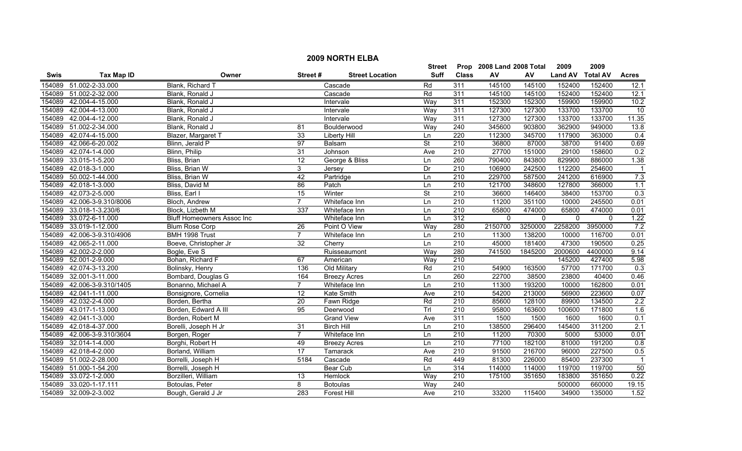|             |                     |                                   |                 |                        | <b>Street</b>            |                  | Prop 2008 Land 2008 Total |          | 2009           | 2009            |                |
|-------------|---------------------|-----------------------------------|-----------------|------------------------|--------------------------|------------------|---------------------------|----------|----------------|-----------------|----------------|
| <b>Swis</b> | <b>Tax Map ID</b>   | Owner                             | Street#         | <b>Street Location</b> | <b>Suff</b>              | <b>Class</b>     | AV                        | AV       | <b>Land AV</b> | <b>Total AV</b> | <b>Acres</b>   |
| 154089      | 51.002-2-33.000     | Blank, Richard T                  |                 | Cascade                | Rd                       | 311              | 145100                    | 145100   | 152400         | 152400          | 12.1           |
| 154089      | 51.002-2-32.000     | Blank, Ronald J                   |                 | Cascade                | Rd                       | 311              | 145100                    | 145100   | 152400         | 152400          | 12.1           |
| 154089      | 42.004-4-15.000     | Blank, Ronald J                   |                 | Intervale              | Way                      | 311              | 152300                    | 152300   | 159900         | 159900          | 10.2           |
| 154089      | 42.004-4-13.000     | Blank, Ronald J                   |                 | Intervale              | Way                      | 311              | 127300                    | 127300   | 133700         | 133700          | 10             |
| 154089      | 42.004-4-12.000     | Blank, Ronald J                   |                 | Intervale              | Way                      | 311              | 127300                    | 127300   | 133700         | 133700          | 11.35          |
| 154089      | 51.002-2-34.000     | Blank, Ronald J                   | 81              | Boulderwood            | Way                      | 240              | 345600                    | 903800   | 362900         | 949000          | 13.8           |
| 154089      | 42.074-4-15.000     | Blazer, Margaret T                | 33              | Liberty Hill           | Ln                       | 220              | 112300                    | 345700   | 117900         | 363000          | 0.4            |
| 154089      | 42.066-6-20.002     | Blinn, Jerald P                   | 97              | Balsam                 | $\overline{\mathsf{St}}$ | 210              | 36800                     | 87000    | 38700          | 91400           | 0.69           |
| 154089      | 42.074-1-4.000      | Blinn, Philip                     | $\overline{31}$ | Johnson                | Ave                      | $\overline{210}$ | 27700                     | 151000   | 29100          | 158600          | 0.2            |
| 154089      | 33.015-1-5.200      | Bliss, Brian                      | 12              | George & Bliss         | Ln                       | 260              | 790400                    | 843800   | 829900         | 886000          | 1.38           |
| 154089      | 42.018-3-1.000      | Bliss, Brian W                    | 3               | Jersey                 | Dr                       | 210              | 106900                    | 242500   | 112200         | 254600          |                |
| 154089      | 50.002-1-44.000     | Bliss, Brian W                    | 42              | Partridge              | Ln                       | 210              | 229700                    | 587500   | 241200         | 616900          | 7.3            |
| 154089      | 42.018-1-3.000      | Bliss, David M                    | 86              | Patch                  | Ln                       | $\overline{210}$ | 121700                    | 348600   | 127800         | 366000          | 1.1            |
| 154089      | 42.073-2-5.000      | Bliss, Earl I                     | 15              | Winter                 | $\overline{\mathsf{St}}$ | 210              | 36600                     | 146400   | 38400          | 153700          | 0.3            |
| 154089      | 42.006-3-9.310/8006 | Bloch, Andrew                     | $\overline{7}$  | Whiteface Inn          | Ln                       | $\overline{210}$ | 11200                     | 351100   | 10000          | 245500          | 0.01           |
| 154089      | 33.018-1-3.230/6    | Block, Lizbeth M                  | 337             | Whiteface Inn          | Ln                       | $\overline{210}$ | 65800                     | 474000   | 65800          | 474000          | 0.01           |
| 154089      | 33.072-6-11.000     | <b>Bluff Homeowners Assoc Inc</b> |                 | Whiteface Inn          | Ln                       | 312              | $\mathbf{0}$              | $\Omega$ | $\mathbf{0}$   | $\Omega$        | 1.22           |
| 154089      | 33.019-1-12.000     | <b>Blum Rose Corp</b>             | 26              | Point O View           | Way                      | 280              | 2150700                   | 3250000  | 2258200        | 3950000         | 7.2            |
| 154089      | 42.006-3-9.310/4906 | BMH 1998 Trust                    | $\overline{7}$  | Whiteface Inn          | Ln                       | 210              | 11300                     | 138200   | 10000          | 116700          | 0.01           |
| 154089      | 42.065-2-11.000     | Boeve, Christopher Jr             | $\overline{32}$ | Cherry                 | Ln                       | 210              | 45000                     | 181400   | 47300          | 190500          | 0.25           |
| 154089      | 42.002-2-2.000      | Bogle, Eve S                      |                 | Ruisseaumont           | Way                      | 280              | 741500                    | 1845200  | 2000600        | 4400000         | 9.14           |
| 154089      | 52.001-2-9.000      | Bohan, Richard F                  | 67              | American               | Way                      | $\overline{210}$ |                           |          | 145200         | 427400          | 5.98           |
| 154089      | 42.074-3-13.200     | Bolinsky, Henry                   | 136             | Old Military           | Rd                       | $\overline{210}$ | 54900                     | 163500   | 57700          | 171700          | 0.3            |
| 154089      | 32.001-3-11.000     | Bombard, Douglas G                | 164             | <b>Breezy Acres</b>    | Ln                       | 260              | 22700                     | 38500    | 23800          | 40400           | 0.46           |
| 154089      | 42.006-3-9.310/1405 | Bonanno, Michael A                | $\overline{7}$  | Whiteface Inn          | Ln                       | $\overline{210}$ | 11300                     | 193200   | 10000          | 162800          | 0.01           |
| 154089      | 42.041-1-11.000     | Bonsignore, Cornelia              | $\overline{12}$ | Kate Smith             | Ave                      | $\overline{210}$ | 54200                     | 213000   | 56900          | 223600          | 0.07           |
| 154089      | 42.032-2-4.000      | Borden, Bertha                    | 20              | Fawn Ridge             | Rd                       | 210              | 85600                     | 128100   | 89900          | 134500          | 2.2            |
| 154089      | 43.017-1-13.000     | Borden, Edward A III              | 95              | Deerwood               | Tr                       | 210              | 95800                     | 163600   | 100600         | 171800          | 1.6            |
| 154089      | 42.041-1-3.000      | Borden, Robert M                  |                 | <b>Grand View</b>      | Ave                      | 311              | 1500                      | 1500     | 1600           | 1600            | 0.1            |
| 154089      | 42.018-4-37.000     | Borelli, Joseph H Jr              | 31              | <b>Birch Hill</b>      | Ln                       | 210              | 138500                    | 296400   | 145400         | 311200          | 2.1            |
| 154089      | 42.006-3-9.310/3604 | Borgen, Roger                     | $\overline{7}$  | Whiteface Inn          | Ln                       | 210              | 11200                     | 70300    | 5000           | 53000           | 0.01           |
| 154089      | 32.014-1-4.000      | Borghi, Robert H                  | 49              | <b>Breezy Acres</b>    | Ln                       | 210              | 77100                     | 182100   | 81000          | 191200          | 0.8            |
| 154089      | 42.018-4-2.000      | Borland, William                  | 17              | Tamarack               | Ave                      | 210              | 91500                     | 216700   | 96000          | 227500          | 0.5            |
| 154089      | 51.002-2-28.000     | Borrelli, Joseph H                | 5184            | Cascade                | Rd                       | 449              | 81300                     | 226000   | 85400          | 237300          | $\overline{1}$ |
| 154089      | 51.000-1-54.200     | Borrelli, Joseph H                |                 | Bear Cub               | Ln                       | 314              | 114000                    | 114000   | 119700         | 119700          | 50             |
| 154089      | 33.072-1-2.000      | Borzilleri, William               | 13              | Hemlock                | Way                      | 210              | 175100                    | 351650   | 183800         | 351650          | 0.22           |
| 154089      | 33.020-1-17.111     | Botoulas, Peter                   | 8               | <b>Botoulas</b>        | Way                      | 240              |                           |          | 500000         | 660000          | 19.15          |
| 154089      | 32.009-2-3.002      | Bough, Gerald J Jr                | 283             | <b>Forest Hill</b>     | Ave                      | 210              | 33200                     | 115400   | 34900          | 135000          | 1.52           |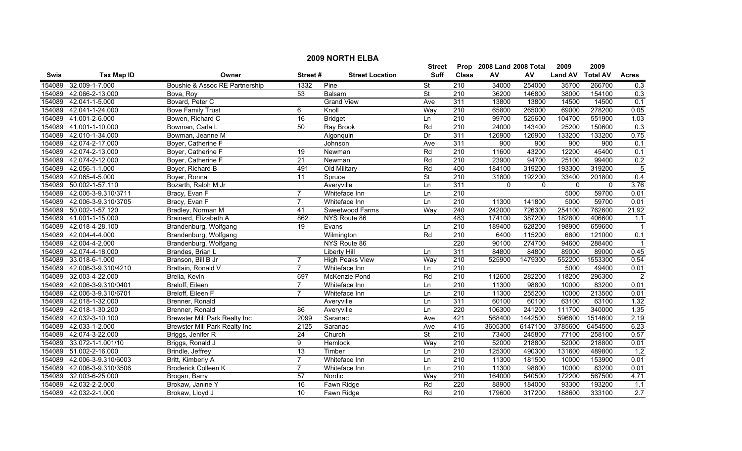| <b>2009 NORTH ELBA</b> |                        |                                      |                 |                        |                          |                  |                      |             |                |                 |                  |
|------------------------|------------------------|--------------------------------------|-----------------|------------------------|--------------------------|------------------|----------------------|-------------|----------------|-----------------|------------------|
|                        |                        |                                      |                 |                        | Street                   | Prop             | 2008 Land 2008 Total |             | 2009           | 2009            |                  |
| <b>Swis</b>            | <b>Tax Map ID</b>      | Owner                                | Street#         | <b>Street Location</b> | Suff                     | <b>Class</b>     | AV                   | AV          | <b>Land AV</b> | <b>Total AV</b> | <b>Acres</b>     |
| 154089                 | 32.009-1-7.000         | Boushie & Assoc RE Partnership       | 1332            | Pine                   | $\overline{\mathsf{St}}$ | 210              | 34000                | 254000      | 35700          | 266700          | 0.3              |
| 154089                 | 42.066-2-13.000        | Bova, Roy                            | $\overline{53}$ | Balsam                 | $\overline{\mathsf{St}}$ | 210              | 36200                | 146800      | 38000          | 154100          | 0.3              |
| 154089                 | 42.041-1-5.000         | Bovard, Peter C                      |                 | <b>Grand View</b>      | Ave                      | 311              | 13800                | 13800       | 14500          | 14500           | 0.1              |
| 154089                 | 42.041-1-24.000        | <b>Bove Family Trust</b>             | 6               | Knoll                  | Wav                      | 210              | 65800                | 265000      | 69000          | 278200          | 0.05             |
| 154089                 | 41.001-2-6.000         | Bowen, Richard C                     | 16              | <b>Bridget</b>         | Ln                       | 210              | 99700                | 525600      | 104700         | 551900          | 1.03             |
|                        | 154089 41.001-1-10.000 | Bowman, Carla L                      | 50              | Ray Brook              | Rd                       | 210              | 24000                | 143400      | 25200          | 150600          | 0.3              |
| 154089                 | 42.010-1-34.000        | Bowman, Jeanne M                     |                 | Algonquin              | Dr                       | 311              | 126900               | 126900      | 133200         | 133200          | 0.75             |
| 154089                 | 42.074-2-17.000        | Boyer, Catherine F                   |                 | Johnson                | Ave                      | 311              | 900                  | 900         | 900            | 900             | 0.1              |
| 154089                 | 42.074-2-13.000        | Boyer, Catherine F                   | 19              | Newman                 | Rd                       | 210              | 11600                | 43200       | 12200          | 45400           | 0.1              |
| 154089                 | 42.074-2-12.000        | Boyer, Catherine F                   | 21              | Newman                 | Rd                       | $\overline{210}$ | 23900                | 94700       | 25100          | 99400           | 0.2              |
| 154089                 | 42.056-1-1.000         | Boyer, Richard B                     | 491             | Old Military           | Rd                       | 400              | 184100               | 319200      | 193300         | 319200          | $\overline{5}$   |
| 154089                 | 42.065-4-5.000         | Boyer, Ronna                         | $\overline{11}$ | Spruce                 | $\overline{\mathsf{St}}$ | 210              | 31800                | 192200      | 33400          | 201800          | 0.4              |
| 154089                 | 50.002-1-57.110        | Bozarth, Ralph M Jr                  |                 | Averyville             | Ln                       | 311              | $\mathbf{0}$         | $\mathbf 0$ | $\mathbf{0}$   | $\mathbf{0}$    | 3.76             |
| 154089                 | 42.006-3-9.310/3711    | Bracy, Evan F                        | $\overline{7}$  | Whiteface Inn          | Ln                       | $\overline{210}$ |                      |             | 5000           | 59700           | 0.01             |
| 154089                 | 42.006-3-9.310/3705    | Bracy, Evan F                        |                 | Whiteface Inn          | Ln                       | 210              | 11300                | 141800      | 5000           | 59700           | 0.01             |
| 154089                 | 50.002-1-57.120        | Bradley, Norman M                    | 41              | Sweetwood Farms        | Way                      | 240              | 242000               | 726300      | 254100         | 762600          | 21.92            |
|                        | 154089 41.001-1-15.000 | Brainerd, Elizabeth A                | 862             | NYS Route 86           |                          | 483              | 174100               | 387200      | 182800         | 406600          | 1.1              |
| 154089                 | 42.018-4-28.100        | Brandenburg, Wolfgang                | 19              | Evans                  | Ln                       | 210              | 189400               | 628200      | 198900         | 659600          | $\overline{1}$   |
| 154089                 | 42.004-4-4.000         | Brandenburg, Wolfgang                |                 | Wilmington             | Rd                       | 210              | 6400                 | 115200      | 6800           | 121000          | 0.1              |
| 154089                 | 42.004-4-2.000         | Brandenburg, Wolfgang                |                 | NYS Route 86           |                          | 220              | 90100                | 274700      | 94600          | 288400          |                  |
| 154089                 | 42.074-4-18.000        | Brandes, Brian L                     |                 | <b>Liberty Hill</b>    | Ln                       | 311              | 84800                | 84800       | 89000          | 89000           | 0.45             |
| 154089                 | 33.018-6-1.000         | Branson, Bill B Jr                   |                 | High Peaks View        | Way                      | 210              | 525900               | 1479300     | 552200         | 1553300         | 0.54             |
| 154089                 | 42.006-3-9.310/4210    | Brattain, Ronald V                   | $\overline{7}$  | Whiteface Inn          | Ln                       | 210              |                      |             | 5000           | 49400           | 0.01             |
| 154089                 | 32.003-4-22.000        | Brelia, Kevin                        | 697             | McKenzie Pond          | Rd                       | 210              | 112600               | 282200      | 118200         | 296300          | $\overline{2}$   |
| 154089                 | 42.006-3-9.310/0401    | Breloff, Eileen                      | $\overline{7}$  | Whiteface Inn          | Ln                       | $\overline{210}$ | 11300                | 98800       | 10000          | 83200           | 0.01             |
| 154089                 | 42.006-3-9.310/6701    | Breloff, Eileen F                    | $\overline{7}$  | Whiteface Inn          | Ln                       | 210              | 11300                | 255200      | 10000          | 213500          | 0.01             |
| 154089                 | 42.018-1-32.000        | Brenner, Ronald                      |                 | Averyville             | Ln                       | 311              | 60100                | 60100       | 63100          | 63100           | 1.32             |
| 154089                 | 42.018-1-30.200        | Brenner, Ronald                      | $\overline{86}$ | Averyville             | Ln                       | $\overline{220}$ | 106300               | 241200      | 111700         | 340000          | 1.35             |
| 154089                 | 42.032-3-10.100        | <b>Brewster Mill Park Realty Inc</b> | 2099            | Saranac                | Ave                      | 421              | 568400               | 1442500     | 596800         | 1514600         | 2.19             |
| 154089                 | 42.033-1-2.000         | Brewster Mill Park Realty Inc        | 2125            | Saranac                | Ave                      | 415              | 3605300              | 6147100     | 3785600        | 6454500         | 6.23             |
| 154089                 | 42.074-3-22.000        | Briggs, Jenifer R                    | 24              | Church                 | $\overline{\mathsf{St}}$ | 210              | 73400                | 245800      | 77100          | 258100          | 0.57             |
| 154089                 | 33.072-1-1.001/10      | Briggs, Ronald J                     | 9               | <b>Hemlock</b>         | Way                      | 210              | 52000                | 218800      | 52000          | 218800          | 0.01             |
| 154089                 | 51.002-2-16.000        | Brindle, Jeffrey                     | $\overline{13}$ | Timber                 | Ln                       | 210              | 125300               | 490300      | 131600         | 489800          | 1.2              |
| 154089                 | 42.006-3-9.310/6003    | Britt, Kimberly A                    | $\overline{7}$  | Whiteface Inn          | Ln                       | 210              | 11300                | 181500      | 10000          | 153900          | 0.01             |
| 154089                 | 42.006-3-9.310/3506    | Broderick Colleen K                  | $\overline{7}$  | Whiteface Inn          | Ln                       | $\overline{210}$ | 11300                | 98800       | 10000          | 83200           | 0.01             |
| 154089                 | 32.003-6-25.000        | Brogan, Barry                        | 57              | Nordic                 | Way                      | $\overline{210}$ | 164000               | 540500      | 172200         | 567500          | 4.71             |
| 154089                 | 42.032-2-2.000         | Brokaw, Janine Y                     | 16              | Fawn Ridge             | Rd                       | 220              | 88900                | 184000      | 93300          | 193200          | 1.1              |
|                        | 154089 42.032-2-1.000  | Brokaw, Lloyd J                      | 10              | Fawn Ridge             | Rd                       | 210              | 179600               | 317200      | 188600         | 333100          | $\overline{2.7}$ |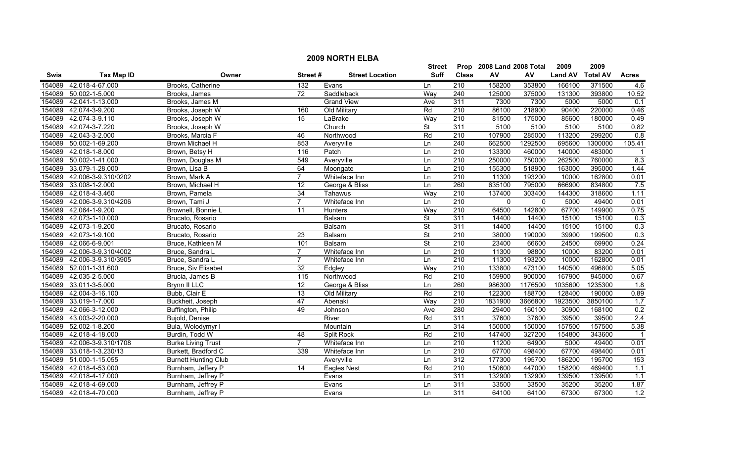|        | <b>2009 NORTH ELBA</b>     |                             |                 |                        |                          |                  |                           |                     |                |                 |              |  |
|--------|----------------------------|-----------------------------|-----------------|------------------------|--------------------------|------------------|---------------------------|---------------------|----------------|-----------------|--------------|--|
|        |                            |                             |                 |                        | Street                   |                  | Prop 2008 Land 2008 Total |                     | 2009           | 2009            |              |  |
| Swis   | <b>Tax Map ID</b>          | Owner                       | Street#         | <b>Street Location</b> | <b>Suff</b>              | <b>Class</b>     | AV                        | AV                  | <b>Land AV</b> | <b>Total AV</b> | <b>Acres</b> |  |
| 154089 | 42.018-4-67.000            | Brooks, Catherine           | 132             | Evans                  | Ln                       | 210              | 158200                    | 353800              | 166100         | 371500          | 4.6          |  |
| 154089 | 50.002-1-5.000             | Brooks, James               | 72              | Saddleback             | Way                      | 240              | 125000                    | 375000              | 131300         | 393800          | 10.52        |  |
| 154089 | 42.041-1-13.000            | Brooks, James M             |                 | <b>Grand View</b>      | Ave                      | 311              | 7300                      | 7300                | 5000           | 5000            | 0.1          |  |
| 154089 | 42.074-3-9.200             | Brooks, Joseph W            | 160             | Old Military           | Rd                       | 210              | 86100                     | 218900              | 90400          | 220000          | 0.46         |  |
| 154089 | 42.074-3-9.110             | Brooks, Joseph W            | 15              | LaBrake                | Way                      | 210              | 81500                     | 175000              | 85600          | 180000          | 0.49         |  |
| 154089 | 42.074-3-7.220             | Brooks, Joseph W            |                 | Church                 | <b>St</b>                | 311              | 5100                      | 5100                | 5100           | 5100            | 0.82         |  |
| 154089 | 42.043-3-2.000             | Brooks, Marcia F            | 46              | Northwood              | Rd                       | $\overline{210}$ | 107900                    | 285000              | 113200         | 299200          | 0.8          |  |
| 154089 | 50.002-1-69.200            | <b>Brown Michael H</b>      | 853             | Averyville             | Ln                       | 240              | 662500                    | 1292500             | 695600         | 1300000         | 105.41       |  |
| 154089 | 42.018-1-8.000             | Brown, Betsy H              | 116             | Patch                  | Ln                       | 210              | 133300                    | 460000              | 140000         | 483000          |              |  |
| 154089 | 50.002-1-41.000            | Brown, Douglas M            | 549             | Averyville             | Ln                       | 210              | 250000                    | 750000              | 262500         | 760000          | 8.3          |  |
| 154089 | 33.079-1-28.000            | Brown, Lisa B               | 64              | Moongate               | Ln                       | $\overline{210}$ | 155300                    | 518900              | 163000         | 395000          | 1.44         |  |
| 154089 | 42.006-3-9.310/0202        | Brown, Mark A               | $\overline{7}$  | Whiteface Inn          | Ln                       | 210              | 11300                     | 193200              | 10000          | 162800          | 0.01         |  |
| 154089 | 33.008-1-2.000             | Brown, Michael H            | $\overline{12}$ | George & Bliss         | Ln                       | 260              | 635100                    | 795000              | 666900         | 834800          | 7.5          |  |
| 154089 | 42.018-4-3.460             | Brown, Pamela               | $\overline{34}$ | Tahawus                | Way                      | $\overline{210}$ | 137400                    | 303400              | 144300         | 318600          | 1.11         |  |
|        | 154089 42.006-3-9.310/4206 | Brown, Tami J               | $\overline{7}$  | Whiteface Inn          | Ln                       | 210              | $\mathbf 0$               | $\mathsf{O}\xspace$ | 5000           | 49400           | 0.01         |  |
| 154089 | 42.064-1-9.200             | Brownell, Bonnie L          | 11              | Hunters                | Way                      | $\overline{210}$ | 64500                     | 142800              | 67700          | 149900          | 0.75         |  |
| 154089 | 42.073-1-10.000            | Brucato, Rosario            |                 | Balsam                 | <b>St</b>                | 311              | 14400                     | 14400               | 15100          | 15100           | 0.3          |  |
| 154089 | 42.073-1-9.200             | Brucato, Rosario            |                 | Balsam                 | $\overline{\mathsf{St}}$ | 311              | 14400                     | 14400               | 15100          | 15100           | 0.3          |  |
| 154089 | 42.073-1-9.100             | Brucato, Rosario            | $\overline{23}$ | <b>Balsam</b>          | $\overline{\mathsf{St}}$ | 210              | 38000                     | 190000              | 39900          | 199500          | 0.3          |  |
| 154089 | 42.066-6-9.001             | Bruce, Kathleen M           | 101             | Balsam                 | <b>St</b>                | 210              | 23400                     | 66600               | 24500          | 69900           | 0.24         |  |
|        | 154089 42.006-3-9.310/4002 | Bruce, Sandra L             | $\overline{7}$  | Whiteface Inn          | Ln                       | 210              | 11300                     | 98800               | 10000          | 83200           | 0.01         |  |
| 154089 | 42.006-3-9.310/3905        | Bruce, Sandra L             | $\overline{7}$  | Whiteface Inn          | Ln                       | 210              | 11300                     | 193200              | 10000          | 162800          | 0.01         |  |
| 154089 | 52.001-1-31.600            | Bruce, Siv Elisabet         | 32              | Edgley                 | Way                      | $\overline{210}$ | 133800                    | 473100              | 140500         | 496800          | 5.05         |  |
| 154089 | 42.035-2-5.000             | Brucia, James B             | 115             | Northwood              | Rd                       | 210              | 159900                    | 900000              | 167900         | 945000          | 0.67         |  |
| 154089 | 33.011-3-5.000             | Brynn II LLC                | 12              | George & Bliss         | Ln                       | 260              | 986300                    | 1176500             | 1035600        | 1235300         | 1.8          |  |
| 154089 | 42.004-3-16.100            | Bubb, Clair E               | $\overline{13}$ | Old Military           | Rd                       | 210              | 122300                    | 188700              | 128400         | 190000          | 0.89         |  |
| 154089 | 33.019-1-7.000             | Buckheit, Joseph            | 47              | Abenaki                | Way                      | $\overline{210}$ | 1831900                   | 3666800             | 1923500        | 3850100         | 1.7          |  |
| 154089 | 42.066-3-12.000            | Buffington, Philip          | 49              | Johnson                | Ave                      | 280              | 29400                     | 160100              | 30900          | 168100          | 0.2          |  |
| 154089 | 43.003-2-20.000            | Bujold, Denise              |                 | River                  | Rd                       | 311              | 37600                     | 37600               | 39500          | 39500           | 2.4          |  |
| 154089 | 52.002-1-8.200             | Bula, Wolodymyr I           |                 | Mountain               | Ln                       | 314              | 150000                    | 150000              | 157500         | 157500          | 5.38         |  |
| 154089 | 42.018-4-18.000            | Burdin, Todd W              | 48              | <b>Split Rock</b>      | Rd                       | 210              | 147400                    | 327200              | 154800         | 343600          | - 1          |  |
| 154089 | 42.006-3-9.310/1708        | <b>Burke Living Trust</b>   | $\overline{7}$  | Whiteface Inn          | Ln                       | 210              | 11200                     | 64900               | 5000           | 49400           | 0.01         |  |
| 154089 | 33.018-1-3.230/13          | Burkett, Bradford C         | 339             | Whiteface Inn          | Ln                       | 210              | 67700                     | 498400              | 67700          | 498400          | 0.01         |  |
|        | 154089 51.000-1-15.055     | <b>Burnett Hunting Club</b> |                 | Averyville             | Ln                       | 312              | 177300                    | 195700              | 186200         | 195700          | 153          |  |
| 154089 | 42.018-4-53.000            | Burnham, Jeffery P          | $\overline{14}$ | Eagles Nest            | Rd                       | $\overline{210}$ | 150600                    | 447000              | 158200         | 469400          | 1.1          |  |
| 154089 | 42.018-4-17.000            | Burnham, Jeffrey P          |                 | Evans                  | Ln                       | 311              | 132900                    | 132900              | 139500         | 139500          | 1.1          |  |
| 154089 | 42.018-4-69.000            | Burnham, Jeffrey P          |                 | Evans                  | Ln                       | 311              | 33500                     | 33500               | 35200          | 35200           | 1.87         |  |
|        | 154089 42.018-4-70.000     | Burnham, Jeffrey P          |                 | Evans                  | Ln                       | 311              | 64100                     | 64100               | 67300          | 67300           | 1.2          |  |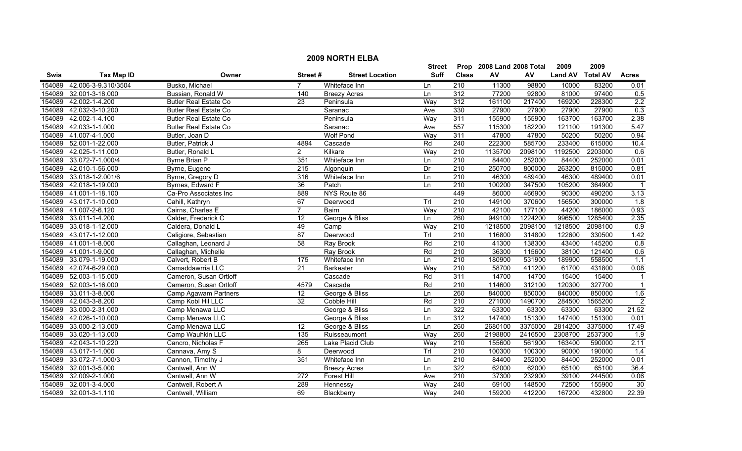|        | <b>2009 NORTH ELBA</b> |                              |                       |                        |             |                  |                           |         |                |                 |                  |  |
|--------|------------------------|------------------------------|-----------------------|------------------------|-------------|------------------|---------------------------|---------|----------------|-----------------|------------------|--|
|        |                        |                              |                       |                        | Street      |                  | Prop 2008 Land 2008 Total |         | 2009           | 2009            |                  |  |
| Swis   | <b>Tax Map ID</b>      | Owner                        | Street#               | <b>Street Location</b> | <b>Suff</b> | <b>Class</b>     | ${\sf AV}$                | AV      | <b>Land AV</b> | <b>Total AV</b> | <b>Acres</b>     |  |
| 154089 | 42.006-3-9.310/3504    | Busko, Michael               | $\overline{7}$        | Whiteface Inn          | Ln          | 210              | 11300                     | 98800   | 10000          | 83200           | 0.01             |  |
| 154089 | 32.001-3-18.000        | Bussian, Ronald W            | 140                   | <b>Breezy Acres</b>    | Ln          | 312              | 77200                     | 92800   | 81000          | 97400           | 0.5              |  |
| 154089 | 42.002-1-4.200         | <b>Butler Real Estate Co</b> | $\overline{23}$       | Peninsula              | Way         | 312              | 161100                    | 217400  | 169200         | 228300          | 2.2              |  |
| 154089 | 42.032-3-10.200        | <b>Butler Real Estate Co</b> |                       | Saranac                | Ave         | 330              | 27900                     | 27900   | 27900          | 27900           | 0.3              |  |
| 154089 | 42.002-1-4.100         | <b>Butler Real Estate Co</b> |                       | Peninsula              | Way         | 311              | 155900                    | 155900  | 163700         | 163700          | 2.38             |  |
| 154089 | 42.033-1-1.000         | <b>Butler Real Estate Co</b> |                       | Saranac                | Ave         | 557              | 115300                    | 182200  | 121100         | 191300          | 5.47             |  |
| 154089 | 41.007-4-1.000         | Butler, Joan D               |                       | <b>Wolf Pond</b>       | Way         | 311              | 47800                     | 47800   | 50200          | 50200           | 0.94             |  |
| 154089 | 52.001-1-22.000        | Butler, Patrick J            | 4894                  | Cascade                | Rd          | 240              | 222300                    | 585700  | 233400         | 615000          | 10.4             |  |
| 154089 | 42.025-1-11.000        | Butler, Ronald L             | $\mathbf{2}^{\prime}$ | Kilkare                | Way         | $\overline{210}$ | 1135700                   | 2098100 | 1192500        | 2203000         | 0.6              |  |
| 154089 | 33.072-7-1.000/4       | Byrne Brian P                | 351                   | Whiteface Inn          | Ln          | 210              | 84400                     | 252000  | 84400          | 252000          | 0.01             |  |
| 154089 | 42.010-1-56.000        | Byrne, Eugene                | $\overline{215}$      | Algonquin              | Dr          | 210              | 250700                    | 800000  | 263200         | 815000          | 0.81             |  |
| 154089 | 33.018-1-2.001/6       | Byrne, Gregory D             | 316                   | Whiteface Inn          | Ln          | 210              | 46300                     | 489400  | 46300          | 489400          | 0.01             |  |
| 154089 | 42.018-1-19.000        | Byrnes, Edward F             | $\overline{36}$       | Patch                  | Ln          | $\overline{210}$ | 100200                    | 347500  | 105200         | 364900          | -1               |  |
| 154089 | 41.001-1-18.100        | Ca-Pro Associates Inc        | 889                   | NYS Route 86           |             | 449              | 86000                     | 466900  | 90300          | 490200          | 3.13             |  |
| 154089 | 43.017-1-10.000        | Cahill, Kathryn              | 67                    | Deerwood               | TrI         | $\overline{210}$ | 149100                    | 370600  | 156500         | 300000          | $\overline{1.8}$ |  |
| 154089 | 41.007-2-6.120         | Cairns, Charles E            | $\overline{7}$        | <b>Bairn</b>           | Way         | $\overline{210}$ | 42100                     | 177100  | 44200          | 186000          | 0.93             |  |
| 154089 | 33.011-1-4.200         | Calder, Frederick C          | 12                    | George & Bliss         | Ln          | 260              | 949100                    | 1224200 | 996500         | 1285400         | 2.35             |  |
| 154089 | 33.018-1-12.000        | Caldera, Donald L            | 49                    | Camp                   | Way         | 210              | 1218500                   | 2098100 | 1218500        | 2098100         | 0.9              |  |
| 154089 | 43.017-1-12.000        | Caligiore, Sebastian         | 87                    | Deerwood               | Trl         | 210              | 116800                    | 314800  | 122600         | 330500          | 1.42             |  |
| 154089 | 41.001-1-8.000         | Callaghan, Leonard J         | 58                    | Ray Brook              | Rd          | 210              | 41300                     | 138300  | 43400          | 145200          | 0.8              |  |
| 154089 | 41.001-1-9.000         | Callaghan, Michelle          |                       | Ray Brook              | Rd          | $\overline{210}$ | 36300                     | 115600  | 38100          | 121400          | 0.6              |  |
| 154089 | 33.079-1-19.000        | Calvert, Robert B            | $\frac{175}{2}$       | Whiteface Inn          | Ln          | 210              | 180900                    | 531900  | 189900         | 558500          | 1.1              |  |
| 154089 | 42.074-6-29.000        | Camaddawrria LLC             | $\overline{21}$       | <b>Barkeater</b>       | Way         | 210              | 58700                     | 411200  | 61700          | 431800          | 0.08             |  |
| 154089 | 52.003-1-15.000        | Cameron, Susan Ortloff       |                       | Cascade                | Rd          | 311              | 14700                     | 14700   | 15400          | 15400           | $\overline{1}$   |  |
| 154089 | 52.003-1-16.000        | Cameron, Susan Ortloff       | 4579                  | Cascade                | Rd          | $\overline{210}$ | 114600                    | 312100  | 120300         | 327700          | $\overline{1}$   |  |
| 154089 | 33.011-3-8.000         | Camp Agawam Partners         | 12                    | George & Bliss         | Ln          | 260              | 840000                    | 850000  | 840000         | 850000          | 1.6              |  |
| 154089 | 42.043-3-8.200         | Camp Kobl Hil LLC            | $\overline{32}$       | <b>Cobble Hill</b>     | Rd          | $\overline{210}$ | 271000                    | 1490700 | 284500         | 1565200         | $\overline{2}$   |  |
| 154089 | 33.000-2-31.000        | Camp Menawa LLC              |                       | George & Bliss         | Ln          | 322              | 63300                     | 63300   | 63300          | 63300           | 21.52            |  |
| 154089 | 42.026-1-10.000        | Camp Menawa LLC              |                       | George & Bliss         | Ln          | 312              | 147400                    | 151300  | 147400         | 151300          | 0.01             |  |
| 154089 | 33.000-2-13.000        | Camp Menawa LLC              | 12                    | George & Bliss         | Ln          | 260              | 2680100                   | 3375000 | 2814200        | 3375000         | 17.49            |  |
| 154089 | 33.020-1-13.000        | Camp Wauhkin LLC             | 135                   | Ruisseaumont           | Way         | 260              | 2198800                   | 2416500 | 2308700        | 2537300         | 1.9              |  |
| 154089 | 42.043-1-10.220        | Cancro, Nicholas F           | 265                   | Lake Placid Club       | Way         | 210              | 155600                    | 561900  | 163400         | 590000          | 2.11             |  |
| 154089 | 43.017-1-1.000         | Cannava, Amy S               | 8                     | Deerwood               | TrI         | 210              | 100300                    | 100300  | 90000          | 190000          | 1.4              |  |
| 154089 | 33.072-7-1.000/3       | Cannon, Timothy J            | 351                   | Whiteface Inn          | Ln          | $\overline{210}$ | 84400                     | 252000  | 84400          | 252000          | 0.01             |  |
| 154089 | 32.001-3-5.000         | Cantwell, Ann W              |                       | <b>Breezy Acres</b>    | Ln          | 322              | 62000                     | 62000   | 65100          | 65100           | 36.4             |  |
| 154089 | 32.009-2-1.000         | Cantwell, Ann W              | 272                   | Forest Hill            | Ave         | 210              | 37300                     | 232900  | 39100          | 244500          | 0.06             |  |
| 154089 | 32.001-3-4.000         | Cantwell, Robert A           | 289                   | Hennessy               | Way         | 240              | 69100                     | 148500  | 72500          | 155900          | 30               |  |
| 154089 | 32.001-3-1.110         | Cantwell, William            | 69                    | Blackberry             | Way         | $\overline{240}$ | 159200                    | 412200  | 167200         | 432800          | 22.39            |  |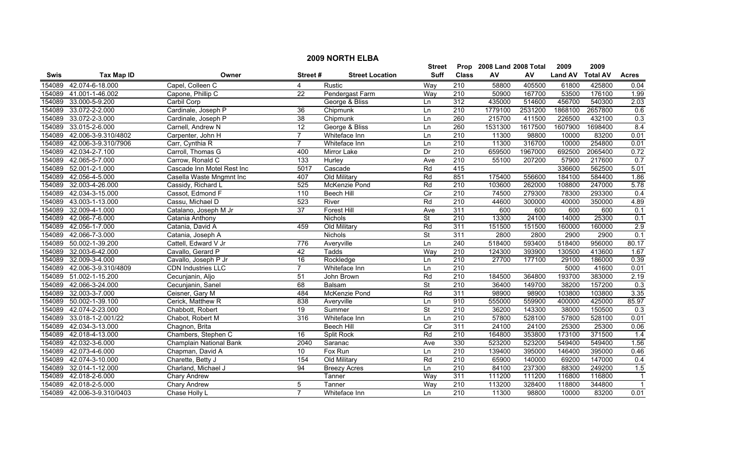|        | <b>2009 NORTH ELBA</b>     |                            |                  |                        |                          |                  |                           |         |                |                 |                         |  |
|--------|----------------------------|----------------------------|------------------|------------------------|--------------------------|------------------|---------------------------|---------|----------------|-----------------|-------------------------|--|
|        |                            |                            |                  |                        | Street                   |                  | Prop 2008 Land 2008 Total |         | 2009           | 2009            |                         |  |
| Swis   | <b>Tax Map ID</b>          | Owner                      | Street#          | <b>Street Location</b> | <b>Suff</b>              | <b>Class</b>     | AV                        | AV      | <b>Land AV</b> | <b>Total AV</b> | <b>Acres</b>            |  |
| 154089 | 42.074-6-18.000            | Capel, Colleen C           | 4                | Rustic                 | Way                      | 210              | 58800                     | 405500  | 61800          | 425800          | 0.04                    |  |
| 154089 | 41.001-1-46.002            | Capone, Phillip C          | $\overline{22}$  | Pendergast Farm        | Way                      | 210              | 50900                     | 167700  | 53500          | 176100          | 1.99                    |  |
| 154089 | 33.000-5-9.200             | Carbil Corp                |                  | George & Bliss         | Ln                       | 312              | 435000                    | 514600  | 456700         | 540300          | 2.03                    |  |
| 154089 | 33.072-2-2.000             | Cardinale, Joseph P        | 36               | Chipmunk               | Ln                       | 210              | 1779100                   | 2531200 | 1868100        | 2657800         | 0.6                     |  |
| 154089 | 33.072-2-3.000             | Cardinale, Joseph P        | 38               | Chipmunk               | Ln                       | 260              | 215700                    | 411500  | 226500         | 432100          | 0.3                     |  |
| 154089 | 33.015-2-6.000             | Carnell, Andrew N          | $\overline{12}$  | George & Bliss         | Ln                       | 260              | 1531300                   | 1617500 | 1607900        | 1698400         | 8.4                     |  |
| 154089 | 42.006-3-9.310/4802        | Carpenter, John H          | $\overline{7}$   | Whiteface Inn          | Ln                       | 210              | 11300                     | 98800   | 10000          | 83200           | 0.01                    |  |
| 154089 | 42.006-3-9.310/7906        | Carr, Cynthia R            | $\overline{7}$   | Whiteface Inn          | Ln                       | 210              | 11300                     | 316700  | 10000          | 254800          | 0.01                    |  |
| 154089 | 42.034-2-7.100             | Carroll, Thomas G          | 400              | Mirror Lake            | Dr                       | 210              | 659500                    | 1967000 | 692500         | 2065400         | 0.72                    |  |
| 154089 | 42.065-5-7.000             | Carrow, Ronald C           | $\overline{133}$ | Hurley                 | Ave                      | 210              | 55100                     | 207200  | 57900          | 217600          | 0.7                     |  |
| 154089 | 52.001-2-1.000             | Cascade Inn Motel Rest Inc | 5017             | Cascade                | Rd                       | 415              |                           |         | 336600         | 562500          | 5.01                    |  |
| 154089 | 42.056-4-5.000             | Casella Waste Mngmnt Inc   | 407              | Old Military           | Rd                       | 851              | 175400                    | 556600  | 184100         | 584400          | 1.86                    |  |
| 154089 | 32.003-4-26.000            | Cassidy, Richard L         | 525              | McKenzie Pond          | Rd                       | $\overline{210}$ | 103600                    | 262000  | 108800         | 247000          | 5.78                    |  |
| 154089 | 42.034-3-15.000            | Cassot, Edmond F           | 110              | <b>Beech Hill</b>      | $\overline{C}$           | $\overline{210}$ | 74500                     | 279300  | 78300          | 293300          | 0.4                     |  |
| 154089 | 43.003-1-13.000            | Cassu, Michael D           | 523              | River                  | Rd                       | 210              | 44600                     | 300000  | 40000          | 350000          | 4.89                    |  |
| 154089 | 32.009-4-1.000             | Catalano, Joseph M Jr      | $\overline{37}$  | <b>Forest Hill</b>     | Ave                      | 311              | 600                       | 600     | 600            | 600             | 0.1                     |  |
| 154089 | 42.066-7-6.000             | Catania Anthony            |                  | Nichols                | <b>St</b>                | 210              | 13300                     | 24100   | 14000          | 25300           | 0.1                     |  |
| 154089 | 42.056-1-7.000             | Catania, David A           | 459              | Old Military           | Rd                       | 311              | 151500                    | 151500  | 160000         | 160000          | 2.9                     |  |
| 154089 | 42.066-7-3.000             | Catania, Joseph A          |                  | <b>Nichols</b>         | $\overline{\mathsf{St}}$ | 311              | 2800                      | 2800    | 2900           | 2900            | 0.1                     |  |
| 154089 | 50.002-1-39.200            | Cattell, Edward V Jr       | 776              | Averyville             | Ln                       | 240              | 518400                    | 593400  | 518400         | 956000          | 80.17                   |  |
| 154089 | 32.003-6-42.000            | Cavallo, Gerard P          | 42               | Tadds                  | Way                      | 210              | 124300                    | 393900  | 130500         | 413600          | 1.67                    |  |
| 154089 | 32.009-3-4.000             | Cavallo, Joseph P Jr       | 16               | Rockledge              | Ln                       | 210              | 27700                     | 177100  | 29100          | 186000          | 0.39                    |  |
| 154089 | 42.006-3-9.310/4809        | <b>CDN Industries LLC</b>  | $\overline{7}$   | Whiteface Inn          | Ln                       | $\overline{210}$ |                           |         | 5000           | 41600           | 0.01                    |  |
| 154089 | 51.002-1-15.200            | Cecunjanin, Aljo           | 51               | John Brown             | Rd                       | 210              | 184500                    | 364800  | 193700         | 383000          | 2.19                    |  |
| 154089 | 42.066-3-24.000            | Cecunjanin, Sanel          | 68               | Balsam                 | <b>St</b>                | 210              | 36400                     | 149700  | 38200          | 157200          | 0.3                     |  |
| 154089 | 32.003-3-7.000             | Ceisner, Gary M            | 484              | McKenzie Pond          | Rd                       | 311              | 98900                     | 98900   | 103800         | 103800          | 3.35                    |  |
| 154089 | 50.002-1-39.100            | Cerick, Matthew R          | 838              | Averyville             | Ln                       | 910              | 555000                    | 559900  | 400000         | 425000          | 85.97                   |  |
| 154089 | 42.074-2-23.000            | Chabbott, Robert           | $\overline{19}$  | Summer                 | $\overline{\mathsf{St}}$ | $\overline{210}$ | 36200                     | 143300  | 38000          | 150500          | 0.3                     |  |
| 154089 | 33.018-1-2.001/22          | Chabot, Robert M           | 316              | Whiteface Inn          | Ln                       | 210              | 57800                     | 528100  | 57800          | 528100          | 0.01                    |  |
| 154089 | 42.034-3-13.000            | Chagnon, Brita             |                  | <b>Beech Hill</b>      | $\overline{C}$ ir        | 311              | 24100                     | 24100   | 25300          | 25300           | 0.06                    |  |
| 154089 | 42.018-4-13.000            | Chambers, Stephen C        | 16               | <b>Split Rock</b>      | Rd                       | 210              | 164800                    | 353800  | 173100         | 371500          | $\overline{1.4}$        |  |
| 154089 | 42.032-3-6.000             | Champlain National Bank    | 2040             | Saranac                | Ave                      | 330              | 523200                    | 523200  | 549400         | 549400          | 1.56                    |  |
| 154089 | 42.073-4-6.000             | Chapman, David A           | 10               | Fox Run                | Ln                       | 210              | 139400                    | 395000  | 146400         | 395000          | 0.46                    |  |
| 154089 | 42.074-3-10.000            | Charette, Betty J          | 154              | Old Military           | Rd                       | 210              | 65900                     | 140000  | 69200          | 147000          | 0.4                     |  |
| 154089 | 32.014-1-12.000            | Charland, Michael J        | 94               | <b>Breezy Acres</b>    | Ln                       | $\overline{210}$ | 84100                     | 237300  | 88300          | 249200          | 1.5                     |  |
| 154089 | 42.018-2-6.000             | Chary Andrew               |                  | Tanner                 | Way                      | 311              | 111200                    | 111200  | 116800         | 116800          | $\overline{\mathbf{1}}$ |  |
| 154089 | 42.018-2-5.000             | Chary Andrew               | 5                | Tanner                 | Way                      | 210              | 113200                    | 328400  | 118800         | 344800          | $\overline{1}$          |  |
|        | 154089 42.006-3-9.310/0403 | Chase Holly L              | $\overline{7}$   | Whiteface Inn          | $\ln$                    | $\overline{210}$ | 11300                     | 98800   | 10000          | 83200           | 0.01                    |  |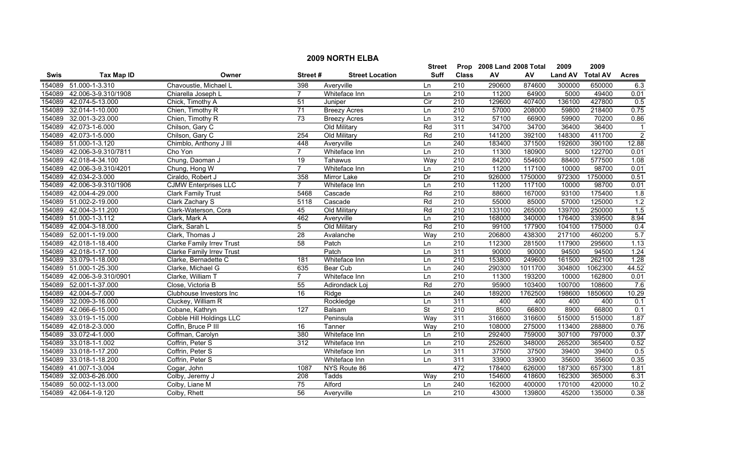|        | <b>2009 NORTH ELBA</b> |                                  |                  |                        |                          |                  |                           |         |                |                 |                  |  |
|--------|------------------------|----------------------------------|------------------|------------------------|--------------------------|------------------|---------------------------|---------|----------------|-----------------|------------------|--|
|        |                        |                                  |                  |                        | <b>Street</b>            |                  | Prop 2008 Land 2008 Total |         | 2009           | 2009            |                  |  |
| Swis   | <b>Tax Map ID</b>      | Owner                            | Street#          | <b>Street Location</b> | <b>Suff</b>              | <b>Class</b>     | ${\sf AV}$                | AV      | <b>Land AV</b> | <b>Total AV</b> | <b>Acres</b>     |  |
| 154089 | 51.000-1-3.310         | Chavoustie, Michael L            | 398              | Averyville             | Ln                       | 210              | 290600                    | 874600  | 300000         | 650000          | 6.3              |  |
| 154089 | 42.006-3-9.310/1908    | Chiarella Joseph L               | $\overline{7}$   | Whiteface Inn          | Ln                       | $\overline{210}$ | 11200                     | 64900   | 5000           | 49400           | 0.01             |  |
| 154089 | 42.074-5-13.000        | Chick, Timothy A                 | $\overline{51}$  | Juniper                | Cir                      | 210              | 129600                    | 407400  | 136100         | 427800          | 0.5              |  |
| 154089 | 32.014-1-10.000        | Chien, Timothy R                 | $\overline{71}$  | <b>Breezy Acres</b>    | Ln                       | 210              | 57000                     | 208000  | 59800          | 218400          | 0.75             |  |
| 154089 | 32.001-3-23.000        | Chien, Timothy R                 | 73               | <b>Breezy Acres</b>    | Ln                       | 312              | 57100                     | 66900   | 59900          | 70200           | 0.86             |  |
| 154089 | 42.073-1-6.000         | Chilson, Gary C                  |                  | Old Military           | Rd                       | 311              | 34700                     | 34700   | 36400          | 36400           | $\mathbf 1$      |  |
| 154089 | 42.073-1-5.000         | Chilson, Gary C                  | 254              | Old Military           | Rd                       | 210              | 141200                    | 392100  | 148300         | 411700          | $\overline{2}$   |  |
| 154089 | 51.000-1-3.120         | Chimblo, Anthony J III           | 448              | Averyville             | Ln                       | 240              | 183400                    | 371500  | 192600         | 390100          | 12.88            |  |
| 154089 | 42.006-3-9.310/7811    | Cho Yon                          | $\overline{7}$   | Whiteface Inn          | Ln                       | 210              | 11300                     | 180900  | 5000           | 122700          | 0.01             |  |
| 154089 | 42.018-4-34.100        | Chung, Daoman J                  | $\overline{19}$  | Tahawus                | Way                      | $\overline{210}$ | 84200                     | 554600  | 88400          | 577500          | 1.08             |  |
| 154089 | 42.006-3-9.310/4201    | Chung, Hong W                    | $\overline{7}$   | Whiteface Inn          | Ln                       | 210              | 11200                     | 117100  | 10000          | 98700           | 0.01             |  |
| 154089 | 42.034-2-3.000         | Ciraldo, Robert J                | 358              | Mirror Lake            | Dr                       | 210              | 926000                    | 1750000 | 972300         | 1750000         | 0.51             |  |
| 154089 | 42.006-3-9.310/1906    | <b>CJMW Enterprises LLC</b>      | $\overline{7}$   | Whiteface Inn          | Ln                       | $\overline{210}$ | 11200                     | 117100  | 10000          | 98700           | 0.01             |  |
| 154089 | 42.004-4-29.000        | <b>Clark Family Trust</b>        | 5468             | Cascade                | Rd                       | $\overline{210}$ | 88600                     | 167000  | 93100          | 175400          | $\overline{1.8}$ |  |
| 154089 | 51.002-2-19.000        | Clark Zachary S                  | 5118             | Cascade                | Rd                       | $\overline{210}$ | 55000                     | 85000   | 57000          | 125000          | 1.2              |  |
| 154089 | 42.004-3-11.200        | Clark-Waterson, Cora             | 45               | Old Military           | Rd                       | $\overline{210}$ | 133100                    | 265000  | 139700         | 250000          | 1.5              |  |
| 154089 | 51.000-1-3.112         | Clark, Mark A                    | 462              | Averyville             | Ln                       | 210              | 168000                    | 340000  | 176400         | 339500          | 8.94             |  |
| 154089 | 42.004-3-18.000        | Clark, Sarah L                   | 5                | Old Military           | Rd                       | 210              | 99100                     | 177900  | 104100         | 175000          | 0.4              |  |
| 154089 | 52.001-1-19.000        | Clark, Thomas J                  | 28               | Avalanche              | Way                      | 210              | 206800                    | 438300  | 217100         | 460200          | 5.7              |  |
| 154089 | 42.018-1-18.400        | <b>Clarke Family Irrev Trust</b> | 58               | Patch                  | Ln                       | 210              | 112300                    | 281500  | 117900         | 295600          | 1.13             |  |
| 154089 | 42.018-1-17.100        | <b>Clarke Family Irrev Trust</b> |                  | Patch                  | Ln                       | $\overline{311}$ | 90000                     | 90000   | 94500          | 94500           | 1.24             |  |
| 154089 | 33.079-1-18.000        | Clarke, Bernadette C             | 181              | Whiteface Inn          | Ln                       | $\overline{210}$ | 153800                    | 249600  | 161500         | 262100          | 1.28             |  |
| 154089 | 51.000-1-25.300        | Clarke, Michael G                | 635              | <b>Bear Cub</b>        | Ln                       | $\overline{240}$ | 290300                    | 1011700 | 304800         | 1062300         | 44.52            |  |
| 154089 | 42.006-3-9.310/0901    | Clarke, William T                | $\overline{7}$   | Whiteface Inn          | Ln                       | $\overline{210}$ | 11300                     | 193200  | 10000          | 162800          | 0.01             |  |
| 154089 | 52.001-1-37.000        | Close, Victoria B                | 55               | Adirondack Loj         | Rd                       | 270              | 95900                     | 103400  | 100700         | 108600          | 7.6              |  |
| 154089 | 42.004-5-7.000         | Clubhouse Investors Inc          | 16               | Ridge                  | Ln                       | 240              | 189200                    | 1762500 | 198600         | 1850600         | 10.29            |  |
| 154089 | 32.009-3-16.000        | Cluckey, William R               |                  | Rockledge              | Ln                       | 311              | 400                       | 400     | 400            | 400             | 0.1              |  |
| 154089 | 42.066-6-15.000        | Cobane, Kathryn                  | $\overline{127}$ | Balsam                 | $\overline{\mathsf{St}}$ | $\overline{210}$ | 8500                      | 66800   | 8900           | 66800           | 0.1              |  |
| 154089 | 33.019-1-15.000        | Cobble Hill Holdings LLC         |                  | Peninsula              | Way                      | 311              | 316600                    | 316600  | 515000         | 515000          | 1.87             |  |
| 154089 | 42.018-2-3.000         | Coffin, Bruce P III              | 16               | Tanner                 | Way                      | 210              | 108000                    | 275000  | 113400         | 288800          | 0.76             |  |
| 154089 | 33.072-4-1.000         | Coffman, Carolyn                 | 380              | Whiteface Inn          | Ln                       | 210              | 292400                    | 759000  | 307100         | 797000          | 0.37             |  |
| 154089 | 33.018-1-1.002         | Coffrin, Peter S                 | 312              | Whiteface Inn          | Ln                       | 210              | 252600                    | 348000  | 265200         | 365400          | 0.52             |  |
| 154089 | 33.018-1-17.200        | Coffrin, Peter S                 |                  | Whiteface Inn          | Ln                       | 311              | 37500                     | 37500   | 39400          | 39400           | 0.5              |  |
| 154089 | 33.018-1-18.200        | Coffrin, Peter S                 |                  | Whiteface Inn          | Ln                       | 311              | 33900                     | 33900   | 35600          | 35600           | 0.35             |  |
| 154089 | 41.007-1-3.004         | Cogar, John                      | 1087             | NYS Route 86           |                          | 472              | 178400                    | 626000  | 187300         | 657300          | 1.81             |  |
| 154089 | 32.003-6-26.000        | Colby, Jeremy J                  | 208              | Tadds                  | Way                      | 210              | 154600                    | 418600  | 162300         | 365000          | 6.31             |  |
| 154089 | 50.002-1-13.000        | Colby, Liane M                   | $\overline{75}$  | Alford                 | Ln                       | 240              | 162000                    | 400000  | 170100         | 420000          | 10.2             |  |
|        | 154089 42.064-1-9.120  | Colby, Rhett                     | 56               | Averyville             | Ln                       | 210              | 43000                     | 139800  | 45200          | 135000          | 0.38             |  |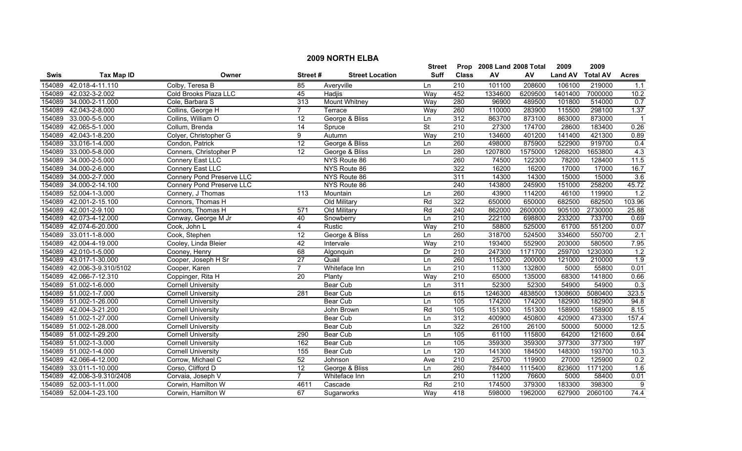|        | <b>2009 NORTH ELBA</b> |                                  |                  |                        |                          |                  |                      |         |                |                 |                  |  |
|--------|------------------------|----------------------------------|------------------|------------------------|--------------------------|------------------|----------------------|---------|----------------|-----------------|------------------|--|
|        |                        |                                  |                  |                        | Street                   | Prop             | 2008 Land 2008 Total |         | 2009           | 2009            |                  |  |
| Swis   | <b>Tax Map ID</b>      | Owner                            | Street#          | <b>Street Location</b> | <b>Suff</b>              | <b>Class</b>     | ${\sf AV}$           | AV      | <b>Land AV</b> | <b>Total AV</b> | <b>Acres</b>     |  |
| 154089 | 42.018-4-11.110        | Colby, Teresa B                  | 85               | Averyville             | Ln                       | $\overline{210}$ | 101100               | 208600  | 106100         | 219000          | 1.1              |  |
| 154089 | 42.032-3-2.002         | Cold Brooks Plaza LLC            | 45               | Hadjis                 | Way                      | 452              | 1334600              | 6209500 | 1401400        | 7000000         | 10.2             |  |
| 154089 | 34.000-2-11.000        | Cole, Barbara S                  | 313              | <b>Mount Whitney</b>   | Way                      | 280              | 96900                | 489500  | 101800         | 514000          | 0.7              |  |
| 154089 | 42.043-2-8.000         | Collins, George H                | 7                | Terrace                | Way                      | 260              | 110000               | 283900  | 115500         | 298100          | 1.37             |  |
| 154089 | 33.000-5-5.000         | Collins, William O               | 12               | George & Bliss         | Ln                       | 312              | 863700               | 873100  | 863000         | 873000          |                  |  |
| 154089 | 42.065-5-1.000         | Collum, Brenda                   | 14               | Spruce                 | $\overline{\mathsf{St}}$ | 210              | 27300                | 174700  | 28600          | 183400          | 0.26             |  |
| 154089 | 42.043-1-8.200         | Colyer, Christopher G            | 9                | Autumn                 | Way                      | 210              | 134600               | 401200  | 141400         | 421300          | 0.89             |  |
| 154089 | 33.016-1-4.000         | Condon, Patrick                  | 12               | George & Bliss         | Ln                       | 260              | 498000               | 875900  | 522900         | 919700          | 0.4              |  |
| 154089 | 33.000-5-8.000         | Conners, Christopher P           | $\overline{12}$  | George & Bliss         | Ln                       | 280              | 1207800              | 1575000 | 1268200        | 1653800         | 4.3              |  |
| 154089 | 34.000-2-5.000         | Connery East LLC                 |                  | NYS Route 86           |                          | 260              | 74500                | 122300  | 78200          | 128400          | 11.5             |  |
| 154089 | 34.000-2-6.000         | Connery East LLC                 |                  | NYS Route 86           |                          | 322              | 16200                | 16200   | 17000          | 17000           | 16.7             |  |
| 154089 | 34.000-2-7.000         | <b>Connery Pond Preserve LLC</b> |                  | NYS Route 86           |                          | 311              | 14300                | 14300   | 15000          | 15000           | 3.6              |  |
| 154089 | 34.000-2-14.100        | <b>Connery Pond Preserve LLC</b> |                  | NYS Route 86           |                          | $\overline{240}$ | 143800               | 245900  | 151000         | 258200          | 45.72            |  |
| 154089 | 52.004-1-3.000         | Connery, J Thomas                | $\overline{113}$ | Mountain               | Ln                       | 260              | 43900                | 114200  | 46100          | 119900          | 1.2              |  |
| 154089 | 42.001-2-15.100        | Connors, Thomas H                |                  | Old Military           | Rd                       | 322              | 650000               | 650000  | 682500         | 682500          | 103.96           |  |
| 154089 | 42.001-2-9.100         | Connors, Thomas H                | 571              | Old Military           | Rd                       | 240              | 862000               | 2600000 | 905100         | 2730000         | 25.88            |  |
| 154089 | 42.073-4-12.000        | Conway, George M Jr              | 40               | Snowberry              | Ln                       | 210              | 222100               | 698800  | 233200         | 733700          | 0.69             |  |
| 154089 | 42.074-6-20.000        | Cook, John L                     | $\overline{4}$   | <b>Rustic</b>          | Way                      | 210              | 58800                | 525000  | 61700          | 551200          | 0.07             |  |
| 154089 | 33.011-1-8.000         | Cook, Stephen                    | $\overline{12}$  | George & Bliss         | Ln                       | 260              | 318700               | 524500  | 334600         | 550700          | 2.1              |  |
| 154089 | 42.004-4-19.000        | Cooley, Linda Bleier             | 42               | Intervale              | Way                      | 210              | 193400               | 552900  | 203000         | 580500          | 7.95             |  |
| 154089 | 42.010-1-5.000         | Cooney, Henry                    | 68               | Algonquin              | Dr                       | 210              | 247300               | 1171700 | 259700         | 1230300         | $\overline{1.2}$ |  |
| 154089 | 43.017-1-30.000        | Cooper, Joseph H Sr              | 27               | Quail                  | Ln                       | 260              | 115200               | 200000  | 121000         | 210000          | 1.9              |  |
| 154089 | 42.006-3-9.310/5102    | Cooper, Karen                    | $\overline{7}$   | Whiteface Inn          | Ln                       | 210              | 11300                | 132800  | 5000           | 55800           | 0.01             |  |
| 154089 | 42.066-7-12.310        | Coppinger, Rita H                | 20               | Planty                 | Way                      | 210              | 65000                | 135000  | 68300          | 141800          | 0.66             |  |
| 154089 | 51.002-1-6.000         | <b>Cornell University</b>        |                  | Bear Cub               | Ln                       | 311              | 52300                | 52300   | 54900          | 54900           | 0.3              |  |
| 154089 | 51.002-1-7.000         | <b>Cornell University</b>        | 281              | Bear Cub               | Ln                       | 615              | 1246300              | 4838500 | 1308600        | 5080400         | 323.5            |  |
| 154089 | 51.002-1-26.000        | <b>Cornell University</b>        |                  | Bear Cub               | Ln                       | 105              | 174200               | 174200  | 182900         | 182900          | 94.8             |  |
| 154089 | 42.004-3-21.200        | <b>Cornell University</b>        |                  | John Brown             | Rd                       | $\frac{105}{2}$  | 151300               | 151300  | 158900         | 158900          | 8.15             |  |
| 154089 | 51.002-1-27.000        | <b>Cornell University</b>        |                  | <b>Bear Cub</b>        | Ln                       | 312              | 400900               | 450800  | 420900         | 473300          | 157.4            |  |
| 154089 | 51.002-1-28.000        | <b>Cornell University</b>        |                  | <b>Bear Cub</b>        | Ln                       | 322              | 26100                | 26100   | 50000          | 50000           | 12.5             |  |
| 154089 | 51.002-1-29.200        | <b>Cornell University</b>        | 290              | <b>Bear Cub</b>        | Ln                       | 105              | 61100                | 115800  | 64200          | 121600          | 0.64             |  |
| 154089 | 51.002-1-3.000         | <b>Cornell University</b>        | 162              | <b>Bear Cub</b>        | Ln                       | 105              | 359300               | 359300  | 377300         | 377300          | 197              |  |
| 154089 | 51.002-1-4.000         | Cornell University               | 155              | <b>Bear Cub</b>        | Ln                       | 120              | 141300               | 184500  | 148300         | 193700          | 10.3             |  |
| 154089 | 42.066-4-12.000        | Corrow, Michael C                | 52               | Johnson                | Ave                      | 210              | 25700                | 119900  | 27000          | 125900          | 0.2              |  |
| 154089 | 33.011-1-10.000        | Corso, Clifford D                | 12               | George & Bliss         | Ln                       | 260              | 784400               | 1115400 | 823600         | 1171200         | 1.6              |  |
| 154089 | 42.006-3-9.310/2408    | Corvaia, Joseph V                | $\overline{7}$   | Whiteface Inn          | Ln                       | $\overline{210}$ | 11200                | 76600   | 5000           | 58400           | 0.01             |  |
| 154089 | 52.003-1-11.000        | Corwin, Hamilton W               | 4611             | Cascade                | Rd                       | 210              | 174500               | 379300  | 183300         | 398300          | 9                |  |
| 154089 | 52.004-1-23.100        | Corwin. Hamilton W               | 67               | Sugarworks             | Way                      | 418              | 598000               | 1962000 | 627900         | 2060100         | 74.4             |  |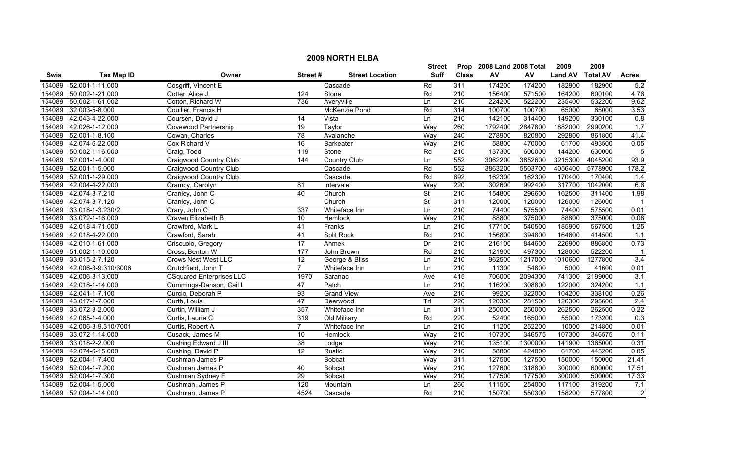|        | <b>2009 NORTH ELBA</b> |                                 |                 |                        |                          |                  |                           |         |                |                 |                |  |
|--------|------------------------|---------------------------------|-----------------|------------------------|--------------------------|------------------|---------------------------|---------|----------------|-----------------|----------------|--|
|        |                        |                                 |                 |                        | <b>Street</b>            |                  | Prop 2008 Land 2008 Total |         | 2009           | 2009            |                |  |
| Swis   | <b>Tax Map ID</b>      | Owner                           | Street#         | <b>Street Location</b> | <b>Suff</b>              | <b>Class</b>     | ${\sf AV}$                | AV      | <b>Land AV</b> | <b>Total AV</b> | <b>Acres</b>   |  |
| 154089 | 52.001-1-11.000        | Cosgriff, Vincent E             |                 | Cascade                | Rd                       | 311              | 174200                    | 174200  | 182900         | 182900          | 5.2            |  |
| 154089 | 50.002-1-21.000        | Cotter, Alice J                 | 124             | Stone                  | Rd                       | 210              | 156400                    | 571500  | 164200         | 600100          | 4.76           |  |
| 154089 | 50.002-1-61.002        | Cotton, Richard W               | 736             | Averyville             | Ln                       | $\overline{210}$ | 224200                    | 522200  | 235400         | 532200          | 9.62           |  |
| 154089 | 32.003-5-8.000         | Coullier, Francis H             |                 | McKenzie Pond          | Rd                       | 314              | 100700                    | 100700  | 65000          | 65000           | 3.53           |  |
| 154089 | 42.043-4-22.000        | Coursen, David J                | 14              | Vista                  | Ln                       | 210              | 142100                    | 314400  | 149200         | 330100          | 0.8            |  |
| 154089 | 42.026-1-12.000        | <b>Covewood Partnership</b>     | 19              | Taylor                 | Way                      | 260              | 1792400                   | 2847800 | 1882000        | 2990200         | 1.7            |  |
| 154089 | 52.001-1-8.100         | Cowan, Charles                  | 78              | Avalanche              | Way                      | 240              | 278900                    | 820800  | 292800         | 861800          | 41.4           |  |
| 154089 | 42.074-6-22.000        | Cox Richard V                   | 16              | <b>Barkeater</b>       | Way                      | 210              | 58800                     | 470000  | 61700          | 493500          | 0.05           |  |
| 154089 | 50.002-1-16.000        | Craig, Todd                     | 119             | Stone                  | Rd                       | 210              | 137300                    | 600000  | 144200         | 630000          | $\overline{5}$ |  |
| 154089 | 52.001-1-4.000         | Craigwood Country Club          | 144             | <b>Country Club</b>    | Ln                       | 552              | 3062200                   | 3852600 | 3215300        | 4045200         | 93.9           |  |
| 154089 | 52.001-1-5.000         | Craigwood Country Club          |                 | Cascade                | Rd                       | 552              | 3863200                   | 5503700 | 4056400        | 5778900         | 178.2          |  |
| 154089 | 52.001-1-29.000        | Craigwood Country Club          |                 | Cascade                | Rd                       | 692              | 162300                    | 162300  | 170400         | 170400          | 1.4            |  |
| 154089 | 42.004-4-22.000        | Cramoy, Carolyn                 | $\overline{81}$ | Intervale              | Way                      | 220              | 302600                    | 992400  | 317700         | 1042000         | 6.6            |  |
| 154089 | 42.074-3-7.210         | Cranley, John C                 | 40              | Church                 | St                       | $\overline{210}$ | 154800                    | 296600  | 162500         | 311400          | 1.98           |  |
| 154089 | 42.074-3-7.120         | Cranley, John C                 |                 | Church                 | $\overline{\mathsf{St}}$ | 311              | 120000                    | 120000  | 126000         | 126000          |                |  |
| 154089 | 33.018-1-3.230/2       | Crary, John C                   | 337             | Whiteface Inn          | Ln                       | $\overline{210}$ | 74400                     | 575500  | 74400          | 575500          | 0.01           |  |
| 154089 | 33.072-1-16.000        | Craven Elizabeth B              | 10              | Hemlock                | Way                      | 210              | 88800                     | 375000  | 88800          | 375000          | 0.08           |  |
| 154089 | 42.018-4-71.000        | Crawford, Mark L                | 41              | Franks                 | Ln                       | 210              | 177100                    | 540500  | 185900         | 567500          | 1.25           |  |
| 154089 | 42.018-4-22.000        | Crawford, Sarah                 | 41              | <b>Split Rock</b>      | Rd                       | 210              | 156800                    | 394800  | 164600         | 414500          | 1.1            |  |
| 154089 | 42.010-1-61.000        | Criscuolo, Gregory              | 17              | Ahmek                  | Dr                       | 210              | 216100                    | 844600  | 226900         | 886800          | 0.73           |  |
| 154089 | 51.002-1-10.000        | Cross, Benton W                 | 177             | John Brown             | Rd                       | 210              | 121900                    | 497300  | 128000         | 522200          |                |  |
| 154089 | 33.015-2-7.120         | <b>Crows Nest West LLC</b>      | $\overline{12}$ | George & Bliss         | Ln                       | 210              | 962500                    | 1217000 | 1010600        | 1277800         | 3.4            |  |
| 154089 | 42.006-3-9.310/3006    | Crutchfield, John T             | $\overline{7}$  | Whiteface Inn          | Ln                       | $\overline{210}$ | 11300                     | 54800   | 5000           | 41600           | 0.01           |  |
| 154089 | 42.006-3-13.000        | <b>CSquared Enterprises LLC</b> | 1970            | Saranac                | Ave                      | 415              | 706000                    | 2094300 | 741300         | 2199000         | 3.1            |  |
| 154089 | 42.018-1-14.000        | Cummings-Danson, Gail L         | 47              | Patch                  | Ln                       | 210              | 116200                    | 308800  | 122000         | 324200          | 1.1            |  |
| 154089 | 42.041-1-7.100         | Curcio, Deborah P               | $\overline{93}$ | <b>Grand View</b>      | Ave                      | $\overline{210}$ | 99200                     | 322000  | 104200         | 338100          | 0.26           |  |
| 154089 | 43.017-1-7.000         | Curth, Louis                    | 47              | Deerwood               | Trl                      | $\overline{220}$ | 120300                    | 281500  | 126300         | 295600          | 2.4            |  |
| 154089 | 33.072-3-2.000         | Curtin, William J               | 357             | Whiteface Inn          | Ln                       | 311              | 250000                    | 250000  | 262500         | 262500          | 0.22           |  |
| 154089 | 42.065-1-4.000         | Curtis, Laurie C                | 319             | Old Military           | Rd                       | 220              | 52400                     | 165000  | 55000          | 173200          | 0.3            |  |
| 154089 | 42.006-3-9.310/7001    | Curtis, Robert A                | $\overline{7}$  | Whiteface Inn          | Ln                       | 210              | 11200                     | 252200  | 10000          | 214800          | 0.01           |  |
| 154089 | 33.072-1-14.000        | Cusack, James M                 | 10              | Hemlock                | Way                      | 210              | 107300                    | 346575  | 107300         | 346575          | 0.11           |  |
| 154089 | 33.018-2-2.000         | Cushing Edward J III            | 38              | Lodge                  | Way                      | 210              | 135100                    | 1300000 | 141900         | 1365000         | 0.31           |  |
| 154089 | 42.074-6-15.000        | Cushing, David P                | 12              | Rustic                 | Way                      | 210              | 58800                     | 424000  | 61700          | 445200          | 0.05           |  |
| 154089 | 52.004-1-7.400         | Cushman James P                 |                 | <b>Bobcat</b>          | Way                      | 311              | 127500                    | 127500  | 150000         | 150000          | 21.41          |  |
| 154089 | 52.004-1-7.200         | Cushman James P                 | 40              | <b>Bobcat</b>          | Way                      | $\overline{210}$ | 127600                    | 318800  | 300000         | 600000          | 17.51          |  |
| 154089 | 52.004-1-7.300         | Cushman Sydney F                | $\overline{29}$ | <b>Bobcat</b>          | Way                      | 210              | 177500                    | 177500  | 300000         | 500000          | 17.33          |  |
| 154089 | 52.004-1-5.000         | Cushman, James P                | 120             | Mountain               | Ln                       | 260              | 111500                    | 254000  | 117100         | 319200          | 7.1            |  |
|        | 154089 52.004-1-14.000 | Cushman, James P                | 4524            | Cascade                | Rd                       | 210              | 150700                    | 550300  | 158200         | 577800          | $\overline{2}$ |  |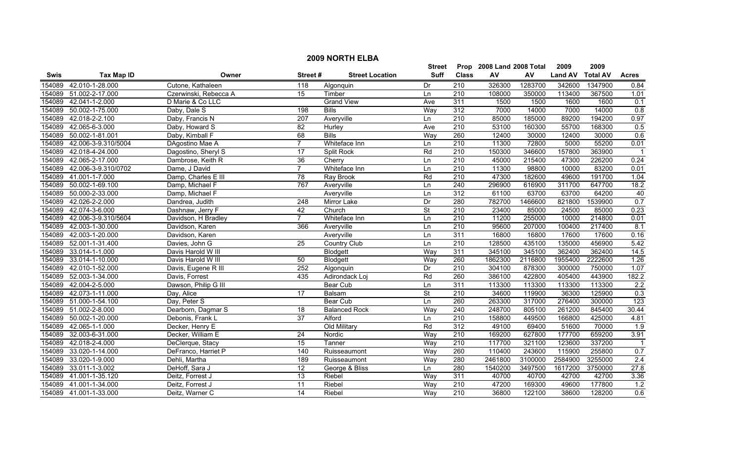|        | <b>2009 NORTH ELBA</b> |                       |                  |                        |                          |                  |                           |            |                |                 |                  |  |
|--------|------------------------|-----------------------|------------------|------------------------|--------------------------|------------------|---------------------------|------------|----------------|-----------------|------------------|--|
|        |                        |                       |                  |                        | <b>Street</b>            |                  | Prop 2008 Land 2008 Total |            | 2009           | 2009            |                  |  |
| Swis   | <b>Tax Map ID</b>      | Owner                 | Street#          | <b>Street Location</b> | <b>Suff</b>              | <b>Class</b>     | AV                        | ${\sf AV}$ | <b>Land AV</b> | <b>Total AV</b> | <b>Acres</b>     |  |
| 154089 | 42.010-1-28.000        | Cutone, Kathaleen     | 118              | Algonquin              | Dr                       | 210              | 326300                    | 1283700    | 342600         | 1347900         | 0.84             |  |
| 154089 | 51.002-2-17.000        | Czerwinski, Rebecca A | $\overline{15}$  | Timber                 | Ln                       | $\overline{210}$ | 108000                    | 350000     | 113400         | 367500          | 1.01             |  |
| 154089 | 42.041-1-2.000         | D Marie & Co LLC      |                  | <b>Grand View</b>      | Ave                      | 311              | 1500                      | 1500       | 1600           | 1600            | 0.1              |  |
| 154089 | 50.002-1-75.000        | Daby, Dale S          | 198              | <b>Bills</b>           | Way                      | 312              | 7000                      | 14000      | 7000           | 14000           | 0.8              |  |
| 154089 | 42.018-2-2.100         | Daby, Francis N       | 207              | Averyville             | Ln                       | 210              | 85000                     | 185000     | 89200          | 194200          | 0.97             |  |
| 154089 | 42.065-6-3.000         | Daby, Howard S        | 82               | Hurley                 | Ave                      | 210              | 53100                     | 160300     | 55700          | 168300          | 0.5              |  |
| 154089 | 50.002-1-81.001        | Daby, Kimball F       | 68               | <b>Bills</b>           | Way                      | 260              | 12400                     | 30000      | 12400          | 30000           | 0.6              |  |
| 154089 | 42.006-3-9.310/5004    | DAgostino Mae A       | $\overline{7}$   | Whiteface Inn          | Ln                       | 210              | 11300                     | 72800      | 5000           | 55200           | 0.01             |  |
| 154089 | 42.018-4-24.000        | Dagostino, Sheryl S   | 17               | Split Rock             | Rd                       | 210              | 150300                    | 346600     | 157800         | 363900          | $\overline{1}$   |  |
| 154089 | 42.065-2-17.000        | Dambrose, Keith R     | $\overline{36}$  | Cherry                 | Ln                       | 210              | 45000                     | 215400     | 47300          | 226200          | 0.24             |  |
| 154089 | 42.006-3-9.310/0702    | Dame, J David         | $\overline{7}$   | Whiteface Inn          | Ln                       | 210              | 11300                     | 98800      | 10000          | 83200           | 0.01             |  |
| 154089 | 41.001-1-7.000         | Damp, Charles E III   | 78               | Ray Brook              | Rd                       | 210              | 47300                     | 182600     | 49600          | 191700          | 1.04             |  |
| 154089 | 50.002-1-69.100        | Damp, Michael F       | 767              | Averyville             | Ln                       | 240              | 296900                    | 616900     | 311700         | 647700          | 18.2             |  |
| 154089 | 50.000-2-33.000        | Damp, Michael F       |                  | Averyville             | Ln                       | 312              | 61100                     | 63700      | 63700          | 64200           | 40               |  |
| 154089 | 42.026-2-2.000         | Dandrea, Judith       | $\overline{248}$ | Mirror Lake            | Dr                       | 280              | 782700                    | 1466600    | 821800         | 1539900         | 0.7              |  |
| 154089 | 42.074-3-6.000         | Dashnaw, Jerry F      | 42               | Church                 | $\overline{\mathsf{St}}$ | 210              | 23400                     | 85000      | 24500          | 85000           | 0.23             |  |
| 154089 | 42.006-3-9.310/5604    | Davidson, H Bradley   | $\overline{7}$   | Whiteface Inn          | Ln                       | 210              | 11200                     | 255000     | 10000          | 214800          | 0.01             |  |
| 154089 | 42.003-1-30.000        | Davidson, Karen       | 366              | Averyville             | Ln                       | $\overline{210}$ | 95600                     | 207000     | 100400         | 217400          | 8.1              |  |
| 154089 | 42.003-1-20.000        | Davidson, Karen       |                  | Averyville             | Ln                       | 311              | 16800                     | 16800      | 17600          | 17600           | 0.16             |  |
| 154089 | 52.001-1-31.400        | Davies, John G        | 25               | <b>Country Club</b>    | Ln                       | 210              | 128500                    | 435100     | 135000         | 456900          | 5.42             |  |
| 154089 | 33.014-1-1.000         | Davis Harold W III    |                  | Blodgett               | Way                      | 311              | 345100                    | 345100     | 362400         | 362400          | 14.5             |  |
| 154089 | 33.014-1-10.000        | Davis Harold W III    | 50               | Blodgett               | Way                      | 260              | 1862300                   | 2116800    | 1955400        | 2222600         | 1.26             |  |
| 154089 | 42.010-1-52.000        | Davis, Eugene R III   | 252              | Algonquin              | Dr                       | $\overline{210}$ | 304100                    | 878300     | 300000         | 750000          | 1.07             |  |
| 154089 | 52.003-1-34.000        | Davis, Forrest        | 435              | Adirondack Loj         | Rd                       | 260              | 386100                    | 422800     | 405400         | 443900          | 182.2            |  |
| 154089 | 42.004-2-5.000         | Dawson, Philip G III  |                  | Bear Cub               | Ln                       | 311              | 113300                    | 113300     | 113300         | 113300          | 2.2              |  |
| 154089 | 42.073-1-11.000        | Day, Alice            | $\overline{17}$  | Balsam                 | $\overline{\mathsf{St}}$ | 210              | 34600                     | 119900     | 36300          | 125900          | 0.3              |  |
| 154089 | 51.000-1-54.100        | Day, Peter S          |                  | <b>Bear Cub</b>        | Ln                       | 260              | 263300                    | 317000     | 276400         | 300000          | 123              |  |
| 154089 | 51.002-2-8.000         | Dearborn, Dagmar S    | $\overline{18}$  | <b>Balanced Rock</b>   | Way                      | $\overline{240}$ | 248700                    | 805100     | 261200         | 845400          | 30.44            |  |
| 154089 | 50.002-1-20.000        | Debonis, Frank L      | 37               | Alford                 | Ln                       | 210              | 158800                    | 449500     | 166800         | 425000          | 4.81             |  |
| 154089 | 42.065-1-1.000         | Decker, Henry E       |                  | Old Military           | Rd                       | 312              | 49100                     | 69400      | 51600          | 70000           | 1.9              |  |
| 154089 | 32.003-6-31.000        | Decker, William E     | $\overline{24}$  | Nordic                 | Way                      | 210              | 169200                    | 627800     | 177700         | 659200          | 3.91             |  |
| 154089 | 42.018-2-4.000         | DeClerque, Stacy      | 15               | Tanner                 | Way                      | 210              | 117700                    | 321100     | 123600         | 337200          |                  |  |
| 154089 | 33.020-1-14.000        | DeFranco, Harriet P   | 140              | Ruisseaumont           | Way                      | 260              | 110400                    | 243600     | 115900         | 255800          | 0.7              |  |
| 154089 | 33.020-1-9.000         | Dehli, Martha         | 189              | Ruisseaumont           | Way                      | 280              | 2461800                   | 3100000    | 2584900        | 3255000         | $\overline{2.4}$ |  |
| 154089 | 33.011-1-3.002         | DeHoff, Sara J        | $\overline{12}$  | George & Bliss         | Ln                       | 280              | 1540200                   | 3497500    | 1617200        | 3750000         | 27.8             |  |
| 154089 | 41.001-1-35.120        | Deitz, Forrest J      | 13               | Riebel                 | Way                      | 311              | 40700                     | 40700      | 42700          | 42700           | 3.36             |  |
| 154089 | 41.001-1-34.000        | Deitz, Forrest J      | 11               | Riebel                 | Way                      | 210              | 47200                     | 169300     | 49600          | 177800          | 1.2              |  |
|        | 154089 41.001-1-33.000 | Deitz. Warner C       | 14               | Riebel                 | Way                      | $\overline{210}$ | 36800                     | 122100     | 38600          | 128200          | 0.6              |  |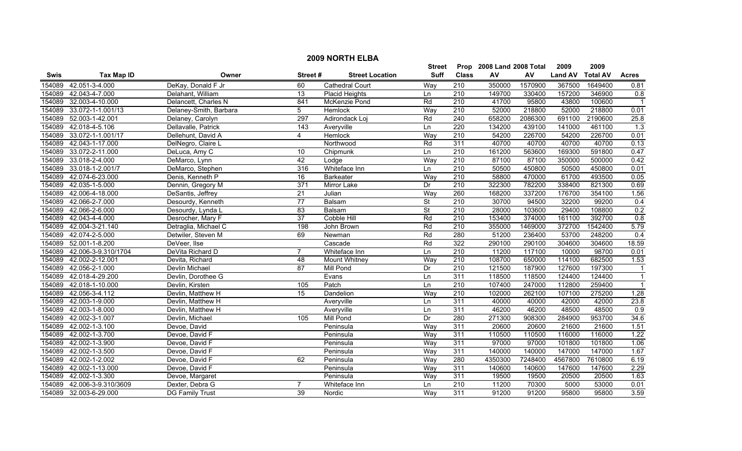|             |                     |                        |                  |                        | <b>Street</b>            |                  | Prop 2008 Land 2008 Total |         | 2009           | 2009            |                  |
|-------------|---------------------|------------------------|------------------|------------------------|--------------------------|------------------|---------------------------|---------|----------------|-----------------|------------------|
| <b>Swis</b> | <b>Tax Map ID</b>   | Owner                  | Street#          | <b>Street Location</b> | Suff                     | <b>Class</b>     | AV                        | AV      | <b>Land AV</b> | <b>Total AV</b> | <b>Acres</b>     |
| 154089      | 42.051-3-4.000      | DeKay, Donald F Jr     | 60               | <b>Cathedral Court</b> | Way                      | 210              | 350000                    | 1570900 | 367500         | 1649400         | 0.81             |
| 154089      | 42.043-4-7.000      | Delahant, William      | 13               | <b>Placid Heights</b>  | Ln                       | 210              | 149700                    | 330400  | 157200         | 346900          | 0.8              |
| 154089      | 32.003-4-10.000     | Delancett, Charles N   | 841              | McKenzie Pond          | Rd                       | $\overline{210}$ | 41700                     | 95800   | 43800          | 100600          |                  |
| 154089      | 33.072-1-1.001/13   | Delaney-Smith, Barbara | 5                | <b>Hemlock</b>         | Way                      | 210              | 52000                     | 218800  | 52000          | 218800          | 0.01             |
| 154089      | 52.003-1-42.001     | Delaney, Carolyn       | 297              | Adirondack Loj         | Rd                       | 240              | 658200                    | 2086300 | 691100         | 2190600         | 25.8             |
| 154089      | 42.018-4-5.106      | Dellavalle, Patrick    | 143              | Averyville             | Ln                       | 220              | 134200                    | 439100  | 141000         | 461100          | $\overline{1.3}$ |
| 154089      | 33.072-1-1.001/17   | Dellehunt, David A     | 4                | <b>Hemlock</b>         | Way                      | 210              | 54200                     | 226700  | 54200          | 226700          | 0.01             |
| 154089      | 42.043-1-17.000     | DelNegro, Claire L     |                  | Northwood              | Rd                       | 311              | 40700                     | 40700   | 40700          | 40700           | 0.13             |
| 154089      | 33.072-2-11.000     | DeLuca, Amy C          | 10               | Chipmunk               | Ln                       | $\overline{210}$ | 161200                    | 563600  | 169300         | 591800          | 0.47             |
| 154089      | 33.018-2-4.000      | DeMarco, Lynn          | 42               | Lodge                  | Way                      | $\overline{210}$ | 87100                     | 87100   | 350000         | 500000          | 0.42             |
| 154089      | 33.018-1-2.001/7    | DeMarco, Stephen       | 316              | Whiteface Inn          | Ln                       | 210              | 50500                     | 450800  | 50500          | 450800          | 0.01             |
| 154089      | 42.074-6-23.000     | Denis, Kenneth P       | $\overline{16}$  | <b>Barkeater</b>       | Way                      | $\overline{210}$ | 58800                     | 470000  | 61700          | 493500          | 0.05             |
| 154089      | 42.035-1-5.000      | Dennin, Gregory M      | $\overline{371}$ | Mirror Lake            | Dr                       | $\overline{210}$ | 322300                    | 782200  | 338400         | 821300          | 0.69             |
| 154089      | 42.006-4-18.000     | DeSantis, Jeffrey      | 21               | Julian                 | Way                      | 260              | 168200                    | 337200  | 176700         | 354100          | 1.56             |
| 154089      | 42.066-2-7.000      | Desourdy, Kenneth      | 77               | Balsam                 | <b>St</b>                | 210              | 30700                     | 94500   | 32200          | 99200           | 0.4              |
| 154089      | 42.066-2-6.000      | Desourdy, Lynda L      | $\overline{83}$  | Balsam                 | $\overline{\mathsf{St}}$ | 210              | 28000                     | 103600  | 29400          | 108800          | 0.2              |
| 154089      | 42.043-4-4.000      | Desrocher, Mary F      | $\overline{37}$  | <b>Cobble Hill</b>     | Rd                       | 210              | 153400                    | 374000  | 161100         | 392700          | 0.8              |
| 154089      | 42.004-3-21.140     | Detraglia, Michael C   | 198              | John Brown             | Rd                       | 210              | 355000                    | 1469000 | 372700         | 1542400         | 5.79             |
| 154089      | 42.074-2-5.000      | Detwiler, Steven M     | 69               | Newman                 | Rd                       | 280              | 51200                     | 236400  | 53700          | 248200          | 0.4              |
| 154089      | 52.001-1-8.200      | DeVeer, Ilse           |                  | Cascade                | Rd                       | 322              | 290100                    | 290100  | 304600         | 304600          | 18.59            |
| 154089      | 42.006-3-9.310/1704 | DeVita Richard D       | $\overline{7}$   | Whiteface Inn          | Ln                       | 210              | 11200                     | 117100  | 10000          | 98700           | 0.01             |
| 154089      | 42.002-2-12.001     | Devita, Richard        | 48               | Mount Whitney          | Way                      | 210              | 108700                    | 650000  | 114100         | 682500          | 1.53             |
| 154089      | 42.056-2-1.000      | Devlin Michael         | 87               | <b>Mill Pond</b>       | Dr                       | 210              | 121500                    | 187900  | 127600         | 197300          | $\mathbf 1$      |
| 154089      | 42.018-4-29.200     | Devlin, Dorothee G     |                  | Evans                  | Ln                       | 311              | 118500                    | 118500  | 124400         | 124400          |                  |
| 154089      | 42.018-1-10.000     | Devlin, Kirsten        | 105              | Patch                  | Ln                       | $\overline{210}$ | 107400                    | 247000  | 112800         | 259400          | $\overline{1}$   |
| 154089      | 42.056-3-4.112      | Devlin, Matthew H      | $\overline{15}$  | Dandelion              | Way                      | $\overline{210}$ | 102000                    | 262100  | 107100         | 275200          | 1.28             |
| 154089      | 42.003-1-9.000      | Devlin, Matthew H      |                  | Averyville             | Ln                       | 311              | 40000                     | 40000   | 42000          | 42000           | 23.8             |
| 154089      | 42.003-1-8.000      | Devlin, Matthew H      |                  | Averyville             | Ln                       | 311              | 46200                     | 46200   | 48500          | 48500           | 0.9              |
| 154089      | 42.002-3-1.007      | Devlin, Michael        | 105              | <b>Mill Pond</b>       | Dr                       | 280              | 271300                    | 908300  | 284900         | 953700          | 34.6             |
| 154089      | 42.002-1-3.100      | Devoe, David           |                  | Peninsula              | Way                      | 311              | 20600                     | 20600   | 21600          | 21600           | 1.51             |
| 154089      | 42.002-1-3.700      | Devoe, David F         |                  | Peninsula              | Way                      | 311              | 110500                    | 110500  | 116000         | 116000          | 1.22             |
| 154089      | 42.002-1-3.900      | Devoe, David F         |                  | Peninsula              | Way                      | 311              | 97000                     | 97000   | 101800         | 101800          | 1.06             |
| 154089      | 42.002-1-3.500      | Devoe, David F         |                  | Peninsula              | Way                      | 311              | 140000                    | 140000  | 147000         | 147000          | 1.67             |
| 154089      | 42.002-1-2.002      | Devoe, David F         | 62               | Peninsula              | Way                      | 280              | 4350300                   | 7248400 | 4567800        | 7610800         | 6.19             |
| 154089      | 42.002-1-13.000     | Devoe, David F         |                  | Peninsula              | Way                      | 311              | 140600                    | 140600  | 147600         | 147600          | 2.29             |
| 154089      | 42.002-1-3.300      | Devoe, Margaret        |                  | Peninsula              | Way                      | 311              | 19500                     | 19500   | 20500          | 20500           | 1.63             |
| 154089      | 42.006-3-9.310/3609 | Dexter, Debra G        |                  | Whiteface Inn          | Ln                       | $\overline{210}$ | 11200                     | 70300   | 5000           | 53000           | 0.01             |
| 154089      | 32.003-6-29.000     | DG Family Trust        | 39               | Nordic                 | Way                      | 311              | 91200                     | 91200   | 95800          | 95800           | 3.59             |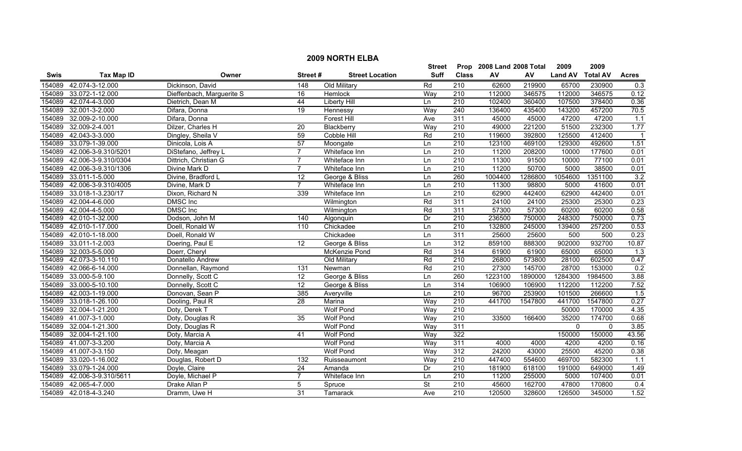|        |                     |                           |                  |                        | <b>Street</b>            |                  | Prop 2008 Land 2008 Total |         | 2009           | 2009            |                  |
|--------|---------------------|---------------------------|------------------|------------------------|--------------------------|------------------|---------------------------|---------|----------------|-----------------|------------------|
| Swis   | <b>Tax Map ID</b>   | Owner                     | Street#          | <b>Street Location</b> | Suff                     | <b>Class</b>     | AV                        | AV      | <b>Land AV</b> | <b>Total AV</b> | <b>Acres</b>     |
| 154089 | 42.074-3-12.000     | Dickinson, David          | 148              | Old Military           | Rd                       | 210              | 62600                     | 219900  | 65700          | 230900          | 0.3              |
| 154089 | 33.072-1-12.000     | Dieffenbach, Marguerite S | 16               | Hemlock                | Way                      | 210              | 112000                    | 346575  | 112000         | 346575          | 0.12             |
| 154089 | 42.074-4-3.000      | Dietrich, Dean M          | 44               | <b>Liberty Hill</b>    | Ln                       | $\overline{210}$ | 102400                    | 360400  | 107500         | 378400          | 0.36             |
| 154089 | 32.001-3-2.000      | Difara, Donna             | $\overline{19}$  | Hennessy               | Way                      | 240              | 136400                    | 435400  | 143200         | 457200          | 70.5             |
| 154089 | 32.009-2-10.000     | Difara, Donna             |                  | <b>Forest Hill</b>     | Ave                      | 311              | 45000                     | 45000   | 47200          | 47200           | 1.1              |
| 154089 | 32.009-2-4.001      | Dilzer, Charles H         | 20               | Blackberry             | Way                      | 210              | 49000                     | 221200  | 51500          | 232300          | 1.77             |
| 154089 | 42.043-3-3.000      | Dingley, Sheila V         | 59               | <b>Cobble Hill</b>     | Rd                       | 210              | 119600                    | 392800  | 125500         | 412400          |                  |
| 154089 | 33.079-1-39.000     | Dinicola, Lois A          | 57               | Moongate               | Ln                       | 210              | 123100                    | 469100  | 129300         | 492600          | 1.51             |
| 154089 | 42.006-3-9.310/5201 | DiStefano, Jeffrey L      | $\overline{7}$   | Whiteface Inn          | Ln                       | 210              | 11200                     | 208200  | 10000          | 177600          | 0.01             |
| 154089 | 42.006-3-9.310/0304 | Dittrich, Christian G     | $\overline{7}$   | Whiteface Inn          | Ln                       | $\overline{210}$ | 11300                     | 91500   | 10000          | 77100           | 0.01             |
| 154089 | 42.006-3-9.310/1306 | Divine Mark D             | 7                | Whiteface Inn          | Ln                       | 210              | 11200                     | 50700   | 5000           | 38500           | 0.01             |
| 154089 | 33.011-1-5.000      | Divine, Bradford L        | $\overline{12}$  | George & Bliss         | Ln                       | 260              | 1004400                   | 1286800 | 1054600        | 1351100         | 3.2              |
| 154089 | 42.006-3-9.310/4005 | Divine, Mark D            | $\overline{7}$   | Whiteface Inn          | Ln                       | $\overline{210}$ | 11300                     | 98800   | 5000           | 41600           | 0.01             |
| 154089 | 33.018-1-3.230/17   | Dixon, Richard N          | 339              | Whiteface Inn          | Ln                       | $\overline{210}$ | 62900                     | 442400  | 62900          | 442400          | 0.01             |
| 154089 | 42.004-4-6.000      | <b>DMSC</b> Inc           |                  | Wilmington             | Rd                       | 311              | 24100                     | 24100   | 25300          | 25300           | 0.23             |
| 154089 | 42.004-4-5.000      | <b>DMSC</b> Inc           |                  | Wilmington             | Rd                       | 311              | 57300                     | 57300   | 60200          | 60200           | 0.58             |
| 154089 | 42.010-1-32.000     | Dodson, John M            | 140              | Algonquin              | Dr                       | 210              | 236500                    | 750000  | 248300         | 750000          | 0.73             |
| 154089 | 42.010-1-17.000     | Doell, Ronald W           | $\overline{110}$ | Chickadee              | Ln                       | 210              | 132800                    | 245000  | 139400         | 257200          | 0.53             |
| 154089 | 42.010-1-18.000     | Doell, Ronald W           |                  | Chickadee              | Ln                       | 311              | 25600                     | 25600   | 500            | 500             | 0.23             |
| 154089 | 33.011-1-2.003      | Doering, Paul E           | 12               | George & Bliss         | Ln                       | 312              | 859100                    | 888300  | 902000         | 932700          | 10.87            |
| 154089 | 32.003-5-5.000      | Doerr, Cheryl             |                  | McKenzie Pond          | Rd                       | 314              | 61900                     | 61900   | 65000          | 65000           | $\overline{1.3}$ |
| 154089 | 42.073-3-10.110     | Donatello Andrew          |                  | Old Military           | Rd                       | 210              | 26800                     | 573800  | 28100          | 602500          | 0.47             |
| 154089 | 42.066-6-14.000     | Donnellan, Raymond        | $\overline{131}$ | Newman                 | Rd                       | 210              | 27300                     | 145700  | 28700          | 153000          | 0.2              |
| 154089 | 33.000-5-9.100      | Donnelly, Scott C         | $\overline{12}$  | George & Bliss         | Ln                       | 260              | 1223100                   | 1890000 | 1284300        | 1984500         | 3.88             |
| 154089 | 33.000-5-10.100     | Donnelly, Scott C         | 12               | George & Bliss         | Ln                       | 314              | 106900                    | 106900  | 112200         | 112200          | 7.52             |
| 154089 | 42.003-1-19.000     | Donovan, Sean P           | 385              | Averyville             | Ln                       | $\overline{210}$ | 96700                     | 253900  | 101500         | 266600          | 1.5              |
| 154089 | 33.018-1-26.100     | Dooling, Paul R           | 28               | Marina                 | Way                      | 210              | 441700                    | 1547800 | 441700         | 1547800         | 0.27             |
| 154089 | 32.004-1-21.200     | Doty, Derek T             |                  | <b>Wolf Pond</b>       | Way                      | $\overline{210}$ |                           |         | 50000          | 170000          | 4.35             |
| 154089 | 41.007-3-1.000      | Doty, Douglas R           | 35               | <b>Wolf Pond</b>       | Way                      | 210              | 33500                     | 166400  | 35200          | 174700          | 0.68             |
| 154089 | 32.004-1-21.300     | Doty, Douglas R           |                  | <b>Wolf Pond</b>       | Way                      | 311              |                           |         | 0              | $\mathbf{0}$    | 3.85             |
| 154089 | 32.004-1-21.100     | Doty, Marcia A            | 41               | <b>Wolf Pond</b>       | Way                      | 322              |                           |         | 150000         | 150000          | 43.56            |
| 154089 | 41.007-3-3.200      | Doty, Marcia A            |                  | <b>Wolf Pond</b>       | Way                      | 311              | 4000                      | 4000    | 4200           | 4200            | 0.16             |
| 154089 | 41.007-3-3.150      | Doty, Meagan              |                  | <b>Wolf Pond</b>       | Way                      | 312              | 24200                     | 43000   | 25500          | 45200           | 0.38             |
| 154089 | 33.020-1-16.002     | Douglas, Robert D         | 132              | Ruisseaumont           | Way                      | $\overline{210}$ | 447400                    | 554600  | 469700         | 582300          | $\overline{1.1}$ |
| 154089 | 33.079-1-24.000     | Doyle, Claire             | $\overline{24}$  | Amanda                 | Dr                       | 210              | 181900                    | 618100  | 191000         | 649000          | 1.49             |
| 154089 | 42.006-3-9.310/5611 | Doyle, Michael P          | 7                | Whiteface Inn          | Ln                       | 210              | 11200                     | 255000  | 5000           | 107400          | 0.01             |
| 154089 | 42.065-4-7.000      | Drake Allan P             | 5                | Spruce                 | $\overline{\mathsf{St}}$ | $\overline{210}$ | 45600                     | 162700  | 47800          | 170800          | 0.4              |
| 154089 | 42.018-4-3.240      | Dramm, Uwe H              | 31               | Tamarack               | Ave                      | $\overline{210}$ | 120500                    | 328600  | 126500         | 345000          | 1.52             |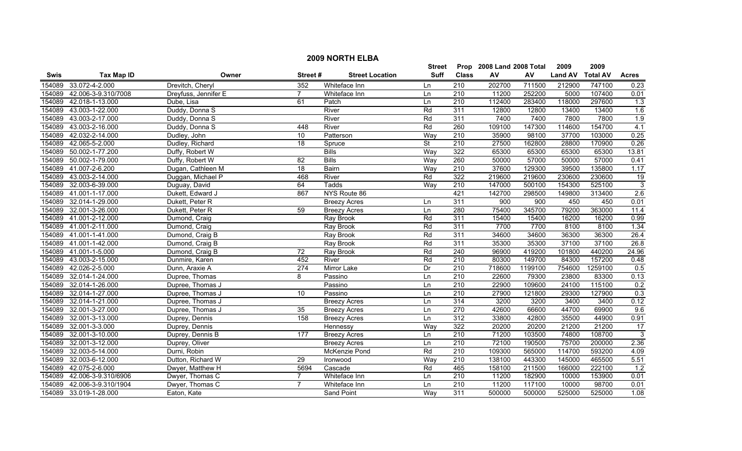|        | <b>2009 NORTH ELBA</b> |                      |                 |                        |               |                  |                           |                  |                |                 |                 |  |
|--------|------------------------|----------------------|-----------------|------------------------|---------------|------------------|---------------------------|------------------|----------------|-----------------|-----------------|--|
|        |                        |                      |                 |                        | <b>Street</b> |                  | Prop 2008 Land 2008 Total |                  | 2009           | 2009            |                 |  |
| Swis   | <b>Tax Map ID</b>      | Owner                | Street#         | <b>Street Location</b> | <b>Suff</b>   | <b>Class</b>     | AV                        | ${\sf AV}$       | <b>Land AV</b> | <b>Total AV</b> | <b>Acres</b>    |  |
| 154089 | 33.072-4-2.000         | Drevitch, Cheryl     | 352             | Whiteface Inn          | Ln            | 210              | 202700                    | 711500           | 212900         | 747100          | 0.23            |  |
| 154089 | 42.006-3-9.310/7008    | Dreyfuss, Jennifer E | $\overline{7}$  | Whiteface Inn          | Ln            | $\overline{210}$ | 11200                     | 252200           | 5000           | 107400          | 0.01            |  |
| 154089 | 42.018-1-13.000        | Dube, Lisa           | 61              | Patch                  | Ln            | 210              | 112400                    | 283400           | 118000         | 297600          | 1.3             |  |
| 154089 | 43.003-1-22.000        | Duddy, Donna S       |                 | River                  | Rd            | 311              | 12800                     | 12800            | 13400          | 13400           | 1.6             |  |
| 154089 | 43.003-2-17.000        | Duddy, Donna S       |                 | River                  | Rd            | 311              | 7400                      | 7400             | 7800           | 7800            | 1.9             |  |
| 154089 | 43.003-2-16.000        | Duddy, Donna S       | 448             | River                  | Rd            | 260              | 109100                    | 147300           | 114600         | 154700          | 4.1             |  |
| 154089 | 42.032-2-14.000        | Dudley, John         | 10              | Patterson              | Way           | 210              | 35900                     | 98100            | 37700          | 103000          | 0.25            |  |
| 154089 | 42.065-5-2.000         | Dudley, Richard      | 18              | Spruce                 | St            | 210              | 27500                     | 162800           | 28800          | 170900          | 0.26            |  |
| 154089 | 50.002-1-77.200        | Duffy, Robert W      |                 | <b>Bills</b>           | Way           | 322              | 65300                     | 65300            | 65300          | 65300           | 13.81           |  |
| 154089 | 50.002-1-79.000        | Duffy, Robert W      | 82              | <b>Bills</b>           | Way           | 260              | 50000                     | 57000            | 50000          | 57000           | 0.41            |  |
| 154089 | 41.007-2-6.200         | Dugan, Cathleen M    | 18              | Bairn                  | Way           | 210              | 37600                     | 129300           | 39500          | 135800          | 1.17            |  |
| 154089 | 43.003-2-14.000        | Duggan, Michael P    | 468             | River                  | Rd            | 322              | 219600                    | 219600           | 230600         | 230600          | $\overline{19}$ |  |
| 154089 | 32.003-6-39.000        | Duguay, David        | 64              | Tadds                  | Way           | 210              | 147000                    | 500100           | 154300         | 525100          | $\overline{3}$  |  |
| 154089 | 41.001-1-17.000        | Dukett, Edward J     | 867             | NYS Route 86           |               | 421              | 142700                    | 298500           | 149800         | 313400          | 2.6             |  |
| 154089 | 32.014-1-29.000        | Dukett, Peter R      |                 | <b>Breezy Acres</b>    | Ln            | 311              | 900                       | $\overline{900}$ | 450            | 450             | 0.01            |  |
| 154089 | 32.001-3-26.000        | Dukett, Peter R      | 59              | <b>Breezy Acres</b>    | Ln            | 280              | 75400                     | 345700           | 79200          | 363000          | 11.4            |  |
| 154089 | 41.001-2-12.000        | Dumond, Craig        |                 | Ray Brook              | Rd            | 311              | 15400                     | 15400            | 16200          | 16200           | 0.99            |  |
| 154089 | 41.001-2-11.000        | Dumond, Craig        |                 | Ray Brook              | Rd            | 311              | 7700                      | 7700             | 8100           | 8100            | 1.34            |  |
| 154089 | 41.001-1-41.000        | Dumond, Craig B      |                 | Ray Brook              | Rd            | 311              | 34600                     | 34600            | 36300          | 36300           | 26.4            |  |
| 154089 | 41.001-1-42.000        | Dumond, Craig B      |                 | Ray Brook              | Rd            | 311              | 35300                     | 35300            | 37100          | 37100           | 26.8            |  |
| 154089 | 41.001-1-5.000         | Dumond, Craig B      | $\overline{72}$ | Ray Brook              | Rd            | 240              | 96900                     | 419200           | 101800         | 440200          | 24.96           |  |
| 154089 | 43.003-2-15.000        | Dunmire, Karen       | 452             | River                  | Rd            | 210              | 80300                     | 149700           | 84300          | 157200          | 0.48            |  |
| 154089 | 42.026-2-5.000         | Dunn, Araxie A       | 274             | Mirror Lake            | Dr            | $\overline{210}$ | 718600                    | 1199100          | 754600         | 1259100         | 0.5             |  |
| 154089 | 32.014-1-24.000        | Dupree, Thomas       | 8               | Passino                | Ln            | 210              | 22600                     | 79300            | 23800          | 83300           | 0.13            |  |
| 154089 | 32.014-1-26.000        | Dupree, Thomas J     |                 | Passino                | Ln            | $\overline{210}$ | 22900                     | 109600           | 24100          | 115100          | 0.2             |  |
| 154089 | 32.014-1-27.000        | Dupree, Thomas J     | $\overline{10}$ | Passino                | Ln            | 210              | 27900                     | 121800           | 29300          | 127900          | 0.3             |  |
| 154089 | 32.014-1-21.000        | Dupree, Thomas J     |                 | <b>Breezy Acres</b>    | Ln            | 314              | 3200                      | 3200             | 3400           | 3400            | 0.12            |  |
| 154089 | 32.001-3-27.000        | Dupree, Thomas J     | 35              | <b>Breezy Acres</b>    | Ln            | 270              | 42600                     | 66600            | 44700          | 69900           | 9.6             |  |
| 154089 | 32.001-3-13.000        | Duprey, Dennis       | 158             | <b>Breezy Acres</b>    | Ln            | 312              | 33800                     | 42800            | 35500          | 44900           | 0.91            |  |
| 154089 | 32.001-3-3.000         | Duprey, Dennis       |                 | Hennessy               | Way           | 322              | 20200                     | 20200            | 21200          | 21200           | 17              |  |
| 154089 | 32.001-3-10.000        | Duprey, Dennis B     | 177             | <b>Breezy Acres</b>    | Ln            | 210              | 71200                     | 103500           | 74800          | 108700          | $\overline{3}$  |  |
| 154089 | 32.001-3-12.000        | Duprey, Oliver       |                 | <b>Breezy Acres</b>    | Ln            | 210              | 72100                     | 190500           | 75700          | 200000          | 2.36            |  |
| 154089 | 32.003-5-14.000        | Durni, Robin         |                 | McKenzie Pond          | Rd            | 210              | 109300                    | 565000           | 114700         | 593200          | 4.09            |  |
| 154089 | 32.003-6-12.000        | Dutton, Richard W    | 29              | Ironwood               | Way           | 210              | 138100                    | 443300           | 145000         | 465500          | 5.51            |  |
| 154089 | 42.075-2-6.000         | Dwyer, Matthew H     | 5694            | Cascade                | Rd            | 465              | 158100                    | 211500           | 166000         | 222100          | 1.2             |  |
| 154089 | 42.006-3-9.310/6906    | Dwyer, Thomas C      | 7               | Whiteface Inn          | Ln            | 210              | 11200                     | 182900           | 10000          | 153900          | 0.01            |  |
| 154089 | 42.006-3-9.310/1904    | Dwyer, Thomas C      | $\overline{7}$  | Whiteface Inn          | Ln            | 210              | 11200                     | 117100           | 10000          | 98700           | 0.01            |  |
|        | 154089 33.019-1-28.000 | Eaton, Kate          |                 | <b>Sand Point</b>      | Way           | 311              | 500000                    | 500000           | 525000         | 525000          | 1.08            |  |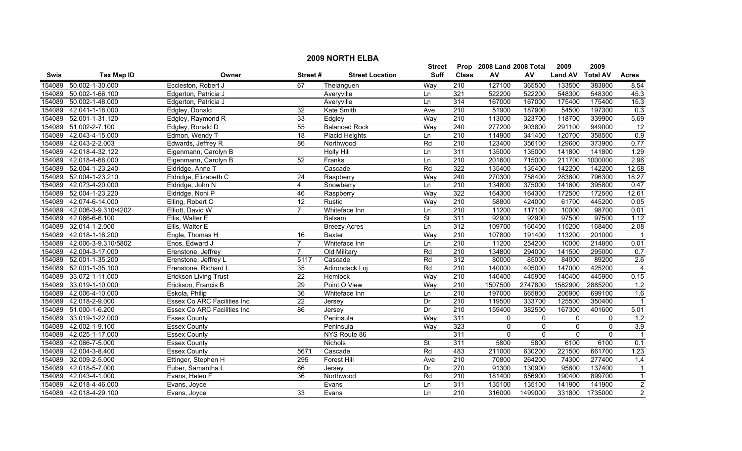|        | <b>2009 NORTH ELBA</b> |                                    |                 |                        |                          |                  |                           |                |                |                 |                         |  |
|--------|------------------------|------------------------------------|-----------------|------------------------|--------------------------|------------------|---------------------------|----------------|----------------|-----------------|-------------------------|--|
|        |                        |                                    |                 |                        | <b>Street</b>            |                  | Prop 2008 Land 2008 Total |                | 2009           | 2009            |                         |  |
| Swis   | <b>Tax Map ID</b>      | Owner                              | Street#         | <b>Street Location</b> | <b>Suff</b>              | <b>Class</b>     | ${\sf AV}$                | AV             | <b>Land AV</b> | <b>Total AV</b> | <b>Acres</b>            |  |
| 154089 | 50.002-1-30.000        | Eccleston, Robert J                | 67              | Theianguen             | Way                      | 210              | 127100                    | 365500         | 133500         | 383800          | 8.54                    |  |
| 154089 | 50.002-1-66.100        | Edgerton, Patricia J               |                 | Averyville             | Ln                       | 321              | 522200                    | 522200         | 548300         | 548300          | 45.3                    |  |
| 154089 | 50.002-1-48.000        | Edgerton, Patricia J               |                 | Averyville             | Ln                       | 314              | 167000                    | 167000         | 175400         | 175400          | 15.3                    |  |
| 154089 | 42.041-1-18.000        | Edgley, Donald                     | 32              | Kate Smith             | Ave                      | 210              | 51900                     | 187900         | 54500          | 197300          | 0.3                     |  |
| 154089 | 52.001-1-31.120        | Edgley, Raymond R                  | 33              | Edgley                 | Way                      | 210              | 113000                    | 323700         | 118700         | 339900          | 5.69                    |  |
| 154089 | 51.002-2-7.100         | Edgley, Ronald D                   | $\overline{55}$ | <b>Balanced Rock</b>   | Way                      | 240              | 277200                    | 903800         | 291100         | 949000          | 12                      |  |
| 154089 | 42.043-4-15.000        | Edmon, Wendy T                     | 18              | <b>Placid Heights</b>  | Ln                       | 210              | 114900                    | 341400         | 120700         | 358500          | 0.9                     |  |
| 154089 | 42.043-2-2.003         | Edwards, Jeffrey R                 | 86              | Northwood              | Rd                       | 210              | 123400                    | 356100         | 129600         | 373900          | 0.77                    |  |
| 154089 | 42.018-4-32.122        | Eigenmann, Carolyn B               |                 | <b>Holly Hill</b>      | Ln                       | 311              | 135000                    | 135000         | 141800         | 141800          | 1.29                    |  |
| 154089 | 42.018-4-68.000        | Eigenmann, Carolyn B               | 52              | Franks                 | Ln                       | 210              | 201600                    | 715000         | 211700         | 1000000         | 2.96                    |  |
| 154089 | 52.004-1-23.240        | Eldridge, Anne T                   |                 | Cascade                | Rd                       | 322              | 135400                    | 135400         | 142200         | 142200          | 12.58                   |  |
| 154089 | 52.004-1-23.210        | Eldridge, Elizabeth C              | 24              | Raspberry              | Way                      | $\overline{240}$ | 270300                    | 758400         | 283800         | 796300          | 18.27                   |  |
| 154089 | 42.073-4-20.000        | Eldridge, John N                   | 4               | Snowberry              | Ln                       | $\overline{210}$ | 134800                    | 375000         | 141600         | 395800          | 0.47                    |  |
| 154089 | 52.004-1-23.220        | Eldridge, Noni P                   | 46              | Raspberry              | Way                      | 322              | 164300                    | 164300         | 172500         | 172500          | 12.61                   |  |
| 154089 | 42.074-6-14.000        | Elling, Robert C                   | 12              | Rustic                 | Way                      | 210              | 58800                     | 424000         | 61700          | 445200          | 0.05                    |  |
| 154089 | 42.006-3-9.310/4202    | Elliott, David W                   | $\overline{7}$  | Whiteface Inn          | Ln                       | $\overline{210}$ | 11200                     | 117100         | 10000          | 98700           | 0.01                    |  |
| 154089 | 42.066-6-6.100         | Ellis, Walter E                    |                 | <b>Balsam</b>          | <b>St</b>                | 311              | 92900                     | 92900          | 97500          | 97500           | 1.12                    |  |
| 154089 | 32.014-1-2.000         | Ellis, Walter E                    |                 | <b>Breezy Acres</b>    | Ln                       | 312              | 109700                    | 160400         | 115200         | 168400          | 2.08                    |  |
| 154089 | 42.018-1-18.200        | Engle, Thomas H                    | 16              | <b>Baxter</b>          | Way                      | 210              | 107800                    | 191400         | 113200         | 201000          | -1                      |  |
| 154089 | 42.006-3-9.310/5802    | Enos, Edward J                     | $\overline{7}$  | Whiteface Inn          | Ln                       | 210              | 11200                     | 254200         | 10000          | 214800          | 0.01                    |  |
| 154089 | 42.004-3-17.000        | Erenstone, Jeffrey                 | $\overline{7}$  | Old Military           | Rd                       | 210              | 134800                    | 294000         | 141500         | 295000          | 0.7                     |  |
| 154089 | 52.001-1-35.200        | Erenstone, Jeffrey L               | 5117            | Cascade                | Rd                       | 312              | 80000                     | 85000          | 84000          | 89200           | 2.6                     |  |
| 154089 | 52.001-1-35.100        | Erenstone, Richard L               | $\overline{35}$ | Adirondack Loj         | Rd                       | 210              | 140000                    | 405000         | 147000         | 425200          | $\overline{4}$          |  |
| 154089 | 33.072-1-11.000        | <b>Erickson Living Trust</b>       | $\overline{22}$ | Hemlock                | Way                      | 210              | 140400                    | 445900         | 140400         | 445900          | 0.15                    |  |
| 154089 | 33.019-1-10.000        | Erickson, Francis B                | 29              | Point O View           | Way                      | $\overline{210}$ | 1507500                   | 2747800        | 1582900        | 2885200         | 1.2                     |  |
| 154089 | 42.006-4-10.000        | Eskola, Philip                     | 36              | Whiteface Inn          | Ln                       | 210              | 197000                    | 665800         | 206900         | 699100          | 1.6                     |  |
| 154089 | 42.018-2-9.000         | <b>Essex Co ARC Facilities Inc</b> | $\overline{22}$ | Jersey                 | Dr                       | 210              | 119500                    | 333700         | 125500         | 350400          | $\overline{1}$          |  |
| 154089 | 51.000-1-6.200         | Essex Co ARC Facilities Inc        | 86              | Jersey                 | Dr                       | $\overline{210}$ | 159400                    | 382500         | 167300         | 401600          | 5.01                    |  |
| 154089 | 33.019-1-22.000        | <b>Essex County</b>                |                 | Peninsula              | Way                      | 311              | $\mathbf{0}$              | 0              | 0              | $\mathbf 0$     | 1.2                     |  |
| 154089 | 42.002-1-9.100         | <b>Essex County</b>                |                 | Peninsula              | Way                      | 323              | $\mathbf{0}$              | $\overline{0}$ | $\mathbf 0$    | $\overline{0}$  | 3.9                     |  |
| 154089 | 42.025-1-17.000        | <b>Essex County</b>                |                 | NYS Route 86           |                          | 311              | $\mathbf 0$               | $\overline{0}$ | $\mathbf 0$    | $\overline{0}$  | $\overline{1}$          |  |
| 154089 | 42.066-7-5.000         | <b>Essex County</b>                |                 | <b>Nichols</b>         | $\overline{\mathsf{St}}$ | 311              | 5800                      | 5800           | 6100           | 6100            | 0.1                     |  |
| 154089 | 42.004-3-8.400         | <b>Essex County</b>                | 5671            | Cascade                | Rd                       | 483              | 211000                    | 630200         | 221500         | 661700          | 1.23                    |  |
| 154089 | 32.009-2-5.000         | Ettinger, Stephen H                | 295             | Forest Hill            | Ave                      | 210              | 70800                     | 264200         | 74300          | 277400          | 1.4                     |  |
| 154089 | 42.018-5-7.000         | Euber, Samantha L                  | 66              | Jersey                 | Dr                       | 270              | 91300                     | 130900         | 95800          | 137400          | $\overline{1}$          |  |
| 154089 | 42.043-4-1.000         | Evans, Helen F                     | $\overline{36}$ | Northwood              | Rd                       | 210              | 181400                    | 856900         | 190400         | 899700          | $\overline{\mathbf{1}}$ |  |
| 154089 | 42.018-4-46.000        | Evans, Joyce                       |                 | Evans                  | Ln                       | 311              | 135100                    | 135100         | 141900         | 141900          | $\overline{2}$          |  |
|        | 154089 42.018-4-29.100 | Evans, Joyce                       | 33              | Evans                  | Ln                       | $\overline{210}$ | 316000                    | 1499000        | 331800         | 1735000         | $\overline{2}$          |  |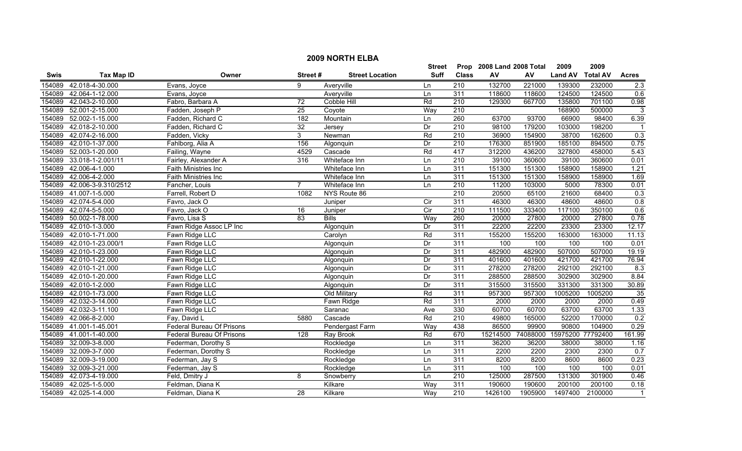|        | <b>2009 NORTH ELBA</b> |                           |                 |                        |                |                  |                           |                            |                |                 |                |  |
|--------|------------------------|---------------------------|-----------------|------------------------|----------------|------------------|---------------------------|----------------------------|----------------|-----------------|----------------|--|
|        |                        |                           |                 |                        | <b>Street</b>  |                  | Prop 2008 Land 2008 Total |                            | 2009           | 2009            |                |  |
| Swis   | <b>Tax Map ID</b>      | Owner                     | Street#         | <b>Street Location</b> | Suff           | <b>Class</b>     | ${\sf AV}$                | AV                         | <b>Land AV</b> | <b>Total AV</b> | <b>Acres</b>   |  |
| 154089 | 42.018-4-30.000        | Evans, Joyce              | 9               | Averyville             | Ln             | 210              | 132700                    | 221000                     | 139300         | 232000          | 2.3            |  |
| 154089 | 42.064-1-12.000        | Evans, Joyce              |                 | Averyville             | Ln             | 311              | 118600                    | 118600                     | 124500         | 124500          | 0.6            |  |
| 154089 | 42.043-2-10.000        | Fabro, Barbara A          | 72              | Cobble Hill            | Rd             | $\overline{210}$ | 129300                    | 667700                     | 135800         | 701100          | 0.98           |  |
| 154089 | 52.001-2-15.000        | Fadden, Joseph P          | $\overline{25}$ | Coyote                 | Way            | 210              |                           |                            | 168900         | 500000          | 3              |  |
| 154089 | 52.002-1-15.000        | Fadden, Richard C         | 182             | Mountain               | Ln             | 260              | 63700                     | 93700                      | 66900          | 98400           | 6.39           |  |
| 154089 | 42.018-2-10.000        | Fadden, Richard C         | 32              | Jersey                 | Dr             | 210              | 98100                     | 179200                     | 103000         | 198200          |                |  |
| 154089 | 42.074-2-16.000        | Fadden, Vicky             | 3               | Newman                 | Rd             | 210              | 36900                     | 154900                     | 38700          | 162600          | 0.3            |  |
| 154089 | 42.010-1-37.000        | Fahlborg, Alia A          | 156             | Algonquin              | Dr             | 210              | 176300                    | 851900                     | 185100         | 894500          | 0.75           |  |
| 154089 | 52.003-1-20.000        | Failing, Wayne            | 4529            | Cascade                | Rd             | 417              | 312200                    | 436200                     | 327800         | 458000          | 5.43           |  |
| 154089 | 33.018-1-2.001/11      | Fairley, Alexander A      | 316             | Whiteface Inn          | Ln             | $\overline{210}$ | 39100                     | 360600                     | 39100          | 360600          | 0.01           |  |
| 154089 | 42.006-4-1.000         | Faith Ministries Inc      |                 | Whiteface Inn          | Ln             | 311              | 151300                    | 151300                     | 158900         | 158900          | 1.21           |  |
| 154089 | 42.006-4-2.000         | Faith Ministries Inc      |                 | Whiteface Inn          | Ln             | 311              | 151300                    | 151300                     | 158900         | 158900          | 1.69           |  |
| 154089 | 42.006-3-9.310/2512    | Fancher, Louis            | $\overline{7}$  | Whiteface Inn          | Ln             | $\overline{210}$ | 11200                     | 103000                     | 5000           | 78300           | 0.01           |  |
| 154089 | 41.007-1-5.000         | Farrell, Robert D         | 1082            | NYS Route 86           |                | $\overline{210}$ | 20500                     | 65100                      | 21600          | 68400           | 0.3            |  |
| 154089 | 42.074-5-4.000         | Favro, Jack O             |                 | Juniper                | $\overline{C}$ | 311              | 46300                     | 46300                      | 48600          | 48600           | 0.8            |  |
| 154089 | 42.074-5-5.000         | Favro, Jack O             | 16              | Juniper                | Cir            | 210              | 111500                    | 333400                     | 117100         | 350100          | 0.6            |  |
| 154089 | 50.002-1-78.000        | Favro, Lisa S             | 83              | <b>Bills</b>           | Way            | 260              | 20000                     | 27800                      | 20000          | 27800           | 0.78           |  |
| 154089 | 42.010-1-3.000         | Fawn Ridge Assoc LP Inc   |                 | Algonquin              | Dr             | 311              | 22200                     | 22200                      | 23300          | 23300           | 12.17          |  |
| 154089 | 42.010-1-71.000        | Fawn Ridge LLC            |                 | Carolyn                | Rd             | 311              | 155200                    | 155200                     | 163000         | 163000          | 11.13          |  |
| 154089 | 42.010-1-23.000/1      | Fawn Ridge LLC            |                 | Algonquin              | Dr             | 311              | 100                       | 100                        | 100            | 100             | 0.01           |  |
| 154089 | 42.010-1-23.000        | Fawn Ridge LLC            |                 | Algonquin              | Dr             | 311              | 482900                    | 482900                     | 507000         | 507000          | 19.19          |  |
| 154089 | 42.010-1-22.000        | Fawn Ridge LLC            |                 | Algonquin              | Dr             | 311              | 401600                    | 401600                     | 421700         | 421700          | 76.94          |  |
| 154089 | 42.010-1-21.000        | Fawn Ridge LLC            |                 | Algonquin              | Dr             | 311              | 278200                    | 278200                     | 292100         | 292100          | 8.3            |  |
| 154089 | 42.010-1-20.000        | Fawn Ridge LLC            |                 | Algonquin              | Dr             | 311              | 288500                    | 288500                     | 302900         | 302900          | 8.84           |  |
| 154089 | 42.010-1-2.000         | Fawn Ridge LLC            |                 | Algonquin              | Dr             | 311              | 315500                    | 315500                     | 331300         | 331300          | 30.89          |  |
| 154089 | 42.010-1-73.000        | Fawn Ridge LLC            |                 | Old Military           | Rd             | 311              | 957300                    | 957300                     | 1005200        | 1005200         | 35             |  |
|        | 154089 42.032-3-14.000 | Fawn Ridge LLC            |                 | Fawn Ridge             | Rd             | 311              | 2000                      | 2000                       | 2000           | 2000            | 0.49           |  |
| 154089 | 42.032-3-11.100        | Fawn Ridge LLC            |                 | Saranac                | Ave            | 330              | 60700                     | 60700                      | 63700          | 63700           | 1.33           |  |
| 154089 | 42.066-8-2.000         | Fay, David L              | 5880            | Cascade                | Rd             | 210              | 49800                     | 165000                     | 52200          | 170000          | 0.2            |  |
| 154089 | 41.001-1-45.001        | Federal Bureau Of Prisons |                 | Pendergast Farm        | Way            | 438              | 86500                     | 99900                      | 90800          | 104900          | 0.29           |  |
| 154089 | 41.001-1-40.000        | Federal Bureau Of Prisons | 128             | Ray Brook              | Rd             | 670              | 15214500                  | 74088000 15975200 77792400 |                |                 | 161.99         |  |
| 154089 | 32.009-3-8.000         | Federman, Dorothy S       |                 | Rockledge              | Ln             | 311              | 36200                     | 36200                      | 38000          | 38000           | 1.16           |  |
| 154089 | 32.009-3-7.000         | Federman, Dorothy S       |                 | Rockledge              | Ln             | 311              | 2200                      | 2200                       | 2300           | 2300            | 0.7            |  |
| 154089 | 32.009-3-19.000        | Federman, Jay S           |                 | Rockledge              | Ln             | 311              | 8200                      | 8200                       | 8600           | 8600            | 0.23           |  |
| 154089 | 32.009-3-21.000        | Federman, Jay S           |                 | Rockledge              | Ln             | 311              | 100                       | 100                        | 100            | 100             | 0.01           |  |
| 154089 | 42.073-4-19.000        | Feld, Dmitry J            | 8               | Snowberry              | Ln             | 210              | 125000                    | 287500                     | 131300         | 301900          | 0.46           |  |
| 154089 | 42.025-1-5.000         | Feldman, Diana K          |                 | Kilkare                | Way            | 311              | 190600                    | 190600                     | 200100         | 200100          | 0.18           |  |
|        | 154089 42.025-1-4.000  | Feldman, Diana K          | 28              | Kilkare                | Way            | 210              | 1426100                   | 1905900                    | 1497400        | 2100000         | $\overline{1}$ |  |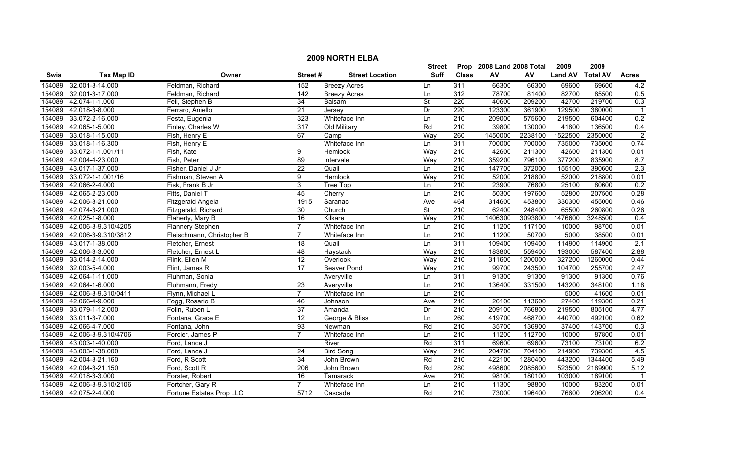|             |                       |                            |                 |                        | <b>Street</b>            |                  | Prop 2008 Land 2008 Total |         | 2009           | 2009            |                |
|-------------|-----------------------|----------------------------|-----------------|------------------------|--------------------------|------------------|---------------------------|---------|----------------|-----------------|----------------|
| <b>Swis</b> | <b>Tax Map ID</b>     | Owner                      | Street#         | <b>Street Location</b> | Suff                     | <b>Class</b>     | AV                        | AV      | <b>Land AV</b> | <b>Total AV</b> | <b>Acres</b>   |
| 154089      | 32.001-3-14.000       | Feldman, Richard           | 152             | <b>Breezy Acres</b>    | Ln                       | 311              | 66300                     | 66300   | 69600          | 69600           | 4.2            |
| 154089      | 32.001-3-17.000       | Feldman, Richard           | 142             | <b>Breezy Acres</b>    | Ln                       | 312              | 78700                     | 81400   | 82700          | 85500           | 0.5            |
| 154089      | 42.074-1-1.000        | Fell, Stephen B            | 34              | Balsam                 | St                       | $\overline{220}$ | 40600                     | 209200  | 42700          | 219700          | 0.3            |
| 154089      | 42.018-3-8.000        | Ferraro, Aniello           | 21              | Jersey                 | Dr                       | 220              | 123300                    | 361900  | 129500         | 380000          | $\overline{1}$ |
| 154089      | 33.072-2-16.000       | Festa, Eugenia             | 323             | Whiteface Inn          | Ln                       | 210              | 209000                    | 575600  | 219500         | 604400          | 0.2            |
| 154089      | 42.065-1-5.000        | Finley, Charles W          | 317             | Old Military           | Rd                       | 210              | 39800                     | 130000  | 41800          | 136500          | 0.4            |
| 154089      | 33.018-1-15.000       | Fish, Henry E              | 67              | Camp                   | Way                      | 260              | 1450000                   | 2238100 | 1522500        | 2350000         | $\overline{2}$ |
| 154089      | 33.018-1-16.300       | Fish, Henry E              |                 | Whiteface Inn          | Ln                       | 311              | 700000                    | 700000  | 735000         | 735000          | 0.74           |
| 154089      | 33.072-1-1.001/11     | Fish, Kate                 | 9               | Hemlock                | Way                      | $\overline{210}$ | 42600                     | 211300  | 42600          | 211300          | 0.01           |
| 154089      | 42.004-4-23.000       | Fish, Peter                | $\overline{89}$ | Intervale              | Way                      | $\overline{210}$ | 359200                    | 796100  | 377200         | 835900          | 8.7            |
| 154089      | 43.017-1-37.000       | Fisher, Daniel J Jr        | $\overline{22}$ | Quail                  | Ln                       | $\overline{210}$ | 147700                    | 372000  | 155100         | 390600          | 2.3            |
| 154089      | 33.072-1-1.001/16     | Fishman, Steven A          | 9               | Hemlock                | Way                      | $\overline{210}$ | 52000                     | 218800  | 52000          | 218800          | 0.01           |
| 154089      | 42.066-2-4.000        | Fisk, Frank B Jr           | 3               | Tree Top               | Ln                       | 210              | 23900                     | 76800   | 25100          | 80600           | 0.2            |
| 154089      | 42.065-2-23.000       | Fitts, Daniel T            | 45              | Cherry                 | Ln                       | $\overline{210}$ | 50300                     | 197600  | 52800          | 207500          | 0.28           |
| 154089      | 42.006-3-21.000       | Fitzgerald Angela          | 1915            | Saranac                | Ave                      | 464              | 314600                    | 453800  | 330300         | 455000          | 0.46           |
| 154089      | 42.074-3-21.000       | Fitzgerald, Richard        | $\overline{30}$ | Church                 | $\overline{\mathsf{St}}$ | 210              | 62400                     | 248400  | 65500          | 260800          | 0.26           |
| 154089      | 42.025-1-8.000        | Flaherty, Mary B           | 16              | Kilkare                | Way                      | 210              | 1406300                   | 3093800 | 1476600        | 3248500         | 0.4            |
| 154089      | 42.006-3-9.310/4205   | <b>Flannery Stephen</b>    | $\overline{7}$  | Whiteface Inn          | Ln                       | 210              | 11200                     | 117100  | 10000          | 98700           | 0.01           |
| 154089      | 42.006-3-9.310/3812   | Fleischmann, Christopher B | $\overline{7}$  | Whiteface Inn          | Ln                       | 210              | 11200                     | 50700   | 5000           | 38500           | 0.01           |
| 154089      | 43.017-1-38.000       | Fletcher, Ernest           | 18              | Quail                  | Ln                       | 311              | 109400                    | 109400  | 114900         | 114900          | 2.1            |
| 154089      | 42.006-3-3.000        | Fletcher, Ernest L         | 48              | Haystack               | Way                      | 210              | 183800                    | 559400  | 193000         | 587400          | 2.88           |
| 154089      | 33.014-2-14.000       | Flink, Ellen M             | $\overline{12}$ | Overlook               | Way                      | $\overline{210}$ | 311600                    | 1200000 | 327200         | 1260000         | 0.44           |
| 154089      | 32.003-5-4.000        | Flint, James R             | 17              | Beaver Pond            | Way                      | 210              | 99700                     | 243500  | 104700         | 255700          | 2.47           |
| 154089      | 42.064-1-11.000       | Fluhman, Sonia             |                 | Averyville             | Ln                       | 311              | 91300                     | 91300   | 91300          | 91300           | 0.76           |
| 154089      | 42.064-1-6.000        | Fluhmann, Fredy            | $\overline{23}$ | Averyville             | Ln                       | $\overline{210}$ | 136400                    | 331500  | 143200         | 348100          | 1.18           |
| 154089      | 42.006-3-9.310/0411   | Flynn, Michael L           | $\overline{7}$  | Whiteface Inn          | Ln                       | 210              |                           |         | 5000           | 41600           | 0.01           |
| 154089      | 42.066-4-9.000        | Fogg, Rosario B            | 46              | Johnson                | Ave                      | 210              | 26100                     | 113600  | 27400          | 119300          | 0.21           |
| 154089      | 33.079-1-12.000       | Folin, Ruben L             | 37              | Amanda                 | Dr                       | 210              | 209100                    | 766800  | 219500         | 805100          | 4.77           |
| 154089      | 33.011-3-7.000        | Fontana, Grace E           | $\overline{12}$ | George & Bliss         | Ln                       | 260              | 419700                    | 468700  | 440700         | 492100          | 0.62           |
| 154089      | 42.066-4-7.000        | Fontana, John              | 93              | Newman                 | Rd                       | 210              | 35700                     | 136900  | 37400          | 143700          | 0.3            |
| 154089      | 42.006-3-9.310/4706   | Forcier, James P           | $\overline{7}$  | Whiteface Inn          | Ln                       | 210              | 11200                     | 112700  | 10000          | 87800           | 0.01           |
| 154089      | 43.003-1-40.000       | Ford, Lance J              |                 | River                  | Rd                       | 311              | 69600                     | 69600   | 73100          | 73100           | 6.2            |
| 154089      | 43.003-1-38.000       | Ford, Lance J              | 24              | <b>Bird Song</b>       | Way                      | 210              | 204700                    | 704100  | 214900         | 739300          | 4.5            |
| 154089      | 42.004-3-21.160       | Ford, R Scott              | $\overline{34}$ | John Brown             | Rd                       | $\overline{210}$ | 422100                    | 1280400 | 443200         | 1344400         | 5.49           |
| 154089      | 42.004-3-21.150       | Ford, Scott R              | 206             | John Brown             | Rd                       | 280              | 498600                    | 2085600 | 523500         | 2189900         | 5.12           |
| 154089      | 42.018-3-3.000        | Forster, Robert            | 16              | Tamarack               | Ave                      | 210              | 98100                     | 180100  | 103000         | 189100          | -1             |
| 154089      | 42.006-3-9.310/2106   | Fortcher, Gary R           | $\overline{7}$  | Whiteface Inn          | Ln                       | $\overline{210}$ | 11300                     | 98800   | 10000          | 83200           | 0.01           |
|             | 154089 42.075-2-4.000 | Fortune Estates Prop LLC   | 5712            | Cascade                | Rd                       | 210              | 73000                     | 196400  | 76600          | 206200          | 0.4            |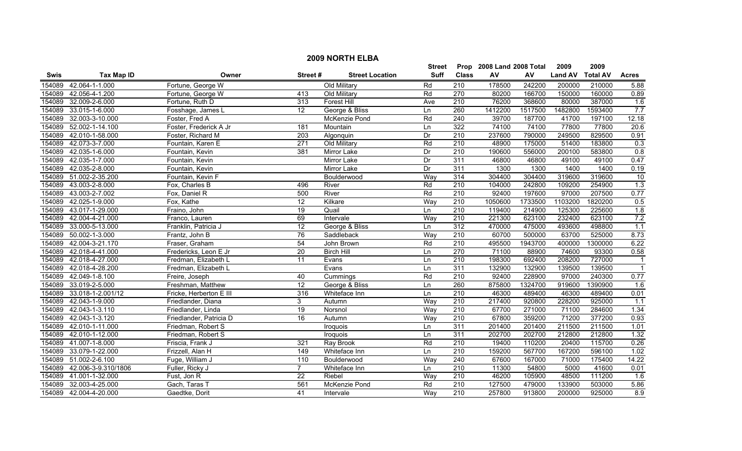|        |                     |                         |                 |                        | <b>Street</b> |                  | Prop 2008 Land 2008 Total |         | 2009           | 2009            |                  |
|--------|---------------------|-------------------------|-----------------|------------------------|---------------|------------------|---------------------------|---------|----------------|-----------------|------------------|
| Swis   | <b>Tax Map ID</b>   | Owner                   | Street#         | <b>Street Location</b> | Suff          | <b>Class</b>     | AV                        | AV      | <b>Land AV</b> | <b>Total AV</b> | <b>Acres</b>     |
| 154089 | 42.064-1-1.000      | Fortune, George W       |                 | Old Military           | Rd            | 210              | 178500                    | 242200  | 200000         | 210000          | 5.88             |
| 154089 | 42.056-4-1.200      | Fortune, George W       | 413             | Old Military           | Rd            | 270              | 80200                     | 166700  | 150000         | 160000          | 0.89             |
| 154089 | 32.009-2-6.000      | Fortune, Ruth D         | 313             | Forest Hill            | Ave           | $\overline{210}$ | 76200                     | 368600  | 80000          | 387000          | 1.6              |
| 154089 | 33.015-1-6.000      | Fosshage, James L       | $\overline{12}$ | George & Bliss         | Ln            | 260              | 1412200                   | 1517500 | 1482800        | 1593400         | 7.7              |
| 154089 | 32.003-3-10.000     | Foster, Fred A          |                 | <b>McKenzie Pond</b>   | Rd            | 240              | 39700                     | 187700  | 41700          | 197100          | 12.18            |
| 154089 | 52.002-1-14.100     | Foster, Frederick A Jr  | 181             | Mountain               | Ln            | 322              | 74100                     | 74100   | 77800          | 77800           | 20.6             |
| 154089 | 42.010-1-58.000     | Foster, Richard M       | 203             | Algonquin              | Dr            | 210              | 237600                    | 790000  | 249500         | 829500          | 0.91             |
| 154089 | 42.073-3-7.000      | Fountain, Karen E       | 271             | Old Military           | Rd            | 210              | 48900                     | 175000  | 51400          | 183800          | 0.3              |
| 154089 | 42.035-1-6.000      | Fountain, Kevin         | 381             | Mirror Lake            | Dr            | 210              | 190600                    | 556000  | 200100         | 583800          | $\overline{0.8}$ |
| 154089 | 42.035-1-7.000      | Fountain, Kevin         |                 | Mirror Lake            | Dr            | 311              | 46800                     | 46800   | 49100          | 49100           | 0.47             |
| 154089 | 42.035-2-8.000      | Fountain, Kevin         |                 | Mirror Lake            | Dr            | 311              | 1300                      | 1300    | 1400           | 1400            | 0.19             |
| 154089 | 51.002-2-35.200     | Fountain, Kevin F       |                 | Boulderwood            | Way           | 314              | 304400                    | 304400  | 319600         | 319600          | 10               |
| 154089 | 43.003-2-8.000      | Fox, Charles B          | 496             | River                  | Rd            | $\overline{210}$ | 104000                    | 242800  | 109200         | 254900          | 1.3              |
| 154089 | 43.003-2-7.002      | Fox, Daniel R           | 500             | River                  | Rd            | $\overline{210}$ | 92400                     | 197600  | 97000          | 207500          | 0.77             |
| 154089 | 42.025-1-9.000      | Fox, Kathe              | 12              | Kilkare                | Way           | 210              | 1050600                   | 1733500 | 1103200        | 1820200         | 0.5              |
| 154089 | 43.017-1-29.000     | Fraino, John            | $\overline{19}$ | Quail                  | Ln            | 210              | 119400                    | 214900  | 125300         | 225600          | 1.8              |
| 154089 | 42.004-4-21.000     | Franco, Lauren          | 69              | Intervale              | Way           | 210              | 221300                    | 623100  | 232400         | 623100          | 7.2              |
| 154089 | 33.000-5-13.000     | Franklin, Patricia J    | 12              | George & Bliss         | Ln            | 312              | 470000                    | 475000  | 493600         | 498800          | 1.1              |
| 154089 | 50.002-1-3.000      | Frantz, John B          | 76              | Saddleback             | Way           | 210              | 60700                     | 500000  | 63700          | 525000          | 8.73             |
| 154089 | 42.004-3-21.170     | Fraser, Graham          | $\overline{54}$ | John Brown             | Rd            | 210              | 495500                    | 1943700 | 400000         | 1300000         | 6.22             |
| 154089 | 42.018-4-41.000     | Fredericks, Leon E Jr   | 20              | <b>Birch Hill</b>      | Ln            | 270              | 71100                     | 88900   | 74600          | 93300           | 0.58             |
| 154089 | 42.018-4-27.000     | Fredman, Elizabeth L    | 11              | Evans                  | Ln            | 210              | 198300                    | 692400  | 208200         | 727000          | -1               |
| 154089 | 42.018-4-28.200     | Fredman, Elizabeth L    |                 | Evans                  | Ln            | 311              | 132900                    | 132900  | 139500         | 139500          | $\overline{1}$   |
| 154089 | 42.049-1-8.100      | Freire, Joseph          | 40              | Cummings               | Rd            | 210              | 92400                     | 228900  | 97000          | 240300          | 0.77             |
| 154089 | 33.019-2-5.000      | Freshman, Matthew       | 12              | George & Bliss         | Ln            | 260              | 875800                    | 1324700 | 919600         | 1390900         | 1.6              |
| 154089 | 33.018-1-2.001/12   | Fricke, Herberton E III | 316             | Whiteface Inn          | Ln            | $\overline{210}$ | 46300                     | 489400  | 46300          | 489400          | 0.01             |
| 154089 | 42.043-1-9.000      | Friedlander, Diana      | 3               | Autumn                 | Way           | 210              | 217400                    | 920800  | 228200         | 925000          | 1.1              |
| 154089 | 42.043-1-3.110      | Friedlander, Linda      | 19              | Norsnol                | Way           | 210              | 67700                     | 271000  | 71100          | 284600          | 1.34             |
| 154089 | 42.043-1-3.120      | Friedlander, Patricia D | 16              | Autumn                 | Way           | 210              | 67800                     | 359200  | 71200          | 377200          | 0.93             |
| 154089 | 42.010-1-11.000     | Friedman, Robert S      |                 | Iroquois               | Ln            | 311              | 201400                    | 201400  | 211500         | 211500          | 1.01             |
| 154089 | 42.010-1-12.000     | Friedman, Robert S      |                 | Iroquois               | Ln            | 311              | 202700                    | 202700  | 212800         | 212800          | 1.32             |
| 154089 | 41.007-1-8.000      | Friscia, Frank J        | 321             | <b>Ray Brook</b>       | Rd            | 210              | 19400                     | 110200  | 20400          | 115700          | 0.26             |
| 154089 | 33.079-1-22.000     | Frizzell, Alan H        | 149             | Whiteface Inn          | Ln            | 210              | 159200                    | 567700  | 167200         | 596100          | 1.02             |
| 154089 | 51.002-2-6.100      | Fuge, William J         | 110             | Boulderwood            | Way           | $\overline{240}$ | 67600                     | 167000  | 71000          | 175400          | 14.22            |
| 154089 | 42.006-3-9.310/1806 | Fuller, Ricky J         | $\overline{7}$  | Whiteface Inn          | Ln            | $\overline{210}$ | 11300                     | 54800   | 5000           | 41600           | 0.01             |
| 154089 | 41.001-1-32.000     | Fust, Jon R             | 22              | Riebel                 | Way           | 210              | 46200                     | 105900  | 48500          | 111200          | 1.6              |
| 154089 | 32.003-4-25.000     | Gach, Taras T           | 561             | McKenzie Pond          | Rd            | $\overline{210}$ | 127500                    | 479000  | 133900         | 503000          | 5.86             |
| 154089 | 42.004-4-20.000     | Gaedtke, Dorit          | 41              | Intervale              | Way           | $\overline{210}$ | 257800                    | 913800  | 200000         | 925000          | $\overline{8.9}$ |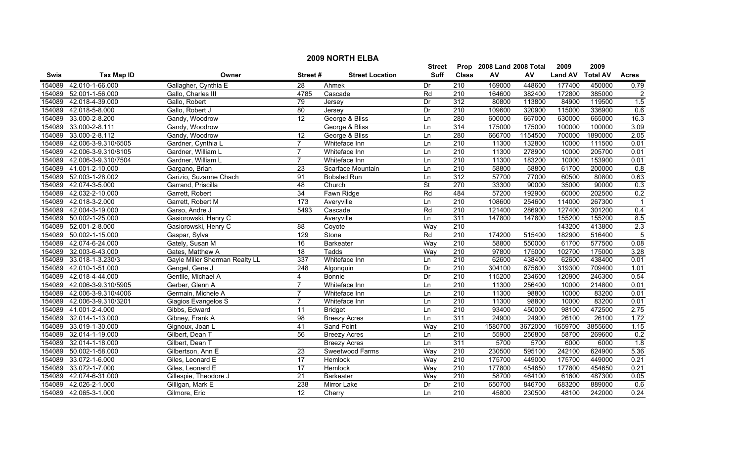|        | <b>2009 NORTH ELBA</b> |                                |                  |                        |               |                  |                           |         |                |                 |                |  |
|--------|------------------------|--------------------------------|------------------|------------------------|---------------|------------------|---------------------------|---------|----------------|-----------------|----------------|--|
|        |                        |                                |                  |                        | <b>Street</b> |                  | Prop 2008 Land 2008 Total |         | 2009           | 2009            |                |  |
| Swis   | <b>Tax Map ID</b>      | Owner                          | Street#          | <b>Street Location</b> | <b>Suff</b>   | <b>Class</b>     | ${\sf AV}$                | AV      | <b>Land AV</b> | <b>Total AV</b> | <b>Acres</b>   |  |
| 154089 | 42.010-1-66.000        | Gallagher, Cynthia E           | $\overline{28}$  | Ahmek                  | Dr            | 210              | 169000                    | 448600  | 177400         | 450000          | 0.79           |  |
| 154089 | 52.001-1-56.000        | Gallo, Charles III             | 4785             | Cascade                | Rd            | $\overline{210}$ | 164600                    | 382400  | 172800         | 385000          | $\overline{2}$ |  |
| 154089 | 42.018-4-39.000        | Gallo, Robert                  | 79               | Jersey                 | Dr            | 312              | 80800                     | 113800  | 84900          | 119500          | 1.5            |  |
| 154089 | 42.018-5-8.000         | Gallo, Robert J                | 80               | Jersey                 | Dr            | 210              | 109600                    | 320900  | 115000         | 336900          | 0.6            |  |
| 154089 | 33.000-2-8.200         | Gandy, Woodrow                 | 12               | George & Bliss         | Ln            | 280              | 600000                    | 667000  | 630000         | 665000          | 16.3           |  |
| 154089 | 33.000-2-8.111         | Gandy, Woodrow                 |                  | George & Bliss         | Ln            | 314              | 175000                    | 175000  | 100000         | 100000          | 3.09           |  |
| 154089 | 33.000-2-8.112         | Gandy, Woodrow                 | 12               | George & Bliss         | Ln            | 280              | 666700                    | 1154500 | 700000         | 1890000         | 2.05           |  |
| 154089 | 42.006-3-9.310/6505    | Gardner, Cynthia L             | $\overline{7}$   | Whiteface Inn          | Ln            | 210              | 11300                     | 132800  | 10000          | 111500          | 0.01           |  |
| 154089 | 42.006-3-9.310/8105    | Gardner, William L             | 7                | Whiteface Inn          | Ln            | 210              | 11300                     | 278900  | 10000          | 205700          | 0.01           |  |
| 154089 | 42.006-3-9.310/7504    | Gardner, William L             | $\overline{7}$   | Whiteface Inn          | Ln            | 210              | 11300                     | 183200  | 10000          | 153900          | 0.01           |  |
| 154089 | 41.001-2-10.000        | Gargano, Brian                 | $\overline{23}$  | Scarface Mountain      | Ln            | 210              | 58800                     | 58800   | 61700          | 200000          | 0.8            |  |
| 154089 | 52.003-1-28.002        | Garizio, Suzanne Chach         | 91               | <b>Bobsled Run</b>     | Ln            | 312              | 57700                     | 77000   | 60500          | 80800           | 0.63           |  |
| 154089 | 42.074-3-5.000         | Garrand, Priscilla             | 48               | Church                 | St            | 270              | 33300                     | 90000   | 35000          | 90000           | 0.3            |  |
| 154089 | 42.032-2-10.000        | Garrett, Robert                | 34               | Fawn Ridge             | Rd            | 484              | 57200                     | 192900  | 60000          | 202500          | 0.2            |  |
| 154089 | 42.018-3-2.000         | Garrett, Robert M              | $\overline{173}$ | Averyville             | Ln            | $\overline{210}$ | 108600                    | 254600  | 114000         | 267300          |                |  |
| 154089 | 42.004-3-19.000        | Garso, Andre J                 | 5493             | Cascade                | Rd            | $\overline{210}$ | 121400                    | 286900  | 127400         | 301200          | 0.4            |  |
| 154089 | 50.002-1-25.000        | Gasiorowski, Henry C           |                  | Averyville             | Ln            | 311              | 147800                    | 147800  | 155200         | 155200          | 8.5            |  |
| 154089 | 52.001-2-8.000         | Gasiorowski, Henry C           | 88               | Coyote                 | Way           | 210              |                           |         | 143200         | 413800          | 2.3            |  |
| 154089 | 50.002-1-15.000        | Gaspar, Sylva                  | 129              | Stone                  | Rd            | 210              | 174200                    | 515400  | 182900         | 516400          | $\overline{5}$ |  |
| 154089 | 42.074-6-24.000        | Gately, Susan M                | 16               | <b>Barkeater</b>       | Way           | 210              | 58800                     | 550000  | 61700          | 577500          | 0.08           |  |
| 154089 | 32.003-6-43.000        | Gates, Matthew A               | 18               | Tadds                  | Way           | $\overline{210}$ | 97800                     | 175000  | 102700         | 175000          | 3.28           |  |
| 154089 | 33.018-1-3.230/3       | Gayle Miller Sherman Realty LL | 337              | Whiteface Inn          | Ln            | 210              | 62600                     | 438400  | 62600          | 438400          | 0.01           |  |
| 154089 | 42.010-1-51.000        | Gengel, Gene J                 | $\overline{248}$ | Algonquin              | Dr            | $\overline{210}$ | 304100                    | 675600  | 319300         | 709400          | 1.01           |  |
| 154089 | 42.018-4-44.000        | Gentile, Michael A             | 4                | Bonnie                 | Dr            | $\overline{210}$ | 115200                    | 234600  | 120900         | 246300          | 0.54           |  |
| 154089 | 42.006-3-9.310/5905    | Gerber, Glenn A                | 7                | Whiteface Inn          | Ln            | $\overline{210}$ | 11300                     | 256400  | 10000          | 214800          | 0.01           |  |
| 154089 | 42.006-3-9.310/4006    | Germain, Michele A             |                  | Whiteface Inn          | Ln            | 210              | 11300                     | 98800   | 10000          | 83200           | 0.01           |  |
| 154089 | 42.006-3-9.310/3201    | Giagios Evangelos S            | 7                | Whiteface Inn          | Ln            | $\overline{210}$ | 11300                     | 98800   | 10000          | 83200           | 0.01           |  |
| 154089 | 41.001-2-4.000         | Gibbs, Edward                  | 11               | <b>Bridget</b>         | Ln            | $\overline{210}$ | 93400                     | 450000  | 98100          | 472500          | 2.75           |  |
| 154089 | 32.014-1-13.000        | Gibney, Frank A                | 98               | <b>Breezy Acres</b>    | Ln            | 311              | 24900                     | 24900   | 26100          | 26100           | 1.72           |  |
| 154089 | 33.019-1-30.000        | Gignoux, Joan L                | 41               | <b>Sand Point</b>      | Way           | 210              | 1580700                   | 3672000 | 1659700        | 3855600         | 1.15           |  |
| 154089 | 32.014-1-19.000        | Gilbert, Dean T                | 56               | <b>Breezy Acres</b>    | Ln            | 210              | 55900                     | 256800  | 58700          | 269600          | 0.2            |  |
| 154089 | 32.014-1-18.000        | Gilbert, Dean T                |                  | <b>Breezy Acres</b>    | Ln            | 311              | 5700                      | 5700    | 6000           | 6000            | 1.8            |  |
| 154089 | 50.002-1-58.000        | Gilbertson, Ann E              | 23               | Sweetwood Farms        | Way           | 210              | 230500                    | 595100  | 242100         | 624900          | 5.36           |  |
| 154089 | 33.072-1-6.000         | Giles, Leonard E               | $\overline{17}$  | Hemlock                | Way           | 210              | 175700                    | 449000  | 175700         | 449000          | 0.21           |  |
| 154089 | 33.072-1-7.000         | Giles, Leonard E               | 17               | Hemlock                | Way           | 210              | 177800                    | 454650  | 177800         | 454650          | 0.21           |  |
| 154089 | 42.074-6-31.000        | Gillespie, Theodore J          | 21               | <b>Barkeater</b>       | Way           | 210              | 58700                     | 464100  | 61600          | 487300          | 0.05           |  |
| 154089 | 42.026-2-1.000         | Gilligan, Mark E               | 238              | Mirror Lake            | Dr            | 210              | 650700                    | 846700  | 683200         | 889000          | 0.6            |  |
|        | 154089 42.065-3-1.000  | Gilmore, Eric                  | 12               | Cherry                 | Ln            | $\overline{210}$ | 45800                     | 230500  | 48100          | 242000          | 0.24           |  |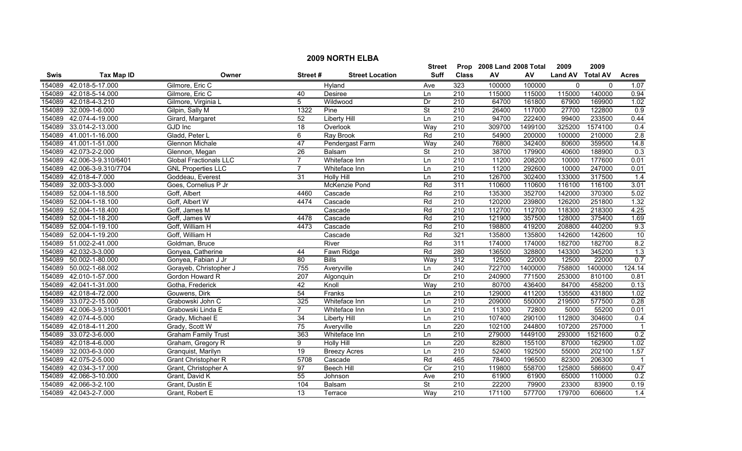|        | <b>2009 NORTH ELBA</b> |                               |                 |                        |                          |                  |                           |         |                  |             |                  |  |
|--------|------------------------|-------------------------------|-----------------|------------------------|--------------------------|------------------|---------------------------|---------|------------------|-------------|------------------|--|
|        |                        |                               |                 |                        | <b>Street</b>            |                  | Prop 2008 Land 2008 Total |         | 2009             | 2009        |                  |  |
| Swis   | <b>Tax Map ID</b>      | Owner                         | Street#         | <b>Street Location</b> | <b>Suff</b>              | <b>Class</b>     | ${\sf AV}$                | AV      | Land AV Total AV |             | <b>Acres</b>     |  |
| 154089 | 42.018-5-17.000        | Gilmore, Eric C               |                 | Hyland                 | Ave                      | 323              | 100000                    | 100000  | $\mathbf 0$      | $\mathbf 0$ | 1.07             |  |
| 154089 | 42.018-5-14.000        | Gilmore, Eric C               | 40              | Desiree                | Ln                       | 210              | 115000                    | 115000  | 115000           | 140000      | 0.94             |  |
| 154089 | 42.018-4-3.210         | Gilmore, Virginia L           | 5               | Wildwood               | Dr                       | $\overline{210}$ | 64700                     | 161800  | 67900            | 169900      | 1.02             |  |
| 154089 | 32.009-1-6.000         | Gilpin, Sally M               | 1322            | Pine                   | $\overline{\mathsf{St}}$ | 210              | 26400                     | 117000  | 27700            | 122800      | 0.9              |  |
| 154089 | 42.074-4-19.000        | Girard, Margaret              | 52              | <b>Liberty Hill</b>    | Ln                       | 210              | 94700                     | 222400  | 99400            | 233500      | 0.44             |  |
| 154089 | 33.014-2-13.000        | <b>GJD</b> Inc                | 18              | Overlook               | Way                      | 210              | 309700                    | 1499100 | 325200           | 1574100     | 0.4              |  |
| 154089 | 41.001-1-16.000        | Gladd, Peter L                | 6               | Ray Brook              | Rd                       | 210              | 54900                     | 200000  | 100000           | 210000      | 2.8              |  |
| 154089 | 41.001-1-51.000        | <b>Glennon Michale</b>        | 47              | Pendergast Farm        | Way                      | 240              | 76800                     | 342400  | 80600            | 359500      | 14.8             |  |
| 154089 | 42.073-2-2.000         | Glennon, Megan                | $\overline{26}$ | Balsam                 | <b>St</b>                | 210              | 38700                     | 179900  | 40600            | 188900      | 0.3              |  |
| 154089 | 42.006-3-9.310/6401    | <b>Global Fractionals LLC</b> | $\overline{7}$  | Whiteface Inn          | Ln                       | 210              | 11200                     | 208200  | 10000            | 177600      | 0.01             |  |
| 154089 | 42.006-3-9.310/7704    | <b>GNL Properties LLC</b>     | $\overline{7}$  | Whiteface Inn          | Ln                       | $\overline{210}$ | 11200                     | 292600  | 10000            | 247000      | 0.01             |  |
| 154089 | 42.018-4-7.000         | Goddeau, Everest              | 31              | <b>Holly Hill</b>      | Ln                       | 210              | 126700                    | 302400  | 133000           | 317500      | 1.4              |  |
| 154089 | 32.003-3-3.000         | Goes, Cornelius P Jr          |                 | McKenzie Pond          | Rd                       | 311              | 110600                    | 110600  | 116100           | 116100      | 3.01             |  |
| 154089 | 52.004-1-18.500        | Goff, Albert                  | 4460            | Cascade                | Rd                       | 210              | 135300                    | 352700  | 142000           | 370300      | 5.02             |  |
| 154089 | 52.004-1-18.100        | Goff, Albert W                | 4474            | Cascade                | Rd                       | $\overline{210}$ | 120200                    | 239800  | 126200           | 251800      | 1.32             |  |
| 154089 | 52.004-1-18.400        | Goff, James M                 |                 | Cascade                | Rd                       | $\overline{210}$ | 112700                    | 112700  | 118300           | 218300      | 4.25             |  |
| 154089 | 52.004-1-18.200        | Goff, James W                 | 4478            | Cascade                | Rd                       | 210              | 121900                    | 357500  | 128000           | 375400      | 1.69             |  |
| 154089 | 52.004-1-19.100        | Goff, William H               | 4473            | Cascade                | Rd                       | 210              | 198800                    | 419200  | 208800           | 440200      | 9.3              |  |
| 154089 | 52.004-1-19.200        | Goff, William H               |                 | Cascade                | Rd                       | 321              | 135800                    | 135800  | 142600           | 142600      | 10               |  |
| 154089 | 51.002-2-41.000        | Goldman, Bruce                |                 | River                  | Rd                       | 311              | 174000                    | 174000  | 182700           | 182700      | 8.2              |  |
|        | 154089 42.032-3-3.000  | Gonyea, Catherine             | 44              | Fawn Ridge             | Rd                       | 280              | 136500                    | 328800  | 143300           | 345200      | 1.3              |  |
| 154089 | 50.002-1-80.000        | Gonyea, Fabian J Jr           | 80              | <b>Bills</b>           | Way                      | 312              | 12500                     | 22000   | 12500            | 22000       | 0.7              |  |
| 154089 | 50.002-1-68.002        | Gorayeb, Christopher J        | 755             | Averyville             | Ln                       | 240              | 722700                    | 1400000 | 758800           | 1400000     | 124.14           |  |
| 154089 | 42.010-1-57.000        | Gordon Howard R               | 207             | Algonquin              | Dr                       | $\overline{210}$ | 240900                    | 771500  | 253000           | 810100      | 0.81             |  |
| 154089 | 42.041-1-31.000        | Gotha, Frederick              | 42              | Knoll                  | Way                      | $\overline{210}$ | 80700                     | 436400  | 84700            | 458200      | 0.13             |  |
| 154089 | 42.018-4-72.000        | Gouwens, Dirk                 | 54              | Franks                 | Ln                       | 210              | 129000                    | 411200  | 135500           | 431800      | 1.02             |  |
| 154089 | 33.072-2-15.000        | Grabowski John C              | 325             | Whiteface Inn          | Ln                       | 210              | 209000                    | 550000  | 219500           | 577500      | 0.28             |  |
| 154089 | 42.006-3-9.310/5001    | Grabowski Linda E             | $\overline{7}$  | Whiteface Inn          | Ln                       | $\overline{210}$ | 11300                     | 72800   | 5000             | 55200       | 0.01             |  |
| 154089 | 42.074-4-5.000         | Grady, Michael E              | 34              | <b>Liberty Hill</b>    | Ln                       | 210              | 107400                    | 290100  | 112800           | 304600      | 0.4              |  |
| 154089 | 42.018-4-11.200        | Grady, Scott W                | $\overline{75}$ | Averyville             | Ln                       | 220              | 102100                    | 244800  | 107200           | 257000      |                  |  |
| 154089 | 33.072-3-6.000         | <b>Graham Family Trust</b>    | 363             | Whiteface Inn          | Ln                       | 210              | 279000                    | 1449100 | 293000           | 1521600     | 0.2              |  |
| 154089 | 42.018-4-6.000         | Graham, Gregory R             | 9               | <b>Holly Hill</b>      | Ln                       | 220              | 82800                     | 155100  | 87000            | 162900      | 1.02             |  |
| 154089 | 32.003-6-3.000         | Granquist, Marilyn            | 19              | <b>Breezy Acres</b>    | Ln                       | 210              | 52400                     | 192500  | 55000            | 202100      | 1.57             |  |
| 154089 | 42.075-2-5.000         | <b>Grant Christopher R</b>    | 5708            | Cascade                | Rd                       | 465              | 78400                     | 196500  | 82300            | 206300      | $\overline{1}$   |  |
| 154089 | 42.034-3-17.000        | Grant, Christopher A          | $\overline{97}$ | <b>Beech Hill</b>      | $\overline{C}$           | 210              | 119800                    | 558700  | 125800           | 586600      | 0.47             |  |
| 154089 | 42.066-3-10.000        | Grant, David K                | 55              | Johnson                | Ave                      | 210              | 61900                     | 61900   | 65000            | 110000      | 0.2              |  |
| 154089 | 42.066-3-2.100         | Grant, Dustin E               | 104             | Balsam                 | <b>St</b>                | 210              | 22200                     | 79900   | 23300            | 83900       | 0.19             |  |
|        | 154089 42.043-2-7.000  | Grant. Robert E               | 13              | Terrace                | Way                      | $\overline{210}$ | 171100                    | 577700  | 179700           | 606600      | $\overline{1.4}$ |  |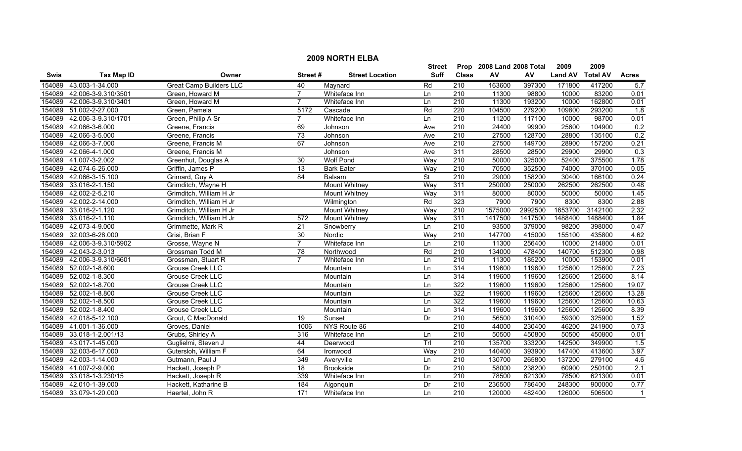|        | <b>2009 NORTH ELBA</b> |                                |                |                        |             |                  |                           |         |                |                 |              |  |
|--------|------------------------|--------------------------------|----------------|------------------------|-------------|------------------|---------------------------|---------|----------------|-----------------|--------------|--|
|        |                        |                                |                |                        | Street      |                  | Prop 2008 Land 2008 Total |         | 2009           | 2009            |              |  |
| Swis   | <b>Tax Map ID</b>      | Owner                          | Street#        | <b>Street Location</b> | <b>Suff</b> | <b>Class</b>     | ${\sf AV}$                | AV      | <b>Land AV</b> | <b>Total AV</b> | <b>Acres</b> |  |
| 154089 | 43.003-1-34.000        | <b>Great Camp Builders LLC</b> | 40             | Maynard                | Rd          | 210              | 163600                    | 397300  | 171800         | 417200          | 5.7          |  |
| 154089 | 42.006-3-9.310/3501    | Green, Howard M                | $\overline{7}$ | Whiteface Inn          | Ln          | 210              | 11300                     | 98800   | 10000          | 83200           | 0.01         |  |
| 154089 | 42.006-3-9.310/3401    | Green, Howard M                | $\overline{7}$ | Whiteface Inn          | Ln          | $\overline{210}$ | 11300                     | 193200  | 10000          | 162800          | 0.01         |  |
| 154089 | 51.002-2-27.000        | Green, Pamela                  | 5172           | Cascade                | Rd          | 220              | 104500                    | 279200  | 109800         | 293200          | 1.8          |  |
| 154089 | 42.006-3-9.310/1701    | Green, Philip A Sr             | $\overline{7}$ | Whiteface Inn          | Ln          | 210              | 11200                     | 117100  | 10000          | 98700           | 0.01         |  |
| 154089 | 42.066-3-6.000         | Greene, Francis                | 69             | Johnson                | Ave         | 210              | 24400                     | 99900   | 25600          | 104900          | 0.2          |  |
| 154089 | 42.066-3-5.000         | Greene, Francis                | 73             | Johnson                | Ave         | 210              | 27500                     | 128700  | 28800          | 135100          | 0.2          |  |
| 154089 | 42.066-3-7.000         | Greene, Francis M              | 67             | Johnson                | Ave         | 210              | 27500                     | 149700  | 28900          | 157200          | 0.21         |  |
| 154089 | 42.066-4-1.000         | Greene, Francis M              |                | Johnson                | Ave         | 311              | 28500                     | 28500   | 29900          | 29900           | 0.3          |  |
| 154089 | 41.007-3-2.002         | Greenhut, Douglas A            | 30             | Wolf Pond              | Way         | 210              | 50000                     | 325000  | 52400          | 375500          | 1.78         |  |
| 154089 | 42.074-6-26.000        | Griffin, James P               | 13             | <b>Bark Eater</b>      | Way         | $\overline{210}$ | 70500                     | 352500  | 74000          | 370100          | 0.05         |  |
| 154089 | 42.066-3-15.100        | Grimard, Guy A                 | 84             | Balsam                 | <b>St</b>   | 210              | 29000                     | 158200  | 30400          | 166100          | 0.24         |  |
| 154089 | 33.016-2-1.150         | Grimditch, Wayne H             |                | <b>Mount Whitney</b>   | Way         | 311              | 250000                    | 250000  | 262500         | 262500          | 0.48         |  |
| 154089 | 42.002-2-5.210         | Grimditch, William H Jr        |                | <b>Mount Whitney</b>   | Way         | 311              | 80000                     | 80000   | 50000          | 50000           | 1.45         |  |
| 154089 | 42.002-2-14.000        | Grimditch, William H Jr        |                | Wilmington             | Rd          | 323              | 7900                      | 7900    | 8300           | 8300            | 2.88         |  |
| 154089 | 33.016-2-1.120         | Grimditch, William H Jr        |                | <b>Mount Whitney</b>   | Way         | $\overline{210}$ | 1575000                   | 2992500 | 1653700        | 3142100         | 2.32         |  |
| 154089 | 33.016-2-1.110         | Grimditch, William H Jr        | 572            | <b>Mount Whitney</b>   | Way         | 311              | 1417500                   | 1417500 | 1488400        | 1488400         | 1.84         |  |
| 154089 | 42.073-4-9.000         | Grimmette, Mark R              | 21             | Snowberry              | Ln          | 210              | 93500                     | 379000  | 98200          | 398000          | 0.47         |  |
| 154089 | 32.003-6-28.000        | Grisi, Brian F                 | 30             | Nordic                 | Way         | 210              | 147700                    | 415000  | 155100         | 435800          | 4.62         |  |
| 154089 | 42.006-3-9.310/5902    | Grosse, Wayne N                | $\overline{7}$ | Whiteface Inn          | Ln          | 210              | 11300                     | 256400  | 10000          | 214800          | 0.01         |  |
| 154089 | 42.043-2-3.013         | Grossman Todd M                | 78             | Northwood              | Rd          | $\overline{210}$ | 134000                    | 478400  | 140700         | 512300          | 0.98         |  |
| 154089 | 42.006-3-9.310/6601    | Grossman, Stuart R             | $\overline{7}$ | Whiteface Inn          | Ln          | $\overline{210}$ | 11300                     | 185200  | 10000          | 153900          | 0.01         |  |
| 154089 | 52.002-1-8.600         | Grouse Creek LLC               |                | Mountain               | Ln          | 314              | 119600                    | 119600  | 125600         | 125600          | 7.23         |  |
| 154089 | 52.002-1-8.300         | Grouse Creek LLC               |                | Mountain               | Ln          | 314              | 119600                    | 119600  | 125600         | 125600          | 8.14         |  |
| 154089 | 52.002-1-8.700         | Grouse Creek LLC               |                | Mountain               | Ln          | 322              | 119600                    | 119600  | 125600         | 125600          | 19.07        |  |
| 154089 | 52.002-1-8.800         | Grouse Creek LLC               |                | Mountain               | Ln          | 322              | 119600                    | 119600  | 125600         | 125600          | 13.28        |  |
| 154089 | 52.002-1-8.500         | Grouse Creek LLC               |                | Mountain               | Ln          | 322              | 119600                    | 119600  | 125600         | 125600          | 10.63        |  |
| 154089 | 52.002-1-8.400         | Grouse Creek LLC               |                | Mountain               | Ln          | 314              | 119600                    | 119600  | 125600         | 125600          | 8.39         |  |
| 154089 | 42.018-5-12.100        | Grout, C MacDonald             | 19             | Sunset                 | Dr          | 210              | 56500                     | 310400  | 59300          | 325900          | 1.52         |  |
| 154089 | 41.001-1-36.000        | Groves, Daniel                 | 1006           | NYS Route 86           |             | 210              | 44000                     | 230400  | 46200          | 241900          | 0.73         |  |
| 154089 | 33.018-1-2.001/13      | Grubs, Shirley A               | 316            | Whiteface Inn          | Ln          | 210              | 50500                     | 450800  | 50500          | 450800          | 0.01         |  |
| 154089 | 43.017-1-45.000        | Guglielmi, Steven J            | 44             | Deerwood               | TrI         | 210              | 135700                    | 333200  | 142500         | 349900          | 1.5          |  |
| 154089 | 32.003-6-17.000        | Gutersloh, William F           | 64             | Ironwood               | Way         | 210              | 140400                    | 393900  | 147400         | 413600          | 3.97         |  |
| 154089 | 42.003-1-14.000        | Gutmann, Paul J                | 349            | Averyville             | Ln          | 210              | 130700                    | 265800  | 137200         | 279100          | 4.6          |  |
| 154089 | 41.007-2-9.000         | Hackett, Joseph P              | 18             | <b>Brookside</b>       | Dr          | 210              | 58000                     | 238200  | 60900          | 250100          | 2.1          |  |
| 154089 | 33.018-1-3.230/15      | Hackett, Joseph R              | 339            | Whiteface Inn          | Ln          | 210              | 78500                     | 621300  | 78500          | 621300          | 0.01         |  |
| 154089 | 42.010-1-39.000        | Hackett, Katharine B           | 184            | Algonquin              | Dr          | 210              | 236500                    | 786400  | 248300         | 900000          | 0.77         |  |
|        | 154089 33.079-1-20.000 | Haertel, John R                | 171            | Whiteface Inn          | $\ln$       | 210              | 120000                    | 482400  | 126000         | 506500          | $\mathbf{1}$ |  |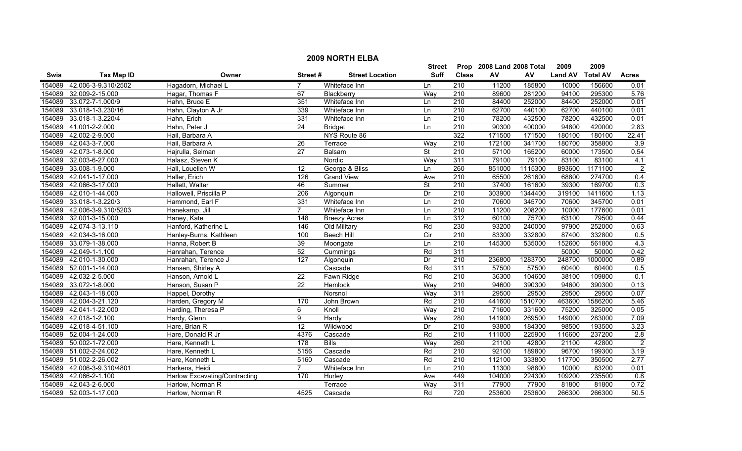| <b>2009 NORTH ELBA</b> |                        |                               |                 |                        |                          |                  |                      |         |                |                 |                |
|------------------------|------------------------|-------------------------------|-----------------|------------------------|--------------------------|------------------|----------------------|---------|----------------|-----------------|----------------|
|                        |                        |                               |                 |                        | Street                   | Prop             | 2008 Land 2008 Total |         | 2009           | 2009            |                |
| Swis                   | <b>Tax Map ID</b>      | Owner                         | Street#         | <b>Street Location</b> | <b>Suff</b>              | <b>Class</b>     | AV                   | AV      | <b>Land AV</b> | <b>Total AV</b> | <b>Acres</b>   |
| 154089                 | 42.006-3-9.310/2502    | Hagadorn, Michael L           |                 | Whiteface Inn          | Ln                       | 210              | 11200                | 185800  | 10000          | 156600          | 0.01           |
| 154089                 | 32.009-2-15.000        | Hagar, Thomas F               | 67              | Blackberry             | Way                      | 210              | 89600                | 281200  | 94100          | 295300          | 5.76           |
| 154089                 | 33.072-7-1.000/9       | Hahn, Bruce E                 | 351             | Whiteface Inn          | Ln                       | $\overline{210}$ | 84400                | 252000  | 84400          | 252000          | 0.01           |
| 154089                 | 33.018-1-3.230/16      | Hahn, Clayton A Jr            | 339             | Whiteface Inn          | Ln                       | 210              | 62700                | 440100  | 62700          | 440100          | 0.01           |
| 154089                 | 33.018-1-3.220/4       | Hahn, Erich                   | 331             | Whiteface Inn          | Ln                       | 210              | 78200                | 432500  | 78200          | 432500          | 0.01           |
| 154089                 | 41.001-2-2.000         | Hahn, Peter J                 | $\overline{24}$ | <b>Bridget</b>         | Ln                       | 210              | 90300                | 400000  | 94800          | 420000          | 2.83           |
| 154089                 | 42.002-2-9.000         | Hail, Barbara A               |                 | NYS Route 86           |                          | 322              | 171500               | 171500  | 180100         | 180100          | 22.41          |
| 154089                 | 42.043-3-7.000         | Hail, Barbara A               | 26              | Terrace                | Way                      | $\overline{210}$ | 172100               | 341700  | 180700         | 358800          | 3.9            |
| 154089                 | 42.073-1-8.000         | Hajrulla, Selman              | 27              | Balsam                 | St                       | 210              | 57100                | 165200  | 60000          | 173500          | 0.54           |
| 154089                 | 32.003-6-27.000        | Halasz, Steven K              |                 | Nordic                 | Way                      | 311              | 79100                | 79100   | 83100          | 83100           | 4.1            |
| 154089                 | 33.008-1-9.000         | Hall, Louellen W              | 12              | George & Bliss         | Ln                       | 260              | 851000               | 1115300 | 893600         | 1171100         | $\overline{2}$ |
| 154089                 | 42.041-1-17.000        | Haller, Erich                 | 126             | <b>Grand View</b>      | Ave                      | $\overline{210}$ | 65500                | 261600  | 68800          | 274700          | 0.4            |
| 154089                 | 42.066-3-17.000        | Hallett, Walter               | 46              | Summer                 | $\overline{\mathsf{St}}$ | 210              | 37400                | 161600  | 39300          | 169700          | 0.3            |
| 154089                 | 42.010-1-44.000        | Hallowell, Priscilla P        | 206             | Algonquin              | Dr                       | $\overline{210}$ | 303900               | 1344400 | 319100         | 1411600         | 1.13           |
| 154089                 | 33.018-1-3.220/3       | Hammond, Earl F               | 331             | Whiteface Inn          | Ln                       | $\overline{210}$ | 70600                | 345700  | 70600          | 345700          | 0.01           |
| 154089                 | 42.006-3-9.310/5203    | Hanekamp, Jill                | $\overline{7}$  | Whiteface Inn          | Ln                       | 210              | 11200                | 208200  | 10000          | 177600          | 0.01           |
| 154089                 | 32.001-3-15.000        | Haney, Kate                   | 148             | <b>Breezy Acres</b>    | Ln                       | 312              | 60100                | 75700   | 63100          | 79500           | 0.44           |
| 154089                 | 42.074-3-13.110        | Hanford, Katherine L          | 146             | Old Military           | Rd                       | 230              | 93200                | 240000  | 97900          | 252000          | 0.63           |
| 154089                 | 42.034-3-16.000        | Hanley-Burns, Kathleen        | 100             | <b>Beech Hill</b>      | Cir                      | 210              | 83300                | 332800  | 87400          | 332800          | 0.5            |
| 154089                 | 33.079-1-38.000        | Hanna, Robert B               | 39              | Moongate               | Ln                       | 210              | 145300               | 535000  | 152600         | 561800          | 4.3            |
| 154089                 | 42.049-1-1.100         | Hanrahan, Terence             | 52              | Cummings               | Rd                       | 311              |                      |         | 50000          | 50000           | 0.42           |
| 154089                 | 42.010-1-30.000        | Hanrahan, Terence J           | 127             | Algonquin              | Dr                       | $\overline{210}$ | 236800               | 1283700 | 248700         | 1000000         | 0.89           |
| 154089                 | 52.001-1-14.000        | Hansen, Shirley A             |                 | Cascade                | Rd                       | 311              | 57500                | 57500   | 60400          | 60400           | 0.5            |
| 154089                 | 42.032-2-5.000         | Hanson, Arnold L              | $\overline{22}$ | Fawn Ridge             | Rd                       | $\overline{210}$ | 36300                | 104600  | 38100          | 109800          | 0.1            |
| 154089                 | 33.072-1-8.000         | Hanson, Susan P               | $\overline{22}$ | Hemlock                | Way                      | $\overline{210}$ | 94600                | 390300  | 94600          | 390300          | 0.13           |
| 154089                 | 42.043-1-18.000        | Happel, Dorothy               |                 | Norsnol                | Way                      | 311              | 29500                | 29500   | 29500          | 29500           | 0.07           |
| 154089                 | 42.004-3-21.120        | Harden, Gregory M             | 170             | John Brown             | Rd                       | 210              | 441600               | 1510700 | 463600         | 1586200         | 5.46           |
| 154089                 | 42.041-1-22.000        | Harding, Theresa P            | 6               | Knoll                  | Way                      | $\overline{210}$ | 71600                | 331600  | 75200          | 325000          | 0.05           |
| 154089                 | 42.018-1-2.100         | Hardy, Glenn                  | 9               | Hardy                  | Way                      | 280              | 141900               | 269500  | 149000         | 283000          | 7.09           |
| 154089                 | 42.018-4-51.100        | Hare, Brian R                 | $\overline{12}$ | Wildwood               | Dr                       | 210              | 93800                | 184300  | 98500          | 193500          | 3.23           |
| 154089                 | 52.004-1-24.000        | Hare, Donald R Jr             | 4376            | Cascade                | Rd                       | 210              | 111000               | 225900  | 116600         | 237200          | 2.8            |
| 154089                 | 50.002-1-72.000        | Hare, Kenneth L               | 178             | <b>Bills</b>           | Way                      | 260              | 21100                | 42800   | 21100          | 42800           | $\overline{2}$ |
|                        | 154089 51.002-2-24.002 | Hare, Kenneth L               | 5156            | Cascade                | Rd                       | 210              | 92100                | 189800  | 96700          | 199300          | 3.19           |
| 154089                 | 51.002-2-26.002        | Hare, Kenneth L               | 5160            | Cascade                | Rd                       | 210              | 112100               | 333800  | 117700         | 350500          | 2.77           |
| 154089                 | 42.006-3-9.310/4801    | Harkens, Heidi                | $\overline{7}$  | Whiteface Inn          | Ln                       | 210              | 11300                | 98800   | 10000          | 83200           | 0.01           |
| 154089                 | 42.066-2-1.100         | Harlow Excavating/Contracting | 170             | Hurley                 | Ave                      | 449              | 104000               | 224300  | 109200         | 235500          | 0.8            |
| 154089                 | 42.043-2-6.000         | Harlow, Norman R              |                 | Terrace                | Way                      | 311              | 77900                | 77900   | 81800          | 81800           | 0.72           |
|                        | 154089 52.003-1-17.000 | Harlow. Norman R              | 4525            | Cascade                | Rd                       | $\overline{720}$ | 253600               | 253600  | 266300         | 266300          | 50.5           |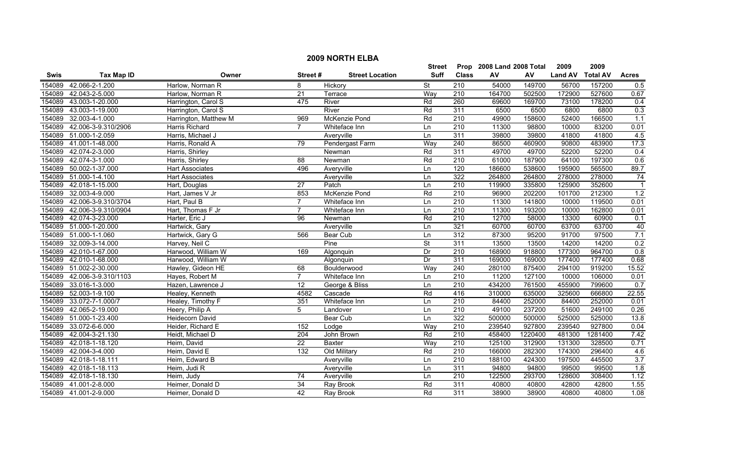|        |                       |                        |                 |                        | <b>Street</b>            |                  | Prop 2008 Land 2008 Total |         | 2009           | 2009            |                |
|--------|-----------------------|------------------------|-----------------|------------------------|--------------------------|------------------|---------------------------|---------|----------------|-----------------|----------------|
| Swis   | <b>Tax Map ID</b>     | Owner                  | Street#         | <b>Street Location</b> | Suff                     | <b>Class</b>     | AV                        | AV      | <b>Land AV</b> | <b>Total AV</b> | <b>Acres</b>   |
| 154089 | 42.066-2-1.200        | Harlow, Norman R       | 8               | Hickory                | <b>St</b>                | 210              | 54000                     | 149700  | 56700          | 157200          | 0.5            |
| 154089 | 42.043-2-5.000        | Harlow, Norman R       | $\overline{21}$ | Terrace                | Way                      | 210              | 164700                    | 502500  | 172900         | 527600          | 0.67           |
| 154089 | 43.003-1-20.000       | Harrington, Carol S    | 475             | River                  | Rd                       | 260              | 69600                     | 169700  | 73100          | 178200          | 0.4            |
| 154089 | 43.003-1-19.000       | Harrington, Carol S    |                 | River                  | Rd                       | 311              | 6500                      | 6500    | 6800           | 6800            | 0.3            |
| 154089 | 32.003-4-1.000        | Harrington, Matthew M  | 969             | McKenzie Pond          | Rd                       | 210              | 49900                     | 158600  | 52400          | 166500          | 1.1            |
| 154089 | 42.006-3-9.310/2906   | Harris Richard         | $\overline{7}$  | Whiteface Inn          | Ln                       | 210              | 11300                     | 98800   | 10000          | 83200           | 0.01           |
| 154089 | 51.000-1-2.059        | Harris, Michael J      |                 | Averyville             | Ln                       | 311              | 39800                     | 39800   | 41800          | 41800           | 4.5            |
| 154089 | 41.001-1-48.000       | Harris, Ronald A       | 79              | Pendergast Farm        | Way                      | 240              | 86500                     | 460900  | 90800          | 483900          | 17.3           |
| 154089 | 42.074-2-3.000        | Harris, Shirley        |                 | Newman                 | Rd                       | 311              | 49700                     | 49700   | 52200          | 52200           | 0.4            |
| 154089 | 42.074-3-1.000        | Harris, Shirley        | 88              | Newman                 | Rd                       | $\overline{210}$ | 61000                     | 187900  | 64100          | 197300          | 0.6            |
| 154089 | 50.002-1-37.000       | <b>Hart Associates</b> | 496             | Averyville             | Ln                       | 120              | 186600                    | 538600  | 195900         | 565500          | 89.7           |
| 154089 | 51.000-1-4.100        | <b>Hart Associates</b> |                 | Averyville             | Ln                       | 322              | 264800                    | 264800  | 278000         | 278000          | 74             |
| 154089 | 42.018-1-15.000       | Hart, Douglas          | $\overline{27}$ | Patch                  | Ln                       | $\overline{210}$ | 119900                    | 335800  | 125900         | 352600          | $\overline{1}$ |
| 154089 | 32.003-4-9.000        | Hart, James V Jr       | 853             | McKenzie Pond          | Rd                       | $\overline{210}$ | 96900                     | 202200  | 101700         | 212300          | 1.2            |
| 154089 | 42.006-3-9.310/3704   | Hart, Paul B           | 7               | Whiteface Inn          | Ln                       | 210              | 11300                     | 141800  | 10000          | 119500          | 0.01           |
| 154089 | 42.006-3-9.310/0904   | Hart, Thomas F Jr      | $\overline{7}$  | Whiteface Inn          | Ln                       | $\overline{210}$ | 11300                     | 193200  | 10000          | 162800          | 0.01           |
| 154089 | 42.074-3-23.000       | Harter, Eric J         | 96              | Newman                 | Rd                       | 210              | 12700                     | 58000   | 13300          | 60900           | 0.1            |
| 154089 | 51.000-1-20.000       | Hartwick, Gary         |                 | Averyville             | Ln                       | 321              | 60700                     | 60700   | 63700          | 63700           | 40             |
| 154089 | 51.000-1-1.060        | Hartwick, Gary G       | 566             | Bear Cub               | Ln                       | 312              | 87300                     | 95200   | 91700          | 97500           | 7.1            |
| 154089 | 32.009-3-14.000       | Harvey, Neil C         |                 | Pine                   | $\overline{\mathsf{St}}$ | 311              | 13500                     | 13500   | 14200          | 14200           | 0.2            |
| 154089 | 42.010-1-67.000       | Harwood, William W     | 169             | Algonquin              | Dr                       | 210              | 168900                    | 918800  | 177300         | 964700          | 0.8            |
| 154089 | 42.010-1-68.000       | Harwood, William W     |                 | Algonquin              | Dr                       | 311              | 169000                    | 169000  | 177400         | 177400          | 0.68           |
| 154089 | 51.002-2-30.000       | Hawley, Gideon HE      | 68              | Boulderwood            | Way                      | 240              | 280100                    | 875400  | 294100         | 919200          | 15.52          |
| 154089 | 42.006-3-9.310/1103   | Hayes, Robert M        | $\overline{7}$  | Whiteface Inn          | Ln                       | $\overline{210}$ | 11200                     | 127100  | 10000          | 106000          | 0.01           |
| 154089 | 33.016-1-3.000        | Hazen, Lawrence J      | $\overline{12}$ | George & Bliss         | Ln                       | $\overline{210}$ | 434200                    | 761500  | 455900         | 799600          | 0.7            |
| 154089 | 52.003-1-9.100        | Healey, Kenneth        | 4582            | Cascade                | Rd                       | 416              | 310000                    | 635000  | 325600         | 666800          | 22.55          |
| 154089 | 33.072-7-1.000/7      | Healey, Timothy F      | 351             | Whiteface Inn          | Ln                       | 210              | 84400                     | 252000  | 84400          | 252000          | 0.01           |
| 154089 | 42.065-2-19.000       | Heery, Philip A        | 5               | Landover               | Ln                       | 210              | 49100                     | 237200  | 51600          | 249100          | 0.26           |
| 154089 | 51.000-1-23.400       | <b>Heidecorn David</b> |                 | <b>Bear Cub</b>        | Ln                       | 322              | 500000                    | 500000  | 525000         | 525000          | 13.8           |
| 154089 | 33.072-6-6.000        | Heider, Richard E      | 152             | Lodge                  | Way                      | 210              | 239540                    | 927800  | 239540         | 927800          | 0.04           |
| 154089 | 42.004-3-21.130       | Heidt, Michael D       | 204             | John Brown             | Rd                       | 210              | 458400                    | 1220400 | 481300         | 1281400         | 7.42           |
| 154089 | 42.018-1-18.120       | Heim, David            | $\overline{22}$ | <b>Baxter</b>          | Way                      | 210              | 125100                    | 312900  | 131300         | 328500          | 0.71           |
| 154089 | 42.004-3-4.000        | Heim, David E          | 132             | Old Military           | Rd                       | 210              | 166000                    | 282300  | 174300         | 296400          | 4.6            |
| 154089 | 42.018-1-18.111       | Heim, Edward B         |                 | Averyville             | Ln                       | $\overline{210}$ | 188100                    | 424300  | 197500         | 445500          | 3.7            |
| 154089 | 42.018-1-18.113       | Heim, Judi R           |                 | Averyville             | Ln                       | 311              | 94800                     | 94800   | 99500          | 99500           | 1.8            |
| 154089 | 42.018-1-18.130       | Heim, Judy             | 74              | Averyville             | Ln                       | 210              | 122500                    | 293700  | 128600         | 308400          | 1.12           |
| 154089 | 41.001-2-8.000        | Heimer, Donald D       | $\overline{34}$ | Ray Brook              | Rd                       | 311              | 40800                     | 40800   | 42800          | 42800           | 1.55           |
|        | 154089 41.001-2-9.000 | Heimer, Donald D       | 42              | Ray Brook              | Rd                       | 311              | 38900                     | 38900   | 40800          | 40800           | 1.08           |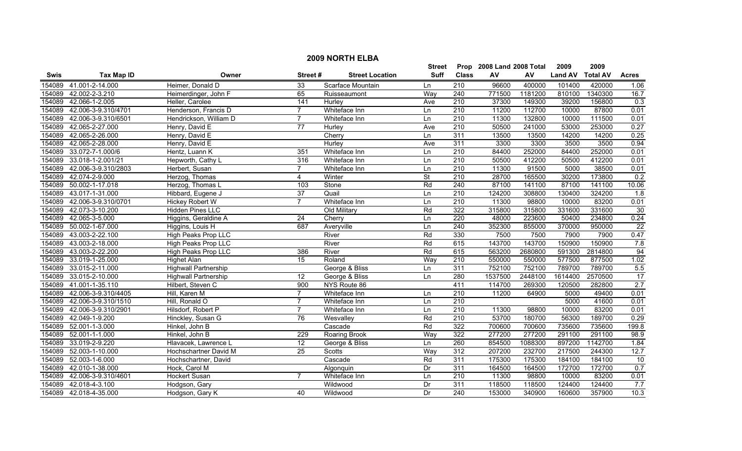|        | <b>2009 NORTH ELBA</b> |                             |                 |                        |             |                  |                           |         |                |                 |                 |
|--------|------------------------|-----------------------------|-----------------|------------------------|-------------|------------------|---------------------------|---------|----------------|-----------------|-----------------|
|        |                        |                             |                 |                        | Street      |                  | Prop 2008 Land 2008 Total |         | 2009           | 2009            |                 |
| Swis   | <b>Tax Map ID</b>      | Owner                       | Street#         | <b>Street Location</b> | <b>Suff</b> | <b>Class</b>     | ${\sf AV}$                | AV      | <b>Land AV</b> | <b>Total AV</b> | <b>Acres</b>    |
| 154089 | 41.001-2-14.000        | Heimer, Donald D            | 33              | Scarface Mountain      | Ln          | 210              | 96600                     | 400000  | 101400         | 420000          | 1.06            |
| 154089 | 42.002-2-3.210         | Heimerdinger, John F        | 65              | Ruisseaumont           | Way         | 240              | 771500                    | 1181200 | 810100         | 1340300         | 16.7            |
| 154089 | 42.066-1-2.005         | Heller, Carolee             | 141             | Hurley                 | Ave         | 210              | 37300                     | 149300  | 39200          | 156800          | 0.3             |
| 154089 | 42.006-3-9.310/4701    | Henderson, Francis D        | 7               | Whiteface Inn          | Ln          | 210              | 11200                     | 112700  | 10000          | 87800           | 0.01            |
| 154089 | 42.006-3-9.310/6501    | Hendrickson, William D      | $\overline{7}$  | Whiteface Inn          | Ln          | 210              | 11300                     | 132800  | 10000          | 111500          | 0.01            |
| 154089 | 42.065-2-27.000        | Henry, David E              | 77              | Hurley                 | Ave         | 210              | 50500                     | 241000  | 53000          | 253000          | 0.27            |
| 154089 | 42.065-2-26.000        | Henry, David E              |                 | Cherry                 | Ln          | 311              | 13500                     | 13500   | 14200          | 14200           | 0.25            |
| 154089 | 42.065-2-28.000        | Henry, David E              |                 | Hurley                 | Ave         | 311              | 3300                      | 3300    | 3500           | 3500            | 0.94            |
| 154089 | 33.072-7-1.000/6       | Hentz, Luann K              | 351             | Whiteface Inn          | Ln          | $\overline{210}$ | 84400                     | 252000  | 84400          | 252000          | 0.01            |
| 154089 | 33.018-1-2.001/21      | Hepworth, Cathy L           | 316             | Whiteface Inn          | Ln          | 210              | 50500                     | 412200  | 50500          | 412200          | 0.01            |
| 154089 | 42.006-3-9.310/2803    | Herbert, Susan              | $\overline{7}$  | Whiteface Inn          | Ln          | 210              | 11300                     | 91500   | 5000           | 38500           | 0.01            |
| 154089 | 42.074-2-9.000         | Herzog, Thomas              | 4               | Winter                 | <b>St</b>   | $\overline{210}$ | 28700                     | 165500  | 30200          | 173800          | 0.2             |
| 154089 | 50.002-1-17.018        | Herzog, Thomas L            | 103             | Stone                  | Rd          | $\overline{240}$ | 87100                     | 141100  | 87100          | 141100          | 10.06           |
| 154089 | 43.017-1-31.000        | Hibbard, Eugene J           | 37              | Quail                  | Ln          | $\overline{210}$ | 124200                    | 308800  | 130400         | 324200          | 1.8             |
| 154089 | 42.006-3-9.310/0701    | Hickey Robert W             | $\overline{7}$  | Whiteface Inn          | Ln          | $\overline{210}$ | 11300                     | 98800   | 10000          | 83200           | 0.01            |
| 154089 | 42.073-3-10.200        | Hidden Pines LLC            |                 | Old Military           | Rd          | 322              | 315800                    | 315800  | 331600         | 331600          | 30              |
| 154089 | 42.065-3-5.000         | Higgins, Geraldine A        | 24              | Cherry                 | Ln          | 220              | 48000                     | 223600  | 50400          | 234800          | 0.24            |
| 154089 | 50.002-1-67.000        | Higgins, Louis H            | 687             | Averyville             | Ln          | 240              | 352300                    | 855000  | 370000         | 950000          | $\overline{22}$ |
| 154089 | 43.003-2-22.100        | High Peaks Prop LLC         |                 | River                  | Rd          | 330              | 7500                      | 7500    | 7900           | 7900            | 0.47            |
| 154089 | 43.003-2-18.000        | High Peaks Prop LLC         |                 | River                  | Rd          | 615              | 143700                    | 143700  | 150900         | 150900          | 7.8             |
| 154089 | 43.003-2-22.200        | High Peaks Prop LLC         | 386             | River                  | Rd          | 615              | 563200                    | 2680800 | 591300         | 2814800         | 94              |
| 154089 | 33.019-1-25.000        | <b>Highet Alan</b>          | $\overline{15}$ | Roland                 | Way         | 210              | 550000                    | 550000  | 577500         | 877500          | 1.02            |
| 154089 | 33.015-2-11.000        | <b>Highwall Partnership</b> |                 | George & Bliss         | Ln          | 311              | 752100                    | 752100  | 789700         | 789700          | 5.5             |
| 154089 | 33.015-2-10.000        | <b>Highwall Partnership</b> | $\overline{12}$ | George & Bliss         | Ln          | 280              | 1537500                   | 2448100 | 1614400        | 2570500         | 17              |
| 154089 | 41.001-1-35.110        | Hilbert, Steven C           | 900             | NYS Route 86           |             | 411              | 114700                    | 269300  | 120500         | 282800          | 2.7             |
| 154089 | 42.006-3-9.310/4405    | Hill, Karen M               | 7               | Whiteface Inn          | Ln          | 210              | 11200                     | 64900   | 5000           | 49400           | 0.01            |
| 154089 | 42.006-3-9.310/1510    | Hill, Ronald O              | 7               | Whiteface Inn          | Ln          | $\overline{210}$ |                           |         | 5000           | 41600           | 0.01            |
| 154089 | 42.006-3-9.310/2901    | Hilsdorf, Robert P          | $\overline{7}$  | Whiteface Inn          | Ln          | $\overline{210}$ | 11300                     | 98800   | 10000          | 83200           | 0.01            |
| 154089 | 42.049-1-9.200         | Hinckley, Susan G           | 76              | Wesvalley              | Rd          | 210              | 53700                     | 180700  | 56300          | 189700          | 0.29            |
| 154089 | 52.001-1-3.000         | Hinkel, John B              |                 | Cascade                | Rd          | 322              | 700600                    | 700600  | 735600         | 735600          | 199.8           |
| 154089 | 52.001-1-1.000         | Hinkel, John B              | 229             | <b>Roaring Brook</b>   | Way         | 322              | 277200                    | 277200  | 291100         | 291100          | 98.9            |
| 154089 | 33.019-2-9.220         | Hlavacek, Lawrence L        | 12              | George & Bliss         | Ln          | 260              | 854500                    | 1088300 | 897200         | 1142700         | 1.84            |
| 154089 | 52.003-1-10.000        | Hochschartner David M       | 25              | <b>Scotts</b>          | Way         | 312              | 207200                    | 232700  | 217500         | 244300          | 12.7            |
| 154089 | 52.003-1-6.000         | Hochschartner, David        |                 | Cascade                | Rd          | 311              | 175300                    | 175300  | 184100         | 184100          | 10              |
| 154089 | 42.010-1-38.000        | Hock, Carol M               |                 | Algonquin              | Dr          | 311              | 164500                    | 164500  | 172700         | 172700          | 0.7             |
| 154089 | 42.006-3-9.310/4601    | Hockert Susan               |                 | Whiteface Inn          | Ln          | 210              | 11300                     | 98800   | 10000          | 83200           | 0.01            |
| 154089 | 42.018-4-3.100         | Hodgson, Gary               |                 | Wildwood               | Dr          | 311              | 118500                    | 118500  | 124400         | 124400          | 7.7             |
|        | 154089 42.018-4-35.000 | Hodgson, Gary K             | 40              | Wildwood               | Dr          | 240              | 153000                    | 340900  | 160600         | 357900          | 10.3            |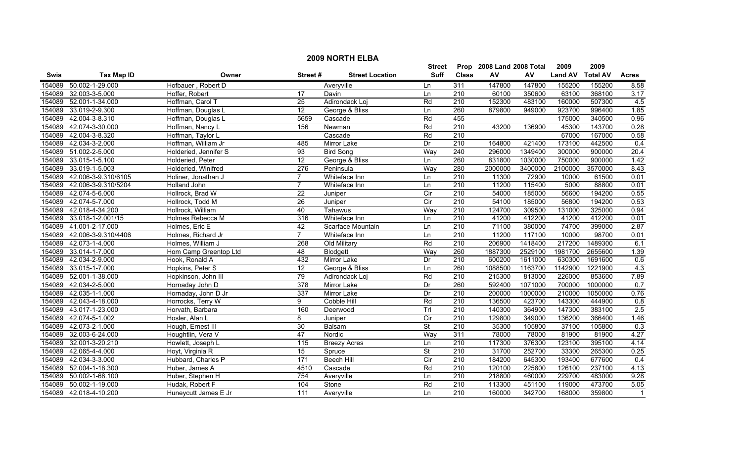|        | <b>2009 NORTH ELBA</b> |                       |                  |                        |                          |                  |                           |         |                |                 |                |  |
|--------|------------------------|-----------------------|------------------|------------------------|--------------------------|------------------|---------------------------|---------|----------------|-----------------|----------------|--|
|        |                        |                       |                  |                        | <b>Street</b>            |                  | Prop 2008 Land 2008 Total |         | 2009           | 2009            |                |  |
| Swis   | <b>Tax Map ID</b>      | Owner                 | Street#          | <b>Street Location</b> | Suff                     | <b>Class</b>     | AV                        | AV      | <b>Land AV</b> | <b>Total AV</b> | <b>Acres</b>   |  |
| 154089 | 50.002-1-29.000        | Hofbauer, Robert D    |                  | Averyville             | Ln                       | 311              | 147800                    | 147800  | 155200         | 155200          | 8.58           |  |
| 154089 | 32.003-3-5.000         | Hoffer, Robert        | 17               | Davin                  | Ln                       | 210              | 60100                     | 350600  | 63100          | 368100          | 3.17           |  |
|        | 154089 52.001-1-34.000 | Hoffman, Carol T      | $\overline{25}$  | Adirondack Loj         | Rd                       | $\overline{210}$ | 152300                    | 483100  | 160000         | 507300          | 4.5            |  |
|        | 154089 33.019-2-9.300  | Hoffman, Douglas L    | 12               | George & Bliss         | Ln                       | 260              | 879800                    | 949000  | 923700         | 996400          | 1.85           |  |
| 154089 | 42.004-3-8.310         | Hoffman, Douglas L    | 5659             | Cascade                | Rd                       | 455              |                           |         | 175000         | 340500          | 0.96           |  |
| 154089 | 42.074-3-30.000        | Hoffman, Nancy L      | 156              | Newman                 | Rd                       | 210              | 43200                     | 136900  | 45300          | 143700          | 0.28           |  |
| 154089 | 42.004-3-8.320         | Hoffman, Taylor L     |                  | Cascade                | Rd                       | 210              |                           |         | 67000          | 167000          | 0.58           |  |
| 154089 | 42.034-3-2.000         | Hoffman, William Jr   | 485              | <b>Mirror Lake</b>     | Dr                       | 210              | 164800                    | 421400  | 173100         | 442500          | 0.4            |  |
|        | 154089 51.002-2-5.000  | Holderied, Jennifer S | 93               | <b>Bird Song</b>       | Way                      | 240              | 296000                    | 1349400 | 300000         | 900000          | 20.4           |  |
| 154089 | 33.015-1-5.100         | Holderied, Peter      | $\overline{12}$  | George & Bliss         | Ln                       | 260              | 831800                    | 1030000 | 750000         | 900000          | 1.42           |  |
| 154089 | 33.019-1-5.003         | Holderied, Winifred   | 276              | Peninsula              | Way                      | 280              | 2000000                   | 3400000 | 2100000        | 3570000         | 8.43           |  |
| 154089 | 42.006-3-9.310/6105    | Holiner, Jonathan J   | $\overline{7}$   | Whiteface Inn          | Ln                       | 210              | 11300                     | 72900   | 10000          | 61500           | 0.01           |  |
| 154089 | 42.006-3-9.310/5204    | <b>Holland John</b>   | $\overline{7}$   | Whiteface Inn          | Ln                       | $\overline{210}$ | 11200                     | 115400  | 5000           | 88800           | 0.01           |  |
| 154089 | 42.074-5-6.000         | Hollrock, Brad W      | $\overline{22}$  | Juniper                | $\overline{C}$           | $\overline{210}$ | 54000                     | 185000  | 56600          | 194200          | 0.55           |  |
|        | 154089 42.074-5-7.000  | Hollrock, Todd M      | 26               | Juniper                | $\overline{C}$           | 210              | 54100                     | 185000  | 56800          | 194200          | 0.53           |  |
|        | 154089 42.018-4-34.200 | Hollrock, William     | 40               | Tahawus                | Way                      | $\overline{210}$ | 124700                    | 309500  | 131000         | 325000          | 0.94           |  |
| 154089 | 33.018-1-2.001/15      | Holmes Rebecca M      | 316              | Whiteface Inn          | Ln                       | 210              | 41200                     | 412200  | 41200          | 412200          | 0.01           |  |
| 154089 | 41.001-2-17.000        | Holmes, Eric E        | 42               | Scarface Mountain      | Ln                       | 210              | 71100                     | 380000  | 74700          | 399000          | 2.87           |  |
| 154089 | 42.006-3-9.310/4406    | Holmes, Richard Jr    | $\overline{7}$   | Whiteface Inn          | Ln                       | 210              | 11200                     | 117100  | 10000          | 98700           | 0.01           |  |
|        | 154089 42.073-1-4.000  | Holmes, William J     | 268              | Old Military           | Rd                       | 210              | 206900                    | 1418400 | 217200         | 1489300         | 6.1            |  |
| 154089 | 33.014-1-7.000         | Hom Camp Greentop Ltd | 48               | <b>Blodgett</b>        | Way                      | 260              | 1887300                   | 2529100 | 1981700        | 2655600         | 1.39           |  |
| 154089 | 42.034-2-9.000         | Hook, Ronald A        | 432              | <b>Mirror Lake</b>     | Dr                       | $\overline{210}$ | 600200                    | 1611000 | 630300         | 1691600         | 0.6            |  |
| 154089 | 33.015-1-7.000         | Hopkins, Peter S      | $\overline{12}$  | George & Bliss         | Ln                       | 260              | 1088500                   | 1163700 | 1142900        | 1221900         | 4.3            |  |
| 154089 | 52.001-1-38.000        | Hopkinson, John III   | 79               | Adirondack Loj         | Rd                       | 210              | 215300                    | 813000  | 226000         | 853600          | 7.89           |  |
| 154089 | 42.034-2-5.000         | Hornaday John D       | 378              | Mirror Lake            | Dr                       | 260              | 592400                    | 1071000 | 700000         | 1000000         | 0.7            |  |
| 154089 | 42.035-1-1.000         | Hornaday, John D Jr   | 337              | Mirror Lake            | Dr                       | $\overline{210}$ | 200000                    | 1000000 | 210000         | 1050000         | 0.76           |  |
|        | 154089 42.043-4-18.000 | Horrocks, Terry W     | 9                | Cobble Hill            | Rd                       | $\overline{210}$ | 136500                    | 423700  | 143300         | 444900          | 0.8            |  |
| 154089 | 43.017-1-23.000        | Horvath, Barbara      | 160              | Deerwood               | Trl                      | $\overline{210}$ | 140300                    | 364900  | 147300         | 383100          | 2.5            |  |
| 154089 | 42.074-5-1.002         | Hosler, Alan L        | 8                | Juniper                | Cir                      | 210              | 129800                    | 349000  | 136200         | 366400          | 1.46           |  |
| 154089 | 42.073-2-1.000         | Hough, Ernest III     | 30               | Balsam                 | $\overline{\mathsf{St}}$ | 210              | 35300                     | 105800  | 37100          | 105800          | 0.3            |  |
| 154089 | 32.003-6-24.000        | Houghtlin, Vera V     | 47               | Nordic                 | Way                      | 311              | 78000                     | 78000   | 81900          | 81900           | 4.27           |  |
| 154089 | 32.001-3-20.210        | Howlett, Joseph L     | 115              | <b>Breezy Acres</b>    | Ln                       | 210              | 117300                    | 376300  | 123100         | 395100          | 4.14           |  |
|        | 154089 42.065-4-4.000  | Hoyt, Virginia R      | 15               | Spruce                 | $\overline{\mathsf{St}}$ | 210              | 31700                     | 252700  | 33300          | 265300          | 0.25           |  |
| 154089 | 42.034-3-3.000         | Hubbard, Charles P    | $\overline{171}$ | <b>Beech Hill</b>      | Cir                      | 210              | 184200                    | 645300  | 193400         | 677600          | 0.4            |  |
| 154089 | 52.004-1-18.300        | Huber, James A        | 4510             | Cascade                | Rd                       | $\overline{210}$ | 120100                    | 225800  | 126100         | 237100          | 4.13           |  |
| 154089 | 50.002-1-68.100        | Huber, Stephen H      | 754              | Averyville             | Ln                       | 210              | 218800                    | 460000  | 229700         | 483000          | 9.28           |  |
| 154089 | 50.002-1-19.000        | Hudak, Robert F       | 104              | Stone                  | Rd                       | 210              | 113300                    | 451100  | 119000         | 473700          | 5.05           |  |
|        | 154089 42.018-4-10.200 | Huneycutt James E Jr  | 111              | Avervville             | Ln                       | $\overline{210}$ | 160000                    | 342700  | 168000         | 359800          | $\overline{1}$ |  |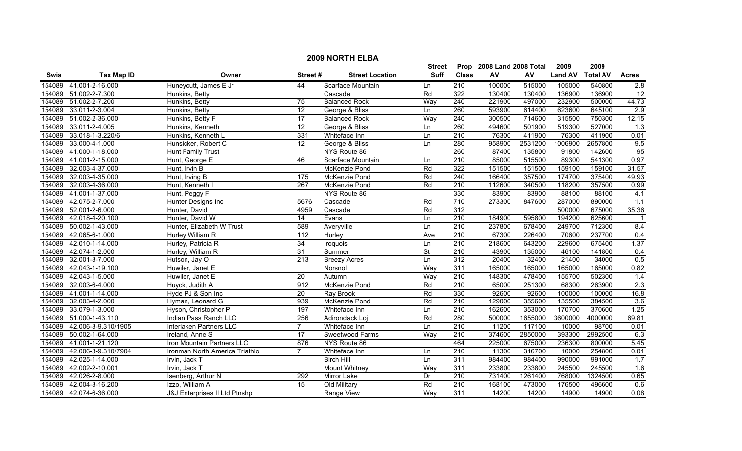|        | <b>2009 NORTH ELBA</b> |                                |                  |                        |           |                  |                           |         |                |                 |                  |  |
|--------|------------------------|--------------------------------|------------------|------------------------|-----------|------------------|---------------------------|---------|----------------|-----------------|------------------|--|
|        |                        |                                |                  |                        | Street    |                  | Prop 2008 Land 2008 Total |         | 2009           | 2009            |                  |  |
| Swis   | <b>Tax Map ID</b>      | Owner                          | Street#          | <b>Street Location</b> | Suff      | <b>Class</b>     | ${\sf AV}$                | AV      | <b>Land AV</b> | <b>Total AV</b> | <b>Acres</b>     |  |
| 154089 | 41.001-2-16.000        | Huneycutt, James E Jr          | 44               | Scarface Mountain      | Ln        | 210              | 100000                    | 515000  | 105000         | 540800          | 2.8              |  |
| 154089 | 51.002-2-7.300         | Hunkins, Betty                 |                  | Cascade                | Rd        | 322              | 130400                    | 130400  | 136900         | 136900          | 12               |  |
| 154089 | 51.002-2-7.200         | Hunkins, Betty                 | 75               | <b>Balanced Rock</b>   | Way       | 240              | 221900                    | 497000  | 232900         | 500000          | 44.73            |  |
| 154089 | 33.011-2-3.004         | Hunkins, Betty                 | 12               | George & Bliss         | Ln        | 260              | 593900                    | 614400  | 623600         | 645100          | 2.9              |  |
| 154089 | 51.002-2-36.000        | Hunkins, Betty F               | 17               | <b>Balanced Rock</b>   | Way       | 240              | 300500                    | 714600  | 315500         | 750300          | 12.15            |  |
| 154089 | 33.011-2-4.005         | Hunkins, Kenneth               | 12               | George & Bliss         | Ln        | 260              | 494600                    | 501900  | 519300         | 527000          | 1.3              |  |
| 154089 | 33.018-1-3.220/6       | Hunkins, Kenneth L             | 331              | Whiteface Inn          | Ln        | 210              | 76300                     | 411900  | 76300          | 411900          | 0.01             |  |
| 154089 | 33.000-4-1.000         | Hunsicker, Robert C            | 12               | George & Bliss         | Ln        | 280              | 958900                    | 2531200 | 1006900        | 2657800         | 9.5              |  |
| 154089 | 41.000-1-18.000        | <b>Hunt Family Trust</b>       |                  | NYS Route 86           |           | 260              | 87400                     | 135800  | 91800          | 142600          | 95               |  |
| 154089 | 41.001-2-15.000        | Hunt, George E                 | 46               | Scarface Mountain      | Ln        | $\overline{210}$ | 85000                     | 515500  | 89300          | 541300          | 0.97             |  |
| 154089 | 32.003-4-37.000        | Hunt, Irvin B                  |                  | McKenzie Pond          | Rd        | 322              | 151500                    | 151500  | 159100         | 159100          | 31.57            |  |
| 154089 | 32.003-4-35.000        | Hunt, Irving B                 | 175              | McKenzie Pond          | Rd        | 240              | 166400                    | 357500  | 174700         | 375400          | 49.93            |  |
| 154089 | 32.003-4-36.000        | Hunt, Kenneth I                | $\overline{267}$ | McKenzie Pond          | Rd        | 210              | 112600                    | 340500  | 118200         | 357500          | 0.99             |  |
| 154089 | 41.001-1-37.000        | Hunt, Peggy F                  |                  | NYS Route 86           |           | 330              | 83900                     | 83900   | 88100          | 88100           | 4.1              |  |
| 154089 | 42.075-2-7.000         | Hunter Designs Inc             | 5676             | Cascade                | Rd        | $\overline{710}$ | 273300                    | 847600  | 287000         | 890000          | $\overline{1.1}$ |  |
| 154089 | 52.001-2-6.000         | Hunter, David                  | 4959             | Cascade                | Rd        | 312              |                           |         | 500000         | 675000          | 35.36            |  |
| 154089 | 42.018-4-20.100        | Hunter, David W                | 14               | Evans                  | Ln        | 210              | 184900                    | 595800  | 194200         | 625600          | $\overline{1}$   |  |
| 154089 | 50.002-1-43.000        | Hunter, Elizabeth W Trust      | 589              | Averyville             | Ln        | 210              | 237800                    | 678400  | 249700         | 712300          | 8.4              |  |
| 154089 | 42.065-6-1.000         | <b>Hurley William R</b>        | 112              | Hurley                 | Ave       | 210              | 67300                     | 226400  | 70600          | 237700          | 0.4              |  |
| 154089 | 42.010-1-14.000        | Hurley, Patricia R             | 34               | Iroquois               | Ln        | 210              | 218600                    | 643200  | 229600         | 675400          | 1.37             |  |
| 154089 | 42.074-1-2.000         | Hurley, William R              | $\overline{31}$  | Summer                 | <b>St</b> | $\overline{210}$ | 43900                     | 135000  | 46100          | 141800          | 0.4              |  |
| 154089 | 32.001-3-7.000         | Hutson, Jay O                  | 213              | <b>Breezy Acres</b>    | Ln        | $\overline{312}$ | 20400                     | 32400   | 21400          | 34000           | 0.5              |  |
| 154089 | 42.043-1-19.100        | Huwiler, Janet E               |                  | Norsnol                | Way       | 311              | 165000                    | 165000  | 165000         | 165000          | 0.82             |  |
| 154089 | 42.043-1-5.000         | Huwiler, Janet E               | $\overline{20}$  | Autumn                 | Way       | $\overline{210}$ | 148300                    | 478400  | 155700         | 502300          | 1.4              |  |
| 154089 | 32.003-6-4.000         | Huyck, Judith A                | 912              | McKenzie Pond          | Rd        | $\overline{210}$ | 65000                     | 251300  | 68300          | 263900          | 2.3              |  |
| 154089 | 41.001-1-14.000        | Hyde PJ & Son Inc              | $\overline{20}$  | Ray Brook              | Rd        | 330              | 92600                     | 92600   | 100000         | 100000          | 16.8             |  |
| 154089 | 32.003-4-2.000         | Hyman, Leonard G               | 939              | McKenzie Pond          | Rd        | $\overline{210}$ | 129000                    | 355600  | 135500         | 384500          | 3.6              |  |
| 154089 | 33.079-1-3.000         | Hyson, Christopher P           | 197              | Whiteface Inn          | Ln        | $\overline{210}$ | 162600                    | 353000  | 170700         | 370600          | 1.25             |  |
| 154089 | 51.000-1-43.110        | Indian Pass Ranch LLC          | 256              | Adirondack Loj         | Rd        | 280              | 500000                    | 1655000 | 3600000        | 4000000         | 69.81            |  |
| 154089 | 42.006-3-9.310/1905    | <b>Interlaken Partners LLC</b> | $\overline{7}$   | Whiteface Inn          | Ln        | 210              | 11200                     | 117100  | 10000          | 98700           | 0.01             |  |
| 154089 | 50.002-1-64.000        | Ireland, Anne S                | 17               | Sweetwood Farms        | Way       | 210              | 374600                    | 2850000 | 393300         | 2992500         | 6.3              |  |
| 154089 | 41.001-1-21.120        | Iron Mountain Partners LLC     | 876              | NYS Route 86           |           | 464              | 225000                    | 675000  | 236300         | 800000          | 5.45             |  |
| 154089 | 42.006-3-9.310/7904    | Ironman North America Triathlo | $\overline{7}$   | Whiteface Inn          | Ln        | 210              | 11300                     | 316700  | 10000          | 254800          | 0.01             |  |
| 154089 | 42.025-1-14.000        | Irvin, Jack T                  |                  | <b>Birch Hill</b>      | Ln        | 311              | 984400                    | 984400  | 990000         | 991000          | 1.7              |  |
| 154089 | 42.002-2-10.001        | Irvin, Jack T                  |                  | Mount Whitney          | Way       | 311              | 233800                    | 233800  | 245500         | 245500          | 1.6              |  |
| 154089 | 42.026-2-8.000         | Isenberg, Arthur N             | 292              | <b>Mirror Lake</b>     | Dr        | 210              | 731400                    | 1261400 | 768000         | 1324500         | 0.65             |  |
| 154089 | 42.004-3-16.200        | Izzo, William A                | 15               | Old Military           | Rd        | 210              | 168100                    | 473000  | 176500         | 496600          | 0.6              |  |
|        | 154089 42.074-6-36.000 | J&J Enterprises II Ltd Ptnshp  |                  | Range View             | Way       | 311              | 14200                     | 14200   | 14900          | 14900           | 0.08             |  |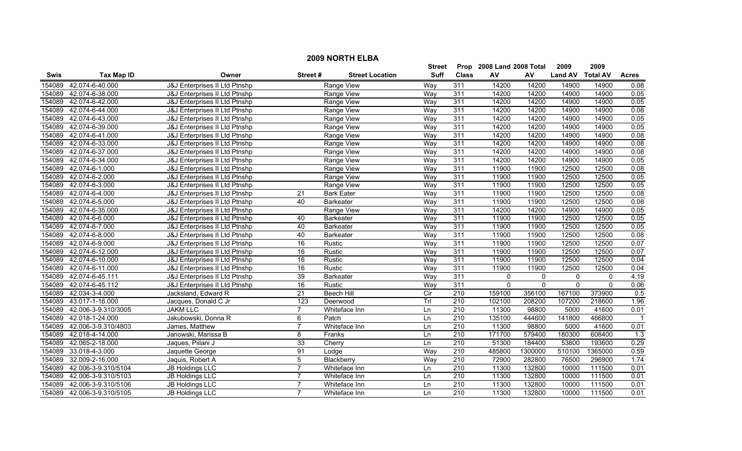|                                    | <b>2009 NORTH ELBA</b><br>Prop 2008 Land 2008 Total |                               |                |                        |             |                  |              |             |                |                 |                  |  |  |
|------------------------------------|-----------------------------------------------------|-------------------------------|----------------|------------------------|-------------|------------------|--------------|-------------|----------------|-----------------|------------------|--|--|
| <b>Tax Map ID</b><br>Owner<br>Swis |                                                     |                               |                |                        | Street      |                  |              |             | 2009           | 2009            |                  |  |  |
|                                    |                                                     |                               | Street#        | <b>Street Location</b> | <b>Suff</b> | <b>Class</b>     | AV           | AV          | <b>Land AV</b> | <b>Total AV</b> | <b>Acres</b>     |  |  |
| 154089                             | 42.074-6-40.000                                     | J&J Enterprises II Ltd Ptnshp |                | Range View             | Way         | 311              | 14200        | 14200       | 14900          | 14900           | 0.08             |  |  |
| 154089                             | 42.074-6-38.000                                     | J&J Enterprises II Ltd Ptnshp |                | Range View             | Way         | 311              | 14200        | 14200       | 14900          | 14900           | 0.05             |  |  |
| 154089                             | 42.074-6-42.000                                     | J&J Enterprises II Ltd Ptnshp |                | Range View             | Way         | 311              | 14200        | 14200       | 14900          | 14900           | 0.05             |  |  |
| 154089                             | 42.074-6-44.000                                     | J&J Enterprises II Ltd Ptnshp |                | <b>Range View</b>      | Way         | 311              | 14200        | 14200       | 14900          | 14900           | 0.08             |  |  |
| 154089                             | 42.074-6-43.000                                     | J&J Enterprises II Ltd Ptnshp |                | Range View             | Way         | 311              | 14200        | 14200       | 14900          | 14900           | 0.05             |  |  |
| 154089                             | 42.074-6-39.000                                     | J&J Enterprises II Ltd Ptnshp |                | Range View             | Way         | 311              | 14200        | 14200       | 14900          | 14900           | 0.05             |  |  |
| 154089                             | 42.074-6-41.000                                     | J&J Enterprises II Ltd Ptnshp |                | Range View             | Way         | 311              | 14200        | 14200       | 14900          | 14900           | 0.08             |  |  |
| 154089                             | 42.074-6-33.000                                     | J&J Enterprises II Ltd Ptnshp |                | Range View             | Way         | 311              | 14200        | 14200       | 14900          | 14900           | 0.08             |  |  |
| 154089                             | 42.074-6-37.000                                     | J&J Enterprises II Ltd Ptnshp |                | Range View             | Way         | 311              | 14200        | 14200       | 14900          | 14900           | 0.08             |  |  |
| 154089                             | 42.074-6-34.000                                     | J&J Enterprises II Ltd Ptnshp |                | Range View             | Way         | 311              | 14200        | 14200       | 14900          | 14900           | 0.05             |  |  |
| 154089                             | 42.074-6-1.000                                      | J&J Enterprises II Ltd Ptnshp |                | Range View             | Way         | 311              | 11900        | 11900       | 12500          | 12500           | 0.08             |  |  |
| 154089                             | 42.074-6-2.000                                      | J&J Enterprises II Ltd Ptnshp |                | Range View             | Way         | 311              | 11900        | 11900       | 12500          | 12500           | 0.05             |  |  |
| 154089                             | 42.074-6-3.000                                      | J&J Enterprises II Ltd Ptnshp |                | Range View             | Way         | 311              | 11900        | 11900       | 12500          | 12500           | 0.05             |  |  |
| 154089                             | 42.074-6-4.000                                      | J&J Enterprises II Ltd Ptnshp | 21             | <b>Bark Eater</b>      | Way         | 311              | 11900        | 11900       | 12500          | 12500           | 0.08             |  |  |
| 154089                             | 42.074-6-5.000                                      | J&J Enterprises II Ltd Ptnshp | 40             | <b>Barkeater</b>       | Way         | 311              | 11900        | 11900       | 12500          | 12500           | 0.08             |  |  |
| 154089                             | 42.074-6-35.000                                     | J&J Enterprises II Ltd Ptnshp |                | Range View             | Way         | 311              | 14200        | 14200       | 14900          | 14900           | 0.05             |  |  |
| 154089                             | 42.074-6-6.000                                      | J&J Enterprises II Ltd Ptnshp | 40             | <b>Barkeater</b>       | Way         | 311              | 11900        | 11900       | 12500          | 12500           | 0.05             |  |  |
| 154089                             | 42.074-6-7.000                                      | J&J Enterprises II Ltd Ptnshp | 40             | <b>Barkeater</b>       | Way         | 311              | 11900        | 11900       | 12500          | 12500           | 0.05             |  |  |
| 154089                             | 42.074-6-8.000                                      | J&J Enterprises II Ltd Ptnshp | 40             | <b>Barkeater</b>       | Way         | 311              | 11900        | 11900       | 12500          | 12500           | 0.08             |  |  |
| 154089                             | 42.074-6-9.000                                      | J&J Enterprises II Ltd Ptnshp | 16             | <b>Rustic</b>          | Way         | 311              | 11900        | 11900       | 12500          | 12500           | 0.07             |  |  |
| 154089                             | 42.074-6-12.000                                     | J&J Enterprises II Ltd Ptnshp | 16             | Rustic                 | Way         | 311              | 11900        | 11900       | 12500          | 12500           | 0.07             |  |  |
| 154089                             | 42.074-6-10.000                                     | J&J Enterprises II Ltd Ptnshp | 16             | Rustic                 | Way         | 311              | 11900        | 11900       | 12500          | 12500           | 0.04             |  |  |
| 154089                             | 42.074-6-11.000                                     | J&J Enterprises II Ltd Ptnshp | 16             | Rustic                 | Way         | 311              | 11900        | 11900       | 12500          | 12500           | 0.04             |  |  |
| 154089                             | 42.074-6-45.111                                     | J&J Enterprises II Ltd Ptnshp | 39             | <b>Barkeater</b>       | Way         | 311              | $\mathbf{0}$ | 0           | $\mathbf 0$    | $\Omega$        | 4.19             |  |  |
| 154089                             | 42.074-6-45.112                                     | J&J Enterprises II Ltd Ptnshp | 16             | Rustic                 | Way         | 311              | $\mathbf{0}$ | $\mathbf 0$ | $\mathbf 0$    | $\Omega$        | 0.06             |  |  |
| 154089                             | 42.034-3-4.000                                      | Jacksland, Edward R           | 21             | Beech Hill             | Cir         | 210              | 159100       | 356100      | 167100         | 373900          | $\overline{0.5}$ |  |  |
| 154089                             | 43.017-1-16.000                                     | Jacques, Donald C Jr          | 123            | Deerwood               | Trl         | $\overline{210}$ | 102100       | 208200      | 107200         | 218600          | 1.96             |  |  |
| 154089                             | 42.006-3-9.310/3005                                 | <b>JAKM LLC</b>               | $\overline{7}$ | Whiteface Inn          | Ln          | $\overline{210}$ | 11300        | 98800       | 5000           | 41600           | 0.01             |  |  |
| 154089                             | 42.018-1-24.000                                     | Jakubowski, Donna R           | $\overline{6}$ | Patch                  | Ln          | 210              | 135100       | 444600      | 141800         | 466800          | -1               |  |  |
| 154089                             | 42.006-3-9.310/4803                                 | James, Matthew                | 7              | Whiteface Inn          | Ln          | 210              | 11300        | 98800       | 5000           | 41600           | 0.01             |  |  |
| 154089                             | 42.018-4-14.000                                     | Janowski, Marissa B           | 8              | Franks                 | Ln          | 210              | 171700       | 579400      | 180300         | 608400          | $\overline{1.3}$ |  |  |
| 154089                             | 42.065-2-18.000                                     | Jaques, Piilani J             | 33             | Cherry                 | Ln          | 210              | 51300        | 184400      | 53800          | 193600          | 0.29             |  |  |
| 154089                             | 33.018-4-3.000                                      | Jaquette George               | 91             | Lodge                  | Way         | 210              | 485800       | 1300000     | 510100         | 1365000         | 0.59             |  |  |
| 154089                             | 32.009-2-16.000                                     | Jaquis, Robert A              | $\overline{5}$ | Blackberry             | Way         | 210              | 72900        | 282800      | 76500          | 296900          | 1.74             |  |  |
| 154089                             | 42.006-3-9.310/5104                                 | JB Holdings LLC               | $\overline{7}$ | Whiteface Inn          | Ln          | $\overline{210}$ | 11300        | 132800      | 10000          | 111500          | 0.01             |  |  |
| 154089                             | 42.006-3-9.310/5103                                 | <b>JB Holdings LLC</b>        | $\overline{7}$ | Whiteface Inn          | Ln          | 210              | 11300        | 132800      | 10000          | 111500          | 0.01             |  |  |
| 154089                             | 42.006-3-9.310/5106                                 | <b>JB Holdings LLC</b>        | 7              | Whiteface Inn          | Ln          | $\overline{210}$ | 11300        | 132800      | 10000          | 111500          | 0.01             |  |  |
|                                    | 154089 42.006-3-9.310/5105                          | JB Holdings LLC               | $\overline{7}$ | Whiteface Inn          | Ln          | 210              | 11300        | 132800      | 10000          | 111500          | 0.01             |  |  |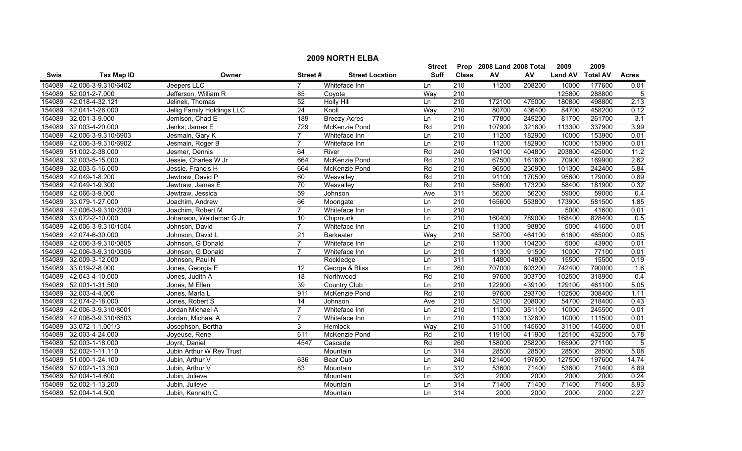|             | <b>2009 NORTH ELBA</b>     |                            |                 |                        |               |                  |                           |        |                |                 |                  |  |
|-------------|----------------------------|----------------------------|-----------------|------------------------|---------------|------------------|---------------------------|--------|----------------|-----------------|------------------|--|
|             |                            |                            |                 |                        | <b>Street</b> |                  | Prop 2008 Land 2008 Total |        | 2009           | 2009            |                  |  |
| <b>Swis</b> | <b>Tax Map ID</b>          | Owner                      | Street#         | <b>Street Location</b> | <b>Suff</b>   | <b>Class</b>     | ${\sf AV}$                | AV     | <b>Land AV</b> | <b>Total AV</b> | <b>Acres</b>     |  |
| 154089      | 42.006-3-9.310/6402        | Jeepers LLC                | $\overline{7}$  | Whiteface Inn          | Ln            | $\overline{210}$ | 11200                     | 208200 | 10000          | 177600          | 0.01             |  |
| 154089      | 52.001-2-7.000             | Jefferson, William R       | 85              | Coyote                 | Way           | $\overline{210}$ |                           |        | 125800         | 288800          | 5                |  |
| 154089      | 42.018-4-32.121            | Jelinek, Thomas            | 52              | <b>Holly Hill</b>      | Ln            | 210              | 172100                    | 475000 | 180800         | 498800          | 2.13             |  |
| 154089      | 42.041-1-26.000            | Jellig Family Holdings LLC | 24              | Knoll                  | Way           | 210              | 80700                     | 436400 | 84700          | 458200          | 0.12             |  |
| 154089      | 32.001-3-9.000             | Jemison, Chad E            | 189             | <b>Breezy Acres</b>    | Ln            | 210              | 77800                     | 249200 | 81700          | 261700          | 3.1              |  |
| 154089      | 32.003-4-20.000            | Jenks, James E             | 729             | McKenzie Pond          | Rd            | 210              | 107900                    | 321800 | 113300         | 337900          | 3.99             |  |
| 154089      | 42.006-3-9.310/6903        | Jesmain, Gary K            | $\overline{7}$  | Whiteface Inn          | Ln            | 210              | 11200                     | 182900 | 10000          | 153900          | 0.01             |  |
| 154089      | 42.006-3-9.310/6902        | Jesmain, Roger B           | $\overline{7}$  | Whiteface Inn          | Ln            | 210              | 11200                     | 182900 | 10000          | 153900          | 0.01             |  |
|             | 154089 51.002-2-38.000     | Jesmer, Dennis             | 64              | River                  | Rd            | $\overline{240}$ | 194100                    | 404800 | 203800         | 425000          | 11.2             |  |
| 154089      | 32.003-5-15.000            | Jessie, Charles W Jr       | 664             | McKenzie Pond          | Rd            | 210              | 67500                     | 161800 | 70900          | 169900          | 2.62             |  |
| 154089      | 32.003-5-16.000            | Jessie, Francis H          | 664             | McKenzie Pond          | Rd            | 210              | 96500                     | 230900 | 101300         | 242400          | 5.84             |  |
| 154089      | 42.049-1-8.200             | Jewtraw, David P           | 60              | Wesvalley              | Rd            | $\overline{210}$ | 91100                     | 170500 | 95600          | 179000          | 0.89             |  |
| 154089      | 42.049-1-9.300             | Jewtraw, James E           | $\overline{70}$ | Wesvalley              | Rd            | $\overline{210}$ | 55600                     | 173200 | 58400          | 181900          | 0.32             |  |
| 154089      | 42.066-3-9.000             | Jewtraw, Jessica           | 59              | Johnson                | Ave           | 311              | 56200                     | 56200  | 59000          | 59000           | $\overline{0.4}$ |  |
|             | 154089 33.079-1-27.000     | Joachim, Andrew            | 66              | Moongate               | Ln            | $\overline{210}$ | 165600                    | 553800 | 173900         | 581500          | 1.85             |  |
|             | 154089 42.006-3-9.310/2309 | Joachim, Robert M          | $\overline{7}$  | Whiteface Inn          | Ln            | $\overline{210}$ |                           |        | 5000           | 41600           | 0.01             |  |
| 154089      | 33.072-2-10.000            | Johanson, Waldemar G Jr    | 10              | Chipmunk               | Ln            | 210              | 160400                    | 789000 | 168400         | 828400          | 0.5              |  |
| 154089      | 42.006-3-9.310/1504        | Johnson, David             | $\overline{7}$  | Whiteface Inn          | Ln            | 210              | 11300                     | 98800  | 5000           | 41600           | 0.01             |  |
| 154089      | 42.074-6-30.000            | Johnson, David L           | 21              | <b>Barkeater</b>       | Way           | 210              | 58700                     | 464100 | 61600          | 465000          | 0.05             |  |
| 154089      | 42.006-3-9.310/0805        | Johnson, G Donald          | $\overline{7}$  | Whiteface Inn          | Ln            | 210              | 11300                     | 104200 | 5000           | 43900           | 0.01             |  |
| 154089      | 42.006-3-9.310/0306        | Johnson, G Donald          | $\overline{7}$  | Whiteface Inn          | Ln            | 210              | 11300                     | 91500  | 10000          | 77100           | 0.01             |  |
| 154089      | 32.009-3-12.000            | Johnson, Paul N            |                 | Rockledge              | Ln            | 311              | 14800                     | 14800  | 15500          | 15500           | 0.19             |  |
| 154089      | 33.019-2-8.000             | Jones, Georgia E           | $\overline{12}$ | George & Bliss         | Ln            | 260              | 707000                    | 803200 | 742400         | 790000          | 1.6              |  |
| 154089      | 42.043-4-10.000            | Jones, Judith A            | 18              | Northwood              | Rd            | $\overline{210}$ | 97600                     | 303700 | 102500         | 318900          | 0.4              |  |
| 154089      | 52.001-1-31.500            | Jones, M Ellen             | 39              | Country Club           | Ln            | $\overline{210}$ | 122900                    | 439100 | 129100         | 461100          | 5.05             |  |
|             | 154089 32.003-4-4.000      | Jones, Marla L             | 911             | McKenzie Pond          | Rd            | 210              | 97600                     | 293700 | 102500         | 308400          | 1.11             |  |
|             | 154089 42.074-2-18.000     | Jones, Robert S            | $\overline{14}$ | Johnson                | Ave           | $\overline{210}$ | 52100                     | 208000 | 54700          | 218400          | 0.43             |  |
| 154089      | 42.006-3-9.310/8001        | Jordan Michael A           | $\overline{7}$  | Whiteface Inn          | Ln            | $\overline{210}$ | 11200                     | 351100 | 10000          | 245500          | 0.01             |  |
| 154089      | 42.006-3-9.310/6503        | Jordan, Michael A          | $\overline{7}$  | Whiteface Inn          | Ln            | 210              | 11300                     | 132800 | 10000          | 111500          | 0.01             |  |
| 154089      | 33.072-1-1.001/3           | Josephson, Bertha          | 3               | Hemlock                | Way           | 210              | 31100                     | 145600 | 31100          | 145600          | 0.01             |  |
| 154089      | 32.003-4-24.000            | Joyeuse, Rene              | 611             | McKenzie Pond          | Rd            | 210              | 119100                    | 411900 | 125100         | 432500          | 5.78             |  |
| 154089      | 52.003-1-18.000            | Joynt, Daniel              | 4547            | Cascade                | Rd            | 260              | 158000                    | 258200 | 165900         | 271100          | $\overline{5}$   |  |
| 154089      | 52.002-1-11.110            | Jubin Arthur W Rev Trust   |                 | Mountain               | Ln            | 314              | 28500                     | 28500  | 28500          | 28500           | 5.08             |  |
| 154089      | 51.000-1-24.100            | Jubin, Arthur V            | 636             | Bear Cub               | Ln            | 240              | 121400                    | 197600 | 127500         | 197600          | 14.74            |  |
| 154089      | 52.002-1-13.300            | Jubin, Arthur V            | 83              | Mountain               | Ln            | 312              | 53600                     | 71400  | 53600          | 71400           | 8.89             |  |
| 154089      | 52.004-1-4.600             | Jubin, Julieve             |                 | Mountain               | Ln            | 323              | 2000                      | 2000   | 2000           | 2000            | 0.24             |  |
| 154089      | 52.002-1-13.200            | Jubin, Julieve             |                 | Mountain               | Ln            | 314              | 71400                     | 71400  | 71400          | 71400           | 8.93             |  |
|             | 154089 52.004-1-4.500      | Jubin. Kenneth C           |                 | Mountain               | Ln            | 314              | 2000                      | 2000   | 2000           | 2000            | 2.27             |  |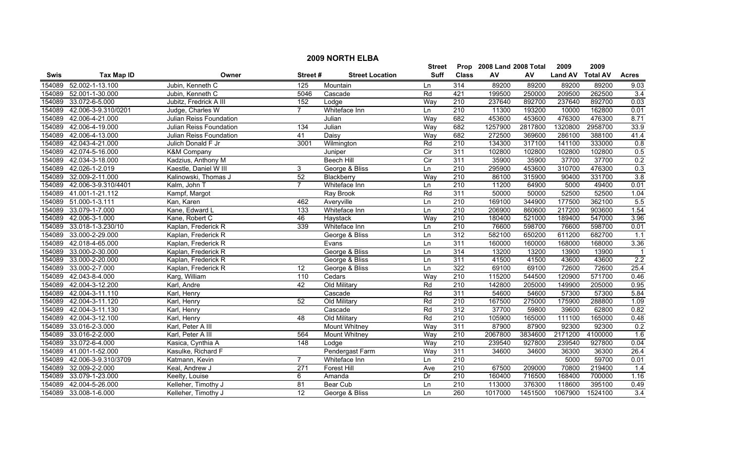|        | <b>2009 NORTH ELBA</b> |                         |                  |                        |                |                  |                           |         |                |                 |                  |  |
|--------|------------------------|-------------------------|------------------|------------------------|----------------|------------------|---------------------------|---------|----------------|-----------------|------------------|--|
|        |                        |                         |                  |                        | <b>Street</b>  |                  | Prop 2008 Land 2008 Total |         | 2009           | 2009            |                  |  |
| Swis   | <b>Tax Map ID</b>      | Owner                   | Street#          | <b>Street Location</b> | Suff           | <b>Class</b>     | ${\sf AV}$                | AV      | <b>Land AV</b> | <b>Total AV</b> | <b>Acres</b>     |  |
| 154089 | 52.002-1-13.100        | Jubin, Kenneth C        | 125              | Mountain               | Ln             | 314              | 89200                     | 89200   | 89200          | 89200           | 9.03             |  |
| 154089 | 52.001-1-30.000        | Jubin, Kenneth C        | 5046             | Cascade                | Rd             | 421              | 199500                    | 250000  | 209500         | 262500          | 3.4              |  |
| 154089 | 33.072-6-5.000         | Jubitz, Fredrick A III  | 152              | Lodge                  | Way            | $\overline{210}$ | 237640                    | 892700  | 237640         | 892700          | 0.03             |  |
| 154089 | 42.006-3-9.310/0201    | Judge, Charles W        | $\overline{7}$   | Whiteface Inn          | Ln             | 210              | 11300                     | 193200  | 10000          | 162800          | 0.01             |  |
| 154089 | 42.006-4-21.000        | Julian Reiss Foundation |                  | Julian                 | Way            | 682              | 453600                    | 453600  | 476300         | 476300          | 8.71             |  |
| 154089 | 42.006-4-19.000        | Julian Reiss Foundation | 134              | Julian                 | Way            | 682              | 1257900                   | 2817800 | 1320800        | 2958700         | 33.9             |  |
| 154089 | 42.006-4-13.000        | Julian Reiss Foundation | 41               | Daisy                  | Way            | 682              | 272500                    | 369600  | 286100         | 388100          | 41.4             |  |
| 154089 | 42.043-4-21.000        | Julich Donald F Jr      | 3001             | Wilmington             | Rd             | 210              | 134300                    | 317100  | 141100         | 333000          | 0.8              |  |
| 154089 | 42.074-5-16.000        | <b>K&amp;M Company</b>  |                  | Juniper                | Cir            | 311              | 102800                    | 102800  | 102800         | 102800          | 0.5              |  |
| 154089 | 42.034-3-18.000        | Kadzius, Anthony M      |                  | <b>Beech Hill</b>      | $\overline{C}$ | 311              | 35900                     | 35900   | 37700          | 37700           | 0.2              |  |
| 154089 | 42.026-1-2.019         | Kaestle, Daniel W III   | 3                | George & Bliss         | Ln             | $\overline{210}$ | 295900                    | 453600  | 310700         | 476300          | 0.3              |  |
| 154089 | 32.009-2-11.000        | Kalinowski, Thomas J    | 52               | Blackberry             | Way            | 210              | 86100                     | 315900  | 90400          | 331700          | 3.8              |  |
| 154089 | 42.006-3-9.310/4401    | Kalm, John T            | $\overline{7}$   | Whiteface Inn          | Ln             | $\overline{210}$ | 11200                     | 64900   | 5000           | 49400           | 0.01             |  |
| 154089 | 41.001-1-21.112        | Kampf, Margot           |                  | Ray Brook              | Rd             | 311              | 50000                     | 50000   | 52500          | 52500           | 1.04             |  |
|        | 154089 51.000-1-3.111  | Kan, Karen              | 462              | Averyville             | Ln             | 210              | 169100                    | 344900  | 177500         | 362100          | 5.5              |  |
| 154089 | 33.079-1-7.000         | Kane, Edward L          | $\overline{133}$ | Whiteface Inn          | Ln             | $\overline{210}$ | 206900                    | 860600  | 217200         | 903600          | 1.54             |  |
|        | 154089 42.006-3-1.000  | Kane, Robert C          | 46               | Haystack               | Way            | 210              | 180400                    | 521000  | 189400         | 547000          | 3.96             |  |
| 154089 | 33.018-1-3.230/10      | Kaplan, Frederick R     | 339              | Whiteface Inn          | Ln             | 210              | 76600                     | 598700  | 76600          | 598700          | 0.01             |  |
| 154089 | 33.000-2-29.000        | Kaplan, Frederick R     |                  | George & Bliss         | Ln             | 312              | 582100                    | 650200  | 611200         | 682700          | 1.1              |  |
| 154089 | 42.018-4-65.000        | Kaplan, Frederick R     |                  | Evans                  | Ln             | 311              | 160000                    | 160000  | 168000         | 168000          | 3.36             |  |
| 154089 | 33.000-2-30.000        | Kaplan, Frederick R     |                  | George & Bliss         | Ln             | 314              | 13200                     | 13200   | 13900          | 13900           |                  |  |
| 154089 | 33.000-2-20.000        | Kaplan, Frederick R     |                  | George & Bliss         | Ln             | 311              | 41500                     | 41500   | 43600          | 43600           | 2.2              |  |
| 154089 | 33.000-2-7.000         | Kaplan, Frederick R     | 12               | George & Bliss         | Ln             | 322              | 69100                     | 69100   | 72600          | 72600           | 25.4             |  |
| 154089 | 42.043-8-4.000         | Karg, William           | 110              | Cedars                 | Way            | $\overline{210}$ | 115200                    | 544500  | 120900         | 571700          | 0.46             |  |
| 154089 | 42.004-3-12.200        | Karl, Andre             | 42               | Old Military           | Rd             | 210              | 142800                    | 205000  | 149900         | 205000          | 0.95             |  |
| 154089 | 42.004-3-11.110        | Karl, Henry             |                  | Cascade                | Rd             | 311              | 54600                     | 54600   | 57300          | 57300           | 5.84             |  |
|        | 154089 42.004-3-11.120 | Karl, Henry             | $\overline{52}$  | Old Military           | Rd             | $\overline{210}$ | 167500                    | 275000  | 175900         | 288800          | 1.09             |  |
| 154089 | 42.004-3-11.130        | Karl, Henry             |                  | Cascade                | Rd             | 312              | 37700                     | 59800   | 39600          | 62800           | 0.82             |  |
| 154089 | 42.004-3-12.100        | Karl, Henry             | 48               | Old Military           | Rd             | 210              | 105900                    | 165000  | 111100         | 165000          | 0.48             |  |
| 154089 | 33.016-2-3.000         | Karl, Peter A III       |                  | <b>Mount Whitney</b>   | Way            | 311              | 87900                     | 87900   | 92300          | 92300           | 0.2              |  |
| 154089 | 33.016-2-2.000         | Karl, Peter A III       | 564              | <b>Mount Whitney</b>   | Way            | 210              | 2067800                   | 3834600 | 2171200        | 4100000         | 1.6              |  |
| 154089 | 33.072-6-4.000         | Kasica, Cynthia A       | $\overline{148}$ | Lodge                  | Way            | 210              | 239540                    | 927800  | 239540         | 927800          | 0.04             |  |
|        | 154089 41.001-1-52.000 | Kasulke, Richard F      |                  | Pendergast Farm        | Way            | 311              | 34600                     | 34600   | 36300          | 36300           | 26.4             |  |
| 154089 | 42.006-3-9.310/3709    | Katmann, Kevin          | $\overline{7}$   | Whiteface Inn          | Ln             | $\overline{210}$ |                           |         | 5000           | 59700           | 0.01             |  |
| 154089 | 32.009-2-2.000         | Keal, Andrew J          | 271              | Forest Hill            | Ave            | $\overline{210}$ | 67500                     | 209000  | 70800          | 219400          | 1.4              |  |
| 154089 | 33.079-1-23.000        | Keelty, Louise          | 6                | Amanda                 | Dr             | $\overline{210}$ | 160400                    | 716500  | 168400         | 700000          | 1.16             |  |
| 154089 | 42.004-5-26.000        | Kelleher, Timothy J     | 81               | Bear Cub               | Ln             | 210              | 113000                    | 376300  | 118600         | 395100          | 0.49             |  |
|        | 154089 33.008-1-6.000  | Kelleher, Timothy J     | 12               | George & Bliss         | Ln             | 260              | 1017000                   | 1451500 | 1067900        | 1524100         | $\overline{3.4}$ |  |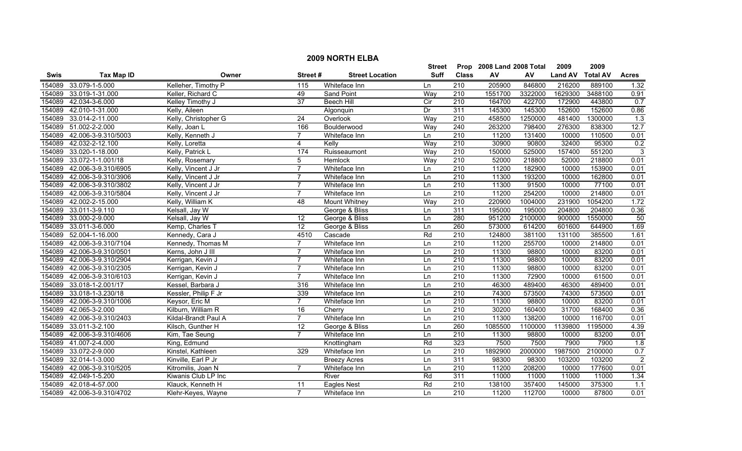|        | <b>2009 NORTH ELBA</b>     |                      |                 |                        |                |                  |                           |         |                |                 |                  |
|--------|----------------------------|----------------------|-----------------|------------------------|----------------|------------------|---------------------------|---------|----------------|-----------------|------------------|
|        |                            |                      |                 |                        | Street         |                  | Prop 2008 Land 2008 Total |         | 2009           | 2009            |                  |
| Swis   | <b>Tax Map ID</b>          | Owner                | Street#         | <b>Street Location</b> | <b>Suff</b>    | <b>Class</b>     | ${\sf AV}$                | AV      | <b>Land AV</b> | <b>Total AV</b> | <b>Acres</b>     |
| 154089 | 33.079-1-5.000             | Kelleher, Timothy P  | 115             | Whiteface Inn          | Ln             | 210              | 205900                    | 846800  | 216200         | 889100          | 1.32             |
| 154089 | 33.019-1-31.000            | Keller, Richard C    | 49              | Sand Point             | Way            | 210              | 1551700                   | 3322000 | 1629300        | 3488100         | 0.91             |
| 154089 | 42.034-3-6.000             | Kelley Timothy J     | $\overline{37}$ | <b>Beech Hill</b>      | $\overline{C}$ | 210              | 164700                    | 422700  | 172900         | 443800          | 0.7              |
| 154089 | 42.010-1-31.000            | Kelly, Aileen        |                 | Algonquin              | Dr             | 311              | 145300                    | 145300  | 152600         | 152600          | 0.86             |
| 154089 | 33.014-2-11.000            | Kelly, Christopher G | 24              | Overlook               | Way            | 210              | 458500                    | 1250000 | 481400         | 1300000         | $\overline{1.3}$ |
| 154089 | 51.002-2-2.000             | Kelly, Joan L        | 166             | Boulderwood            | Way            | 240              | 263200                    | 798400  | 276300         | 838300          | 12.7             |
| 154089 | 42.006-3-9.310/5003        | Kelly, Kenneth J     | 7               | Whiteface Inn          | Ln             | $\overline{210}$ | 11200                     | 131400  | 10000          | 110500          | 0.01             |
| 154089 | 42.032-2-12.100            | Kelly, Loretta       | 4               | Kelly                  | Way            | 210              | 30900                     | 90800   | 32400          | 95300           | 0.2              |
| 154089 | 33.020-1-18.000            | Kelly, Patrick L     | 174             | Ruisseaumont           | Way            | 210              | 150000                    | 525000  | 157400         | 551200          | $\overline{3}$   |
| 154089 | 33.072-1-1.001/18          | Kelly, Rosemary      | 5               | Hemlock                | Way            | $\overline{210}$ | 52000                     | 218800  | 52000          | 218800          | 0.01             |
| 154089 | 42.006-3-9.310/6905        | Kelly, Vincent J Jr  | $\overline{7}$  | Whiteface Inn          | Ln             | 210              | 11200                     | 182900  | 10000          | 153900          | 0.01             |
| 154089 | 42.006-3-9.310/3906        | Kelly, Vincent J Jr  | $\overline{7}$  | Whiteface Inn          | Ln             | $\overline{210}$ | 11300                     | 193200  | 10000          | 162800          | 0.01             |
| 154089 | 42.006-3-9.310/3802        | Kelly, Vincent J Jr  | $\overline{7}$  | Whiteface Inn          | Ln             | $\overline{210}$ | 11300                     | 91500   | 10000          | 77100           | 0.01             |
| 154089 | 42.006-3-9.310/5804        | Kelly, Vincent J Jr  | $\overline{7}$  | Whiteface Inn          | Ln             | $\overline{210}$ | 11200                     | 254200  | 10000          | 214800          | 0.01             |
| 154089 | 42.002-2-15.000            | Kelly, William K     | 48              | Mount Whitney          | Way            | $\overline{210}$ | 220900                    | 1004000 | 231900         | 1054200         | 1.72             |
| 154089 | 33.011-3-9.110             | Kelsall, Jay W       |                 | George & Bliss         | Ln             | 311              | 195000                    | 195000  | 204800         | 204800          | 0.36             |
| 154089 | 33.000-2-9.000             | Kelsall, Jay W       | 12              | George & Bliss         | Ln             | 280              | 951200                    | 2100000 | 900000         | 1550000         | 50               |
| 154089 | 33.011-3-6.000             | Kemp, Charles T      | 12              | George & Bliss         | Ln             | 260              | 573000                    | 614200  | 601600         | 644900          | 1.69             |
| 154089 | 52.004-1-16.000            | Kennedy, Cara J      | 4510            | Cascade                | Rd             | 210              | 124800                    | 381100  | 131100         | 385500          | 1.61             |
| 154089 | 42.006-3-9.310/7104        | Kennedy, Thomas M    |                 | Whiteface Inn          | Ln             | 210              | 11200                     | 255700  | 10000          | 214800          | 0.01             |
| 154089 | 42.006-3-9.310/0501        | Kerns, John J III    |                 | Whiteface Inn          | Ln             | 210              | 11300                     | 98800   | 10000          | 83200           | 0.01             |
| 154089 | 42.006-3-9.310/2904        | Kerrigan, Kevin J    | 7               | Whiteface Inn          | Ln             | $\overline{210}$ | 11300                     | 98800   | 10000          | 83200           | 0.01             |
| 154089 | 42.006-3-9.310/2305        | Kerrigan, Kevin J    | $\overline{7}$  | Whiteface Inn          | Ln             | $\overline{210}$ | 11300                     | 98800   | 10000          | 83200           | 0.01             |
| 154089 | 42.006-3-9.310/6103        | Kerrigan, Kevin J    | $\overline{7}$  | Whiteface Inn          | Ln             | 210              | 11300                     | 72900   | 10000          | 61500           | 0.01             |
| 154089 | 33.018-1-2.001/17          | Kessel, Barbara J    | 316             | Whiteface Inn          | Ln             | $\overline{210}$ | 46300                     | 489400  | 46300          | 489400          | 0.01             |
| 154089 | 33.018-1-3.230/18          | Kessler, Philip F Jr | 339             | Whiteface Inn          | Ln             | $\overline{210}$ | 74300                     | 573500  | 74300          | 573500          | 0.01             |
| 154089 | 42.006-3-9.310/1006        | Keysor, Eric M       | $\overline{7}$  | Whiteface Inn          | Ln             | $\overline{210}$ | 11300                     | 98800   | 10000          | 83200           | 0.01             |
| 154089 | 42.065-3-2.000             | Kilburn, William R   | 16              | Cherry                 | Ln             | $\overline{210}$ | 30200                     | 160400  | 31700          | 168400          | 0.36             |
| 154089 | 42.006-3-9.310/2403        | Kildal-Brandt Paul A | $\overline{7}$  | Whiteface Inn          | Ln             | 210              | 11300                     | 138200  | 10000          | 116700          | 0.01             |
| 154089 | 33.011-3-2.100             | Kilsch, Gunther H    | $\overline{12}$ | George & Bliss         | Ln             | 260              | 1085500                   | 1100000 | 1139800        | 1195000         | 4.39             |
| 154089 | 42.006-3-9.310/4606        | Kim, Tae Seung       | $\overline{7}$  | Whiteface Inn          | Ln             | 210              | 11300                     | 98800   | 10000          | 83200           | 0.01             |
|        | 154089 41.007-2-4.000      | King, Edmund         |                 | Knottingham            | Rd             | 323              | 7500                      | 7500    | 7900           | 7900            | 1.8              |
| 154089 | 33.072-2-9.000             | Kinstel, Kathleen    | 329             | Whiteface Inn          | Ln             | 210              | 1892900                   | 2000000 | 1987500        | 2100000         | 0.7              |
| 154089 | 32.014-1-3.000             | Kinville, Earl P Jr  |                 | <b>Breezy Acres</b>    | Ln             | 311              | 98300                     | 98300   | 103200         | 103200          | $\overline{2}$   |
| 154089 | 42.006-3-9.310/5205        | Kitromilis, Joan N   | $\overline{7}$  | Whiteface Inn          | Ln             | 210              | 11200                     | 208200  | 10000          | 177600          | 0.01             |
| 154089 | 42.049-1-5.200             | Kiwanis Club LP Inc  |                 | River                  | Rd             | 311              | 11000                     | 11000   | 11000          | 11000           | 1.34             |
| 154089 | 42.018-4-57.000            | Klauck, Kenneth H    | 11              | <b>Eagles Nest</b>     | Rd             | 210              | 138100                    | 357400  | 145000         | 375300          | 1.1              |
|        | 154089 42.006-3-9.310/4702 | Klehr-Keyes, Wayne   | $\overline{7}$  | Whiteface Inn          | Ln             | 210              | 11200                     | 112700  | 10000          | 87800           | 0.01             |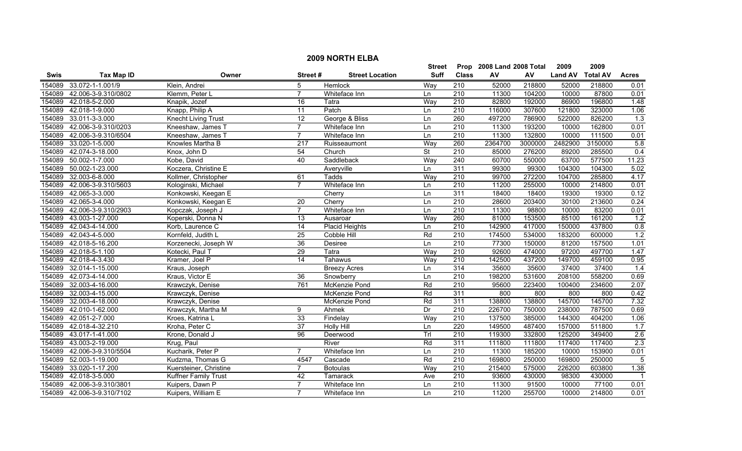|             |                     |                            |                 |                        | <b>Street</b> |                  | Prop 2008 Land 2008 Total |         | 2009           | 2009            |                  |
|-------------|---------------------|----------------------------|-----------------|------------------------|---------------|------------------|---------------------------|---------|----------------|-----------------|------------------|
| <b>Swis</b> | <b>Tax Map ID</b>   | Owner                      | Street#         | <b>Street Location</b> | <b>Suff</b>   | <b>Class</b>     | AV                        | AV      | <b>Land AV</b> | <b>Total AV</b> | <b>Acres</b>     |
| 154089      | 33.072-1-1.001/9    | Klein, Andrei              |                 | Hemlock                | Way           | 210              | 52000                     | 218800  | 52000          | 218800          | 0.01             |
| 154089      | 42.006-3-9.310/0802 | Klemm, Peter L             | $\overline{7}$  | Whiteface Inn          | Ln            | $\overline{210}$ | 11300                     | 104200  | 10000          | 87800           | 0.01             |
| 154089      | 42.018-5-2.000      | Knapik, Jozef              | 16              | Tatra                  | Way           | $\overline{210}$ | 82800                     | 192000  | 86900          | 196800          | 1.48             |
| 154089      | 42.018-1-9.000      | Knapp, Philip A            | $\overline{11}$ | Patch                  | Ln            | 210              | 116000                    | 307600  | 121800         | 323000          | 1.06             |
| 154089      | 33.011-3-3.000      | <b>Knecht Living Trust</b> | 12              | George & Bliss         | Ln            | 260              | 497200                    | 786900  | 522000         | 826200          | 1.3              |
| 154089      | 42.006-3-9.310/0203 | Kneeshaw, James T          | $\overline{7}$  | Whiteface Inn          | Ln            | 210              | 11300                     | 193200  | 10000          | 162800          | 0.01             |
| 154089      | 42.006-3-9.310/6504 | Kneeshaw, James T          | $\overline{7}$  | Whiteface Inn          | Ln            | 210              | 11300                     | 132800  | 10000          | 111500          | 0.01             |
| 154089      | 33.020-1-5.000      | Knowles Martha B           | 217             | Ruisseaumont           | Way           | 260              | 2364700                   | 3000000 | 2482900        | 3150000         | 5.8              |
| 154089      | 42.074-3-18.000     | Knox, John D               | $\overline{54}$ | Church                 | St            | $\overline{210}$ | 85000                     | 276200  | 89200          | 285500          | $\overline{0.4}$ |
| 154089      | 50.002-1-7.000      | Kobe, David                | 40              | Saddleback             | Way           | $\overline{240}$ | 60700                     | 550000  | 63700          | 577500          | 11.23            |
| 154089      | 50.002-1-23.000     | Koczera, Christine E       |                 | Averyville             | Ln            | 311              | 99300                     | 99300   | 104300         | 104300          | 5.02             |
| 154089      | 32.003-6-8.000      | Kollmer, Christopher       | 61              | Tadds                  | Way           | $\overline{210}$ | 99700                     | 272200  | 104700         | 285800          | 4.17             |
| 154089      | 42.006-3-9.310/5603 | Kologinski, Michael        | $\overline{7}$  | Whiteface Inn          | Ln            | $\overline{210}$ | 11200                     | 255000  | 10000          | 214800          | 0.01             |
| 154089      | 42.065-3-3.000      | Konkowski, Keegan E        |                 | Cherry                 | Ln            | 311              | 18400                     | 18400   | 19300          | 19300           | 0.12             |
| 154089      | 42.065-3-4.000      | Konkowski, Keegan E        | 20              | Cherry                 | Ln            | 210              | 28600                     | 203400  | 30100          | 213600          | 0.24             |
| 154089      | 42.006-3-9.310/2903 | Kopczak, Joseph J          | $\overline{7}$  | Whiteface Inn          | Ln            | 210              | 11300                     | 98800   | 10000          | 83200           | 0.01             |
| 154089      | 43.003-1-27.000     | Koperski, Donna N          | 13              | Ausaroar               | Way           | 260              | 81000                     | 153500  | 85100          | 161200          | 1.2              |
| 154089      | 42.043-4-14.000     | Korb, Laurence C           | $\overline{14}$ | <b>Placid Heights</b>  | Ln            | 210              | 142900                    | 417000  | 150000         | 437800          | 0.8              |
| 154089      | 42.043-4-5.000      | Kornfeld, Judith L         | $\overline{25}$ | <b>Cobble Hill</b>     | Rd            | 210              | 174500                    | 534000  | 183200         | 600000          | 1.2              |
| 154089      | 42.018-5-16.200     | Korzenecki, Joseph W       | 36              | Desiree                | Ln            | 210              | 77300                     | 150000  | 81200          | 157500          | 1.01             |
| 154089      | 42.018-5-1.100      | Kotecki, Paul T            | 29              | Tatra                  | Way           | $\overline{210}$ | 92600                     | 474000  | 97200          | 497700          | 1.47             |
| 154089      | 42.018-4-3.430      | Kramer, Joel P             | $\overline{14}$ | Tahawus                | Way           | 210              | 142500                    | 437200  | 149700         | 459100          | 0.95             |
| 154089      | 32.014-1-15.000     | Kraus, Joseph              |                 | <b>Breezy Acres</b>    | Ln            | 314              | 35600                     | 35600   | 37400          | 37400           | 1.4              |
| 154089      | 42.073-4-14.000     | Kraus, Victor E            | 36              | Snowberry              | Ln            | $\overline{210}$ | 198200                    | 531600  | 208100         | 558200          | 0.69             |
| 154089      | 32.003-4-16.000     | Krawczyk, Denise           | 761             | McKenzie Pond          | Rd            | $\overline{210}$ | 95600                     | 223400  | 100400         | 234600          | 2.07             |
| 154089      | 32.003-4-15.000     | Krawczyk, Denise           |                 | McKenzie Pond          | Rd            | 311              | 800                       | 800     | 800            | 800             | 0.42             |
| 154089      | 32.003-4-18.000     | Krawczyk, Denise           |                 | McKenzie Pond          | Rd            | 311              | 138800                    | 138800  | 145700         | 145700          | 7.32             |
| 154089      | 42.010-1-62.000     | Krawczyk, Martha M         | 9               | Ahmek                  | Dr            | $\overline{210}$ | 226700                    | 750000  | 238000         | 787500          | 0.69             |
| 154089      | 42.051-2-7.000      | Kroes, Katrina L           | 33              | Findelay               | Way           | 210              | 137500                    | 385000  | 144300         | 404200          | 1.06             |
| 154089      | 42.018-4-32.210     | Kroha, Peter C             | 37              | <b>Holly Hill</b>      | Ln            | 220              | 149500                    | 487400  | 157000         | 511800          | 1.7              |
| 154089      | 43.017-1-41.000     | Krone, Donald J            | 96              | Deerwood               | Trl           | 210              | 119300                    | 332800  | 125200         | 349400          | 2.6              |
| 154089      | 43.003-2-19.000     | Krug, Paul                 |                 | River                  | Rd            | 311              | 111800                    | 111800  | 117400         | 117400          | 2.3              |
| 154089      | 42.006-3-9.310/5504 | Kucharik, Peter P          | $\overline{7}$  | Whiteface Inn          | Ln            | 210              | 11300                     | 185200  | 10000          | 153900          | 0.01             |
| 154089      | 52.003-1-19.000     | Kudzma, Thomas G           | 4547            | Cascade                | Rd            | $\overline{210}$ | 169800                    | 250000  | 169800         | 250000          | $\overline{5}$   |
| 154089      | 33.020-1-17.200     | Kuersteiner, Christine     | $\overline{7}$  | <b>Botoulas</b>        | Way           | $\overline{210}$ | 215400                    | 575000  | 226200         | 603800          | 1.38             |
| 154089      | 42.018-3-5.000      | Kuffner Family Trust       | 42              | Tamarack               | Ave           | 210              | 93600                     | 430000  | 98300          | 430000          | -1               |
| 154089      | 42.006-3-9.310/3801 | Kuipers, Dawn P            | $\overline{7}$  | Whiteface Inn          | Ln            | $\overline{210}$ | 11300                     | 91500   | 10000          | 77100           | 0.01             |
| 154089      | 42.006-3-9.310/7102 | Kuipers, William E         | $\overline{7}$  | Whiteface Inn          | Ln            | 210              | 11200                     | 255700  | 10000          | 214800          | 0.01             |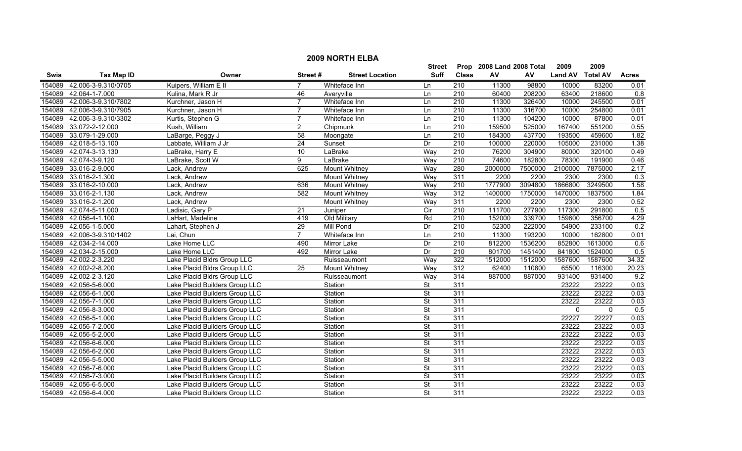|        | <b>2009 NORTH ELBA</b> |                                |                 |                        |                          |                  |                           |         |                |                 |              |  |
|--------|------------------------|--------------------------------|-----------------|------------------------|--------------------------|------------------|---------------------------|---------|----------------|-----------------|--------------|--|
|        |                        |                                |                 |                        | Street                   |                  | Prop 2008 Land 2008 Total |         | 2009           | 2009            |              |  |
| Swis   | <b>Tax Map ID</b>      | Owner                          | Street#         | <b>Street Location</b> | Suff                     | <b>Class</b>     | AV                        | AV      | <b>Land AV</b> | <b>Total AV</b> | <b>Acres</b> |  |
| 154089 | 42.006-3-9.310/0705    | Kuipers, William E II          | $\overline{7}$  | Whiteface Inn          | Ln                       | 210              | 11300                     | 98800   | 10000          | 83200           | 0.01         |  |
| 154089 | 42.064-1-7.000         | Kulina, Mark R Jr              | 46              | Averyville             | Ln                       | 210              | 60400                     | 208200  | 63400          | 218600          | 0.8          |  |
| 154089 | 42.006-3-9.310/7802    | Kurchner, Jason H              | $\overline{7}$  | Whiteface Inn          | Ln                       | $\overline{210}$ | 11300                     | 326400  | 10000          | 245500          | 0.01         |  |
| 154089 | 42.006-3-9.310/7905    | Kurchner, Jason H              | $\overline{7}$  | Whiteface Inn          | Ln                       | 210              | 11300                     | 316700  | 10000          | 254800          | 0.01         |  |
| 154089 | 42.006-3-9.310/3302    | Kurtis, Stephen G              | 7               | Whiteface Inn          | Ln                       | 210              | 11300                     | 104200  | 10000          | 87800           | 0.01         |  |
| 154089 | 33.072-2-12.000        | Kush, William                  | $\overline{2}$  | Chipmunk               | Ln                       | 210              | 159500                    | 525000  | 167400         | 551200          | 0.55         |  |
| 154089 | 33.079-1-29.000        | LaBarge, Peggy J               | 58              | Moongate               | Ln                       | 210              | 184300                    | 437700  | 193500         | 459600          | 1.82         |  |
| 154089 | 42.018-5-13.100        | Labbate, William J Jr          | 24              | Sunset                 | Dr                       | 210              | 100000                    | 220000  | 105000         | 231000          | 1.38         |  |
| 154089 | 42.074-3-13.130        | LaBrake, Harry E               | 10              | LaBrake                | Way                      | 210              | 76200                     | 304900  | 80000          | 320100          | 0.49         |  |
| 154089 | 42.074-3-9.120         | LaBrake, Scott W               | 9               | LaBrake                | Way                      | 210              | 74600                     | 182800  | 78300          | 191900          | 0.46         |  |
| 154089 | 33.016-2-9.000         | Lack, Andrew                   | 625             | <b>Mount Whitney</b>   | Way                      | 280              | 2000000                   | 7500000 | 2100000        | 7875000         | 2.17         |  |
| 154089 | 33.016-2-1.300         | Lack, Andrew                   |                 | <b>Mount Whitney</b>   | Way                      | 311              | 2200                      | 2200    | 2300           | 2300            | 0.3          |  |
| 154089 | 33.016-2-10.000        | Lack, Andrew                   | 636             | <b>Mount Whitney</b>   | Way                      | $\overline{210}$ | 1777900                   | 3094800 | 1866800        | 3249500         | 1.58         |  |
|        | 154089 33.016-2-1.130  | Lack, Andrew                   | 582             | <b>Mount Whitney</b>   | Way                      | 312              | 1400000                   | 1750000 | 1470000        | 1837500         | 1.84         |  |
|        | 154089 33.016-2-1.200  | Lack, Andrew                   |                 | <b>Mount Whitney</b>   | Way                      | 311              | 2200                      | 2200    | 2300           | 2300            | 0.52         |  |
| 154089 | 42.074-5-11.000        | Ladisic, Gary P                | $\overline{21}$ | Juniper                | $\overline{C}$           | $\overline{210}$ | 111700                    | 277900  | 117300         | 291800          | 0.5          |  |
|        | 154089 42.056-4-1.100  | LaHart, Madeline               | 419             | Old Military           | Rd                       | 210              | 152000                    | 339700  | 159600         | 356700          | 4.29         |  |
| 154089 | 42.056-1-5.000         | Lahart, Stephen J              | 29              | Mill Pond              | Dr                       | 210              | 52300                     | 222000  | 54900          | 233100          | 0.2          |  |
| 154089 | 42.006-3-9.310/1402    | Lai, Chun                      | $\overline{7}$  | Whiteface Inn          | Ln                       | 210              | 11300                     | 193200  | 10000          | 162800          | 0.01         |  |
| 154089 | 42.034-2-14.000        | Lake Home LLC                  | 490             | <b>Mirror Lake</b>     | Dr                       | 210              | 812200                    | 1536200 | 852800         | 1613000         | 0.6          |  |
|        | 154089 42.034-2-15.000 | Lake Home LLC                  | 492             | <b>Mirror Lake</b>     | Dr                       | 210              | 801700                    | 1451400 | 841800         | 1524000         | 0.5          |  |
| 154089 | 42.002-2-3.220         | Lake Placid Bldrs Group LLC    |                 | Ruisseaumont           | Way                      | 322              | 1512000                   | 1512000 | 1587600        | 1587600         | 34.32        |  |
| 154089 | 42.002-2-8.200         | Lake Placid Bldrs Group LLC    | 25              | <b>Mount Whitney</b>   | Way                      | 312              | 62400                     | 110800  | 65500          | 116300          | 20.23        |  |
| 154089 | 42.002-2-3.120         | Lake Placid Bldrs Group LLC    |                 | Ruisseaumont           | Way                      | 314              | 887000                    | 887000  | 931400         | 931400          | 9.2          |  |
| 154089 | 42.056-5-6.000         | Lake Placid Builders Group LLC |                 | Station                | <b>St</b>                | 311              |                           |         | 23222          | 23222           | 0.03         |  |
| 154089 | 42.056-6-1.000         | Lake Placid Builders Group LLC |                 | Station                | $\overline{\mathsf{St}}$ | 311              |                           |         | 23222          | 23222           | 0.03         |  |
|        | 154089 42.056-7-1.000  | Lake Placid Builders Group LLC |                 | Station                | $\overline{\mathsf{St}}$ | 311              |                           |         | 23222          | 23222           | 0.03         |  |
| 154089 | 42.056-8-3.000         | Lake Placid Builders Group LLC |                 | Station                | $\overline{\mathsf{St}}$ | 311              |                           |         | $\mathbf 0$    | $\mathbf 0$     | 0.5          |  |
| 154089 | 42.056-5-1.000         | Lake Placid Builders Group LLC |                 | Station                | St                       | 311              |                           |         | 22227          | 22227           | 0.03         |  |
| 154089 | 42.056-7-2.000         | Lake Placid Builders Group LLC |                 | Station                | $\overline{\mathsf{St}}$ | 311              |                           |         | 23222          | 23222           | 0.03         |  |
| 154089 | 42.056-5-2.000         | Lake Placid Builders Group LLC |                 | Station                | $\overline{\mathsf{St}}$ | 311              |                           |         | 23222          | 23222           | 0.03         |  |
| 154089 | 42.056-6-6.000         | Lake Placid Builders Group LLC |                 | Station                | $\overline{\mathsf{St}}$ | 311              |                           |         | 23222          | 23222           | 0.03         |  |
| 154089 | 42.056-6-2.000         | Lake Placid Builders Group LLC |                 | Station                | $\overline{\mathsf{St}}$ | 311              |                           |         | 23222          | 23222           | 0.03         |  |
| 154089 | 42.056-5-5.000         | Lake Placid Builders Group LLC |                 | Station                | $\overline{\mathsf{St}}$ | 311              |                           |         | 23222          | 23222           | 0.03         |  |
| 154089 | 42.056-7-6.000         | Lake Placid Builders Group LLC |                 | Station                | $\overline{\mathsf{St}}$ | 311              |                           |         | 23222          | 23222           | 0.03         |  |
| 154089 | 42.056-7-3.000         | Lake Placid Builders Group LLC |                 | Station                | <b>St</b>                | 311              |                           |         | 23222          | 23222           | 0.03         |  |
| 154089 | 42.056-6-5.000         | Lake Placid Builders Group LLC |                 | Station                | <b>St</b>                | 311              |                           |         | 23222          | 23222           | 0.03         |  |
|        | 154089 42.056-6-4.000  | Lake Placid Builders Group LLC |                 | Station                | <b>St</b>                | 311              |                           |         | 23222          | 23222           | 0.03         |  |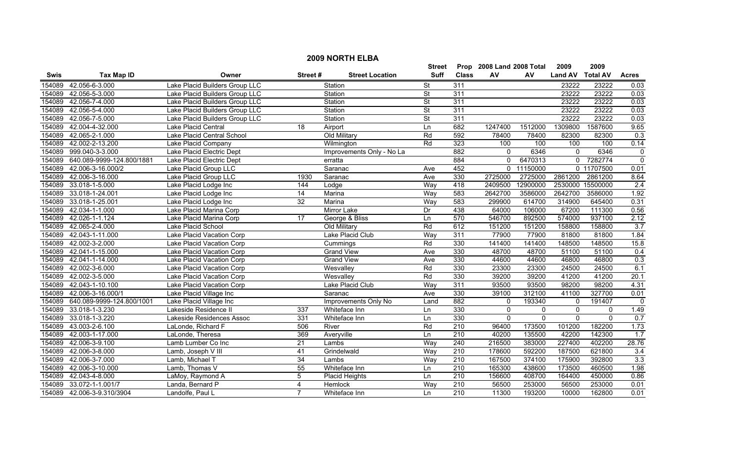| <b>2009 NORTH ELBA</b> |                                                            |                                |                 |                           |                          |                  |              |                |                |                  |                  |  |
|------------------------|------------------------------------------------------------|--------------------------------|-----------------|---------------------------|--------------------------|------------------|--------------|----------------|----------------|------------------|------------------|--|
|                        | 2009<br>Prop 2008 Land 2008 Total<br>2009<br><b>Street</b> |                                |                 |                           |                          |                  |              |                |                |                  |                  |  |
| Swis                   | <b>Tax Map ID</b>                                          | Owner                          | Street#         | <b>Street Location</b>    | <b>Suff</b>              | <b>Class</b>     | AV           | AV             | <b>Land AV</b> | <b>Total AV</b>  | <b>Acres</b>     |  |
| 154089                 | 42.056-6-3.000                                             | Lake Placid Builders Group LLC |                 | Station                   | St                       | 311              |              |                | 23222          | 23222            | 0.03             |  |
| 154089                 | 42.056-5-3.000                                             | Lake Placid Builders Group LLC |                 | Station                   | $\overline{\mathsf{St}}$ | 311              |              |                | 23222          | 23222            | 0.03             |  |
| 154089                 | 42.056-7-4.000                                             | Lake Placid Builders Group LLC |                 | Station                   | <b>St</b>                | 311              |              |                | 23222          | 23222            | 0.03             |  |
| 154089                 | 42.056-5-4.000                                             | Lake Placid Builders Group LLC |                 | Station                   | $\overline{\mathsf{St}}$ | 311              |              |                | 23222          | 23222            | 0.03             |  |
| 154089                 | 42.056-7-5.000                                             | Lake Placid Builders Group LLC |                 | Station                   | <b>St</b>                | 311              |              |                | 23222          | 23222            | 0.03             |  |
| 154089                 | 42.004-4-32.000                                            | Lake Placid Central            | 18              | Airport                   | Ln                       | 682              | 1247400      | 1512000        | 1309800        | 1587600          | 9.65             |  |
| 154089                 | 42.065-2-1.000                                             | Lake Placid Central School     |                 | Old Military              | Rd                       | 592              | 78400        | 78400          | 82300          | 82300            | 0.3              |  |
| 154089                 | 42.002-2-13.200                                            | Lake Placid Company            |                 | Wilmington                | Rd                       | 323              | 100          | 100            | 100            | 100              | 0.14             |  |
| 154089                 | 999.040-3-3.000                                            | Lake Placid Electric Dept      |                 | Improvements Only - No La |                          | 882              | $\mathbf{0}$ | 6346           | $\mathbf{0}$   | 6346             | $\mathbf 0$      |  |
| 154089                 | 640.089-9999-124.800/1881                                  | Lake Placid Electric Dept      |                 | erratta                   |                          | 884              | $\Omega$     | 6470313        |                | 0 7282774        | $\overline{0}$   |  |
| 154089                 | 42.006-3-16.000/2                                          | Lake Placid Group LLC          |                 | Saranac                   | Ave                      | 452              |              | 0 11150000     |                | 0 11707500       | 0.01             |  |
| 154089                 | 42.006-3-16.000                                            | Lake Placid Group LLC          | 1930            | Saranac                   | Ave                      | 330              | 2725000      | 2725000        | 2861200        | 2861200          | 8.64             |  |
| 154089                 | 33.018-1-5.000                                             | Lake Placid Lodge Inc          | 144             | Lodge                     | Way                      | 418              | 2409500      | 12900000       |                | 2530000 15500000 | $\overline{2.4}$ |  |
| 154089                 | 33.018-1-24.001                                            | Lake Placid Lodge Inc          | $\overline{14}$ | Marina                    | Way                      | 583              | 2642700      | 3586000        | 2642700        | 3586000          | 1.92             |  |
| 154089                 | 33.018-1-25.001                                            | Lake Placid Lodge Inc          | $\overline{32}$ | Marina                    | Way                      | 583              | 299900       | 614700         | 314900         | 645400           | 0.31             |  |
| 154089                 | 42.034-1-1.000                                             | Lake Placid Marina Corp        |                 | Mirror Lake               | Dr                       | 438              | 64000        | 106000         | 67200          | 111300           | 0.56             |  |
| 154089                 | 42.026-1-1.124                                             | Lake Placid Marina Corp        | 17              | George & Bliss            | Ln                       | 570              | 546700       | 892500         | 574000         | 937100           | 2.12             |  |
| 154089                 | 42.065-2-4.000                                             | Lake Placid School             |                 | Old Military              | $\overline{Rd}$          | 612              | 151200       | 151200         | 158800         | 158800           | 3.7              |  |
| 154089                 | 42.043-1-11.000                                            | Lake Placid Vacation Corp      |                 | Lake Placid Club          | Way                      | 311              | 77900        | 77900          | 81800          | 81800            | 1.84             |  |
| 154089                 | 42.002-3-2.000                                             | Lake Placid Vacation Corp      |                 | Cummings                  | Rd                       | 330              | 141400       | 141400         | 148500         | 148500           | 15.8             |  |
| 154089                 | 42.041-1-15.000                                            | Lake Placid Vacation Corp      |                 | <b>Grand View</b>         | Ave                      | 330              | 48700        | 48700          | 51100          | 51100            | 0.4              |  |
| 154089                 | 42.041-1-14.000                                            | Lake Placid Vacation Corp      |                 | <b>Grand View</b>         | Ave                      | 330              | 44600        | 44600          | 46800          | 46800            | 0.3              |  |
| 154089                 | 42.002-3-6.000                                             | Lake Placid Vacation Corp      |                 | Wesvalley                 | Rd                       | 330              | 23300        | 23300          | 24500          | 24500            | 6.1              |  |
| 154089                 | 42.002-3-5.000                                             | Lake Placid Vacation Corp      |                 | Wesvallev                 | Rd                       | 330              | 39200        | 39200          | 41200          | 41200            | 20.1             |  |
| 154089                 | 42.043-1-10.100                                            | Lake Placid Vacation Corp      |                 | Lake Placid Club          | Way                      | 311              | 93500        | 93500          | 98200          | 98200            | 4.31             |  |
| 154089                 | 42.006-3-16.000/1                                          | Lake Placid Village Inc        |                 | Saranac                   | Ave                      | 330              | 39100        | 312100         | 41100          | 327700           | 0.01             |  |
| 154089                 | 640.089-9999-124.800/1001                                  | Lake Placid Village Inc        |                 | Improvements Only No      | Land                     | 882              | $\Omega$     | 193340         | 0              | 191407           | 0                |  |
| 154089                 | 33.018-1-3.230                                             | Lakeside Residence II          | 337             | Whiteface Inn             | Ln                       | 330              | $\Omega$     | 0              | $\mathbf 0$    | 0                | 1.49             |  |
| 154089                 | 33.018-1-3.220                                             | Lakeside Residences Assoc      | 331             | Whiteface Inn             | Ln                       | 330              | $\Omega$     | $\overline{0}$ | $\Omega$       | $\overline{0}$   | 0.7              |  |
| 154089                 | 43.003-2-6.100                                             | LaLonde, Richard F             | 506             | River                     | Rd                       | 210              | 96400        | 173500         | 101200         | 182200           | 1.73             |  |
| 154089                 | 42.003-1-17.000                                            | LaLonde, Theresa               | 369             | Averyville                | Ln                       | $\overline{210}$ | 40200        | 135500         | 42200          | 142300           | 1.7              |  |
| 154089                 | 42.006-3-9.100                                             | Lamb Lumber Co Inc             | 21              | Lambs                     | Way                      | 240              | 216500       | 383000         | 227400         | 402200           | 28.76            |  |
| 154089                 | 42.006-3-8.000                                             | Lamb, Joseph V III             | 41              | Grindelwald               | Way                      | 210              | 178600       | 592200         | 187500         | 621800           | $\overline{3.4}$ |  |
| 154089                 | 42.006-3-7.000                                             | Lamb, Michael T                | 34              | Lambs                     | Way                      | $\overline{210}$ | 167500       | 374100         | 175900         | 392800           | 3.3              |  |
| 154089                 | 42.006-3-10.000                                            | Lamb, Thomas V                 | 55              | Whiteface Inn             | Ln                       | $\overline{210}$ | 165300       | 438600         | 173500         | 460500           | 1.98             |  |
| 154089                 | 42.043-4-8.000                                             | LaMoy, Raymond A               | 5               | <b>Placid Heights</b>     | Ln                       | 210              | 156600       | 408700         | 164400         | 450000           | 0.86             |  |
| 154089                 | 33.072-1-1.001/7                                           | Landa, Bernard P               | 4               | Hemlock                   | Way                      | 210              | 56500        | 253000         | 56500          | 253000           | 0.01             |  |
| 154089                 | 42.006-3-9.310/3904                                        | Landolfe, Paul L               | $\overline{7}$  | Whiteface Inn             | l n                      | $\overline{210}$ | 11300        | 193200         | 10000          | 162800           | 0.01             |  |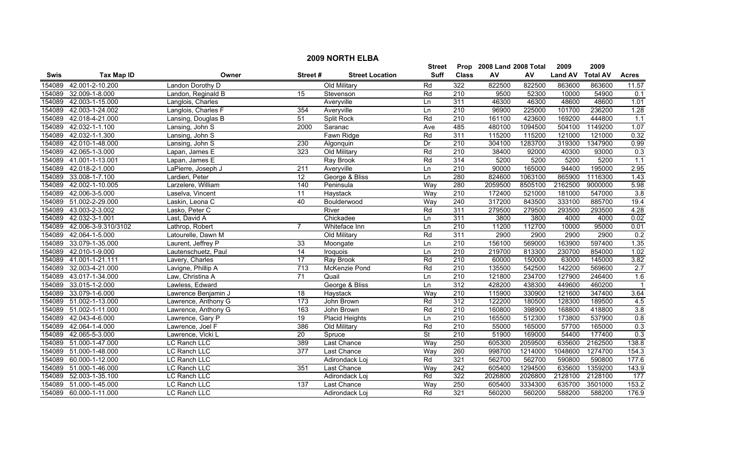|        | <b>2009 NORTH ELBA</b> |                     |                  |                        |               |                  |                           |         |                |                 |                |  |
|--------|------------------------|---------------------|------------------|------------------------|---------------|------------------|---------------------------|---------|----------------|-----------------|----------------|--|
|        |                        |                     |                  |                        | <b>Street</b> |                  | Prop 2008 Land 2008 Total |         | 2009           | 2009            |                |  |
| Swis   | <b>Tax Map ID</b>      | Owner               | Street#          | <b>Street Location</b> | Suff          | <b>Class</b>     | ${\sf AV}$                | AV      | <b>Land AV</b> | <b>Total AV</b> | <b>Acres</b>   |  |
| 154089 | 42.001-2-10.200        | Landon Dorothy D    |                  | Old Military           | Rd            | 322              | 822500                    | 822500  | 863600         | 863600          | 11.57          |  |
| 154089 | 32.009-1-8.000         | Landon, Reginald B  | 15               | Stevenson              | Rd            | 210              | 9500                      | 52300   | 10000          | 54900           | 0.1            |  |
| 154089 | 42.003-1-15.000        | Langlois, Charles   |                  | Averyville             | Ln            | 311              | 46300                     | 46300   | 48600          | 48600           | 1.01           |  |
| 154089 | 42.003-1-24.002        | Langlois, Charles F | 354              | Averyville             | Ln            | 210              | 96900                     | 225000  | 101700         | 236200          | 1.28           |  |
| 154089 | 42.018-4-21.000        | Lansing, Douglas B  | 51               | <b>Split Rock</b>      | Rd            | 210              | 161100                    | 423600  | 169200         | 444800          | 1.1            |  |
| 154089 | 42.032-1-1.100         | Lansing, John S     | 2000             | Saranac                | Ave           | 485              | 480100                    | 1094500 | 504100         | 1149200         | 1.07           |  |
| 154089 | 42.032-1-1.300         | Lansing, John S     |                  | Fawn Ridge             | Rd            | 311              | 115200                    | 115200  | 121000         | 121000          | 0.32           |  |
| 154089 | 42.010-1-48.000        | Lansing, John S     | 230              | Algonquin              | Dr            | 210              | 304100                    | 1283700 | 319300         | 1347900         | 0.99           |  |
| 154089 | 42.065-1-3.000         | Lapan, James E      | 323              | Old Military           | Rd            | 210              | 38400                     | 92000   | 40300          | 93000           | 0.3            |  |
| 154089 | 41.001-1-13.001        | Lapan, James E      |                  | Ray Brook              | Rd            | 314              | 5200                      | 5200    | 5200           | 5200            | 1.1            |  |
| 154089 | 42.018-2-1.000         | LaPierre, Joseph J  | $\overline{211}$ | Averyville             | Ln            | 210              | 90000                     | 165000  | 94400          | 195000          | 2.95           |  |
| 154089 | 33.008-1-7.100         | Lardieri, Peter     | $\overline{12}$  | George & Bliss         | Ln            | 280              | 824600                    | 1063100 | 865900         | 1116300         | 1.43           |  |
| 154089 | 42.002-1-10.005        | Larzelere, William  | 140              | Peninsula              | Way           | 280              | 2059500                   | 8505100 | 2162500        | 9000000         | 5.98           |  |
| 154089 | 42.006-3-5.000         | Laselva, Vincent    | 11               | Haystack               | Way           | $\overline{210}$ | 172400                    | 521000  | 181000         | 547000          | 3.8            |  |
|        | 154089 51.002-2-29.000 | Laskin, Leona C     | 40               | Boulderwood            | Way           | 240              | 317200                    | 843500  | 333100         | 885700          | 19.4           |  |
| 154089 | 43.003-2-3.002         | Lasko, Peter C      |                  | River                  | Rd            | 311              | 279500                    | 279500  | 293500         | 293500          | 4.28           |  |
| 154089 | 42.032-3-1.001         | Last, David A       |                  | Chickadee              | Ln            | 311              | 3800                      | 3800    | 4000           | 4000            | 0.02           |  |
| 154089 | 42.006-3-9.310/3102    | Lathrop, Robert     |                  | Whiteface Inn          | Ln            | 210              | 11200                     | 112700  | 10000          | 95000           | 0.01           |  |
| 154089 | 42.064-1-5.000         | Latourelle, Dawn M  |                  | Old Military           | Rd            | 311              | 2900                      | 2900    | 2900           | 2900            | 0.2            |  |
| 154089 | 33.079-1-35.000        | Laurent, Jeffrey P  | 33               | Moongate               | Ln            | 210              | 156100                    | 569000  | 163900         | 597400          | 1.35           |  |
| 154089 | 42.010-1-9.000         | Lautenschuetz, Paul | $\overline{14}$  | Iroquois               | Ln            | 210              | 219700                    | 813300  | 230700         | 854000          | 1.02           |  |
| 154089 | 41.001-1-21.111        | Lavery, Charles     | 17               | Ray Brook              | Rd            | $\overline{210}$ | 60000                     | 150000  | 63000          | 145000          | 3.82           |  |
| 154089 | 32.003-4-21.000        | Lavigne, Phillip A  | $\overline{713}$ | McKenzie Pond          | Rd            | $\overline{210}$ | 135500                    | 542500  | 142200         | 569600          | 2.7            |  |
| 154089 | 43.017-1-34.000        | Law, Christina A    | $\overline{71}$  | Quail                  | Ln            | 210              | 121800                    | 234700  | 127900         | 246400          | 1.6            |  |
| 154089 | 33.015-1-2.000         | Lawless, Edward     |                  | George & Bliss         | Ln            | 312              | 428200                    | 438300  | 449600         | 460200          | $\overline{1}$ |  |
| 154089 | 33.079-1-6.000         | Lawrence Benjamin J | 18               | Haystack               | Way           | 210              | 115900                    | 330900  | 121600         | 347400          | 3.64           |  |
|        | 154089 51.002-1-13.000 | Lawrence, Anthony G | $\overline{173}$ | John Brown             | Rd            | $\overline{312}$ | 122200                    | 180500  | 128300         | 189500          | 4.5            |  |
|        | 154089 51.002-1-11.000 | Lawrence, Anthony G | 163              | John Brown             | Rd            | $\overline{210}$ | 160800                    | 398900  | 168800         | 418800          | 3.8            |  |
| 154089 | 42.043-4-6.000         | Lawrence, Gary P    | $\overline{19}$  | Placid Heights         | Ln            | 210              | 165500                    | 512300  | 173800         | 537900          | 0.8            |  |
| 154089 | 42.064-1-4.000         | Lawrence, Joel F    | 386              | Old Military           | Rd            | 210              | 55000                     | 165000  | 57700          | 165000          | 0.3            |  |
| 154089 | 42.065-5-3.000         | Lawrence, Vicki L   | 20               | Spruce                 | <b>St</b>     | 210              | 51900                     | 169000  | 54400          | 177400          | 0.3            |  |
|        | 154089 51.000-1-47.000 | <b>LC Ranch LLC</b> | 389              | Last Chance            | Way           | 250              | 605300                    | 2059500 | 635600         | 2162500         | 138.8          |  |
|        | 154089 51.000-1-48.000 | LC Ranch LLC        | 377              | <b>Last Chance</b>     | Way           | 260              | 998700                    | 1214000 | 1048600        | 1274700         | 154.3          |  |
| 154089 | 60.000-1-12.000        | LC Ranch LLC        |                  | Adirondack Loj         | Rd            | 321              | 562700                    | 562700  | 590800         | 590800          | 177.6          |  |
| 154089 | 51.000-1-46.000        | LC Ranch LLC        | 351              | Last Chance            | Way           | 242              | 605400                    | 1294500 | 635600         | 1359200         | 143.9          |  |
| 154089 | 52.003-1-35.100        | LC Ranch LLC        |                  | Adirondack Loj         | Rd            | 322              | 2026800                   | 2026800 | 2128100        | 2128100         | 177            |  |
| 154089 | 51.000-1-45.000        | LC Ranch LLC        | 137              | Last Chance            | Way           | 250              | 605400                    | 3334300 | 635700         | 3501000         | 153.2          |  |
|        | 154089 60.000-1-11.000 | LC Ranch LLC        |                  | Adirondack Loi         | Rd            | 321              | 560200                    | 560200  | 588200         | 588200          | 176.9          |  |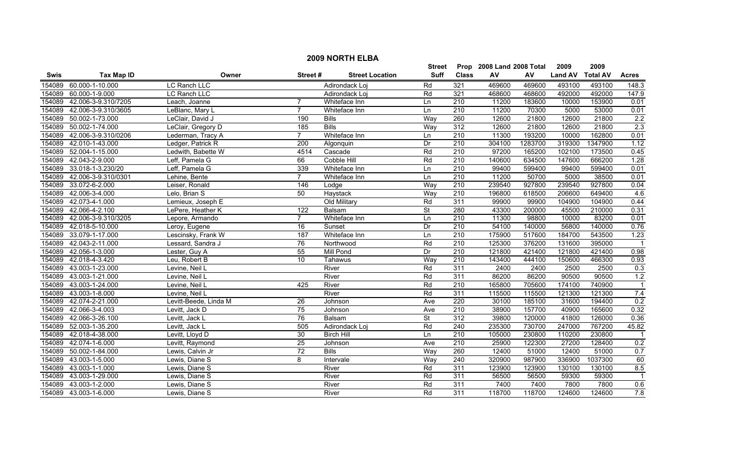|             |                        |                       |                  |                        | <b>Street</b>            |                  | Prop 2008 Land 2008 Total |         | 2009           | 2009            |                |
|-------------|------------------------|-----------------------|------------------|------------------------|--------------------------|------------------|---------------------------|---------|----------------|-----------------|----------------|
| <b>Swis</b> | <b>Tax Map ID</b>      | Owner                 | Street#          | <b>Street Location</b> | <b>Suff</b>              | <b>Class</b>     | AV                        | AV      | <b>Land AV</b> | <b>Total AV</b> | <b>Acres</b>   |
| 154089      | 60.000-1-10.000        | LC Ranch LLC          |                  | Adirondack Loj         | Rd                       | 321              | 469600                    | 469600  | 493100         | 493100          | 148.3          |
| 154089      | 60.000-1-9.000         | <b>LC Ranch LLC</b>   |                  | Adirondack Loj         | Rd                       | 321              | 468600                    | 468600  | 492000         | 492000          | 147.9          |
| 154089      | 42.006-3-9.310/7205    | Leach, Joanne         | $\overline{7}$   | Whiteface Inn          | Ln                       | $\overline{210}$ | 11200                     | 183600  | 10000          | 153900          | 0.01           |
| 154089      | 42.006-3-9.310/3605    | LeBlanc, Mary L       | $\overline{7}$   | Whiteface Inn          | Ln                       | 210              | 11200                     | 70300   | 5000           | 53000           | 0.01           |
| 154089      | 50.002-1-73.000        | LeClair, David J      | 190              | <b>Bills</b>           | Way                      | 260              | 12600                     | 21800   | 12600          | 21800           | 2.2            |
| 154089      | 50.002-1-74.000        | LeClair, Gregory D    | 185              | <b>Bills</b>           | Way                      | 312              | 12600                     | 21800   | 12600          | 21800           | 2.3            |
| 154089      | 42.006-3-9.310/0206    | Lederman, Tracy A     | $\overline{7}$   | Whiteface Inn          | Ln                       | 210              | 11300                     | 193200  | 10000          | 162800          | 0.01           |
| 154089      | 42.010-1-43.000        | Ledger, Patrick R     | 200              | Algonquin              | Dr                       | 210              | 304100                    | 1283700 | 319300         | 1347900         | 1.12           |
| 154089      | 52.004-1-15.000        | Ledwith, Babette W    | 4514             | Cascade                | Rd                       | $\overline{210}$ | 97200                     | 165200  | 102100         | 173500          | 0.45           |
| 154089      | 42.043-2-9.000         | Leff, Pamela G        | 66               | Cobble Hill            | Rd                       | $\overline{210}$ | 140600                    | 634500  | 147600         | 666200          | 1.28           |
| 154089      | 33.018-1-3.230/20      | Leff, Pamela G        | 339              | Whiteface Inn          | Ln                       | 210              | 99400                     | 599400  | 99400          | 599400          | 0.01           |
| 154089      | 42.006-3-9.310/0301    | Lehine, Bente         | $\overline{7}$   | Whiteface Inn          | Ln                       | 210              | 11200                     | 50700   | 5000           | 38500           | 0.01           |
| 154089      | 33.072-6-2.000         | Leiser, Ronald        | 146              | Lodge                  | Way                      | $\overline{210}$ | 239540                    | 927800  | 239540         | 927800          | 0.04           |
| 154089      | 42.006-3-4.000         | Lelo, Brian S         | 50               | Haystack               | Way                      | 210              | 196800                    | 618500  | 206600         | 649400          | 4.6            |
| 154089      | 42.073-4-1.000         | Lemieux, Joseph E     |                  | Old Military           | Rd                       | 311              | 99900                     | 99900   | 104900         | 104900          | 0.44           |
| 154089      | 42.066-4-2.100         | LePere, Heather K     | $\overline{122}$ | <b>Balsam</b>          | <b>St</b>                | 280              | 43300                     | 200000  | 45500          | 210000          | 0.31           |
| 154089      | 42.006-3-9.310/3205    | Lepore, Armando       | $\overline{7}$   | Whiteface Inn          | Ln                       | 210              | 11300                     | 98800   | 10000          | 83200           | 0.01           |
| 154089      | 42.018-5-10.000        | Leroy, Eugene         | $\overline{16}$  | Sunset                 | $\overline{Dr}$          | 210              | 54100                     | 140000  | 56800          | 140000          | 0.76           |
| 154089      | 33.079-1-17.000        | Lescinsky, Frank W    | 187              | Whiteface Inn          | Ln                       | 210              | 175900                    | 517600  | 184700         | 543500          | 1.23           |
| 154089      | 42.043-2-11.000        | Lessard, Sandra J     | 76               | Northwood              | Rd                       | 210              | 125300                    | 376200  | 131600         | 395000          |                |
| 154089      | 42.056-1-3.000         | Lester, Guy A         | 55               | <b>Mill Pond</b>       | Dr                       | $\overline{210}$ | 121800                    | 421400  | 121800         | 421400          | 0.98           |
| 154089      | 42.018-4-3.420         | Leu, Robert B         | 10               | Tahawus                | Way                      | $\overline{210}$ | 143400                    | 444100  | 150600         | 466300          | 0.93           |
| 154089      | 43.003-1-23.000        | Levine, Neil L        |                  | River                  | Rd                       | 311              | 2400                      | 2400    | 2500           | 2500            | 0.3            |
| 154089      | 43.003-1-21.000        | Levine, Neil L        |                  | River                  | Rd                       | 311              | 86200                     | 86200   | 90500          | 90500           | 1.2            |
| 154089      | 43.003-1-24.000        | Levine, Neil L        | 425              | River                  | Rd                       | $\overline{210}$ | 165800                    | 705600  | 174100         | 740900          | $\overline{1}$ |
| 154089      | 43.003-1-8.000         | Levine, Neil L        |                  | River                  | Rd                       | 311              | 115500                    | 115500  | 121300         | 121300          | 7.4            |
| 154089      | 42.074-2-21.000        | Levitt-Beede, Linda M | 26               | Johnson                | Ave                      | 220              | 30100                     | 185100  | 31600          | 194400          | 0.2            |
| 154089      | 42.066-3-4.003         | Levitt, Jack D        | 75               | Johnson                | Ave                      | 210              | 38900                     | 157700  | 40900          | 165600          | 0.32           |
| 154089      | 42.066-3-26.100        | Levitt, Jack L        | 76               | Balsam                 | $\overline{\mathsf{St}}$ | 312              | 39800                     | 120000  | 41800          | 126000          | 0.36           |
| 154089      | 52.003-1-35.200        | Levitt, Jack L        | 505              | Adirondack Loj         | Rd                       | 240              | 235300                    | 730700  | 247000         | 767200          | 45.82          |
|             | 154089 42.018-4-38.000 | Levitt, Lloyd D       | 30               | <b>Birch Hill</b>      | Ln                       | 210              | 105000                    | 230800  | 110200         | 230800          |                |
| 154089      | 42.074-1-6.000         | Levitt, Raymond       | $\overline{25}$  | Johnson                | Ave                      | 210              | 25900                     | 122300  | 27200          | 128400          | 0.2            |
| 154089      | 50.002-1-84.000        | Lewis, Calvin Jr      | 72               | <b>Bills</b>           | Way                      | 260              | 12400                     | 51000   | 12400          | 51000           | 0.7            |
| 154089      | 43.003-1-5.000         | Lewis, Diane S        | 8                | Intervale              | Way                      | 240              | 320900                    | 987900  | 336900         | 1037300         | 60             |
| 154089      | 43.003-1-1.000         | Lewis, Diane S        |                  | River                  | Rd                       | 311              | 123900                    | 123900  | 130100         | 130100          | 8.5            |
| 154089      | 43.003-1-29.000        | Lewis, Diane S        |                  | River                  | Rd                       | 311              | 56500                     | 56500   | 59300          | 59300           |                |
| 154089      | 43.003-1-2.000         | Lewis, Diane S        |                  | River                  | Rd                       | $\overline{311}$ | 7400                      | 7400    | 7800           | 7800            | 0.6            |
|             | 154089 43.003-1-6.000  | Lewis. Diane S        |                  | River                  | Rd                       | 311              | 118700                    | 118700  | 124600         | 124600          | 7.8            |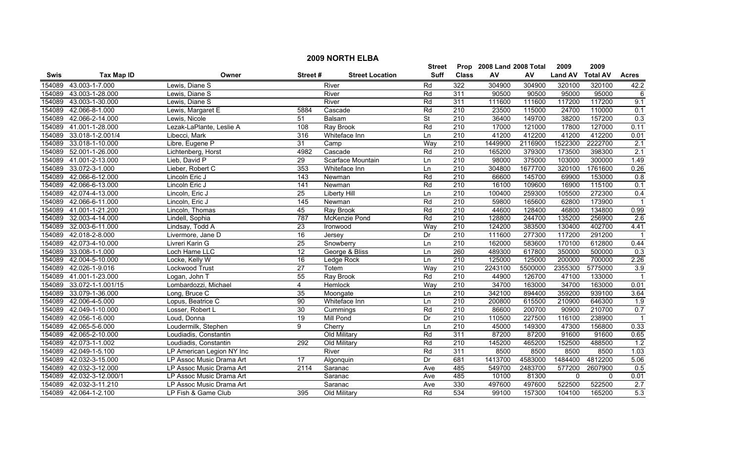|             |                        |                           |                 |                        | <b>Street</b>            |                  | Prop 2008 Land 2008 Total |         | 2009           | 2009            |                  |
|-------------|------------------------|---------------------------|-----------------|------------------------|--------------------------|------------------|---------------------------|---------|----------------|-----------------|------------------|
| <b>Swis</b> | <b>Tax Map ID</b>      | Owner                     | Street#         | <b>Street Location</b> | Suff                     | <b>Class</b>     | AV                        | AV      | <b>Land AV</b> | <b>Total AV</b> | <b>Acres</b>     |
| 154089      | 43.003-1-7.000         | Lewis, Diane S            |                 | River                  | Rd                       | 322              | 304900                    | 304900  | 320100         | 320100          | 42.2             |
| 154089      | 43.003-1-28.000        | Lewis, Diane S            |                 | River                  | Rd                       | 311              | 90500                     | 90500   | 95000          | 95000           | 6                |
| 154089      | 43.003-1-30.000        | Lewis, Diane S            |                 | River                  | Rd                       | 311              | 111600                    | 111600  | 117200         | 117200          | 9.1              |
| 154089      | 42.066-8-1.000         | Lewis, Margaret E         | 5884            | Cascade                | Rd                       | 210              | 23500                     | 115000  | 24700          | 110000          | 0.1              |
| 154089      | 42.066-2-14.000        | Lewis, Nicole             | 51              | Balsam                 | $\overline{\mathsf{St}}$ | 210              | 36400                     | 149700  | 38200          | 157200          | 0.3              |
| 154089      | 41.001-1-28.000        | Lezak-LaPlante, Leslie A  | 108             | <b>Ray Brook</b>       | Rd                       | 210              | 17000                     | 121000  | 17800          | 127000          | 0.11             |
| 154089      | 33.018-1-2.001/4       | Libecci, Mark             | 316             | Whiteface Inn          | Ln                       | 210              | 41200                     | 412200  | 41200          | 412200          | 0.01             |
| 154089      | 33.018-1-10.000        | Libre, Eugene P           | 31              | Camp                   | Way                      | 210              | 1449900                   | 2116900 | 1522300        | 2222700         | 2.1              |
| 154089      | 52.001-1-26.000        | Lichtenberg, Horst        | 4982            | Cascade                | Rd                       | $\overline{210}$ | 165200                    | 379300  | 173500         | 398300          | $\overline{2.1}$ |
| 154089      | 41.001-2-13.000        | Lieb, David P             | $\overline{29}$ | Scarface Mountain      | Ln                       | $\overline{210}$ | 98000                     | 375000  | 103000         | 300000          | 1.49             |
| 154089      | 33.072-3-1.000         | Lieber, Robert C          | 353             | Whiteface Inn          | Ln                       | $\overline{210}$ | 304800                    | 1677700 | 320100         | 1761600         | 0.26             |
| 154089      | 42.066-6-12.000        | Lincoln Eric J            | 143             | Newman                 | Rd                       | $\overline{210}$ | 66600                     | 145700  | 69900          | 153000          | 0.8              |
| 154089      | 42.066-6-13.000        | Lincoln Eric J            | 141             | Newman                 | Rd                       | 210              | 16100                     | 109600  | 16900          | 115100          | 0.1              |
| 154089      | 42.074-4-13.000        | Lincoln, Eric J           | $\overline{25}$ | Liberty Hill           | Ln                       | 210              | 100400                    | 259300  | 105500         | 272300          | 0.4              |
| 154089      | 42.066-6-11.000        | Lincoln, Eric J           | 145             | Newman                 | Rd                       | $\overline{210}$ | 59800                     | 165600  | 62800          | 173900          |                  |
|             | 154089 41.001-1-21.200 | Lincoln, Thomas           | 45              | Ray Brook              | Rd                       | $\overline{210}$ | 44600                     | 128400  | 46800          | 134800          | 0.99             |
| 154089      | 32.003-4-14.000        | Lindell, Sophia           | 787             | McKenzie Pond          | Rd                       | 210              | 128800                    | 244700  | 135200         | 256900          | 2.6              |
| 154089      | 32.003-6-11.000        | Lindsay, Todd A           | 23              | Ironwood               | Way                      | 210              | 124200                    | 383500  | 130400         | 402700          | 4.41             |
| 154089      | 42.018-2-8.000         | Livermore, Jane D         | $\overline{16}$ | Jersey                 | Dr                       | 210              | 111600                    | 277300  | 117200         | 291200          |                  |
| 154089      | 42.073-4-10.000        | Livreri Karin G           | 25              | Snowberry              | Ln                       | 210              | 162000                    | 583600  | 170100         | 612800          | 0.44             |
| 154089      | 33.008-1-1.000         | Loch Hame LLC             | $\overline{12}$ | George & Bliss         | Ln                       | 260              | 489300                    | 617800  | 350000         | 500000          | $\overline{0.3}$ |
| 154089      | 42.004-5-10.000        | Locke, Kelly W            | 16              | Ledge Rock             | Ln                       | $\overline{210}$ | 125000                    | 125000  | 200000         | 700000          | 2.26             |
| 154089      | 42.026-1-9.016         | Lockwood Trust            | 27              | Totem                  | Way                      | 210              | 2243100                   | 5500000 | 2355300        | 5775000         | 3.9              |
| 154089      | 41.001-1-23.000        | Logan, John T             | 55              | Ray Brook              | Rd                       | $\overline{210}$ | 44900                     | 126700  | 47100          | 133000          |                  |
| 154089      | 33.072-1-1.001/15      | Lombardozzi, Michael      | 4               | Hemlock                | Way                      | 210              | 34700                     | 163000  | 34700          | 163000          | 0.01             |
| 154089      | 33.079-1-36.000        | Long, Bruce C             | 35              | Moongate               | Ln                       | $\overline{210}$ | 342100                    | 894400  | 359200         | 939100          | 3.64             |
| 154089      | 42.006-4-5.000         | Lopus, Beatrice C         | 90              | Whiteface Inn          | Ln                       | 210              | 200800                    | 615500  | 210900         | 646300          | 1.9              |
| 154089      | 42.049-1-10.000        | Losser, Robert L          | $\overline{30}$ | Cummings               | Rd                       | 210              | 86600                     | 200700  | 90900          | 210700          | 0.7              |
| 154089      | 42.056-1-6.000         | Loud, Donna               | $\overline{19}$ | <b>Mill Pond</b>       | Dr                       | 210              | 110500                    | 227500  | 116100         | 238900          |                  |
| 154089      | 42.065-5-6.000         | Loudermilk, Stephen       | 9               | Cherry                 | Ln                       | 210              | 45000                     | 149300  | 47300          | 156800          | 0.33             |
| 154089      | 42.065-2-10.000        | Loudiadis, Constantin     |                 | Old Military           | Rd                       | 311              | 87200                     | 87200   | 91600          | 91600           | 0.65             |
| 154089      | 42.073-1-1.002         | Loudiadis, Constantin     | 292             | Old Military           | Rd                       | 210              | 145200                    | 465200  | 152500         | 488500          | 1.2              |
| 154089      | 42.049-1-5.100         | LP American Legion NY Inc |                 | River                  | Rd                       | 311              | 8500                      | 8500    | 8500           | 8500            | 1.03             |
| 154089      | 42.032-3-15.000        | LP Assoc Music Drama Art  | $\overline{17}$ | Algonquin              | Dr                       | 681              | 1413700                   | 4583000 | 1484400        | 4812200         | 5.06             |
| 154089      | 42.032-3-12.000        | LP Assoc Music Drama Art  | 2114            | Saranac                | Ave                      | 485              | 549700                    | 2483700 | 577200         | 2607900         | 0.5              |
| 154089      | 42.032-3-12.000/1      | LP Assoc Music Drama Art  |                 | Saranac                | Ave                      | 485              | 10100                     | 81300   | $\mathbf 0$    | $\mathbf{0}$    | 0.01             |
| 154089      | 42.032-3-11.210        | LP Assoc Music Drama Art  |                 | Saranac                | Ave                      | 330              | 497600                    | 497600  | 522500         | 522500          | 2.7              |
|             | 154089 42.064-1-2.100  | LP Fish & Game Club       | 395             | Old Military           | Rd                       | 534              | 99100                     | 157300  | 104100         | 165200          | 5.3              |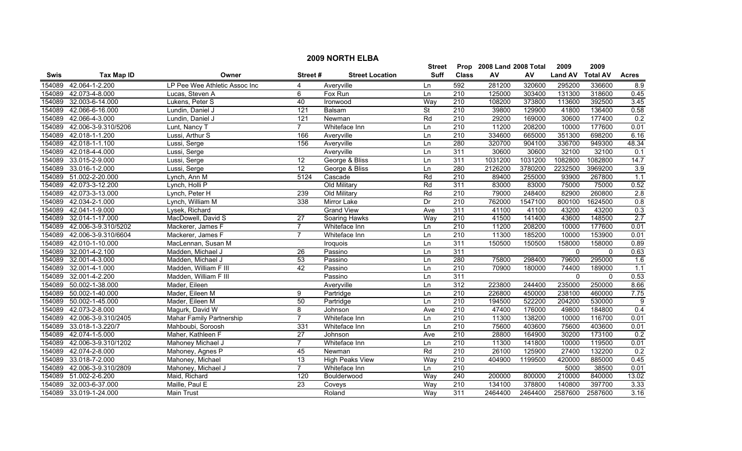|        | <b>2009 NORTH ELBA</b> |                               |                 |                        |                          |                  |                           |         |                |                 |                   |  |
|--------|------------------------|-------------------------------|-----------------|------------------------|--------------------------|------------------|---------------------------|---------|----------------|-----------------|-------------------|--|
|        |                        |                               |                 |                        | <b>Street</b>            |                  | Prop 2008 Land 2008 Total |         | 2009           | 2009            |                   |  |
| Swis   | <b>Tax Map ID</b>      | Owner                         | Street#         | <b>Street Location</b> | <b>Suff</b>              | <b>Class</b>     | ${\sf AV}$                | AV      | <b>Land AV</b> | <b>Total AV</b> | <b>Acres</b>      |  |
| 154089 | 42.064-1-2.200         | LP Pee Wee Athletic Assoc Inc | $\overline{4}$  | Averyville             | Ln                       | 592              | 281200                    | 320600  | 295200         | 336600          | 8.9               |  |
| 154089 | 42.073-4-8.000         | Lucas, Steven A               | 6               | Fox Run                | Ln                       | $\overline{210}$ | 125000                    | 303400  | 131300         | 318600          | 0.45              |  |
| 154089 | 32.003-6-14.000        | Lukens, Peter S               | 40              | Ironwood               | Way                      | $\overline{210}$ | 108200                    | 373800  | 113600         | 392500          | 3.45              |  |
| 154089 | 42.066-6-16.000        | Lundin, Daniel J              | 121             | Balsam                 | $\overline{\mathsf{St}}$ | 210              | 39800                     | 129900  | 41800          | 136400          | 0.58              |  |
| 154089 | 42.066-4-3.000         | Lundin, Daniel J              | 121             | Newman                 | Rd                       | 210              | 29200                     | 169000  | 30600          | 177400          | 0.2               |  |
| 154089 | 42.006-3-9.310/5206    | Lunt, Nancy T                 | $\overline{7}$  | Whiteface Inn          | Ln                       | 210              | 11200                     | 208200  | 10000          | 177600          | 0.01              |  |
| 154089 | 42.018-1-1.200         | Lussi, Arthur S               | 166             | Averyville             | Ln                       | 210              | 334600                    | 665000  | 351300         | 698200          | 6.16              |  |
| 154089 | 42.018-1-1.100         | Lussi, Serge                  | 156             | Averyville             | Ln                       | 280              | 320700                    | 904100  | 336700         | 949300          | 48.34             |  |
| 154089 | 42.018-4-4.000         | Lussi, Serge                  |                 | Averyville             | Ln                       | 311              | 30600                     | 30600   | 32100          | 32100           | 0.1               |  |
| 154089 | 33.015-2-9.000         | Lussi, Serge                  | $\overline{12}$ | George & Bliss         | Ln                       | 311              | 1031200                   | 1031200 | 1082800        | 1082800         | 14.7              |  |
| 154089 | 33.016-1-2.000         | Lussi, Serge                  | 12              | George & Bliss         | Ln                       | 280              | 2126200                   | 3780200 | 2232500        | 3969200         | 3.9               |  |
| 154089 | 51.002-2-20.000        | Lynch, Ann M                  | 5124            | Cascade                | Rd                       | 210              | 89400                     | 255000  | 93900          | 267800          | 1.1               |  |
| 154089 | 42.073-3-12.200        | Lynch, Holli P                |                 | Old Military           | Rd                       | 311              | 83000                     | 83000   | 75000          | 75000           | 0.52              |  |
| 154089 | 42.073-3-13.000        | Lynch, Peter H                | 239             | Old Military           | Rd                       | 210              | 79000                     | 248400  | 82900          | 260800          | 2.8               |  |
| 154089 | 42.034-2-1.000         | Lynch, William M              | 338             | Mirror Lake            | Dr                       | $\overline{210}$ | 762000                    | 1547100 | 800100         | 1624500         | 0.8               |  |
| 154089 | 42.041-1-9.000         | Lysek, Richard                |                 | <b>Grand View</b>      | Ave                      | 311              | 41100                     | 41100   | 43200          | 43200           | 0.3               |  |
| 154089 | 32.014-1-17.000        | MacDowell, David S            | $\overline{27}$ | Soaring Hawks          | Way                      | 210              | 41500                     | 141400  | 43600          | 148500          | 2.7               |  |
| 154089 | 42.006-3-9.310/5202    | Mackerer, James F             | 7               | Whiteface Inn          | Ln                       | 210              | 11200                     | 208200  | 10000          | 177600          | 0.01              |  |
| 154089 | 42.006-3-9.310/6604    | Mackerer, James F             | 7               | Whiteface Inn          | Ln                       | 210              | 11300                     | 185200  | 10000          | 153900          | 0.01              |  |
| 154089 | 42.010-1-10.000        | MacLennan, Susan M            |                 | Iroquois               | Ln                       | 311              | 150500                    | 150500  | 158000         | 158000          | 0.89              |  |
| 154089 | 32.001-4-2.100         | Madden, Michael J             | 26              | Passino                | Ln                       | 311              |                           |         | $\mathbf 0$    | $\mathbf{0}$    | 0.63              |  |
| 154089 | 32.001-4-3.000         | Madden, Michael J             | 53              | Passino                | Ln                       | 280              | 75800                     | 298400  | 79600          | 295000          | 1.6               |  |
| 154089 | 32.001-4-1.000         | Madden, William F III         | 42              | Passino                | Ln                       | $\overline{210}$ | 70900                     | 180000  | 74400          | 189000          | 1.1               |  |
| 154089 | 32.001-4-2.200         | Madden, William F III         |                 | Passino                | Ln                       | 311              |                           |         | $\mathbf 0$    | $\mathbf{0}$    | 0.53              |  |
| 154089 | 50.002-1-38.000        | Mader, Eileen                 |                 | Averyville             | Ln                       | 312              | 223800                    | 244400  | 235000         | 250000          | 8.66              |  |
| 154089 | 50.002-1-40.000        | Mader, Eileen M               | 9               | Partridge              | Ln                       | 210              | 226800                    | 450000  | 238100         | 460000          | 7.75              |  |
| 154089 | 50.002-1-45.000        | Mader, Eileen M               | $\overline{50}$ | Partridge              | Ln                       | $\overline{210}$ | 194500                    | 522200  | 204200         | 530000          | $\overline{9}$    |  |
| 154089 | 42.073-2-8.000         | Magurk, David W               | 8               | Johnson                | Ave                      | $\overline{210}$ | 47400                     | 176000  | 49800          | 184800          | 0.4               |  |
| 154089 | 42.006-3-9.310/2405    | Mahar Family Partnership      | $\overline{7}$  | Whiteface Inn          | Ln                       | 210              | 11300                     | 138200  | 10000          | 116700          | 0.01              |  |
| 154089 | 33.018-1-3.220/7       | Mahboubi, Soroosh             | 331             | Whiteface Inn          | Ln                       | 210              | 75600                     | 403600  | 75600          | 403600          | 0.01              |  |
| 154089 | 42.074-1-5.000         | Maher, Kathleen F             | $\overline{27}$ | Johnson                | Ave                      | 210              | 28800                     | 164900  | 30200          | 173100          | 0.2               |  |
| 154089 | 42.006-3-9.310/1202    | Mahoney Michael J             | $\overline{7}$  | Whiteface Inn          | Ln                       | 210              | 11300                     | 141800  | 10000          | 119500          | 0.01              |  |
| 154089 | 42.074-2-8.000         | Mahoney, Agnes P              | 45              | Newman                 | Rd                       | 210              | 26100                     | 125900  | 27400          | 132200          | 0.2               |  |
| 154089 | 33.018-7-2.000         | Mahoney, Michael              | $\overline{13}$ | <b>High Peaks View</b> | Way                      | $\overline{210}$ | 404900                    | 1199500 | 420000         | 885000          | 0.45              |  |
| 154089 | 42.006-3-9.310/2809    | Mahoney, Michael J            | $\overline{7}$  | Whiteface Inn          | Ln                       | 210              |                           |         | 5000           | 38500           | 0.01              |  |
| 154089 | 51.002-2-6.200         | Maid, Richard                 | 120             | Boulderwood            | Way                      | 240              | 200000                    | 800000  | 210000         | 840000          | 13.02             |  |
| 154089 | 32.003-6-37.000        | Maille, Paul E                | 23              | Coveys                 | Way                      | $\overline{210}$ | 134100                    | 378800  | 140800         | 397700          | 3.33              |  |
|        | 154089 33.019-1-24.000 | Main Trust                    |                 | Roland                 | Way                      | 311              | 2464400                   | 2464400 | 2587600        | 2587600         | $\overline{3.16}$ |  |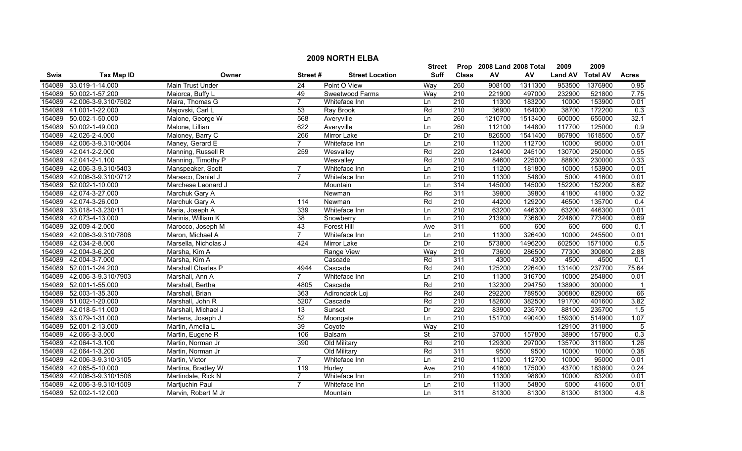|        | <b>2009 NORTH ELBA</b> |                      |                |                        |             |                  |                           |         |                |                 |              |
|--------|------------------------|----------------------|----------------|------------------------|-------------|------------------|---------------------------|---------|----------------|-----------------|--------------|
|        |                        |                      |                |                        | Street      |                  | Prop 2008 Land 2008 Total |         | 2009           | 2009            |              |
| Swis   | <b>Tax Map ID</b>      | Owner                | Street#        | <b>Street Location</b> | <b>Suff</b> | <b>Class</b>     | AV                        | AV      | <b>Land AV</b> | <b>Total AV</b> | <b>Acres</b> |
| 154089 | 33.019-1-14.000        | Main Trust Under     | 24             | Point O View           | Way         | 260              | 908100                    | 1311300 | 953500         | 1376900         | 0.95         |
| 154089 | 50.002-1-57.200        | Maiorca, Buffy L     | 49             | Sweetwood Farms        | Way         | 210              | 221900                    | 497000  | 232900         | 521800          | 7.75         |
| 154089 | 42.006-3-9.310/7502    | Maira, Thomas G      | $\overline{7}$ | Whiteface Inn          | Ln          | 210              | 11300                     | 183200  | 10000          | 153900          | 0.01         |
| 154089 | 41.001-1-22.000        | Majovski, Carl L     | 53             | Ray Brook              | Rd          | 210              | 36900                     | 164000  | 38700          | 172200          | 0.3          |
| 154089 | 50.002-1-50.000        | Malone, George W     | 568            | Averyville             | Ln          | 260              | 1210700                   | 1513400 | 600000         | 655000          | 32.1         |
| 154089 | 50.002-1-49.000        | Malone, Lillian      | 622            | Averyville             | Ln          | 260              | 112100                    | 144800  | 117700         | 125000          | 0.9          |
| 154089 | 42.026-2-4.000         | Maloney, Barry C     | 266            | Mirror Lake            | Dr          | 210              | 826500                    | 1541400 | 867900         | 1618500         | 0.57         |
| 154089 | 42.006-3-9.310/0604    | Maney, Gerard E      | $\overline{7}$ | Whiteface Inn          | Ln          | 210              | 11200                     | 112700  | 10000          | 95000           | 0.01         |
| 154089 | 42.041-2-2.000         | Manning, Russell R   | 259            | Wesvalley              | Rd          | 220              | 124400                    | 245100  | 130700         | 250000          | 0.55         |
| 154089 | 42.041-2-1.100         | Manning, Timothy P   |                | Wesvalley              | Rd          | $\overline{210}$ | 84600                     | 225000  | 88800          | 230000          | 0.33         |
| 154089 | 42.006-3-9.310/5403    | Manspeaker, Scott    | $\overline{7}$ | Whiteface Inn          | Ln          | 210              | 11200                     | 181800  | 10000          | 153900          | 0.01         |
| 154089 | 42.006-3-9.310/0712    | Marasco, Daniel J    | $\overline{7}$ | Whiteface Inn          | Ln          | 210              | 11300                     | 54800   | 5000           | 41600           | 0.01         |
| 154089 | 52.002-1-10.000        | Marchese Leonard J   |                | Mountain               | Ln          | 314              | 145000                    | 145000  | 152200         | 152200          | 8.62         |
| 154089 | 42.074-3-27.000        | Marchuk Gary A       |                | Newman                 | Rd          | 311              | 39800                     | 39800   | 41800          | 41800           | 0.32         |
|        | 154089 42.074-3-26.000 | Marchuk Gary A       | 114            | Newman                 | Rd          | $\overline{210}$ | 44200                     | 129200  | 46500          | 135700          | 0.4          |
| 154089 | 33.018-1-3.230/11      | Maria, Joseph A      | 339            | Whiteface Inn          | Ln          | $\overline{210}$ | 63200                     | 446300  | 63200          | 446300          | 0.01         |
| 154089 | 42.073-4-13.000        | Marinis, William K   | 38             | Snowberry              | Ln          | 210              | 213900                    | 736600  | 224600         | 773400          | 0.69         |
| 154089 | 32.009-4-2.000         | Marocco, Joseph M    | 43             | <b>Forest Hill</b>     | Ave         | 311              | 600                       | 600     | 600            | 600             | 0.1          |
| 154089 | 42.006-3-9.310/7806    | Maron, Michael A     | $\overline{7}$ | Whiteface Inn          | Ln          | 210              | 11300                     | 326400  | 10000          | 245500          | 0.01         |
| 154089 | 42.034-2-8.000         | Marsella, Nicholas J | 424            | Mirror Lake            | Dr          | 210              | 573800                    | 1496200 | 602500         | 1571000         | 0.5          |
| 154089 | 42.004-3-6.200         | Marsha, Kim A        |                | Range View             | Way         | 210              | 73600                     | 286500  | 77300          | 300800          | 2.88         |
| 154089 | 42.004-3-7.000         | Marsha, Kim A        |                | Cascade                | Rd          | 311              | 4300                      | 4300    | 4500           | 4500            | 0.1          |
| 154089 | 52.001-1-24.200        | Marshall Charles P   | 4944           | Cascade                | Rd          | $\overline{240}$ | 125200                    | 226400  | 131400         | 237700          | 75.64        |
| 154089 | 42.006-3-9.310/7903    | Marshall, Ann A      | $\overline{7}$ | Whiteface Inn          | Ln          | $\overline{210}$ | 11300                     | 316700  | 10000          | 254800          | 0.01         |
| 154089 | 52.001-1-55.000        | Marshall, Bertha     | 4805           | Cascade                | Rd          | $\overline{210}$ | 132300                    | 294750  | 138900         | 300000          | -1           |
| 154089 | 52.003-1-35.300        | Marshall, Brian      | 363            | Adirondack Loj         | Rd          | 240              | 292200                    | 789500  | 306800         | 829000          | 66           |
|        | 154089 51.002-1-20.000 | Marshall, John R     | 5207           | Cascade                | Rd          | $\overline{210}$ | 182600                    | 382500  | 191700         | 401600          | 3.82         |
| 154089 | 42.018-5-11.000        | Marshall, Michael J  | 13             | Sunset                 | Dr          | 220              | 83900                     | 235700  | 88100          | 235700          | 1.5          |
| 154089 | 33.079-1-31.000        | Martens, Joseph J    | 52             | Moongate               | Ln          | 210              | 151700                    | 490400  | 159300         | 514900          | 1.07         |
| 154089 | 52.001-2-13.000        | Martin, Amelia L     | 39             | Coyote                 | Way         | 210              |                           |         | 129100         | 311800          | 5            |
| 154089 | 42.066-3-3.000         | Martin, Eugene R     | 106            | Balsam                 | <b>St</b>   | 210              | 37000                     | 157800  | 38900          | 157800          | 0.3          |
|        | 154089 42.064-1-3.100  | Martin, Norman Jr    | 390            | Old Military           | Rd          | 210              | 129300                    | 297000  | 135700         | 311800          | 1.26         |
| 154089 | 42.064-1-3.200         | Martin, Norman Jr    |                | Old Military           | Rd          | 311              | 9500                      | 9500    | 10000          | 10000           | 0.38         |
| 154089 | 42.006-3-9.310/3105    | Martin, Victor       | $\overline{7}$ | Whiteface Inn          | Ln          | $\overline{210}$ | 11200                     | 112700  | 10000          | 95000           | 0.01         |
| 154089 | 42.065-5-10.000        | Martina, Bradley W   | 119            | Hurley                 | Ave         | $\overline{210}$ | 41600                     | 175000  | 43700          | 183800          | 0.24         |
| 154089 | 42.006-3-9.310/1506    | Martindale, Rick N   | $\overline{7}$ | Whiteface Inn          | Ln          | 210              | 11300                     | 98800   | 10000          | 83200           | 0.01         |
| 154089 | 42.006-3-9.310/1509    | Martjuchin Paul      | $\overline{7}$ | Whiteface Inn          | Ln          | 210              | 11300                     | 54800   | 5000           | 41600           | 0.01         |
|        | 154089 52.002-1-12.000 | Marvin, Robert M Jr  |                | Mountain               | Ln          | 311              | 81300                     | 81300   | 81300          | 81300           | 4.8          |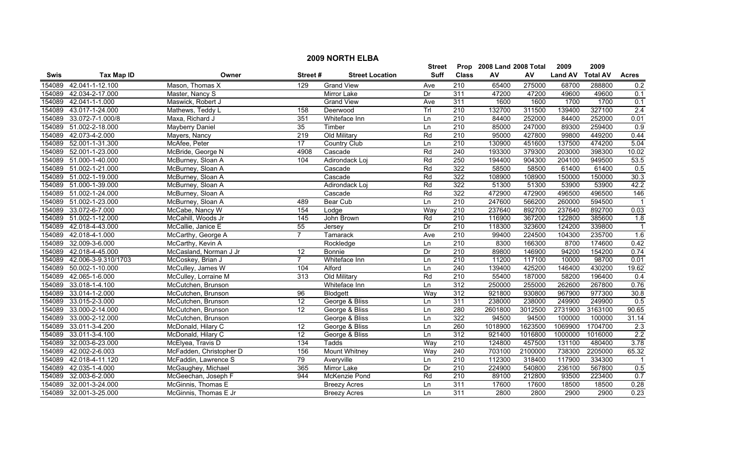|             |                     |                         |                 |                        | <b>Street</b> |                  | Prop 2008 Land 2008 Total |         | 2009           | 2009            |                  |
|-------------|---------------------|-------------------------|-----------------|------------------------|---------------|------------------|---------------------------|---------|----------------|-----------------|------------------|
| <b>Swis</b> | <b>Tax Map ID</b>   | Owner                   | Street#         | <b>Street Location</b> | <b>Suff</b>   | <b>Class</b>     | AV                        | AV      | <b>Land AV</b> | <b>Total AV</b> | <b>Acres</b>     |
| 154089      | 42.041-1-12.100     | Mason, Thomas X         | 129             | <b>Grand View</b>      | Ave           | 210              | 65400                     | 275000  | 68700          | 288800          | 0.2              |
| 154089      | 42.034-2-17.000     | Master, Nancy S         |                 | Mirror Lake            | Dr            | 311              | 47200                     | 47200   | 49600          | 49600           | 0.1              |
| 154089      | 42.041-1-1.000      | Maswick, Robert J       |                 | <b>Grand View</b>      | Ave           | 311              | 1600                      | 1600    | 1700           | 1700            | 0.1              |
| 154089      | 43.017-1-24.000     | Mathews, Teddy L        | 158             | Deerwood               | TrI           | 210              | 132700                    | 311500  | 139400         | 327100          | 2.4              |
| 154089      | 33.072-7-1.000/8    | Maxa, Richard J         | 351             | Whiteface Inn          | Ln            | 210              | 84400                     | 252000  | 84400          | 252000          | 0.01             |
| 154089      | 51.002-2-18.000     | Mayberry Daniel         | 35              | Timber                 | Ln            | 210              | 85000                     | 247000  | 89300          | 259400          | 0.9              |
| 154089      | 42.073-4-2.000      | Mayers, Nancy           | 219             | Old Military           | Rd            | 210              | 95000                     | 427800  | 99800          | 449200          | 0.44             |
| 154089      | 52.001-1-31.300     | McAfee, Peter           | 17              | <b>Country Club</b>    | Ln            | 210              | 130900                    | 451600  | 137500         | 474200          | 5.04             |
| 154089      | 52.001-1-23.000     | McBride, George N       | 4908            | Cascade                | Rd            | 240              | 193300                    | 379300  | 203000         | 398300          | 10.02            |
| 154089      | 51.000-1-40.000     | McBurney, Sloan A       | 104             | Adirondack Loj         | Rd            | 250              | 194400                    | 904300  | 204100         | 949500          | 53.5             |
| 154089      | 51.002-1-21.000     | McBurney, Sloan A       |                 | Cascade                | Rd            | 322              | 58500                     | 58500   | 61400          | 61400           | 0.5              |
| 154089      | 51.002-1-19.000     | McBurney, Sloan A       |                 | Cascade                | Rd            | 322              | 108900                    | 108900  | 150000         | 150000          | 30.3             |
| 154089      | 51.000-1-39.000     | McBurney, Sloan A       |                 | Adirondack Loj         | Rd            | 322              | 51300                     | 51300   | 53900          | 53900           | 42.2             |
| 154089      | 51.002-1-24.000     | McBurney, Sloan A       |                 | Cascade                | Rd            | 322              | 472900                    | 472900  | 496500         | 496500          | 146              |
| 154089      | 51.002-1-23.000     | McBurney, Sloan A       | 489             | Bear Cub               | Ln            | $\overline{210}$ | 247600                    | 566200  | 260000         | 594500          |                  |
| 154089      | 33.072-6-7.000      | McCabe, Nancy W         | 154             | Lodge                  | Way           | $\overline{210}$ | 237640                    | 892700  | 237640         | 892700          | 0.03             |
| 154089      | 51.002-1-12.000     | McCahill, Woods Jr      | 145             | John Brown             | Rd            | 210              | 116900                    | 367200  | 122800         | 385600          | 1.8              |
| 154089      | 42.018-4-43.000     | McCallie, Janice E      | 55              | Jersey                 | Dr            | 210              | 118300                    | 323600  | 124200         | 339800          |                  |
| 154089      | 42.018-4-1.000      | McCarthy, George A      | $\overline{7}$  | Tamarack               | Ave           | 210              | 99400                     | 224500  | 104300         | 235700          | 1.6              |
| 154089      | 32.009-3-6.000      | McCarthy, Kevin A       |                 | Rockledge              | Ln            | 210              | 8300                      | 166300  | 8700           | 174600          | 0.42             |
| 154089      | 42.018-4-45.000     | McCasland, Norman J Jr  | 12              | Bonnie                 | Dr            | 210              | 89800                     | 146900  | 94200          | 154200          | 0.74             |
| 154089      | 42.006-3-9.310/1703 | McCoskey, Brian J       | $\overline{7}$  | Whiteface Inn          | Ln            | 210              | 11200                     | 117100  | 10000          | 98700           | 0.01             |
| 154089      | 50.002-1-10.000     | McCulley, James W       | 104             | Alford                 | Ln            | 240              | 139400                    | 425200  | 146400         | 430200          | 19.62            |
| 154089      | 42.065-1-6.000      | McCulley, Lorraine M    | 313             | Old Military           | Rd            | 210              | 55400                     | 187000  | 58200          | 196400          | 0.4              |
| 154089      | 33.018-1-4.100      | McCutchen, Brunson      |                 | Whiteface Inn          | Ln            | 312              | 250000                    | 255000  | 262600         | 267800          | 0.76             |
| 154089      | 33.014-1-2.000      | McCutchen, Brunson      | $\overline{96}$ | Blodgett               | Way           | 312              | 921800                    | 930800  | 967900         | 977300          | 30.8             |
| 154089      | 33.015-2-3.000      | McCutchen, Brunson      | 12              | George & Bliss         | Ln            | 311              | 238000                    | 238000  | 249900         | 249900          | 0.5              |
| 154089      | 33.000-2-14.000     | McCutchen, Brunson      | $\overline{12}$ | George & Bliss         | Ln            | 280              | 2601800                   | 3012500 | 2731900        | 3163100         | 90.65            |
| 154089      | 33.000-2-12.000     | McCutchen, Brunson      |                 | George & Bliss         | Ln            | 322              | 94500                     | 94500   | 100000         | 100000          | 31.14            |
| 154089      | 33.011-3-4.200      | McDonald, Hilary C      | 12              | George & Bliss         | Ln            | 260              | 1018900                   | 1623500 | 1069900        | 1704700         | $\overline{2.3}$ |
| 154089      | 33.011-3-4.100      | McDonald, Hilary C      | 12              | George & Bliss         | Ln            | 312              | 921400                    | 1016800 | 1000000        | 1016000         | 2.2              |
| 154089      | 32.003-6-23.000     | McElyea, Travis D       | 134             | Tadds                  | Way           | 210              | 124800                    | 457500  | 131100         | 480400          | 3.78             |
| 154089      | 42.002-2-6.003      | McFadden, Christopher D | 156             | <b>Mount Whitney</b>   | Way           | 240              | 703100                    | 2100000 | 738300         | 2205000         | 65.32            |
| 154089      | 42.018-4-11.120     | McFaddin, Lawrence S    | 79              | Averyville             | Ln            | $\overline{210}$ | 112300                    | 318400  | 117900         | 334300          |                  |
| 154089      | 42.035-1-4.000      | McGaughey, Michael      | 365             | Mirror Lake            | Dr            | $\overline{210}$ | 224900                    | 540800  | 236100         | 567800          | 0.5              |
| 154089      | 32.003-6-2.000      | McGeechan, Joseph F     | 944             | McKenzie Pond          | Rd            | 210              | 89100                     | 212800  | 93500          | 223400          | 0.7              |
| 154089      | 32.001-3-24.000     | McGinnis, Thomas E      |                 | <b>Breezy Acres</b>    | Ln            | 311              | 17600                     | 17600   | 18500          | 18500           | 0.28             |
| 154089      | 32.001-3-25.000     | McGinnis, Thomas E Jr   |                 | <b>Breezy Acres</b>    | ln            | 311              | 2800                      | 2800    | 2900           | 2900            | 0.23             |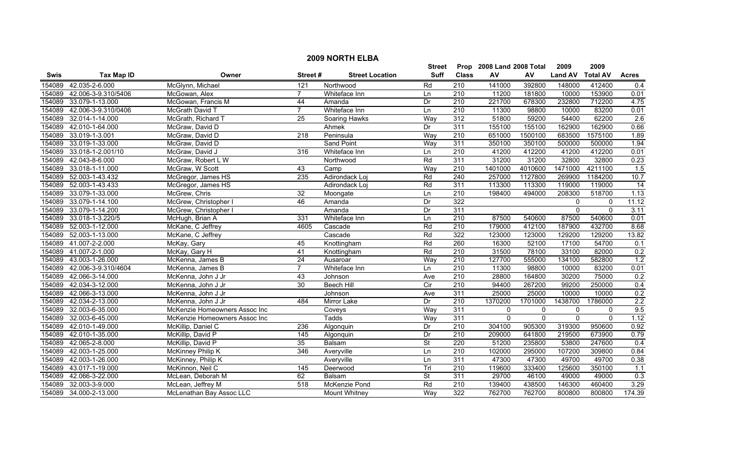| <b>2009 NORTH ELBA</b> |                        |                               |                  |                        |             |                  |                           |                |                |                 |              |
|------------------------|------------------------|-------------------------------|------------------|------------------------|-------------|------------------|---------------------------|----------------|----------------|-----------------|--------------|
|                        |                        |                               |                  |                        | Street      |                  | Prop 2008 Land 2008 Total |                | 2009           | 2009            |              |
| Swis                   | <b>Tax Map ID</b>      | Owner                         | Street#          | <b>Street Location</b> | <b>Suff</b> | <b>Class</b>     | ${\sf AV}$                | AV             | <b>Land AV</b> | <b>Total AV</b> | <b>Acres</b> |
| 154089                 | 42.035-2-6.000         | McGlynn, Michael              | 121              | Northwood              | Rd          | 210              | 141000                    | 392800         | 148000         | 412400          | 0.4          |
| 154089                 | 42.006-3-9.310/5406    | McGowan, Alex                 | $\overline{7}$   | Whiteface Inn          | Ln          | 210              | 11200                     | 181800         | 10000          | 153900          | 0.01         |
| 154089                 | 33.079-1-13.000        | McGowan, Francis M            | 44               | Amanda                 | Dr          | 210              | 221700                    | 678300         | 232800         | 712200          | 4.75         |
| 154089                 | 42.006-3-9.310/0406    | McGrath David T               | 7                | Whiteface Inn          | Ln          | 210              | 11300                     | 98800          | 10000          | 83200           | 0.01         |
| 154089                 | 32.014-1-14.000        | McGrath, Richard T            | 25               | Soaring Hawks          | Way         | 312              | 51800                     | 59200          | 54400          | 62200           | 2.6          |
| 154089                 | 42.010-1-64.000        | McGraw, David D               |                  | Ahmek                  | Dr          | 311              | 155100                    | 155100         | 162900         | 162900          | 0.66         |
| 154089                 | 33.019-1-3.001         | McGraw, David D               | $\overline{218}$ | Peninsula              | Way         | 210              | 651000                    | 1500100        | 683500         | 1575100         | 1.89         |
| 154089                 | 33.019-1-33.000        | McGraw, David D               |                  | <b>Sand Point</b>      | Way         | 311              | 350100                    | 350100         | 500000         | 500000          | 1.94         |
| 154089                 | 33.018-1-2.001/10      | McGraw, David J               | 316              | Whiteface Inn          | Ln          | 210              | 41200                     | 412200         | 41200          | 412200          | 0.01         |
| 154089                 | 42.043-8-6.000         | McGraw, Robert L W            |                  | Northwood              | Rd          | 311              | 31200                     | 31200          | 32800          | 32800           | 0.23         |
| 154089                 | 33.018-1-11.000        | McGraw, W Scott               | 43               | Camp                   | Way         | $\overline{210}$ | 1401000                   | 4010600        | 1471000        | 4211100         | 1.5          |
| 154089                 | 52.003-1-43.432        | McGregor, James HS            | 235              | Adirondack Loj         | Rd          | 240              | 257000                    | 1127800        | 269900         | 1184200         | 10.7         |
| 154089                 | 52.003-1-43.433        | McGregor, James HS            |                  | Adirondack Loj         | Rd          | 311              | 113300                    | 113300         | 119000         | 119000          | 14           |
| 154089                 | 33.079-1-33.000        | McGrew, Chris                 | $\overline{32}$  | Moongate               | Ln          | $\overline{210}$ | 198400                    | 494000         | 208300         | 518700          | 1.13         |
| 154089                 | 33.079-1-14.100        | McGrew, Christopher I         | 46               | Amanda                 | Dr          | 322              |                           |                | 0              | 0               | 11.12        |
| 154089                 | 33.079-1-14.200        | McGrew, Christopher I         |                  | Amanda                 | Dr          | 311              |                           |                | $\Omega$       | $\mathbf{0}$    | 3.11         |
| 154089                 | 33.018-1-3.220/5       | McHugh, Brian A               | 331              | Whiteface Inn          | Ln          | 210              | 87500                     | 540600         | 87500          | 540600          | 0.01         |
| 154089                 | 52.003-1-12.000        | McKane, C Jeffrey             | 4605             | Cascade                | Rd          | 210              | 179000                    | 412100         | 187900         | 432700          | 8.68         |
| 154089                 | 52.003-1-13.000        | McKane, C Jeffrey             |                  | Cascade                | Rd          | 322              | 123000                    | 123000         | 129200         | 129200          | 13.82        |
| 154089                 | 41.007-2-2.000         | McKay, Gary                   | 45               | Knottingham            | Rd          | 260              | 16300                     | 52100          | 17100          | 54700           | 0.1          |
| 154089                 | 41.007-2-1.000         | McKay, Gary H                 | 41               | Knottingham            | Rd          | 210              | 31500                     | 78100          | 33100          | 82000           | 0.2          |
| 154089                 | 43.003-1-26.000        | McKenna, James B              | $\overline{24}$  | Ausaroar               | Way         | 210              | 127700                    | 555000         | 134100         | 582800          | 1.2          |
| 154089                 | 42.006-3-9.310/4604    | McKenna, James B              | $\overline{7}$   | Whiteface Inn          | Ln          | $\overline{210}$ | 11300                     | 98800          | 10000          | 83200           | 0.01         |
| 154089                 | 42.066-3-14.000        | McKenna, John J Jr            | 43               | Johnson                | Ave         | 210              | 28800                     | 164800         | 30200          | 75000           | 0.2          |
| 154089                 | 42.034-3-12.000        | McKenna, John J Jr            | 30               | Beech Hill             | Cir         | 210              | 94400                     | 267200         | 99200          | 250000          | 0.4          |
| 154089                 | 42.066-3-13.000        | McKenna, John J Jr            |                  | Johnson                | Ave         | 311              | 25000                     | 25000          | 10000          | 10000           | 0.2          |
| 154089                 | 42.034-2-13.000        | McKenna, John J Jr            | 484              | Mirror Lake            | Dr          | $\overline{210}$ | 1370200                   | 1701000        | 1438700        | 1786000         | 2.2          |
| 154089                 | 32.003-6-35.000        | McKenzie Homeowners Assoc Inc |                  | Coveys                 | Way         | 311              | $\mathbf 0$               | 0              | $\mathbf 0$    | $\mathbf{0}$    | 9.5          |
| 154089                 | 32.003-6-45.000        | McKenzie Homeowners Assoc Inc |                  | Tadds                  | Way         | 311              | $\mathbf{0}$              | $\overline{0}$ | $\mathbf{0}$   | $\mathbf{0}$    | 1.12         |
| 154089                 | 42.010-1-49.000        | McKillip, Daniel C            | 236              | Algonquin              | Dr          | 210              | 304100                    | 905300         | 319300         | 950600          | 0.92         |
| 154089                 | 42.010-1-35.000        | McKillip, David P             | 145              | Algonquin              | Dr          | 210              | 209000                    | 641800         | 219500         | 673900          | 0.79         |
| 154089                 | 42.065-2-8.000         | McKillip, David P             | 35               | Balsam                 | <b>St</b>   | 220              | 51200                     | 235800         | 53800          | 247600          | 0.4          |
| 154089                 | 42.003-1-25.000        | McKinney Philip K             | 346              | Averyville             | Ln          | 210              | 102000                    | 295000         | 107200         | 309800          | 0.84         |
| 154089                 | 42.003-1-26.000        | McKinney, Philip K            |                  | Averyville             | Ln          | 311              | 47300                     | 47300          | 49700          | 49700           | 0.38         |
| 154089                 | 43.017-1-19.000        | McKinnon, Neil C              | 145              | Deerwood               | Trl         | $\overline{210}$ | 119600                    | 333400         | 125600         | 350100          | 1.1          |
| 154089                 | 42.066-3-22.000        | McLean, Deborah M             | 62               | Balsam                 | <b>St</b>   | 311              | 29700                     | 46100          | 49000          | 49000           | 0.3          |
| 154089                 | 32.003-3-9.000         | McLean, Jeffrey M             | 518              | McKenzie Pond          | Rd          | $\overline{210}$ | 139400                    | 438500         | 146300         | 460400          | 3.29         |
|                        | 154089 34.000-2-13.000 | McLenathan Bay Assoc LLC      |                  | Mount Whitney          | Way         | 322              | 762700                    | 762700         | 800800         | 800800          | 174.39       |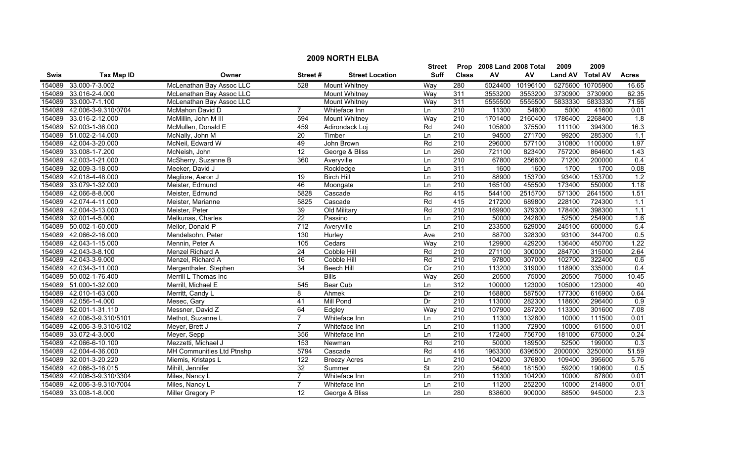| <b>2009 NORTH ELBA</b> |                     |                           |                 |                        |             |                      |         |          |                |                  |                  |
|------------------------|---------------------|---------------------------|-----------------|------------------------|-------------|----------------------|---------|----------|----------------|------------------|------------------|
|                        |                     |                           |                 | <b>Street</b>          | Prop        | 2008 Land 2008 Total |         | 2009     | 2009           |                  |                  |
| Swis                   | <b>Tax Map ID</b>   | Owner                     | Street#         | <b>Street Location</b> | <b>Suff</b> | <b>Class</b>         | AV      | AV       | <b>Land AV</b> | <b>Total AV</b>  | <b>Acres</b>     |
| 154089                 | 33.000-7-3.002      | McLenathan Bay Assoc LLC  | 528             | Mount Whitney          | Way         | 280                  | 5024400 | 10196100 |                | 5275600 10705900 | 16.65            |
| 154089                 | 33.016-2-4.000      | McLenathan Bay Assoc LLC  |                 | <b>Mount Whitney</b>   | Way         | 311                  | 3553200 | 3553200  | 3730900        | 3730900          | 62.35            |
| 154089                 | 33.000-7-1.100      | McLenathan Bay Assoc LLC  |                 | <b>Mount Whitney</b>   | Way         | 311                  | 5555500 | 5555500  | 5833330        | 5833330          | 71.56            |
| 154089                 | 42.006-3-9.310/0704 | McMahon David D           | 7               | Whiteface Inn          | Ln          | $\overline{210}$     | 11300   | 54800    | 5000           | 41600            | 0.01             |
| 154089                 | 33.016-2-12.000     | McMillin, John M III      | 594             | <b>Mount Whitney</b>   | Way         | 210                  | 1701400 | 2160400  | 1786400        | 2268400          | 1.8              |
| 154089                 | 52.003-1-36.000     | McMullen, Donald E        | 459             | Adirondack Loj         | Rd          | 240                  | 105800  | 375500   | 111100         | 394300           | 16.3             |
| 154089                 | 51.002-2-14.000     | McNally, John M           | $\overline{20}$ | Timber                 | Ln          | 210                  | 94500   | 271700   | 99200          | 285300           | 1.1              |
| 154089                 | 42.004-3-20.000     | McNeil, Edward W          | 49              | John Brown             | Rd          | 210                  | 296000  | 577100   | 310800         | 1100000          | 1.97             |
| 154089                 | 33.008-1-7.200      | McNeish, John             | $\overline{12}$ | George & Bliss         | Ln          | 260                  | 721100  | 823400   | 757200         | 864600           | 1.43             |
| 154089                 | 42.003-1-21.000     | McSherry, Suzanne B       | 360             | Averyville             | Ln          | $\overline{210}$     | 67800   | 256600   | 71200          | 200000           | $\overline{0.4}$ |
| 154089                 | 32.009-3-18.000     | Meeker, David J           |                 | Rockledge              | Ln          | 311                  | 1600    | 1600     | 1700           | 1700             | 0.08             |
| 154089                 | 42.018-4-48.000     | Megliore, Aaron J         | 19              | <b>Birch Hill</b>      | Ln          | 210                  | 88900   | 153700   | 93400          | 153700           | 1.2              |
| 154089                 | 33.079-1-32.000     | Meister, Edmund           | 46              | Moongate               | Ln          | 210                  | 165100  | 455500   | 173400         | 550000           | 1.18             |
| 154089                 | 42.066-8-8.000      | Meister, Edmund           | 5828            | Cascade                | Rd          | 415                  | 544100  | 2515700  | 571300         | 2641500          | 1.51             |
| 154089                 | 42.074-4-11.000     | Meister, Marianne         | 5825            | Cascade                | Rd          | 415                  | 217200  | 689800   | 228100         | 724300           | 1.1              |
| 154089                 | 42.004-3-13.000     | Meister, Peter            | 39              | Old Military           | Rd          | 210                  | 169900  | 379300   | 178400         | 398300           | 1.1              |
| 154089                 | 32.001-4-5.000      | Melkunas, Charles         | $\overline{22}$ | Passino                | Ln          | 210                  | 50000   | 242800   | 52500          | 254900           | 1.6              |
| 154089                 | 50.002-1-60.000     | Mellor, Donald P          | 712             | Averyville             | Ln          | 210                  | 233500  | 629000   | 245100         | 600000           | 5.4              |
| 154089                 | 42.066-2-16.000     | Mendelsohn, Peter         | 130             | Hurley                 | Ave         | 210                  | 88700   | 328300   | 93100          | 344700           | 0.5              |
| 154089                 | 42.043-1-15.000     | Mennin, Peter A           | 105             | Cedars                 | Way         | 210                  | 129900  | 429200   | 136400         | 450700           | 1.22             |
| 154089                 | 42.043-3-8.100      | Menzel Richard A          | $\overline{24}$ | Cobble Hill            | Rd          | $\overline{210}$     | 271100  | 300000   | 284700         | 315000           | 2.64             |
| 154089                 | 42.043-3-9.000      | Menzel, Richard A         | 16              | Cobble Hill            | Rd          | 210                  | 97800   | 307000   | 102700         | 322400           | 0.6              |
| 154089                 | 42.034-3-11.000     | Mergenthaler, Stephen     | 34              | <b>Beech Hill</b>      | Cir         | 210                  | 113200  | 319000   | 118900         | 335000           | 0.4              |
| 154089                 | 50.002-1-76.400     | Merrill L Thomas Inc      |                 | <b>Bills</b>           | Way         | 260                  | 20500   | 75000    | 20500          | 75000            | 10.45            |
| 154089                 | 51.000-1-32.000     | Merrill, Michael E        | 545             | Bear Cub               | Ln          | 312                  | 100000  | 123000   | 105000         | 123000           | 40               |
| 154089                 | 42.010-1-63.000     | Merritt, Candy L          | 8               | Ahmek                  | Dr          | 210                  | 168800  | 587500   | 177300         | 616900           | 0.64             |
| 154089                 | 42.056-1-4.000      | Mesec, Gary               | 41              | Mill Pond              | Dr          | 210                  | 113000  | 282300   | 118600         | 296400           | 0.9              |
| 154089                 | 52.001-1-31.110     | Messner, David Z          | 64              | Edgley                 | Way         | $\overline{210}$     | 107900  | 287200   | 113300         | 301600           | 7.08             |
| 154089                 | 42.006-3-9.310/5101 | Methot, Suzanne L         | 7               | Whiteface Inn          | Ln          | 210                  | 11300   | 132800   | 10000          | 111500           | 0.01             |
| 154089                 | 42.006-3-9.310/6102 | Meyer, Brett J            | 7               | Whiteface Inn          | Ln          | $\overline{210}$     | 11300   | 72900    | 10000          | 61500            | 0.01             |
| 154089                 | 33.072-4-3.000      | Meyer, Sepp               | 356             | Whiteface Inn          | Ln          | 210                  | 172400  | 756700   | 181000         | 675000           | 0.24             |
| 154089                 | 42.066-6-10.100     | Mezzetti, Michael J       | 153             | Newman                 | Rd          | 210                  | 50000   | 189500   | 52500          | 199000           | 0.3              |
| 154089                 | 42.004-4-36.000     | MH Communities Ltd Ptnshp | 5794            | Cascade                | Rd          | 416                  | 1963300 | 6396500  | 2000000        | 3250000          | 51.59            |
| 154089                 | 32.001-3-20.220     | Miemis, Kristaps L        | 122             | <b>Breezy Acres</b>    | Ln          | 210                  | 104200  | 376800   | 109400         | 395600           | 5.76             |
| 154089                 | 42.066-3-16.015     | Mihill, Jennifer          | $\overline{32}$ | Summer                 | St          | 220                  | 56400   | 181500   | 59200          | 190600           | 0.5              |
| 154089                 | 42.006-3-9.310/3304 | Miles, Nancy L            | $\overline{7}$  | Whiteface Inn          | Ln          | $\overline{210}$     | 11300   | 104200   | 10000          | 87800            | 0.01             |
| 154089                 | 42.006-3-9.310/7004 | Miles, Nancy L            | $\overline{7}$  | Whiteface Inn          | Ln          | $\overline{210}$     | 11200   | 252200   | 10000          | 214800           | 0.01             |
| 154089                 | 33.008-1-8.000      | Miller Gregory P          | 12              | George & Bliss         | Ln          | 280                  | 838600  | 900000   | 88500          | 945000           | $\overline{2.3}$ |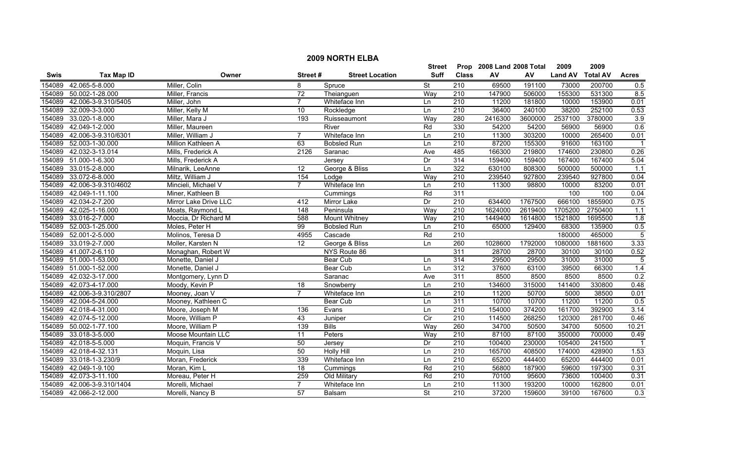|             | <b>2009 NORTH ELBA</b> |                       |                  |                        |                          |                  |                           |         |                |                 |                  |  |
|-------------|------------------------|-----------------------|------------------|------------------------|--------------------------|------------------|---------------------------|---------|----------------|-----------------|------------------|--|
|             |                        |                       |                  |                        | <b>Street</b>            |                  | Prop 2008 Land 2008 Total |         | 2009           | 2009            |                  |  |
| <b>Swis</b> | <b>Tax Map ID</b>      | Owner                 | Street#          | <b>Street Location</b> | Suff                     | <b>Class</b>     | ${\sf AV}$                | AV      | <b>Land AV</b> | <b>Total AV</b> | <b>Acres</b>     |  |
| 154089      | 42.065-5-8.000         | Miller, Colin         | 8                | Spruce                 | $\overline{\mathsf{St}}$ | 210              | 69500                     | 191100  | 73000          | 200700          | 0.5              |  |
| 154089      | 50.002-1-28.000        | Miller, Francis       | $\overline{72}$  | Theianguen             | Way                      | 210              | 147900                    | 506000  | 155300         | 531300          | 8.5              |  |
| 154089      | 42.006-3-9.310/5405    | Miller, John          | $\overline{7}$   | Whiteface Inn          | Ln                       | $\overline{210}$ | 11200                     | 181800  | 10000          | 153900          | 0.01             |  |
| 154089      | 32.009-3-3.000         | Miller, Kelly M       | 10               | Rockledge              | Ln                       | 210              | 36400                     | 240100  | 38200          | 252100          | 0.53             |  |
| 154089      | 33.020-1-8.000         | Miller, Mara J        | 193              | Ruisseaumont           | Way                      | 280              | 2416300                   | 3600000 | 2537100        | 3780000         | 3.9              |  |
| 154089      | 42.049-1-2.000         | Miller, Maureen       |                  | River                  | Rd                       | 330              | 54200                     | 54200   | 56900          | 56900           | 0.6              |  |
| 154089      | 42.006-3-9.310/6301    | Miller, William J     | $\overline{7}$   | Whiteface Inn          | Ln                       | 210              | 11300                     | 303200  | 10000          | 265400          | 0.01             |  |
| 154089      | 52.003-1-30.000        | Million Kathleen A    | 63               | <b>Bobsled Run</b>     | Ln                       | 210              | 87200                     | 155300  | 91600          | 163100          |                  |  |
| 154089      | 42.032-3-13.014        | Mills, Frederick A    | 2126             | Saranac                | Ave                      | 485              | 166300                    | 219800  | 174600         | 230800          | 0.26             |  |
|             | 154089 51.000-1-6.300  | Mills, Frederick A    |                  | Jersey                 | Dr                       | 314              | 159400                    | 159400  | 167400         | 167400          | 5.04             |  |
| 154089      | 33.015-2-8.000         | Milnarik, LeeAnne     | 12               | George & Bliss         | Ln                       | 322              | 630100                    | 808300  | 500000         | 500000          | 1.1              |  |
| 154089      | 33.072-6-8.000         | Miltz, William J      | 154              | Lodge                  | Way                      | 210              | 239540                    | 927800  | 239540         | 927800          | 0.04             |  |
| 154089      | 42.006-3-9.310/4602    | Mincieli, Michael V   | $\overline{7}$   | Whiteface Inn          | Ln                       | $\overline{210}$ | 11300                     | 98800   | 10000          | 83200           | 0.01             |  |
| 154089      | 42.049-1-11.100        | Miner, Kathleen B     |                  | Cummings               | Rd                       | 311              |                           |         | 100            | 100             | 0.04             |  |
|             | 154089 42.034-2-7.200  | Mirror Lake Drive LLC | 412              | Mirror Lake            | Dr                       | $\overline{210}$ | 634400                    | 1767500 | 666100         | 1855900         | 0.75             |  |
| 154089      | 42.025-1-16.000        | Moats, Raymond L      | $\overline{148}$ | Peninsula              | Way                      | $\overline{210}$ | 1624000                   | 2619400 | 1705200        | 2750400         | $\overline{1.1}$ |  |
| 154089      | 33.016-2-7.000         | Moccia, Dr Richard M  | 588              | <b>Mount Whitney</b>   | Way                      | 210              | 1449400                   | 1614800 | 1521800        | 1695500         | 1.8              |  |
| 154089      | 52.003-1-25.000        | Moles, Peter H        | 99               | <b>Bobsled Run</b>     | Ln                       | 210              | 65000                     | 129400  | 68300          | 135900          | 0.5              |  |
| 154089      | 52.001-2-5.000         | Molinos, Teresa D     | 4955             | Cascade                | Rd                       | 210              |                           |         | 180000         | 465000          | $\overline{5}$   |  |
| 154089      | 33.019-2-7.000         | Moller, Karsten N     | 12               | George & Bliss         | Ln                       | 260              | 1028600                   | 1792000 | 1080000        | 1881600         | 3.33             |  |
|             | 154089 41.007-2-6.110  | Monaghan, Robert W    |                  | NYS Route 86           |                          | 311              | 28700                     | 28700   | 30100          | 30100           | 0.52             |  |
|             | 154089 51.000-1-53.000 | Monette, Daniel J     |                  | Bear Cub               | Ln                       | 314              | 29500                     | 29500   | 31000          | 31000           | $\overline{5}$   |  |
| 154089      | 51.000-1-52.000        | Monette, Daniel J     |                  | Bear Cub               | Ln                       | 312              | 37600                     | 63100   | 39500          | 66300           | 1.4              |  |
| 154089      | 42.032-3-17.000        | Montgomery, Lynn D    |                  | Saranac                | Ave                      | 311              | 8500                      | 8500    | 8500           | 8500            | 0.2              |  |
| 154089      | 42.073-4-17.000        | Moody, Kevin P        | 18               | Snowberry              | Ln                       | 210              | 134600                    | 315000  | 141400         | 330800          | 0.48             |  |
| 154089      | 42.006-3-9.310/2807    | Mooney, Joan V        | $\overline{7}$   | Whiteface Inn          | Ln                       | $\overline{210}$ | 11200                     | 50700   | 5000           | 38500           | 0.01             |  |
|             | 154089 42.004-5-24.000 | Mooney, Kathleen C    |                  | Bear Cub               | Ln                       | 311              | 10700                     | 10700   | 11200          | 11200           | 0.5              |  |
| 154089      | 42.018-4-31.000        | Moore, Joseph M       | 136              | Evans                  | Ln                       | $\overline{210}$ | 154000                    | 374200  | 161700         | 392900          | 3.14             |  |
| 154089      | 42.074-5-12.000        | Moore, William P      | 43               | Juniper                | Cir                      | 210              | 114500                    | 268250  | 120300         | 281700          | 0.46             |  |
| 154089      | 50.002-1-77.100        | Moore, William P      | 139              | <b>Bills</b>           | Way                      | 260              | 34700                     | 50500   | 34700          | 50500           | 10.21            |  |
| 154089      | 33.018-3-5.000         | Moose Mountain LLC    | 11               | Peters                 | Way                      | 210              | 87100                     | 87100   | 350000         | 700000          | 0.49             |  |
| 154089      | 42.018-5-5.000         | Moquin, Francis V     | 50               | Jersey                 | Dr                       | 210              | 100400                    | 230000  | 105400         | 241500          |                  |  |
| 154089      | 42.018-4-32.131        | Moquin, Lisa          | 50               | <b>Holly Hill</b>      | Ln                       | 210              | 165700                    | 408500  | 174000         | 428900          | 1.53             |  |
| 154089      | 33.018-1-3.230/9       | Moran, Frederick      | 339              | Whiteface Inn          | Ln                       | 210              | 65200                     | 444400  | 65200          | 444400          | 0.01             |  |
| 154089      | 42.049-1-9.100         | Moran, Kim L          | 18               | Cummings               | Rd                       | $\overline{210}$ | 56800                     | 187900  | 59600          | 197300          | 0.31             |  |
| 154089      | 42.073-3-11.100        | Moreau, Peter H       | 259              | Old Military           | Rd                       | 210              | 70100                     | 95600   | 73600          | 100400          | 0.31             |  |
| 154089      | 42.006-3-9.310/1404    | Morelli, Michael      | $\overline{7}$   | Whiteface Inn          | Ln                       | 210              | 11300                     | 193200  | 10000          | 162800          | 0.01             |  |
|             | 154089 42.066-2-12.000 | Morelli, Nancy B      | 57               | Balsam                 | $\overline{\mathsf{St}}$ | $\overline{210}$ | 37200                     | 159600  | 39100          | 167600          | 0.3              |  |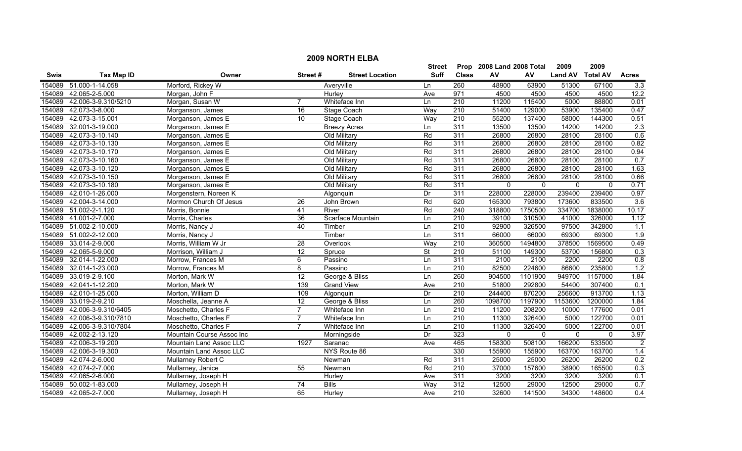|        | <b>2009 NORTH ELBA</b> |                           |                 |                        |               |                  |                           |              |                |                 |                |  |
|--------|------------------------|---------------------------|-----------------|------------------------|---------------|------------------|---------------------------|--------------|----------------|-----------------|----------------|--|
|        |                        |                           |                 |                        | <b>Street</b> |                  | Prop 2008 Land 2008 Total |              | 2009           | 2009            |                |  |
| Swis   | <b>Tax Map ID</b>      | Owner                     | Street#         | <b>Street Location</b> | <b>Suff</b>   | <b>Class</b>     | ${\sf AV}$                | AV           | <b>Land AV</b> | <b>Total AV</b> | <b>Acres</b>   |  |
| 154089 | 51.000-1-14.058        | Morford, Rickey W         |                 | Averyville             | Ln            | 260              | 48900                     | 63900        | 51300          | 67100           | 3.3            |  |
| 154089 | 42.065-2-5.000         | Morgan, John F            |                 | Hurley                 | Ave           | 971              | 4500                      | 4500         | 4500           | 4500            | 12.2           |  |
| 154089 | 42.006-3-9.310/5210    | Morgan, Susan W           |                 | Whiteface Inn          | Ln            | $\overline{210}$ | 11200                     | 115400       | 5000           | 88800           | 0.01           |  |
| 154089 | 42.073-3-8.000         | Morganson, James          | $\overline{16}$ | Stage Coach            | Way           | 210              | 51400                     | 129000       | 53900          | 135400          | 0.47           |  |
| 154089 | 42.073-3-15.001        | Morganson, James E        | $\overline{10}$ | Stage Coach            | Way           | 210              | 55200                     | 137400       | 58000          | 144300          | 0.51           |  |
| 154089 | 32.001-3-19.000        | Morganson, James E        |                 | <b>Breezy Acres</b>    | Ln            | 311              | 13500                     | 13500        | 14200          | 14200           | 2.3            |  |
| 154089 | 42.073-3-10.140        | Morganson, James E        |                 | Old Military           | Rd            | 311              | 26800                     | 26800        | 28100          | 28100           | 0.6            |  |
| 154089 | 42.073-3-10.130        | Morganson, James E        |                 | Old Military           | Rd            | 311              | 26800                     | 26800        | 28100          | 28100           | 0.82           |  |
| 154089 | 42.073-3-10.170        | Morganson, James E        |                 | Old Military           | Rd            | 311              | 26800                     | 26800        | 28100          | 28100           | 0.94           |  |
| 154089 | 42.073-3-10.160        | Morganson, James E        |                 | Old Military           | Rd            | 311              | 26800                     | 26800        | 28100          | 28100           | 0.7            |  |
| 154089 | 42.073-3-10.120        | Morganson, James E        |                 | Old Military           | Rd            | 311              | 26800                     | 26800        | 28100          | 28100           | 1.63           |  |
| 154089 | 42.073-3-10.150        | Morganson, James E        |                 | Old Military           | Rd            | 311              | 26800                     | 26800        | 28100          | 28100           | 0.66           |  |
| 154089 | 42.073-3-10.180        | Morganson, James E        |                 | Old Military           | Rd            | 311              | $\mathbf 0$               | $\mathbf{0}$ | $\mathbf 0$    | $\mathbf 0$     | 0.71           |  |
| 154089 | 42.010-1-26.000        | Morgenstern, Noreen K     |                 | Algonquin              | Dr            | 311              | 228000                    | 228000       | 239400         | 239400          | 0.97           |  |
| 154089 | 42.004-3-14.000        | Mormon Church Of Jesus    | $\overline{26}$ | John Brown             | Rd            | 620              | 165300                    | 793800       | 173600         | 833500          | 3.6            |  |
| 154089 | 51.002-2-1.120         | Morris, Bonnie            | 41              | River                  | Rd            | 240              | 318800                    | 1750500      | 334700         | 1838000         | 10.17          |  |
| 154089 | 41.001-2-7.000         | Morris, Charles           | 36              | Scarface Mountain      | Ln            | 210              | 39100                     | 310500       | 41000          | 326000          | 1.12           |  |
| 154089 | 51.002-2-10.000        | Morris, Nancy J           | 40              | Timber                 | Ln            | 210              | 92900                     | 326500       | 97500          | 342800          | 1.1            |  |
| 154089 | 51.002-2-12.000        | Morris, Nancy J           |                 | Timber                 | Ln            | 311              | 66000                     | 66000        | 69300          | 69300           | 1.9            |  |
| 154089 | 33.014-2-9.000         | Morris, William W Jr      | 28              | Overlook               | Way           | 210              | 360500                    | 1494800      | 378500         | 1569500         | 0.49           |  |
| 154089 | 42.065-5-9.000         | Morrison, William J       | 12              | Spruce                 | <b>St</b>     | $\overline{210}$ | 51100                     | 149300       | 53700          | 156800          | 0.3            |  |
| 154089 | 32.014-1-22.000        | Morrow, Frances M         | 6               | Passino                | Ln            | 311              | 2100                      | 2100         | 2200           | 2200            | 0.8            |  |
| 154089 | 32.014-1-23.000        | Morrow, Frances M         | 8               | Passino                | Ln            | $\overline{210}$ | 82500                     | 224600       | 86600          | 235800          | 1.2            |  |
| 154089 | 33.019-2-9.100         | Morton, Mark W            | 12              | George & Bliss         | Ln            | 260              | 904500                    | 1101900      | 949700         | 1157000         | 1.84           |  |
| 154089 | 42.041-1-12.200        | Morton, Mark W            | 139             | <b>Grand View</b>      | Ave           | $\overline{210}$ | 51800                     | 292800       | 54400          | 307400          | 0.1            |  |
| 154089 | 42.010-1-25.000        | Morton, William D         | 109             | Algonquin              | Dr            | 210              | 244400                    | 870200       | 256600         | 913700          | 1.13           |  |
| 154089 | 33.019-2-9.210         | Moschella, Jeanne A       | $\overline{12}$ | George & Bliss         | Ln            | 260              | 1098700                   | 1197900      | 1153600        | 1200000         | 1.84           |  |
| 154089 | 42.006-3-9.310/6405    | Moschetto, Charles F      | $\overline{7}$  | Whiteface Inn          | Ln            | 210              | 11200                     | 208200       | 10000          | 177600          | 0.01           |  |
| 154089 | 42.006-3-9.310/7810    | Moschetto, Charles F      | $\overline{7}$  | Whiteface Inn          | Ln            | 210              | 11300                     | 326400       | 5000           | 122700          | 0.01           |  |
| 154089 | 42.006-3-9.310/7804    | Moschetto, Charles F      | $\overline{7}$  | Whiteface Inn          | Ln            | 210              | 11300                     | 326400       | 5000           | 122700          | 0.01           |  |
| 154089 | 42.002-2-13.120        | Mountain Course Assoc Inc |                 | Morningside            | Dr            | 323              | $\mathbf 0$               | $\mathbf 0$  | $\mathbf 0$    | $\mathbf{0}$    | 3.97           |  |
| 154089 | 42.006-3-19.200        | Mountain Land Assoc LLC   | 1927            | Saranac                | Ave           | 465              | 158300                    | 508100       | 166200         | 533500          | $\overline{2}$ |  |
| 154089 | 42.006-3-19.300        | Mountain Land Assoc LLC   |                 | NYS Route 86           |               | 330              | 155900                    | 155900       | 163700         | 163700          | 1.4            |  |
| 154089 | 42.074-2-6.000         | Mullarney Robert C        |                 | Newman                 | Rd            | 311              | 25000                     | 25000        | 26200          | 26200           | 0.2            |  |
| 154089 | 42.074-2-7.000         | Mullarney, Janice         | 55              | Newman                 | Rd            | 210              | 37000                     | 157600       | 38900          | 165500          | 0.3            |  |
| 154089 | 42.065-2-6.000         | Mullarney, Joseph H       |                 | Hurley                 | Ave           | 311              | 3200                      | 3200         | 3200           | 3200            | 0.1            |  |
| 154089 | 50.002-1-83.000        | Mullarney, Joseph H       | $\overline{74}$ | <b>Bills</b>           | Way           | 312              | 12500                     | 29000        | 12500          | 29000           | 0.7            |  |
|        | 154089 42.065-2-7.000  | Mullarney, Joseph H       | 65              | <b>Hurley</b>          | Ave           | $\overline{210}$ | 32600                     | 141500       | 34300          | 148600          | 0.4            |  |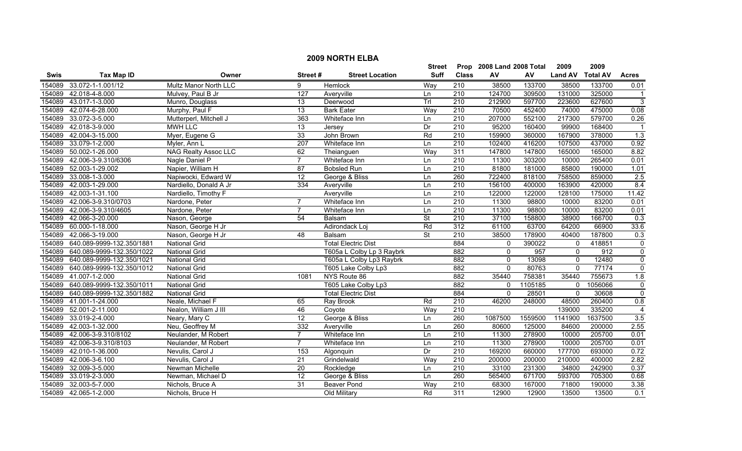|        | <b>2009 NORTH ELBA</b>    |                        |                  |                            |                          |                  |                           |         |                |                 |                |  |
|--------|---------------------------|------------------------|------------------|----------------------------|--------------------------|------------------|---------------------------|---------|----------------|-----------------|----------------|--|
|        |                           |                        |                  |                            | <b>Street</b>            |                  | Prop 2008 Land 2008 Total |         | 2009           | 2009            |                |  |
| Swis   | <b>Tax Map ID</b>         | Owner                  | Street#          | <b>Street Location</b>     | <b>Suff</b>              | <b>Class</b>     | AV                        | AV      | <b>Land AV</b> | <b>Total AV</b> | <b>Acres</b>   |  |
| 154089 | 33.072-1-1.001/12         | Multz Manor North LLC  | 9                | Hemlock                    | Way                      | 210              | 38500                     | 133700  | 38500          | 133700          | 0.01           |  |
| 154089 | 42.018-4-8.000            | Mulvey, Paul B Jr      | $\overline{127}$ | Averyville                 | Ln                       | $\overline{210}$ | 124700                    | 309500  | 131000         | 325000          | $\overline{1}$ |  |
| 154089 | 43.017-1-3.000            | Munro, Douglass        | 13               | Deerwood                   | TrI                      | 210              | 212900                    | 597700  | 223600         | 627600          | $\overline{3}$ |  |
| 154089 | 42.074-6-28.000           | Murphy, Paul F         | 13               | <b>Bark Eater</b>          | Way                      | 210              | 70500                     | 452400  | 74000          | 475000          | 0.08           |  |
| 154089 | 33.072-3-5.000            | Mutterperl, Mitchell J | 363              | Whiteface Inn              | Ln                       | 210              | 207000                    | 552100  | 217300         | 579700          | 0.26           |  |
| 154089 | 42.018-3-9.000            | <b>MWH LLC</b>         | 13               | Jersey                     | Dr                       | 210              | 95200                     | 160400  | 99900          | 168400          | $\overline{1}$ |  |
| 154089 | 42.004-3-15.000           | Myer, Eugene G         | 33               | John Brown                 | Rd                       | 210              | 159900                    | 360000  | 167900         | 378000          | 1.3            |  |
| 154089 | 33.079-1-2.000            | Myler, Ann L           | 207              | Whiteface Inn              | Ln                       | 210              | 102400                    | 416200  | 107500         | 437000          | 0.92           |  |
| 154089 | 50.002-1-26.000           | NAG Realty Assoc LLC   | 62               | Theianguen                 | Way                      | 311              | 147800                    | 147800  | 165000         | 165000          | 8.82           |  |
| 154089 | 42.006-3-9.310/6306       | Nagle Daniel P         | $\overline{7}$   | Whiteface Inn              | Ln                       | 210              | 11300                     | 303200  | 10000          | 265400          | 0.01           |  |
| 154089 | 52.003-1-29.002           | Napier, William H      | 87               | <b>Bobsled Run</b>         | Ln                       | 210              | 81800                     | 181000  | 85800          | 190000          | 1.01           |  |
| 154089 | 33.008-1-3.000            | Napiwocki, Edward W    | 12               | George & Bliss             | Ln                       | 260              | 722400                    | 818100  | 758500         | 859000          | 2.5            |  |
| 154089 | 42.003-1-29.000           | Nardiello, Donald A Jr | $\frac{1}{334}$  | Averyville                 | Ln                       | $\overline{210}$ | 156100                    | 400000  | 163900         | 420000          | 8.4            |  |
| 154089 | 42.003-1-31.100           | Nardiello, Timothy F   |                  | Averyville                 | Ln                       | 210              | 122000                    | 122000  | 128100         | 175000          | 11.42          |  |
| 154089 | 42.006-3-9.310/0703       | Nardone, Peter         | $\overline{7}$   | Whiteface Inn              | Ln                       | $\overline{210}$ | 11300                     | 98800   | 10000          | 83200           | 0.01           |  |
| 154089 | 42.006-3-9.310/4605       | Nardone, Peter         | $\overline{7}$   | Whiteface Inn              | Ln                       | $\overline{210}$ | 11300                     | 98800   | 10000          | 83200           | 0.01           |  |
| 154089 | 42.066-3-20.000           | Nason, George          | 54               | Balsam                     | $\overline{\mathsf{St}}$ | 210              | 37100                     | 158800  | 38900          | 166700          | 0.3            |  |
| 154089 | 60.000-1-18.000           | Nason, George H Jr     |                  | Adirondack Loj             | Rd                       | 312              | 61100                     | 63700   | 64200          | 66900           | 33.6           |  |
| 154089 | 42.066-3-19.000           | Nason, George H Jr     | 48               | Balsam                     | <b>St</b>                | 210              | 38500                     | 178900  | 40400          | 187800          | 0.3            |  |
| 154089 | 640.089-9999-132.350/1881 | <b>National Grid</b>   |                  | <b>Total Electric Dist</b> |                          | 884              | $\Omega$                  | 390022  | 0              | 418851          | $\overline{0}$ |  |
| 154089 | 640.089-9999-132.350/1022 | <b>National Grid</b>   |                  | T605a L Colby Lp 3 Raybrk  |                          | 882              | $\mathbf{0}$              | 957     | $\mathbf 0$    | 912             | $\overline{0}$ |  |
| 154089 | 640.089-9999-132.350/1021 | <b>National Grid</b>   |                  | T605a L Colby Lp3 Raybrk   |                          | 882              | $\mathbf{0}$              | 13098   | $\mathbf 0$    | 12480           | $\overline{0}$ |  |
| 154089 | 640.089-9999-132.350/1012 | <b>National Grid</b>   |                  | T605 Lake Colby Lp3        |                          | 882              | $\mathbf{0}$              | 80763   | $\mathbf{0}$   | 77174           | $\overline{0}$ |  |
| 154089 | 41.007-1-2.000            | <b>National Grid</b>   | 1081             | NYS Route 86               |                          | 882              | 35440                     | 758381  | 35440          | 755673          | 1.8            |  |
| 154089 | 640.089-9999-132.350/1011 | <b>National Grid</b>   |                  | T605 Lake Colby Lp3        |                          | 882              | $\mathbf{0}$              | 1105185 | 0              | 1056066         | $\overline{0}$ |  |
| 154089 | 640.089-9999-132.350/1882 | <b>National Grid</b>   |                  | <b>Total Electric Dist</b> |                          | 884              | $\mathbf{0}$              | 28501   | 0              | 30608           | $\overline{0}$ |  |
| 154089 | 41.001-1-24.000           | Neale, Michael F       | 65               | Ray Brook                  | Rd                       | $\overline{210}$ | 46200                     | 248000  | 48500          | 260400          | 0.8            |  |
| 154089 | 52.001-2-11.000           | Nealon, William J III  | 46               | Coyote                     | Way                      | $\overline{210}$ |                           |         | 139000         | 335200          | $\overline{4}$ |  |
| 154089 | 33.019-2-4.000            | Neary, Mary C          | 12               | George & Bliss             | Ln                       | 260              | 1087500                   | 1559500 | 1141900        | 1637500         | 3.5            |  |
| 154089 | 42.003-1-32.000           | Neu, Geoffrey M        | 332              | Averyville                 | Ln                       | 260              | 80600                     | 125000  | 84600          | 200000          | 2.55           |  |
| 154089 | 42.006-3-9.310/8102       | Neulander, M Robert    | $\overline{7}$   | Whiteface Inn              | Ln                       | 210              | 11300                     | 278900  | 10000          | 205700          | 0.01           |  |
| 154089 | 42.006-3-9.310/8103       | Neulander, M Robert    | $\overline{7}$   | Whiteface Inn              | Ln                       | 210              | 11300                     | 278900  | 10000          | 205700          | 0.01           |  |
| 154089 | 42.010-1-36.000           | Nevulis, Carol J       | 153              | Algonquin                  | Dr                       | 210              | 169200                    | 660000  | 177700         | 693000          | 0.72           |  |
| 154089 | 42.006-3-6.100            | Nevulis, Carol J       | 21               | Grindelwald                | Way                      | 210              | 200000                    | 200000  | 210000         | 400000          | 2.82           |  |
| 154089 | 32.009-3-5.000            | Newman Michelle        | $\overline{20}$  | Rockledge                  | Ln                       | 210              | 33100                     | 231300  | 34800          | 242900          | 0.37           |  |
| 154089 | 33.019-2-3.000            | Newman, Michael D      | 12               | George & Bliss             | Ln                       | 260              | 565400                    | 671700  | 593700         | 705300          | 0.68           |  |
| 154089 | 32.003-5-7.000            | Nichols, Bruce A       | $\overline{31}$  | Beaver Pond                | Way                      | 210              | 68300                     | 167000  | 71800          | 190000          | 3.38           |  |
|        | 154089 42.065-1-2.000     | Nichols, Bruce H       |                  | Old Military               | Rd                       | 311              | 12900                     | 12900   | 13500          | 13500           | 0.1            |  |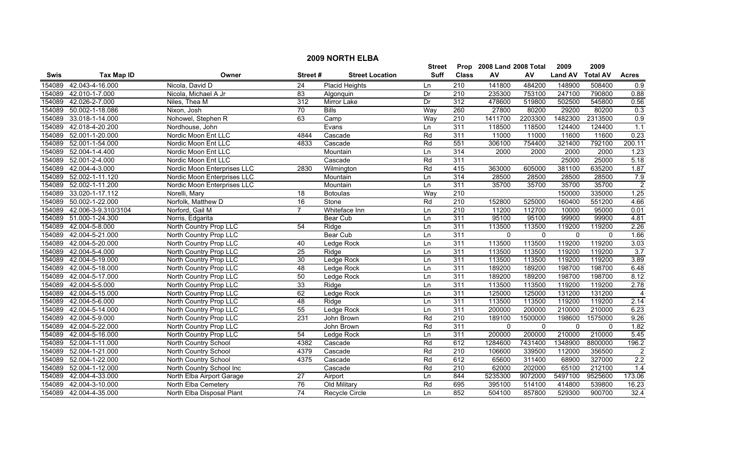|        | <b>2009 NORTH ELBA</b> |                             |                 |                        |                          |                  |                           |              |                |                 |                |
|--------|------------------------|-----------------------------|-----------------|------------------------|--------------------------|------------------|---------------------------|--------------|----------------|-----------------|----------------|
|        |                        |                             |                 |                        | <b>Street</b>            |                  | Prop 2008 Land 2008 Total |              | 2009           | 2009            |                |
| Swis   | <b>Tax Map ID</b>      | Owner                       | Street#         | <b>Street Location</b> | Suff                     | <b>Class</b>     | ${\sf AV}$                | AV           | <b>Land AV</b> | <b>Total AV</b> | <b>Acres</b>   |
| 154089 | 42.043-4-16.000        | Nicola, David D             | 24              | <b>Placid Heights</b>  | Ln                       | 210              | 141800                    | 484200       | 148900         | 508400          | 0.9            |
| 154089 | 42.010-1-7.000         | Nicola, Michael A Jr        | 83              | Algonquin              | Dr                       | 210              | 235300                    | 753100       | 247100         | 790800          | 0.88           |
| 154089 | 42.026-2-7.000         | Niles, Thea M               | 312             | Mirror Lake            | $\overline{\mathsf{Dr}}$ | 312              | 478600                    | 519800       | 502500         | 545800          | 0.56           |
| 154089 | 50.002-1-18.086        | Nixon, Josh                 | 70              | <b>Bills</b>           | Way                      | 260              | 27800                     | 80200        | 29200          | 80200           | 0.3            |
| 154089 | 33.018-1-14.000        | Nohowel, Stephen R          | 63              | Camp                   | Way                      | 210              | 1411700                   | 2203300      | 1482300        | 2313500         | 0.9            |
| 154089 | 42.018-4-20.200        | Nordhouse, John             |                 | Evans                  | Ln                       | 311              | 118500                    | 118500       | 124400         | 124400          | 1.1            |
| 154089 | 52.001-1-20.000        | Nordic Moon Ent LLC         | 4844            | Cascade                | Rd                       | 311              | 11000                     | 11000        | 11600          | 11600           | 0.23           |
| 154089 | 52.001-1-54.000        | Nordic Moon Ent LLC         | 4833            | Cascade                | Rd                       | 551              | 306100                    | 754400       | 321400         | 792100          | 200.11         |
| 154089 | 52.004-1-4.400         | Nordic Moon Ent LLC         |                 | Mountain               | Ln                       | 314              | 2000                      | 2000         | 2000           | 2000            | 1.23           |
| 154089 | 52.001-2-4.000         | Nordic Moon Ent LLC         |                 | Cascade                | Rd                       | 311              |                           |              | 25000          | 25000           | 5.18           |
| 154089 | 42.004-4-3.000         | Nordic Moon Enterprises LLC | 2830            | Wilmington             | Rd                       | 415              | 363000                    | 605000       | 381100         | 635200          | 1.87           |
| 154089 | 52.002-1-11.120        | Nordic Moon Enterprises LLC |                 | Mountain               | Ln                       | 314              | 28500                     | 28500        | 28500          | 28500           | 7.9            |
| 154089 | 52.002-1-11.200        | Nordic Moon Enterprises LLC |                 | Mountain               | Ln                       | 311              | 35700                     | 35700        | 35700          | 35700           | $\overline{2}$ |
| 154089 | 33.020-1-17.112        | Norelli, Mary               | 18              | <b>Botoulas</b>        | Way                      | 210              |                           |              | 150000         | 335000          | 1.25           |
| 154089 | 50.002-1-22.000        | Norfolk, Matthew D          | 16              | Stone                  | Rd                       | $\overline{210}$ | 152800                    | 525000       | 160400         | 551200          | 4.66           |
| 154089 | 42.006-3-9.310/3104    | Norford, Gail M             | $\overline{7}$  | Whiteface Inn          | Ln                       | $\overline{210}$ | 11200                     | 112700       | 10000          | 95000           | 0.01           |
| 154089 | 51.000-1-24.300        | Norris, Edgarita            |                 | <b>Bear Cub</b>        | Ln                       | 311              | 95100                     | 95100        | 99900          | 99900           | 4.81           |
| 154089 | 42.004-5-8.000         | North Country Prop LLC      | 54              | Ridge                  | $\overline{\text{Ln}}$   | 311              | 113500                    | 113500       | 119200         | 119200          | 2.26           |
| 154089 | 42.004-5-21.000        | North Country Prop LLC      |                 | <b>Bear Cub</b>        | Ln                       | 311              | $\mathbf 0$               | $\mathbf 0$  | $\mathbf 0$    | $\mathbf{0}$    | 1.66           |
| 154089 | 42.004-5-20.000        | North Country Prop LLC      | 40              | Ledge Rock             | Ln                       | 311              | 113500                    | 113500       | 119200         | 119200          | 3.03           |
| 154089 | 42.004-5-4.000         | North Country Prop LLC      | 25              | Ridge                  | Ln                       | 311              | 113500                    | 113500       | 119200         | 119200          | 3.7            |
| 154089 | 42.004-5-19.000        | North Country Prop LLC      | 30              | Ledge Rock             | Ln                       | 311              | 113500                    | 113500       | 119200         | 119200          | 3.89           |
| 154089 | 42.004-5-18.000        | North Country Prop LLC      | 48              | Ledge Rock             | Ln                       | 311              | 189200                    | 189200       | 198700         | 198700          | 6.48           |
| 154089 | 42.004-5-17.000        | North Country Prop LLC      | 50              | Ledge Rock             | Ln                       | 311              | 189200                    | 189200       | 198700         | 198700          | 8.12           |
| 154089 | 42.004-5-5.000         | North Country Prop LLC      | 33              | Ridge                  | Ln                       | 311              | 113500                    | 113500       | 119200         | 119200          | 2.78           |
| 154089 | 42.004-5-15.000        | North Country Prop LLC      | 62              | Ledge Rock             | Ln                       | 311              | 125000                    | 125000       | 131200         | 131200          | $\overline{4}$ |
| 154089 | 42.004-5-6.000         | North Country Prop LLC      | $\overline{48}$ | Ridge                  | Ln                       | 311              | 113500                    | 113500       | 119200         | 119200          | 2.14           |
| 154089 | 42.004-5-14.000        | North Country Prop LLC      | 55              | Ledge Rock             | Ln                       | 311              | 200000                    | 200000       | 210000         | 210000          | 6.23           |
| 154089 | 42.004-5-9.000         | North Country Prop LLC      | 231             | John Brown             | Rd                       | 210              | 189100                    | 1500000      | 198600         | 1575000         | 9.26           |
| 154089 | 42.004-5-22.000        | North Country Prop LLC      |                 | John Brown             | Rd                       | 311              | $\mathbf{0}$              | $\mathbf{0}$ | $\mathbf 0$    | $\mathbf{0}$    | 1.82           |
| 154089 | 42.004-5-16.000        | North Country Prop LLC      | 54              | Ledge Rock             | Ln                       | 311              | 200000                    | 200000       | 210000         | 210000          | 5.45           |
| 154089 | 52.004-1-11.000        | North Country School        | 4382            | Cascade                | Rd                       | 612              | 1284600                   | 7431400      | 1348900        | 8800000         | 196.2          |
| 154089 | 52.004-1-21.000        | North Country School        | 4379            | Cascade                | Rd                       | 210              | 106600                    | 339500       | 112000         | 356500          | $\overline{2}$ |
| 154089 | 52.004-1-22.000        | North Country School        | 4375            | Cascade                | Rd                       | 612              | 65600                     | 311400       | 68900          | 327000          | 2.2            |
| 154089 | 52.004-1-12.000        | North Country School Inc    |                 | Cascade                | Rd                       | 210              | 62000                     | 202000       | 65100          | 212100          | 1.4            |
| 154089 | 42.004-4-33.000        | North Elba Airport Garage   | 27              | Airport                | Ln                       | 844              | 5235300                   | 9072000      | 5497100        | 9525600         | 173.06         |
| 154089 | 42.004-3-10.000        | North Elba Cemetery         | 76              | Old Military           | Rd                       | 695              | 395100                    | 514100       | 414800         | 539800          | 16.23          |
|        | 154089 42.004-4-35.000 | North Elba Disposal Plant   | $\overline{74}$ | <b>Recycle Circle</b>  | Ln                       | 852              | 504100                    | 857800       | 529300         | 900700          | 32.4           |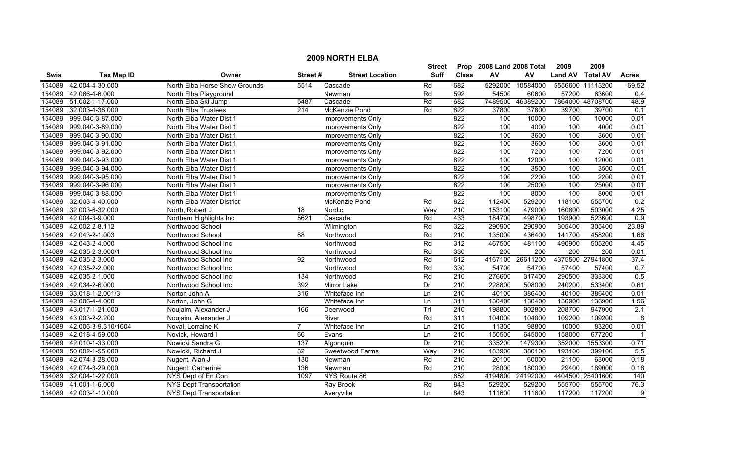| <b>2009 NORTH ELBA</b> |                     |                                |         |                        |               |                  |                      |                  |                |                  |                  |
|------------------------|---------------------|--------------------------------|---------|------------------------|---------------|------------------|----------------------|------------------|----------------|------------------|------------------|
|                        |                     |                                |         |                        | <b>Street</b> | Prop             | 2008 Land 2008 Total |                  | 2009           | 2009             |                  |
| Swis                   | <b>Tax Map ID</b>   | Owner                          | Street# | <b>Street Location</b> | <b>Suff</b>   | <b>Class</b>     | AV                   | AV               | <b>Land AV</b> | <b>Total AV</b>  | <b>Acres</b>     |
| 154089                 | 42.004-4-30.000     | North Elba Horse Show Grounds  | 5514    | Cascade                | Rd            | 682              | 5292000              | 10584000         |                | 5556600 11113200 | 69.52            |
| 154089                 | 42.066-4-6.000      | North Elba Playground          |         | Newman                 | Rd            | 592              | 54500                | 60600            | 57200          | 63600            | 0.4              |
| 154089                 | 51.002-1-17.000     | North Elba Ski Jump            | 5487    | Cascade                | Rd            | 682              | 7489500              | 46389200         |                | 7864000 48708700 | 48.9             |
| 154089                 | 32.003-4-38.000     | <b>North Elba Trustees</b>     | 214     | McKenzie Pond          | Rd            | 822              | 37800                | 37800            | 39700          | 39700            | 0.1              |
| 154089                 | 999.040-3-87.000    | North Elba Water Dist 1        |         | Improvements Only      |               | 822              | 100                  | 10000            | 100            | 10000            | 0.01             |
| 154089                 | 999.040-3-89.000    | North Elba Water Dist 1        |         | Improvements Only      |               | 822              | 100                  | 4000             | 100            | 4000             | 0.01             |
| 154089                 | 999.040-3-90.000    | North Elba Water Dist 1        |         | Improvements Only      |               | 822              | 100                  | 3600             | 100            | 3600             | 0.01             |
| 154089                 | 999.040-3-91.000    | North Elba Water Dist 1        |         | Improvements Only      |               | 822              | 100                  | 3600             | 100            | 3600             | 0.01             |
| 154089                 | 999.040-3-92.000    | North Elba Water Dist 1        |         | Improvements Only      |               | 822              | 100                  | 7200             | 100            | 7200             | 0.01             |
| 154089                 | 999.040-3-93.000    | North Elba Water Dist 1        |         | Improvements Only      |               | 822              | 100                  | 12000            | 100            | 12000            | 0.01             |
| 154089                 | 999.040-3-94.000    | North Elba Water Dist 1        |         | Improvements Only      |               | 822              | 100                  | 3500             | 100            | 3500             | 0.01             |
| 154089                 | 999.040-3-95.000    | North Elba Water Dist 1        |         | Improvements Only      |               | 822              | 100                  | 2200             | 100            | 2200             | 0.01             |
| 154089                 | 999.040-3-96.000    | North Elba Water Dist 1        |         | Improvements Only      |               | 822              | 100                  | 25000            | 100            | 25000            | 0.01             |
| 154089                 | 999.040-3-88.000    | North Elba Water Dist 1        |         | Improvements Only      |               | 822              | 100                  | 8000             | 100            | 8000             | 0.01             |
| 154089                 | 32.003-4-40.000     | North Elba Water District      |         | McKenzie Pond          | Rd            | 822              | 112400               | 529200           | 118100         | 555700           | 0.2              |
| 154089                 | 32.003-6-32.000     | North, Robert J                | 18      | Nordic                 | Way           | 210              | 153100               | 479000           | 160800         | 503000           | 4.25             |
| 154089                 | 42.004-3-9.000      | Northern Highlights Inc        | 5621    | Cascade                | Rd            | 433              | 184700               | 498700           | 193900         | 523600           | 0.9              |
| 154089                 | 42.002-2-8.112      | Northwood School               |         | Wilmington             | Rd            | 322              | 290900               | 290900           | 305400         | 305400           | 23.89            |
| 154089                 | 42.043-2-1.003      | Northwood School               | 88      | Northwood              | Rd            | 210              | 135000               | 436400           | 141700         | 458200           | 1.66             |
| 154089                 | 42.043-2-4.000      | Northwood School Inc           |         | Northwood              | Rd            | 312              | 467500               | 481100           | 490900         | 505200           | 4.45             |
| 154089                 | 42.035-2-3.000/1    | Northwood School Inc.          |         | Northwood              | Rd            | 330              | 200                  | $\overline{200}$ | 200            | 200              | 0.01             |
| 154089                 | 42.035-2-3.000      | Northwood School Inc           | 92      | Northwood              | Rd            | 612              | 4167100              | 26611200         |                | 4375500 27941800 | 37.4             |
| 154089                 | 42.035-2-2.000      | Northwood School Inc           |         | Northwood              | Rd            | 330              | 54700                | 54700            | 57400          | 57400            | 0.7              |
| 154089                 | 42.035-2-1.000      | Northwood School Inc           | 134     | Northwood              | Rd            | $\overline{210}$ | 276600               | 317400           | 290500         | 333300           | 0.5              |
| 154089                 | 42.034-2-6.000      | Northwood School Inc           | 392     | Mirror Lake            | Dr            | 210              | 228800               | 508000           | 240200         | 533400           | 0.61             |
| 154089                 | 33.018-1-2.001/3    | Norton John A                  | 316     | Whiteface Inn          | Ln            | $\overline{210}$ | 40100                | 386400           | 40100          | 386400           | 0.01             |
| 154089                 | 42.006-4-4.000      | Norton, John G                 |         | Whiteface Inn          | Ln            | 311              | 130400               | 130400           | 136900         | 136900           | 1.56             |
| 154089                 | 43.017-1-21.000     | Noujaim, Alexander J           | 166     | Deerwood               | Trl           | $\overline{210}$ | 198800               | 902800           | 208700         | 947900           | $\overline{2.1}$ |
| 154089                 | 43.003-2-2.200      | Noujaim, Alexander J           |         | River                  | Rd            | 311              | 104000               | 104000           | 109200         | 109200           | 8                |
| 154089                 | 42.006-3-9.310/1604 | Noval, Lorraine K              | 7       | Whiteface Inn          | Ln            | $\overline{210}$ | 11300                | 98800            | 10000          | 83200            | 0.01             |
| 154089                 | 42.018-4-59.000     | Novick, Howard I               | 66      | Evans                  | Ln            | 210              | 150500               | 645000           | 158000         | 677200           |                  |
| 154089                 | 42.010-1-33.000     | Nowicki Sandra G               | 137     | Algonquin              | Dr            | 210              | 335200               | 1479300          | 352000         | 1553300          | 0.71             |
| 154089                 | 50.002-1-55.000     | Nowicki, Richard J             | 32      | Sweetwood Farms        | Way           | 210              | 183900               | 380100           | 193100         | 399100           | 5.5              |
| 154089                 | 42.074-3-28.000     | Nugent, Alan J                 | 130     | Newman                 | Rd            | $\overline{210}$ | 20100                | 60000            | 21100          | 63000            | 0.18             |
| 154089                 | 42.074-3-29.000     | Nugent, Catherine              | 136     | Newman                 | Rd            | $\overline{210}$ | 28000                | 180000           | 29400          | 189000           | 0.18             |
| 154089                 | 32.004-1-22.000     | NYS Dept of En Con             | 1097    | NYS Route 86           |               | 652              | 4194800              | 24192000         |                | 4404500 25401600 | 140              |
| 154089                 | 41.001-1-6.000      | NYS Dept Transportation        |         | Ray Brook              | Rd            | 843              | 529200               | 529200           | 555700         | 555700           | 76.3             |
| 154089                 | 42.003-1-10.000     | <b>NYS Dept Transportation</b> |         | Averyville             | Ln            | 843              | 111600               | 111600           | 117200         | 117200           | 9                |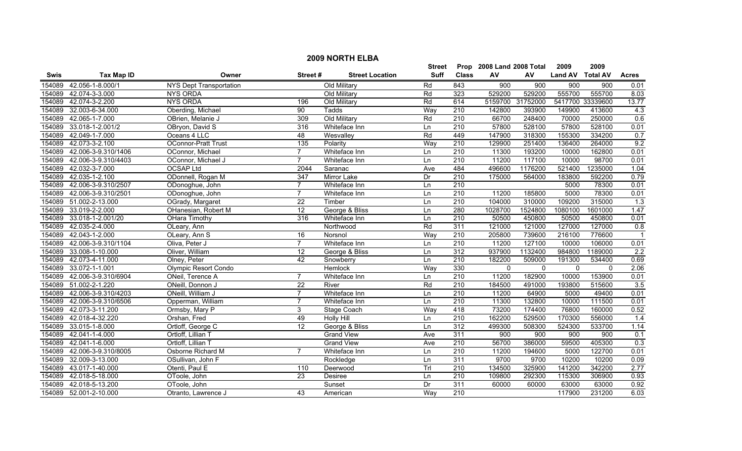| <b>2009 NORTH ELBA</b> |                        |                                |                  |                        |                 |                  |             |              |                |                  |                  |
|------------------------|------------------------|--------------------------------|------------------|------------------------|-----------------|------------------|-------------|--------------|----------------|------------------|------------------|
|                        |                        | Street                         | Prop             | 2008 Land 2008 Total   |                 | 2009             | 2009        |              |                |                  |                  |
| <b>Swis</b>            | <b>Tax Map ID</b>      | Owner                          | Street#          | <b>Street Location</b> | <b>Suff</b>     | <b>Class</b>     | AV          | AV           | <b>Land AV</b> | <b>Total AV</b>  | <b>Acres</b>     |
| 154089                 | 42.056-1-8.000/1       | <b>NYS Dept Transportation</b> |                  | Old Military           | Rd              | 843              | 900         | 900          | 900            | $\overline{900}$ | 0.01             |
| 154089                 | 42.074-3-3.000         | <b>NYS ORDA</b>                |                  | Old Military           | Rd              | 323              | 529200      | 529200       | 555700         | 555700           | 8.03             |
| 154089                 | 42.074-3-2.200         | <b>NYS ORDA</b>                | 196              | Old Military           | Rd              | 614              | 5159700     | 31752000     |                | 5417700 33339600 | 13.77            |
| 154089                 | 32.003-6-34.000        | Oberding, Michael              | 90               | <b>Tadds</b>           | Way             | 210              | 142800      | 393900       | 149900         | 413600           | 4.3              |
| 154089                 | 42.065-1-7.000         | OBrien, Melanie J              | 309              | Old Military           | Rd              | 210              | 66700       | 248400       | 70000          | 250000           | 0.6              |
| 154089                 | 33.018-1-2.001/2       | OBryon, David S                | 316              | Whiteface Inn          | Ln              | 210              | 57800       | 528100       | 57800          | 528100           | 0.01             |
| 154089                 | 42.049-1-7.000         | Oceans 4 LLC                   | 48               | Wesvalley              | Rd              | 449              | 147900      | 318300       | 155300         | 334200           | 0.7              |
| 154089                 | 42.073-3-2.100         | <b>OConnor-Pratt Trust</b>     | 135              | Polarity               | Way             | 210              | 129900      | 251400       | 136400         | 264000           | 9.2              |
| 154089                 | 42.006-3-9.310/1406    | OConnor, Michael               | $\overline{7}$   | Whiteface Inn          | Ln              | $\overline{210}$ | 11300       | 193200       | 10000          | 162800           | 0.01             |
| 154089                 | 42.006-3-9.310/4403    | OConnor, Michael J             | $\overline{7}$   | Whiteface Inn          | Ln              | $\overline{210}$ | 11200       | 117100       | 10000          | 98700            | 0.01             |
| 154089                 | 42.032-3-7.000         | OCSAP Ltd                      | 2044             | Saranac                | Ave             | 484              | 496600      | 1176200      | 521400         | 1235000          | 1.04             |
| 154089                 | 42.035-1-2.100         | ODonnell, Rogan M              | $\overline{347}$ | <b>Mirror Lake</b>     | Dr              | 210              | 175000      | 564000       | 183800         | 592200           | 0.79             |
| 154089                 | 42.006-3-9.310/2507    | ODonoghue, John                | $\overline{7}$   | Whiteface Inn          | Ln              | $\overline{210}$ |             |              | 5000           | 78300            | 0.01             |
| 154089                 | 42.006-3-9.310/2501    | ODonoghue, John                | $\overline{7}$   | Whiteface Inn          | Ln              | $\overline{210}$ | 11200       | 185800       | 5000           | 78300            | 0.01             |
| 154089                 | 51.002-2-13.000        | OGrady, Margaret               | 22               | Timber                 | Ln              | $\overline{210}$ | 104000      | 310000       | 109200         | 315000           | 1.3              |
| 154089                 | 33.019-2-2.000         | OHanesian, Robert M            | 12               | George & Bliss         | Ln              | 280              | 1028700     | 1524800      | 1080100        | 1601000          | 1.47             |
| 154089                 | 33.018-1-2.001/20      | <b>OHara Timothy</b>           | 316              | Whiteface Inn          | Ln              | 210              | 50500       | 450800       | 50500          | 450800           | 0.01             |
| 154089                 | 42.035-2-4.000         | OLeary, Ann                    |                  | Northwood              | Rd              | 311              | 121000      | 121000       | 127000         | 127000           | 0.8              |
| 154089                 | 42.043-1-2.000         | OLeary, Ann S                  | 16               | Norsnol                | Way             | 210              | 205800      | 739600       | 216100         | 776600           | $\overline{1}$   |
| 154089                 | 42.006-3-9.310/1104    | Oliva, Peter J                 | $\overline{7}$   | Whiteface Inn          | Ln              | 210              | 11200       | 127100       | 10000          | 106000           | 0.01             |
| 154089                 | 33.008-1-10.000        | Oliver, William                | 12               | George & Bliss         | Ln              | 312              | 937900      | 1132400      | 984800         | 1189000          | $\overline{2.2}$ |
| 154089                 | 42.073-4-11.000        | Olney, Peter                   | 42               | Snowberry              | Ln              | 210              | 182200      | 509000       | 191300         | 534400           | 0.69             |
| 154089                 | 33.072-1-1.001         | <b>Olympic Resort Condo</b>    |                  | Hemlock                | Way             | 330              | $\mathbf 0$ | $\mathbf{0}$ | $\mathbf 0$    | $\mathbf{0}$     | 2.06             |
| 154089                 | 42.006-3-9.310/6904    | ONeil, Terence A               | $\overline{7}$   | Whiteface Inn          | Ln              | 210              | 11200       | 182900       | 10000          | 153900           | 0.01             |
| 154089                 | 51.002-2-1.220         | ONeill, Donnon J               | $\overline{22}$  | River                  | Rd              | $\overline{210}$ | 184500      | 491000       | 193800         | 515600           | 3.5              |
| 154089                 | 42.006-3-9.310/4203    | ONeill, William J              | $\overline{7}$   | Whiteface Inn          | Ln              | 210              | 11200       | 64900        | 5000           | 49400            | 0.01             |
| 154089                 | 42.006-3-9.310/6506    | Opperman, William              | $\overline{7}$   | Whiteface Inn          | Ln              | 210              | 11300       | 132800       | 10000          | 111500           | 0.01             |
| 154089                 | 42.073-3-11.200        | Ormsby, Mary P                 | 3                | Stage Coach            | Way             | 418              | 73200       | 174400       | 76800          | 160000           | 0.52             |
| 154089                 | 42.018-4-32.220        | Orshan, Fred                   | 49               | <b>Holly Hill</b>      | Ln              | 210              | 162200      | 529500       | 170300         | 556000           | 1.4              |
| 154089                 | 33.015-1-8.000         | Ortloff, George C              | 12               | George & Bliss         | Ln              | 312              | 499300      | 508300       | 524300         | 533700           | 1.14             |
| 154089                 | 42.041-1-4.000         | Ortloff, Lillian T             |                  | <b>Grand View</b>      | Ave             | 311              | 900         | 900          | 900            | 900              | 0.1              |
| 154089                 | 42.041-1-6.000         | Ortloff, Lillian T             |                  | <b>Grand View</b>      | Ave             | 210              | 56700       | 386000       | 59500          | 405300           | 0.3              |
| 154089                 | 42.006-3-9.310/8005    | Osborne Richard M              | $\overline{7}$   | Whiteface Inn          | Ln              | 210              | 11200       | 194600       | 5000           | 122700           | 0.01             |
| 154089                 | 32.009-3-13.000        | OSullivan, John F              |                  | Rockledge              | Ln              | 311              | 9700        | 9700         | 10200          | 10200            | 0.09             |
| 154089                 | 43.017-1-40.000        | Otenti, Paul E                 | 110              | Deerwood               | Tr              | $\overline{210}$ | 134500      | 325900       | 141200         | 342200           | 2.77             |
| 154089                 | 42.018-5-18.000        | OToole, John                   | $\overline{23}$  | Desiree                | Ln              | $\overline{210}$ | 109800      | 292300       | 115300         | 306900           | 0.93             |
| 154089                 | 42.018-5-13.200        | OToole, John                   |                  | Sunset                 | $\overline{Dr}$ | 311              | 60000       | 60000        | 63000          | 63000            | 0.92             |
|                        | 154089 52.001-2-10.000 | Otranto, Lawrence J            | 43               | American               | Way             | 210              |             |              | 117900         | 231200           | 6.03             |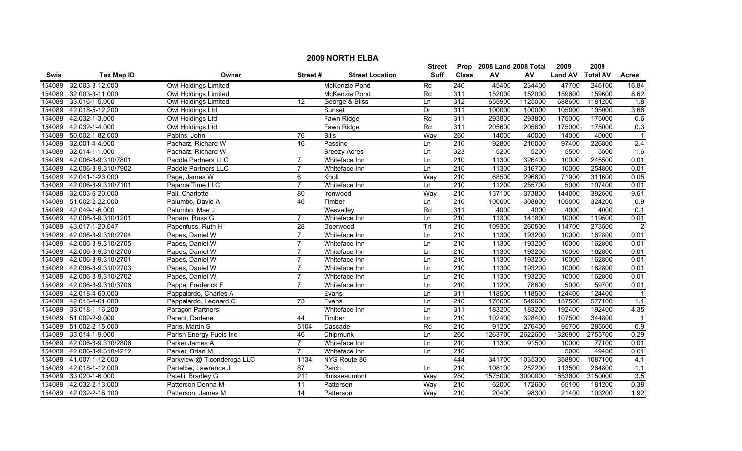|        | <b>2009 NORTH ELBA</b> |                            |                 |                        |               |                  |                           |         |                |                 |                  |  |
|--------|------------------------|----------------------------|-----------------|------------------------|---------------|------------------|---------------------------|---------|----------------|-----------------|------------------|--|
|        |                        |                            |                 |                        | <b>Street</b> |                  | Prop 2008 Land 2008 Total |         | 2009           | 2009            |                  |  |
| Swis   | <b>Tax Map ID</b>      | Owner                      | Street#         | <b>Street Location</b> | <b>Suff</b>   | <b>Class</b>     | ${\sf AV}$                | AV      | <b>Land AV</b> | <b>Total AV</b> | <b>Acres</b>     |  |
| 154089 | 32.003-3-12.000        | Owl Holdings Limited       |                 | McKenzie Pond          | Rd            | 240              | 45400                     | 234400  | 47700          | 246100          | 16.84            |  |
| 154089 | 32.003-3-11.000        | Owl Holdings Limited       |                 | McKenzie Pond          | Rd            | 311              | 152000                    | 152000  | 159600         | 159600          | 8.62             |  |
| 154089 | 33.016-1-5.000         | Owl Holdings Limited       | 12              | George & Bliss         | Ln            | 312              | 655900                    | 1125000 | 688600         | 1181200         | $\overline{1.8}$ |  |
| 154089 | 42.018-5-12.200        | Owl Holdings Ltd           |                 | Sunset                 | Dr            | 311              | 100000                    | 100000  | 105000         | 105000          | 3.66             |  |
| 154089 | 42.032-1-3.000         | Owl Holdings Ltd           |                 | Fawn Ridge             | Rd            | 311              | 293800                    | 293800  | 175000         | 175000          | 0.6              |  |
| 154089 | 42.032-1-4.000         | Owl Holdings Ltd           |                 | Fawn Ridge             | Rd            | 311              | 205600                    | 205600  | 175000         | 175000          | 0.3              |  |
| 154089 | 50.002-1-82.000        | Pabins, John               | 76              | <b>Bills</b>           | Way           | 260              | 14000                     | 40000   | 14000          | 40000           |                  |  |
| 154089 | 32.001-4-4.000         | Pacharz, Richard W         | 16              | Passino                | Ln            | 210              | 92800                     | 216000  | 97400          | 226800          | 2.4              |  |
| 154089 | 32.014-1-1.000         | Pacharz, Richard W         |                 | <b>Breezy Acres</b>    | Ln            | 323              | 5200                      | 5200    | 5500           | 5500            | 1.6              |  |
| 154089 | 42.006-3-9.310/7801    | Paddle Partners LLC        | $\overline{7}$  | Whiteface Inn          | Ln            | 210              | 11300                     | 326400  | 10000          | 245500          | 0.01             |  |
| 154089 | 42.006-3-9.310/7902    | Paddle Partners LLC        | $\overline{7}$  | Whiteface Inn          | Ln            | $\overline{210}$ | 11300                     | 316700  | 10000          | 254800          | 0.01             |  |
| 154089 | 42.041-1-23.000        | Page, James W              | 6               | Knoll                  | Way           | 210              | 68500                     | 296800  | 71900          | 311600          | 0.05             |  |
| 154089 | 42.006-3-9.310/7101    | Pajama Time LLC            | $\overline{7}$  | Whiteface Inn          | Ln            | $\overline{210}$ | 11200                     | 255700  | 5000           | 107400          | 0.01             |  |
| 154089 | 32.003-6-20.000        | Pall, Charlotte            | 80              | Ironwood               | Way           | 210              | 137100                    | 373800  | 144000         | 392500          | 9.61             |  |
| 154089 | 51.002-2-22.000        | Palumbo, David A           | 46              | Timber                 | Ln            | $\overline{210}$ | 100000                    | 308800  | 105000         | 324200          | 0.9              |  |
| 154089 | 42.049-1-6.000         | Palumbo, Mae J             |                 | Wesvalley              | Rd            | 311              | 4000                      | 4000    | 4000           | 4000            | $\overline{0.1}$ |  |
| 154089 | 42.006-3-9.310/1201    | Paparo, Russ G             | $\overline{7}$  | Whiteface Inn          | Ln            | 210              | 11300                     | 141800  | 10000          | 119500          | 0.01             |  |
| 154089 | 43.017-1-20.047        | Papenfuss, Ruth H          | 28              | Deerwood               | Trl           | 210              | 109300                    | 260500  | 114700         | 273500          | $\overline{2}$   |  |
| 154089 | 42.006-3-9.310/2704    | Papes, Daniel W            | $\overline{7}$  | Whiteface Inn          | Ln            | 210              | 11300                     | 193200  | 10000          | 162800          | 0.01             |  |
| 154089 | 42.006-3-9.310/2705    | Papes, Daniel W            | $\overline{7}$  | Whiteface Inn          | Ln            | 210              | 11300                     | 193200  | 10000          | 162800          | 0.01             |  |
| 154089 | 42.006-3-9.310/2706    | Papes, Daniel W            | $\overline{7}$  | Whiteface Inn          | Ln            | $\overline{210}$ | 11300                     | 193200  | 10000          | 162800          | 0.01             |  |
| 154089 | 42.006-3-9.310/2701    | Papes, Daniel W            | $\overline{7}$  | Whiteface Inn          | Ln            | $\overline{210}$ | 11300                     | 193200  | 10000          | 162800          | 0.01             |  |
| 154089 | 42.006-3-9.310/2703    | Papes, Daniel W            | $\overline{7}$  | Whiteface Inn          | Ln            | $\overline{210}$ | 11300                     | 193200  | 10000          | 162800          | 0.01             |  |
| 154089 | 42.006-3-9.310/2702    | Papes, Daniel W            | 7               | Whiteface Inn          | Ln            | $\overline{210}$ | 11300                     | 193200  | 10000          | 162800          | 0.01             |  |
| 154089 | 42.006-3-9.310/3706    | Pappa, Frederick F         | $\overline{7}$  | Whiteface Inn          | Ln            | $\overline{210}$ | 11200                     | 78600   | 5000           | 59700           | 0.01             |  |
| 154089 | 42.018-4-60.000        | Pappalardo, Charles A      |                 | Evans                  | Ln            | 311              | 118500                    | 118500  | 124400         | 124400          |                  |  |
| 154089 | 42.018-4-61.000        | Pappalardo, Leonard C      | $\overline{73}$ | Evans                  | Ln            | 210              | 178600                    | 549600  | 187500         | 577100          | $\overline{1.1}$ |  |
| 154089 | 33.018-1-16.200        | Paragon Partners           |                 | Whiteface Inn          | Ln            | 311              | 183200                    | 183200  | 192400         | 192400          | 4.35             |  |
| 154089 | 51.002-2-9.000         | Parent, Darlene            | 44              | Timber                 | Ln            | 210              | 102400                    | 328400  | 107500         | 344800          | $\overline{1}$   |  |
| 154089 | 51.002-2-15.000        | Paris, Martin S            | 5104            | Cascade                | Rd            | 210              | 91200                     | 276400  | 95700          | 285500          | 0.9              |  |
| 154089 | 33.014-1-9.000         | Parish Energy Fuels Inc    | 46              | Chipmunk               | Ln            | 260              | 1263700                   | 2622600 | 1326900        | 2753700         | 0.29             |  |
| 154089 | 42.006-3-9.310/2806    | Parker James A             | 7               | Whiteface Inn          | Ln            | 210              | 11300                     | 91500   | 10000          | 77100           | 0.01             |  |
| 154089 | 42.006-3-9.310/4212    | Parker, Brian M            | $\overline{7}$  | Whiteface Inn          | Ln            | 210              |                           |         | 5000           | 49400           | 0.01             |  |
| 154089 | 41.007-1-12.000        | Parkview @ Ticonderoga LLC | 1134            | NYS Route 86           |               | 444              | 341700                    | 1035300 | 358800         | 1087100         | 4.1              |  |
| 154089 | 42.018-1-12.000        | Partelow, Lawrence J       | $\overline{87}$ | Patch                  | Ln            | 210              | 108100                    | 252200  | 113500         | 264800          | 1.1              |  |
| 154089 | 33.020-1-6.000         | Patelli, Bradley G         | 211             | Ruisseaumont           | Way           | 280              | 1575000                   | 3000000 | 1653800        | 3150000         | 3.5              |  |
| 154089 | 42.032-2-13.000        | Patterson Donna M          | 11              | Patterson              | Way           | 210              | 62000                     | 172600  | 65100          | 181200          | 0.38             |  |
| 154089 | 42.032-2-16.100        | Patterson, James M         | 14              | Patterson              | Way           | $\overline{210}$ | 20400                     | 98300   | 21400          | 103200          | 1.92             |  |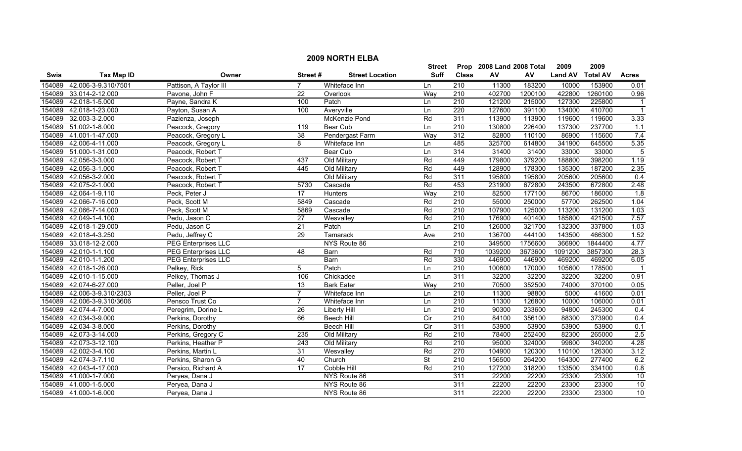| <b>2009 NORTH ELBA</b> |                                                               |                            |                 |                        |                 |                  |         |         |                |                 |                         |  |
|------------------------|---------------------------------------------------------------|----------------------------|-----------------|------------------------|-----------------|------------------|---------|---------|----------------|-----------------|-------------------------|--|
|                        | 2009<br>Prop<br>2008 Land 2008 Total<br>2009<br><b>Street</b> |                            |                 |                        |                 |                  |         |         |                |                 |                         |  |
| Swis                   | <b>Tax Map ID</b>                                             | Owner                      | Street#         | <b>Street Location</b> | <b>Suff</b>     | <b>Class</b>     | AV      | AV      | <b>Land AV</b> | <b>Total AV</b> | <b>Acres</b>            |  |
| 154089                 | 42.006-3-9.310/7501                                           | Pattison, A Taylor III     |                 | Whiteface Inn          | Ln              | 210              | 11300   | 183200  | 10000          | 153900          | 0.01                    |  |
| 154089                 | 33.014-2-12.000                                               | Pavone, John F             | $\overline{22}$ | Overlook               | Way             | 210              | 402700  | 1200100 | 422800         | 1260100         | 0.96                    |  |
| 154089                 | 42.018-1-5.000                                                | Payne, Sandra K            | 100             | Patch                  | Ln              | $\overline{210}$ | 121200  | 215000  | 127300         | 225800          | $\overline{\mathbf{1}}$ |  |
| 154089                 | 42.018-1-23.000                                               | Payton, Susan A            | 100             | Averyville             | Ln              | 220              | 127600  | 391100  | 134000         | 410700          | $\overline{\mathbf{1}}$ |  |
| 154089                 | 32.003-3-2.000                                                | Pazienza, Joseph           |                 | <b>McKenzie Pond</b>   | Rd              | 311              | 113900  | 113900  | 119600         | 119600          | 3.33                    |  |
| 154089                 | 51.002-1-8.000                                                | Peacock, Gregory           | 119             | Bear Cub               | Ln              | 210              | 130800  | 226400  | 137300         | 237700          | 1.1                     |  |
| 154089                 | 41.001-1-47.000                                               | Peacock, Gregory L         | 38              | Pendergast Farm        | Way             | 312              | 82800   | 110100  | 86900          | 115600          | 7.4                     |  |
| 154089                 | 42.006-4-11.000                                               | Peacock, Gregory L         | 8               | Whiteface Inn          | Ln              | 485              | 325700  | 614800  | 341900         | 645500          | 5.35                    |  |
| 154089                 | 51.000-1-31.000                                               | Peacock, Robert T          |                 | Bear Cub               | Ln              | 314              | 31400   | 31400   | 33000          | 33000           | $\overline{5}$          |  |
| 154089                 | 42.056-3-3.000                                                | Peacock, Robert T          | 437             | Old Military           | Rd              | 449              | 179800  | 379200  | 188800         | 398200          | 1.19                    |  |
| 154089                 | 42.056-3-1.000                                                | Peacock, Robert T          | 445             | Old Military           | Rd              | 449              | 128900  | 178300  | 135300         | 187200          | 2.35                    |  |
| 154089                 | 42.056-3-2.000                                                | Peacock, Robert T          |                 | Old Military           | Rd              | 311              | 195800  | 195800  | 205600         | 205600          | 0.4                     |  |
| 154089                 | 42.075-2-1.000                                                | Peacock, Robert T          | 5730            | Cascade                | Rd              | 453              | 231900  | 672800  | 243500         | 672800          | 2.48                    |  |
| 154089                 | 42.064-1-9.110                                                | Peck, Peter J              | $\overline{17}$ | Hunters                | Way             | $\overline{210}$ | 82500   | 177100  | 86700          | 186000          | 1.8                     |  |
| 154089                 | 42.066-7-16.000                                               | Peck, Scott M              | 5849            | Cascade                | Rd              | $\overline{210}$ | 55000   | 250000  | 57700          | 262500          | 1.04                    |  |
| 154089                 | 42.066-7-14.000                                               | Peck, Scott M              | 5869            | Cascade                | Rd              | 210              | 107900  | 125000  | 113200         | 131200          | 1.03                    |  |
| 154089                 | 42.049-1-4.100                                                | Pedu, Jason C              | $\overline{27}$ | Wesvalley              | $\overline{Rd}$ | 210              | 176900  | 401400  | 185800         | 421500          | 7.57                    |  |
| 154089                 | 42.018-1-29.000                                               | Pedu, Jason C              | 21              | Patch                  | Ln              | 210              | 126000  | 321700  | 132300         | 337800          | 1.03                    |  |
| 154089                 | 42.018-4-3.250                                                | Pedu, Jeffrey C            | 29              | <b>Tamarack</b>        | Ave             | 210              | 136700  | 444100  | 143500         | 466300          | 1.52                    |  |
| 154089                 | 33.018-12-2.000                                               | <b>PEG Enterprises LLC</b> |                 | NYS Route 86           |                 | 210              | 349500  | 1756600 | 366900         | 1844400         | 4.77                    |  |
| 154089                 | 42.010-1-1.100                                                | <b>PEG Enterprises LLC</b> | 48              | Barn                   | Rd              | 710              | 1039200 | 3673600 | 1091200        | 3857300         | 28.3                    |  |
| 154089                 | 42.010-1-1.200                                                | PEG Enterprises LLC        |                 | Barn                   | Rd              | 330              | 446900  | 446900  | 469200         | 469200          | 6.05                    |  |
| 154089                 | 42.018-1-26.000                                               | Pelkey, Rick               | $\overline{5}$  | Patch                  | Ln              | $\overline{210}$ | 100600  | 170000  | 105600         | 178500          |                         |  |
| 154089                 | 42.010-1-15.000                                               | Pelkey, Thomas J           | 106             | Chickadee              | Ln              | 311              | 32200   | 32200   | 32200          | 32200           | 0.91                    |  |
| 154089                 | 42.074-6-27.000                                               | Peller, Joel P             | 13              | <b>Bark Eater</b>      | Way             | 210              | 70500   | 352500  | 74000          | 370100          | 0.05                    |  |
| 154089                 | 42.006-3-9.310/2303                                           | Peller, Joel P             | 7               | Whiteface Inn          | Ln              | 210              | 11300   | 98800   | 5000           | 41600           | 0.01                    |  |
| 154089                 | 42.006-3-9.310/3606                                           | Pensco Trust Co            | $\overline{7}$  | Whiteface Inn          | Ln              | 210              | 11300   | 126800  | 10000          | 106000          | 0.01                    |  |
| 154089                 | 42.074-4-7.000                                                | Peregrim, Dorine L         | $\overline{26}$ | <b>Liberty Hill</b>    | Ln              | $\overline{210}$ | 90300   | 233600  | 94800          | 245300          | 0.4                     |  |
| 154089                 | 42.034-3-9.000                                                | Perkins, Dorothy           | 66              | <b>Beech Hill</b>      | Cir             | 210              | 84100   | 356100  | 88300          | 373900          | 0.4                     |  |
| 154089                 | 42.034-3-8.000                                                | Perkins, Dorothy           |                 | <b>Beech Hill</b>      | Cir             | 311              | 53900   | 53900   | 53900          | 53900           | 0.1                     |  |
| 154089                 | 42.073-3-14.000                                               | Perkins, Gregory C         | 235             | Old Military           | Rd              | 210              | 78400   | 252400  | 82300          | 265000          | 2.5                     |  |
| 154089                 | 42.073-3-12.100                                               | Perkins, Heather P         | 243             | Old Military           | Rd              | 210              | 95000   | 324000  | 99800          | 340200          | 4.28                    |  |
| 154089                 | 42.002-3-4.100                                                | Perkins, Martin L          | 31              | Wesvalley              | Rd              | 270              | 104900  | 120300  | 110100         | 126300          | 3.12                    |  |
| 154089                 | 42.074-3-7.110                                                | Perkins, Sharon G          | 40              | Church                 | <b>St</b>       | 210              | 156500  | 264200  | 164300         | 277400          | 6.2                     |  |
| 154089                 | 42.043-4-17.000                                               | Persico, Richard A         | 17              | Cobble Hill            | Rd              | 210              | 127200  | 318200  | 133500         | 334100          | 0.8                     |  |
| 154089                 | 41.000-1-7.000                                                | Peryea, Dana J             |                 | NYS Route 86           |                 | 311              | 22200   | 22200   | 23300          | 23300           | 10                      |  |
| 154089                 | 41.000-1-5.000                                                | Peryea, Dana J             |                 | NYS Route 86           |                 | 311              | 22200   | 22200   | 23300          | 23300           | 10                      |  |
|                        | 154089 41.000-1-6.000                                         | Peryea, Dana J             |                 | NYS Route 86           |                 | 311              | 22200   | 22200   | 23300          | 23300           | 10                      |  |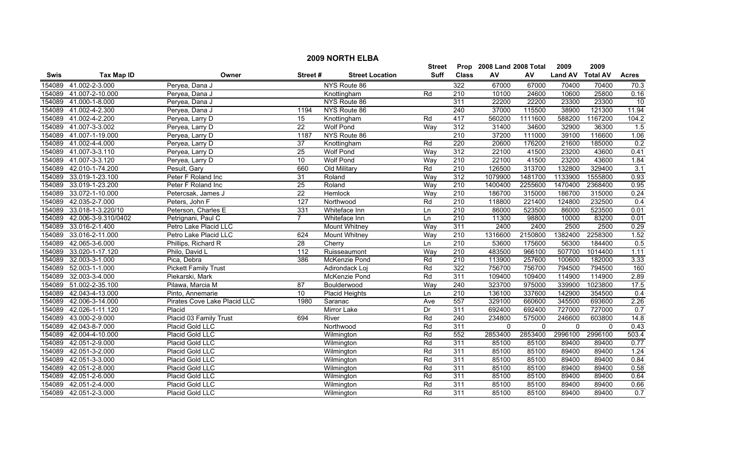|        | <b>2009 NORTH ELBA</b> |                              |                  |                        |               |                  |                           |          |                |                 |                  |  |
|--------|------------------------|------------------------------|------------------|------------------------|---------------|------------------|---------------------------|----------|----------------|-----------------|------------------|--|
|        |                        |                              |                  |                        | <b>Street</b> |                  | Prop 2008 Land 2008 Total |          | 2009           | 2009            |                  |  |
| Swis   | <b>Tax Map ID</b>      | Owner                        | Street#          | <b>Street Location</b> | Suff          | <b>Class</b>     | ${\sf AV}$                | AV       | <b>Land AV</b> | <b>Total AV</b> | <b>Acres</b>     |  |
| 154089 | 41.002-2-3.000         | Peryea, Dana J               |                  | NYS Route 86           |               | 322              | 67000                     | 67000    | 70400          | 70400           | 70.3             |  |
| 154089 | 41.007-2-10.000        | Peryea, Dana J               |                  | Knottingham            | Rd            | 210              | 10100                     | 24600    | 10600          | 25800           | 0.16             |  |
| 154089 | 41.000-1-8.000         | Peryea, Dana J               |                  | NYS Route 86           |               | 311              | 22200                     | 22200    | 23300          | 23300           | $\overline{10}$  |  |
| 154089 | 41.002-4-2.300         | Peryea, Dana J               | 1194             | NYS Route 86           |               | 240              | 37000                     | 115500   | 38900          | 121300          | 11.94            |  |
| 154089 | 41.002-4-2.200         | Peryea, Larry D              | 15               | Knottingham            | Rd            | 417              | 560200                    | 1111600  | 588200         | 1167200         | 104.2            |  |
| 154089 | 41.007-3-3.002         | Peryea, Larry D              | $\overline{22}$  | <b>Wolf Pond</b>       | Way           | 312              | 31400                     | 34600    | 32900          | 36300           | 1.5              |  |
| 154089 | 41.007-1-19.000        | Peryea, Larry D              | 1187             | NYS Route 86           |               | 210              | 37200                     | 111000   | 39100          | 116600          | 1.06             |  |
| 154089 | 41.002-4-4.000         | Peryea, Larry D              | 37               | Knottingham            | Rd            | 220              | 20600                     | 176200   | 21600          | 185000          | 0.2              |  |
| 154089 | 41.007-3-3.110         | Peryea, Larry D              | 25               | Wolf Pond              | Way           | 312              | 22100                     | 41500    | 23200          | 43600           | 0.41             |  |
| 154089 | 41.007-3-3.120         | Peryea, Larry D              | 10               | <b>Wolf Pond</b>       | Way           | 210              | 22100                     | 41500    | 23200          | 43600           | 1.84             |  |
| 154089 | 42.010-1-74.200        | Pesuit, Gary                 | 660              | Old Military           | Rd            | $\overline{210}$ | 126500                    | 313700   | 132800         | 329400          | 3.1              |  |
| 154089 | 33.019-1-23.100        | Peter F Roland Inc           | 31               | Roland                 | Way           | 312              | 1079900                   | 1481700  | 1133900        | 1555800         | 0.93             |  |
| 154089 | 33.019-1-23.200        | Peter F Roland Inc           | 25               | Roland                 | Way           | $\overline{210}$ | 1400400                   | 2255600  | 1470400        | 2368400         | 0.95             |  |
| 154089 | 33.072-1-10.000        | Petercsak, James J           | $\overline{22}$  | Hemlock                | Way           | $\overline{210}$ | 186700                    | 315000   | 186700         | 315000          | 0.24             |  |
| 154089 | 42.035-2-7.000         | Peters, John F               | $\overline{127}$ | Northwood              | Rd            | $\overline{210}$ | 118800                    | 221400   | 124800         | 232500          | 0.4              |  |
| 154089 | 33.018-1-3.220/10      | Peterson, Charles E          | 331              | Whiteface Inn          | Ln            | $\overline{210}$ | 86000                     | 523500   | 86000          | 523500          | 0.01             |  |
| 154089 | 42.006-3-9.310/0402    | Petrignani, Paul C           | $\overline{7}$   | Whiteface Inn          | Ln            | 210              | 11300                     | 98800    | 10000          | 83200           | 0.01             |  |
| 154089 | 33.016-2-1.400         | Petro Lake Placid LLC        |                  | <b>Mount Whitney</b>   | Way           | 311              | 2400                      | 2400     | 2500           | 2500            | 0.29             |  |
| 154089 | 33.016-2-11.000        | Petro Lake Placid LLC        | 624              | <b>Mount Whitney</b>   | Way           | 210              | 1316600                   | 2150800  | 1382400        | 2258300         | 1.52             |  |
| 154089 | 42.065-3-6.000         | Phillips, Richard R          | 28               | Cherry                 | Ln            | 210              | 53600                     | 175600   | 56300          | 184400          | 0.5              |  |
| 154089 | 33.020-1-17.120        | Philo, David L               | $\frac{11}{2}$   | Ruisseaumont           | Way           | $\overline{210}$ | 483500                    | 966100   | 507700         | 1014400         | 1.11             |  |
| 154089 | 32.003-3-1.000         | Pica, Debra                  | 386              | McKenzie Pond          | Rd            | 210              | 113900                    | 257600   | 100600         | 182000          | 3.33             |  |
| 154089 | 52.003-1-1.000         | <b>Pickett Family Trust</b>  |                  | Adirondack Loj         | Rd            | 322              | 756700                    | 756700   | 794500         | 794500          | 160              |  |
| 154089 | 32.003-3-4.000         | Piekarski, Mark              |                  | McKenzie Pond          | Rd            | 311              | 109400                    | 109400   | 114900         | 114900          | 2.89             |  |
| 154089 | 51.002-2-35.100        | Pilawa, Marcia M             | 87               | Boulderwood            | Way           | 240              | 323700                    | 975000   | 339900         | 1023800         | 17.5             |  |
| 154089 | 42.043-4-13.000        | Pinto, Annemarie             | 10               | <b>Placid Heights</b>  | Ln            | $\overline{210}$ | 136100                    | 337600   | 142900         | 354500          | 0.4              |  |
| 154089 | 42.006-3-14.000        | Pirates Cove Lake Placid LLC | 1980             | Saranac                | Ave           | 557              | 329100                    | 660600   | 345500         | 693600          | 2.26             |  |
| 154089 | 42.026-1-11.120        | Placid                       |                  | <b>Mirror Lake</b>     | Dr            | 311              | 692400                    | 692400   | 727000         | 727000          | 0.7              |  |
| 154089 | 43.000-2-9.000         | Placid 03 Family Trust       | 694              | River                  | Rd            | 240              | 234800                    | 575000   | 246600         | 603800          | 14.8             |  |
| 154089 | 42.043-8-7.000         | Placid Gold LLC              |                  | Northwood              | Rd            | 311              | $\mathbf 0$               | $\Omega$ | 0              | $\Omega$        | 0.43             |  |
| 154089 | 42.004-4-10.000        | Placid Gold LLC              |                  | Wilmington             | Rd            | 552              | 2853400                   | 2853400  | 2996100        | 2996100         | 503.4            |  |
| 154089 | 42.051-2-9.000         | Placid Gold LLC              |                  | Wilmington             | Rd            | 311              | 85100                     | 85100    | 89400          | 89400           | 0.77             |  |
| 154089 | 42.051-3-2.000         | Placid Gold LLC              |                  | Wilmington             | Rd            | 311              | 85100                     | 85100    | 89400          | 89400           | 1.24             |  |
| 154089 | 42.051-3-3.000         | Placid Gold LLC              |                  | Wilmington             | Rd            | 311              | 85100                     | 85100    | 89400          | 89400           | 0.84             |  |
| 154089 | 42.051-2-8.000         | Placid Gold LLC              |                  | Wilmington             | Rd            | 311              | 85100                     | 85100    | 89400          | 89400           | 0.58             |  |
| 154089 | 42.051-2-6.000         | Placid Gold LLC              |                  | Wilmington             | Rd            | 311              | 85100                     | 85100    | 89400          | 89400           | 0.64             |  |
| 154089 | 42.051-2-4.000         | Placid Gold LLC              |                  | Wilmington             | Rd            | 311              | 85100                     | 85100    | 89400          | 89400           | 0.66             |  |
|        | 154089 42.051-2-3.000  | <b>Placid Gold LLC</b>       |                  | Wilmington             | Rd            | 311              | 85100                     | 85100    | 89400          | 89400           | $\overline{0.7}$ |  |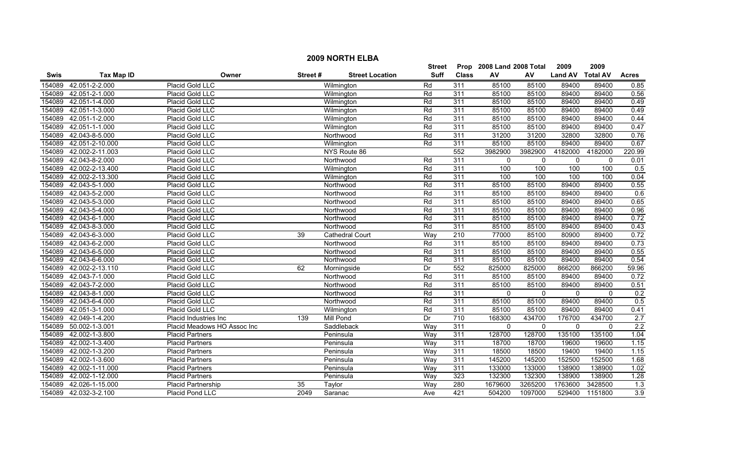|             |                   |                             |         |                        | <b>Street</b> |              | Prop 2008 Land 2008 Total |              | 2009           | 2009            |                  |
|-------------|-------------------|-----------------------------|---------|------------------------|---------------|--------------|---------------------------|--------------|----------------|-----------------|------------------|
| <b>Swis</b> | <b>Tax Map ID</b> | Owner                       | Street# | <b>Street Location</b> | <b>Suff</b>   | <b>Class</b> | AV                        | AV           | <b>Land AV</b> | <b>Total AV</b> | <b>Acres</b>     |
| 154089      | 42.051-2-2.000    | Placid Gold LLC             |         | Wilmington             | Rd            | 311          | 85100                     | 85100        | 89400          | 89400           | 0.85             |
| 154089      | 42.051-2-1.000    | Placid Gold LLC             |         | Wilmington             | Rd            | 311          | 85100                     | 85100        | 89400          | 89400           | 0.56             |
| 154089      | 42.051-1-4.000    | Placid Gold LLC             |         | Wilmington             | Rd            | 311          | 85100                     | 85100        | 89400          | 89400           | 0.49             |
| 154089      | 42.051-1-3.000    | Placid Gold LLC             |         | Wilmington             | Rd            | 311          | 85100                     | 85100        | 89400          | 89400           | 0.49             |
| 154089      | 42.051-1-2.000    | Placid Gold LLC             |         | Wilmington             | Rd            | 311          | 85100                     | 85100        | 89400          | 89400           | 0.44             |
| 154089      | 42.051-1-1.000    | Placid Gold LLC             |         | Wilmington             | Rd            | 311          | 85100                     | 85100        | 89400          | 89400           | 0.47             |
| 154089      | 42.043-8-5.000    | Placid Gold LLC             |         | Northwood              | Rd            | 311          | 31200                     | 31200        | 32800          | 32800           | 0.76             |
| 154089      | 42.051-2-10.000   | Placid Gold LLC             |         | Wilmington             | Rd            | 311          | 85100                     | 85100        | 89400          | 89400           | 0.67             |
| 154089      | 42.002-2-11.003   | Placid Gold LLC             |         | NYS Route 86           |               | 552          | 3982900                   | 3982900      | 4182000        | 4182000         | 220.99           |
| 154089      | 42.043-8-2.000    | Placid Gold LLC             |         | Northwood              | Rd            | 311          | $\mathbf 0$               | $\mathbf{0}$ | $\mathbf 0$    | $\mathbf{0}$    | 0.01             |
| 154089      | 42.002-2-13.400   | Placid Gold LLC             |         | Wilmington             | Rd            | 311          | 100                       | 100          | 100            | 100             | 0.5              |
| 154089      | 42.002-2-13.300   | Placid Gold LLC             |         | Wilmington             | Rd            | 311          | 100                       | 100          | 100            | 100             | 0.04             |
| 154089      | 42.043-5-1.000    | Placid Gold LLC             |         | Northwood              | Rd            | 311          | 85100                     | 85100        | 89400          | 89400           | 0.55             |
| 154089      | 42.043-5-2.000    | Placid Gold LLC             |         | Northwood              | Rd            | 311          | 85100                     | 85100        | 89400          | 89400           | 0.6              |
| 154089      | 42.043-5-3.000    | Placid Gold LLC             |         | Northwood              | Rd            | 311          | 85100                     | 85100        | 89400          | 89400           | 0.65             |
| 154089      | 42.043-5-4.000    | Placid Gold LLC             |         | Northwood              | Rd            | 311          | 85100                     | 85100        | 89400          | 89400           | 0.96             |
| 154089      | 42.043-6-1.000    | Placid Gold LLC             |         | Northwood              | Rd            | 311          | 85100                     | 85100        | 89400          | 89400           | 0.72             |
| 154089      | 42.043-8-3.000    | Placid Gold LLC             |         | Northwood              | Rd            | 311          | 85100                     | 85100        | 89400          | 89400           | 0.43             |
| 154089      | 42.043-6-3.000    | Placid Gold LLC             | 39      | Cathedral Court        | Way           | 210          | 77000                     | 85100        | 80900          | 89400           | 0.72             |
| 154089      | 42.043-6-2.000    | Placid Gold LLC             |         | Northwood              | Rd            | 311          | 85100                     | 85100        | 89400          | 89400           | 0.73             |
| 154089      | 42.043-6-5.000    | Placid Gold LLC             |         | Northwood              | Rd            | 311          | 85100                     | 85100        | 89400          | 89400           | 0.55             |
| 154089      | 42.043-6-6.000    | Placid Gold LLC             |         | Northwood              | Rd            | 311          | 85100                     | 85100        | 89400          | 89400           | 0.54             |
| 154089      | 42.002-2-13.110   | Placid Gold LLC             | 62      | Morningside            | Dr            | 552          | 825000                    | 825000       | 866200         | 866200          | 59.96            |
| 154089      | 42.043-7-1.000    | Placid Gold LLC             |         | Northwood              | Rd            | 311          | 85100                     | 85100        | 89400          | 89400           | 0.72             |
| 154089      | 42.043-7-2.000    | Placid Gold LLC             |         | Northwood              | Rd            | 311          | 85100                     | 85100        | 89400          | 89400           | 0.51             |
| 154089      | 42.043-8-1.000    | Placid Gold LLC             |         | Northwood              | Rd            | 311          | $\mathbf{0}$              | $\mathbf{0}$ | $\mathbf{0}$   | $\mathbf{0}$    | 0.2              |
| 154089      | 42.043-6-4.000    | Placid Gold LLC             |         | Northwood              | Rd            | 311          | 85100                     | 85100        | 89400          | 89400           | 0.5              |
| 154089      | 42.051-3-1.000    | Placid Gold LLC             |         | Wilmington             | Rd            | 311          | 85100                     | 85100        | 89400          | 89400           | 0.41             |
| 154089      | 42.049-1-4.200    | Placid Industries Inc       | 139     | <b>Mill Pond</b>       | Dr            | 710          | 168300                    | 434700       | 176700         | 434700          | 2.7              |
| 154089      | 50.002-1-3.001    | Placid Meadows HO Assoc Inc |         | Saddleback             | Way           | 311          | 0                         | $\mathbf{0}$ | $\mathbf 0$    | $\mathbf{0}$    | 2.2              |
| 154089      | 42.002-1-3.800    | <b>Placid Partners</b>      |         | Peninsula              | Way           | 311          | 128700                    | 128700       | 135100         | 135100          | 1.04             |
| 154089      | 42.002-1-3.400    | <b>Placid Partners</b>      |         | Peninsula              | Way           | 311          | 18700                     | 18700        | 19600          | 19600           | 1.15             |
| 154089      | 42.002-1-3.200    | <b>Placid Partners</b>      |         | Peninsula              | Way           | 311          | 18500                     | 18500        | 19400          | 19400           | 1.15             |
| 154089      | 42.002-1-3.600    | <b>Placid Partners</b>      |         | Peninsula              | Way           | 311          | 145200                    | 145200       | 152500         | 152500          | 1.68             |
| 154089      | 42.002-1-11.000   | <b>Placid Partners</b>      |         | Peninsula              | Way           | 311          | 133000                    | 133000       | 138900         | 138900          | 1.02             |
| 154089      | 42.002-1-12.000   | <b>Placid Partners</b>      |         | Peninsula              | Way           | 323          | 132300                    | 132300       | 138900         | 138900          | 1.28             |
| 154089      | 42.026-1-15.000   | <b>Placid Partnership</b>   | 35      | Taylor                 | Way           | 280          | 1679600                   | 3265200      | 1763600        | 3428500         | $\overline{1.3}$ |
| 154089      | 42.032-3-2.100    | Placid Pond LLC             | 2049    | Saranac                | Ave           | 421          | 504200                    | 1097000      | 529400         | 1151800         | 3.9              |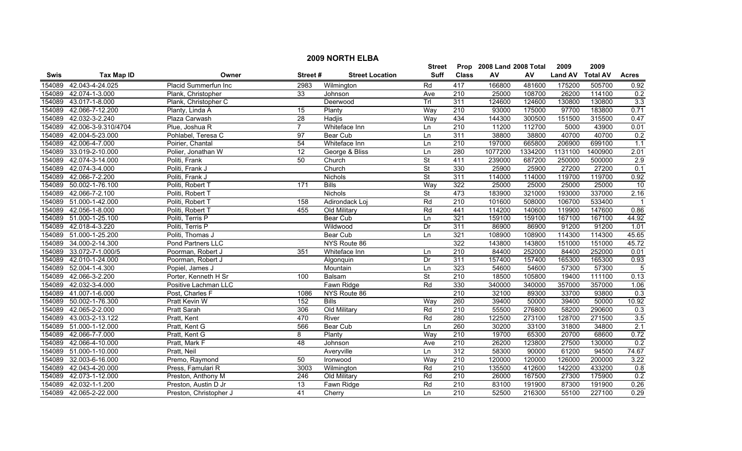|        | <b>2009 NORTH ELBA</b> |                        |                |                        |                          |                  |                           |         |                |                 |                  |  |
|--------|------------------------|------------------------|----------------|------------------------|--------------------------|------------------|---------------------------|---------|----------------|-----------------|------------------|--|
|        |                        |                        |                |                        | <b>Street</b>            |                  | Prop 2008 Land 2008 Total |         | 2009           | 2009            |                  |  |
| Swis   | <b>Tax Map ID</b>      | Owner                  | Street#        | <b>Street Location</b> | <b>Suff</b>              | <b>Class</b>     | ${\sf AV}$                | AV      | <b>Land AV</b> | <b>Total AV</b> | <b>Acres</b>     |  |
| 154089 | 42.043-4-24.025        | Placid Summerfun Inc   | 2983           | Wilmington             | Rd                       | 417              | 166800                    | 481600  | 175200         | 505700          | 0.92             |  |
| 154089 | 42.074-1-3.000         | Plank, Christopher     | 33             | Johnson                | Ave                      | 210              | 25000                     | 108700  | 26200          | 114100          | 0.2              |  |
| 154089 | 43.017-1-8.000         | Plank, Christopher C   |                | Deerwood               | Trl                      | 311              | 124600                    | 124600  | 130800         | 130800          | 3.3              |  |
| 154089 | 42.066-7-12.200        | Planty, Linda A        | 15             | Planty                 | Way                      | 210              | 93000                     | 175000  | 97700          | 183800          | 0.71             |  |
| 154089 | 42.032-3-2.240         | Plaza Carwash          | 28             | <b>Hadjis</b>          | Way                      | 434              | 144300                    | 300500  | 151500         | 315500          | 0.47             |  |
| 154089 | 42.006-3-9.310/4704    | Plue, Joshua R         | $\overline{7}$ | Whiteface Inn          | Ln                       | 210              | 11200                     | 112700  | 5000           | 43900           | 0.01             |  |
| 154089 | 42.004-5-23.000        | Pohlabel, Teresa C     | 97             | Bear Cub               | Ln                       | 311              | 38800                     | 38800   | 40700          | 40700           | 0.2              |  |
| 154089 | 42.006-4-7.000         | Poirier, Chantal       | 54             | Whiteface Inn          | Ln                       | 210              | 197000                    | 665800  | 206900         | 699100          | 1.1              |  |
| 154089 | 33.019-2-10.000        | Polier, Jonathan W     | 12             | George & Bliss         | Ln                       | 280              | 1077200                   | 1334200 | 1131100        | 1400900         | 2.01             |  |
| 154089 | 42.074-3-14.000        | Politi, Frank          | 50             | Church                 | St                       | 411              | 239000                    | 687200  | 250000         | 500000          | 2.9              |  |
| 154089 | 42.074-3-4.000         | Politi, Frank J        |                | Church                 | $\overline{\mathsf{St}}$ | 330              | 25900                     | 25900   | 27200          | 27200           | 0.1              |  |
| 154089 | 42.066-7-2.200         | Politi, Frank J        |                | Nichols                | $\overline{\mathsf{St}}$ | 311              | 114000                    | 114000  | 119700         | 119700          | 0.92             |  |
| 154089 | 50.002-1-76.100        | Politi, Robert T       | 171            | <b>Bills</b>           | Way                      | 322              | 25000                     | 25000   | 25000          | 25000           | $\overline{10}$  |  |
| 154089 | 42.066-7-2.100         | Politi, Robert T       |                | <b>Nichols</b>         | $\overline{\mathsf{St}}$ | 473              | 183900                    | 321000  | 193000         | 337000          | 2.16             |  |
| 154089 | 51.000-1-42.000        | Politi, Robert T       | 158            | Adirondack Loj         | Rd                       | $\overline{210}$ | 101600                    | 508000  | 106700         | 533400          |                  |  |
| 154089 | 42.056-1-8.000         | Politi, Robert T       | 455            | Old Military           | Rd                       | 441              | 114200                    | 140600  | 119900         | 147600          | 0.86             |  |
| 154089 | 51.000-1-25.100        | Politi, Terris P       |                | <b>Bear Cub</b>        | Ln                       | 321              | 159100                    | 159100  | 167100         | 167100          | 44.92            |  |
| 154089 | 42.018-4-3.220         | Politi, Terris P       |                | Wildwood               | Dr                       | 311              | 86900                     | 86900   | 91200          | 91200           | 1.01             |  |
| 154089 | 51.000-1-25.200        | Politi, Thomas J       |                | <b>Bear Cub</b>        | Ln                       | 321              | 108900                    | 108900  | 114300         | 114300          | 45.65            |  |
| 154089 | 34.000-2-14.300        | Pond Partners LLC      |                | NYS Route 86           |                          | 322              | 143800                    | 143800  | 151000         | 151000          | 45.72            |  |
| 154089 | 33.072-7-1.000/5       | Poorman, Robert J      | 351            | Whiteface Inn          | Ln                       | $\overline{210}$ | 84400                     | 252000  | 84400          | 252000          | 0.01             |  |
| 154089 | 42.010-1-24.000        | Poorman, Robert J      |                | Algonquin              | Dr                       | 311              | 157400                    | 157400  | 165300         | 165300          | 0.93             |  |
| 154089 | 52.004-1-4.300         | Popiel, James J        |                | Mountain               | Ln                       | 323              | 54600                     | 54600   | 57300          | 57300           | $\overline{5}$   |  |
| 154089 | 42.066-3-2.200         | Porter, Kenneth H Sr   | 100            | Balsam                 | <b>St</b>                | $\overline{210}$ | 18500                     | 105800  | 19400          | 111100          | 0.13             |  |
| 154089 | 42.032-3-4.000         | Positive Lachman LLC   |                | Fawn Ridge             | Rd                       | 330              | 340000                    | 340000  | 357000         | 357000          | 1.06             |  |
| 154089 | 41.007-1-6.000         | Post, Charles F        | 1086           | NYS Route 86           |                          | 210              | 32100                     | 89300   | 33700          | 93800           | $\overline{0.3}$ |  |
| 154089 | 50.002-1-76.300        | Pratt Kevin W          | 152            | <b>Bills</b>           | Way                      | 260              | 39400                     | 50000   | 39400          | 50000           | 10.92            |  |
| 154089 | 42.065-2-2.000         | Pratt Sarah            | 306            | Old Military           | Rd                       | $\overline{210}$ | 55500                     | 276800  | 58200          | 290600          | 0.3              |  |
| 154089 | 43.003-2-13.122        | Pratt, Kent            | 470            | River                  | Rd                       | 280              | 122500                    | 273100  | 128700         | 271500          | 3.5              |  |
| 154089 | 51.000-1-12.000        | Pratt, Kent G          | 566            | Bear Cub               | Ln                       | 260              | 30200                     | 33100   | 31800          | 34800           | 2.1              |  |
| 154089 | 42.066-7-7.000         | Pratt, Kent G          | 8              | Planty                 | Way                      | 210              | 19700                     | 65300   | 20700          | 68600           | 0.72             |  |
| 154089 | 42.066-4-10.000        | Pratt, Mark F          | 48             | Johnson                | Ave                      | 210              | 26200                     | 123800  | 27500          | 130000          | 0.2              |  |
| 154089 | 51.000-1-10.000        | Pratt, Neil            |                | Averyville             | Ln                       | 312              | 58300                     | 90000   | 61200          | 94500           | 74.67            |  |
| 154089 | 32.003-6-16.000        | Premo, Raymond         | 50             | Ironwood               | Way                      | $\overline{210}$ | 120000                    | 120000  | 126000         | 200000          | 3.22             |  |
| 154089 | 42.043-4-20.000        | Press, Famulari R      | 3003           | Wilmington             | Rd                       | 210              | 135500                    | 412600  | 142200         | 433200          | 0.8              |  |
| 154089 | 42.073-1-12.000        | Preston, Anthony M     | 246            | Old Military           | Rd                       | 210              | 26000                     | 167500  | 27300          | 175900          | 0.2              |  |
| 154089 | 42.032-1-1.200         | Preston, Austin D Jr   | 13             | Fawn Ridge             | Rd                       | 210              | 83100                     | 191900  | 87300          | 191900          | 0.26             |  |
|        | 154089 42.065-2-22.000 | Preston, Christopher J | 41             | Cherry                 | $\ln$                    | 210              | 52500                     | 216300  | 55100          | 227100          | 0.29             |  |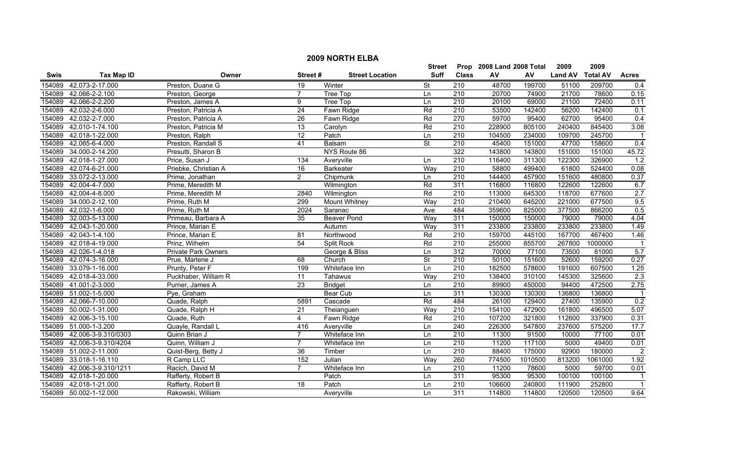|        | <b>2009 NORTH ELBA</b> |                            |                 |                        |                          |                  |                           |         |                |                 |                         |  |
|--------|------------------------|----------------------------|-----------------|------------------------|--------------------------|------------------|---------------------------|---------|----------------|-----------------|-------------------------|--|
|        |                        |                            |                 |                        | <b>Street</b>            |                  | Prop 2008 Land 2008 Total |         | 2009           | 2009            |                         |  |
| Swis   | <b>Tax Map ID</b>      | Owner                      | Street#         | <b>Street Location</b> | <b>Suff</b>              | <b>Class</b>     | AV                        | AV      | <b>Land AV</b> | <b>Total AV</b> | <b>Acres</b>            |  |
| 154089 | 42.073-2-17.000        | Preston, Duane G           | 19              | Winter                 | <b>St</b>                | 210              | 48700                     | 199700  | 51100          | 209700          | 0.4                     |  |
| 154089 | 42.066-2-2.100         | Preston, George            | $\overline{7}$  | Tree Top               | Ln                       | $\overline{210}$ | 20700                     | 74900   | 21700          | 78600           | 0.15                    |  |
| 154089 | 42.066-2-2.200         | Preston, James A           | 9               | Tree Top               | Ln                       | 210              | 20100                     | 69000   | 21100          | 72400           | 0.11                    |  |
| 154089 | 42.032-2-6.000         | Preston, Patricia A        | 24              | Fawn Ridge             | Rd                       | 210              | 53500                     | 142400  | 56200          | 142400          | 0.1                     |  |
| 154089 | 42.032-2-7.000         | Preston, Patricia A        | 26              | Fawn Ridge             | Rd                       | 270              | 59700                     | 95400   | 62700          | 95400           | 0.4                     |  |
| 154089 | 42.010-1-74.100        | Preston, Patricia M        | 13              | Carolyn                | Rd                       | 210              | 228900                    | 805100  | 240400         | 845400          | 3.08                    |  |
| 154089 | 42.018-1-22.000        | Preston, Ralph             | 12              | Patch                  | Ln                       | 210              | 104500                    | 234000  | 109700         | 245700          | $\overline{1}$          |  |
| 154089 | 42.065-6-4.000         | Preston, Randall S         | 41              | <b>Balsam</b>          | <b>St</b>                | 210              | 45400                     | 151000  | 47700          | 158600          | 0.4                     |  |
| 154089 | 34.000-2-14.200        | Presutti, Sharon B         |                 | NYS Route 86           |                          | 322              | 143800                    | 143800  | 151000         | 151000          | 45.72                   |  |
| 154089 | 42.018-1-27.000        | Price, Susan J             | 134             | Averyville             | Ln                       | $\overline{210}$ | 116400                    | 311300  | 122300         | 326900          | 1.2                     |  |
| 154089 | 42.074-6-21.000        | Priebke, Christian A       | 16              | <b>Barkeater</b>       | Way                      | 210              | 58800                     | 499400  | 61800          | 524400          | 0.08                    |  |
| 154089 | 33.072-2-13.000        | Prime, Jonathan            | $\overline{2}$  | Chipmunk               | Ln                       | 210              | 144400                    | 457900  | 151600         | 480800          | 0.37                    |  |
| 154089 | 42.004-4-7.000         | Prime, Meredith M          |                 | Wilmington             | Rd                       | 311              | 116800                    | 116800  | 122600         | 122600          | 6.7                     |  |
| 154089 | 42.004-4-8.000         | Prime, Meredith M          | 2840            | Wilmington             | Rd                       | $\overline{210}$ | 113000                    | 645300  | 118700         | 677600          | 2.7                     |  |
| 154089 | 34.000-2-12.100        | Prime, Ruth M              | 299             | Mount Whitney          | Way                      | 210              | 210400                    | 645200  | 221000         | 677500          | 9.5                     |  |
| 154089 | 42.032-1-6.000         | Prime, Ruth M              | 2024            | Saranac                | Ave                      | 484              | 359600                    | 825000  | 377500         | 866200          | 0.5                     |  |
| 154089 | 32.003-5-13.000        | Primeau, Barbara A         | 35              | <b>Beaver Pond</b>     | Way                      | 311              | 150000                    | 150000  | 79000          | 79000           | 4.04                    |  |
| 154089 | 42.043-1-20.000        | Prince, Marian E           |                 | Autumn                 | Way                      | 311              | 233800                    | 233800  | 233800         | 233800          | 1.49                    |  |
| 154089 | 42.043-1-4.100         | Prince, Marian E           | 81              | Northwood              | Rd                       | 210              | 159700                    | 445100  | 167700         | 467400          | 1.46                    |  |
| 154089 | 42.018-4-19.000        | Prinz, Wilhelm             | 54              | <b>Split Rock</b>      | Rd                       | 210              | 255000                    | 855700  | 267800         | 1000000         | -1                      |  |
| 154089 | 42.026-1-4.018         | <b>Private Park Owners</b> |                 | George & Bliss         | Ln                       | 312              | 70000                     | 77100   | 73500          | 81000           | 5.7                     |  |
| 154089 | 42.074-3-16.000        | Prue, Marlene J            | 68              | Church                 | $\overline{\mathsf{St}}$ | 210              | 50100                     | 151600  | 52600          | 159200          | 0.27                    |  |
| 154089 | 33.079-1-16.000        | Prunty, Peter F            | 199             | Whiteface Inn          | Ln                       | 210              | 182500                    | 578600  | 191600         | 607500          | 1.25                    |  |
| 154089 | 42.018-4-33.000        | Puckhaber, William R       | $\overline{11}$ | Tahawus                | Way                      | 210              | 138400                    | 310100  | 145300         | 325600          | $\overline{2.3}$        |  |
| 154089 | 41.001-2-3.000         | Purner, James A            | 23              | <b>Bridget</b>         | Ln                       | 210              | 89900                     | 450000  | 94400          | 472500          | 2.75                    |  |
| 154089 | 51.002-1-5.000         | Pye, Graham                |                 | <b>Bear Cub</b>        | Ln                       | 311              | 130300                    | 130300  | 136800         | 136800          | -1                      |  |
| 154089 | 42.066-7-10.000        | Quade, Ralph               | 5891            | Cascade                | Rd                       | 484              | 26100                     | 129400  | 27400          | 135900          | 0.2                     |  |
| 154089 | 50.002-1-31.000        | Quade, Ralph H             | $\overline{21}$ | Theianguen             | Way                      | 210              | 154100                    | 472900  | 161800         | 496500          | 5.07                    |  |
| 154089 | 42.006-3-15.100        | Quade, Ruth                | $\overline{4}$  | Fawn Ridge             | Rd                       | 210              | 107200                    | 321800  | 112600         | 337900          | 0.31                    |  |
| 154089 | 51.000-1-3.200         | Quayle, Randall L          | 416             | Averyville             | Ln                       | 240              | 226300                    | 547800  | 237600         | 575200          | 17.7                    |  |
| 154089 | 42.006-3-9.310/0303    | Quinn Brian J              | 7               | Whiteface Inn          | Ln                       | 210              | 11300                     | 91500   | 10000          | 77100           | 0.01                    |  |
| 154089 | 42.006-3-9.310/4204    | Quinn, William J           | $\overline{7}$  | Whiteface Inn          | Ln                       | 210              | 11200                     | 117100  | 5000           | 49400           | 0.01                    |  |
| 154089 | 51.002-2-11.000        | Quist-Berg, Betty J        | 36              | Timber                 | Ln                       | 210              | 88400                     | 175000  | 92900          | 180000          | $\overline{2}$          |  |
| 154089 | 33.018-1-16.110        | R Camp LLC                 | 152             | Julian                 | Way                      | 260              | 774500                    | 1010500 | 813200         | 1061000         | 1.92                    |  |
| 154089 | 42.006-3-9.310/1211    | Racich, David M            | $\overline{7}$  | Whiteface Inn          | Ln                       | $\overline{210}$ | 11200                     | 78600   | 5000           | 59700           | 0.01                    |  |
| 154089 | 42.018-1-20.000        | Rafferty, Robert B         |                 | Patch                  | Ln                       | 311              | 95300                     | 95300   | 100100         | 100100          | $\overline{\mathbf{1}}$ |  |
| 154089 | 42.018-1-21.000        | Rafferty, Robert B         | 18              | Patch                  | Ln                       | $\overline{210}$ | 106600                    | 240800  | 111900         | 252800          | $\overline{1}$          |  |
|        | 154089 50.002-1-12.000 | Rakowski, William          |                 | Avervville             | Ln                       | 311              | 114800                    | 114800  | 120500         | 120500          | 9.64                    |  |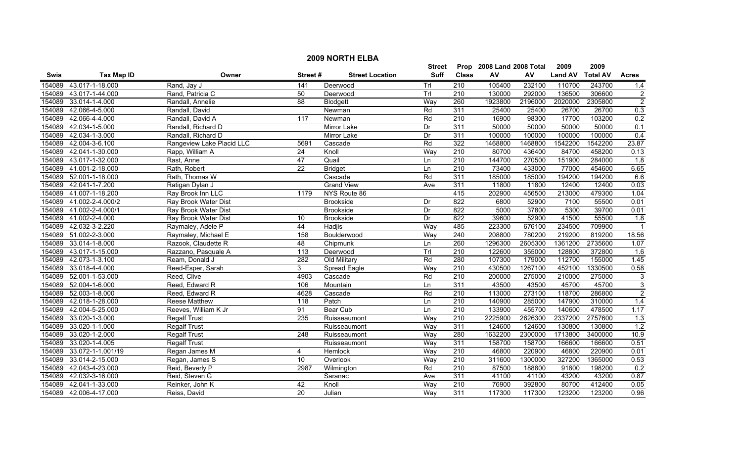|        | <b>2009 NORTH ELBA</b> |                           |                  |                        |             |                  |                           |         |                |                 |                |  |
|--------|------------------------|---------------------------|------------------|------------------------|-------------|------------------|---------------------------|---------|----------------|-----------------|----------------|--|
|        |                        |                           |                  |                        | Street      |                  | Prop 2008 Land 2008 Total |         | 2009           | 2009            |                |  |
| Swis   | <b>Tax Map ID</b>      | Owner                     | Street#          | <b>Street Location</b> | <b>Suff</b> | <b>Class</b>     | ${\sf AV}$                | AV      | <b>Land AV</b> | <b>Total AV</b> | <b>Acres</b>   |  |
| 154089 | 43.017-1-18.000        | Rand, Jay J               | 141              | Deerwood               | Trl         | 210              | 105400                    | 232100  | 110700         | 243700          | 1.4            |  |
| 154089 | 43.017-1-44.000        | Rand, Patricia C          | 50               | Deerwood               | TrI         | $\overline{210}$ | 130000                    | 292000  | 136500         | 306600          | $\overline{2}$ |  |
| 154089 | 33.014-1-4.000         | Randall, Annelie          | 88               | Blodgett               | Way         | 260              | 1923800                   | 2196000 | 2020000        | 2305800         | $\overline{2}$ |  |
| 154089 | 42.066-4-5.000         | Randall, David            |                  | Newman                 | Rd          | 311              | 25400                     | 25400   | 26700          | 26700           | 0.3            |  |
| 154089 | 42.066-4-4.000         | Randall, David A          | 117              | Newman                 | Rd          | 210              | 16900                     | 98300   | 17700          | 103200          | 0.2            |  |
| 154089 | 42.034-1-5.000         | Randall, Richard D        |                  | <b>Mirror Lake</b>     | Dr          | 311              | 50000                     | 50000   | 50000          | 50000           | 0.1            |  |
| 154089 | 42.034-1-3.000         | Randall, Richard D        |                  | <b>Mirror Lake</b>     | Dr          | 311              | 100000                    | 100000  | 100000         | 100000          | 0.4            |  |
| 154089 | 42.004-3-6.100         | Rangeview Lake Placid LLC | 5691             | Cascade                | Rd          | 322              | 1468800                   | 1468800 | 1542200        | 1542200         | 23.87          |  |
| 154089 | 42.041-1-30.000        | Rapp, William A           | $\overline{24}$  | Knoll                  | Way         | 210              | 80700                     | 436400  | 84700          | 458200          | 0.13           |  |
| 154089 | 43.017-1-32.000        | Rast, Anne                | 47               | Quail                  | Ln          | $\overline{210}$ | 144700                    | 270500  | 151900         | 284000          | 1.8            |  |
| 154089 | 41.001-2-18.000        | Rath, Robert              | $\overline{22}$  | <b>Bridget</b>         | Ln          | 210              | 73400                     | 433000  | 77000          | 454600          | 6.65           |  |
| 154089 | 52.001-1-18.000        | Rath, Thomas W            |                  | Cascade                | Rd          | 311              | 185000                    | 185000  | 194200         | 194200          | 6.6            |  |
| 154089 | 42.041-1-7.200         | Ratigan Dylan J           |                  | <b>Grand View</b>      | Ave         | 311              | 11800                     | 11800   | 12400          | 12400           | 0.03           |  |
| 154089 | 41.007-1-18.200        | Ray Brook Inn LLC         | 1179             | NYS Route 86           |             | 415              | 202900                    | 456500  | 213000         | 479300          | 1.04           |  |
| 154089 | 41.002-2-4.000/2       | Ray Brook Water Dist      |                  | Brookside              | Dr          | 822              | 6800                      | 52900   | 7100           | 55500           | 0.01           |  |
| 154089 | 41.002-2-4.000/1       | Ray Brook Water Dist      |                  | <b>Brookside</b>       | Dr          | 822              | 5000                      | 37800   | 5300           | 39700           | 0.01           |  |
| 154089 | 41.002-2-4.000         | Ray Brook Water Dist      | 10               | <b>Brookside</b>       | Dr          | 822              | 39600                     | 52900   | 41500          | 55500           | 1.8            |  |
| 154089 | 42.032-3-2.220         | Raymaley, Adele P         | 44               | Hadjis                 | Way         | 485              | 223300                    | 676100  | 234500         | 709900          |                |  |
| 154089 | 51.002-2-3.000         | Raymaley, Michael E       | 158              | Boulderwood            | Way         | 240              | 208800                    | 780200  | 219200         | 819200          | 18.56          |  |
| 154089 | 33.014-1-8.000         | Razook, Claudette R       | 48               | Chipmunk               | Ln          | 260              | 1296300                   | 2605300 | 1361200        | 2735600         | 1.07           |  |
| 154089 | 43.017-1-15.000        | Razzano, Pasquale A       | 113              | Deerwood               | Trl         | 210              | 122600                    | 355000  | 128800         | 372800          | 1.6            |  |
| 154089 | 42.073-1-3.100         | Ream, Donald J            | 282              | Old Military           | Rd          | 280              | 107300                    | 179000  | 112700         | 155000          | 1.45           |  |
| 154089 | 33.018-4-4.000         | Reed-Esper, Sarah         | 3                | Spread Eagle           | Way         | 210              | 430500                    | 1267100 | 452100         | 1330500         | 0.58           |  |
| 154089 | 52.001-1-53.000        | Reed, Clive               | 4903             | Cascade                | Rd          | 210              | 200000                    | 275000  | 210000         | 275000          | 3              |  |
| 154089 | 52.004-1-6.000         | Reed, Edward R            | 106              | Mountain               | Ln          | 311              | 43500                     | 43500   | 45700          | 45700           | $\overline{3}$ |  |
| 154089 | 52.003-1-8.000         | Reed, Edward R            | 4628             | Cascade                | Rd          | 210              | 113000                    | 273100  | 118700         | 286800          | $\overline{2}$ |  |
| 154089 | 42.018-1-28.000        | <b>Reese Matthew</b>      | $\overline{118}$ | Patch                  | Ln          | $\overline{210}$ | 140900                    | 285000  | 147900         | 310000          | 1.4            |  |
| 154089 | 42.004-5-25.000        | Reeves, William K Jr      | 91               | <b>Bear Cub</b>        | Ln          | 210              | 133900                    | 455700  | 140600         | 478500          | 1.17           |  |
| 154089 | 33.020-1-3.000         | <b>Regalf Trust</b>       | 235              | Ruisseaumont           | Way         | 210              | 2225900                   | 2626300 | 2337200        | 2757600         | 1.3            |  |
| 154089 | 33.020-1-1.000         | <b>Regalf Trust</b>       |                  | Ruisseaumont           | Way         | 311              | 124600                    | 124600  | 130800         | 130800          | 1.2            |  |
| 154089 | 33.020-1-2.000         | <b>Regalf Trust</b>       | 248              | Ruisseaumont           | Way         | 280              | 1632200                   | 2300000 | 1713800        | 3400000         | 10.9           |  |
| 154089 | 33.020-1-4.005         | <b>Regalf Trust</b>       |                  | Ruisseaumont           | Way         | 311              | 158700                    | 158700  | 166600         | 166600          | 0.51           |  |
| 154089 | 33.072-1-1.001/19      | Regan James M             | 4                | Hemlock                | Way         | 210              | 46800                     | 220900  | 46800          | 220900          | 0.01           |  |
| 154089 | 33.014-2-15.000        | Regan, James S            | 10               | Overlook               | Way         | 210              | 311600                    | 1300000 | 327200         | 1365000         | 0.53           |  |
| 154089 | 42.043-4-23.000        | Reid, Beverly P           | 2987             | Wilmington             | Rd          | $\overline{210}$ | 87500                     | 188800  | 91800          | 198200          | 0.2            |  |
| 154089 | 42.032-3-16.000        | Reid, Steven G            |                  | Saranac                | Ave         | 311              | 41100                     | 41100   | 43200          | 43200           | 0.87           |  |
| 154089 | 42.041-1-33.000        | Reinker, John K           | 42               | Knoll                  | Way         | 210              | 76900                     | 392800  | 80700          | 412400          | 0.05           |  |
|        | 154089 42.006-4-17.000 | Reiss, David              | 20               | Julian                 | Way         | 311              | 117300                    | 117300  | 123200         | 123200          | 0.96           |  |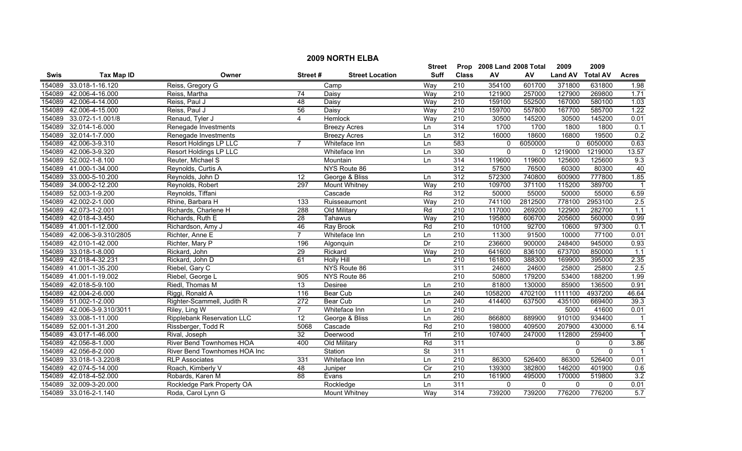|        | <b>2009 NORTH ELBA</b> |                                   |                  |                        |                |                  |                           |         |                |                 |              |  |
|--------|------------------------|-----------------------------------|------------------|------------------------|----------------|------------------|---------------------------|---------|----------------|-----------------|--------------|--|
|        |                        |                                   |                  |                        | <b>Street</b>  |                  | Prop 2008 Land 2008 Total |         | 2009           | 2009            |              |  |
| Swis   | <b>Tax Map ID</b>      | Owner                             | Street#          | <b>Street Location</b> | <b>Suff</b>    | <b>Class</b>     | ${\sf AV}$                | AV      | <b>Land AV</b> | <b>Total AV</b> | <b>Acres</b> |  |
| 154089 | 33.018-1-16.120        | Reiss, Gregory G                  |                  | Camp                   | Way            | 210              | 354100                    | 601700  | 371800         | 631800          | 1.98         |  |
| 154089 | 42.006-4-16.000        | Reiss, Martha                     | 74               | Daisy                  | Way            | $\overline{210}$ | 121900                    | 257000  | 127900         | 269800          | 1.71         |  |
| 154089 | 42.006-4-14.000        | Reiss, Paul J                     | $\overline{48}$  | Daisy                  | Way            | $\overline{210}$ | 159100                    | 552500  | 167000         | 580100          | 1.03         |  |
| 154089 | 42.006-4-15.000        | Reiss, Paul J                     | 56               | Daisy                  | Way            | 210              | 159700                    | 557800  | 167700         | 585700          | 1.22         |  |
| 154089 | 33.072-1-1.001/8       | Renaud, Tyler J                   | 4                | Hemlock                | Way            | 210              | 30500                     | 145200  | 30500          | 145200          | 0.01         |  |
| 154089 | 32.014-1-6.000         | Renegade Investments              |                  | <b>Breezy Acres</b>    | Ln             | 314              | 1700                      | 1700    | 1800           | 1800            | 0.1          |  |
| 154089 | 32.014-1-7.000         | Renegade Investments              |                  | <b>Breezy Acres</b>    | Ln             | 312              | 16000                     | 18600   | 16800          | 19500           | 0.2          |  |
| 154089 | 42.006-3-9.310         | <b>Resort Holdings LP LLC</b>     |                  | Whiteface Inn          | Ln             | 583              | $\mathbf{0}$              | 6050000 | $\overline{0}$ | 6050000         | 0.63         |  |
| 154089 | 42.006-3-9.320         | Resort Holdings LP LLC            |                  | Whiteface Inn          | Ln             | 330              | $\mathbf 0$               | 0       | 1219000        | 1219000         | 13.57        |  |
| 154089 | 52.002-1-8.100         | Reuter, Michael S                 |                  | Mountain               | Ln             | 314              | 119600                    | 119600  | 125600         | 125600          | 9.3          |  |
| 154089 | 41.000-1-34.000        | Reynolds, Curtis A                |                  | NYS Route 86           |                | 312              | 57500                     | 76500   | 60300          | 80300           | 40           |  |
| 154089 | 33.000-5-10.200        | Reynolds, John D                  | 12               | George & Bliss         | Ln             | 312              | 572300                    | 740800  | 600900         | 777800          | 1.85         |  |
| 154089 | 34.000-2-12.200        | Reynolds, Robert                  | 297              | <b>Mount Whitney</b>   | Way            | $\overline{210}$ | 109700                    | 371100  | 115200         | 389700          |              |  |
| 154089 | 52.003-1-9.200         | Reynolds, Tiffani                 |                  | Cascade                | Rd             | 312              | 50000                     | 55000   | 50000          | 55000           | 6.59         |  |
| 154089 | 42.002-2-1.000         | Rhine, Barbara H                  | $\overline{133}$ | Ruisseaumont           | Way            | 210              | 741100                    | 2812500 | 778100         | 2953100         | 2.5          |  |
| 154089 | 42.073-1-2.001         | Richards, Charlene H              | 288              | Old Military           | Rd             | 210              | 117000                    | 269200  | 122900         | 282700          | 1.1          |  |
| 154089 | 42.018-4-3.450         | Richards, Ruth E                  | 28               | Tahawus                | Way            | 210              | 195800                    | 606700  | 205600         | 560000          | 0.99         |  |
| 154089 | 41.001-1-12.000        | Richardson, Amy J                 | 46               | <b>Ray Brook</b>       | Rd             | 210              | 10100                     | 92700   | 10600          | 97300           | 0.1          |  |
| 154089 | 42.006-3-9.310/2805    | Richter, Anne E                   | $\overline{7}$   | Whiteface Inn          | Ln             | 210              | 11300                     | 91500   | 10000          | 77100           | 0.01         |  |
| 154089 | 42.010-1-42.000        | Richter, Mary P                   | 196              | Algonquin              | Dr             | 210              | 236600                    | 900000  | 248400         | 945000          | 0.93         |  |
| 154089 | 33.018-1-8.000         | Rickard, John                     | 29               | Rickard                | Way            | 210              | 641600                    | 836100  | 673700         | 850000          | 1.1          |  |
| 154089 | 42.018-4-32.231        | Rickard, John D                   | 61               | <b>Holly Hill</b>      | Ln             | 210              | 161800                    | 388300  | 169900         | 395000          | 2.35         |  |
| 154089 | 41.001-1-35.200        | Riebel, Gary C                    |                  | NYS Route 86           |                | 311              | 24600                     | 24600   | 25800          | 25800           | 2.5          |  |
| 154089 | 41.001-1-19.002        | Riebel, George L                  | 905              | NYS Route 86           |                | 210              | 50800                     | 179200  | 53400          | 188200          | 1.99         |  |
| 154089 | 42.018-5-9.100         | Riedl, Thomas M                   | 13               | Desiree                | Ln             | 210              | 81800                     | 130000  | 85900          | 136500          | 0.91         |  |
| 154089 | 42.004-2-6.000         | Riggi, Ronald A                   | 116              | Bear Cub               | Ln             | 240              | 1058200                   | 4702100 | 1111100        | 4937200         | 46.64        |  |
| 154089 | 51.002-1-2.000         | Righter-Scammell, Judith R        | 272              | <b>Bear Cub</b>        | Ln             | 240              | 414400                    | 637500  | 435100         | 669400          | 39.3         |  |
| 154089 | 42.006-3-9.310/3011    | Riley, Ling W                     | $\overline{7}$   | Whiteface Inn          | Ln             | $\overline{210}$ |                           |         | 5000           | 41600           | 0.01         |  |
| 154089 | 33.008-1-11.000        | <b>Ripplebank Reservation LLC</b> | 12               | George & Bliss         | Ln             | 260              | 866800                    | 889900  | 910100         | 934400          |              |  |
| 154089 | 52.001-1-31.200        | Rissberger, Todd R                | 5068             | Cascade                | Rd             | 210              | 198000                    | 409500  | 207900         | 430000          | 6.14         |  |
| 154089 | 43.017-1-46.000        | Rival, Joseph                     | 32               | Deerwood               | Trl            | 210              | 107400                    | 247000  | 112800         | 259400          |              |  |
| 154089 | 42.056-8-1.000         | <b>River Bend Townhomes HOA</b>   | 400              | Old Military           | Rd             | 311              |                           |         | $\mathbf 0$    | 0               | 3.86         |  |
| 154089 | 42.056-8-2.000         | River Bend Townhomes HOA Inc      |                  | Station                | <b>St</b>      | 311              |                           |         | $\Omega$       | $\mathbf{0}$    |              |  |
| 154089 | 33.018-1-3.220/8       | <b>RLP Associates</b>             | 331              | Whiteface Inn          | Ln             | 210              | 86300                     | 526400  | 86300          | 526400          | 0.01         |  |
| 154089 | 42.074-5-14.000        | Roach, Kimberly V                 | 48               | Juniper                | $\overline{C}$ | $\overline{210}$ | 139300                    | 382800  | 146200         | 401900          | 0.6          |  |
| 154089 | 42.018-4-52.000        | Robards, Karen M                  | $\overline{88}$  | Evans                  | Ln             | 210              | 161900                    | 495000  | 170000         | 519800          | 3.2          |  |
| 154089 | 32.009-3-20.000        | Rockledge Park Property OA        |                  | Rockledge              | Ln             | 311              | $\mathbf 0$               | 0       | 0              | $\mathbf 0$     | 0.01         |  |
|        | 154089 33.016-2-1.140  | Roda, Carol Lynn G                |                  | Mount Whitney          | Way            | 314              | 739200                    | 739200  | 776200         | 776200          | 5.7          |  |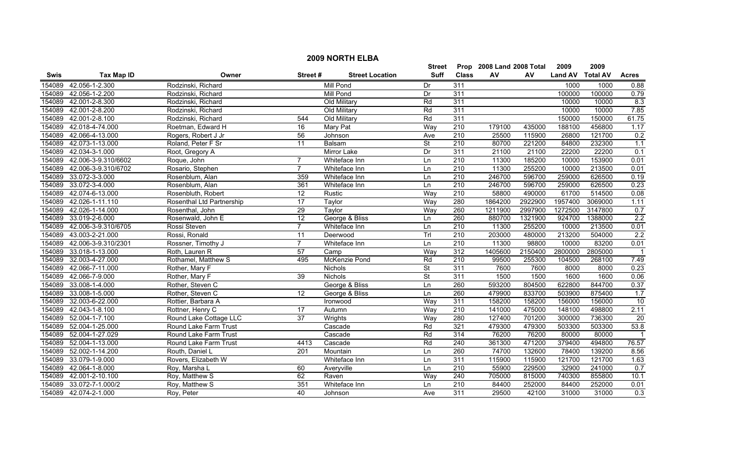|        | <b>2009 NORTH ELBA</b> |                           |                 |                        |               |                  |                           |         |                |                 |                 |  |
|--------|------------------------|---------------------------|-----------------|------------------------|---------------|------------------|---------------------------|---------|----------------|-----------------|-----------------|--|
|        |                        |                           |                 |                        | <b>Street</b> |                  | Prop 2008 Land 2008 Total |         | 2009           | 2009            |                 |  |
| Swis   | <b>Tax Map ID</b>      | Owner                     | Street#         | <b>Street Location</b> | Suff          | <b>Class</b>     | AV                        | AV      | <b>Land AV</b> | <b>Total AV</b> | <b>Acres</b>    |  |
| 154089 | 42.056-1-2.300         | Rodzinski, Richard        |                 | <b>Mill Pond</b>       | Dr            | 311              |                           |         | 1000           | 1000            | 0.88            |  |
| 154089 | 42.056-1-2.200         | Rodzinski, Richard        |                 | Mill Pond              | Dr            | 311              |                           |         | 100000         | 100000          | 0.79            |  |
| 154089 | 42.001-2-8.300         | Rodzinski, Richard        |                 | Old Military           | Rd            | 311              |                           |         | 10000          | 10000           | 8.3             |  |
| 154089 | 42.001-2-8.200         | Rodzinski, Richard        |                 | Old Military           | Rd            | 311              |                           |         | 10000          | 10000           | 7.85            |  |
| 154089 | 42.001-2-8.100         | Rodzinski, Richard        | 544             | Old Military           | Rd            | 311              |                           |         | 150000         | 150000          | 61.75           |  |
| 154089 | 42.018-4-74.000        | Roetman, Edward H         | 16              | <b>Mary Pat</b>        | Way           | 210              | 179100                    | 435000  | 188100         | 456800          | 1.17            |  |
| 154089 | 42.066-4-13.000        | Rogers, Robert J Jr       | 56              | Johnson                | Ave           | 210              | 25500                     | 115900  | 26800          | 121700          | 0.2             |  |
| 154089 | 42.073-1-13.000        | Roland, Peter F Sr        | 11              | Balsam                 | <b>St</b>     | 210              | 80700                     | 221200  | 84800          | 232300          | 1.1             |  |
| 154089 | 42.034-3-1.000         | Root, Gregory A           |                 | Mirror Lake            | Dr            | 311              | 21100                     | 21100   | 22200          | 22200           | 0.1             |  |
| 154089 | 42.006-3-9.310/6602    | Roque, John               | $\overline{7}$  | Whiteface Inn          | Ln            | 210              | 11300                     | 185200  | 10000          | 153900          | 0.01            |  |
| 154089 | 42.006-3-9.310/6702    | Rosario, Stephen          | $\overline{7}$  | Whiteface Inn          | Ln            | 210              | 11300                     | 255200  | 10000          | 213500          | 0.01            |  |
| 154089 | 33.072-3-3.000         | Rosenblum, Alan           | 359             | Whiteface Inn          | Ln            | $\overline{210}$ | 246700                    | 596700  | 259000         | 626500          | 0.19            |  |
| 154089 | 33.072-3-4.000         | Rosenblum, Alan           | 361             | Whiteface Inn          | Ln            | $\overline{210}$ | 246700                    | 596700  | 259000         | 626500          | 0.23            |  |
| 154089 | 42.074-6-13.000        | Rosenbluth, Robert        | $\overline{12}$ | Rustic                 | Way           | $\overline{210}$ | 58800                     | 490000  | 61700          | 514500          | 0.08            |  |
| 154089 | 42.026-1-11.110        | Rosenthal Ltd Partnership | 17              | Taylor                 | Way           | 280              | 1864200                   | 2922900 | 1957400        | 3069000         | 1.11            |  |
| 154089 | 42.026-1-14.000        | Rosenthal, John           | 29              | Taylor                 | Way           | 260              | 1211900                   | 2997900 | 1272500        | 3147800         | 0.7             |  |
| 154089 | 33.019-2-6.000         | Rosenwald, John E         | 12              | George & Bliss         | Ln            | 260              | 880700                    | 1321900 | 924700         | 1388000         | 2.2             |  |
| 154089 | 42.006-3-9.310/6705    | Rossi Steven              | $\overline{7}$  | Whiteface Inn          | Ln            | 210              | 11300                     | 255200  | 10000          | 213500          | 0.01            |  |
| 154089 | 43.003-2-21.000        | Rossi, Ronald             | 11              | Deerwood               | Trl           | 210              | 203000                    | 480000  | 213200         | 504000          | 2.2             |  |
| 154089 | 42.006-3-9.310/2301    | Rossner, Timothy J        | $\overline{7}$  | Whiteface Inn          | Ln            | 210              | 11300                     | 98800   | 10000          | 83200           | 0.01            |  |
| 154089 | 33.018-1-13.000        | Roth, Lauren R            | 57              | Camp                   | Way           | 312              | 1405600                   | 2150400 | 2800000        | 2805000         |                 |  |
| 154089 | 32.003-4-27.000        | Rothamel, Matthew S       | 495             | McKenzie Pond          | Rd            | $\overline{210}$ | 99500                     | 255300  | 104500         | 268100          | 7.49            |  |
| 154089 | 42.066-7-11.000        | Rother, Mary F            |                 | Nichols                | <b>St</b>     | 311              | 7600                      | 7600    | 8000           | 8000            | 0.23            |  |
| 154089 | 42.066-7-9.000         | Rother, Mary F            | 39              | Nichols                | <b>St</b>     | 311              | 1500                      | 1500    | 1600           | 1600            | 0.06            |  |
| 154089 | 33.008-1-4.000         | Rother, Steven C          |                 | George & Bliss         | Ln            | 260              | 593200                    | 804500  | 622800         | 844700          | 0.37            |  |
| 154089 | 33.008-1-5.000         | Rother, Steven C          | 12              | George & Bliss         | Ln            | 260              | 479900                    | 833700  | 503900         | 875400          | 1.7             |  |
| 154089 | 32.003-6-22.000        | Rottier, Barbara A        |                 | Ironwood               | Way           | 311              | 158200                    | 158200  | 156000         | 156000          | 10              |  |
| 154089 | 42.043-1-8.100         | Rottner, Henry C          | 17              | Autumn                 | Way           | $\overline{210}$ | 141000                    | 475000  | 148100         | 498800          | 2.11            |  |
| 154089 | 52.004-1-7.100         | Round Lake Cottage LLC    | 37              | Wrights                | Way           | 280              | 127400                    | 701200  | 300000         | 736300          | $\overline{20}$ |  |
| 154089 | 52.004-1-25.000        | Round Lake Farm Trust     |                 | Cascade                | Rd            | 321              | 479300                    | 479300  | 503300         | 503300          | 53.8            |  |
| 154089 | 52.004-1-27.029        | Round Lake Farm Trust     |                 | Cascade                | Rd            | 314              | 76200                     | 76200   | 80000          | 80000           |                 |  |
| 154089 | 52.004-1-13.000        | Round Lake Farm Trust     | 4413            | Cascade                | Rd            | 240              | 361300                    | 471200  | 379400         | 494800          | 76.57           |  |
| 154089 | 52.002-1-14.200        | Routh, Daniel L           | 201             | Mountain               | Ln            | 260              | 74700                     | 132600  | 78400          | 139200          | 8.56            |  |
| 154089 | 33.079-1-9.000         | Rovers, Elizabeth W       |                 | Whiteface Inn          | Ln            | 311              | 115900                    | 115900  | 121700         | 121700          | 1.63            |  |
| 154089 | 42.064-1-8.000         | Roy, Marsha L             | 60              | Averyville             | Ln            | $\overline{210}$ | 55900                     | 229500  | 32900          | 241000          | 0.7             |  |
| 154089 | 42.001-2-10.100        | Roy, Matthew S            | 62              | Raven                  | Way           | 240              | 705000                    | 815000  | 740300         | 855800          | 10.1            |  |
| 154089 | 33.072-7-1.000/2       | Roy, Matthew S            | 351             | Whiteface Inn          | Ln            | $\overline{210}$ | 84400                     | 252000  | 84400          | 252000          | 0.01            |  |
|        | 154089 42.074-2-1.000  | Roy, Peter                | 40              | Johnson                | Ave           | 311              | 29500                     | 42100   | 31000          | 31000           | 0.3             |  |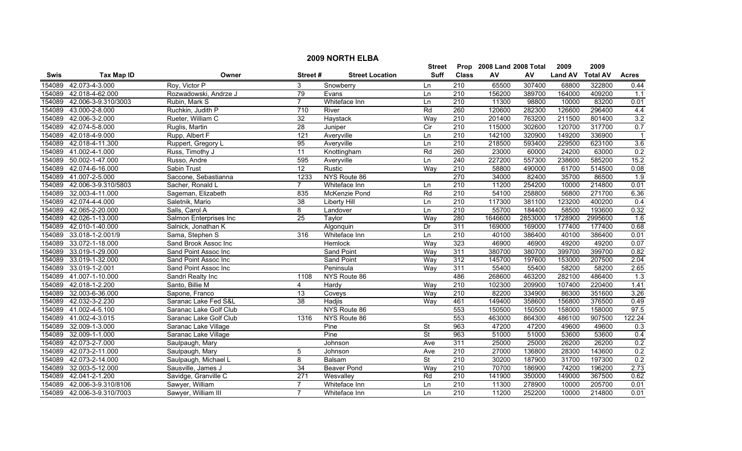|             |                     |                        |                 |                        | <b>Street</b>            |                  | Prop 2008 Land 2008 Total |         | 2009           | 2009            |                  |
|-------------|---------------------|------------------------|-----------------|------------------------|--------------------------|------------------|---------------------------|---------|----------------|-----------------|------------------|
| <b>Swis</b> | <b>Tax Map ID</b>   | Owner                  | Street#         | <b>Street Location</b> | <b>Suff</b>              | <b>Class</b>     | AV                        | AV      | <b>Land AV</b> | <b>Total AV</b> | <b>Acres</b>     |
| 154089      | 42.073-4-3.000      | Roy, Victor P          | 3               | Snowberry              | Ln                       | 210              | 65500                     | 307400  | 68800          | 322800          | 0.44             |
| 154089      | 42.018-4-62.000     | Rozwadowski, Andrze J  | 79              | Evans                  | Ln                       | 210              | 156200                    | 389700  | 164000         | 409200          | 1.1              |
| 154089      | 42.006-3-9.310/3003 | Rubin, Mark S          | $\overline{7}$  | Whiteface Inn          | Ln                       | $\overline{210}$ | 11300                     | 98800   | 10000          | 83200           | 0.01             |
| 154089      | 43.000-2-8.000      | Ruchkin, Judith P      | 710             | River                  | Rd                       | 260              | 120600                    | 282300  | 126600         | 296400          | 4.4              |
| 154089      | 42.006-3-2.000      | Rueter, William C      | 32              | Haystack               | Way                      | $\overline{210}$ | 201400                    | 763200  | 211500         | 801400          | 3.2              |
| 154089      | 42.074-5-8.000      | Ruglis, Martin         | 28              | Juniper                | Cir                      | 210              | 115000                    | 302600  | 120700         | 317700          | 0.7              |
| 154089      | 42.018-4-9.000      | Rupp, Albert F         | 121             | Averyville             | Ln                       | 210              | 142100                    | 320900  | 149200         | 336900          |                  |
| 154089      | 42.018-4-11.300     | Ruppert, Gregory L     | 95              | Averyville             | Ln                       | 210              | 218500                    | 593400  | 229500         | 623100          | 3.6              |
| 154089      | 41.002-4-1.000      | Russ, Timothy J        | $\overline{11}$ | Knottingham            | Rd                       | 260              | 23000                     | 60000   | 24200          | 63000           | 0.2              |
| 154089      | 50.002-1-47.000     | Russo, Andre           | 595             | Averyville             | Ln                       | $\overline{240}$ | 227200                    | 557300  | 238600         | 585200          | 15.2             |
| 154089      | 42.074-6-16.000     | Sabin Trust            | $\overline{12}$ | Rustic                 | Way                      | 210              | 58800                     | 490000  | 61700          | 514500          | 0.08             |
| 154089      | 41.007-2-5.000      | Saccone, Sebastianna   | 1233            | NYS Route 86           |                          | 270              | 34000                     | 82400   | 35700          | 86500           | $\overline{1.9}$ |
| 154089      | 42.006-3-9.310/5803 | Sacher, Ronald L       | $\overline{7}$  | Whiteface Inn          | Ln                       | 210              | 11200                     | 254200  | 10000          | 214800          | 0.01             |
| 154089      | 32.003-4-11.000     | Sageman, Elizabeth     | 835             | McKenzie Pond          | Rd                       | $\overline{210}$ | 54100                     | 258800  | 56800          | 271700          | 6.36             |
| 154089      | 42.074-4-4.000      | Saletnik, Mario        | 38              | Liberty Hill           | Ln                       | 210              | 117300                    | 381100  | 123200         | 400200          | 0.4              |
| 154089      | 42.065-2-20.000     | Salls, Carol A         | $\overline{8}$  | Landover               | Ln                       | 210              | 55700                     | 184400  | 58500          | 193600          | 0.32             |
| 154089      | 42.026-1-13.000     | Salmon Enterprises Inc | 25              | <b>Taylor</b>          | Way                      | 280              | 1646600                   | 2853000 | 1728900        | 2995600         | 1.6              |
| 154089      | 42.010-1-40.000     | Salnick, Jonathan K    |                 | Algonquin              | Dr                       | 311              | 169000                    | 169000  | 177400         | 177400          | 0.68             |
| 154089      | 33.018-1-2.001/9    | Sama, Stephen S        | 316             | Whiteface Inn          | Ln                       | 210              | 40100                     | 386400  | 40100          | 386400          | 0.01             |
| 154089      | 33.072-1-18.000     | Sand Brook Assoc Inc   |                 | <b>Hemlock</b>         | Way                      | 323              | 46900                     | 46900   | 49200          | 49200           | 0.07             |
| 154089      | 33.019-1-29.000     | Sand Point Assoc Inc   |                 | Sand Point             | Way                      | 311              | 380700                    | 380700  | 399700         | 399700          | 0.82             |
| 154089      | 33.019-1-32.000     | Sand Point Assoc Inc   |                 | Sand Point             | Way                      | $\overline{312}$ | 145700                    | 197600  | 153000         | 207500          | 2.04             |
| 154089      | 33.019-1-2.001      | Sand Point Assoc Inc   |                 | Peninsula              | Way                      | 311              | 55400                     | 55400   | 58200          | 58200           | 2.65             |
| 154089      | 41.007-1-10.000     | Sandri Realty Inc      | 1108            | NYS Route 86           |                          | 486              | 268600                    | 463200  | 282100         | 486400          | $\overline{1.3}$ |
| 154089      | 42.018-1-2.200      | Santo, Billie M        | 4               | Hardy                  | Way                      | $\overline{210}$ | 102300                    | 209900  | 107400         | 220400          | 1.41             |
| 154089      | 32.003-6-36.000     | Sapone, Franco         | $\overline{13}$ | Coveys                 | Way                      | 210              | 82200                     | 334900  | 86300          | 351600          | 3.26             |
| 154089      | 42.032-3-2.230      | Saranac Lake Fed S&L   | 38              | Hadjis                 | Way                      | 461              | 149400                    | 358600  | 156800         | 376500          | 0.49             |
| 154089      | 41.002-4-5.100      | Saranac Lake Golf Club |                 | NYS Route 86           |                          | 553              | 150500                    | 150500  | 158000         | 158000          | 97.5             |
| 154089      | 41.002-4-3.015      | Saranac Lake Golf Club | 1316            | NYS Route 86           |                          | 553              | 463000                    | 864300  | 486100         | 907500          | 122.24           |
| 154089      | 32.009-1-3.000      | Saranac Lake Village   |                 | Pine                   | $\overline{\mathsf{St}}$ | 963              | 47200                     | 47200   | 49600          | 49600           | 0.3              |
| 154089      | 32.009-1-1.000      | Saranac Lake Village   |                 | Pine                   | <b>St</b>                | 963              | 51000                     | 51000   | 53600          | 53600           | 0.4              |
| 154089      | 42.073-2-7.000      | Saulpaugh, Mary        |                 | Johnson                | Ave                      | 311              | 25000                     | 25000   | 26200          | 26200           | 0.2              |
| 154089      | 42.073-2-11.000     | Saulpaugh, Mary        | 5               | Johnson                | Ave                      | 210              | 27000                     | 136800  | 28300          | 143600          | 0.2              |
| 154089      | 42.073-2-14.000     | Saulpaugh, Michael L   | 8               | Balsam                 | St                       | $\overline{210}$ | 30200                     | 187900  | 31700          | 197300          | 0.2              |
| 154089      | 32.003-5-12.000     | Sausville, James J     | 34              | <b>Beaver Pond</b>     | Way                      | 210              | 70700                     | 186900  | 74200          | 196200          | 2.73             |
| 154089      | 42.041-2-1.200      | Savidge, Granville C   | 271             | Wesvalley              | Rd                       | 210              | 141900                    | 350000  | 149000         | 367500          | 0.62             |
| 154089      | 42.006-3-9.310/8106 | Sawyer, William        | $\overline{7}$  | Whiteface Inn          | Ln                       | $\overline{210}$ | 11300                     | 278900  | 10000          | 205700          | 0.01             |
| 154089      | 42.006-3-9.310/7003 | Sawyer, William III    | $\overline{7}$  | Whiteface Inn          | l n                      | 210              | 11200                     | 252200  | 10000          | 214800          | 0.01             |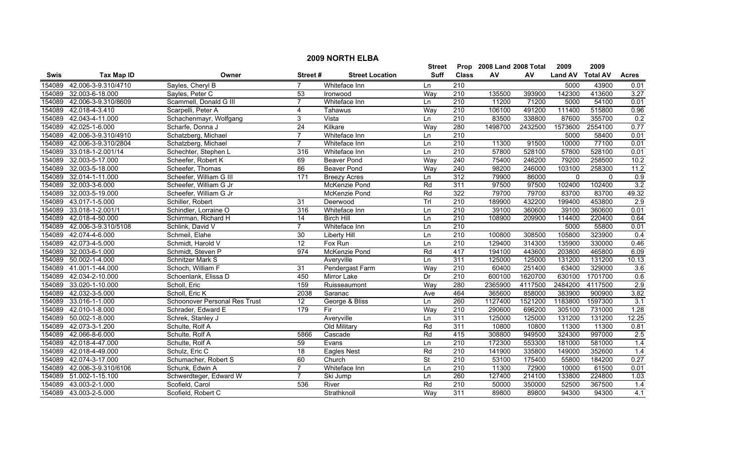|             |                            |                                      |                 |                        | <b>Street</b>            |                  | Prop 2008 Land 2008 Total |           | 2009           | 2009            |                  |
|-------------|----------------------------|--------------------------------------|-----------------|------------------------|--------------------------|------------------|---------------------------|-----------|----------------|-----------------|------------------|
| <b>Swis</b> | <b>Tax Map ID</b>          | Owner                                | Street#         | <b>Street Location</b> | Suff                     | <b>Class</b>     | AV                        | <b>AV</b> | <b>Land AV</b> | <b>Total AV</b> | <b>Acres</b>     |
| 154089      | 42.006-3-9.310/4710        | Sayles, Cheryl B                     |                 | Whiteface Inn          | Ln                       | 210              |                           |           | 5000           | 43900           | 0.01             |
| 154089      | 32.003-6-18.000            | Sayles, Peter C                      | 53              | Ironwood               | Way                      | 210              | 135500                    | 393900    | 142300         | 413600          | 3.27             |
|             | 154089 42.006-3-9.310/8609 | Scammell, Donald G III               | $\overline{7}$  | Whiteface Inn          | Ln                       | $\overline{210}$ | 11200                     | 71200     | 5000           | 54100           | 0.01             |
| 154089      | 42.018-4-3.410             | Scarpelli, Peter A                   | 4               | Tahawus                | Way                      | 210              | 106100                    | 491200    | 111400         | 515800          | 0.96             |
| 154089      | 42.043-4-11.000            | Schachenmayr, Wolfgang               | 3               | Vista                  | Ln                       | 210              | 83500                     | 338800    | 87600          | 355700          | 0.2              |
| 154089      | 42.025-1-6.000             | Scharfe, Donna J                     | 24              | Kilkare                | Way                      | 280              | 1498700                   | 2432500   | 1573600        | 2554100         | 0.77             |
| 154089      | 42.006-3-9.310/4910        | Schatzberg, Michael                  |                 | Whiteface Inn          | Ln                       | 210              |                           |           | 5000           | 58400           | 0.01             |
| 154089      | 42.006-3-9.310/2804        | Schatzberg, Michael                  |                 | Whiteface Inn          | Ln                       | 210              | 11300                     | 91500     | 10000          | 77100           | 0.01             |
| 154089      | 33.018-1-2.001/14          | Schechter, Stephen L                 | 316             | Whiteface Inn          | Ln                       | 210              | 57800                     | 528100    | 57800          | 528100          | 0.01             |
| 154089      | 32.003-5-17.000            | Scheefer, Robert K                   | 69              | <b>Beaver Pond</b>     | Way                      | $\overline{240}$ | 75400                     | 246200    | 79200          | 258500          | 10.2             |
| 154089      | 32.003-5-18.000            | Scheefer, Thomas                     | 86              | <b>Beaver Pond</b>     | Way                      | 240              | 98200                     | 246000    | 103100         | 258300          | 11.2             |
| 154089      | 32.014-1-11.000            | Scheefer, William G III              | 171             | <b>Breezy Acres</b>    | Ln                       | $\overline{312}$ | 79900                     | 86000     | $\mathbf{0}$   | $\mathbf{0}$    | 0.9              |
| 154089      | 32.003-3-6.000             | Scheefer, William G Jr               |                 | McKenzie Pond          | Rd                       | 311              | 97500                     | 97500     | 102400         | 102400          | 3.2              |
| 154089      | 32.003-5-19.000            | Scheefer, William G Jr               |                 | McKenzie Pond          | Rd                       | 322              | 79700                     | 79700     | 83700          | 83700           | 49.32            |
| 154089      | 43.017-1-5.000             | Schiller, Robert                     | 31              | Deerwood               | Trl                      | $\overline{210}$ | 189900                    | 432200    | 199400         | 453800          | $\overline{2.9}$ |
| 154089      | 33.018-1-2.001/1           | Schindler, Lorraine O                | 316             | Whiteface Inn          | Ln                       | 210              | 39100                     | 360600    | 39100          | 360600          | 0.01             |
|             | 154089 42.018-4-50.000     | Schirrman, Richard H                 | $\overline{14}$ | <b>Birch Hill</b>      | Ln                       | 210              | 108900                    | 209900    | 114400         | 220400          | 0.64             |
| 154089      | 42.006-3-9.310/5108        | Schlink, David V                     |                 | Whiteface Inn          | Ln                       | 210              |                           |           | 5000           | 55800           | 0.01             |
| 154089      | 42.074-4-6.000             | Schmeil, Elahe                       | 30              | <b>Liberty Hill</b>    | Ln                       | 210              | 100800                    | 308500    | 105800         | 323900          | 0.4              |
| 154089      | 42.073-4-5.000             | Schmidt, Harold V                    | 12              | Fox Run                | Ln                       | 210              | 129400                    | 314300    | 135900         | 330000          | 0.46             |
| 154089      | 32.003-6-1.000             | Schmidt, Steven P                    | 974             | McKenzie Pond          | Rd                       | 417              | 194100                    | 443600    | 203800         | 465800          | 6.09             |
| 154089      | 50.002-1-4.000             | Schnitzer Mark S                     |                 | Averyville             | Ln                       | 311              | 125000                    | 125000    | 131200         | 131200          | 10.13            |
| 154089      | 41.001-1-44.000            | Schoch, William F                    | 31              | Pendergast Farm        | Way                      | 210              | 60400                     | 251400    | 63400          | 329000          | 3.6              |
|             | 154089 42.034-2-10.000     | Schoenlank, Elissa D                 | 450             | Mirror Lake            | Dr                       | $\overline{210}$ | 600100                    | 1620700   | 630100         | 1701700         | 0.6              |
| 154089      | 33.020-1-10.000            | Scholl, Eric                         | 159             | Ruisseaumont           | Way                      | 280              | 2365900                   | 4117500   | 2484200        | 4117500         | 2.9              |
| 154089      | 42.032-3-5.000             | Scholl, Eric K                       | 2038            | Saranac                | Ave                      | 464              | 365600                    | 858000    | 383900         | 900900          | 3.82             |
| 154089      | 33.016-1-1.000             | <b>Schoonover Personal Res Trust</b> | 12              | George & Bliss         | Ln                       | 260              | 1127400                   | 1521200   | 1183800        | 1597300         | 3.1              |
| 154089      | 42.010-1-8.000             | Schrader, Edward E                   | 179             | Fir                    | Way                      | 210              | 290600                    | 696200    | 305100         | 731000          | 1.28             |
| 154089      | 50.002-1-8.000             | Schrek, Stanley J                    |                 | Averyville             | Ln                       | 311              | 125000                    | 125000    | 131200         | 131200          | 12.25            |
| 154089      | 42.073-3-1.200             | Schulte, Rolf A                      |                 | Old Military           | Rd                       | 311              | 10800                     | 10800     | 11300          | 11300           | 0.81             |
|             | 154089 42.066-8-6.000      | Schulte, Rolf A                      | 5866            | Cascade                | Rd                       | 415              | 308800                    | 949500    | 324300         | 997000          | 2.5              |
| 154089      | 42.018-4-47.000            | Schulte, Rolf A                      | 59              | Evans                  | Ln                       | 210              | 172300                    | 553300    | 181000         | 581000          | 1.4              |
| 154089      | 42.018-4-49.000            | Schulz, Eric C                       | 18              | <b>Eagles Nest</b>     | Rd                       | 210              | 141900                    | 335800    | 149000         | 352600          | 1.4              |
| 154089      | 42.074-3-17.000            | Schumacher, Robert S                 | 60              | Church                 | $\overline{\mathsf{St}}$ | $\overline{210}$ | 53100                     | 175400    | 55800          | 184200          | 0.27             |
| 154089      | 42.006-3-9.310/6106        | Schunk, Edwin A                      | $\overline{7}$  | Whiteface Inn          | Ln                       | $\overline{210}$ | 11300                     | 72900     | 10000          | 61500           | 0.01             |
| 154089      | 51.002-1-15.100            | Schwerdteger, Edward W               | 7               | Ski Jump               | Ln                       | 260              | 127400                    | 214100    | 133800         | 224800          | 1.03             |
| 154089      | 43.003-2-1.000             | Scofield, Carol                      | 536             | River                  | Rd                       | $\overline{210}$ | 50000                     | 350000    | 52500          | 367500          | 1.4              |
|             | 154089 43.003-2-5.000      | Scofield, Robert C                   |                 | Strathknoll            | Way                      | 311              | 89800                     | 89800     | 94300          | 94300           | 4.1              |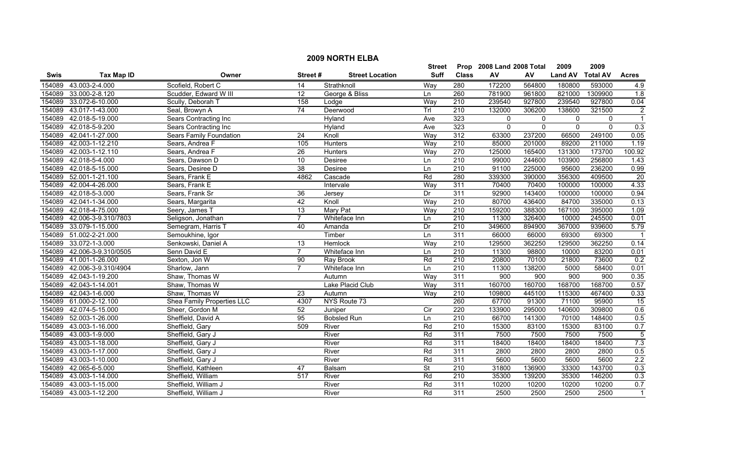|        | <b>2009 NORTH ELBA</b> |                                |                  |                        |                |                  |                           |              |                  |                 |                  |  |
|--------|------------------------|--------------------------------|------------------|------------------------|----------------|------------------|---------------------------|--------------|------------------|-----------------|------------------|--|
|        |                        |                                |                  |                        | <b>Street</b>  |                  | Prop 2008 Land 2008 Total |              | 2009             | 2009            |                  |  |
| Swis   | <b>Tax Map ID</b>      | Owner                          | Street#          | <b>Street Location</b> | <b>Suff</b>    | <b>Class</b>     | ${\sf AV}$                | AV           | <b>Land AV</b>   | <b>Total AV</b> | <b>Acres</b>     |  |
| 154089 | 43.003-2-4.000         | Scofield, Robert C             | 14               | Strathknoll            | Way            | 280              | 172200                    | 564800       | 180800           | 593000          | 4.9              |  |
| 154089 | 33.000-2-8.120         | Scudder, Edward W III          | 12               | George & Bliss         | Ln             | 260              | 781900                    | 961800       | 821000           | 1309900         | $\overline{1.8}$ |  |
| 154089 | 33.072-6-10.000        | Scully, Deborah T              | 158              | Lodge                  | Way            | $\overline{210}$ | 239540                    | 927800       | 239540           | 927800          | 0.04             |  |
| 154089 | 43.017-1-43.000        | Seal, Browyn A                 | 74               | Deerwood               | Trl            | 210              | 132000                    | 306200       | 138600           | 321500          | $\overline{2}$   |  |
| 154089 | 42.018-5-19.000        | Sears Contracting Inc          |                  | Hyland                 | Ave            | 323              | $\mathbf 0$               | $\mathbf{0}$ | $\mathbf 0$      | $\mathbf{0}$    | $\overline{1}$   |  |
| 154089 | 42.018-5-9.200         | <b>Sears Contracting Inc</b>   |                  | Hyland                 | Ave            | 323              | $\overline{0}$            | $\Omega$     | $\overline{0}$   | $\overline{0}$  | 0.3              |  |
| 154089 | 42.041-1-27.000        | <b>Sears Family Foundation</b> | $\overline{24}$  | Knoll                  | Way            | 312              | 63300                     | 237200       | 66500            | 249100          | 0.05             |  |
| 154089 | 42.003-1-12.210        | Sears, Andrea F                | 105              | <b>Hunters</b>         | Way            | 210              | 85000                     | 201000       | 89200            | 211000          | 1.19             |  |
| 154089 | 42.003-1-12.110        | Sears, Andrea F                | $\overline{26}$  | Hunters                | Way            | 270              | 125000                    | 165400       | 131300           | 173700          | 100.92           |  |
| 154089 | 42.018-5-4.000         | Sears, Dawson D                | 10               | Desiree                | Ln             | 210              | 99000                     | 244600       | 103900           | 256800          | 1.43             |  |
| 154089 | 42.018-5-15.000        | Sears, Desiree D               | $\overline{38}$  | Desiree                | Ln             | $\overline{210}$ | 91100                     | 225000       | 95600            | 236200          | 0.99             |  |
| 154089 | 52.001-1-21.100        | Sears, Frank E                 | 4862             | Cascade                | Rd             | 280              | 339300                    | 390000       | 356300           | 409500          | 20               |  |
| 154089 | 42.004-4-26.000        | Sears, Frank E                 |                  | Intervale              | Way            | 311              | 70400                     | 70400        | 100000           | 100000          | 4.33             |  |
| 154089 | 42.018-5-3.000         | Sears, Frank Sr                | $\overline{36}$  | Jersey                 | Dr             | 311              | 92900                     | 143400       | 100000           | 100000          | 0.94             |  |
| 154089 | 42.041-1-34.000        | Sears, Margarita               | 42               | Knoll                  | Way            | 210              | 80700                     | 436400       | 84700            | 335000          | 0.13             |  |
| 154089 | 42.018-4-75.000        | Seery, James T                 | $\overline{13}$  | <b>Mary Pat</b>        | Way            | $\overline{210}$ | 159200                    | 388300       | 167100           | 395000          | 1.09             |  |
| 154089 | 42.006-3-9.310/7803    | Seligson, Jonathan             | $\overline{7}$   | Whiteface Inn          | Ln             | 210              | 11300                     | 326400       | 10000            | 245500          | 0.01             |  |
| 154089 | 33.079-1-15.000        | Semegram, Harris T             | 40               | Amanda                 | Dr             | 210              | 349600                    | 894900       | 367000           | 939600          | 5.79             |  |
| 154089 | 51.002-2-21.000        | Semoukhine, Igor               |                  | Timber                 | Ln             | 311              | 66000                     | 66000        | 69300            | 69300           |                  |  |
| 154089 | 33.072-1-3.000         | Senkowski, Daniel A            | 13               | Hemlock                | Way            | 210              | 129500                    | 362250       | 129500           | 362250          | 0.14             |  |
| 154089 | 42.006-3-9.310/0505    | Senn David E                   | $\overline{7}$   | Whiteface Inn          | Ln             | 210              | 11300                     | 98800        | 10000            | 83200           | 0.01             |  |
| 154089 | 41.001-1-26.000        | Sexton, Jon W                  | 90               | <b>Ray Brook</b>       | Rd             | 210              | 20800                     | 70100        | 21800            | 73600           | 0.2              |  |
| 154089 | 42.006-3-9.310/4904    | Sharlow, Jann                  | $\overline{7}$   | Whiteface Inn          | Ln             | 210              | 11300                     | 138200       | 5000             | 58400           | 0.01             |  |
| 154089 | 42.043-1-19.200        | Shaw, Thomas W                 |                  | Autumn                 | Way            | 311              | 900                       | 900          | $\overline{900}$ | 900             | 0.35             |  |
| 154089 | 42.043-1-14.001        | Shaw, Thomas W                 |                  | Lake Placid Club       | Way            | 311              | 160700                    | 160700       | 168700           | 168700          | 0.57             |  |
| 154089 | 42.043-1-6.000         | Shaw, Thomas W                 | 23               | Autumn                 | Way            | $\overline{210}$ | 109800                    | 445100       | 115300           | 467400          | 0.33             |  |
|        | 154089 61.000-2-12.100 | Shea Family Properties LLC     | 4307             | NYS Route 73           |                | 260              | 67700                     | 91300        | 71100            | 95900           | 15               |  |
| 154089 | 42.074-5-15.000        | Sheer, Gordon M                | 52               | Juniper                | $\overline{C}$ | 220              | 133900                    | 295000       | 140600           | 309800          | 0.6              |  |
| 154089 | 52.003-1-26.000        | Sheffield, David A             | 95               | <b>Bobsled Run</b>     | Ln             | 210              | 66700                     | 141300       | 70100            | 148400          | 0.5              |  |
| 154089 | 43.003-1-16.000        | Sheffield, Gary                | 509              | River                  | Rd             | 210              | 15300                     | 83100        | 15300            | 83100           | 0.7              |  |
| 154089 | 43.003-1-9.000         | Sheffield, Gary J              |                  | River                  | Rd             | 311              | 7500                      | 7500         | 7500             | 7500            | $\overline{5}$   |  |
| 154089 | 43.003-1-18.000        | Sheffield, Gary J              |                  | River                  | Rd             | 311              | 18400                     | 18400        | 18400            | 18400           | 7.3              |  |
| 154089 | 43.003-1-17.000        | Sheffield, Gary J              |                  | River                  | Rd             | 311              | 2800                      | 2800         | 2800             | 2800            | 0.5              |  |
| 154089 | 43.003-1-10.000        | Sheffield, Gary J              |                  | River                  | Rd             | 311              | 5600                      | 5600         | 5600             | 5600            | 2.2              |  |
| 154089 | 42.065-6-5.000         | Sheffield, Kathleen            | 47               | Balsam                 | <b>St</b>      | $\overline{210}$ | 31800                     | 136900       | 33300            | 143700          | 0.3              |  |
| 154089 | 43.003-1-14.000        | Sheffield, William             | $\overline{517}$ | River                  | Rd             | 210              | 35300                     | 139200       | 35300            | 146200          | 0.3              |  |
| 154089 | 43.003-1-15.000        | Sheffield, William J           |                  | River                  | Rd             | 311              | 10200                     | 10200        | 10200            | 10200           | 0.7              |  |
|        | 154089 43.003-1-12.200 | Sheffield, William J           |                  | River                  | Rd             | 311              | 2500                      | 2500         | 2500             | 2500            | $\overline{1}$   |  |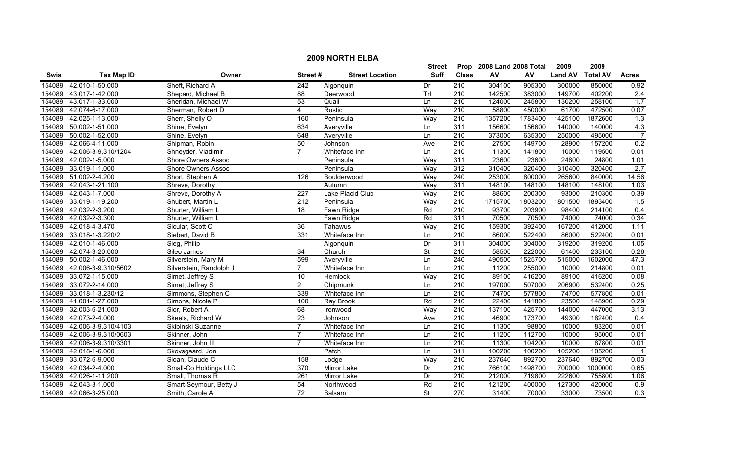|        | <b>2009 NORTH ELBA</b> |                           |                  |                        |                          |                  |                           |         |                |                 |                  |
|--------|------------------------|---------------------------|------------------|------------------------|--------------------------|------------------|---------------------------|---------|----------------|-----------------|------------------|
|        |                        |                           |                  |                        | <b>Street</b>            |                  | Prop 2008 Land 2008 Total |         | 2009           | 2009            |                  |
| Swis   | <b>Tax Map ID</b>      | Owner                     | Street#          | <b>Street Location</b> | <b>Suff</b>              | <b>Class</b>     | ${\sf AV}$                | AV      | <b>Land AV</b> | <b>Total AV</b> | <b>Acres</b>     |
| 154089 | 42.010-1-50.000        | Sheft, Richard A          | 242              | Algonquin              | Dr                       | $\overline{210}$ | 304100                    | 905300  | 300000         | 850000          | 0.92             |
| 154089 | 43.017-1-42.000        | Shepard, Michael B        | 88               | Deerwood               | TrI                      | $\overline{210}$ | 142500                    | 383000  | 149700         | 402200          | 2.4              |
| 154089 | 43.017-1-33.000        | Sheridan, Michael W       | 53               | Quail                  | Ln                       | 210              | 124000                    | 245800  | 130200         | 258100          | 1.7              |
| 154089 | 42.074-6-17.000        | Sherman, Robert D         | $\overline{4}$   | Rustic                 | Way                      | 210              | 58800                     | 450000  | 61700          | 472500          | 0.07             |
| 154089 | 42.025-1-13.000        | Sherr, Shelly O           | 160              | Peninsula              | Way                      | 210              | 1357200                   | 1783400 | 1425100        | 1872600         | $\overline{1.3}$ |
| 154089 | 50.002-1-51.000        | Shine, Evelyn             | 634              | Averyville             | Ln                       | 311              | 156600                    | 156600  | 140000         | 140000          | 4.3              |
| 154089 | 50.002-1-52.000        | Shine, Evelyn             | 648              | Averyville             | Ln                       | 210              | 373000                    | 635300  | 250000         | 495000          | $\overline{7}$   |
| 154089 | 42.066-4-11.000        | Shipman, Robin            | 50               | Johnson                | Ave                      | 210              | 27500                     | 149700  | 28900          | 157200          | 0.2              |
| 154089 | 42.006-3-9.310/1204    | Shneyder, Vladimir        | $\overline{7}$   | Whiteface Inn          | Ln                       | $\overline{210}$ | 11300                     | 141800  | 10000          | 119500          | 0.01             |
| 154089 | 42.002-1-5.000         | Shore Owners Assoc        |                  | Peninsula              | Way                      | 311              | 23600                     | 23600   | 24800          | 24800           | 1.01             |
| 154089 | 33.019-1-1.000         | <b>Shore Owners Assoc</b> |                  | Peninsula              | Way                      | 312              | 310400                    | 320400  | 310400         | 320400          | 2.7              |
| 154089 | 51.002-2-4.200         | Short, Stephen A          | 126              | Boulderwood            | Way                      | $\overline{240}$ | 253000                    | 800000  | 265600         | 840000          | 14.56            |
| 154089 | 42.043-1-21.100        | Shreve, Dorothy           |                  | Autumn                 | Way                      | 311              | 148100                    | 148100  | 148100         | 148100          | 1.03             |
| 154089 | 42.043-1-7.000         | Shreve, Dorothy A         | $\overline{227}$ | Lake Placid Club       | Way                      | 210              | 88600                     | 200300  | 93000          | 210300          | 0.39             |
| 154089 | 33.019-1-19.200        | Shubert, Martin L         | $\overline{212}$ | Peninsula              | Way                      | $\overline{210}$ | 1715700                   | 1803200 | 1801500        | 1893400         | 1.5              |
| 154089 | 42.032-2-3.200         | Shurter, William L        | 18               | Fawn Ridge             | Rd                       | $\overline{210}$ | 93700                     | 203900  | 98400          | 214100          | 0.4              |
| 154089 | 42.032-2-3.300         | Shurter, William L        |                  | Fawn Ridge             | Rd                       | 311              | 70500                     | 70500   | 74000          | 74000           | 0.34             |
| 154089 | 42.018-4-3.470         | Sicular, Scott C          | 36               | Tahawus                | Way                      | 210              | 159300                    | 392400  | 167200         | 412000          | 1.11             |
| 154089 | 33.018-1-3.220/2       | Siebert, David B          | 331              | Whiteface Inn          | Ln                       | 210              | 86000                     | 522400  | 86000          | 522400          | 0.01             |
| 154089 | 42.010-1-46.000        | Sieg, Philip              |                  | Algonquin              | Dr                       | 311              | 304000                    | 304000  | 319200         | 319200          | 1.05             |
| 154089 | 42.074-3-20.000        | Sileo James               | 34               | Church                 | $\overline{\mathsf{St}}$ | 210              | 58500                     | 222000  | 61400          | 233100          | 0.26             |
| 154089 | 50.002-1-46.000        | Silverstein, Mary M       | 599              | Averyville             | Ln                       | 240              | 490500                    | 1525700 | 515000         | 1602000         | 47.3             |
| 154089 | 42.006-3-9.310/5602    | Silverstein, Randolph J   | $\overline{7}$   | Whiteface Inn          | Ln                       | 210              | 11200                     | 255000  | 10000          | 214800          | 0.01             |
| 154089 | 33.072-1-15.000        | Simet, Jeffrey S          | 10               | Hemlock                | Way                      | 210              | 89100                     | 416200  | 89100          | 416200          | 0.08             |
| 154089 | 33.072-2-14.000        | Simet, Jeffrey S          | $\overline{2}$   | Chipmunk               | Ln                       | $\overline{210}$ | 197000                    | 507000  | 206900         | 532400          | 0.25             |
| 154089 | 33.018-1-3.230/12      | Simmons, Stephen C        | 339              | Whiteface Inn          | Ln                       | 210              | 74700                     | 577800  | 74700          | 577800          | 0.01             |
| 154089 | 41.001-1-27.000        | Simons, Nicole P          | 100              | Ray Brook              | Rd                       | 210              | 22400                     | 141800  | 23500          | 148900          | 0.29             |
| 154089 | 32.003-6-21.000        | Sior, Robert A            | 68               | Ironwood               | Way                      | $\overline{210}$ | 137100                    | 425700  | 144000         | 447000          | 3.13             |
| 154089 | 42.073-2-4.000         | Skeels, Richard W         | 23               | Johnson                | Ave                      | $\overline{210}$ | 46900                     | 173700  | 49300          | 182400          | 0.4              |
| 154089 | 42.006-3-9.310/4103    | Skibinski Suzanne         |                  | Whiteface Inn          | Ln                       | 210              | 11300                     | 98800   | 10000          | 83200           | 0.01             |
| 154089 | 42.006-3-9.310/0603    | Skinner, John             | 7                | Whiteface Inn          | Ln                       | 210              | 11200                     | 112700  | 10000          | 95000           | 0.01             |
| 154089 | 42.006-3-9.310/3301    | Skinner, John III         | $\overline{ }$   | Whiteface Inn          | Ln                       | 210              | 11300                     | 104200  | 10000          | 87800           | 0.01             |
| 154089 | 42.018-1-6.000         | Skovsgaard, Jon           |                  | Patch                  | Ln                       | 311              | 100200                    | 100200  | 105200         | 105200          | $\overline{1}$   |
| 154089 | 33.072-6-9.000         | Sloan, Claude C           | 158              | Lodge                  | Way                      | $\overline{210}$ | 237640                    | 892700  | 237640         | 892700          | 0.03             |
| 154089 | 42.034-2-4.000         | Small-Co Holdings LLC     | 370              | Mirror Lake            | Dr                       | 210              | 766100                    | 1498700 | 700000         | 1000000         | 0.65             |
| 154089 | 42.026-1-11.200        | Small, Thomas R           | 261              | Mirror Lake            | Dr                       | 210              | 212000                    | 719800  | 222600         | 755800          | 1.06             |
| 154089 | 42.043-3-1.000         | Smart-Seymour, Betty J    | 54               | Northwood              | Rd                       | 210              | 121200                    | 400000  | 127300         | 420000          | 0.9              |
|        | 154089 42.066-3-25.000 | Smith, Carole A           | 72               | Balsam                 | St                       | $\overline{270}$ | 31400                     | 70000   | 33000          | 73500           | $\overline{0.3}$ |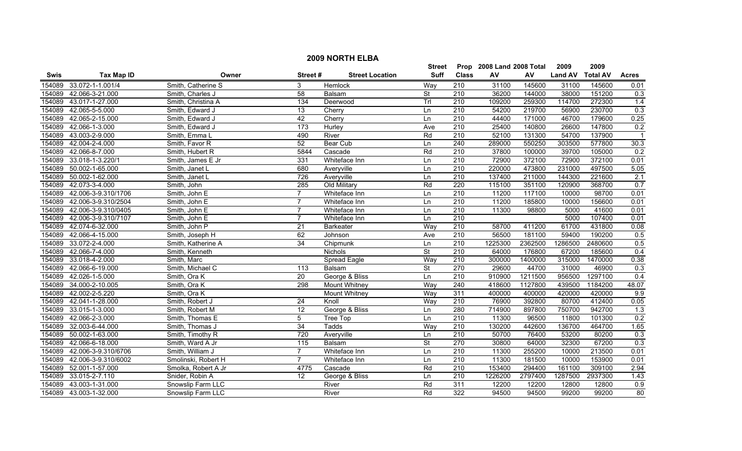|             |                     |                     |                  |                        | <b>Street</b>            |                  | Prop 2008 Land 2008 Total |         | 2009           | 2009            |                  |
|-------------|---------------------|---------------------|------------------|------------------------|--------------------------|------------------|---------------------------|---------|----------------|-----------------|------------------|
| <b>Swis</b> | <b>Tax Map ID</b>   | Owner               | Street#          | <b>Street Location</b> | <b>Suff</b>              | <b>Class</b>     | AV                        | AV      | <b>Land AV</b> | <b>Total AV</b> | <b>Acres</b>     |
| 154089      | 33.072-1-1.001/4    | Smith, Catherine S  | 3                | Hemlock                | Way                      | 210              | 31100                     | 145600  | 31100          | 145600          | 0.01             |
| 154089      | 42.066-3-21.000     | Smith, Charles J    | $\overline{58}$  | Balsam                 | St                       | $\overline{210}$ | 36200                     | 144000  | 38000          | 151200          | 0.3              |
| 154089      | 43.017-1-27.000     | Smith, Christina A  | $\frac{1}{34}$   | Deerwood               | Trl                      | $\overline{210}$ | 109200                    | 259300  | 114700         | 272300          | 1.4              |
| 154089      | 42.065-5-5.000      | Smith, Edward J     | 13               | Cherry                 | Ln                       | 210              | 54200                     | 219700  | 56900          | 230700          | 0.3              |
| 154089      | 42.065-2-15.000     | Smith, Edward J     | 42               | Cherry                 | Ln                       | 210              | 44400                     | 171000  | 46700          | 179600          | 0.25             |
| 154089      | 42.066-1-3.000      | Smith, Edward J     | 173              | Hurley                 | Ave                      | 210              | 25400                     | 140800  | 26600          | 147800          | 0.2              |
| 154089      | 43.003-2-9.000      | Smith, Emma L       | 490              | River                  | Rd                       | 210              | 52100                     | 131300  | 54700          | 137900          |                  |
| 154089      | 42.004-2-4.000      | Smith, Favor R      | 52               | <b>Bear Cub</b>        | Ln                       | 240              | 289000                    | 550250  | 303500         | 577800          | 30.3             |
| 154089      | 42.066-8-7.000      | Smith, Hubert R     | 5844             | Cascade                | Rd                       | 210              | 37800                     | 100000  | 39700          | 105000          | $\overline{0.2}$ |
| 154089      | 33.018-1-3.220/1    | Smith, James E Jr   | 331              | Whiteface Inn          | Ln                       | $\overline{210}$ | 72900                     | 372100  | 72900          | 372100          | 0.01             |
| 154089      | 50.002-1-65.000     | Smith, Janet L      | 680              | Averyville             | Ln                       | 210              | 220000                    | 473800  | 231000         | 497500          | 5.05             |
| 154089      | 50.002-1-62.000     | Smith, Janet L      | 726              | Averyville             | Ln                       | $\overline{210}$ | 137400                    | 211000  | 144300         | 221600          | 2.1              |
| 154089      | 42.073-3-4.000      | Smith, John         | 285              | Old Military           | Rd                       | 220              | 115100                    | 351100  | 120900         | 368700          | 0.7              |
| 154089      | 42.006-3-9.310/1706 | Smith, John E       | $\overline{7}$   | Whiteface Inn          | Ln                       | $\overline{210}$ | 11200                     | 117100  | 10000          | 98700           | 0.01             |
| 154089      | 42.006-3-9.310/2504 | Smith, John E       | 7                | Whiteface Inn          | Ln                       | 210              | 11200                     | 185800  | 10000          | 156600          | 0.01             |
| 154089      | 42.006-3-9.310/0405 | Smith, John E       |                  | Whiteface Inn          | Ln                       | 210              | 11300                     | 98800   | 5000           | 41600           | 0.01             |
| 154089      | 42.006-3-9.310/7107 | Smith, John E       |                  | Whiteface Inn          | Ln                       | 210              |                           |         | 5000           | 107400          | 0.01             |
| 154089      | 42.074-6-32.000     | Smith, John P       | $\overline{21}$  | <b>Barkeater</b>       | Way                      | 210              | 58700                     | 411200  | 61700          | 431800          | 0.08             |
| 154089      | 42.066-4-15.000     | Smith, Joseph H     | 62               | Johnson                | Ave                      | 210              | 56500                     | 181100  | 59400          | 190200          | 0.5              |
| 154089      | 33.072-2-4.000      | Smith, Katherine A  | 34               | Chipmunk               | Ln                       | 210              | 1225300                   | 2362500 | 1286500        | 2480600         | 0.5              |
| 154089      | 42.066-7-4.000      | Smith, Kenneth      |                  | Nichols                | St                       | 210              | 64000                     | 176800  | 67200          | 185600          | 0.4              |
| 154089      | 33.018-4-2.000      | Smith, Marc         |                  | Spread Eagle           | Way                      | 210              | 300000                    | 1400000 | 315000         | 1470000         | 0.38             |
| 154089      | 42.066-6-19.000     | Smith, Michael C    | $\overline{113}$ | Balsam                 | $\overline{\mathsf{St}}$ | 270              | 29600                     | 44700   | 31000          | 46900           | 0.3              |
| 154089      | 42.026-1-5.000      | Smith, Ora K        | $\overline{20}$  | George & Bliss         | Ln                       | $\overline{210}$ | 910900                    | 1211500 | 956500         | 1297100         | 0.4              |
| 154089      | 34.000-2-10.005     | Smith, Ora K        | 298              | <b>Mount Whitney</b>   | Way                      | $\overline{240}$ | 418600                    | 1127800 | 439500         | 1184200         | 48.07            |
| 154089      | 42.002-2-5.220      | Smith, Ora K        |                  | <b>Mount Whitney</b>   | Way                      | 311              | 400000                    | 400000  | 420000         | 420000          | 9.9              |
| 154089      | 42.041-1-28.000     | Smith, Robert J     | $\overline{24}$  | Knoll                  | Way                      | 210              | 76900                     | 392800  | 80700          | 412400          | 0.05             |
| 154089      | 33.015-1-3.000      | Smith, Robert M     | $\overline{12}$  | George & Bliss         | Ln                       | 280              | 714900                    | 897800  | 750700         | 942700          | 1.3              |
| 154089      | 42.066-2-3.000      | Smith, Thomas E     | 5                | <b>Tree Top</b>        | Ln                       | 210              | 11300                     | 96500   | 11800          | 101300          | 0.2              |
| 154089      | 32.003-6-44.000     | Smith, Thomas J     | 34               | <b>Tadds</b>           | Way                      | 210              | 130200                    | 442600  | 136700         | 464700          | 1.65             |
| 154089      | 50.002-1-63.000     | Smith, Timothy R    | 720              | Averyville             | Ln                       | 210              | 50700                     | 76400   | 53200          | 80200           | 0.3              |
| 154089      | 42.066-6-18.000     | Smith, Ward A Jr    | 115              | Balsam                 | <b>St</b>                | 270              | 30800                     | 64000   | 32300          | 67200           | 0.3              |
| 154089      | 42.006-3-9.310/6706 | Smith, William J    | $\overline{7}$   | Whiteface Inn          | Ln                       | 210              | 11300                     | 255200  | 10000          | 213500          | 0.01             |
| 154089      | 42.006-3-9.310/6002 | Smolinski, Robert H | $\overline{7}$   | Whiteface Inn          | Ln                       | $\overline{210}$ | 11300                     | 181500  | 10000          | 153900          | 0.01             |
| 154089      | 52.001-1-57.000     | Smolka, Robert A Jr | 4775             | Cascade                | Rd                       | 210              | 153400                    | 294400  | 161100         | 309100          | 2.94             |
| 154089      | 33.015-2-7.110      | Snider, Robin A     | 12               | George & Bliss         | Ln                       | 210              | 1226200                   | 2797400 | 1287500        | 2937300         | 1.43             |
| 154089      | 43.003-1-31.000     | Snowslip Farm LLC   |                  | River                  | Rd                       | 311              | 12200                     | 12200   | 12800          | 12800           | 0.9              |
| 154089      | 43.003-1-32.000     | Snowslip Farm LLC   |                  | River                  | Rd                       | 322              | 94500                     | 94500   | 99200          | 99200           | $\overline{80}$  |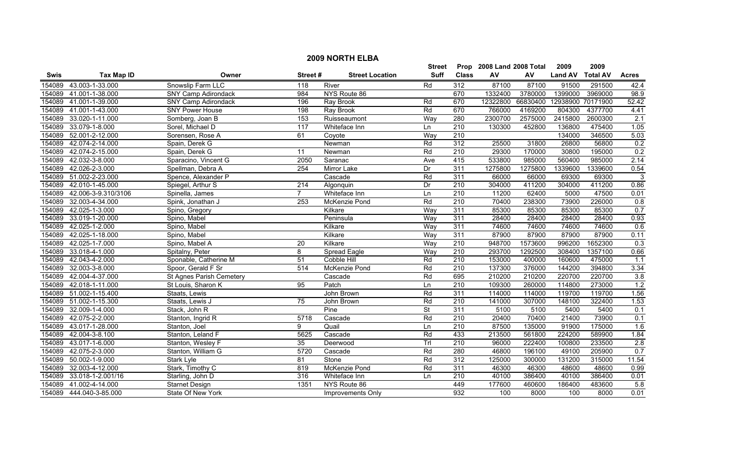|        | <b>2009 NORTH ELBA</b>  |                            |                  |                        |               |                  |                           |          |                   |                 |              |  |
|--------|-------------------------|----------------------------|------------------|------------------------|---------------|------------------|---------------------------|----------|-------------------|-----------------|--------------|--|
|        |                         |                            |                  |                        | <b>Street</b> |                  | Prop 2008 Land 2008 Total |          | 2009              | 2009            |              |  |
| Swis   | <b>Tax Map ID</b>       | Owner                      | Street#          | <b>Street Location</b> | <b>Suff</b>   | <b>Class</b>     | AV                        | AV       | <b>Land AV</b>    | <b>Total AV</b> | <b>Acres</b> |  |
| 154089 | 43.003-1-33.000         | Snowslip Farm LLC          | 118              | River                  | Rd            | 312              | 87100                     | 87100    | 91500             | 291500          | 42.4         |  |
| 154089 | 41.001-1-38.000         | <b>SNY Camp Adirondack</b> | 984              | NYS Route 86           |               | 670              | 1332400                   | 3780000  | 1399000           | 3969000         | 98.9         |  |
| 154089 | 41.001-1-39.000         | SNY Camp Adirondack        | 196              | Ray Brook              | Rd            | 670              | 12322800                  | 66830400 | 12938900 70171900 |                 | 52.42        |  |
| 154089 | 41.001-1-43.000         | <b>SNY Power House</b>     | 198              | <b>Ray Brook</b>       | Rd            | 670              | 766000                    | 4169200  | 804300            | 4377700         | 4.41         |  |
| 154089 | 33.020-1-11.000         | Somberg, Joan B            | 153              | Ruisseaumont           | Way           | 280              | 2300700                   | 2575000  | 2415800           | 2600300         | 2.1          |  |
| 154089 | 33.079-1-8.000          | Sorel, Michael D           | 117              | Whiteface Inn          | Ln            | 210              | 130300                    | 452800   | 136800            | 475400          | 1.05         |  |
| 154089 | 52.001-2-12.000         | Sorensen, Rose A           | 61               | Coyote                 | Way           | 210              |                           |          | 134000            | 346500          | 5.03         |  |
| 154089 | 42.074-2-14.000         | Spain, Derek G             |                  | Newman                 | Rd            | 312              | 25500                     | 31800    | 26800             | 56800           | 0.2          |  |
| 154089 | 42.074-2-15.000         | Spain, Derek G             | 11               | Newman                 | Rd            | 210              | 29300                     | 170000   | 30800             | 195000          | 0.2          |  |
| 154089 | 42.032-3-8.000          | Sparacino, Vincent G       | 2050             | Saranac                | Ave           | 415              | 533800                    | 985000   | 560400            | 985000          | 2.14         |  |
| 154089 | 42.026-2-3.000          | Spellman, Debra A          | 254              | Mirror Lake            | Dr            | 311              | 1275800                   | 1275800  | 1339600           | 1339600         | 0.54         |  |
| 154089 | 51.002-2-23.000         | Spence, Alexander P        |                  | Cascade                | Rd            | 311              | 66000                     | 66000    | 69300             | 69300           | 3            |  |
| 154089 | 42.010-1-45.000         | Spiegel, Arthur S          | $\overline{214}$ | Algonquin              | Dr            | $\overline{210}$ | 304000                    | 411200   | 304000            | 411200          | 0.86         |  |
| 154089 | 42.006-3-9.310/3106     | Spinella, James            | $\overline{7}$   | Whiteface Inn          | Ln            | $\overline{210}$ | 11200                     | 62400    | 5000              | 47500           | 0.01         |  |
| 154089 | 32.003-4-34.000         | Spink, Jonathan J          | 253              | McKenzie Pond          | Rd            | 210              | 70400                     | 238300   | 73900             | 226000          | 0.8          |  |
| 154089 | 42.025-1-3.000          | Spino, Gregory             |                  | Kilkare                | Way           | 311              | 85300                     | 85300    | 85300             | 85300           | 0.7          |  |
| 154089 | 33.019-1-20.000         | Spino, Mabel               |                  | Peninsula              | Way           | 311              | 28400                     | 28400    | 28400             | 28400           | 0.93         |  |
| 154089 | 42.025-1-2.000          | Spino, Mabel               |                  | Kilkare                | Way           | 311              | 74600                     | 74600    | 74600             | 74600           | 0.6          |  |
| 154089 | 42.025-1-18.000         | Spino, Mabel               |                  | Kilkare                | Way           | 311              | 87900                     | 87900    | 87900             | 87900           | 0.11         |  |
| 154089 | 42.025-1-7.000          | Spino, Mabel A             | 20               | Kilkare                | Way           | 210              | 948700                    | 1573600  | 996200            | 1652300         | 0.3          |  |
| 154089 | 33.018-4-1.000          | Spitalny, Peter            | 8                | Spread Eagle           | Way           | $\overline{210}$ | 293700                    | 1292500  | 308400            | 1357100         | 0.66         |  |
| 154089 | 42.043-4-2.000          | Sponable, Catherine M      | 51               | Cobble Hill            | Rd            | 210              | 153000                    | 400000   | 160600            | 475000          | 1.1          |  |
| 154089 | 32.003-3-8.000          | Spoor, Gerald F Sr         | 514              | McKenzie Pond          | Rd            | $\overline{210}$ | 137300                    | 376000   | 144200            | 394800          | 3.34         |  |
| 154089 | 42.004-4-37.000         | St Agnes Parish Cemetery   |                  | Cascade                | Rd            | 695              | 210200                    | 210200   | 220700            | 220700          | 3.8          |  |
| 154089 | 42.018-1-11.000         | St Louis, Sharon K         | 95               | Patch                  | Ln            | 210              | 109300                    | 260000   | 114800            | 273000          | 1.2          |  |
| 154089 | 51.002-1-15.400         | Staats, Lewis              |                  | John Brown             | Rd            | 311              | 114000                    | 114000   | 119700            | 119700          | 1.56         |  |
|        | 154089 51.002-1-15.300  | Staats, Lewis J            | $\overline{75}$  | John Brown             | Rd            | $\overline{210}$ | 141000                    | 307000   | 148100            | 322400          | 1.53         |  |
| 154089 | 32.009-1-4.000          | Stack, John R              |                  | Pine                   | St            | 311              | 5100                      | 5100     | 5400              | 5400            | 0.1          |  |
| 154089 | 42.075-2-2.000          | Stanton, Ingrid R          | 5718             | Cascade                | Rd            | 210              | 20400                     | 70400    | 21400             | 73900           | 0.1          |  |
| 154089 | 43.017-1-28.000         | Stanton, Joel              | 9                | Quail                  | Ln            | 210              | 87500                     | 135000   | 91900             | 175000          | 1.6          |  |
| 154089 | 42.004-3-8.100          | Stanton, Leland F          | 5625             | Cascade                | Rd            | 433              | 213500                    | 561800   | 224200            | 589900          | 1.84         |  |
| 154089 | 43.017-1-6.000          | Stanton, Wesley F          | 35               | Deerwood               | Trl           | 210              | 96000                     | 222400   | 100800            | 233500          | 2.8          |  |
| 154089 | 42.075-2-3.000          | Stanton, William G         | 5720             | Cascade                | Rd            | 280              | 46800                     | 196100   | 49100             | 205900          | 0.7          |  |
| 154089 | 50.002-1-9.000          | Stark Lyle                 | $\overline{81}$  | Stone                  | Rd            | 312              | 125000                    | 300000   | 131200            | 315000          | 11.54        |  |
| 154089 | 32.003-4-12.000         | Stark, Timothy C           | 819              | McKenzie Pond          | Rd            | 311              | 46300                     | 46300    | 48600             | 48600           | 0.99         |  |
| 154089 | 33.018-1-2.001/16       | Starling, John D           | 316              | Whiteface Inn          | Ln            | 210              | 40100                     | 386400   | 40100             | 386400          | 0.01         |  |
| 154089 | 41.002-4-14.000         | <b>Starnet Design</b>      | 1351             | NYS Route 86           |               | 449              | 177600                    | 460600   | 186400            | 483600          | 5.8          |  |
|        | 154089 444.040-3-85.000 | State Of New York          |                  | Improvements Only      |               | 932              | 100                       | 8000     | 100               | 8000            | 0.01         |  |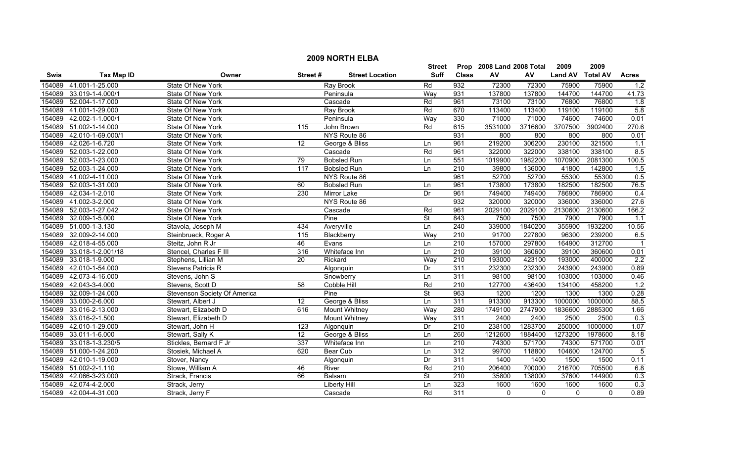|        | <b>2009 NORTH ELBA</b> |                              |                 |                        |                          |                  |                           |         |                |                 |              |  |
|--------|------------------------|------------------------------|-----------------|------------------------|--------------------------|------------------|---------------------------|---------|----------------|-----------------|--------------|--|
|        |                        |                              |                 |                        | <b>Street</b>            |                  | Prop 2008 Land 2008 Total |         | 2009           | 2009            |              |  |
| Swis   | <b>Tax Map ID</b>      | Owner                        | Street#         | <b>Street Location</b> | Suff                     | <b>Class</b>     | ${\sf AV}$                | AV      | <b>Land AV</b> | <b>Total AV</b> | <b>Acres</b> |  |
| 154089 | 41.001-1-25.000        | State Of New York            |                 | <b>Ray Brook</b>       | Rd                       | 932              | 72300                     | 72300   | 75900          | 75900           | 1.2          |  |
| 154089 | 33.019-1-4.000/1       | State Of New York            |                 | Peninsula              | Way                      | 931              | 137800                    | 137800  | 144700         | 144700          | 41.73        |  |
| 154089 | 52.004-1-17.000        | State Of New York            |                 | Cascade                | Rd                       | 961              | 73100                     | 73100   | 76800          | 76800           | 1.8          |  |
|        | 154089 41.001-1-29.000 | State Of New York            |                 | <b>Ray Brook</b>       | Rd                       | 670              | 113400                    | 113400  | 119100         | 119100          | 5.8          |  |
| 154089 | 42.002-1-1.000/1       | State Of New York            |                 | Peninsula              | Way                      | 330              | 71000                     | 71000   | 74600          | 74600           | 0.01         |  |
| 154089 | 51.002-1-14.000        | <b>State Of New York</b>     | 115             | John Brown             | Rd                       | 615              | 3531000                   | 3716600 | 3707500        | 3902400         | 270.6        |  |
| 154089 | 42.010-1-69.000/1      | State Of New York            |                 | NYS Route 86           |                          | 931              | 800                       | 800     | 800            | 800             | 0.01         |  |
| 154089 | 42.026-1-6.720         | State Of New York            | 12              | George & Bliss         | Ln                       | 961              | 219200                    | 306200  | 230100         | 321500          | 1.1          |  |
| 154089 | 52.003-1-22.000        | State Of New York            |                 | Cascade                | Rd                       | 961              | 322000                    | 322000  | 338100         | 338100          | 8.5          |  |
| 154089 | 52.003-1-23.000        | State Of New York            | 79              | <b>Bobsled Run</b>     | Ln                       | 551              | 1019900                   | 1982200 | 1070900        | 2081300         | 100.5        |  |
| 154089 | 52.003-1-24.000        | State Of New York            | 117             | <b>Bobsled Run</b>     | Ln                       | $\overline{210}$ | 39800                     | 136000  | 41800          | 142800          | 1.5          |  |
| 154089 | 41.002-4-11.000        | State Of New York            |                 | NYS Route 86           |                          | 961              | 52700                     | 52700   | 55300          | 55300           | 0.5          |  |
| 154089 | 52.003-1-31.000        | State Of New York            | 60              | <b>Bobsled Run</b>     | Ln                       | 961              | 173800                    | 173800  | 182500         | 182500          | 76.5         |  |
| 154089 | 42.034-1-2.010         | State Of New York            | 230             | <b>Mirror Lake</b>     | Dr                       | 961              | 749400                    | 749400  | 786900         | 786900          | 0.4          |  |
|        | 154089 41.002-3-2.000  | State Of New York            |                 | NYS Route 86           |                          | 932              | 320000                    | 320000  | 336000         | 336000          | 27.6         |  |
|        | 154089 52.003-1-27.042 | State Of New York            |                 | Cascade                | Rd                       | 961              | 2029100                   | 2029100 | 2130600        | 2130600         | 166.2        |  |
| 154089 | 32.009-1-5.000         | State Of New York            |                 | Pine                   | <b>St</b>                | 843              | 7500                      | 7500    | 7900           | 7900            | 1.1          |  |
| 154089 | 51.000-1-3.130         | Stavola, Joseph M            | 434             | Averyville             | Ln                       | 240              | 339000                    | 1840200 | 355900         | 1932200         | 10.56        |  |
| 154089 | 32.009-2-14.000        | Steinbrueck, Roger A         | 115             | Blackberry             | Way                      | 210              | 91700                     | 227800  | 96300          | 239200          | 6.5          |  |
|        | 154089 42.018-4-55.000 | Steitz, John R Jr            | 46              | Evans                  | Ln                       | 210              | 157000                    | 297800  | 164900         | 312700          |              |  |
| 154089 | 33.018-1-2.001/18      | Stencel, Charles F III       | 316             | Whiteface Inn          | Ln                       | 210              | 39100                     | 360600  | 39100          | 360600          | 0.01         |  |
| 154089 | 33.018-1-9.000         | Stephens, Lillian M          | $\overline{20}$ | Rickard                | Way                      | $\overline{210}$ | 193000                    | 423100  | 193000         | 400000          | 2.2          |  |
| 154089 | 42.010-1-54.000        | Stevens Patricia R           |                 | Algonquin              | Dr                       | 311              | 232300                    | 232300  | 243900         | 243900          | 0.89         |  |
| 154089 | 42.073-4-16.000        | Stevens, John S              |                 | Snowberry              | Ln                       | 311              | 98100                     | 98100   | 103000         | 103000          | 0.46         |  |
| 154089 | 42.043-3-4.000         | Stevens, Scott D             | 58              | Cobble Hill            | Rd                       | 210              | 127700                    | 436400  | 134100         | 458200          | 1.2          |  |
| 154089 | 32.009-1-24.000        | Stevenson Society Of America |                 | Pine                   | $\overline{\mathsf{St}}$ | 963              | 1200                      | 1200    | 1300           | 1300            | 0.28         |  |
|        | 154089 33.000-2-6.000  | Stewart, Albert J            | $\overline{12}$ | George & Bliss         | Ln                       | 311              | 913300                    | 913300  | 1000000        | 1000000         | 88.5         |  |
| 154089 | 33.016-2-13.000        | Stewart, Elizabeth D         | 616             | <b>Mount Whitney</b>   | Way                      | 280              | 1749100                   | 2747900 | 1836600        | 2885300         | 1.66         |  |
| 154089 | 33.016-2-1.500         | Stewart, Elizabeth D         |                 | <b>Mount Whitney</b>   | Way                      | 311              | 2400                      | 2400    | 2500           | 2500            | 0.3          |  |
| 154089 | 42.010-1-29.000        | Stewart, John H              | 123             | Algonquin              | Dr                       | 210              | 238100                    | 1283700 | 250000         | 1000000         | 1.07         |  |
| 154089 | 33.011-1-6.000         | Stewart, Sally K             | 12              | George & Bliss         | Ln                       | 260              | 1212600                   | 1884400 | 1273200        | 1978600         | 8.18         |  |
| 154089 | 33.018-1-3.230/5       | Stickles, Bernard F Jr       | 337             | Whiteface Inn          | Ln                       | 210              | 74300                     | 571700  | 74300          | 571700          | 0.01         |  |
|        | 154089 51.000-1-24.200 | Stosiek, Michael A           | 620             | Bear Cub               | Ln                       | 312              | 99700                     | 118800  | 104600         | 124700          | - 5          |  |
| 154089 | 42.010-1-19.000        | Stover, Nancy                |                 | Algonquin              | Dr                       | 311              | 1400                      | 1400    | 1500           | 1500            | 0.11         |  |
| 154089 | 51.002-2-1.110         | Stowe, William A             | 46              | River                  | Rd                       | $\overline{210}$ | 206400                    | 700000  | 216700         | 705500          | 6.8          |  |
| 154089 | 42.066-3-23.000        | Strack, Francis              | 66              | Balsam                 | <b>St</b>                | 210              | 35800                     | 138000  | 37600          | 144900          | 0.3          |  |
| 154089 | 42.074-4-2.000         | Strack, Jerry                |                 | Liberty Hill           | Ln                       | 323              | 1600                      | 1600    | 1600           | 1600            | 0.3          |  |
|        | 154089 42.004-4-31.000 | Strack, Jerry F              |                 | Cascade                | Rd                       | 311              | $\mathbf{0}$              | 0       | $\mathbf 0$    | $\mathbf{0}$    | 0.89         |  |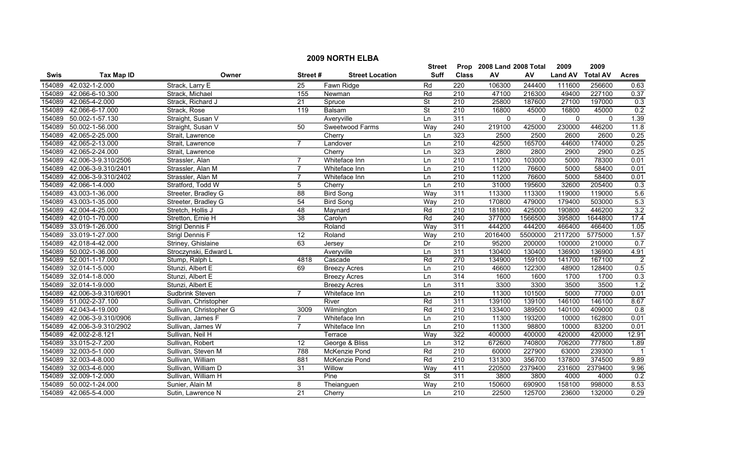|             | <b>2009 NORTH ELBA</b> |                         |                 |                        |                          |                  |                           |              |                |                 |                |  |
|-------------|------------------------|-------------------------|-----------------|------------------------|--------------------------|------------------|---------------------------|--------------|----------------|-----------------|----------------|--|
|             |                        |                         |                 |                        | <b>Street</b>            |                  | Prop 2008 Land 2008 Total |              | 2009           | 2009            |                |  |
| <b>Swis</b> | <b>Tax Map ID</b>      | Owner                   | Street#         | <b>Street Location</b> | Suff                     | <b>Class</b>     | ${\sf AV}$                | AV           | <b>Land AV</b> | <b>Total AV</b> | <b>Acres</b>   |  |
| 154089      | 42.032-1-2.000         | Strack, Larry E         | 25              | Fawn Ridge             | Rd                       | 220              | 106300                    | 244400       | 111600         | 256600          | 0.63           |  |
| 154089      | 42.066-6-10.300        | Strack, Michael         | 155             | Newman                 | Rd                       | 210              | 47100                     | 216300       | 49400          | 227100          | 0.37           |  |
| 154089      | 42.065-4-2.000         | Strack, Richard J       | $\overline{21}$ | Spruce                 | $\overline{\mathsf{St}}$ | 210              | 25800                     | 187600       | 27100          | 197000          | 0.3            |  |
| 154089      | 42.066-6-17.000        | Strack, Rose            | 119             | Balsam                 | <b>St</b>                | 210              | 16800                     | 45000        | 16800          | 45000           | 0.2            |  |
| 154089      | 50.002-1-57.130        | Straight, Susan V       |                 | Averyville             | Ln                       | 311              | $\mathbf{0}$              | $\mathbf{0}$ | $\mathbf{0}$   | $\mathbf{0}$    | 1.39           |  |
| 154089      | 50.002-1-56.000        | Straight, Susan V       | 50              | Sweetwood Farms        | Way                      | 240              | 219100                    | 425000       | 230000         | 446200          | 11.8           |  |
| 154089      | 42.065-2-25.000        | Strait, Lawrence        |                 | Cherry                 | Ln                       | 323              | 2500                      | 2500         | 2600           | 2600            | 0.25           |  |
| 154089      | 42.065-2-13.000        | Strait, Lawrence        |                 | Landover               | Ln                       | 210              | 42500                     | 165700       | 44600          | 174000          | 0.25           |  |
| 154089      | 42.065-2-24.000        | Strait, Lawrence        |                 | Cherry                 | Ln                       | 323              | 2800                      | 2800         | 2900           | 2900            | 0.25           |  |
| 154089      | 42.006-3-9.310/2506    | Strassler, Alan         | $\overline{7}$  | Whiteface Inn          | Ln                       | $\overline{210}$ | 11200                     | 103000       | 5000           | 78300           | 0.01           |  |
| 154089      | 42.006-3-9.310/2401    | Strassler, Alan M       | $\overline{7}$  | Whiteface Inn          | Ln                       | $\overline{210}$ | 11200                     | 76600        | 5000           | 58400           | 0.01           |  |
| 154089      | 42.006-3-9.310/2402    | Strassler, Alan M       | $\overline{7}$  | Whiteface Inn          | Ln                       | 210              | 11200                     | 76600        | 5000           | 58400           | 0.01           |  |
| 154089      | 42.066-1-4.000         | Stratford, Todd W       | 5               | Cherry                 | Ln                       | 210              | 31000                     | 195600       | 32600          | 205400          | 0.3            |  |
| 154089      | 43.003-1-36.000        | Streeter, Bradley G     | $\overline{88}$ | <b>Bird Song</b>       | Way                      | 311              | 113300                    | 113300       | 119000         | 119000          | 5.6            |  |
| 154089      | 43.003-1-35.000        | Streeter, Bradley G     | 54              | <b>Bird Song</b>       | Way                      | $\overline{210}$ | 170800                    | 479000       | 179400         | 503000          | 5.3            |  |
| 154089      | 42.004-4-25.000        | Stretch, Hollis J       | 48              | Maynard                | Rd                       | $\overline{210}$ | 181800                    | 425000       | 190800         | 446200          | 3.2            |  |
| 154089      | 42.010-1-70.000        | Stretton, Ernie H       | 38              | Carolyn                | Rd                       | 240              | 377000                    | 1566500      | 395800         | 1644800         | 17.4           |  |
| 154089      | 33.019-1-26.000        | <b>Strigl Dennis F</b>  |                 | Roland                 | Way                      | 311              | 444200                    | 444200       | 466400         | 466400          | 1.05           |  |
| 154089      | 33.019-1-27.000        | Strigl Dennis F         | 12              | Roland                 | Way                      | 210              | 2016400                   | 5500000      | 2117200        | 5775000         | 1.57           |  |
| 154089      | 42.018-4-42.000        | Striney, Ghislaine      | 63              | Jersey                 | Dr                       | 210              | 95200                     | 200000       | 100000         | 210000          | 0.7            |  |
| 154089      | 50.002-1-36.000        | Stroczynski, Edward L   |                 | Averyville             | Ln                       | 311              | 130400                    | 130400       | 136900         | 136900          | 4.91           |  |
| 154089      | 52.001-1-17.000        | Stump, Ralph L          | 4818            | Cascade                | Rd                       | 270              | 134900                    | 159100       | 141700         | 167100          | $\overline{2}$ |  |
| 154089      | 32.014-1-5.000         | Stunzi, Albert E        | 69              | <b>Breezy Acres</b>    | Ln                       | $\overline{210}$ | 46600                     | 122300       | 48900          | 128400          | 0.5            |  |
| 154089      | 32.014-1-8.000         | Stunzi, Albert E        |                 | <b>Breezy Acres</b>    | Ln                       | 314              | 1600                      | 1600         | 1700           | 1700            | 0.3            |  |
| 154089      | 32.014-1-9.000         | Stunzi, Albert E        |                 | <b>Breezy Acres</b>    | Ln                       | 311              | 3300                      | 3300         | 3500           | 3500            | 1.2            |  |
| 154089      | 42.006-3-9.310/6901    | Sudbrink Steven         | $\overline{7}$  | Whiteface Inn          | Ln                       | $\overline{210}$ | 11300                     | 101500       | 5000           | 77000           | 0.01           |  |
|             | 154089 51.002-2-37.100 | Sullivan, Christopher   |                 | River                  | Rd                       | 311              | 139100                    | 139100       | 146100         | 146100          | 8.67           |  |
| 154089      | 42.043-4-19.000        | Sullivan, Christopher G | 3009            | Wilmington             | Rd                       | $\overline{210}$ | 133400                    | 389500       | 140100         | 409000          | 0.8            |  |
| 154089      | 42.006-3-9.310/0906    | Sullivan, James F       | $\overline{7}$  | Whiteface Inn          | Ln                       | 210              | 11300                     | 193200       | 10000          | 162800          | 0.01           |  |
| 154089      | 42.006-3-9.310/2902    | Sullivan, James W       | $\overline{7}$  | Whiteface Inn          | Ln                       | 210              | 11300                     | 98800        | 10000          | 83200           | 0.01           |  |
| 154089      | 42.002-2-8.121         | Sullivan, Neil H        |                 | Terrace                | Way                      | 322              | 400000                    | 400000       | 420000         | 420000          | 12.91          |  |
| 154089      | 33.015-2-7.200         | Sullivan, Robert        | 12              | George & Bliss         | Ln                       | 312              | 672600                    | 740800       | 706200         | 777800          | 1.89           |  |
| 154089      | 32.003-5-1.000         | Sullivan, Steven M      | 788             | McKenzie Pond          | Rd                       | 210              | 60000                     | 227900       | 63000          | 239300          |                |  |
| 154089      | 32.003-4-8.000         | Sullivan, William       | 881             | McKenzie Pond          | Rd                       | 210              | 131300                    | 356700       | 137800         | 374500          | 9.89           |  |
| 154089      | 32.003-4-6.000         | Sullivan, William D     | 31              | Willow                 | Way                      | 411              | 220500                    | 2379400      | 231600         | 2379400         | 9.96           |  |
| 154089      | 32.009-1-2.000         | Sullivan, William H     |                 | Pine                   | <b>St</b>                | 311              | 3800                      | 3800         | 4000           | 4000            | 0.2            |  |
| 154089      | 50.002-1-24.000        | Sunier, Alain M         | 8               | Theianguen             | Way                      | 210              | 150600                    | 690900       | 158100         | 998000          | 8.53           |  |
|             | 154089 42.065-5-4.000  | Sutin. Lawrence N       | 21              | Cherry                 | Ln                       | $\overline{210}$ | 22500                     | 125700       | 23600          | 132000          | 0.29           |  |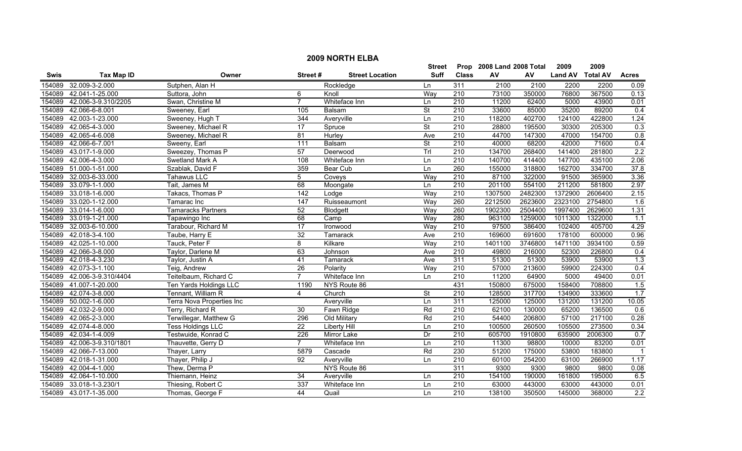|        | <b>2009 NORTH ELBA</b> |                           |                 |                        |                          |                  |                           |         |                |                 |                  |  |
|--------|------------------------|---------------------------|-----------------|------------------------|--------------------------|------------------|---------------------------|---------|----------------|-----------------|------------------|--|
|        |                        |                           |                 |                        | <b>Street</b>            |                  | Prop 2008 Land 2008 Total |         | 2009           | 2009            |                  |  |
| Swis   | <b>Tax Map ID</b>      | Owner                     | Street#         | <b>Street Location</b> | <b>Suff</b>              | <b>Class</b>     | AV                        | AV      | <b>Land AV</b> | <b>Total AV</b> | <b>Acres</b>     |  |
| 154089 | 32.009-3-2.000         | Sutphen, Alan H           |                 | Rockledge              | Ln                       | 311              | 2100                      | 2100    | 2200           | 2200            | 0.09             |  |
| 154089 | 42.041-1-25.000        | Suttora, John             | 6               | Knoll                  | Way                      | 210              | 73100                     | 350000  | 76800          | 367500          | 0.13             |  |
| 154089 | 42.006-3-9.310/2205    | Swan, Christine M         | $\overline{7}$  | Whiteface Inn          | Ln                       | 210              | 11200                     | 62400   | 5000           | 43900           | 0.01             |  |
| 154089 | 42.066-6-8.001         | Sweeney, Earl             | 105             | Balsam                 | $\overline{\mathsf{St}}$ | 210              | 33600                     | 85000   | 35200          | 89200           | 0.4              |  |
| 154089 | 42.003-1-23.000        | Sweeney, Hugh T           | 344             | Averyville             | Ln                       | 210              | 118200                    | 402700  | 124100         | 422800          | 1.24             |  |
| 154089 | 42.065-4-3.000         | Sweeney, Michael R        | $\overline{17}$ | Spruce                 | $\overline{\mathsf{St}}$ | 210              | 28800                     | 195500  | 30300          | 205300          | 0.3              |  |
| 154089 | 42.065-4-6.008         | Sweeney, Michael R        | 81              | Hurley                 | Ave                      | 210              | 44700                     | 147300  | 47000          | 154700          | 0.8              |  |
| 154089 | 42.066-6-7.001         | Sweeny, Earl              | 111             | Balsam                 | <b>St</b>                | 210              | 40000                     | 68200   | 42000          | 71600           | 0.4              |  |
| 154089 | 43.017-1-9.000         | Sweezey, Thomas P         | 57              | Deerwood               | Trl                      | $\overline{210}$ | 134700                    | 268400  | 141400         | 281800          | 2.2              |  |
| 154089 | 42.006-4-3.000         | Swetland Mark A           | 108             | Whiteface Inn          | Ln                       | 210              | 140700                    | 414400  | 147700         | 435100          | 2.06             |  |
| 154089 | 51.000-1-51.000        | Szablak, David F          | 359             | <b>Bear Cub</b>        | Ln                       | 260              | 155000                    | 318800  | 162700         | 334700          | 37.8             |  |
| 154089 | 32.003-6-33.000        | Tahawus LLC               | 5               | Coveys                 | Way                      | $\overline{210}$ | 87100                     | 322000  | 91500          | 365900          | 3.36             |  |
| 154089 | 33.079-1-1.000         | Tait, James M             | 68              | Moongate               | Ln                       | $\overline{210}$ | 201100                    | 554100  | 211200         | 581800          | 2.97             |  |
| 154089 | 33.018-1-6.000         | Takacs, Thomas P          | 142             | Lodge                  | Way                      | 210              | 1307500                   | 2482300 | 1372900        | 2606400         | 2.15             |  |
| 154089 | 33.020-1-12.000        | Tamarac Inc               | 147             | Ruisseaumont           | Way                      | 260              | 2212500                   | 2623600 | 2323100        | 2754800         | 1.6              |  |
| 154089 | 33.014-1-6.000         | <b>Tamaracks Partners</b> | 52              | Blodgett               | Way                      | 260              | 1902300                   | 2504400 | 1997400        | 2629600         | 1.31             |  |
| 154089 | 33.019-1-21.000        | Tapawingo Inc             | 68              | Camp                   | Way                      | 280              | 963100                    | 1259000 | 1011300        | 1322000         | 1.1              |  |
| 154089 | 32.003-6-10.000        | Tarabour, Richard M       | 17              | Ironwood               | Way                      | 210              | 97500                     | 386400  | 102400         | 405700          | 4.29             |  |
| 154089 | 42.018-3-4.100         | Taube, Harry E            | $\overline{32}$ | <b>Tamarack</b>        | Ave                      | 210              | 169600                    | 691600  | 178100         | 600000          | 0.96             |  |
| 154089 | 42.025-1-10.000        | Tauck, Peter F            | $\overline{8}$  | Kilkare                | Way                      | 210              | 1401100                   | 3746800 | 1471100        | 3934100         | 0.59             |  |
| 154089 | 42.066-3-8.000         | Taylor, Darlene M         | 63              | Johnson                | Ave                      | $\overline{210}$ | 49800                     | 216000  | 52300          | 226800          | 0.4              |  |
| 154089 | 42.018-4-3.230         | Taylor, Justin A          | 41              | Tamarack               | Ave                      | 311              | 51300                     | 51300   | 53900          | 53900           | 1.3              |  |
| 154089 | 42.073-3-1.100         | Teig, Andrew              | $\overline{26}$ | Polarity               | Way                      | $\overline{210}$ | 57000                     | 213600  | 59900          | 224300          | 0.4              |  |
| 154089 | 42.006-3-9.310/4404    | Teitelbaum, Richard C     | $\overline{7}$  | Whiteface Inn          | <b>Ln</b>                | $\overline{210}$ | 11200                     | 64900   | 5000           | 49400           | 0.01             |  |
| 154089 | 41.007-1-20.000        | Ten Yards Holdings LLC    | 1190            | NYS Route 86           |                          | 431              | 150800                    | 675000  | 158400         | 708800          | 1.5              |  |
| 154089 | 42.074-3-8.000         | Tennant, William R        | 4               | Church                 | <b>St</b>                | $\overline{210}$ | 128500                    | 317700  | 134900         | 333600          | 1.7              |  |
| 154089 | 50.002-1-6.000         | Terra Nova Properties Inc |                 | Averyville             | Ln                       | 311              | 125000                    | 125000  | 131200         | 131200          | 10.05            |  |
| 154089 | 42.032-2-9.000         | Terry, Richard R          | 30              | Fawn Ridge             | Rd                       | $\overline{210}$ | 62100                     | 130000  | 65200          | 136500          | 0.6              |  |
| 154089 | 42.065-2-3.000         | Terwillegar, Matthew G    | 296             | Old Military           | Rd                       | 210              | 54400                     | 206800  | 57100          | 217100          | 0.28             |  |
| 154089 | 42.074-4-8.000         | Tess Holdings LLC         | $\overline{22}$ | Liberty Hill           | Ln                       | 210              | 100500                    | 260500  | 105500         | 273500          | 0.34             |  |
| 154089 | 42.034-1-4.009         | Testwuide, Konrad C       | 226             | <b>Mirror Lake</b>     | Dr                       | 210              | 605700                    | 1910800 | 635900         | 2006300         | 0.7              |  |
| 154089 | 42.006-3-9.310/1801    | Thauvette, Gerry D        | $\overline{7}$  | Whiteface Inn          | Ln                       | 210              | 11300                     | 98800   | 10000          | 83200           | 0.01             |  |
| 154089 | 42.066-7-13.000        | Thayer, Larry             | 5879            | Cascade                | Rd                       | 230              | 51200                     | 175000  | 53800          | 183800          | $\overline{1}$   |  |
| 154089 | 42.018-1-31.000        | Thayer, Philip J          | 92              | Averyville             | Ln                       | $\overline{210}$ | 60100                     | 254200  | 63100          | 266900          | 1.17             |  |
| 154089 | 42.004-4-1.000         | Thew, Derma P             |                 | NYS Route 86           |                          | 311              | 9300                      | 9300    | 9800           | 9800            | 0.08             |  |
| 154089 | 42.064-1-10.000        | Thiemann, Heinz           | 34              | Averyville             | Ln                       | 210              | 154100                    | 190000  | 161800         | 195000          | 6.5              |  |
| 154089 | 33.018-1-3.230/1       | Thiesing, Robert C        | 337             | Whiteface Inn          | Ln                       | 210              | 63000                     | 443000  | 63000          | 443000          | 0.01             |  |
|        | 154089 43.017-1-35.000 | Thomas, George F          | 44              | Quail                  | Ln                       | $\overline{210}$ | 138100                    | 350500  | 145000         | 368000          | $\overline{2.2}$ |  |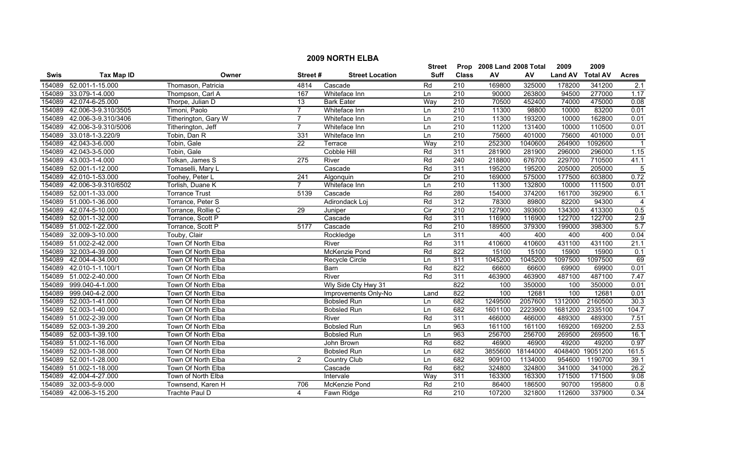|             |                        |                       |                  |                        | <b>Street</b>     |                  | Prop 2008 Land 2008 Total |          | 2009           | 2009             |                |
|-------------|------------------------|-----------------------|------------------|------------------------|-------------------|------------------|---------------------------|----------|----------------|------------------|----------------|
| <b>Swis</b> | <b>Tax Map ID</b>      | Owner                 | Street#          | <b>Street Location</b> | <b>Suff</b>       | <b>Class</b>     | AV                        | AV       | <b>Land AV</b> | <b>Total AV</b>  | <b>Acres</b>   |
| 154089      | 52.001-1-15.000        | Thomason, Patricia    | 4814             | Cascade                | Rd                | 210              | 169800                    | 325000   | 178200         | 341200           | 2.1            |
| 154089      | 33.079-1-4.000         | Thompson, Carl A      | 167              | Whiteface Inn          | Ln                | $\overline{210}$ | 90000                     | 263800   | 94500          | 277000           | 1.17           |
| 154089      | 42.074-6-25.000        | Thorpe, Julian D      | $\overline{13}$  | <b>Bark Eater</b>      | Way               | $\overline{210}$ | 70500                     | 452400   | 74000          | 475000           | 0.08           |
| 154089      | 42.006-3-9.310/3505    | Timoni, Paolo         | $\overline{7}$   | Whiteface Inn          | Ln                | 210              | 11300                     | 98800    | 10000          | 83200            | 0.01           |
| 154089      | 42.006-3-9.310/3406    | Titherington, Gary W  | $\overline{7}$   | Whiteface Inn          | Ln                | 210              | 11300                     | 193200   | 10000          | 162800           | 0.01           |
| 154089      | 42.006-3-9.310/5006    | Titherington, Jeff    | $\overline{7}$   | Whiteface Inn          | Ln                | 210              | 11200                     | 131400   | 10000          | 110500           | 0.01           |
| 154089      | 33.018-1-3.220/9       | Tobin, Dan R          | 331              | Whiteface Inn          | Ln                | 210              | 75600                     | 401000   | 75600          | 401000           | 0.01           |
| 154089      | 42.043-3-6.000         | Tobin, Gale           | $\overline{22}$  | Terrace                | Way               | 210              | 252300                    | 1040600  | 264900         | 1092600          |                |
| 154089      | 42.043-3-5.000         | Tobin, Gale           |                  | Cobble Hill            | Rd                | 311              | 281900                    | 281900   | 296000         | 296000           | 1.15           |
| 154089      | 43.003-1-4.000         | Tolkan, James S       | $\overline{275}$ | River                  | Rd                | $\overline{240}$ | 218800                    | 676700   | 229700         | 710500           | 41.1           |
| 154089      | 52.001-1-12.000        | Tomaselli, Mary L     |                  | Cascade                | Rd                | 311              | 195200                    | 195200   | 205000         | 205000           | -5             |
| 154089      | 42.010-1-53.000        | Toohey, Peter L       | 241              | Algonquin              | Dr                | $\overline{210}$ | 169000                    | 575000   | 177500         | 603800           | 0.72           |
| 154089      | 42.006-3-9.310/6502    | Torlish, Duane K      | $\overline{7}$   | Whiteface Inn          | Ln                | $\overline{210}$ | 11300                     | 132800   | 10000          | 111500           | 0.01           |
| 154089      | 52.001-1-33.000        | <b>Torrance Trust</b> | 5139             | Cascade                | Rd                | 280              | 154000                    | 374200   | 161700         | 392900           | 6.1            |
| 154089      | 51.000-1-36.000        | Torrance, Peter S     |                  | Adirondack Loj         | Rd                | 312              | 78300                     | 89800    | 82200          | 94300            | $\overline{4}$ |
| 154089      | 42.074-5-10.000        | Torrance, Rollie C    | 29               | Juniper                | $\overline{C}$ ir | 210              | 127900                    | 393600   | 134300         | 413300           | 0.5            |
| 154089      | 52.001-1-32.000        | Torrance, Scott P     |                  | Cascade                | Rd                | 311              | 116900                    | 116900   | 122700         | 122700           | 2.9            |
| 154089      | 51.002-1-22.000        | Torrance, Scott P     | 5177             | Cascade                | Rd                | 210              | 189500                    | 379300   | 199000         | 398300           | 5.7            |
| 154089      | 32.009-3-10.000        | Touby, Clair          |                  | Rockledge              | Ln                | 311              | 400                       | 400      | 400            | 400              | 0.04           |
| 154089      | 51.002-2-42.000        | Town Of North Elba    |                  | River                  | Rd                | 311              | 410600                    | 410600   | 431100         | 431100           | 21.1           |
| 154089      | 32.003-4-39.000        | Town Of North Elba    |                  | McKenzie Pond          | Rd                | 822              | 15100                     | 15100    | 15900          | 15900            | 0.1            |
| 154089      | 42.004-4-34.000        | Town Of North Elba    |                  | Recycle Circle         | Ln                | 311              | 1045200                   | 1045200  | 1097500        | 1097500          | 69             |
| 154089      | 42.010-1-1.100/1       | Town Of North Elba    |                  | Barn                   | Rd                | 822              | 66600                     | 66600    | 69900          | 69900            | 0.01           |
| 154089      | 51.002-2-40.000        | Town Of North Elba    |                  | River                  | Rd                | 311              | 463900                    | 463900   | 487100         | 487100           | 7.47           |
| 154089      | 999.040-4-1.000        | Town Of North Elba    |                  | Wly Side Cty Hwy 31    |                   | 822              | 100                       | 350000   | 100            | 350000           | 0.01           |
| 154089      | 999.040-4-2.000        | Town Of North Elba    |                  | Improvements Only-No   | Land              | 822              | 100                       | 12681    | 100            | 12681            | 0.01           |
| 154089      | 52.003-1-41.000        | Town Of North Elba    |                  | Bobsled Run            | Ln                | 682              | 1249500                   | 2057600  | 1312000        | 2160500          | 30.3           |
| 154089      | 52.003-1-40.000        | Town Of North Elba    |                  | <b>Bobsled Run</b>     | Ln                | 682              | 1601100                   | 2223900  | 1681200        | 2335100          | 104.7          |
| 154089      | 51.002-2-39.000        | Town Of North Elba    |                  | River                  | Rd                | 311              | 466000                    | 466000   | 489300         | 489300           | 7.51           |
| 154089      | 52.003-1-39.200        | Town Of North Elba    |                  | <b>Bobsled Run</b>     | Ln                | 963              | 161100                    | 161100   | 169200         | 169200           | 2.53           |
| 154089      | 52.003-1-39.100        | Town Of North Elba    |                  | <b>Bobsled Run</b>     | Ln                | 963              | 256700                    | 256700   | 269500         | 269500           | 16.1           |
| 154089      | 51.002-1-16.000        | Town Of North Elba    |                  | John Brown             | Rd                | 682              | 46900                     | 46900    | 49200          | 49200            | 0.97           |
| 154089      | 52.003-1-38.000        | Town Of North Elba    |                  | <b>Bobsled Run</b>     | Ln                | 682              | 3855600                   | 18144000 |                | 4048400 19051200 | 161.5          |
| 154089      | 52.001-1-28.000        | Town Of North Elba    | $\overline{2}$   | Country Club           | Ln                | 682              | 909100                    | 1134000  | 954600         | 1190700          | 39.1           |
| 154089      | 51.002-1-18.000        | Town Of North Elba    |                  | Cascade                | Rd                | 682              | 324800                    | 324800   | 341000         | 341000           | 26.2           |
| 154089      | 42.004-4-27.000        | Town of North Elba    |                  | Intervale              | Way               | 311              | 163300                    | 163300   | 171500         | 171500           | 9.08           |
| 154089      | 32.003-5-9.000         | Townsend, Karen H     | 706              | McKenzie Pond          | Rd                | $\overline{210}$ | 86400                     | 186500   | 90700          | 195800           | 0.8            |
|             | 154089 42.006-3-15.200 | Trachte Paul D        | $\overline{4}$   | Fawn Ridge             | Rd                | 210              | 107200                    | 321800   | 112600         | 337900           | 0.34           |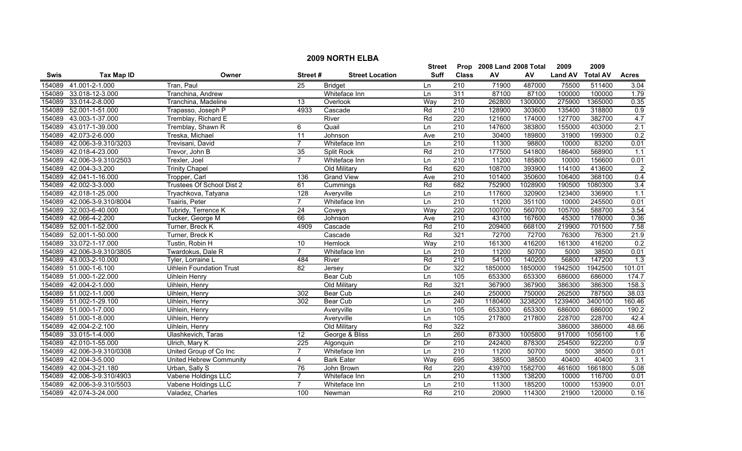|             |                              |                                 |                 |                        | <b>Street</b> |                  | Prop 2008 Land 2008 Total |         | 2009           | 2009            |                  |
|-------------|------------------------------|---------------------------------|-----------------|------------------------|---------------|------------------|---------------------------|---------|----------------|-----------------|------------------|
| <b>Swis</b> | <b>Tax Map ID</b>            | Owner                           | Street#         | <b>Street Location</b> | <b>Suff</b>   | <b>Class</b>     | AV                        | AV      | <b>Land AV</b> | <b>Total AV</b> | <b>Acres</b>     |
| 154089      | 41.001-2-1.000               | Tran, Paul                      | 25              | <b>Bridget</b>         | Ln            | 210              | 71900                     | 487000  | 75500          | 511400          | 3.04             |
| 154089      | 33.018-12-3.000              | Tranchina, Andrew               |                 | Whiteface Inn          | Ln            | 311              | 87100                     | 87100   | 100000         | 100000          | 1.79             |
| 154089      | 33.014-2-8.000               | Tranchina, Madeline             | $\overline{13}$ | Overlook               | Way           | $\overline{210}$ | 262800                    | 1300000 | 275900         | 1365000         | 0.35             |
| 154089      | 52.001-1-51.000              | Trapasso, Joseph P              | 4933            | Cascade                | Rd            | 210              | 128900                    | 303600  | 135400         | 318800          | 0.9              |
| 154089      | 43.003-1-37.000              | Tremblay, Richard E             |                 | River                  | Rd            | 220              | 121600                    | 174000  | 127700         | 382700          | 4.7              |
| 154089      | 43.017-1-39.000              | Tremblay, Shawn R               | 6               | Quail                  | Ln            | 210              | 147600                    | 383800  | 155000         | 403000          | 2.1              |
| 154089      | 42.073-2-6.000               | Treska, Michael                 | 11              | Johnson                | Ave           | 210              | 30400                     | 189800  | 31900          | 199300          | 0.2              |
| 154089      | 42.006-3-9.310/3203          | Trevisani, David                | $\overline{7}$  | Whiteface Inn          | Ln            | 210              | 11300                     | 98800   | 10000          | 83200           | 0.01             |
| 154089      | 42.018-4-23.000              | Trevor, John B                  | 35              | Split Rock             | Rd            | 210              | 177500                    | 541800  | 186400         | 568900          | 1.1              |
| 154089      | 42.006-3-9.310/2503          | Trexler, Joel                   | $\overline{7}$  | Whiteface Inn          | Ln            | $\overline{210}$ | 11200                     | 185800  | 10000          | 156600          | 0.01             |
| 154089      | 42.004-3-3.200               | <b>Trinity Chapel</b>           |                 | Old Military           | Rd            | 620              | 108700                    | 393900  | 114100         | 413600          | $\overline{2}$   |
| 154089      | 42.041-1-16.000              | Tropper, Carl                   | 136             | <b>Grand View</b>      | Ave           | $\overline{210}$ | 101400                    | 350600  | 106400         | 368100          | 0.4              |
| 154089      | 42.002-3-3.000               | Trustees Of School Dist 2       | 61              | Cummings               | Rd            | 682              | 752900                    | 1028900 | 190500         | 1080300         | 3.4              |
| 154089      | 42.018-1-25.000              | Tryachkova, Tatyana             | 128             | Averyville             | Ln            | $\overline{210}$ | 117600                    | 320900  | 123400         | 336900          | $\overline{1.1}$ |
| 154089      | 42.006-3-9.310/8004          | Tsairis, Peter                  | $\overline{7}$  | Whiteface Inn          | Ln            | 210              | 11200                     | 351100  | 10000          | 245500          | 0.01             |
| 154089      | 32.003-6-40.000              | Tubridy, Terrence K             | $\overline{24}$ | Coveys                 | Way           | 220              | 100700                    | 560700  | 105700         | 588700          | 3.54             |
| 154089      | 42.066-4-2.200               | Tucker, George M                | 66              | Johnson                | Ave           | 210              | 43100                     | 167600  | 45300          | 176000          | 0.36             |
| 154089      | 52.001-1-52.000              | Turner, Breck K                 | 4909            | Cascade                | Rd            | 210              | 209400                    | 668100  | 219900         | 701500          | 7.58             |
| 154089      | 52.001-1-50.000              | Turner, Breck K                 |                 | Cascade                | Rd            | 321              | 72700                     | 72700   | 76300          | 76300           | 21.9             |
| 154089      | 33.072-1-17.000              | Tustin, Robin H                 | 10              | Hemlock                | Way           | 210              | 161300                    | 416200  | 161300         | 416200          | 0.2              |
| 154089      | 42.006-3-9.310/3805          | Twardokus, Dale R               | $\overline{7}$  | Whiteface Inn          | Ln            | 210              | 11200                     | 50700   | 5000           | 38500           | 0.01             |
| 154089      | 43.003-2-10.000              | Tyler, Lorraine I               | 484             | River                  | Rd            | 210              | 54100                     | 140200  | 56800          | 147200          | $\overline{1.3}$ |
| 154089      | 51.000-1-6.100               | <b>Uihlein Foundation Trust</b> | 82              | Jersey                 | Dr            | 322              | 1850000                   | 1850000 | 1942500        | 1942500         | 101.01           |
| 154089      | 51.000-1-22.000              | <b>Uihlein Henry</b>            |                 | <b>Bear Cub</b>        | Ln            | 105              | 653300                    | 653300  | 686000         | 686000          | 174.7            |
| 154089      | 42.004-2-1.000               | Uihlein, Henry                  |                 | Old Military           | Rd            | 321              | 367900                    | 367900  | 386300         | 386300          | 158.3            |
| 154089      | $\overline{51.002}$ -1-1.000 | Uihlein, Henry                  | 302             | Bear Cub               | Ln            | 240              | 250000                    | 750000  | 262500         | 787500          | 38.03            |
| 154089      | 51.002-1-29.100              | Uihlein, Henry                  | 302             | Bear Cub               | Ln            | 240              | 1180400                   | 3238200 | 1239400        | 3400100         | 160.46           |
| 154089      | 51.000-1-7.000               | Uihlein, Henry                  |                 | Averyville             | Ln            | 105              | 653300                    | 653300  | 686000         | 686000          | 190.2            |
| 154089      | 51.000-1-8.000               | Uihlein, Henry                  |                 | Averyville             | Ln            | 105              | 217800                    | 217800  | 228700         | 228700          | 42.4             |
|             | 154089 42.004-2-2.100        | Uihlein, Henry                  |                 | Old Military           | Rd            | 322              |                           |         | 386000         | 386000          | 48.66            |
| 154089      | 33.015-1-4.000               | Ulashkevich, Taras              | 12              | George & Bliss         | Ln            | 260              | 873300                    | 1005800 | 917000         | 1056100         | 1.6              |
| 154089      | 42.010-1-55.000              | Ulrich, Mary K                  | 225             | Algonquin              | Dr            | 210              | 242400                    | 878300  | 254500         | 922200          | 0.9              |
| 154089      | 42.006-3-9.310/0308          | United Group of Co Inc          | $\overline{7}$  | Whiteface Inn          | Ln            | 210              | 11200                     | 50700   | 5000           | 38500           | 0.01             |
| 154089      | 42.004-3-5.000               | United Hebrew Community         | 4               | <b>Bark Eater</b>      | Way           | 695              | 38500                     | 38500   | 40400          | 40400           | 3.1              |
| 154089      | 42.004-3-21.180              | Urban, Sally S                  | 76              | John Brown             | Rd            | 220              | 439700                    | 1582700 | 461600         | 1661800         | 5.08             |
| 154089      | 42.006-3-9.310/4903          | Vabene Holdings LLC             | $\overline{7}$  | Whiteface Inn          | Ln            | 210              | 11300                     | 138200  | 10000          | 116700          | 0.01             |
| 154089      | 42.006-3-9.310/5503          | Vabene Holdings LLC             |                 | Whiteface Inn          | Ln            | $\overline{210}$ | 11300                     | 185200  | 10000          | 153900          | 0.01             |
|             | 154089 42.074-3-24.000       | Valadez, Charles                | 100             | Newman                 | Rd            | 210              | 20900                     | 114300  | 21900          | 120000          | 0.16             |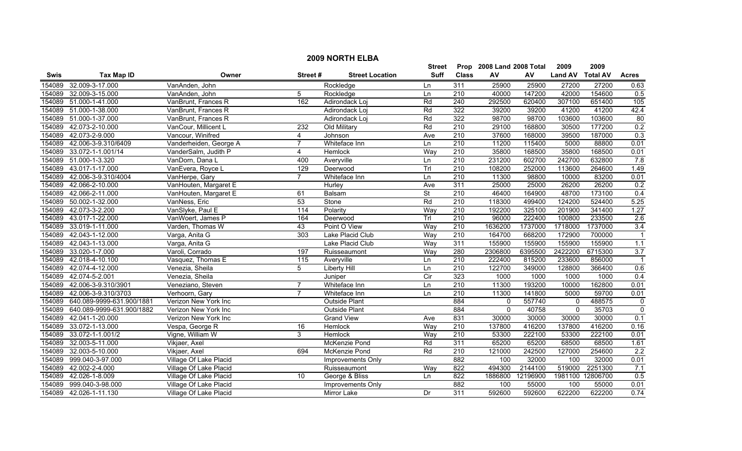|             |                           |                        |                   |                        | <b>Street</b>  |                  | Prop 2008 Land 2008 Total |          | 2009           | 2009             |              |
|-------------|---------------------------|------------------------|-------------------|------------------------|----------------|------------------|---------------------------|----------|----------------|------------------|--------------|
| <b>Swis</b> | <b>Tax Map ID</b>         | Owner                  | Street#           | <b>Street Location</b> | <b>Suff</b>    | <b>Class</b>     | AV                        | AV       | <b>Land AV</b> | <b>Total AV</b>  | <b>Acres</b> |
| 154089      | 32.009-3-17.000           | VanAnden, John         |                   | Rockledge              | Ln             | 311              | 25900                     | 25900    | 27200          | 27200            | 0.63         |
| 154089      | 32.009-3-15.000           | VanAnden, John         | 5                 | Rockledge              | Ln             | 210              | 40000                     | 147200   | 42000          | 154600           | 0.5          |
| 154089      | 51.000-1-41.000           | VanBrunt, Frances R    | 162               | Adirondack Loj         | Rd             | 240              | 292500                    | 620400   | 307100         | 651400           | 105          |
| 154089      | 51.000-1-38.000           | VanBrunt, Frances R    |                   | Adirondack Loj         | Rd             | 322              | 39200                     | 39200    | 41200          | 41200            | 42.4         |
| 154089      | 51.000-1-37.000           | VanBrunt, Frances R    |                   | Adirondack Loj         | Rd             | 322              | 98700                     | 98700    | 103600         | 103600           | 80           |
| 154089      | 42.073-2-10.000           | VanCour, Millicent L   | 232               | Old Military           | Rd             | 210              | 29100                     | 168800   | 30500          | 177200           | 0.2          |
| 154089      | 42.073-2-9.000            | Vancour, Winifred      | 4                 | Johnson                | Ave            | 210              | 37600                     | 168000   | 39500          | 187000           | 0.3          |
| 154089      | 42.006-3-9.310/6409       | Vanderheiden, George A |                   | Whiteface Inn          | Ln             | 210              | 11200                     | 115400   | 5000           | 88800            | 0.01         |
| 154089      | 33.072-1-1.001/14         | VanderSalm, Judith P   | 4                 | Hemlock                | Way            | 210              | 35800                     | 168500   | 35800          | 168500           | 0.01         |
| 154089      | 51.000-1-3.320            | VanDorn, Dana L        | 400               | Averyville             | Ln             | 210              | 231200                    | 602700   | 242700         | 632800           | 7.8          |
| 154089      | 43.017-1-17.000           | VanEvera, Royce L      | 129               | Deerwood               | Trl            | $\overline{210}$ | 108200                    | 252000   | 113600         | 264600           | 1.49         |
| 154089      | 42.006-3-9.310/4004       | VanHerpe, Gary         | $\overline{7}$    | Whiteface Inn          | Ln             | $\overline{210}$ | 11300                     | 98800    | 10000          | 83200            | 0.01         |
| 154089      | 42.066-2-10.000           | VanHouten, Margaret E  |                   | Hurley                 | Ave            | 311              | 25000                     | 25000    | 26200          | 26200            | 0.2          |
| 154089      | 42.066-2-11.000           | VanHouten, Margaret E  | 61                | Balsam                 | <b>St</b>      | 210              | 46400                     | 164900   | 48700          | 173100           | 0.4          |
| 154089      | 50.002-1-32.000           | VanNess, Eric          | 53                | Stone                  | Rd             | $\overline{210}$ | 118300                    | 499400   | 124200         | 524400           | 5.25         |
| 154089      | 42.073-3-2.200            | VanSlyke, Paul E       | 114               | Polarity               | Way            | 210              | 192200                    | 325100   | 201900         | 341400           | 1.27         |
| 154089      | 43.017-1-22.000           | VanWoert, James P      | 164               | Deerwood               | Trl            | 210              | 96000                     | 222400   | 100800         | 233500           | 2.6          |
| 154089      | 33.019-1-11.000           | Varden, Thomas W       | 43                | Point O View           | Way            | 210              | 1636200                   | 1737000  | 1718000        | 1737000          | 3.4          |
| 154089      | 42.043-1-12.000           | Varga, Anita G         | 303               | Lake Placid Club       | Way            | 210              | 164700                    | 668200   | 172900         | 700000           |              |
| 154089      | 42.043-1-13.000           | Varga, Anita G         |                   | Lake Placid Club       | Way            | 311              | 155900                    | 155900   | 155900         | 155900           | 1.1          |
| 154089      | 33.020-1-7.000            | Varoli, Corrado        | 197               | Ruisseaumont           | Way            | 280              | 2306800                   | 6395500  | 2422200        | 6715300          | 3.7          |
| 154089      | 42.018-4-10.100           | Vasquez, Thomas E      | $\frac{115}{115}$ | Averyville             | Ln             | $\overline{210}$ | 222400                    | 815200   | 233600         | 856000           |              |
| 154089      | 42.074-4-12.000           | Venezia, Sheila        | 5                 | <b>Liberty Hill</b>    | Ln             | $\overline{210}$ | 122700                    | 349000   | 128800         | 366400           | 0.6          |
| 154089      | 42.074-5-2.001            | Venezia, Sheila        |                   | Juniper                | $\overline{C}$ | 323              | 1000                      | 1000     | 1000           | 1000             | 0.4          |
| 154089      | 42.006-3-9.310/3901       | Veneziano, Steven      | $\overline{7}$    | Whiteface Inn          | Ln             | 210              | 11300                     | 193200   | 10000          | 162800           | 0.01         |
| 154089      | 42.006-3-9.310/3703       | Verhoorn, Gary         |                   | Whiteface Inn          | Ln             | 210              | 11300                     | 141800   | 5000           | 59700            | 0.01         |
| 154089      | 640.089-9999-631.900/1881 | Verizon New York Inc   |                   | <b>Outside Plant</b>   |                | 884              | $\mathbf{0}$              | 557740   | $\mathbf{0}$   | 488575           | $\mathbf 0$  |
| 154089      | 640.089-9999-631.900/1882 | Verizon New York Inc   |                   | Outside Plant          |                | 884              | 0                         | 40758    | $\mathbf 0$    | 35703            | $\mathbf{0}$ |
| 154089      | 42.041-1-20.000           | Verizon New York Inc   |                   | <b>Grand View</b>      | Ave            | 831              | 30000                     | 30000    | 30000          | 30000            | 0.1          |
| 154089      | 33.072-1-13.000           | Vespa, George R        | 16                | Hemlock                | Way            | 210              | 137800                    | 416200   | 137800         | 416200           | 0.16         |
| 154089      | 33.072-1-1.001/2          | Vigne, William W       | 3                 | Hemlock                | Way            | 210              | 53300                     | 222100   | 53300          | 222100           | 0.01         |
| 154089      | 32.003-5-11.000           | Vikjaer, Axel          |                   | McKenzie Pond          | Rd             | 311              | 65200                     | 65200    | 68500          | 68500            | 1.61         |
| 154089      | 32.003-5-10.000           | Vikjaer, Axel          | 694               | <b>McKenzie Pond</b>   | Rd             | 210              | 121000                    | 242500   | 127000         | 254600           | 2.2          |
| 154089      | 999.040-3-97.000          | Village Of Lake Placid |                   | Improvements Only      |                | 882              | 100                       | 32000    | 100            | 32000            | 0.01         |
| 154089      | 42.002-2-4.000            | Village Of Lake Placid |                   | Ruisseaumont           | Way            | 822              | 494300                    | 2144100  | 519000         | 2251300          | 7.1          |
| 154089      | 42.026-1-8.009            | Village Of Lake Placid | 10                | George & Bliss         | Ln             | 822              | 1886800                   | 12196900 |                | 1981100 12806700 | 0.5          |
| 154089      | 999.040-3-98.000          | Village Of Lake Placid |                   | Improvements Only      |                | 882              | 100                       | 55000    | 100            | 55000            | 0.01         |
|             | 154089 42.026-1-11.130    | Village Of Lake Placid |                   | <b>Mirror Lake</b>     | Dr             | 311              | 592600                    | 592600   | 622200         | 622200           | 0.74         |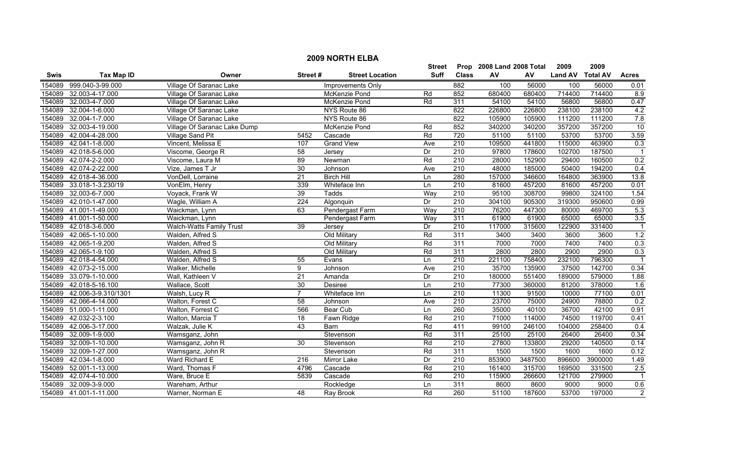|        | <b>2009 NORTH ELBA</b> |                              |                  |                        |                 |                  |                           |         |                  |         |                |  |
|--------|------------------------|------------------------------|------------------|------------------------|-----------------|------------------|---------------------------|---------|------------------|---------|----------------|--|
|        |                        |                              |                  |                        | Street          |                  | Prop 2008 Land 2008 Total |         | 2009             | 2009    |                |  |
| Swis   | <b>Tax Map ID</b>      | Owner                        | Street#          | <b>Street Location</b> | <b>Suff</b>     | <b>Class</b>     | AV                        | AV      | Land AV Total AV |         | <b>Acres</b>   |  |
| 154089 | 999.040-3-99.000       | Village Of Saranac Lake      |                  | Improvements Only      |                 | 882              | 100                       | 56000   | 100              | 56000   | 0.01           |  |
| 154089 | 32.003-4-17.000        | Village Of Saranac Lake      |                  | McKenzie Pond          | Rd              | 852              | 680400                    | 680400  | 714400           | 714400  | 8.9            |  |
| 154089 | 32.003-4-7.000         | Village Of Saranac Lake      |                  | McKenzie Pond          | Rd              | 311              | 54100                     | 54100   | 56800            | 56800   | 0.47           |  |
| 154089 | 32.004-1-6.000         | Village Of Saranac Lake      |                  | NYS Route 86           |                 | 822              | 226800                    | 226800  | 238100           | 238100  | 4.2            |  |
| 154089 | 32.004-1-7.000         | Village Of Saranac Lake      |                  | NYS Route 86           |                 | 822              | 105900                    | 105900  | 111200           | 111200  | 7.8            |  |
| 154089 | 32.003-4-19.000        | Village Of Saranac Lake Dump |                  | <b>McKenzie Pond</b>   | Rd              | 852              | 340200                    | 340200  | 357200           | 357200  | 10             |  |
| 154089 | 42.004-4-28.000        | <b>Village Sand Pit</b>      | 5452             | Cascade                | Rd              | 720              | 51100                     | 51100   | 53700            | 53700   | 3.59           |  |
| 154089 | 42.041-1-8.000         | Vincent, Melissa E           | 107              | <b>Grand View</b>      | Ave             | 210              | 109500                    | 441800  | 115000           | 463900  | 0.3            |  |
| 154089 | 42.018-5-6.000         | Viscome, George R            | $\overline{58}$  | Jersey                 | Dr              | 210              | 97800                     | 178600  | 102700           | 187500  | $\overline{1}$ |  |
| 154089 | 42.074-2-2.000         | Viscome, Laura M             | 89               | Newman                 | Rd              | $\overline{210}$ | 28000                     | 152900  | 29400            | 160500  | 0.2            |  |
| 154089 | 42.074-2-22.000        | Vize, James T Jr             | 30               | Johnson                | Ave             | 210              | 48000                     | 185000  | 50400            | 194200  | 0.4            |  |
| 154089 | 42.018-4-36.000        | VonDell, Lorraine            | 21               | <b>Birch Hill</b>      | Ln              | 280              | 157000                    | 346600  | 164800           | 363900  | 13.8           |  |
| 154089 | 33.018-1-3.230/19      | VonElm, Henry                | 339              | Whiteface Inn          | Ln              | $\overline{210}$ | 81600                     | 457200  | 81600            | 457200  | 0.01           |  |
| 154089 | 32.003-6-7.000         | Voyack, Frank W              | 39               | Tadds                  | Way             | $\overline{210}$ | 95100                     | 308700  | 99800            | 324100  | 1.54           |  |
| 154089 | 42.010-1-47.000        | Wagle, William A             | 224              | Algonquin              | $\overline{Dr}$ | 210              | 304100                    | 905300  | 319300           | 950600  | 0.99           |  |
| 154089 | 41.001-1-49.000        | Waickman, Lynn               | 63               | Pendergast Farm        | Way             | $\overline{210}$ | 76200                     | 447300  | 80000            | 469700  | 5.3            |  |
| 154089 | 41.001-1-50.000        | Waickman, Lynn               |                  | Pendergast Farm        | Way             | 311              | 61900                     | 61900   | 65000            | 65000   | 3.5            |  |
| 154089 | 42.018-3-6.000         | Walch-Watts Family Trust     | 39               | Jersey                 | Dr              | 210              | 117000                    | 315600  | 122900           | 331400  |                |  |
| 154089 | 42.065-1-10.000        | Walden, Alfred S             |                  | Old Military           | Rd              | 311              | 3400                      | 3400    | 3600             | 3600    | 1.2            |  |
| 154089 | 42.065-1-9.200         | Walden, Alfred S             |                  | Old Military           | Rd              | 311              | 7000                      | 7000    | 7400             | 7400    | 0.3            |  |
| 154089 | 42.065-1-9.100         | Walden, Alfred S             |                  | Old Military           | Rd              | 311              | 2800                      | 2800    | 2900             | 2900    | 0.3            |  |
| 154089 | 42.018-4-54.000        | Walden, Alfred S             | $\overline{55}$  | Evans                  | Ln              | 210              | 221100                    | 758400  | 232100           | 796300  |                |  |
| 154089 | 42.073-2-15.000        | Walker, Michelle             | 9                | Johnson                | Ave             | 210              | 35700                     | 135900  | 37500            | 142700  | 0.34           |  |
| 154089 | 33.079-1-10.000        | Wall, Kathleen V             | 21               | Amanda                 | Dr              | 210              | 180000                    | 551400  | 189000           | 579000  | 1.88           |  |
| 154089 | 42.018-5-16.100        | Wallace, Scott               | 30               | Desiree                | Ln              | 210              | 77300                     | 360000  | 81200            | 378000  | 1.6            |  |
| 154089 | 42.006-3-9.310/1301    | Walsh, Lucy R                | $\overline{7}$   | Whiteface Inn          | Ln              | 210              | 11300                     | 91500   | 10000            | 77100   | 0.01           |  |
| 154089 | 42.066-4-14.000        | Walton, Forest C             | $\overline{58}$  | Johnson                | Ave             | $\overline{210}$ | 23700                     | 75000   | 24900            | 78800   | 0.2            |  |
| 154089 | 51.000-1-11.000        | Walton, Forrest C            | 566              | <b>Bear Cub</b>        | Ln              | 260              | 35000                     | 40100   | 36700            | 42100   | 0.91           |  |
| 154089 | 42.032-2-3.100         | Walton, Marcia T             | 18               | Fawn Ridge             | Rd              | 210              | 71000                     | 114000  | 74500            | 119700  | 0.41           |  |
| 154089 | 42.006-3-17.000        | Walzak, Julie K              | 43               | Barn                   | Rd              | 411              | 99100                     | 246100  | 104000           | 258400  | 0.4            |  |
| 154089 | 32.009-1-9.000         | Wamsganz, John               |                  | Stevenson              | Rd              | 311              | 25100                     | 25100   | 26400            | 26400   | 0.34           |  |
| 154089 | 32.009-1-10.000        | Wamsganz, John R             | $\overline{30}$  | Stevenson              | Rd              | 210              | 27800                     | 133800  | 29200            | 140500  | 0.14           |  |
| 154089 | 32.009-1-27.000        | Wamsganz, John R             |                  | Stevenson              | Rd              | 311              | 1500                      | 1500    | 1600             | 1600    | 0.12           |  |
| 154089 | 42.034-1-8.000         | Ward Richard E               | $\overline{216}$ | Mirror Lake            | Dr              | 210              | 853900                    | 3487500 | 896600           | 3900000 | 1.49           |  |
| 154089 | 52.001-1-13.000        | Ward, Thomas F               | 4796             | Cascade                | Rd              | $\overline{210}$ | 161400                    | 315700  | 169500           | 331500  | 2.5            |  |
| 154089 | 42.074-4-10.000        | Ware, Bruce E                | 5839             | Cascade                | Rd              | 210              | 115900                    | 266600  | 121700           | 279900  |                |  |
| 154089 | 32.009-3-9.000         | Wareham, Arthur              |                  | Rockledge              | Ln              | 311              | 8600                      | 8600    | 9000             | 9000    | 0.6            |  |
|        | 154089 41.001-1-11.000 | Warner, Norman E             | 48               | Ray Brook              | Rd              | 260              | 51100                     | 187600  | 53700            | 197000  | $\overline{2}$ |  |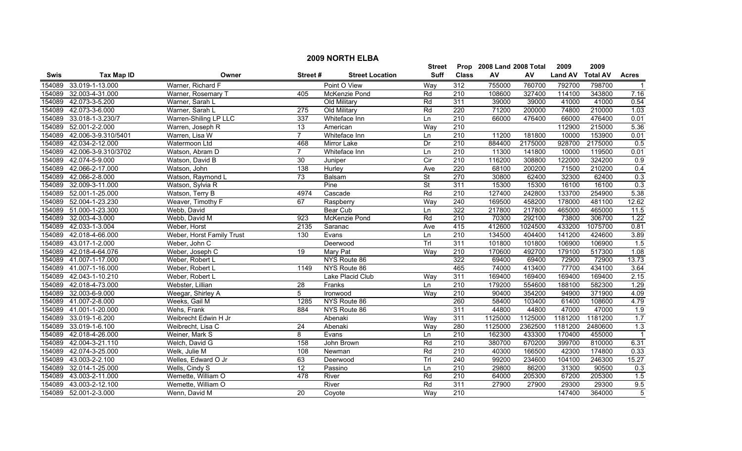|             | <b>2009 NORTH ELBA</b> |                           |                 |                        |                          |                  |                           |         |                |                 |                  |  |
|-------------|------------------------|---------------------------|-----------------|------------------------|--------------------------|------------------|---------------------------|---------|----------------|-----------------|------------------|--|
|             |                        |                           |                 |                        | <b>Street</b>            |                  | Prop 2008 Land 2008 Total |         | 2009           | 2009            |                  |  |
| <b>Swis</b> | <b>Tax Map ID</b>      | Owner                     | Street#         | <b>Street Location</b> | <b>Suff</b>              | <b>Class</b>     | AV                        | AV      | <b>Land AV</b> | <b>Total AV</b> | <b>Acres</b>     |  |
| 154089      | 33.019-1-13.000        | Warner, Richard F         |                 | Point O View           | Way                      | 312              | 755000                    | 760700  | 792700         | 798700          | -1               |  |
| 154089      | 32.003-4-31.000        | Warner, Rosemary T        | 405             | McKenzie Pond          | Rd                       | $\overline{210}$ | 108600                    | 327400  | 114100         | 343800          | 7.16             |  |
| 154089      | 42.073-3-5.200         | Warner, Sarah L           |                 | Old Military           | Rd                       | 311              | 39000                     | 39000   | 41000          | 41000           | 0.54             |  |
| 154089      | 42.073-3-6.000         | Warner, Sarah L           | 275             | Old Military           | Rd                       | 220              | 71200                     | 200000  | 74800          | 210000          | 1.03             |  |
| 154089      | 33.018-1-3.230/7       | Warren-Shiling LP LLC     | 337             | Whiteface Inn          | Ln                       | 210              | 66000                     | 476400  | 66000          | 476400          | 0.01             |  |
| 154089      | 52.001-2-2.000         | Warren, Joseph R          | 13              | American               | Way                      | 210              |                           |         | 112900         | 215000          | 5.36             |  |
| 154089      | 42.006-3-9.310/5401    | Warren, Lisa W            | $\overline{7}$  | Whiteface Inn          | Ln                       | 210              | 11200                     | 181800  | 10000          | 153900          | 0.01             |  |
| 154089      | 42.034-2-12.000        | Watermoon Ltd             | 468             | <b>Mirror Lake</b>     | Dr                       | 210              | 884400                    | 2175000 | 928700         | 2175000         | 0.5              |  |
| 154089      | 42.006-3-9.310/3702    | Watson, Abram D           | $\overline{7}$  | Whiteface Inn          | Ln                       | 210              | 11300                     | 141800  | 10000          | 119500          | 0.01             |  |
| 154089      | 42.074-5-9.000         | Watson, David B           | $\overline{30}$ | Juniper                | $\overline{C}$ ir        | 210              | 116200                    | 308800  | 122000         | 324200          | 0.9              |  |
| 154089      | 42.066-2-17.000        | Watson, John              | 138             | Hurley                 | Ave                      | 220              | 68100                     | 200200  | 71500          | 210200          | 0.4              |  |
| 154089      | 42.066-2-8.000         | Watson, Raymond L         | $\overline{73}$ | Balsam                 | $\overline{\mathsf{St}}$ | 270              | 30800                     | 62400   | 32300          | 62400           | 0.3              |  |
| 154089      | 32.009-3-11.000        | Watson, Sylvia R          |                 | Pine                   | St                       | 311              | 15300                     | 15300   | 16100          | 16100           | 0.3              |  |
| 154089      | 52.001-1-25.000        | Watson, Terry B           | 4974            | Cascade                | Rd                       | $\overline{210}$ | 127400                    | 242800  | 133700         | 254900          | 5.38             |  |
|             | 154089 52.004-1-23.230 | Weaver, Timothy F         | 67              | Raspberry              | Way                      | $\overline{240}$ | 169500                    | 458200  | 178000         | 481100          | 12.62            |  |
|             | 154089 51.000-1-23.300 | Webb, David               |                 | <b>Bear Cub</b>        | Ln                       | 322              | 217800                    | 217800  | 465000         | 465000          | 11.5             |  |
| 154089      | 32.003-4-3.000         | Webb, David M             | 923             | McKenzie Pond          | Rd                       | 210              | 70300                     | 292100  | 73800          | 306700          | 1.22             |  |
| 154089      | 42.033-1-3.004         | Weber, Horst              | 2135            | Saranac                | Ave                      | 415              | 412600                    | 1024500 | 433200         | 1075700         | 0.81             |  |
| 154089      | 42.018-4-66.000        | Weber, Horst Family Trust | 130             | Evans                  | Ln                       | 210              | 134500                    | 404400  | 141200         | 424600          | 3.89             |  |
| 154089      | 43.017-1-2.000         | Weber, John C             |                 | Deerwood               | Trl                      | 311              | 101800                    | 101800  | 106900         | 106900          | 1.5              |  |
| 154089      | 42.018-4-64.076        | Weber, Joseph C           | 19              | Mary Pat               | Way                      | $\overline{210}$ | 170600                    | 492700  | 179100         | 517300          | 1.08             |  |
| 154089      | 41.007-1-17.000        | Weber, Robert L           |                 | NYS Route 86           |                          | 322              | 69400                     | 69400   | 72900          | 72900           | 13.73            |  |
| 154089      | 41.007-1-16.000        | Weber, Robert L           | 1149            | NYS Route 86           |                          | 465              | 74000                     | 413400  | 77700          | 434100          | 3.64             |  |
| 154089      | 42.043-1-10.210        | Weber, Robert L           |                 | Lake Placid Club       | Way                      | 311              | 169400                    | 169400  | 169400         | 169400          | 2.15             |  |
| 154089      | 42.018-4-73.000        | Webster, Lillian          | $\overline{28}$ | Franks                 | Ln                       | $\overline{210}$ | 179200                    | 554600  | 188100         | 582300          | 1.29             |  |
| 154089      | 32.003-6-9.000         | Weegar, Shirley A         | $\overline{5}$  | Ironwood               | Way                      | $\overline{210}$ | 90400                     | 354200  | 94900          | 371900          | 4.09             |  |
|             | 154089 41.007-2-8.000  | Weeks, Gail M             | 1285            | NYS Route 86           |                          | 260              | 58400                     | 103400  | 61400          | 108600          | 4.79             |  |
|             | 154089 41.001-1-20.000 | Wehs, Frank               | 884             | NYS Route 86           |                          | 311              | 44800                     | 44800   | 47000          | 47000           | $\overline{1.9}$ |  |
| 154089      | 33.019-1-6.200         | Weibrecht Edwin H Jr      |                 | Abenaki                | Way                      | 311              | 1125000                   | 1125000 | 1181200        | 1181200         | 1.7              |  |
| 154089      | 33.019-1-6.100         | Weibrecht, Lisa C         | 24              | Abenaki                | Wav                      | 280              | 1125000                   | 2362500 | 1181200        | 2480600         | 1.3              |  |
| 154089      | 42.018-4-26.000        | Weiner, Mark S            | 8               | Evans                  | Ln                       | 210              | 162300                    | 433300  | 170400         | 455000          | $\overline{1}$   |  |
|             | 154089 42.004-3-21.110 | Welch, David G            | 158             | John Brown             | Rd                       | 210              | 380700                    | 670200  | 399700         | 810000          | 6.31             |  |
| 154089      | 42.074-3-25.000        | Welk, Julie M             | 108             | Newman                 | Rd                       | 210              | 40300                     | 166500  | 42300          | 174800          | 0.33             |  |
| 154089      | 43.003-2-2.100         | Welles, Edward O Jr       | 63              | Deerwood               | Trl                      | $\overline{240}$ | 99200                     | 234600  | 104100         | 246300          | 15.27            |  |
| 154089      | 32.014-1-25.000        | Wells, Cindy S            | $\overline{12}$ | Passino                | Ln                       | 210              | 29800                     | 86200   | 31300          | 90500           | 0.3              |  |
| 154089      | 43.003-2-11.000        | Wemette, William O        | 478             | River                  | Rd                       | 210              | 64000                     | 205300  | 67200          | 205300          | 1.5              |  |
| 154089      | 43.003-2-12.100        | Wemette, William O        |                 | River                  | Rd                       | 311              | 27900                     | 27900   | 29300          | 29300           | 9.5              |  |
|             | 154089 52.001-2-3.000  | Wenn. David M             | 20              | Coyote                 | Way                      | 210              |                           |         | 147400         | 364000          | $\overline{5}$   |  |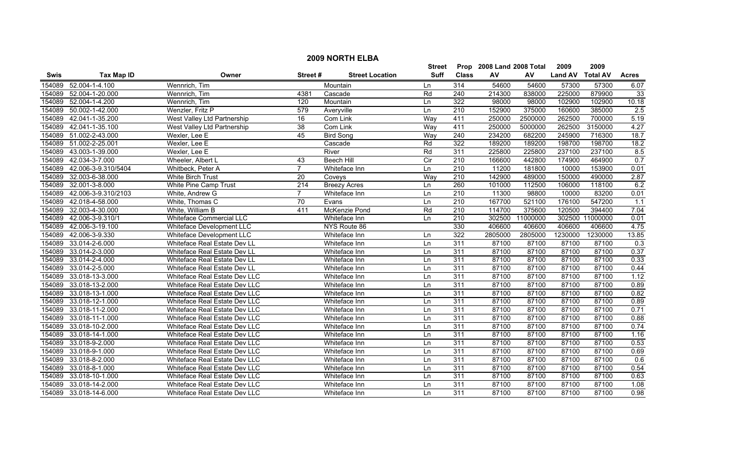|             |                     |                                 |                  |                        | <b>Street</b>  |                  | Prop 2008 Land 2008 Total |          | 2009           | 2009            |              |
|-------------|---------------------|---------------------------------|------------------|------------------------|----------------|------------------|---------------------------|----------|----------------|-----------------|--------------|
| <b>Swis</b> | Tax Map ID          | Owner                           | Street#          | <b>Street Location</b> | Suff           | <b>Class</b>     | AV                        | AV       | <b>Land AV</b> | <b>Total AV</b> | <b>Acres</b> |
| 154089      | 52.004-1-4.100      | Wennrich, Tim                   |                  | Mountain               | Ln             | 314              | 54600                     | 54600    | 57300          | 57300           | 6.07         |
| 154089      | 52.004-1-20.000     | Wennrich, Tim                   | 4381             | Cascade                | Rd             | 240              | 214300                    | 838000   | 225000         | 879900          | 33           |
| 154089      | 52.004-1-4.200      | Wennrich, Tim                   | 120              | Mountain               | Ln             | 322              | 98000                     | 98000    | 102900         | 102900          | 10.18        |
| 154089      | 50.002-1-42.000     | Wenzler, Fritz P                | 579              | Averyville             | Ln             | 210              | 152900                    | 375000   | 160600         | 385000          | 2.5          |
| 154089      | 42.041-1-35.200     | West Valley Ltd Partnership     | 16               | Com Link               | Way            | 411              | 250000                    | 2500000  | 262500         | 700000          | 5.19         |
| 154089      | 42.041-1-35.100     | West Valley Ltd Partnership     | $\overline{38}$  | Com Link               | Way            | 411              | 250000                    | 5000000  | 262500         | 3150000         | 4.27         |
| 154089      | 51.002-2-43.000     | Wexler, Lee E                   | 45               | <b>Bird Song</b>       | Way            | 240              | 234200                    | 682200   | 245900         | 716300          | 18.7         |
| 154089      | 51.002-2-25.001     | Wexler, Lee E                   |                  | Cascade                | Rd             | 322              | 189200                    | 189200   | 198700         | 198700          | 18.2         |
| 154089      | 43.003-1-39.000     | Wexler, Lee E                   |                  | River                  | Rd             | 311              | 225800                    | 225800   | 237100         | 237100          | 8.5          |
| 154089      | 42.034-3-7.000      | Wheeler, Albert L               | 43               | <b>Beech Hill</b>      | $\overline{C}$ | $\overline{210}$ | 166600                    | 442800   | 174900         | 464900          | 0.7          |
| 154089      | 42.006-3-9.310/5404 | Whitbeck, Peter A               | $\overline{7}$   | Whiteface Inn          | Ln             | $\overline{210}$ | 11200                     | 181800   | 10000          | 153900          | 0.01         |
| 154089      | 32.003-6-38.000     | <b>White Birch Trust</b>        | 20               | Coveys                 | Way            | $\overline{210}$ | 142900                    | 489000   | 150000         | 490000          | 2.87         |
| 154089      | 32.001-3-8.000      | White Pine Camp Trust           | $\overline{214}$ | <b>Breezy Acres</b>    | Ln             | 260              | 101000                    | 112500   | 106000         | 118100          | 6.2          |
| 154089      | 42.006-3-9.310/2103 | White, Andrew G                 | $\overline{7}$   | Whiteface Inn          | Ln             | 210              | 11300                     | 98800    | 10000          | 83200           | 0.01         |
| 154089      | 42.018-4-58.000     | White, Thomas C                 | $\overline{70}$  | Evans                  | Ln             | 210              | 167700                    | 521100   | 176100         | 547200          | 1.1          |
| 154089      | 32.003-4-30.000     | White, William B                | 411              | McKenzie Pond          | Rd             | $\overline{210}$ | 114700                    | 375600   | 120500         | 394400          | 7.04         |
| 154089      | 42.006-3-9.310/1    | <b>Whiteface Commercial LLC</b> |                  | Whiteface Inn          | Ln             | 210              | 302500                    | 11000000 |                | 302500 11000000 | 0.01         |
| 154089      | 42.006-3-19.100     | Whiteface Development LLC       |                  | NYS Route 86           |                | 330              | 406600                    | 406600   | 406600         | 406600          | 4.75         |
| 154089      | 42.006-3-9.330      | Whiteface Development LLC       |                  | Whiteface Inn          | Ln             | 322              | 2805000                   | 2805000  | 1230000        | 1230000         | 13.85        |
| 154089      | 33.014-2-6.000      | Whiteface Real Estate Dev LL    |                  | Whiteface Inn          | Ln             | 311              | 87100                     | 87100    | 87100          | 87100           | 0.3          |
| 154089      | 33.014-2-3.000      | Whiteface Real Estate Dev LL    |                  | Whiteface Inn          | Ln             | 311              | 87100                     | 87100    | 87100          | 87100           | 0.37         |
| 154089      | 33.014-2-4.000      | Whiteface Real Estate Dev LL    |                  | Whiteface Inn          | Ln             | 311              | 87100                     | 87100    | 87100          | 87100           | 0.33         |
| 154089      | 33.014-2-5.000      | Whiteface Real Estate Dev LL    |                  | Whiteface Inn          | Ln             | 311              | 87100                     | 87100    | 87100          | 87100           | 0.44         |
| 154089      | 33.018-13-3.000     | Whiteface Real Estate Dev LLC   |                  | Whiteface Inn          | Ln             | 311              | 87100                     | 87100    | 87100          | 87100           | 1.12         |
| 154089      | 33.018-13-2.000     | Whiteface Real Estate Dev LLC   |                  | Whiteface Inn          | Ln             | 311              | 87100                     | 87100    | 87100          | 87100           | 0.89         |
| 154089      | 33.018-13-1.000     | Whiteface Real Estate Dev LLC   |                  | Whiteface Inn          | Ln             | 311              | 87100                     | 87100    | 87100          | 87100           | 0.82         |
| 154089      | 33.018-12-1.000     | Whiteface Real Estate Dev LLC   |                  | Whiteface Inn          | Ln             | 311              | 87100                     | 87100    | 87100          | 87100           | 0.89         |
| 154089      | 33.018-11-2.000     | Whiteface Real Estate Dev LLC   |                  | Whiteface Inn          | Ln             | $\overline{311}$ | 87100                     | 87100    | 87100          | 87100           | 0.71         |
| 154089      | 33.018-11-1.000     | Whiteface Real Estate Dev LLC   |                  | Whiteface Inn          | Ln             | 311              | 87100                     | 87100    | 87100          | 87100           | 0.88         |
| 154089      | 33.018-10-2.000     | Whiteface Real Estate Dev LLC   |                  | Whiteface Inn          | Ln             | 311              | 87100                     | 87100    | 87100          | 87100           | 0.74         |
| 154089      | 33.018-14-1.000     | Whiteface Real Estate Dev LLC   |                  | Whiteface Inn          | Ln             | 311              | 87100                     | 87100    | 87100          | 87100           | 1.16         |
| 154089      | 33.018-9-2.000      | Whiteface Real Estate Dev LLC   |                  | Whiteface Inn          | Ln             | 311              | 87100                     | 87100    | 87100          | 87100           | 0.53         |
| 154089      | 33.018-9-1.000      | Whiteface Real Estate Dev LLC   |                  | Whiteface Inn          | Ln             | 311              | 87100                     | 87100    | 87100          | 87100           | 0.69         |
| 154089      | 33.018-8-2.000      | Whiteface Real Estate Dev LLC   |                  | Whiteface Inn          | Ln             | 311              | 87100                     | 87100    | 87100          | 87100           | 0.6          |
| 154089      | 33.018-8-1.000      | Whiteface Real Estate Dev LLC   |                  | Whiteface Inn          | Ln             | 311              | 87100                     | 87100    | 87100          | 87100           | 0.54         |
| 154089      | 33.018-10-1.000     | Whiteface Real Estate Dev LLC   |                  | Whiteface Inn          | Ln             | 311              | 87100                     | 87100    | 87100          | 87100           | 0.63         |
| 154089      | 33.018-14-2.000     | Whiteface Real Estate Dev LLC   |                  | Whiteface Inn          | Ln             | 311              | 87100                     | 87100    | 87100          | 87100           | 1.08         |
| 154089      | 33.018-14-6.000     | Whiteface Real Estate Dev LLC   |                  | Whiteface Inn          | ln             | 311              | 87100                     | 87100    | 87100          | 87100           | 0.98         |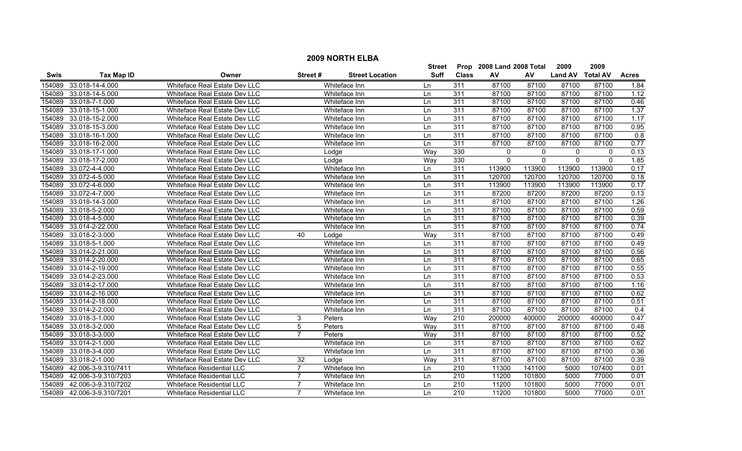|        | <b>2009 NORTH ELBA</b><br>Prop 2008 Land 2008 Total |                                  |                 |                        |             |              |              |          |                |                 |              |  |  |
|--------|-----------------------------------------------------|----------------------------------|-----------------|------------------------|-------------|--------------|--------------|----------|----------------|-----------------|--------------|--|--|
|        |                                                     |                                  |                 |                        | Street      |              |              |          | 2009           | 2009            |              |  |  |
| Swis   | <b>Tax Map ID</b>                                   | Owner                            | Street#         | <b>Street Location</b> | <b>Suff</b> | <b>Class</b> | AV           | AV       | <b>Land AV</b> | <b>Total AV</b> | <b>Acres</b> |  |  |
| 154089 | 33.018-14-4.000                                     | Whiteface Real Estate Dev LLC    |                 | Whiteface Inn          | Ln          | 311          | 87100        | 87100    | 87100          | 87100           | 1.84         |  |  |
| 154089 | 33.018-14-5.000                                     | Whiteface Real Estate Dev LLC    |                 | Whiteface Inn          | Ln          | 311          | 87100        | 87100    | 87100          | 87100           | 1.12         |  |  |
| 154089 | 33.018-7-1.000                                      | Whiteface Real Estate Dev LLC    |                 | Whiteface Inn          | Ln          | 311          | 87100        | 87100    | 87100          | 87100           | 0.46         |  |  |
| 154089 | 33.018-15-1.000                                     | Whiteface Real Estate Dev LLC    |                 | Whiteface Inn          | Ln          | 311          | 87100        | 87100    | 87100          | 87100           | 1.37         |  |  |
| 154089 | 33.018-15-2.000                                     | Whiteface Real Estate Dev LLC    |                 | Whiteface Inn          | Ln          | 311          | 87100        | 87100    | 87100          | 87100           | 1.17         |  |  |
| 154089 | 33.018-15-3.000                                     | Whiteface Real Estate Dev LLC    |                 | Whiteface Inn          | Ln          | 311          | 87100        | 87100    | 87100          | 87100           | 0.95         |  |  |
| 154089 | 33.018-16-1.000                                     | Whiteface Real Estate Dev LLC    |                 | Whiteface Inn          | Ln          | 311          | 87100        | 87100    | 87100          | 87100           | 0.8          |  |  |
| 154089 | 33.018-16-2.000                                     | Whiteface Real Estate Dev LLC    |                 | Whiteface Inn          | Ln          | 311          | 87100        | 87100    | 87100          | 87100           | 0.77         |  |  |
| 154089 | 33.018-17-1.000                                     | Whiteface Real Estate Dev LLC    |                 | Lodge                  | Way         | 330          | 0            | 0        | 0              | 0               | 0.13         |  |  |
| 154089 | 33.018-17-2.000                                     | Whiteface Real Estate Dev LLC    |                 | Lodge                  | Way         | 330          | $\mathbf{0}$ | $\Omega$ | $\mathbf{0}$   | $\Omega$        | 1.85         |  |  |
| 154089 | 33.072-4-4.000                                      | Whiteface Real Estate Dev LLC    |                 | Whiteface Inn          | Ln          | 311          | 113900       | 113900   | 113900         | 113900          | 0.17         |  |  |
| 154089 | 33.072-4-5.000                                      | Whiteface Real Estate Dev LLC    |                 | Whiteface Inn          | Ln          | 311          | 120700       | 120700   | 120700         | 120700          | 0.18         |  |  |
| 154089 | 33.072-4-6.000                                      | Whiteface Real Estate Dev LLC    |                 | Whiteface Inn          | Ln          | 311          | 113900       | 113900   | 113900         | 113900          | 0.17         |  |  |
| 154089 | 33.072-4-7.000                                      | Whiteface Real Estate Dev LLC    |                 | Whiteface Inn          | Ln          | 311          | 87200        | 87200    | 87200          | 87200           | 0.13         |  |  |
| 154089 | 33.018-14-3.000                                     | Whiteface Real Estate Dev LLC    |                 | Whiteface Inn          | Ln          | 311          | 87100        | 87100    | 87100          | 87100           | 1.26         |  |  |
| 154089 | 33.018-5-2.000                                      | Whiteface Real Estate Dev LLC    |                 | Whiteface Inn          | Ln          | 311          | 87100        | 87100    | 87100          | 87100           | 0.59         |  |  |
| 154089 | 33.018-4-5.000                                      | Whiteface Real Estate Dev LLC    |                 | Whiteface Inn          | Ln          | 311          | 87100        | 87100    | 87100          | 87100           | 0.39         |  |  |
| 154089 | 33.014-2-22.000                                     | Whiteface Real Estate Dev LLC    |                 | Whiteface Inn          | Ln          | 311          | 87100        | 87100    | 87100          | 87100           | 0.74         |  |  |
| 154089 | 33.018-2-3.000                                      | Whiteface Real Estate Dev LLC    | 40              | Lodge                  | Way         | 311          | 87100        | 87100    | 87100          | 87100           | 0.49         |  |  |
| 154089 | 33.018-5-1.000                                      | Whiteface Real Estate Dev LLC    |                 | Whiteface Inn          | Ln          | 311          | 87100        | 87100    | 87100          | 87100           | 0.49         |  |  |
| 154089 | 33.014-2-21.000                                     | Whiteface Real Estate Dev LLC    |                 | Whiteface Inn          | Ln          | 311          | 87100        | 87100    | 87100          | 87100           | 0.56         |  |  |
| 154089 | 33.014-2-20.000                                     | Whiteface Real Estate Dev LLC    |                 | Whiteface Inn          | Ln          | 311          | 87100        | 87100    | 87100          | 87100           | 0.65         |  |  |
| 154089 | 33.014-2-19.000                                     | Whiteface Real Estate Dev LLC    |                 | Whiteface Inn          | Ln          | 311          | 87100        | 87100    | 87100          | 87100           | 0.55         |  |  |
| 154089 | 33.014-2-23.000                                     | Whiteface Real Estate Dev LLC    |                 | Whiteface Inn          | Ln          | 311          | 87100        | 87100    | 87100          | 87100           | 0.53         |  |  |
| 154089 | 33.014-2-17.000                                     | Whiteface Real Estate Dev LLC    |                 | Whiteface Inn          | Ln          | 311          | 87100        | 87100    | 87100          | 87100           | 1.16         |  |  |
| 154089 | 33.014-2-16.000                                     | Whiteface Real Estate Dev LLC    |                 | Whiteface Inn          | Ln          | 311          | 87100        | 87100    | 87100          | 87100           | 0.62         |  |  |
| 154089 | 33.014-2-18.000                                     | Whiteface Real Estate Dev LLC    |                 | Whiteface Inn          | Ln          | 311          | 87100        | 87100    | 87100          | 87100           | 0.51         |  |  |
| 154089 | 33.014-2-2.000                                      | Whiteface Real Estate Dev LLC    |                 | Whiteface Inn          | Ln          | 311          | 87100        | 87100    | 87100          | 87100           | 0.4          |  |  |
| 154089 | 33.018-3-1.000                                      | Whiteface Real Estate Dev LLC    | 3               | Peters                 | Way         | 210          | 200000       | 400000   | 200000         | 400000          | 0.47         |  |  |
| 154089 | 33.018-3-2.000                                      | Whiteface Real Estate Dev LLC    | 5               | Peters                 | Way         | 311          | 87100        | 87100    | 87100          | 87100           | 0.48         |  |  |
| 154089 | 33.018-3-3.000                                      | Whiteface Real Estate Dev LLC    |                 | Peters                 | Wav         | 311          | 87100        | 87100    | 87100          | 87100           | 0.52         |  |  |
| 154089 | 33.014-2-1.000                                      | Whiteface Real Estate Dev LLC    |                 | Whiteface Inn          | Ln          | 311          | 87100        | 87100    | 87100          | 87100           | 0.62         |  |  |
| 154089 | 33.018-3-4.000                                      | Whiteface Real Estate Dev LLC    |                 | Whiteface Inn          | Ln          | 311          | 87100        | 87100    | 87100          | 87100           | 0.36         |  |  |
| 154089 | 33.018-2-1.000                                      | Whiteface Real Estate Dev LLC    | $\overline{32}$ | Lodge                  | Way         | 311          | 87100        | 87100    | 87100          | 87100           | 0.39         |  |  |
| 154089 | 42.006-3-9.310/7411                                 | Whiteface Residential LLC        | $\overline{7}$  | Whiteface Inn          | Ln          | 210          | 11300        | 141100   | 5000           | 107400          | 0.01         |  |  |
| 154089 | 42.006-3-9.310/7203                                 | Whiteface Residential LLC        | $\overline{7}$  | Whiteface Inn          | Ln          | 210          | 11200        | 101800   | 5000           | 77000           | 0.01         |  |  |
| 154089 | 42.006-3-9.310/7202                                 | Whiteface Residential LLC        | 7               | Whiteface Inn          | Ln          | 210          | 11200        | 101800   | 5000           | 77000           | 0.01         |  |  |
|        | 154089 42.006-3-9.310/7201                          | <b>Whiteface Residential LLC</b> | $\overline{7}$  | Whiteface Inn          | l n         | 210          | 11200        | 101800   | 5000           | 77000           | 0.01         |  |  |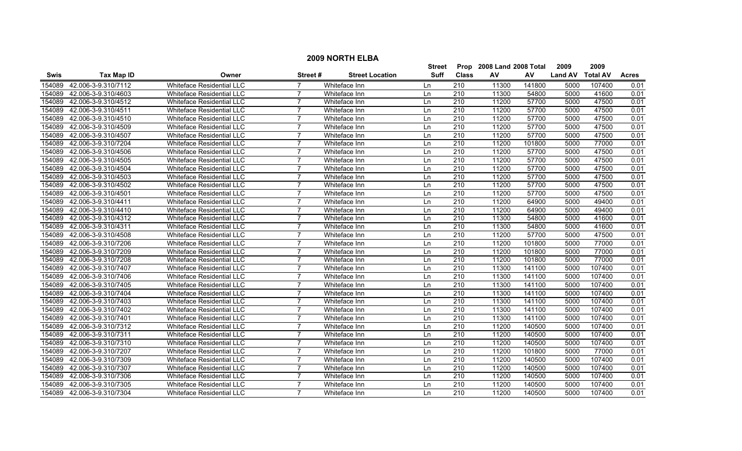|             |                     |                                  |                |                        | <b>Street</b> | Prop             | 2008 Land 2008 Total |        | 2009           | 2009            |              |
|-------------|---------------------|----------------------------------|----------------|------------------------|---------------|------------------|----------------------|--------|----------------|-----------------|--------------|
| <b>Swis</b> | Tax Map ID          | Owner                            | Street #       | <b>Street Location</b> | <b>Suff</b>   | <b>Class</b>     | AV                   | AV     | <b>Land AV</b> | <b>Total AV</b> | <b>Acres</b> |
| 154089      | 42.006-3-9.310/7112 | <b>Whiteface Residential LLC</b> |                | Whiteface Inn          | Ln            | 210              | 11300                | 141800 | 5000           | 107400          | 0.01         |
| 154089      | 42.006-3-9.310/4603 | Whiteface Residential LLC        |                | Whiteface Inn          | Ln            | $\overline{210}$ | 11300                | 54800  | 5000           | 41600           | 0.01         |
| 154089      | 42.006-3-9.310/4512 | <b>Whiteface Residential LLC</b> | $\overline{7}$ | Whiteface Inn          | Ln            | 210              | 11200                | 57700  | 5000           | 47500           | 0.01         |
| 154089      | 42.006-3-9.310/4511 | <b>Whiteface Residential LLC</b> |                | Whiteface Inn          | Ln            | 210              | 11200                | 57700  | 5000           | 47500           | 0.01         |
| 154089      | 42.006-3-9.310/4510 | Whiteface Residential LLC        |                | Whiteface Inn          | Ln            | 210              | 11200                | 57700  | 5000           | 47500           | 0.01         |
| 154089      | 42.006-3-9.310/4509 | <b>Whiteface Residential LLC</b> | 7              | Whiteface Inn          | Ln            | 210              | 11200                | 57700  | 5000           | 47500           | 0.01         |
| 154089      | 42.006-3-9.310/4507 | <b>Whiteface Residential LLC</b> | 7              | Whiteface Inn          | Ln            | $\overline{210}$ | 11200                | 57700  | 5000           | 47500           | 0.01         |
| 154089      | 42.006-3-9.310/7204 | <b>Whiteface Residential LLC</b> | 7              | Whiteface Inn          | Ln            | 210              | 11200                | 101800 | 5000           | 77000           | 0.01         |
| 154089      | 42.006-3-9.310/4506 | <b>Whiteface Residential LLC</b> | $\overline{7}$ | Whiteface Inn          | Ln            | 210              | 11200                | 57700  | 5000           | 47500           | 0.01         |
| 154089      | 42.006-3-9.310/4505 | Whiteface Residential LLC        |                | Whiteface Inn          | Ln            | $\overline{210}$ | 11200                | 57700  | 5000           | 47500           | 0.01         |
| 154089      | 42.006-3-9.310/4504 | Whiteface Residential LLC        | $\overline{ }$ | Whiteface Inn          | Ln            | $\overline{210}$ | 11200                | 57700  | 5000           | 47500           | 0.01         |
| 154089      | 42.006-3-9.310/4503 | Whiteface Residential LLC        | $\overline{7}$ | Whiteface Inn          | Ln            | 210              | 11200                | 57700  | 5000           | 47500           | 0.01         |
| 154089      | 42.006-3-9.310/4502 | Whiteface Residential LLC        | $\overline{7}$ | Whiteface Inn          | Ln            | 210              | 11200                | 57700  | 5000           | 47500           | 0.01         |
| 154089      | 42.006-3-9.310/4501 | Whiteface Residential LLC        | 7              | Whiteface Inn          | Ln            | 210              | 11200                | 57700  | 5000           | 47500           | 0.01         |
| 154089      | 42.006-3-9.310/4411 | Whiteface Residential LLC        |                | Whiteface Inn          | Ln            | 210              | 11200                | 64900  | 5000           | 49400           | 0.01         |
| 154089      | 42.006-3-9.310/4410 | Whiteface Residential LLC        | 7              | Whiteface Inn          | Ln            | 210              | 11200                | 64900  | 5000           | 49400           | 0.01         |
| 154089      | 42.006-3-9.310/4312 | Whiteface Residential LLC        |                | Whiteface Inn          | Ln            | 210              | 11300                | 54800  | 5000           | 41600           | 0.01         |
| 154089      | 42.006-3-9.310/4311 | Whiteface Residential LLC        |                | Whiteface Inn          | Ln            | 210              | 11300                | 54800  | 5000           | 41600           | 0.01         |
| 154089      | 42.006-3-9.310/4508 | <b>Whiteface Residential LLC</b> | 7              | Whiteface Inn          | Ln            | 210              | 11200                | 57700  | 5000           | 47500           | 0.01         |
| 154089      | 42.006-3-9.310/7206 | <b>Whiteface Residential LLC</b> | $\overline{7}$ | Whiteface Inn          | Ln            | 210              | 11200                | 101800 | 5000           | 77000           | 0.01         |
| 154089      | 42.006-3-9.310/7209 | Whiteface Residential LLC        | $\overline{7}$ | Whiteface Inn          | Ln            | 210              | 11200                | 101800 | 5000           | 77000           | 0.01         |
| 154089      | 42.006-3-9.310/7208 | Whiteface Residential LLC        | 7              | Whiteface Inn          | Ln            | 210              | 11200                | 101800 | 5000           | 77000           | 0.01         |
| 154089      | 42.006-3-9.310/7407 | <b>Whiteface Residential LLC</b> | 7              | Whiteface Inn          | Ln            | 210              | 11300                | 141100 | 5000           | 107400          | 0.01         |
| 154089      | 42.006-3-9.310/7406 | Whiteface Residential LLC        |                | Whiteface Inn          | Ln            | $\overline{210}$ | 11300                | 141100 | 5000           | 107400          | 0.01         |
| 154089      | 42.006-3-9.310/7405 | <b>Whiteface Residential LLC</b> | $\overline{7}$ | Whiteface Inn          | Ln            | $\overline{210}$ | 11300                | 141100 | 5000           | 107400          | 0.01         |
| 154089      | 42.006-3-9.310/7404 | Whiteface Residential LLC        | 7              | Whiteface Inn          | Ln            | 210              | 11300                | 141100 | 5000           | 107400          | 0.01         |
| 154089      | 42.006-3-9.310/7403 | <b>Whiteface Residential LLC</b> | $\overline{7}$ | Whiteface Inn          | Ln            | $\overline{210}$ | 11300                | 141100 | 5000           | 107400          | 0.01         |
| 154089      | 42.006-3-9.310/7402 | Whiteface Residential LLC        | $\overline{7}$ | Whiteface Inn          | Ln            | 210              | 11300                | 141100 | 5000           | 107400          | 0.01         |
| 154089      | 42.006-3-9.310/7401 | Whiteface Residential LLC        | 7              | Whiteface Inn          | Ln            | 210              | 11300                | 141100 | 5000           | 107400          | 0.01         |
| 154089      | 42.006-3-9.310/7312 | <b>Whiteface Residential LLC</b> |                | Whiteface Inn          | Ln            | 210              | 11200                | 140500 | 5000           | 107400          | 0.01         |
| 154089      | 42.006-3-9.310/7311 | Whiteface Residential LLC        |                | Whiteface Inn          | Ln            | 210              | 11200                | 140500 | 5000           | 107400          | 0.01         |
| 154089      | 42.006-3-9.310/7310 | Whiteface Residential LLC        |                | Whiteface Inn          | Ln            | 210              | 11200                | 140500 | 5000           | 107400          | 0.01         |
| 154089      | 42.006-3-9.310/7207 | <b>Whiteface Residential LLC</b> |                | Whiteface Inn          | Ln            | 210              | 11200                | 101800 | 5000           | 77000           | 0.01         |
| 154089      | 42.006-3-9.310/7309 | <b>Whiteface Residential LLC</b> | $\overline{7}$ | Whiteface Inn          | Ln            | $\overline{210}$ | 11200                | 140500 | 5000           | 107400          | 0.01         |
| 154089      | 42.006-3-9.310/7307 | Whiteface Residential LLC        | $\overline{7}$ | Whiteface Inn          | Ln            | 210              | 11200                | 140500 | 5000           | 107400          | 0.01         |
| 154089      | 42.006-3-9.310/7306 | Whiteface Residential LLC        | $\overline{7}$ | Whiteface Inn          | Ln            | 210              | 11200                | 140500 | 5000           | 107400          | 0.01         |
| 154089      | 42.006-3-9.310/7305 | <b>Whiteface Residential LLC</b> | 7              | Whiteface Inn          | Ln            | 210              | 11200                | 140500 | 5000           | 107400          | 0.01         |
| 154089      | 42.006-3-9.310/7304 | Whiteface Residential LLC        | $\overline{7}$ | Whiteface Inn          | l n           | 210              | 11200                | 140500 | 5000           | 107400          | 0.01         |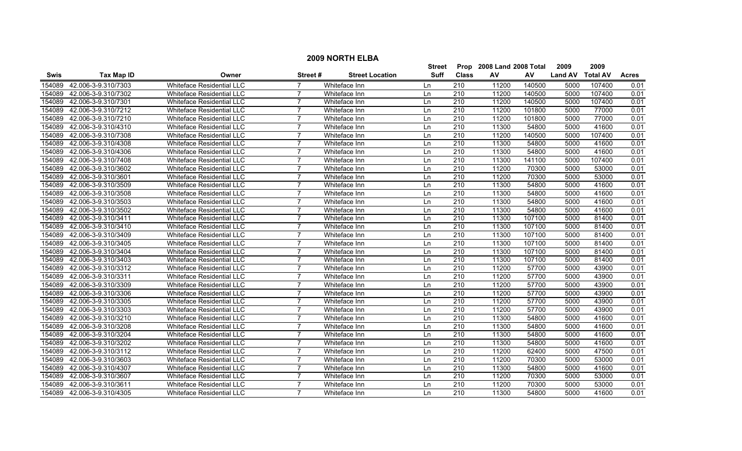|             |                     |                                  |                |                        | <b>Street</b> | Prop             | 2008 Land 2008 Total |        | 2009           | 2009            |              |
|-------------|---------------------|----------------------------------|----------------|------------------------|---------------|------------------|----------------------|--------|----------------|-----------------|--------------|
| <b>Swis</b> | <b>Tax Map ID</b>   | Owner                            | Street #       | <b>Street Location</b> | <b>Suff</b>   | <b>Class</b>     | AV                   | AV     | <b>Land AV</b> | <b>Total AV</b> | <b>Acres</b> |
| 154089      | 42.006-3-9.310/7303 | <b>Whiteface Residential LLC</b> |                | Whiteface Inn          | Ln            | 210              | 11200                | 140500 | 5000           | 107400          | 0.01         |
| 154089      | 42.006-3-9.310/7302 | Whiteface Residential LLC        |                | Whiteface Inn          | Ln            | $\overline{210}$ | 11200                | 140500 | 5000           | 107400          | 0.01         |
| 154089      | 42.006-3-9.310/7301 | <b>Whiteface Residential LLC</b> | $\overline{7}$ | Whiteface Inn          | Ln            | 210              | 11200                | 140500 | 5000           | 107400          | 0.01         |
| 154089      | 42.006-3-9.310/7212 | <b>Whiteface Residential LLC</b> |                | Whiteface Inn          | Ln            | 210              | 11200                | 101800 | 5000           | 77000           | 0.01         |
| 154089      | 42.006-3-9.310/7210 | Whiteface Residential LLC        |                | Whiteface Inn          | Ln            | 210              | 11200                | 101800 | 5000           | 77000           | 0.01         |
| 154089      | 42.006-3-9.310/4310 | <b>Whiteface Residential LLC</b> | 7              | Whiteface Inn          | Ln            | 210              | 11300                | 54800  | 5000           | 41600           | 0.01         |
| 154089      | 42.006-3-9.310/7308 | <b>Whiteface Residential LLC</b> | 7              | Whiteface Inn          | Ln            | $\overline{210}$ | 11200                | 140500 | 5000           | 107400          | 0.01         |
| 154089      | 42.006-3-9.310/4308 | <b>Whiteface Residential LLC</b> | 7              | Whiteface Inn          | Ln            | 210              | 11300                | 54800  | 5000           | 41600           | 0.01         |
| 154089      | 42.006-3-9.310/4306 | <b>Whiteface Residential LLC</b> | $\overline{7}$ | Whiteface Inn          | Ln            | 210              | 11300                | 54800  | 5000           | 41600           | 0.01         |
| 154089      | 42.006-3-9.310/7408 | Whiteface Residential LLC        |                | Whiteface Inn          | Ln            | $\overline{210}$ | 11300                | 141100 | 5000           | 107400          | 0.01         |
| 154089      | 42.006-3-9.310/3602 | Whiteface Residential LLC        | $\overline{ }$ | Whiteface Inn          | Ln            | $\overline{210}$ | 11200                | 70300  | 5000           | 53000           | 0.01         |
| 154089      | 42.006-3-9.310/3601 | Whiteface Residential LLC        | $\overline{7}$ | Whiteface Inn          | Ln            | 210              | 11200                | 70300  | 5000           | 53000           | 0.01         |
| 154089      | 42.006-3-9.310/3509 | Whiteface Residential LLC        | $\overline{7}$ | Whiteface Inn          | Ln            | 210              | 11300                | 54800  | 5000           | 41600           | 0.01         |
| 154089      | 42.006-3-9.310/3508 | Whiteface Residential LLC        | 7              | Whiteface Inn          | Ln            | 210              | 11300                | 54800  | 5000           | 41600           | 0.01         |
| 154089      | 42.006-3-9.310/3503 | Whiteface Residential LLC        |                | Whiteface Inn          | Ln            | 210              | 11300                | 54800  | 5000           | 41600           | 0.01         |
| 154089      | 42.006-3-9.310/3502 | Whiteface Residential LLC        | 7              | Whiteface Inn          | Ln            | 210              | 11300                | 54800  | 5000           | 41600           | 0.01         |
| 154089      | 42.006-3-9.310/3411 | Whiteface Residential LLC        |                | Whiteface Inn          | Ln            | 210              | 11300                | 107100 | 5000           | 81400           | 0.01         |
| 154089      | 42.006-3-9.310/3410 | Whiteface Residential LLC        |                | Whiteface Inn          | Ln            | 210              | 11300                | 107100 | 5000           | 81400           | 0.01         |
| 154089      | 42.006-3-9.310/3409 | <b>Whiteface Residential LLC</b> | 7              | Whiteface Inn          | Ln            | 210              | 11300                | 107100 | 5000           | 81400           | 0.01         |
| 154089      | 42.006-3-9.310/3405 | <b>Whiteface Residential LLC</b> | $\overline{7}$ | Whiteface Inn          | Ln            | 210              | 11300                | 107100 | 5000           | 81400           | 0.01         |
| 154089      | 42.006-3-9.310/3404 | Whiteface Residential LLC        | $\overline{7}$ | Whiteface Inn          | Ln            | 210              | 11300                | 107100 | 5000           | 81400           | 0.01         |
| 154089      | 42.006-3-9.310/3403 | Whiteface Residential LLC        | 7              | Whiteface Inn          | Ln            | 210              | 11300                | 107100 | 5000           | 81400           | 0.01         |
| 154089      | 42.006-3-9.310/3312 | <b>Whiteface Residential LLC</b> | 7              | Whiteface Inn          | Ln            | 210              | 11200                | 57700  | 5000           | 43900           | 0.01         |
| 154089      | 42.006-3-9.310/3311 | Whiteface Residential LLC        |                | Whiteface Inn          | Ln            | $\overline{210}$ | 11200                | 57700  | 5000           | 43900           | 0.01         |
| 154089      | 42.006-3-9.310/3309 | <b>Whiteface Residential LLC</b> | $\overline{7}$ | Whiteface Inn          | Ln            | $\overline{210}$ | 11200                | 57700  | 5000           | 43900           | 0.01         |
| 154089      | 42.006-3-9.310/3306 | Whiteface Residential LLC        | 7              | Whiteface Inn          | Ln            | 210              | 11200                | 57700  | 5000           | 43900           | 0.01         |
| 154089      | 42.006-3-9.310/3305 | <b>Whiteface Residential LLC</b> | $\overline{7}$ | Whiteface Inn          | Ln            | $\overline{210}$ | 11200                | 57700  | 5000           | 43900           | 0.01         |
| 154089      | 42.006-3-9.310/3303 | Whiteface Residential LLC        | $\overline{7}$ | Whiteface Inn          | Ln            | 210              | 11200                | 57700  | 5000           | 43900           | 0.01         |
| 154089      | 42.006-3-9.310/3210 | Whiteface Residential LLC        | 7              | Whiteface Inn          | Ln            | 210              | 11300                | 54800  | 5000           | 41600           | 0.01         |
| 154089      | 42.006-3-9.310/3208 | <b>Whiteface Residential LLC</b> |                | Whiteface Inn          | Ln            | 210              | 11300                | 54800  | 5000           | 41600           | 0.01         |
| 154089      | 42.006-3-9.310/3204 | Whiteface Residential LLC        |                | Whiteface Inn          | Ln            | 210              | 11300                | 54800  | 5000           | 41600           | 0.01         |
| 154089      | 42.006-3-9.310/3202 | Whiteface Residential LLC        |                | Whiteface Inn          | Ln            | 210              | 11300                | 54800  | 5000           | 41600           | 0.01         |
| 154089      | 42.006-3-9.310/3112 | <b>Whiteface Residential LLC</b> |                | Whiteface Inn          | Ln            | 210              | 11200                | 62400  | 5000           | 47500           | 0.01         |
| 154089      | 42.006-3-9.310/3603 | <b>Whiteface Residential LLC</b> | $\overline{7}$ | Whiteface Inn          | Ln            | 210              | 11200                | 70300  | 5000           | 53000           | 0.01         |
| 154089      | 42.006-3-9.310/4307 | Whiteface Residential LLC        | $\overline{7}$ | Whiteface Inn          | Ln            | 210              | 11300                | 54800  | 5000           | 41600           | 0.01         |
| 154089      | 42.006-3-9.310/3607 | Whiteface Residential LLC        | $\overline{7}$ | Whiteface Inn          | Ln            | 210              | 11200                | 70300  | 5000           | 53000           | 0.01         |
| 154089      | 42.006-3-9.310/3611 | <b>Whiteface Residential LLC</b> | 7              | Whiteface Inn          | Ln            | 210              | 11200                | 70300  | 5000           | 53000           | 0.01         |
| 154089      | 42.006-3-9.310/4305 | Whiteface Residential LLC        | $\overline{7}$ | Whiteface Inn          | l n           | 210              | 11300                | 54800  | 5000           | 41600           | 0.01         |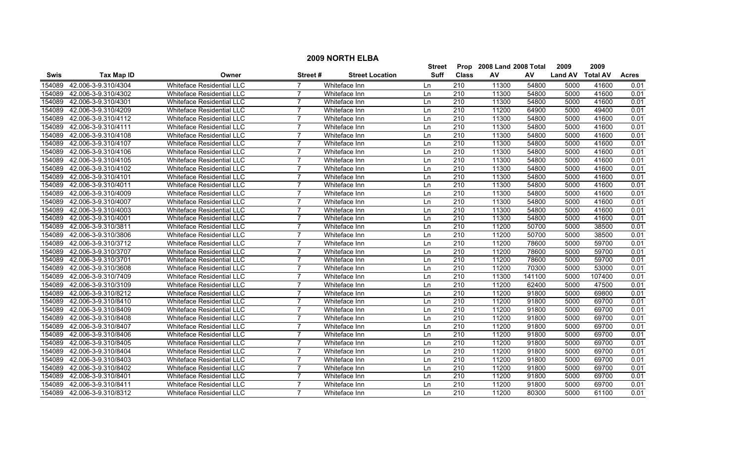|             |                     |                                  |                 |                        | Street      | Prop             | 2008 Land 2008 Total |        | 2009           | 2009            |              |
|-------------|---------------------|----------------------------------|-----------------|------------------------|-------------|------------------|----------------------|--------|----------------|-----------------|--------------|
| <b>Swis</b> | <b>Tax Map ID</b>   | Owner                            | <b>Street #</b> | <b>Street Location</b> | <b>Suff</b> | <b>Class</b>     | AV                   | AV     | <b>Land AV</b> | <b>Total AV</b> | <b>Acres</b> |
| 154089      | 42.006-3-9.310/4304 | Whiteface Residential LLC        |                 | Whiteface Inn          | Ln          | 210              | 11300                | 54800  | 5000           | 41600           | 0.01         |
| 154089      | 42.006-3-9.310/4302 | Whiteface Residential LLC        | $\overline{7}$  | Whiteface Inn          | Ln          | 210              | 11300                | 54800  | 5000           | 41600           | 0.01         |
| 154089      | 42.006-3-9.310/4301 | <b>Whiteface Residential LLC</b> | 7               | Whiteface Inn          | Ln          | 210              | 11300                | 54800  | 5000           | 41600           | 0.01         |
| 154089      | 42.006-3-9.310/4209 | <b>Whiteface Residential LLC</b> | 7               | Whiteface Inn          | Ln          | 210              | 11200                | 64900  | 5000           | 49400           | 0.01         |
| 154089      | 42.006-3-9.310/4112 | Whiteface Residential LLC        | $\overline{7}$  | Whiteface Inn          | Ln          | 210              | 11300                | 54800  | 5000           | 41600           | 0.01         |
| 154089      | 42.006-3-9.310/4111 | <b>Whiteface Residential LLC</b> | $\overline{7}$  | Whiteface Inn          | Ln          | 210              | 11300                | 54800  | 5000           | 41600           | 0.01         |
| 154089      | 42.006-3-9.310/4108 | <b>Whiteface Residential LLC</b> | 7               | Whiteface Inn          | Ln          | 210              | 11300                | 54800  | 5000           | 41600           | 0.01         |
| 154089      | 42.006-3-9.310/4107 | <b>Whiteface Residential LLC</b> | $\overline{7}$  | Whiteface Inn          | Ln          | 210              | 11300                | 54800  | 5000           | 41600           | 0.01         |
| 154089      | 42.006-3-9.310/4106 | Whiteface Residential LLC        | $\overline{7}$  | Whiteface Inn          | Ln          | 210              | 11300                | 54800  | 5000           | 41600           | 0.01         |
| 154089      | 42.006-3-9.310/4105 | Whiteface Residential LLC        |                 | Whiteface Inn          | Ln          | 210              | 11300                | 54800  | 5000           | 41600           | 0.01         |
| 154089      | 42.006-3-9.310/4102 | Whiteface Residential LLC        | 7               | Whiteface Inn          | Ln          | $\overline{210}$ | 11300                | 54800  | 5000           | 41600           | 0.01         |
| 154089      | 42.006-3-9.310/4101 | Whiteface Residential LLC        | $\overline{7}$  | Whiteface Inn          | Ln          | 210              | 11300                | 54800  | 5000           | 41600           | 0.01         |
| 154089      | 42.006-3-9.310/4011 | Whiteface Residential LLC        | $\overline{7}$  | Whiteface Inn          | Ln          | 210              | 11300                | 54800  | 5000           | 41600           | 0.01         |
| 154089      | 42.006-3-9.310/4009 | <b>Whiteface Residential LLC</b> | 7               | Whiteface Inn          | Ln          | 210              | 11300                | 54800  | 5000           | 41600           | 0.01         |
| 154089      | 42.006-3-9.310/4007 | Whiteface Residential LLC        | $\overline{7}$  | Whiteface Inn          | Ln          | 210              | 11300                | 54800  | 5000           | 41600           | 0.01         |
| 154089      | 42.006-3-9.310/4003 | Whiteface Residential LLC        | 7               | Whiteface Inn          | Ln          | 210              | 11300                | 54800  | 5000           | 41600           | 0.01         |
| 154089      | 42.006-3-9.310/4001 | Whiteface Residential LLC        |                 | Whiteface Inn          | Ln          | 210              | 11300                | 54800  | 5000           | 41600           | 0.01         |
| 154089      | 42.006-3-9.310/3811 | Whiteface Residential LLC        | $\overline{7}$  | Whiteface Inn          | Ln          | 210              | 11200                | 50700  | 5000           | 38500           | 0.01         |
| 154089      | 42.006-3-9.310/3806 | <b>Whiteface Residential LLC</b> | $\overline{7}$  | Whiteface Inn          | Ln          | 210              | 11200                | 50700  | 5000           | 38500           | 0.01         |
| 154089      | 42.006-3-9.310/3712 | <b>Whiteface Residential LLC</b> | $\overline{7}$  | Whiteface Inn          | Ln          | 210              | 11200                | 78600  | 5000           | 59700           | 0.01         |
| 154089      | 42.006-3-9.310/3707 | <b>Whiteface Residential LLC</b> | $\overline{7}$  | Whiteface Inn          | Ln          | 210              | 11200                | 78600  | 5000           | 59700           | 0.01         |
| 154089      | 42.006-3-9.310/3701 | Whiteface Residential LLC        | 7               | Whiteface Inn          | Ln          | 210              | 11200                | 78600  | 5000           | 59700           | 0.01         |
| 154089      | 42.006-3-9.310/3608 | Whiteface Residential LLC        | 7               | Whiteface Inn          | Ln          | 210              | 11200                | 70300  | 5000           | 53000           | 0.01         |
| 154089      | 42.006-3-9.310/7409 | Whiteface Residential LLC        |                 | Whiteface Inn          | Ln          | 210              | 11300                | 141100 | 5000           | 107400          | 0.01         |
| 154089      | 42.006-3-9.310/3109 | Whiteface Residential LLC        | 7               | Whiteface Inn          | Ln          | $\overline{210}$ | 11200                | 62400  | 5000           | 47500           | 0.01         |
| 154089      | 42.006-3-9.310/8212 | Whiteface Residential LLC        | $\overline{7}$  | Whiteface Inn          | Ln          | 210              | 11200                | 91800  | 5000           | 69800           | 0.01         |
| 154089      | 42.006-3-9.310/8410 | <b>Whiteface Residential LLC</b> | $\overline{7}$  | Whiteface Inn          | Ln          | 210              | 11200                | 91800  | 5000           | 69700           | 0.01         |
| 154089      | 42.006-3-9.310/8409 | Whiteface Residential LLC        | $\overline{7}$  | Whiteface Inn          | Ln          | 210              | 11200                | 91800  | 5000           | 69700           | 0.01         |
| 154089      | 42.006-3-9.310/8408 | Whiteface Residential LLC        | 7               | Whiteface Inn          | Ln          | 210              | 11200                | 91800  | 5000           | 69700           | 0.01         |
| 154089      | 42.006-3-9.310/8407 | <b>Whiteface Residential LLC</b> | 7               | Whiteface Inn          | Ln          | 210              | 11200                | 91800  | 5000           | 69700           | 0.01         |
| 154089      | 42.006-3-9.310/8406 | Whiteface Residential LLC        | 7               | Whiteface Inn          | Ln          | 210              | 11200                | 91800  | 5000           | 69700           | 0.01         |
| 154089      | 42.006-3-9.310/8405 | Whiteface Residential LLC        |                 | Whiteface Inn          | Ln          | 210              | 11200                | 91800  | 5000           | 69700           | 0.01         |
| 154089      | 42.006-3-9.310/8404 | <b>Whiteface Residential LLC</b> | 7               | Whiteface Inn          | Ln          | 210              | 11200                | 91800  | 5000           | 69700           | 0.01         |
| 154089      | 42.006-3-9.310/8403 | <b>Whiteface Residential LLC</b> | $\overline{7}$  | Whiteface Inn          | Ln          | 210              | 11200                | 91800  | 5000           | 69700           | 0.01         |
| 154089      | 42.006-3-9.310/8402 | Whiteface Residential LLC        | $\overline{7}$  | Whiteface Inn          | Ln          | 210              | 11200                | 91800  | 5000           | 69700           | 0.01         |
| 154089      | 42.006-3-9.310/8401 | Whiteface Residential LLC        | 7               | Whiteface Inn          | Ln          | 210              | 11200                | 91800  | 5000           | 69700           | 0.01         |
| 154089      | 42.006-3-9.310/8411 | <b>Whiteface Residential LLC</b> | $\overline{7}$  | Whiteface Inn          | Ln          | 210              | 11200                | 91800  | 5000           | 69700           | 0.01         |
| 154089      | 42.006-3-9.310/8312 | Whiteface Residential LLC        | $\overline{7}$  | Whiteface Inn          | ln          | 210              | 11200                | 80300  | 5000           | 61100           | 0.01         |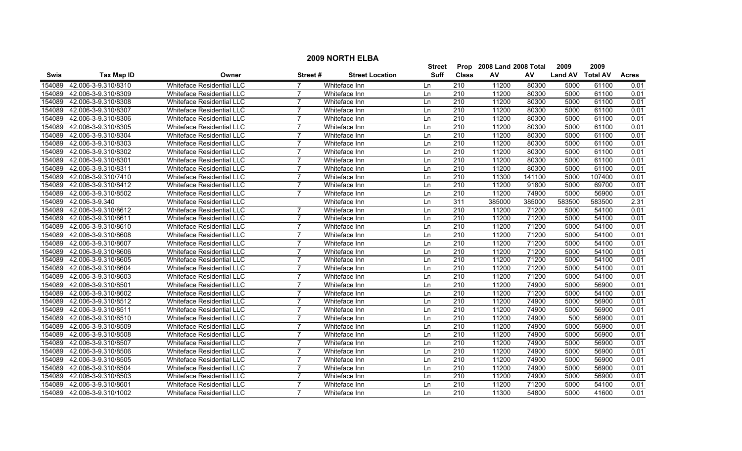|             |                     |                                  |                |                        | <b>Street</b> | Prop             | 2008 Land 2008 Total |        | 2009           | 2009            |              |
|-------------|---------------------|----------------------------------|----------------|------------------------|---------------|------------------|----------------------|--------|----------------|-----------------|--------------|
| <b>Swis</b> | <b>Tax Map ID</b>   | Owner                            | Street #       | <b>Street Location</b> | <b>Suff</b>   | <b>Class</b>     | AV                   | AV     | <b>Land AV</b> | <b>Total AV</b> | <b>Acres</b> |
| 154089      | 42.006-3-9.310/8310 | <b>Whiteface Residential LLC</b> |                | Whiteface Inn          | Ln            | 210              | 11200                | 80300  | 5000           | 61100           | 0.01         |
| 154089      | 42.006-3-9.310/8309 | Whiteface Residential LLC        |                | Whiteface Inn          | Ln            | $\overline{210}$ | 11200                | 80300  | 5000           | 61100           | 0.01         |
| 154089      | 42.006-3-9.310/8308 | <b>Whiteface Residential LLC</b> | $\overline{7}$ | Whiteface Inn          | Ln            | 210              | 11200                | 80300  | 5000           | 61100           | 0.01         |
| 154089      | 42.006-3-9.310/8307 | <b>Whiteface Residential LLC</b> |                | Whiteface Inn          | Ln            | 210              | 11200                | 80300  | 5000           | 61100           | 0.01         |
| 154089      | 42.006-3-9.310/8306 | Whiteface Residential LLC        |                | Whiteface Inn          | Ln            | 210              | 11200                | 80300  | 5000           | 61100           | 0.01         |
| 154089      | 42.006-3-9.310/8305 | <b>Whiteface Residential LLC</b> | 7              | Whiteface Inn          | Ln            | 210              | 11200                | 80300  | 5000           | 61100           | 0.01         |
| 154089      | 42.006-3-9.310/8304 | <b>Whiteface Residential LLC</b> | 7              | Whiteface Inn          | Ln            | $\overline{210}$ | 11200                | 80300  | 5000           | 61100           | 0.01         |
| 154089      | 42.006-3-9.310/8303 | <b>Whiteface Residential LLC</b> | $\overline{7}$ | Whiteface Inn          | Ln            | 210              | 11200                | 80300  | 5000           | 61100           | 0.01         |
| 154089      | 42.006-3-9.310/8302 | <b>Whiteface Residential LLC</b> | $\overline{7}$ | Whiteface Inn          | Ln            | 210              | 11200                | 80300  | 5000           | 61100           | 0.01         |
| 154089      | 42.006-3-9.310/8301 | Whiteface Residential LLC        |                | Whiteface Inn          | Ln            | $\overline{210}$ | 11200                | 80300  | 5000           | 61100           | 0.01         |
| 154089      | 42.006-3-9.310/8311 | Whiteface Residential LLC        | $\overline{ }$ | Whiteface Inn          | Ln            | $\overline{210}$ | 11200                | 80300  | 5000           | 61100           | 0.01         |
| 154089      | 42.006-3-9.310/7410 | Whiteface Residential LLC        | $\overline{7}$ | Whiteface Inn          | Ln            | 210              | 11300                | 141100 | 5000           | 107400          | 0.01         |
| 154089      | 42.006-3-9.310/8412 | Whiteface Residential LLC        | $\overline{7}$ | Whiteface Inn          | Ln            | 210              | 11200                | 91800  | 5000           | 69700           | 0.01         |
| 154089      | 42.006-3-9.310/8502 | Whiteface Residential LLC        | $\overline{7}$ | Whiteface Inn          | Ln            | 210              | 11200                | 74900  | 5000           | 56900           | 0.01         |
| 154089      | 42.006-3-9.340      | Whiteface Residential LLC        |                | Whiteface Inn          | Ln            | 311              | 385000               | 385000 | 583500         | 583500          | 2.31         |
| 154089      | 42.006-3-9.310/8612 | Whiteface Residential LLC        |                | Whiteface Inn          | Ln            | 210              | 11200                | 71200  | 5000           | 54100           | 0.01         |
| 154089      | 42.006-3-9.310/8611 | Whiteface Residential LLC        |                | Whiteface Inn          | Ln            | 210              | 11200                | 71200  | 5000           | 54100           | 0.01         |
| 154089      | 42.006-3-9.310/8610 | Whiteface Residential LLC        |                | Whiteface Inn          | Ln            | 210              | 11200                | 71200  | 5000           | 54100           | 0.01         |
| 154089      | 42.006-3-9.310/8608 | <b>Whiteface Residential LLC</b> | 7              | Whiteface Inn          | Ln            | 210              | 11200                | 71200  | 5000           | 54100           | 0.01         |
| 154089      | 42.006-3-9.310/8607 | <b>Whiteface Residential LLC</b> | $\overline{7}$ | Whiteface Inn          | Ln            | 210              | 11200                | 71200  | 5000           | 54100           | 0.01         |
| 154089      | 42.006-3-9.310/8606 | Whiteface Residential LLC        | $\overline{7}$ | Whiteface Inn          | Ln            | 210              | 11200                | 71200  | 5000           | 54100           | 0.01         |
| 154089      | 42.006-3-9.310/8605 | Whiteface Residential LLC        | 7              | Whiteface Inn          | Ln            | 210              | 11200                | 71200  | 5000           | 54100           | 0.01         |
| 154089      | 42.006-3-9.310/8604 | <b>Whiteface Residential LLC</b> | 7              | Whiteface Inn          | Ln            | 210              | 11200                | 71200  | 5000           | 54100           | 0.01         |
| 154089      | 42.006-3-9.310/8603 | Whiteface Residential LLC        |                | Whiteface Inn          | Ln            | $\overline{210}$ | 11200                | 71200  | 5000           | 54100           | 0.01         |
| 154089      | 42.006-3-9.310/8501 | Whiteface Residential LLC        | $\overline{7}$ | Whiteface Inn          | Ln            | $\overline{210}$ | 11200                | 74900  | 5000           | 56900           | 0.01         |
| 154089      | 42.006-3-9.310/8602 | Whiteface Residential LLC        | 7              | Whiteface Inn          | Ln            | 210              | 11200                | 71200  | 5000           | 54100           | 0.01         |
| 154089      | 42.006-3-9.310/8512 | <b>Whiteface Residential LLC</b> | $\overline{7}$ | Whiteface Inn          | Ln            | $\overline{210}$ | 11200                | 74900  | 5000           | 56900           | 0.01         |
| 154089      | 42.006-3-9.310/8511 | Whiteface Residential LLC        | $\overline{7}$ | Whiteface Inn          | Ln            | 210              | 11200                | 74900  | 5000           | 56900           | 0.01         |
| 154089      | 42.006-3-9.310/8510 | Whiteface Residential LLC        | 7              | Whiteface Inn          | Ln            | 210              | 11200                | 74900  | 500            | 56900           | 0.01         |
| 154089      | 42.006-3-9.310/8509 | <b>Whiteface Residential LLC</b> |                | Whiteface Inn          | Ln            | 210              | 11200                | 74900  | 5000           | 56900           | 0.01         |
| 154089      | 42.006-3-9.310/8508 | Whiteface Residential LLC        |                | Whiteface Inn          | Ln            | 210              | 11200                | 74900  | 5000           | 56900           | 0.01         |
| 154089      | 42.006-3-9.310/8507 | Whiteface Residential LLC        |                | Whiteface Inn          | Ln            | 210              | 11200                | 74900  | 5000           | 56900           | 0.01         |
| 154089      | 42.006-3-9.310/8506 | <b>Whiteface Residential LLC</b> |                | Whiteface Inn          | Ln            | 210              | 11200                | 74900  | 5000           | 56900           | 0.01         |
| 154089      | 42.006-3-9.310/8505 | <b>Whiteface Residential LLC</b> | $\overline{7}$ | Whiteface Inn          | Ln            | 210              | 11200                | 74900  | 5000           | 56900           | 0.01         |
| 154089      | 42.006-3-9.310/8504 | Whiteface Residential LLC        | $\overline{7}$ | Whiteface Inn          | Ln            | 210              | 11200                | 74900  | 5000           | 56900           | 0.01         |
| 154089      | 42.006-3-9.310/8503 | Whiteface Residential LLC        | $\overline{7}$ | Whiteface Inn          | Ln            | 210              | 11200                | 74900  | 5000           | 56900           | 0.01         |
| 154089      | 42.006-3-9.310/8601 | <b>Whiteface Residential LLC</b> | 7              | Whiteface Inn          | Ln            | 210              | 11200                | 71200  | 5000           | 54100           | 0.01         |
| 154089      | 42.006-3-9.310/1002 | Whiteface Residential LLC        | $\overline{7}$ | Whiteface Inn          | l n           | 210              | 11300                | 54800  | 5000           | 41600           | 0.01         |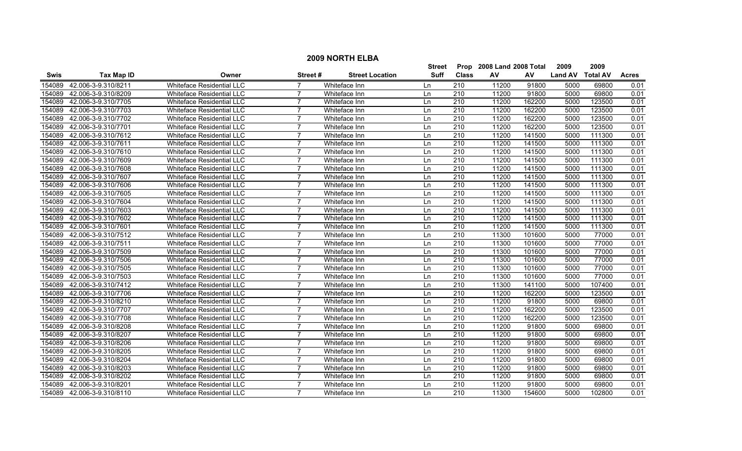|             |                     |                                  |                 |                        | Street      | Prop             | 2008 Land 2008 Total |        | 2009           | 2009            |              |
|-------------|---------------------|----------------------------------|-----------------|------------------------|-------------|------------------|----------------------|--------|----------------|-----------------|--------------|
| <b>Swis</b> | <b>Tax Map ID</b>   | Owner                            | <b>Street #</b> | <b>Street Location</b> | <b>Suff</b> | <b>Class</b>     | AV                   | AV     | <b>Land AV</b> | <b>Total AV</b> | <b>Acres</b> |
| 154089      | 42.006-3-9.310/8211 | Whiteface Residential LLC        |                 | Whiteface Inn          | Ln          | 210              | 11200                | 91800  | 5000           | 69800           | 0.01         |
| 154089      | 42.006-3-9.310/8209 | Whiteface Residential LLC        | $\overline{7}$  | Whiteface Inn          | Ln          | 210              | 11200                | 91800  | 5000           | 69800           | 0.01         |
| 154089      | 42.006-3-9.310/7705 | <b>Whiteface Residential LLC</b> | $\overline{7}$  | Whiteface Inn          | Ln          | 210              | 11200                | 162200 | 5000           | 123500          | 0.01         |
| 154089      | 42.006-3-9.310/7703 | <b>Whiteface Residential LLC</b> | 7               | Whiteface Inn          | Ln          | 210              | 11200                | 162200 | 5000           | 123500          | 0.01         |
| 154089      | 42.006-3-9.310/7702 | <b>Whiteface Residential LLC</b> | $\overline{7}$  | Whiteface Inn          | Ln          | 210              | 11200                | 162200 | 5000           | 123500          | 0.01         |
| 154089      | 42.006-3-9.310/7701 | <b>Whiteface Residential LLC</b> | $\overline{7}$  | Whiteface Inn          | Ln          | 210              | 11200                | 162200 | 5000           | 123500          | 0.01         |
| 154089      | 42.006-3-9.310/7612 | <b>Whiteface Residential LLC</b> | 7               | Whiteface Inn          | Ln          | 210              | 11200                | 141500 | 5000           | 111300          | 0.01         |
| 154089      | 42.006-3-9.310/7611 | <b>Whiteface Residential LLC</b> | $\overline{7}$  | Whiteface Inn          | Ln          | 210              | 11200                | 141500 | 5000           | 111300          | 0.01         |
| 154089      | 42.006-3-9.310/7610 | Whiteface Residential LLC        | $\overline{7}$  | Whiteface Inn          | Ln          | 210              | 11200                | 141500 | 5000           | 111300          | 0.01         |
| 154089      | 42.006-3-9.310/7609 | Whiteface Residential LLC        |                 | Whiteface Inn          | Ln          | 210              | 11200                | 141500 | 5000           | 111300          | 0.01         |
| 154089      | 42.006-3-9.310/7608 | Whiteface Residential LLC        | 7               | Whiteface Inn          | Ln          | $\overline{210}$ | 11200                | 141500 | 5000           | 111300          | 0.01         |
| 154089      | 42.006-3-9.310/7607 | Whiteface Residential LLC        | $\overline{7}$  | Whiteface Inn          | Ln          | 210              | 11200                | 141500 | 5000           | 111300          | 0.01         |
| 154089      | 42.006-3-9.310/7606 | Whiteface Residential LLC        | $\overline{7}$  | Whiteface Inn          | Ln          | 210              | 11200                | 141500 | 5000           | 111300          | 0.01         |
| 154089      | 42.006-3-9.310/7605 | <b>Whiteface Residential LLC</b> | $\overline{7}$  | Whiteface Inn          | Ln          | 210              | 11200                | 141500 | 5000           | 111300          | 0.01         |
| 154089      | 42.006-3-9.310/7604 | Whiteface Residential LLC        | $\overline{7}$  | Whiteface Inn          | Ln          | 210              | 11200                | 141500 | 5000           | 111300          | 0.01         |
| 154089      | 42.006-3-9.310/7603 | Whiteface Residential LLC        | 7               | Whiteface Inn          | Ln          | 210              | 11200                | 141500 | 5000           | 111300          | 0.01         |
| 154089      | 42.006-3-9.310/7602 | Whiteface Residential LLC        |                 | Whiteface Inn          | Ln          | 210              | 11200                | 141500 | 5000           | 111300          | 0.01         |
| 154089      | 42.006-3-9.310/7601 | Whiteface Residential LLC        | $\overline{7}$  | Whiteface Inn          | Ln          | 210              | 11200                | 141500 | 5000           | 111300          | 0.01         |
| 154089      | 42.006-3-9.310/7512 | <b>Whiteface Residential LLC</b> | $\overline{7}$  | Whiteface Inn          | Ln          | 210              | 11300                | 101600 | 5000           | 77000           | 0.01         |
| 154089      | 42.006-3-9.310/7511 | <b>Whiteface Residential LLC</b> | $\overline{7}$  | Whiteface Inn          | Ln          | 210              | 11300                | 101600 | 5000           | 77000           | 0.01         |
| 154089      | 42.006-3-9.310/7509 | <b>Whiteface Residential LLC</b> | $\overline{7}$  | Whiteface Inn          | Ln          | 210              | 11300                | 101600 | 5000           | 77000           | 0.01         |
| 154089      | 42.006-3-9.310/7506 | Whiteface Residential LLC        | 7               | Whiteface Inn          | Ln          | 210              | 11300                | 101600 | 5000           | 77000           | 0.01         |
| 154089      | 42.006-3-9.310/7505 | Whiteface Residential LLC        | 7               | Whiteface Inn          | Ln          | 210              | 11300                | 101600 | 5000           | 77000           | 0.01         |
| 154089      | 42.006-3-9.310/7503 | Whiteface Residential LLC        |                 | Whiteface Inn          | Ln          | 210              | 11300                | 101600 | 5000           | 77000           | 0.01         |
| 154089      | 42.006-3-9.310/7412 | Whiteface Residential LLC        | 7               | Whiteface Inn          | Ln          | $\overline{210}$ | 11300                | 141100 | 5000           | 107400          | 0.01         |
| 154089      | 42.006-3-9.310/7706 | Whiteface Residential LLC        | $\overline{7}$  | Whiteface Inn          | Ln          | 210              | 11200                | 162200 | 5000           | 123500          | 0.01         |
| 154089      | 42.006-3-9.310/8210 | <b>Whiteface Residential LLC</b> | $\overline{7}$  | Whiteface Inn          | Ln          | $\overline{210}$ | 11200                | 91800  | 5000           | 69800           | 0.01         |
| 154089      | 42.006-3-9.310/7707 | Whiteface Residential LLC        | $\overline{7}$  | Whiteface Inn          | Ln          | 210              | 11200                | 162200 | 5000           | 123500          | 0.01         |
| 154089      | 42.006-3-9.310/7708 | Whiteface Residential LLC        | 7               | Whiteface Inn          | Ln          | 210              | 11200                | 162200 | 5000           | 123500          | 0.01         |
| 154089      | 42.006-3-9.310/8208 | <b>Whiteface Residential LLC</b> | 7               | Whiteface Inn          | Ln          | 210              | 11200                | 91800  | 5000           | 69800           | 0.01         |
| 154089      | 42.006-3-9.310/8207 | Whiteface Residential LLC        |                 | Whiteface Inn          | Ln          | 210              | 11200                | 91800  | 5000           | 69800           | 0.01         |
| 154089      | 42.006-3-9.310/8206 | Whiteface Residential LLC        |                 | Whiteface Inn          | Ln          | 210              | 11200                | 91800  | 5000           | 69800           | 0.01         |
| 154089      | 42.006-3-9.310/8205 | <b>Whiteface Residential LLC</b> | 7               | Whiteface Inn          | Ln          | 210              | 11200                | 91800  | 5000           | 69800           | 0.01         |
| 154089      | 42.006-3-9.310/8204 | <b>Whiteface Residential LLC</b> | $\overline{7}$  | Whiteface Inn          | Ln          | 210              | 11200                | 91800  | 5000           | 69800           | 0.01         |
| 154089      | 42.006-3-9.310/8203 | Whiteface Residential LLC        | $\overline{7}$  | Whiteface Inn          | Ln          | 210              | 11200                | 91800  | 5000           | 69800           | 0.01         |
| 154089      | 42.006-3-9.310/8202 | Whiteface Residential LLC        | 7               | Whiteface Inn          | Ln          | 210              | 11200                | 91800  | 5000           | 69800           | 0.01         |
| 154089      | 42.006-3-9.310/8201 | <b>Whiteface Residential LLC</b> | $\overline{7}$  | Whiteface Inn          | Ln          | 210              | 11200                | 91800  | 5000           | 69800           | 0.01         |
| 154089      | 42.006-3-9.310/8110 | <b>Whiteface Residential LLC</b> | $\overline{7}$  | Whiteface Inn          | ln          | 210              | 11300                | 154600 | 5000           | 102800          | 0.01         |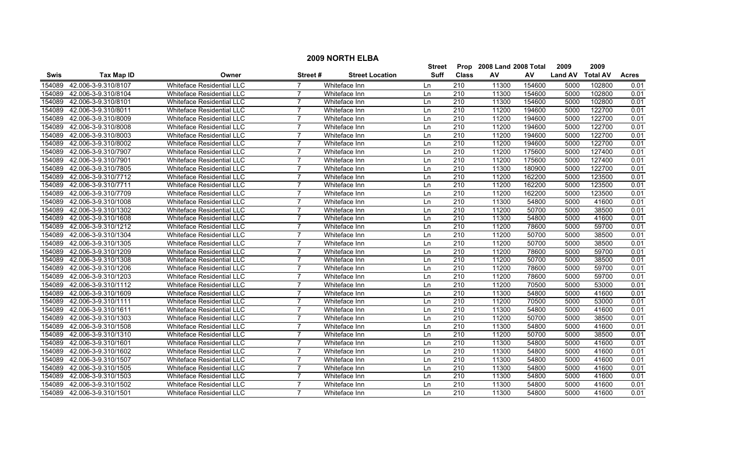|        | <b>2009 NORTH ELBA</b>     |                                  |                |                        |               |                  |                           |        |                |                 |              |  |
|--------|----------------------------|----------------------------------|----------------|------------------------|---------------|------------------|---------------------------|--------|----------------|-----------------|--------------|--|
|        |                            |                                  |                |                        | <b>Street</b> |                  | Prop 2008 Land 2008 Total |        | 2009           | 2009            |              |  |
| Swis   | <b>Tax Map ID</b>          | Owner                            | Street#        | <b>Street Location</b> | <b>Suff</b>   | <b>Class</b>     | AV                        | AV     | <b>Land AV</b> | <b>Total AV</b> | <b>Acres</b> |  |
| 154089 | 42.006-3-9.310/8107        | Whiteface Residential LLC        |                | Whiteface Inn          | Ln            | 210              | 11300                     | 154600 | 5000           | 102800          | 0.01         |  |
| 154089 | 42.006-3-9.310/8104        | <b>Whiteface Residential LLC</b> | 7              | Whiteface Inn          | Ln            | 210              | 11300                     | 154600 | 5000           | 102800          | 0.01         |  |
| 154089 | 42.006-3-9.310/8101        | Whiteface Residential LLC        |                | Whiteface Inn          | Ln            | $\overline{210}$ | 11300                     | 154600 | 5000           | 102800          | 0.01         |  |
| 154089 | 42.006-3-9.310/8011        | Whiteface Residential LLC        |                | Whiteface Inn          | Ln            | 210              | 11200                     | 194600 | 5000           | 122700          | 0.01         |  |
| 154089 | 42.006-3-9.310/8009        | <b>Whiteface Residential LLC</b> | $\overline{7}$ | Whiteface Inn          | Ln            | 210              | 11200                     | 194600 | 5000           | 122700          | 0.01         |  |
| 154089 | 42.006-3-9.310/8008        | Whiteface Residential LLC        | 7              | Whiteface Inn          | Ln            | 210              | 11200                     | 194600 | 5000           | 122700          | 0.01         |  |
| 154089 | 42.006-3-9.310/8003        | <b>Whiteface Residential LLC</b> |                | Whiteface Inn          | Ln            | 210              | 11200                     | 194600 | 5000           | 122700          | 0.01         |  |
| 154089 | 42.006-3-9.310/8002        | Whiteface Residential LLC        |                | Whiteface Inn          | Ln            | 210              | 11200                     | 194600 | 5000           | 122700          | 0.01         |  |
| 154089 | 42.006-3-9.310/7907        | Whiteface Residential LLC        | $\overline{7}$ | Whiteface Inn          | Ln            | $\overline{210}$ | 11200                     | 175600 | 5000           | 127400          | 0.01         |  |
| 154089 | 42.006-3-9.310/7901        | Whiteface Residential LLC        | $\overline{7}$ | Whiteface Inn          | Ln            | $\overline{210}$ | 11200                     | 175600 | 5000           | 127400          | 0.01         |  |
| 154089 | 42.006-3-9.310/7805        | Whiteface Residential LLC        | $\overline{7}$ | Whiteface Inn          | Ln            | $\overline{210}$ | 11300                     | 180900 | 5000           | 122700          | 0.01         |  |
| 154089 | 42.006-3-9.310/7712        | Whiteface Residential LLC        | $\overline{7}$ | Whiteface Inn          | Ln            | 210              | 11200                     | 162200 | 5000           | 123500          | 0.01         |  |
| 154089 | 42.006-3-9.310/7711        | Whiteface Residential LLC        | 7              | Whiteface Inn          | Ln            | 210              | 11200                     | 162200 | 5000           | 123500          | 0.01         |  |
| 154089 | 42.006-3-9.310/7709        | Whiteface Residential LLC        | $\overline{7}$ | Whiteface Inn          | Ln            | 210              | 11200                     | 162200 | 5000           | 123500          | 0.01         |  |
| 154089 | 42.006-3-9.310/1008        | Whiteface Residential LLC        |                | Whiteface Inn          | Ln            | $\overline{210}$ | 11300                     | 54800  | 5000           | 41600           | 0.01         |  |
| 154089 | 42.006-3-9.310/1302        | Whiteface Residential LLC        | $\overline{7}$ | Whiteface Inn          | Ln            | 210              | 11200                     | 50700  | 5000           | 38500           | 0.01         |  |
| 154089 | 42.006-3-9.310/1608        | Whiteface Residential LLC        | $\overline{7}$ | Whiteface Inn          | Ln            | 210              | 11300                     | 54800  | 5000           | 41600           | 0.01         |  |
| 154089 | 42.006-3-9.310/1212        | <b>Whiteface Residential LLC</b> | $\overline{7}$ | Whiteface Inn          | Ln            | 210              | 11200                     | 78600  | 5000           | 59700           | 0.01         |  |
| 154089 | 42.006-3-9.310/1304        | Whiteface Residential LLC        |                | Whiteface Inn          | Ln            | 210              | 11200                     | 50700  | 5000           | 38500           | 0.01         |  |
| 154089 | 42.006-3-9.310/1305        | Whiteface Residential LLC        |                | Whiteface Inn          | Ln            | 210              | 11200                     | 50700  | 5000           | 38500           | 0.01         |  |
| 154089 | 42.006-3-9.310/1209        | Whiteface Residential LLC        |                | Whiteface Inn          | Ln            | $\overline{210}$ | 11200                     | 78600  | 5000           | 59700           | 0.01         |  |
| 154089 | 42.006-3-9.310/1308        | Whiteface Residential LLC        | $\overline{7}$ | Whiteface Inn          | Ln            | 210              | 11200                     | 50700  | 5000           | 38500           | 0.01         |  |
| 154089 | 42.006-3-9.310/1206        | <b>Whiteface Residential LLC</b> | $\overline{7}$ | Whiteface Inn          | Ln            | $\overline{210}$ | 11200                     | 78600  | 5000           | 59700           | 0.01         |  |
| 154089 | 42.006-3-9.310/1203        | Whiteface Residential LLC        | $\overline{7}$ | Whiteface Inn          | Ln            | 210              | 11200                     | 78600  | 5000           | 59700           | 0.01         |  |
| 154089 | 42.006-3-9.310/1112        | Whiteface Residential LLC        | $\overline{7}$ | Whiteface Inn          | Ln            | 210              | 11200                     | 70500  | 5000           | 53000           | 0.01         |  |
| 154089 | 42.006-3-9.310/1609        | Whiteface Residential LLC        | $\overline{7}$ | Whiteface Inn          | Ln            | 210              | 11300                     | 54800  | 5000           | 41600           | 0.01         |  |
| 154089 | 42.006-3-9.310/1111        | Whiteface Residential LLC        |                | Whiteface Inn          | Ln            | $\overline{210}$ | 11200                     | 70500  | 5000           | 53000           | 0.01         |  |
| 154089 | 42.006-3-9.310/1611        | <b>Whiteface Residential LLC</b> | $\overline{7}$ | Whiteface Inn          | Ln            | 210              | 11300                     | 54800  | 5000           | 41600           | 0.01         |  |
| 154089 | 42.006-3-9.310/1303        | <b>Whiteface Residential LLC</b> | $\overline{7}$ | Whiteface Inn          | Ln            | 210              | 11200                     | 50700  | 5000           | 38500           | 0.01         |  |
| 154089 | 42.006-3-9.310/1508        | Whiteface Residential LLC        | $\overline{7}$ | Whiteface Inn          | Ln            | 210              | 11300                     | 54800  | 5000           | 41600           | 0.01         |  |
| 154089 | 42.006-3-9.310/1310        | Whiteface Residential LLC        |                | Whiteface Inn          | Ln            | 210              | 11200                     | 50700  | 5000           | 38500           | 0.01         |  |
| 154089 | 42.006-3-9.310/1601        | Whiteface Residential LLC        |                | Whiteface Inn          | Ln            | 210              | 11300                     | 54800  | 5000           | 41600           | 0.01         |  |
|        | 154089 42.006-3-9.310/1602 | Whiteface Residential LLC        |                | Whiteface Inn          | Ln            | 210              | 11300                     | 54800  | 5000           | 41600           | 0.01         |  |
| 154089 | 42.006-3-9.310/1507        | <b>Whiteface Residential LLC</b> | $\overline{7}$ | Whiteface Inn          | Ln            | $\overline{210}$ | 11300                     | 54800  | 5000           | 41600           | 0.01         |  |
| 154089 | 42.006-3-9.310/1505        | <b>Whiteface Residential LLC</b> | $\overline{7}$ | Whiteface Inn          | Ln            | $\overline{210}$ | 11300                     | 54800  | 5000           | 41600           | 0.01         |  |
| 154089 | 42.006-3-9.310/1503        | Whiteface Residential LLC        | $\overline{7}$ | Whiteface Inn          | Ln            | 210              | 11300                     | 54800  | 5000           | 41600           | 0.01         |  |
| 154089 | 42.006-3-9.310/1502        | Whiteface Residential LLC        | 7              | Whiteface Inn          | Ln            | 210              | 11300                     | 54800  | 5000           | 41600           | 0.01         |  |
|        | 154089 42.006-3-9.310/1501 | <b>Whiteface Residential LLC</b> | $\overline{7}$ | Whiteface Inn          | l n           | 210              | 11300                     | 54800  | 5000           | 41600           | 0.01         |  |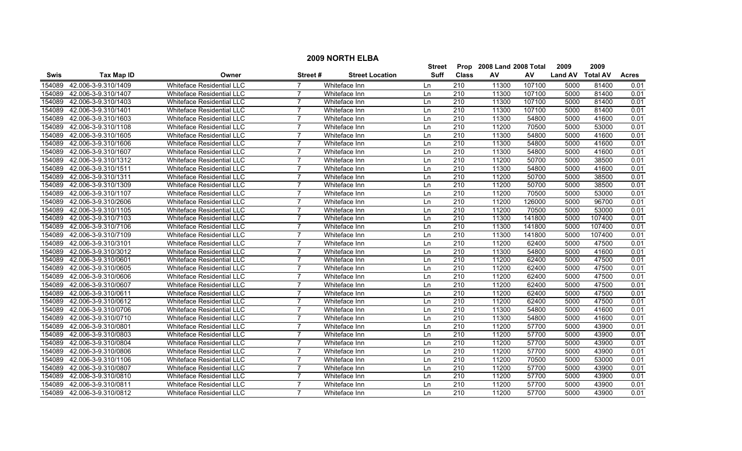|             |                     |                                  |                 |                        | Street      | Prop             | 2008 Land 2008 Total |        | 2009           | 2009            |              |
|-------------|---------------------|----------------------------------|-----------------|------------------------|-------------|------------------|----------------------|--------|----------------|-----------------|--------------|
| <b>Swis</b> | <b>Tax Map ID</b>   | Owner                            | <b>Street #</b> | <b>Street Location</b> | <b>Suff</b> | <b>Class</b>     | AV                   | AV     | <b>Land AV</b> | <b>Total AV</b> | <b>Acres</b> |
| 154089      | 42.006-3-9.310/1409 | Whiteface Residential LLC        |                 | Whiteface Inn          | Ln          | 210              | 11300                | 107100 | 5000           | 81400           | 0.01         |
| 154089      | 42.006-3-9.310/1407 | Whiteface Residential LLC        | $\overline{7}$  | Whiteface Inn          | Ln          | 210              | 11300                | 107100 | 5000           | 81400           | 0.01         |
| 154089      | 42.006-3-9.310/1403 | <b>Whiteface Residential LLC</b> | $\overline{7}$  | Whiteface Inn          | Ln          | 210              | 11300                | 107100 | 5000           | 81400           | 0.01         |
| 154089      | 42.006-3-9.310/1401 | <b>Whiteface Residential LLC</b> | 7               | Whiteface Inn          | Ln          | 210              | 11300                | 107100 | 5000           | 81400           | 0.01         |
| 154089      | 42.006-3-9.310/1603 | <b>Whiteface Residential LLC</b> | $\overline{7}$  | Whiteface Inn          | Ln          | 210              | 11300                | 54800  | 5000           | 41600           | 0.01         |
| 154089      | 42.006-3-9.310/1108 | <b>Whiteface Residential LLC</b> | $\overline{7}$  | Whiteface Inn          | Ln          | 210              | 11200                | 70500  | 5000           | 53000           | 0.01         |
| 154089      | 42.006-3-9.310/1605 | <b>Whiteface Residential LLC</b> | 7               | Whiteface Inn          | Ln          | 210              | 11300                | 54800  | 5000           | 41600           | 0.01         |
| 154089      | 42.006-3-9.310/1606 | <b>Whiteface Residential LLC</b> | $\overline{7}$  | Whiteface Inn          | Ln          | 210              | 11300                | 54800  | 5000           | 41600           | 0.01         |
| 154089      | 42.006-3-9.310/1607 | Whiteface Residential LLC        | $\overline{7}$  | Whiteface Inn          | Ln          | 210              | 11300                | 54800  | 5000           | 41600           | 0.01         |
| 154089      | 42.006-3-9.310/1312 | Whiteface Residential LLC        |                 | Whiteface Inn          | Ln          | 210              | 11200                | 50700  | 5000           | 38500           | 0.01         |
| 154089      | 42.006-3-9.310/1511 | <b>Whiteface Residential LLC</b> | 7               | Whiteface Inn          | Ln          | $\overline{210}$ | 11300                | 54800  | 5000           | 41600           | 0.01         |
| 154089      | 42.006-3-9.310/1311 | Whiteface Residential LLC        | $\overline{7}$  | Whiteface Inn          | Ln          | 210              | 11200                | 50700  | 5000           | 38500           | 0.01         |
| 154089      | 42.006-3-9.310/1309 | Whiteface Residential LLC        | $\overline{7}$  | Whiteface Inn          | Ln          | 210              | 11200                | 50700  | 5000           | 38500           | 0.01         |
| 154089      | 42.006-3-9.310/1107 | <b>Whiteface Residential LLC</b> | $\overline{7}$  | Whiteface Inn          | Ln          | 210              | 11200                | 70500  | 5000           | 53000           | 0.01         |
| 154089      | 42.006-3-9.310/2606 | Whiteface Residential LLC        | $\overline{7}$  | Whiteface Inn          | Ln          | 210              | 11200                | 126000 | 5000           | 96700           | 0.01         |
| 154089      | 42.006-3-9.310/1105 | Whiteface Residential LLC        | 7               | Whiteface Inn          | Ln          | 210              | 11200                | 70500  | 5000           | 53000           | 0.01         |
| 154089      | 42.006-3-9.310/7103 | Whiteface Residential LLC        |                 | Whiteface Inn          | Ln          | 210              | 11300                | 141800 | 5000           | 107400          | 0.01         |
| 154089      | 42.006-3-9.310/7106 | Whiteface Residential LLC        | $\overline{7}$  | Whiteface Inn          | Ln          | 210              | 11300                | 141800 | 5000           | 107400          | 0.01         |
| 154089      | 42.006-3-9.310/7109 | <b>Whiteface Residential LLC</b> | $\overline{7}$  | Whiteface Inn          | Ln          | 210              | 11300                | 141800 | 5000           | 107400          | 0.01         |
| 154089      | 42.006-3-9.310/3101 | <b>Whiteface Residential LLC</b> | $\overline{7}$  | Whiteface Inn          | Ln          | 210              | 11200                | 62400  | 5000           | 47500           | 0.01         |
| 154089      | 42.006-3-9.310/3012 | <b>Whiteface Residential LLC</b> | $\overline{7}$  | Whiteface Inn          | Ln          | 210              | 11300                | 54800  | 5000           | 41600           | 0.01         |
| 154089      | 42.006-3-9.310/0601 | Whiteface Residential LLC        | 7               | Whiteface Inn          | Ln          | 210              | 11200                | 62400  | 5000           | 47500           | 0.01         |
| 154089      | 42.006-3-9.310/0605 | Whiteface Residential LLC        | 7               | Whiteface Inn          | Ln          | 210              | 11200                | 62400  | 5000           | 47500           | 0.01         |
| 154089      | 42.006-3-9.310/0606 | Whiteface Residential LLC        |                 | Whiteface Inn          | Ln          | 210              | 11200                | 62400  | 5000           | 47500           | 0.01         |
| 154089      | 42.006-3-9.310/0607 | Whiteface Residential LLC        | 7               | Whiteface Inn          | Ln          | $\overline{210}$ | 11200                | 62400  | 5000           | 47500           | 0.01         |
| 154089      | 42.006-3-9.310/0611 | Whiteface Residential LLC        | $\overline{7}$  | Whiteface Inn          | Ln          | 210              | 11200                | 62400  | 5000           | 47500           | 0.01         |
| 154089      | 42.006-3-9.310/0612 | <b>Whiteface Residential LLC</b> | $\overline{7}$  | Whiteface Inn          | Ln          | 210              | 11200                | 62400  | 5000           | 47500           | 0.01         |
| 154089      | 42.006-3-9.310/0706 | Whiteface Residential LLC        | $\overline{7}$  | Whiteface Inn          | Ln          | 210              | 11300                | 54800  | 5000           | 41600           | 0.01         |
| 154089      | 42.006-3-9.310/0710 | Whiteface Residential LLC        | 7               | Whiteface Inn          | Ln          | 210              | 11300                | 54800  | 5000           | 41600           | 0.01         |
| 154089      | 42.006-3-9.310/0801 | <b>Whiteface Residential LLC</b> | 7               | Whiteface Inn          | Ln          | 210              | 11200                | 57700  | 5000           | 43900           | 0.01         |
| 154089      | 42.006-3-9.310/0803 | Whiteface Residential LLC        | 7               | Whiteface Inn          | Ln          | 210              | 11200                | 57700  | 5000           | 43900           | 0.01         |
| 154089      | 42.006-3-9.310/0804 | Whiteface Residential LLC        |                 | Whiteface Inn          | Ln          | 210              | 11200                | 57700  | 5000           | 43900           | 0.01         |
| 154089      | 42.006-3-9.310/0806 | <b>Whiteface Residential LLC</b> | 7               | Whiteface Inn          | Ln          | 210              | 11200                | 57700  | 5000           | 43900           | 0.01         |
| 154089      | 42.006-3-9.310/1106 | <b>Whiteface Residential LLC</b> | $\overline{7}$  | Whiteface Inn          | Ln          | 210              | 11200                | 70500  | 5000           | 53000           | 0.01         |
| 154089      | 42.006-3-9.310/0807 | Whiteface Residential LLC        | $\overline{7}$  | Whiteface Inn          | Ln          | 210              | 11200                | 57700  | 5000           | 43900           | 0.01         |
| 154089      | 42.006-3-9.310/0810 | Whiteface Residential LLC        | 7               | Whiteface Inn          | Ln          | 210              | 11200                | 57700  | 5000           | 43900           | 0.01         |
| 154089      | 42.006-3-9.310/0811 | <b>Whiteface Residential LLC</b> | $\overline{7}$  | Whiteface Inn          | Ln          | 210              | 11200                | 57700  | 5000           | 43900           | 0.01         |
| 154089      | 42.006-3-9.310/0812 | Whiteface Residential LLC        | $\overline{7}$  | Whiteface Inn          | ln          | 210              | 11200                | 57700  | 5000           | 43900           | 0.01         |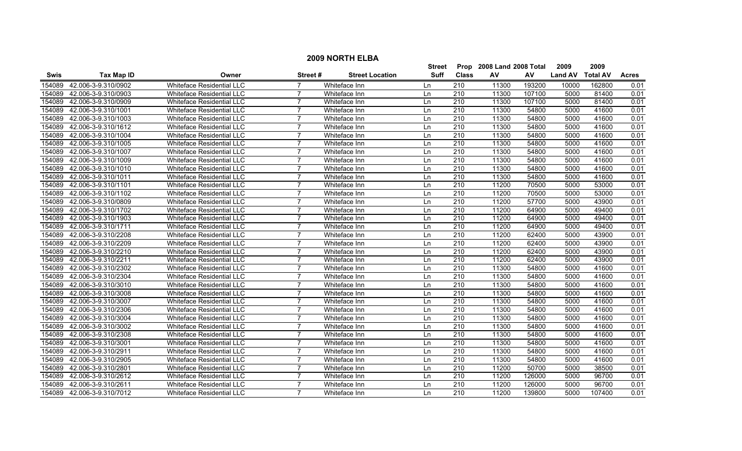|             |                     |                                  |                |                        | <b>Street</b> | Prop             | 2008 Land 2008 Total |        | 2009           | 2009            |              |
|-------------|---------------------|----------------------------------|----------------|------------------------|---------------|------------------|----------------------|--------|----------------|-----------------|--------------|
| <b>Swis</b> | <b>Tax Map ID</b>   | Owner                            | Street #       | <b>Street Location</b> | <b>Suff</b>   | <b>Class</b>     | AV                   | AV     | <b>Land AV</b> | <b>Total AV</b> | <b>Acres</b> |
| 154089      | 42.006-3-9.310/0902 | Whiteface Residential LLC        |                | Whiteface Inn          | Ln            | 210              | 11300                | 193200 | 10000          | 162800          | 0.01         |
| 154089      | 42.006-3-9.310/0903 | Whiteface Residential LLC        |                | Whiteface Inn          | Ln            | $\overline{210}$ | 11300                | 107100 | 5000           | 81400           | 0.01         |
| 154089      | 42.006-3-9.310/0909 | <b>Whiteface Residential LLC</b> | $\overline{7}$ | Whiteface Inn          | Ln            | 210              | 11300                | 107100 | 5000           | 81400           | 0.01         |
| 154089      | 42.006-3-9.310/1001 | <b>Whiteface Residential LLC</b> |                | Whiteface Inn          | Ln            | 210              | 11300                | 54800  | 5000           | 41600           | 0.01         |
| 154089      | 42.006-3-9.310/1003 | <b>Whiteface Residential LLC</b> |                | Whiteface Inn          | Ln            | 210              | 11300                | 54800  | 5000           | 41600           | 0.01         |
| 154089      | 42.006-3-9.310/1612 | <b>Whiteface Residential LLC</b> | 7              | Whiteface Inn          | Ln            | 210              | 11300                | 54800  | 5000           | 41600           | 0.01         |
| 154089      | 42.006-3-9.310/1004 | Whiteface Residential LLC        | 7              | Whiteface Inn          | Ln            | $\overline{210}$ | 11300                | 54800  | 5000           | 41600           | 0.01         |
| 154089      | 42.006-3-9.310/1005 | <b>Whiteface Residential LLC</b> | $\overline{7}$ | Whiteface Inn          | Ln            | 210              | 11300                | 54800  | 5000           | 41600           | 0.01         |
| 154089      | 42.006-3-9.310/1007 | Whiteface Residential LLC        | $\overline{7}$ | Whiteface Inn          | Ln            | 210              | 11300                | 54800  | 5000           | 41600           | 0.01         |
| 154089      | 42.006-3-9.310/1009 | Whiteface Residential LLC        |                | Whiteface Inn          | Ln            | $\overline{210}$ | 11300                | 54800  | 5000           | 41600           | 0.01         |
| 154089      | 42.006-3-9.310/1010 | <b>Whiteface Residential LLC</b> | $\overline{ }$ | Whiteface Inn          | Ln            | $\overline{210}$ | 11300                | 54800  | 5000           | 41600           | 0.01         |
| 154089      | 42.006-3-9.310/1011 | Whiteface Residential LLC        | $\overline{7}$ | Whiteface Inn          | Ln            | 210              | 11300                | 54800  | 5000           | 41600           | 0.01         |
| 154089      | 42.006-3-9.310/1101 | Whiteface Residential LLC        | $\overline{7}$ | Whiteface Inn          | Ln            | 210              | 11200                | 70500  | 5000           | 53000           | 0.01         |
| 154089      | 42.006-3-9.310/1102 | Whiteface Residential LLC        | 7              | Whiteface Inn          | Ln            | 210              | 11200                | 70500  | 5000           | 53000           | 0.01         |
| 154089      | 42.006-3-9.310/0809 | Whiteface Residential LLC        |                | Whiteface Inn          | Ln            | 210              | 11200                | 57700  | 5000           | 43900           | 0.01         |
| 154089      | 42.006-3-9.310/1702 | Whiteface Residential LLC        | $\overline{7}$ | Whiteface Inn          | Ln            | 210              | 11200                | 64900  | 5000           | 49400           | 0.01         |
| 154089      | 42.006-3-9.310/1903 | Whiteface Residential LLC        |                | Whiteface Inn          | Ln            | 210              | 11200                | 64900  | 5000           | 49400           | 0.01         |
| 154089      | 42.006-3-9.310/1711 | Whiteface Residential LLC        |                | Whiteface Inn          | Ln            | 210              | 11200                | 64900  | 5000           | 49400           | 0.01         |
| 154089      | 42.006-3-9.310/2208 | <b>Whiteface Residential LLC</b> | 7              | Whiteface Inn          | Ln            | 210              | 11200                | 62400  | 5000           | 43900           | 0.01         |
| 154089      | 42.006-3-9.310/2209 | <b>Whiteface Residential LLC</b> | $\overline{7}$ | Whiteface Inn          | Ln            | 210              | 11200                | 62400  | 5000           | 43900           | 0.01         |
| 154089      | 42.006-3-9.310/2210 | Whiteface Residential LLC        | $\overline{7}$ | Whiteface Inn          | Ln            | 210              | 11200                | 62400  | 5000           | 43900           | 0.01         |
| 154089      | 42.006-3-9.310/2211 | Whiteface Residential LLC        | 7              | Whiteface Inn          | Ln            | 210              | 11200                | 62400  | 5000           | 43900           | 0.01         |
| 154089      | 42.006-3-9.310/2302 | Whiteface Residential LLC        | 7              | Whiteface Inn          | Ln            | 210              | 11300                | 54800  | 5000           | 41600           | 0.01         |
| 154089      | 42.006-3-9.310/2304 | Whiteface Residential LLC        |                | Whiteface Inn          | Ln            | $\overline{210}$ | 11300                | 54800  | 5000           | 41600           | 0.01         |
| 154089      | 42.006-3-9.310/3010 | Whiteface Residential LLC        | $\overline{7}$ | Whiteface Inn          | Ln            | $\overline{210}$ | 11300                | 54800  | 5000           | 41600           | 0.01         |
| 154089      | 42.006-3-9.310/3008 | Whiteface Residential LLC        | 7              | Whiteface Inn          | Ln            | 210              | 11300                | 54800  | 5000           | 41600           | 0.01         |
| 154089      | 42.006-3-9.310/3007 | <b>Whiteface Residential LLC</b> | $\overline{7}$ | Whiteface Inn          | Ln            | $\overline{210}$ | 11300                | 54800  | 5000           | 41600           | 0.01         |
| 154089      | 42.006-3-9.310/2306 | Whiteface Residential LLC        | $\overline{7}$ | Whiteface Inn          | Ln            | 210              | 11300                | 54800  | 5000           | 41600           | 0.01         |
| 154089      | 42.006-3-9.310/3004 | Whiteface Residential LLC        | 7              | Whiteface Inn          | Ln            | 210              | 11300                | 54800  | 5000           | 41600           | 0.01         |
| 154089      | 42.006-3-9.310/3002 | <b>Whiteface Residential LLC</b> |                | Whiteface Inn          | Ln            | 210              | 11300                | 54800  | 5000           | 41600           | 0.01         |
| 154089      | 42.006-3-9.310/2308 | Whiteface Residential LLC        |                | Whiteface Inn          | Ln            | 210              | 11300                | 54800  | 5000           | 41600           | 0.01         |
| 154089      | 42.006-3-9.310/3001 | Whiteface Residential LLC        |                | Whiteface Inn          | Ln            | 210              | 11300                | 54800  | 5000           | 41600           | 0.01         |
| 154089      | 42.006-3-9.310/2911 | <b>Whiteface Residential LLC</b> |                | Whiteface Inn          | Ln            | 210              | 11300                | 54800  | 5000           | 41600           | 0.01         |
| 154089      | 42.006-3-9.310/2905 | <b>Whiteface Residential LLC</b> | $\overline{7}$ | Whiteface Inn          | Ln            | 210              | 11300                | 54800  | 5000           | 41600           | 0.01         |
| 154089      | 42.006-3-9.310/2801 | Whiteface Residential LLC        | $\overline{7}$ | Whiteface Inn          | Ln            | 210              | 11200                | 50700  | 5000           | 38500           | 0.01         |
| 154089      | 42.006-3-9.310/2612 | Whiteface Residential LLC        | $\overline{7}$ | Whiteface Inn          | Ln            | 210              | 11200                | 126000 | 5000           | 96700           | 0.01         |
| 154089      | 42.006-3-9.310/2611 | <b>Whiteface Residential LLC</b> | 7              | Whiteface Inn          | Ln            | 210              | 11200                | 126000 | 5000           | 96700           | 0.01         |
| 154089      | 42.006-3-9.310/7012 | Whiteface Residential LLC        | $\overline{7}$ | Whiteface Inn          | l n           | 210              | 11200                | 139800 | 5000           | 107400          | 0.01         |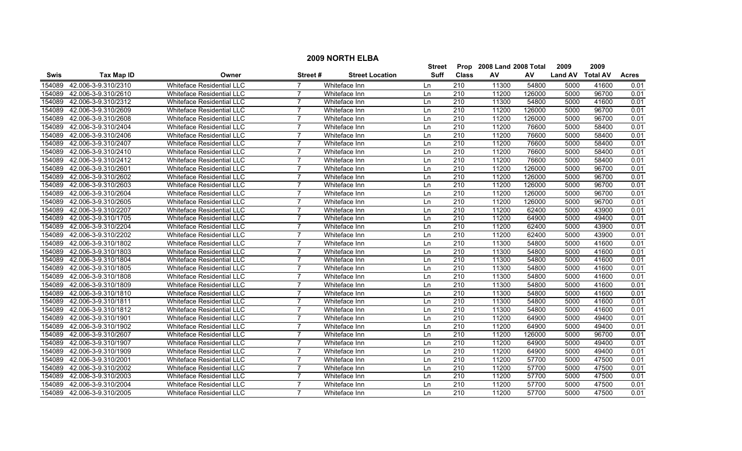|        | <b>2009 NORTH ELBA</b>     |                                  |                |                        |               |                  |                           |        |                  |       |              |  |
|--------|----------------------------|----------------------------------|----------------|------------------------|---------------|------------------|---------------------------|--------|------------------|-------|--------------|--|
|        |                            |                                  |                |                        | <b>Street</b> |                  | Prop 2008 Land 2008 Total |        | 2009             | 2009  |              |  |
| Swis   | <b>Tax Map ID</b>          | Owner                            | Street#        | <b>Street Location</b> | <b>Suff</b>   | <b>Class</b>     | AV                        | AV     | Land AV Total AV |       | <b>Acres</b> |  |
| 154089 | 42.006-3-9.310/2310        | Whiteface Residential LLC        |                | Whiteface Inn          | Ln            | 210              | 11300                     | 54800  | 5000             | 41600 | 0.01         |  |
| 154089 | 42.006-3-9.310/2610        | <b>Whiteface Residential LLC</b> | 7              | Whiteface Inn          | Ln            | 210              | 11200                     | 126000 | 5000             | 96700 | 0.01         |  |
| 154089 | 42.006-3-9.310/2312        | Whiteface Residential LLC        |                | Whiteface Inn          | Ln            | $\overline{210}$ | 11300                     | 54800  | 5000             | 41600 | 0.01         |  |
| 154089 | 42.006-3-9.310/2609        | Whiteface Residential LLC        |                | Whiteface Inn          | Ln            | 210              | 11200                     | 126000 | 5000             | 96700 | 0.01         |  |
| 154089 | 42.006-3-9.310/2608        | <b>Whiteface Residential LLC</b> | $\overline{7}$ | Whiteface Inn          | Ln            | 210              | 11200                     | 126000 | 5000             | 96700 | 0.01         |  |
| 154089 | 42.006-3-9.310/2404        | Whiteface Residential LLC        | 7              | Whiteface Inn          | Ln            | $\overline{210}$ | 11200                     | 76600  | 5000             | 58400 | 0.01         |  |
| 154089 | 42.006-3-9.310/2406        | <b>Whiteface Residential LLC</b> |                | Whiteface Inn          | Ln            | 210              | 11200                     | 76600  | 5000             | 58400 | 0.01         |  |
| 154089 | 42.006-3-9.310/2407        | Whiteface Residential LLC        | 7              | Whiteface Inn          | Ln            | 210              | 11200                     | 76600  | 5000             | 58400 | 0.01         |  |
| 154089 | 42.006-3-9.310/2410        | Whiteface Residential LLC        | $\overline{7}$ | Whiteface Inn          | Ln            | $\overline{210}$ | 11200                     | 76600  | 5000             | 58400 | 0.01         |  |
| 154089 | 42.006-3-9.310/2412        | Whiteface Residential LLC        | $\overline{7}$ | Whiteface Inn          | Ln            | $\overline{210}$ | 11200                     | 76600  | 5000             | 58400 | 0.01         |  |
| 154089 | 42.006-3-9.310/2601        | Whiteface Residential LLC        | $\overline{7}$ | Whiteface Inn          | Ln            | $\overline{210}$ | 11200                     | 126000 | 5000             | 96700 | 0.01         |  |
| 154089 | 42.006-3-9.310/2602        | Whiteface Residential LLC        | $\overline{7}$ | Whiteface Inn          | Ln            | 210              | 11200                     | 126000 | 5000             | 96700 | 0.01         |  |
| 154089 | 42.006-3-9.310/2603        | Whiteface Residential LLC        | 7              | Whiteface Inn          | Ln            | 210              | 11200                     | 126000 | 5000             | 96700 | 0.01         |  |
| 154089 | 42.006-3-9.310/2604        | Whiteface Residential LLC        | $\overline{7}$ | Whiteface Inn          | Ln            | 210              | 11200                     | 126000 | 5000             | 96700 | 0.01         |  |
| 154089 | 42.006-3-9.310/2605        | Whiteface Residential LLC        |                | Whiteface Inn          | Ln            | $\overline{210}$ | 11200                     | 126000 | 5000             | 96700 | 0.01         |  |
| 154089 | 42.006-3-9.310/2207        | Whiteface Residential LLC        | $\overline{7}$ | Whiteface Inn          | Ln            | 210              | 11200                     | 62400  | 5000             | 43900 | 0.01         |  |
| 154089 | 42.006-3-9.310/1705        | Whiteface Residential LLC        | $\overline{7}$ | Whiteface Inn          | Ln            | 210              | 11200                     | 64900  | 5000             | 49400 | 0.01         |  |
| 154089 | 42.006-3-9.310/2204        | <b>Whiteface Residential LLC</b> | $\overline{7}$ | Whiteface Inn          | Ln            | 210              | 11200                     | 62400  | 5000             | 43900 | 0.01         |  |
| 154089 | 42.006-3-9.310/2202        | Whiteface Residential LLC        |                | Whiteface Inn          | Ln            | 210              | 11200                     | 62400  | 5000             | 43900 | 0.01         |  |
| 154089 | 42.006-3-9.310/1802        | Whiteface Residential LLC        |                | Whiteface Inn          | Ln            | 210              | 11300                     | 54800  | 5000             | 41600 | 0.01         |  |
| 154089 | 42.006-3-9.310/1803        | Whiteface Residential LLC        |                | Whiteface Inn          | Ln            | $\overline{210}$ | 11300                     | 54800  | 5000             | 41600 | 0.01         |  |
| 154089 | 42.006-3-9.310/1804        | Whiteface Residential LLC        | $\overline{7}$ | Whiteface Inn          | Ln            | 210              | 11300                     | 54800  | 5000             | 41600 | 0.01         |  |
| 154089 | 42.006-3-9.310/1805        | <b>Whiteface Residential LLC</b> | $\overline{7}$ | Whiteface Inn          | Ln            | $\overline{210}$ | 11300                     | 54800  | 5000             | 41600 | 0.01         |  |
| 154089 | 42.006-3-9.310/1808        | Whiteface Residential LLC        | $\overline{7}$ | Whiteface Inn          | Ln            | 210              | 11300                     | 54800  | 5000             | 41600 | 0.01         |  |
| 154089 | 42.006-3-9.310/1809        | Whiteface Residential LLC        | $\overline{7}$ | Whiteface Inn          | Ln            | 210              | 11300                     | 54800  | 5000             | 41600 | 0.01         |  |
| 154089 | 42.006-3-9.310/1810        | Whiteface Residential LLC        | $\overline{7}$ | Whiteface Inn          | Ln            | 210              | 11300                     | 54800  | 5000             | 41600 | 0.01         |  |
| 154089 | 42.006-3-9.310/1811        | Whiteface Residential LLC        |                | Whiteface Inn          | Ln            | $\overline{210}$ | 11300                     | 54800  | 5000             | 41600 | 0.01         |  |
| 154089 | 42.006-3-9.310/1812        | <b>Whiteface Residential LLC</b> | $\overline{7}$ | Whiteface Inn          | Ln            | 210              | 11300                     | 54800  | 5000             | 41600 | 0.01         |  |
| 154089 | 42.006-3-9.310/1901        | <b>Whiteface Residential LLC</b> | $\overline{7}$ | Whiteface Inn          | Ln            | 210              | 11200                     | 64900  | 5000             | 49400 | 0.01         |  |
| 154089 | 42.006-3-9.310/1902        | Whiteface Residential LLC        | $\overline{7}$ | Whiteface Inn          | Ln            | 210              | 11200                     | 64900  | 5000             | 49400 | 0.01         |  |
| 154089 | 42.006-3-9.310/2607        | Whiteface Residential LLC        |                | Whiteface Inn          | Ln            | 210              | 11200                     | 126000 | 5000             | 96700 | 0.01         |  |
| 154089 | 42.006-3-9.310/1907        | Whiteface Residential LLC        |                | Whiteface Inn          | Ln            | 210              | 11200                     | 64900  | 5000             | 49400 | 0.01         |  |
|        | 154089 42.006-3-9.310/1909 | Whiteface Residential LLC        |                | Whiteface Inn          | Ln            | 210              | 11200                     | 64900  | 5000             | 49400 | 0.01         |  |
| 154089 | 42.006-3-9.310/2001        | <b>Whiteface Residential LLC</b> | $\overline{7}$ | Whiteface Inn          | Ln            | $\overline{210}$ | 11200                     | 57700  | 5000             | 47500 | 0.01         |  |
| 154089 | 42.006-3-9.310/2002        | <b>Whiteface Residential LLC</b> | $\overline{7}$ | Whiteface Inn          | Ln            | $\overline{210}$ | 11200                     | 57700  | 5000             | 47500 | 0.01         |  |
| 154089 | 42.006-3-9.310/2003        | Whiteface Residential LLC        | $\overline{7}$ | Whiteface Inn          | Ln            | 210              | 11200                     | 57700  | 5000             | 47500 | 0.01         |  |
| 154089 | 42.006-3-9.310/2004        | Whiteface Residential LLC        | 7              | Whiteface Inn          | Ln            | 210              | 11200                     | 57700  | 5000             | 47500 | 0.01         |  |
|        | 154089 42.006-3-9.310/2005 | <b>Whiteface Residential LLC</b> | $\overline{7}$ | Whiteface Inn          | l n           | 210              | 11200                     | 57700  | 5000             | 47500 | 0.01         |  |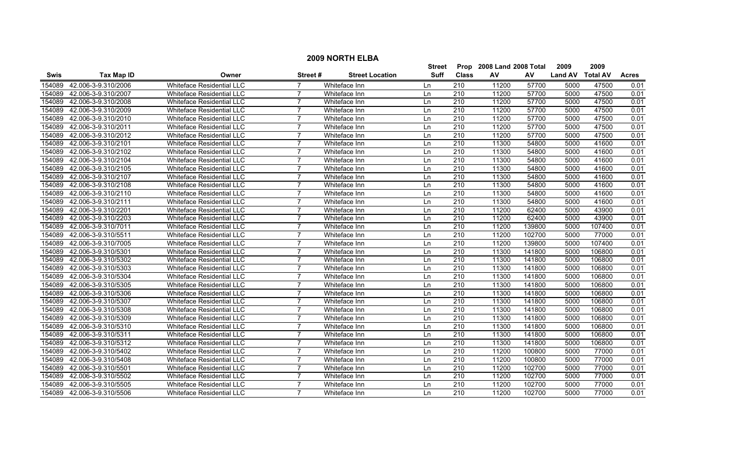|             |                     |                                  |                |                        | <b>Street</b> | Prop             | 2008 Land 2008 Total |        | 2009           | 2009            |              |
|-------------|---------------------|----------------------------------|----------------|------------------------|---------------|------------------|----------------------|--------|----------------|-----------------|--------------|
| <b>Swis</b> | <b>Tax Map ID</b>   | Owner                            | Street #       | <b>Street Location</b> | <b>Suff</b>   | <b>Class</b>     | AV                   | AV     | <b>Land AV</b> | <b>Total AV</b> | <b>Acres</b> |
| 154089      | 42.006-3-9.310/2006 | Whiteface Residential LLC        |                | Whiteface Inn          | Ln            | 210              | 11200                | 57700  | 5000           | 47500           | 0.01         |
| 154089      | 42.006-3-9.310/2007 | Whiteface Residential LLC        |                | Whiteface Inn          | Ln            | $\overline{210}$ | 11200                | 57700  | 5000           | 47500           | 0.01         |
| 154089      | 42.006-3-9.310/2008 | <b>Whiteface Residential LLC</b> | $\overline{7}$ | Whiteface Inn          | Ln            | 210              | 11200                | 57700  | 5000           | 47500           | 0.01         |
| 154089      | 42.006-3-9.310/2009 | <b>Whiteface Residential LLC</b> |                | Whiteface Inn          | Ln            | 210              | 11200                | 57700  | 5000           | 47500           | 0.01         |
| 154089      | 42.006-3-9.310/2010 | Whiteface Residential LLC        |                | Whiteface Inn          | Ln            | 210              | 11200                | 57700  | 5000           | 47500           | 0.01         |
| 154089      | 42.006-3-9.310/2011 | <b>Whiteface Residential LLC</b> | 7              | Whiteface Inn          | Ln            | 210              | 11200                | 57700  | 5000           | 47500           | 0.01         |
| 154089      | 42.006-3-9.310/2012 | Whiteface Residential LLC        | 7              | Whiteface Inn          | Ln            | $\overline{210}$ | 11200                | 57700  | 5000           | 47500           | 0.01         |
| 154089      | 42.006-3-9.310/2101 | Whiteface Residential LLC        | 7              | Whiteface Inn          | Ln            | 210              | 11300                | 54800  | 5000           | 41600           | 0.01         |
| 154089      | 42.006-3-9.310/2102 | <b>Whiteface Residential LLC</b> | $\overline{7}$ | Whiteface Inn          | Ln            | 210              | 11300                | 54800  | 5000           | 41600           | 0.01         |
| 154089      | 42.006-3-9.310/2104 | Whiteface Residential LLC        |                | Whiteface Inn          | Ln            | $\overline{210}$ | 11300                | 54800  | 5000           | 41600           | 0.01         |
| 154089      | 42.006-3-9.310/2105 | <b>Whiteface Residential LLC</b> | $\overline{ }$ | Whiteface Inn          | Ln            | $\overline{210}$ | 11300                | 54800  | 5000           | 41600           | 0.01         |
| 154089      | 42.006-3-9.310/2107 | Whiteface Residential LLC        | $\overline{7}$ | Whiteface Inn          | Ln            | 210              | 11300                | 54800  | 5000           | 41600           | 0.01         |
| 154089      | 42.006-3-9.310/2108 | Whiteface Residential LLC        | $\overline{7}$ | Whiteface Inn          | Ln            | 210              | 11300                | 54800  | 5000           | 41600           | 0.01         |
| 154089      | 42.006-3-9.310/2110 | Whiteface Residential LLC        | 7              | Whiteface Inn          | Ln            | 210              | 11300                | 54800  | 5000           | 41600           | 0.01         |
| 154089      | 42.006-3-9.310/2111 | Whiteface Residential LLC        |                | Whiteface Inn          | Ln            | 210              | 11300                | 54800  | 5000           | 41600           | 0.01         |
| 154089      | 42.006-3-9.310/2201 | Whiteface Residential LLC        | 7              | Whiteface Inn          | Ln            | 210              | 11200                | 62400  | 5000           | 43900           | 0.01         |
| 154089      | 42.006-3-9.310/2203 | Whiteface Residential LLC        |                | Whiteface Inn          | Ln            | 210              | 11200                | 62400  | 5000           | 43900           | 0.01         |
| 154089      | 42.006-3-9.310/7011 | Whiteface Residential LLC        |                | Whiteface Inn          | Ln            | 210              | 11200                | 139800 | 5000           | 107400          | 0.01         |
| 154089      | 42.006-3-9.310/5511 | <b>Whiteface Residential LLC</b> | 7              | Whiteface Inn          | Ln            | 210              | 11200                | 102700 | 5000           | 77000           | 0.01         |
| 154089      | 42.006-3-9.310/7005 | <b>Whiteface Residential LLC</b> | $\overline{7}$ | Whiteface Inn          | Ln            | 210              | 11200                | 139800 | 5000           | 107400          | 0.01         |
| 154089      | 42.006-3-9.310/5301 | Whiteface Residential LLC        | $\overline{7}$ | Whiteface Inn          | Ln            | 210              | 11300                | 141800 | 5000           | 106800          | 0.01         |
| 154089      | 42.006-3-9.310/5302 | Whiteface Residential LLC        | 7              | Whiteface Inn          | Ln            | 210              | 11300                | 141800 | 5000           | 106800          | 0.01         |
| 154089      | 42.006-3-9.310/5303 | Whiteface Residential LLC        | 7              | Whiteface Inn          | Ln            | 210              | 11300                | 141800 | 5000           | 106800          | 0.01         |
| 154089      | 42.006-3-9.310/5304 | Whiteface Residential LLC        |                | Whiteface Inn          | Ln            | $\overline{210}$ | 11300                | 141800 | 5000           | 106800          | 0.01         |
| 154089      | 42.006-3-9.310/5305 | Whiteface Residential LLC        | $\overline{7}$ | Whiteface Inn          | Ln            | $\overline{210}$ | 11300                | 141800 | 5000           | 106800          | 0.01         |
| 154089      | 42.006-3-9.310/5306 | Whiteface Residential LLC        | 7              | Whiteface Inn          | Ln            | 210              | 11300                | 141800 | 5000           | 106800          | 0.01         |
| 154089      | 42.006-3-9.310/5307 | <b>Whiteface Residential LLC</b> | $\overline{7}$ | Whiteface Inn          | Ln            | $\overline{210}$ | 11300                | 141800 | 5000           | 106800          | 0.01         |
| 154089      | 42.006-3-9.310/5308 | Whiteface Residential LLC        | $\overline{7}$ | Whiteface Inn          | Ln            | 210              | 11300                | 141800 | 5000           | 106800          | 0.01         |
| 154089      | 42.006-3-9.310/5309 | Whiteface Residential LLC        | 7              | Whiteface Inn          | Ln            | 210              | 11300                | 141800 | 5000           | 106800          | 0.01         |
| 154089      | 42.006-3-9.310/5310 | <b>Whiteface Residential LLC</b> |                | Whiteface Inn          | Ln            | 210              | 11300                | 141800 | 5000           | 106800          | 0.01         |
| 154089      | 42.006-3-9.310/5311 | Whiteface Residential LLC        |                | Whiteface Inn          | Ln            | 210              | 11300                | 141800 | 5000           | 106800          | 0.01         |
| 154089      | 42.006-3-9.310/5312 | Whiteface Residential LLC        |                | Whiteface Inn          | Ln            | 210              | 11300                | 141800 | 5000           | 106800          | 0.01         |
| 154089      | 42.006-3-9.310/5402 | <b>Whiteface Residential LLC</b> |                | Whiteface Inn          | Ln            | 210              | 11200                | 100800 | 5000           | 77000           | 0.01         |
| 154089      | 42.006-3-9.310/5408 | <b>Whiteface Residential LLC</b> | $\overline{7}$ | Whiteface Inn          | Ln            | $\overline{210}$ | 11200                | 100800 | 5000           | 77000           | 0.01         |
| 154089      | 42.006-3-9.310/5501 | Whiteface Residential LLC        | $\overline{7}$ | Whiteface Inn          | Ln            | 210              | 11200                | 102700 | 5000           | 77000           | 0.01         |
| 154089      | 42.006-3-9.310/5502 | Whiteface Residential LLC        | $\overline{7}$ | Whiteface Inn          | Ln            | 210              | 11200                | 102700 | 5000           | 77000           | 0.01         |
| 154089      | 42.006-3-9.310/5505 | <b>Whiteface Residential LLC</b> | 7              | Whiteface Inn          | Ln            | 210              | 11200                | 102700 | 5000           | 77000           | 0.01         |
| 154089      | 42.006-3-9.310/5506 | Whiteface Residential LLC        | $\overline{7}$ | Whiteface Inn          | l n           | 210              | 11200                | 102700 | 5000           | 77000           | 0.01         |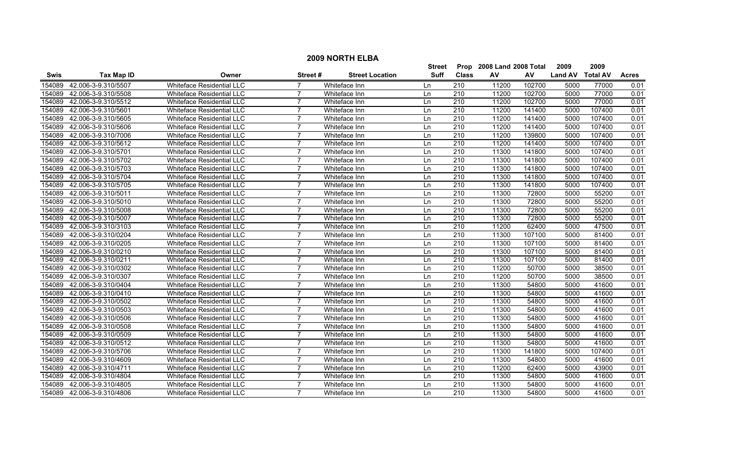|        | <b>2009 NORTH ELBA</b>     |                                  |                |                        |               |                  |                           |        |                  |        |              |  |
|--------|----------------------------|----------------------------------|----------------|------------------------|---------------|------------------|---------------------------|--------|------------------|--------|--------------|--|
|        |                            |                                  |                |                        | <b>Street</b> |                  | Prop 2008 Land 2008 Total |        | 2009             | 2009   |              |  |
| Swis   | <b>Tax Map ID</b>          | Owner                            | Street#        | <b>Street Location</b> | <b>Suff</b>   | <b>Class</b>     | AV                        | AV     | Land AV Total AV |        | <b>Acres</b> |  |
| 154089 | 42.006-3-9.310/5507        | Whiteface Residential LLC        |                | Whiteface Inn          | Ln            | 210              | 11200                     | 102700 | 5000             | 77000  | 0.01         |  |
| 154089 | 42.006-3-9.310/5508        | <b>Whiteface Residential LLC</b> | 7              | Whiteface Inn          | Ln            | 210              | 11200                     | 102700 | 5000             | 77000  | 0.01         |  |
| 154089 | 42.006-3-9.310/5512        | Whiteface Residential LLC        | $\overline{7}$ | Whiteface Inn          | Ln            | $\overline{210}$ | 11200                     | 102700 | 5000             | 77000  | 0.01         |  |
| 154089 | 42.006-3-9.310/5601        | Whiteface Residential LLC        |                | Whiteface Inn          | Ln            | 210              | 11200                     | 141400 | 5000             | 107400 | 0.01         |  |
| 154089 | 42.006-3-9.310/5605        | <b>Whiteface Residential LLC</b> | $\overline{7}$ | Whiteface Inn          | Ln            | 210              | 11200                     | 141400 | 5000             | 107400 | 0.01         |  |
| 154089 | 42.006-3-9.310/5606        | Whiteface Residential LLC        | 7              | Whiteface Inn          | Ln            | 210              | 11200                     | 141400 | 5000             | 107400 | 0.01         |  |
| 154089 | 42.006-3-9.310/7006        | <b>Whiteface Residential LLC</b> |                | Whiteface Inn          | Ln            | 210              | 11200                     | 139800 | 5000             | 107400 | 0.01         |  |
| 154089 | 42.006-3-9.310/5612        | Whiteface Residential LLC        | 7              | Whiteface Inn          | Ln            | 210              | 11200                     | 141400 | 5000             | 107400 | 0.01         |  |
| 154089 | 42.006-3-9.310/5701        | Whiteface Residential LLC        | $\overline{7}$ | Whiteface Inn          | Ln            | $\overline{210}$ | 11300                     | 141800 | 5000             | 107400 | 0.01         |  |
| 154089 | 42.006-3-9.310/5702        | Whiteface Residential LLC        | $\overline{7}$ | Whiteface Inn          | Ln            | $\overline{210}$ | 11300                     | 141800 | 5000             | 107400 | 0.01         |  |
| 154089 | 42.006-3-9.310/5703        | Whiteface Residential LLC        | $\overline{7}$ | Whiteface Inn          | Ln            | $\overline{210}$ | 11300                     | 141800 | 5000             | 107400 | 0.01         |  |
| 154089 | 42.006-3-9.310/5704        | Whiteface Residential LLC        | $\overline{7}$ | Whiteface Inn          | Ln            | 210              | 11300                     | 141800 | 5000             | 107400 | 0.01         |  |
| 154089 | 42.006-3-9.310/5705        | Whiteface Residential LLC        | 7              | Whiteface Inn          | Ln            | 210              | 11300                     | 141800 | 5000             | 107400 | 0.01         |  |
| 154089 | 42.006-3-9.310/5011        | Whiteface Residential LLC        | $\overline{7}$ | Whiteface Inn          | Ln            | 210              | 11300                     | 72800  | 5000             | 55200  | 0.01         |  |
| 154089 | 42.006-3-9.310/5010        | Whiteface Residential LLC        |                | Whiteface Inn          | Ln            | $\overline{210}$ | 11300                     | 72800  | 5000             | 55200  | 0.01         |  |
| 154089 | 42.006-3-9.310/5008        | Whiteface Residential LLC        | $\overline{7}$ | Whiteface Inn          | Ln            | 210              | 11300                     | 72800  | 5000             | 55200  | 0.01         |  |
| 154089 | 42.006-3-9.310/5007        | Whiteface Residential LLC        | $\overline{7}$ | Whiteface Inn          | Ln            | 210              | 11300                     | 72800  | 5000             | 55200  | 0.01         |  |
| 154089 | 42.006-3-9.310/3103        | <b>Whiteface Residential LLC</b> | $\overline{7}$ | Whiteface Inn          | Ln            | 210              | 11200                     | 62400  | 5000             | 47500  | 0.01         |  |
| 154089 | 42.006-3-9.310/0204        | Whiteface Residential LLC        |                | Whiteface Inn          | Ln            | 210              | 11300                     | 107100 | 5000             | 81400  | 0.01         |  |
| 154089 | 42.006-3-9.310/0205        | Whiteface Residential LLC        |                | Whiteface Inn          | Ln            | 210              | 11300                     | 107100 | 5000             | 81400  | 0.01         |  |
| 154089 | 42.006-3-9.310/0210        | Whiteface Residential LLC        |                | Whiteface Inn          | Ln            | $\overline{210}$ | 11300                     | 107100 | 5000             | 81400  | 0.01         |  |
| 154089 | 42.006-3-9.310/0211        | Whiteface Residential LLC        | $\overline{7}$ | Whiteface Inn          | Ln            | 210              | 11300                     | 107100 | 5000             | 81400  | 0.01         |  |
| 154089 | 42.006-3-9.310/0302        | <b>Whiteface Residential LLC</b> | $\overline{7}$ | Whiteface Inn          | Ln            | $\overline{210}$ | 11200                     | 50700  | 5000             | 38500  | 0.01         |  |
| 154089 | 42.006-3-9.310/0307        | Whiteface Residential LLC        | $\overline{7}$ | Whiteface Inn          | Ln            | 210              | 11200                     | 50700  | 5000             | 38500  | 0.01         |  |
| 154089 | 42.006-3-9.310/0404        | Whiteface Residential LLC        | $\overline{7}$ | Whiteface Inn          | Ln            | 210              | 11300                     | 54800  | 5000             | 41600  | 0.01         |  |
| 154089 | 42.006-3-9.310/0410        | Whiteface Residential LLC        | $\overline{7}$ | Whiteface Inn          | Ln            | 210              | 11300                     | 54800  | 5000             | 41600  | 0.01         |  |
| 154089 | 42.006-3-9.310/0502        | Whiteface Residential LLC        |                | Whiteface Inn          | Ln            | $\overline{210}$ | 11300                     | 54800  | 5000             | 41600  | 0.01         |  |
| 154089 | 42.006-3-9.310/0503        | <b>Whiteface Residential LLC</b> | $\overline{7}$ | Whiteface Inn          | Ln            | 210              | 11300                     | 54800  | 5000             | 41600  | 0.01         |  |
| 154089 | 42.006-3-9.310/0506        | <b>Whiteface Residential LLC</b> | $\overline{7}$ | Whiteface Inn          | Ln            | 210              | 11300                     | 54800  | 5000             | 41600  | 0.01         |  |
| 154089 | 42.006-3-9.310/0508        | Whiteface Residential LLC        | $\overline{7}$ | Whiteface Inn          | Ln            | 210              | 11300                     | 54800  | 5000             | 41600  | 0.01         |  |
| 154089 | 42.006-3-9.310/0509        | Whiteface Residential LLC        |                | Whiteface Inn          | Ln            | 210              | 11300                     | 54800  | 5000             | 41600  | 0.01         |  |
| 154089 | 42.006-3-9.310/0512        | Whiteface Residential LLC        |                | Whiteface Inn          | Ln            | 210              | 11300                     | 54800  | 5000             | 41600  | 0.01         |  |
|        | 154089 42.006-3-9.310/5706 | Whiteface Residential LLC        |                | Whiteface Inn          | Ln            | 210              | 11300                     | 141800 | 5000             | 107400 | 0.01         |  |
| 154089 | 42.006-3-9.310/4609        | <b>Whiteface Residential LLC</b> | $\overline{7}$ | Whiteface Inn          | Ln            | $\overline{210}$ | 11300                     | 54800  | 5000             | 41600  | 0.01         |  |
| 154089 | 42.006-3-9.310/4711        | <b>Whiteface Residential LLC</b> | $\overline{7}$ | Whiteface Inn          | Ln            | $\overline{210}$ | 11200                     | 62400  | 5000             | 43900  | 0.01         |  |
| 154089 | 42.006-3-9.310/4804        | Whiteface Residential LLC        | $\overline{7}$ | Whiteface Inn          | Ln            | 210              | 11300                     | 54800  | 5000             | 41600  | 0.01         |  |
| 154089 | 42.006-3-9.310/4805        | Whiteface Residential LLC        | 7              | Whiteface Inn          | Ln            | 210              | 11300                     | 54800  | 5000             | 41600  | 0.01         |  |
|        | 154089 42.006-3-9.310/4806 | <b>Whiteface Residential LLC</b> | $\overline{7}$ | Whiteface Inn          | l n           | 210              | 11300                     | 54800  | 5000             | 41600  | 0.01         |  |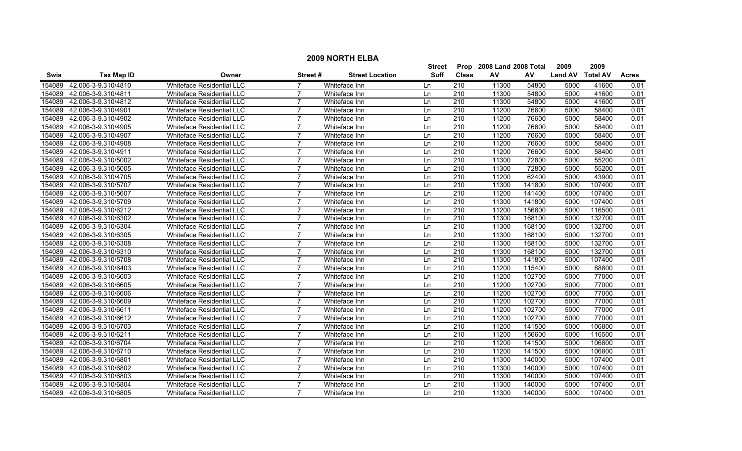|             |                     |                                  |                 |                        | Street      | Prop             | 2008 Land 2008 Total |        | 2009           | 2009            |              |
|-------------|---------------------|----------------------------------|-----------------|------------------------|-------------|------------------|----------------------|--------|----------------|-----------------|--------------|
| <b>Swis</b> | <b>Tax Map ID</b>   | Owner                            | <b>Street #</b> | <b>Street Location</b> | <b>Suff</b> | <b>Class</b>     | AV                   | AV     | <b>Land AV</b> | <b>Total AV</b> | <b>Acres</b> |
| 154089      | 42.006-3-9.310/4810 | Whiteface Residential LLC        |                 | Whiteface Inn          | Ln          | 210              | 11300                | 54800  | 5000           | 41600           | 0.01         |
| 154089      | 42.006-3-9.310/4811 | Whiteface Residential LLC        | $\overline{7}$  | Whiteface Inn          | Ln          | 210              | 11300                | 54800  | 5000           | 41600           | 0.01         |
| 154089      | 42.006-3-9.310/4812 | <b>Whiteface Residential LLC</b> | $\overline{7}$  | Whiteface Inn          | Ln          | 210              | 11300                | 54800  | 5000           | 41600           | 0.01         |
| 154089      | 42.006-3-9.310/4901 | <b>Whiteface Residential LLC</b> | 7               | Whiteface Inn          | Ln          | 210              | 11200                | 76600  | 5000           | 58400           | 0.01         |
| 154089      | 42.006-3-9.310/4902 | <b>Whiteface Residential LLC</b> | $\overline{7}$  | Whiteface Inn          | Ln          | 210              | 11200                | 76600  | 5000           | 58400           | 0.01         |
| 154089      | 42.006-3-9.310/4905 | <b>Whiteface Residential LLC</b> | $\overline{7}$  | Whiteface Inn          | Ln          | 210              | 11200                | 76600  | 5000           | 58400           | 0.01         |
| 154089      | 42.006-3-9.310/4907 | <b>Whiteface Residential LLC</b> | 7               | Whiteface Inn          | Ln          | 210              | 11200                | 76600  | 5000           | 58400           | 0.01         |
| 154089      | 42.006-3-9.310/4908 | <b>Whiteface Residential LLC</b> | $\overline{7}$  | Whiteface Inn          | Ln          | 210              | 11200                | 76600  | 5000           | 58400           | 0.01         |
| 154089      | 42.006-3-9.310/4911 | Whiteface Residential LLC        | $\overline{7}$  | Whiteface Inn          | Ln          | 210              | 11200                | 76600  | 5000           | 58400           | 0.01         |
| 154089      | 42.006-3-9.310/5002 | Whiteface Residential LLC        |                 | Whiteface Inn          | Ln          | 210              | 11300                | 72800  | 5000           | 55200           | 0.01         |
| 154089      | 42.006-3-9.310/5005 | <b>Whiteface Residential LLC</b> | 7               | Whiteface Inn          | Ln          | $\overline{210}$ | 11300                | 72800  | 5000           | 55200           | 0.01         |
| 154089      | 42.006-3-9.310/4705 | Whiteface Residential LLC        | $\overline{7}$  | Whiteface Inn          | Ln          | 210              | 11200                | 62400  | 5000           | 43900           | 0.01         |
| 154089      | 42.006-3-9.310/5707 | Whiteface Residential LLC        | $\overline{7}$  | Whiteface Inn          | Ln          | 210              | 11300                | 141800 | 5000           | 107400          | 0.01         |
| 154089      | 42.006-3-9.310/5607 | <b>Whiteface Residential LLC</b> | $\overline{7}$  | Whiteface Inn          | Ln          | 210              | 11200                | 141400 | 5000           | 107400          | 0.01         |
| 154089      | 42.006-3-9.310/5709 | Whiteface Residential LLC        | $\overline{7}$  | Whiteface Inn          | Ln          | 210              | 11300                | 141800 | 5000           | 107400          | 0.01         |
| 154089      | 42.006-3-9.310/6212 | Whiteface Residential LLC        | 7               | Whiteface Inn          | Ln          | 210              | 11200                | 156600 | 5000           | 116500          | 0.01         |
| 154089      | 42.006-3-9.310/6302 | Whiteface Residential LLC        |                 | Whiteface Inn          | Ln          | 210              | 11300                | 168100 | 5000           | 132700          | 0.01         |
| 154089      | 42.006-3-9.310/6304 | Whiteface Residential LLC        | $\overline{7}$  | Whiteface Inn          | Ln          | 210              | 11300                | 168100 | 5000           | 132700          | 0.01         |
| 154089      | 42.006-3-9.310/6305 | <b>Whiteface Residential LLC</b> | $\overline{7}$  | Whiteface Inn          | Ln          | 210              | 11300                | 168100 | 5000           | 132700          | 0.01         |
| 154089      | 42.006-3-9.310/6308 | <b>Whiteface Residential LLC</b> | $\overline{7}$  | Whiteface Inn          | Ln          | 210              | 11300                | 168100 | 5000           | 132700          | 0.01         |
| 154089      | 42.006-3-9.310/6310 | <b>Whiteface Residential LLC</b> | $\overline{7}$  | Whiteface Inn          | Ln          | 210              | 11300                | 168100 | 5000           | 132700          | 0.01         |
| 154089      | 42.006-3-9.310/5708 | Whiteface Residential LLC        | 7               | Whiteface Inn          | Ln          | 210              | 11300                | 141800 | 5000           | 107400          | 0.01         |
| 154089      | 42.006-3-9.310/6403 | Whiteface Residential LLC        | 7               | Whiteface Inn          | Ln          | 210              | 11200                | 115400 | 5000           | 88800           | 0.01         |
| 154089      | 42.006-3-9.310/6603 | Whiteface Residential LLC        |                 | Whiteface Inn          | Ln          | 210              | 11200                | 102700 | 5000           | 77000           | 0.01         |
| 154089      | 42.006-3-9.310/6605 | Whiteface Residential LLC        | 7               | Whiteface Inn          | Ln          | $\overline{210}$ | 11200                | 102700 | 5000           | 77000           | 0.01         |
| 154089      | 42.006-3-9.310/6606 | Whiteface Residential LLC        | $\overline{7}$  | Whiteface Inn          | Ln          | 210              | 11200                | 102700 | 5000           | 77000           | 0.01         |
| 154089      | 42.006-3-9.310/6609 | <b>Whiteface Residential LLC</b> | $\overline{7}$  | Whiteface Inn          | Ln          | $\overline{210}$ | 11200                | 102700 | 5000           | 77000           | 0.01         |
| 154089      | 42.006-3-9.310/6611 | Whiteface Residential LLC        | $\overline{7}$  | Whiteface Inn          | Ln          | 210              | 11200                | 102700 | 5000           | 77000           | 0.01         |
| 154089      | 42.006-3-9.310/6612 | Whiteface Residential LLC        | 7               | Whiteface Inn          | Ln          | 210              | 11200                | 102700 | 5000           | 77000           | 0.01         |
| 154089      | 42.006-3-9.310/6703 | <b>Whiteface Residential LLC</b> | 7               | Whiteface Inn          | Ln          | 210              | 11200                | 141500 | 5000           | 106800          | 0.01         |
| 154089      | 42.006-3-9.310/6211 | Whiteface Residential LLC        |                 | Whiteface Inn          | Ln          | 210              | 11200                | 156600 | 5000           | 116500          | 0.01         |
| 154089      | 42.006-3-9.310/6704 | Whiteface Residential LLC        |                 | Whiteface Inn          | Ln          | 210              | 11200                | 141500 | 5000           | 106800          | 0.01         |
| 154089      | 42.006-3-9.310/6710 | <b>Whiteface Residential LLC</b> | 7               | Whiteface Inn          | Ln          | 210              | 11200                | 141500 | 5000           | 106800          | 0.01         |
| 154089      | 42.006-3-9.310/6801 | <b>Whiteface Residential LLC</b> | $\overline{7}$  | Whiteface Inn          | Ln          | 210              | 11300                | 140000 | 5000           | 107400          | 0.01         |
| 154089      | 42.006-3-9.310/6802 | Whiteface Residential LLC        | $\overline{7}$  | Whiteface Inn          | Ln          | 210              | 11300                | 140000 | 5000           | 107400          | 0.01         |
| 154089      | 42.006-3-9.310/6803 | Whiteface Residential LLC        | 7               | Whiteface Inn          | Ln          | 210              | 11300                | 140000 | 5000           | 107400          | 0.01         |
| 154089      | 42.006-3-9.310/6804 | <b>Whiteface Residential LLC</b> | $\overline{7}$  | Whiteface Inn          | Ln          | 210              | 11300                | 140000 | 5000           | 107400          | 0.01         |
| 154089      | 42.006-3-9.310/6805 | Whiteface Residential LLC        | $\overline{7}$  | Whiteface Inn          | ln          | 210              | 11300                | 140000 | 5000           | 107400          | 0.01         |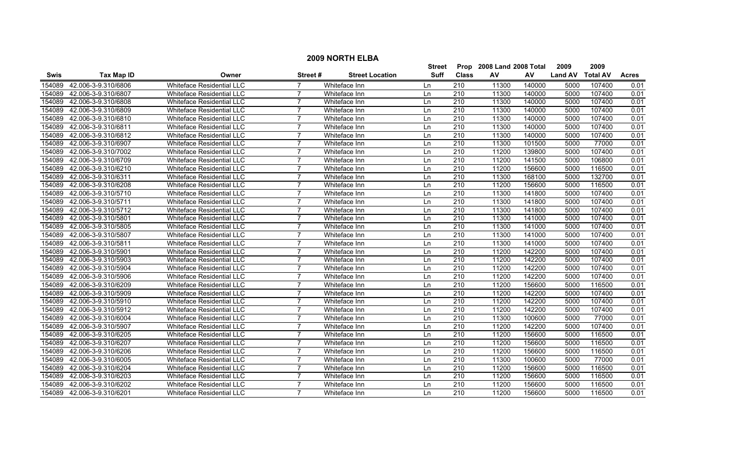|             |                     |                                  |                |                        | <b>Street</b> | Prop             | 2008 Land 2008 Total |        | 2009           | 2009            |              |
|-------------|---------------------|----------------------------------|----------------|------------------------|---------------|------------------|----------------------|--------|----------------|-----------------|--------------|
| <b>Swis</b> | <b>Tax Map ID</b>   | Owner                            | Street #       | <b>Street Location</b> | <b>Suff</b>   | <b>Class</b>     | AV                   | AV     | <b>Land AV</b> | <b>Total AV</b> | <b>Acres</b> |
| 154089      | 42.006-3-9.310/6806 | <b>Whiteface Residential LLC</b> |                | Whiteface Inn          | Ln            | 210              | 11300                | 140000 | 5000           | 107400          | 0.01         |
| 154089      | 42.006-3-9.310/6807 | Whiteface Residential LLC        |                | Whiteface Inn          | Ln            | $\overline{210}$ | 11300                | 140000 | 5000           | 107400          | 0.01         |
| 154089      | 42.006-3-9.310/6808 | <b>Whiteface Residential LLC</b> | $\overline{7}$ | Whiteface Inn          | Ln            | 210              | 11300                | 140000 | 5000           | 107400          | 0.01         |
| 154089      | 42.006-3-9.310/6809 | <b>Whiteface Residential LLC</b> |                | Whiteface Inn          | Ln            | 210              | 11300                | 140000 | 5000           | 107400          | 0.01         |
| 154089      | 42.006-3-9.310/6810 | Whiteface Residential LLC        |                | Whiteface Inn          | Ln            | 210              | 11300                | 140000 | 5000           | 107400          | 0.01         |
| 154089      | 42.006-3-9.310/6811 | <b>Whiteface Residential LLC</b> | 7              | Whiteface Inn          | Ln            | 210              | 11300                | 140000 | 5000           | 107400          | 0.01         |
| 154089      | 42.006-3-9.310/6812 | <b>Whiteface Residential LLC</b> | 7              | Whiteface Inn          | Ln            | $\overline{210}$ | 11300                | 140000 | 5000           | 107400          | 0.01         |
| 154089      | 42.006-3-9.310/6907 | <b>Whiteface Residential LLC</b> | 7              | Whiteface Inn          | Ln            | 210              | 11300                | 101500 | 5000           | 77000           | 0.01         |
| 154089      | 42.006-3-9.310/7002 | <b>Whiteface Residential LLC</b> | $\overline{7}$ | Whiteface Inn          | Ln            | 210              | 11200                | 139800 | 5000           | 107400          | 0.01         |
| 154089      | 42.006-3-9.310/6709 | Whiteface Residential LLC        |                | Whiteface Inn          | Ln            | $\overline{210}$ | 11200                | 141500 | 5000           | 106800          | 0.01         |
| 154089      | 42.006-3-9.310/6210 | <b>Whiteface Residential LLC</b> | $\overline{ }$ | Whiteface Inn          | Ln            | $\overline{210}$ | 11200                | 156600 | 5000           | 116500          | 0.01         |
| 154089      | 42.006-3-9.310/6311 | Whiteface Residential LLC        | $\overline{7}$ | Whiteface Inn          | Ln            | 210              | 11300                | 168100 | 5000           | 132700          | 0.01         |
| 154089      | 42.006-3-9.310/6208 | Whiteface Residential LLC        | $\overline{7}$ | Whiteface Inn          | Ln            | 210              | 11200                | 156600 | 5000           | 116500          | 0.01         |
| 154089      | 42.006-3-9.310/5710 | Whiteface Residential LLC        | 7              | Whiteface Inn          | Ln            | 210              | 11300                | 141800 | 5000           | 107400          | 0.01         |
| 154089      | 42.006-3-9.310/5711 | Whiteface Residential LLC        |                | Whiteface Inn          | Ln            | 210              | 11300                | 141800 | 5000           | 107400          | 0.01         |
| 154089      | 42.006-3-9.310/5712 | Whiteface Residential LLC        | 7              | Whiteface Inn          | Ln            | 210              | 11300                | 141800 | 5000           | 107400          | 0.01         |
| 154089      | 42.006-3-9.310/5801 | Whiteface Residential LLC        |                | Whiteface Inn          | Ln            | 210              | 11300                | 141000 | 5000           | 107400          | 0.01         |
| 154089      | 42.006-3-9.310/5805 | Whiteface Residential LLC        |                | Whiteface Inn          | Ln            | 210              | 11300                | 141000 | 5000           | 107400          | 0.01         |
| 154089      | 42.006-3-9.310/5807 | <b>Whiteface Residential LLC</b> | 7              | Whiteface Inn          | Ln            | 210              | 11300                | 141000 | 5000           | 107400          | 0.01         |
| 154089      | 42.006-3-9.310/5811 | <b>Whiteface Residential LLC</b> | $\overline{7}$ | Whiteface Inn          | Ln            | 210              | 11300                | 141000 | 5000           | 107400          | 0.01         |
| 154089      | 42.006-3-9.310/5901 | Whiteface Residential LLC        | $\overline{7}$ | Whiteface Inn          | Ln            | 210              | 11200                | 142200 | 5000           | 107400          | 0.01         |
| 154089      | 42.006-3-9.310/5903 | Whiteface Residential LLC        | 7              | Whiteface Inn          | Ln            | 210              | 11200                | 142200 | 5000           | 107400          | 0.01         |
| 154089      | 42.006-3-9.310/5904 | <b>Whiteface Residential LLC</b> | 7              | Whiteface Inn          | Ln            | 210              | 11200                | 142200 | 5000           | 107400          | 0.01         |
| 154089      | 42.006-3-9.310/5906 | Whiteface Residential LLC        |                | Whiteface Inn          | Ln            | 210              | 11200                | 142200 | 5000           | 107400          | 0.01         |
| 154089      | 42.006-3-9.310/6209 | <b>Whiteface Residential LLC</b> | $\overline{7}$ | Whiteface Inn          | Ln            | $\overline{210}$ | 11200                | 156600 | 5000           | 116500          | 0.01         |
| 154089      | 42.006-3-9.310/5909 | Whiteface Residential LLC        | 7              | Whiteface Inn          | Ln            | 210              | 11200                | 142200 | 5000           | 107400          | 0.01         |
| 154089      | 42.006-3-9.310/5910 | <b>Whiteface Residential LLC</b> | $\overline{7}$ | Whiteface Inn          | Ln            | $\overline{210}$ | 11200                | 142200 | 5000           | 107400          | 0.01         |
| 154089      | 42.006-3-9.310/5912 | Whiteface Residential LLC        | $\overline{7}$ | Whiteface Inn          | Ln            | 210              | 11200                | 142200 | 5000           | 107400          | 0.01         |
| 154089      | 42.006-3-9.310/6004 | Whiteface Residential LLC        | 7              | Whiteface Inn          | Ln            | 210              | 11300                | 100600 | 5000           | 77000           | 0.01         |
| 154089      | 42.006-3-9.310/5907 | <b>Whiteface Residential LLC</b> |                | Whiteface Inn          | Ln            | 210              | 11200                | 142200 | 5000           | 107400          | 0.01         |
| 154089      | 42.006-3-9.310/6205 | Whiteface Residential LLC        |                | Whiteface Inn          | Ln            | 210              | 11200                | 156600 | 5000           | 116500          | 0.01         |
| 154089      | 42.006-3-9.310/6207 | Whiteface Residential LLC        |                | Whiteface Inn          | Ln            | 210              | 11200                | 156600 | 5000           | 116500          | 0.01         |
| 154089      | 42.006-3-9.310/6206 | <b>Whiteface Residential LLC</b> |                | Whiteface Inn          | Ln            | 210              | 11200                | 156600 | 5000           | 116500          | 0.01         |
| 154089      | 42.006-3-9.310/6005 | <b>Whiteface Residential LLC</b> | $\overline{7}$ | Whiteface Inn          | Ln            | $\overline{210}$ | 11300                | 100600 | 5000           | 77000           | 0.01         |
| 154089      | 42.006-3-9.310/6204 | Whiteface Residential LLC        | $\overline{7}$ | Whiteface Inn          | Ln            | 210              | 11200                | 156600 | 5000           | 116500          | 0.01         |
| 154089      | 42.006-3-9.310/6203 | Whiteface Residential LLC        | $\overline{7}$ | Whiteface Inn          | Ln            | 210              | 11200                | 156600 | 5000           | 116500          | 0.01         |
| 154089      | 42.006-3-9.310/6202 | <b>Whiteface Residential LLC</b> | 7              | Whiteface Inn          | Ln            | 210              | 11200                | 156600 | 5000           | 116500          | 0.01         |
| 154089      | 42.006-3-9.310/6201 | Whiteface Residential LLC        | $\overline{7}$ | Whiteface Inn          | l n           | 210              | 11200                | 156600 | 5000           | 116500          | 0.01         |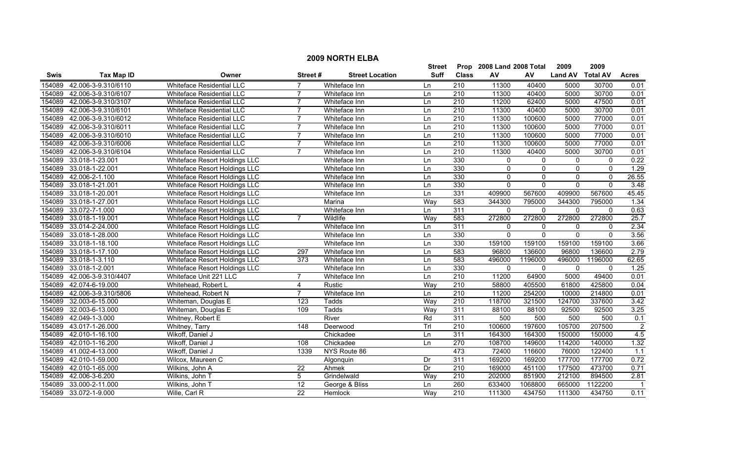|             | <b>2009 NORTH ELBA</b> |                               |                  |                        |             |                  |                           |              |                |                 |                   |  |
|-------------|------------------------|-------------------------------|------------------|------------------------|-------------|------------------|---------------------------|--------------|----------------|-----------------|-------------------|--|
|             |                        |                               |                  |                        | Street      |                  | Prop 2008 Land 2008 Total |              | 2009           | 2009            |                   |  |
| <b>Swis</b> | <b>Tax Map ID</b>      | Owner                         | Street#          | <b>Street Location</b> | <b>Suff</b> | <b>Class</b>     | AV                        | AV           | <b>Land AV</b> | <b>Total AV</b> | <b>Acres</b>      |  |
| 154089      | 42.006-3-9.310/6110    | Whiteface Residential LLC     |                  | Whiteface Inn          | Ln          | 210              | 11300                     | 40400        | 5000           | 30700           | 0.01              |  |
| 154089      | 42.006-3-9.310/6107    | Whiteface Residential LLC     | $\overline{7}$   | Whiteface Inn          | Ln          | $\overline{210}$ | 11300                     | 40400        | 5000           | 30700           | 0.01              |  |
| 154089      | 42.006-3-9.310/3107    | Whiteface Residential LLC     | $\overline{7}$   | Whiteface Inn          | Ln          | 210              | 11200                     | 62400        | 5000           | 47500           | 0.01              |  |
| 154089      | 42.006-3-9.310/6101    | Whiteface Residential LLC     |                  | Whiteface Inn          | Ln          | 210              | 11300                     | 40400        | 5000           | 30700           | 0.01              |  |
| 154089      | 42.006-3-9.310/6012    | Whiteface Residential LLC     | $\overline{7}$   | Whiteface Inn          | Ln          | 210              | 11300                     | 100600       | 5000           | 77000           | 0.01              |  |
| 154089      | 42.006-3-9.310/6011    | Whiteface Residential LLC     | $\overline{7}$   | Whiteface Inn          | Ln          | 210              | 11300                     | 100600       | 5000           | 77000           | 0.01              |  |
| 154089      | 42.006-3-9.310/6010    | Whiteface Residential LLC     | 7                | Whiteface Inn          | Ln          | 210              | 11300                     | 100600       | 5000           | 77000           | 0.01              |  |
| 154089      | 42.006-3-9.310/6006    | Whiteface Residential LLC     |                  | Whiteface Inn          | Ln          | 210              | 11300                     | 100600       | 5000           | 77000           | 0.01              |  |
| 154089      | 42.006-3-9.310/6104    | Whiteface Residential LLC     |                  | Whiteface Inn          | Ln          | $\overline{210}$ | 11300                     | 40400        | 5000           | 30700           | 0.01              |  |
| 154089      | 33.018-1-23.001        | Whiteface Resort Holdings LLC |                  | Whiteface Inn          | Ln          | 330              | $\mathbf{0}$              | 0            | $\mathbf 0$    | $\mathbf 0$     | 0.22              |  |
| 154089      | 33.018-1-22.001        | Whiteface Resort Holdings LLC |                  | Whiteface Inn          | Ln          | 330              | $\mathbf{0}$              | 0            | $\mathbf{0}$   | $\mathbf{0}$    | 1.29              |  |
| 154089      | 42.006-2-1.100         | Whiteface Resort Holdings LLC |                  | Whiteface Inn          | Ln          | 330              | 0                         | 0            | 0              | $\mathbf 0$     | 26.55             |  |
| 154089      | 33.018-1-21.001        | Whiteface Resort Holdings LLC |                  | Whiteface Inn          | Ln          | 330              | $\mathbf{0}$              | $\mathbf{0}$ | $\mathbf{0}$   | $\Omega$        | 3.48              |  |
| 154089      | 33.018-1-20.001        | Whiteface Resort Holdings LLC |                  | Whiteface Inn          | Ln          | 331              | 409900                    | 567600       | 409900         | 567600          | 45.45             |  |
| 154089      | 33.018-1-27.001        | Whiteface Resort Holdings LLC |                  | Marina                 | Way         | 583              | 344300                    | 795000       | 344300         | 795000          | 1.34              |  |
| 154089      | 33.072-7-1.000         | Whiteface Resort Holdings LLC |                  | Whiteface Inn          | Ln          | 311              | $\mathbf{0}$              | $\mathbf{0}$ | $\mathbf{0}$   | $\mathbf{0}$    | 0.63              |  |
| 154089      | 33.018-1-19.001        | Whiteface Resort Holdings LLC | $\overline{7}$   | Wildlife               | Way         | 583              | 272800                    | 272800       | 272800         | 272800          | 25.7              |  |
| 154089      | 33.014-2-24.000        | Whiteface Resort Holdings LLC |                  | Whiteface Inn          | Ln          | 311              | $\mathbf{0}$              | 0            | $\mathbf{0}$   | $\mathbf{0}$    | 2.34              |  |
| 154089      | 33.018-1-28.000        | Whiteface Resort Holdings LLC |                  | Whiteface Inn          | Ln          | 330              | $\mathbf{0}$              | $\mathbf 0$  | $\mathbf{0}$   | $\Omega$        | 3.56              |  |
| 154089      | 33.018-1-18.100        | Whiteface Resort Holdings LLC |                  | Whiteface Inn          | Ln          | 330              | 159100                    | 159100       | 159100         | 159100          | 3.66              |  |
| 154089      | 33.018-1-17.100        | Whiteface Resort Holdings LLC | 297              | Whiteface Inn          | Ln          | 583              | 96800                     | 136600       | 96800          | 136600          | 2.79              |  |
| 154089      | 33.018-1-3.110         | Whiteface Resort Holdings LLC | $\overline{373}$ | Whiteface Inn          | Ln          | 583              | 496000                    | 1196000      | 496000         | 1196000         | 62.65             |  |
| 154089      | 33.018-1-2.001         | Whiteface Resort Holdings LLC |                  | Whiteface Inn          | Ln          | 330              | $\mathbf{0}$              | $\mathbf 0$  | $\mathbf 0$    | $\Omega$        | $\overline{1.25}$ |  |
| 154089      | 42.006-3-9.310/4407    | Whiteface Unit 221 LLC        | $\overline{7}$   | Whiteface Inn          | Ln          | 210              | 11200                     | 64900        | 5000           | 49400           | 0.01              |  |
| 154089      | 42.074-6-19.000        | Whitehead, Robert L           | 4                | Rustic                 | Way         | $\overline{210}$ | 58800                     | 405500       | 61800          | 425800          | 0.04              |  |
| 154089      | 42.006-3-9.310/5806    | Whitehead, Robert N           | $\overline{7}$   | Whiteface Inn          | Ln          | 210              | 11200                     | 254200       | 10000          | 214800          | 0.01              |  |
| 154089      | 32.003-6-15.000        | Whiteman, Douglas E           | 123              | Tadds                  | Way         | $\overline{210}$ | 118700                    | 321500       | 124700         | 337600          | 3.42              |  |
| 154089      | 32.003-6-13.000        | Whiteman, Douglas E           | 109              | Tadds                  | Way         | 311              | 88100                     | 88100        | 92500          | 92500           | 3.25              |  |
| 154089      | 42.049-1-3.000         | Whitney, Robert E             |                  | River                  | Rd          | 311              | 500                       | 500          | 500            | 500             | 0.1               |  |
| 154089      | 43.017-1-26.000        | Whitney, Tarry                | 148              | Deerwood               | TrI         | 210              | 100600                    | 197600       | 105700         | 207500          | $\overline{2}$    |  |
| 154089      | 42.010-1-16.100        | Wikoff, Daniel J              |                  | Chickadee              | Ln          | 311              | 164300                    | 164300       | 150000         | 150000          | 4.5               |  |
| 154089      | 42.010-1-16.200        | Wikoff, Daniel J              | 108              | Chickadee              | Ln          | 270              | 108700                    | 149600       | 114200         | 140000          | 1.32              |  |
| 154089      | 41.002-4-13.000        | Wikoff, Daniel J              | 1339             | NYS Route 86           |             | 473              | 72400                     | 116600       | 76000          | 122400          | 1.1               |  |
| 154089      | 42.010-1-59.000        | Wilcox, Maureen C             |                  | Algonquin              | Dr          | 311              | 169200                    | 169200       | 177700         | 177700          | 0.72              |  |
| 154089      | 42.010-1-65.000        | Wilkins, John A               | $\overline{22}$  | Ahmek                  | Dr          | 210              | 169000                    | 451100       | 177500         | 473700          | 0.71              |  |
| 154089      | 42.006-3-6.200         | Wilkins, John T               | 5                | Grindelwald            | Way         | 210              | 202000                    | 851900       | 212100         | 894500          | 2.81              |  |
| 154089      | 33.000-2-11.000        | Wilkins, John T               | 12               | George & Bliss         | Ln          | 260              | 633400                    | 1068800      | 665000         | 1122200         | - 1               |  |
|             | 154089 33.072-1-9.000  | Wille, Carl R                 | $\overline{22}$  | Hemlock                | Way         | 210              | 111300                    | 434750       | 111300         | 434750          | 0.11              |  |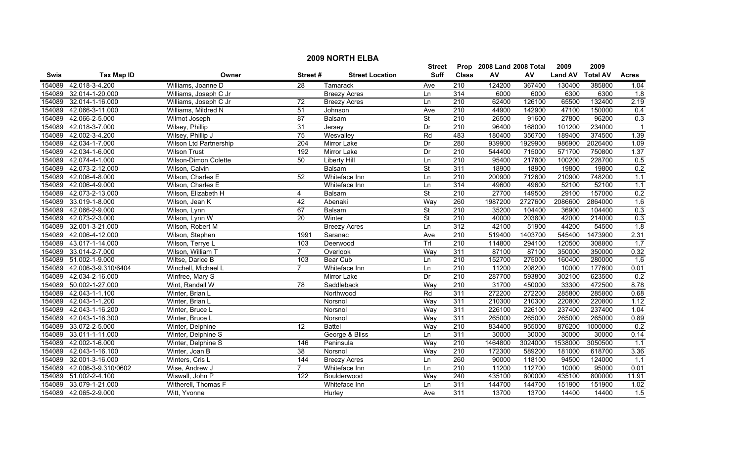|        | <b>2009 NORTH ELBA</b> |                               |                 |                        |                          |                  |                           |         |                |                 |                  |  |
|--------|------------------------|-------------------------------|-----------------|------------------------|--------------------------|------------------|---------------------------|---------|----------------|-----------------|------------------|--|
|        |                        |                               |                 |                        | <b>Street</b>            |                  | Prop 2008 Land 2008 Total |         | 2009           | 2009            |                  |  |
| Swis   | <b>Tax Map ID</b>      | Owner                         | Street#         | <b>Street Location</b> | <b>Suff</b>              | <b>Class</b>     | ${\sf AV}$                | AV      | <b>Land AV</b> | <b>Total AV</b> | <b>Acres</b>     |  |
| 154089 | 42.018-3-4.200         | Williams, Joanne D            | $\overline{28}$ | <b>Tamarack</b>        | Ave                      | 210              | 124200                    | 367400  | 130400         | 385800          | 1.04             |  |
| 154089 | 32.014-1-20.000        | Williams, Joseph C Jr         |                 | <b>Breezy Acres</b>    | Ln                       | 314              | 6000                      | 6000    | 6300           | 6300            | $\overline{1.8}$ |  |
| 154089 | 32.014-1-16.000        | Williams, Joseph C Jr         | $\overline{72}$ | <b>Breezy Acres</b>    | Ln                       | 210              | 62400                     | 126100  | 65500          | 132400          | 2.19             |  |
| 154089 | 42.066-3-11.000        | Williams, Mildred N           | $\overline{51}$ | Johnson                | Ave                      | 210              | 44900                     | 142900  | 47100          | 150000          | 0.4              |  |
| 154089 | 42.066-2-5.000         | Wilmot Joseph                 | 87              | <b>Balsam</b>          | $\overline{\mathsf{St}}$ | 210              | 26500                     | 91600   | 27800          | 96200           | 0.3              |  |
| 154089 | 42.018-3-7.000         | Wilsey, Phillip               | 31              | Jersey                 | Dr                       | 210              | 96400                     | 168000  | 101200         | 234000          | $\overline{1}$   |  |
| 154089 | 42.002-3-4.200         | Wilsey, Phillip J             | 75              | Wesvalley              | Rd                       | 483              | 180400                    | 356700  | 189400         | 374500          | 1.39             |  |
| 154089 | 42.034-1-7.000         | <b>Wilson Ltd Partnership</b> | 204             | Mirror Lake            | Dr                       | 280              | 939900                    | 1929900 | 986900         | 2026400         | 1.09             |  |
| 154089 | 42.034-1-6.000         | <b>Wilson Trust</b>           | 192             | Mirror Lake            | Dr                       | $\overline{210}$ | 544400                    | 715000  | 571700         | 750800          | 1.37             |  |
| 154089 | 42.074-4-1.000         | Wilson-Dimon Colette          | 50              | <b>Liberty Hill</b>    | Ln                       | 210              | 95400                     | 217800  | 100200         | 228700          | 0.5              |  |
| 154089 | 42.073-2-12.000        | Wilson, Calvin                |                 | Balsam                 | $\overline{\mathsf{St}}$ | 311              | 18900                     | 18900   | 19800          | 19800           | 0.2              |  |
| 154089 | 42.006-4-8.000         | Wilson, Charles E             | 52              | Whiteface Inn          | Ln                       | $\overline{210}$ | 200900                    | 712600  | 210900         | 748200          | 1.1              |  |
| 154089 | 42.006-4-9.000         | Wilson, Charles E             |                 | Whiteface Inn          | Ln                       | 314              | 49600                     | 49600   | 52100          | 52100           | 1.1              |  |
| 154089 | 42.073-2-13.000        | Wilson, Elizabeth H           | 4               | Balsam                 | $\overline{\mathsf{St}}$ | $\overline{210}$ | 27700                     | 149500  | 29100          | 157000          | 0.2              |  |
| 154089 | 33.019-1-8.000         | Wilson, Jean K                | 42              | Abenaki                | Way                      | 260              | 1987200                   | 2727600 | 2086600        | 2864000         | 1.6              |  |
| 154089 | 42.066-2-9.000         | Wilson, Lynn                  | 67              | Balsam                 | <b>St</b>                | $\overline{210}$ | 35200                     | 104400  | 36900          | 104400          | 0.3              |  |
| 154089 | 42.073-2-3.000         | Wilson, Lynn W                | 20              | Winter                 | $\overline{\mathsf{St}}$ | 210              | 40000                     | 203800  | 42000          | 214000          | 0.3              |  |
| 154089 | 32.001-3-21.000        | Wilson, Robert M              |                 | <b>Breezy Acres</b>    | Ln                       | 312              | 42100                     | 51900   | 44200          | 54500           | 1.8              |  |
| 154089 | 42.006-4-12.000        | Wilson, Stephen               | 1991            | Saranac                | Ave                      | 210              | 519400                    | 1403700 | 545400         | 1473900         | 2.31             |  |
| 154089 | 43.017-1-14.000        | Wilson, Terrye L              | 103             | Deerwood               | TrI                      | 210              | 114800                    | 294100  | 120500         | 308800          | 1.7              |  |
| 154089 | 33.014-2-7.000         | Wilson, William T             | $\overline{7}$  | Overlook               | Way                      | 311              | 87100                     | 87100   | 350000         | 350000          | 0.32             |  |
| 154089 | 51.002-1-9.000         | Wiltse, Darice B              | 103             | <b>Bear Cub</b>        | Ln                       | 210              | 152700                    | 275000  | 160400         | 280000          | 1.6              |  |
| 154089 | 42.006-3-9.310/6404    | Winchell, Michael L           | $\overline{7}$  | Whiteface Inn          | Ln                       | $\overline{210}$ | 11200                     | 208200  | 10000          | 177600          | 0.01             |  |
| 154089 | 42.034-2-16.000        | Winfree, Mary S               |                 | Mirror Lake            | Dr                       | $\overline{210}$ | 287700                    | 593800  | 302100         | 623500          | 0.2              |  |
| 154089 | 50.002-1-27.000        | Wint, Randall W               | $\overline{78}$ | Saddleback             | Way                      | $\overline{210}$ | 31700                     | 450000  | 33300          | 472500          | 8.78             |  |
| 154089 | 42.043-1-1.100         | Winter, Brian L               |                 | Northwood              | Rd                       | 311              | 272200                    | 272200  | 285800         | 285800          | 0.68             |  |
| 154089 | 42.043-1-1.200         | Winter, Brian L               |                 | Norsnol                | Way                      | $\overline{311}$ | 210300                    | 210300  | 220800         | 220800          | 1.12             |  |
| 154089 | 42.043-1-16.200        | Winter, Bruce L               |                 | Norsnol                | Way                      | 311              | 226100                    | 226100  | 237400         | 237400          | 1.04             |  |
| 154089 | 42.043-1-16.300        | Winter, Bruce L               |                 | Norsnol                | Way                      | 311              | 265000                    | 265000  | 265000         | 265000          | 0.89             |  |
| 154089 | 33.072-2-5.000         | Winter, Delphine              | $\overline{12}$ | <b>Battel</b>          | Way                      | 210              | 834400                    | 955000  | 876200         | 1000000         | 0.2              |  |
| 154089 | 33.011-1-11.000        | Winter, Delphine S            |                 | George & Bliss         | Ln                       | 311              | 30000                     | 30000   | 30000          | 30000           | 0.14             |  |
| 154089 | 42.002-1-6.000         | Winter, Delphine S            | 146             | Peninsula              | Way                      | 210              | 1464800                   | 3024000 | 1538000        | 3050500         | 1.1              |  |
| 154089 | 42.043-1-16.100        | Winter, Joan B                | 38              | Norsnol                | Way                      | 210              | 172300                    | 589200  | 181000         | 618700          | 3.36             |  |
| 154089 | 32.001-3-16.000        | Winters, Cris L               | 144             | <b>Breezy Acres</b>    | Ln                       | 260              | 90000                     | 118100  | 94500          | 124000          | $\overline{1.1}$ |  |
| 154089 | 42.006-3-9.310/0602    | Wise, Andrew J                | $\overline{7}$  | Whiteface Inn          | Ln                       | 210              | 11200                     | 112700  | 10000          | 95000           | 0.01             |  |
| 154089 | 51.002-2-4.100         | Wiswall, John P               | 122             | Boulderwood            | Way                      | 240              | 435100                    | 800000  | 435100         | 800000          | 11.91            |  |
| 154089 | 33.079-1-21.000        | Witherell, Thomas F           |                 | Whiteface Inn          | Ln                       | 311              | 144700                    | 144700  | 151900         | 151900          | 1.02             |  |
|        | 154089 42.065-2-9.000  | Witt, Yvonne                  |                 | Hurley                 | Ave                      | 311              | 13700                     | 13700   | 14400          | 14400           | 1.5              |  |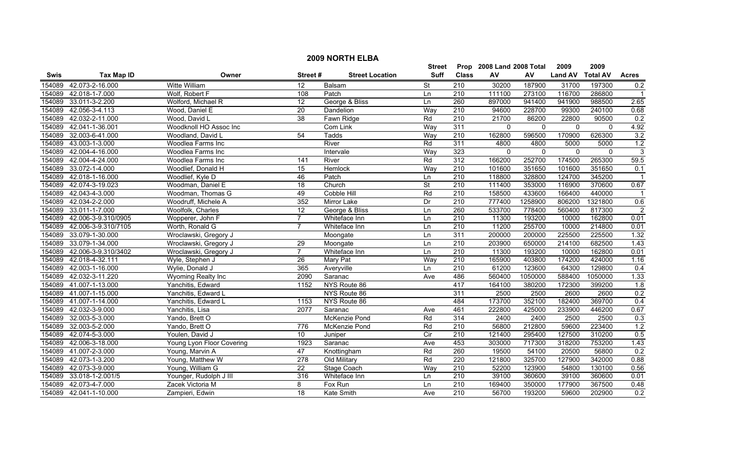|        | <b>2009 NORTH ELBA</b> |                           |                  |                        |                          |                  |                           |             |                |                 |                  |  |
|--------|------------------------|---------------------------|------------------|------------------------|--------------------------|------------------|---------------------------|-------------|----------------|-----------------|------------------|--|
|        |                        |                           |                  |                        | <b>Street</b>            |                  | Prop 2008 Land 2008 Total |             | 2009           | 2009            |                  |  |
| Swis   | <b>Tax Map ID</b>      | Owner                     | Street#          | <b>Street Location</b> | Suff                     | <b>Class</b>     | ${\sf AV}$                | AV          | <b>Land AV</b> | <b>Total AV</b> | <b>Acres</b>     |  |
| 154089 | 42.073-2-16.000        | Witte William             | 12               | Balsam                 | <b>St</b>                | 210              | 30200                     | 187900      | 31700          | 197300          | 0.2              |  |
| 154089 | 42.018-1-7.000         | Wolf, Robert F            | 108              | Patch                  | Ln                       | 210              | 111100                    | 273100      | 116700         | 286800          |                  |  |
| 154089 | 33.011-3-2.200         | Wolford, Michael R        | $\overline{12}$  | George & Bliss         | Ln                       | 260              | 897000                    | 941400      | 941900         | 988500          | 2.65             |  |
| 154089 | 42.056-3-4.113         | Wood, Daniel E            | 20               | Dandelion              | Way                      | 210              | 94600                     | 228700      | 99300          | 240100          | 0.68             |  |
| 154089 | 42.032-2-11.000        | Wood, David L             | 38               | Fawn Ridge             | Rd                       | 210              | 21700                     | 86200       | 22800          | 90500           | 0.2              |  |
| 154089 | 42.041-1-36.001        | Woodknoll HO Assoc Inc    |                  | Com Link               | Way                      | 311              | $\mathbf{0}$              | $\Omega$    | $\overline{0}$ | $\mathbf{0}$    | 4.92             |  |
| 154089 | 32.003-6-41.000        | Woodland, David L         | 54               | <b>Tadds</b>           | Way                      | 210              | 162800                    | 596500      | 170900         | 626300          | 3.2              |  |
| 154089 | 43.003-1-3.000         | Woodlea Farms Inc         |                  | River                  | Rd                       | 311              | 4800                      | 4800        | 5000           | 5000            | 1.2              |  |
| 154089 | 42.004-4-16.000        | Woodlea Farms Inc         |                  | Intervale              | Way                      | 323              | $\mathbf 0$               | $\mathbf 0$ | $\mathbf 0$    | $\mathbf{0}$    | $\overline{3}$   |  |
| 154089 | 42.004-4-24.000        | Woodlea Farms Inc         | 141              | River                  | Rd                       | 312              | 166200                    | 252700      | 174500         | 265300          | 59.5             |  |
| 154089 | 33.072-1-4.000         | Woodlief, Donald H        | 15               | Hemlock                | Way                      | 210              | 101600                    | 351650      | 101600         | 351650          | 0.1              |  |
| 154089 | 42.018-1-16.000        | Woodlief, Kyle D          | 46               | Patch                  | Ln                       | 210              | 118800                    | 328800      | 124700         | 345200          | $\overline{1}$   |  |
| 154089 | 42.074-3-19.023        | Woodman, Daniel E         | $\overline{18}$  | Church                 | $\overline{\mathsf{St}}$ | $\overline{210}$ | 111400                    | 353000      | 116900         | 370600          | 0.67             |  |
| 154089 | 42.043-4-3.000         | Woodman, Thomas G         | 49               | Cobble Hill            | Rd                       | $\overline{210}$ | 158500                    | 433600      | 166400         | 440000          |                  |  |
| 154089 | 42.034-2-2.000         | Woodruff, Michele A       | 352              | Mirror Lake            | Dr                       | $\overline{210}$ | 777400                    | 1258900     | 806200         | 1321800         | 0.6              |  |
| 154089 | 33.011-1-7.000         | Woolfolk, Charles         | $\overline{12}$  | George & Bliss         | Ln                       | 260              | 533700                    | 778400      | 560400         | 817300          | $\overline{2}$   |  |
| 154089 | 42.006-3-9.310/0905    | Wopperer, John F          | $\overline{7}$   | Whiteface Inn          | Ln                       | 210              | 11300                     | 193200      | 10000          | 162800          | 0.01             |  |
| 154089 | 42.006-3-9.310/7105    | Worth, Ronald G           | $\overline{7}$   | Whiteface Inn          | Ln                       | 210              | 11200                     | 255700      | 10000          | 214800          | 0.01             |  |
| 154089 | 33.079-1-30.000        | Wroclawski, Gregory J     |                  | Moongate               | Ln                       | 311              | 200000                    | 200000      | 225500         | 225500          | 1.32             |  |
| 154089 | 33.079-1-34.000        | Wroclawski, Gregory J     | 29               | Moongate               | Ln                       | 210              | 203900                    | 650000      | 214100         | 682500          | 1.43             |  |
| 154089 | 42.006-3-9.310/3402    | Wroclawski, Gregory J     | $\overline{7}$   | Whiteface Inn          | Ln                       | 210              | 11300                     | 193200      | 10000          | 162800          | 0.01             |  |
| 154089 | 42.018-4-32.111        | Wyle, Stephen J           | 26               | <b>Mary Pat</b>        | Way                      | $\overline{210}$ | 165900                    | 403800      | 174200         | 424000          | 1.16             |  |
| 154089 | 42.003-1-16.000        | Wylie, Donald J           | 365              | Averyville             | Ln                       | $\overline{210}$ | 61200                     | 123600      | 64300          | 129800          | 0.4              |  |
| 154089 | 42.032-3-11.220        | Wyoming Realty Inc        | 2090             | Saranac                | Ave                      | 486              | 560400                    | 1050000     | 588400         | 1050000         | 1.33             |  |
| 154089 | 41.007-1-13.000        | Yanchitis, Edward         | 1152             | NYS Route 86           |                          | 417              | 164100                    | 380200      | 172300         | 399200          | 1.8              |  |
| 154089 | 41.007-1-15.000        | Yanchitis, Edward L       |                  | NYS Route 86           |                          | 311              | 2500                      | 2500        | 2600           | 2600            | 0.2              |  |
| 154089 | 41.007-1-14.000        | Yanchitis, Edward L       | 1153             | NYS Route 86           |                          | 484              | 173700                    | 352100      | 182400         | 369700          | 0.4              |  |
| 154089 | 42.032-3-9.000         | Yanchitis, Lisa           | 2077             | Saranac                | Ave                      | 461              | 222800                    | 425000      | 233900         | 446200          | 0.67             |  |
| 154089 | 32.003-5-3.000         | Yando, Brett O            |                  | <b>McKenzie Pond</b>   | Rd                       | 314              | 2400                      | 2400        | 2500           | 2500            | 0.3              |  |
| 154089 | 32.003-5-2.000         | Yando, Brett O            | 776              | McKenzie Pond          | Rd                       | 210              | 56800                     | 212800      | 59600          | 223400          | 1.2              |  |
| 154089 | 42.074-5-3.000         | Youlen. David J           | 10               | Juniper                | Cir                      | 210              | 121400                    | 295400      | 127500         | 310200          | 0.5              |  |
| 154089 | 42.006-3-18.000        | Young Lyon Floor Covering | 1923             | Saranac                | Ave                      | 453              | 303000                    | 717300      | 318200         | 753200          | 1.43             |  |
| 154089 | 41.007-2-3.000         | Young, Marvin A           | 47               | Knottingham            | Rd                       | 260              | 19500                     | 54100       | 20500          | 56800           | 0.2              |  |
| 154089 | 42.073-1-3.200         | Young, Matthew W          | $\overline{278}$ | Old Military           | Rd                       | 220              | 121800                    | 325700      | 127900         | 342000          | 0.88             |  |
| 154089 | 42.073-3-9.000         | Young, William G          | $\overline{22}$  | Stage Coach            | Way                      | $\overline{210}$ | 52200                     | 123900      | 54800          | 130100          | 0.56             |  |
| 154089 | 33.018-1-2.001/5       | Younger, Rudolph J III    | 316              | Whiteface Inn          | Ln                       | 210              | 39100                     | 360600      | 39100          | 360600          | 0.01             |  |
| 154089 | 42.073-4-7.000         | Zacek Victoria M          | 8                | Fox Run                | Ln                       | $\overline{210}$ | 169400                    | 350000      | 177900         | 367500          | 0.48             |  |
| 154089 | 42.041-1-10.000        | Zampieri, Edwin           | 18               | Kate Smith             | Ave                      | 210              | 56700                     | 193200      | 59600          | 202900          | $\overline{0.2}$ |  |